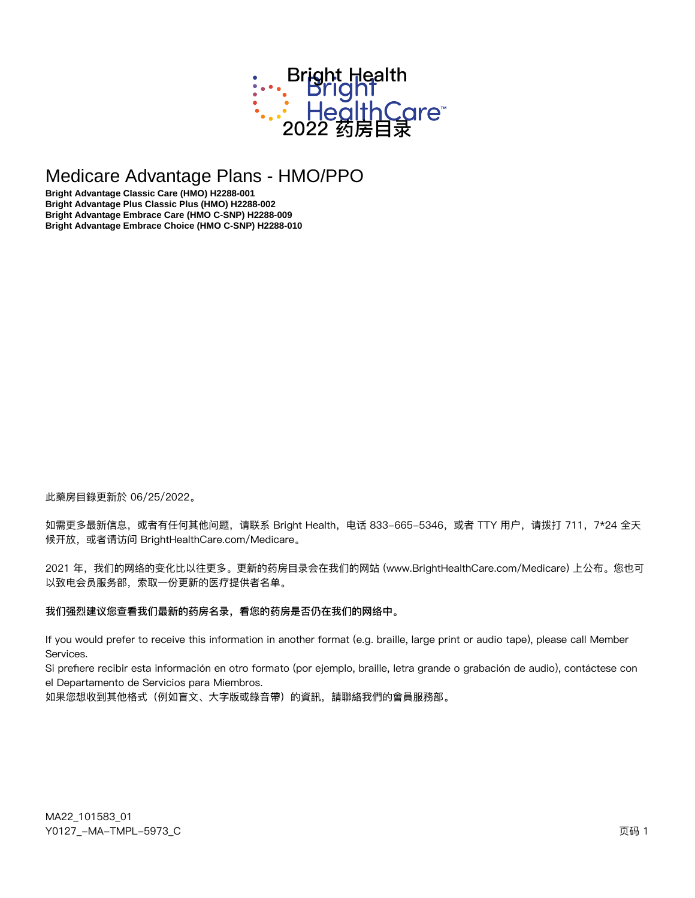

# Medicare Advantage Plans - HMO/PPO

Bright Advantage Classic Care (HMO) H2288-001 Bright Advantage Plus Classic Plus (HMO) H2288-002 Bright Advantage Embrace Care (HMO C-SNP) H2288-009 Bright Advantage Embrace Choice (HMO C-SNP) H2288-010

此藥房目錄更新於 06/25/2022。

如需更多最新信息,或者有任何其他问题,请联系 Bright Health, 电话 833-665-5346, 或者 TTY 用户,请拨打 711, 7\*24 全天 候开放, 或者请访问 BrightHealthCare.com/Medicare。

2021 年,我们的网络的变化比以往更多。更新的药房目录会在我们的网站 (www.BrightHealthCare.com/Medicare) 上公布。您也可 以致电会员服务部,索取一份更新的医疗提供者名单。

#### 我们强烈建议您查看我们最新的药房名录,看您的药房是否仍在我们的网络中。

If you would prefer to receive this information in another format (e.g. braille, large print or audio tape), please call Member Services.

Si prefiere recibir esta información en otro formato (por ejemplo, braille, letra grande o grabación de audio), contáctese con el Departamento de Servicios para Miembros.

如果您想收到其他格式(例如盲文、大字版或錄音帶)的資訊,請聯絡我們的會員服務部。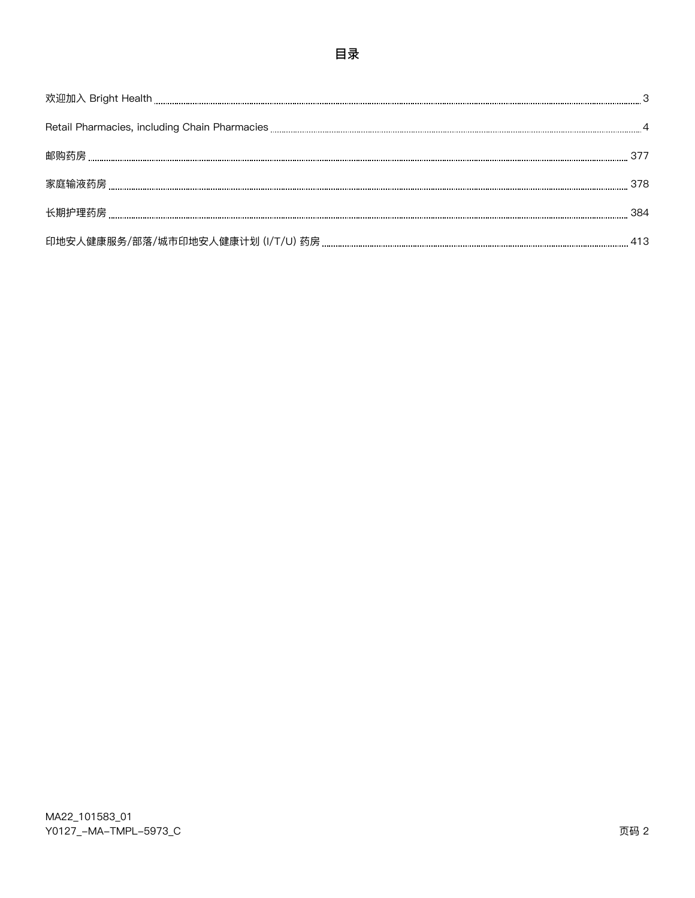| 378 |
|-----|
|     |
|     |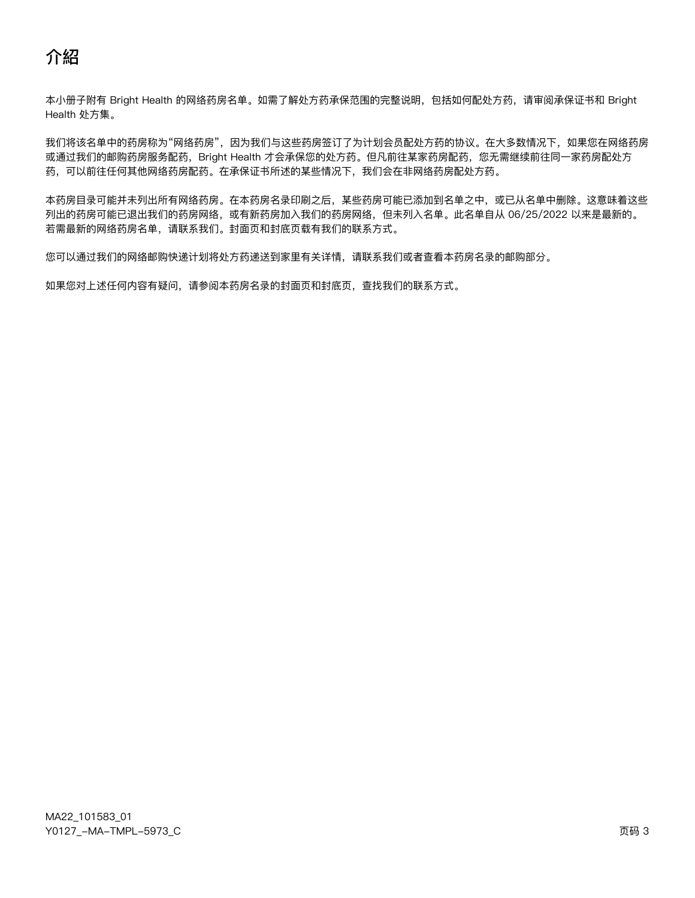本小册子附有 Bright Health 的网络药房名单。如需了解处方药承保范围的完整说明,包括如何配处方药,请审阅承保证书和 Bright Health 处方集。

我们将该名单中的药房称为"网络药房",因为我们与这些药房签订了为计划会员配处方药的协议。在大多数情况下,如果您在网络药房 或通过我们的邮购药房服务配药,Bright Health 才会承保您的处方药。但凡前往某家药房配药,您无需继续前往同一家药房配处方 药,可以前往任何其他网络药房配药。在承保证书所述的某些情况下,我们会在非网络药房配处方药。

本药房目录可能并未列出所有网络药房。在本药房名录印刷之后,某些药房可能已添加到名单之中,或已从名单中删除。这意味着这些 列出的药房可能已退出我们的药房网络,或有新药房加入我们的药房网络,但未列入名单。此名单自从 06/25/2022 以来是最新的。 若需最新的网络药房名单,请联系我们。封面页和封底页载有我们的联系方式。

您可以通过我们的网络邮购快递计划将处方药递送到家里有关详情,请联系我们或者查看本药房名录的邮购部分。

如果您对上述任何内容有疑问,请参阅本药房名录的封面页和封底页,查找我们的联系方式。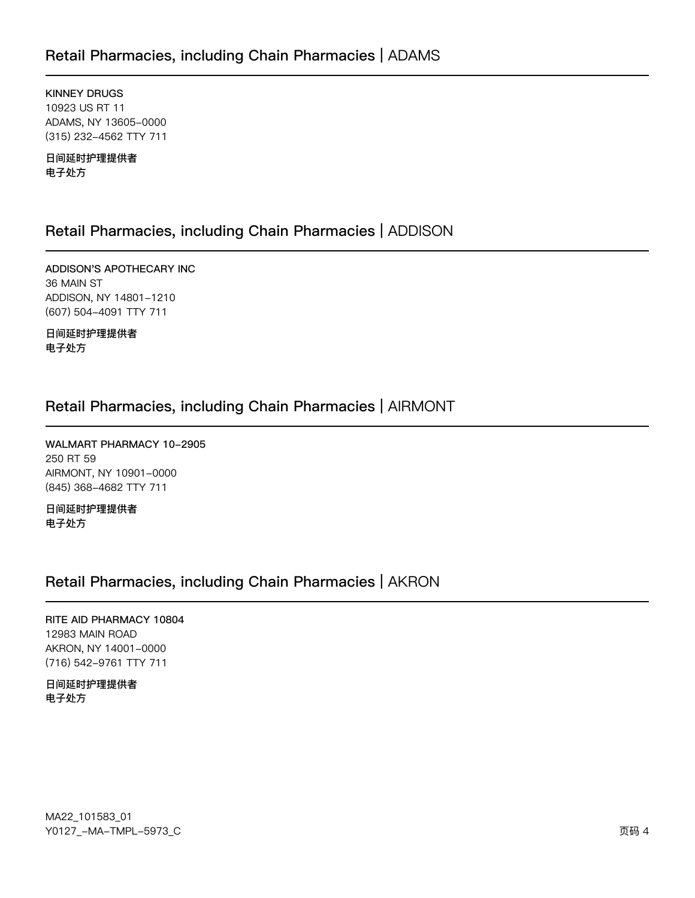# Retail Pharmacies, including Chain Pharmacies | ADAMS

**KINNEY DRUGS** 10923 US RT 11 ADAMS, NY 13605-0000 (315) 232-4562 TTY 711

日间延时护理提供者 电子处方

# Retail Pharmacies, including Chain Pharmacies | ADDISON

ADDISON'S APOTHECARY INC 36 MAIN ST ADDISON, NY 14801-1210 (607) 504-4091 TTY 711

日间延时护理提供者 电子处方

# Retail Pharmacies, including Chain Pharmacies | AIRMONT

WALMART PHARMACY 10-2905 250 RT 59 AIRMONT, NY 10901-0000 (845) 368-4682 TTY 711

日间延时护理提供者 电子处方

# Retail Pharmacies, including Chain Pharmacies | AKRON

RITE AID PHARMACY 10804 12983 MAIN ROAD AKRON, NY 14001-0000 (716) 542-9761 TTY 711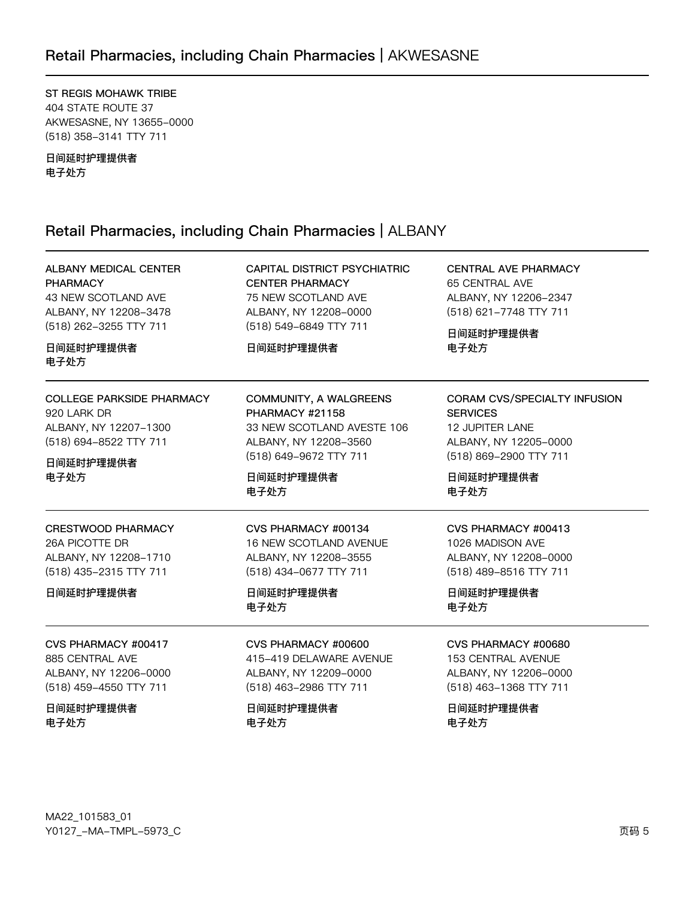ST REGIS MOHAWK TRIBE 404 STATE ROUTE 37 AKWESASNE, NY 13655-0000 (518) 358-3141 TTY 711

日间延时护理提供者 电子处方

# Retail Pharmacies, including Chain Pharmacies | ALBANY

| <b>ALBANY MEDICAL CENTER</b><br><b>PHARMACY</b><br>43 NEW SCOTLAND AVE<br>ALBANY, NY 12208-3478<br>(518) 262-3255 TTY 711<br>日间延时护理提供者<br>电子处方 | CAPITAL DISTRICT PSYCHIATRIC<br><b>CENTER PHARMACY</b><br>75 NEW SCOTLAND AVE<br>ALBANY, NY 12208-0000<br>(518) 549-6849 TTY 711<br>日间延时护理提供者 | <b>CENTRAL AVE PHARMACY</b><br>65 CENTRAL AVE<br>ALBANY, NY 12206-2347<br>(518) 621-7748 TTY 711<br>日间延时护理提供者<br>电子处方        |
|------------------------------------------------------------------------------------------------------------------------------------------------|-----------------------------------------------------------------------------------------------------------------------------------------------|------------------------------------------------------------------------------------------------------------------------------|
| <b>COLLEGE PARKSIDE PHARMACY</b><br>920 LARK DR<br>ALBANY, NY 12207-1300<br>(518) 694-8522 TTY 711                                             | COMMUNITY, A WALGREENS<br>PHARMACY #21158<br>33 NEW SCOTLAND AVESTE 106<br>ALBANY, NY 12208-3560<br>(518) 649-9672 TTY 711                    | CORAM CVS/SPECIALTY INFUSION<br><b>SERVICES</b><br><b>12 JUPITER LANE</b><br>ALBANY, NY 12205-0000<br>(518) 869-2900 TTY 711 |
| 日间延时护理提供者<br>电子处方                                                                                                                              | 日间延时护理提供者<br>电子处方                                                                                                                             | 日间延时护理提供者<br>电子处方                                                                                                            |
| <b>CRESTWOOD PHARMACY</b><br>26A PICOTTE DR<br>ALBANY, NY 12208-1710<br>(518) 435-2315 TTY 711<br>日间延时护理提供者                                    | CVS PHARMACY #00134<br>16 NEW SCOTLAND AVENUE<br>ALBANY, NY 12208-3555<br>(518) 434-0677 TTY 711<br>日间延时护理提供者<br>电子处方                         | CVS PHARMACY #00413<br>1026 MADISON AVE<br>ALBANY, NY 12208-0000<br>(518) 489-8516 TTY 711<br>日间延时护理提供者<br>电子处方              |
| CVS PHARMACY #00417<br>885 CENTRAL AVE<br>ALBANY, NY 12206-0000<br>(518) 459-4550 TTY 711<br>日间延时护理提供者<br>电子处方                                 | CVS PHARMACY #00600<br>415-419 DELAWARE AVENUE<br>ALBANY, NY 12209-0000<br>(518) 463-2986 TTY 711<br>日间延时护理提供者<br>电子处方                        | CVS PHARMACY #00680<br>153 CENTRAL AVENUE<br>ALBANY, NY 12206-0000<br>(518) 463-1368 TTY 711<br>日间延时护理提供者<br>电子处方            |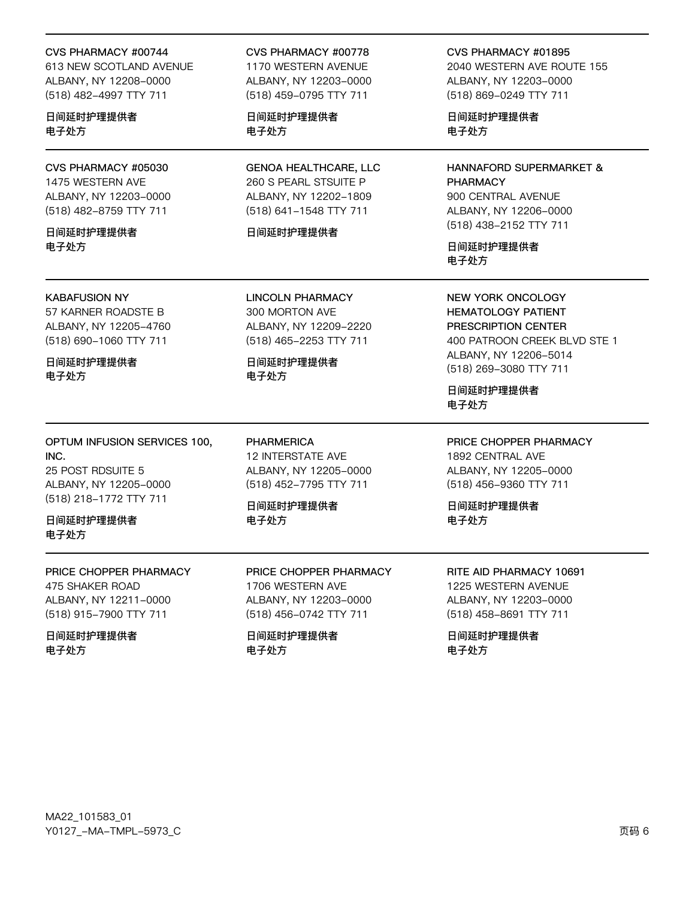#### CVS PHARMACY #00744

613 NEW SCOTLAND AVENUE ALBANY, NY 12208-0000 (518) 482-4997 TTY 711

日间延时护理提供者 电子处方

CVS PHARMACY #05030 1475 WESTERN AVE ALBANY, NY 12203-0000 (518) 482-8759 TTY 711

日间延时护理提供者 电子外方

#### **KABAFUSION NY**

57 KARNER ROADSTE B ALBANY, NY 12205-4760 (518) 690-1060 TTY 711

日间延时护理提供者 电子处方

OPTUM INFUSION SERVICES 100, INC. 25 POST RDSUITE 5 ALBANY, NY 12205-0000 (518) 218-1772 TTY 711

日间延时护理提供者 电子处方

PRICE CHOPPER PHARMACY 475 SHAKER ROAD ALBANY, NY 12211-0000 (518) 915-7900 TTY 711

日间延时护理提供者 电子处方

CVS PHARMACY #00778

1170 WESTERN AVENUE ALBANY, NY 12203-0000 (518) 459-0795 TTY 711

日间延时护理提供者 电子处方

**GENOA HEALTHCARE, LLC** 260 S PEARL STSUITE P ALBANY, NY 12202-1809 (518) 641-1548 TTY 711

#### 日间延时护理提供者

**LINCOLN PHARMACY** 300 MORTON AVE ALBANY, NY 12209-2220 (518) 465-2253 TTY 711

日间延时护理提供者 电子处方

**PHARMERICA 12 INTERSTATE AVE** ALBANY, NY 12205-0000 (518) 452-7795 TTY 711

日间延时护理提供者 电子外方

PRICE CHOPPER PHARMACY 1706 WESTERN AVE ALBANY, NY 12203-0000 (518) 456-0742 TTY 711

日间延时护理提供者 电子处方

CVS PHARMACY #01895 2040 WESTERN AVE ROUTE 155 ALBANY, NY 12203-0000 (518) 869-0249 TTY 711

日间延时护理提供者 电子处方

HANNAFORD SUPERMARKET & **PHARMACY** 900 CENTRAL AVENUE ALBANY, NY 12206-0000 (518) 438-2152 TTY 711

日间延时护理提供者 电子处方

**NEW YORK ONCOLOGY HEMATOLOGY PATIENT** PRESCRIPTION CENTER 400 PATROON CREEK BLVD STE 1 ALBANY, NY 12206-5014 (518) 269-3080 TTY 711

日间延时护理提供者 电子处方

PRICE CHOPPER PHARMACY 1892 CENTRAL AVE

ALBANY, NY 12205-0000 (518) 456-9360 TTY 711

日间延时护理提供者 电子外方

RITE AID PHARMACY 10691 1225 WESTERN AVENUE ALBANY, NY 12203-0000 (518) 458-8691 TTY 711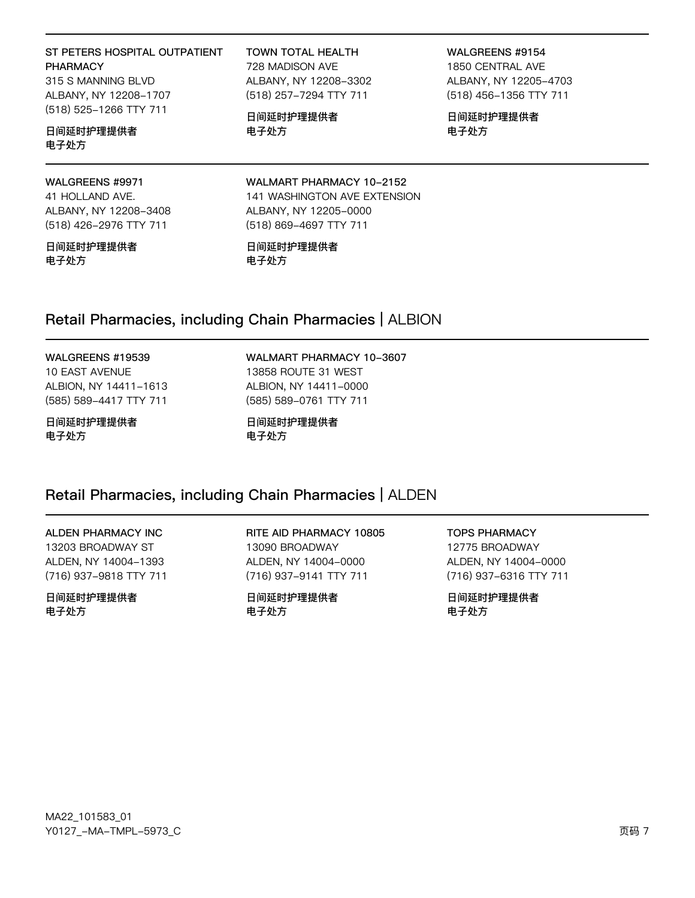### ST PETERS HOSPITAL OUTPATIENT **PHARMACY**

315 S MANNING BLVD ALBANY, NY 12208-1707 (518) 525-1266 TTY 711

### 日间延时护理提供者 电子处方

#### WALGREENS #9971

41 HOLLAND AVE. ALBANY, NY 12208-3408 (518) 426-2976 TTY 711

日间延时护理提供者 电子处方

**TOWN TOTAL HEALTH** 728 MADISON AVE ALBANY, NY 12208-3302 (518) 257-7294 TTY 711

日间延时护理提供者 电子处方

WALGREENS #9154 1850 CENTRAL AVE ALBANY, NY 12205-4703 (518) 456-1356 TTY 711

日间延时护理提供者 电子处方

WALMART PHARMACY 10-2152 141 WASHINGTON AVE EXTENSION ALBANY, NY 12205-0000 (518) 869-4697 TTY 711

#### 日间延时护理提供者 电子处方

## Retail Pharmacies, including Chain Pharmacies | ALBION

#### WALGREENS #19539

**10 EAST AVENUE** ALBION, NY 14411-1613 (585) 589-4417 TTY 711

#### 日间延时护理提供者 电子处方

WALMART PHARMACY 10-3607 13858 ROUTE 31 WEST ALBION, NY 14411-0000 (585) 589-0761 TTY 711

日间延时护理提供者 电子处方

### Retail Pharmacies, including Chain Pharmacies | ALDEN

### ALDEN PHARMACY INC

13203 BROADWAY ST ALDEN, NY 14004-1393 (716) 937-9818 TTY 711

日间延时护理提供者 电子处方

RITE AID PHARMACY 10805 13090 BROADWAY ALDEN, NY 14004-0000 (716) 937-9141 TTY 711

日间延时护理提供者 电子处方

**TOPS PHARMACY** 12775 BROADWAY ALDEN, NY 14004-0000 (716) 937-6316 TTY 711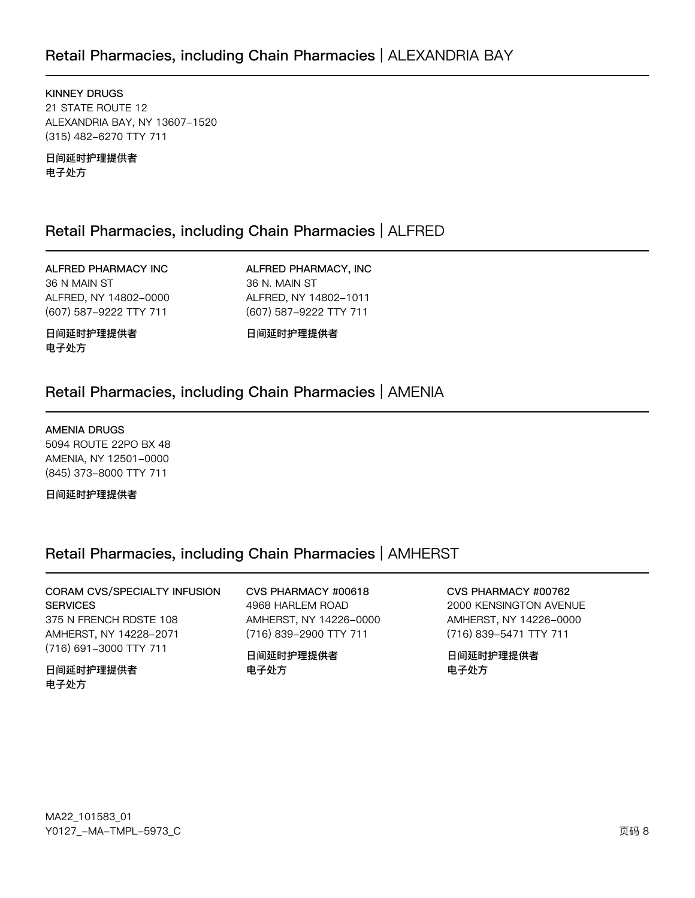# Retail Pharmacies, including Chain Pharmacies | ALEXANDRIA BAY

**KINNEY DRUGS** 21 STATE ROUTE 12 ALEXANDRIA BAY, NY 13607-1520 (315) 482-6270 TTY 711

日间延时护理提供者 电子处方

## Retail Pharmacies, including Chain Pharmacies | ALFRED

ALFRED PHARMACY INC 36 N MAIN ST ALFRED, NY 14802-0000 (607) 587-9222 TTY 711

ALFRED PHARMACY, INC 36 N. MAIN ST ALFRED, NY 14802-1011 (607) 587-9222 TTY 711

日间延时护理提供者 电子处方

日间延时护理提供者

### Retail Pharmacies, including Chain Pharmacies | AMENIA

#### **AMENIA DRUGS**

5094 ROUTE 22PO BX 48 AMENIA, NY 12501-0000 (845) 373-8000 TTY 711

日间延时护理提供者

### Retail Pharmacies, including Chain Pharmacies | AMHERST

CORAM CVS/SPECIALTY INFUSION **SERVICES** 375 N FRENCH RDSTE 108 AMHERST, NY 14228-2071 (716) 691-3000 TTY 711

日间延时护理提供者 电子处方

CVS PHARMACY #00618 4968 HARLEM ROAD AMHERST, NY 14226-0000 (716) 839-2900 TTY 711

日间延时护理提供者 电子处方

CVS PHARMACY #00762

2000 KENSINGTON AVENUE AMHERST, NY 14226-0000 (716) 839-5471 TTY 711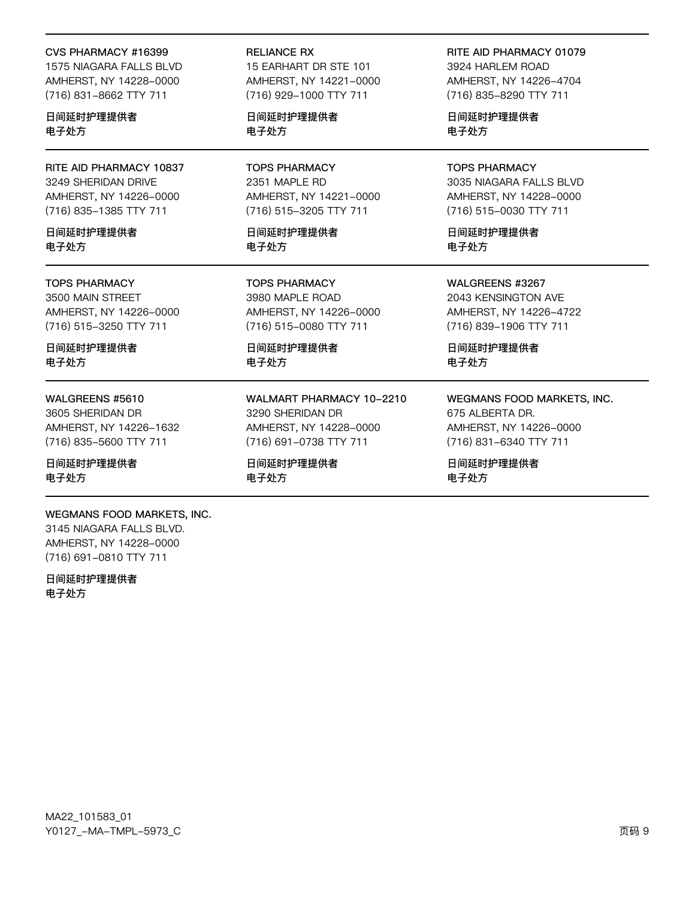#### CVS PHARMACY #16399

1575 NIAGARA FALLS BLVD AMHERST, NY 14228-0000 (716) 831-8662 TTY 711

日间延时护理提供者 电子处方

RITE AID PHARMACY 10837 3249 SHERIDAN DRIVE AMHERST, NY 14226-0000 (716) 835-1385 TTY 711

日间延时护理提供者 电子外方

#### **TOPS PHARMACY**

3500 MAIN STREET AMHERST, NY 14226-0000 (716) 515-3250 TTY 711

日间延时护理提供者 电子处方

#### WALGREENS #5610

3605 SHERIDAN DR AMHERST, NY 14226-1632 (716) 835-5600 TTY 711

日间延时护理提供者 电子处方

#### WEGMANS FOOD MARKETS, INC.

3145 NIAGARA FALLS BLVD. AMHERST, NY 14228-0000 (716) 691-0810 TTY 711

日间延时护理提供者 电子处方

#### **RELIANCE RX**

15 EARHART DR STE 101 AMHERST, NY 14221-0000 (716) 929-1000 TTY 711

日间延时护理提供者 电子处方

**TOPS PHARMACY** 2351 MAPLE RD AMHERST, NY 14221-0000 (716) 515-3205 TTY 711

日间延时护理提供者 电子处方

**TOPS PHARMACY** 3980 MAPLE ROAD AMHERST, NY 14226-0000 (716) 515-0080 TTY 711

日间延时护理提供者 电子处方

WALMART PHARMACY 10-2210 3290 SHERIDAN DR AMHERST, NY 14228-0000 (716) 691-0738 TTY 711

日间延时护理提供者 电子处方

### RITE AID PHARMACY 01079

3924 HARLEM ROAD AMHERST, NY 14226-4704 (716) 835-8290 TTY 711

日间延时护理提供者 电子处方

**TOPS PHARMACY** 3035 NIAGARA FALLS BLVD AMHERST, NY 14228-0000 (716) 515-0030 TTY 711

日间延时护理提供者 电子处方

WALGREENS #3267 2043 KENSINGTON AVE AMHERST, NY 14226-4722 (716) 839-1906 TTY 711

日间延时护理提供者 电子处方

### WEGMANS FOOD MARKETS, INC. 675 ALBERTA DR.

AMHERST, NY 14226-0000 (716) 831-6340 TTY 711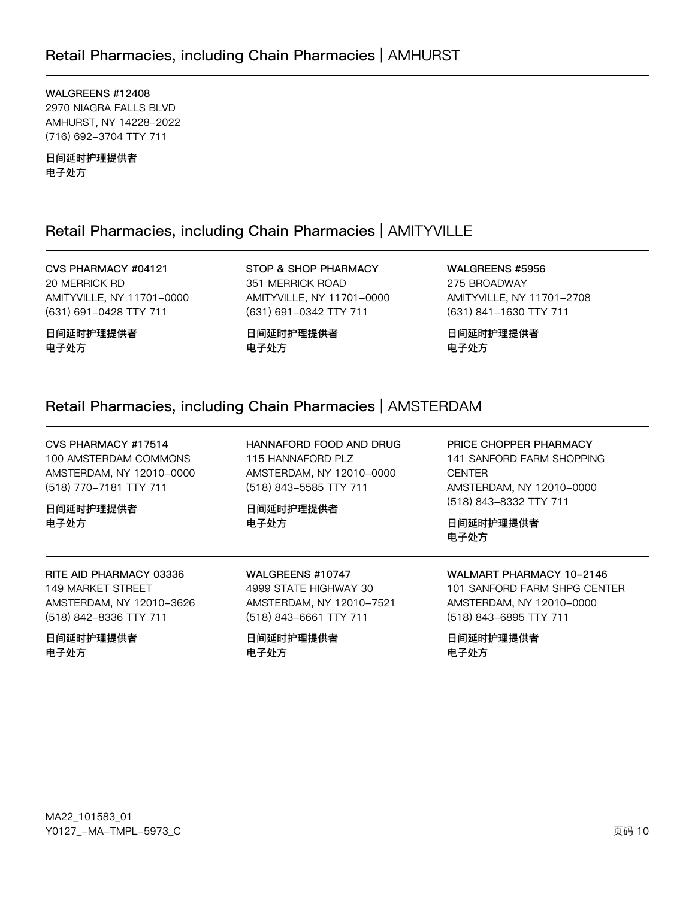## Retail Pharmacies, including Chain Pharmacies | AMHURST

WALGREENS #12408 2970 NIAGRA FALLS BLVD AMHURST, NY 14228-2022 (716) 692-3704 TTY 711

日间延时护理提供者 电子处方

### Retail Pharmacies, including Chain Pharmacies | AMITYVILLE

CVS PHARMACY #04121 20 MERRICK RD AMITYVILLE, NY 11701-0000 (631) 691-0428 TTY 711

日间延时护理提供者 电子处方

STOP & SHOP PHARMACY 351 MERRICK ROAD AMITYVILLE, NY 11701-0000 (631) 691-0342 TTY 711

日间延时护理提供者 电子处方

WALGREENS #5956 275 BROADWAY AMITYVILLE, NY 11701-2708 (631) 841-1630 TTY 711

日间延时护理提供者 电子处方

# Retail Pharmacies, including Chain Pharmacies | AMSTERDAM

| CVS PHARMACY #17514<br>100 AMSTERDAM COMMONS<br>AMSTERDAM, NY 12010-0000<br>(518) 770-7181 TTY 711<br>日间延时护理提供者<br>电子处方 | HANNAFORD FOOD AND DRUG<br>115 HANNAFORD PLZ<br>AMSTERDAM, NY 12010-0000<br>(518) 843-5585 TTY 711<br>日间延时护理提供者<br>电子处方 | PRICE CHOPPER PHARMACY<br>141 SANFORD FARM SHOPPING<br><b>CENTER</b><br>AMSTERDAM, NY 12010-0000<br>(518) 843-8332 TTY 711<br>日间延时护理提供者<br>电子处方 |
|-------------------------------------------------------------------------------------------------------------------------|-------------------------------------------------------------------------------------------------------------------------|-------------------------------------------------------------------------------------------------------------------------------------------------|
| RITE AID PHARMACY 03336                                                                                                 | WALGREENS #10747                                                                                                        | WALMART PHARMACY 10-2146                                                                                                                        |
| 149 MARKET STREET                                                                                                       | 4999 STATE HIGHWAY 30                                                                                                   | 101 SANFORD FARM SHPG CENTER                                                                                                                    |
| AMSTERDAM, NY 12010-3626                                                                                                | AMSTERDAM, NY 12010-7521                                                                                                | AMSTERDAM, NY 12010-0000                                                                                                                        |
| (518) 842-8336 TTY 711                                                                                                  | (518) 843-6661 TTY 711                                                                                                  | (518) 843-6895 TTY 711                                                                                                                          |
| 日间延时护理提供者                                                                                                               | 日间延时护理提供者                                                                                                               | 日间延时护理提供者                                                                                                                                       |
| 电子处方                                                                                                                    | 电子处方                                                                                                                    | 电子处方                                                                                                                                            |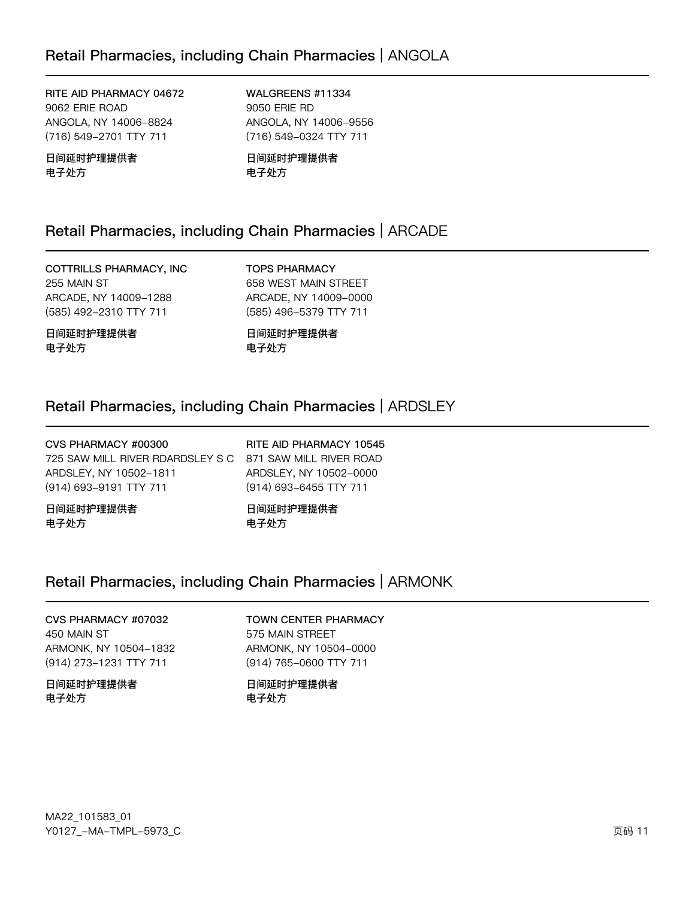RITE AID PHARMACY 04672 9062 ERIE ROAD ANGOLA, NY 14006-8824 (716) 549-2701 TTY 711

日间延时护理提供者 电子处方

WALGREENS #11334 9050 ERIE RD ANGOLA, NY 14006-9556 (716) 549-0324 TTY 711

日间延时护理提供者 电子处方

## Retail Pharmacies, including Chain Pharmacies | ARCADE

COTTRILLS PHARMACY, INC 255 MAIN ST ARCADE, NY 14009-1288 (585) 492-2310 TTY 711

日间延时护理提供者 电子处方

**TOPS PHARMACY** 658 WEST MAIN STREET ARCADE, NY 14009-0000 (585) 496-5379 TTY 711

日间延时护理提供者 电子处方

## Retail Pharmacies, including Chain Pharmacies | ARDSLEY

| CVS PHARMACY #00300<br>725 SAW MILL RIVER RDARDSLEY S C 871 SAW MILL RIVER ROAD | RITE AID PHARMACY 10545 |
|---------------------------------------------------------------------------------|-------------------------|
| ARDSLEY. NY 10502-1811                                                          | ARDSLEY, NY 10502-0000  |
| (914) 693-9191 TTY 711                                                          | (914) 693-6455 TTY 711  |
| 日间延时护理提供者                                                                       | 日间延时护理提供者               |
| 电子处方                                                                            | 电子处方                    |

# Retail Pharmacies, including Chain Pharmacies | ARMONK

CVS PHARMACY #07032 450 MAIN ST ARMONK, NY 10504-1832 (914) 273-1231 TTY 711

日间延时护理提供者 电子处方

### **TOWN CENTER PHARMACY**

575 MAIN STREET ARMONK, NY 10504-0000 (914) 765-0600 TTY 711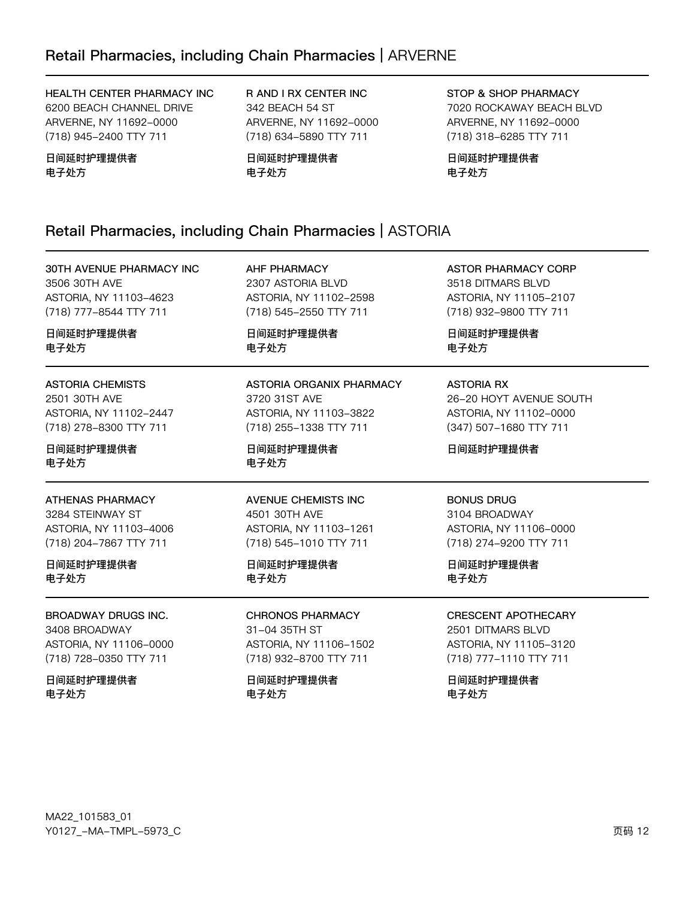HEALTH CENTER PHARMACY INC 6200 BEACH CHANNEL DRIVE ARVERNE, NY 11692-0000 (718) 945-2400 TTY 711

日间延时护理提供者 电子处方

R AND I RX CENTER INC 342 BEACH 54 ST ARVERNE, NY 11692-0000 (718) 634-5890 TTY 711

日间延时护理提供者 电子处方

**STOP & SHOP PHARMACY** 7020 ROCKAWAY BEACH BLVD ARVERNE, NY 11692-0000 (718) 318-6285 TTY 711

日间延时护理提供者 电子处方

# Retail Pharmacies, including Chain Pharmacies | ASTORIA

30TH AVENUE PHARMACY INC 3506 30TH AVE ASTORIA, NY 11103-4623 (718) 777-8544 TTY 711

日间延时护理提供者 电子外方

## **ASTORIA CHEMISTS**

2501 30TH AVE ASTORIA, NY 11102-2447 (718) 278-8300 TTY 711

日间延时护理提供者 电子处方

### **ATHENAS PHARMACY**

3284 STEINWAY ST ASTORIA, NY 11103-4006 (718) 204-7867 TTY 711

日间延时护理提供者 电子处方

BROADWAY DRUGS INC. 3408 BROADWAY ASTORIA, NY 11106-0000 (718) 728-0350 TTY 711

日间延时护理提供者 电子处方

**AHF PHARMACY** 2307 ASTORIA BLVD ASTORIA, NY 11102-2598 (718) 545-2550 TTY 711

日间延时护理提供者 电子外方

#### ASTORIA ORGANIX PHARMACY 3720 31ST AVE ASTORIA, NY 11103-3822 (718) 255-1338 TTY 711

日间延时护理提供者 电子处方

### **AVENUE CHEMISTS INC** 4501 30TH AVE ASTORIA, NY 11103-1261 (718) 545-1010 TTY 711

### 日间延时护理提供者 电子处方

**CHRONOS PHARMACY** 31-04 35TH ST ASTORIA, NY 11106-1502 (718) 932-8700 TTY 711

日间延时护理提供者 电子处方

**ASTOR PHARMACY CORP** 3518 DITMARS BLVD ASTORIA, NY 11105-2107 (718) 932-9800 TTY 711

日间延时护理提供者 电子外方

### **ASTORIA RX**

26-20 HOYT AVENUE SOUTH ASTORIA, NY 11102-0000 (347) 507-1680 TTY 711

日间延时护理提供者

### **BONUS DRUG**

3104 BROADWAY ASTORIA, NY 11106-0000 (718) 274-9200 TTY 711

日间延时护理提供者 电子处方

#### **CRESCENT APOTHECARY** 2501 DITMARS BLVD ASTORIA, NY 11105-3120 (718) 777-1110 TTY 711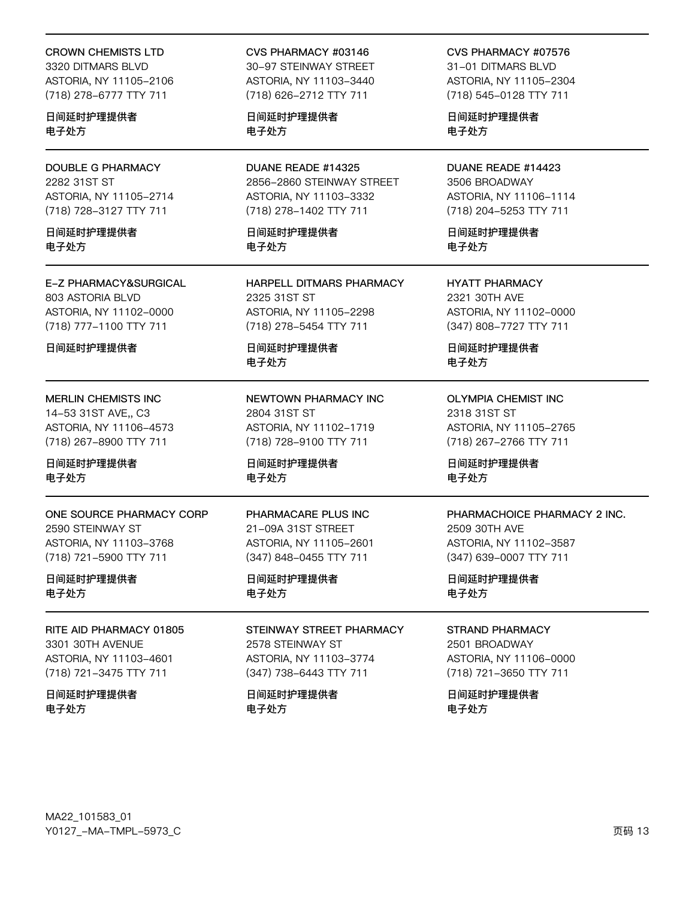#### **CROWN CHEMISTS LTD**

3320 DITMARS BLVD ASTORIA, NY 11105-2106 (718) 278-6777 TTY 711

日间延时护理提供者 电子处方

**DOUBLE G PHARMACY** 2282 31ST ST ASTORIA, NY 11105-2714 (718) 728-3127 TTY 711

日间延时护理提供者 电子外方

### E-Z PHARMACY&SURGICAL 803 ASTORIA BLVD

ASTORIA, NY 11102-0000 (718) 777-1100 TTY 711

日间延时护理提供者

#### MERLIN CHEMISTS INC

14-53 31ST AVE,, C3 ASTORIA, NY 11106-4573 (718) 267-8900 TTY 711

日间延时护理提供者 电子处方

#### ONE SOURCE PHARMACY CORP 2590 STEINWAY ST ASTORIA, NY 11103-3768 (718) 721-5900 TTY 711

日间延时护理提供者 电子处方

### RITE AID PHARMACY 01805 3301 30TH AVENUE ASTORIA, NY 11103-4601 (718) 721-3475 TTY 711

日间延时护理提供者 电子处方

#### CVS PHARMACY #03146

30-97 STEINWAY STREET ASTORIA, NY 11103-3440 (718) 626-2712 TTY 711

日间延时护理提供者 电子处方

DUANE READE #14325 2856-2860 STEINWAY STREET ASTORIA, NY 11103-3332 (718) 278-1402 TTY 711

日间延时护理提供者 电子外方

HARPELL DITMARS PHARMACY 2325 31ST ST ASTORIA, NY 11105-2298 (718) 278-5454 TTY 711

日间延时护理提供者 电子处方

NEWTOWN PHARMACY INC 2804 31ST ST ASTORIA, NY 11102-1719 (718) 728-9100 TTY 711

日间延时护理提供者 电子处方

#### PHARMACARE PLUS INC 21-09A 31ST STREET ASTORIA, NY 11105-2601 (347) 848-0455 TTY 711

日间延时护理提供者 电子处方

STEINWAY STREET PHARMACY 2578 STEINWAY ST ASTORIA, NY 11103-3774 (347) 738-6443 TTY 711

日间延时护理提供者 电子处方

CVS PHARMACY #07576

31-01 DITMARS BLVD ASTORIA, NY 11105-2304 (718) 545-0128 TTY 711

日间延时护理提供者 电子处方

DUANE READE #14423 3506 BROADWAY ASTORIA, NY 11106-1114 (718) 204-5253 TTY 711

日间延时护理提供者 电子外方

**HYATT PHARMACY** 2321 30TH AVE ASTORIA, NY 11102-0000 (347) 808-7727 TTY 711

日间延时护理提供者 电子处方

**OLYMPIA CHEMIST INC** 2318 31ST ST ASTORIA, NY 11105-2765 (718) 267-2766 TTY 711

日间延时护理提供者 电子处方

#### PHARMACHOICE PHARMACY 2 INC.

2509 30TH AVE ASTORIA, NY 11102-3587 (347) 639-0007 TTY 711

日间延时护理提供者 电子处方

#### **STRAND PHARMACY**

2501 BROADWAY ASTORIA, NY 11106-0000 (718) 721-3650 TTY 711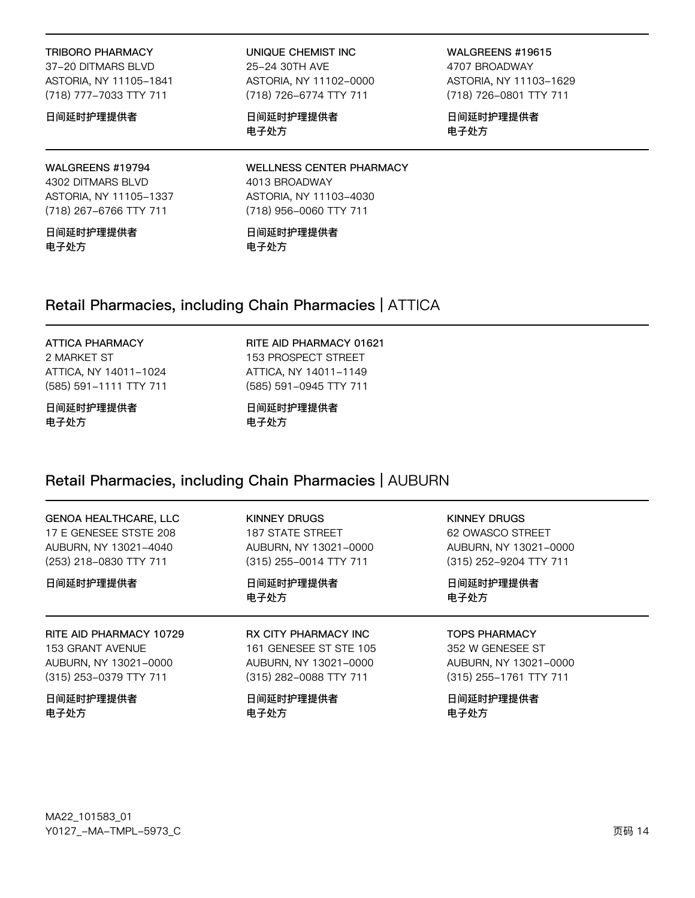#### TRIBORO PHARMACY

37-20 DITMARS BLVD ASTORIA, NY 11105-1841 (718) 777-7033 TTY 711

#### 日间延时护理提供者

# WALGREENS #19794

4302 DITMARS BLVD ASTORIA, NY 11105-1337 (718) 267-6766 TTY 711

日间延时护理提供者 电子处方

#### UNIQUE CHEMIST INC 25-24 30TH AVE ASTORIA, NY 11102-0000 (718) 726-6774 TTY 711

日间延时护理提供者 电子处方

WALGREENS #19615 4707 BROADWAY ASTORIA, NY 11103-1629 (718) 726-0801 TTY 711

日间延时护理提供者 电子处方

**WELLNESS CENTER PHARMACY** 4013 BROADWAY ASTORIA, NY 11103-4030 (718) 956-0060 TTY 711

日间延时护理提供者 电子处方

### Retail Pharmacies, including Chain Pharmacies | ATTICA

## **ATTICA PHARMACY**

2 MARKET ST ATTICA, NY 14011-1024 (585) 591-1111 TTY 711

#### 日间延时护理提供者 电子处方

RITE AID PHARMACY 01621 153 PROSPECT STREET ATTICA, NY 14011-1149 (585) 591-0945 TTY 711

日间延时护理提供者 电子处方

# Retail Pharmacies, including Chain Pharmacies | AUBURN

| <b>GENOA HEALTHCARE, LLC</b> | KINNEY DRUGS                | KINNEY DRUGS           |
|------------------------------|-----------------------------|------------------------|
| 17 E GENESEE STSTE 208       | 187 STATE STREET            | 62 OWASCO STREET       |
| AUBURN, NY 13021-4040        | AUBURN, NY 13021-0000       | AUBURN, NY 13021-0000  |
| (253) 218-0830 TTY 711       | (315) 255-0014 TTY 711      | (315) 252-9204 TTY 711 |
| 日间延时护理提供者                    | 日间延时护理提供者<br>电子处方           | 日间延时护理提供者<br>电子处方      |
|                              |                             |                        |
| RITE AID PHARMACY 10729      | <b>RX CITY PHARMACY INC</b> | <b>TOPS PHARMACY</b>   |
| 153 GRANT AVENUE             | 161 GENESEE ST STE 105      | 352 W GENESEE ST       |
| AUBURN, NY 13021-0000        | AUBURN, NY 13021-0000       | AUBURN, NY 13021-0000  |
| (315) 253-0379 TTY 711       | (315) 282-0088 TTY 711      | (315) 255-1761 TTY 711 |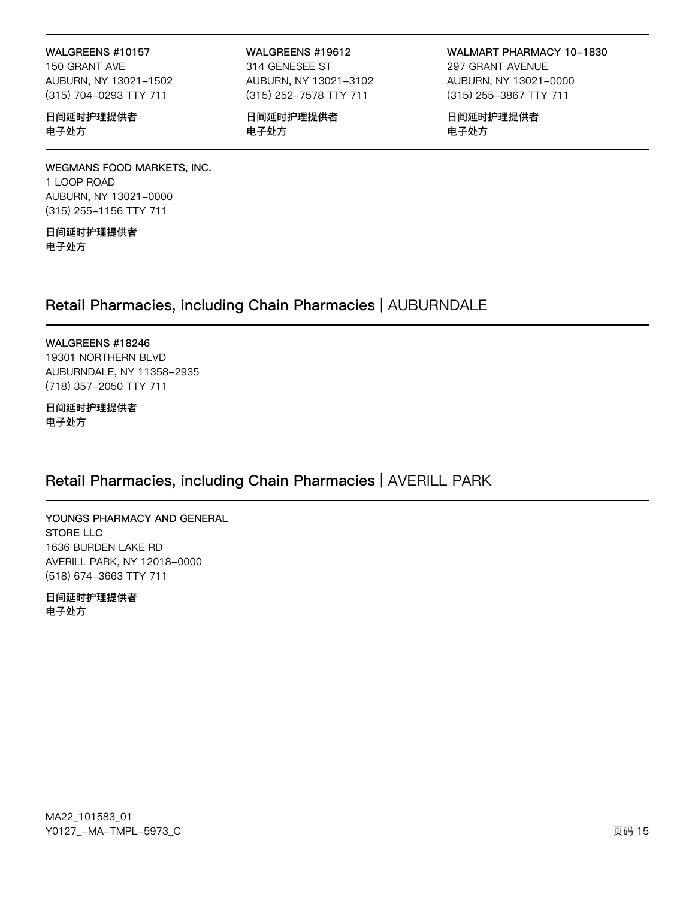## WALGREENS #10157

150 GRANT AVE AUBURN, NY 13021-1502 (315) 704-0293 TTY 711

### 日间延时护理提供者 电子处方

#### WALGREENS #19612 314 GENESEE ST AUBURN, NY 13021-3102 (315) 252-7578 TTY 711

日间延时护理提供者 电子处方

WALMART PHARMACY 10-1830 297 GRANT AVENUE AUBURN, NY 13021-0000 (315) 255-3867 TTY 711

日间延时护理提供者 电子处方

### WEGMANS FOOD MARKETS, INC. 1 LOOP ROAD AUBURN, NY 13021-0000 (315) 255-1156 TTY 711

日间延时护理提供者 电子处方

# Retail Pharmacies, including Chain Pharmacies | AUBURNDALE

#### WALGREENS #18246

19301 NORTHERN BLVD AUBURNDALE, NY 11358-2935 (718) 357-2050 TTY 711

日间延时护理提供者 电子处方

# Retail Pharmacies, including Chain Pharmacies | AVERILL PARK

### YOUNGS PHARMACY AND GENERAL **STORE LLC** 1636 BURDEN LAKE RD AVERILL PARK, NY 12018-0000 (518) 674-3663 TTY 711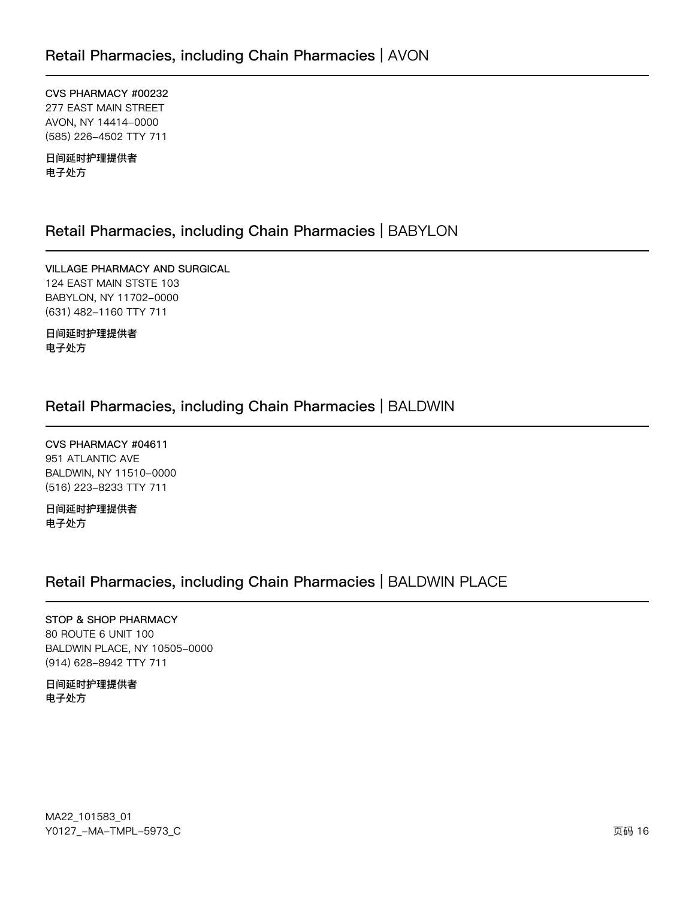CVS PHARMACY #00232 277 EAST MAIN STREET AVON, NY 14414-0000 (585) 226-4502 TTY 711

日间延时护理提供者 电子处方

# Retail Pharmacies, including Chain Pharmacies | BABYLON

VILLAGE PHARMACY AND SURGICAL 124 EAST MAIN STSTE 103 BABYLON, NY 11702-0000 (631) 482-1160 TTY 711

日间延时护理提供者 电子处方

# Retail Pharmacies, including Chain Pharmacies | BALDWIN

CVS PHARMACY #04611 951 ATLANTIC AVE BALDWIN, NY 11510-0000 (516) 223-8233 TTY 711

日间延时护理提供者 电子处方

# Retail Pharmacies, including Chain Pharmacies | BALDWIN PLACE

### STOP & SHOP PHARMACY

80 ROUTE 6 UNIT 100 BALDWIN PLACE, NY 10505-0000 (914) 628-8942 TTY 711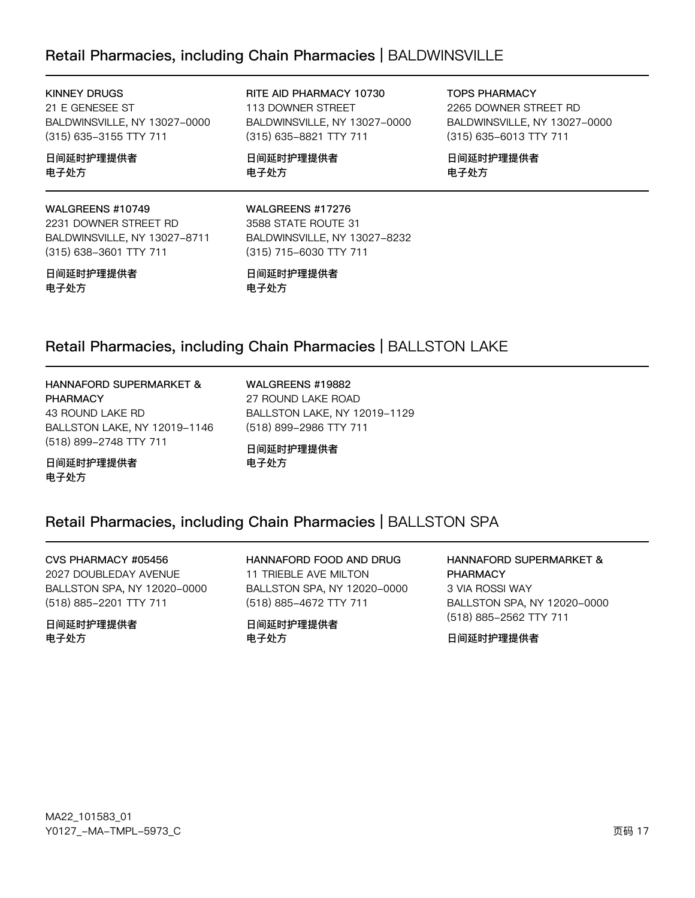# Retail Pharmacies, including Chain Pharmacies | BALDWINSVILLE

**KINNEY DRUGS** 21 E GENESEE ST BALDWINSVILLE, NY 13027-0000 (315) 635-3155 TTY 711

#### 日间延时护理提供者 电子处方

#### WALGREENS #10749

2231 DOWNER STREET RD BALDWINSVILLE, NY 13027-8711 (315) 638-3601 TTY 711

#### 日间延时护理提供者 电子处方

RITE AID PHARMACY 10730 113 DOWNER STREET BALDWINSVILLE, NY 13027-0000 (315) 635-8821 TTY 711

日间延时护理提供者 电子处方

**TOPS PHARMACY** 

2265 DOWNER STREET RD BALDWINSVILLE, NY 13027-0000 (315) 635-6013 TTY 711

日间延时护理提供者 电子处方

### WALGREENS #17276 3588 STATE ROUTE 31 BALDWINSVILLE, NY 13027-8232 (315) 715-6030 TTY 711

日间延时护理提供者 电子处方

# Retail Pharmacies, including Chain Pharmacies | BALLSTON LAKE

HANNAFORD SUPERMARKET & **PHARMACY** 43 ROUND LAKE RD BALLSTON LAKE, NY 12019-1146 (518) 899-2748 TTY 711

日间延时护理提供者 电子处方

WALGREENS #19882 27 ROUND LAKE ROAD BALLSTON LAKE, NY 12019-1129 (518) 899-2986 TTY 711

日间延时护理提供者 电子处方

### Retail Pharmacies, including Chain Pharmacies | BALLSTON SPA

CVS PHARMACY #05456 2027 DOUBLEDAY AVENUE BALLSTON SPA, NY 12020-0000 (518) 885-2201 TTY 711

日间延时护理提供者 电子外方

HANNAFORD FOOD AND DRUG 11 TRIEBLE AVE MILTON BALLSTON SPA, NY 12020-0000 (518) 885-4672 TTY 711

日间延时护理提供者 电子外方

HANNAFORD SUPERMARKET & **PHARMACY** 3 VIA ROSSI WAY BALLSTON SPA, NY 12020-0000 (518) 885-2562 TTY 711

日间延时护理提供者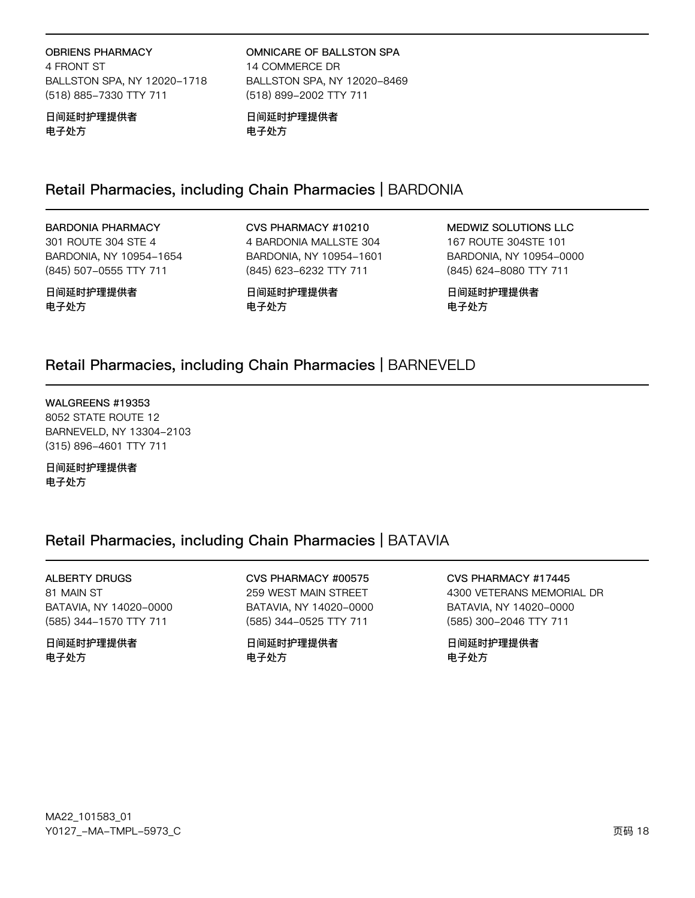### **OBRIENS PHARMACY**

4 FRONT ST BALLSTON SPA, NY 12020-1718 (518) 885-7330 TTY 711

#### 日间延时护理提供者 电子处方

OMNICARE OF BALLSTON SPA 14 COMMERCE DR BALLSTON SPA, NY 12020-8469 (518) 899-2002 TTY 711

日间延时护理提供者 电子处方

# Retail Pharmacies, including Chain Pharmacies | BARDONIA

### **BARDONIA PHARMACY**

301 ROUTE 304 STE 4 BARDONIA, NY 10954-1654 (845) 507-0555 TTY 711

CVS PHARMACY #10210 4 BARDONIA MALLSTE 304 BARDONIA, NY 10954-1601 (845) 623-6232 TTY 711

**MEDWIZ SOLUTIONS LLC** 167 ROUTE 304STE 101

BARDONIA, NY 10954-0000 (845) 624-8080 TTY 711

日间延时护理提供者 电子处方

日间延时护理提供者 电子处方

日间延时护理提供者 电子处方

## Retail Pharmacies, including Chain Pharmacies | BARNEVELD

WALGREENS #19353 8052 STATE ROUTE 12 BARNEVELD, NY 13304-2103 (315) 896-4601 TTY 711

日间延时护理提供者 电子处方

# Retail Pharmacies, including Chain Pharmacies | BATAVIA

**ALBERTY DRUGS** 81 MAIN ST

BATAVIA, NY 14020-0000 (585) 344-1570 TTY 711

日间延时护理提供者 电子处方

CVS PHARMACY #00575 259 WEST MAIN STREET BATAVIA, NY 14020-0000 (585) 344-0525 TTY 711

日间延时护理提供者 电子处方

CVS PHARMACY #17445 4300 VETERANS MEMORIAL DR BATAVIA, NY 14020-0000 (585) 300-2046 TTY 711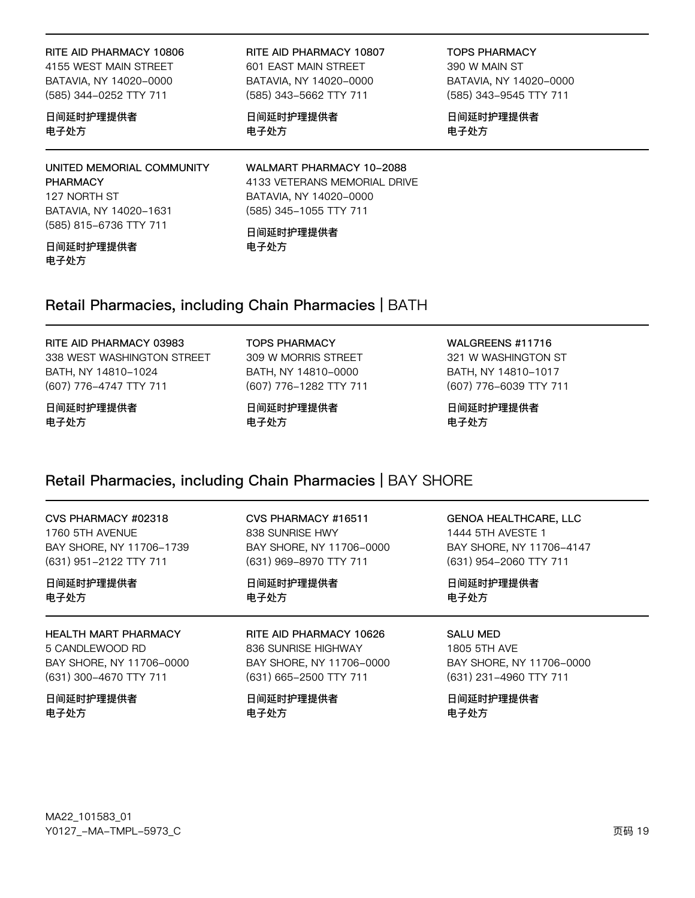#### RITE AID PHARMACY 10806

4155 WEST MAIN STREET BATAVIA, NY 14020-0000 (585) 344-0252 TTY 711

### 日间延时护理提供者 电子处方

# UNITED MEMORIAL COMMUNITY

**PHARMACY** 127 NORTH ST BATAVIA, NY 14020-1631 (585) 815-6736 TTY 711

#### 日间延时护理提供者 电子处方

#### RITE AID PHARMACY 10807 601 EAST MAIN STREET BATAVIA, NY 14020-0000 (585) 343-5662 TTY 711

日间延时护理提供者 电子处方

### **TOPS PHARMACY** 390 W MAIN ST

BATAVIA, NY 14020-0000 (585) 343-9545 TTY 711

日间延时护理提供者 电子处方

WALMART PHARMACY 10-2088 4133 VETERANS MEMORIAL DRIVE BATAVIA, NY 14020-0000 (585) 345-1055 TTY 711

#### 日间延时护理提供者 电子处方

## Retail Pharmacies, including Chain Pharmacies | BATH

### RITE AID PHARMACY 03983

338 WEST WASHINGTON STREET BATH, NY 14810-1024 (607) 776-4747 TTY 711

日间延时护理提供者 电子处方

**TOPS PHARMACY** 309 W MORRIS STREET BATH, NY 14810-0000 (607) 776-1282 TTY 711

日间延时护理提供者 电子处方

WALGREENS #11716

321 W WASHINGTON ST BATH, NY 14810-1017 (607) 776-6039 TTY 711

日间延时护理提供者 电子处方

# Retail Pharmacies, including Chain Pharmacies | BAY SHORE

| CVS PHARMACY #02318         | CVS PHARMACY #16511      | <b>GENOA HEALTHCARE, LLC</b> |
|-----------------------------|--------------------------|------------------------------|
| 1760 5TH AVENUE             | 838 SUNRISE HWY          | 1444 5TH AVESTE 1            |
| BAY SHORE, NY 11706-1739    | BAY SHORE, NY 11706-0000 | BAY SHORE, NY 11706-4147     |
| (631) 951-2122 TTY 711      | (631) 969-8970 TTY 711   | (631) 954-2060 TTY 711       |
| 日间延时护理提供者                   | 日间延时护理提供者                | 日间延时护理提供者                    |
| 电子处方                        | 电子处方                     | 电子处方                         |
| <b>HEALTH MART PHARMACY</b> | RITE AID PHARMACY 10626  | <b>SALU MED</b>              |
| 5 CANDLEWOOD RD             | 836 SUNRISE HIGHWAY      | 1805 5TH AVE                 |
| BAY SHORE, NY 11706-0000    | BAY SHORE, NY 11706-0000 | BAY SHORE, NY 11706-0000     |
| (631) 300-4670 TTY 711      | (631) 665-2500 TTY 711   | (631) 231-4960 TTY 711       |
| □ 心花叶竹曲担 /#土                | 日心花叶竹花叶树叶                | 口心花叶竹曲担伴名                    |

日间延时护理提供者 电子处方

日间延时护理提供者 电子处方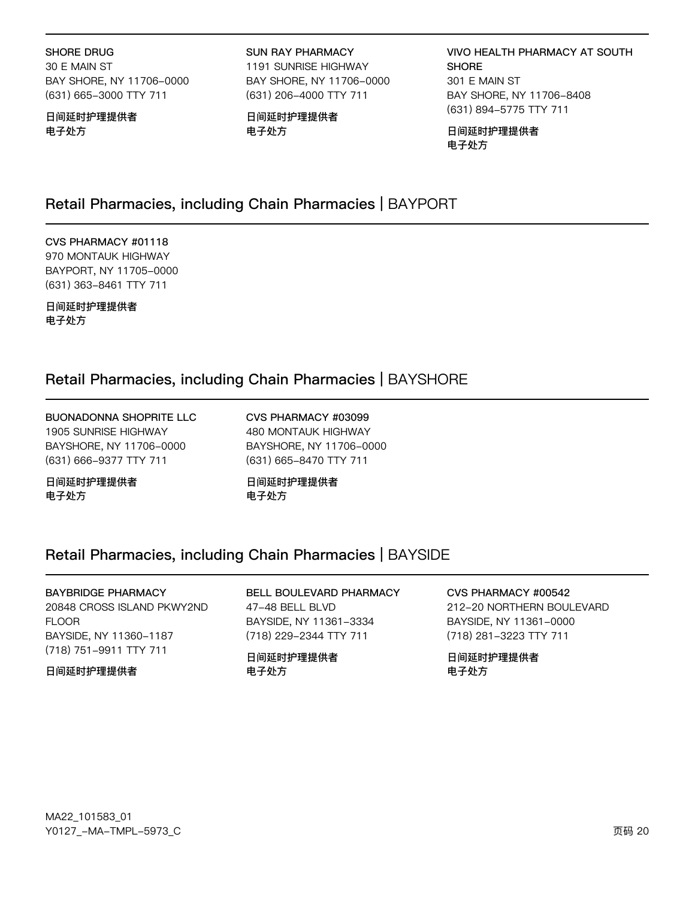#### SHORE DRUG

30 E MAIN ST BAY SHORE, NY 11706-0000 (631) 665-3000 TTY 711

#### 日间延时护理提供者 电子处方

#### **SUN RAY PHARMACY**

1191 SUNRISE HIGHWAY BAY SHORE, NY 11706-0000 (631) 206-4000 TTY 711

日间延时护理提供者 电子处方

**VIVO HEALTH PHARMACY AT SOUTH SHORE** 301 E MAIN ST BAY SHORE, NY 11706-8408 (631) 894-5775 TTY 711

日间延时护理提供者 电子处方

### Retail Pharmacies, including Chain Pharmacies | BAYPORT

CVS PHARMACY #01118 970 MONTAUK HIGHWAY BAYPORT, NY 11705-0000 (631) 363-8461 TTY 711

日间延时护理提供者 电子处方

# Retail Pharmacies, including Chain Pharmacies | BAYSHORE

**BUONADONNA SHOPRITE LLC** 1905 SUNRISE HIGHWAY BAYSHORE, NY 11706-0000 (631) 666-9377 TTY 711

日间延时护理提供者 电子处方

CVS PHARMACY #03099 480 MONTAUK HIGHWAY BAYSHORE, NY 11706-0000 (631) 665-8470 TTY 711

日间延时护理提供者 电子处方

### Retail Pharmacies, including Chain Pharmacies | BAYSIDE

#### **BAYBRIDGE PHARMACY** 20848 CROSS ISLAND PKWY2ND **FLOOR** BAYSIDE, NY 11360-1187

(718) 751-9911 TTY 711

#### 日间延时护理提供者

BELL BOULEVARD PHARMACY 47-48 BELL BLVD BAYSIDE, NY 11361-3334 (718) 229-2344 TTY 711

### 日间延时护理提供者 电子处方

#### CVS PHARMACY #00542 212-20 NORTHERN BOULEVARD BAYSIDE, NY 11361-0000

(718) 281-3223 TTY 711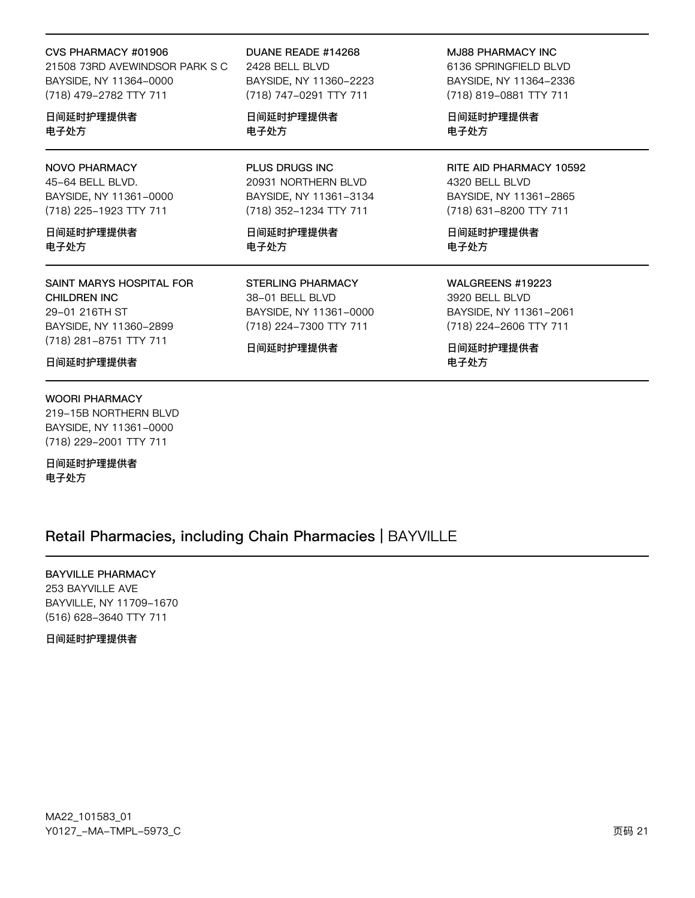#### CVS PHARMACY #01906

21508 73RD AVEWINDSOR PARK S C BAYSIDE, NY 11364-0000 (718) 479-2782 TTY 711

日间延时护理提供者 电子处方

### **NOVO PHARMACY**

45-64 BELL BLVD. BAYSIDE, NY 11361-0000 (718) 225-1923 TTY 711

日间延时护理提供者 电子处方

### SAINT MARYS HOSPITAL FOR CHILDREN INC 29-01 216TH ST

BAYSIDE, NY 11360-2899 (718) 281-8751 TTY 711

日间延时护理提供者

#### **WOORI PHARMACY**

219-15B NORTHERN BLVD BAYSIDE, NY 11361-0000 (718) 229-2001 TTY 711

日间延时护理提供者 电子处方

### DUANE READE #14268 2428 BELL BLVD BAYSIDE, NY 11360-2223

(718) 747-0291 TTY 711

日间延时护理提供者 电子处方

PLUS DRUGS INC 20931 NORTHERN BLVD BAYSIDE, NY 11361-3134 (718) 352-1234 TTY 711

日间延时护理提供者 电子处方

**STERLING PHARMACY** 38-01 BELL BLVD BAYSIDE, NY 11361-0000 (718) 224-7300 TTY 711

日间延时护理提供者

MJ88 PHARMACY INC

6136 SPRINGFIELD BLVD BAYSIDE, NY 11364-2336 (718) 819-0881 TTY 711

日间延时护理提供者 电子处方

RITE AID PHARMACY 10592 4320 BELL BLVD BAYSIDE, NY 11361-2865 (718) 631-8200 TTY 711

日间延时护理提供者 电子处方

WALGREENS #19223

3920 BELL BLVD BAYSIDE, NY 11361-2061 (718) 224-2606 TTY 711

日间延时护理提供者 电子处方

## Retail Pharmacies, including Chain Pharmacies | BAYVILLE

**BAYVILLE PHARMACY** 

253 BAYVILLE AVE BAYVILLE, NY 11709-1670 (516) 628-3640 TTY 711

日间延时护理提供者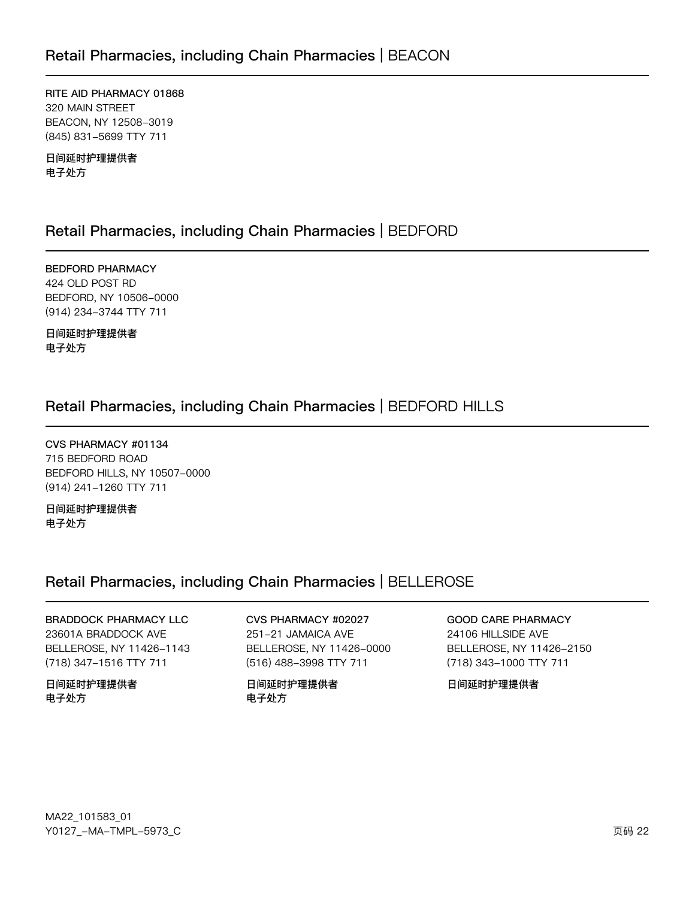RITE AID PHARMACY 01868 320 MAIN STREET BEACON, NY 12508-3019 (845) 831-5699 TTY 711

日间延时护理提供者 电子处方

# Retail Pharmacies, including Chain Pharmacies | BEDFORD

**BEDFORD PHARMACY** 424 OLD POST RD BEDFORD, NY 10506-0000 (914) 234-3744 TTY 711

日间延时护理提供者 电子处方

# Retail Pharmacies, including Chain Pharmacies | BEDFORD HILLS

CVS PHARMACY #01134 715 BEDFORD ROAD BEDFORD HILLS, NY 10507-0000 (914) 241-1260 TTY 711

日间延时护理提供者 电子处方

# Retail Pharmacies, including Chain Pharmacies | BELLEROSE

**BRADDOCK PHARMACY LLC** 23601A BRADDOCK AVE BELLEROSE, NY 11426-1143 (718) 347-1516 TTY 711

日间延时护理提供者 电子处方

#### CVS PHARMACY #02027 251-21 JAMAICA AVE BELLEROSE, NY 11426-0000 (516) 488-3998 TTY 711

日间延时护理提供者 电子处方

### **GOOD CARE PHARMACY**

24106 HILLSIDE AVE BELLEROSE, NY 11426-2150 (718) 343-1000 TTY 711

日间延时护理提供者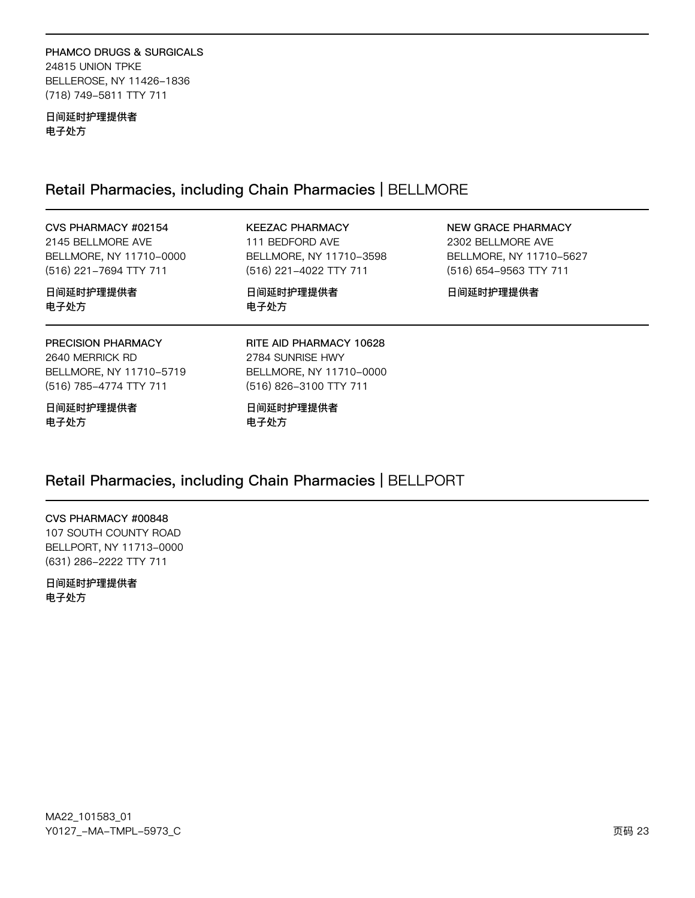### PHAMCO DRUGS & SURGICALS 24815 UNION TPKE BELLEROSE, NY 11426-1836 (718) 749-5811 TTY 711

日间延时护理提供者 电子处方

# Retail Pharmacies, including Chain Pharmacies | BELLMORE

| CVS PHARMACY #02154<br>2145 BELLMORE AVE<br>BELLMORE, NY 11710-0000<br>(516) 221-7694 TTY 711 | <b>KEEZAC PHARMACY</b><br>111 BEDFORD AVE<br>BELLMORE, NY 11710-3598<br>(516) 221-4022 TTY 711   | NEW GRACE PHARMACY<br>2302 BELLMORE AVE<br>BELLMORE, NY 11710-5627<br>(516) 654-9563 TTY 711 |
|-----------------------------------------------------------------------------------------------|--------------------------------------------------------------------------------------------------|----------------------------------------------------------------------------------------------|
| 日间延时护理提供者<br>电子处方                                                                             | 日间延时护理提供者<br>电子处方                                                                                | 日间延时护理提供者                                                                                    |
| PRECISION PHARMACY<br>2640 MERRICK RD<br>BELLMORE, NY 11710-5719<br>(516) 785-4774 TTY 711    | RITE AID PHARMACY 10628<br>2784 SUNRISE HWY<br>BELLMORE, NY 11710-0000<br>(516) 826-3100 TTY 711 |                                                                                              |
| 日间延时护理提供者<br>电子处方                                                                             | 日间延时护理提供者<br>电子处方                                                                                |                                                                                              |

# Retail Pharmacies, including Chain Pharmacies | BELLPORT

### CVS PHARMACY #00848

107 SOUTH COUNTY ROAD BELLPORT, NY 11713-0000 (631) 286-2222 TTY 711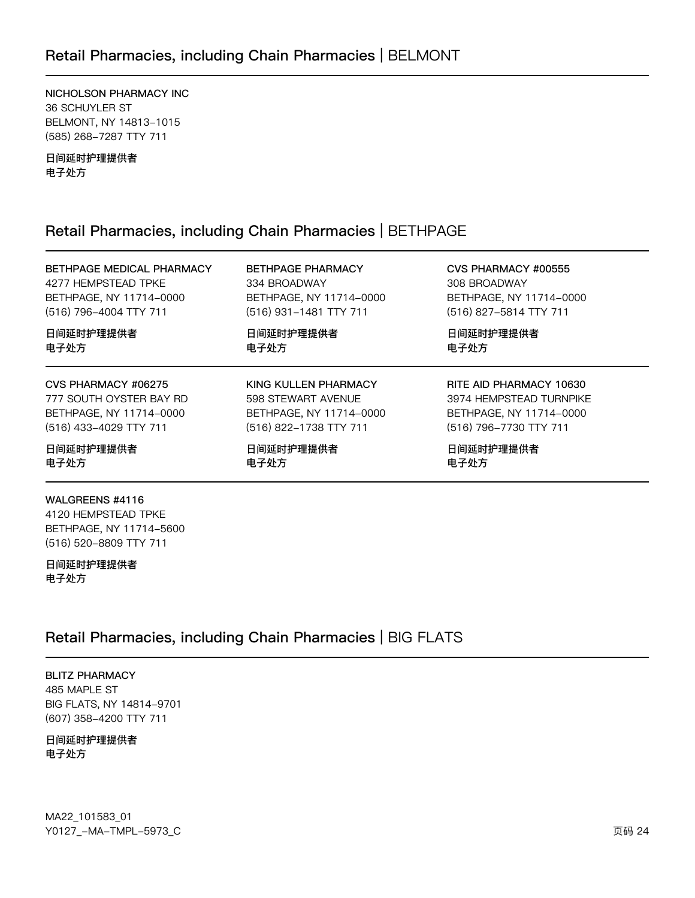## Retail Pharmacies, including Chain Pharmacies | BELMONT

NICHOLSON PHARMACY INC 36 SCHUYLER ST BELMONT, NY 14813-1015 (585) 268-7287 TTY 711

日间延时护理提供者 电子处方

### Retail Pharmacies, including Chain Pharmacies | BETHPAGE

BETHPAGE MEDICAL PHARMACY BETHPAGE PHARMACY CVS PHARMACY #00555 4277 HEMPSTEAD TPKE 334 BROADWAY 308 BROADWAY BETHPAGE, NY 11714-0000 BETHPAGE, NY 11714-0000 BETHPAGE, NY 11714-0000 (516) 796-4004 TTY 711 (516) 827-5814 TTY 711 (516) 931-1481 TTY 711 日间延时护理提供者 日间延时护理提供者 日间延时护理提供者 电子处方 电子处方 电子处方 CVS PHARMACY #06275 KING KULLEN PHARMACY RITE AID PHARMACY 10630 777 SOUTH OYSTER BAY RD 598 STEWART AVENUE 3974 HEMPSTEAD TURNPIKE BETHPAGE, NY 11714-0000 BETHPAGE, NY 11714-0000 BETHPAGE, NY 11714-0000 (516) 433-4029 TTY 711 (516) 822-1738 TTY 711 (516) 796-7730 TTY 711 日间延时护理提供者 日间延时护理提供者 日间延时护理提供者 电子处方 电子处方 电子处方 WALGREENS #4116 4120 HEMPSTEAD TPKE BETHPAGE, NY 11714-5600

(516) 520-8809 TTY 711 日间延时护理提供者

电子处方

# Retail Pharmacies, including Chain Pharmacies | BIG FLATS

**BLITZ PHARMACY** 485 MAPLE ST BIG FLATS, NY 14814-9701 (607) 358-4200 TTY 711

日间延时护理提供者 电子处方

MA22\_101583\_01 Y0127\_-MA-TMPL-5973\_C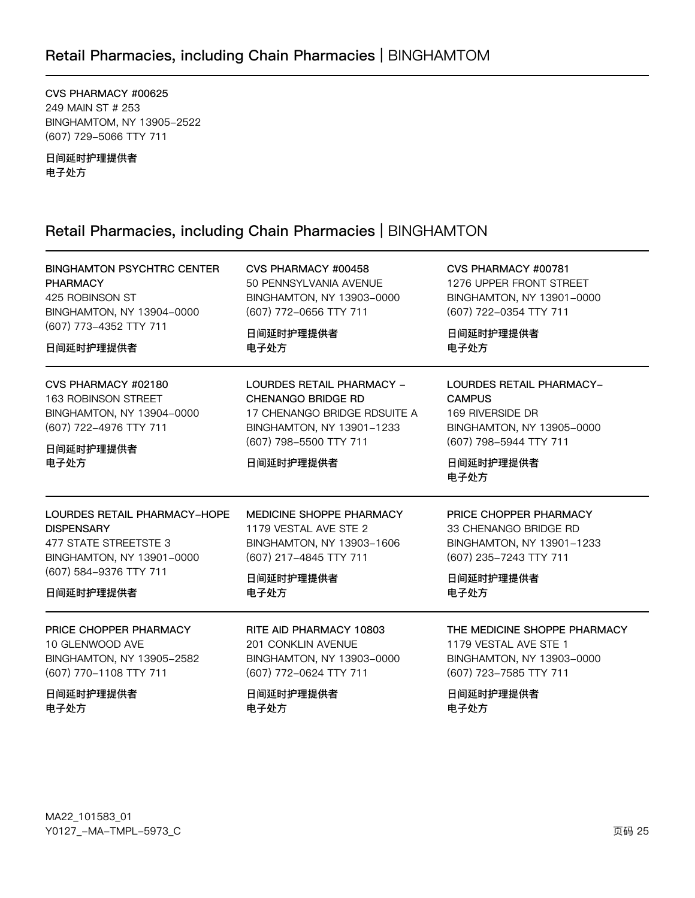# Retail Pharmacies, including Chain Pharmacies | BINGHAMTOM

CVS PHARMACY #00625 249 MAIN ST # 253 BINGHAMTOM, NY 13905-2522 (607) 729-5066 TTY 711

日间延时护理提供者 电子处方

# Retail Pharmacies, including Chain Pharmacies | BINGHAMTON

| <b>BINGHAMTON PSYCHTRC CENTER</b> | CVS PHARMACY #00458          | CVS PHARMACY #00781          |
|-----------------------------------|------------------------------|------------------------------|
| <b>PHARMACY</b>                   | 50 PENNSYLVANIA AVENUE       | 1276 UPPER FRONT STREET      |
| 425 ROBINSON ST                   | BINGHAMTON, NY 13903-0000    | BINGHAMTON, NY 13901-0000    |
| BINGHAMTON, NY 13904-0000         | (607) 772-0656 TTY 711       | (607) 722-0354 TTY 711       |
| (607) 773-4352 TTY 711            | 日间延时护理提供者                    | 日间延时护理提供者                    |
| 日间延时护理提供者                         | 电子处方                         | 电子处方                         |
| CVS PHARMACY #02180               | LOURDES RETAIL PHARMACY -    | LOURDES RETAIL PHARMACY-     |
| 163 ROBINSON STREET               | <b>CHENANGO BRIDGE RD</b>    | <b>CAMPUS</b>                |
| BINGHAMTON, NY 13904-0000         | 17 CHENANGO BRIDGE RDSUITE A | 169 RIVERSIDE DR             |
| (607) 722-4976 TTY 711            | BINGHAMTON, NY 13901-1233    | BINGHAMTON, NY 13905-0000    |
| 日间延时护理提供者                         | (607) 798-5500 TTY 711       | (607) 798-5944 TTY 711       |
| 电子处方                              | 日间延时护理提供者                    | 日间延时护理提供者<br>电子处方            |
| LOURDES RETAIL PHARMACY-HOPE      | MEDICINE SHOPPE PHARMACY     | PRICE CHOPPER PHARMACY       |
| <b>DISPENSARY</b>                 | 1179 VESTAL AVE STE 2        | 33 CHENANGO BRIDGE RD        |
| 477 STATE STREETSTE 3             | BINGHAMTON, NY 13903-1606    | BINGHAMTON, NY 13901-1233    |
| BINGHAMTON, NY 13901-0000         | (607) 217-4845 TTY 711       | (607) 235-7243 TTY 711       |
| (607) 584-9376 TTY 711            | 日间延时护理提供者                    | 日间延时护理提供者                    |
| 日间延时护理提供者                         | 电子处方                         | 电子处方                         |
| PRICE CHOPPER PHARMACY            | RITE AID PHARMACY 10803      | THE MEDICINE SHOPPE PHARMACY |
| 10 GLENWOOD AVE                   | <b>201 CONKLIN AVENUE</b>    | 1179 VESTAL AVE STE 1        |
| BINGHAMTON, NY 13905-2582         | BINGHAMTON, NY 13903-0000    | BINGHAMTON, NY 13903-0000    |
| (607) 770-1108 TTY 711            | (607) 772-0624 TTY 711       | (607) 723-7585 TTY 711       |
| 日间延时护理提供者                         | 日间延时护理提供者                    | 日间延时护理提供者                    |
| 电子处方                              | 电子处方                         | 电子处方                         |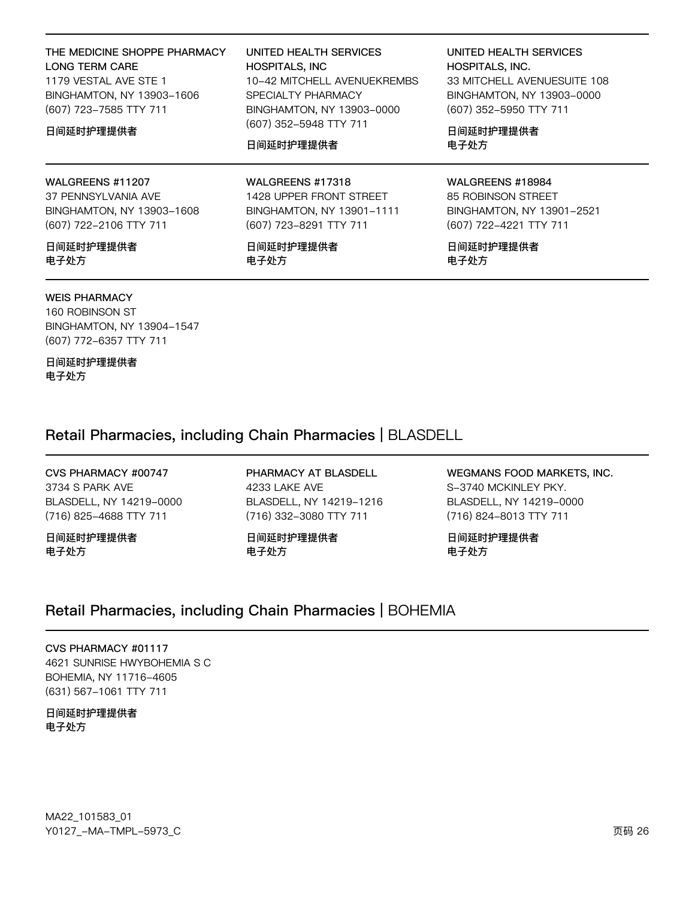| THE MEDICINE SHOPPE PHARMACY<br><b>LONG TERM CARE</b><br>1179 VESTAL AVE STE 1<br>BINGHAMTON, NY 13903-1606<br>(607) 723-7585 TTY 711<br>日间延时护理提供者 | UNITED HEALTH SERVICES<br><b>HOSPITALS, INC</b><br>10-42 MITCHELL AVENUEKREMBS<br>SPECIALTY PHARMACY<br>BINGHAMTON, NY 13903-0000<br>(607) 352-5948 TTY 711<br>日间延时护理提供者 | UNITED HEALTH SERVICES<br><b>HOSPITALS, INC.</b><br>33 MITCHELL AVENUESUITE 108<br>BINGHAMTON, NY 13903-0000<br>(607) 352-5950 TTY 711<br>日间延时护理提供者<br>电子处方 |
|----------------------------------------------------------------------------------------------------------------------------------------------------|--------------------------------------------------------------------------------------------------------------------------------------------------------------------------|-------------------------------------------------------------------------------------------------------------------------------------------------------------|
| WALGREENS #11207                                                                                                                                   | WALGREENS #17318                                                                                                                                                         | WALGREENS #18984                                                                                                                                            |
| 37 PENNSYLVANIA AVE                                                                                                                                | 1428 UPPER FRONT STREET                                                                                                                                                  | 85 ROBINSON STREET                                                                                                                                          |
| BINGHAMTON, NY 13903-1608                                                                                                                          | BINGHAMTON, NY 13901-1111                                                                                                                                                | BINGHAMTON, NY 13901-2521                                                                                                                                   |
| (607) 722-2106 TTY 711                                                                                                                             | (607) 723-8291 TTY 711                                                                                                                                                   | (607) 722-4221 TTY 711                                                                                                                                      |

日间延时护理提供者 电子处方

### **WEIS PHARMACY**

160 ROBINSON ST BINGHAMTON, NY 13904-1547 (607) 772-6357 TTY 711

日间延时护理提供者 电子处方

日间延时护理提供者 电子处方

日间延时护理提供者 电子处方

Retail Pharmacies, including Chain Pharmacies | BLASDELL

CVS PHARMACY #00747 3734 S PARK AVE BLASDELL, NY 14219-0000 (716) 825-4688 TTY 711

日间延时护理提供者 电子处方

PHARMACY AT BLASDELL 4233 LAKE AVE BLASDELL, NY 14219-1216 (716) 332-3080 TTY 711

日间延时护理提供者 电子处方

WEGMANS FOOD MARKETS, INC. S-3740 MCKINLEY PKY. BLASDELL, NY 14219-0000 (716) 824-8013 TTY 711

日间延时护理提供者 电子处方

# Retail Pharmacies, including Chain Pharmacies | BOHEMIA

CVS PHARMACY #01117 4621 SUNRISE HWYBOHEMIA S C BOHEMIA, NY 11716-4605 (631) 567-1061 TTY 711

日间延时护理提供者 电子处方

MA22\_101583\_01 Y0127\_-MA-TMPL-5973\_C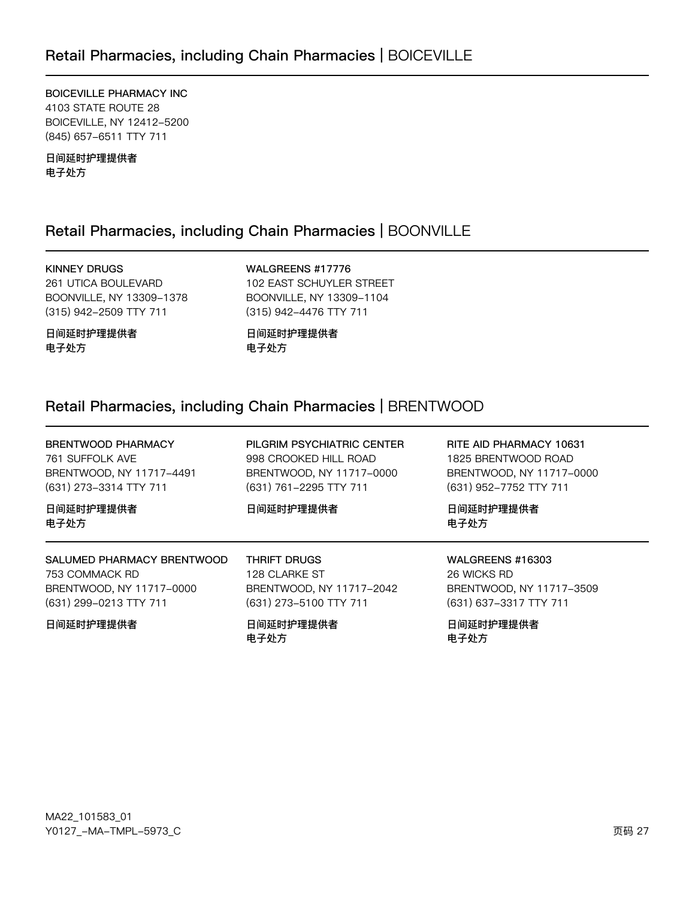BOICEVILLE PHARMACY INC 4103 STATE ROUTE 28 BOICEVILLE, NY 12412-5200 (845) 657-6511 TTY 711

日间延时护理提供者 电子处方

# Retail Pharmacies, including Chain Pharmacies | BOONVILLE

KINNEY DRUGS

261 UTICA BOULEVARD BOONVILLE, NY 13309-1378 (315) 942-2509 TTY 711

WALGREENS #17776 102 EAST SCHUYLER STREET BOONVILLE, NY 13309-1104 (315) 942-4476 TTY 711

日间延时护理提供者 电子处方

日间延时护理提供者 电子处方

# Retail Pharmacies, including Chain Pharmacies | BRENTWOOD

| BRENTWOOD PHARMACY         | PILGRIM PSYCHIATRIC CENTER | RITE AID PHARMACY 10631  |
|----------------------------|----------------------------|--------------------------|
| 761 SUFFOLK AVE            | 998 CROOKED HILL ROAD      | 1825 BRENTWOOD ROAD      |
| BRENTWOOD, NY 11717-4491   | BRENTWOOD, NY 11717-0000   | BRENTWOOD, NY 11717-0000 |
| (631) 273-3314 TTY 711     | (631) 761-2295 TTY 711     | (631) 952-7752 TTY 711   |
| 日间延时护理提供者                  | 日间延时护理提供者                  | 日间延时护理提供者                |
| 电子处方                       |                            | 电子处方                     |
|                            |                            |                          |
| SALUMED PHARMACY BRENTWOOD | THRIFT DRUGS               | <b>WALGREENS #16303</b>  |
| 753 COMMACK RD             | 128 CLARKE ST              | 26 WICKS RD              |
| BRENTWOOD, NY 11717-0000   | BRENTWOOD, NY 11717-2042   | BRENTWOOD, NY 11717-3509 |
| (631) 299-0213 TTY 711     | (631) 273-5100 TTY 711     | (631) 637-3317 TTY 711   |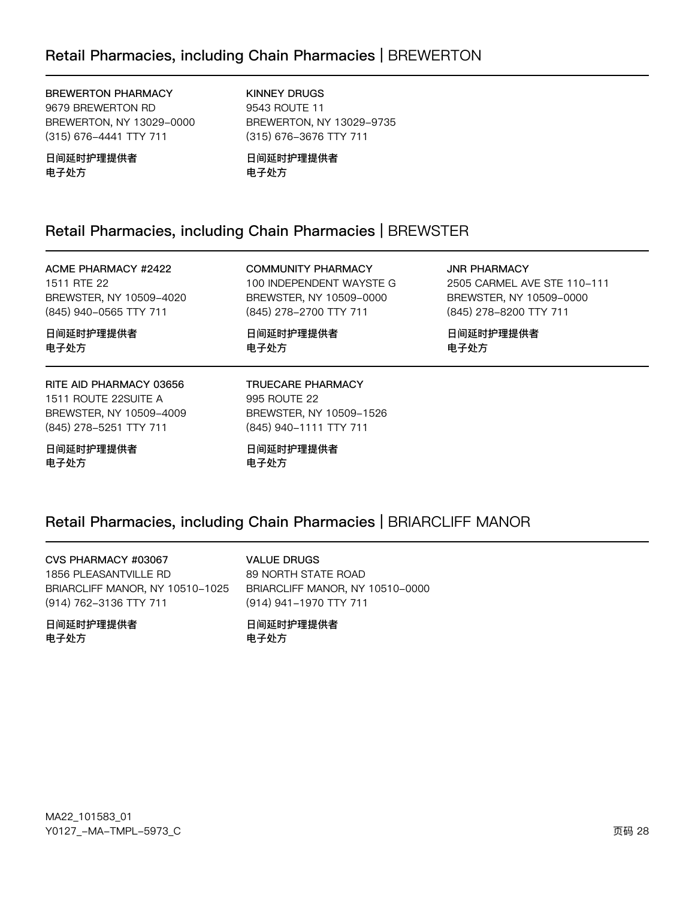#### **BREWERTON PHARMACY**

9679 BREWERTON RD BREWERTON, NY 13029-0000 (315) 676-4441 TTY 711

日间延时护理提供者 电子处方

**KINNEY DRUGS** 9543 ROUTE 11 BREWERTON, NY 13029-9735 (315) 676-3676 TTY 711

日间延时护理提供者 电子处方

# Retail Pharmacies, including Chain Pharmacies | BREWSTER

**ACME PHARMACY #2422** 1511 RTE 22 BREWSTER, NY 10509-4020 (845) 940-0565 TTY 711

**COMMUNITY PHARMACY** 100 INDEPENDENT WAYSTE G BREWSTER, NY 10509-0000 (845) 278-2700 TTY 711

日间延时护理提供者 电子处方

**JNR PHARMACY** 2505 CARMEL AVE STE 110-111 BREWSTER, NY 10509-0000 (845) 278-8200 TTY 711

日间延时护理提供者 电子处方

# RITE AID PHARMACY 03656

日间延时护理提供者

电子处方

1511 ROUTE 22SUITE A BREWSTER, NY 10509-4009 (845) 278-5251 TTY 711

日间延时护理提供者 电子处方

TRUECARE PHARMACY 995 ROUTE 22 BREWSTER, NY 10509-1526 (845) 940-1111 TTY 711

日间延时护理提供者 电子处方

# Retail Pharmacies, including Chain Pharmacies | BRIARCLIFF MANOR

CVS PHARMACY #03067 1856 PLEASANTVILLE RD BRIARCLIFF MANOR, NY 10510-1025 (914) 762-3136 TTY 711

日间延时护理提供者 电子外方

**VALUE DRUGS** 89 NORTH STATE ROAD BRIARCLIFF MANOR, NY 10510-0000 (914) 941-1970 TTY 711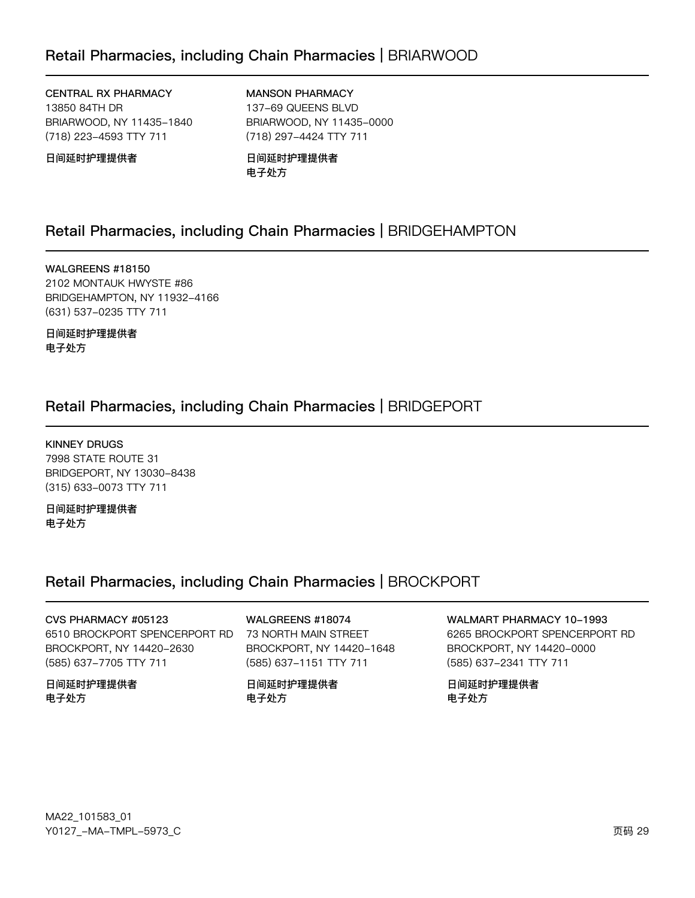# Retail Pharmacies, including Chain Pharmacies | BRIARWOOD

CENTRAL RX PHARMACY 13850 84TH DR BRIARWOOD, NY 11435-1840 (718) 223-4593 TTY 711

MANSON PHARMACY 137-69 QUEENS BLVD BRIARWOOD, NY 11435-0000 (718) 297-4424 TTY 711

日间延时护理提供者

日间延时护理提供者 电子处方

### Retail Pharmacies, including Chain Pharmacies | BRIDGEHAMPTON

WALGREENS #18150 2102 MONTAUK HWYSTE #86 BRIDGEHAMPTON, NY 11932-4166 (631) 537-0235 TTY 711

日间延时护理提供者 电子处方

## Retail Pharmacies, including Chain Pharmacies | BRIDGEPORT

KINNEY DRUGS 7998 STATE ROUTE 31 BRIDGEPORT, NY 13030-8438 (315) 633-0073 TTY 711

日间延时护理提供者 电子处方

### Retail Pharmacies, including Chain Pharmacies | BROCKPORT

CVS PHARMACY #05123 6510 BROCKPORT SPENCERPORT RD BROCKPORT, NY 14420-2630 (585) 637-7705 TTY 711

日间延时护理提供者 电子处方

WALGREENS #18074 73 NORTH MAIN STREET BROCKPORT, NY 14420-1648 (585) 637-1151 TTY 711

日间延时护理提供者 电子处方

WALMART PHARMACY 10-1993 6265 BROCKPORT SPENCERPORT RD BROCKPORT, NY 14420-0000 (585) 637-2341 TTY 711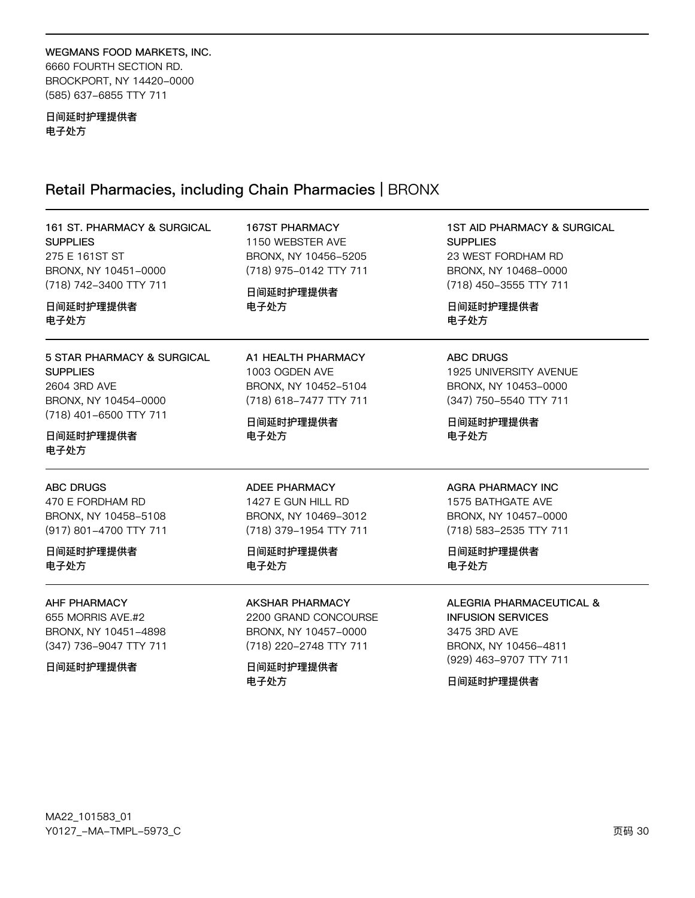# WEGMANS FOOD MARKETS, INC.

6660 FOURTH SECTION RD. BROCKPORT, NY 14420-0000 (585) 637-6855 TTY 711

#### 日间延时护理提供者 电子处方

# Retail Pharmacies, including Chain Pharmacies | BRONX

| 161 ST. PHARMACY & SURGICAL<br><b>SUPPLIES</b><br>275 E 161ST ST<br>BRONX, NY 10451-0000<br>(718) 742-3400 TTY 711<br>日间延时护理提供者<br>电子处方 | <b>167ST PHARMACY</b><br>1150 WEBSTER AVE<br>BRONX, NY 10456-5205<br>(718) 975-0142 TTY 711<br>日间延时护理提供者<br>电子处方 | <b>1ST AID PHARMACY &amp; SURGICAL</b><br><b>SUPPLIES</b><br>23 WEST FORDHAM RD<br>BRONX, NY 10468-0000<br>(718) 450-3555 TTY 711<br>日间延时护理提供者<br>电子处方 |
|-----------------------------------------------------------------------------------------------------------------------------------------|------------------------------------------------------------------------------------------------------------------|--------------------------------------------------------------------------------------------------------------------------------------------------------|
| 5 STAR PHARMACY & SURGICAL<br><b>SUPPLIES</b><br>2604 3RD AVE<br>BRONX, NY 10454-0000<br>(718) 401-6500 TTY 711<br>日间延时护理提供者            | A1 HEALTH PHARMACY<br>1003 OGDEN AVE<br>BRONX, NY 10452-5104<br>(718) 618-7477 TTY 711<br>日间延时护理提供者<br>电子处方      | <b>ABC DRUGS</b><br>1925 UNIVERSITY AVENUE<br>BRONX, NY 10453-0000<br>(347) 750-5540 TTY 711<br>日间延时护理提供者<br>电子处方                                      |
| 电子处方<br><b>ABC DRUGS</b><br>470 E FORDHAM RD<br>BRONX, NY 10458-5108<br>(917) 801-4700 TTY 711                                          | <b>ADEE PHARMACY</b><br>1427 E GUN HILL RD<br>BRONX, NY 10469-3012<br>(718) 379-1954 TTY 711                     | <b>AGRA PHARMACY INC</b><br>1575 BATHGATE AVE<br>BRONX, NY 10457-0000<br>(718) 583-2535 TTY 711                                                        |
| 日间延时护理提供者<br>电子处方                                                                                                                       | 日间延时护理提供者<br>电子处方                                                                                                | 日间延时护理提供者<br>电子处方                                                                                                                                      |
| AHF PHARMACY<br>655 MORRIS AVE.#2<br>BRONX, NY 10451-4898<br>(347) 736-9047 TTY 711<br>日间延时护理提供者                                        | AKSHAR PHARMACY<br>2200 GRAND CONCOURSE<br>BRONX, NY 10457-0000<br>(718) 220-2748 TTY 711<br>日间延时护理提供者<br>电子处方   | ALEGRIA PHARMACEUTICAL &<br><b>INFUSION SERVICES</b><br>3475 3RD AVE<br>BRONX, NY 10456-4811<br>(929) 463-9707 TTY 711<br>日间延时护理提供者                    |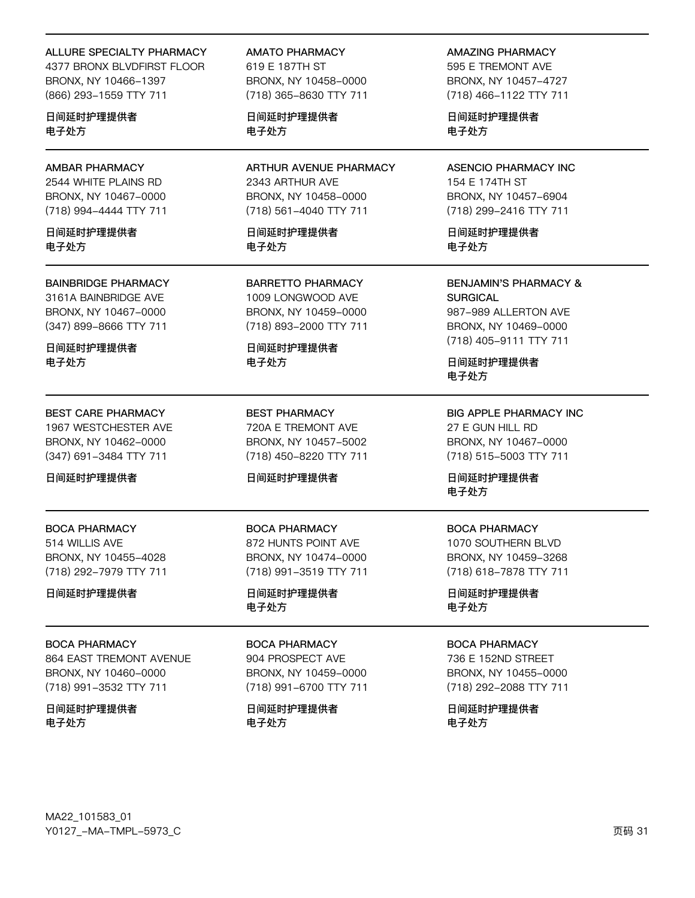#### **ALLURE SPECIALTY PHARMACY**

4377 BRONX BLVDFIRST FLOOR BRONX, NY 10466-1397 (866) 293-1559 TTY 711

日间延时护理提供者 电子处方

**AMBAR PHARMACY** 2544 WHITE PLAINS RD BRONX, NY 10467-0000 (718) 994-4444 TTY 711

日间延时护理提供者 电子外方

**BAINBRIDGE PHARMACY** 

3161A BAINBRIDGE AVE BRONX, NY 10467-0000 (347) 899-8666 TTY 711

日间延时护理提供者 电子处方

### **BEST CARE PHARMACY**

1967 WESTCHESTER AVE BRONX, NY 10462-0000 (347) 691-3484 TTY 711

日间延时护理提供者

### **BOCA PHARMACY** 514 WILLIS AVE

BRONX, NY 10455-4028 (718) 292-7979 TTY 711

日间延时护理提供者

#### **BOCA PHARMACY**

**864 EAST TREMONT AVENUE** BRONX, NY 10460-0000 (718) 991-3532 TTY 711

日间延时护理提供者 电子处方

**AMATO PHARMACY** 619 E 187TH ST BRONX, NY 10458-0000 (718) 365-8630 TTY 711

日间延时护理提供者 电子处方

ARTHUR AVENUE PHARMACY 2343 ARTHUR AVE BRONX, NY 10458-0000 (718) 561-4040 TTY 711

日间延时护理提供者 电子外方

**BARRETTO PHARMACY** 1009 LONGWOOD AVE BRONX, NY 10459-0000 (718) 893-2000 TTY 711

日间延时护理提供者 电子处方

**BEST PHARMACY** 720A E TREMONT AVE BRONX, NY 10457-5002 (718) 450-8220 TTY 711

#### 日间延时护理提供者

**BOCA PHARMACY** 872 HUNTS POINT AVE BRONX, NY 10474-0000 (718) 991-3519 TTY 711

日间延时护理提供者 电子处方

#### **BOCA PHARMACY**

904 PROSPECT AVE BRONX, NY 10459-0000 (718) 991-6700 TTY 711

日间延时护理提供者 电子处方

**AMAZING PHARMACY** 595 E TREMONT AVE

BRONX, NY 10457-4727 (718) 466-1122 TTY 711

日间延时护理提供者 电子处方

**ASENCIO PHARMACY INC** 154 E 174TH ST BRONX, NY 10457-6904 (718) 299-2416 TTY 711

日间延时护理提供者 电子外方

**BENJAMIN'S PHARMACY & SURGICAL** 987-989 ALLERTON AVE BRONX, NY 10469-0000 (718) 405-9111 TTY 711

日间延时护理提供者 电子处方

**BIG APPLE PHARMACY INC** 27 E GUN HILL RD BRONX, NY 10467-0000 (718) 515-5003 TTY 711

日间延时护理提供者 电子处方

### **BOCA PHARMACY**

1070 SOUTHERN BLVD BRONX, NY 10459-3268 (718) 618-7878 TTY 711

日间延时护理提供者 电子处方

#### **BOCA PHARMACY**

736 E 152ND STREET BRONX, NY 10455-0000 (718) 292-2088 TTY 711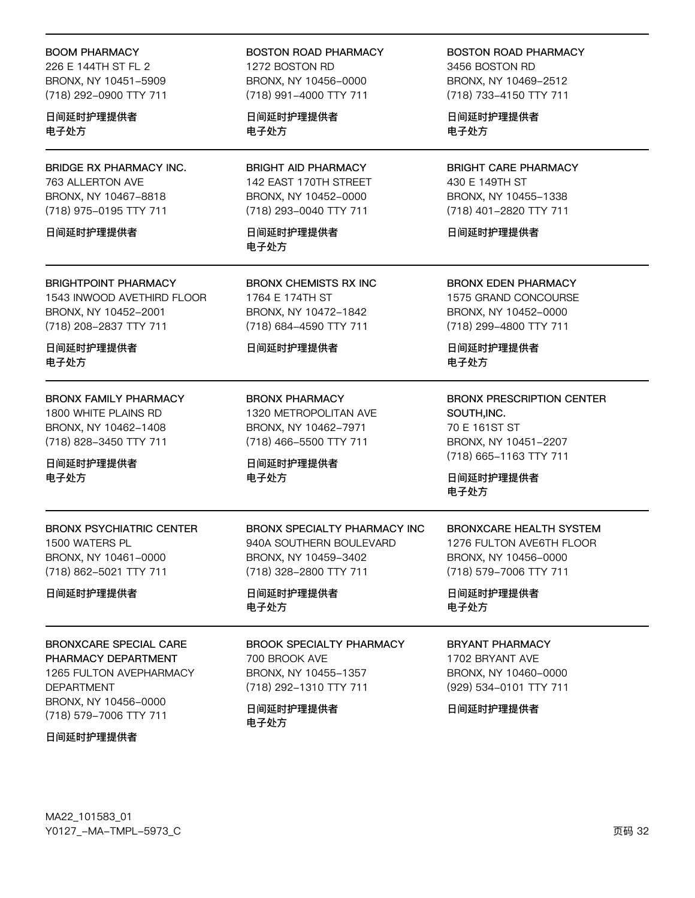#### **BOOM PHARMACY**

226 E 144TH ST FL 2 BRONX, NY 10451-5909 (718) 292-0900 TTY 711

日间延时护理提供者 电子处方

**BRIDGE RX PHARMACY INC.** 763 ALLERTON AVE BRONX, NY 10467-8818 (718) 975-0195 TTY 711

日间延时护理提供者

#### **BRIGHTPOINT PHARMACY**

1543 INWOOD AVETHIRD FLOOR BRONX, NY 10452-2001 (718) 208-2837 TTY 711

日间延时护理提供者 电子处方

**BRONX FAMILY PHARMACY** 1800 WHITE PLAINS RD BRONX, NY 10462-1408

(718) 828-3450 TTY 711 日间延时护理提供者

电子处方

**BRONX PSYCHIATRIC CENTER** 1500 WATERS PL BRONX, NY 10461-0000 (718) 862-5021 TTY 711

日间延时护理提供者

**BRONXCARE SPECIAL CARE** PHARMACY DEPARTMENT 1265 FULTON AVEPHARMACY **DEPARTMENT** BRONX, NY 10456-0000 (718) 579-7006 TTY 711

日间延时护理提供者

**BOSTON ROAD PHARMACY** 1272 BOSTON RD BRONX, NY 10456-0000 (718) 991-4000 TTY 711

日间延时护理提供者 电子处方

**BRIGHT AID PHARMACY** 142 EAST 170TH STREET BRONX, NY 10452-0000 (718) 293-0040 TTY 711

日间延时护理提供者 电子外方

**BRONX CHEMISTS RX INC** 1764 E 174TH ST BRONX, NY 10472-1842 (718) 684-4590 TTY 711

#### 日间延时护理提供者

**BRONX PHARMACY** 1320 METROPOLITAN AVE BRONX, NY 10462-7971 (718) 466-5500 TTY 711

BRONX SPECIALTY PHARMACY INC

940A SOUTHERN BOULEVARD

**BROOK SPECIALTY PHARMACY** 

BRONX, NY 10459-3402

(718) 328-2800 TTY 711

BRONX, NY 10455-1357

(718) 292-1310 TTY 711

日间延时护理提供者

700 BROOK AVE

日间延时护理提供者

电子处方

电子处方

日间延时护理提供者 电子处方

**BOSTON ROAD PHARMACY** 3456 BOSTON BD BRONX, NY 10469-2512 (718) 733-4150 TTY 711

日间延时护理提供者 电子处方

**BRIGHT CARE PHARMACY** 430 E 149TH ST BRONX, NY 10455-1338 (718) 401-2820 TTY 711

日间延时护理提供者

**BRONX EDEN PHARMACY** 1575 GRAND CONCOURSE

BRONX, NY 10452-0000 (718) 299-4800 TTY 711

日间延时护理提供者 电子处方

### **BRONX PRESCRIPTION CENTER** SOUTH, INC. 70 E 161ST ST

BRONX, NY 10451-2207 (718) 665-1163 TTY 711

日间延时护理提供者 电子处方

# **BRONXCARE HEALTH SYSTEM**

1276 FULTON AVE6TH FLOOR BRONX, NY 10456-0000 (718) 579-7006 TTY 711

日间延时护理提供者 电子处方

### **BRYANT PHARMACY**

1702 BRYANT AVE BRONX, NY 10460-0000 (929) 534-0101 TTY 711

日间延时护理提供者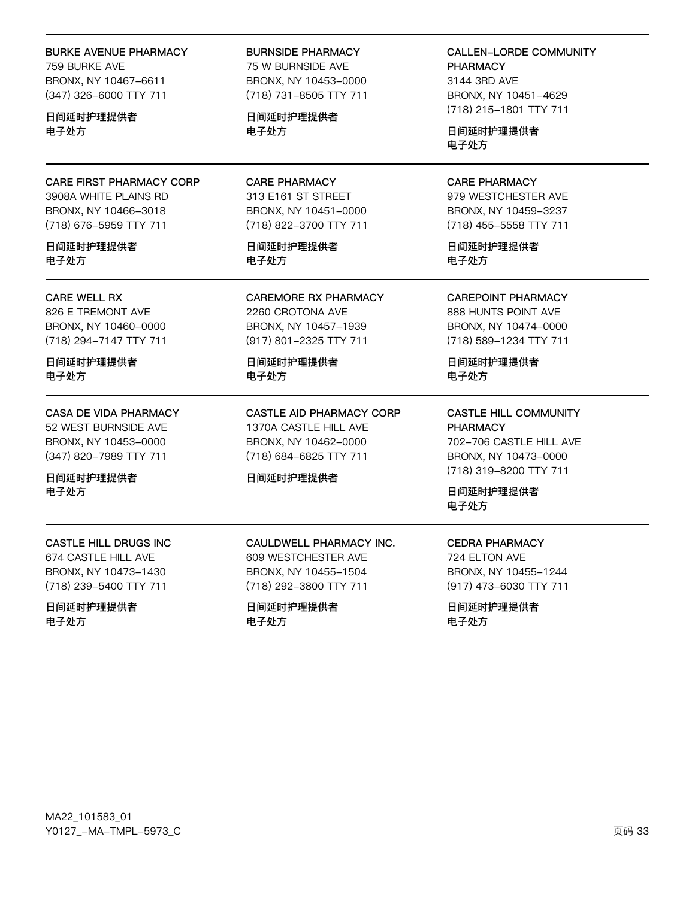#### **BURKE AVENUE PHARMACY**

759 BURKE AVE BRONX, NY 10467-6611 (347) 326-6000 TTY 711

日间延时护理提供者 电子处方

CARE FIRST PHARMACY CORP 3908A WHITE PLAINS RD BRONX, NY 10466-3018 (718) 676-5959 TTY 711

日间延时护理提供者 电子处方

#### **CARE WELL RX**

826 E TREMONT AVE BRONX, NY 10460-0000 (718) 294-7147 TTY 711

日间延时护理提供者 电子处方

CASA DE VIDA PHARMACY 52 WEST BURNSIDE AVE

BRONX, NY 10453-0000 (347) 820-7989 TTY 711

日间延时护理提供者 电子处方

**CASTLE HILL DRUGS INC** 674 CASTLE HILL AVE BRONX, NY 10473-1430 (718) 239-5400 TTY 711

日间延时护理提供者 电子处方

**BURNSIDE PHARMACY** 

75 W BURNSIDE AVE BRONX, NY 10453-0000 (718) 731-8505 TTY 711

日间延时护理提供者 电子处方

**CARE PHARMACY** 313 E161 ST STREET BRONX, NY 10451-0000 (718) 822-3700 TTY 711

日间延时护理提供者 电子处方

**CAREMORE RX PHARMACY** 2260 CROTONA AVE BRONX, NY 10457-1939 (917) 801-2325 TTY 711

日间延时护理提供者 电子处方

CASTLE AID PHARMACY CORP 1370A CASTLE HILL AVE BRONX, NY 10462-0000 (718) 684-6825 TTY 711

CAULDWELL PHARMACY INC.

609 WESTCHESTER AVE

BRONX, NY 10455-1504

(718) 292-3800 TTY 711

日间延时护理提供者

电子处方

#### 日间延时护理提供者

**CALLEN-LORDE COMMUNITY PHARMACY** 

3144 3RD AVE BRONX, NY 10451-4629 (718) 215-1801 TTY 711

日间延时护理提供者 电子外方

**CARE PHARMACY** 979 WESTCHESTER AVE

BRONX, NY 10459-3237 (718) 455-5558 TTY 711

日间延时护理提供者 电子处方

**CAREPOINT PHARMACY** 888 HUNTS POINT AVE BRONX, NY 10474-0000 (718) 589-1234 TTY 711

日间延时护理提供者 电子处方

**CASTLE HILL COMMUNITY PHARMACY** 702-706 CASTLE HILL AVE BRONX, NY 10473-0000 (718) 319-8200 TTY 711

日间延时护理提供者 电子处方

### **CEDRA PHARMACY**

724 FI TON AVE BRONX, NY 10455-1244 (917) 473-6030 TTY 711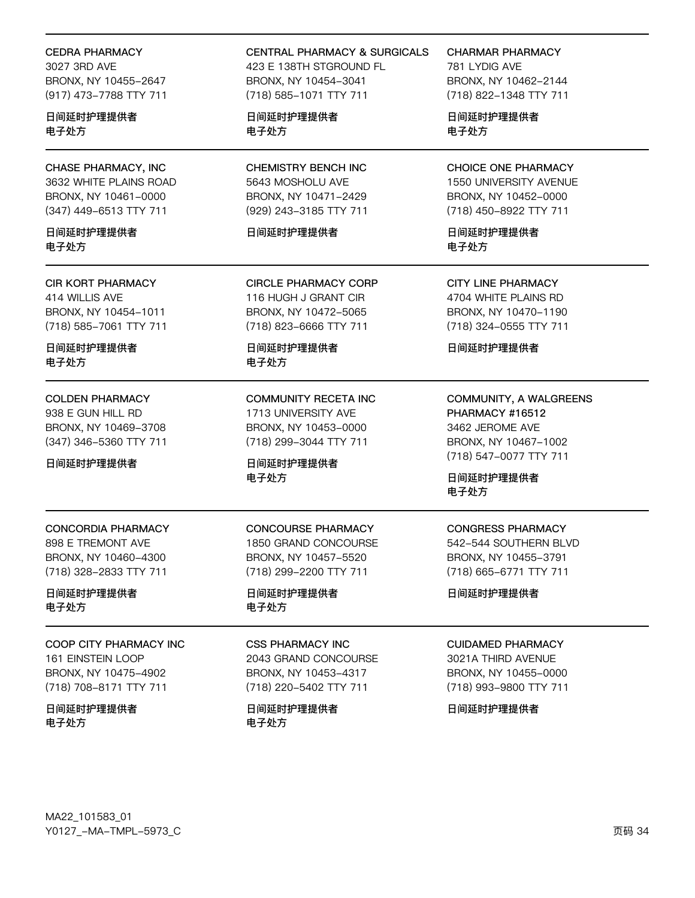#### **CEDRA PHARMACY**

3027 3RD AVF BRONX, NY 10455-2647 (917) 473-7788 TTY 711

日间延时护理提供者 电子处方

CHASE PHARMACY, INC 3632 WHITE PLAINS ROAD BRONX, NY 10461-0000 (347) 449-6513 TTY 711

日间延时护理提供者 电子外方

**CIR KORT PHARMACY** 414 WILLIS AVE BRONX, NY 10454-1011 (718) 585-7061 TTY 711

日间延时护理提供者 电子处方

**COLDEN PHARMACY** 938 E GUN HILL RD BRONX, NY 10469-3708 (347) 346-5360 TTY 711

日间延时护理提供者

**CONCORDIA PHARMACY** 898 E TREMONT AVE BRONX, NY 10460-4300 (718) 328-2833 TTY 711

日间延时护理提供者 电子处方

COOP CITY PHARMACY INC **161 EINSTEIN LOOP** BRONX, NY 10475-4902 (718) 708-8171 TTY 711

日间延时护理提供者 电子处方

**CENTRAL PHARMACY & SURGICALS** 423 E 138TH STGROUND FL BRONX, NY 10454-3041 (718) 585-1071 TTY 711

日间延时护理提供者 电子处方

**CHEMISTRY BENCH INC** 5643 MOSHOLU AVE BRONX, NY 10471-2429 (929) 243-3185 TTY 711

日间延时护理提供者

**CIRCLE PHARMACY CORP** 116 HUGH J GRANT CIR BRONX, NY 10472-5065 (718) 823-6666 TTY 711

日间延时护理提供者 电子处方

**COMMUNITY RECETA INC** 1713 UNIVERSITY AVE BRONX, NY 10453-0000 (718) 299-3044 TTY 711

**CONCOURSE PHARMACY** 

1850 GRAND CONCOURSE

BRONX, NY 10457-5520

(718) 299-2200 TTY 711

日间延时护理提供者

**CSS PHARMACY INC** 

2043 GRAND CONCOURSE

BRONX, NY 10453-4317

(718) 220-5402 TTY 711

日间延时护理提供者

电子处方

电子处方

日间延时护理提供者 电子处方

**CHARMAR PHARMACY** 

781 LYDIG AVE BRONX, NY 10462-2144 (718) 822-1348 TTY 711

日间延时护理提供者 电子处方

**CHOICE ONE PHARMACY** 1550 UNIVERSITY AVENUE BRONX, NY 10452-0000 (718) 450-8922 TTY 711

日间延时护理提供者 电子外方

**CITY LINE PHARMACY** 4704 WHITE PLAINS RD BRONX, NY 10470-1190 (718) 324-0555 TTY 711

日间延时护理提供者

COMMUNITY, A WALGREENS PHARMACY #16512 3462 JEROME AVE BRONX, NY 10467-1002 (718) 547-0077 TTY 711

日间延时护理提供者 电子处方

**CONGRESS PHARMACY** 

542-544 SOUTHERN BLVD BRONX, NY 10455-3791 (718) 665-6771 TTY 711

日间延时护理提供者

**CUIDAMED PHARMACY** 

3021A THIRD AVENUE BRONX, NY 10455-0000 (718) 993-9800 TTY 711

日间延时护理提供者

MA22\_101583\_01 Y0127\_-MA-TMPL-5973\_C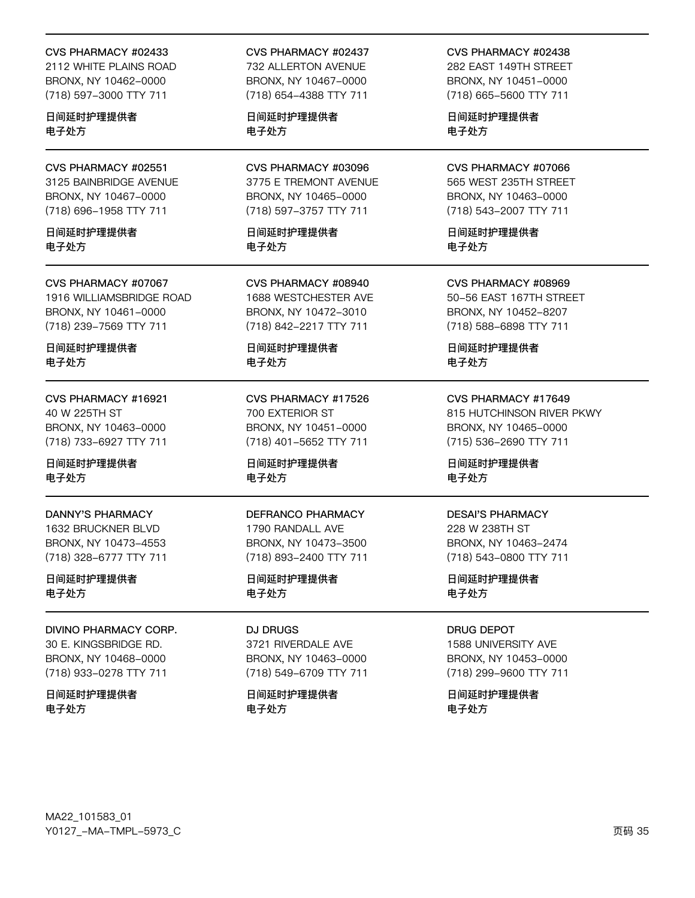#### CVS PHARMACY #02433

2112 WHITE PLAINS ROAD BRONX, NY 10462-0000 (718) 597-3000 TTY 711

日间延时护理提供者 电子处方

CVS PHARMACY #02551 3125 BAINBRIDGE AVENUE BRONX, NY 10467-0000 (718) 696-1958 TTY 711

日间延时护理提供者 电子外方

CVS PHARMACY #07067 1916 WILLIAMSBRIDGE ROAD BRONX, NY 10461-0000 (718) 239-7569 TTY 711

日间延时护理提供者 电子处方

CVS PHARMACY #16921 40 W 225TH ST BRONX, NY 10463-0000 (718) 733-6927 TTY 711

日间延时护理提供者 电子处方

**DANNY'S PHARMACY** 1632 BRUCKNER BLVD BRONX, NY 10473-4553 (718) 328-6777 TTY 711

日间延时护理提供者 电子处方

DIVINO PHARMACY CORP. 30 E. KINGSBRIDGE RD. BRONX, NY 10468-0000 (718) 933-0278 TTY 711

日间延时护理提供者 电子处方

CVS PHARMACY #02437

732 ALLERTON AVENUE BRONX, NY 10467-0000 (718) 654-4388 TTY 711

日间延时护理提供者 电子处方

CVS PHARMACY #03096 3775 E TREMONT AVENUE BRONX, NY 10465-0000 (718) 597-3757 TTY 711

日间延时护理提供者 电子外方

CVS PHARMACY #08940 1688 WESTCHESTER AVE BRONX, NY 10472-3010 (718) 842-2217 TTY 711

日间延时护理提供者 电子处方

CVS PHARMACY #17526 700 EXTERIOR ST BRONX, NY 10451-0000 (718) 401-5652 TTY 711

日间延时护理提供者 电子处方

DEFRANCO PHARMACY 1790 RANDALL AVE BRONX, NY 10473-3500

(718) 893-2400 TTY 711 日间延时护理提供者 电子处方

DJ DRUGS 3721 RIVERDALE AVE BRONX, NY 10463-0000 (718) 549-6709 TTY 711

日间延时护理提供者 电子处方

CVS PHARMACY #02438 282 FAST 149TH STRFFT BRONX, NY 10451-0000

(718) 665-5600 TTY 711 日间延时护理提供者

电子处方

CVS PHARMACY #07066 565 WEST 235TH STREET BRONX, NY 10463-0000 (718) 543-2007 TTY 711

日间延时护理提供者 电子外方

CVS PHARMACY #08969 50-56 EAST 167TH STREET BRONX, NY 10452-8207 (718) 588-6898 TTY 711

日间延时护理提供者 电子处方

CVS PHARMACY #17649 815 HUTCHINSON RIVER PKWY BRONX, NY 10465-0000

日间延时护理提供者 电子处方

(715) 536-2690 TTY 711

#### **DESAI'S PHARMACY**

228 W 238TH ST BRONX, NY 10463-2474 (718) 543-0800 TTY 711

日间延时护理提供者 电子处方

DRUG DEPOT 1588 UNIVERSITY AVE BRONX, NY 10453-0000 (718) 299-9600 TTY 711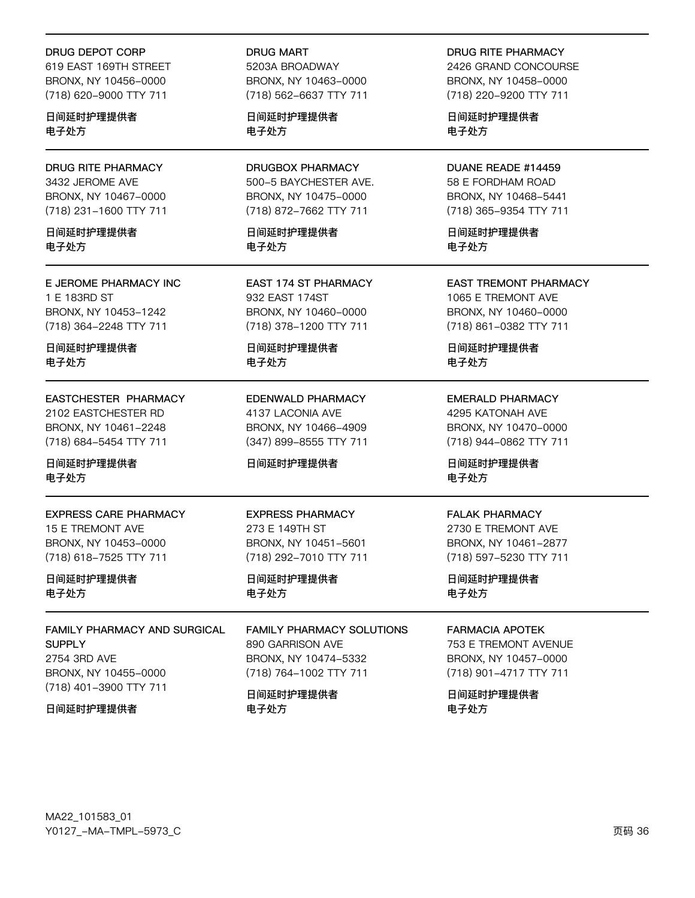#### **DRUG DEPOT CORP**

619 EAST 169TH STREET BRONX, NY 10456-0000 (718) 620-9000 TTY 711

日间延时护理提供者 电子处方

**DRUG RITE PHARMACY** 3432 JEROME AVE BRONX, NY 10467-0000 (718) 231-1600 TTY 711

日间延时护理提供者 电子外方

E JEROME PHARMACY INC 1 E 183RD ST BRONX, NY 10453-1242 (718) 364-2248 TTY 711

日间延时护理提供者 电子处方

EASTCHESTER PHARMACY 2102 EASTCHESTER RD BRONX, NY 10461-2248 (718) 684-5454 TTY 711

日间延时护理提供者 电子处方

**EXPRESS CARE PHARMACY** 15 E TREMONT AVE BRONX, NY 10453-0000 (718) 618-7525 TTY 711

日间延时护理提供者 电子处方

FAMILY PHARMACY AND SURGICAL **SUPPLY** 2754 3RD AVE BRONX, NY 10455-0000 (718) 401-3900 TTY 711

日间延时护理提供者

**DRUG MART** 5203A BROADWAY BRONX, NY 10463-0000 (718) 562-6637 TTY 711

日间延时护理提供者 电子处方

**DRUGBOX PHARMACY** 500-5 BAYCHESTER AVE. BRONX, NY 10475-0000 (718) 872-7662 TTY 711

日间延时护理提供者 电子外方

**EAST 174 ST PHARMACY** 932 EAST 174ST BRONX, NY 10460-0000 (718) 378-1200 TTY 711

日间延时护理提供者 电子处方

EDENWALD PHARMACY 4137 LACONIA AVE BRONX, NY 10466-4909 (347) 899-8555 TTY 711

#### 日间延时护理提供者

**EXPRESS PHARMACY** 273 E 149TH ST BRONX, NY 10451-5601 (718) 292-7010 TTY 711

日间延时护理提供者 电子处方

**FAMILY PHARMACY SOLUTIONS** 890 GARRISON AVE BRONX, NY 10474-5332 (718) 764-1002 TTY 711

日间延时护理提供者 电子处方

DRUG RITE PHARMACY

2426 GRAND CONCOURSE BRONX, NY 10458-0000 (718) 220-9200 TTY 711

日间延时护理提供者 电子处方

DUANE READE #14459 58 E FORDHAM ROAD BRONX, NY 10468-5441 (718) 365-9354 TTY 711

日间延时护理提供者 电子外方

**EAST TREMONT PHARMACY** 1065 E TREMONT AVE BRONX, NY 10460-0000 (718) 861-0382 TTY 711

日间延时护理提供者 电子处方

**EMERALD PHARMACY** 

4295 KATONAH AVE BRONX, NY 10470-0000 (718) 944-0862 TTY 711

日间延时护理提供者 电子处方

#### **FALAK PHARMACY**

2730 E TREMONT AVE BRONX, NY 10461-2877 (718) 597-5230 TTY 711

日间延时护理提供者 电子处方

### **FARMACIA APOTEK**

753 E TREMONT AVENUE BRONX, NY 10457-0000 (718) 901-4717 TTY 711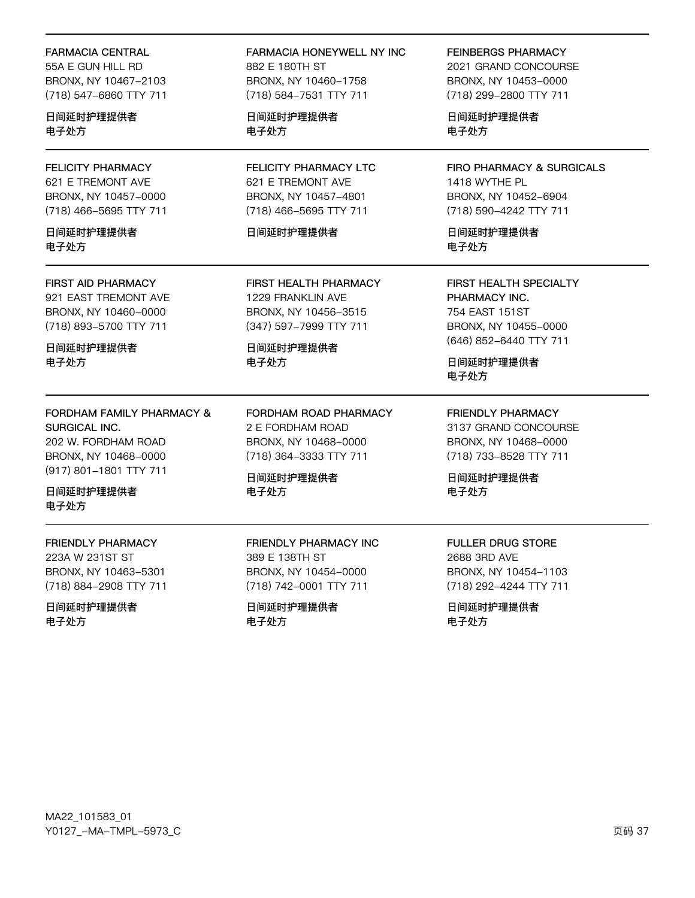#### **FARMACIA CENTRAL**

55A E GUN HILL RD BRONX, NY 10467-2103 (718) 547-6860 TTY 711

日间延时护理提供者 电子处方

### **FELICITY PHARMACY** 621 E TREMONT AVE BRONX, NY 10457-0000 (718) 466-5695 TTY 711

日间延时护理提供者 电子外方

#### **FIRST AID PHARMACY**

921 EAST TREMONT AVE BRONX, NY 10460-0000 (718) 893-5700 TTY 711

日间延时护理提供者 电子处方

## FORDHAM FAMILY PHARMACY & SURGICAL INC.

202 W. FORDHAM ROAD BRONX, NY 10468-0000 (917) 801-1801 TTY 711

日间延时护理提供者 电子处方

# FRIENDLY PHARMACY

223A W 231ST ST BRONX, NY 10463-5301 (718) 884-2908 TTY 711

日间延时护理提供者 电子处方

## FARMACIA HONEYWELL NY INC 882 E 180TH ST BRONX, NY 10460-1758 (718) 584-7531 TTY 711

日间延时护理提供者 电子处方

**FELICITY PHARMACY LTC** 621 E TREMONT AVE BRONX, NY 10457-4801 (718) 466-5695 TTY 711

## 日间延时护理提供者

**FIRST HEALTH PHARMACY** 1229 FRANKLIN AVE BRONX, NY 10456-3515 (347) 597-7999 TTY 711

日间延时护理提供者 电子处方

FORDHAM ROAD PHARMACY 2 E FORDHAM ROAD BRONX, NY 10468-0000 (718) 364-3333 TTY 711

日间延时护理提供者 电子处方

## FRIENDLY PHARMACY INC 389 E 138TH ST BRONX, NY 10454-0000 (718) 742-0001 TTY 711

日间延时护理提供者 电子处方

**FEINBERGS PHARMACY** 

2021 GRAND CONCOURSE BRONX, NY 10453-0000 (718) 299-2800 TTY 711

日间延时护理提供者 电子处方

**FIRO PHARMACY & SURGICALS** 1418 WYTHE PL BRONX, NY 10452-6904 (718) 590-4242 TTY 711

日间延时护理提供者 电子处方

**FIRST HEALTH SPECIALTY** PHARMACY INC. 754 EAST 151ST BRONX, NY 10455-0000 (646) 852-6440 TTY 711

日间延时护理提供者 电子处方

**FRIENDLY PHARMACY** 3137 GRAND CONCOURSE BRONX, NY 10468-0000 (718) 733-8528 TTY 711

日间延时护理提供者 电子处方

## **FULLER DRUG STORE** 2688 3RD AVF BRONX, NY 10454-1103 (718) 292-4244 TTY 711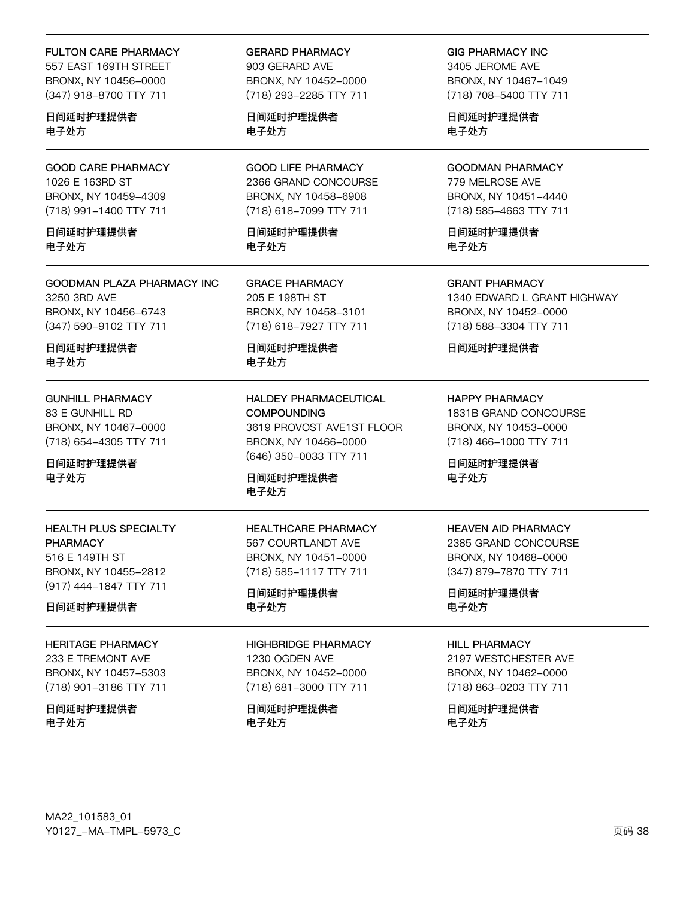#### **FULTON CARE PHARMACY**

557 EAST 169TH STREET BRONX, NY 10456-0000 (347) 918-8700 TTY 711

日间延时护理提供者 电子处方

**GOOD CARE PHARMACY** 1026 E 163RD ST BRONX, NY 10459-4309 (718) 991-1400 TTY 711

日间延时护理提供者 电子外方

**GOODMAN PLAZA PHARMACY INC** 3250 3RD AVE BRONX, NY 10456-6743 (347) 590-9102 TTY 711

日间延时护理提供者 电子处方

**GUNHILL PHARMACY** 83 E GUNHILL RD BRONX, NY 10467-0000 (718) 654-4305 TTY 711

日间延时护理提供者 电子处方

**HEALTH PLUS SPECIALTY PHARMACY** 516 E 149TH ST BRONX, NY 10455-2812 (917) 444-1847 TTY 711

日间延时护理提供者

**HERITAGE PHARMACY** 

233 E TREMONT AVE BRONX, NY 10457-5303 (718) 901-3186 TTY 711

日间延时护理提供者 电子处方

**GERARD PHARMACY** 903 GERARD AVE BRONX, NY 10452-0000 (718) 293-2285 TTY 711

日间延时护理提供者 电子处方

**GOOD LIFE PHARMACY** 2366 GRAND CONCOURSE BRONX, NY 10458-6908 (718) 618-7099 TTY 711

日间延时护理提供者 电子外方

**GRACE PHARMACY** 205 E 198TH ST BRONX, NY 10458-3101 (718) 618-7927 TTY 711

日间延时护理提供者 电子处方

HALDEY PHARMACEUTICAL **COMPOUNDING** 3619 PROVOST AVE1ST FLOOR BRONX, NY 10466-0000 (646) 350-0033 TTY 711

日间延时护理提供者 电子处方

**HEALTHCARE PHARMACY** 567 COURTLANDT AVE BRONX, NY 10451-0000 (718) 585-1117 TTY 711

日间延时护理提供者 电子处方

#### **HIGHBRIDGE PHARMACY**

1230 OGDEN AVE BRONX, NY 10452-0000 (718) 681-3000 TTY 711

日间延时护理提供者 电子处方

**GIG PHARMACY INC** 3405 JEROME AVE BRONX, NY 10467-1049 (718) 708-5400 TTY 711

日间延时护理提供者 电子处方

**GOODMAN PHARMACY** 779 MELROSE AVE BRONX, NY 10451-4440 (718) 585-4663 TTY 711

日间延时护理提供者 电子外方

**GRANT PHARMACY** 1340 EDWARD L GRANT HIGHWAY BRONX, NY 10452-0000 (718) 588-3304 TTY 711

日间延时护理提供者

**HAPPY PHARMACY** 1831B GRAND CONCOURSE BRONX, NY 10453-0000 (718) 466-1000 TTY 711

日间延时护理提供者 电子处方

## **HEAVEN AID PHARMACY**

2385 GRAND CONCOURSE BRONX, NY 10468-0000 (347) 879-7870 TTY 711

日间延时护理提供者 电子处方

#### **HILL PHARMACY**

2197 WESTCHESTER AVE BRONX, NY 10462-0000 (718) 863-0203 TTY 711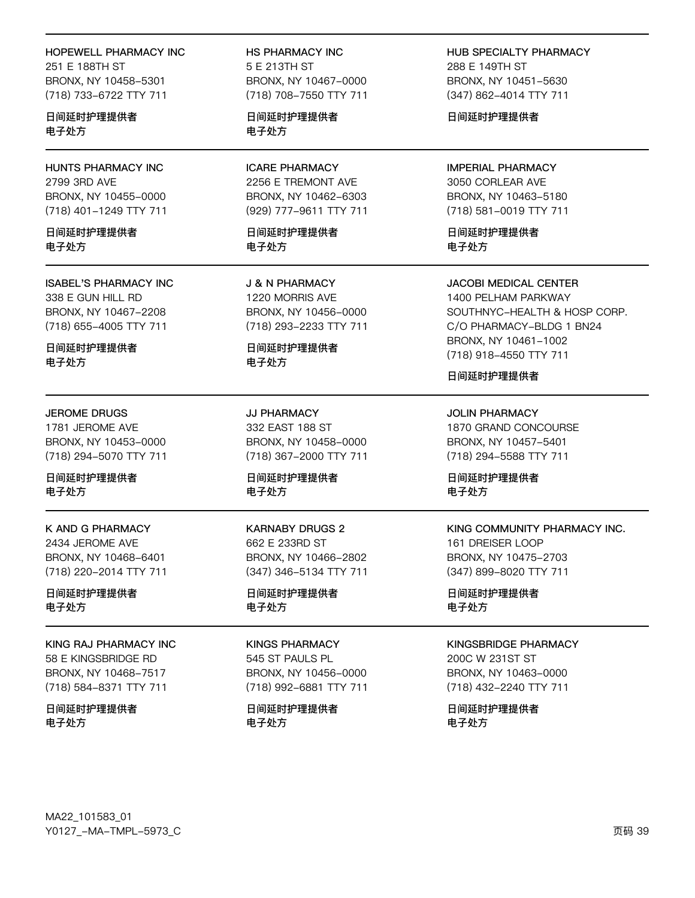#### **HOPEWELL PHARMACY INC**

251 E 188TH ST BRONX, NY 10458-5301 (718) 733-6722 TTY 711

日间延时护理提供者 电子处方

**HUNTS PHARMACY INC** 2799 3RD AVE BRONX, NY 10455-0000 (718) 401-1249 TTY 711

日间延时护理提供者 电子外方

#### **ISABEL'S PHARMACY INC** 338 E GUN HILL RD BRONX, NY 10467-2208 (718) 655-4005 TTY 711

日间延时护理提供者 电子处方

#### **JEROME DRUGS**

1781 JEROME AVE BRONX, NY 10453-0000 (718) 294-5070 TTY 711

日间延时护理提供者 电子处方

**K AND G PHARMACY** 2434 JEROME AVE BRONX, NY 10468-6401 (718) 220-2014 TTY 711

日间延时护理提供者 电子处方

# KING RAJ PHARMACY INC

58 E KINGSBRIDGE RD BRONX, NY 10468-7517 (718) 584-8371 TTY 711

日间延时护理提供者 电子处方

HS PHARMACY INC 5 F 213TH ST BRONX, NY 10467-0000 (718) 708-7550 TTY 711

日间延时护理提供者 电子处方

**ICARE PHARMACY** 2256 E TREMONT AVE BRONX, NY 10462-6303 (929) 777-9611 TTY 711

日间延时护理提供者 电子外方

**J & N PHARMACY** 1220 MORRIS AVE BRONX, NY 10456-0000 (718) 293-2233 TTY 711

日间延时护理提供者 电子处方

**JJ PHARMACY** 332 EAST 188 ST BRONX, NY 10458-0000 (718) 367-2000 TTY 711

日间延时护理提供者 电子处方

**KARNABY DRUGS 2** 662 E 233RD ST BRONX, NY 10466-2802 (347) 346-5134 TTY 711

日间延时护理提供者 电子处方

## **KINGS PHARMACY**

545 ST PAULS PL BRONX, NY 10456-0000 (718) 992-6881 TTY 711

日间延时护理提供者 电子处方

HUB SPECIALTY PHARMACY 288 F 149TH ST BRONX, NY 10451-5630 (347) 862-4014 TTY 711

日间延时护理提供者

## **IMPERIAL PHARMACY** 3050 CORLEAR AVE BRONX, NY 10463-5180 (718) 581-0019 TTY 711

日间延时护理提供者 电子外方

**JACOBI MEDICAL CENTER** 1400 PELHAM PARKWAY SOUTHNYC-HEALTH & HOSP CORP. C/O PHARMACY-BLDG 1 BN24 BRONX, NY 10461-1002

(718) 918-4550 TTY 711

#### 日间延时护理提供者

**JOLIN PHARMACY** 1870 GRAND CONCOURSE BRONX, NY 10457-5401 (718) 294-5588 TTY 711

日间延时护理提供者 电子处方

## KING COMMUNITY PHARMACY INC. 161 DREISER LOOP

BRONX, NY 10475-2703 (347) 899-8020 TTY 711

日间延时护理提供者 电子处方

## **KINGSBRIDGE PHARMACY**

200C W 231ST ST BRONX, NY 10463-0000 (718) 432-2240 TTY 711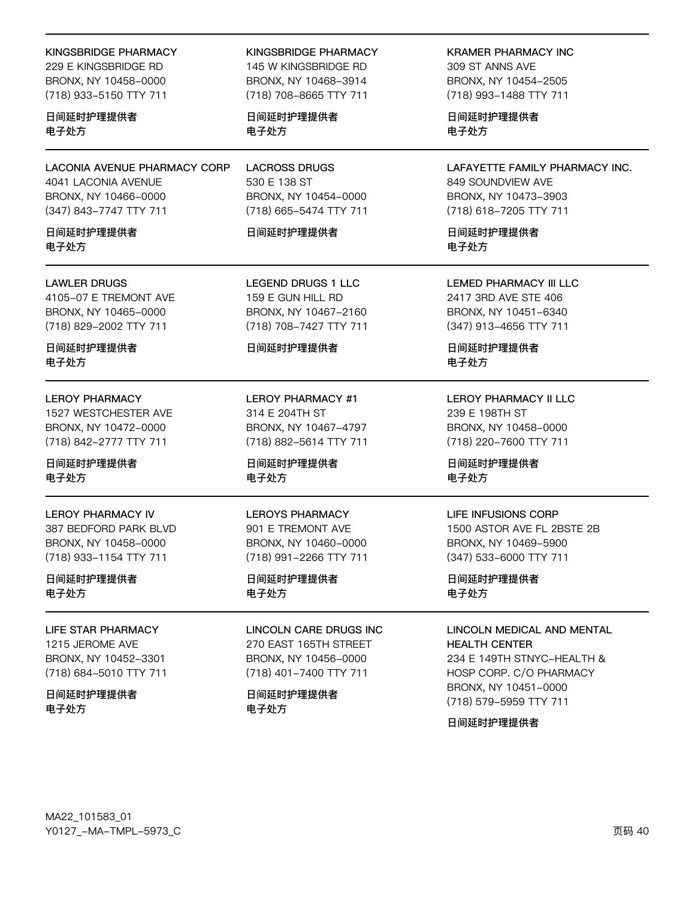#### **KINGSBRIDGE PHARMACY**

229 F KINGSBRIDGE RD BRONX, NY 10458-0000 (718) 933-5150 TTY 711

日间延时护理提供者 电子处方

**LACONIA AVENUE PHARMACY CORP** 4041 LACONIA AVENUE BRONX, NY 10466-0000 (347) 843-7747 TTY 711

日间延时护理提供者 电子外方

#### **LAWLER DRUGS**

4105-07 E TREMONT AVE BRONX, NY 10465-0000 (718) 829-2002 TTY 711

日间延时护理提供者 电子处方

#### **LEROY PHARMACY**

1527 WESTCHESTER AVE BRONX, NY 10472-0000 (718) 842-2777 TTY 711

日间延时护理提供者 电子处方

**LEROY PHARMACY IV** 387 BEDFORD PARK BLVD

BRONX, NY 10458-0000 (718) 933-1154 TTY 711

日间延时护理提供者 电子处方

**LIFE STAR PHARMACY** 

1215 JEROME AVE BRONX, NY 10452-3301 (718) 684-5010 TTY 711

日间延时护理提供者 电子处方

#### **KINGSBRIDGE PHARMACY**

145 W KINGSBRIDGE RD BRONX, NY 10468-3914 (718) 708-8665 TTY 711

日间延时护理提供者 电子处方

**LACROSS DRUGS** 530 E 138 ST BRONX, NY 10454-0000 (718) 665-5474 TTY 711

#### 日间延时护理提供者

**LEGEND DRUGS 1 LLC** 159 E GUN HILL RD BRONX, NY 10467-2160 (718) 708-7427 TTY 711

#### 日间延时护理提供者

**LEROY PHARMACY #1** 314 E 204TH ST BRONX, NY 10467-4797 (718) 882-5614 TTY 711

日间延时护理提供者 电子处方

#### **LEROYS PHARMACY**

901 E TREMONT AVE BRONX, NY 10460-0000 (718) 991-2266 TTY 711

日间延时护理提供者 电子处方

#### **LINCOLN CARE DRUGS INC.** 270 EAST 165TH STREET

BRONX, NY 10456-0000 (718) 401-7400 TTY 711

## 日间延时护理提供者 电子处方

**KRAMER PHARMACY INC** 

309 ST ANNS AVE BRONX, NY 10454-2505 (718) 993-1488 TTY 711

日间延时护理提供者 电子处方

LAFAYETTE FAMILY PHARMACY INC. 849 SOUNDVIEW AVE BRONX, NY 10473-3903 (718) 618-7205 TTY 711

日间延时护理提供者 电子外方

**LEMED PHARMACY III LLC** 2417 3RD AVE STE 406 BRONX, NY 10451-6340 (347) 913-4656 TTY 711

日间延时护理提供者 电子处方

## **LEROY PHARMACY II LLC** 239 E 198TH ST BRONX, NY 10458-0000 (718) 220-7600 TTY 711

日间延时护理提供者 电子处方

#### **LIFE INFUSIONS CORP**

1500 ASTOR AVE FL 2BSTE 2B BRONX, NY 10469-5900 (347) 533-6000 TTY 711

日间延时护理提供者 电子处方

# LINCOLN MEDICAL AND MENTAL

**HEALTH CENTER** 234 E 149TH STNYC-HEALTH & HOSP CORP. C/O PHARMACY BRONX, NY 10451-0000 (718) 579-5959 TTY 711

日间延时护理提供者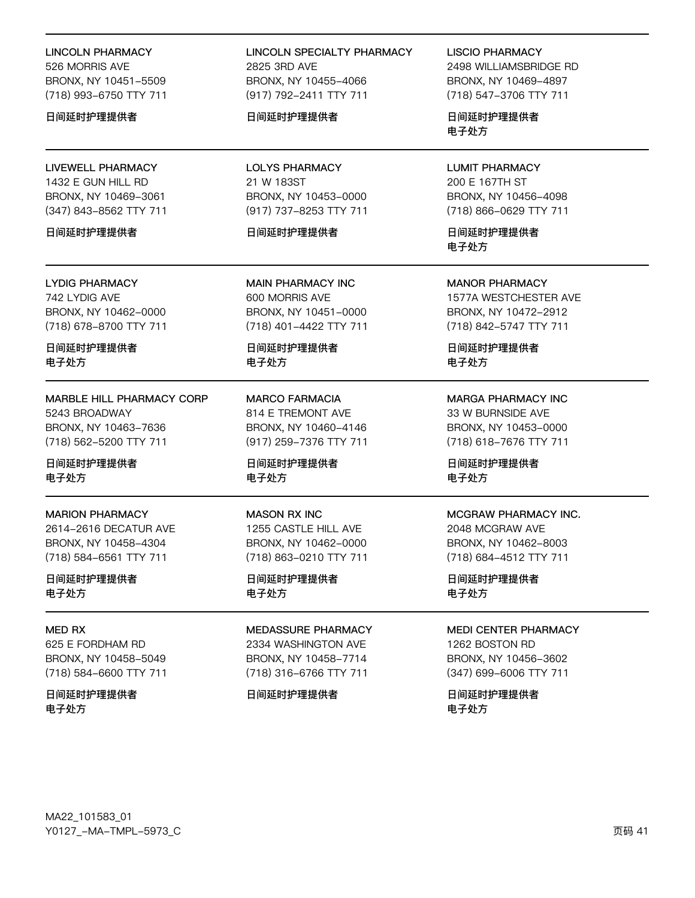#### **LINCOLN PHARMACY**

526 MORRIS AVE BRONX, NY 10451-5509 (718) 993-6750 TTY 711

#### 日间延时护理提供者

## **LIVEWELL PHARMACY** 1432 E GUN HILL RD BRONX, NY 10469-3061 (347) 843-8562 TTY 711

#### 日间延时护理提供者

**LYDIG PHARMACY** 742 LYDIG AVE BRONX, NY 10462-0000 (718) 678-8700 TTY 711

日间延时护理提供者 电子处方

MARBLE HILL PHARMACY CORP 5243 BROADWAY BRONX, NY 10463-7636 (718) 562-5200 TTY 711

日间延时护理提供者 电子处方

**MARION PHARMACY** 2614-2616 DECATUR AVE BRONX, NY 10458-4304 (718) 584-6561 TTY 711

日间延时护理提供者 电子处方

## MFD RX 625 E FORDHAM RD BRONX, NY 10458-5049 (718) 584-6600 TTY 711

日间延时护理提供者 电子处方

## **LINCOLN SPECIALTY PHARMACY** 2825 3RD AVF BRONX, NY 10455-4066 (917) 792-2411 TTY 711

#### 日间延时护理提供者

**LOLYS PHARMACY** 21 W 183ST BRONX, NY 10453-0000 (917) 737-8253 TTY 711

#### 日间延时护理提供者

**MAIN PHARMACY INC** 600 MORRIS AVE BRONX, NY 10451-0000 (718) 401-4422 TTY 711

日间延时护理提供者 电子处方

**MARCO FARMACIA** 814 E TREMONT AVE BRONX, NY 10460-4146 (917) 259-7376 TTY 711

日间延时护理提供者 电子处方

#### **MASON RX INC** 1255 CASTLE HILL AVE BRONX, NY 10462-0000 (718) 863-0210 TTY 711

日间延时护理提供者 电子处方

# MEDASSURE PHARMACY

2334 WASHINGTON AVE BRONX, NY 10458-7714 (718) 316-6766 TTY 711

#### 日间延时护理提供者

#### **LISCIO PHARMACY**

2498 WILLIAMSBRIDGE RD BRONX, NY 10469-4897 (718) 547-3706 TTY 711

日间延时护理提供者 电子处方

**LUMIT PHARMACY** 200 E 167TH ST BRONX, NY 10456-4098 (718) 866-0629 TTY 711

日间延时护理提供者 电子外方

**MANOR PHARMACY** 1577A WESTCHESTER AVE BRONX, NY 10472-2912 (718) 842-5747 TTY 711

日间延时护理提供者 电子处方

## **MARGA PHARMACY INC** 33 W BURNSIDE AVE BRONX, NY 10453-0000 (718) 618-7676 TTY 711

日间延时护理提供者 电子处方

## MCGRAW PHARMACY INC.

2048 MCGRAW AVE BRONX, NY 10462-8003 (718) 684-4512 TTY 711

日间延时护理提供者 电子处方

## **MEDI CENTER PHARMACY**

1262 BOSTON RD BRONX, NY 10456-3602 (347) 699-6006 TTY 711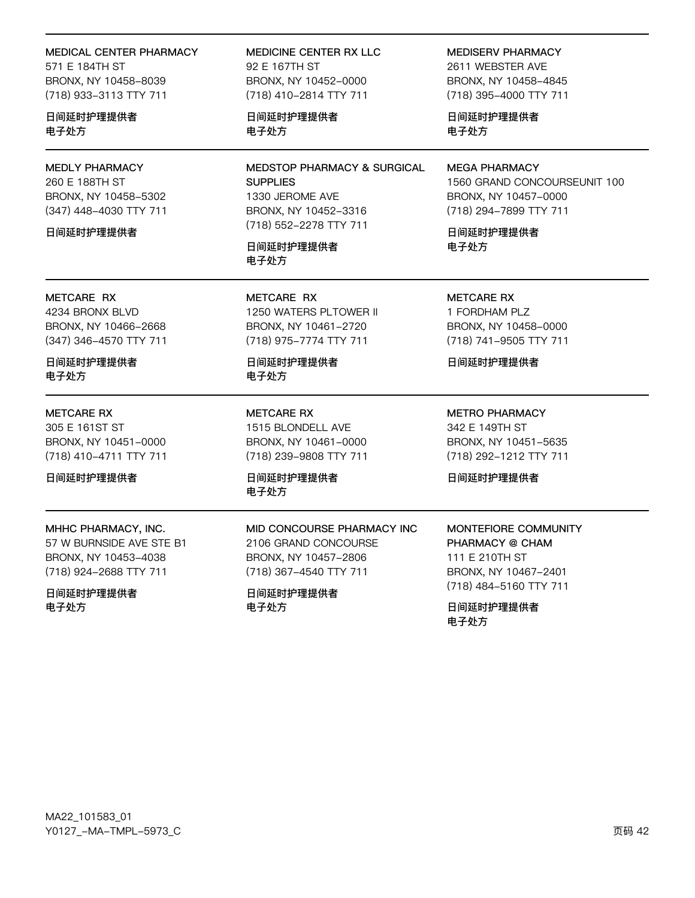#### MEDICAL CENTER PHARMACY

571 E 184TH ST BRONX, NY 10458-8039 (718) 933-3113 TTY 711

日间延时护理提供者 电子处方

**MEDLY PHARMACY** 260 E 188TH ST BRONX, NY 10458-5302 (347) 448-4030 TTY 711

日间延时护理提供者

## METCARE RX 4234 BRONX BLVD BRONX, NY 10466-2668 (347) 346-4570 TTY 711

日间延时护理提供者 电子处方

#### **METCARE RX**

305 E 161ST ST BRONX, NY 10451-0000 (718) 410-4711 TTY 711

日间延时护理提供者

#### MHHC PHARMACY, INC.

57 W BURNSIDE AVE STE B1 BRONX, NY 10453-4038 (718) 924-2688 TTY 711

日间延时护理提供者 电子处方

MEDICINE CENTER RX LLC 92 F 167TH ST BRONX, NY 10452-0000 (718) 410-2814 TTY 711

日间延时护理提供者 电子处方

**MEDSTOP PHARMACY & SURGICAL SUPPLIES** 1330 JEROME AVE BRONX, NY 10452-3316 (718) 552-2278 TTY 711

日间延时护理提供者 电子处方

METCARE RX 1250 WATERS PLTOWER II BRONX, NY 10461-2720 (718) 975-7774 TTY 711

日间延时护理提供者 电子处方

**METCARE RX** 1515 BLONDELL AVE BRONX, NY 10461-0000 (718) 239-9808 TTY 711

MID CONCOURSE PHARMACY INC

2106 GRAND CONCOURSE

BRONX, NY 10457-2806

(718) 367-4540 TTY 711

日间延时护理提供者

电子处方

日间延时护理提供者 电子处方

**MEDISERV PHARMACY** 2611 WEBSTER AVE BRONX, NY 10458-4845 (718) 395-4000 TTY 711

日间延时护理提供者 电子处方

**MEGA PHARMACY** 1560 GRAND CONCOURSEUNIT 100 BRONX, NY 10457-0000 (718) 294-7899 TTY 711

日间延时护理提供者 电子外方

**METCARE RX** 1 FORDHAM PLZ BRONX, NY 10458-0000 (718) 741-9505 TTY 711

日间延时护理提供者

**METRO PHARMACY** 342 E 149TH ST BRONX, NY 10451-5635 (718) 292-1212 TTY 711

日间延时护理提供者

## MONTEFIORE COMMUNITY PHARMACY @ CHAM 111 F 210TH ST

BRONX, NY 10467-2401 (718) 484-5160 TTY 711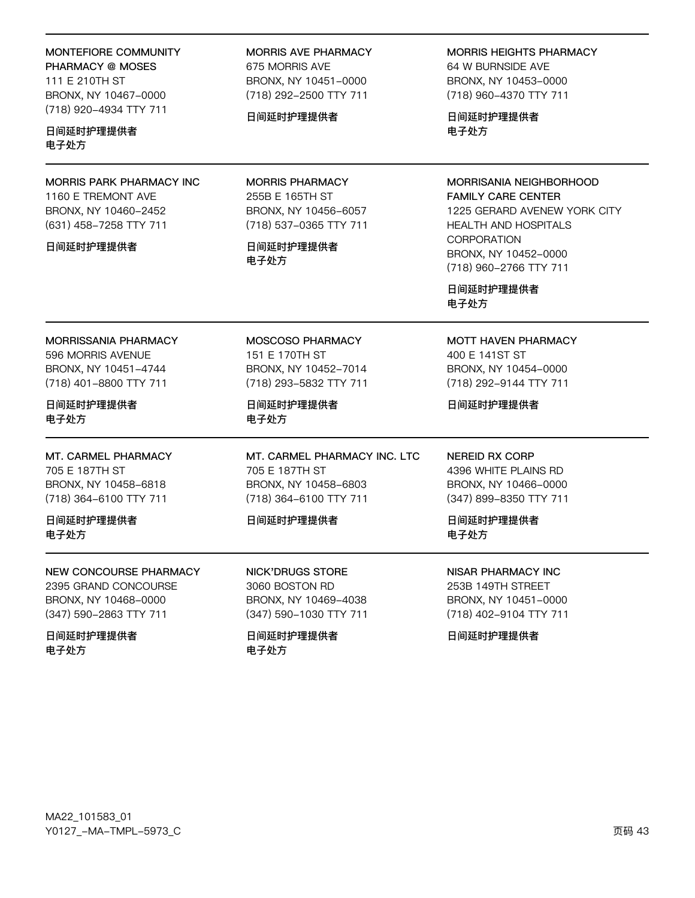| MONTEFIORE COMMUNITY<br>PHARMACY @ MOSES<br>111 E 210TH ST<br>BRONX, NY 10467-0000<br>(718) 920-4934 TTY 711  | <b>MORRIS AVE PHARMACY</b><br>675 MORRIS AVE<br>BRONX, NY 10451-0000<br>(718) 292-2500 TTY 711<br>日间延时护理提供者      | <b>MORRIS HEIGHTS PHARMACY</b><br>64 W BURNSIDE AVE<br>BRONX, NY 10453-0000<br>(718) 960-4370 TTY 711<br>日间延时护理提供者                                                                          |  |
|---------------------------------------------------------------------------------------------------------------|------------------------------------------------------------------------------------------------------------------|---------------------------------------------------------------------------------------------------------------------------------------------------------------------------------------------|--|
| 日间延时护理提供者<br>电子处方                                                                                             |                                                                                                                  | 电子处方                                                                                                                                                                                        |  |
| MORRIS PARK PHARMACY INC<br>1160 E TREMONT AVE<br>BRONX, NY 10460-2452<br>(631) 458-7258 TTY 711<br>日间延时护理提供者 | <b>MORRIS PHARMACY</b><br>255B E 165TH ST<br>BRONX, NY 10456-6057<br>(718) 537-0365 TTY 711<br>日间延时护理提供者<br>电子处方 | MORRISANIA NEIGHBORHOOD<br><b>FAMILY CARE CENTER</b><br>1225 GERARD AVENEW YORK CITY<br><b>HEALTH AND HOSPITALS</b><br><b>CORPORATION</b><br>BRONX, NY 10452-0000<br>(718) 960-2766 TTY 711 |  |
|                                                                                                               |                                                                                                                  | 日间延时护理提供者<br>电子处方                                                                                                                                                                           |  |
| <b>MORRISSANIA PHARMACY</b><br>596 MORRIS AVENUE<br>BRONX, NY 10451-4744<br>(718) 401-8800 TTY 711            | MOSCOSO PHARMACY<br>151 E 170TH ST<br>BRONX, NY 10452-7014<br>(718) 293-5832 TTY 711                             | MOTT HAVEN PHARMACY<br>400 E 141ST ST<br>BRONX, NY 10454-0000<br>(718) 292-9144 TTY 711                                                                                                     |  |
| 日间延时护理提供者<br>电子处方                                                                                             | 日间延时护理提供者<br>电子处方                                                                                                | 日间延时护理提供者                                                                                                                                                                                   |  |
| MT. CARMEL PHARMACY<br>705 E 187TH ST<br>BRONX, NY 10458-6818<br>(718) 364-6100 TTY 711                       | MT. CARMEL PHARMACY INC. LTC<br>705 E 187TH ST<br>BRONX, NY 10458-6803<br>(718) 364-6100 TTY 711                 | <b>NEREID RX CORP</b><br>4396 WHITE PLAINS RD<br>BRONX, NY 10466-0000<br>(347) 899-8350 TTY 711                                                                                             |  |
| 日间延时护理提供者<br>电子处方                                                                                             | 日间延时护理提供者                                                                                                        | 日间延时护理提供者<br>电子处方                                                                                                                                                                           |  |
| NEW CONCOURSE PHARMACY<br>2395 GRAND CONCOURSE<br>BRONX, NY 10468-0000<br>(347) 590-2863 TTY 711              | <b>NICK'DRUGS STORE</b><br>3060 BOSTON RD<br>BRONX, NY 10469-4038<br>(347) 590-1030 TTY 711                      | <b>NISAR PHARMACY INC</b><br>253B 149TH STREET<br>BRONX, NY 10451-0000<br>(718) 402-9104 TTY 711                                                                                            |  |

日间延时护理提供者 电子处方

日间延时护理提供者 电子处方

日间延时护理提供者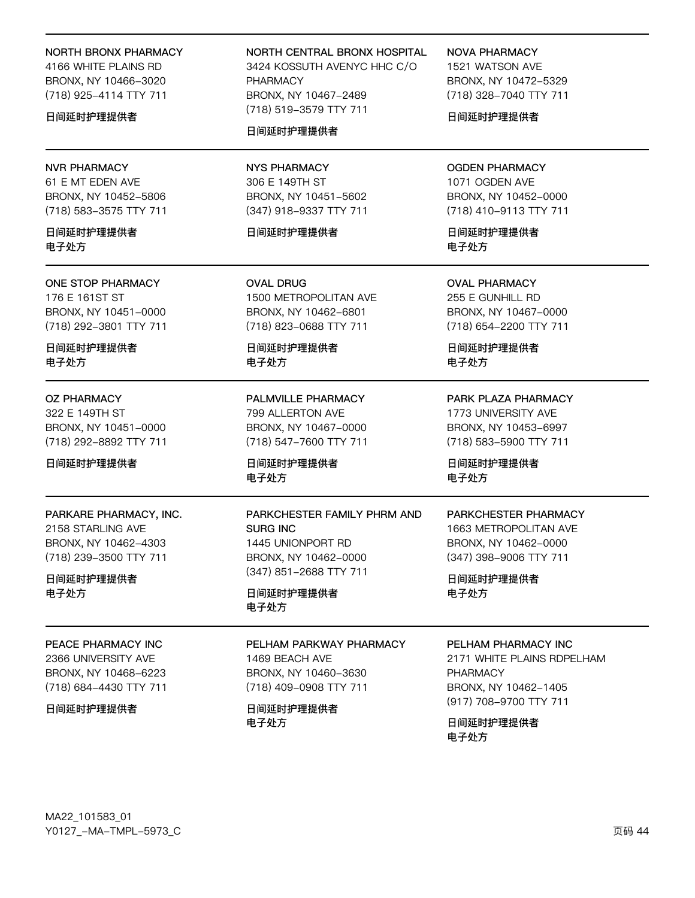#### NORTH BRONX PHARMACY

4166 WHITE PLAINS RD BRONX, NY 10466-3020 (718) 925-4114 TTY 711

#### 日间延时护理提供者

#### **NVR PHARMACY**

61 E MT EDEN AVE BRONX, NY 10452-5806 (718) 583-3575 TTY 711

日间延时护理提供者 电子外方

#### ONE STOP PHARMACY

176 E 161ST ST BRONX, NY 10451-0000 (718) 292-3801 TTY 711

日间延时护理提供者 电子处方

#### **OZ PHARMACY**

322 E 149TH ST BRONX, NY 10451-0000 (718) 292-8892 TTY 711

日间延时护理提供者

## PARKARE PHARMACY, INC.

2158 STARLING AVE BRONX, NY 10462-4303 (718) 239-3500 TTY 711

## 日间延时护理提供者 电子处方

PEACE PHARMACY INC

2366 UNIVERSITY AVE BRONX, NY 10468-6223 (718) 684-4430 TTY 711

日间延时护理提供者

## NORTH CENTRAL BRONX HOSPITAL 3424 KOSSUTH AVENYC HHC C/O PHARMACY BRONX, NY 10467-2489 (718) 519-3579 TTY 711

## 日间延时护理提供者

**NYS PHARMACY** 306 E 149TH ST BRONX, NY 10451-5602 (347) 918-9337 TTY 711

#### 日间延时护理提供者

**OVAL DRUG** 1500 METROPOLITAN AVE BRONX, NY 10462-6801 (718) 823-0688 TTY 711

日间延时护理提供者 电子处方

PALMVILLE PHARMACY 799 ALLERTON AVE BRONX, NY 10467-0000 (718) 547-7600 TTY 711

日间延时护理提供者 电子处方

PARKCHESTER FAMILY PHRM AND **SURG INC** 1445 UNIONPORT RD BRONX, NY 10462-0000 (347) 851-2688 TTY 711

日间延时护理提供者 电子处方

#### PELHAM PARKWAY PHARMACY

1469 BEACH AVE BRONX, NY 10460-3630 (718) 409-0908 TTY 711

日间延时护理提供者 电子处方

**NOVA PHARMACY** 

1521 WATSON AVE BRONX, NY 10472-5329 (718) 328-7040 TTY 711

日间延时护理提供者

## **OGDEN PHARMACY** 1071 OGDEN AVE BRONX, NY 10452-0000 (718) 410-9113 TTY 711

日间延时护理提供者 电子外方

**OVAL PHARMACY** 255 E GUNHILL RD BRONX, NY 10467-0000 (718) 654-2200 TTY 711

日间延时护理提供者 电子处方

PARK PLAZA PHARMACY 1773 UNIVERSITY AVE BRONX, NY 10453-6997 (718) 583-5900 TTY 711

日间延时护理提供者 电子处方

#### PARKCHESTER PHARMACY

1663 METROPOLITAN AVE BRONX, NY 10462-0000 (347) 398-9006 TTY 711

日间延时护理提供者 电子处方

#### PELHAM PHARMACY INC

2171 WHITE PLAINS RDPELHAM **PHARMACY** BRONX, NY 10462-1405 (917) 708-9700 TTY 711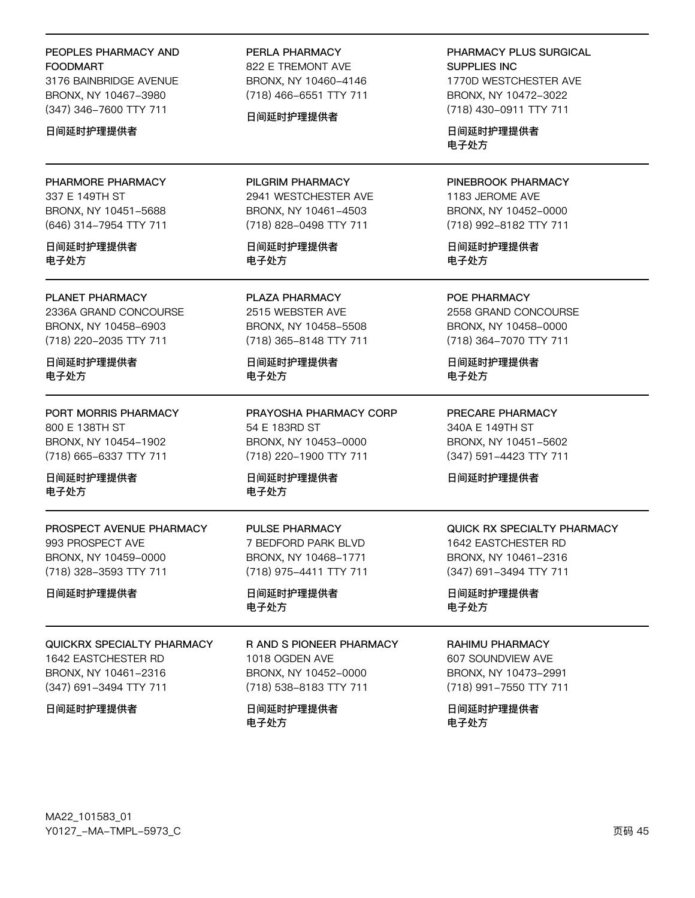## PEOPLES PHARMACY AND **FOODMART**

3176 BAINBRIDGE AVENUE BRONX, NY 10467-3980 (347) 346-7600 TTY 711

#### 日间延时护理提供者

PHARMORE PHARMACY 337 E 149TH ST BRONX, NY 10451-5688 (646) 314-7954 TTY 711

日间延时护理提供者 电子处方

# PLANET PHARMACY

2336A GRAND CONCOURSE BRONX, NY 10458-6903 (718) 220-2035 TTY 711

日间延时护理提供者 电子处方

PORT MORRIS PHARMACY 800 E 138TH ST BRONX, NY 10454-1902 (718) 665-6337 TTY 711

日间延时护理提供者 电子处方

PROSPECT AVENUE PHARMACY 993 PROSPECT AVE BRONX, NY 10459-0000 (718) 328-3593 TTY 711

日间延时护理提供者

# QUICKRX SPECIALTY PHARMACY 1642 EASTCHESTER RD BRONX, NY 10461-2316 (347) 691-3494 TTY 711

日间延时护理提供者

# PERLA PHARMACY

822 E TREMONT AVE BRONX, NY 10460-4146 (718) 466-6551 TTY 711

## 日间延时护理提供者

PILGRIM PHARMACY 2941 WESTCHESTER AVE BRONX, NY 10461-4503 (718) 828-0498 TTY 711

日间延时护理提供者 电子处方

PLAZA PHARMACY 2515 WEBSTER AVE BRONX, NY 10458-5508 (718) 365-8148 TTY 711

日间延时护理提供者 电子处方

PRAYOSHA PHARMACY CORP 54 E 183RD ST BRONX, NY 10453-0000 (718) 220-1900 TTY 711

日间延时护理提供者 电子处方

PULSE PHARMACY 7 BEDFORD PARK BLVD BRONX, NY 10468-1771 (718) 975-4411 TTY 711

日间延时护理提供者 电子处方

## R AND S PIONEER PHARMACY 1018 OGDEN AVE BRONX, NY 10452-0000 (718) 538-8183 TTY 711

日间延时护理提供者 电子处方

PHARMACY PLUS SURGICAL SUPPLIES INC

1770D WESTCHESTER AVE BRONX, NY 10472-3022 (718) 430-0911 TTY 711

日间延时护理提供者 电子处方

## PINEBROOK PHARMACY

1183 JEROME AVE BRONX, NY 10452-0000 (718) 992-8182 TTY 711

日间延时护理提供者 电子处方

POE PHARMACY 2558 GRAND CONCOURSE BRONX, NY 10458-0000 (718) 364-7070 TTY 711

日间延时护理提供者 电子处方

PRECARE PHARMACY 340A E 149TH ST BRONX, NY 10451-5602 (347) 591-4423 TTY 711

日间延时护理提供者

## QUICK RX SPECIALTY PHARMACY 1642 EASTCHESTER RD BRONX, NY 10461-2316 (347) 691-3494 TTY 711

日间延时护理提供者 电子处方

## RAHIMU PHARMACY

607 SOUNDVIEW AVE BRONX, NY 10473-2991 (718) 991-7550 TTY 711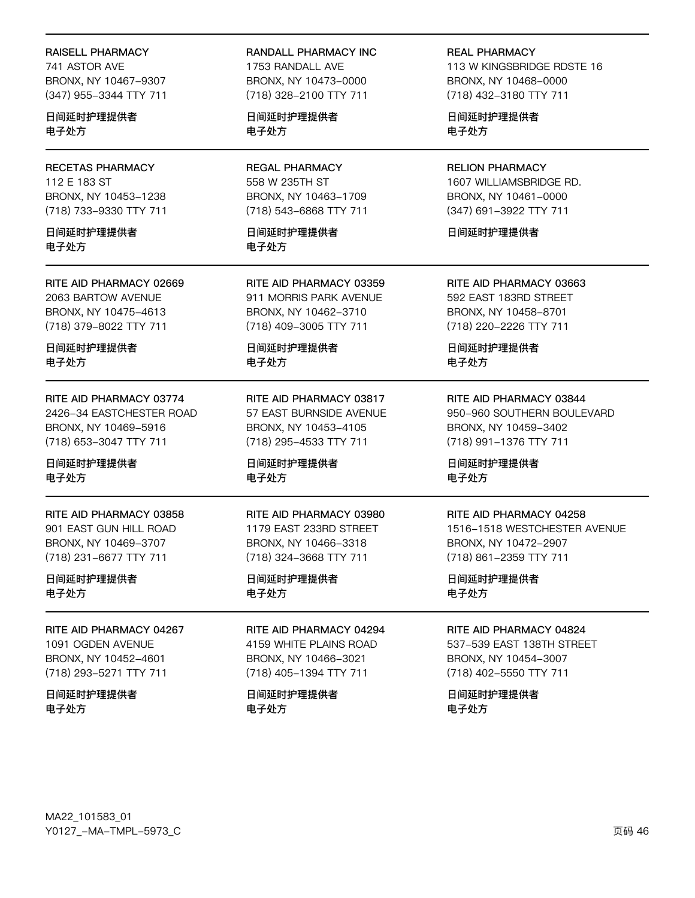RAISELL PHARMACY

741 ASTOR AVE BRONX, NY 10467-9307 (347) 955-3344 TTY 711

日间延时护理提供者 电子处方

**RECETAS PHARMACY** 112 E 183 ST BRONX, NY 10453-1238 (718) 733-9330 TTY 711

日间延时护理提供者 电子外方

RITE AID PHARMACY 02669 2063 BARTOW AVENUE BRONX, NY 10475-4613 (718) 379-8022 TTY 711

日间延时护理提供者 电子处方

RITE AID PHARMACY 03774 2426-34 EASTCHESTER ROAD BRONX, NY 10469-5916 (718) 653-3047 TTY 711

日间延时护理提供者 电子处方

RITE AID PHARMACY 03858 901 EAST GUN HILL ROAD BRONX, NY 10469-3707 (718) 231-6677 TTY 711

日间延时护理提供者 电子处方

RITE AID PHARMACY 04267 1091 OGDEN AVENUE BRONX, NY 10452-4601 (718) 293-5271 TTY 711

日间延时护理提供者 电子处方

RANDALL PHARMACY INC

1753 RANDALL AVE BRONX, NY 10473-0000 (718) 328-2100 TTY 711

日间延时护理提供者 电子处方

**REGAL PHARMACY** 558 W 235TH ST BRONX, NY 10463-1709 (718) 543-6868 TTY 711

日间延时护理提供者 电子外方

RITE AID PHARMACY 03359 911 MORRIS PARK AVENUE BRONX, NY 10462-3710 (718) 409-3005 TTY 711

日间延时护理提供者 电子处方

RITE AID PHARMACY 03817 57 EAST BURNSIDE AVENUE BRONX, NY 10453-4105 (718) 295-4533 TTY 711

日间延时护理提供者 电子处方

#### RITE AID PHARMACY 03980 1179 EAST 233RD STREET

BRONX, NY 10466-3318 (718) 324-3668 TTY 711

## 日间延时护理提供者 电子处方

RITE AID PHARMACY 04294 4159 WHITE PLAINS ROAD BRONX, NY 10466-3021

日间延时护理提供者 电子处方

(718) 405-1394 TTY 711

**REAL PHARMACY** 

113 W KINGSBRIDGE RDSTE 16 BRONX, NY 10468-0000 (718) 432-3180 TTY 711

日间延时护理提供者 电子处方

**RELION PHARMACY** 1607 WILLIAMSBRIDGE RD. BRONX, NY 10461-0000 (347) 691-3922 TTY 711

日间延时护理提供者

RITE AID PHARMACY 03663 592 EAST 183RD STREET BRONX, NY 10458-8701 (718) 220-2226 TTY 711

日间延时护理提供者 电子处方

RITE AID PHARMACY 03844 950-960 SOUTHERN BOULEVARD BRONX, NY 10459-3402 (718) 991-1376 TTY 711

日间延时护理提供者 电子处方

#### RITE AID PHARMACY 04258

1516-1518 WESTCHESTER AVENUE BRONX, NY 10472-2907 (718) 861-2359 TTY 711

日间延时护理提供者 电子处方

#### RITE AID PHARMACY 04824

537-539 EAST 138TH STREET BRONX, NY 10454-3007 (718) 402-5550 TTY 711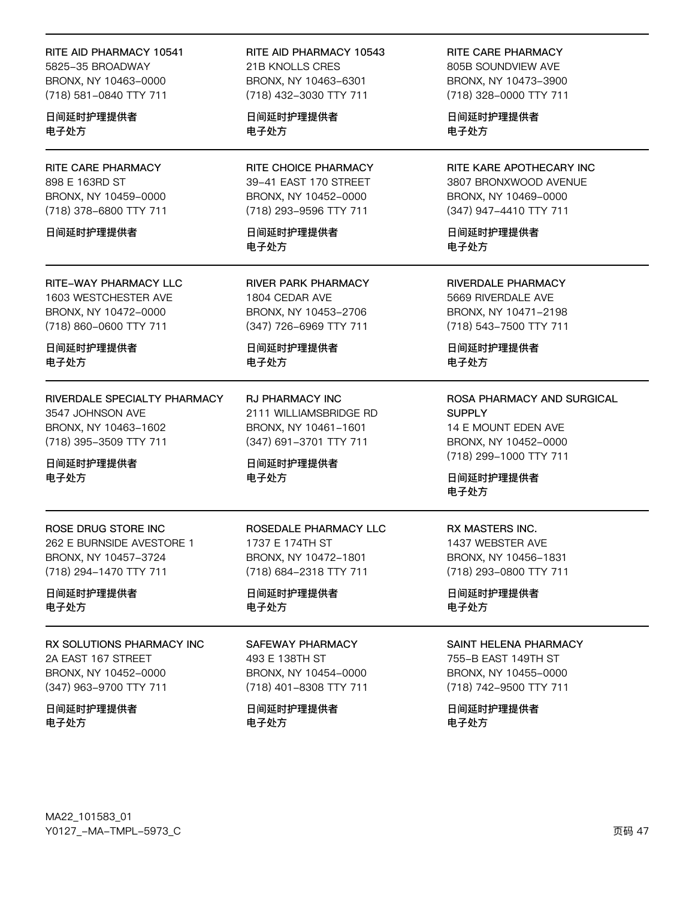RITE AID PHARMACY 10541 5825-35 BROADWAY BRONX, NY 10463-0000 (718) 581-0840 TTY 711

日间延时护理提供者 电子处方

RITE CARE PHARMACY 898 E 163RD ST BRONX, NY 10459-0000 (718) 378-6800 TTY 711

日间延时护理提供者

**RITE-WAY PHARMACY LLC** 1603 WESTCHESTER AVE BRONX, NY 10472-0000 (718) 860-0600 TTY 711

日间延时护理提供者 电子处方

RIVERDALE SPECIALTY PHARMACY 3547 JOHNSON AVE BRONX, NY 10463-1602 (718) 395-3509 TTY 711

日间延时护理提供者 电子处方

ROSE DRUG STORE INC 262 E BURNSIDE AVESTORE 1 BRONX, NY 10457-3724 (718) 294-1470 TTY 711

日间延时护理提供者 电子处方

RX SOLUTIONS PHARMACY INC 2A EAST 167 STREET BRONX, NY 10452-0000 (347) 963-9700 TTY 711

日间延时护理提供者 电子处方

RITE AID PHARMACY 10543 21B KNOLLS CRES BRONX, NY 10463-6301 (718) 432-3030 TTY 711

日间延时护理提供者 电子处方

RITE CHOICE PHARMACY 39-41 EAST 170 STREET BRONX, NY 10452-0000 (718) 293-9596 TTY 711

日间延时护理提供者 电子外方

**RIVER PARK PHARMACY** 1804 CEDAR AVE BRONX, NY 10453-2706 (347) 726-6969 TTY 711

日间延时护理提供者 电子处方

**RJ PHARMACY INC** 2111 WILLIAMSBRIDGE RD BRONX, NY 10461-1601 (347) 691-3701 TTY 711

日间延时护理提供者 电子处方

ROSEDALE PHARMACY LLC 1737 E 174TH ST BRONX, NY 10472-1801 (718) 684-2318 TTY 711

日间延时护理提供者 电子处方

SAFEWAY PHARMACY 493 E 138TH ST

BRONX, NY 10454-0000 (718) 401-8308 TTY 711

日间延时护理提供者 电子处方

RITE CARE PHARMACY 805B SOUNDVIEW AVE BRONX, NY 10473-3900 (718) 328-0000 TTY 711

日间延时护理提供者 电子处方

RITE KARE APOTHECARY INC 3807 BRONXWOOD AVENUE BRONX, NY 10469-0000 (347) 947-4410 TTY 711

日间延时护理提供者 电子外方

**RIVERDALE PHARMACY** 5669 RIVERDALE AVE BRONX, NY 10471-2198 (718) 543-7500 TTY 711

日间延时护理提供者 电子处方

ROSA PHARMACY AND SURGICAL **SUPPLY** 14 E MOUNT EDEN AVE BRONX, NY 10452-0000 (718) 299-1000 TTY 711

日间延时护理提供者 电子处方

RX MASTERS INC. 1437 WEBSTER AVE BRONX, NY 10456-1831 (718) 293-0800 TTY 711

日间延时护理提供者 电子处方

#### **SAINT HELENA PHARMACY**

755-B EAST 149TH ST BRONX, NY 10455-0000 (718) 742-9500 TTY 711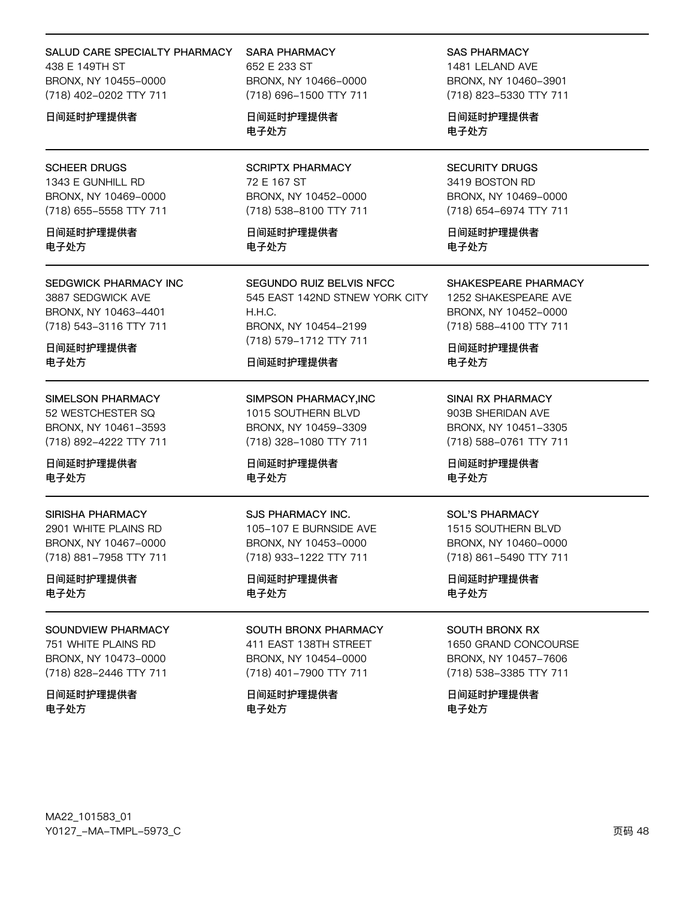#### SALUD CARE SPECIALTY PHARMACY

438 F 149TH ST BRONX, NY 10455-0000 (718) 402-0202 TTY 711

日间延时护理提供者

#### **SCHEER DRUGS**

1343 E GUNHILL RD BRONX, NY 10469-0000 (718) 655-5558 TTY 711

日间延时护理提供者 电子外方

#### SEDGWICK PHARMACY INC 3887 SEDGWICK AVE BRONX, NY 10463-4401

(718) 543-3116 TTY 711

日间延时护理提供者 电子处方

#### SIMELSON PHARMACY 52 WESTCHESTER SQ

BRONX, NY 10461-3593 (718) 892-4222 TTY 711

日间延时护理提供者 电子处方

#### **SIRISHA PHARMACY**

2901 WHITE PLAINS RD BRONX, NY 10467-0000 (718) 881-7958 TTY 711

日间延时护理提供者 电子处方

#### SOUNDVIEW PHARMACY

751 WHITE PLAINS RD BRONX, NY 10473-0000 (718) 828-2446 TTY 711

### 日间延时护理提供者 电子处方

**SARA PHARMACY** 652 F 233 ST BRONX, NY 10466-0000 (718) 696-1500 TTY 711

日间延时护理提供者 电子处方

**SCRIPTX PHARMACY** 72 E 167 ST BRONX, NY 10452-0000 (718) 538-8100 TTY 711

日间延时护理提供者 电子外方

SEGUNDO RUIZ BELVIS NFCC 545 EAST 142ND STNEW YORK CITY H.H.C. BRONX, NY 10454-2199 (718) 579-1712 TTY 711

#### 日间延时护理提供者

SIMPSON PHARMACY, INC 1015 SOUTHERN BLVD BRONX, NY 10459-3309 (718) 328-1080 TTY 711

日间延时护理提供者 电子处方

#### SJS PHARMACY INC.

105-107 E BURNSIDE AVE BRONX, NY 10453-0000 (718) 933-1222 TTY 711

日间延时护理提供者 电子处方

### SOUTH BRONX PHARMACY

411 EAST 138TH STREET BRONX, NY 10454-0000 (718) 401-7900 TTY 711

## 日间延时护理提供者 电子处方

**SAS PHARMACY** 

1481 LELAND AVE BRONX, NY 10460-3901 (718) 823-5330 TTY 711

日间延时护理提供者 电子处方

**SECURITY DRUGS** 3419 BOSTON RD BRONX, NY 10469-0000 (718) 654-6974 TTY 711

日间延时护理提供者 电子外方

#### SHAKESPEARE PHARMACY

1252 SHAKESPEARE AVE BRONX, NY 10452-0000 (718) 588-4100 TTY 711

日间延时护理提供者 电子处方

**SINAI RX PHARMACY** 903B SHERIDAN AVE BRONX, NY 10451-3305 (718) 588-0761 TTY 711

日间延时护理提供者 电子处方

#### **SOL'S PHARMACY**

1515 SOUTHERN BLVD BRONX, NY 10460-0000 (718) 861-5490 TTY 711

日间延时护理提供者 电子处方

## **SOUTH BRONX RX**

1650 GRAND CONCOURSE BRONX, NY 10457-7606 (718) 538-3385 TTY 711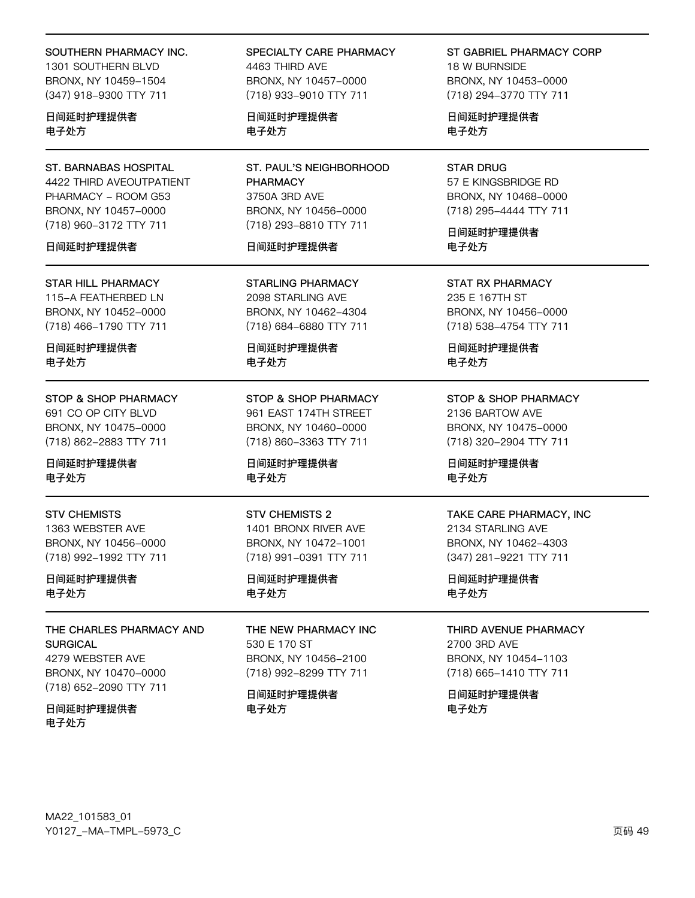#### SOUTHERN PHARMACY INC.

1301 SOUTHERN BLVD BRONX, NY 10459-1504 (347) 918-9300 TTY 711

日间延时护理提供者 电子处方

**ST. BARNABAS HOSPITAL** 4422 THIRD AVEOUTPATIENT PHARMACY - ROOM G53 BRONX, NY 10457-0000 (718) 960-3172 TTY 711

#### 日间延时护理提供者

**STAR HILL PHARMACY** 115-A FEATHERBED LN BRONX, NY 10452-0000 (718) 466-1790 TTY 711

日间延时护理提供者 电子处方

STOP & SHOP PHARMACY 691 CO OP CITY BLVD BRONX, NY 10475-0000 (718) 862-2883 TTY 711

日间延时护理提供者 电子处方

**STV CHEMISTS** 1363 WEBSTER AVE BRONX, NY 10456-0000 (718) 992-1992 TTY 711

日间延时护理提供者 电子处方

THE CHARLES PHARMACY AND **SURGICAL** 4279 WEBSTER AVE

BRONX, NY 10470-0000 (718) 652-2090 TTY 711

日间延时护理提供者 电子处方

SPECIALTY CARE PHARMACY 4463 THIRD AVE BRONX, NY 10457-0000 (718) 933-9010 TTY 711

日间延时护理提供者 电子处方

ST. PAUL'S NEIGHBORHOOD **PHARMACY** 3750A 3RD AVE BRONX, NY 10456-0000 (718) 293-8810 TTY 711

#### 日间延时护理提供者

**STARLING PHARMACY** 2098 STARLING AVE BRONX, NY 10462-4304 (718) 684-6880 TTY 711

日间延时护理提供者 电子处方

STOP & SHOP PHARMACY 961 EAST 174TH STREET BRONX, NY 10460-0000 (718) 860-3363 TTY 711

日间延时护理提供者 电子处方

**STV CHEMISTS 2** 1401 BRONX RIVER AVE BRONX, NY 10472-1001 (718) 991-0391 TTY 711

日间延时护理提供者 电子处方

THE NEW PHARMACY INC 530 E 170 ST BRONX, NY 10456-2100 (718) 992-8299 TTY 711

日间延时护理提供者 电子处方

ST GABRIEL PHARMACY CORP 18 W BURNSIDE BRONX, NY 10453-0000 (718) 294-3770 TTY 711

日间延时护理提供者 电子处方

**STAR DRUG** 57 E KINGSBRIDGE RD BRONX, NY 10468-0000 (718) 295-4444 TTY 711

日间延时护理提供者 电子外方

**STAT RX PHARMACY** 235 E 167TH ST BRONX, NY 10456-0000 (718) 538-4754 TTY 711

日间延时护理提供者 电子处方

**STOP & SHOP PHARMACY** 2136 BARTOW AVE BRONX, NY 10475-0000 (718) 320-2904 TTY 711

日间延时护理提供者 电子处方

## TAKE CARE PHARMACY, INC

2134 STARLING AVE BRONX, NY 10462-4303 (347) 281-9221 TTY 711

日间延时护理提供者 电子处方

THIRD AVENUE PHARMACY 2700 3RD AVE

BRONX, NY 10454-1103 (718) 665-1410 TTY 711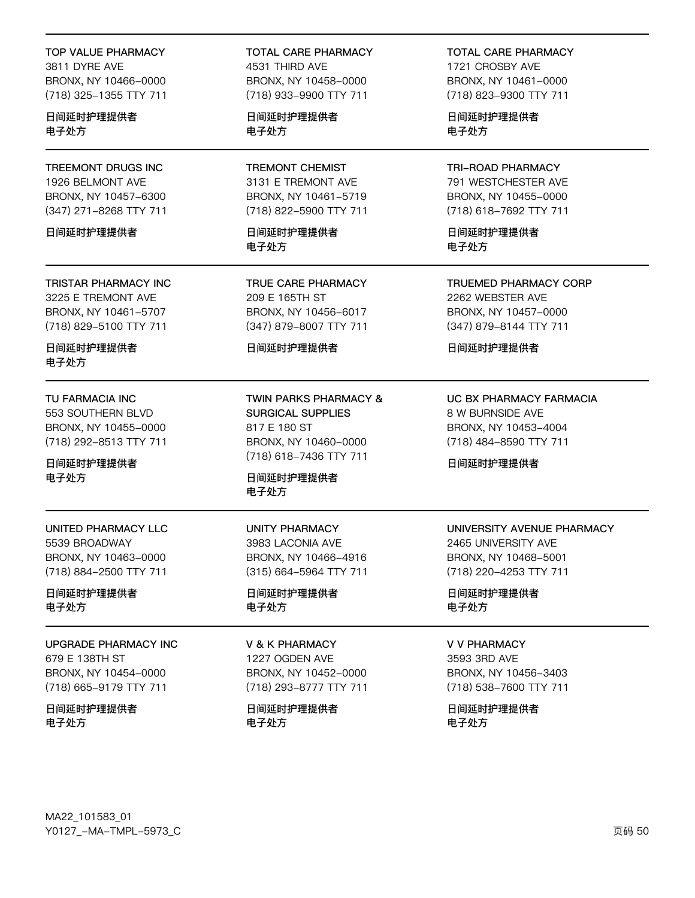## **TOP VALUE PHARMACY**

3811 DYRE AVE BRONX, NY 10466-0000 (718) 325-1355 TTY 711

日间延时护理提供者 电子处方

TREEMONT DRUGS INC 1926 BELMONT AVE BRONX, NY 10457-6300 (347) 271-8268 TTY 711

日间延时护理提供者

**TRISTAR PHARMACY INC** 3225 E TREMONT AVE BRONX, NY 10461-5707 (718) 829-5100 TTY 711

日间延时护理提供者 电子处方

TU FARMACIA INC 553 SOUTHERN BLVD BRONX, NY 10455-0000 (718) 292-8513 TTY 711

日间延时护理提供者 电子处方

UNITED PHARMACY LLC 5539 BROADWAY BRONX, NY 10463-0000 (718) 884-2500 TTY 711

日间延时护理提供者 电子处方

**UPGRADE PHARMACY INC** 679 E 138TH ST BRONX, NY 10454-0000 (718) 665-9179 TTY 711

日间延时护理提供者 电子处方

**TOTAL CARE PHARMACY** 4531 THIRD AVE BRONX, NY 10458-0000 (718) 933-9900 TTY 711

日间延时护理提供者 电子处方

**TREMONT CHEMIST** 3131 E TREMONT AVE BRONX, NY 10461-5719 (718) 822-5900 TTY 711

日间延时护理提供者 电子外方

TRUE CARE PHARMACY 209 E 165TH ST BRONX, NY 10456-6017 (347) 879-8007 TTY 711

日间延时护理提供者

**TWIN PARKS PHARMACY & SURGICAL SUPPLIES** 817 E 180 ST BRONX, NY 10460-0000 (718) 618-7436 TTY 711

日间延时护理提供者 电子处方

**UNITY PHARMACY** 3983 LACONIA AVE BRONX, NY 10466-4916 (315) 664-5964 TTY 711

日间延时护理提供者 电子处方

**V & K PHARMACY** 1227 OGDEN AVE BRONX, NY 10452-0000 (718) 293-8777 TTY 711

日间延时护理提供者 电子处方

**TOTAL CARE PHARMACY** 1721 CROSBY AVE BRONX, NY 10461-0000 (718) 823-9300 TTY 711

日间延时护理提供者 电子处方

**TRI-ROAD PHARMACY** 791 WESTCHESTER AVE BRONX, NY 10455-0000 (718) 618-7692 TTY 711

日间延时护理提供者 电子外方

**TRUEMED PHARMACY CORP** 2262 WEBSTER AVE BRONX, NY 10457-0000 (347) 879-8144 TTY 711

日间延时护理提供者

UC BX PHARMACY FARMACIA 8 W BURNSIDE AVE BRONX, NY 10453-4004 (718) 484-8590 TTY 711

日间延时护理提供者

# UNIVERSITY AVENUE PHARMACY 2465 UNIVERSITY AVE

BRONX, NY 10468-5001 (718) 220-4253 TTY 711

日间延时护理提供者 电子处方

#### **V V PHARMACY**

3593 3RD AVE BRONX, NY 10456-3403 (718) 538-7600 TTY 711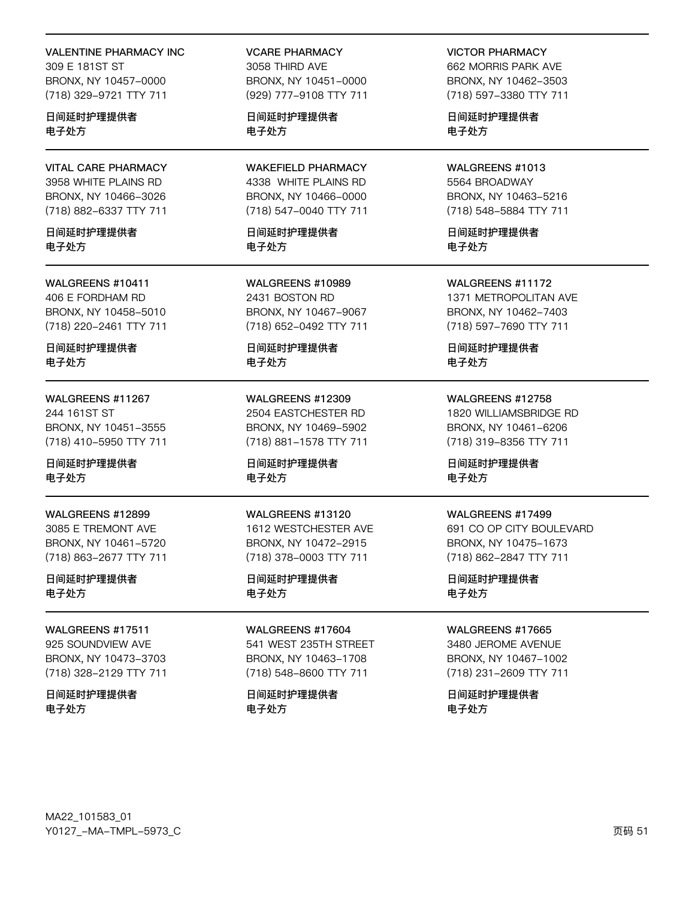#### **VALENTINE PHARMACY INC**

309 F 181ST ST BRONX, NY 10457-0000 (718) 329-9721 TTY 711

日间延时护理提供者 电子处方

**VITAL CARE PHARMACY** 3958 WHITE PLAINS RD BRONX, NY 10466-3026 (718) 882-6337 TTY 711

日间延时护理提供者 电子外方

WALGREENS #10411 406 E FORDHAM RD BRONX, NY 10458-5010 (718) 220-2461 TTY 711

日间延时护理提供者 电子处方

WALGREENS #11267 244 161ST ST BRONX, NY 10451-3555 (718) 410-5950 TTY 711

日间延时护理提供者 电子处方

WALGREENS #12899 3085 E TREMONT AVE BRONX, NY 10461-5720 (718) 863-2677 TTY 711

日间延时护理提供者 电子处方

**WAI GREENS #17511** 925 SOUNDVIEW AVE BRONX, NY 10473-3703 (718) 328-2129 TTY 711

日间延时护理提供者 电子处方

**VCARE PHARMACY** 3058 THIRD AVE BRONX, NY 10451-0000

(929) 777-9108 TTY 711

日间延时护理提供者 电子处方

**WAKEFIELD PHARMACY** 4338 WHITE PLAINS RD BRONX, NY 10466-0000 (718) 547-0040 TTY 711

日间延时护理提供者 电子外方

WALGREENS #10989 2431 BOSTON RD BRONX, NY 10467-9067 (718) 652-0492 TTY 711

日间延时护理提供者 电子处方

WALGREENS #12309 2504 EASTCHESTER RD BRONX, NY 10469-5902 (718) 881-1578 TTY 711

日间延时护理提供者 电子处方

WALGREENS #13120 1612 WESTCHESTER AVE BRONX, NY 10472-2915 (718) 378-0003 TTY 711

日间延时护理提供者 电子处方

WALGREENS #17604 541 WEST 235TH STREET BRONX, NY 10463-1708 (718) 548-8600 TTY 711

日间延时护理提供者 电子处方

**VICTOR PHARMACY** 662 MORRIS PARK AVE BRONX, NY 10462-3503 (718) 597-3380 TTY 711

日间延时护理提供者 电子处方

WALGREENS #1013 5564 BROADWAY BRONX, NY 10463-5216 (718) 548-5884 TTY 711

日间延时护理提供者 电子外方

WALGREENS #11172 1371 METROPOLITAN AVE BRONX, NY 10462-7403 (718) 597-7690 TTY 711

日间延时护理提供者 电子处方

WALGREENS #12758 1820 WILLIAMSBRIDGE RD

BRONX, NY 10461-6206 (718) 319-8356 TTY 711

日间延时护理提供者 电子处方

#### WALGREENS #17499

691 CO OP CITY BOULEVARD BRONX, NY 10475-1673 (718) 862-2847 TTY 711

日间延时护理提供者 电子处方

**WAI GREENS #17665** 

3480 JEROME AVENUE BRONX, NY 10467-1002 (718) 231-2609 TTY 711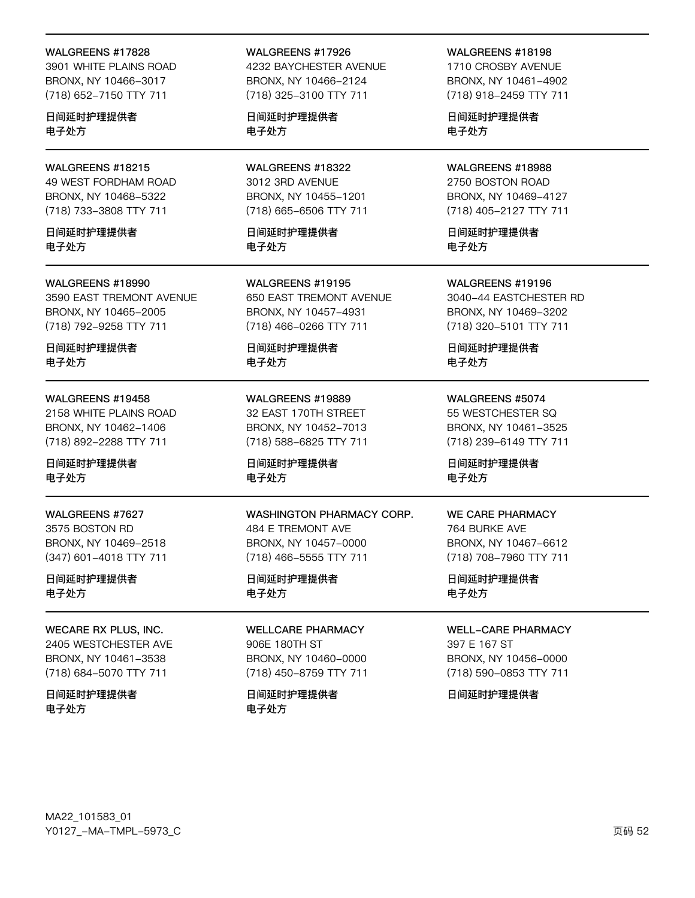#### WALGREENS #17828

3901 WHITE PLAINS ROAD BRONX, NY 10466-3017 (718) 652-7150 TTY 711

日间延时护理提供者 电子处方

WALGREENS #18215 49 WEST FORDHAM ROAD BRONX, NY 10468-5322 (718) 733-3808 TTY 711

日间延时护理提供者 电子外方

#### WALGREENS #18990

3590 EAST TREMONT AVENUE BRONX, NY 10465-2005 (718) 792-9258 TTY 711

日间延时护理提供者 电子处方

#### WALGREENS #19458

2158 WHITE PLAINS ROAD BRONX, NY 10462-1406 (718) 892-2288 TTY 711

日间延时护理提供者 电子处方

WALGREENS #7627 3575 BOSTON RD BRONX, NY 10469-2518 (347) 601-4018 TTY 711

日间延时护理提供者 电子处方

**WECARE RX PLUS, INC.** 2405 WESTCHESTER AVE BRONX, NY 10461-3538 (718) 684-5070 TTY 711

日间延时护理提供者 电子处方

#### WALGREENS #17926

4232 BAYCHESTER AVENUE BRONX, NY 10466-2124 (718) 325-3100 TTY 711

日间延时护理提供者 电子处方

WALGREENS #18322 3012 3RD AVENUE BRONX, NY 10455-1201 (718) 665-6506 TTY 711

日间延时护理提供者 电子外方

WALGREENS #19195 650 EAST TREMONT AVENUE BRONX, NY 10457-4931 (718) 466-0266 TTY 711

日间延时护理提供者 电子处方

WALGREENS #19889 32 EAST 170TH STREET BRONX, NY 10452-7013 (718) 588-6825 TTY 711

日间延时护理提供者 电子处方

WASHINGTON PHARMACY CORP. 484 E TREMONT AVE BRONX, NY 10457-0000 (718) 466-5555 TTY 711

日间延时护理提供者 电子处方

**WELLCARE PHARMACY** 906E 180TH ST BRONX, NY 10460-0000 (718) 450-8759 TTY 711

日间延时护理提供者 电子处方

WALGREENS #18198

1710 CROSBY AVENUE BRONX, NY 10461-4902 (718) 918-2459 TTY 711

日间延时护理提供者 电子处方

WALGREENS #18988 2750 BOSTON ROAD BRONX, NY 10469-4127 (718) 405-2127 TTY 711

日间延时护理提供者 电子外方

WALGREENS #19196 3040-44 EASTCHESTER RD BRONX, NY 10469-3202 (718) 320-5101 TTY 711

日间延时护理提供者 电子处方

WALGREENS #5074 55 WESTCHESTER SQ BRONX, NY 10461-3525 (718) 239-6149 TTY 711

日间延时护理提供者 电子处方

#### **WE CARE PHARMACY**

764 BURKE AVE BRONX, NY 10467-6612 (718) 708-7960 TTY 711

日间延时护理提供者 电子处方

**WELL-CARE PHARMACY** 

397 E 167 ST BRONX, NY 10456-0000 (718) 590-0853 TTY 711

日间延时护理提供者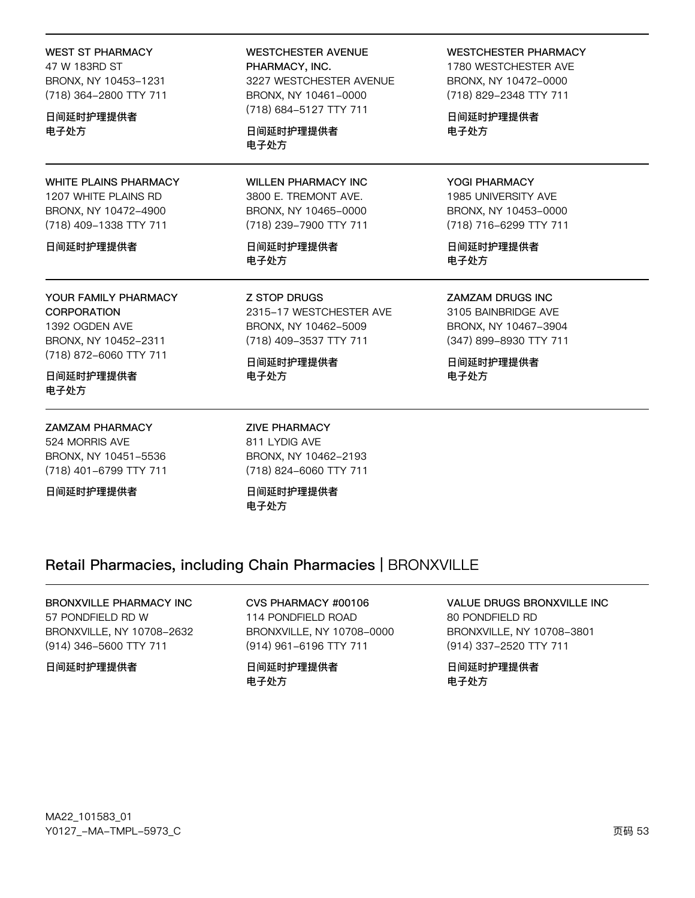| 47 W 183RD ST<br>BRONX, NY 10453-1231<br>(718) 364-2800 TTY 711<br>日间延时护理提供者<br>电子处方                   | PHARMACY, INC.<br>3227 WESTCHESTER AVENUE<br>BRONX, NY 10461-0000                                    | 1780 WESTCHE<br>BRONX, NY 104<br>(718) 829-2348<br>日间延时护理提们<br>电子处方    |
|--------------------------------------------------------------------------------------------------------|------------------------------------------------------------------------------------------------------|------------------------------------------------------------------------|
|                                                                                                        | (718) 684-5127 TTY 711<br>日间延时护理提供者                                                                  |                                                                        |
|                                                                                                        | 电子处方                                                                                                 |                                                                        |
| <b>WHITE PLAINS PHARMACY</b><br>1207 WHITE PLAINS RD<br>BRONX, NY 10472-4900<br>(718) 409-1338 TTY 711 | <b>WILLEN PHARMACY INC</b><br>3800 E. TREMONT AVE.<br>BRONX, NY 10465-0000<br>(718) 239-7900 TTY 711 | YOGI PHARMA(<br>1985 UNIVERSI<br>BRONX, NY 104<br>(718) 716-6299       |
| 日间延时护理提供者                                                                                              | 日间延时护理提供者<br>电子处方                                                                                    | 日间延时护理提<br>电子处方                                                        |
| YOUR FAMILY PHARMACY<br><b>CORPORATION</b><br>1392 OGDEN AVE<br>BRONX, NY 10452-2311                   | <b>Z STOP DRUGS</b><br>2315-17 WESTCHESTER AVE<br>BRONX, NY 10462-5009<br>(718) 409-3537 TTY 711     | <b>ZAMZAM DRUG</b><br>3105 BAINBRID<br>BRONX, NY 104<br>(347) 899-8930 |
| (718) 872-6060 TTY 711                                                                                 | 日间延时护理提供者                                                                                            | 日间延时护理提伯                                                               |

**WESTCHESTER AVENUE** 

日间延时护理提供者 电子处方

**WEST ST PHARMACY** 

## **ZAMZAM PHARMACY**

524 MORRIS AVE BRONX, NY 10451-5536 (718) 401-6799 TTY 711

日间延时护理提供者

**ZIVE PHARMACY** 811 LYDIG AVE BRONX, NY 10462-2193 (718) 824-6060 TTY 711

日间延时护理提供者 电子处方

## **WESTCHESTER PHARMACY**

**STER AVE** 172-0000 **TTY 711** 

共者

## CY TY AVE

153-0000 TTY 711

共者

**SINC** 

**GE AVE** 167-3904 **TTY 711** 

共者 电子处方

# Retail Pharmacies, including Chain Pharmacies | BRONXVILLE

电子处方

# BRONXVILLE PHARMACY INC 57 PONDFIELD RD W

BRONXVILLE, NY 10708-2632 (914) 346-5600 TTY 711

## 日间延时护理提供者

CVS PHARMACY #00106 114 PONDFIELD ROAD BRONXVILLE, NY 10708-0000 (914) 961-6196 TTY 711

日间延时护理提供者 电子处方

## VALUE DRUGS BRONXVILLE INC 80 PONDFIELD RD BRONXVILLE, NY 10708-3801 (914) 337-2520 TTY 711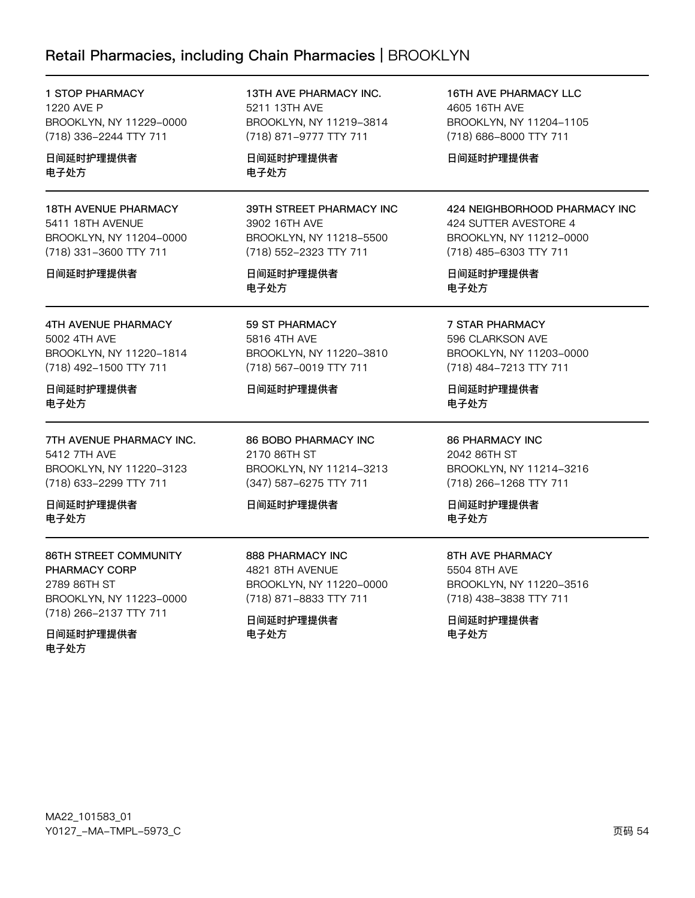# Retail Pharmacies, including Chain Pharmacies | BROOKLYN

1 STOP PHARMACY 1220 AVE P BROOKLYN, NY 11229-0000 (718) 336-2244 TTY 711

日间延时护理提供者 电子处方

18TH AVENUE PHARMACY 5411 18TH AVENUE BROOKLYN, NY 11204-0000 (718) 331-3600 TTY 711

#### 日间延时护理提供者

4TH AVENUE PHARMACY 5002 4TH AVE BROOKLYN, NY 11220-1814 (718) 492-1500 TTY 711

日间延时护理提供者 电子处方

7TH AVENUE PHARMACY INC. 5412 7TH AVE BROOKLYN, NY 11220-3123 (718) 633-2299 TTY 711

日间延时护理提供者 电子处方

86TH STREET COMMUNITY PHARMACY CORP 2789 86TH ST BROOKLYN, NY 11223-0000 (718) 266-2137 TTY 711

日间延时护理提供者 电子处方

13TH AVE PHARMACY INC. 5211 13TH AVE BROOKLYN, NY 11219-3814 (718) 871-9777 TTY 711

日间延时护理提供者 电子处方

## 39TH STREET PHARMACY INC 3902 16TH AVE BROOKLYN, NY 11218-5500 (718) 552-2323 TTY 711

日间延时护理提供者 电子处方

59 ST PHARMACY 5816 4TH AVE BROOKLYN, NY 11220-3810 (718) 567-0019 TTY 711

## 日间延时护理提供者

86 BOBO PHARMACY INC 2170 86TH ST BROOKLYN, NY 11214-3213 (347) 587-6275 TTY 711

#### 日间延时护理提供者

888 PHARMACY INC 4821 8TH AVENUE BROOKLYN, NY 11220-0000 (718) 871-8833 TTY 711

日间延时护理提供者 电子处方

16TH AVE PHARMACY LLC 4605 16TH AVE BROOKLYN, NY 11204-1105 (718) 686-8000 TTY 711

日间延时护理提供者

## 424 NEIGHBORHOOD PHARMACY INC

424 SUTTER AVESTORE 4 BROOKLYN, NY 11212-0000 (718) 485-6303 TTY 711

日间延时护理提供者 电子处方

7 STAR PHARMACY

596 CLARKSON AVE BROOKLYN, NY 11203-0000 (718) 484-7213 TTY 711

日间延时护理提供者 电子处方

86 PHARMACY INC 2042 86TH ST BROOKLYN, NY 11214-3216 (718) 266-1268 TTY 711

日间延时护理提供者 电子处方

8TH AVE PHARMACY 5504 8TH AVE BROOKLYN, NY 11220-3516

(718) 438-3838 TTY 711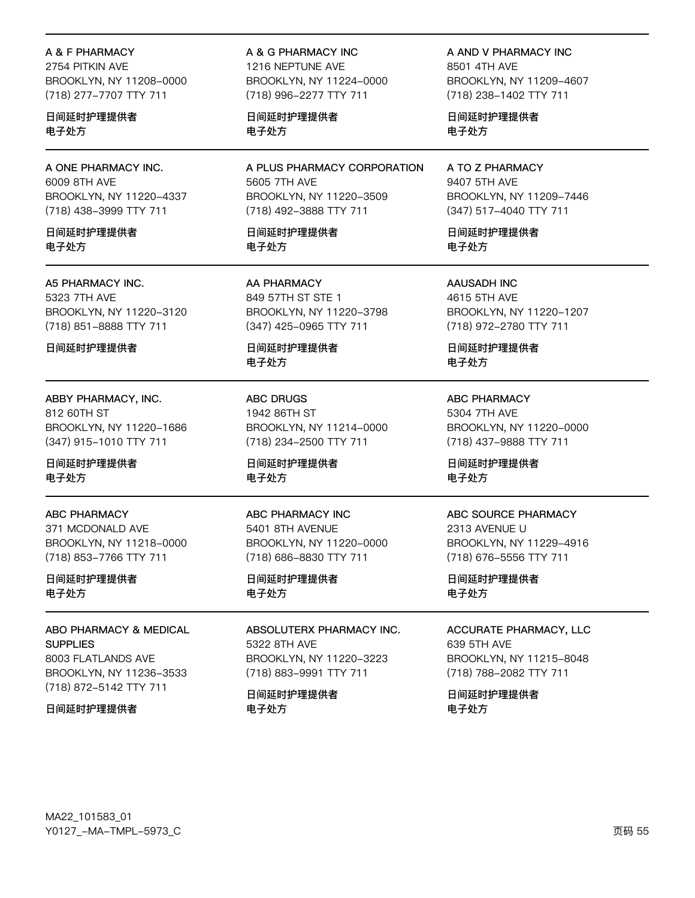A & F PHARMACY

2754 PITKIN AVE BROOKLYN, NY 11208-0000 (718) 277-7707 TTY 711

日间延时护理提供者 电子处方

A ONE PHARMACY INC. 6009 8TH AVE BROOKLYN, NY 11220-4337 (718) 438-3999 TTY 711

日间延时护理提供者 电子处方

#### A5 PHARMACY INC.

5323 7TH AVE BROOKLYN, NY 11220-3120 (718) 851-8888 TTY 711

日间延时护理提供者

## ABBY PHARMACY, INC.

812 60TH ST BROOKLYN, NY 11220-1686 (347) 915-1010 TTY 711

日间延时护理提供者 电子处方

#### ABC PHARMACY

371 MCDONALD AVE BROOKLYN, NY 11218-0000 (718) 853-7766 TTY 711

日间延时护理提供者 电子处方

# ABO PHARMACY & MEDICAL **SUPPLIES**

8003 FLATLANDS AVE BROOKLYN, NY 11236-3533 (718) 872-5142 TTY 711

日间延时护理提供者

A & G PHARMACY INC 1216 NEPTUNE AVE BROOKLYN, NY 11224-0000 (718) 996-2277 TTY 711

日间延时护理提供者 电子处方

A PLUS PHARMACY CORPORATION 5605 7TH AVE BROOKLYN, NY 11220-3509 (718) 492-3888 TTY 711

日间延时护理提供者 电子处方

AA PHARMACY 849 57TH ST STE 1 BROOKLYN, NY 11220-3798 (347) 425-0965 TTY 711

日间延时护理提供者 电子处方

ABC DRUGS 1942 86TH ST BROOKLYN, NY 11214-0000 (718) 234-2500 TTY 711

日间延时护理提供者 电子处方

ABC PHARMACY INC 5401 8TH AVENUE BROOKLYN, NY 11220-0000 (718) 686-8830 TTY 711

日间延时护理提供者 电子处方

ABSOLUTERX PHARMACY INC. 5322 8TH AVE BROOKLYN, NY 11220-3223 (718) 883-9991 TTY 711

日间延时护理提供者 电子处方

A AND V PHARMACY INC 8501 4TH AVF BROOKLYN, NY 11209-4607 (718) 238-1402 TTY 711

日间延时护理提供者 电子处方

A TO Z PHARMACY 9407 5TH AVE BROOKLYN, NY 11209-7446 (347) 517-4040 TTY 711

日间延时护理提供者 电子处方

AAUSADH INC 4615 5TH AVE BROOKLYN, NY 11220-1207 (718) 972-2780 TTY 711

日间延时护理提供者 电子处方

ABC PHARMACY 5304 7TH AVE BROOKLYN, NY 11220-0000 (718) 437-9888 TTY 711

日间延时护理提供者 电子处方

#### ABC SOURCE PHARMACY

2313 AVENUE U BROOKLYN, NY 11229-4916 (718) 676-5556 TTY 711

日间延时护理提供者 电子处方

#### ACCURATE PHARMACY, LLC

639 5TH AVE BROOKLYN, NY 11215-8048 (718) 788-2082 TTY 711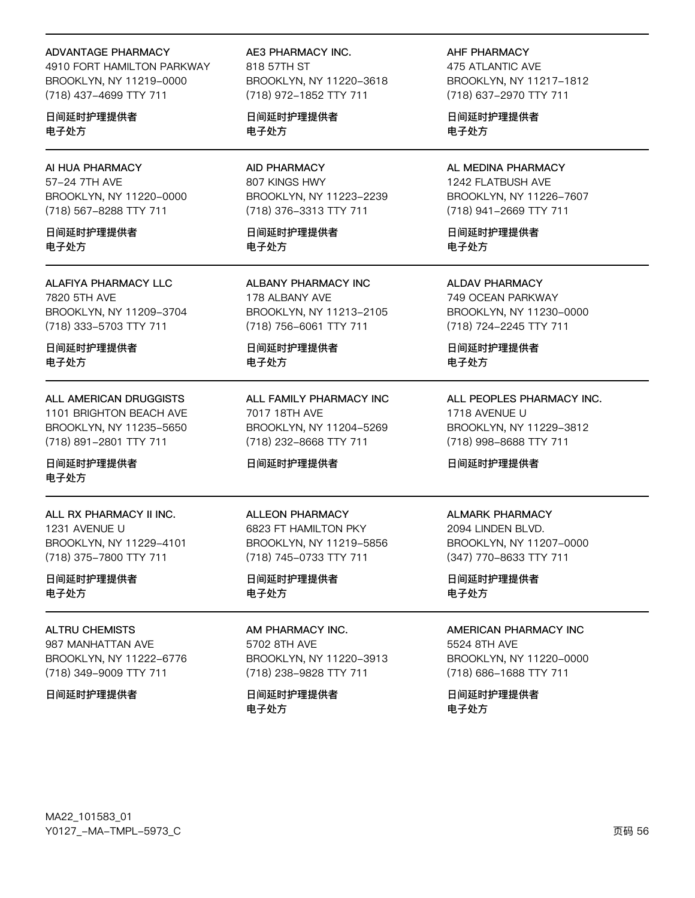#### **ADVANTAGE PHARMACY**

4910 FORT HAMILTON PARKWAY BROOKLYN, NY 11219-0000 (718) 437-4699 TTY 711

日间延时护理提供者 电子处方

## AI HUA PHARMACY 57-24 7TH AVE BROOKLYN, NY 11220-0000 (718) 567-8288 TTY 711

日间延时护理提供者 电子外方

## **ALAFIYA PHARMACY LLC** 7820 5TH AVE BROOKLYN, NY 11209-3704 (718) 333-5703 TTY 711

日间延时护理提供者 电子处方

## **ALL AMERICAN DRUGGISTS** 1101 BRIGHTON BEACH AVE BROOKLYN, NY 11235-5650 (718) 891-2801 TTY 711

日间延时护理提供者 电子处方

ALL RX PHARMACY II INC. 1231 AVENUE U BROOKLYN, NY 11229-4101 (718) 375-7800 TTY 711

## 日间延时护理提供者 电子处方

## **ALTRU CHEMISTS** 987 MANHATTAN AVE BROOKLYN, NY 11222-6776 (718) 349-9009 TTY 711

#### 日间延时护理提供者

AE3 PHARMACY INC. 818 57TH ST BROOKLYN, NY 11220-3618 (718) 972-1852 TTY 711

日间延时护理提供者 电子处方

## **AID PHARMACY** 807 KINGS HWY BROOKLYN, NY 11223-2239 (718) 376-3313 TTY 711

日间延时护理提供者 电子外方

**ALBANY PHARMACY INC** 178 ALBANY AVE BROOKLYN, NY 11213-2105 (718) 756-6061 TTY 711

日间延时护理提供者 电子处方

ALL FAMILY PHARMACY INC 7017 18TH AVE BROOKLYN, NY 11204-5269 (718) 232-8668 TTY 711

## 日间延时护理提供者

**ALLEON PHARMACY** 6823 FT HAMILTON PKY BROOKLYN, NY 11219-5856 (718) 745-0733 TTY 711

## 日间延时护理提供者 电子处方

AM PHARMACY INC. 5702 8TH AVE BROOKLYN, NY 11220-3913 (718) 238-9828 TTY 711

日间延时护理提供者 电子处方

#### **AHF PHARMACY**

475 ATLANTIC AVE BROOKLYN, NY 11217-1812 (718) 637-2970 TTY 711

日间延时护理提供者 电子处方

#### AL MEDINA PHARMACY 1242 FLATBUSH AVE BROOKLYN, NY 11226-7607 (718) 941-2669 TTY 711

日间延时护理提供者 电子外方

**ALDAV PHARMACY** 749 OCEAN PARKWAY BROOKLYN, NY 11230-0000 (718) 724-2245 TTY 711

日间延时护理提供者 电子处方

## ALL PEOPLES PHARMACY INC. 1718 AVENUE U BROOKLYN, NY 11229-3812 (718) 998-8688 TTY 711

日间延时护理提供者

#### **ALMARK PHARMACY**

2094 LINDEN BLVD. BROOKLYN, NY 11207-0000 (347) 770-8633 TTY 711

日间延时护理提供者 电子处方

## **AMERICAN PHARMACY INC**

5524 8TH AVE BROOKLYN, NY 11220-0000 (718) 686-1688 TTY 711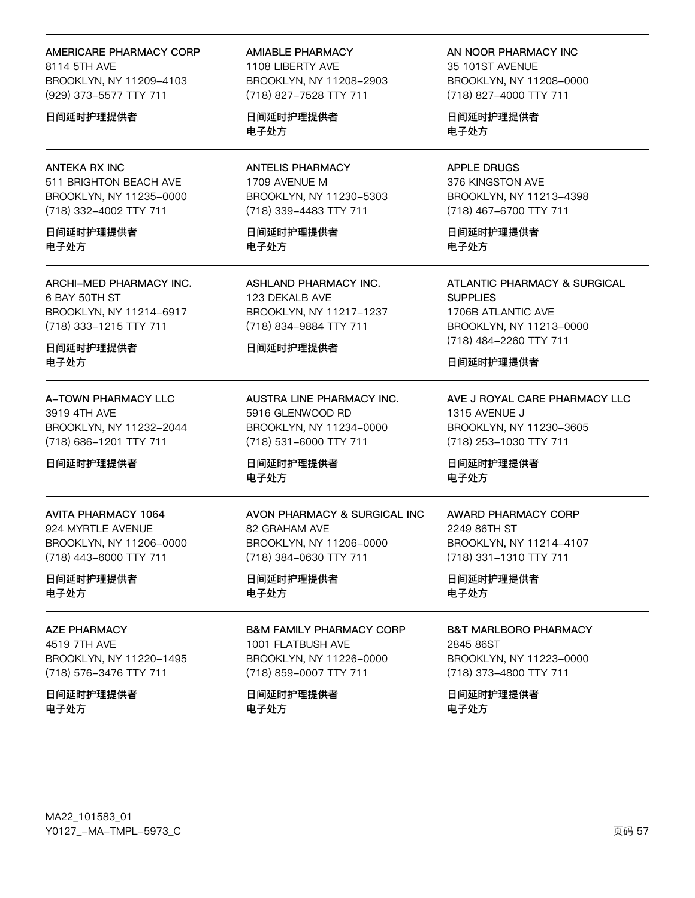#### AMERICARE PHARMACY CORP

8114 5TH AVF BROOKLYN, NY 11209-4103 (929) 373-5577 TTY 711

#### 日间延时护理提供者

#### **ANTEKA RX INC**

511 BRIGHTON BEACH AVE BROOKLYN, NY 11235-0000 (718) 332-4002 TTY 711

日间延时护理提供者 电子外方

ARCHI-MED PHARMACY INC. 6 BAY 50TH ST BROOKLYN, NY 11214-6917 (718) 333-1215 TTY 711

日间延时护理提供者 电子处方

A-TOWN PHARMACY LLC 3919 4TH AVE BROOKLYN, NY 11232-2044 (718) 686-1201 TTY 711

日间延时护理提供者

**AVITA PHARMACY 1064** 924 MYRTLE AVENUE BROOKLYN, NY 11206-0000 (718) 443-6000 TTY 711

日间延时护理提供者 电子处方

**AZE PHARMACY** 4519 7TH AVE BROOKLYN, NY 11220-1495 (718) 576-3476 TTY 711

日间延时护理提供者 电子处方

**AMIABLE PHARMACY** 

1108 LIBERTY AVE BROOKLYN, NY 11208-2903 (718) 827-7528 TTY 711

日间延时护理提供者 电子处方

**ANTELIS PHARMACY** 1709 AVENUE M BROOKLYN, NY 11230-5303 (718) 339-4483 TTY 711

日间延时护理提供者 电子外方

**ASHLAND PHARMACY INC.** 123 DEKALB AVE BROOKLYN, NY 11217-1237 (718) 834-9884 TTY 711

#### 日间延时护理提供者

AUSTRA LINE PHARMACY INC. 5916 GLENWOOD RD BROOKLYN, NY 11234-0000 (718) 531-6000 TTY 711

日间延时护理提供者 电子处方

AVON PHARMACY & SURGICAL INC 82 GRAHAM AVE BROOKLYN, NY 11206-0000 (718) 384-0630 TTY 711

日间延时护理提供者 电子处方

**B&M FAMILY PHARMACY CORP** 1001 FLATBUSH AVE BROOKLYN, NY 11226-0000 (718) 859-0007 TTY 711

日间延时护理提供者 电子处方

AN NOOR PHARMACY INC 35 101ST AVENUE BROOKLYN, NY 11208-0000 (718) 827-4000 TTY 711

日间延时护理提供者 电子处方

**APPLE DRUGS** 376 KINGSTON AVE BROOKLYN, NY 11213-4398 (718) 467-6700 TTY 711

日间延时护理提供者 电子外方

**ATLANTIC PHARMACY & SURGICAL SUPPLIES** 1706B ATLANTIC AVE BROOKLYN, NY 11213-0000 (718) 484-2260 TTY 711

日间延时护理提供者

AVE J ROYAL CARE PHARMACY LLC 1315 AVENUE J BROOKLYN, NY 11230-3605 (718) 253-1030 TTY 711

日间延时护理提供者 电子处方

**AWARD PHARMACY CORP** 2249 86TH ST BROOKLYN, NY 11214-4107 (718) 331-1310 TTY 711

日间延时护理提供者 电子处方

**B&T MARLBORO PHARMACY** 2845 86ST BROOKLYN, NY 11223-0000 (718) 373-4800 TTY 711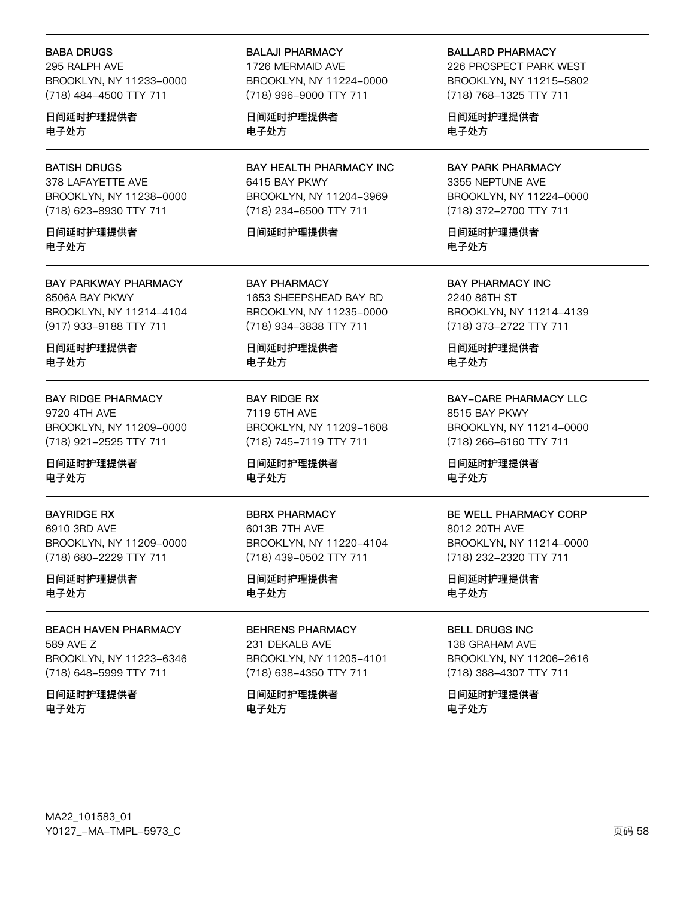#### **BABA DRUGS**

295 RALPH AVE BROOKLYN, NY 11233-0000 (718) 484-4500 TTY 711

日间延时护理提供者 电子处方

#### **BATISH DRUGS**

378 LAFAYETTE AVE BROOKLYN, NY 11238-0000 (718) 623-8930 TTY 711

日间延时护理提供者 电子外方

**BAY PARKWAY PHARMACY** 8506A BAY PKWY BROOKLYN, NY 11214-4104 (917) 933-9188 TTY 711

日间延时护理提供者 电子处方

### **BAY RIDGE PHARMACY** 9720 4TH AVE BROOKLYN, NY 11209-0000 (718) 921-2525 TTY 711

日间延时护理提供者 电子处方

#### **BAYRIDGE RX**

6910 3RD AVE BROOKLYN, NY 11209-0000 (718) 680-2229 TTY 711

日间延时护理提供者 电子处方

## **BEACH HAVEN PHARMACY** 589 AVE Z BROOKLYN, NY 11223-6346 (718) 648-5999 TTY 711

日间延时护理提供者 电子处方

#### **BALAJI PHARMACY**

1726 MERMAID AVE BROOKLYN, NY 11224-0000 (718) 996-9000 TTY 711

日间延时护理提供者 电子处方

BAY HEALTH PHARMACY INC 6415 BAY PKWY BROOKLYN, NY 11204-3969 (718) 234-6500 TTY 711

#### 日间延时护理提供者

**BAY PHARMACY** 1653 SHEEPSHEAD BAY RD BROOKLYN, NY 11235-0000 (718) 934-3838 TTY 711

日间延时护理提供者 电子处方

**BAY RIDGE RX** 7119 5TH AVE BROOKLYN, NY 11209-1608 (718) 745-7119 TTY 711

日间延时护理提供者 电子处方

#### **BBRX PHARMACY**

6013B 7TH AVE BROOKLYN, NY 11220-4104 (718) 439-0502 TTY 711

日间延时护理提供者 电子处方

**BEHRENS PHARMACY** 231 DEKALB AVE BROOKLYN, NY 11205-4101 (718) 638-4350 TTY 711

日间延时护理提供者 电子处方

#### **BALLARD PHARMACY**

226 PROSPECT PARK WEST BROOKLYN, NY 11215-5802 (718) 768-1325 TTY 711

日间延时护理提供者 电子处方

**BAY PARK PHARMACY** 3355 NEPTUNE AVE BROOKLYN, NY 11224-0000 (718) 372-2700 TTY 711

日间延时护理提供者 电子外方

**BAY PHARMACY INC** 2240 86TH ST BROOKLYN, NY 11214-4139 (718) 373-2722 TTY 711

日间延时护理提供者 电子处方

**BAY-CARE PHARMACY LLC** 8515 BAY PKWY BROOKLYN, NY 11214-0000 (718) 266-6160 TTY 711

日间延时护理提供者 电子处方

#### BE WELL PHARMACY CORP

8012 20TH AVE BROOKLYN, NY 11214-0000 (718) 232-2320 TTY 711

日间延时护理提供者 电子处方

**BELL DRUGS INC** 

138 GRAHAM AVE BROOKLYN, NY 11206-2616 (718) 388-4307 TTY 711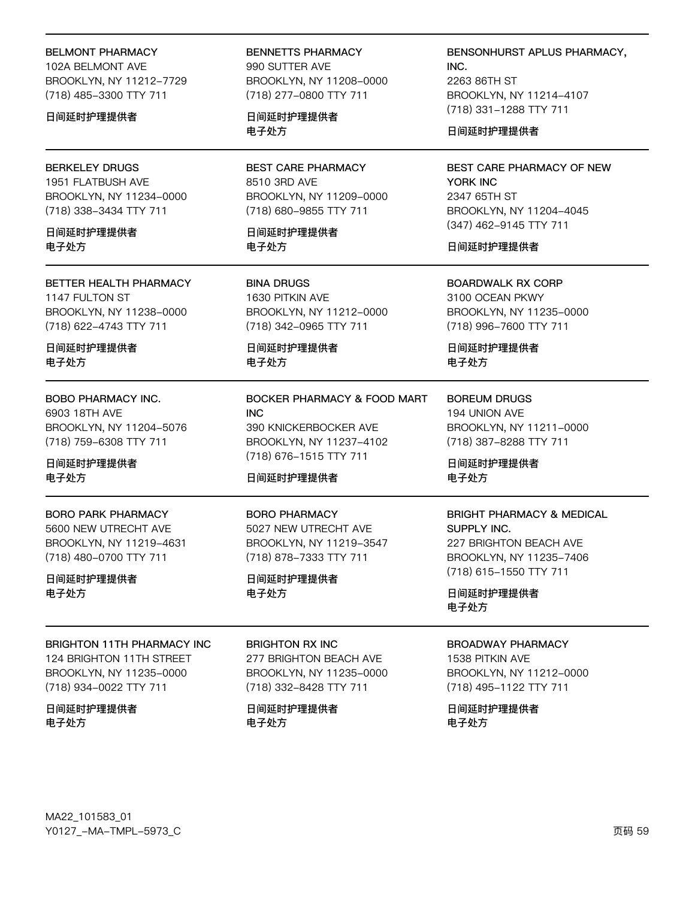### BELMONT PHARMACY

102A BELMONT AVE BROOKLYN, NY 11212-7729 (718) 485-3300 TTY 711

#### 日间延时护理提供者

#### BERKELEY DRUGS

1951 FLATBUSH AVE BROOKLYN, NY 11234-0000 (718) 338-3434 TTY 711

日间延时护理提供者 电子处方

#### BETTER HEALTH PHARMACY 1147 FULTON ST BROOKLYN, NY 11238-0000 (718) 622-4743 TTY 711

日间延时护理提供者 电子处方

#### BOBO PHARMACY INC.

6903 18TH AVE BROOKLYN, NY 11204-5076 (718) 759-6308 TTY 711

## 日间延时护理提供者 电子处方

#### BORO PARK PHARMACY

5600 NEW UTRECHT AVE BROOKLYN, NY 11219-4631 (718) 480-0700 TTY 711

## 日间延时护理提供者 电子处方

#### BRIGHTON 11TH PHARMACY INC

124 BRIGHTON 11TH STREET BROOKLYN, NY 11235-0000 (718) 934-0022 TTY 711

## 日间延时护理提供者 电子处方

BENNETTS PHARMACY 990 SUTTER AVE BROOKLYN, NY 11208-0000 (718) 277-0800 TTY 711

日间延时护理提供者 电子处方

BEST CARE PHARMACY 8510 3RD AVE BROOKLYN, NY 11209-0000 (718) 680-9855 TTY 711

日间延时护理提供者 电子处方

BINA DRUGS 1630 PITKIN AVE BROOKLYN, NY 11212-0000 (718) 342-0965 TTY 711

日间延时护理提供者 电子处方

## BOCKER PHARMACY & FOOD MART INC 390 KNICKERBOCKER AVE BROOKLYN, NY 11237-4102 (718) 676-1515 TTY 711

## 日间延时护理提供者

#### BORO PHARMACY

5027 NEW UTRECHT AVE BROOKLYN, NY 11219-3547 (718) 878-7333 TTY 711

日间延时护理提供者 电子处方

## BRIGHTON RX INC

277 BRIGHTON BEACH AVE BROOKLYN, NY 11235-0000 (718) 332-8428 TTY 711

日间延时护理提供者 电子处方

BENSONHURST APLUS PHARMACY, INC. 2263 86TH ST BROOKLYN, NY 11214-4107

日间延时护理提供者

(718) 331-1288 TTY 711

## BEST CARE PHARMACY OF NEW YORK INC 2347 65TH ST BROOKLYN, NY 11204-4045 (347) 462-9145 TTY 711

## 日间延时护理提供者

BOARDWALK RX CORP 3100 OCEAN PKWY BROOKLYN, NY 11235-0000 (718) 996-7600 TTY 711

日间延时护理提供者 电子处方

BOREUM DRUGS 194 UNION AVE BROOKLYN, NY 11211-0000 (718) 387-8288 TTY 711

日间延时护理提供者 电子处方

# BRIGHT PHARMACY & MEDICAL

SUPPLY INC. 227 BRIGHTON BEACH AVE BROOKLYN, NY 11235-7406 (718) 615-1550 TTY 711

日间延时护理提供者 电子处方

## BROADWAY PHARMACY

1538 PITKIN AVE BROOKLYN, NY 11212-0000 (718) 495-1122 TTY 711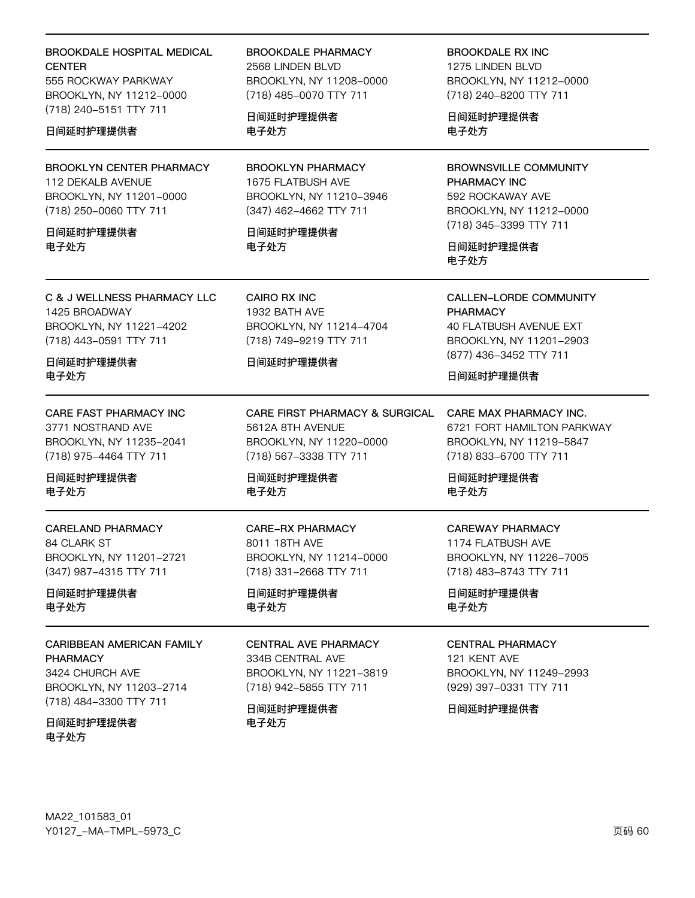## **BROOKDALE HOSPITAL MEDICAL CENTER**

555 ROCKWAY PARKWAY BROOKLYN, NY 11212-0000 (718) 240-5151 TTY 711

#### 日间延时护理提供者

**BROOKLYN CENTER PHARMACY** 112 DEKALB AVENUE BROOKLYN, NY 11201-0000 (718) 250-0060 TTY 711

#### 日间延时护理提供者 电子外方

**BROOKDALE PHARMACY** 2568 LINDEN BLVD BROOKLYN, NY 11208-0000 (718) 485-0070 TTY 711

日间延时护理提供者 电子处方

**BROOKLYN PHARMACY** 1675 FLATBUSH AVE BROOKLYN, NY 11210-3946 (347) 462-4662 TTY 711

日间延时护理提供者 电子外方

C & J WELLNESS PHARMACY LLC 1425 BROADWAY BROOKLYN, NY 11221-4202 (718) 443-0591 TTY 711

日间延时护理提供者 电子处方

CARE FAST PHARMACY INC 3771 NOSTRAND AVE BROOKLYN, NY 11235-2041 (718) 975-4464 TTY 711

日间延时护理提供者 电子处方

**CARELAND PHARMACY** 84 CLARK ST BROOKLYN, NY 11201-2721 (347) 987-4315 TTY 711

日间延时护理提供者 电子处方

**CARIBBEAN AMERICAN FAMILY PHARMACY** 3424 CHURCH AVE BROOKLYN, NY 11203-2714 (718) 484-3300 TTY 711

日间延时护理提供者 电子外方

CAIRO RX INC 1932 BATH AVE BROOKLYN, NY 11214-4704 (718) 749-9219 TTY 711

#### 日间延时护理提供者

CARE FIRST PHARMACY & SURGICAL 5612A 8TH AVENUE BROOKLYN, NY 11220-0000 (718) 567-3338 TTY 711

日间延时护理提供者 电子处方

**CARE-RX PHARMACY** 8011 18TH AVE BROOKLYN, NY 11214-0000 (718) 331-2668 TTY 711

日间延时护理提供者 电子处方

#### **CENTRAL AVE PHARMACY** 334B CENTRAL AVE

BROOKLYN, NY 11221-3819 (718) 942-5855 TTY 711

日间延时护理提供者 电子处方

**BROOKDALE RX INC** 1275 LINDEN BLVD BROOKLYN, NY 11212-0000 (718) 240-8200 TTY 711

日间延时护理提供者 电子处方

**BROWNSVILLE COMMUNITY** PHARMACY INC 592 ROCKAWAY AVE BROOKLYN, NY 11212-0000 (718) 345-3399 TTY 711

日间延时护理提供者 电子处方

**CALLEN-LORDE COMMUNITY PHARMACY 40 FLATBUSH AVENUE EXT** BROOKLYN, NY 11201-2903 (877) 436-3452 TTY 711

日间延时护理提供者

CARE MAX PHARMACY INC. 6721 FORT HAMILTON PARKWAY BROOKLYN, NY 11219-5847 (718) 833-6700 TTY 711

日间延时护理提供者 电子处方

# **CAREWAY PHARMACY**

1174 FLATBUSH AVE BROOKLYN, NY 11226-7005 (718) 483-8743 TTY 711

日间延时护理提供者 电子处方

## **CENTRAL PHARMACY**

121 KENT AVE BROOKLYN, NY 11249-2993 (929) 397-0331 TTY 711

日间延时护理提供者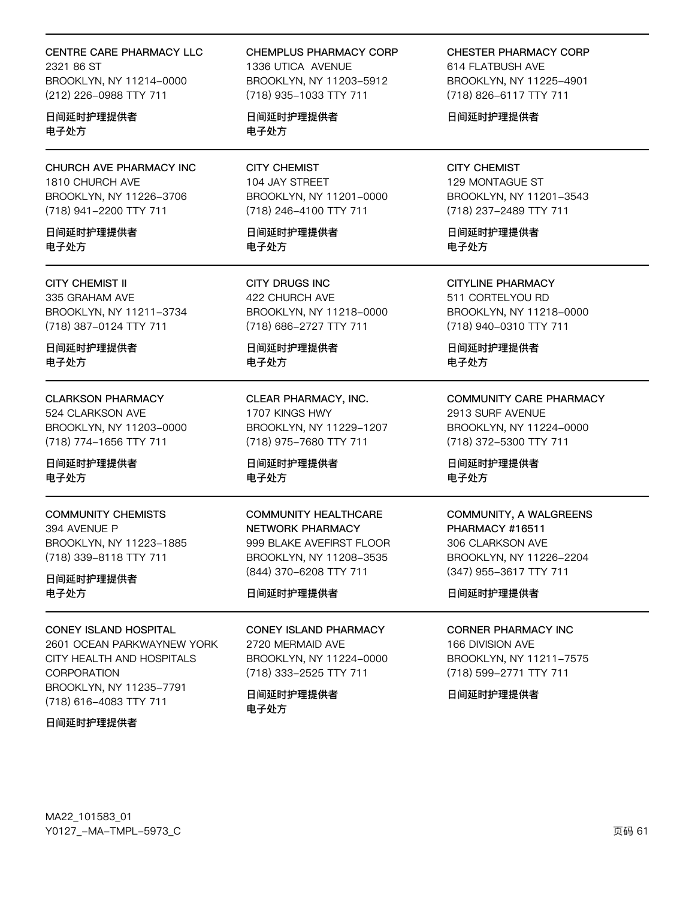## CENTRE CARE PHARMACY LLC

2321 86 ST BROOKLYN, NY 11214-0000 (212) 226-0988 TTY 711

日间延时护理提供者 电子处方

CHURCH AVE PHARMACY INC 1810 CHURCH AVE BROOKLYN, NY 11226-3706 (718) 941-2200 TTY 711

日间延时护理提供者 电子外方

**CITY CHEMIST II** 335 GRAHAM AVE BROOKLYN, NY 11211-3734 (718) 387-0124 TTY 711

日间延时护理提供者 电子处方

**CLARKSON PHARMACY** 524 CLARKSON AVE BROOKLYN, NY 11203-0000 (718) 774-1656 TTY 711

日间延时护理提供者 电子处方

**COMMUNITY CHEMISTS** 394 AVENUE P BROOKLYN, NY 11223-1885 (718) 339-8118 TTY 711

日间延时护理提供者 电子处方

**CONEY ISLAND HOSPITAL** 

2601 OCEAN PARKWAYNEW YORK CITY HEALTH AND HOSPITALS **CORPORATION** BROOKLYN, NY 11235-7791 (718) 616-4083 TTY 711

日间延时护理提供者

CHEMPLUS PHARMACY CORP 1336 UTICA AVENUE BROOKLYN, NY 11203-5912 (718) 935-1033 TTY 711

日间延时护理提供者 电子处方

**CITY CHEMIST** 104 JAY STREET BROOKLYN, NY 11201-0000 (718) 246-4100 TTY 711

日间延时护理提供者 电子外方

**CITY DRUGS INC** 422 CHURCH AVE BROOKLYN, NY 11218-0000 (718) 686-2727 TTY 711

日间延时护理提供者 电子处方

CLEAR PHARMACY, INC. 1707 KINGS HWY BROOKLYN, NY 11229-1207 (718) 975-7680 TTY 711

日间延时护理提供者 电子处方

**COMMUNITY HEALTHCARE** NETWORK PHARMACY 999 BLAKE AVEFIRST FLOOR BROOKLYN, NY 11208-3535 (844) 370-6208 TTY 711

日间延时护理提供者

**CONEY ISLAND PHARMACY** 2720 MERMAID AVE BROOKLYN, NY 11224-0000 (718) 333-2525 TTY 711

日间延时护理提供者 电子处方

**CHESTER PHARMACY CORP** 614 FLATBUSH AVE BROOKLYN, NY 11225-4901 (718) 826-6117 TTY 711

日间延时护理提供者

**CITY CHEMIST** 129 MONTAGUE ST BROOKLYN, NY 11201-3543 (718) 237-2489 TTY 711

日间延时护理提供者 电子外方

**CITYLINE PHARMACY** 511 CORTELYOU RD BROOKLYN, NY 11218-0000 (718) 940-0310 TTY 711

日间延时护理提供者 电子处方

**COMMUNITY CARE PHARMACY** 2913 SURF AVENUE

BROOKLYN, NY 11224-0000 (718) 372-5300 TTY 711

日间延时护理提供者 电子处方

#### **COMMUNITY, A WALGREENS** PHARMACY #16511

306 CLARKSON AVE BROOKLYN, NY 11226-2204 (347) 955-3617 TTY 711

日间延时护理提供者

**CORNER PHARMACY INC** 

166 DIVISION AVE BROOKLYN, NY 11211-7575 (718) 599-2771 TTY 711

日间延时护理提供者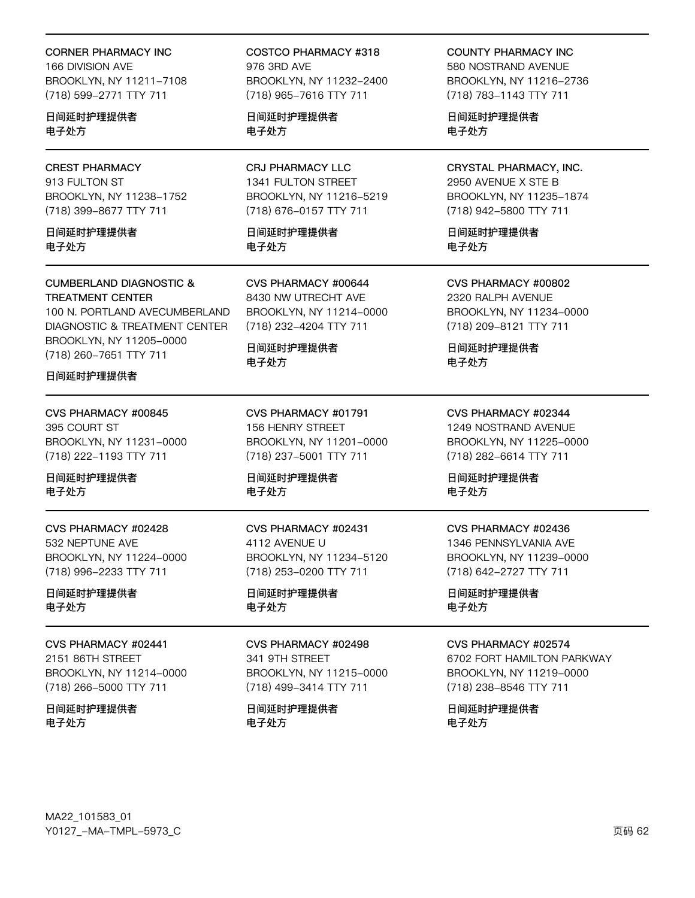#### CORNER PHARMACY INC

166 DIVISION AVE BROOKLYN, NY 11211-7108 (718) 599-2771 TTY 711

日间延时护理提供者 电子处方

# CREST PHARMACY

913 FULTON ST BROOKLYN, NY 11238-1752 (718) 399-8677 TTY 711

日间延时护理提供者 电子处方

#### CUMBERLAND DIAGNOSTIC & TREATMENT CENTER

100 N. PORTLAND AVECUMBERLAND DIAGNOSTIC & TREATMENT CENTER BROOKLYN, NY 11205-0000 (718) 260-7651 TTY 711

### 日间延时护理提供者

CVS PHARMACY #00845 395 COURT ST BROOKLYN, NY 11231-0000 (718) 222-1193 TTY 711

日间延时护理提供者 电子处方

## CVS PHARMACY #02428 532 NEPTUNE AVE BROOKLYN, NY 11224-0000 (718) 996-2233 TTY 711

日间延时护理提供者 电子处方

## CVS PHARMACY #02441

2151 86TH STREET BROOKLYN, NY 11214-0000 (718) 266-5000 TTY 711

日间延时护理提供者 电子处方

COSTCO PHARMACY #318 976 3RD AVE BROOKLYN, NY 11232-2400 (718) 965-7616 TTY 711

日间延时护理提供者 电子处方

## CRJ PHARMACY LLC 1341 FULTON STREET BROOKLYN, NY 11216-5219 (718) 676-0157 TTY 711

日间延时护理提供者 电子处方

CVS PHARMACY #00644 8430 NW UTRECHT AVE BROOKLYN, NY 11214-0000 (718) 232-4204 TTY 711

日间延时护理提供者 电子处方

CVS PHARMACY #01791 156 HENRY STREET BROOKLYN, NY 11201-0000 (718) 237-5001 TTY 711

日间延时护理提供者 电子处方

CVS PHARMACY #02431 4112 AVENUE U BROOKLYN, NY 11234-5120 (718) 253-0200 TTY 711

日间延时护理提供者 电子处方

# CVS PHARMACY #02498

341 9TH STREET BROOKLYN, NY 11215-0000 (718) 499-3414 TTY 711

日间延时护理提供者 电子处方

COUNTY PHARMACY INC

580 NOSTRAND AVENUE BROOKLYN, NY 11216-2736 (718) 783-1143 TTY 711

日间延时护理提供者 电子处方

## CRYSTAL PHARMACY, INC. 2950 AVENUE X STE B

BROOKLYN, NY 11235-1874 (718) 942-5800 TTY 711

日间延时护理提供者 电子处方

CVS PHARMACY #00802 2320 RALPH AVENUE BROOKLYN, NY 11234-0000

(718) 209-8121 TTY 711

日间延时护理提供者 电子处方

CVS PHARMACY #02344 1249 NOSTRAND AVENUE BROOKLYN, NY 11225-0000 (718) 282-6614 TTY 711

日间延时护理提供者 电子处方

# CVS PHARMACY #02436

1346 PENNSYLVANIA AVE BROOKLYN, NY 11239-0000 (718) 642-2727 TTY 711

日间延时护理提供者 电子处方

## CVS PHARMACY #02574

6702 FORT HAMILTON PARKWAY BROOKLYN, NY 11219-0000 (718) 238-8546 TTY 711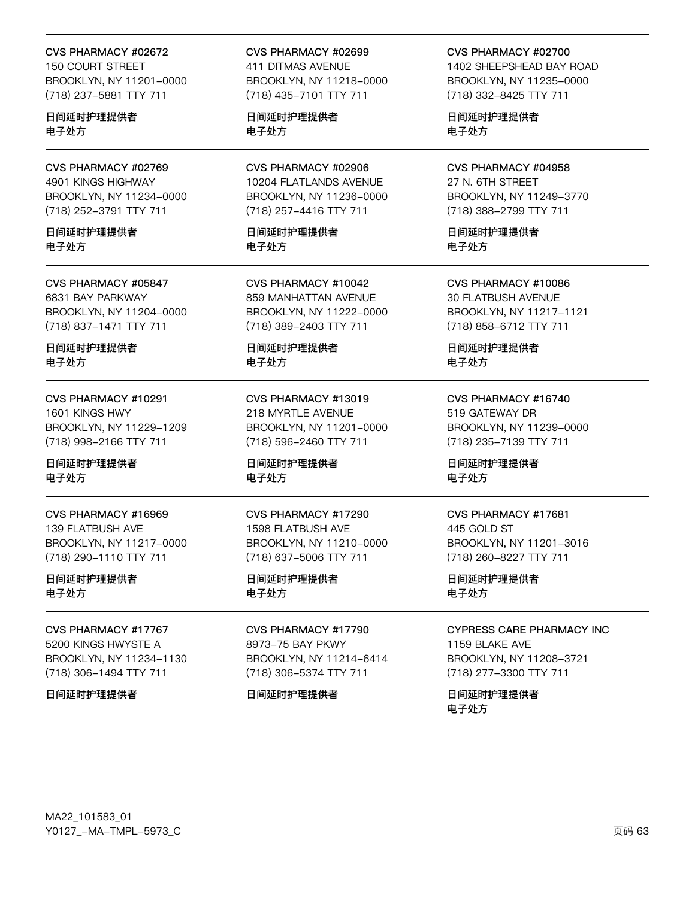#### CVS PHARMACY #02672

150 COURT STREET BROOKLYN, NY 11201-0000 (718) 237-5881 TTY 711

日间延时护理提供者 电子处方

CVS PHARMACY #02769 4901 KINGS HIGHWAY BROOKLYN, NY 11234-0000 (718) 252-3791 TTY 711

日间延时护理提供者 电子处方

CVS PHARMACY #05847 6831 BAY PARKWAY BROOKLYN, NY 11204-0000 (718) 837-1471 TTY 711

日间延时护理提供者 电子处方

CVS PHARMACY #10291 1601 KINGS HWY BROOKLYN, NY 11229-1209 (718) 998-2166 TTY 711

日间延时护理提供者 电子处方

CVS PHARMACY #16969 139 FLATBUSH AVE BROOKLYN, NY 11217-0000 (718) 290-1110 TTY 711

日间延时护理提供者 电子处方

CVS PHARMACY #17767 5200 KINGS HWYSTE A BROOKLYN, NY 11234-1130 (718) 306-1494 TTY 711

日间延时护理提供者

CVS PHARMACY #02699 411 DITMAS AVENUE BROOKLYN, NY 11218-0000 (718) 435-7101 TTY 711

日间延时护理提供者 电子处方

CVS PHARMACY #02906 10204 FLATLANDS AVENUE BROOKLYN, NY 11236-0000 (718) 257-4416 TTY 711

日间延时护理提供者 电子处方

CVS PHARMACY #10042 859 MANHATTAN AVENUE BROOKLYN, NY 11222-0000 (718) 389-2403 TTY 711

日间延时护理提供者 电子处方

CVS PHARMACY #13019 218 MYRTLE AVENUE BROOKLYN, NY 11201-0000 (718) 596-2460 TTY 711

日间延时护理提供者 电子处方

CVS PHARMACY #17290 1598 FLATBUSH AVE BROOKLYN, NY 11210-0000 (718) 637-5006 TTY 711

日间延时护理提供者 电子处方

CVS PHARMACY #17790 8973-75 BAY PKWY BROOKLYN, NY 11214-6414 (718) 306-5374 TTY 711

#### 日间延时护理提供者

CVS PHARMACY #02700

1402 SHEEPSHEAD BAY ROAD BROOKLYN, NY 11235-0000 (718) 332-8425 TTY 711

日间延时护理提供者 电子处方

CVS PHARMACY #04958 27 N. 6TH STREET

BROOKLYN, NY 11249-3770 (718) 388-2799 TTY 711

日间延时护理提供者 电子处方

CVS PHARMACY #10086 30 FLATBUSH AVENUE BROOKLYN, NY 11217-1121 (718) 858-6712 TTY 711

日间延时护理提供者 电子处方

CVS PHARMACY #16740 519 GATEWAY DR BROOKLYN, NY 11239-0000 (718) 235-7139 TTY 711

日间延时护理提供者 电子处方

#### CVS PHARMACY #17681

445 GOLD ST BROOKLYN, NY 11201-3016 (718) 260-8227 TTY 711

日间延时护理提供者 电子处方

#### CYPRESS CARE PHARMACY INC

1159 BLAKE AVE BROOKLYN, NY 11208-3721 (718) 277-3300 TTY 711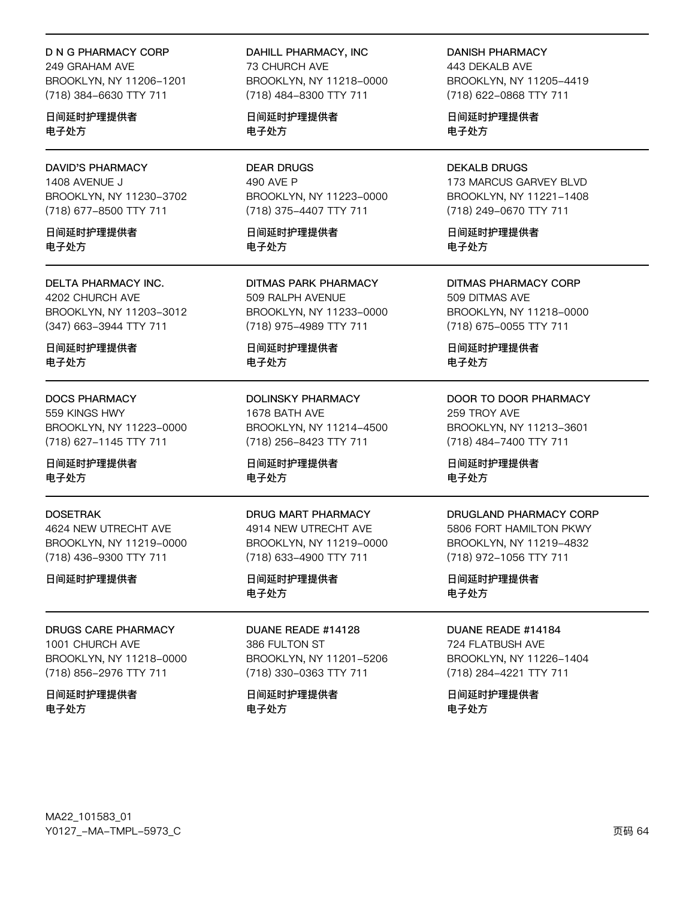**D N G PHARMACY CORP** 

249 GRAHAM AVE BROOKLYN, NY 11206-1201 (718) 384-6630 TTY 711

日间延时护理提供者 电子处方

**DAVID'S PHARMACY** 1408 AVENUE J BROOKLYN, NY 11230-3702 (718) 677-8500 TTY 711

日间延时护理提供者 电子外方

**DELTA PHARMACY INC.** 4202 CHURCH AVE BROOKLYN, NY 11203-3012

(347) 663-3944 TTY 711

日间延时护理提供者 电子处方

#### **DOCS PHARMACY**

559 KINGS HWY BROOKLYN, NY 11223-0000 (718) 627-1145 TTY 711

日间延时护理提供者 电子处方

#### **DOSETRAK**

4624 NEW UTRECHT AVE BROOKLYN, NY 11219-0000 (718) 436-9300 TTY 711

日间延时护理提供者

**DRUGS CARE PHARMACY** 1001 CHURCH AVE BROOKLYN, NY 11218-0000 (718) 856-2976 TTY 711

日间延时护理提供者 电子处方

DAHILL PHARMACY, INC **73 CHURCH AVE** BROOKLYN, NY 11218-0000 (718) 484-8300 TTY 711

日间延时护理提供者 电子处方

**DEAR DRUGS** 490 AVE P BROOKLYN, NY 11223-0000 (718) 375-4407 TTY 711

日间延时护理提供者 电子外方

**DITMAS PARK PHARMACY** 509 RALPH AVENUE BROOKLYN, NY 11233-0000 (718) 975-4989 TTY 711

日间延时护理提供者 电子处方

**DOLINSKY PHARMACY** 1678 BATH AVE BROOKLYN, NY 11214-4500 (718) 256-8423 TTY 711

日间延时护理提供者 电子处方

#### DRUG MART PHARMACY

4914 NEW UTRECHT AVE BROOKLYN, NY 11219-0000 (718) 633-4900 TTY 711

日间延时护理提供者 电子处方

DUANE READE #14128 386 FULTON ST BROOKLYN, NY 11201-5206 (718) 330-0363 TTY 711

日间延时护理提供者 电子处方

**DANISH PHARMACY** 

443 DEKALB AVE BROOKLYN, NY 11205-4419 (718) 622-0868 TTY 711

日间延时护理提供者 电子处方

**DEKALB DRUGS** 173 MARCUS GARVEY BLVD BROOKLYN, NY 11221-1408 (718) 249-0670 TTY 711

日间延时护理提供者 电子外方

**DITMAS PHARMACY CORP** 509 DITMAS AVE BROOKLYN, NY 11218-0000 (718) 675-0055 TTY 711

日间延时护理提供者 电子处方

DOOR TO DOOR PHARMACY 259 TROY AVE BROOKLYN, NY 11213-3601 (718) 484-7400 TTY 711

日间延时护理提供者 电子处方

#### DRUGLAND PHARMACY CORP

5806 FORT HAMILTON PKWY BROOKLYN, NY 11219-4832 (718) 972-1056 TTY 711

日间延时护理提供者 电子处方

DUANE READE #14184

724 FLATBUSH AVE BROOKLYN, NY 11226-1404 (718) 284-4221 TTY 711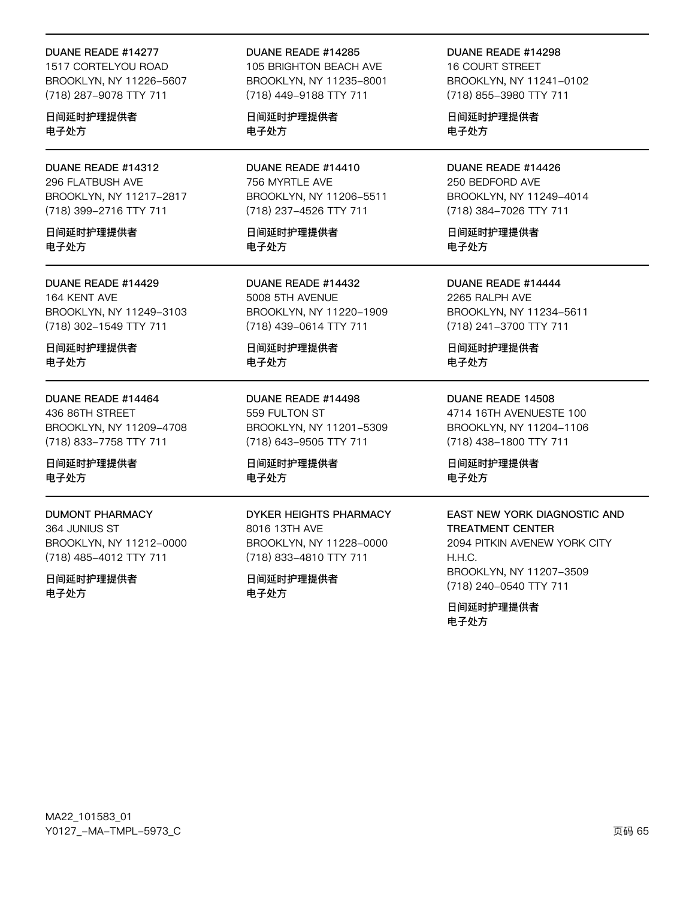#### DUANE READE #14277

1517 CORTELYOU ROAD BROOKLYN, NY 11226-5607 (718) 287-9078 TTY 711

日间延时护理提供者 电子处方

DUANE READE #14312 296 FLATBUSH AVE BROOKLYN, NY 11217-2817 (718) 399-2716 TTY 711

日间延时护理提供者 电子外方

DUANE READE #14429 164 KENT AVE BROOKLYN, NY 11249-3103 (718) 302-1549 TTY 711

日间延时护理提供者 电子处方

#### DUANE READE #14464

436 86TH STREET BROOKLYN, NY 11209-4708 (718) 833-7758 TTY 711

日间延时护理提供者 电子处方

#### **DUMONT PHARMACY**

364 JUNIUS ST BROOKLYN, NY 11212-0000 (718) 485-4012 TTY 711

日间延时护理提供者 电子处方

#### DUANE READE #14285

105 BRIGHTON BEACH AVE BROOKLYN, NY 11235-8001 (718) 449-9188 TTY 711

日间延时护理提供者 电子处方

DUANE READE #14410 756 MYRTLE AVE BROOKLYN, NY 11206-5511 (718) 237-4526 TTY 711

日间延时护理提供者 电子外方

DUANE READE #14432 5008 5TH AVENUE BROOKLYN, NY 11220-1909 (718) 439-0614 TTY 711

日间延时护理提供者 电子处方

DUANE READE #14498 559 FULTON ST BROOKLYN, NY 11201-5309 (718) 643-9505 TTY 711

日间延时护理提供者 电子处方

## **DYKER HEIGHTS PHARMACY**

8016 13TH AVE BROOKLYN, NY 11228-0000 (718) 833-4810 TTY 711

日间延时护理提供者 电子处方

DUANE READE #14298 **16 COURT STREET** BROOKLYN, NY 11241-0102 (718) 855-3980 TTY 711

日间延时护理提供者 电子处方

DUANE READE #14426 250 BEDFORD AVE BROOKLYN, NY 11249-4014 (718) 384-7026 TTY 711

日间延时护理提供者 电子外方

DUANE READE #14444 2265 RALPH AVE BROOKLYN, NY 11234-5611 (718) 241-3700 TTY 711

日间延时护理提供者 电子处方

#### DUANE READE 14508

4714 16TH AVENUESTE 100 BROOKLYN, NY 11204-1106 (718) 438-1800 TTY 711

日间延时护理提供者 电子处方

## EAST NEW YORK DIAGNOSTIC AND

**TREATMENT CENTER** 2094 PITKIN AVENEW YORK CITY  $H.H.C.$ BROOKLYN, NY 11207-3509 (718) 240-0540 TTY 711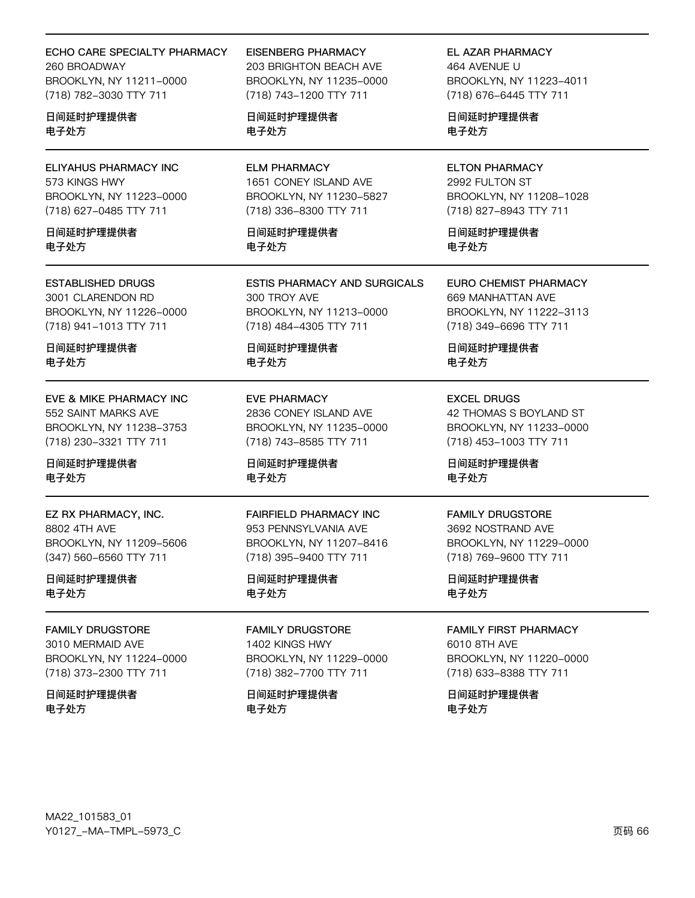## ECHO CARE SPECIALTY PHARMACY

260 BROADWAY BROOKLYN, NY 11211-0000 (718) 782-3030 TTY 711

日间延时护理提供者 电子处方

**ELIYAHUS PHARMACY INC** 573 KINGS HWY BROOKLYN, NY 11223-0000 (718) 627-0485 TTY 711

日间延时护理提供者 电子外方

**ESTABLISHED DRUGS** 3001 CLARENDON RD BROOKLYN, NY 11226-0000

(718) 941-1013 TTY 711 日间延时护理提供者

电子处方

EVE & MIKE PHARMACY INC 552 SAINT MARKS AVE BROOKLYN, NY 11238-3753 (718) 230-3321 TTY 711

日间延时护理提供者 电子处方

EZ RX PHARMACY, INC. 8802 4TH AVE BROOKLYN, NY 11209-5606 (347) 560-6560 TTY 711

日间延时护理提供者 电子处方

**FAMILY DRUGSTORE** 3010 MERMAID AVE BROOKLYN, NY 11224-0000 (718) 373-2300 TTY 711

日间延时护理提供者 电子处方

**EISENBERG PHARMACY** 

203 BRIGHTON BEACH AVE BROOKLYN, NY 11235-0000 (718) 743-1200 TTY 711

日间延时护理提供者 电子处方

**ELM PHARMACY** 1651 CONEY ISLAND AVE BROOKLYN, NY 11230-5827 (718) 336-8300 TTY 711

日间延时护理提供者 电子外方

**ESTIS PHARMACY AND SURGICALS** 300 TROY AVE BROOKLYN, NY 11213-0000 (718) 484-4305 TTY 711

日间延时护理提供者 电子处方

**EVE PHARMACY** 2836 CONEY ISLAND AVE BROOKLYN, NY 11235-0000 (718) 743-8585 TTY 711

日间延时护理提供者 电子处方

**FAIRFIELD PHARMACY INC** 953 PENNSYLVANIA AVE BROOKLYN, NY 11207-8416 (718) 395-9400 TTY 711

日间延时护理提供者 电子处方

**FAMILY DRUGSTORE** 1402 KINGS HWY BROOKLYN, NY 11229-0000 (718) 382-7700 TTY 711

日间延时护理提供者 电子处方

EL AZAR PHARMACY

464 AVFNUF U BROOKLYN, NY 11223-4011 (718) 676-6445 TTY 711

日间延时护理提供者 电子处方

**ELTON PHARMACY** 2992 FULTON ST BROOKLYN, NY 11208-1028 (718) 827-8943 TTY 711

日间延时护理提供者 电子外方

**EURO CHEMIST PHARMACY** 669 MANHATTAN AVE BROOKLYN, NY 11222-3113 (718) 349-6696 TTY 711

日间延时护理提供者 电子处方

**EXCEL DRUGS** 42 THOMAS S BOYLAND ST BROOKLYN, NY 11233-0000 (718) 453-1003 TTY 711

日间延时护理提供者 电子处方

**FAMILY DRUGSTORE** 3692 NOSTRAND AVE BROOKLYN, NY 11229-0000

(718) 769-9600 TTY 711

日间延时护理提供者 电子处方

**FAMILY FIRST PHARMACY** 6010 8TH AVE BROOKLYN, NY 11220-0000 (718) 633-8388 TTY 711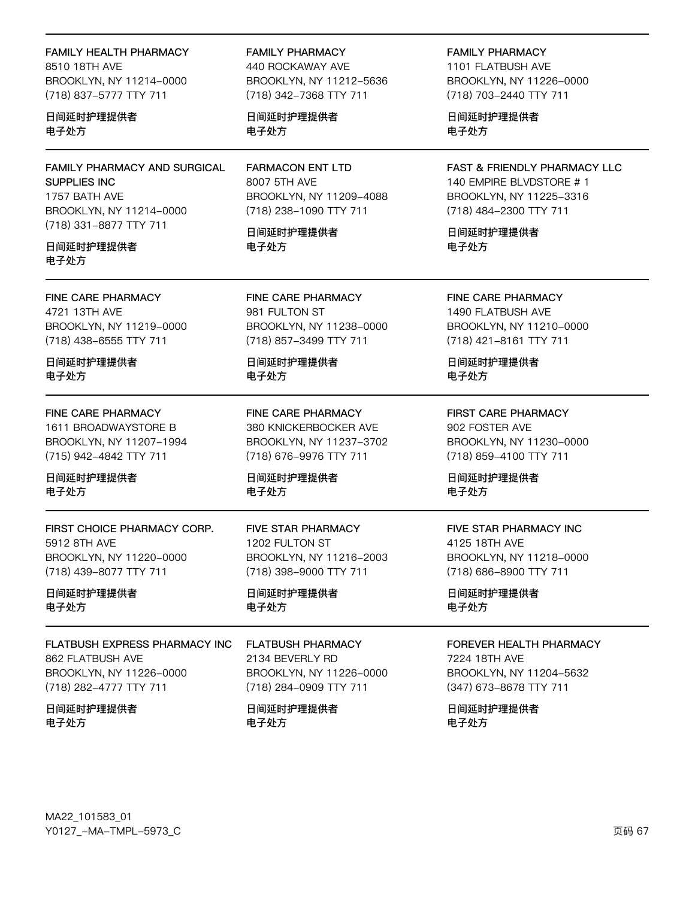## **FAMILY HEALTH PHARMACY**

8510 18TH AVF BROOKLYN, NY 11214-0000 (718) 837-5777 TTY 711

## 日间延时护理提供者 电子处方

FAMILY PHARMACY AND SURGICAL SUPPLIES INC 1757 BATH AVE BROOKLYN, NY 11214-0000 (718) 331-8877 TTY 711

#### 日间延时护理提供者 电子处方

FINE CARE PHARMACY 4721 13TH AVE BROOKLYN, NY 11219-0000 (718) 438-6555 TTY 711

日间延时护理提供者 电子处方

#### FINE CARE PHARMACY 1611 BROADWAYSTORE B BROOKLYN, NY 11207-1994

(715) 942-4842 TTY 711

日间延时护理提供者 电子处方

FIRST CHOICE PHARMACY CORP. 5912 8TH AVE BROOKLYN, NY 11220-0000 (718) 439-8077 TTY 711

日间延时护理提供者 电子处方

## FLATBUSH EXPRESS PHARMACY INC 862 FLATBUSH AVE BROOKLYN, NY 11226-0000 (718) 282-4777 TTY 711

日间延时护理提供者 电子处方

## **FAMILY PHARMACY**

440 ROCKAWAY AVE BROOKLYN, NY 11212-5636 (718) 342-7368 TTY 711

日间延时护理提供者 电子处方

**FARMACON ENT LTD** 8007 5TH AVE BROOKLYN, NY 11209-4088 (718) 238-1090 TTY 711

日间延时护理提供者 电子外方

FINE CARE PHARMACY 981 FULTON ST BROOKLYN, NY 11238-0000 (718) 857-3499 TTY 711

日间延时护理提供者 电子处方

**FINE CARE PHARMACY** 380 KNICKERBOCKER AVE BROOKLYN, NY 11237-3702 (718) 676-9976 TTY 711

日间延时护理提供者 电子处方

**FIVE STAR PHARMACY** 1202 FULTON ST BROOKLYN, NY 11216-2003 (718) 398-9000 TTY 711

日间延时护理提供者 电子处方

**FLATBUSH PHARMACY** 2134 BEVERLY RD BROOKLYN, NY 11226-0000 (718) 284-0909 TTY 711

日间延时护理提供者 电子处方

**FAMILY PHARMACY** 1101 FLATBUSH AVE BROOKLYN, NY 11226-0000 (718) 703-2440 TTY 711

日间延时护理提供者 电子处方

FAST & FRIENDLY PHARMACY LLC 140 EMPIRE BLVDSTORE #1 BROOKLYN, NY 11225-3316 (718) 484-2300 TTY 711

日间延时护理提供者 电子外方

FINE CARE PHARMACY 1490 FLATBUSH AVE BROOKLYN, NY 11210-0000 (718) 421-8161 TTY 711

日间延时护理提供者 电子处方

**FIRST CARE PHARMACY** 902 FOSTER AVE BROOKLYN, NY 11230-0000 (718) 859-4100 TTY 711

日间延时护理提供者 电子处方

### FIVE STAR PHARMACY INC 4125 18TH AVE BROOKLYN, NY 11218-0000 (718) 686-8900 TTY 711

日间延时护理提供者 电子处方

#### FOREVER HEALTH PHARMACY

7224 18TH AVE BROOKLYN, NY 11204-5632 (347) 673-8678 TTY 711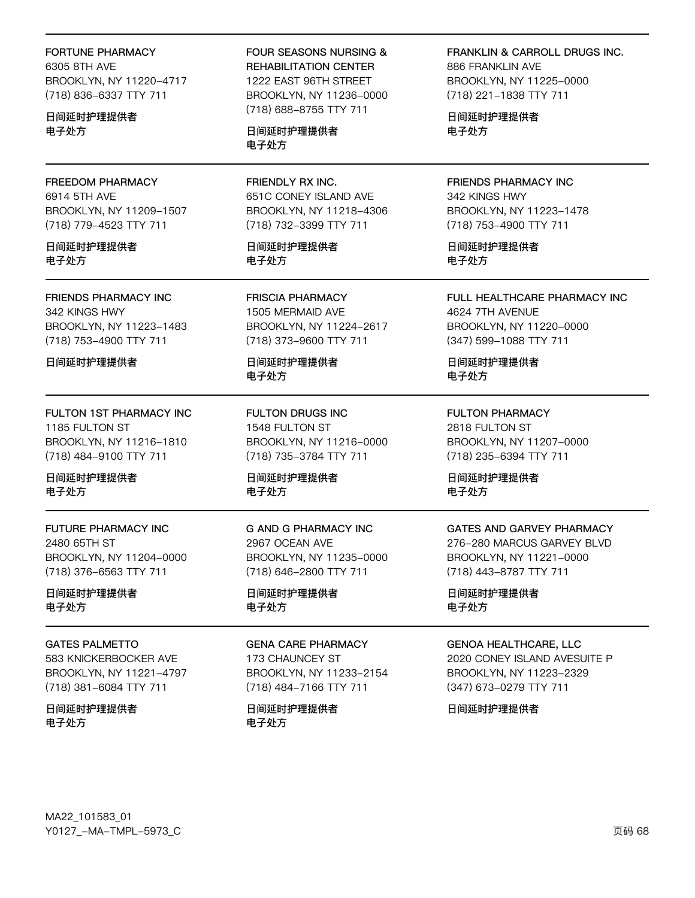## **FORTUNE PHARMACY**

6305 8TH AVF BROOKLYN, NY 11220-4717 (718) 836-6337 TTY 711

日间延时护理提供者 电子处方

FREEDOM PHARMACY 6914 5TH AVE BROOKLYN, NY 11209-1507 (718) 779-4523 TTY 711

日间延时护理提供者 电子处方

FRIENDS PHARMACY INC 342 KINGS HWY BROOKLYN, NY 11223-1483 (718) 753-4900 TTY 711

日间延时护理提供者

FULTON 1ST PHARMACY INC 1185 FULTON ST BROOKLYN, NY 11216-1810 (718) 484-9100 TTY 711

日间延时护理提供者 电子处方

FUTURE PHARMACY INC 2480 65TH ST BROOKLYN, NY 11204-0000 (718) 376-6563 TTY 711

日间延时护理提供者 电子处方

**GATES PALMETTO** 583 KNICKERBOCKER AVE BROOKLYN, NY 11221-4797 (718) 381-6084 TTY 711

日间延时护理提供者 电子处方

**FOUR SEASONS NURSING &** REHABILITATION CENTER 1222 EAST 96TH STREET BROOKLYN, NY 11236-0000 (718) 688-8755 TTY 711

日间延时护理提供者 电子处方

FRIENDLY RX INC. 651C CONEY ISLAND AVE BROOKLYN, NY 11218-4306 (718) 732-3399 TTY 711

日间延时护理提供者 电子处方

**FRISCIA PHARMACY** 1505 MERMAID AVE BROOKLYN, NY 11224-2617 (718) 373-9600 TTY 711

日间延时护理提供者 电子处方

**FULTON DRUGS INC** 1548 FULTON ST BROOKLYN, NY 11216-0000 (718) 735-3784 TTY 711

日间延时护理提供者 电子处方

**G AND G PHARMACY INC** 2967 OCEAN AVE BROOKLYN, NY 11235-0000 (718) 646-2800 TTY 711

日间延时护理提供者 电子处方

# **GENA CARE PHARMACY**

173 CHAUNCEY ST BROOKLYN, NY 11233-2154 (718) 484-7166 TTY 711

日间延时护理提供者 电子处方

**FRANKLIN & CARROLL DRUGS INC.** 886 FRANKLIN AVE BROOKLYN, NY 11225-0000 (718) 221-1838 TTY 711

日间延时护理提供者 电子处方

FRIENDS PHARMACY INC 342 KINGS HWY BROOKLYN, NY 11223-1478 (718) 753-4900 TTY 711

日间延时护理提供者 电子处方

FULL HEALTHCARE PHARMACY INC 4624 7TH AVENUE BROOKLYN, NY 11220-0000 (347) 599-1088 TTY 711

日间延时护理提供者 电子处方

**FULTON PHARMACY** 2818 FULTON ST BROOKLYN, NY 11207-0000 (718) 235-6394 TTY 711

日间延时护理提供者 电子处方

## **GATES AND GARVEY PHARMACY**

276-280 MARCUS GARVEY BLVD BROOKLYN, NY 11221-0000 (718) 443-8787 TTY 711

日间延时护理提供者 电子处方

#### **GENOA HEALTHCARE, LLC**

2020 CONEY ISLAND AVESUITE P BROOKLYN, NY 11223-2329 (347) 673-0279 TTY 711

日间延时护理提供者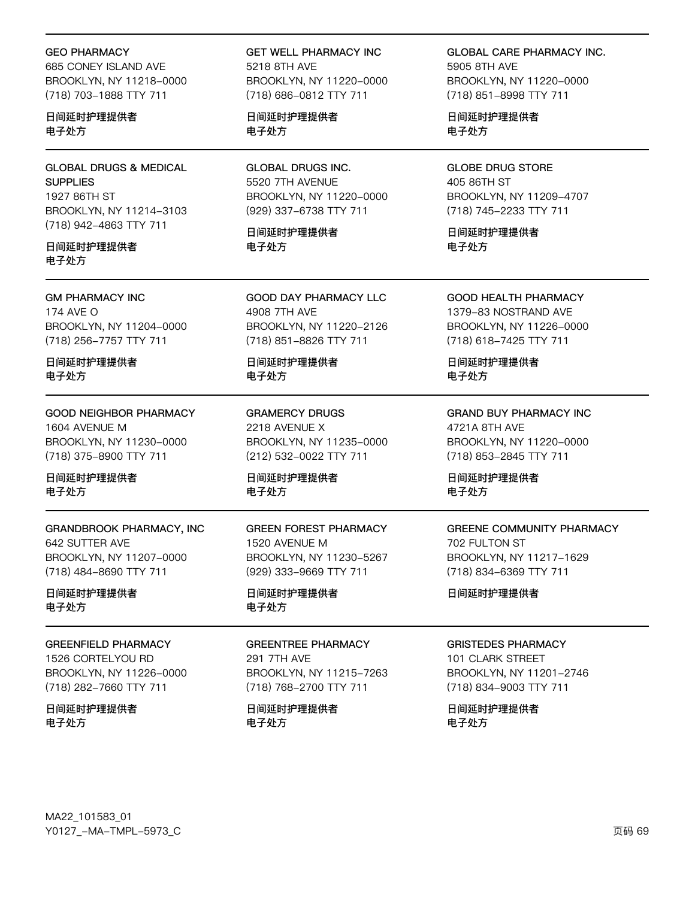#### GEO PHARMACY

685 CONEY ISLAND AVE BROOKLYN, NY 11218-0000 (718) 703-1888 TTY 711

### 日间延时护理提供者 电子处方

GLOBAL DRUGS & MEDICAL **SUPPLIES** 1927 86TH ST BROOKLYN, NY 11214-3103 (718) 942-4863 TTY 711

### 日间延时护理提供者 电子处方

#### GM PHARMACY INC

174 AVE O BROOKLYN, NY 11204-0000 (718) 256-7757 TTY 711

日间延时护理提供者 电子处方

GOOD NEIGHBOR PHARMACY 1604 AVENUE M BROOKLYN, NY 11230-0000 (718) 375-8900 TTY 711

日间延时护理提供者 电子处方

GRANDBROOK PHARMACY, INC 642 SUTTER AVE BROOKLYN, NY 11207-0000 (718) 484-8690 TTY 711

日间延时护理提供者 电子处方

#### GREENFIELD PHARMACY

1526 CORTELYOU RD BROOKLYN, NY 11226-0000 (718) 282-7660 TTY 711

日间延时护理提供者 电子处方

GET WELL PHARMACY INC 5218 8TH AVF BROOKLYN, NY 11220-0000 (718) 686-0812 TTY 711

日间延时护理提供者 电子处方

GLOBAL DRUGS INC. 5520 7TH AVENUE BROOKLYN, NY 11220-0000 (929) 337-6738 TTY 711

日间延时护理提供者 电子处方

GOOD DAY PHARMACY LLC 4908 7TH AVE BROOKLYN, NY 11220-2126 (718) 851-8826 TTY 711

日间延时护理提供者 电子处方

GRAMERCY DRUGS 2218 AVENUE X BROOKLYN, NY 11235-0000 (212) 532-0022 TTY 711

日间延时护理提供者 电子处方

GREEN FOREST PHARMACY 1520 AVENUE M BROOKLYN, NY 11230-5267 (929) 333-9669 TTY 711

日间延时护理提供者 电子处方

# GREENTREE PHARMACY

291 7TH AVE BROOKLYN, NY 11215-7263 (718) 768-2700 TTY 711

日间延时护理提供者 电子处方

GLOBAL CARE PHARMACY INC. 5905 8TH AVF BROOKLYN, NY 11220-0000 (718) 851-8998 TTY 711

日间延时护理提供者 电子处方

GLOBE DRUG STORE 405 86TH ST BROOKLYN, NY 11209-4707 (718) 745-2233 TTY 711

日间延时护理提供者 电子处方

GOOD HEALTH PHARMACY 1379-83 NOSTRAND AVE BROOKLYN, NY 11226-0000 (718) 618-7425 TTY 711

日间延时护理提供者 电子处方

GRAND BUY PHARMACY INC 4721A 8TH AVE BROOKLYN, NY 11220-0000 (718) 853-2845 TTY 711

日间延时护理提供者 电子处方

## GREENE COMMUNITY PHARMACY 702 FULTON ST BROOKLYN, NY 11217-1629 (718) 834-6369 TTY 711

日间延时护理提供者

#### GRISTEDES PHARMACY

101 CLARK STREET BROOKLYN, NY 11201-2746 (718) 834-9003 TTY 711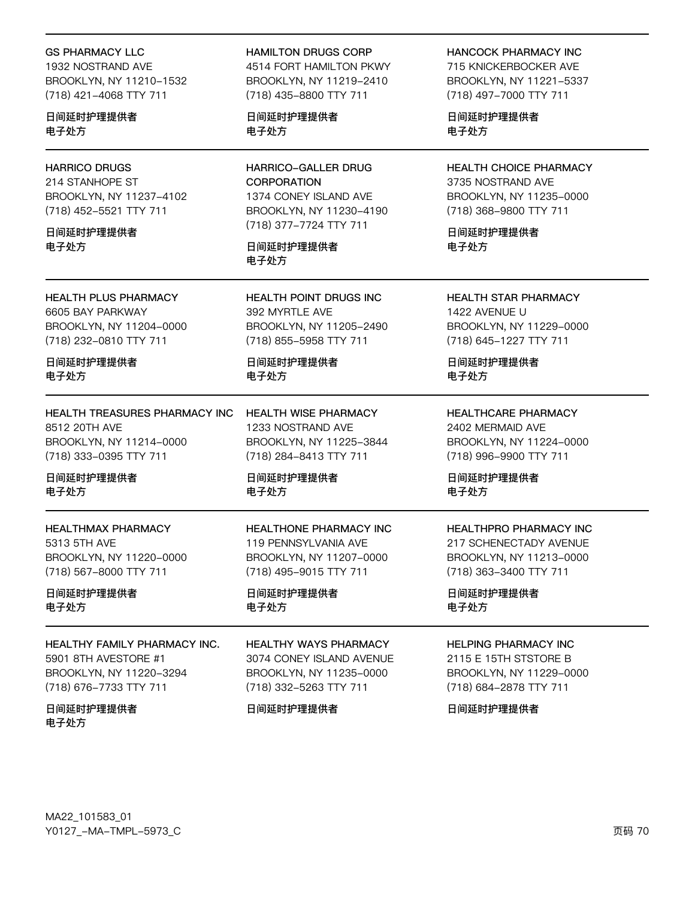#### GS PHARMACY LLC

1932 NOSTRAND AVE BROOKLYN, NY 11210-1532 (718) 421-4068 TTY 711

日间延时护理提供者 电子处方

## HARRICO DRUGS

214 STANHOPE ST BROOKLYN, NY 11237-4102 (718) 452-5521 TTY 711

日间延时护理提供者 电子处方

HEALTH PLUS PHARMACY 6605 BAY PARKWAY BROOKLYN, NY 11204-0000 (718) 232-0810 TTY 711

日间延时护理提供者 电子处方

HEALTH TREASURES PHARMACY INC 8512 20TH AVE BROOKLYN, NY 11214-0000 (718) 333-0395 TTY 711

日间延时护理提供者 电子处方

HEALTHMAX PHARMACY 5313 5TH AVE BROOKLYN, NY 11220-0000 (718) 567-8000 TTY 711

日间延时护理提供者 电子处方

HEALTHY FAMILY PHARMACY INC. 5901 8TH AVESTORE #1 BROOKLYN, NY 11220-3294 (718) 676-7733 TTY 711

日间延时护理提供者 电子处方

HAMILTON DRUGS CORP

4514 FORT HAMILTON PKWY BROOKLYN, NY 11219-2410 (718) 435-8800 TTY 711

日间延时护理提供者 电子处方

HARRICO-GALLER DRUG **CORPORATION** 1374 CONEY ISLAND AVE BROOKLYN, NY 11230-4190 (718) 377-7724 TTY 711

日间延时护理提供者 电子处方

HEALTH POINT DRUGS INC 392 MYRTLE AVE BROOKLYN, NY 11205-2490 (718) 855-5958 TTY 711

日间延时护理提供者 电子处方

HEALTH WISE PHARMACY 1233 NOSTRAND AVE BROOKLYN, NY 11225-3844 (718) 284-8413 TTY 711

日间延时护理提供者 电子处方

HEALTHONE PHARMACY INC 119 PENNSYLVANIA AVE BROOKLYN, NY 11207-0000 (718) 495-9015 TTY 711

日间延时护理提供者 电子处方

HEALTHY WAYS PHARMACY 3074 CONEY ISLAND AVENUE BROOKLYN, NY 11235-0000 (718) 332-5263 TTY 711

日间延时护理提供者

HANCOCK PHARMACY INC

715 KNICKERBOCKER AVE BROOKLYN, NY 11221-5337 (718) 497-7000 TTY 711

日间延时护理提供者 电子处方

HEALTH CHOICE PHARMACY 3735 NOSTRAND AVE BROOKLYN, NY 11235-0000 (718) 368-9800 TTY 711

日间延时护理提供者 电子处方

HEALTH STAR PHARMACY 1422 AVENUE U BROOKLYN, NY 11229-0000 (718) 645-1227 TTY 711

日间延时护理提供者 电子处方

HEALTHCARE PHARMACY 2402 MERMAID AVE BROOKLYN, NY 11224-0000 (718) 996-9900 TTY 711

日间延时护理提供者 电子处方

HEALTHPRO PHARMACY INC 217 SCHENECTADY AVENUE BROOKLYN, NY 11213-0000 (718) 363-3400 TTY 711

日间延时护理提供者 电子处方

### HELPING PHARMACY INC

2115 E 15TH STSTORE B BROOKLYN, NY 11229-0000 (718) 684-2878 TTY 711

日间延时护理提供者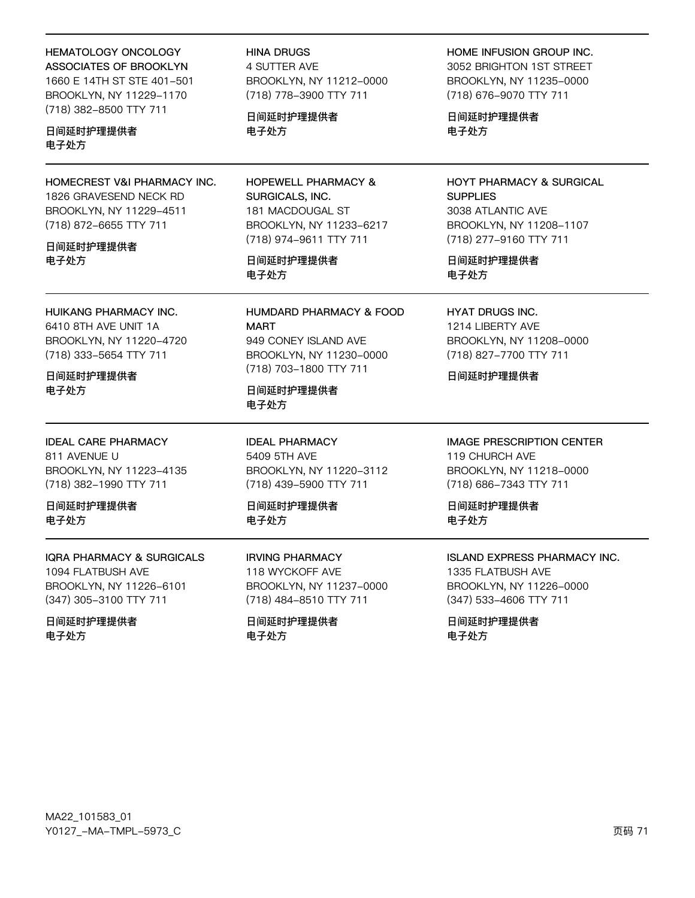## **HEMATOLOGY ONCOLOGY**

ASSOCIATES OF BROOKLYN 1660 E 14TH ST STE 401-501 BROOKLYN, NY 11229-1170 (718) 382-8500 TTY 711

## 日间延时护理提供者 电子外方

HOMECREST V&I PHARMACY INC. 1826 GRAVESEND NECK RD BROOKLYN, NY 11229-4511 (718) 872-6655 TTY 711

#### 日间延时护理提供者 电子处方

HUIKANG PHARMACY INC.

6410 8TH AVE UNIT 1A BROOKLYN, NY 11220-4720 (718) 333-5654 TTY 711

## 日间延时护理提供者 电子处方

**IDEAL CARE PHARMACY** 811 AVENUE U BROOKLYN, NY 11223-4135 (718) 382-1990 TTY 711

日间延时护理提供者 电子外方

## **IQRA PHARMACY & SURGICALS**

1094 FLATBUSH AVE BROOKLYN, NY 11226-6101 (347) 305-3100 TTY 711

#### 日间延时护理提供者 电子处方

**HINA DRUGS 4 SUTTER AVE** BROOKLYN, NY 11212-0000 (718) 778-3900 TTY 711

日间延时护理提供者 电子处方

HOPEWELL PHARMACY & SURGICALS, INC. 181 MACDOUGAL ST BROOKLYN, NY 11233-6217 (718) 974-9611 TTY 711

## 日间延时护理提供者 电子处方

HUMDARD PHARMACY & FOOD **MART** 949 CONEY ISLAND AVE BROOKLYN, NY 11230-0000 (718) 703-1800 TTY 711

日间延时护理提供者 电子处方

**IDEAL PHARMACY** 5409 5TH AVE BROOKLYN, NY 11220-3112 (718) 439-5900 TTY 711

日间延时护理提供者 电子外方

**IRVING PHARMACY** 118 WYCKOFF AVE BROOKLYN, NY 11237-0000 (718) 484-8510 TTY 711

日间延时护理提供者 电子处方

## HOME INFUSION GROUP INC.

3052 BRIGHTON 1ST STREET BROOKLYN, NY 11235-0000 (718) 676-9070 TTY 711

日间延时护理提供者 电子处方

## HOYT PHARMACY & SURGICAL **SUPPLIES** 3038 ATLANTIC AVE BROOKLYN, NY 11208-1107 (718) 277-9160 TTY 711

日间延时护理提供者 电子处方

## **HYAT DRUGS INC.**

1214 LIBERTY AVE BROOKLYN, NY 11208-0000 (718) 827-7700 TTY 711

日间延时护理提供者

## **IMAGE PRESCRIPTION CENTER** 119 CHURCH AVE BROOKLYN, NY 11218-0000 (718) 686-7343 TTY 711

日间延时护理提供者 电子外方

# **ISLAND EXPRESS PHARMACY INC.**

1335 FLATBUSH AVE BROOKLYN, NY 11226-0000 (347) 533-4606 TTY 711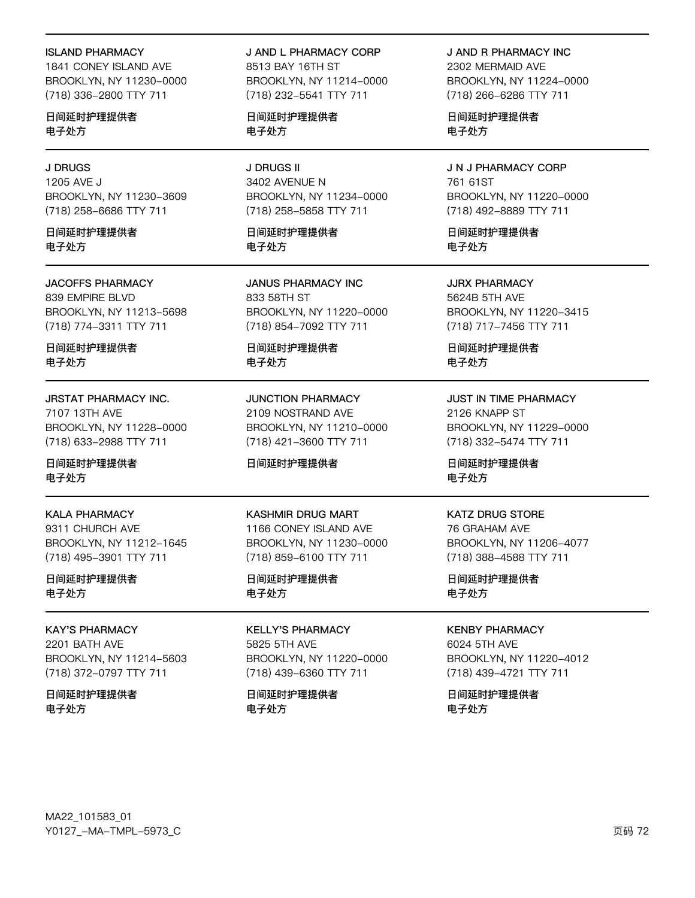#### ISLAND PHARMACY

1841 CONEY ISLAND AVE BROOKLYN, NY 11230-0000 (718) 336-2800 TTY 711

日间延时护理提供者 电子处方

### J DRUGS

1205 AVE J BROOKLYN, NY 11230-3609 (718) 258-6686 TTY 711

日间延时护理提供者 电子处方

#### JACOFFS PHARMACY

839 EMPIRE BLVD BROOKLYN, NY 11213-5698 (718) 774-3311 TTY 711

日间延时护理提供者 电子处方

#### JRSTAT PHARMACY INC. 7107 13TH AVE BROOKLYN, NY 11228-0000

(718) 633-2988 TTY 711

日间延时护理提供者 电子处方

KALA PHARMACY 9311 CHURCH AVE BROOKLYN, NY 11212-1645 (718) 495-3901 TTY 711

日间延时护理提供者 电子处方

# KAY'S PHARMACY

2201 BATH AVE BROOKLYN, NY 11214-5603 (718) 372-0797 TTY 711

日间延时护理提供者 电子处方

## J AND L PHARMACY CORP

8513 BAY 16TH ST BROOKLYN, NY 11214-0000 (718) 232-5541 TTY 711

日间延时护理提供者 电子处方

J DRUGS II 3402 AVENUE N BROOKLYN, NY 11234-0000 (718) 258-5858 TTY 711

日间延时护理提供者 电子处方

JANUS PHARMACY INC 833 58TH ST BROOKLYN, NY 11220-0000 (718) 854-7092 TTY 711

日间延时护理提供者 电子处方

JUNCTION PHARMACY 2109 NOSTRAND AVE BROOKLYN, NY 11210-0000 (718) 421-3600 TTY 711

### 日间延时护理提供者

## KASHMIR DRUG MART

1166 CONEY ISLAND AVE BROOKLYN, NY 11230-0000 (718) 859-6100 TTY 711

日间延时护理提供者 电子处方

KELLY'S PHARMACY 5825 5TH AVE BROOKLYN, NY 11220-0000 (718) 439-6360 TTY 711

日间延时护理提供者 电子处方

J AND R PHARMACY INC 2302 MERMAID AVE BROOKLYN, NY 11224-0000 (718) 266-6286 TTY 711

日间延时护理提供者 电子处方

J N J PHARMACY CORP 761 61ST BROOKLYN, NY 11220-0000 (718) 492-8889 TTY 711

日间延时护理提供者 电子处方

JJRX PHARMACY 5624B 5TH AVE BROOKLYN, NY 11220-3415 (718) 717-7456 TTY 711

日间延时护理提供者 电子处方

JUST IN TIME PHARMACY 2126 KNAPP ST BROOKLYN, NY 11229-0000 (718) 332-5474 TTY 711

日间延时护理提供者 电子处方

#### KATZ DRUG STORE

76 GRAHAM AVE BROOKLYN, NY 11206-4077 (718) 388-4588 TTY 711

日间延时护理提供者 电子处方

KENBY PHARMACY

6024 5TH AVE BROOKLYN, NY 11220-4012 (718) 439-4721 TTY 711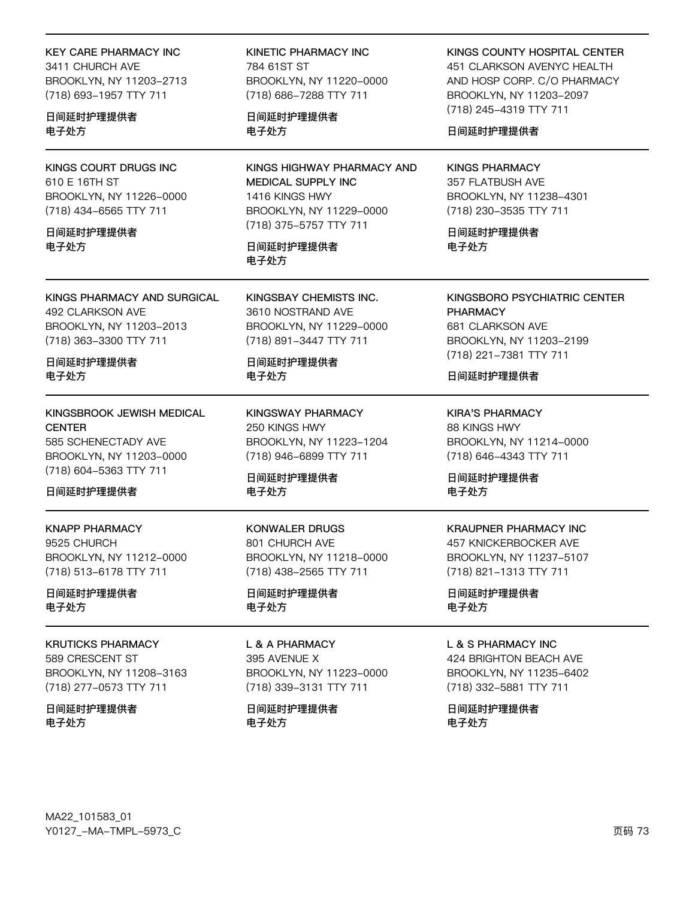## **KEY CARE PHARMACY INC**

3411 CHURCH AVE BROOKLYN, NY 11203-2713 (718) 693-1957 TTY 711

日间延时护理提供者 电子处方

**KINGS COURT DRUGS INC** 610 E 16TH ST BROOKLYN, NY 11226-0000 (718) 434-6565 TTY 711

#### 日间延时护理提供者 电子外方

KINGS PHARMACY AND SURGICAL 492 CLARKSON AVE BROOKLYN, NY 11203-2013 (718) 363-3300 TTY 711

日间延时护理提供者 电子处方

KINGSBROOK JEWISH MEDICAL **CENTER** 585 SCHENECTADY AVE BROOKLYN, NY 11203-0000 (718) 604-5363 TTY 711

日间延时护理提供者

**KNAPP PHARMACY** 9525 CHURCH BROOKLYN, NY 11212-0000 (718) 513-6178 TTY 711

日间延时护理提供者 电子处方

#### **KRUTICKS PHARMACY**

589 CRESCENT ST BROOKLYN, NY 11208-3163 (718) 277-0573 TTY 711

日间延时护理提供者 电子处方

**KINETIC PHARMACY INC** 784 61ST ST BROOKLYN, NY 11220-0000 (718) 686-7288 TTY 711

日间延时护理提供者 电子处方

KINGS HIGHWAY PHARMACY AND MEDICAL SUPPLY INC 1416 KINGS HWY BROOKLYN, NY 11229-0000 (718) 375-5757 TTY 711

日间延时护理提供者 电子处方

KINGSBAY CHEMISTS INC. 3610 NOSTRAND AVE BROOKLYN, NY 11229-0000 (718) 891-3447 TTY 711

日间延时护理提供者 电子处方

**KINGSWAY PHARMACY** 250 KINGS HWY BROOKLYN, NY 11223-1204 (718) 946-6899 TTY 711

日间延时护理提供者 电子处方

**KONWALER DRUGS** 801 CHURCH AVE BROOKLYN, NY 11218-0000 (718) 438-2565 TTY 711

日间延时护理提供者 电子处方

L & A PHARMACY 395 AVENUE X BROOKLYN, NY 11223-0000 (718) 339-3131 TTY 711

日间延时护理提供者 电子处方

KINGS COUNTY HOSPITAL CENTER 451 CLARKSON AVENYC HEALTH AND HOSP CORP. C/O PHARMACY BROOKLYN, NY 11203-2097 (718) 245-4319 TTY 711

日间延时护理提供者

**KINGS PHARMACY** 357 FLATBUSH AVE BROOKLYN, NY 11238-4301 (718) 230-3535 TTY 711

日间延时护理提供者 电子外方

KINGSBORO PSYCHIATRIC CENTER **PHARMACY** 681 CLARKSON AVE BROOKLYN, NY 11203-2199 (718) 221-7381 TTY 711

日间延时护理提供者

**KIRA'S PHARMACY** 88 KINGS HWY BROOKLYN, NY 11214-0000 (718) 646-4343 TTY 711

日间延时护理提供者 电子处方

## **KRAUPNER PHARMACY INC** 457 KNICKERBOCKER AVE BROOKLYN, NY 11237-5107 (718) 821-1313 TTY 711

日间延时护理提供者 电子处方

### L & S PHARMACY INC

424 BRIGHTON BEACH AVE BROOKLYN, NY 11235-6402 (718) 332-5881 TTY 711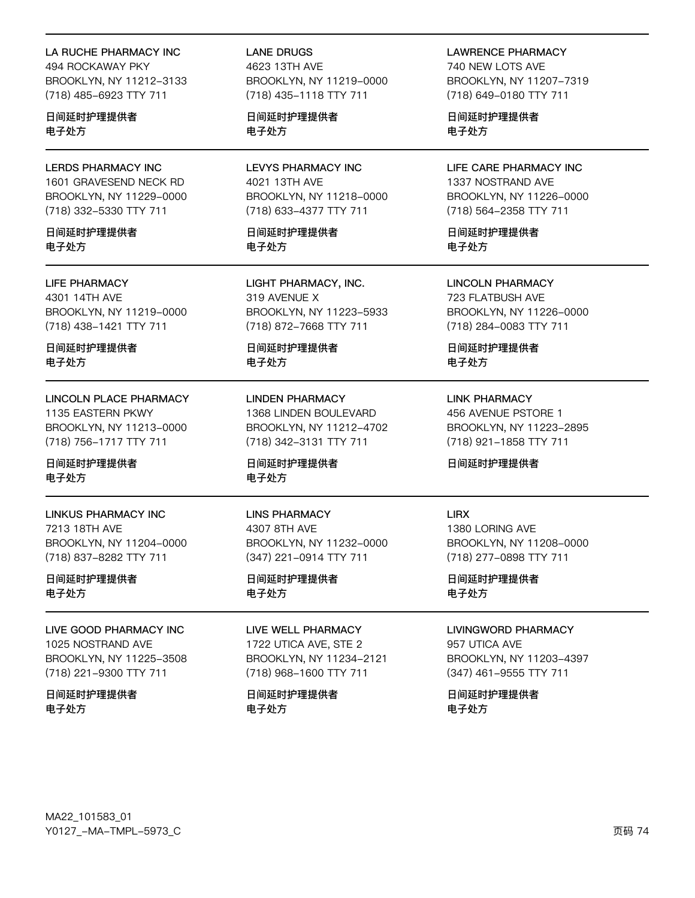## LA RUCHE PHARMACY INC

494 ROCKAWAY PKY BROOKLYN, NY 11212-3133 (718) 485-6923 TTY 711

日间延时护理提供者 电子处方

**LERDS PHARMACY INC** 1601 GRAVESEND NECK RD BROOKLYN, NY 11229-0000 (718) 332-5330 TTY 711

日间延时护理提供者 电子外方

## **LIFE PHARMACY**

4301 14TH AVE BROOKLYN, NY 11219-0000 (718) 438-1421 TTY 711

日间延时护理提供者 电子处方

**LINCOLN PLACE PHARMACY** 1135 EASTERN PKWY BROOKLYN, NY 11213-0000 (718) 756-1717 TTY 711

日间延时护理提供者 电子处方

**LINKUS PHARMACY INC** 7213 18TH AVE BROOKLYN, NY 11204-0000 (718) 837-8282 TTY 711

日间延时护理提供者 电子处方

LIVE GOOD PHARMACY INC 1025 NOSTRAND AVE BROOKLYN, NY 11225-3508 (718) 221-9300 TTY 711

日间延时护理提供者 电子处方

**LANE DRUGS** 4623 13TH AVF BROOKLYN, NY 11219-0000 (718) 435-1118 TTY 711

日间延时护理提供者 电子处方

**LEVYS PHARMACY INC** 4021 13TH AVE BROOKLYN, NY 11218-0000 (718) 633-4377 TTY 711

日间延时护理提供者 电子外方

LIGHT PHARMACY, INC. 319 AVENUE X BROOKLYN, NY 11223-5933 (718) 872-7668 TTY 711

日间延时护理提供者 电子处方

**LINDEN PHARMACY** 1368 LINDEN BOULEVARD BROOKLYN, NY 11212-4702 (718) 342-3131 TTY 711

日间延时护理提供者 电子处方

**LINS PHARMACY** 4307 8TH AVE BROOKLYN, NY 11232-0000 (347) 221-0914 TTY 711

日间延时护理提供者 电子处方

LIVE WELL PHARMACY 1722 UTICA AVE, STE 2 BROOKLYN, NY 11234-2121 (718) 968-1600 TTY 711

日间延时护理提供者 电子处方

**LAWRENCE PHARMACY** 740 NEW LOTS AVE BROOKLYN, NY 11207-7319 (718) 649-0180 TTY 711

日间延时护理提供者 电子处方

LIFE CARE PHARMACY INC 1337 NOSTRAND AVE BROOKLYN, NY 11226-0000 (718) 564-2358 TTY 711

日间延时护理提供者 电子外方

**LINCOLN PHARMACY** 723 FLATBUSH AVE BROOKLYN, NY 11226-0000 (718) 284-0083 TTY 711

日间延时护理提供者 电子处方

**LINK PHARMACY** 456 AVENUE PSTORE 1 BROOKLYN, NY 11223-2895 (718) 921-1858 TTY 711

日间延时护理提供者

**LIRX** 1380 LORING AVE BROOKLYN, NY 11208-0000 (718) 277-0898 TTY 711

日间延时护理提供者 电子处方

**I IVINGWORD PHARMACY** 957 UTICA AVE BROOKLYN, NY 11203-4397 (347) 461-9555 TTY 711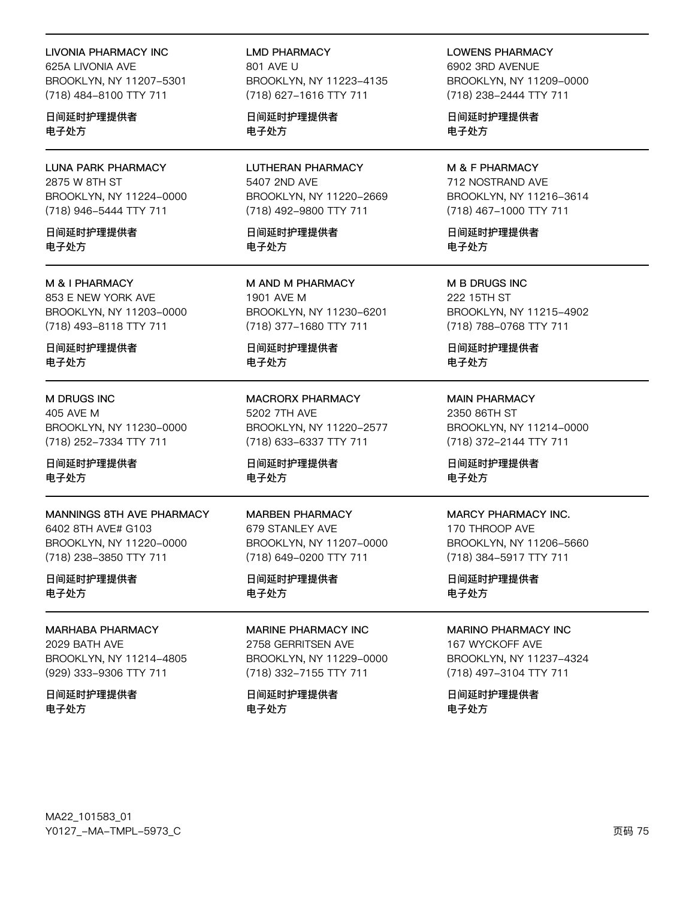#### **LIVONIA PHARMACY INC**

625A LIVONIA AVE BROOKLYN, NY 11207-5301 (718) 484-8100 TTY 711

日间延时护理提供者 电子处方

**LUNA PARK PHARMACY** 2875 W 8TH ST BROOKLYN, NY 11224-0000 (718) 946-5444 TTY 711

日间延时护理提供者 电子外方

#### M & I PHARMACY

853 E NEW YORK AVE BROOKLYN, NY 11203-0000 (718) 493-8118 TTY 711

日间延时护理提供者 电子处方

### M DRUGS INC

405 AVE M BROOKLYN, NY 11230-0000 (718) 252-7334 TTY 711

日间延时护理提供者 电子处方

### MANNINGS 8TH AVE PHARMACY

6402 8TH AVE# G103 BROOKLYN, NY 11220-0000 (718) 238-3850 TTY 711

日间延时护理提供者 电子处方

#### MARHABA PHARMACY 2029 BATH AVE

BROOKLYN, NY 11214-4805 (929) 333-9306 TTY 711

日间延时护理提供者 电子处方

**LMD PHARMACY** 801 AVF U BROOKLYN, NY 11223-4135 (718) 627-1616 TTY 711

日间延时护理提供者 电子处方

**LUTHERAN PHARMACY** 5407 2ND AVE BROOKLYN, NY 11220-2669 (718) 492-9800 TTY 711

日间延时护理提供者 电子外方

M AND M PHARMACY 1901 AVE M BROOKLYN, NY 11230-6201 (718) 377-1680 TTY 711

日间延时护理提供者 电子处方

**MACRORX PHARMACY** 5202 7TH AVE BROOKLYN, NY 11220-2577 (718) 633-6337 TTY 711

日间延时护理提供者 电子处方

**MARBEN PHARMACY** 679 STANLEY AVE BROOKLYN, NY 11207-0000 (718) 649-0200 TTY 711

## 日间延时护理提供者 电子处方

MARINE PHARMACY INC. 2758 GERRITSEN AVE BROOKLYN, NY 11229-0000 (718) 332-7155 TTY 711

日间延时护理提供者 电子处方

**LOWENS PHARMACY** 6902 3RD AVENUE BROOKLYN, NY 11209-0000 (718) 238-2444 TTY 711

日间延时护理提供者 电子处方

M & F PHARMACY 712 NOSTRAND AVE BROOKLYN, NY 11216-3614 (718) 467-1000 TTY 711

日间延时护理提供者 电子外方

M B DRUGS INC 222 15TH ST BROOKLYN, NY 11215-4902 (718) 788-0768 TTY 711

日间延时护理提供者 电子处方

**MAIN PHARMACY** 2350 86TH ST BROOKLYN, NY 11214-0000 (718) 372-2144 TTY 711

日间延时护理提供者 电子处方

#### MARCY PHARMACY INC.

170 THROOP AVE BROOKLYN, NY 11206-5660 (718) 384-5917 TTY 711

日间延时护理提供者 电子处方

#### **MARINO PHARMACY INC**

167 WYCKOFF AVE BROOKLYN, NY 11237-4324 (718) 497-3104 TTY 711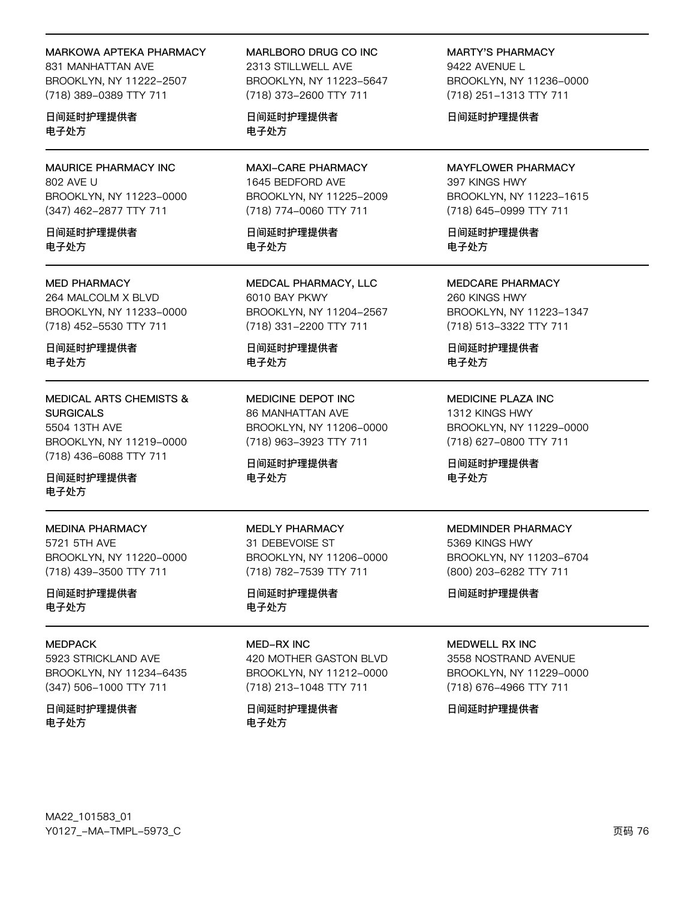#### MARKOWA APTEKA PHARMACY

831 MANHATTAN AVE BROOKLYN, NY 11222-2507 (718) 389-0389 TTY 711

日间延时护理提供者 电子处方

**MAURICE PHARMACY INC** 802 AVE U BROOKLYN, NY 11223-0000 (347) 462-2877 TTY 711

日间延时护理提供者 电子外方

# **MED PHARMACY**

264 MALCOLM X BLVD BROOKLYN, NY 11233-0000 (718) 452-5530 TTY 711

日间延时护理提供者 电子处方

**MEDICAL ARTS CHEMISTS & SURGICALS** 5504 13TH AVE BROOKLYN, NY 11219-0000 (718) 436-6088 TTY 711

日间延时护理提供者 电子处方

## **MEDINA PHARMACY**

5721 5TH AVE BROOKLYN, NY 11220-0000 (718) 439-3500 TTY 711

日间延时护理提供者 电子处方

### **MEDPACK**

5923 STRICKLAND AVE BROOKLYN, NY 11234-6435 (347) 506-1000 TTY 711

日间延时护理提供者 电子处方

MARLBORO DRUG CO INC 2313 STILLWELL AVE BROOKLYN, NY 11223-5647 (718) 373-2600 TTY 711

日间延时护理提供者 电子处方

**MAXI-CARE PHARMACY** 1645 BEDFORD AVE BROOKLYN, NY 11225-2009 (718) 774-0060 TTY 711

日间延时护理提供者 电子外方

MEDCAL PHARMACY, LLC 6010 BAY PKWY BROOKLYN, NY 11204-2567 (718) 331-2200 TTY 711

日间延时护理提供者 电子处方

MEDICINE DEPOT INC 86 MANHATTAN AVE BROOKLYN, NY 11206-0000 (718) 963-3923 TTY 711

日间延时护理提供者 电子处方

**MEDLY PHARMACY** 31 DEBEVOISE ST BROOKLYN, NY 11206-0000 (718) 782-7539 TTY 711

日间延时护理提供者 电子处方

#### **MED-RX INC**

420 MOTHER GASTON BLVD BROOKLYN, NY 11212-0000 (718) 213-1048 TTY 711

日间延时护理提供者 电子处方

**MARTY'S PHARMACY** 9422 AVENUE L BROOKLYN, NY 11236-0000 (718) 251-1313 TTY 711

日间延时护理提供者

**MAYFLOWER PHARMACY** 397 KINGS HWY BROOKLYN, NY 11223-1615 (718) 645-0999 TTY 711

日间延时护理提供者 电子外方

**MEDCARE PHARMACY** 260 KINGS HWY BROOKLYN, NY 11223-1347 (718) 513-3322 TTY 711

日间延时护理提供者 电子处方

MEDICINE PLAZA INC 1312 KINGS HWY BROOKLYN, NY 11229-0000 (718) 627-0800 TTY 711

日间延时护理提供者 电子处方

## **MEDMINDER PHARMACY** 5369 KINGS HWY BROOKLYN, NY 11203-6704 (800) 203-6282 TTY 711

日间延时护理提供者

#### MEDWELL RX INC

3558 NOSTRAND AVENUE BROOKLYN, NY 11229-0000 (718) 676-4966 TTY 711

日间延时护理提供者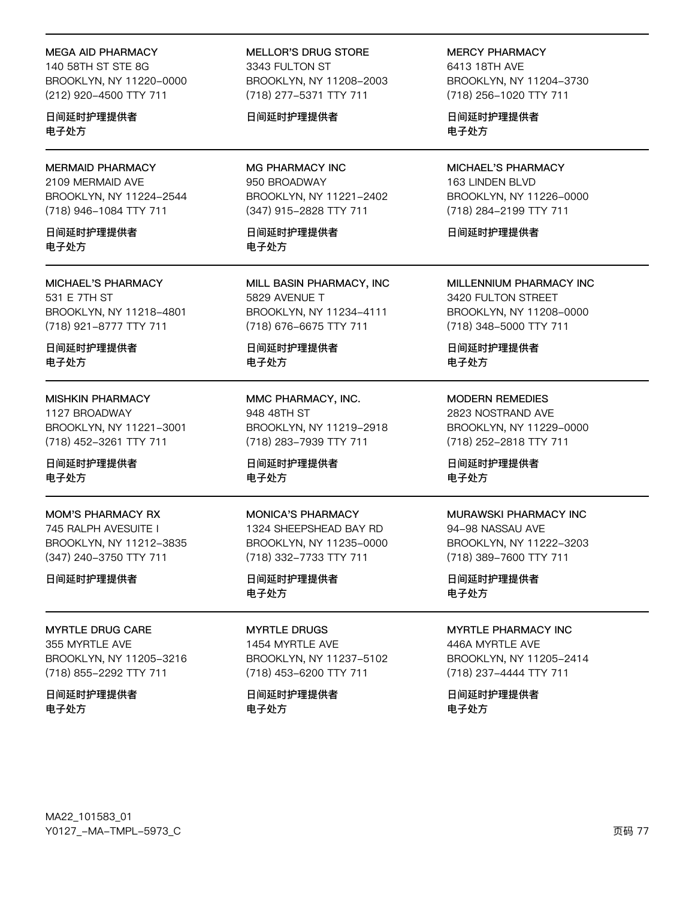### MEGA AID PHARMACY

140 58TH ST STF 8G BROOKLYN, NY 11220-0000 (212) 920-4500 TTY 711

日间延时护理提供者 电子处方

## MERMAID PHARMACY

2109 MERMAID AVE BROOKLYN, NY 11224-2544 (718) 946-1084 TTY 711

日间延时护理提供者 电子处方

#### MICHAEL'S PHARMACY 531 E 7TH ST BROOKLYN, NY 11218-4801 (718) 921-8777 TTY 711

日间延时护理提供者 电子处方

## MISHKIN PHARMACY

1127 BROADWAY BROOKLYN, NY 11221-3001 (718) 452-3261 TTY 711

日间延时护理提供者 电子处方

MOM'S PHARMACY RX 745 RALPH AVESUITE I BROOKLYN, NY 11212-3835 (347) 240-3750 TTY 711

### 日间延时护理提供者

MYRTLE DRUG CARE 355 MYRTLE AVE BROOKLYN, NY 11205-3216 (718) 855-2292 TTY 711

日间延时护理提供者 电子处方

MELLOR'S DRUG STORE 3343 FULTON ST BROOKLYN, NY 11208-2003 (718) 277-5371 TTY 711

## 日间延时护理提供者

MG PHARMACY INC 950 BROADWAY BROOKLYN, NY 11221-2402 (347) 915-2828 TTY 711

日间延时护理提供者 电子处方

MILL BASIN PHARMACY, INC 5829 AVENUE T BROOKLYN, NY 11234-4111 (718) 676-6675 TTY 711

日间延时护理提供者 电子处方

MMC PHARMACY, INC. 948 48TH ST BROOKLYN, NY 11219-2918 (718) 283-7939 TTY 711

日间延时护理提供者 电子处方

MONICA'S PHARMACY 1324 SHEEPSHEAD BAY RD BROOKLYN, NY 11235-0000 (718) 332-7733 TTY 711

日间延时护理提供者 电子处方

MYRTLE DRUGS 1454 MYRTLE AVE BROOKLYN, NY 11237-5102 (718) 453-6200 TTY 711

日间延时护理提供者 电子处方

MERCY PHARMACY

6413 18TH AVF BROOKLYN, NY 11204-3730 (718) 256-1020 TTY 711

日间延时护理提供者 电子处方

MICHAEL'S PHARMACY 163 LINDEN BLVD BROOKLYN, NY 11226-0000 (718) 284-2199 TTY 711

日间延时护理提供者

MILLENNIUM PHARMACY INC 3420 FULTON STREET BROOKLYN, NY 11208-0000 (718) 348-5000 TTY 711

日间延时护理提供者 电子处方

MODERN REMEDIES 2823 NOSTRAND AVE BROOKLYN, NY 11229-0000 (718) 252-2818 TTY 711

日间延时护理提供者 电子处方

### MURAWSKI PHARMACY INC

94-98 NASSAU AVE BROOKLYN, NY 11222-3203 (718) 389-7600 TTY 711

日间延时护理提供者 电子处方

MYRTLE PHARMACY INC

446A MYRTLE AVE BROOKLYN, NY 11205-2414 (718) 237-4444 TTY 711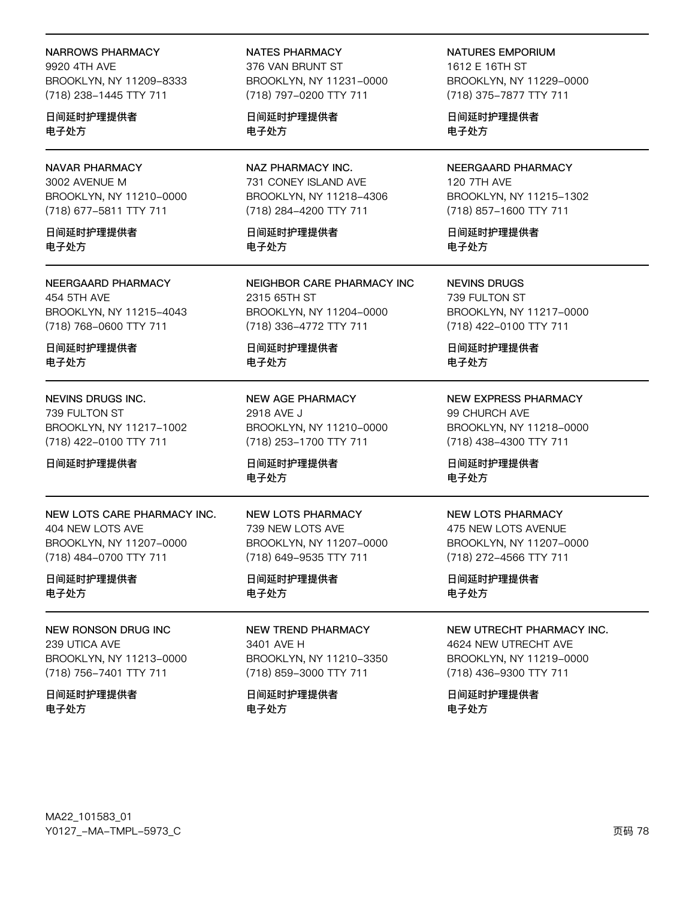### NARROWS PHARMACY

9920 4TH AVF BROOKLYN, NY 11209-8333 (718) 238-1445 TTY 711

日间延时护理提供者 电子处方

## NAVAR PHARMACY

3002 AVENUE M BROOKLYN, NY 11210-0000 (718) 677-5811 TTY 711

日间延时护理提供者 电子处方

## NEERGAARD PHARMACY

454 5TH AVE BROOKLYN, NY 11215-4043 (718) 768-0600 TTY 711

日间延时护理提供者 电子处方

## NEVINS DRUGS INC.

739 FULTON ST BROOKLYN, NY 11217-1002 (718) 422-0100 TTY 711

日间延时护理提供者

#### NEW LOTS CARE PHARMACY INC. 404 NEW LOTS AVE BROOKLYN, NY 11207-0000 (718) 484-0700 TTY 711

日间延时护理提供者 电子处方

### NEW RONSON DRUG INC

239 UTICA AVE BROOKLYN, NY 11213-0000 (718) 756-7401 TTY 711

日间延时护理提供者 电子处方

## NATES PHARMACY

376 VAN BRUNT ST BROOKLYN, NY 11231-0000 (718) 797-0200 TTY 711

日间延时护理提供者 电子处方

## NAZ PHARMACY INC. 731 CONEY ISLAND AVE BROOKLYN, NY 11218-4306 (718) 284-4200 TTY 711

日间延时护理提供者 电子处方

NEIGHBOR CARE PHARMACY INC 2315 65TH ST BROOKLYN, NY 11204-0000 (718) 336-4772 TTY 711

日间延时护理提供者 电子处方

NEW AGE PHARMACY 2918 AVE J BROOKLYN, NY 11210-0000 (718) 253-1700 TTY 711

日间延时护理提供者 电子处方

## NEW LOTS PHARMACY 739 NEW LOTS AVE BROOKLYN, NY 11207-0000 (718) 649-9535 TTY 711

## 日间延时护理提供者 电子处方

## NEW TREND PHARMACY 3401 AVE H BROOKLYN, NY 11210-3350 (718) 859-3000 TTY 711

日间延时护理提供者 电子处方

# NATURES EMPORIUM

1612 E 16TH ST BROOKLYN, NY 11229-0000 (718) 375-7877 TTY 711

日间延时护理提供者 电子处方

## NEERGAARD PHARMACY 120 7TH AVE BROOKLYN, NY 11215-1302 (718) 857-1600 TTY 711

日间延时护理提供者 电子处方

NEVINS DRUGS 739 FULTON ST BROOKLYN, NY 11217-0000 (718) 422-0100 TTY 711

日间延时护理提供者 电子处方

## NEW EXPRESS PHARMACY 99 CHURCH AVE BROOKLYN, NY 11218-0000 (718) 438-4300 TTY 711

日间延时护理提供者 电子处方

### NEW LOTS PHARMACY

475 NEW LOTS AVENUE BROOKLYN, NY 11207-0000 (718) 272-4566 TTY 711

日间延时护理提供者 电子处方

## NEW UTRECHT PHARMACY INC.

4624 NEW UTRECHT AVE BROOKLYN, NY 11219-0000 (718) 436-9300 TTY 711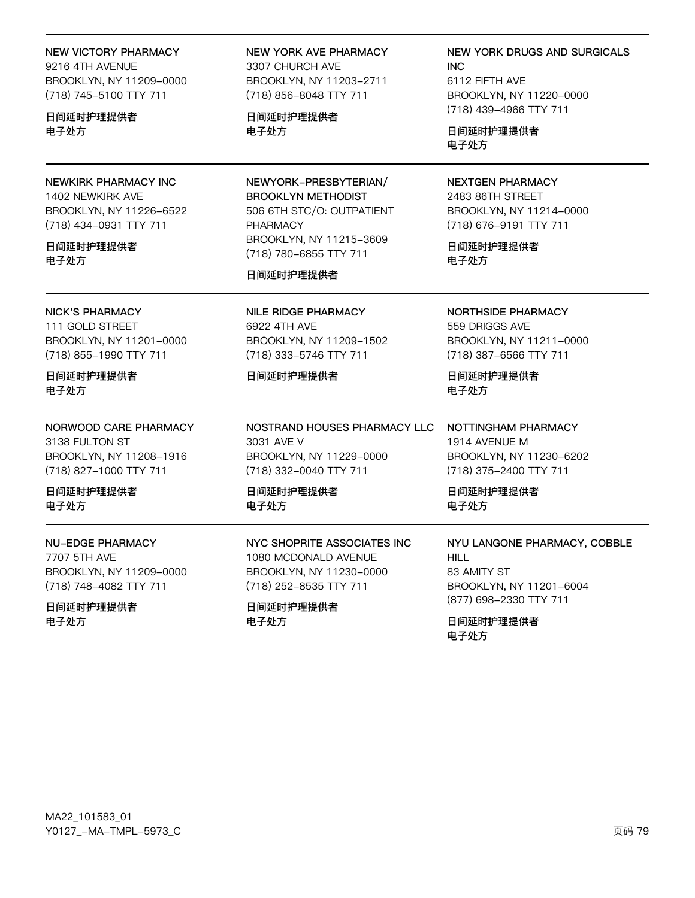MA22\_101583\_01 Y0127\_-MA-TMPL-5973\_C

#### 电子处方 日间延时护理提供者 电子处方 电子外方 NEWKIRK PHARMACY INC NEWYORK-PRESBYTERIAN/ **NEXTGEN PHARMACY** 1402 NEWKIRK AVE 2483 86TH STREET **BROOKLYN METHODIST** 506 6TH STC/O: OUTPATIENT BROOKLYN, NY 11214-0000 BROOKLYN, NY 11226-6522 (718) 434-0931 TTY 711 PHARMACY (718) 676-9191 TTY 711 BROOKLYN, NY 11215-3609 日间延时护理提供者 日间延时护理提供者 (718) 780-6855 TTY 711 电子处方 电子处方 日间延时护理提供者 **NICK'S PHARMACY NILE RIDGE PHARMACY** NORTHSIDE PHARMACY 111 GOLD STREET 6922 4TH AVE 559 DRIGGS AVE BROOKLYN, NY 11211-0000 BROOKLYN, NY 11201-0000 BROOKLYN, NY 11209-1502 (718) 855-1990 TTY 711 (718) 333-5746 TTY 711 (718) 387-6566 TTY 711 日间延时护理提供者 日间延时护理提供者 日间延时护理提供者 电子处方 电子处方 NORWOOD CARE PHARMACY NOSTRAND HOUSES PHARMACY LLC NOTTINGHAM PHARMACY 3138 FULTON ST 3031 AVE V 1914 AVENUE M BROOKLYN, NY 11229-0000 BROOKLYN, NY 11230-6202 BROOKLYN, NY 11208-1916 (718) 827-1000 TTY 711 (718) 332-0040 TTY 711 (718) 375-2400 TTY 711 日间延时护理提供者 日间延时护理提供者 日间延时护理提供者 电子处方 电子处方 电子处方 **NU-EDGE PHARMACY** NYC SHOPRITE ASSOCIATES INC NYU LANGONE PHARMACY, COBBLE 7707 5TH AVE 1080 MCDONALD AVENUE **HILL** BROOKLYN, NY 11209-0000 BROOKLYN, NY 11230-0000 83 AMITY ST BROOKLYN, NY 11201-6004

(718) 748-4082 TTY 711 日间延时护理提供者

电子处方

(718) 252-8535 TTY 711

日间延时护理提供者 电子处方

(877) 698-2330 TTY 711 日间延时护理提供者 电子处方

(718) 856-8048 TTY 711 日间延时护理提供者

BROOKLYN, NY 11203-2711

**NEW YORK DRUGS AND SURGICALS** INC. 6112 FIFTH AVE BROOKLYN, NY 11220-0000 (718) 439-4966 TTY 711

NEW VICTORY PHARMACY **NEW YORK AVE PHARMACY** 3307 CHURCH AVE

9216 4TH AVENUE BROOKLYN, NY 11209-0000 (718) 745-5100 TTY 711

日间延时护理提供者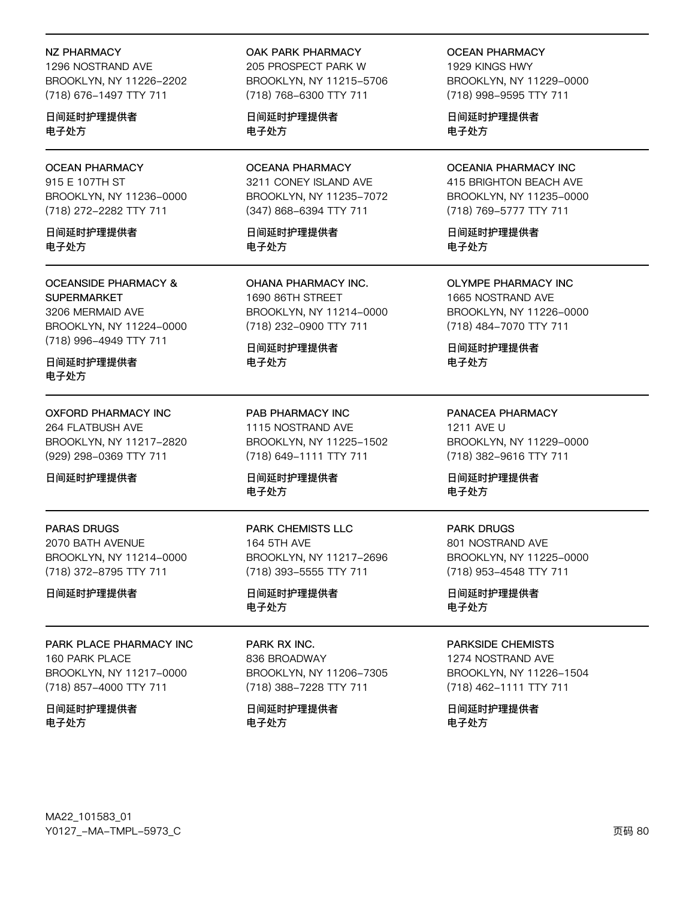#### **NZ PHARMACY**

1296 NOSTRAND AVE BROOKLYN, NY 11226-2202 (718) 676-1497 TTY 711

日间延时护理提供者 电子处方

## **OCEAN PHARMACY**

915 E 107TH ST BROOKLYN, NY 11236-0000 (718) 272-2282 TTY 711

日间延时护理提供者 电子外方

### **OCEANSIDE PHARMACY & SUPERMARKET** 3206 MERMAID AVE BROOKLYN, NY 11224-0000 (718) 996-4949 TTY 711

日间延时护理提供者 电子处方

# **OXFORD PHARMACY INC**

264 FLATBUSH AVE BROOKLYN, NY 11217-2820 (929) 298-0369 TTY 711

日间延时护理提供者

## **PARAS DRUGS**

2070 BATH AVENUE BROOKLYN, NY 11214-0000 (718) 372-8795 TTY 711

日间延时护理提供者

## PARK PLACE PHARMACY INC

160 PARK PLACE BROOKLYN, NY 11217-0000 (718) 857-4000 TTY 711

日间延时护理提供者 电子处方

## OAK PARK PHARMACY

205 PROSPECT PARK W BROOKLYN, NY 11215-5706 (718) 768-6300 TTY 711

日间延时护理提供者 电子处方

## **OCEANA PHARMACY** 3211 CONEY ISLAND AVE BROOKLYN, NY 11235-7072 (347) 868-6394 TTY 711

日间延时护理提供者 电子外方

OHANA PHARMACY INC. 1690 86TH STREET BROOKLYN, NY 11214-0000 (718) 232-0900 TTY 711

日间延时护理提供者 电子处方

PAB PHARMACY INC 1115 NOSTRAND AVE BROOKLYN, NY 11225-1502 (718) 649-1111 TTY 711

日间延时护理提供者 电子处方

PARK CHEMISTS LLC 164 5TH AVE BROOKLYN, NY 11217-2696 (718) 393-5555 TTY 711

日间延时护理提供者 电子处方

## PARK RX INC. 836 BROADWAY BROOKLYN, NY 11206-7305 (718) 388-7228 TTY 711

日间延时护理提供者 电子处方

**OCEAN PHARMACY** 

1929 KINGS HWY BROOKLYN, NY 11229-0000 (718) 998-9595 TTY 711

日间延时护理提供者 电子处方

#### **OCEANIA PHARMACY INC** 415 BRIGHTON BEACH AVE BROOKLYN, NY 11235-0000

(718) 769-5777 TTY 711

日间延时护理提供者 电子外方

**OLYMPE PHARMACY INC** 1665 NOSTRAND AVE BROOKLYN, NY 11226-0000 (718) 484-7070 TTY 711

日间延时护理提供者 电子处方

PANACEA PHARMACY 1211 AVE U BROOKLYN, NY 11229-0000 (718) 382-9616 TTY 711

日间延时护理提供者 电子处方

## **PARK DRUGS** 801 NOSTRAND AVE BROOKLYN, NY 11225-0000 (718) 953-4548 TTY 711

日间延时护理提供者 电子处方

## **PARKSIDE CHEMISTS**

1274 NOSTRAND AVE BROOKLYN, NY 11226-1504 (718) 462-1111 TTY 711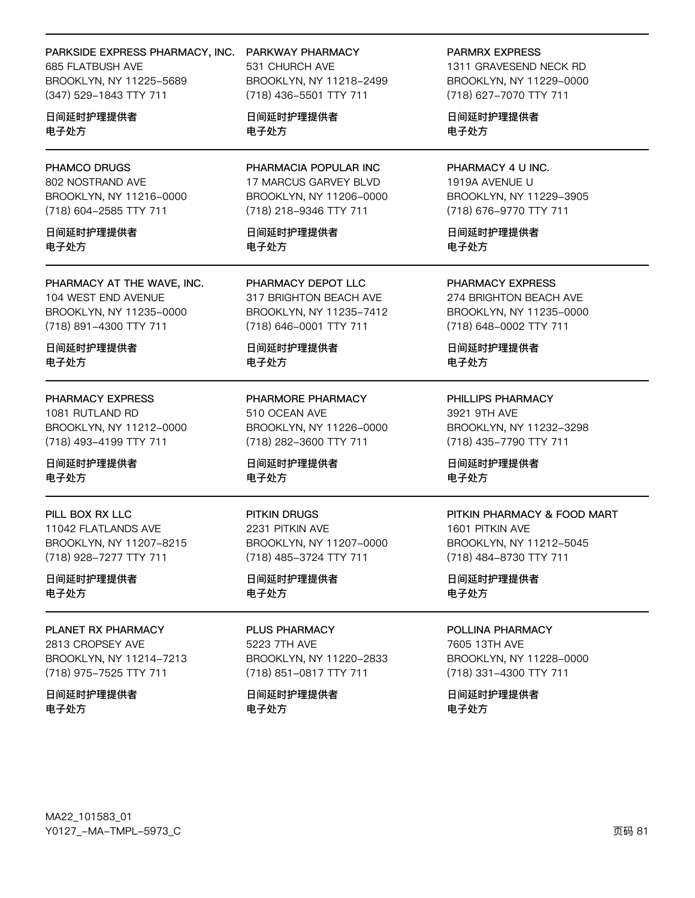## PARKSIDE EXPRESS PHARMACY, INC.

685 FLATBUSH AVE BROOKLYN, NY 11225-5689 (347) 529-1843 TTY 711

日间延时护理提供者 电子处方

## PHAMCO DRUGS

802 NOSTRAND AVE BROOKLYN, NY 11216-0000 (718) 604-2585 TTY 711

日间延时护理提供者 电子外方

PHARMACY AT THE WAVE, INC. 104 WEST END AVENUE BROOKLYN, NY 11235-0000 (718) 891-4300 TTY 711

日间延时护理提供者 电子处方

### PHARMACY EXPRESS

1081 RUTLAND RD BROOKLYN, NY 11212-0000 (718) 493-4199 TTY 711

日间延时护理提供者 电子处方

PILL BOX RX LLC 11042 FLATLANDS AVE BROOKLYN, NY 11207-8215 (718) 928-7277 TTY 711

日间延时护理提供者 电子处方

### PLANET RX PHARMACY 2813 CROPSEY AVE BROOKLYN, NY 11214-7213

(718) 975-7525 TTY 711

日间延时护理提供者 电子处方

PARKWAY PHARMACY 531 CHURCH AVE BROOKLYN, NY 11218-2499 (718) 436-5501 TTY 711

日间延时护理提供者 电子处方

PHARMACIA POPULAR INC 17 MARCUS GARVEY BLVD BROOKLYN, NY 11206-0000 (718) 218-9346 TTY 711

日间延时护理提供者 电子外方

PHARMACY DEPOT LLC 317 BRIGHTON BEACH AVE BROOKLYN, NY 11235-7412 (718) 646-0001 TTY 711

日间延时护理提供者 电子处方

PHARMORE PHARMACY 510 OCEAN AVE BROOKLYN, NY 11226-0000 (718) 282-3600 TTY 711

日间延时护理提供者 电子处方

### PITKIN DRUGS

2231 PITKIN AVE BROOKLYN, NY 11207-0000 (718) 485-3724 TTY 711

日间延时护理提供者 电子处方

PLUS PHARMACY 5223 7TH AVE BROOKLYN, NY 11220-2833 (718) 851-0817 TTY 711

日间延时护理提供者 电子处方

#### **PARMRX EXPRESS**

1311 GRAVESEND NECK RD BROOKLYN, NY 11229-0000 (718) 627-7070 TTY 711

日间延时护理提供者 电子处方

PHARMACY 4 U INC. 1919A AVENUE U BROOKLYN, NY 11229-3905 (718) 676-9770 TTY 711

日间延时护理提供者 电子外方

PHARMACY EXPRESS 274 BRIGHTON BEACH AVE BROOKLYN, NY 11235-0000 (718) 648-0002 TTY 711

日间延时护理提供者 电子处方

PHILLIPS PHARMACY 3921 9TH AVE BROOKLYN, NY 11232-3298 (718) 435-7790 TTY 711

日间延时护理提供者 电子处方

### PITKIN PHARMACY & FOOD MART

1601 PITKIN AVE BROOKLYN, NY 11212-5045 (718) 484-8730 TTY 711

日间延时护理提供者 电子处方

## POLLINA PHARMACY

7605 13TH AVE BROOKLYN, NY 11228-0000 (718) 331-4300 TTY 711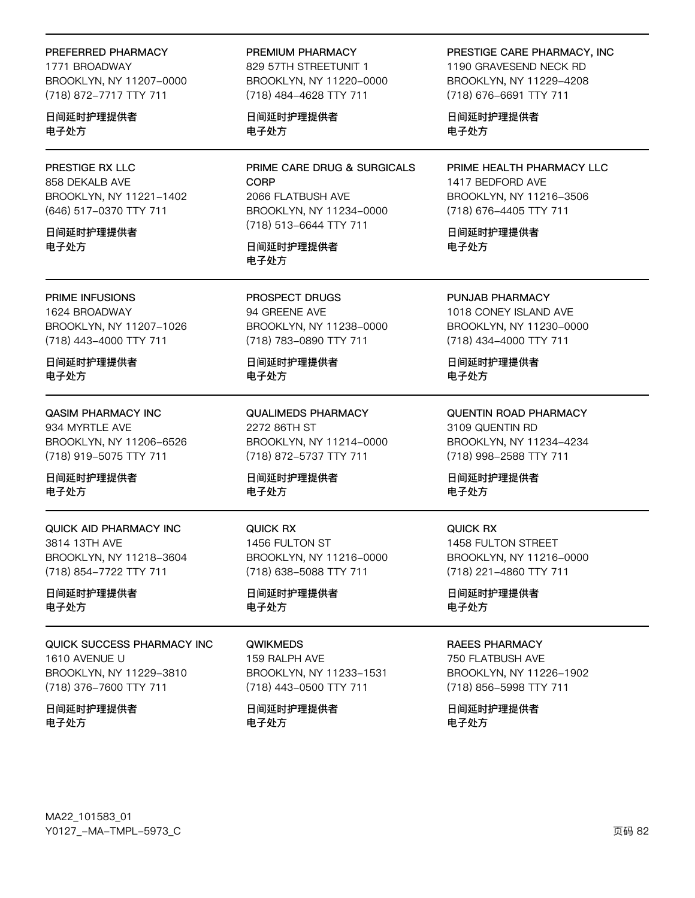#### PREFERRED PHARMACY

1771 BROADWAY BROOKLYN, NY 11207-0000 (718) 872-7717 TTY 711

日间延时护理提供者 电子处方

## PRESTIGE RX LLC

858 DEKALB AVE BROOKLYN, NY 11221-1402 (646) 517-0370 TTY 711

日间延时护理提供者 电子外方

## PRIME INFUSIONS

1624 BROADWAY BROOKLYN, NY 11207-1026 (718) 443-4000 TTY 711

日间延时护理提供者 电子处方

## **QASIM PHARMACY INC** 934 MYRTLE AVE BROOKLYN, NY 11206-6526 (718) 919-5075 TTY 711

日间延时护理提供者 电子处方

QUICK AID PHARMACY INC 3814 13TH AVE BROOKLYN, NY 11218-3604 (718) 854-7722 TTY 711

日间延时护理提供者 电子处方

## QUICK SUCCESS PHARMACY INC 1610 AVENUE U BROOKLYN, NY 11229-3810 (718) 376-7600 TTY 711

日间延时护理提供者 电子处方

#### PREMIUM PHARMACY

829 57TH STREETUNIT 1 BROOKLYN, NY 11220-0000 (718) 484-4628 TTY 711

日间延时护理提供者 电子处方

PRIME CARE DRUG & SURGICALS **CORP** 2066 FLATBUSH AVE BROOKLYN, NY 11234-0000 (718) 513-6644 TTY 711

## 日间延时护理提供者 电子处方

PROSPECT DRUGS 94 GREENE AVE BROOKLYN, NY 11238-0000 (718) 783-0890 TTY 711

日间延时护理提供者 电子处方

**QUALIMEDS PHARMACY** 2272 86TH ST BROOKLYN, NY 11214-0000 (718) 872-5737 TTY 711

日间延时护理提供者 电子处方

**QUICK RX** 1456 FULTON ST BROOKLYN, NY 11216-0000 (718) 638-5088 TTY 711

日间延时护理提供者 电子处方

#### **QWIKMEDS**

159 RALPH AVE BROOKLYN, NY 11233-1531 (718) 443-0500 TTY 711

日间延时护理提供者 电子处方

## PRESTIGE CARE PHARMACY, INC

1190 GRAVESEND NECK RD BROOKLYN, NY 11229-4208 (718) 676-6691 TTY 711

日间延时护理提供者 电子处方

PRIME HEALTH PHARMACY LLC 1417 BEDFORD AVE BROOKLYN, NY 11216-3506 (718) 676-4405 TTY 711

日间延时护理提供者 电子外方

PUNJAB PHARMACY 1018 CONEY ISLAND AVE BROOKLYN, NY 11230-0000 (718) 434-4000 TTY 711

日间延时护理提供者 电子处方

**QUENTIN ROAD PHARMACY** 3109 QUENTIN RD BROOKLYN, NY 11234-4234 (718) 998-2588 TTY 711

日间延时护理提供者 电子处方

QUICK RX 1458 FULTON STREET BROOKLYN, NY 11216-0000 (718) 221-4860 TTY 711

日间延时护理提供者 电子处方

### **RAEES PHARMACY**

750 FLATBUSH AVE BROOKLYN, NY 11226-1902 (718) 856-5998 TTY 711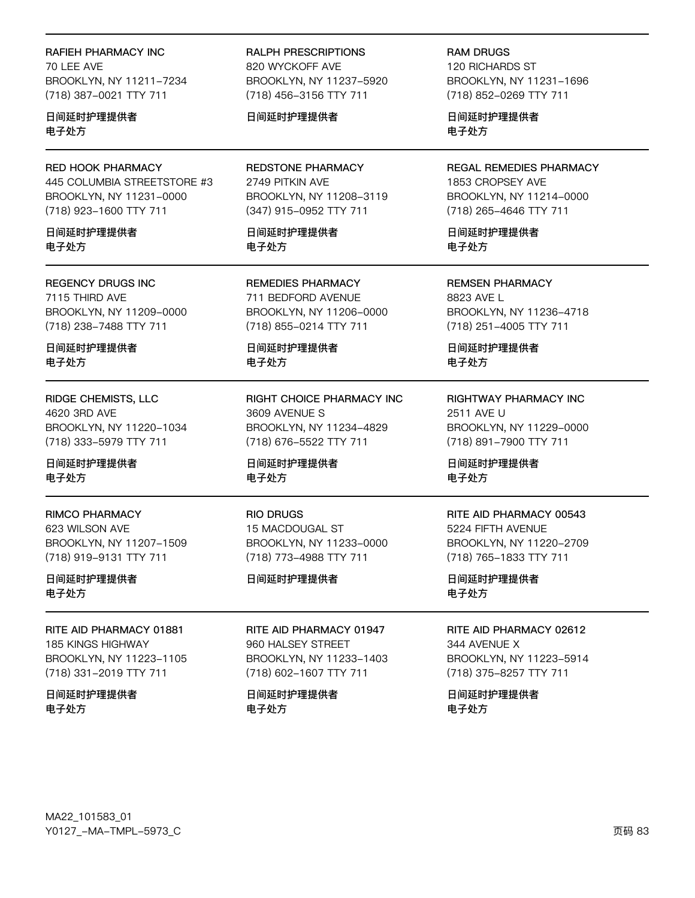## RAFIEH PHARMACY INC 70 I FF AVF BROOKLYN, NY 11211-7234 (718) 387-0021 TTY 711

日间延时护理提供者 电子处方

**RED HOOK PHARMACY** 445 COLUMBIA STREETSTORE #3 BROOKLYN, NY 11231-0000 (718) 923-1600 TTY 711

日间延时护理提供者 电子外方

**REGENCY DRUGS INC** 7115 THIRD AVE BROOKLYN, NY 11209-0000 (718) 238-7488 TTY 711

日间延时护理提供者 电子处方

RIDGE CHEMISTS, LLC 4620 3RD AVE BROOKLYN, NY 11220-1034 (718) 333-5979 TTY 711

日间延时护理提供者 电子处方

**RIMCO PHARMACY** 623 WILSON AVE BROOKLYN, NY 11207-1509 (718) 919-9131 TTY 711

日间延时护理提供者 电子处方

RITE AID PHARMACY 01881 **185 KINGS HIGHWAY** BROOKLYN, NY 11223-1105 (718) 331-2019 TTY 711

日间延时护理提供者 电子处方

**RALPH PRESCRIPTIONS** 820 WYCKOFF AVE BROOKLYN, NY 11237-5920 (718) 456-3156 TTY 711

## 日间延时护理提供者

**REDSTONE PHARMACY** 2749 PITKIN AVE BROOKLYN, NY 11208-3119 (347) 915-0952 TTY 711

日间延时护理提供者 电子外方

**REMEDIES PHARMACY** 711 BEDFORD AVENUE BROOKLYN, NY 11206-0000 (718) 855-0214 TTY 711

日间延时护理提供者 电子处方

RIGHT CHOICE PHARMACY INC 3609 AVENUE S BROOKLYN, NY 11234-4829 (718) 676-5522 TTY 711

日间延时护理提供者 电子处方

**RIO DRUGS** 15 MACDOUGAL ST BROOKLYN, NY 11233-0000 (718) 773-4988 TTY 711

## 日间延时护理提供者

RITE AID PHARMACY 01947 960 HALSEY STREET BROOKLYN, NY 11233-1403 (718) 602-1607 TTY 711

日间延时护理提供者 电子处方

**RAM DRUGS** 120 RICHARDS ST BROOKLYN, NY 11231-1696 (718) 852-0269 TTY 711

日间延时护理提供者 电子处方

**REGAL REMEDIES PHARMACY** 1853 CROPSEY AVE BROOKLYN, NY 11214-0000 (718) 265-4646 TTY 711

日间延时护理提供者 电子外方

**REMSEN PHARMACY** 8823 AVE L BROOKLYN, NY 11236-4718 (718) 251-4005 TTY 711

日间延时护理提供者 电子处方

RIGHTWAY PHARMACY INC 2511 AVE U BROOKLYN, NY 11229-0000 (718) 891-7900 TTY 711

日间延时护理提供者 电子处方

### RITE AID PHARMACY 00543

5224 FIFTH AVENUE BROOKLYN, NY 11220-2709 (718) 765-1833 TTY 711

日间延时护理提供者 电子处方

RITE AID PHARMACY 02612

344 AVENUE X BROOKLYN, NY 11223-5914 (718) 375-8257 TTY 711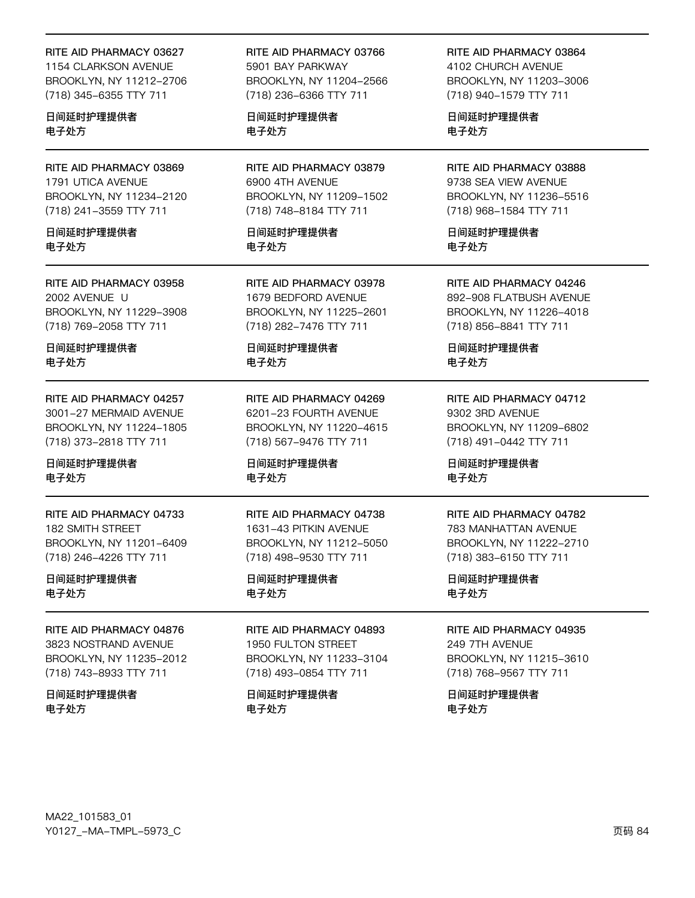#### RITE AID PHARMACY 03627

1154 CLARKSON AVENUE BROOKLYN, NY 11212-2706 (718) 345-6355 TTY 711

日间延时护理提供者 电子处方

RITE AID PHARMACY 03869 1791 UTICA AVENUE BROOKLYN, NY 11234-2120 (718) 241-3559 TTY 711

日间延时护理提供者 电子处方

RITE AID PHARMACY 03958 2002 AVENUE U BROOKLYN, NY 11229-3908 (718) 769-2058 TTY 711

日间延时护理提供者 电子处方

RITE AID PHARMACY 04257 3001-27 MERMAID AVENUE BROOKLYN, NY 11224-1805 (718) 373-2818 TTY 711

日间延时护理提供者 电子处方

RITE AID PHARMACY 04733 182 SMITH STREET BROOKLYN, NY 11201-6409 (718) 246-4226 TTY 711

日间延时护理提供者 电子处方

RITE AID PHARMACY 04876 3823 NOSTRAND AVENUE BROOKLYN, NY 11235-2012 (718) 743-8933 TTY 711

日间延时护理提供者 电子处方

RITE AID PHARMACY 03766 5901 BAY PARKWAY BROOKLYN, NY 11204-2566 (718) 236-6366 TTY 711

日间延时护理提供者 电子处方

RITE AID PHARMACY 03879 6900 4TH AVENUE BROOKLYN, NY 11209-1502 (718) 748-8184 TTY 711

日间延时护理提供者 电子处方

RITE AID PHARMACY 03978 1679 BEDFORD AVENUE BROOKLYN, NY 11225-2601 (718) 282-7476 TTY 711

日间延时护理提供者 电子处方

RITE AID PHARMACY 04269 6201-23 FOURTH AVENUE BROOKLYN, NY 11220-4615 (718) 567-9476 TTY 711

日间延时护理提供者 电子处方

RITE AID PHARMACY 04738 1631-43 PITKIN AVENUE BROOKLYN, NY 11212-5050 (718) 498-9530 TTY 711

日间延时护理提供者 电子处方

RITE AID PHARMACY 04893 1950 FULTON STREET BROOKLYN, NY 11233-3104 (718) 493-0854 TTY 711

日间延时护理提供者 电子处方

RITE AID PHARMACY 03864 4102 CHURCH AVENUE BROOKLYN, NY 11203-3006 (718) 940-1579 TTY 711

日间延时护理提供者 电子处方

RITE AID PHARMACY 03888 9738 SEA VIEW AVENUE BROOKLYN, NY 11236-5516 (718) 968-1584 TTY 711

日间延时护理提供者 电子处方

RITE AID PHARMACY 04246 892-908 FLATBUSH AVENUE BROOKLYN, NY 11226-4018 (718) 856-8841 TTY 711

日间延时护理提供者 电子处方

RITE AID PHARMACY 04712 9302 3RD AVENUE BROOKLYN, NY 11209-6802 (718) 491-0442 TTY 711

日间延时护理提供者 电子处方

#### RITE AID PHARMACY 04782

783 MANHATTAN AVENUE BROOKLYN, NY 11222-2710 (718) 383-6150 TTY 711

日间延时护理提供者 电子处方

RITE AID PHARMACY 04935

249 7TH AVENUE BROOKLYN, NY 11215-3610 (718) 768-9567 TTY 711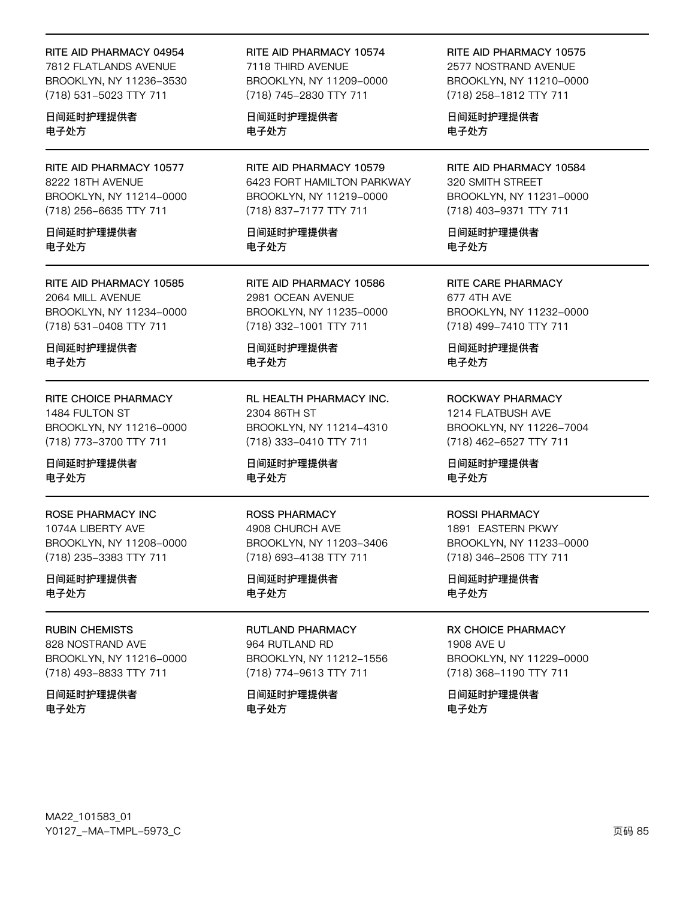#### RITE AID PHARMACY 04954

7812 FLATLANDS AVENUE BROOKLYN, NY 11236-3530 (718) 531-5023 TTY 711

日间延时护理提供者 电子处方

RITE AID PHARMACY 10577 8222 18TH AVENUE BROOKLYN, NY 11214-0000 (718) 256-6635 TTY 711

日间延时护理提供者 电子处方

RITE AID PHARMACY 10585 2064 MILL AVENUE BROOKLYN, NY 11234-0000 (718) 531-0408 TTY 711

日间延时护理提供者 电子处方

RITE CHOICE PHARMACY 1484 FULTON ST BROOKLYN, NY 11216-0000 (718) 773-3700 TTY 711

日间延时护理提供者 电子处方

ROSE PHARMACY INC 1074A LIBERTY AVE BROOKLYN, NY 11208-0000 (718) 235-3383 TTY 711

日间延时护理提供者 电子处方

RUBIN CHEMISTS 828 NOSTRAND AVE BROOKLYN, NY 11216-0000 (718) 493-8833 TTY 711

日间延时护理提供者 电子处方

RITE AID PHARMACY 10574 7118 THIRD AVENUE BROOKLYN, NY 11209-0000 (718) 745-2830 TTY 711

日间延时护理提供者 电子处方

RITE AID PHARMACY 10579 6423 FORT HAMILTON PARKWAY BROOKLYN, NY 11219-0000 (718) 837-7177 TTY 711

日间延时护理提供者 电子处方

RITE AID PHARMACY 10586 2981 OCEAN AVENUE BROOKLYN, NY 11235-0000 (718) 332-1001 TTY 711

日间延时护理提供者 电子处方

RL HEALTH PHARMACY INC. 2304 86TH ST BROOKLYN, NY 11214-4310 (718) 333-0410 TTY 711

日间延时护理提供者 电子处方

ROSS PHARMACY 4908 CHURCH AVE BROOKLYN, NY 11203-3406 (718) 693-4138 TTY 711

日间延时护理提供者 电子处方

RUTLAND PHARMACY 964 RUTLAND RD BROOKLYN, NY 11212-1556 (718) 774-9613 TTY 711

日间延时护理提供者 电子处方

RITE AID PHARMACY 10575 2577 NOSTRAND AVENUE

BROOKLYN, NY 11210-0000 (718) 258-1812 TTY 711

日间延时护理提供者 电子处方

RITE AID PHARMACY 10584 320 SMITH STREET BROOKLYN, NY 11231-0000 (718) 403-9371 TTY 711

日间延时护理提供者 电子处方

RITE CARE PHARMACY 677 4TH AVE BROOKLYN, NY 11232-0000 (718) 499-7410 TTY 711

日间延时护理提供者 电子处方

ROCKWAY PHARMACY 1214 FLATBUSH AVE BROOKLYN, NY 11226-7004 (718) 462-6527 TTY 711

日间延时护理提供者 电子处方

## ROSSI PHARMACY

1891 EASTERN PKWY BROOKLYN, NY 11233-0000 (718) 346-2506 TTY 711

日间延时护理提供者 电子处方

RX CHOICE PHARMACY

1908 AVE U BROOKLYN, NY 11229-0000 (718) 368-1190 TTY 711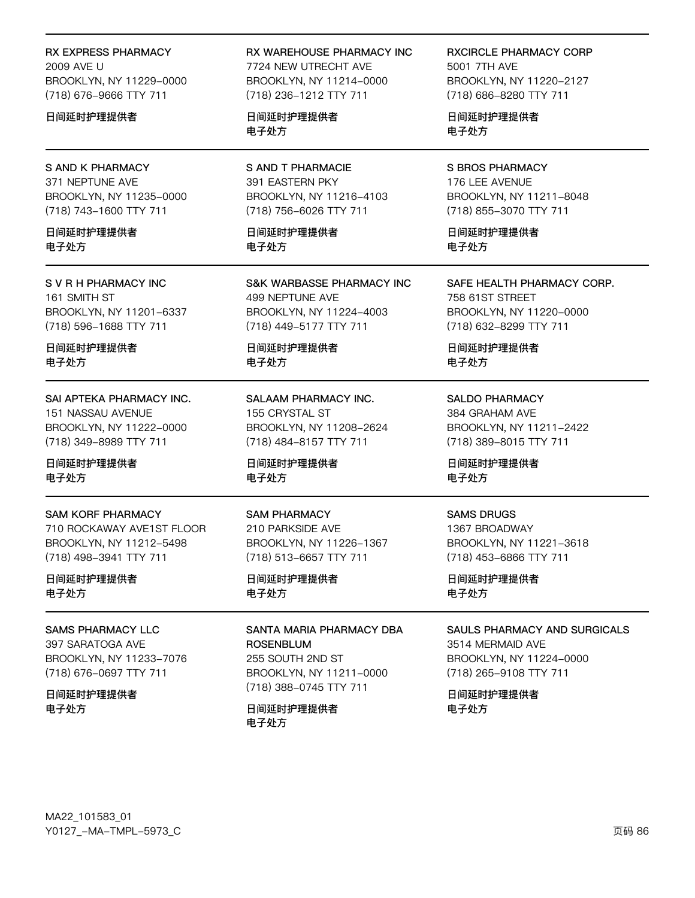RX EXPRESS PHARMACY 2009 AVF U BROOKLYN, NY 11229-0000 (718) 676-9666 TTY 711

日间延时护理提供者

## **S AND K PHARMACY** 371 NEPTUNE AVE BROOKLYN, NY 11235-0000 (718) 743-1600 TTY 711

日间延时护理提供者 电子外方

S V R H PHARMACY INC 161 SMITH ST BROOKLYN, NY 11201-6337 (718) 596-1688 TTY 711

日间延时护理提供者 电子处方

SAI APTEKA PHARMACY INC. 151 NASSAU AVENUE BROOKLYN, NY 11222-0000 (718) 349-8989 TTY 711

日间延时护理提供者 电子处方

## **SAM KORF PHARMACY**

710 ROCKAWAY AVE1ST FLOOR BROOKLYN, NY 11212-5498 (718) 498-3941 TTY 711

日间延时护理提供者 电子处方

### **SAMS PHARMACY LLC**

397 SARATOGA AVE BROOKLYN, NY 11233-7076 (718) 676-0697 TTY 711

日间延时护理提供者 电子处方

RX WAREHOUSE PHARMACY INC 7724 NEW UTRECHT AVE

BROOKLYN, NY 11214-0000 (718) 236-1212 TTY 711

日间延时护理提供者 电子处方

**S AND T PHARMACIE** 391 EASTERN PKY BROOKLYN, NY 11216-4103 (718) 756-6026 TTY 711

日间延时护理提供者 电子外方

**S&K WARBASSE PHARMACY INC** 499 NEPTUNE AVE BROOKLYN, NY 11224-4003 (718) 449-5177 TTY 711

日间延时护理提供者 电子处方

SALAAM PHARMACY INC. 155 CRYSTAL ST BROOKLYN, NY 11208-2624 (718) 484-8157 TTY 711

日间延时护理提供者 电子处方

#### **SAM PHARMACY** 210 PARKSIDE AVE BROOKLYN, NY 11226-1367 (718) 513-6657 TTY 711

日间延时护理提供者 电子处方

## SANTA MARIA PHARMACY DBA **ROSENBLUM** 255 SOUTH 2ND ST BROOKLYN, NY 11211-0000

(718) 388-0745 TTY 711

日间延时护理提供者 电子处方

**RXCIRCLE PHARMACY CORP** 5001 7TH AVE BROOKLYN, NY 11220-2127 (718) 686-8280 TTY 711

日间延时护理提供者 电子处方

**S BROS PHARMACY** 176 LEE AVENUE BROOKLYN, NY 11211-8048 (718) 855-3070 TTY 711

日间延时护理提供者 电子外方

SAFE HEALTH PHARMACY CORP. 758 61ST STREET BROOKLYN, NY 11220-0000 (718) 632-8299 TTY 711

日间延时护理提供者 电子处方

**SALDO PHARMACY** 384 GRAHAM AVE BROOKLYN, NY 11211-2422 (718) 389-8015 TTY 711

日间延时护理提供者 电子处方

### **SAMS DRUGS**

1367 BROADWAY BROOKLYN, NY 11221-3618 (718) 453-6866 TTY 711

日间延时护理提供者 电子处方

### **SAULS PHARMACY AND SURGICALS**

3514 MERMAID AVE BROOKLYN, NY 11224-0000 (718) 265-9108 TTY 711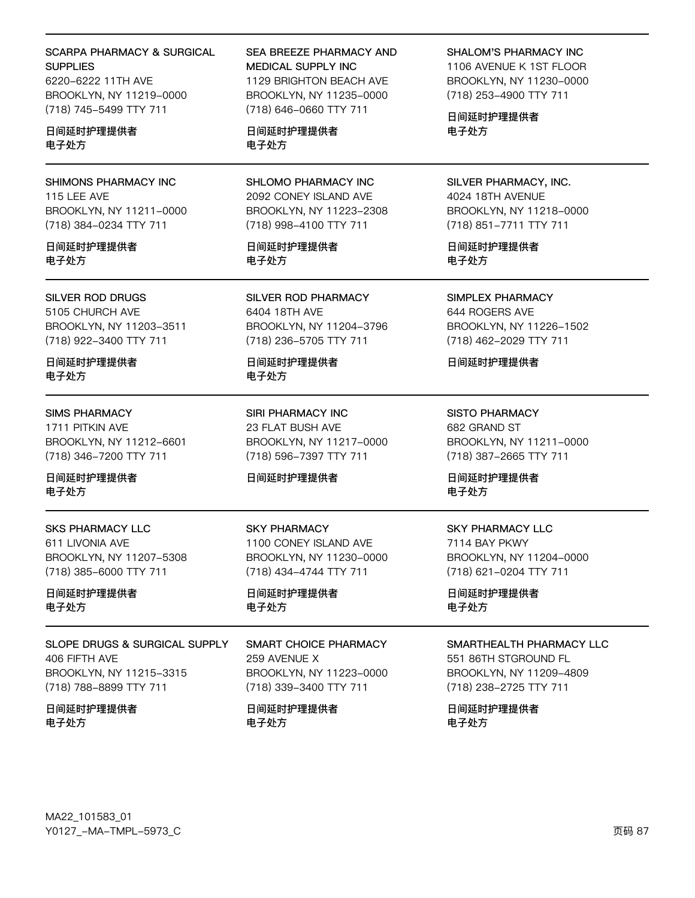## **SCARPA PHARMACY & SURGICAL SUPPLIES**

6220-6222 11TH AVE BROOKLYN, NY 11219-0000 (718) 745-5499 TTY 711

## 日间延时护理提供者 电子外方

SHIMONS PHARMACY INC 115 LEE AVE BROOKLYN, NY 11211-0000 (718) 384-0234 TTY 711

日间延时护理提供者 电子处方

## **SILVER ROD DRUGS**

5105 CHURCH AVE BROOKLYN, NY 11203-3511 (718) 922-3400 TTY 711

日间延时护理提供者 电子处方

## **SIMS PHARMACY** 1711 PITKIN AVE BROOKLYN, NY 11212-6601 (718) 346-7200 TTY 711

日间延时护理提供者 电子处方

**SKS PHARMACY LLC** 611 LIVONIA AVE BROOKLYN, NY 11207-5308 (718) 385-6000 TTY 711

日间延时护理提供者 电子处方

**SLOPE DRUGS & SURGICAL SUPPLY** 406 FIFTH AVE BROOKLYN, NY 11215-3315 (718) 788-8899 TTY 711

日间延时护理提供者 电子处方

## SEA BREEZE PHARMACY AND MEDICAL SUPPLY INC. 1129 BRIGHTON BEACH AVE BROOKLYN, NY 11235-0000 (718) 646-0660 TTY 711

## 日间延时护理提供者 电子处方

SHLOMO PHARMACY INC 2092 CONEY ISLAND AVE BROOKLYN, NY 11223-2308 (718) 998-4100 TTY 711

日间延时护理提供者 电子处方

SILVER ROD PHARMACY 6404 18TH AVE BROOKLYN, NY 11204-3796 (718) 236-5705 TTY 711

日间延时护理提供者 电子处方

SIRI PHARMACY INC 23 FLAT BUSH AVE BROOKLYN, NY 11217-0000 (718) 596-7397 TTY 711

## 日间延时护理提供者

**SKY PHARMACY** 1100 CONEY ISLAND AVE BROOKLYN, NY 11230-0000 (718) 434-4744 TTY 711

日间延时护理提供者 电子处方

**SMART CHOICE PHARMACY** 259 AVENUE X BROOKLYN, NY 11223-0000 (718) 339-3400 TTY 711

日间延时护理提供者 电子处方

## **SHALOM'S PHARMACY INC**

1106 AVENUE K 1ST FLOOR BROOKLYN, NY 11230-0000 (718) 253-4900 TTY 711

日间延时护理提供者 电子处方

SILVER PHARMACY, INC. 4024 18TH AVENUE BROOKLYN, NY 11218-0000 (718) 851-7711 TTY 711

日间延时护理提供者 电子处方

SIMPLEX PHARMACY 644 ROGERS AVE BROOKLYN, NY 11226-1502 (718) 462-2029 TTY 711

日间延时护理提供者

**SISTO PHARMACY** 682 GRAND ST BROOKLYN, NY 11211-0000 (718) 387-2665 TTY 711

日间延时护理提供者 电子处方

## **SKY PHARMACY LLC** 7114 BAY PKWY BROOKLYN, NY 11204-0000 (718) 621-0204 TTY 711

日间延时护理提供者 电子处方

## SMARTHEALTH PHARMACY LLC

551 86TH STGROUND FL BROOKLYN, NY 11209-4809 (718) 238-2725 TTY 711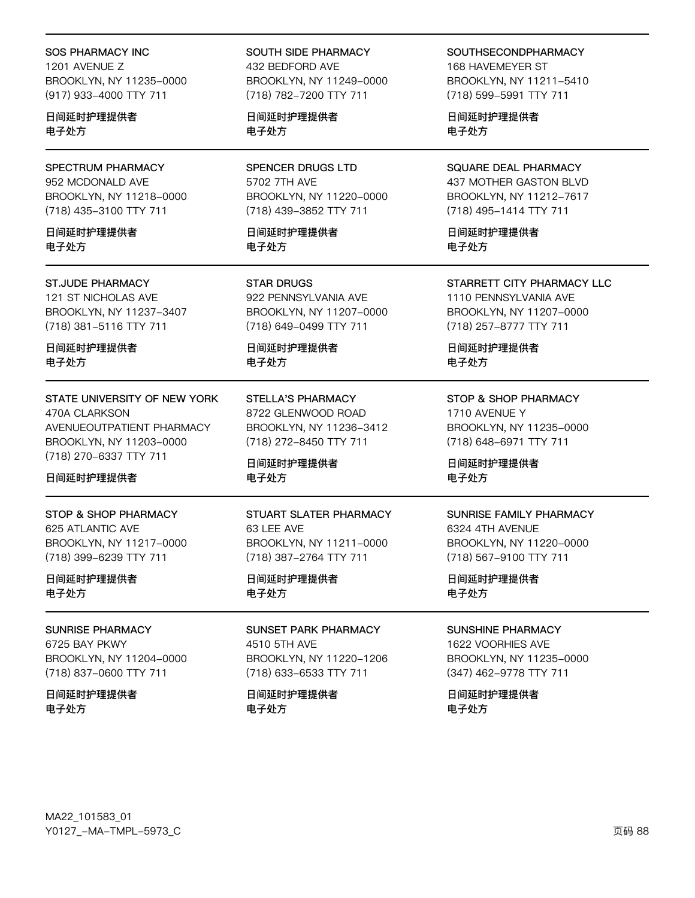#### **SOS PHARMACY INC**

1201 AVENUE Z BROOKLYN, NY 11235-0000 (917) 933-4000 TTY 711

日间延时护理提供者 电子处方

SPECTRUM PHARMACY 952 MCDONALD AVE BROOKLYN, NY 11218-0000 (718) 435-3100 TTY 711

日间延时护理提供者 电子外方

#### **ST.JUDE PHARMACY**

121 ST NICHOLAS AVE BROOKLYN, NY 11237-3407 (718) 381-5116 TTY 711

日间延时护理提供者 电子处方

## STATE UNIVERSITY OF NEW YORK 470A CLARKSON AVENUEOUTPATIENT PHARMACY BROOKLYN, NY 11203-0000 (718) 270-6337 TTY 711

日间延时护理提供者

STOP & SHOP PHARMACY 625 ATLANTIC AVE BROOKLYN, NY 11217-0000 (718) 399-6239 TTY 711

日间延时护理提供者 电子处方

## **SUNRISE PHARMACY**

6725 BAY PKWY BROOKLYN, NY 11204-0000 (718) 837-0600 TTY 711

日间延时护理提供者 电子处方

## SOUTH SIDE PHARMACY 432 BEDFORD AVE BROOKLYN, NY 11249-0000 (718) 782-7200 TTY 711

日间延时护理提供者 电子处方

**SPENCER DRUGS LTD** 5702 7TH AVE BROOKLYN, NY 11220-0000 (718) 439-3852 TTY 711

日间延时护理提供者 电子外方

**STAR DRUGS** 922 PENNSYLVANIA AVE BROOKLYN, NY 11207-0000 (718) 649-0499 TTY 711

日间延时护理提供者 电子处方

**STELLA'S PHARMACY** 8722 GLENWOOD ROAD BROOKLYN, NY 11236-3412 (718) 272-8450 TTY 711

日间延时护理提供者 电子处方

#### STUART SLATER PHARMACY 63 LEE AVE

BROOKLYN, NY 11211-0000 (718) 387-2764 TTY 711

日间延时护理提供者 电子处方

**SUNSET PARK PHARMACY** 4510 5TH AVE BROOKLYN, NY 11220-1206 (718) 633-6533 TTY 711

日间延时护理提供者 电子处方

**SOUTHSECONDPHARMACY** 168 HAVEMEYER ST BROOKLYN, NY 11211-5410 (718) 599-5991 TTY 711

日间延时护理提供者 电子处方

SQUARE DEAL PHARMACY 437 MOTHER GASTON BLVD BROOKLYN, NY 11212-7617 (718) 495-1414 TTY 711

日间延时护理提供者 电子外方

STARRETT CITY PHARMACY LLC

1110 PENNSYLVANIA AVE BROOKLYN, NY 11207-0000 (718) 257-8777 TTY 711

日间延时护理提供者 电子处方

STOP & SHOP PHARMACY 1710 AVENUE Y BROOKLYN, NY 11235-0000 (718) 648-6971 TTY 711

日间延时护理提供者 电子处方

#### SUNRISE FAMILY PHARMACY

6324 4TH AVENUE BROOKLYN, NY 11220-0000 (718) 567-9100 TTY 711

日间延时护理提供者 电子处方

**SUNSHINE PHARMACY** 

1622 VOORHIES AVE BROOKLYN, NY 11235-0000 (347) 462-9778 TTY 711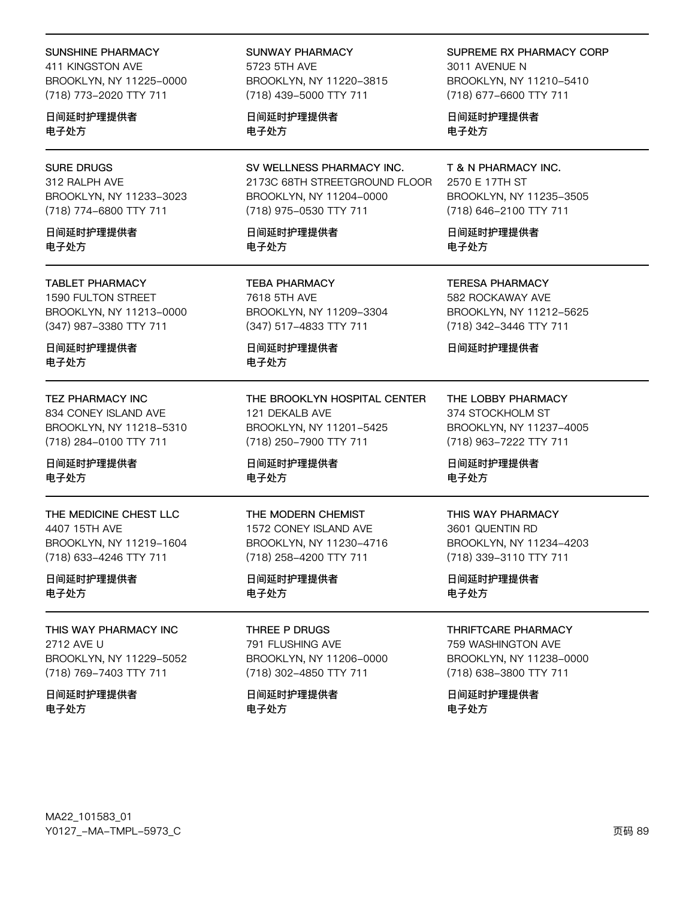### **SUNSHINE PHARMACY**

411 KINGSTON AVE BROOKLYN, NY 11225-0000 (718) 773-2020 TTY 711

日间延时护理提供者 电子处方

## **SURE DRUGS**

312 RALPH AVE BROOKLYN, NY 11233-3023 (718) 774-6800 TTY 711

日间延时护理提供者 电子外方

#### **TABLET PHARMACY**

1590 FULTON STREET BROOKLYN, NY 11213-0000 (347) 987-3380 TTY 711

日间延时护理提供者 电子处方

### **TEZ PHARMACY INC**

834 CONEY ISLAND AVE BROOKLYN, NY 11218-5310 (718) 284-0100 TTY 711

日间延时护理提供者 电子处方

THE MEDICINE CHEST LLC 4407 15TH AVE BROOKLYN, NY 11219-1604 (718) 633-4246 TTY 711

日间延时护理提供者 电子处方

THIS WAY PHARMACY INC 2712 AVE U BROOKLYN, NY 11229-5052 (718) 769-7403 TTY 711

日间延时护理提供者 电子处方

SUNWAY PHARMACY 5723 5TH AVF BROOKLYN, NY 11220-3815 (718) 439-5000 TTY 711

日间延时护理提供者 电子处方

SV WELLNESS PHARMACY INC. 2173C 68TH STREETGROUND FLOOR BROOKLYN, NY 11204-0000 (718) 975-0530 TTY 711

日间延时护理提供者 电子外方

**TEBA PHARMACY** 7618 5TH AVE BROOKLYN, NY 11209-3304 (347) 517-4833 TTY 711

日间延时护理提供者 电子处方

THE BROOKLYN HOSPITAL CENTER 121 DEKALB AVE BROOKLYN, NY 11201-5425 (718) 250-7900 TTY 711

日间延时护理提供者 电子处方

## THE MODERN CHEMIST

1572 CONEY ISLAND AVE BROOKLYN, NY 11230-4716 (718) 258-4200 TTY 711

日间延时护理提供者 电子处方

THREE P DRUGS 791 FLUSHING AVE BROOKLYN, NY 11206-0000 (718) 302-4850 TTY 711

日间延时护理提供者 电子处方

## SUPREME RX PHARMACY CORP

3011 AVENUE N BROOKLYN, NY 11210-5410 (718) 677-6600 TTY 711

日间延时护理提供者 电子处方

# T & N PHARMACY INC.

2570 E 17TH ST BROOKLYN, NY 11235-3505 (718) 646-2100 TTY 711

日间延时护理提供者 电子外方

**TERESA PHARMACY** 582 ROCKAWAY AVE BROOKLYN, NY 11212-5625 (718) 342-3446 TTY 711

日间延时护理提供者

THE LOBBY PHARMACY 374 STOCKHOLM ST BROOKLYN, NY 11237-4005 (718) 963-7222 TTY 711

日间延时护理提供者 电子处方

#### THIS WAY PHARMACY

3601 QUENTIN RD BROOKLYN, NY 11234-4203 (718) 339-3110 TTY 711

日间延时护理提供者 电子处方

#### THRIFTCARF PHARMACY

759 WASHINGTON AVE BROOKLYN, NY 11238-0000 (718) 638-3800 TTY 711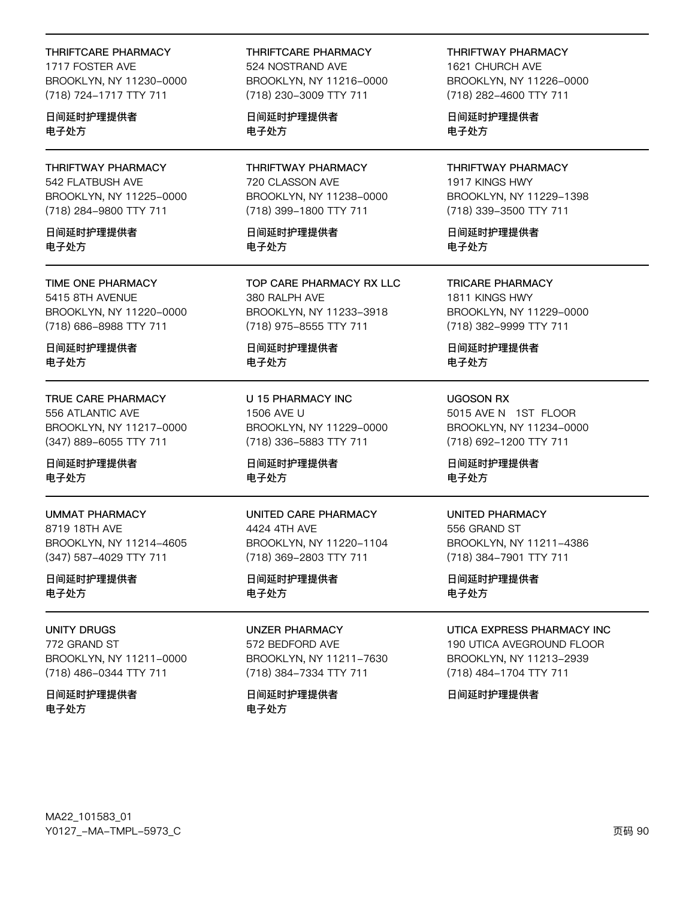#### **THRIFTCARE PHARMACY**

1717 FOSTER AVE BROOKLYN, NY 11230-0000 (718) 724-1717 TTY 711

日间延时护理提供者 电子处方

THRIFTWAY PHARMACY 542 FLATBUSH AVE BROOKLYN, NY 11225-0000 (718) 284-9800 TTY 711

日间延时护理提供者 电子外方

TIME ONE PHARMACY 5415 8TH AVENUE BROOKLYN, NY 11220-0000 (718) 686-8988 TTY 711

日间延时护理提供者 电子处方

TRUE CARE PHARMACY 556 ATLANTIC AVE BROOKLYN, NY 11217-0000 (347) 889-6055 TTY 711

日间延时护理提供者 电子处方

**UMMAT PHARMACY** 8719 18TH AVE BROOKLYN, NY 11214-4605 (347) 587-4029 TTY 711

日间延时护理提供者 电子处方

**UNITY DRUGS** 772 GRAND ST BROOKLYN, NY 11211-0000 (718) 486-0344 TTY 711

日间延时护理提供者 电子处方

THRIFTCARE PHARMACY 524 NOSTRAND AVE BROOKLYN, NY 11216-0000 (718) 230-3009 TTY 711

日间延时护理提供者 电子处方

THRIFTWAY PHARMACY 720 CLASSON AVE BROOKLYN, NY 11238-0000 (718) 399-1800 TTY 711

日间延时护理提供者 电子外方

TOP CARE PHARMACY RX LLC 380 RALPH AVE BROOKLYN, NY 11233-3918 (718) 975-8555 TTY 711

日间延时护理提供者 电子处方

U 15 PHARMACY INC 1506 AVE U BROOKLYN, NY 11229-0000 (718) 336-5883 TTY 711

日间延时护理提供者 电子处方

UNITED CARE PHARMACY 4424 4TH AVE BROOKLYN, NY 11220-1104 (718) 369-2803 TTY 711

日间延时护理提供者 电子处方

**UNZER PHARMACY** 572 BEDFORD AVE BROOKLYN, NY 11211-7630 (718) 384-7334 TTY 711

日间延时护理提供者 电子处方

**THRIFTWAY PHARMACY** 1621 CHURCH AVE BROOKLYN, NY 11226-0000 (718) 282-4600 TTY 711

日间延时护理提供者 电子处方

THRIFTWAY PHARMACY 1917 KINGS HWY BROOKLYN, NY 11229-1398 (718) 339-3500 TTY 711

日间延时护理提供者 电子外方

**TRICARE PHARMACY** 1811 KINGS HWY BROOKLYN, NY 11229-0000 (718) 382-9999 TTY 711

日间延时护理提供者 电子处方

**UGOSON RX** 5015 AVE N 1ST FLOOR BROOKLYN, NY 11234-0000 (718) 692-1200 TTY 711

日间延时护理提供者 电子处方

**UNITED PHARMACY** 556 GRAND ST

BROOKLYN, NY 11211-4386 (718) 384-7901 TTY 711

日间延时护理提供者 电子处方

**UTICA EXPRESS PHARMACY INC.** 

190 UTICA AVEGROUND FLOOR BROOKLYN, NY 11213-2939 (718) 484-1704 TTY 711

日间延时护理提供者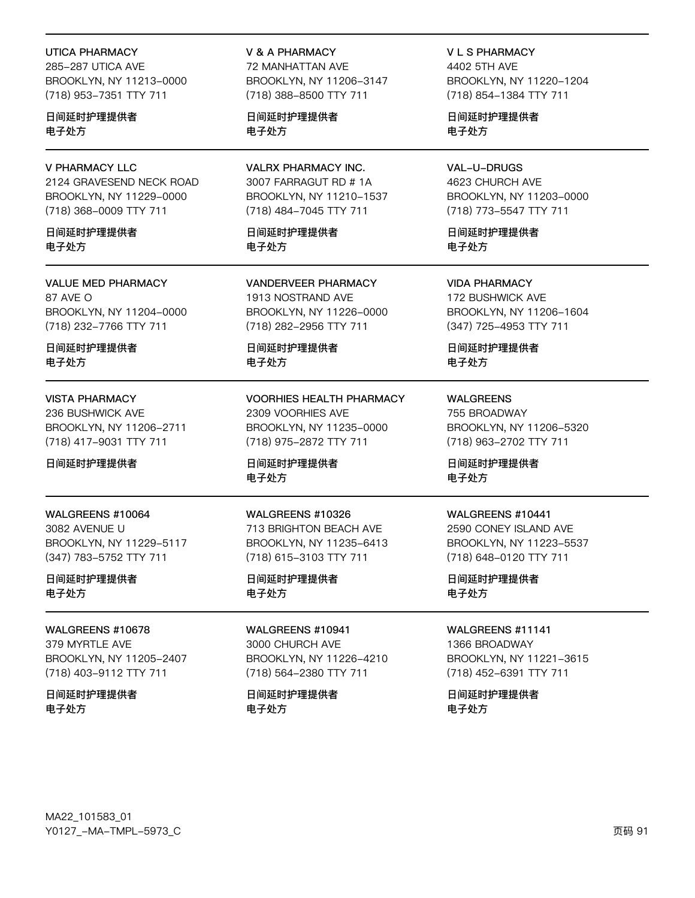#### **UTICA PHARMACY**

285-287 UTICA AVE BROOKLYN, NY 11213-0000 (718) 953-7351 TTY 711

日间延时护理提供者 电子处方

### **V PHARMACY LLC**

2124 GRAVESEND NECK ROAD BROOKLYN, NY 11229-0000 (718) 368-0009 TTY 711

日间延时护理提供者 电子外方

**VALUE MED PHARMACY** 87 AVE O BROOKLYN, NY 11204-0000 (718) 232-7766 TTY 711

日间延时护理提供者 电子处方

#### **VISTA PHARMACY**

236 BUSHWICK AVE BROOKLYN, NY 11206-2711 (718) 417-9031 TTY 711

日间延时护理提供者

### WALGREENS #10064

3082 AVENUE U BROOKLYN, NY 11229-5117 (347) 783-5752 TTY 711

日间延时护理提供者 电子处方

**WAI GREENS #10678** 

379 MYRTLE AVE BROOKLYN, NY 11205-2407 (718) 403-9112 TTY 711

日间延时护理提供者 电子处方

## **V & A PHARMACY**

72 MANHATTAN AVE BROOKLYN, NY 11206-3147 (718) 388-8500 TTY 711

日间延时护理提供者 电子处方

**VALRX PHARMACY INC.** 3007 FARRAGUT RD # 1A BROOKLYN, NY 11210-1537 (718) 484-7045 TTY 711

日间延时护理提供者 电子外方

**VANDERVEER PHARMACY** 1913 NOSTRAND AVE BROOKLYN, NY 11226-0000 (718) 282-2956 TTY 711

日间延时护理提供者 电子处方

**VOORHIES HEALTH PHARMACY** 2309 VOORHIES AVE BROOKLYN, NY 11235-0000 (718) 975-2872 TTY 711

日间延时护理提供者 电子处方

WALGREENS #10326 713 BRIGHTON BEACH AVE BROOKLYN, NY 11235-6413 (718) 615-3103 TTY 711

日间延时护理提供者 电子处方

WALGREENS #10941 3000 CHURCH AVE BROOKLYN, NY 11226-4210 (718) 564-2380 TTY 711

日间延时护理提供者 电子处方

**VLS PHARMACY** 4402 5TH AVF BROOKLYN, NY 11220-1204 (718) 854-1384 TTY 711

日间延时护理提供者 电子处方

VAL-U-DRUGS 4623 CHURCH AVE BROOKLYN, NY 11203-0000 (718) 773-5547 TTY 711

日间延时护理提供者 电子外方

**VIDA PHARMACY** 172 BUSHWICK AVE BROOKLYN, NY 11206-1604 (347) 725-4953 TTY 711

日间延时护理提供者 电子处方

**WALGREENS** 755 BROADWAY BROOKLYN, NY 11206-5320 (718) 963-2702 TTY 711

日间延时护理提供者 电子处方

#### WALGREENS #10441

2590 CONEY ISLAND AVE BROOKLYN, NY 11223-5537 (718) 648-0120 TTY 711

日间延时护理提供者 电子处方

**WAI GRFFNS #11141** 

1366 BROADWAY BROOKLYN, NY 11221-3615 (718) 452-6391 TTY 711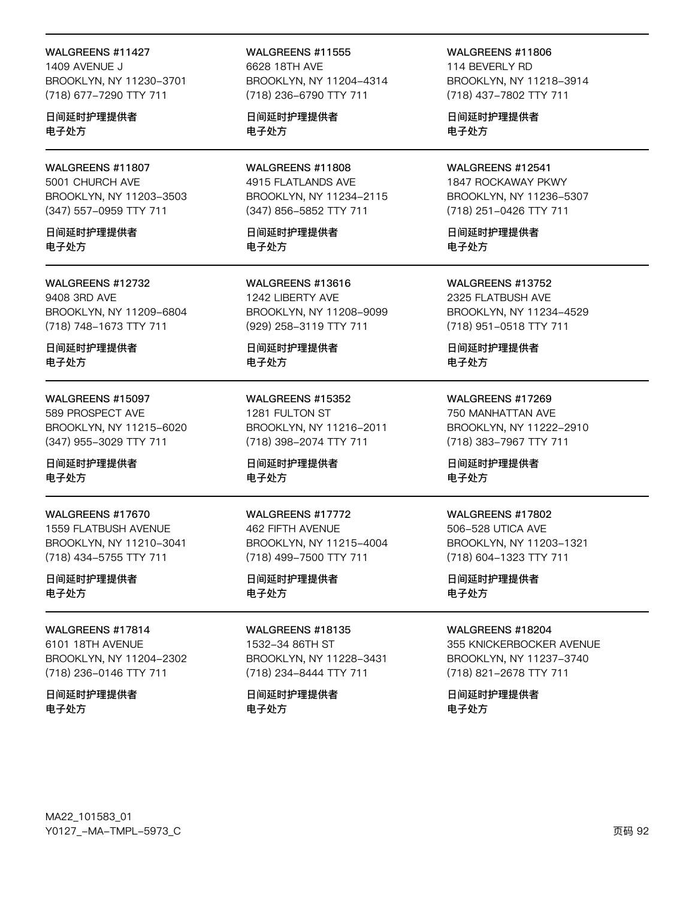#### WALGREENS #11427

1409 AVENUE J BROOKLYN, NY 11230-3701 (718) 677-7290 TTY 711

日间延时护理提供者 电子处方

## WALGREENS #11807 5001 CHURCH AVE BROOKLYN, NY 11203-3503 (347) 557-0959 TTY 711

日间延时护理提供者 电子外方

## WALGREENS #12732 9408 3RD AVE BROOKLYN, NY 11209-6804 (718) 748-1673 TTY 711

日间延时护理提供者 电子处方

## WALGREENS #15097

589 PROSPECT AVE BROOKLYN, NY 11215-6020 (347) 955-3029 TTY 711

日间延时护理提供者 电子处方

#### WALGREENS #17670 1559 FLATBUSH AVENUE

BROOKLYN, NY 11210-3041 (718) 434-5755 TTY 711

## 日间延时护理提供者 电子处方

### **WAI GRFFNS #17814** 6101 18TH AVENUE BROOKLYN, NY 11204-2302

(718) 236-0146 TTY 711

日间延时护理提供者 电子处方

## WALGREENS #11555 6628 18TH AVE BROOKLYN, NY 11204-4314 (718) 236-6790 TTY 711

日间延时护理提供者 电子处方

## WALGREENS #11808 4915 FLATLANDS AVE BROOKLYN, NY 11234-2115 (347) 856-5852 TTY 711

日间延时护理提供者 电子外方

WALGREENS #13616 1242 LIBERTY AVE BROOKLYN, NY 11208-9099 (929) 258-3119 TTY 711

日间延时护理提供者 电子处方

WALGREENS #15352 1281 FULTON ST BROOKLYN, NY 11216-2011 (718) 398-2074 TTY 711

日间延时护理提供者 电子处方

## WALGREENS #17772 **462 FIFTH AVENUE** BROOKLYN, NY 11215-4004 (718) 499-7500 TTY 711

日间延时护理提供者 电子处方

## **WAI GREENS #18135** 1532-34 86TH ST BROOKLYN, NY 11228-3431 (718) 234-8444 TTY 711

日间延时护理提供者 电子处方

## WALGREENS #11806 114 BEVERI Y RD

BROOKLYN, NY 11218-3914 (718) 437-7802 TTY 711

日间延时护理提供者 电子处方

### WALGREENS #12541 1847 ROCKAWAY PKWY BROOKLYN, NY 11236-5307 (718) 251-0426 TTY 711

日间延时护理提供者

电子外方

WALGREENS #13752 2325 FLATBUSH AVE

BROOKLYN, NY 11234-4529 (718) 951-0518 TTY 711

日间延时护理提供者 电子处方

WALGREENS #17269 750 MANHATTAN AVE BROOKLYN, NY 11222-2910 (718) 383-7967 TTY 711

日间延时护理提供者 电子处方

### WALGREENS #17802

506-528 UTICA AVE BROOKLYN, NY 11203-1321 (718) 604-1323 TTY 711

日间延时护理提供者 电子处方

## **WAI GREENS #18204**

355 KNICKERBOCKER AVENUE BROOKLYN, NY 11237-3740 (718) 821-2678 TTY 711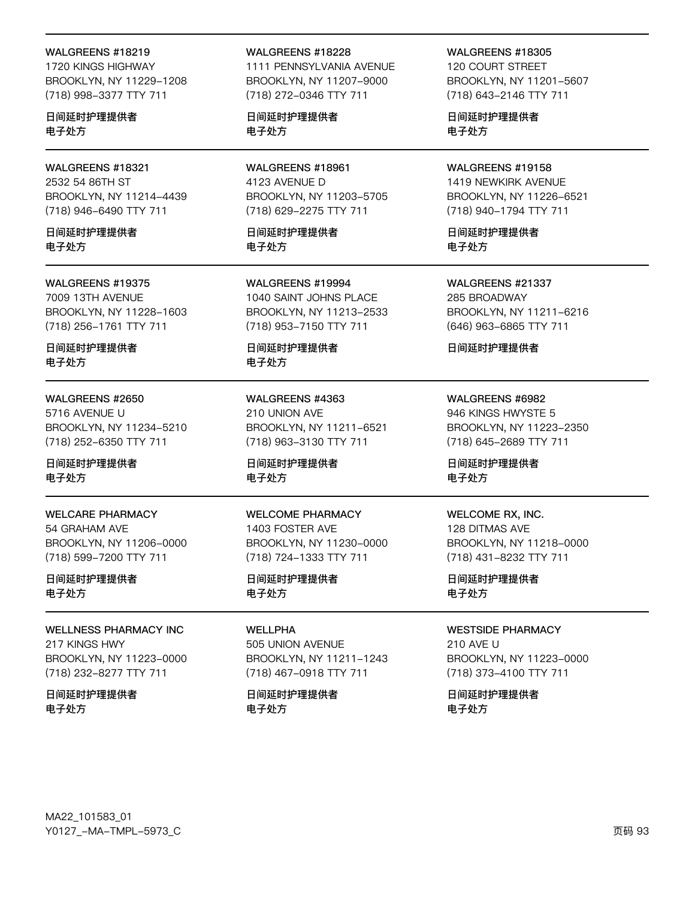#### WALGREENS #18219

1720 KINGS HIGHWAY BROOKLYN, NY 11229-1208 (718) 998-3377 TTY 711

日间延时护理提供者 电子处方

### WALGREENS #18321 2532 54 86TH ST BROOKLYN, NY 11214-4439 (718) 946-6490 TTY 711

日间延时护理提供者 电子处方

#### WALGREENS #19375

7009 13TH AVENUE BROOKLYN, NY 11228-1603 (718) 256-1761 TTY 711

日间延时护理提供者 电子处方

## WALGREENS #2650

5716 AVENUE U BROOKLYN, NY 11234-5210 (718) 252-6350 TTY 711

日间延时护理提供者 电子处方

WELCARE PHARMACY 54 GRAHAM AVE BROOKLYN, NY 11206-0000 (718) 599-7200 TTY 711

日间延时护理提供者 电子处方

#### WELLNESS PHARMACY INC 217 KINGS HWY

BROOKLYN, NY 11223-0000 (718) 232-8277 TTY 711

日间延时护理提供者 电子处方

#### WALGREENS #18228

1111 PENNSYLVANIA AVENUE BROOKLYN, NY 11207-9000 (718) 272-0346 TTY 711

日间延时护理提供者 电子处方

WALGREENS #18961 4123 AVENUE D BROOKLYN, NY 11203-5705 (718) 629-2275 TTY 711

日间延时护理提供者 电子处方

WALGREENS #19994 1040 SAINT JOHNS PLACE BROOKLYN, NY 11213-2533 (718) 953-7150 TTY 711

日间延时护理提供者 电子处方

WALGREENS #4363 210 UNION AVE BROOKLYN, NY 11211-6521 (718) 963-3130 TTY 711

日间延时护理提供者 电子处方

#### WELCOME PHARMACY 1403 FOSTER AVE BROOKLYN, NY 11230-0000 (718) 724-1333 TTY 711

日间延时护理提供者 电子处方

WELL PHA 505 UNION AVENUE BROOKLYN, NY 11211-1243 (718) 467-0918 TTY 711

日间延时护理提供者 电子处方

WALGREENS #18305

120 COURT STREET BROOKLYN, NY 11201-5607 (718) 643-2146 TTY 711

日间延时护理提供者 电子处方

WALGREENS #19158 1419 NEWKIRK AVENUE BROOKLYN, NY 11226-6521 (718) 940-1794 TTY 711

日间延时护理提供者 电子处方

WALGREENS #21337 285 BROADWAY BROOKLYN, NY 11211-6216 (646) 963-6865 TTY 711

日间延时护理提供者

WALGREENS #6982 946 KINGS HWYSTE 5 BROOKLYN, NY 11223-2350 (718) 645-2689 TTY 711

日间延时护理提供者 电子处方

#### WELCOME RX, INC.

128 DITMAS AVE BROOKLYN, NY 11218-0000 (718) 431-8232 TTY 711

日间延时护理提供者 电子处方

#### WESTSIDE PHARMACY

210 AVE U BROOKLYN, NY 11223-0000 (718) 373-4100 TTY 711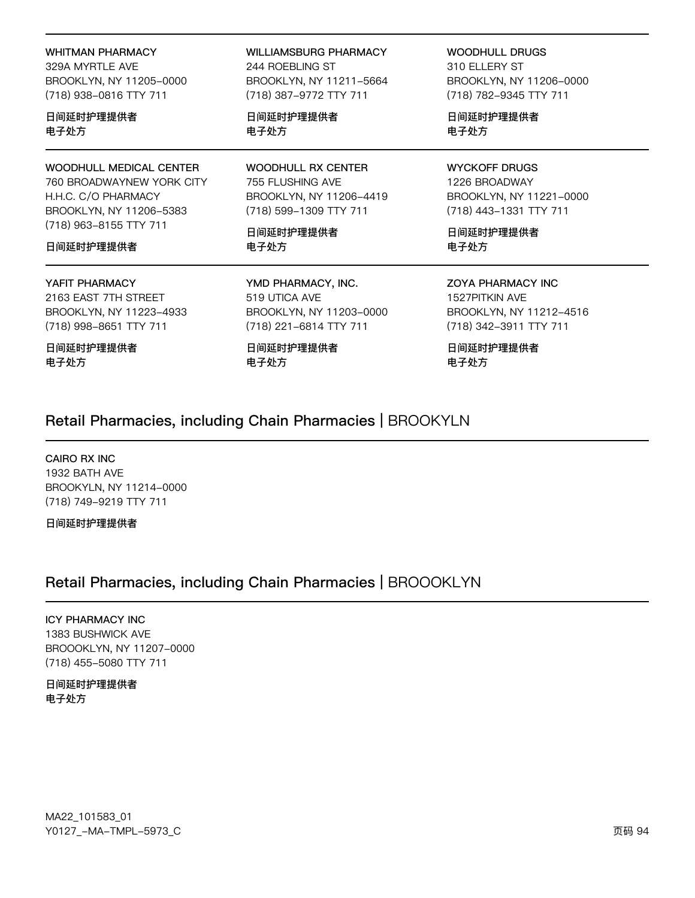**WHITMAN PHARMACY** 329A MYRTLE AVE BROOKLYN, NY 11205-0000 (718) 938-0816 TTY 711

日间延时护理提供者 电子处方

WOODHULL MEDICAL CENTER 760 BROADWAYNEW YORK CITY H.H.C. C/O PHARMACY BROOKLYN, NY 11206-5383 (718) 963-8155 TTY 711

### 日间延时护理提供者

#### YAFIT PHARMACY

2163 EAST 7TH STREET BROOKLYN, NY 11223-4933 (718) 998-8651 TTY 711

日间延时护理提供者 电子处方

**WILLIAMSBURG PHARMACY** 244 ROEBLING ST BROOKLYN, NY 11211-5664 (718) 387-9772 TTY 711

日间延时护理提供者 电子处方

**WOODHULL RX CENTER** 755 FLUSHING AVE BROOKLYN, NY 11206-4419 (718) 599-1309 TTY 711

日间延时护理提供者 电子处方

YMD PHARMACY, INC. 519 UTICA AVE BROOKLYN, NY 11203-0000 (718) 221-6814 TTY 711

日间延时护理提供者 电子处方

**WOODHULL DRUGS** 310 ELLERY ST BROOKLYN, NY 11206-0000 (718) 782-9345 TTY 711

日间延时护理提供者 电子处方

**WYCKOFF DRUGS** 1226 BROADWAY BROOKLYN, NY 11221-0000 (718) 443-1331 TTY 711

日间延时护理提供者 电子处方

**ZOYA PHARMACY INC** 1527PITKIN AVE BROOKLYN, NY 11212-4516 (718) 342-3911 TTY 711

日间延时护理提供者 电子处方

## Retail Pharmacies, including Chain Pharmacies | BROOKYLN

CAIRO RX INC 1932 BATH AVE BROOKYLN, NY 11214-0000 (718) 749-9219 TTY 711

日间延时护理提供者

# Retail Pharmacies, including Chain Pharmacies | BROOOKLYN

## **ICY PHARMACY INC**

1383 BUSHWICK AVE BROOOKLYN, NY 11207-0000 (718) 455-5080 TTY 711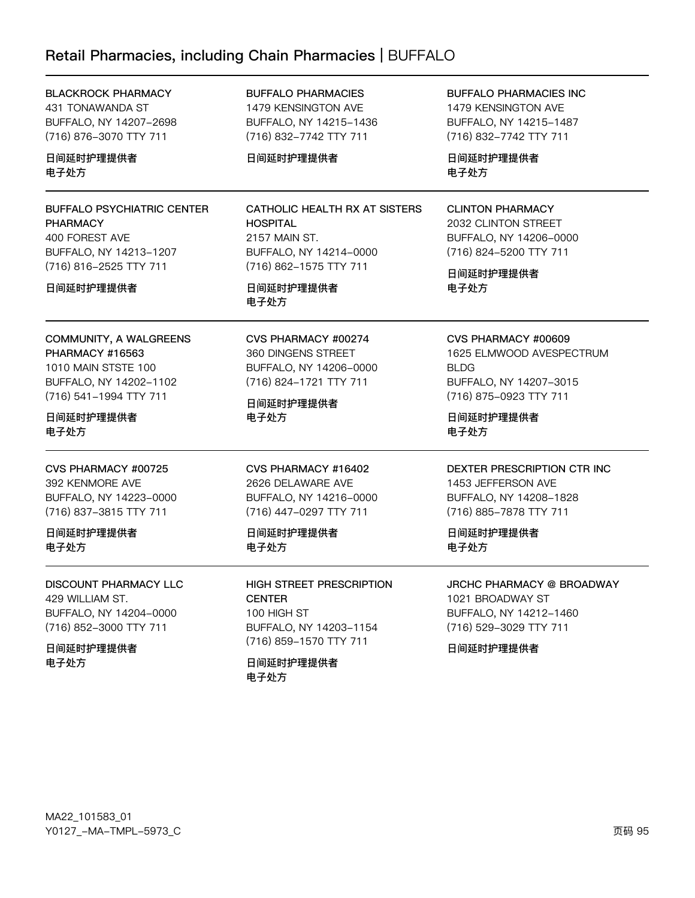# Retail Pharmacies, including Chain Pharmacies | BUFFALO

| <b>BLACKROCK PHARMACY</b><br>431 TONAWANDA ST<br>BUFFALO, NY 14207-2698<br>(716) 876-3070 TTY 711<br>日间延时护理提供者<br>电子处方                           | <b>BUFFALO PHARMACIES</b><br>1479 KENSINGTON AVE<br>BUFFALO, NY 14215-1436<br>(716) 832-7742 TTY 711<br>日间延时护理提供者                          | <b>BUFFALO PHARMACIES INC</b><br>1479 KENSINGTON AVE<br>BUFFALO, NY 14215-1487<br>(716) 832-7742 TTY 711<br>日间延时护理提供者<br>电子处方           |
|--------------------------------------------------------------------------------------------------------------------------------------------------|--------------------------------------------------------------------------------------------------------------------------------------------|-----------------------------------------------------------------------------------------------------------------------------------------|
| <b>BUFFALO PSYCHIATRIC CENTER</b><br><b>PHARMACY</b><br>400 FOREST AVE<br>BUFFALO, NY 14213-1207<br>(716) 816-2525 TTY 711<br>日间延时护理提供者          | CATHOLIC HEALTH RX AT SISTERS<br><b>HOSPITAL</b><br>2157 MAIN ST.<br>BUFFALO, NY 14214-0000<br>(716) 862-1575 TTY 711<br>日间延时护理提供者<br>电子处方 | <b>CLINTON PHARMACY</b><br>2032 CLINTON STREET<br>BUFFALO, NY 14206-0000<br>(716) 824-5200 TTY 711<br>日间延时护理提供者<br>电子处方                 |
| COMMUNITY, A WALGREENS<br><b>PHARMACY #16563</b><br>1010 MAIN STSTE 100<br>BUFFALO, NY 14202-1102<br>(716) 541-1994 TTY 711<br>日间延时护理提供者<br>电子处方 | CVS PHARMACY #00274<br>360 DINGENS STREET<br>BUFFALO, NY 14206-0000<br>(716) 824-1721 TTY 711<br>日间延时护理提供者<br>电子处方                         | CVS PHARMACY #00609<br>1625 ELMWOOD AVESPECTRUM<br><b>BLDG</b><br>BUFFALO, NY 14207-3015<br>(716) 875-0923 TTY 711<br>日间延时护理提供者<br>电子处方 |
| CVS PHARMACY #00725<br>392 KENMORE AVE<br>BUFFALO, NY 14223-0000<br>(716) 837-3815 TTY 711<br>日间延时护理提供者<br>电子处方                                  | CVS PHARMACY #16402<br>2626 DELAWARE AVE<br>BUFFALO, NY 14216-0000<br>(716) 447-0297 TTY 711<br>日间延时护理提供者<br>电子处方                          | DEXTER PRESCRIPTION CTR INC<br>1453 JEFFERSON AVE<br>BUFFALO, NY 14208-1828<br>(716) 885-7878 TTY 711<br>日间延时护理提供者<br>电子处方              |
| DISCOUNT PHARMACY LLC<br>429 WILLIAM ST.<br>BUFFALO, NY 14204-0000<br>(716) 852-3000 TTY 711<br>日间延时护理提供者<br>电子处方                                | <b>HIGH STREET PRESCRIPTION</b><br><b>CENTER</b><br>100 HIGH ST<br>BUFFALO, NY 14203-1154<br>(716) 859-1570 TTY 711<br>日间延时护理提供者<br>电子处方   | <b>JRCHC PHARMACY @ BROADWAY</b><br>1021 BROADWAY ST<br>BUFFALO, NY 14212-1460<br>(716) 529-3029 TTY 711<br>日间延时护理提供者                   |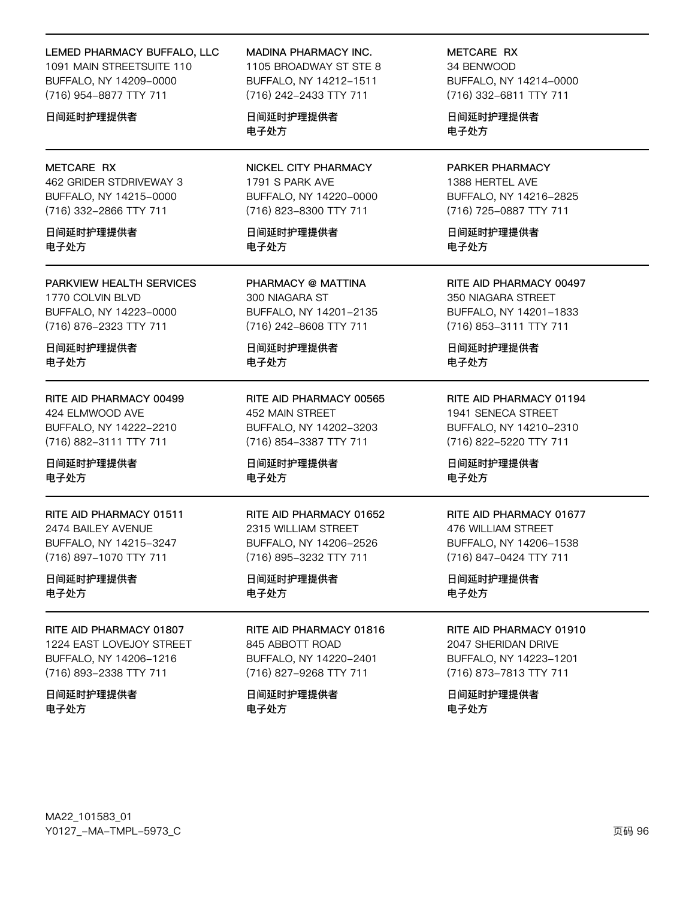#### LEMED PHARMACY BUFFALO, LLC

1091 MAIN STREETSUITE 110 BUFFALO, NY 14209-0000 (716) 954-8877 TTY 711

#### 日间延时护理提供者

#### METCARE RX

462 GRIDER STDRIVEWAY 3 BUFFALO, NY 14215-0000 (716) 332-2866 TTY 711

日间延时护理提供者 电子外方

PARKVIEW HEALTH SERVICES 1770 COLVIN BLVD BUFFALO, NY 14223-0000 (716) 876-2323 TTY 711

日间延时护理提供者 电子处方

RITE AID PHARMACY 00499 424 ELMWOOD AVE BUFFALO, NY 14222-2210 (716) 882-3111 TTY 711

日间延时护理提供者 电子处方

RITE AID PHARMACY 01511 2474 BAILEY AVENUE BUFFALO, NY 14215-3247 (716) 897-1070 TTY 711

日间延时护理提供者 电子处方

RITE AID PHARMACY 01807 1224 EAST LOVEJOY STREET BUFFALO, NY 14206-1216 (716) 893-2338 TTY 711

日间延时护理提供者 电子处方

MADINA PHARMACY INC.

1105 BROADWAY ST STE 8 BUFFALO, NY 14212-1511 (716) 242-2433 TTY 711

日间延时护理提供者 电子处方

NICKEL CITY PHARMACY 1791 S PARK AVE BUFFALO, NY 14220-0000 (716) 823-8300 TTY 711

日间延时护理提供者 电子外方

PHARMACY @ MATTINA 300 NIAGARA ST BUFFALO, NY 14201-2135 (716) 242-8608 TTY 711

日间延时护理提供者 电子处方

RITE AID PHARMACY 00565 452 MAIN STREET BUFFALO, NY 14202-3203 (716) 854-3387 TTY 711

日间延时护理提供者 电子处方

RITE AID PHARMACY 01652 2315 WILLIAM STREET BUFFALO, NY 14206-2526 (716) 895-3232 TTY 711

日间延时护理提供者 电子处方

RITE AID PHARMACY 01816 845 ABBOTT ROAD BUFFALO, NY 14220-2401 (716) 827-9268 TTY 711

日间延时护理提供者 电子处方

METCARE RX 34 BENWOOD BUFFALO, NY 14214-0000 (716) 332-6811 TTY 711

日间延时护理提供者 电子处方

PARKER PHARMACY 1388 HERTEL AVE BUFFALO, NY 14216-2825 (716) 725-0887 TTY 711

日间延时护理提供者 电子外方

RITE AID PHARMACY 00497 350 NIAGARA STREET BUFFALO, NY 14201-1833 (716) 853-3111 TTY 711

日间延时护理提供者 电子处方

RITE AID PHARMACY 01194 1941 SENECA STREET BUFFALO, NY 14210-2310 (716) 822-5220 TTY 711

日间延时护理提供者 电子处方

#### RITE AID PHARMACY 01677

476 WILLIAM STREET BUFFALO, NY 14206-1538 (716) 847-0424 TTY 711

日间延时护理提供者 电子处方

RITE AID PHARMACY 01910

2047 SHERIDAN DRIVE BUFFALO, NY 14223-1201 (716) 873-7813 TTY 711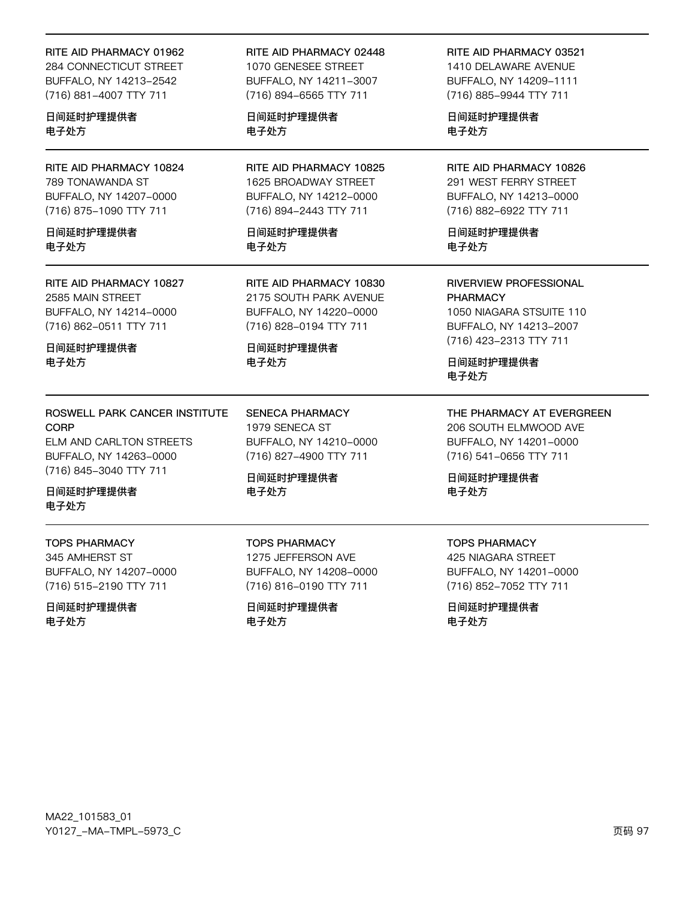#### RITE AID PHARMACY 01962

284 CONNECTICUT STREET BUFFALO, NY 14213-2542 (716) 881-4007 TTY 711

日间延时护理提供者 电子处方

RITE AID PHARMACY 10824 789 TONAWANDA ST BUFFALO, NY 14207-0000 (716) 875-1090 TTY 711

日间延时护理提供者 电子外方

RITE AID PHARMACY 10827 2585 MAIN STREET BUFFALO, NY 14214-0000 (716) 862-0511 TTY 711

日间延时护理提供者 电子处方

## ROSWELL PARK CANCER INSTITUTE **CORP**

ELM AND CARLTON STREETS BUFFALO, NY 14263-0000 (716) 845-3040 TTY 711

日间延时护理提供者 电子处方

## **TOPS PHARMACY**

345 AMHERST ST BUFFALO, NY 14207-0000 (716) 515-2190 TTY 711

日间延时护理提供者 电子处方

RITE AID PHARMACY 02448 1070 GENESEE STREET BUFFALO, NY 14211-3007 (716) 894-6565 TTY 711

日间延时护理提供者 电子处方

RITE AID PHARMACY 10825 1625 BROADWAY STREET BUFFALO, NY 14212-0000 (716) 894-2443 TTY 711

日间延时护理提供者 电子外方

RITE AID PHARMACY 10830 2175 SOUTH PARK AVENUE BUFFALO, NY 14220-0000 (716) 828-0194 TTY 711

日间延时护理提供者 电子处方

**SENECA PHARMACY** 1979 SENECA ST BUFFALO, NY 14210-0000 (716) 827-4900 TTY 711

日间延时护理提供者 电子处方

**TOPS PHARMACY** 1275 JEFFERSON AVE BUFFALO, NY 14208-0000 (716) 816-0190 TTY 711

日间延时护理提供者 电子处方

RITE AID PHARMACY 03521 1410 DELAWARE AVENUE BUFFALO, NY 14209-1111 (716) 885-9944 TTY 711

日间延时护理提供者 电子处方

RITE AID PHARMACY 10826 291 WEST FERRY STREET BUFFALO, NY 14213-0000 (716) 882-6922 TTY 711

日间延时护理提供者 电子处方

**RIVERVIEW PROFESSIONAL PHARMACY** 1050 NIAGARA STSUITE 110 BUFFALO, NY 14213-2007 (716) 423-2313 TTY 711

日间延时护理提供者 电子处方

THE PHARMACY AT EVERGREEN

206 SOUTH ELMWOOD AVE BUFFALO, NY 14201-0000 (716) 541-0656 TTY 711

日间延时护理提供者 电子处方

### **TOPS PHARMACY**

**425 NIAGARA STREET** BUFFALO, NY 14201-0000 (716) 852-7052 TTY 711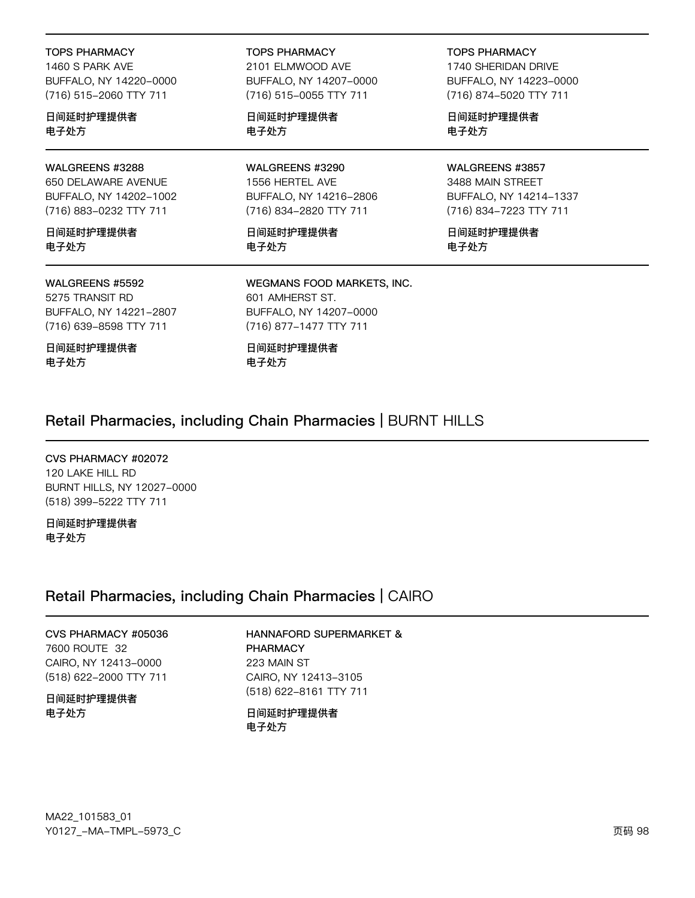**TOPS PHARMACY** 

1460 S PARK AVE BUFFALO, NY 14220-0000 (716) 515-2060 TTY 711

日间延时护理提供者 电子处方

## WALGREENS #3288

650 DELAWARE AVENUE BUFFALO, NY 14202-1002 (716) 883-0232 TTY 711

日间延时护理提供者 电子处方

#### WALGREENS #5592

5275 TRANSIT RD BUFFALO, NY 14221-2807 (716) 639-8598 TTY 711

日间延时护理提供者 电子处方

**TOPS PHARMACY** 

2101 ELMWOOD AVE BUFFALO, NY 14207-0000 (716) 515-0055 TTY 711

日间延时护理提供者 电子处方

WALGREENS #3290 1556 HERTEL AVE BUFFALO, NY 14216-2806 (716) 834-2820 TTY 711

日间延时护理提供者 电子处方

**TOPS PHARMACY** 

1740 SHERIDAN DRIVE BUFFALO, NY 14223-0000 (716) 874-5020 TTY 711

日间延时护理提供者 电子处方

WALGREENS #3857 3488 MAIN STREET BUFFALO, NY 14214-1337 (716) 834-7223 TTY 711

日间延时护理提供者 电子处方

WEGMANS FOOD MARKETS, INC. 601 AMHERST ST. BUFFALO, NY 14207-0000 (716) 877-1477 TTY 711

日间延时护理提供者 电子处方

# Retail Pharmacies, including Chain Pharmacies | BURNT HILLS

CVS PHARMACY #02072 120 LAKE HILL RD BURNT HILLS, NY 12027-0000 (518) 399-5222 TTY 711

日间延时护理提供者 电子处方

## Retail Pharmacies, including Chain Pharmacies | CAIRO

CVS PHARMACY #05036 7600 ROUTE 32 CAIRO, NY 12413-0000 (518) 622-2000 TTY 711

日间延时护理提供者 电子处方

HANNAFORD SUPERMARKET & **PHARMACY** 223 MAIN ST CAIRO, NY 12413-3105 (518) 622-8161 TTY 711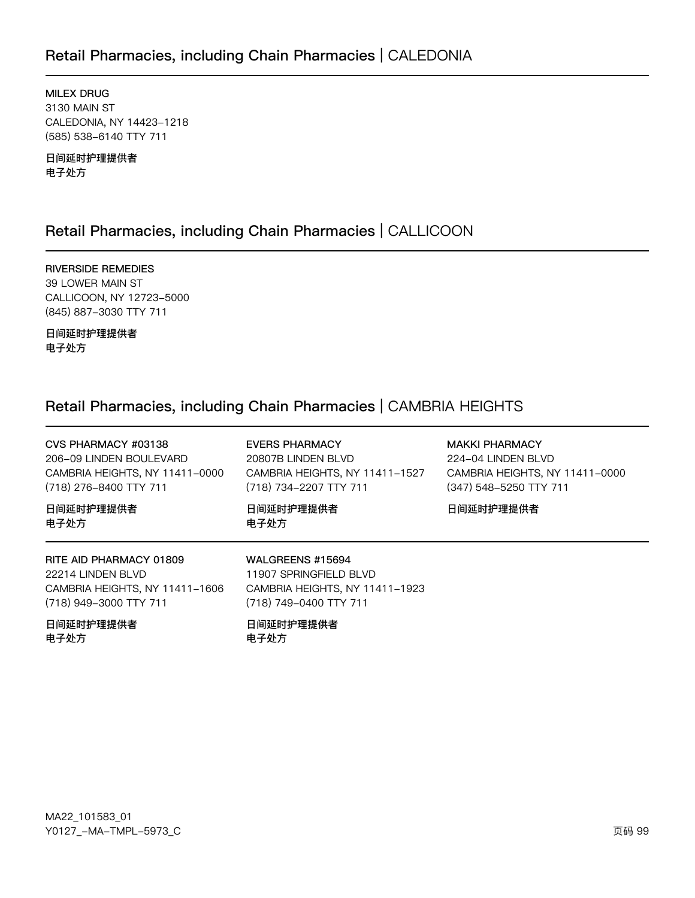# Retail Pharmacies, including Chain Pharmacies | CALEDONIA

MILEX DRUG 3130 MAIN ST CALEDONIA, NY 14423-1218 (585) 538-6140 TTY 711

日间延时护理提供者 电子处方

# Retail Pharmacies, including Chain Pharmacies | CALLICOON

RIVERSIDE REMEDIES 39 LOWER MAIN ST CALLICOON, NY 12723-5000 (845) 887-3030 TTY 711

日间延时护理提供者 电子处方

# Retail Pharmacies, including Chain Pharmacies | CAMBRIA HEIGHTS

| CVS PHARMACY #03138<br>206-09 LINDEN BOULEVARD<br>CAMBRIA HEIGHTS, NY 11411-0000<br>(718) 276-8400 TTY 711<br>日间延时护理提供者<br>电子处方 | <b>EVERS PHARMACY</b><br>20807B LINDEN BLVD<br>CAMBRIA HEIGHTS, NY 11411-1527<br>(718) 734-2207 TTY 711<br>日间延时护理提供者<br>电子处方 | <b>MAKKI PHARMACY</b><br>224-04 LINDEN BLVD<br>CAMBRIA HEIGHTS, NY 11411-0000<br>(347) 548-5250 TTY 711<br>日间延时护理提供者 |
|---------------------------------------------------------------------------------------------------------------------------------|------------------------------------------------------------------------------------------------------------------------------|----------------------------------------------------------------------------------------------------------------------|
| RITE AID PHARMACY 01809<br>22214 LINDEN BLVD<br>CAMBRIA HEIGHTS, NY 11411-1606<br>(718) 949-3000 TTY 711<br>日间延时护理提供者<br>电子处方   | WALGREENS #15694<br>11907 SPRINGFIELD BLVD<br>CAMBRIA HEIGHTS, NY 11411-1923<br>(718) 749-0400 TTY 711<br>日间延时护理提供者<br>电子处方  |                                                                                                                      |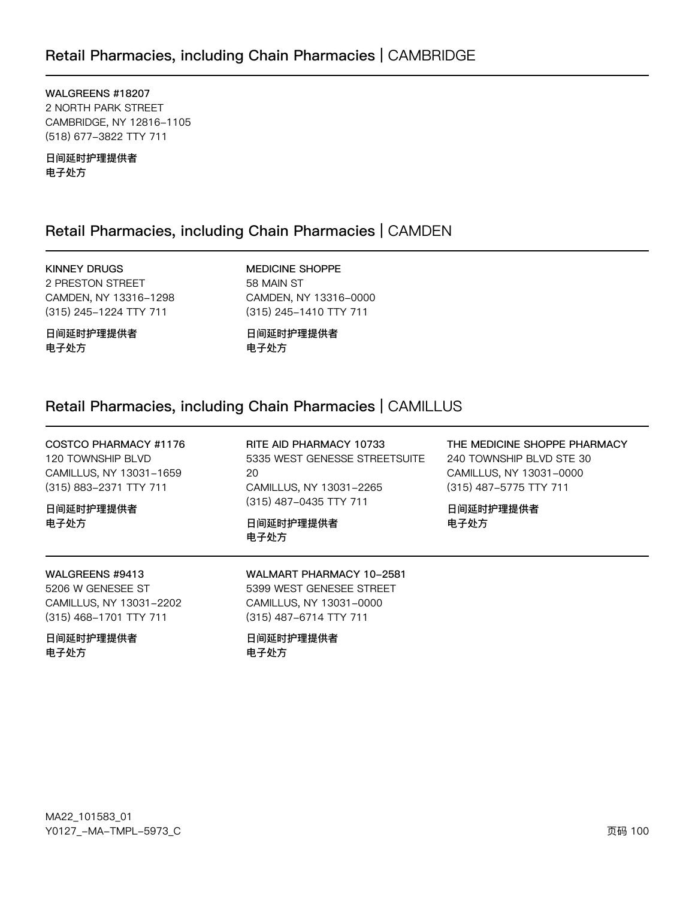WALGREENS #18207 2 NORTH PARK STREET CAMBRIDGE, NY 12816-1105 (518) 677-3822 TTY 711

日间延时护理提供者 电子处方

# Retail Pharmacies, including Chain Pharmacies | CAMDEN

**KINNEY DRUGS** 2 PRESTON STREET CAMDEN, NY 13316-1298 (315) 245-1224 TTY 711

日间延时护理提供者 电子处方

**MEDICINE SHOPPE** 58 MAIN ST CAMDEN, NY 13316-0000 (315) 245-1410 TTY 711

日间延时护理提供者 电子处方

# Retail Pharmacies, including Chain Pharmacies | CAMILLUS

COSTCO PHARMACY #1176 120 TOWNSHIP BLVD CAMILLUS, NY 13031-1659 (315) 883-2371 TTY 711

日间延时护理提供者 电子处方

RITE AID PHARMACY 10733 5335 WEST GENESSE STREETSUITE 20 CAMILLUS, NY 13031-2265 (315) 487-0435 TTY 711

日间延时护理提供者 电子处方

THE MEDICINE SHOPPE PHARMACY 240 TOWNSHIP BLVD STE 30 CAMILLUS, NY 13031-0000 (315) 487-5775 TTY 711

日间延时护理提供者 电子处方

### WALGREENS #9413

5206 W GENESEE ST CAMILLUS, NY 13031-2202 (315) 468-1701 TTY 711

日间延时护理提供者 电子处方

### WALMART PHARMACY 10-2581 5399 WEST GENESEE STREET CAMILLUS, NY 13031-0000 (315) 487-6714 TTY 711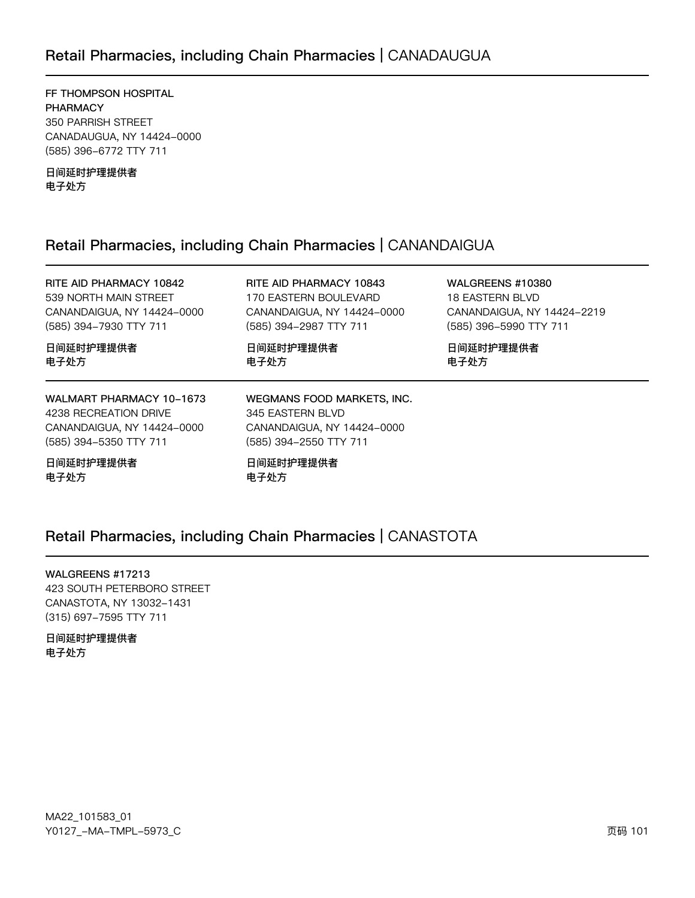# Retail Pharmacies, including Chain Pharmacies | CANADAUGUA

FF THOMPSON HOSPITAL PHARMACY 350 PARRISH STREET CANADAUGUA, NY 14424-0000 (585) 396-6772 TTY 711

日间延时护理提供者 电子处方

# Retail Pharmacies, including Chain Pharmacies | CANANDAIGUA

| RITE AID PHARMACY 10842<br>539 NORTH MAIN STREET<br>CANANDAIGUA, NY 14424-0000<br>(585) 394-7930 TTY 711  | RITE AID PHARMACY 10843<br>170 EASTERN BOULEVARD<br>CANANDAIGUA, NY 14424-0000<br>(585) 394-2987 TTY 711 | <b>WALGREENS #10380</b><br><b>18 EASTERN BLVD</b><br>CANANDAIGUA, NY 14424-2219<br>(585) 396-5990 TTY 711 |
|-----------------------------------------------------------------------------------------------------------|----------------------------------------------------------------------------------------------------------|-----------------------------------------------------------------------------------------------------------|
| 日间延时护理提供者<br>电子处方                                                                                         | 日间延时护理提供者<br>电子处方                                                                                        | 日间延时护理提供者<br>电子处方                                                                                         |
| WALMART PHARMACY 10-1673<br>4238 RECREATION DRIVE<br>CANANDAIGUA, NY 14424-0000<br>(585) 394-5350 TTY 711 | WEGMANS FOOD MARKETS, INC.<br>345 EASTERN BLVD<br>CANANDAIGUA, NY 14424-0000<br>(585) 394-2550 TTY 711   |                                                                                                           |
| 日间延时护理提供者                                                                                                 | 日间延时护理提供者                                                                                                |                                                                                                           |

电子处方

日间延时护理提供者 电子处方

# Retail Pharmacies, including Chain Pharmacies | CANASTOTA

WALGREENS #17213 423 SOUTH PETERBORO STREET CANASTOTA, NY 13032-1431 (315) 697-7595 TTY 711

日间延时护理提供者 电子处方

MA22\_101583\_01 70127\_–MA–TMPL–5973\_C 页码 101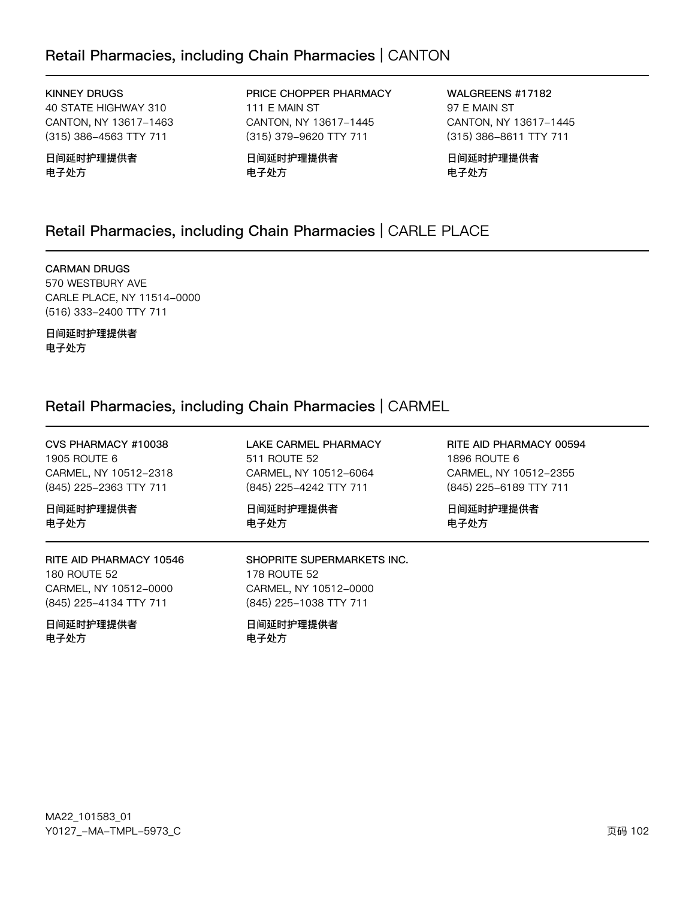# Retail Pharmacies, including Chain Pharmacies | CANTON

## **KINNEY DRUGS**

40 STATE HIGHWAY 310 CANTON, NY 13617-1463 (315) 386-4563 TTY 711

## 日间延时护理提供者 电子处方

PRICE CHOPPER PHARMACY 111 E MAIN ST CANTON, NY 13617-1445 (315) 379-9620 TTY 711

日间延时护理提供者 电子处方

WALGREENS #17182 97 E MAIN ST CANTON, NY 13617-1445 (315) 386-8611 TTY 711

日间延时护理提供者 电子处方

# Retail Pharmacies, including Chain Pharmacies | CARLE PLACE

## **CARMAN DRUGS**

570 WESTBURY AVE CARLE PLACE, NY 11514-0000 (516) 333-2400 TTY 711

日间延时护理提供者 电子处方

# Retail Pharmacies, including Chain Pharmacies | CARMEL

| CVS PHARMACY #10038                                                                               | LAKE CARMEL PHARMACY                                                                                 | RITE AID PHARMACY 00594 |
|---------------------------------------------------------------------------------------------------|------------------------------------------------------------------------------------------------------|-------------------------|
| 1905 ROUTE 6                                                                                      | 511 ROUTE 52                                                                                         | 1896 ROUTE 6            |
| CARMEL, NY 10512-2318                                                                             | CARMEL, NY 10512-6064                                                                                | CARMEL, NY 10512-2355   |
| (845) 225-2363 TTY 711                                                                            | (845) 225-4242 TTY 711                                                                               | (845) 225-6189 TTY 711  |
| 日间延时护理提供者                                                                                         | 日间延时护理提供者                                                                                            | 日间延时护理提供者               |
| 电子处方                                                                                              | 电子处方                                                                                                 | 电子处方                    |
| RITE AID PHARMACY 10546<br><b>180 ROUTE 52</b><br>CARMEL, NY 10512-0000<br>(845) 225-4134 TTY 711 | SHOPRITE SUPERMARKETS INC.<br><b>178 ROUTE 52</b><br>CARMEL, NY 10512-0000<br>(845) 225-1038 TTY 711 |                         |
| 日间延时护理提供者<br>电子处方                                                                                 | 日间延时护理提供者<br>电子处方                                                                                    |                         |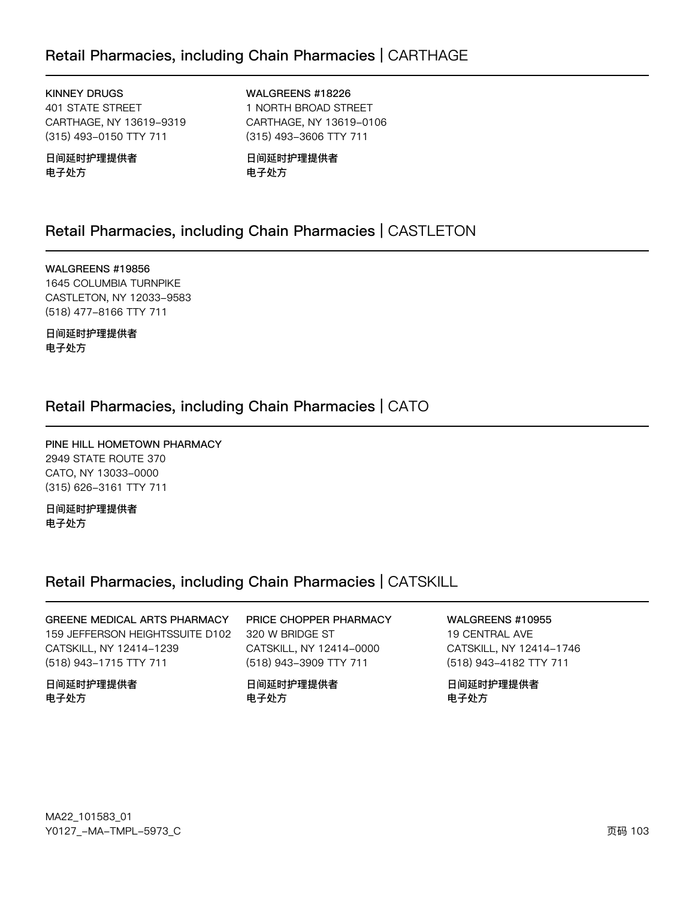# Retail Pharmacies, including Chain Pharmacies | CARTHAGE

**KINNEY DRUGS 401 STATE STREET** CARTHAGE, NY 13619-9319 (315) 493-0150 TTY 711

日间延时护理提供者 电子处方

WALGREENS #18226 1 NORTH BROAD STREET CARTHAGE, NY 13619-0106

(315) 493-3606 TTY 711

日间延时护理提供者 电子处方

# Retail Pharmacies, including Chain Pharmacies | CASTLETON

WALGREENS #19856 1645 COLUMBIA TURNPIKE CASTLETON, NY 12033-9583 (518) 477-8166 TTY 711

日间延时护理提供者 电子处方

# Retail Pharmacies, including Chain Pharmacies | CATO

PINE HILL HOMETOWN PHARMACY 2949 STATE ROUTE 370 CATO, NY 13033-0000 (315) 626-3161 TTY 711

日间延时护理提供者 电子处方

## Retail Pharmacies, including Chain Pharmacies | CATSKILL

GREENE MEDICAL ARTS PHARMACY 159 JEFFERSON HEIGHTSSUITE D102 CATSKILL, NY 12414-1239 (518) 943-1715 TTY 711

日间延时护理提供者 电子处方

## PRICE CHOPPER PHARMACY 320 W BRIDGE ST CATSKILL, NY 12414-0000 (518) 943-3909 TTY 711

日间延时护理提供者 电子处方

# **WALGREENS #10955**

19 CENTRAL AVE CATSKILL, NY 12414-1746 (518) 943-4182 TTY 711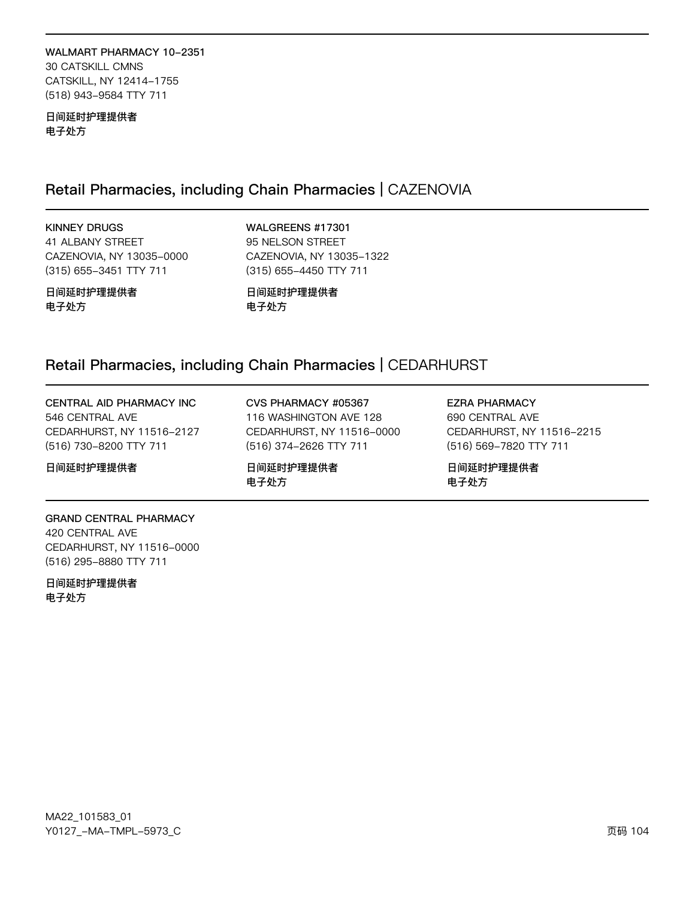## WALMART PHARMACY 10-2351 30 CATSKILL CMNS CATSKILL, NY 12414-1755 (518) 943-9584 TTY 711

日间延时护理提供者 电子处方

# Retail Pharmacies, including Chain Pharmacies | CAZENOVIA

**KINNEY DRUGS** 41 ALBANY STREET CAZENOVIA, NY 13035-0000 (315) 655-3451 TTY 711

WALGREENS #17301 95 NELSON STREET CAZENOVIA, NY 13035-1322 (315) 655-4450 TTY 711

日间延时护理提供者 电子处方

日间延时护理提供者 电子处方

## Retail Pharmacies, including Chain Pharmacies | CEDARHURST

CENTRAL AID PHARMACY INC 546 CENTRAL AVE CEDARHURST, NY 11516-2127 (516) 730-8200 TTY 711

日间延时护理提供者

CVS PHARMACY #05367 116 WASHINGTON AVE 128 CEDARHURST, NY 11516-0000 (516) 374-2626 TTY 711

日间延时护理提供者 电子处方

**EZRA PHARMACY** 690 CENTRAL AVE CEDARHURST, NY 11516-2215 (516) 569-7820 TTY 711

日间延时护理提供者 电子处方

## **GRAND CENTRAL PHARMACY** 420 CENTRAL AVE CEDARHURST, NY 11516-0000

(516) 295-8880 TTY 711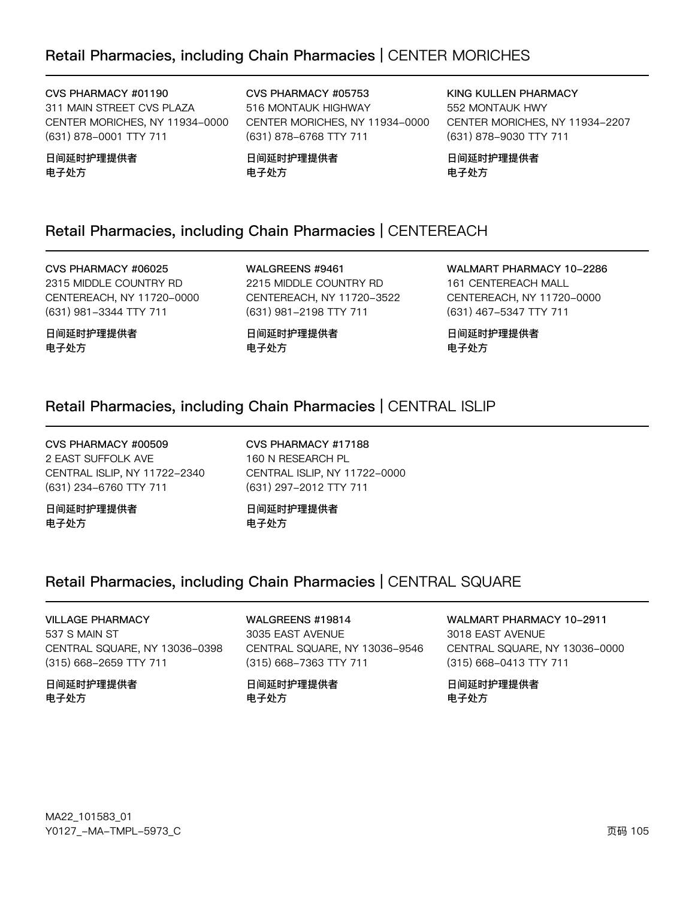# Retail Pharmacies, including Chain Pharmacies | CENTER MORICHES

## CVS PHARMACY #01190

311 MAIN STREET CVS PLAZA CENTER MORICHES, NY 11934-0000 (631) 878-0001 TTY 711

日间延时护理提供者 电子处方

CVS PHARMACY #05753 516 MONTAUK HIGHWAY CENTER MORICHES, NY 11934-0000 (631) 878-6768 TTY 711

日间延时护理提供者 电子处方

KING KULLEN PHARMACY 552 MONTAUK HWY CENTER MORICHES, NY 11934-2207 (631) 878-9030 TTY 711

日间延时护理提供者 电子处方

# Retail Pharmacies, including Chain Pharmacies | CENTEREACH

CVS PHARMACY #06025 2315 MIDDLE COUNTRY RD CENTEREACH, NY 11720-0000 (631) 981-3344 TTY 711

日间延时护理提供者 电子处方

WALGREENS #9461 2215 MIDDLE COUNTRY RD CENTEREACH, NY 11720-3522 (631) 981-2198 TTY 711

日间延时护理提供者 电子处方

WALMART PHARMACY 10-2286 161 CENTEREACH MALL CENTEREACH, NY 11720-0000 (631) 467-5347 TTY 711

日间延时护理提供者 电子处方

# Retail Pharmacies, including Chain Pharmacies | CENTRAL ISLIP

CVS PHARMACY #00509 2 EAST SUFFOLK AVE CENTRAL ISLIP, NY 11722-2340 (631) 234-6760 TTY 711

日间延时护理提供者 电子处方

CVS PHARMACY #17188 160 N RESEARCH PL CENTRAL ISLIP, NY 11722-0000 (631) 297-2012 TTY 711

日间延时护理提供者 电子处方

# Retail Pharmacies, including Chain Pharmacies | CENTRAL SQUARE

**VILLAGE PHARMACY** 537 S MAIN ST CENTRAL SQUARE, NY 13036-0398 (315) 668-2659 TTY 711

日间延时护理提供者 电子处方

WALGREENS #19814 3035 EAST AVENUE CENTRAL SQUARE, NY 13036-9546 (315) 668-7363 TTY 711

日间延时护理提供者 电子处方

**WALMART PHARMACY 10-2911** 3018 EAST AVENUE CENTRAL SQUARE, NY 13036-0000

(315) 668-0413 TTY 711 日间延时护理提供者

电子处方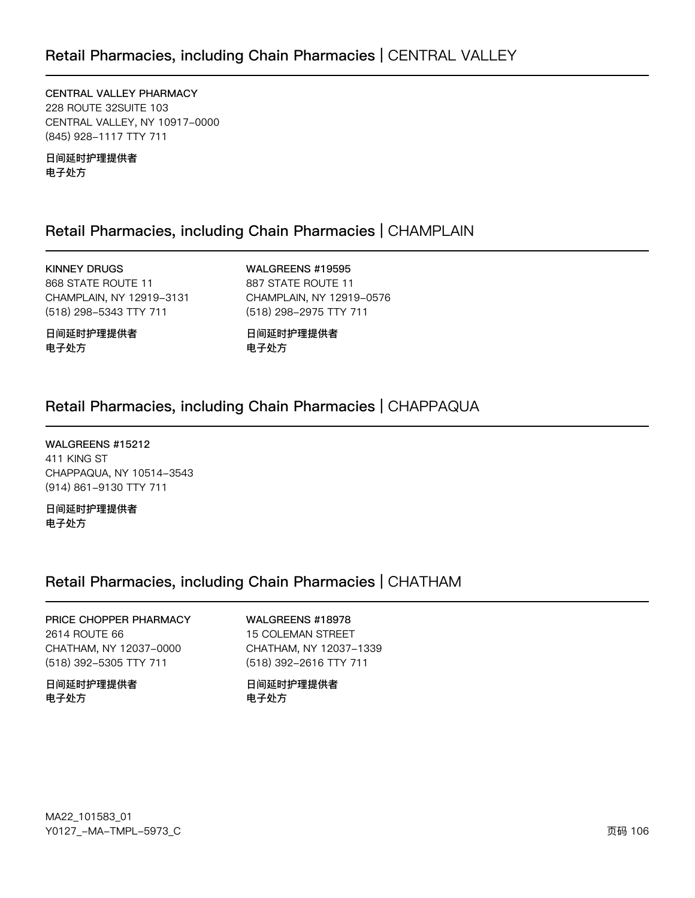CENTRAL VALLEY PHARMACY **228 ROUTE 32SUITE 103** CENTRAL VALLEY, NY 10917-0000 (845) 928-1117 TTY 711

日间延时护理提供者 电子处方

# Retail Pharmacies, including Chain Pharmacies | CHAMPLAIN

**KINNEY DRUGS** 868 STATE ROUTE 11 CHAMPLAIN, NY 12919-3131 (518) 298-5343 TTY 711

WALGREENS #19595 887 STATE ROUTE 11 CHAMPLAIN, NY 12919-0576 (518) 298-2975 TTY 711

日间延时护理提供者 电子处方

日间延时护理提供者 电子处方

# Retail Pharmacies, including Chain Pharmacies | CHAPPAQUA

WALGREENS #15212 411 KING ST CHAPPAQUA, NY 10514-3543 (914) 861-9130 TTY 711

日间延时护理提供者 电子处方

# Retail Pharmacies, including Chain Pharmacies | CHATHAM

## PRICE CHOPPER PHARMACY 2614 ROUTE 66 CHATHAM, NY 12037-0000 (518) 392-5305 TTY 711

日间延时护理提供者 电子处方

## WALGREENS #18978

15 COLEMAN STREET CHATHAM, NY 12037-1339 (518) 392-2616 TTY 711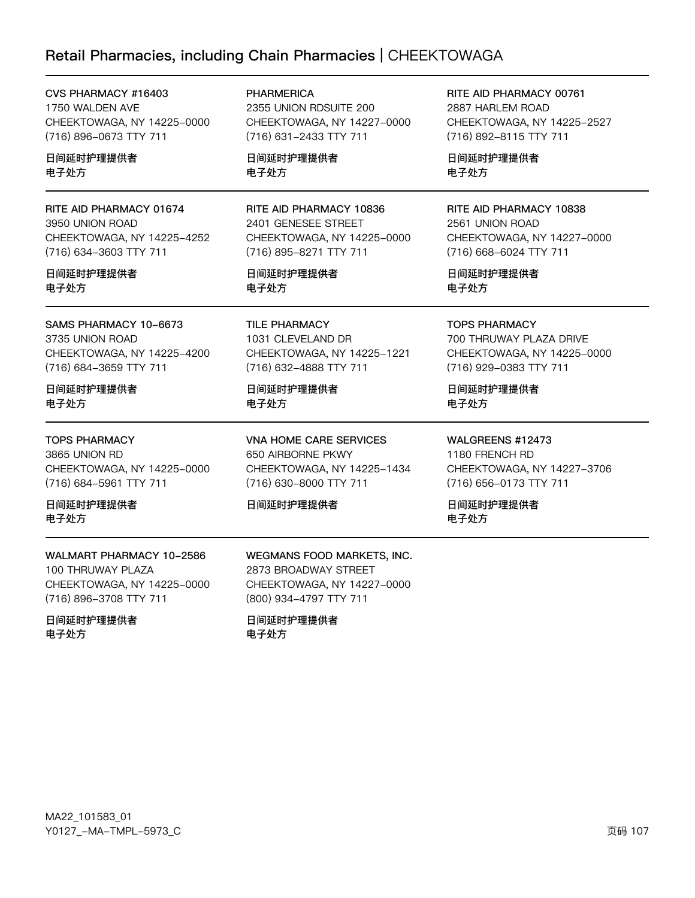# Retail Pharmacies, including Chain Pharmacies | CHEEKTOWAGA

| CVS PHARMACY #16403                                                                                                | <b>PHARMERICA</b>                                                                                                | RITE AID PHARMACY 00761                                                                                         |
|--------------------------------------------------------------------------------------------------------------------|------------------------------------------------------------------------------------------------------------------|-----------------------------------------------------------------------------------------------------------------|
| 1750 WALDEN AVE                                                                                                    | 2355 UNION RDSUITE 200                                                                                           | 2887 HARLEM ROAD                                                                                                |
| CHEEKTOWAGA, NY 14225-0000                                                                                         | CHEEKTOWAGA, NY 14227-0000                                                                                       | CHEEKTOWAGA, NY 14225-2527                                                                                      |
| (716) 896-0673 TTY 711                                                                                             | (716) 631-2433 TTY 711                                                                                           | (716) 892-8115 TTY 711                                                                                          |
| 日间延时护理提供者                                                                                                          | 日间延时护理提供者                                                                                                        | 日间延时护理提供者                                                                                                       |
| 电子处方                                                                                                               | 电子处方                                                                                                             | 电子处方                                                                                                            |
| RITE AID PHARMACY 01674                                                                                            | RITE AID PHARMACY 10836                                                                                          | RITE AID PHARMACY 10838                                                                                         |
| 3950 UNION ROAD                                                                                                    | 2401 GENESEE STREET                                                                                              | 2561 UNION ROAD                                                                                                 |
| CHEEKTOWAGA, NY 14225-4252                                                                                         | CHEEKTOWAGA, NY 14225-0000                                                                                       | CHEEKTOWAGA, NY 14227-0000                                                                                      |
| (716) 634-3603 TTY 711                                                                                             | (716) 895-8271 TTY 711                                                                                           | (716) 668-6024 TTY 711                                                                                          |
| 日间延时护理提供者                                                                                                          | 日间延时护理提供者                                                                                                        | 日间延时护理提供者                                                                                                       |
| 电子处方                                                                                                               | 电子处方                                                                                                             | 电子处方                                                                                                            |
| SAMS PHARMACY 10-6673                                                                                              | <b>TILE PHARMACY</b>                                                                                             | <b>TOPS PHARMACY</b>                                                                                            |
| 3735 UNION ROAD                                                                                                    | 1031 CLEVELAND DR                                                                                                | 700 THRUWAY PLAZA DRIVE                                                                                         |
| CHEEKTOWAGA, NY 14225-4200                                                                                         | CHEEKTOWAGA, NY 14225-1221                                                                                       | CHEEKTOWAGA, NY 14225-0000                                                                                      |
| (716) 684-3659 TTY 711                                                                                             | (716) 632-4888 TTY 711                                                                                           | (716) 929-0383 TTY 711                                                                                          |
| 日间延时护理提供者                                                                                                          | 日间延时护理提供者                                                                                                        | 日间延时护理提供者                                                                                                       |
| 电子处方                                                                                                               | 电子处方                                                                                                             | 电子处方                                                                                                            |
| <b>TOPS PHARMACY</b><br>3865 UNION RD<br>CHEEKTOWAGA, NY 14225-0000<br>(716) 684-5961 TTY 711<br>日间延时护理提供者<br>电子处方 | VNA HOME CARE SERVICES<br>650 AIRBORNE PKWY<br>CHEEKTOWAGA, NY 14225-1434<br>(716) 630-8000 TTY 711<br>日间延时护理提供者 | WALGREENS #12473<br>1180 FRENCH RD<br>CHEEKTOWAGA, NY 14227-3706<br>(716) 656-0173 TTY 711<br>日间延时护理提供者<br>电子处方 |
| WALMART PHARMACY 10-2586<br>100 THRUWAY PLAZA<br>CHEEKTOWAGA, NY 14225-0000                                        | WEGMANS FOOD MARKETS, INC.<br>2873 BROADWAY STREET<br>CHEEKTOWAGA, NY 14227-0000                                 |                                                                                                                 |

日间延时护理提供者 电子处方

(716) 896-3708 TTY 711

CHEEKTOWAGA, NY 14227-0000 (800) 934-4797 TTY 711

日间延时护理提供者 电子处方

 $\overline{\phantom{0}}$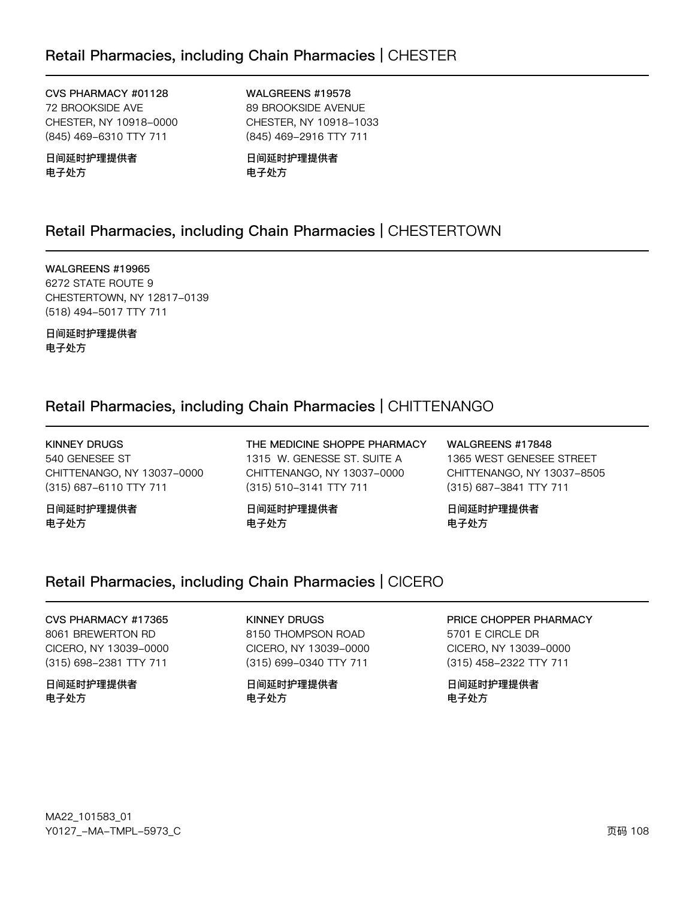CVS PHARMACY #01128 72 BROOKSIDE AVE CHESTER, NY 10918-0000 (845) 469-6310 TTY 711

日间延时护理提供者 电子处方

WALGREENS #19578 89 BROOKSIDE AVENUE CHESTER, NY 10918-1033 (845) 469-2916 TTY 711

日间延时护理提供者 电子处方

# Retail Pharmacies, including Chain Pharmacies | CHESTERTOWN

WALGREENS #19965 6272 STATE ROUTE 9 CHESTERTOWN, NY 12817-0139 (518) 494-5017 TTY 711

日间延时护理提供者 电子处方

# Retail Pharmacies, including Chain Pharmacies | CHITTENANGO

KINNEY DRUGS 540 GENESEE ST CHITTENANGO, NY 13037-0000 (315) 687-6110 TTY 711

日间延时护理提供者 电子处方

THE MEDICINE SHOPPE PHARMACY 1315 W. GENESSE ST. SUITE A CHITTENANGO, NY 13037-0000 (315) 510-3141 TTY 711

日间延时护理提供者 电子处方

WALGREENS #17848 1365 WEST GENESEE STREET CHITTENANGO, NY 13037-8505 (315) 687-3841 TTY 711

日间延时护理提供者 电子处方

## Retail Pharmacies, including Chain Pharmacies | CICERO

CVS PHARMACY #17365 8061 BREWERTON RD CICERO, NY 13039-0000 (315) 698-2381 TTY 711

日间延时护理提供者 电子处方

KINNEY DRUGS 8150 THOMPSON ROAD CICERO, NY 13039-0000 (315) 699-0340 TTY 711

日间延时护理提供者 电子处方

PRICE CHOPPER PHARMACY

5701 E CIRCLE DR CICERO, NY 13039-0000 (315) 458-2322 TTY 711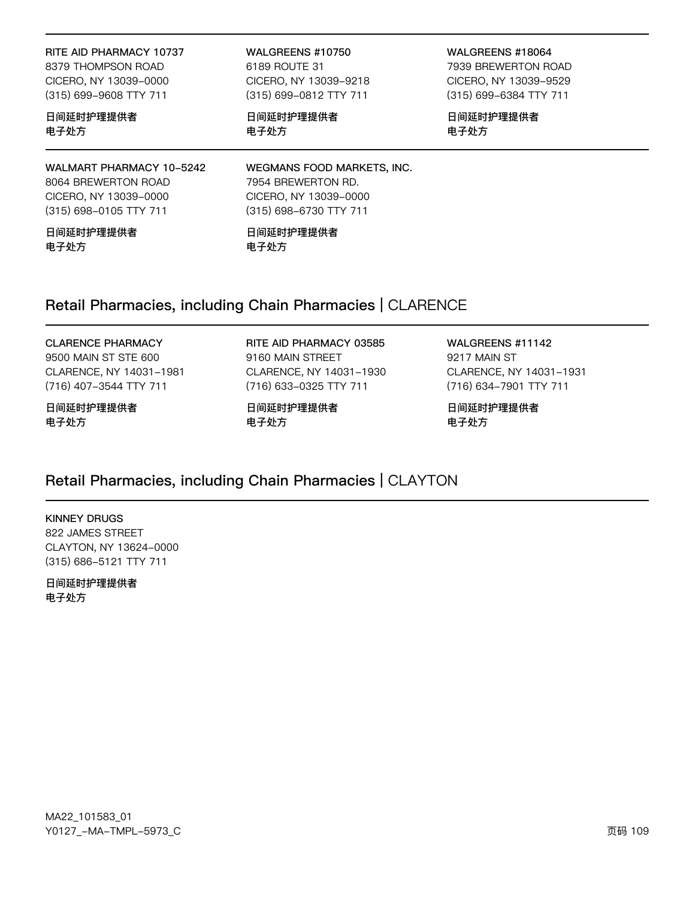RITE AID PHARMACY 10737 8379 THOMPSON ROAD CICERO, NY 13039-0000 (315) 699-9608 TTY 711

日间延时护理提供者 电子处方

WALMART PHARMACY 10-5242 8064 BREWERTON ROAD CICERO, NY 13039-0000

日间延时护理提供者 电子处方

(315) 698-0105 TTY 711

WALGREENS #10750 6189 ROUTE 31 CICERO, NY 13039-9218 (315) 699-0812 TTY 711

日间延时护理提供者 电子处方

WALGREENS #18064 7939 BREWERTON ROAD CICERO, NY 13039-9529 (315) 699-6384 TTY 711

日间延时护理提供者 电子处方

WEGMANS FOOD MARKETS, INC. 7954 BREWERTON RD. CICERO, NY 13039-0000 (315) 698-6730 TTY 711

日间延时护理提供者 电子处方

# Retail Pharmacies, including Chain Pharmacies | CLARENCE

#### CLARENCE PHARMACY

9500 MAIN ST STE 600 CLARENCE, NY 14031-1981 (716) 407-3544 TTY 711

日间延时护理提供者 电子处方

RITE AID PHARMACY 03585 9160 MAIN STREET CLARENCE, NY 14031-1930 (716) 633-0325 TTY 711

日间延时护理提供者 电子处方

WALGREENS #11142 9217 MAIN ST CLARENCE, NY 14031-1931 (716) 634-7901 TTY 711

日间延时护理提供者 电子处方

# Retail Pharmacies, including Chain Pharmacies | CLAYTON

#### KINNEY DRUGS 822 JAMES STREET CLAYTON, NY 13624-0000 (315) 686-5121 TTY 711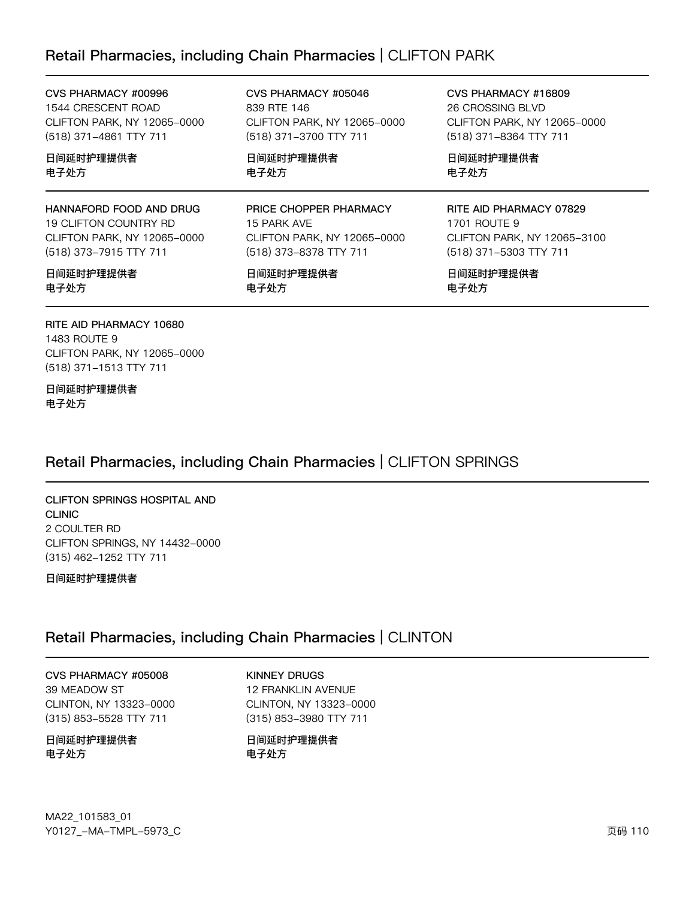# Retail Pharmacies, including Chain Pharmacies | CLIFTON PARK

839 RTE 146

电子处方

CVS PHARMACY #00996 1544 CRESCENT ROAD CLIFTON PARK, NY 12065-0000 (518) 371-4861 TTY 711

日间延时护理提供者 电子处方

HANNAFORD FOOD AND DRUG 19 CLIFTON COUNTRY RD CLIFTON PARK, NY 12065-0000 (518) 373-7915 TTY 711

#### 日间延时护理提供者 电子处方

RITE AID PHARMACY 10680 1483 ROUTE 9 CLIFTON PARK, NY 12065-0000 (518) 371-1513 TTY 711

日间延时护理提供者 电子处方

Retail Pharmacies, including Chain Pharmacies | CLIFTON SPRINGS

CLIFTON SPRINGS HOSPITAL AND CLINIC 2 COULTER RD CLIFTON SPRINGS, NY 14432-0000 (315) 462-1252 TTY 711

日间延时护理提供者

# Retail Pharmacies, including Chain Pharmacies | CLINTON

CVS PHARMACY #05008 39 MEADOW ST CLINTON, NY 13323-0000 (315) 853-5528 TTY 711

日间延时护理提供者 电子处方

KINNEY DRUGS 12 FRANKLIN AVENUE CLINTON, NY 13323-0000 (315) 853-3980 TTY 711

日间延时护理提供者 电子处方

PRICE CHOPPER PHARMACY 15 PARK AVE CLIFTON PARK, NY 12065-0000

CLIFTON PARK, NY 12065-0000

CVS PHARMACY #05046

(518) 371-3700 TTY 711

日间延时护理提供者

日间延时护理提供者 电子处方

(518) 373-8378 TTY 711

CVS PHARMACY #16809 26 CROSSING BLVD CLIFTON PARK, NY 12065-0000 (518) 371-8364 TTY 711

日间延时护理提供者 电子处方

#### RITE AID PHARMACY 07829

1701 ROUTE 9 CLIFTON PARK, NY 12065-3100 (518) 371-5303 TTY 711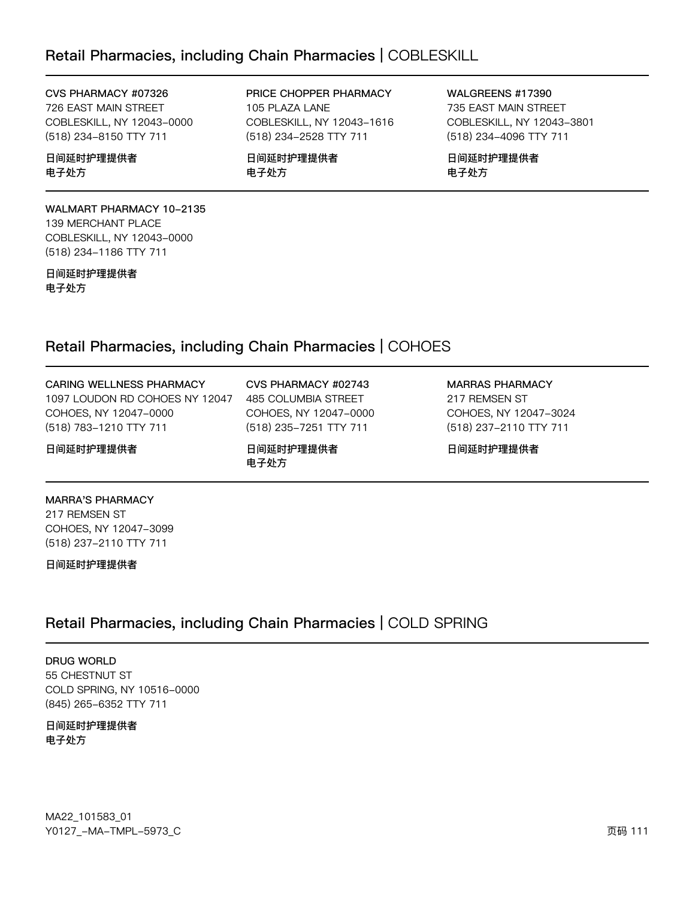# Retail Pharmacies, including Chain Pharmacies | COBLESKILL

#### CVS PHARMACY #07326

726 EAST MAIN STREET COBLESKILL, NY 12043-0000 (518) 234-8150 TTY 711

#### 日间延时护理提供者 电子处方

#### WALMART PHARMACY 10-2135 139 MERCHANT PLACE COBLESKILL, NY 12043-0000 (518) 234-1186 TTY 711

日间延时护理提供者 电子处方

#### PRICE CHOPPER PHARMACY 105 PLAZA LANE COBLESKILL, NY 12043-1616 (518) 234-2528 TTY 711

日间延时护理提供者 电子处方

WALGREENS #17390 735 EAST MAIN STREET COBLESKILL, NY 12043-3801 (518) 234-4096 TTY 711

日间延时护理提供者 电子处方

# Retail Pharmacies, including Chain Pharmacies | COHOES

| <b>CARING WELLNESS PHARMACY</b> | CVS PHARMACY #02743    | <b>MARRAS PHARMACY</b> |
|---------------------------------|------------------------|------------------------|
| 1097 LOUDON RD COHOES NY 12047  | 485 COLUMBIA STREET    | 217 REMSEN ST          |
| COHOES, NY 12047-0000           | COHOES, NY 12047-0000  | COHOES, NY 12047-3024  |
| (518) 783-1210 TTY 711          | (518) 235-7251 TTY 711 | (518) 237-2110 TTY 711 |
| 日间延时护理提供者                       | 日间延时护理提供者<br>电子外方      | 日间延时护理提供者              |

#### MARRA'S PHARMACY

217 REMSEN ST COHOES, NY 12047-3099 (518) 237-2110 TTY 711

日间延时护理提供者

# Retail Pharmacies, including Chain Pharmacies | COLD SPRING

DRUG WORLD 55 CHESTNUT ST COLD SPRING, NY 10516-0000 (845) 265-6352 TTY 711

#### 日间延时护理提供者 电子处方

MA22\_101583\_01 70127v-Ju-6Jwx-5y73vC z{ 111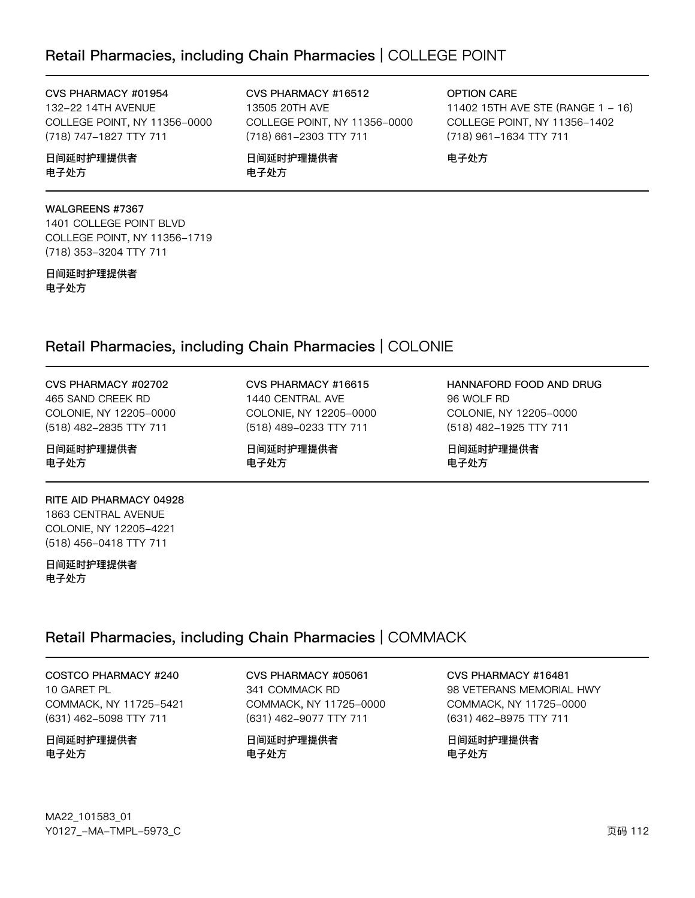# Retail Pharmacies, including Chain Pharmacies | COLLEGE POINT

CVS PHARMACY #01954

132-22 14TH AVENUE COLLEGE POINT, NY 11356-0000 (718) 747-1827 TTY 711

#### 日间延时护理提供者 电子处方

#### WALGREENS #7367

1401 COLLEGE POINT BLVD COLLEGE POINT, NY 11356-1719 (718) 353-3204 TTY 711

#### 日间延时护理提供者 电子处方

CVS PHARMACY #16512 13505 20TH AVE COLLEGE POINT, NY 11356-0000 (718) 661-2303 TTY 711

日间延时护理提供者 电子处方

CVS PHARMACY #16615 1440 CENTRAL AVE COLONIE, NY 12205-0000 (518) 489-0233 TTY 711

日间延时护理提供者

电子处方

#### OPTION CARE

11402 15TH AVE STE (RANGE 1 - 16) COLLEGE POINT, NY 11356-1402 (718) 961-1634 TTY 711

电子处方

# Retail Pharmacies, including Chain Pharmacies | COLONIE

CVS PHARMACY #02702 465 SAND CREEK RD COLONIE, NY 12205-0000 (518) 482-2835 TTY 711

日间延时护理提供者 电子处方

#### RITE AID PHARMACY 04928 1863 CENTRAL AVENUE COLONIE, NY 12205-4221 (518) 456-0418 TTY 711

日间延时护理提供者 电子处方

# Retail Pharmacies, including Chain Pharmacies | COMMACK

COSTCO PHARMACY #240 10 GARET PL COMMACK, NY 11725-5421 (631) 462-5098 TTY 711

日间延时护理提供者 电子处方

CVS PHARMACY #05061 341 COMMACK RD COMMACK, NY 11725-0000 (631) 462-9077 TTY 711

日间延时护理提供者 电子处方

CVS PHARMACY #16481 98 VETERANS MEMORIAL HWY COMMACK, NY 11725-0000 (631) 462-8975 TTY 711

日间延时护理提供者 电子处方

HANNAFORD FOOD AND DRUG 96 WOLF RD COLONIE, NY 12205-0000 (518) 482-1925 TTY 711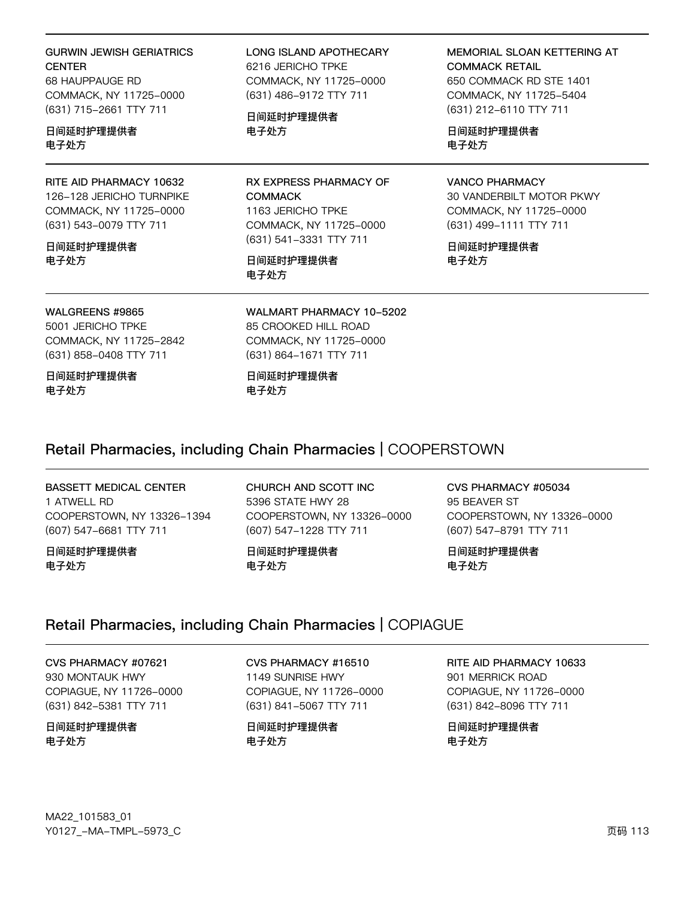#### **GURWIN JEWISH GERIATRICS CENTER**

68 HAUPPAUGE RD COMMACK, NY 11725-0000 (631) 715-2661 TTY 711

#### 日间延时护理提供者 电子处方

RITE AID PHARMACY 10632 126-128 JERICHO TURNPIKE COMMACK, NY 11725-0000 (631) 543-0079 TTY 711

#### 日间延时护理提供者 电子处方

#### **LONG ISLAND APOTHECARY** 6216 JERICHO TPKE COMMACK, NY 11725-0000 (631) 486-9172 TTY 711

日间延时护理提供者 电子处方

RX EXPRESS PHARMACY OF **COMMACK** 1163 JERICHO TPKE COMMACK, NY 11725-0000 (631) 541-3331 TTY 711

#### 日间延时护理提供者 电子处方

MEMORIAL SLOAN KETTERING AT **COMMACK RETAIL** 

650 COMMACK RD STE 1401 COMMACK, NY 11725-5404 (631) 212-6110 TTY 711

日间延时护理提供者 电子处方

#### **VANCO PHARMACY**

30 VANDERBILT MOTOR PKWY COMMACK, NY 11725-0000 (631) 499-1111 TTY 711

日间延时护理提供者 电子处方

WALGREENS #9865 5001 JERICHO TPKE COMMACK, NY 11725-2842 (631) 858-0408 TTY 711

日间延时护理提供者 电子处方

WALMART PHARMACY 10-5202 85 CROOKED HILL ROAD COMMACK, NY 11725-0000 (631) 864-1671 TTY 711

#### 日间延时护理提供者 电子处方

# Retail Pharmacies, including Chain Pharmacies | COOPERSTOWN

#### BASSETT MEDICAL CENTER 1 ATWELL RD COOPERSTOWN, NY 13326-1394 (607) 547-6681 TTY 711

日间延时护理提供者 电子处方

CHURCH AND SCOTT INC 5396 STATE HWY 28 COOPERSTOWN, NY 13326-0000 (607) 547-1228 TTY 711

日间延时护理提供者 电子处方

CVS PHARMACY #05034 95 BEAVER ST COOPERSTOWN, NY 13326-0000 (607) 547-8791 TTY 711

日间延时护理提供者 电子处方

# Retail Pharmacies, including Chain Pharmacies | COPIAGUE

CVS PHARMACY #07621 930 MONTAUK HWY COPIAGUE, NY 11726-0000 (631) 842-5381 TTY 711

日间延时护理提供者 电子处方

CVS PHARMACY #16510 1149 SUNRISE HWY COPIAGUE, NY 11726-0000

(631) 841-5067 TTY 711

日间延时护理提供者 电子处方

RITE AID PHARMACY 10633 901 MERRICK ROAD COPIAGUE, NY 11726-0000

(631) 842-8096 TTY 711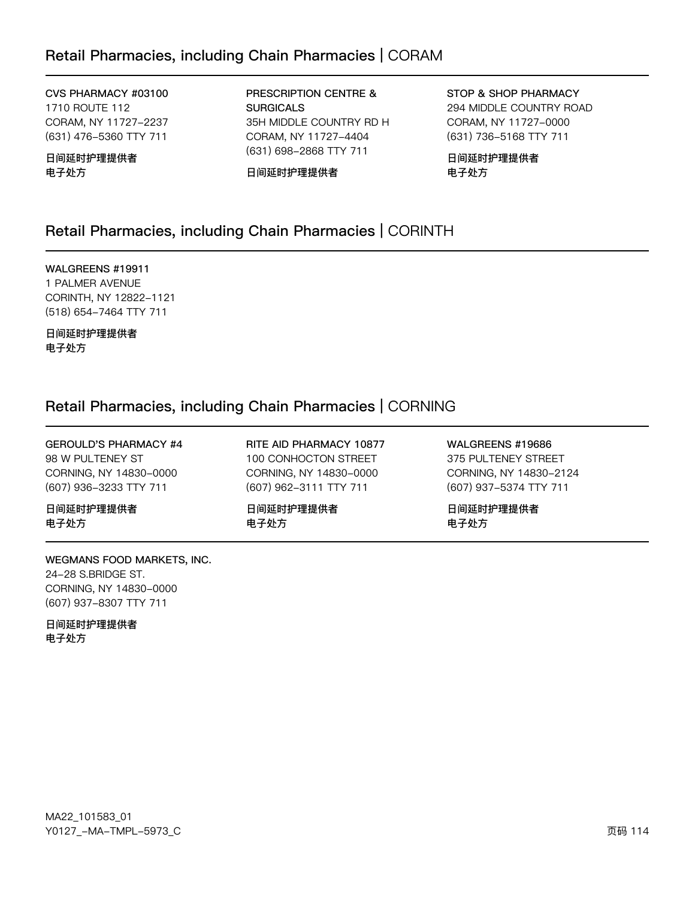# Retail Pharmacies, including Chain Pharmacies | CORAM

CVS PHARMACY #03100 1710 ROUTE 112 CORAM, NY 11727-2237 (631) 476-5360 TTY 711

日间延时护理提供者 电子处方

PRESCRIPTION CENTRE & **SURGICALS** 35H MIDDLE COUNTRY RD H CORAM, NY 11727-4404 (631) 698-2868 TTY 711

日间延时护理提供者

STOP & SHOP PHARMACY 294 MIDDLE COUNTRY ROAD CORAM, NY 11727-0000 (631) 736-5168 TTY 711

日间延时护理提供者 电子处方

# Retail Pharmacies, including Chain Pharmacies | CORINTH

WALGREENS #19911 1 PALMER AVENUE CORINTH, NY 12822-1121 (518) 654-7464 TTY 711

日间延时护理提供者 电子处方

# Retail Pharmacies, including Chain Pharmacies | CORNING

GEROULD'S PHARMACY #4 98 W PULTENEY ST CORNING, NY 14830-0000 (607) 936-3233 TTY 711

日间延时护理提供者 电子处方

WEGMANS FOOD MARKETS, INC. 24-28 S.BRIDGE ST. CORNING, NY 14830-0000 (607) 937-8307 TTY 711

日间延时护理提供者 电子处方

RITE AID PHARMACY 10877 100 CONHOCTON STREET CORNING, NY 14830-0000 (607) 962-3111 TTY 711

日间延时护理提供者 电子处方

WALGREENS #19686 375 PULTENEY STREET CORNING, NY 14830-2124 (607) 937-5374 TTY 711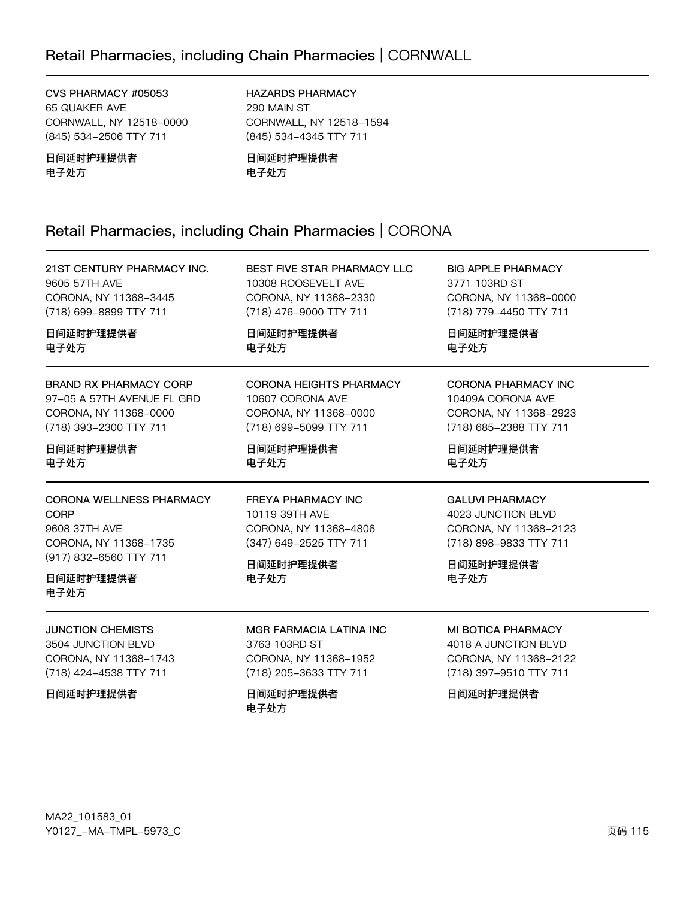# Retail Pharmacies, including Chain Pharmacies | CORNWALL

CVS PHARMACY #05053 65 QUAKER AVE CORNWALL, NY 12518-0000 (845) 534-2506 TTY 711

日间延时护理提供者 电子处方

HAZARDS PHARMACY 290 MAIN ST CORNWALL, NY 12518-1594 (845) 534-4345 TTY 711

日间延时护理提供者 电子处方

# Retail Pharmacies, including Chain Pharmacies | CORONA

| 21ST CENTURY PHARMACY INC.                                                                                                       | BEST FIVE STAR PHARMACY LLC                                                                                         | <b>BIG APPLE PHARMACY</b>                                                                                            |
|----------------------------------------------------------------------------------------------------------------------------------|---------------------------------------------------------------------------------------------------------------------|----------------------------------------------------------------------------------------------------------------------|
| 9605 57TH AVE                                                                                                                    | 10308 ROOSEVELT AVE                                                                                                 | 3771 103RD ST                                                                                                        |
| CORONA, NY 11368-3445                                                                                                            | CORONA, NY 11368-2330                                                                                               | CORONA, NY 11368-0000                                                                                                |
| (718) 699-8899 TTY 711                                                                                                           | (718) 476-9000 TTY 711                                                                                              | (718) 779-4450 TTY 711                                                                                               |
| 日间延时护理提供者                                                                                                                        | 日间延时护理提供者                                                                                                           | 日间延时护理提供者                                                                                                            |
| 电子处方                                                                                                                             | 电子处方                                                                                                                | 电子处方                                                                                                                 |
| <b>BRAND RX PHARMACY CORP</b>                                                                                                    | CORONA HEIGHTS PHARMACY                                                                                             | <b>CORONA PHARMACY INC</b>                                                                                           |
| 97-05 A 57TH AVENUE FL GRD                                                                                                       | 10607 CORONA AVE                                                                                                    | 10409A CORONA AVE                                                                                                    |
| CORONA, NY 11368-0000                                                                                                            | CORONA, NY 11368-0000                                                                                               | CORONA, NY 11368-2923                                                                                                |
| (718) 393-2300 TTY 711                                                                                                           | (718) 699-5099 TTY 711                                                                                              | (718) 685-2388 TTY 711                                                                                               |
| 日间延时护理提供者                                                                                                                        | 日间延时护理提供者                                                                                                           | 日间延时护理提供者                                                                                                            |
| 电子处方                                                                                                                             | 电子处方                                                                                                                | 电子处方                                                                                                                 |
| CORONA WELLNESS PHARMACY<br><b>CORP</b><br>9608 37TH AVE<br>CORONA, NY 11368-1735<br>(917) 832-6560 TTY 711<br>日间延时护理提供者<br>电子处方 | <b>FREYA PHARMACY INC</b><br>10119 39TH AVE<br>CORONA, NY 11368-4806<br>(347) 649-2525 TTY 711<br>日间延时护理提供者<br>电子处方 | <b>GALUVI PHARMACY</b><br>4023 JUNCTION BLVD<br>CORONA, NY 11368-2123<br>(718) 898-9833 TTY 711<br>日间延时护理提供者<br>电子处方 |
| <b>JUNCTION CHEMISTS</b>                                                                                                         | <b>MGR FARMACIA LATINA INC</b>                                                                                      | MI BOTICA PHARMACY                                                                                                   |
| 3504 JUNCTION BLVD                                                                                                               | 3763 103RD ST                                                                                                       | 4018 A JUNCTION BLVD                                                                                                 |
| CORONA, NY 11368-1743                                                                                                            | CORONA, NY 11368-1952                                                                                               | CORONA, NY 11368-2122                                                                                                |
| (718) 424-4538 TTY 711                                                                                                           | (718) 205-3633 TTY 711                                                                                              | (718) 397-9510 TTY 711                                                                                               |
| 日间延时护理提供者                                                                                                                        | 日间延时护理提供者<br>电子处方                                                                                                   | 日间延时护理提供者                                                                                                            |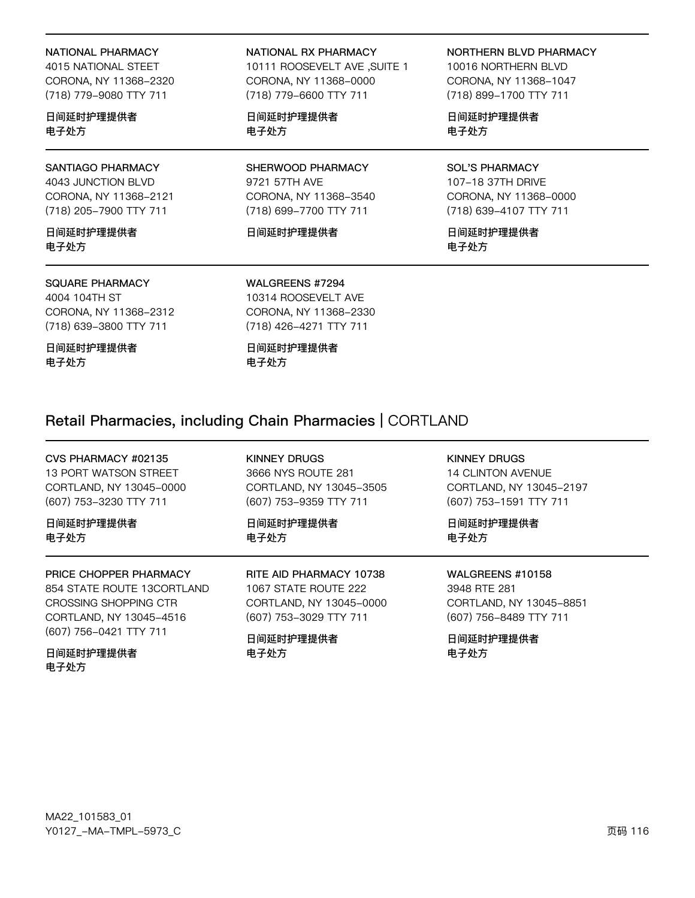#### NATIONAL PHARMACY

4015 NATIONAL STEET CORONA, NY 11368-2320 (718) 779-9080 TTY 711

日间延时护理提供者 电子处方

### SANTIAGO PHARMACY

4043 JUNCTION BLVD CORONA, NY 11368-2121 (718) 205-7900 TTY 711

日间延时护理提供者 电子外方

#### **SQUARE PHARMACY**

4004 104TH ST CORONA, NY 11368-2312 (718) 639-3800 TTY 711

日间延时护理提供者 电子处方

NATIONAL RX PHARMACY

1 SUITE 1 ו SUITE 1 CORONA, NY 11368-0000 (718) 779-6600 TTY 711

日间延时护理提供者 电子处方

SHERWOOD PHARMACY 9721 57TH AVE CORONA, NY 11368-3540 (718) 699-7700 TTY 711

#### 日间延时护理提供者

#### NORTHERN BLVD PHARMACY

10016 NORTHERN BLVD CORONA, NY 11368-1047 (718) 899-1700 TTY 711

日间延时护理提供者 电子处方

#### **SOL'S PHARMACY** 107-18 37TH DRIVE CORONA, NY 11368-0000 (718) 639-4107 TTY 711

日间延时护理提供者 电子处方

# WALGREENS #7294

10314 ROOSEVELT AVE CORONA, NY 11368-2330 (718) 426-4271 TTY 711

日间延时护理提供者 电子处方

# Retail Pharmacies, including Chain Pharmacies | CORTLAND

CVS PHARMACY #02135 13 PORT WATSON STREET CORTLAND, NY 13045-0000 (607) 753-3230 TTY 711

日间延时护理提供者 电子处方

#### PRICE CHOPPER PHARMACY

854 STATE ROUTE 13CORTLAND CROSSING SHOPPING CTR CORTLAND, NY 13045-4516 (607) 756-0421 TTY 711

日间延时护理提供者 电子处方

3666 NYS ROUTE 281 CORTLAND, NY 13045-3505 (607) 753-9359 TTY 711

日间延时护理提供者 电子处方

**KINNEY DRUGS** 

#### RITE AID PHARMACY 10738 1067 STATE ROUTE 222 CORTLAND, NY 13045-0000 (607) 753-3029 TTY 711

日间延时护理提供者 电子外方

#### **KINNEY DRUGS**

**14 CLINTON AVENUE** CORTLAND, NY 13045-2197 (607) 753-1591 TTY 711

日间延时护理提供者 电子处方

#### WALGREENS #10158

3948 RTE 281 CORTLAND, NY 13045-8851 (607) 756-8489 TTY 711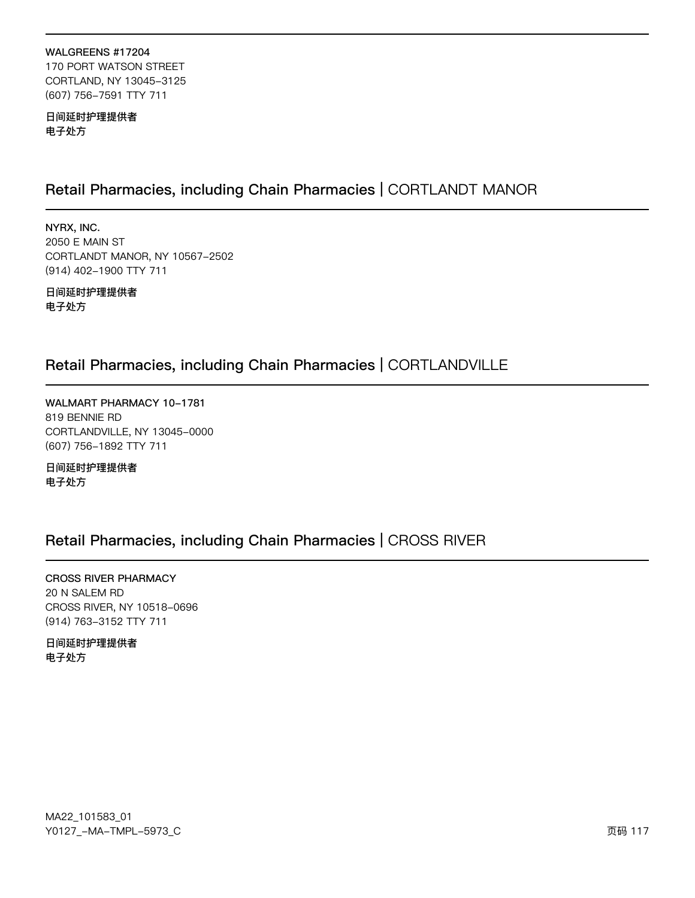#### WALGREENS #17204 170 PORT WATSON STREET CORTLAND, NY 13045-3125 (607) 756-7591 TTY 711

日间延时护理提供者 电子处方

# Retail Pharmacies, including Chain Pharmacies | CORTLANDT MANOR

NYRX, INC. 2050 E MAIN ST CORTLANDT MANOR, NY 10567-2502 (914) 402-1900 TTY 711

日间延时护理提供者 电子处方

# Retail Pharmacies, including Chain Pharmacies | CORTLANDVILLE

WALMART PHARMACY 10-1781 819 BENNIE RD CORTLANDVILLE, NY 13045-0000 (607) 756-1892 TTY 711

日间延时护理提供者 电子处方

# Retail Pharmacies, including Chain Pharmacies | CROSS RIVER

**CROSS RIVER PHARMACY** 20 N SALEM RD CROSS RIVER, NY 10518-0696 (914) 763-3152 TTY 711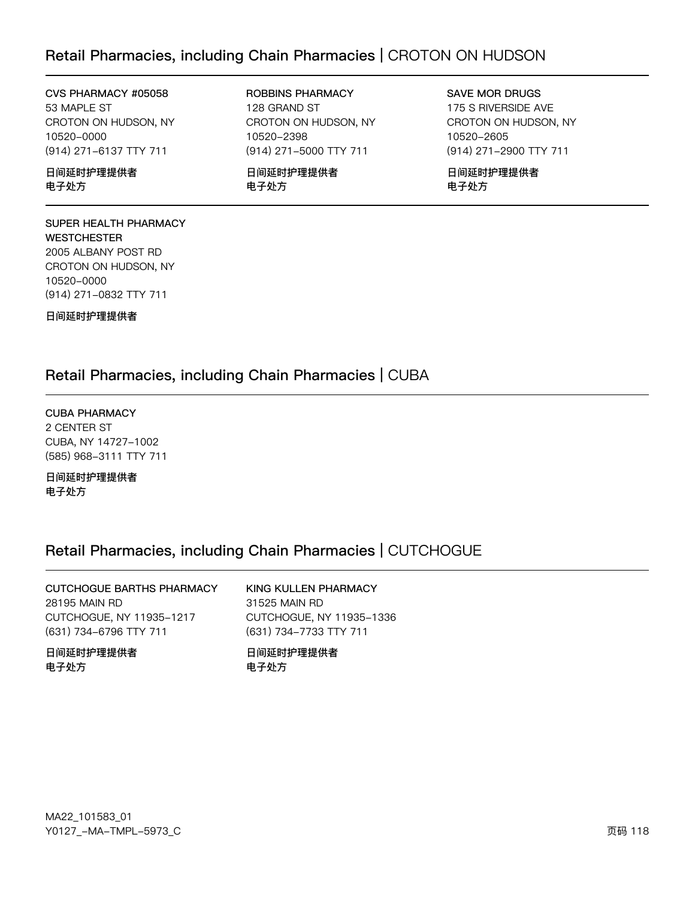# Retail Pharmacies, including Chain Pharmacies | CROTON ON HUDSON

CVS PHARMACY #05058 53 MAPLE ST CROTON ON HUDSON, NY 10520-0000 (914) 271-6137 TTY 711

日间延时护理提供者 电子处方

#### SUPER HEALTH PHARMACY **WESTCHESTER** 2005 ALBANY POST RD CROTON ON HUDSON, NY 10520-0000 (914) 271-0832 TTY 711

日间延时护理提供者

ROBBINS PHARMACY 128 GRAND ST CROTON ON HUDSON, NY 10520-2398 (914) 271-5000 TTY 711

日间延时护理提供者 电子处方

SAVE MOR DRUGS 175 S RIVERSIDE AVE CROTON ON HUDSON, NY 10520-2605 (914) 271-2900 TTY 711

日间延时护理提供者 电子处方

# Retail Pharmacies, including Chain Pharmacies | CUBA

CUBA PHARMACY 2 CENTER ST CUBA, NY 14727-1002 (585) 968-3111 TTY 711

日间延时护理提供者 电子处方

# Retail Pharmacies, including Chain Pharmacies | CUTCHOGUE

| CUTCHOGUE BARTHS PHARMACY | KING KULLEN PHARMACY     |
|---------------------------|--------------------------|
| 28195 MAIN RD             | 31525 MAIN RD            |
| CUTCHOGUE, NY 11935-1217  | CUTCHOGUE, NY 11935-1336 |
| (631) 734-6796 TTY 711    | (631) 734-7733 TTY 711   |
| 日间延时护理提供者                 | 日间延时护理提供者                |
| 电子处方                      | 电子处方                     |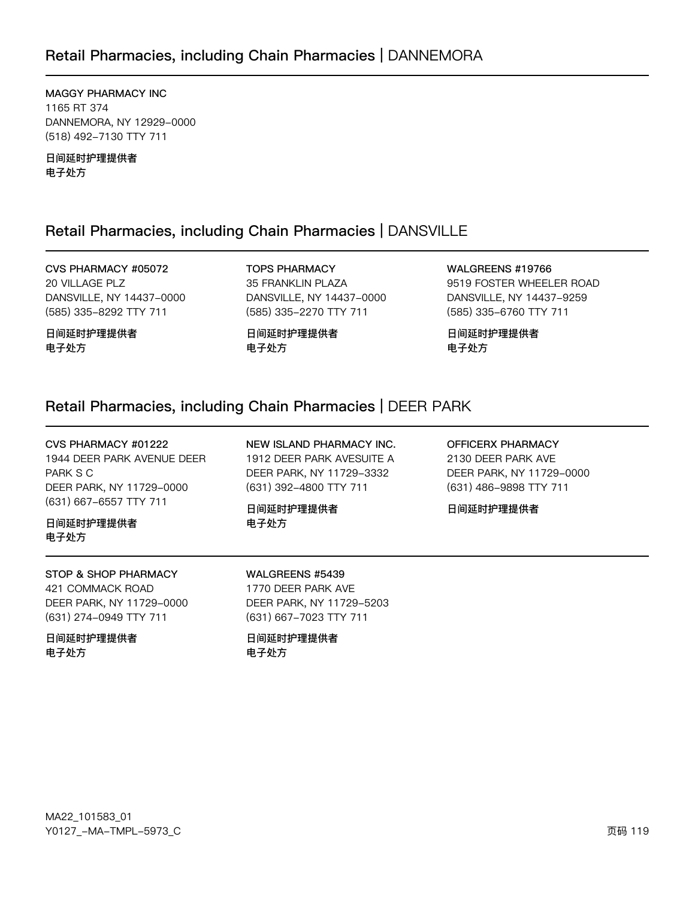MAGGY PHARMACY INC 1165 RT 374 DANNEMORA, NY 12929-0000 (518) 492-7130 TTY 711

日间延时护理提供者 电子处方

# Retail Pharmacies, including Chain Pharmacies | DANSVILLE

CVS PHARMACY #05072 20 VILLAGE PLZ DANSVILLE, NY 14437-0000 (585) 335-8292 TTY 711

日间延时护理提供者 电子处方

**TOPS PHARMACY** 35 FRANKLIN PLAZA DANSVILLE, NY 14437-0000 (585) 335-2270 TTY 711

日间延时护理提供者 电子处方

WALGREENS #19766 9519 FOSTER WHEELER ROAD DANSVILLE, NY 14437-9259 (585) 335-6760 TTY 711

日间延时护理提供者 电子处方

# Retail Pharmacies, including Chain Pharmacies | DEER PARK

CVS PHARMACY #01222 1944 DEER PARK AVENUE DEER PARK S C DEER PARK, NY 11729-0000 (631) 667-6557 TTY 711

日间延时护理提供者 电子处方

STOP & SHOP PHARMACY 421 COMMACK ROAD DEER PARK, NY 11729-0000 (631) 274-0949 TTY 711

日间延时护理提供者 电子处方

NEW ISLAND PHARMACY INC. 1912 DEER PARK AVESUITE A DEER PARK, NY 11729-3332 (631) 392-4800 TTY 711

日间延时护理提供者 电子处方

**OFFICERX PHARMACY** 2130 DEER PARK AVE DEER PARK, NY 11729-0000 (631) 486-9898 TTY 711

日间延时护理提供者

WALGREENS #5439

1770 DEER PARK AVE DEER PARK, NY 11729-5203 (631) 667-7023 TTY 711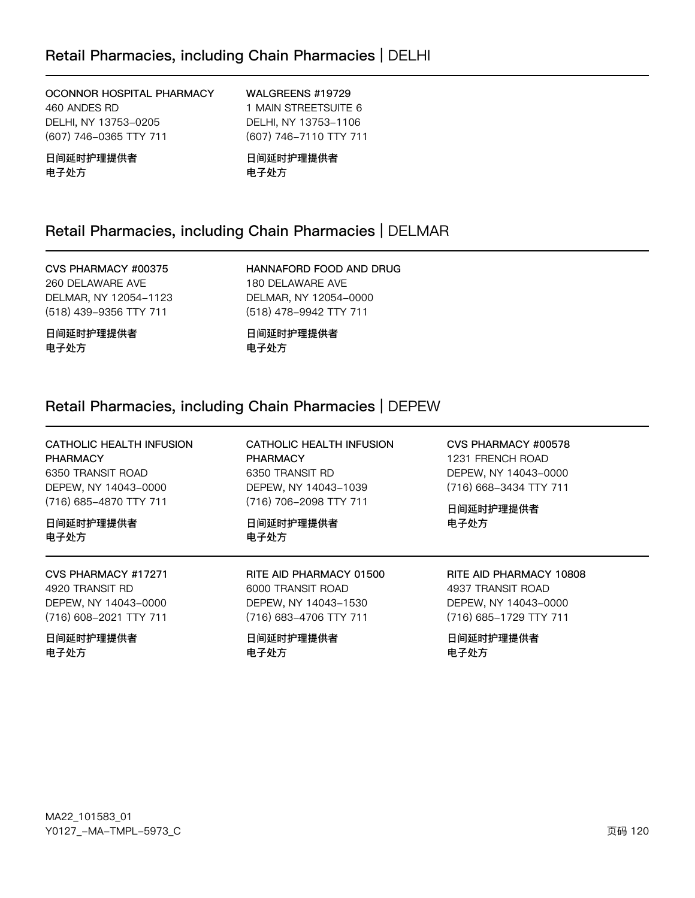OCONNOR HOSPITAL PHARMACY 460 ANDES RD DELHI, NY 13753-0205 (607) 746-0365 TTY 711

日间延时护理提供者 电子处方

WALGREENS #19729 1 MAIN STREETSUITE 6 DELHI, NY 13753-1106 (607) 746-7110 TTY 711

日间延时护理提供者 电子处方

# Retail Pharmacies, including Chain Pharmacies | DELMAR

CVS PHARMACY #00375 260 DELAWARE AVE DELMAR, NY 12054-1123 (518) 439-9356 TTY 711

日间延时护理提供者 电子处方

HANNAFORD FOOD AND DRUG 180 DELAWARE AVE DELMAR, NY 12054-0000 (518) 478-9942 TTY 711

日间延时护理提供者 电子处方

# Retail Pharmacies, including Chain Pharmacies | DEPEW

CATHOLIC HEALTH INFUSION CATHOLIC HEALTH INFUSION CVS PHARMACY #00578 PHARMACY **PHARMACY** 1231 FRENCH ROAD 6350 TRANSIT ROAD 6350 TRANSIT RD DEPEW, NY 14043-0000 DEPEW, NY 14043-0000 DEPEW, NY 14043-1039 (716) 668-3434 TTY 711 (716) 685-4870 TTY 711 (716) 706-2098 TTY 711 日间延时护理提供者 日间延时护理提供者 日间延时护理提供者 电子处方 电子处方 电子处方 CVS PHARMACY #17271 RITE AID PHARMACY 01500 RITE AID PHARMACY 10808 4920 TRANSIT RD 6000 TRANSIT ROAD 4937 TRANSIT ROAD DEPEW, NY 14043-0000 DEPEW, NY 14043-1530 DEPEW, NY 14043-0000 (716) 608-2021 TTY 711 (716) 683-4706 TTY 711 (716) 685-1729 TTY 711 日间延时护理提供者 日间延时护理提供者 日间延时护理提供者 电子处方 电子处方 电子处方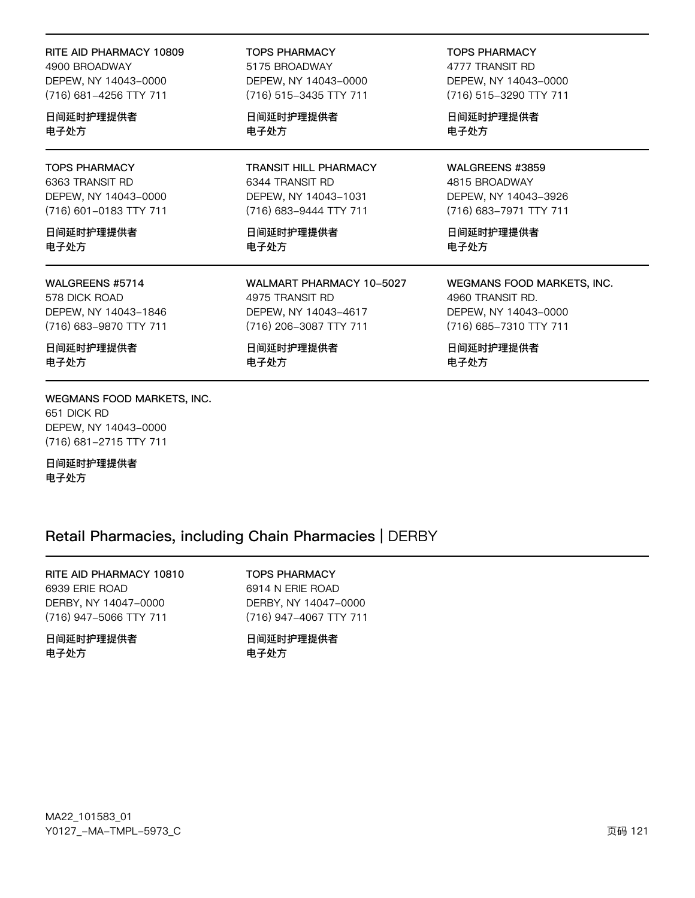| RITE AID PHARMACY 10809 | <b>TOPS PHARMACY</b>         | <b>TOPS PHARMACY</b>       |
|-------------------------|------------------------------|----------------------------|
| 4900 BROADWAY           | 5175 BROADWAY                | 4777 TRANSIT RD            |
| DEPEW, NY 14043-0000    | DEPEW, NY 14043-0000         | DEPEW, NY 14043-0000       |
| (716) 681-4256 TTY 711  | (716) 515-3435 TTY 711       | (716) 515-3290 TTY 711     |
| 日间延时护理提供者               | 日间延时护理提供者                    | 日间延时护理提供者                  |
| 电子处方                    | 电子处方                         | 电子处方                       |
| <b>TOPS PHARMACY</b>    | <b>TRANSIT HILL PHARMACY</b> | WALGREENS #3859            |
| 6363 TRANSIT RD         | 6344 TRANSIT RD              | 4815 BROADWAY              |
| DEPEW, NY 14043-0000    | DEPEW, NY 14043-1031         | DEPEW, NY 14043-3926       |
| (716) 601-0183 TTY 711  | (716) 683-9444 TTY 711       | (716) 683-7971 TTY 711     |
| 日间延时护理提供者               | 日间延时护理提供者                    | 日间延时护理提供者                  |
| 电子处方                    | 电子处方                         | 电子处方                       |
| WALGREENS #5714         | WALMART PHARMACY 10-5027     | WEGMANS FOOD MARKETS, INC. |
| 578 DICK ROAD           | 4975 TRANSIT RD              | 4960 TRANSIT RD.           |
| DEPEW, NY 14043-1846    | DEPEW, NY 14043-4617         | DEPEW, NY 14043-0000       |
| (716) 683-9870 TTY 711  | (716) 206-3087 TTY 711       | (716) 685-7310 TTY 711     |
| 日间延时护理提供者               | 日间延时护理提供者                    | 日间延时护理提供者                  |
| 电子处方                    | 电子处方                         | 电子处方                       |

WEGMANS FOOD MARKETS, INC. 651 DICK RD DEPEW, NY 14043-0000 (716) 681-2715 TTY 711

日间延时护理提供者 电子处方

### Retail Pharmacies, including Chain Pharmacies | DERBY

RITE AID PHARMACY 10810 6939 ERIE ROAD DERBY, NY 14047-0000 (716) 947-5066 TTY 711

日间延时护理提供者 电子处方

**TOPS PHARMACY** 6914 N ERIE ROAD DERBY, NY 14047-0000 (716) 947-4067 TTY 711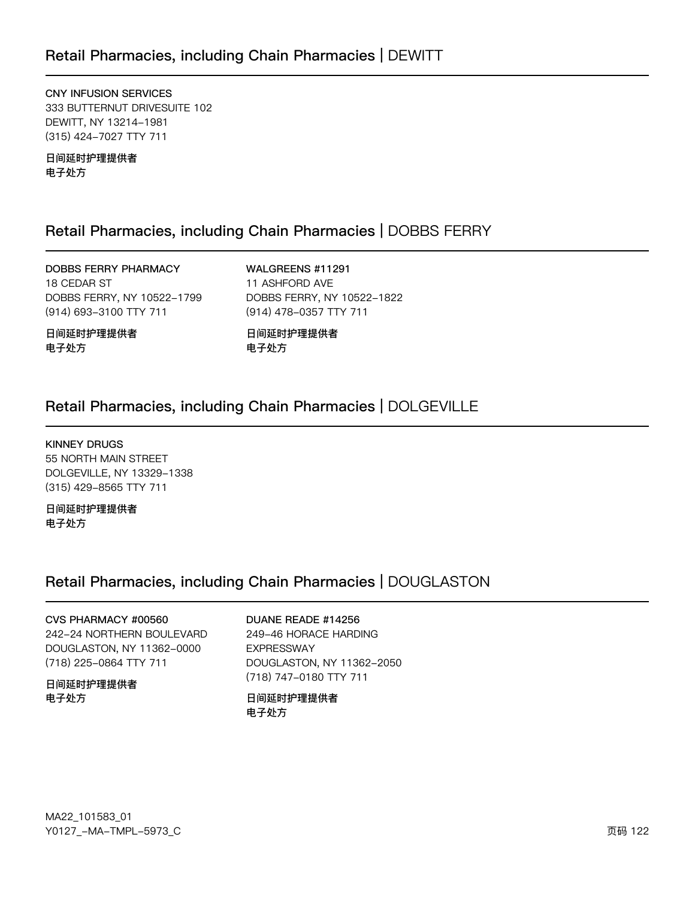CNY INFUSION SERVICES 333 BUTTERNUT DRIVESUITE 102 DEWITT, NY 13214-1981 (315) 424-7027 TTY 711

日间延时护理提供者 电子处方

# Retail Pharmacies, including Chain Pharmacies | DOBBS FERRY

DOBBS FERRY PHARMACY 18 CEDAR ST DOBBS FERRY, NY 10522-1799 (914) 693-3100 TTY 711

WALGREENS #11291 11 ASHFORD AVE DOBBS FERRY, NY 10522-1822 (914) 478-0357 TTY 711

日间延时护理提供者 电子处方

日间延时护理提供者 电子处方

# Retail Pharmacies, including Chain Pharmacies | DOLGEVILLE

**KINNEY DRUGS** 55 NORTH MAIN STREET DOLGEVILLE, NY 13329-1338 (315) 429-8565 TTY 711

日间延时护理提供者 电子处方

# Retail Pharmacies, including Chain Pharmacies | DOUGLASTON

CVS PHARMACY #00560 242-24 NORTHERN BOULEVARD DOUGLASTON, NY 11362-0000 (718) 225-0864 TTY 711

日间延时护理提供者 电子处方

DUANE READE #14256

249-46 HORACE HARDING **EXPRESSWAY** DOUGLASTON, NY 11362-2050 (718) 747-0180 TTY 711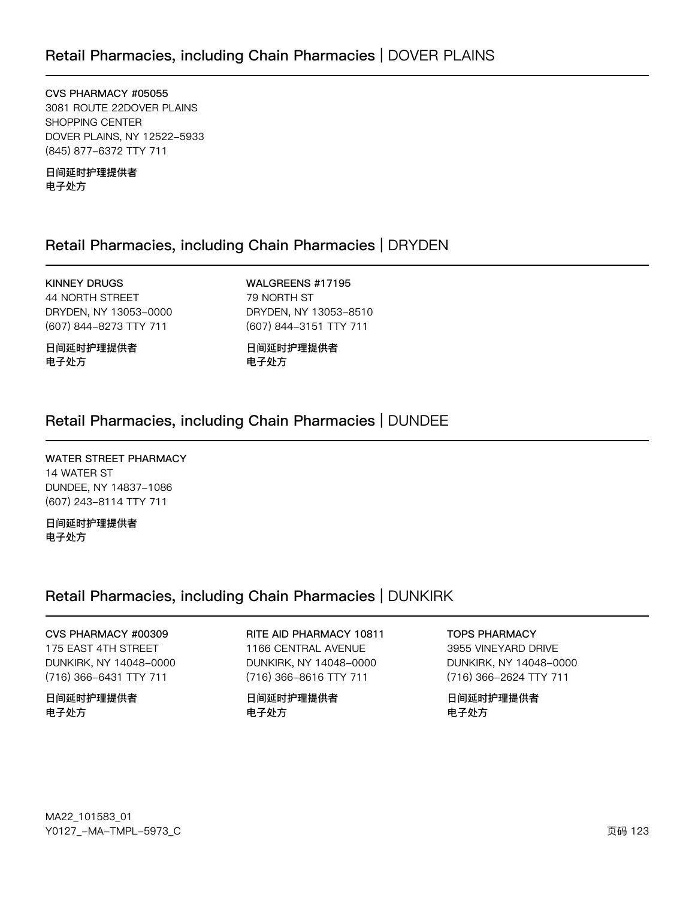CVS PHARMACY #05055 3081 ROUTE 22DOVER PLAINS SHOPPING CENTER DOVER PLAINS, NY 12522-5933 (845) 877-6372 TTY 711

日间延时护理提供者 电子处方

# Retail Pharmacies, including Chain Pharmacies | DRYDEN

KINNEY DRUGS 44 NORTH STREET DRYDEN, NY 13053-0000 (607) 844-8273 TTY 711

日间延时护理提供者 电子处方

WALGREENS #17195 79 NORTH ST DRYDEN, NY 13053-8510 (607) 844-3151 TTY 711

日间延时护理提供者 电子处方

# Retail Pharmacies, including Chain Pharmacies | DUNDEE

WATER STREET PHARMACY 14 WATER ST DUNDEE, NY 14837-1086 (607) 243-8114 TTY 711

日间延时护理提供者 电子处方

# Retail Pharmacies, including Chain Pharmacies | DUNKIRK

CVS PHARMACY #00309 175 EAST 4TH STREET DUNKIRK, NY 14048-0000 (716) 366-6431 TTY 711

日间延时护理提供者 电子处方

RITE AID PHARMACY 10811 1166 CENTRAL AVENUE DUNKIRK, NY 14048-0000 (716) 366-8616 TTY 711

日间延时护理提供者 电子处方

TOPS PHARMACY 3955 VINEYARD DRIVE DUNKIRK, NY 14048-0000 (716) 366-2624 TTY 711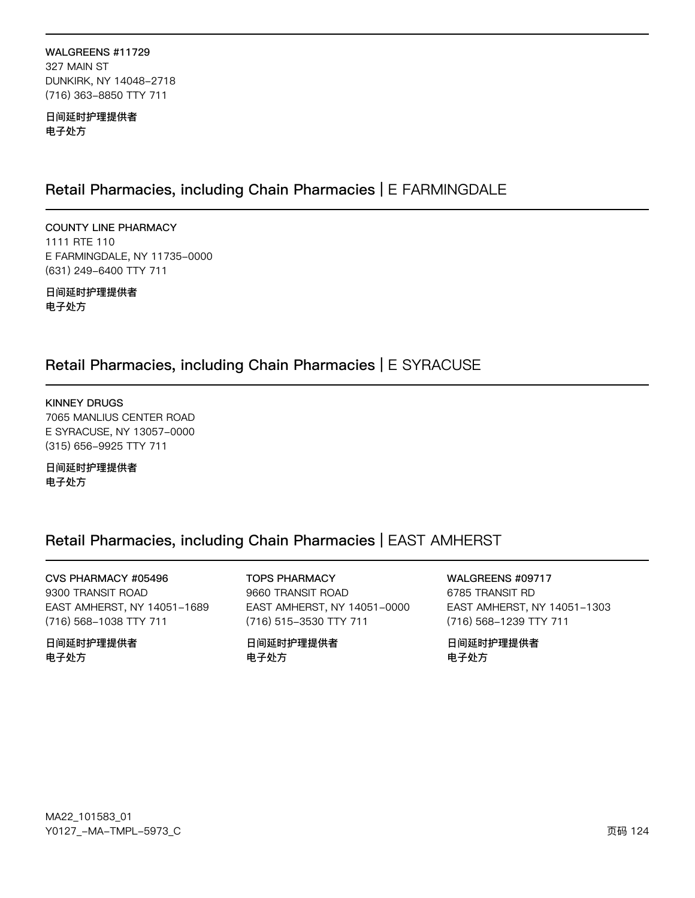#### WALGREENS #11729 327 MAIN ST DUNKIRK, NY 14048-2718 (716) 363-8850 TTY 711

日间延时护理提供者 电子处方

# Retail Pharmacies, including Chain Pharmacies | E FARMINGDALE

**COUNTY LINE PHARMACY** 1111 RTE 110 E FARMINGDALE, NY 11735-0000 (631) 249-6400 TTY 711

日间延时护理提供者 电子处方

# Retail Pharmacies, including Chain Pharmacies | E SYRACUSE

**KINNEY DRUGS** 7065 MANLIUS CENTER ROAD E SYRACUSE, NY 13057-0000 (315) 656-9925 TTY 711

日间延时护理提供者 电子处方

# Retail Pharmacies, including Chain Pharmacies | EAST AMHERST

CVS PHARMACY #05496 9300 TRANSIT ROAD EAST AMHERST, NY 14051-1689 (716) 568-1038 TTY 711

日间延时护理提供者 电子处方

**TOPS PHARMACY** 9660 TRANSIT ROAD EAST AMHERST, NY 14051-0000 (716) 515-3530 TTY 711

日间延时护理提供者 电子处方

WALGREENS #09717 6785 TRANSIT RD EAST AMHERST, NY 14051-1303 (716) 568-1239 TTY 711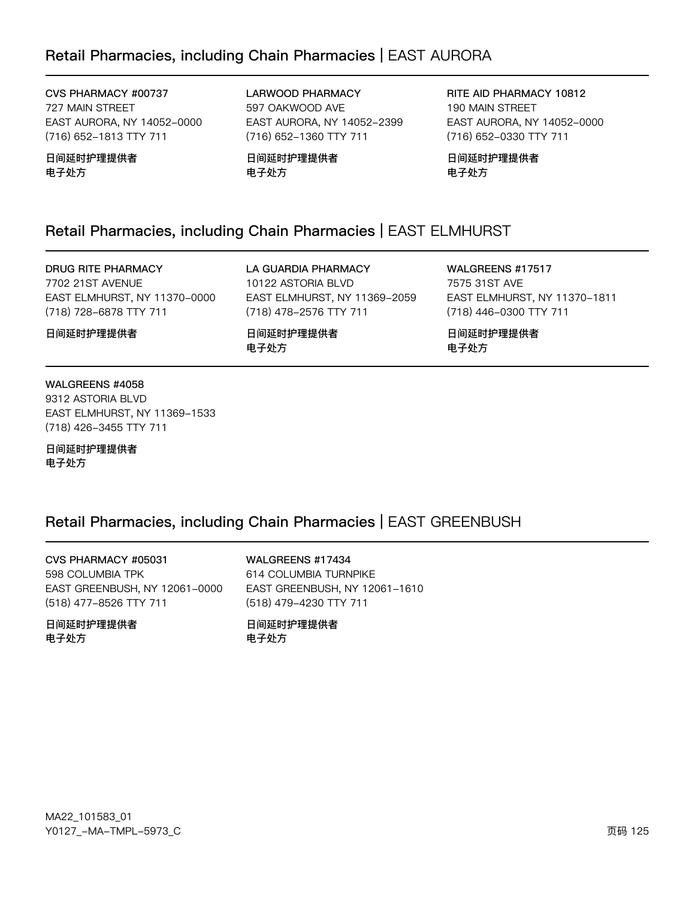# Retail Pharmacies, including Chain Pharmacies | EAST AURORA

CVS PHARMACY #00737 727 MAIN STREET EAST AURORA, NY 14052-0000 (716) 652-1813 TTY 711

日间延时护理提供者 电子处方

LARWOOD PHARMACY 597 OAKWOOD AVE EAST AURORA, NY 14052-2399 (716) 652-1360 TTY 711

日间延时护理提供者 电子处方

RITE AID PHARMACY 10812 190 MAIN STREET EAST AURORA, NY 14052-0000 (716) 652-0330 TTY 711

日间延时护理提供者 电子处方

# Retail Pharmacies, including Chain Pharmacies | EAST ELMHURST

#### DRUG RITE PHARMACY

7702 21ST AVENUE EAST ELMHURST, NY 11370-0000 (718) 728-6878 TTY 711

LA GUARDIA PHARMACY 10122 ASTORIA BLVD EAST ELMHURST, NY 11369-2059 (718) 478-2576 TTY 711

日间延时护理提供者 电子处方

WALGREENS #17517 7575 31ST AVE EAST ELMHURST, NY 11370-1811 (718) 446-0300 TTY 711

日间延时护理提供者 电子处方

#### WALGREENS #4058

日间延时护理提供者

9312 ASTORIA BLVD EAST ELMHURST, NY 11369-1533 (718) 426-3455 TTY 711

日间延时护理提供者 电子处方

### Retail Pharmacies, including Chain Pharmacies | EAST GREENBUSH

CVS PHARMACY #05031 598 COLUMBIA TPK EAST GREENBUSH, NY 12061-0000 (518) 477-8526 TTY 711

日间延时护理提供者 电子外方

WALGREENS #17434 614 COLUMBIA TURNPIKE EAST GREENBUSH, NY 12061-1610 (518) 479-4230 TTY 711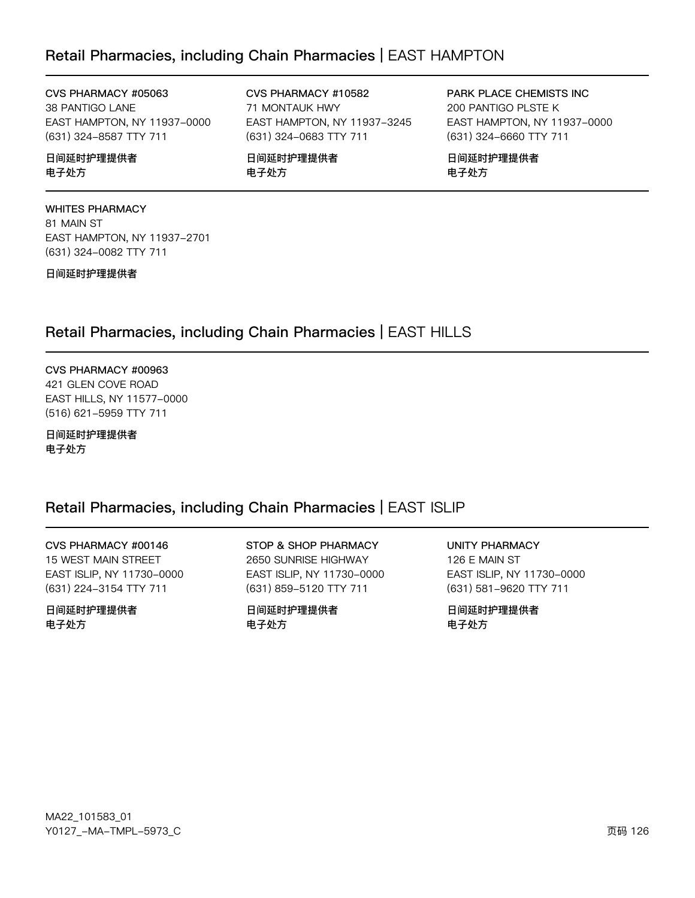# Retail Pharmacies, including Chain Pharmacies | EAST HAMPTON

CVS PHARMACY #05063 38 PANTIGO LANE EAST HAMPTON, NY 11937-0000 (631) 324-8587 TTY 711

日间延时护理提供者 电子处方

**WHITES PHARMACY** 81 MAIN ST EAST HAMPTON, NY 11937-2701 (631) 324-0082 TTY 711

日间延时护理提供者

CVS PHARMACY #10582 71 MONTAUK HWY EAST HAMPTON, NY 11937-3245 (631) 324-0683 TTY 711

日间延时护理提供者 电子处方

PARK PLACE CHEMISTS INC 200 PANTIGO PLSTE K EAST HAMPTON, NY 11937-0000 (631) 324-6660 TTY 711

日间延时护理提供者 电子处方

Retail Pharmacies, including Chain Pharmacies | EAST HILLS

CVS PHARMACY #00963 421 GLEN COVE ROAD EAST HILLS, NY 11577-0000 (516) 621-5959 TTY 711

日间延时护理提供者 电子处方

# Retail Pharmacies, including Chain Pharmacies | EAST ISLIP

CVS PHARMACY #00146 15 WEST MAIN STREET EAST ISLIP, NY 11730-0000 (631) 224-3154 TTY 711

日间延时护理提供者 电子处方

STOP & SHOP PHARMACY 2650 SUNRISE HIGHWAY EAST ISLIP, NY 11730-0000 (631) 859-5120 TTY 711

日间延时护理提供者 电子处方

**UNITY PHARMACY** 126 E MAIN ST EAST ISLIP, NY 11730-0000 (631) 581-9620 TTY 711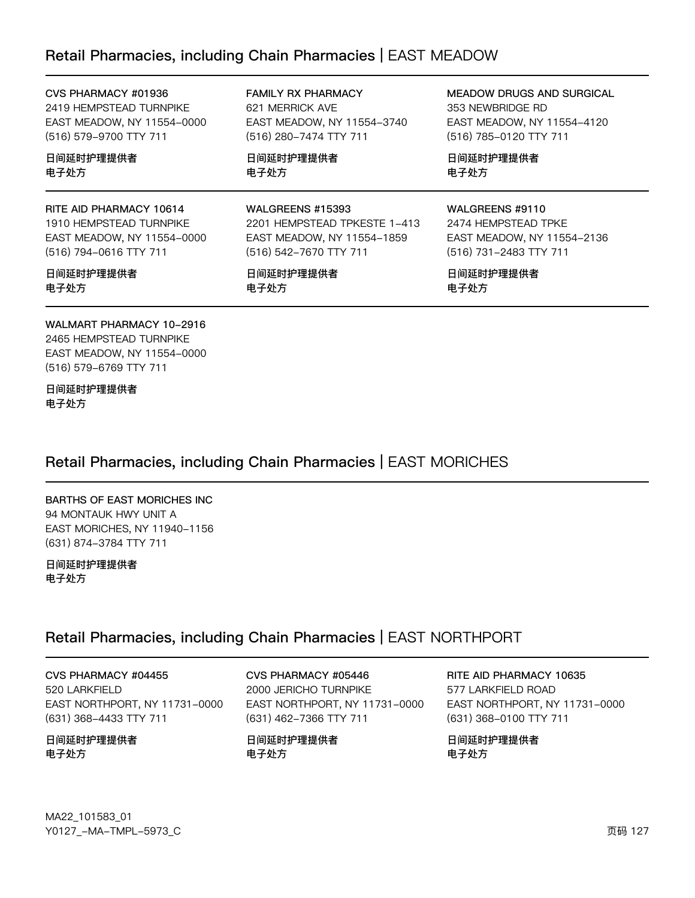# Retail Pharmacies, including Chain Pharmacies | EAST MEADOW

日间延时护理提供者

WALGREENS #15393

(516) 542-7670 TTY 711

日间延时护理提供者

2201 HEMPSTEAD TPKESTE 1-413

EAST MEADOW, NY 11554-1859

电子处方

电子处方

| CVS PHARMACY #01936        | <b>FAMILY RX PHARMACY</b>  |
|----------------------------|----------------------------|
| 2419 HEMPSTEAD TURNPIKE    | 621 MERRICK AVE            |
| EAST MEADOW, NY 11554-0000 | EAST MEADOW, NY 11554-3740 |
| (516) 579-9700 TTY 711     | (516) 280-7474 TTY 711     |
|                            |                            |

日间延时护理提供者 电子处方

#### RITE AID PHARMACY 10614

1910 HEMPSTEAD TURNPIKE EAST MEADOW, NY 11554-0000 (516) 794-0616 TTY 711

#### 日间延时护理提供者 电子处方

WALMART PHARMACY 10-2916 2465 HEMPSTEAD TURNPIKE EAST MEADOW, NY 11554-0000 (516) 579-6769 TTY 711

日间延时护理提供者 电子处方

# Retail Pharmacies, including Chain Pharmacies | EAST MORICHES

#### **BARTHS OF EAST MORICHES INC** 94 MONTAUK HWY UNIT A EAST MORICHES, NY 11940-1156 (631) 874-3784 TTY 711

日间延时护理提供者 电子处方

# Retail Pharmacies, including Chain Pharmacies | EAST NORTHPORT

CVS PHARMACY #04455 520 LARKFIELD EAST NORTHPORT, NY 11731-0000 (631) 368-4433 TTY 711

日间延时护理提供者 电子处方

CVS PHARMACY #05446 2000 JERICHO TURNPIKE EAST NORTHPORT, NY 11731-0000 (631) 462-7366 TTY 711

日间延时护理提供者 电子处方

MEADOW DRUGS AND SURGICAL 353 NEWBRIDGE RD EAST MEADOW, NY 11554-4120 (516) 785-0120 TTY 711

日间延时护理提供者 电子处方

#### WALGREENS #9110

2474 HEMPSTEAD TPKE EAST MEADOW, NY 11554-2136 (516) 731-2483 TTY 711

RITE AID PHARMACY 10635

EAST NORTHPORT, NY 11731-0000

577 LARKFIELD ROAD

日间延时护理提供者

电子处方

(631) 368-0100 TTY 711

日间延时护理提供者 电子处方

MA22\_101583\_01 Y0127\_-MA-TMPL-5973\_C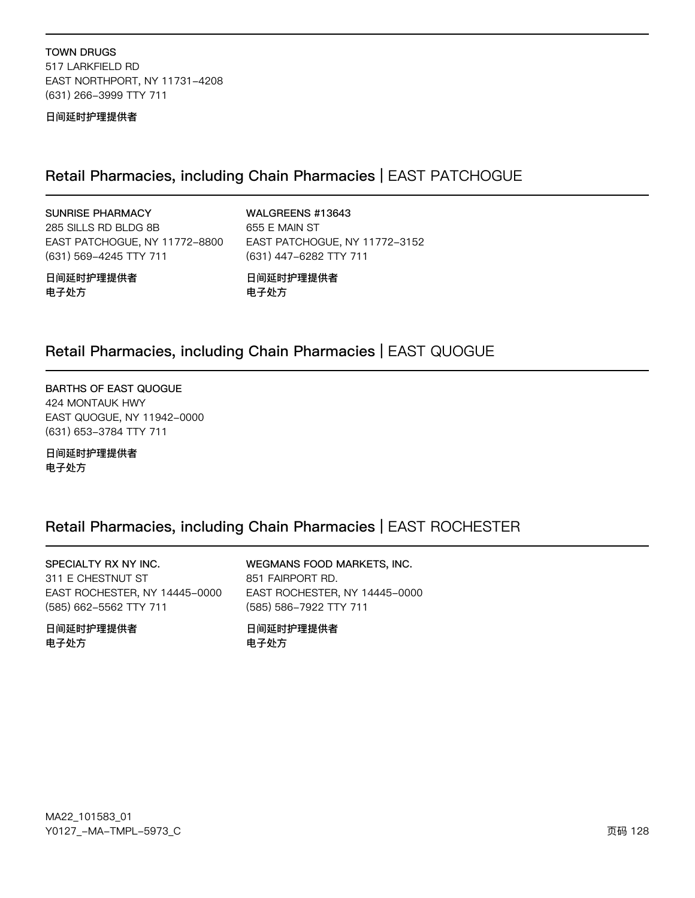**TOWN DRUGS** 517 LARKFIELD RD EAST NORTHPORT, NY 11731-4208 (631) 266-3999 TTY 711

日间延时护理提供者

### Retail Pharmacies, including Chain Pharmacies | EAST PATCHOGUE

**SUNRISE PHARMACY** 

285 SILLS RD BLDG 8B EAST PATCHOGUE, NY 11772-8800 (631) 569-4245 TTY 711

WALGREENS #13643

655 E MAIN ST EAST PATCHOGUE, NY 11772-3152 (631) 447-6282 TTY 711

日间延时护理提供者 电子处方

日间延时护理提供者 电子处方

# Retail Pharmacies, including Chain Pharmacies | EAST QUOGUE

**BARTHS OF EAST QUOGUE** 424 MONTAUK HWY EAST QUOGUE, NY 11942-0000 (631) 653-3784 TTY 711

日间延时护理提供者 电子处方

# Retail Pharmacies, including Chain Pharmacies | EAST ROCHESTER

SPECIALTY RX NY INC. 311 E CHESTNUT ST EAST ROCHESTER, NY 14445-0000 (585) 662-5562 TTY 711

日间延时护理提供者 电子处方

WEGMANS FOOD MARKETS, INC. 851 FAIRPORT RD. EAST ROCHESTER, NY 14445-0000 (585) 586-7922 TTY 711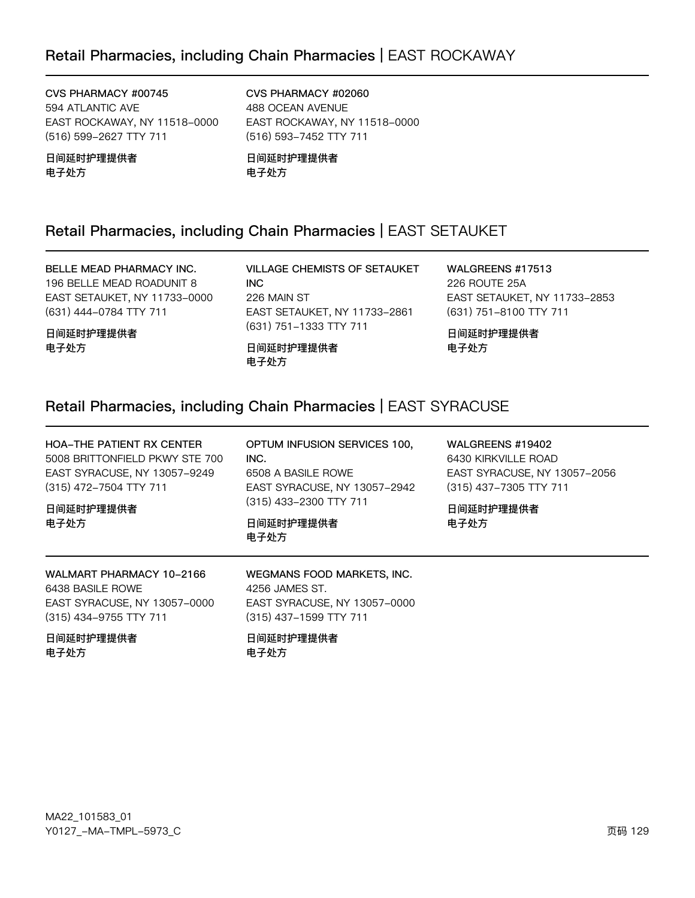# Retail Pharmacies, including Chain Pharmacies | EAST ROCKAWAY

CVS PHARMACY #00745 594 ATLANTIC AVE EAST ROCKAWAY, NY 11518-0000 (516) 599-2627 TTY 711

日间延时护理提供者 电子处方

CVS PHARMACY #02060 488 OCEAN AVENUE EAST ROCKAWAY, NY 11518-0000 (516) 593-7452 TTY 711

日间延时护理提供者 电子处方

# Retail Pharmacies, including Chain Pharmacies | EAST SETAUKET

BELLE MEAD PHARMACY INC. 196 BELLE MEAD ROADUNIT 8 EAST SETAUKET, NY 11733-0000 (631) 444-0784 TTY 711

日间延时护理提供者 电子处方

VILLAGE CHEMISTS OF SETAUKET **INC** 226 MAIN ST EAST SETAUKET, NY 11733-2861 (631) 751-1333 TTY 711

日间延时护理提供者 电子处方

WALGREENS #17513 226 ROUTE 25A EAST SETAUKET, NY 11733-2853 (631) 751-8100 TTY 711

日间延时护理提供者 电子处方

# Retail Pharmacies, including Chain Pharmacies | EAST SYRACUSE

HOA-THE PATIENT RX CENTER OPTUM INFUSION SERVICES 100, WALGREENS #19402 5008 BRITTONFIELD PKWY STE 700 6430 KIRKVILLE ROAD  $INC.$ EAST SYRACUSE, NY 13057-9249 EAST SYRACUSE, NY 13057-2056 6508 A BASILE ROWE (315) 472-7504 TTY 711 EAST SYRACUSE, NY 13057-2942 (315) 437-7305 TTY 711 (315) 433-2300 TTY 711 日间延时护理提供者 日间延时护理提供者 电子处方 日间延时护理提供者 电子处方 电子处方 WALMART PHARMACY 10-2166 WEGMANS FOOD MARKETS, INC. 6438 BASILE ROWE 4256 JAMES ST. EAST SYRACUSE, NY 13057-0000 EAST SYRACUSE, NY 13057-0000 (315) 434-9755 TTY 711 (315) 437-1599 TTY 711 日间延时护理提供者

电子处方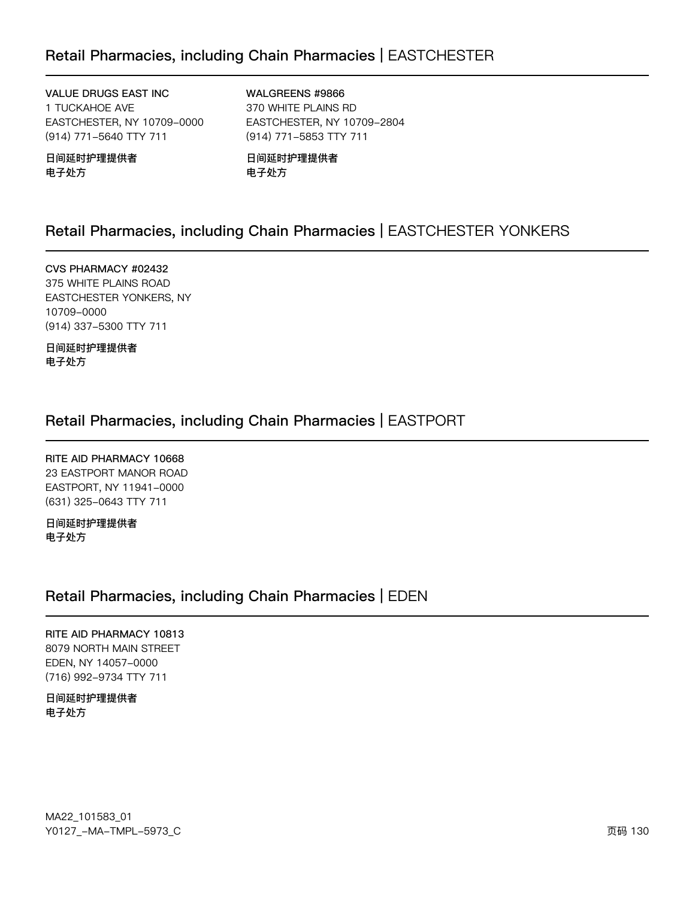# Retail Pharmacies, including Chain Pharmacies | EASTCHESTER

VALUE DRUGS EAST INC 1 TUCKAHOE AVE EASTCHESTER, NY 10709-0000 (914) 771-5640 TTY 711

日间延时护理提供者 电子处方

WALGREENS #9866 370 WHITE PLAINS RD EASTCHESTER, NY 10709-2804 (914) 771-5853 TTY 711

日间延时护理提供者 电子处方

# Retail Pharmacies, including Chain Pharmacies | EASTCHESTER YONKERS

CVS PHARMACY #02432 375 WHITE PLAINS ROAD EASTCHESTER YONKERS, NY 10709-0000 (914) 337-5300 TTY 711

日间延时护理提供者 电子处方

# Retail Pharmacies, including Chain Pharmacies | EASTPORT

RITE AID PHARMACY 10668 23 EASTPORT MANOR ROAD EASTPORT, NY 11941-0000 (631) 325-0643 TTY 711

日间延时护理提供者 电子处方

### Retail Pharmacies, including Chain Pharmacies | EDEN

RITE AID PHARMACY 10813 8079 NORTH MAIN STREET EDEN, NY 14057-0000 (716) 992-9734 TTY 711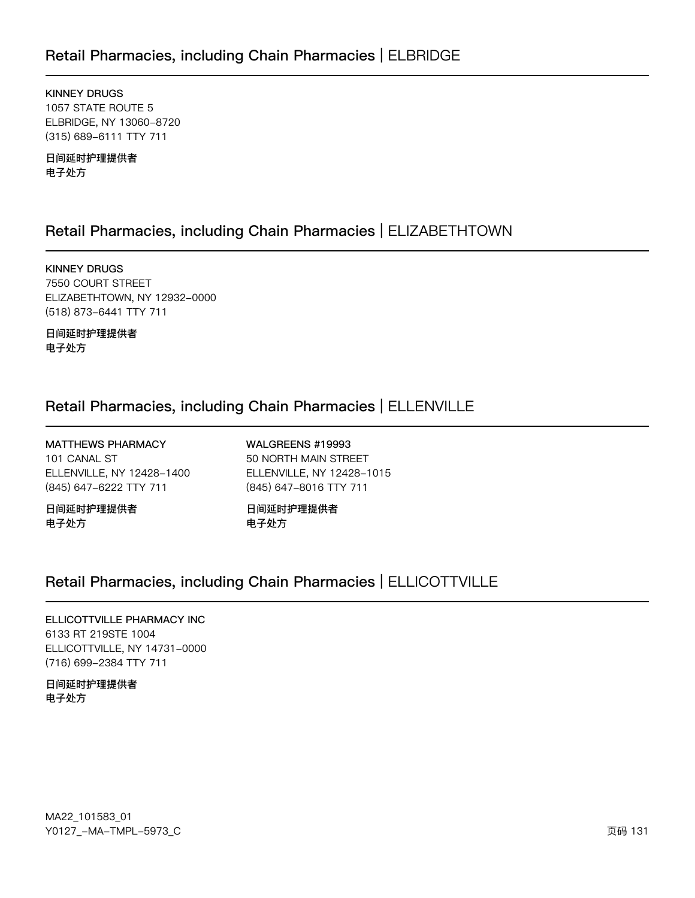# Retail Pharmacies, including Chain Pharmacies | ELBRIDGE

**KINNEY DRUGS** 1057 STATE ROUTE 5 ELBRIDGE, NY 13060-8720 (315) 689-6111 TTY 711

日间延时护理提供者 电子处方

# Retail Pharmacies, including Chain Pharmacies | ELIZABETHTOWN

**KINNEY DRUGS** 7550 COURT STREET ELIZABETHTOWN, NY 12932-0000 (518) 873-6441 TTY 711

日间延时护理提供者 电子处方

# Retail Pharmacies, including Chain Pharmacies | ELLENVILLE

MATTHEWS PHARMACY 101 CANAL ST ELLENVILLE, NY 12428-1400 (845) 647-6222 TTY 711

日间延时护理提供者 电子处方

WALGREENS #19993 50 NORTH MAIN STREET ELLENVILLE, NY 12428-1015 (845) 647-8016 TTY 711

日间延时护理提供者 电子处方

# Retail Pharmacies, including Chain Pharmacies | ELLICOTTVILLE

#### ELLICOTTVILLE PHARMACY INC 6133 RT 219STE 1004 ELLICOTTVILLE, NY 14731-0000 (716) 699-2384 TTY 711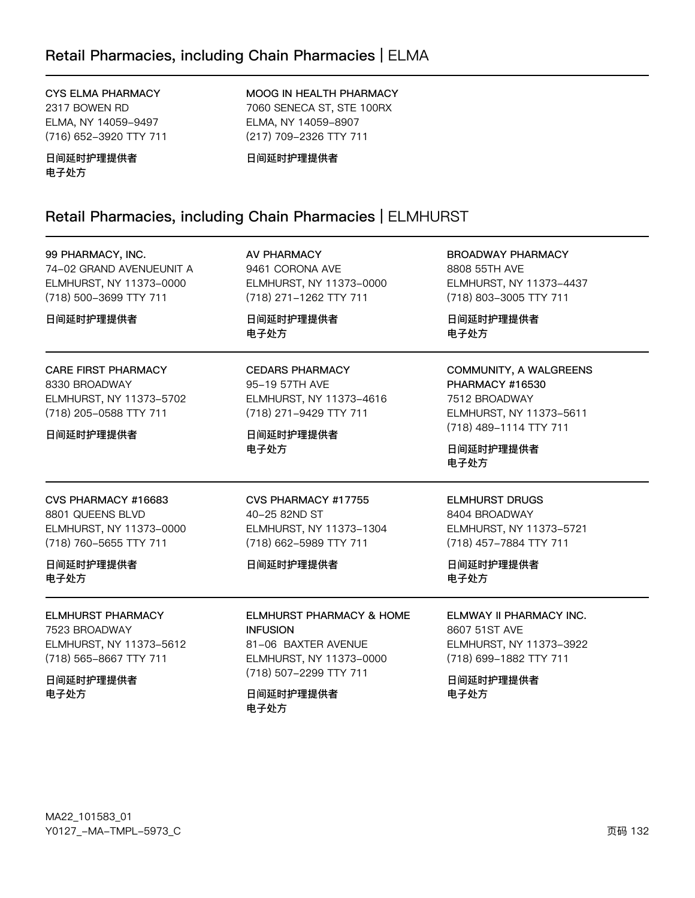# Retail Pharmacies, including Chain Pharmacies | ELMA

#### CYS ELMA PHARMACY

2317 BOWEN RD ELMA, NY 14059-9497 (716) 652-3920 TTY 711

日间延时护理提供者 电子处方

MOOG IN HEALTH PHARMACY 7060 SENECA ST, STE 100RX ELMA, NY 14059-8907 (217) 709-2326 TTY 711

日间延时护理提供者

# Retail Pharmacies, including Chain Pharmacies | ELMHURST

| 99 PHARMACY, INC.<br>74-02 GRAND AVENUEUNIT A<br>ELMHURST, NY 11373-0000<br>(718) 500-3699 TTY 711<br>日间延时护理提供者 | AV PHARMACY<br>9461 CORONA AVE<br>ELMHURST, NY 11373-0000<br>(718) 271-1262 TTY 711<br>日间延时护理提供者<br>电子处方           | <b>BROADWAY PHARMACY</b><br>8808 55TH AVE<br>ELMHURST, NY 11373-4437<br>(718) 803-3005 TTY 711<br>日间延时护理提供者<br>电子处方                  |
|-----------------------------------------------------------------------------------------------------------------|--------------------------------------------------------------------------------------------------------------------|--------------------------------------------------------------------------------------------------------------------------------------|
| <b>CARE FIRST PHARMACY</b><br>8330 BROADWAY<br>ELMHURST, NY 11373-5702<br>(718) 205-0588 TTY 711<br>日间延时护理提供者   | <b>CEDARS PHARMACY</b><br>95-19 57TH AVE<br>ELMHURST, NY 11373-4616<br>(718) 271-9429 TTY 711<br>日间延时护理提供者<br>电子处方 | COMMUNITY, A WALGREENS<br>PHARMACY #16530<br>7512 BROADWAY<br>ELMHURST, NY 11373-5611<br>(718) 489-1114 TTY 711<br>日间延时护理提供者<br>电子处方 |
| CVS PHARMACY #16683<br>8801 QUEENS BLVD<br>ELMHURST, NY 11373-0000<br>(718) 760-5655 TTY 711                    | CVS PHARMACY #17755<br>40-25 82ND ST<br>ELMHURST, NY 11373-1304<br>(718) 662-5989 TTY 711                          | <b>ELMHURST DRUGS</b><br>8404 BROADWAY<br>ELMHURST, NY 11373-5721<br>(718) 457-7884 TTY 711                                          |
| 日间延时护理提供者<br>电子处方                                                                                               | 日间延时护理提供者                                                                                                          | 日间延时护理提供者<br>电子处方                                                                                                                    |
| <b>ELMHURST PHARMACY</b><br>7523 BROADWAY<br>ELMHURST, NY 11373-5612<br>(718) 565-8667 TTY 711                  | <b>ELMHURST PHARMACY &amp; HOME</b><br><b>INFUSION</b><br>81-06 BAXTER AVENUE<br>ELMHURST, NY 11373-0000           | ELMWAY II PHARMACY INC.<br>8607 51ST AVE<br>ELMHURST, NY 11373-3922<br>(718) 699-1882 TTY 711                                        |
| 日间延时护理提供者<br>电子处方                                                                                               | (718) 507-2299 TTY 711<br>日间延时护理提供者<br>电子处方                                                                        | 日间延时护理提供者<br>电子处方                                                                                                                    |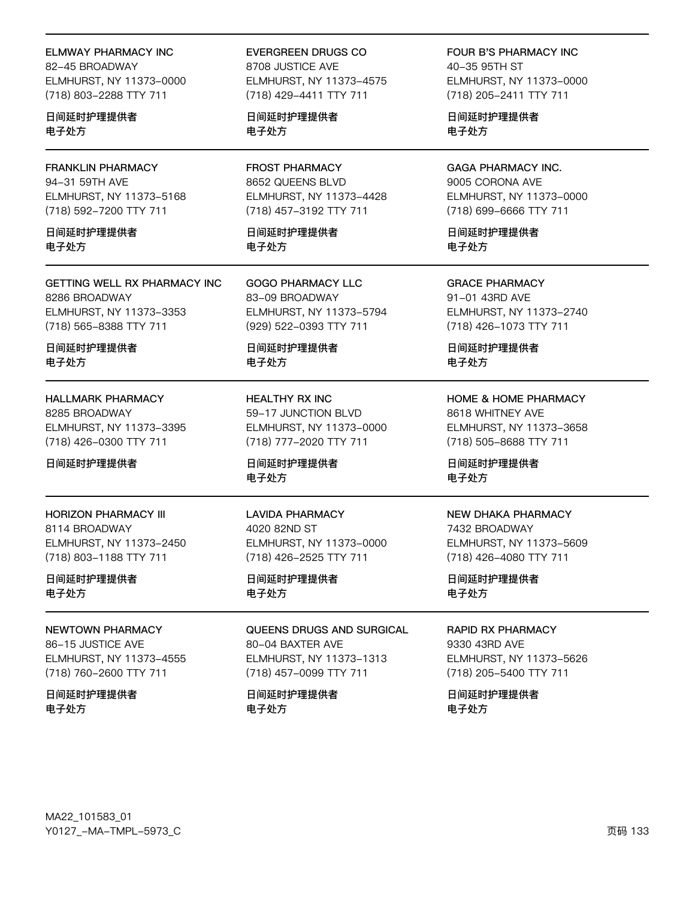**ELMWAY PHARMACY INC** 

82-45 BROADWAY ELMHURST, NY 11373-0000 (718) 803-2288 TTY 711

日间延时护理提供者 电子处方

**FRANKLIN PHARMACY** 94-31 59TH AVE ELMHURST, NY 11373-5168 (718) 592-7200 TTY 711

日间延时护理提供者 电子外方

**GETTING WELL RX PHARMACY INC** 8286 BROADWAY ELMHURST, NY 11373-3353 (718) 565-8388 TTY 711

日间延时护理提供者 电子处方

**HALLMARK PHARMACY** 8285 BROADWAY ELMHURST, NY 11373-3395 (718) 426-0300 TTY 711

日间延时护理提供者

**HORIZON PHARMACY III** 8114 BROADWAY ELMHURST, NY 11373-2450 (718) 803-1188 TTY 711

日间延时护理提供者 电子处方

NEWTOWN PHARMACY

86-15 JUSTICE AVE ELMHURST, NY 11373-4555 (718) 760-2600 TTY 711

日间延时护理提供者 电子处方

**EVERGREEN DRUGS CO** 8708 JUSTICE AVE ELMHURST, NY 11373-4575 (718) 429-4411 TTY 711

日间延时护理提供者 电子处方

**FROST PHARMACY** 8652 QUEENS BLVD ELMHURST, NY 11373-4428 (718) 457-3192 TTY 711

日间延时护理提供者 电子外方

**GOGO PHARMACY LLC** 83-09 BROADWAY ELMHURST, NY 11373-5794 (929) 522-0393 TTY 711

日间延时护理提供者 电子处方

**HEALTHY RX INC** 59-17 JUNCTION BLVD ELMHURST, NY 11373-0000 (718) 777-2020 TTY 711

日间延时护理提供者 电子处方

**LAVIDA PHARMACY** 4020 82ND ST ELMHURST, NY 11373-0000 (718) 426-2525 TTY 711

日间延时护理提供者 电子处方

QUEENS DRUGS AND SURGICAL 80-04 BAXTER AVE ELMHURST, NY 11373-1313 (718) 457-0099 TTY 711

日间延时护理提供者 电子处方

FOUR B'S PHARMACY INC 40-35 95TH ST ELMHURST, NY 11373-0000 (718) 205-2411 TTY 711

日间延时护理提供者 电子处方

**GAGA PHARMACY INC.** 9005 CORONA AVE ELMHURST, NY 11373-0000 (718) 699-6666 TTY 711

日间延时护理提供者 电子外方

**GRACE PHARMACY** 91-01 43RD AVE ELMHURST, NY 11373-2740 (718) 426-1073 TTY 711

日间延时护理提供者 电子处方

**HOME & HOME PHARMACY** 8618 WHITNEY AVE ELMHURST, NY 11373-3658 (718) 505-8688 TTY 711

日间延时护理提供者 电子处方

#### **NEW DHAKA PHARMACY**

7432 BROADWAY ELMHURST, NY 11373-5609 (718) 426-4080 TTY 711

日间延时护理提供者 电子处方

**RAPID RX PHARMACY** 

9330 43RD AVE ELMHURST, NY 11373-5626 (718) 205-5400 TTY 711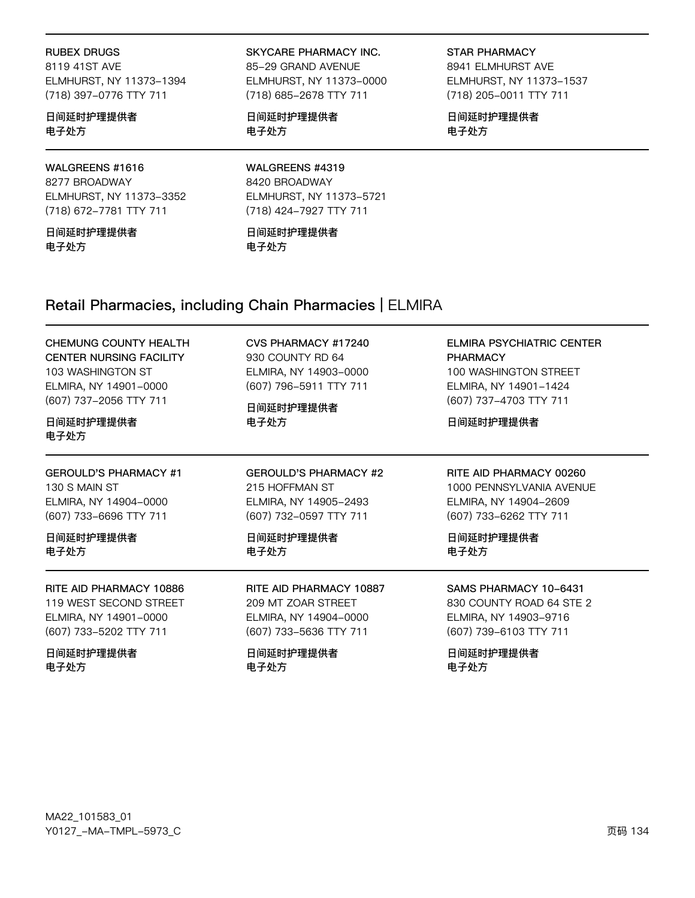#### **RUBEX DRUGS**

8119 41ST AVE ELMHURST, NY 11373-1394 (718) 397-0776 TTY 711

#### 日间延时护理提供者 电子处方

#### WALGREENS #1616 8277 BROADWAY

ELMHURST, NY 11373-3352 (718) 672-7781 TTY 711

日间延时护理提供者 电子外方

#### SKYCARE PHARMACY INC.

85-29 GRAND AVENUE ELMHURST, NY 11373-0000 (718) 685-2678 TTY 711

日间延时护理提供者 电子处方

**STAR PHARMACY** 8941 ELMHURST AVE ELMHURST, NY 11373-1537 (718) 205-0011 TTY 711

日间延时护理提供者 电子处方

WALGREENS #4319 8420 BROADWAY ELMHURST, NY 11373-5721 (718) 424-7927 TTY 711

日间延时护理提供者 电子外方

# Retail Pharmacies, including Chain Pharmacies | ELMIRA

#### CHEMUNG COUNTY HEALTH **CENTER NURSING FACILITY** 103 WASHINGTON ST ELMIRA, NY 14901-0000 (607) 737-2056 TTY 711

#### 日间延时护理提供者 电子处方

**GEROULD'S PHARMACY #1** 130 S MAIN ST ELMIRA, NY 14904-0000 (607) 733-6696 TTY 711

日间延时护理提供者 电子外方

RITE AID PHARMACY 10886 119 WEST SECOND STREET ELMIRA, NY 14901-0000 (607) 733-5202 TTY 711

日间延时护理提供者 电子处方

日间延时护理提供者 电子处方

CVS PHARMACY #17240

ELMIRA, NY 14903-0000

(607) 796-5911 TTY 711

930 COUNTY RD 64

**GEROULD'S PHARMACY #2** 215 HOFFMAN ST ELMIRA, NY 14905-2493 (607) 732-0597 TTY 711

日间延时护理提供者 电子外方

RITE AID PHARMACY 10887 209 MT ZOAR STREET ELMIRA, NY 14904-0000 (607) 733-5636 TTY 711

日间延时护理提供者 电子处方

**ELMIRA PSYCHIATRIC CENTER PHARMACY** 100 WASHINGTON STREET ELMIRA, NY 14901-1424 (607) 737-4703 TTY 711

日间延时护理提供者

RITE AID PHARMACY 00260 1000 PENNSYLVANIA AVENUE ELMIRA, NY 14904-2609 (607) 733-6262 TTY 711

日间延时护理提供者 电子外方

#### SAMS PHARMACY 10-6431

830 COUNTY ROAD 64 STE 2 ELMIRA, NY 14903-9716 (607) 739-6103 TTY 711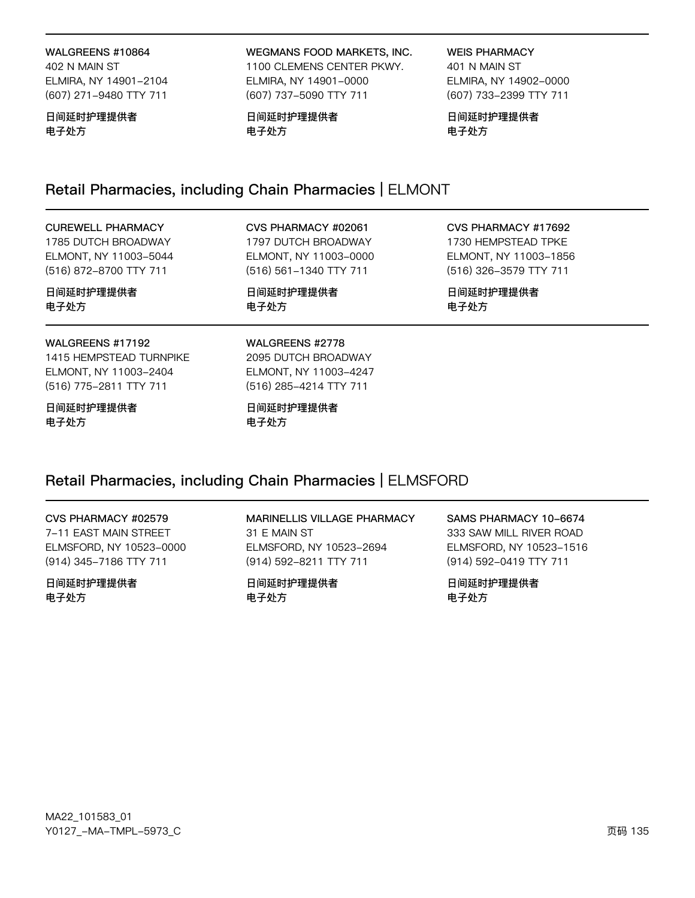#### WALGREENS #10864

402 N MAIN ST ELMIRA, NY 14901-2104 (607) 271-9480 TTY 711

#### 日间延时护理提供者 电子处方

WEGMANS FOOD MARKETS, INC. 1100 CLEMENS CENTER PKWY. ELMIRA, NY 14901-0000 (607) 737-5090 TTY 711

日间延时护理提供者 电子处方

**WEIS PHARMACY** 

401 N MAIN ST ELMIRA, NY 14902-0000 (607) 733-2399 TTY 711

日间延时护理提供者 电子处方

# Retail Pharmacies, including Chain Pharmacies | ELMONT

| <b>CUREWELL PHARMACY</b>                                                                       | CVS PHARMACY #02061                                                                       | CVS PHARMACY #17692    |
|------------------------------------------------------------------------------------------------|-------------------------------------------------------------------------------------------|------------------------|
| 1785 DUTCH BROADWAY                                                                            | 1797 DUTCH BROADWAY                                                                       | 1730 HEMPSTEAD TPKE    |
| ELMONT, NY 11003-5044                                                                          | ELMONT, NY 11003-0000                                                                     | ELMONT, NY 11003-1856  |
| (516) 872-8700 TTY 711                                                                         | (516) 561-1340 TTY 711                                                                    | (516) 326-3579 TTY 711 |
| 日间延时护理提供者                                                                                      | 日间延时护理提供者                                                                                 | 日间延时护理提供者              |
| 电子处方                                                                                           | 电子处方                                                                                      | 电子处方                   |
| WALGREENS #17192<br>1415 HEMPSTEAD TURNPIKE<br>ELMONT, NY 11003-2404<br>(516) 775-2811 TTY 711 | WALGREENS #2778<br>2095 DUTCH BROADWAY<br>ELMONT, NY 11003-4247<br>(516) 285-4214 TTY 711 |                        |

日间延时护理提供者 电子处方

日间延时护理提供者 电子处方

# Retail Pharmacies, including Chain Pharmacies | ELMSFORD

#### CVS PHARMACY #02579

7-11 EAST MAIN STREET ELMSFORD, NY 10523-0000 (914) 345-7186 TTY 711

日间延时护理提供者 电子处方

MARINELLIS VILLAGE PHARMACY

31 E MAIN ST ELMSFORD, NY 10523-2694 (914) 592-8211 TTY 711

日间延时护理提供者 电子处方

SAMS PHARMACY 10-6674 333 SAW MILL RIVER ROAD ELMSFORD, NY 10523-1516

(914) 592-0419 TTY 711 日间延时护理提供者

电子处方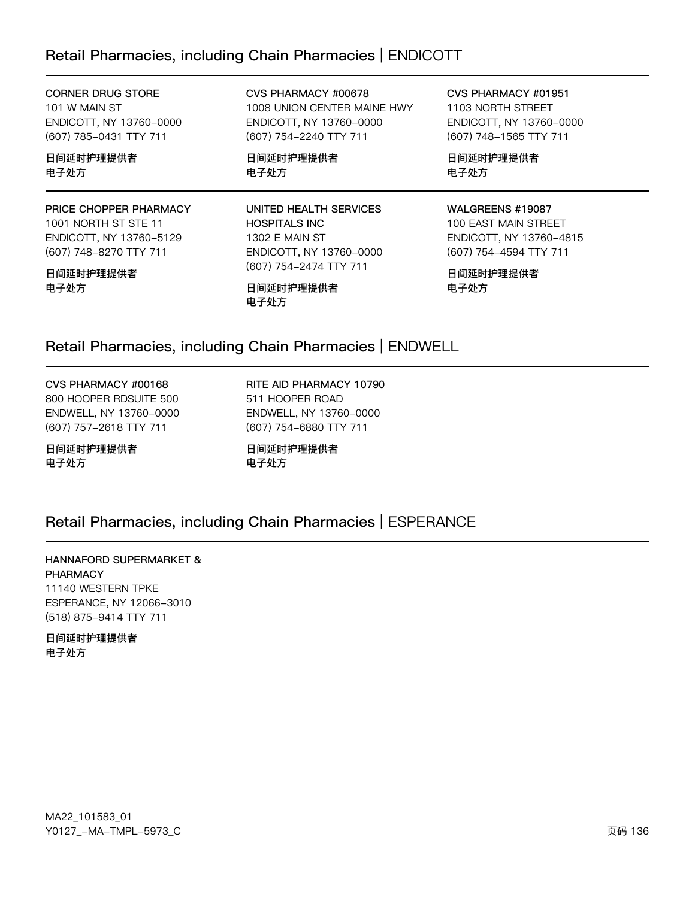# Retail Pharmacies, including Chain Pharmacies | ENDICOTT

#### **CORNER DRUG STORE** 101 W MAIN ST ENDICOTT, NY 13760-0000 (607) 785-0431 TTY 711

日间延时护理提供者 电子处方

#### PRICE CHOPPER PHARMACY 1001 NORTH ST STE 11 ENDICOTT, NY 13760-5129 (607) 748-8270 TTY 711

#### 日间延时护理提供者 电子处方

CVS PHARMACY #00678 1008 UNION CENTER MAINE HWY ENDICOTT, NY 13760-0000 (607) 754-2240 TTY 711

日间延时护理提供者 电子处方

#### UNITED HEALTH SERVICES **HOSPITALS INC** 1302 E MAIN ST ENDICOTT, NY 13760-0000 (607) 754-2474 TTY 711

日间延时护理提供者 电子处方

CVS PHARMACY #01951 1103 NORTH STREET ENDICOTT, NY 13760-0000 (607) 748-1565 TTY 711

日间延时护理提供者 电子处方

#### WALGREENS #19087

100 EAST MAIN STREET ENDICOTT, NY 13760-4815 (607) 754-4594 TTY 711

日间延时护理提供者 电子处方

# Retail Pharmacies, including Chain Pharmacies | ENDWELL

CVS PHARMACY #00168 800 HOOPER RDSUITE 500 ENDWELL, NY 13760-0000 (607) 757-2618 TTY 711

日间延时护理提供者 电子处方

RITE AID PHARMACY 10790 511 HOOPER ROAD ENDWELL, NY 13760-0000 (607) 754-6880 TTY 711

日间延时护理提供者 电子处方

# Retail Pharmacies, including Chain Pharmacies | ESPERANCE

#### HANNAFORD SUPERMARKET & **PHARMACY**

11140 WESTERN TPKE ESPERANCE, NY 12066-3010 (518) 875-9414 TTY 711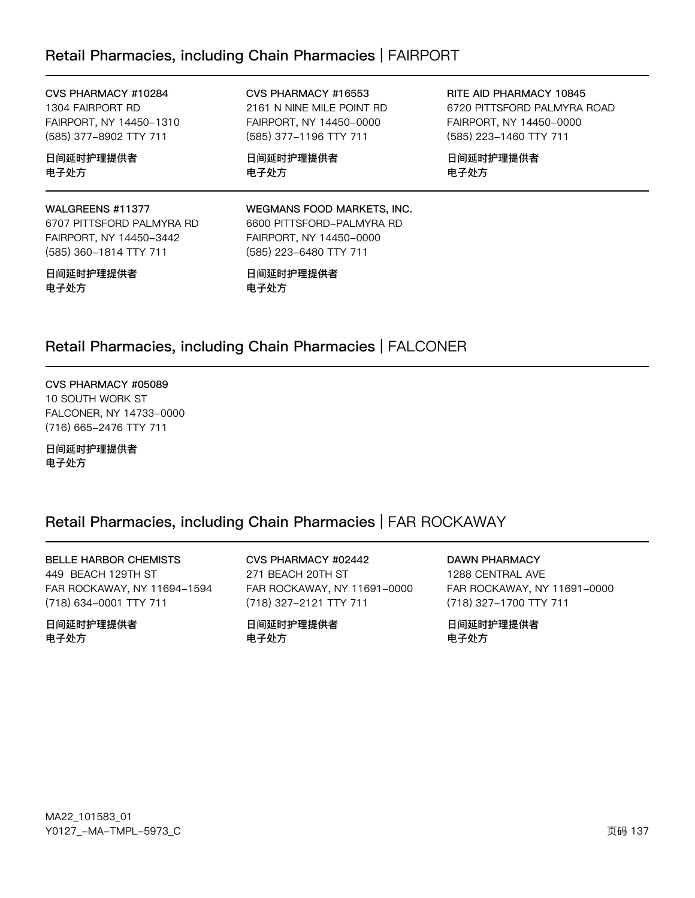# Retail Pharmacies, including Chain Pharmacies | FAIRPORT

CVS PHARMACY #10284 1304 FAIRPORT RD FAIRPORT, NY 14450-1310 (585) 377-8902 TTY 711

日间延时护理提供者 电子处方

#### WALGREENS #11377

6707 PITTSFORD PALMYRA RD FAIRPORT, NY 14450-3442 (585) 360-1814 TTY 711

#### 日间延时护理提供者 电子处方

CVS PHARMACY #16553 2161 N NINE MILE POINT RD FAIRPORT, NY 14450-0000 (585) 377-1196 TTY 711

日间延时护理提供者 电子处方

RITE AID PHARMACY 10845 6720 PITTSFORD PALMYRA ROAD FAIRPORT, NY 14450-0000 (585) 223-1460 TTY 711

日间延时护理提供者 电子处方

#### WEGMANS FOOD MARKETS, INC. 6600 PITTSFORD-PALMYRA RD FAIRPORT, NY 14450-0000 (585) 223-6480 TTY 711

日间延时护理提供者 电子处方

# Retail Pharmacies, including Chain Pharmacies | FALCONER

CVS PHARMACY #05089 10 SOUTH WORK ST FALCONER, NY 14733-0000 (716) 665-2476 TTY 711

日间延时护理提供者 电子处方

# Retail Pharmacies, including Chain Pharmacies | FAR ROCKAWAY

**BELLE HARBOR CHEMISTS** 449 BEACH 129TH ST FAR ROCKAWAY, NY 11694-1594 (718) 634-0001 TTY 711

日间延时护理提供者 电子外方

CVS PHARMACY #02442 271 BEACH 20TH ST FAR ROCKAWAY, NY 11691-0000 (718) 327-2121 TTY 711

日间延时护理提供者 电子外方

**DAWN PHARMACY** 1288 CENTRAL AVE FAR ROCKAWAY, NY 11691-0000 (718) 327-1700 TTY 711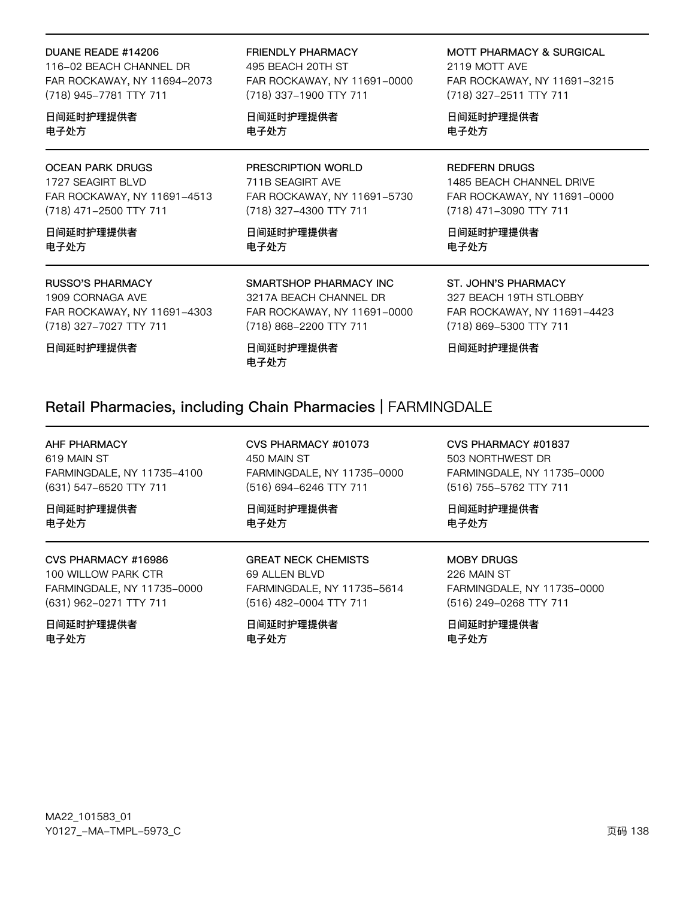#### DUANE READE #14206

116-02 BEACH CHANNEL DR FAR ROCKAWAY, NY 11694-2073 (718) 945-7781 TTY 711

日间延时护理提供者 电子处方

#### **OCEAN PARK DRUGS**

1727 SEAGIRT BLVD FAR ROCKAWAY, NY 11691-4513 (718) 471-2500 TTY 711

日间延时护理提供者 电子外方

#### **RUSSO'S PHARMACY**

1909 CORNAGA AVE FAR ROCKAWAY, NY 11691-4303 (718) 327-7027 TTY 711

日间延时护理提供者

**FRIENDLY PHARMACY** 495 BEACH 20TH ST FAR ROCKAWAY, NY 11691-0000

日间延时护理提供者 电子处方

(718) 337-1900 TTY 711

PRESCRIPTION WORLD 711B SEAGIRT AVE FAR ROCKAWAY, NY 11691-5730 (718) 327-4300 TTY 711

日间延时护理提供者 电子外方

SMARTSHOP PHARMACY INC 3217A BEACH CHANNEL DR

FAR ROCKAWAY, NY 11691-0000 (718) 868-2200 TTY 711

日间延时护理提供者 电子处方

**MOTT PHARMACY & SURGICAL** 

2119 MOTT AVE FAR ROCKAWAY, NY 11691-3215 (718) 327-2511 TTY 711

日间延时护理提供者 电子处方

### **REDFERN DRUGS**

1485 BEACH CHANNEL DRIVE FAR ROCKAWAY, NY 11691-0000 (718) 471-3090 TTY 711

日间延时护理提供者 电子外方

ST. JOHN'S PHARMACY 327 BEACH 19TH STLOBBY

FAR ROCKAWAY, NY 11691-4423 (718) 869-5300 TTY 711

日间延时护理提供者

### Retail Pharmacies, including Chain Pharmacies | FARMINGDALE

**AHF PHARMACY** 619 MAIN ST FARMINGDALE, NY 11735-4100 (631) 547-6520 TTY 711

日间延时护理提供者 电子处方

CVS PHARMACY #16986 100 WILLOW PARK CTR FARMINGDALE, NY 11735-0000 (631) 962-0271 TTY 711

日间延时护理提供者 电子处方

CVS PHARMACY #01073 450 MAIN ST FARMINGDALE, NY 11735-0000 (516) 694-6246 TTY 711

日间延时护理提供者 电子处方

**GREAT NECK CHEMISTS** 69 ALLEN BLVD FARMINGDALE, NY 11735-5614 (516) 482-0004 TTY 711

日间延时护理提供者 电子处方

CVS PHARMACY #01837 503 NORTHWEST DR FARMINGDALE, NY 11735-0000 (516) 755-5762 TTY 711

日间延时护理提供者 电子处方

**MOBY DRUGS** 226 MAIN ST FARMINGDALE, NY 11735-0000 (516) 249-0268 TTY 711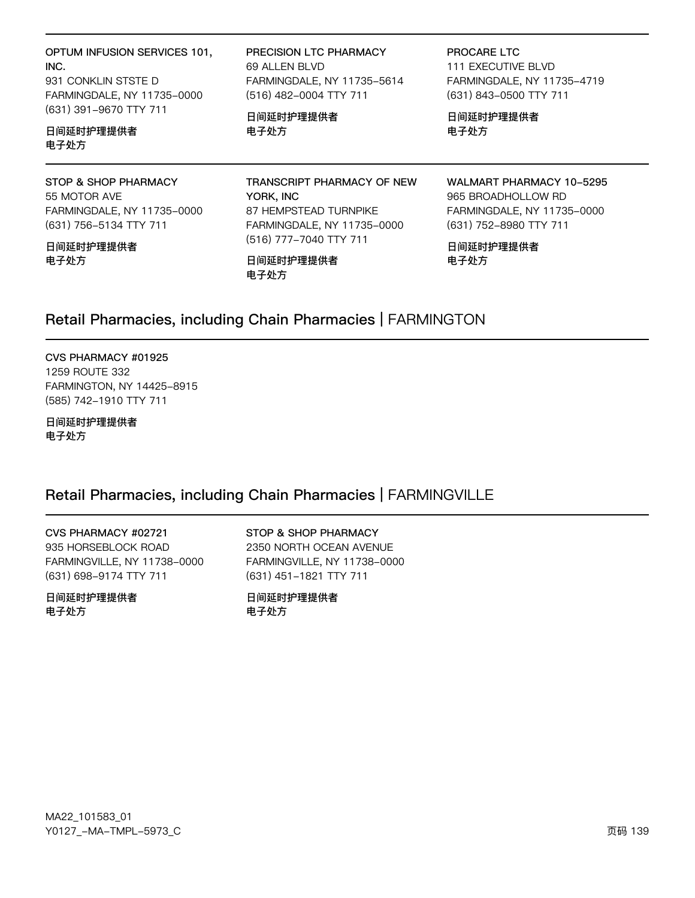OPTUM INFUSION SERVICES 101, INC. 931 CONKLIN STSTE D FARMINGDALE, NY 11735-0000 (631) 391-9670 TTY 711

#### 日间延时护理提供者 电子处方

STOP & SHOP PHARMACY 55 MOTOR AVE FARMINGDALE, NY 11735-0000 (631) 756-5134 TTY 711

日间延时护理提供者 电子处方

PRECISION LTC PHARMACY 69 ALLEN BLVD FARMINGDALE, NY 11735-5614 (516) 482-0004 TTY 711

日间延时护理提供者 电子处方

PROCARE LTC **111 EXECUTIVE BLVD** FARMINGDALE, NY 11735-4719 (631) 843-0500 TTY 711

日间延时护理提供者 电子处方

TRANSCRIPT PHARMACY OF NEW YORK, INC 87 HEMPSTEAD TURNPIKE FARMINGDALE, NY 11735-0000 (516) 777-7040 TTY 711

日间延时护理提供者 电子处方

WALMART PHARMACY 10-5295 965 BROADHOLLOW RD FARMINGDALE, NY 11735-0000 (631) 752-8980 TTY 711

日间延时护理提供者 电子处方

# Retail Pharmacies, including Chain Pharmacies | FARMINGTON

CVS PHARMACY #01925 1259 ROUTE 332 FARMINGTON, NY 14425-8915 (585) 742-1910 TTY 711

日间延时护理提供者 电子处方

# Retail Pharmacies, including Chain Pharmacies | FARMINGVILLE

CVS PHARMACY #02721 935 HORSEBLOCK ROAD FARMINGVILLE, NY 11738-0000 (631) 698-9174 TTY 711

日间延时护理提供者 电子处方

STOP & SHOP PHARMACY 2350 NORTH OCEAN AVENUE FARMINGVILLE, NY 11738-0000 (631) 451-1821 TTY 711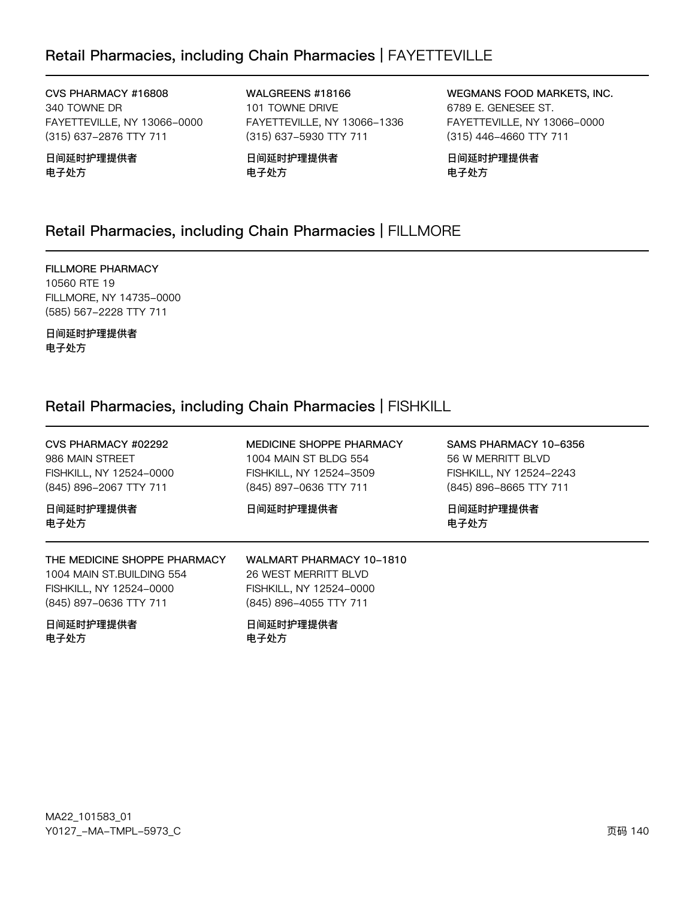# Retail Pharmacies, including Chain Pharmacies | FAYETTEVILLE

CVS PHARMACY #16808 340 TOWNE DR FAYETTEVILLE, NY 13066-0000 (315) 637-2876 TTY 711

日间延时护理提供者 电子处方

WALGREENS #18166 101 TOWNE DRIVE FAYETTEVILLE, NY 13066-1336 (315) 637-5930 TTY 711

日间延时护理提供者 电子处方

WEGMANS FOOD MARKETS, INC. 6789 E. GENESEE ST. FAYETTEVILLE, NY 13066-0000 (315) 446-4660 TTY 711

日间延时护理提供者 电子处方

# Retail Pharmacies, including Chain Pharmacies | FILLMORE

**FILLMORE PHARMACY** 10560 RTE 19 FILLMORE, NY 14735-0000 (585) 567-2228 TTY 711

日间延时护理提供者 电子处方

# Retail Pharmacies, including Chain Pharmacies | FISHKILL

| CVS PHARMACY #02292<br>986 MAIN STREET<br>FISHKILL, NY 12524-0000<br>(845) 896-2067 TTY 711                    | MEDICINE SHOPPE PHARMACY<br>1004 MAIN ST BLDG 554<br>FISHKILL, NY 12524-3509<br>(845) 897-0636 TTY 711 | SAMS PHARMACY 10-6356<br>56 W MERRITT BLVD<br>FISHKILL, NY 12524-2243<br>(845) 896-8665 TTY 711 |
|----------------------------------------------------------------------------------------------------------------|--------------------------------------------------------------------------------------------------------|-------------------------------------------------------------------------------------------------|
| 日间延时护理提供者<br>电子处方                                                                                              | 日间延时护理提供者                                                                                              | 日间延时护理提供者<br>电子处方                                                                               |
| THE MEDICINE SHOPPE PHARMACY<br>1004 MAIN ST.BUILDING 554<br>FISHKILL, NY 12524-0000<br>(845) 897-0636 TTY 711 | WALMART PHARMACY 10-1810<br>26 WEST MERRITT BLVD<br>FISHKILL, NY 12524-0000<br>(845) 896-4055 TTY 711  |                                                                                                 |
| 日间延时护理提供者<br>电子处方                                                                                              | 日间延时护理提供者<br>电子处方                                                                                      |                                                                                                 |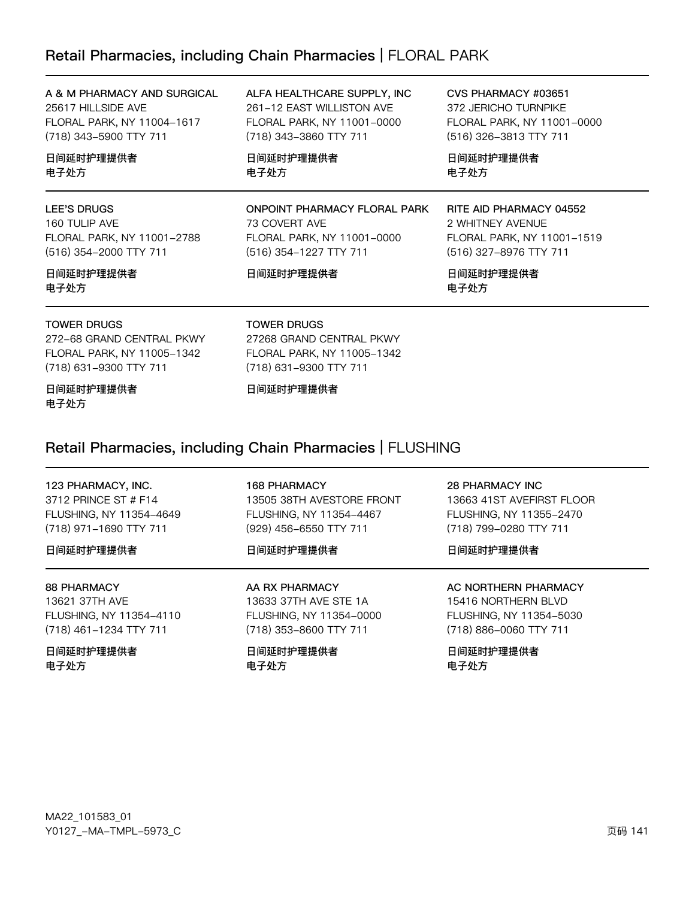# Retail Pharmacies, including Chain Pharmacies | FLORAL PARK

A & M PHARMACY AND SURGICAL 25617 HILLSIDE AVE FLORAL PARK, NY 11004-1617 (718) 343-5900 TTY 711

日间延时护理提供者 电子处方

#### **LEE'S DRUGS**

160 TULIP AVE FLORAL PARK, NY 11001-2788 (516) 354-2000 TTY 711

#### 日间延时护理提供者 电子处方

**TOWER DRUGS** 

272-68 GRAND CENTRAL PKWY FLORAL PARK, NY 11005-1342 (718) 631-9300 TTY 711

日间延时护理提供者 电子处方

ALFA HEALTHCARE SUPPLY, INC 261-12 EAST WILLISTON AVE FLORAL PARK, NY 11001-0000 (718) 343-3860 TTY 711

日间延时护理提供者 电子处方

**ONPOINT PHARMACY FLORAL PARK** 73 COVERT AVE FLORAL PARK, NY 11001-0000 (516) 354-1227 TTY 711

#### 日间延时护理提供者

CVS PHARMACY #03651 372 JERICHO TURNPIKE FLORAL PARK, NY 11001-0000 (516) 326-3813 TTY 711

日间延时护理提供者 电子处方

#### RITE AID PHARMACY 04552

2 WHITNEY AVENUE FLORAL PARK, NY 11001-1519 (516) 327-8976 TTY 711

日间延时护理提供者 电子处方

#### **TOWER DRUGS**

27268 GRAND CENTRAL PKWY FLORAL PARK, NY 11005-1342 (718) 631-9300 TTY 711

日间延时护理提供者

### Retail Pharmacies, including Chain Pharmacies | FLUSHING

# 123 PHARMACY, INC.

3712 PRINCE ST # F14 FLUSHING, NY 11354-4649 (718) 971-1690 TTY 711

#### 日间延时护理提供者

#### **88 PHARMACY**

13621 37TH AVE FLUSHING, NY 11354-4110 (718) 461-1234 TTY 711

#### 日间延时护理提供者 电子处方

**168 PHARMACY** 13505 38TH AVESTORE FRONT FLUSHING, NY 11354-4467 (929) 456-6550 TTY 711

#### 日间延时护理提供者

AA RX PHARMACY 13633 37TH AVE STE 1A FLUSHING, NY 11354-0000 (718) 353-8600 TTY 711

日间延时护理提供者 电子处方

#### **28 PHARMACY INC**

13663 41ST AVEFIRST FLOOR FLUSHING, NY 11355-2470 (718) 799-0280 TTY 711

#### 日间延时护理提供者

**AC NORTHERN PHARMACY** 

15416 NORTHERN BLVD FLUSHING, NY 11354-5030 (718) 886-0060 TTY 711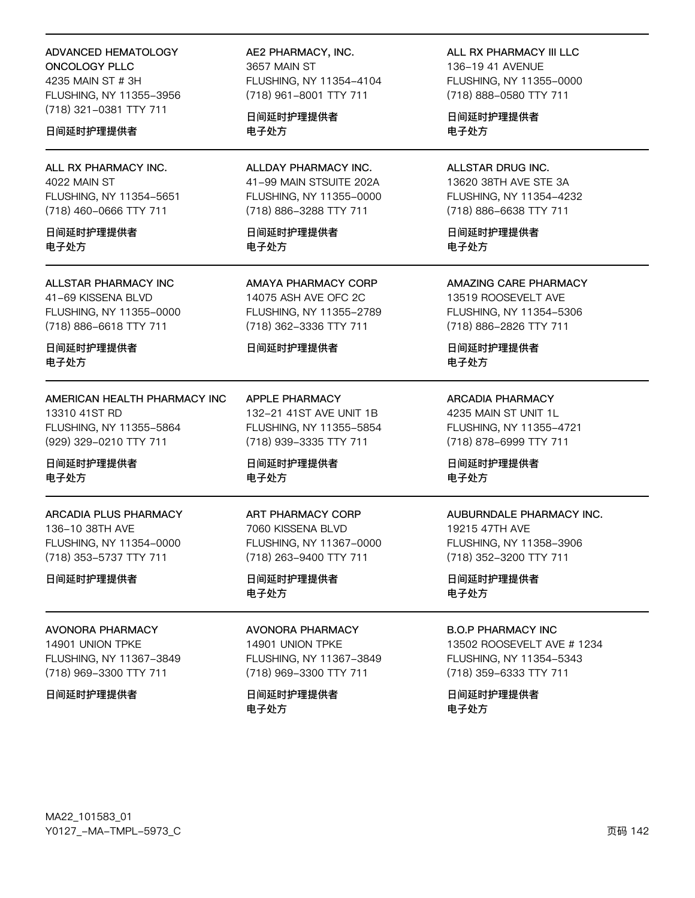**ADVANCED HEMATOLOGY** ONCOLOGY PLLC 4235 MAIN ST # 3H FLUSHING, NY 11355-3956 (718) 321-0381 TTY 711

#### 日间延时护理提供者

ALL RX PHARMACY INC. 4022 MAIN ST FLUSHING, NY 11354-5651 (718) 460-0666 TTY 711

日间延时护理提供者 电子外方

**ALLSTAR PHARMACY INC** 41-69 KISSENA BLVD FLUSHING, NY 11355-0000 (718) 886-6618 TTY 711

日间延时护理提供者 电子处方

AMERICAN HEALTH PHARMACY INC 13310 41ST RD FLUSHING, NY 11355-5864 (929) 329-0210 TTY 711

日间延时护理提供者 电子处方

**ARCADIA PLUS PHARMACY** 136-10 38TH AVE FLUSHING, NY 11354-0000 (718) 353-5737 TTY 711

日间延时护理提供者

**AVONORA PHARMACY** 14901 UNION TPKE FLUSHING, NY 11367-3849 (718) 969-3300 TTY 711

日间延时护理提供者

AE2 PHARMACY, INC. 3657 MAIN ST FLUSHING, NY 11354-4104 (718) 961-8001 TTY 711

日间延时护理提供者 电子处方

ALLDAY PHARMACY INC. 41-99 MAIN STSUITE 202A FLUSHING, NY 11355-0000 (718) 886-3288 TTY 711

日间延时护理提供者 电子外方

AMAYA PHARMACY CORP 14075 ASH AVE OFC 2C FLUSHING, NY 11355-2789 (718) 362-3336 TTY 711

#### 日间延时护理提供者

APPLE PHARMACY 132-21 41ST AVE UNIT 1B FLUSHING, NY 11355-5854 (718) 939-3335 TTY 711

日间延时护理提供者 电子处方

**ART PHARMACY CORP** 7060 KISSENA BLVD FLUSHING, NY 11367-0000 (718) 263-9400 TTY 711

日间延时护理提供者 电子处方

**AVONORA PHARMACY** 14901 UNION TPKE FLUSHING, NY 11367-3849 (718) 969-3300 TTY 711

日间延时护理提供者 电子处方

ALL RX PHARMACY III LLC 136-19 41 AVENUE FLUSHING, NY 11355-0000 (718) 888-0580 TTY 711

日间延时护理提供者 电子处方

ALLSTAR DRUG INC. 13620 38TH AVE STE 3A FLUSHING, NY 11354-4232 (718) 886-6638 TTY 711

日间延时护理提供者 电子外方

**AMAZING CARE PHARMACY** 13519 ROOSEVELT AVE FLUSHING, NY 11354-5306

(718) 886-2826 TTY 711

日间延时护理提供者 电子处方

#### **ARCADIA PHARMACY**

4235 MAIN ST UNIT 1L FLUSHING, NY 11355-4721 (718) 878-6999 TTY 711

日间延时护理提供者 电子处方

#### AUBURNDALE PHARMACY INC.

19215 47TH AVE FLUSHING, NY 11358-3906 (718) 352-3200 TTY 711

日间延时护理提供者 电子处方

#### **B.O.P PHARMACY INC**

13502 ROOSEVELT AVE # 1234 FLUSHING, NY 11354-5343 (718) 359-6333 TTY 711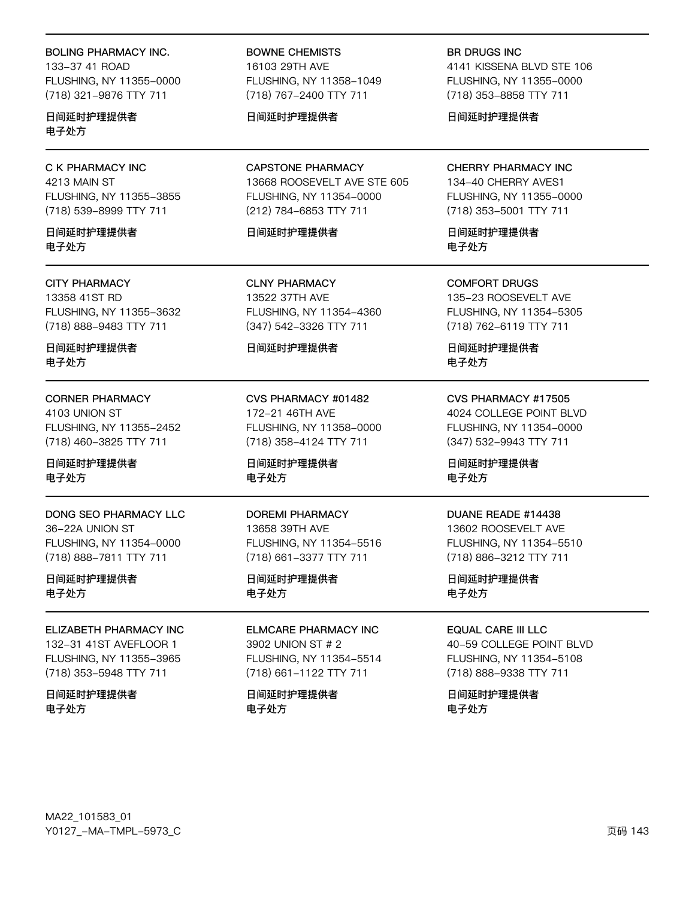#### **BOLING PHARMACY INC.**

133-37 41 ROAD FLUSHING, NY 11355-0000 (718) 321-9876 TTY 711

日间延时护理提供者 电子处方

#### C K PHARMACY INC 4213 MAIN ST FLUSHING, NY 11355-3855 (718) 539-8999 TTY 711

日间延时护理提供者 电子外方

#### **CITY PHARMACY**

13358 41ST RD FLUSHING, NY 11355-3632 (718) 888-9483 TTY 711

日间延时护理提供者 电子处方

#### **CORNER PHARMACY**

4103 UNION ST FLUSHING, NY 11355-2452 (718) 460-3825 TTY 711

日间延时护理提供者 电子处方

#### DONG SEO PHARMACY LLC 36-22A UNION ST FLUSHING, NY 11354-0000 (718) 888-7811 TTY 711

日间延时护理提供者 电子处方

#### ELIZABETH PHARMACY INC

132-31 41ST AVEFLOOR 1 FLUSHING, NY 11355-3965 (718) 353-5948 TTY 711

日间延时护理提供者 电子处方

#### **BOWNE CHEMISTS** 16103 29TH AVE FLUSHING, NY 11358-1049 (718) 767-2400 TTY 711

#### 日间延时护理提供者

**CAPSTONE PHARMACY** 13668 ROOSEVELT AVE STE 605 FLUSHING, NY 11354-0000 (212) 784-6853 TTY 711

#### 日间延时护理提供者

**CLNY PHARMACY** 13522 37TH AVE FLUSHING, NY 11354-4360 (347) 542-3326 TTY 711

#### 日间延时护理提供者

CVS PHARMACY #01482 172-21 46TH AVE FLUSHING, NY 11358-0000 (718) 358-4124 TTY 711

日间延时护理提供者 电子处方

#### **DOREMI PHARMACY** 13658 39TH AVE

FLUSHING, NY 11354-5516 (718) 661-3377 TTY 711

#### 日间延时护理提供者 电子处方

#### **ELMCARE PHARMACY INC** 3902 UNION ST # 2

FLUSHING, NY 11354-5514 (718) 661-1122 TTY 711

#### 日间延时护理提供者 电子处方

**BR DRUGS INC** 

4141 KISSENA BLVD STE 106 FLUSHING, NY 11355-0000 (718) 353-8858 TTY 711

日间延时护理提供者

#### CHERRY PHARMACY INC

134-40 CHERRY AVES1 FLUSHING, NY 11355-0000 (718) 353-5001 TTY 711

日间延时护理提供者 电子外方

**COMFORT DRUGS** 135-23 ROOSEVELT AVE FLUSHING, NY 11354-5305 (718) 762-6119 TTY 711

日间延时护理提供者 电子处方

#### CVS PHARMACY #17505

4024 COLLEGE POINT BLVD FLUSHING, NY 11354-0000 (347) 532-9943 TTY 711

日间延时护理提供者 电子处方

#### DUANE READE #14438

13602 ROOSEVELT AVE FLUSHING, NY 11354-5510 (718) 886-3212 TTY 711

日间延时护理提供者 电子处方

#### **EQUAL CARE III LLC**

40-59 COLLEGE POINT BLVD FLUSHING, NY 11354-5108 (718) 888-9338 TTY 711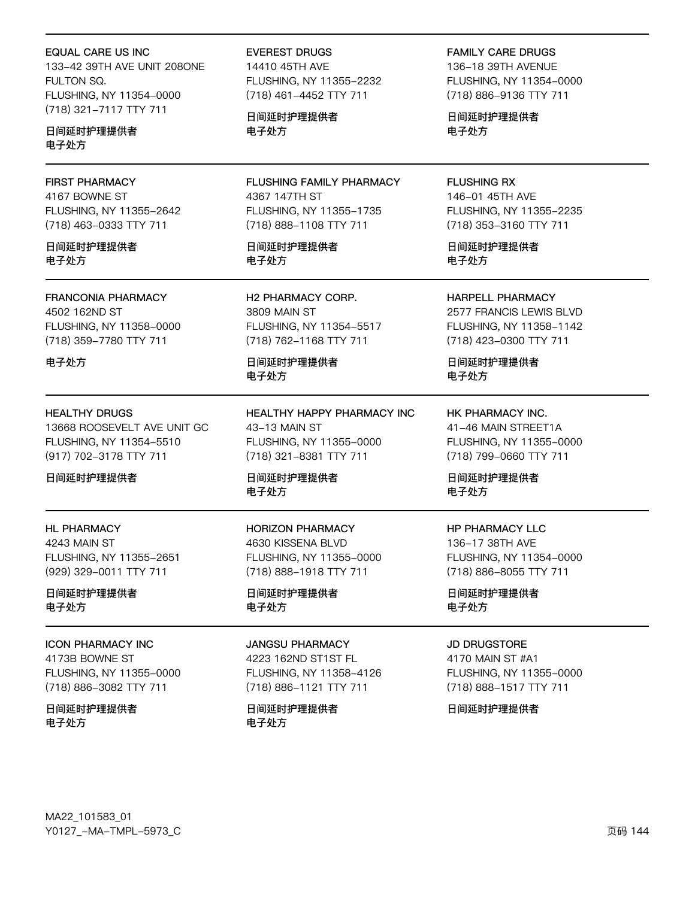**EQUAL CARE US INC** 

133-42 39TH AVE UNIT 208ONE FULTON SQ. FLUSHING, NY 11354-0000 (718) 321-7117 TTY 711

日间延时护理提供者 电子处方

# **FIRST PHARMACY**

4167 BOWNE ST FLUSHING, NY 11355-2642 (718) 463-0333 TTY 711

日间延时护理提供者 电子处方

**FRANCONIA PHARMACY** 4502 162ND ST FLUSHING, NY 11358-0000 (718) 359-7780 TTY 711

电子处方

#### **HEALTHY DRUGS**

13668 ROOSEVELT AVE UNIT GC FLUSHING, NY 11354-5510 (917) 702-3178 TTY 711

日间延时护理提供者

# **HL PHARMACY**

4243 MAIN ST FLUSHING, NY 11355-2651 (929) 329-0011 TTY 711

日间延时护理提供者 电子处方

#### **ICON PHARMACY INC**

4173B BOWNE ST FLUSHING, NY 11355-0000 (718) 886-3082 TTY 711

日间延时护理提供者 电子处方

**EVEREST DRUGS** 14410 45TH AVE FLUSHING, NY 11355-2232 (718) 461-4452 TTY 711

日间延时护理提供者 电子处方

FLUSHING FAMILY PHARMACY 4367 147TH ST FLUSHING, NY 11355-1735 (718) 888-1108 TTY 711

日间延时护理提供者 电子处方

H2 PHARMACY CORP. **3809 MAIN ST** FLUSHING, NY 11354-5517 (718) 762-1168 TTY 711

日间延时护理提供者 电子处方

HEALTHY HAPPY PHARMACY INC 43-13 MAIN ST FLUSHING, NY 11355-0000 (718) 321-8381 TTY 711

日间延时护理提供者 电子处方

**HORIZON PHARMACY** 4630 KISSENA BLVD FLUSHING, NY 11355-0000 (718) 888-1918 TTY 711

日间延时护理提供者 电子处方

#### **JANGSU PHARMACY**

4223 162ND ST1ST FL FLUSHING, NY 11358-4126 (718) 886-1121 TTY 711

日间延时护理提供者 电子处方

**FAMILY CARE DRUGS** 136-18 39TH AVENUE FLUSHING, NY 11354-0000 (718) 886-9136 TTY 711

日间延时护理提供者 电子处方

**FLUSHING RX** 146-01 45TH AVE FLUSHING, NY 11355-2235 (718) 353-3160 TTY 711

日间延时护理提供者 电子处方

HARPELL PHARMACY 2577 FRANCIS LEWIS BLVD FLUSHING, NY 11358-1142 (718) 423-0300 TTY 711

日间延时护理提供者 电子处方

HK PHARMACY INC. 41-46 MAIN STREET1A FLUSHING, NY 11355-0000 (718) 799-0660 TTY 711

日间延时护理提供者 电子处方

#### **HP PHARMACY LLC** 136-17 38TH AVE FLUSHING, NY 11354-0000 (718) 886-8055 TTY 711

日间延时护理提供者 电子处方

#### **JD DRUGSTORE**

4170 MAIN ST #A1 FLUSHING, NY 11355-0000 (718) 888-1517 TTY 711

日间延时护理提供者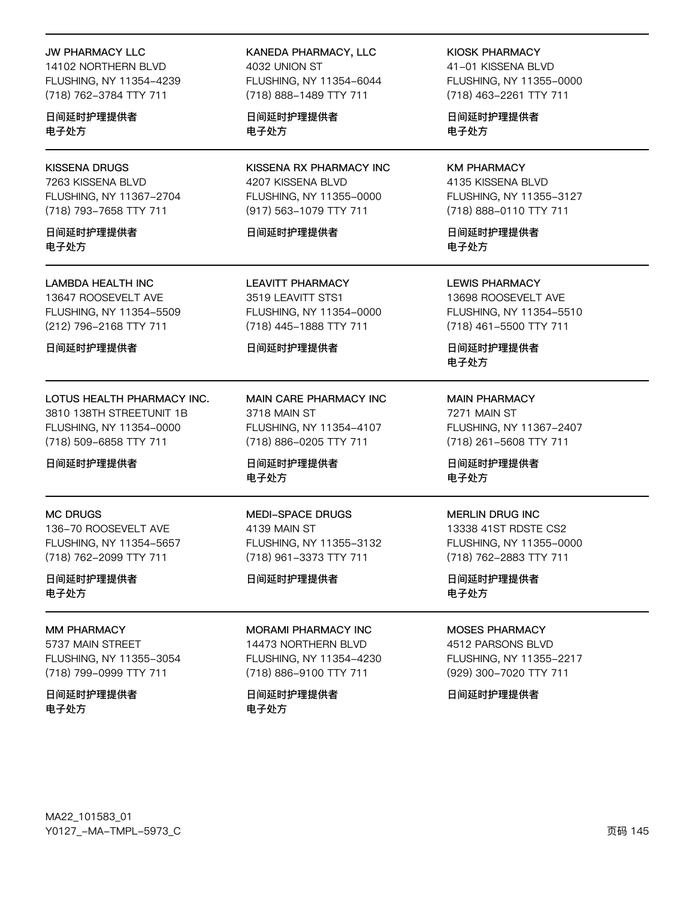#### JW PHARMACY LLC

14102 NORTHERN BLVD FLUSHING, NY 11354-4239 (718) 762-3784 TTY 711

日间延时护理提供者 电子处方

### KISSENA DRUGS

7263 KISSENA BLVD FLUSHING, NY 11367-2704 (718) 793-7658 TTY 711

日间延时护理提供者 电子处方

#### LAMBDA HEALTH INC

13647 ROOSEVELT AVE FLUSHING, NY 11354-5509 (212) 796-2168 TTY 711

日间延时护理提供者

# LOTUS HEALTH PHARMACY INC.

3810 138TH STREETUNIT 1B FLUSHING, NY 11354-0000 (718) 509-6858 TTY 711

日间延时护理提供者

#### MC DRUGS

136-70 ROOSEVELT AVE FLUSHING, NY 11354-5657 (718) 762-2099 TTY 711

日间延时护理提供者 电子处方

### MM PHARMACY

5737 MAIN STREET FLUSHING, NY 11355-3054 (718) 799-0999 TTY 711

日间延时护理提供者 电子处方

#### KANEDA PHARMACY, LLC 4032 UNION ST FLUSHING, NY 11354-6044 (718) 888-1489 TTY 711

日间延时护理提供者 电子处方

KISSENA RX PHARMACY INC 4207 KISSENA BLVD FLUSHING, NY 11355-0000 (917) 563-1079 TTY 711

#### 日间延时护理提供者

LEAVITT PHARMACY 3519 LEAVITT STS1 FLUSHING, NY 11354-0000 (718) 445-1888 TTY 711

#### 日间延时护理提供者

MAIN CARE PHARMACY INC 3718 MAIN ST FLUSHING, NY 11354-4107 (718) 886-0205 TTY 711

日间延时护理提供者 电子处方

MEDI-SPACE DRUGS 4139 MAIN ST FLUSHING, NY 11355-3132 (718) 961-3373 TTY 711

#### 日间延时护理提供者

MORAMI PHARMACY INC 14473 NORTHERN BLVD FLUSHING, NY 11354-4230

(718) 886-9100 TTY 711

日间延时护理提供者 电子处方

### KIOSK PHARMACY

41-01 KISSENA BLVD FLUSHING, NY 11355-0000 (718) 463-2261 TTY 711

日间延时护理提供者 电子处方

#### KM PHARMACY 4135 KISSENA BLVD FLUSHING, NY 11355-3127 (718) 888-0110 TTY 711

日间延时护理提供者 电子处方

LEWIS PHARMACY 13698 ROOSEVELT AVE FLUSHING, NY 11354-5510 (718) 461-5500 TTY 711

日间延时护理提供者 电子处方

#### MAIN PHARMACY 7271 MAIN ST FLUSHING, NY 11367-2407 (718) 261-5608 TTY 711

日间延时护理提供者 电子处方

#### MERLIN DRUG INC

13338 41ST RDSTE CS2 FLUSHING, NY 11355-0000 (718) 762-2883 TTY 711

日间延时护理提供者 电子处方

### MOSES PHARMACY

4512 PARSONS BLVD FLUSHING, NY 11355-2217 (929) 300-7020 TTY 711

日间延时护理提供者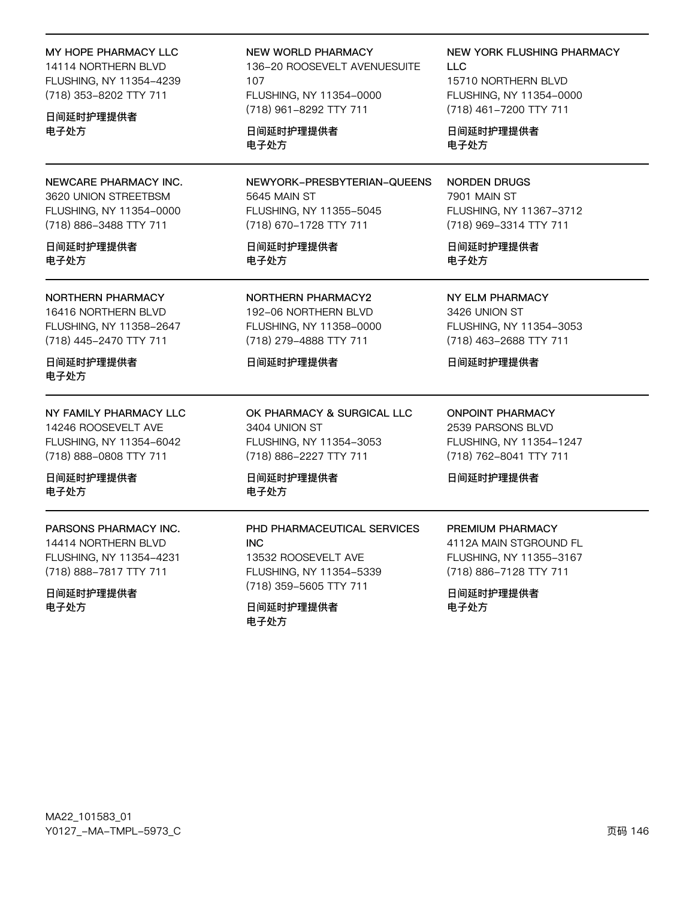# MY HOPE PHARMACY LLC

14114 NORTHERN BLVD FLUSHING, NY 11354-4239 (718) 353-8202 TTY 711

#### 日间延时护理提供者 电子处方

NEWCARE PHARMACY INC. 3620 UNION STREETBSM FLUSHING, NY 11354-0000 (718) 886-3488 TTY 711

#### 日间延时护理提供者 电子处方

NORTHERN PHARMACY

16416 NORTHERN BLVD FLUSHING, NY 11358-2647 (718) 445-2470 TTY 711

日间延时护理提供者 电子处方

#### NY FAMILY PHARMACY LLC 14246 ROOSEVELT AVE FLUSHING, NY 11354-6042

(718) 888-0808 TTY 711

日间延时护理提供者 电子处方

PARSONS PHARMACY INC. 14414 NORTHERN BLVD FLUSHING, NY 11354-4231

(718) 888-7817 TTY 711

日间延时护理提供者 电子处方

#### NEW WORLD PHARMACY

136-20 ROOSEVELT AVENUESUITE 107 FLUSHING, NY 11354-0000 (718) 961-8292 TTY 711

日间延时护理提供者 电子处方

NEWYORK-PRESBYTERIAN-QUEENS 5645 MAIN ST FLUSHING, NY 11355-5045 (718) 670-1728 TTY 711

日间延时护理提供者 电子处方

NORTHERN PHARMACY2 192-06 NORTHERN BLVD FLUSHING, NY 11358-0000 (718) 279-4888 TTY 711

### 日间延时护理提供者

OK PHARMACY & SURGICAL LLC 3404 UNION ST FLUSHING, NY 11354-3053 (718) 886-2227 TTY 711

PHD PHARMACEUTICAL SERVICES

日间延时护理提供者 电子处方

13532 ROOSEVELT AVE FLUSHING, NY 11354-5339 (718) 359-5605 TTY 711

日间延时护理提供者

INC

电子处方

ONPOINT PHARMACY 2539 PARSONS BLVD FLUSHING, NY 11354-1247 (718) 762-8041 TTY 711

日间延时护理提供者

### PREMIUM PHARMACY

4112A MAIN STGROUND FL FLUSHING, NY 11355-3167 (718) 886-7128 TTY 711

日间延时护理提供者 电子处方

LLC 15710 NORTHERN BLVD FLUSHING, NY 11354-0000 (718) 461-7200 TTY 711

NEW YORK FLUSHING PHARMACY

日间延时护理提供者 电子处方

NORDEN DRUGS 7901 MAIN ST FLUSHING, NY 11367-3712 (718) 969-3314 TTY 711

日间延时护理提供者 电子处方

NY ELM PHARMACY 3426 UNION ST FLUSHING, NY 11354-3053

(718) 463-2688 TTY 711

日间延时护理提供者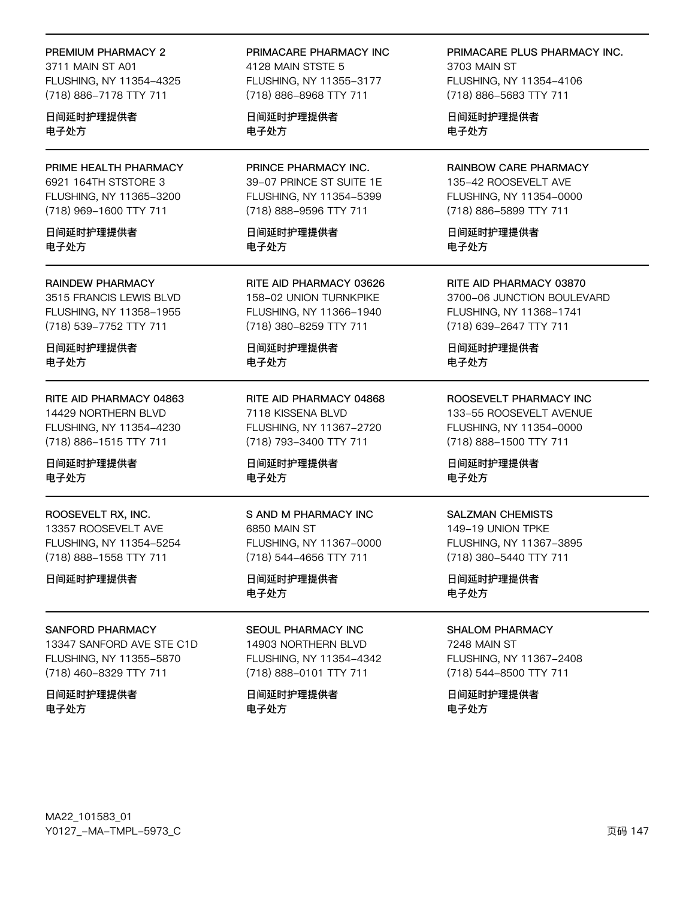#### PREMIUM PHARMACY 2

3711 MAIN ST A01 FLUSHING, NY 11354-4325 (718) 886-7178 TTY 711

日间延时护理提供者 电子处方

PRIME HEALTH PHARMACY 6921 164TH STSTORE 3 FLUSHING, NY 11365-3200 (718) 969-1600 TTY 711

日间延时护理提供者 电子外方

#### **RAINDEW PHARMACY**

3515 FRANCIS LEWIS BLVD FLUSHING, NY 11358-1955 (718) 539-7752 TTY 711

日间延时护理提供者 电子处方

RITE AID PHARMACY 04863 14429 NORTHERN BLVD FLUSHING, NY 11354-4230 (718) 886-1515 TTY 711

日间延时护理提供者 电子处方

ROOSEVELT RX, INC. 13357 ROOSEVELT AVE FLUSHING, NY 11354-5254 (718) 888-1558 TTY 711

日间延时护理提供者

#### SANFORD PHARMACY

13347 SANFORD AVE STE C1D FLUSHING, NY 11355-5870 (718) 460-8329 TTY 711

#### 日间延时护理提供者 电子处方

PRIMACARE PHARMACY INC

4128 MAIN STSTE 5 FLUSHING, NY 11355-3177 (718) 886-8968 TTY 711

日间延时护理提供者 电子处方

PRINCE PHARMACY INC. 39-07 PRINCE ST SUITE 1E FLUSHING, NY 11354-5399 (718) 888-9596 TTY 711

日间延时护理提供者 电子外方

RITE AID PHARMACY 03626 158-02 UNION TURNKPIKE FLUSHING, NY 11366-1940 (718) 380-8259 TTY 711

日间延时护理提供者 电子处方

RITE AID PHARMACY 04868 7118 KISSENA BLVD FLUSHING, NY 11367-2720 (718) 793-3400 TTY 711

日间延时护理提供者 电子处方

S AND M PHARMACY INC 6850 MAIN ST FLUSHING, NY 11367-0000

(718) 544-4656 TTY 711

日间延时护理提供者 电子处方

SEOUL PHARMACY INC 14903 NORTHERN BLVD FLUSHING, NY 11354-4342 (718) 888-0101 TTY 711

日间延时护理提供者 电子处方

PRIMACARE PLUS PHARMACY INC.

3703 MAIN ST FLUSHING, NY 11354-4106 (718) 886-5683 TTY 711

日间延时护理提供者 电子处方

RAINBOW CARE PHARMACY 135-42 ROOSEVELT AVE FLUSHING, NY 11354-0000 (718) 886-5899 TTY 711

日间延时护理提供者 电子外方

RITE AID PHARMACY 03870 3700-06 JUNCTION BOULEVARD FLUSHING, NY 11368-1741 (718) 639-2647 TTY 711

日间延时护理提供者 电子处方

ROOSEVELT PHARMACY INC

133-55 ROOSEVELT AVENUE FLUSHING, NY 11354-0000 (718) 888-1500 TTY 711

日间延时护理提供者 电子处方

#### **SALZMAN CHEMISTS**

149-19 UNION TPKE FLUSHING, NY 11367-3895 (718) 380-5440 TTY 711

日间延时护理提供者 电子处方

**SHALOM PHARMACY** 

7248 MAIN ST FLUSHING, NY 11367-2408 (718) 544-8500 TTY 711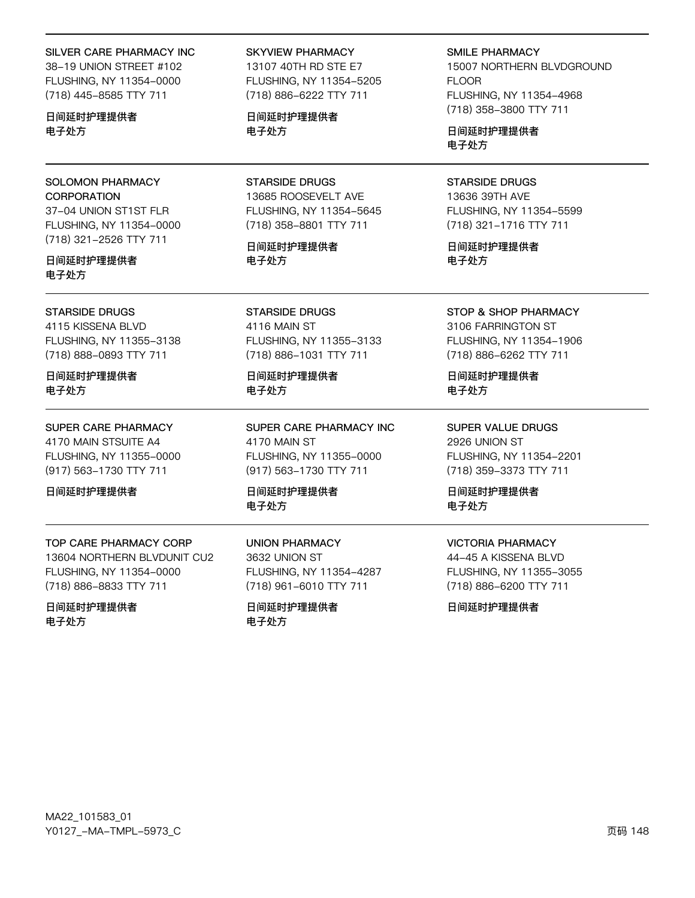#### SILVER CARE PHARMACY INC

38-19 UNION STREET #102 FLUSHING, NY 11354-0000 (718) 445-8585 TTY 711

日间延时护理提供者 电子处方

SOLOMON PHARMACY **CORPORATION** 37-04 UNION ST1ST FLR FLUSHING, NY 11354-0000 (718) 321-2526 TTY 711

日间延时护理提供者 电子处方

#### STARSIDE DRUGS

4115 KISSENA BLVD FLUSHING, NY 11355-3138 (718) 888-0893 TTY 711

日间延时护理提供者 电子处方

#### SUPER CARE PHARMACY

4170 MAIN STSUITE A4 FLUSHING, NY 11355-0000 (917) 563-1730 TTY 711

日间延时护理提供者

### TOP CARE PHARMACY CORP

13604 NORTHERN BLVDUNIT CU2 FLUSHING, NY 11354-0000 (718) 886-8833 TTY 711

日间延时护理提供者 电子处方

### SKYVIEW PHARMACY

13107 40TH RD STE E7 FLUSHING, NY 11354-5205 (718) 886-6222 TTY 711

日间延时护理提供者 电子处方

STARSIDE DRUGS 13685 ROOSEVELT AVE FLUSHING, NY 11354-5645 (718) 358-8801 TTY 711

日间延时护理提供者 电子处方

STARSIDE DRUGS 4116 MAIN ST FLUSHING, NY 11355-3133 (718) 886-1031 TTY 711

日间延时护理提供者 电子处方

SUPER CARE PHARMACY INC 4170 MAIN ST FLUSHING, NY 11355-0000 (917) 563-1730 TTY 711

日间延时护理提供者 电子处方

UNION PHARMACY 3632 UNION ST FLUSHING, NY 11354-4287 (718) 961-6010 TTY 711

日间延时护理提供者 电子处方

SMILE PHARMACY

15007 NORTHERN BLVDGROUND FLOOR FLUSHING, NY 11354-4968 (718) 358-3800 TTY 711

日间延时护理提供者 电子处方

STARSIDE DRUGS 13636 39TH AVE FLUSHING, NY 11354-5599 (718) 321-1716 TTY 711

日间延时护理提供者 电子处方

STOP & SHOP PHARMACY

3106 FARRINGTON ST FLUSHING, NY 11354-1906 (718) 886-6262 TTY 711

日间延时护理提供者 电子处方

SUPER VALUE DRUGS 2926 UNION ST FLUSHING, NY 11354-2201 (718) 359-3373 TTY 711

日间延时护理提供者 电子处方

### VICTORIA PHARMACY

44-45 A KISSENA BLVD FLUSHING, NY 11355-3055 (718) 886-6200 TTY 711

日间延时护理提供者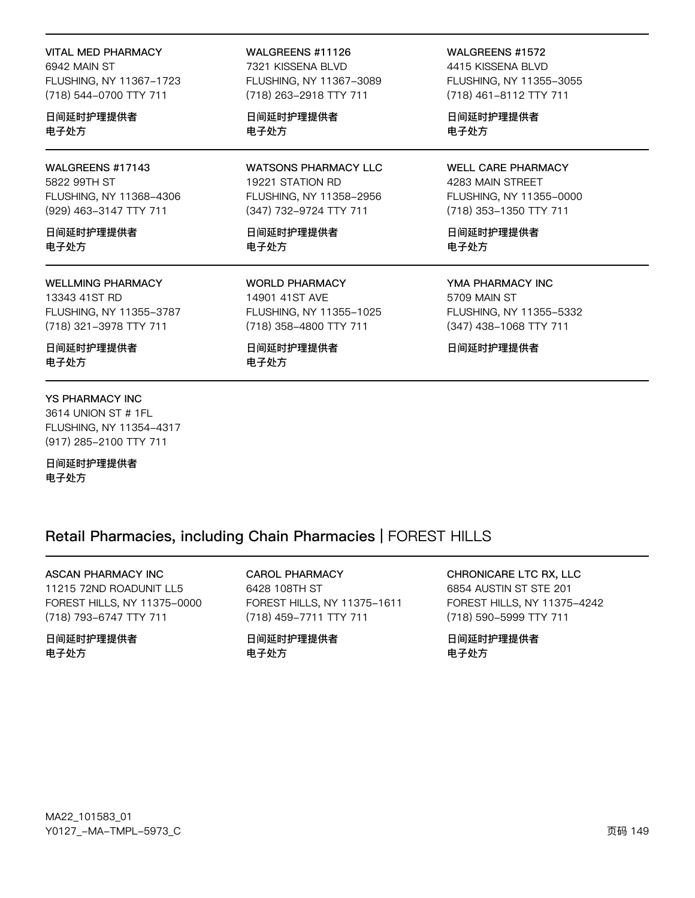VITAL MED PHARMACY 6942 MAIN ST FLUSHING, NY 11367-1723 (718) 544-0700 TTY 711

日间延时护理提供者 电子处方

WALGREENS #17143 5822 99TH ST FLUSHING, NY 11368-4306 (929) 463-3147 TTY 711

日间延时护理提供者 电子处方

#### WELLMING PHARMACY

13343 41ST RD FLUSHING, NY 11355-3787 (718) 321-3978 TTY 711

日间延时护理提供者 电子处方

#### YS PHARMACY INC

3614 UNION ST # 1FL FLUSHING, NY 11354-4317 (917) 285-2100 TTY 711

日间延时护理提供者 电子处方

#### WALGREENS #11126

7321 KISSENA BLVD FLUSHING, NY 11367-3089 (718) 263-2918 TTY 711

日间延时护理提供者 电子处方

WATSONS PHARMACY LLC 19221 STATION RD FLUSHING, NY 11358-2956 (347) 732-9724 TTY 711

日间延时护理提供者 电子处方

WORLD PHARMACY 14901 41ST AVE FLUSHING, NY 11355-1025 (718) 358-4800 TTY 711

日间延时护理提供者 电子处方

WALGREENS #1572 4415 KISSENA BLVD FLUSHING, NY 11355-3055

(718) 461-8112 TTY 711

日间延时护理提供者 电子处方

WELL CARE PHARMACY 4283 MAIN STREET FLUSHING, NY 11355-0000 (718) 353-1350 TTY 711

日间延时护理提供者 电子处方

YMA PHARMACY INC 5709 MAIN ST FLUSHING, NY 11355-5332 (347) 438-1068 TTY 711

日间延时护理提供者

### Retail Pharmacies, including Chain Pharmacies | FOREST HILLS

#### ASCAN PHARMACY INC

11215 72ND ROADUNIT LL5 FOREST HILLS, NY 11375-0000 (718) 793-6747 TTY 711

#### 日间延时护理提供者 电子处方

CAROL PHARMACY 6428 108TH ST FOREST HILLS, NY 11375-1611 (718) 459-7711 TTY 711

日间延时护理提供者 电子处方

CHRONICARE LTC RX, LLC 6854 AUSTIN ST STE 201 FOREST HILLS, NY 11375-4242 (718) 590-5999 TTY 711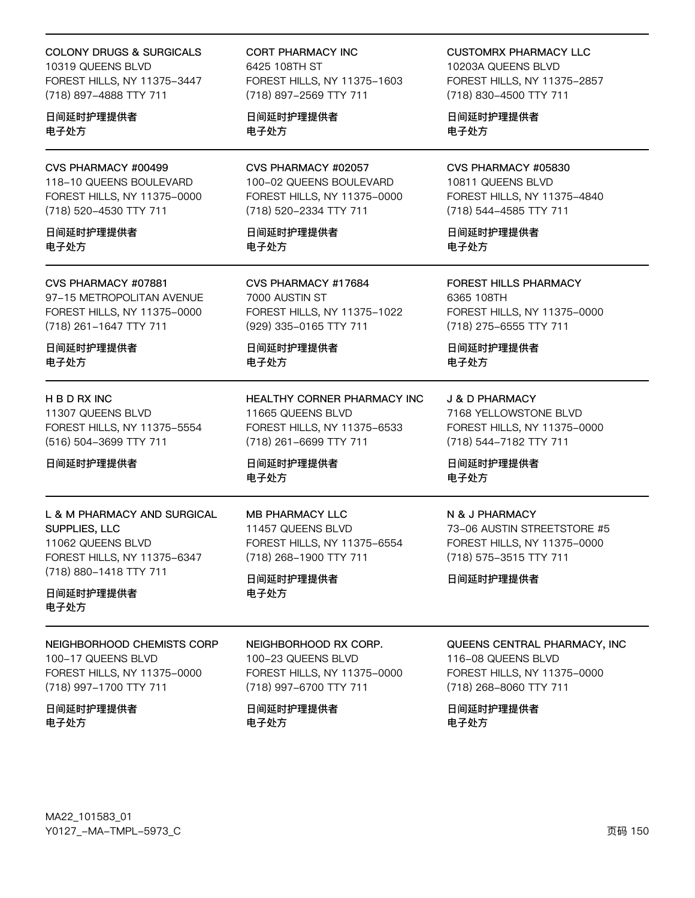### COLONY DRUGS & SURGICALS

10319 QUEENS BLVD FOREST HILLS, NY 11375-3447 (718) 897-4888 TTY 711

#### 日间延时护理提供者 电子处方

CVS PHARMACY #00499 118-10 QUEENS BOULEVARD FOREST HILLS, NY 11375-0000 (718) 520-4530 TTY 711

日间延时护理提供者 电子处方

#### CVS PHARMACY #07881

97-15 METROPOLITAN AVENUE FOREST HILLS, NY 11375-0000 (718) 261-1647 TTY 711

日间延时护理提供者 电子处方

#### H B D RX INC

11307 QUEENS BLVD FOREST HILLS, NY 11375-5554 (516) 504-3699 TTY 711

日间延时护理提供者

#### L & M PHARMACY AND SURGICAL SUPPLIES, LLC

11062 QUEENS BLVD FOREST HILLS, NY 11375-6347 (718) 880-1418 TTY 711

日间延时护理提供者 电子处方

### NEIGHBORHOOD CHEMISTS CORP

100-17 QUEENS BLVD FOREST HILLS, NY 11375-0000 (718) 997-1700 TTY 711

日间延时护理提供者 电子处方

CORT PHARMACY INC 6425 108TH ST FOREST HILLS, NY 11375-1603 (718) 897-2569 TTY 711

日间延时护理提供者 电子处方

CVS PHARMACY #02057 100-02 QUEENS BOULEVARD FOREST HILLS, NY 11375-0000 (718) 520-2334 TTY 711

日间延时护理提供者 电子处方

CVS PHARMACY #17684 7000 AUSTIN ST FOREST HILLS, NY 11375-1022 (929) 335-0165 TTY 711

日间延时护理提供者 电子处方

HEALTHY CORNER PHARMACY INC 11665 QUEENS BLVD FOREST HILLS, NY 11375-6533 (718) 261-6699 TTY 711

日间延时护理提供者 电子处方

MB PHARMACY LLC 11457 QUEENS BLVD FOREST HILLS, NY 11375-6554 (718) 268-1900 TTY 711

NEIGHBORHOOD RX CORP. 100-23 QUEENS BLVD

FOREST HILLS, NY 11375-0000 (718) 997-6700 TTY 711

日间延时护理提供者 电子处方

日间延时护理提供者

电子处方

CUSTOMRX PHARMACY LLC 10203A QUEENS BLVD FOREST HILLS, NY 11375-2857 (718) 830-4500 TTY 711

日间延时护理提供者 电子处方

### CVS PHARMACY #05830

10811 QUEENS BLVD FOREST HILLS, NY 11375-4840 (718) 544-4585 TTY 711

日间延时护理提供者 电子处方

FOREST HILLS PHARMACY 6365 108TH FOREST HILLS, NY 11375-0000 (718) 275-6555 TTY 711

日间延时护理提供者 电子处方

J & D PHARMACY

7168 YELLOWSTONE BLVD FOREST HILLS, NY 11375-0000 (718) 544-7182 TTY 711

日间延时护理提供者 电子处方

#### N & J PHARMACY

73-06 AUSTIN STREETSTORE #5 FOREST HILLS, NY 11375-0000 (718) 575-3515 TTY 711

日间延时护理提供者

#### QUEENS CENTRAL PHARMACY, INC

116-08 QUEENS BLVD FOREST HILLS, NY 11375-0000 (718) 268-8060 TTY 711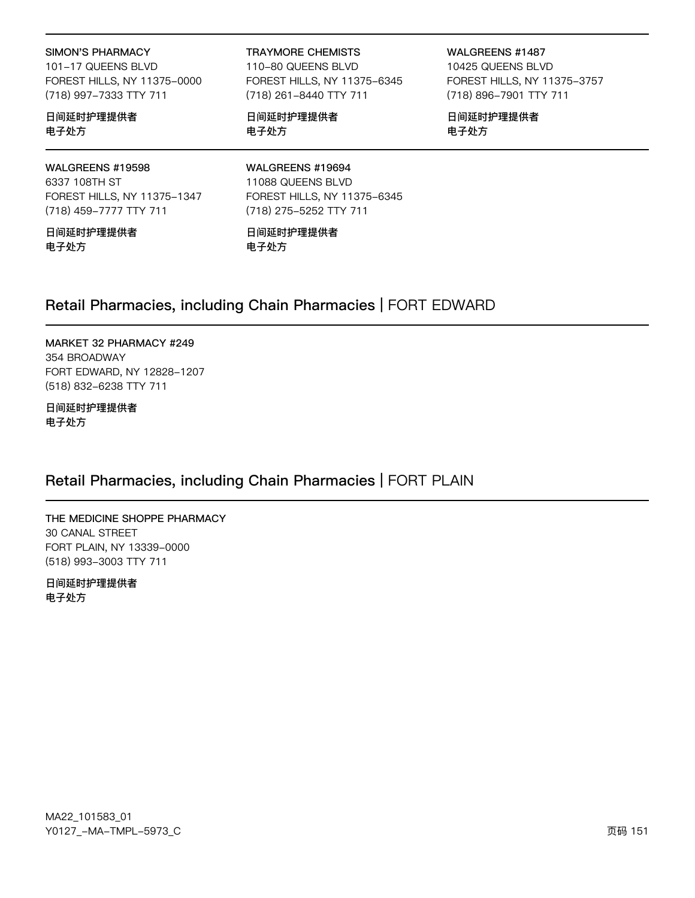#### **SIMON'S PHARMACY**

101-17 QUEENS BLVD FOREST HILLS, NY 11375-0000 (718) 997-7333 TTY 711

#### 日间延时护理提供者 电子处方

### WALGREENS #19598

6337 108TH ST FOREST HILLS, NY 11375-1347 (718) 459-7777 TTY 711

日间延时护理提供者 电子处方

#### **TRAYMORE CHEMISTS**

110-80 QUEENS BLVD FOREST HILLS, NY 11375-6345 (718) 261-8440 TTY 711

日间延时护理提供者 电子处方

WALGREENS #1487 10425 QUEENS BLVD FOREST HILLS, NY 11375-3757 (718) 896-7901 TTY 711

日间延时护理提供者 电子处方

WALGREENS #19694 11088 QUEENS BLVD FOREST HILLS, NY 11375-6345 (718) 275-5252 TTY 711

日间延时护理提供者 电子处方

# Retail Pharmacies, including Chain Pharmacies | FORT EDWARD

### MARKET 32 PHARMACY #249

354 BROADWAY FORT EDWARD, NY 12828-1207 (518) 832-6238 TTY 711

日间延时护理提供者 电子处方

# Retail Pharmacies, including Chain Pharmacies | FORT PLAIN

THE MEDICINE SHOPPE PHARMACY **30 CANAL STREET** FORT PLAIN, NY 13339-0000 (518) 993-3003 TTY 711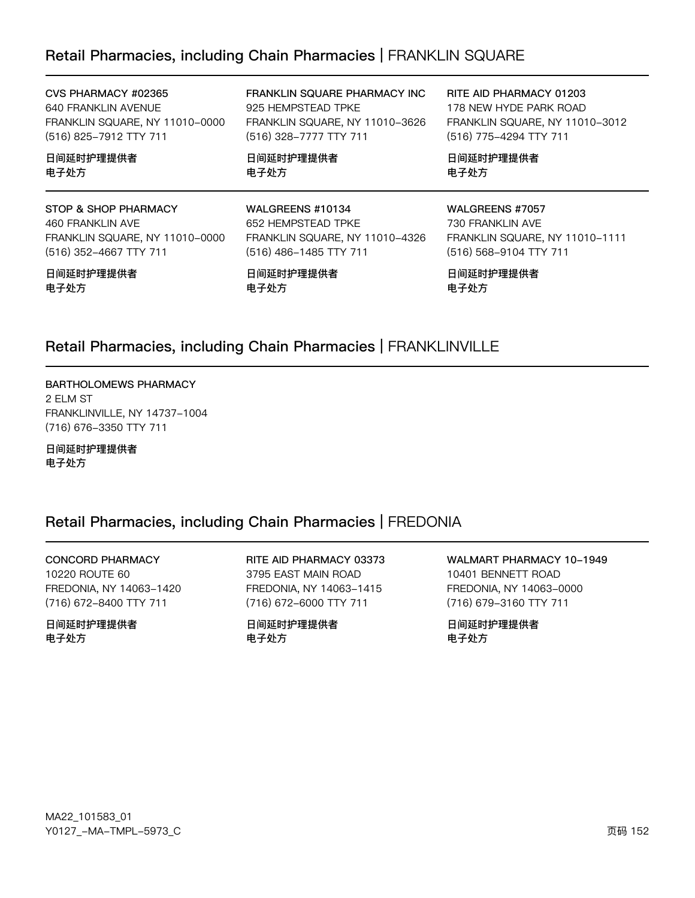### Retail Pharmacies, including Chain Pharmacies | FRANKLIN SQUARE

CVS PHARMACY #02365 640 FRANKLIN AVENUE FRANKLIN SQUARE, NY 11010-0000 (516) 825-7912 TTY 711

日间延时护理提供者 电子处方

STOP & SHOP PHARMACY 460 FRANKLIN AVE FRANKLIN SQUARE, NY 11010-0000 (516) 352-4667 TTY 711

#### 日间延时护理提供者 电子处方

FRANKLIN SQUARE PHARMACY INC 925 HEMPSTEAD TPKE FRANKLIN SQUARE, NY 11010-3626 (516) 328-7777 TTY 711

FRANKLIN SQUARE, NY 11010-4326

日间延时护理提供者 电子处方

WALGREENS #10134

652 HEMPSTEAD TPKE

(516) 486-1485 TTY 711

日间延时护理提供者

RITE AID PHARMACY 01203 178 NEW HYDE PARK ROAD FRANKLIN SQUARE, NY 11010-3012 (516) 775-4294 TTY 711

日间延时护理提供者 电子处方

WALGREENS #7057 730 FRANKLIN AVE FRANKLIN SQUARE, NY 11010-1111 (516) 568-9104 TTY 711

日间延时护理提供者 电子处方

### Retail Pharmacies, including Chain Pharmacies | FRANKLINVILLE

电子处方

BARTHOLOMEWS PHARMACY 2 ELM ST FRANKLINVILLE, NY 14737-1004 (716) 676-3350 TTY 711

日间延时护理提供者 电子处方

### Retail Pharmacies, including Chain Pharmacies | FREDONIA

**CONCORD PHARMACY** 10220 ROUTE 60 FREDONIA, NY 14063-1420

(716) 672-8400 TTY 711

日间延时护理提供者 电子外方

RITE AID PHARMACY 03373 3795 EAST MAIN ROAD FREDONIA, NY 14063-1415 (716) 672-6000 TTY 711

日间延时护理提供者 电子外方

WALMART PHARMACY 10-1949 10401 BENNETT ROAD FREDONIA, NY 14063-0000 (716) 679-3160 TTY 711

日间延时护理提供者 电子处方

MA22\_101583\_01 Y0127\_-MA-TMPL-5973\_C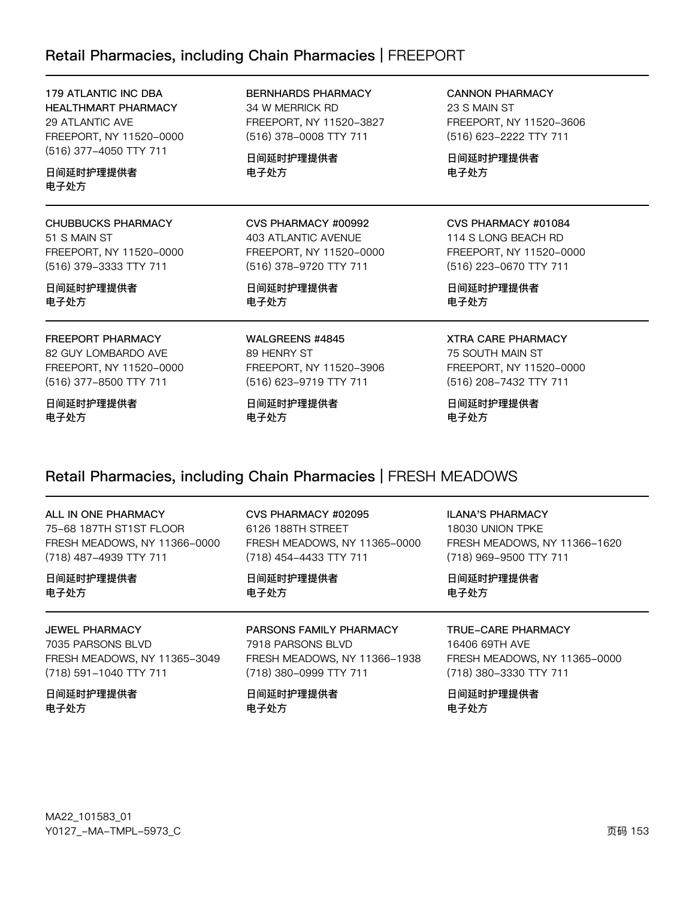# Retail Pharmacies, including Chain Pharmacies | FREEPORT

| 179 ATLANTIC INC DBA<br><b>HEALTHMART PHARMACY</b><br>29 ATLANTIC AVE<br>FREEPORT, NY 11520-0000<br>(516) 377-4050 TTY 711 | <b>BERNHARDS PHARMACY</b><br>34 W MERRICK RD<br>FREEPORT, NY 11520-3827<br>(516) 378-0008 TTY 711 | <b>CANNON PHARMACY</b><br>23 S MAIN ST<br>FREEPORT, NY 11520-3606<br>(516) 623-2222 TTY 711 |  |
|----------------------------------------------------------------------------------------------------------------------------|---------------------------------------------------------------------------------------------------|---------------------------------------------------------------------------------------------|--|
| 日间延时护理提供者                                                                                                                  | 日间延时护理提供者                                                                                         | 日间延时护理提供者                                                                                   |  |
| 电子处方                                                                                                                       | 电子处方                                                                                              | 电子处方                                                                                        |  |
| <b>CHUBBUCKS PHARMACY</b>                                                                                                  | CVS PHARMACY #00992                                                                               | CVS PHARMACY #01084                                                                         |  |
| 51 S MAIN ST                                                                                                               | 403 ATLANTIC AVENUE                                                                               | 114 S LONG BEACH RD                                                                         |  |
| FREEPORT, NY 11520-0000                                                                                                    | FREEPORT, NY 11520-0000                                                                           | FREEPORT, NY 11520-0000                                                                     |  |
| (516) 379-3333 TTY 711                                                                                                     | (516) 378-9720 TTY 711                                                                            | (516) 223-0670 TTY 711                                                                      |  |
| 日间延时护理提供者                                                                                                                  | 日间延时护理提供者                                                                                         | 日间延时护理提供者                                                                                   |  |
| 电子处方                                                                                                                       | 电子处方                                                                                              | 电子处方                                                                                        |  |
| FREEPORT PHARMACY                                                                                                          | WALGREENS #4845                                                                                   | <b>XTRA CARE PHARMACY</b>                                                                   |  |
| 82 GUY LOMBARDO AVE                                                                                                        | 89 HENRY ST                                                                                       | 75 SOUTH MAIN ST                                                                            |  |
| FREEPORT, NY 11520-0000                                                                                                    | FREEPORT, NY 11520-3906                                                                           | FREEPORT, NY 11520-0000                                                                     |  |
| (516) 377-8500 TTY 711                                                                                                     | (516) 623-9719 TTY 711                                                                            | (516) 208-7432 TTY 711                                                                      |  |
| 日间延时护理提供者                                                                                                                  | 日间延时护理提供者                                                                                         | 日间延时护理提供者                                                                                   |  |
| 电子处方                                                                                                                       | 电子处方                                                                                              | 电子处方                                                                                        |  |

# Retail Pharmacies, including Chain Pharmacies | FRESH MEADOWS

| ALL IN ONE PHARMACY          | CVS PHARMACY #02095          | <b>ILANA'S PHARMACY</b>      |
|------------------------------|------------------------------|------------------------------|
| 75-68 187TH ST1ST FLOOR      | 6126 188TH STREET            | 18030 UNION TPKE             |
| FRESH MEADOWS, NY 11366-0000 | FRESH MEADOWS, NY 11365-0000 | FRESH MEADOWS, NY 11366-1620 |
| (718) 487-4939 TTY 711       | (718) 454-4433 TTY 711       | (718) 969-9500 TTY 711       |
| 日间延时护理提供者                    | 日间延时护理提供者                    | 日间延时护理提供者                    |
| 电子处方                         | 电子处方                         | 电子处方                         |
| <b>JEWEL PHARMACY</b>        | PARSONS FAMILY PHARMACY      | TRUE-CARE PHARMACY           |
| 7035 PARSONS BLVD            | 7918 PARSONS BLVD            | 16406 69TH AVE               |
| FRESH MEADOWS, NY 11365-3049 | FRESH MEADOWS, NY 11366-1938 | FRESH MEADOWS, NY 11365-0000 |
| (718) 591-1040 TTY 711       | (718) 380-0999 TTY 711       | (718) 380-3330 TTY 711       |
| 日间延时护理提供者                    | 日间延时护理提供者                    | 日间延时护理提供者                    |
| 电子处方                         | 电子处方                         | 电子处方                         |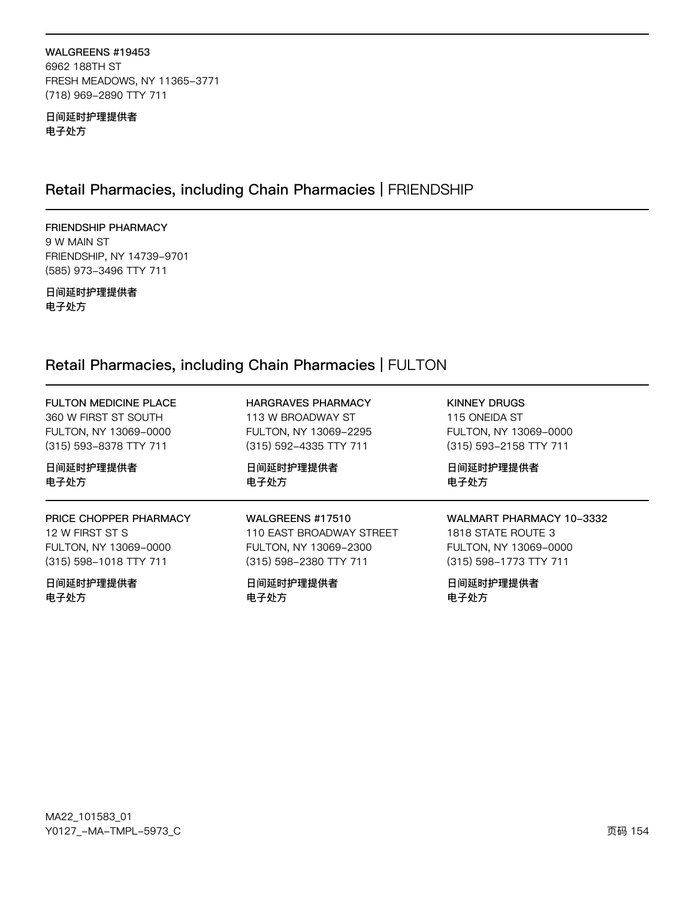#### WALGREENS #19453 6962 188TH ST FRESH MEADOWS, NY 11365-3771 (718) 969-2890 TTY 711

日间延时护理提供者 电子处方

# Retail Pharmacies, including Chain Pharmacies | FRIENDSHIP

FRIENDSHIP PHARMACY 9 W MAIN ST FRIENDSHIP, NY 14739-9701 (585) 973-3496 TTY 711

日间延时护理提供者 电子处方

# Retail Pharmacies, including Chain Pharmacies | FULTON

| <b>FULTON MEDICINE PLACE</b> | <b>HARGRAVES PHARMACY</b> | KINNEY DRUGS             |
|------------------------------|---------------------------|--------------------------|
| 360 W FIRST ST SOUTH         | 113 W BROADWAY ST         | 115 ONEIDA ST            |
| FULTON, NY 13069-0000        | FULTON, NY 13069-2295     | FULTON, NY 13069-0000    |
| (315) 593-8378 TTY 711       | (315) 592-4335 TTY 711    | (315) 593-2158 TTY 711   |
| 日间延时护理提供者                    | 日间延时护理提供者                 | 日间延时护理提供者                |
| 电子处方                         | 电子处方                      | 电子处方                     |
| PRICE CHOPPER PHARMACY       | WALGREENS #17510          | WALMART PHARMACY 10-3332 |
| 12 W FIRST ST S              | 110 EAST BROADWAY STREET  | 1818 STATE ROUTE 3       |
| FULTON, NY 13069-0000        | FULTON, NY 13069-2300     | FULTON, NY 13069-0000    |
| (315) 598-1018 TTY 711       | (315) 598-2380 TTY 711    | (315) 598-1773 TTY 711   |
| 日间延时护理提供者                    | 日间延时护理提供者                 | 日间延时护理提供者                |
| 电子处方                         | 电子处方                      | 电子处方                     |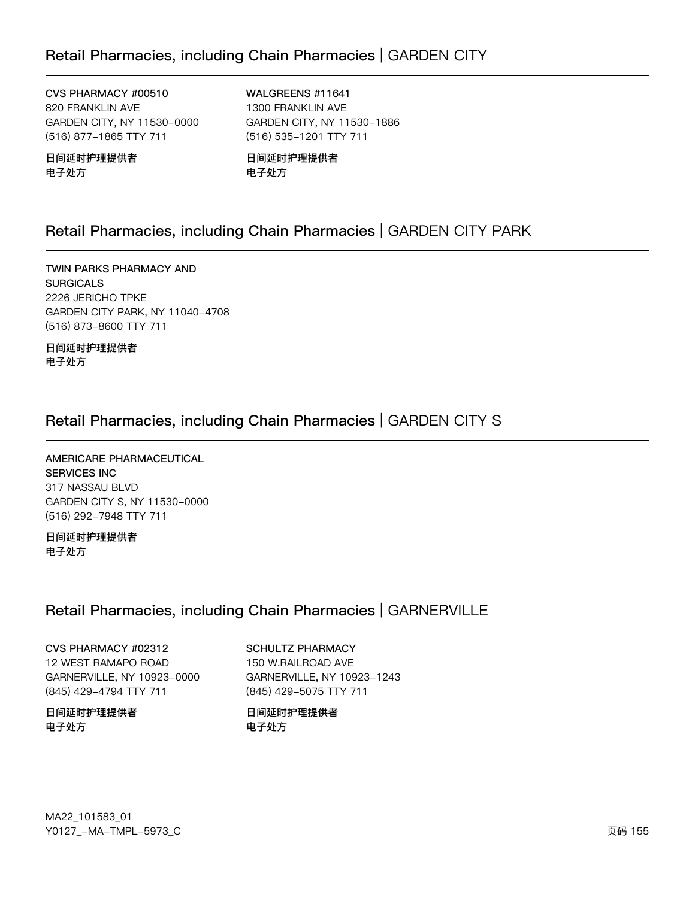CVS PHARMACY #00510 820 FRANKLIN AVE GARDEN CITY, NY 11530-0000 (516) 877-1865 TTY 711

日间延时护理提供者 电子处方

WALGREENS #11641 1300 FRANKLIN AVE GARDEN CITY, NY 11530-1886 (516) 535-1201 TTY 711

日间延时护理提供者 电子处方

# Retail Pharmacies, including Chain Pharmacies | GARDEN CITY PARK

TWIN PARKS PHARMACY AND **SURGICALS** 2226 JERICHO TPKE GARDEN CITY PARK, NY 11040-4708 (516) 873-8600 TTY 711

日间延时护理提供者 电子处方

# Retail Pharmacies, including Chain Pharmacies | GARDEN CITY S

AMERICARE PHARMACEUTICAL **SERVICES INC** 317 NASSAU BLVD GARDEN CITY S, NY 11530-0000 (516) 292-7948 TTY 711

日间延时护理提供者 电子处方

### Retail Pharmacies, including Chain Pharmacies | GARNERVILLE

#### CVS PHARMACY #02312

12 WEST RAMAPO ROAD GARNERVILLE, NY 10923-0000 (845) 429-4794 TTY 711

日间延时护理提供者 电子处方

### **SCHULTZ PHARMACY**

150 W.RAILROAD AVE GARNERVILLE, NY 10923-1243 (845) 429-5075 TTY 711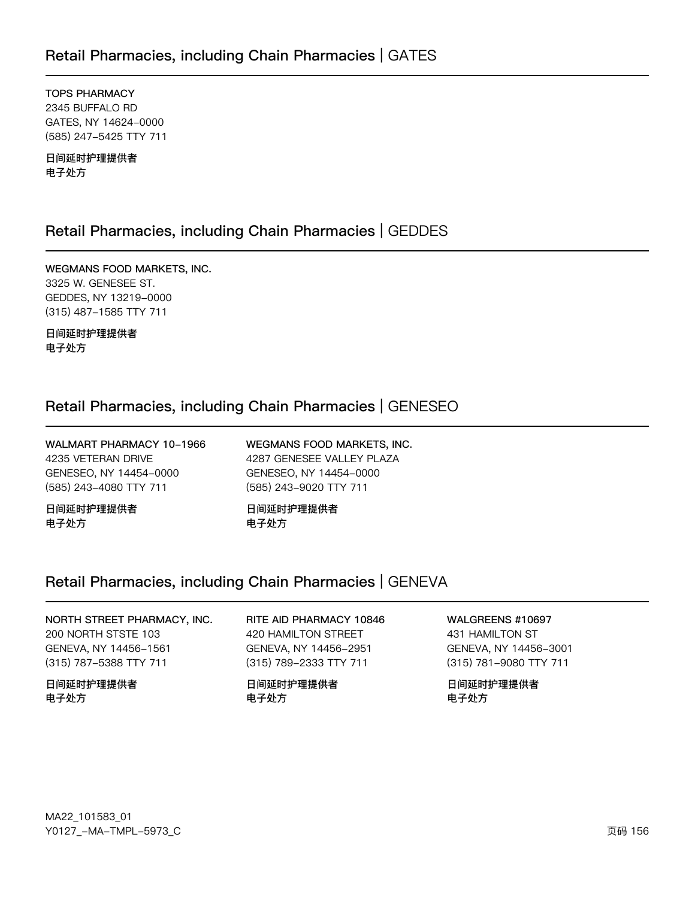**TOPS PHARMACY** 2345 BUFFALO RD GATES, NY 14624-0000 (585) 247-5425 TTY 711

日间延时护理提供者 电子处方

### Retail Pharmacies, including Chain Pharmacies | GEDDES

WEGMANS FOOD MARKETS, INC. 3325 W. GENESEE ST. GEDDES, NY 13219-0000 (315) 487-1585 TTY 711

日间延时护理提供者 电子处方

# Retail Pharmacies, including Chain Pharmacies | GENESEO

WALMART PHARMACY 10-1966 4235 VETERAN DRIVE GENESEO, NY 14454-0000 (585) 243-4080 TTY 711

日间延时护理提供者 电子处方

WEGMANS FOOD MARKETS, INC. 4287 GENESEE VALLEY PLAZA GENESEO, NY 14454-0000 (585) 243-9020 TTY 711

日间延时护理提供者 电子处方

### Retail Pharmacies, including Chain Pharmacies | GENEVA

### NORTH STREET PHARMACY, INC. 200 NORTH STSTE 103 GENEVA, NY 14456-1561 (315) 787-5388 TTY 711

日间延时护理提供者 电子处方

#### RITE AID PHARMACY 10846 420 HAMILTON STREET GENEVA, NY 14456-2951 (315) 789-2333 TTY 711

日间延时护理提供者 电子处方

### **WALGREENS #10697**

431 HAMILTON ST GENEVA, NY 14456-3001 (315) 781-9080 TTY 711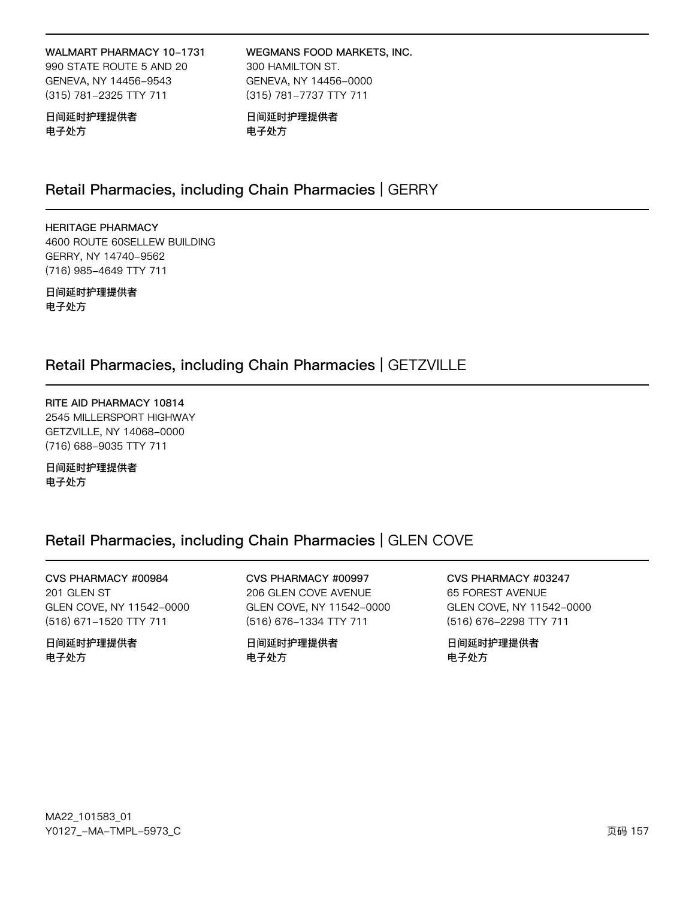#### WALMART PHARMACY 10-1731

990 STATE ROUTE 5 AND 20 GENEVA, NY 14456-9543 (315) 781-2325 TTY 711

WEGMANS FOOD MARKETS, INC. 300 HAMILTON ST. GENEVA, NY 14456-0000 (315) 781-7737 TTY 711

#### 日间延时护理提供者 电子处方

日间延时护理提供者 电子处方

## Retail Pharmacies, including Chain Pharmacies | GERRY

**HERITAGE PHARMACY** 4600 ROUTE 60SELLEW BUILDING GERRY, NY 14740-9562 (716) 985-4649 TTY 711

日间延时护理提供者 电子处方

### Retail Pharmacies, including Chain Pharmacies | GETZVILLE

RITE AID PHARMACY 10814 2545 MILLERSPORT HIGHWAY GETZVILLE, NY 14068-0000 (716) 688-9035 TTY 711

日间延时护理提供者 电子处方

### Retail Pharmacies, including Chain Pharmacies | GLEN COVE

CVS PHARMACY #00984 201 GLEN ST GLEN COVE, NY 11542-0000 (516) 671-1520 TTY 711

日间延时护理提供者 电子处方

CVS PHARMACY #00997 206 GLEN COVE AVENUE GLEN COVE, NY 11542-0000 (516) 676-1334 TTY 711

日间延时护理提供者 电子处方

CVS PHARMACY #03247 65 FOREST AVENUE GLEN COVE, NY 11542-0000 (516) 676-2298 TTY 711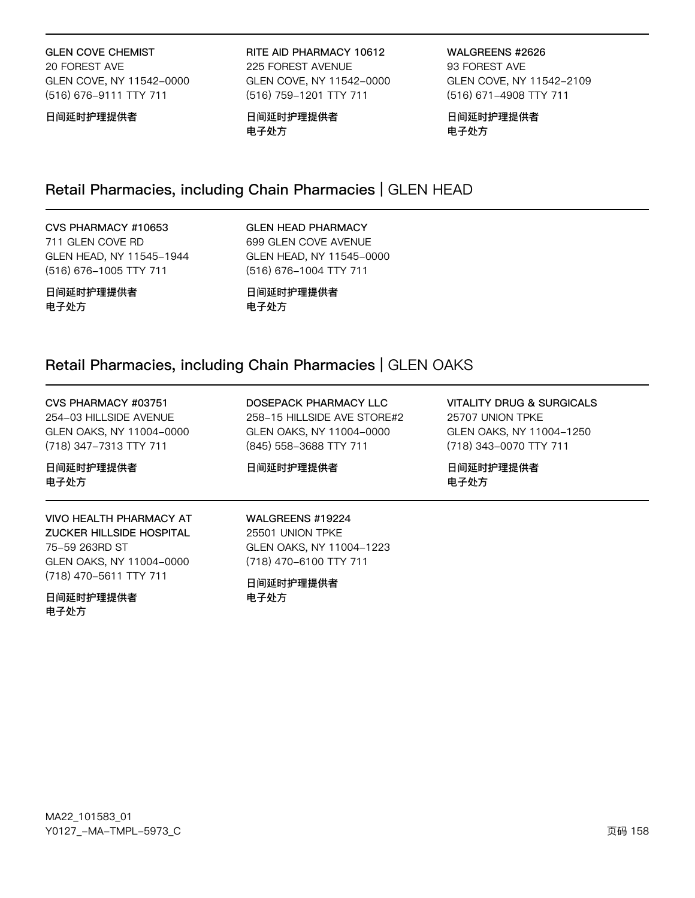**GLEN COVE CHEMIST** 20 FOREST AVE GLEN COVE, NY 11542-0000 (516) 676-9111 TTY 711

日间延时护理提供者

RITE AID PHARMACY 10612 225 FOREST AVENUE GLEN COVE, NY 11542-0000 (516) 759-1201 TTY 711

日间延时护理提供者 电子处方

WALGREENS #2626 93 FOREST AVE GLEN COVE, NY 11542-2109 (516) 671-4908 TTY 711

日间延时护理提供者 电子处方

## Retail Pharmacies, including Chain Pharmacies | GLEN HEAD

#### CVS PHARMACY #10653 711 GLEN COVE RD GLEN HEAD, NY 11545-1944

(516) 676-1005 TTY 711

**GLEN HEAD PHARMACY** 699 GLEN COVE AVENUE GLEN HEAD, NY 11545-0000 (516) 676-1004 TTY 711

日间延时护理提供者 电子处方

日间延时护理提供者 电子处方

### Retail Pharmacies, including Chain Pharmacies | GLEN OAKS

CVS PHARMACY #03751 254-03 HILLSIDE AVENUE GLEN OAKS, NY 11004-0000 (718) 347-7313 TTY 711

日间延时护理提供者 电子处方

**VIVO HEALTH PHARMACY AT ZUCKER HILLSIDE HOSPITAL** 75-59 263RD ST GLEN OAKS, NY 11004-0000 (718) 470-5611 TTY 711

日间延时护理提供者 电子处方

DOSEPACK PHARMACY LLC 258-15 HILLSIDE AVE STORE#2 GLEN OAKS, NY 11004-0000 (845) 558-3688 TTY 711

日间延时护理提供者

**VITALITY DRUG & SURGICALS** 25707 UNION TPKE GLEN OAKS, NY 11004-1250 (718) 343-0070 TTY 711

日间延时护理提供者 电子处方

WALGREENS #19224 25501 UNION TPKE GLEN OAKS, NY 11004-1223 (718) 470-6100 TTY 711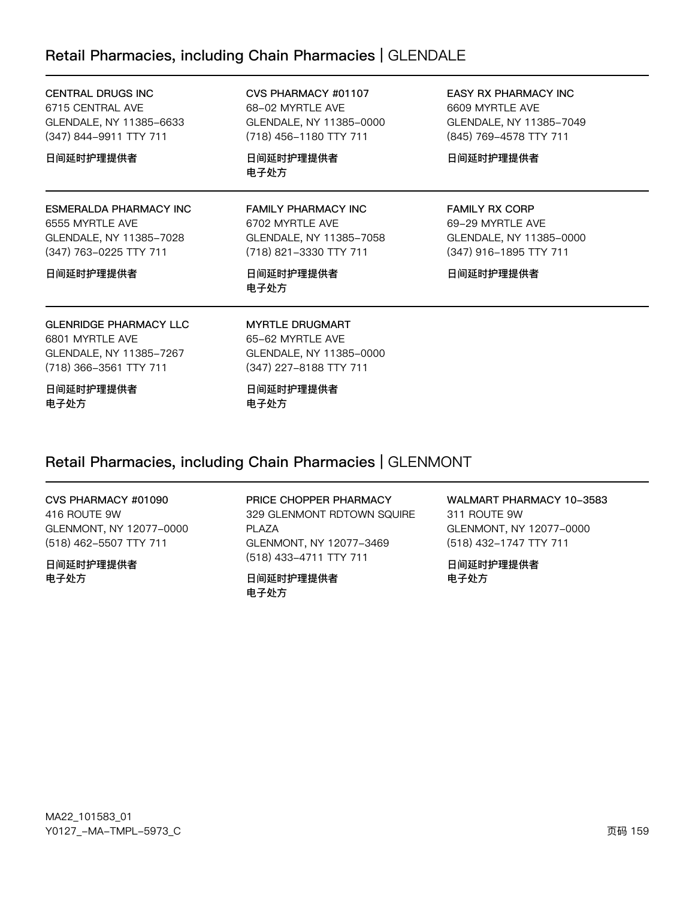### Retail Pharmacies, including Chain Pharmacies | GLENDALE

| <b>CENTRAL DRUGS INC</b><br>6715 CENTRAL AVE<br>GLENDALE, NY 11385-6633<br>(347) 844–9911 TTY 711     | CVS PHARMACY #01107<br>68-02 MYRTLE AVE<br>GLENDALE, NY 11385-0000<br>(718) 456-1180 TTY 711       | <b>EASY RX PHARMACY INC</b><br>6609 MYRTLE AVE<br>GLENDALE, NY 11385-7049<br>(845) 769-4578 TTY 711 |
|-------------------------------------------------------------------------------------------------------|----------------------------------------------------------------------------------------------------|-----------------------------------------------------------------------------------------------------|
| 日间延时护理提供者                                                                                             | 日间延时护理提供者<br>电子处方                                                                                  | 日间延时护理提供者                                                                                           |
| ESMERALDA PHARMACY INC<br>6555 MYRTLE AVE<br>GLENDALE, NY 11385-7028<br>(347) 763-0225 TTY 711        | <b>FAMILY PHARMACY INC</b><br>6702 MYRTLE AVE<br>GLENDALE, NY 11385-7058<br>(718) 821-3330 TTY 711 | <b>FAMILY RX CORP</b><br>69-29 MYRTLE AVE<br>GLENDALE, NY 11385-0000<br>(347) 916-1895 TTY 711      |
| 日间延时护理提供者                                                                                             | 日间延时护理提供者<br>电子处方                                                                                  | 日间延时护理提供者                                                                                           |
| <b>GLENRIDGE PHARMACY LLC</b><br>6801 MYRTLE AVE<br>GLENDALE, NY 11385-7267<br>(718) 366-3561 TTY 711 | <b>MYRTLE DRUGMART</b><br>65-62 MYRTLE AVE<br>GLENDALE, NY 11385-0000<br>(347) 227-8188 TTY 711    |                                                                                                     |
| 日间延时护理提供者<br>电子处方                                                                                     | 日间延时护理提供者<br>电子处方                                                                                  |                                                                                                     |

### Retail Pharmacies, including Chain Pharmacies | GLENMONT

#### CVS PHARMACY #01090

416 ROUTE 9W GLENMONT, NY 12077-0000 (518) 462-5507 TTY 711

日间延时护理提供者 电子处方

PRICE CHOPPER PHARMACY 329 GLENMONT RDTOWN SQUIRE PLAZA GLENMONT, NY 12077-3469 (518) 433-4711 TTY 711

日间延时护理提供者 电子处方

WALMART PHARMACY 10-3583 311 ROUTE 9W GLENMONT, NY 12077-0000 (518) 432-1747 TTY 711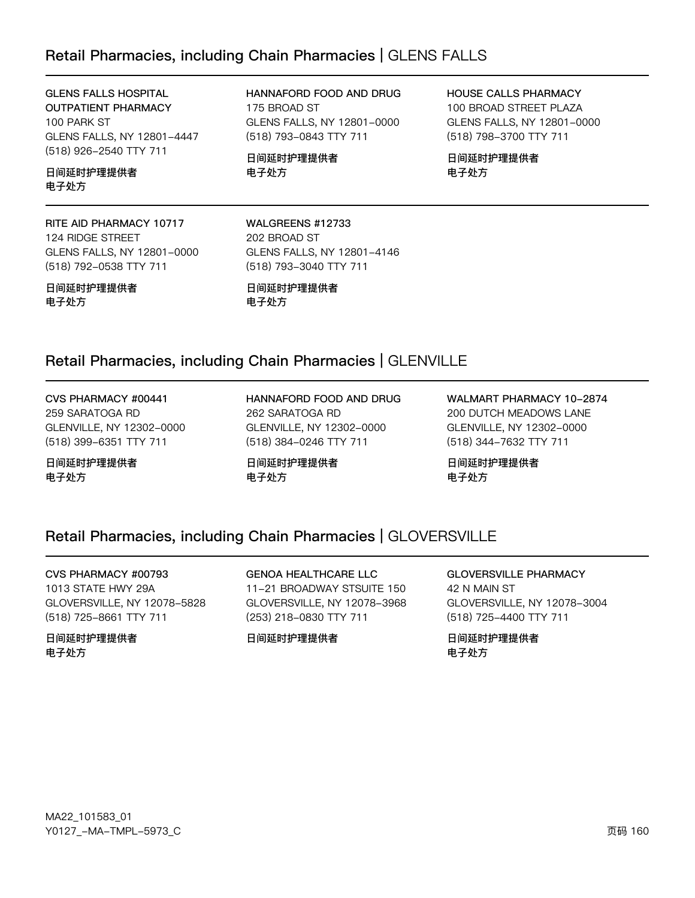### Retail Pharmacies, including Chain Pharmacies | GLENS FALLS

**GLENS FALLS HOSPITAL OUTPATIENT PHARMACY** 100 PARK ST GLENS FALLS, NY 12801-4447 (518) 926-2540 TTY 711

日间延时护理提供者 电子处方

RITE AID PHARMACY 10717 124 RIDGE STREET GLENS FALLS, NY 12801-0000 (518) 792-0538 TTY 711

日间延时护理提供者 电子处方

HANNAFORD FOOD AND DRUG 175 BROAD ST GLENS FALLS, NY 12801-0000 (518) 793-0843 TTY 711

日间延时护理提供者 电子处方

HOUSE CALLS PHARMACY 100 BROAD STREET PLAZA GLENS FALLS, NY 12801-0000

(518) 798-3700 TTY 711

日间延时护理提供者 电子处方

WALGREENS #12733 202 BROAD ST GLENS FALLS, NY 12801-4146 (518) 793-3040 TTY 711

日间延时护理提供者 电子处方

### Retail Pharmacies, including Chain Pharmacies | GLENVILLE

CVS PHARMACY #00441 259 SARATOGA RD GLENVILLE, NY 12302-0000

(518) 399-6351 TTY 711

日间延时护理提供者 电子处方

HANNAFORD FOOD AND DRUG 262 SARATOGA RD GLENVILLE, NY 12302-0000 (518) 384-0246 TTY 711

日间延时护理提供者 电子处方

WALMART PHARMACY 10-2874 200 DUTCH MEADOWS LANE GLENVILLE, NY 12302-0000 (518) 344-7632 TTY 711

日间延时护理提供者 电子处方

### Retail Pharmacies, including Chain Pharmacies | GLOVERSVILLE

CVS PHARMACY #00793 1013 STATE HWY 29A GLOVERSVILLE, NY 12078-5828 (518) 725-8661 TTY 711

日间延时护理提供者 电子处方

**GENOA HEALTHCARE LLC** 11-21 BROADWAY STSUITE 150 GLOVERSVILLE, NY 12078-3968 (253) 218-0830 TTY 711

日间延时护理提供者

**GLOVERSVILLE PHARMACY** 42 N MAIN ST GLOVERSVILLE, NY 12078-3004 (518) 725-4400 TTY 711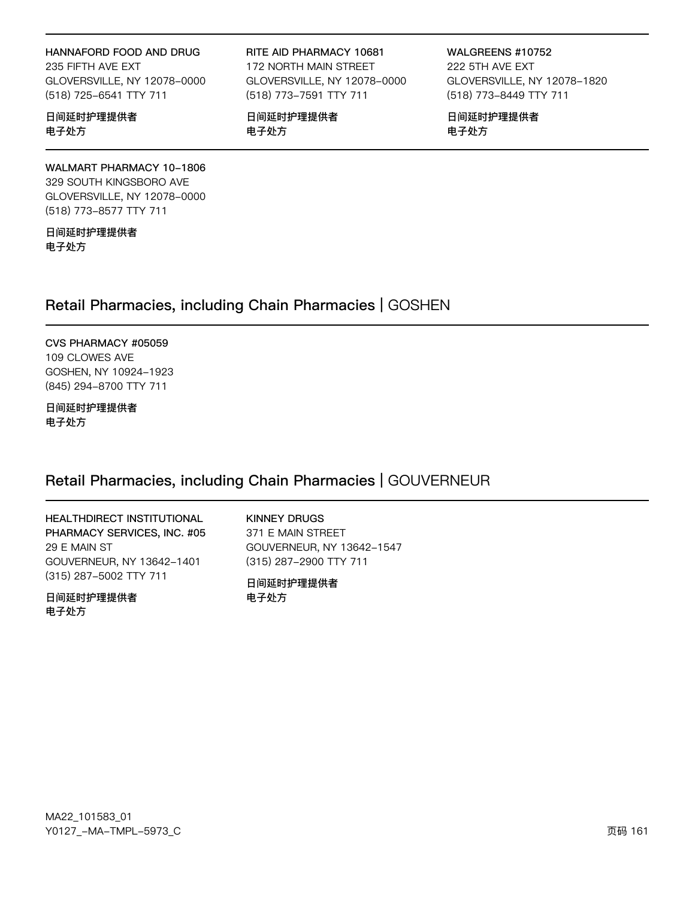#### HANNAFORD FOOD AND DRUG

235 FIFTH AVE EXT GLOVERSVILLE, NY 12078-0000 (518) 725-6541 TTY 711

日间延时护理提供者 电子处方

#### RITE AID PHARMACY 10681 172 NORTH MAIN STREET

GLOVERSVILLE, NY 12078-0000 (518) 773-7591 TTY 711

日间延时护理提供者 电子处方

WALGREENS #10752 222 5TH AVE EXT GLOVERSVILLE, NY 12078-1820 (518) 773-8449 TTY 711

日间延时护理提供者 电子处方

#### WALMART PHARMACY 10-1806 329 SOUTH KINGSBORO AVE GLOVERSVILLE, NY 12078-0000 (518) 773-8577 TTY 711

日间延时护理提供者 电子处方

# Retail Pharmacies, including Chain Pharmacies | GOSHEN

CVS PHARMACY #05059 109 CLOWES AVE GOSHEN, NY 10924-1923 (845) 294-8700 TTY 711

日间延时护理提供者 电子处方

### Retail Pharmacies, including Chain Pharmacies | GOUVERNEUR

HEALTHDIRECT INSTITUTIONAL PHARMACY SERVICES, INC. #05 29 E MAIN ST GOUVERNEUR, NY 13642-1401 (315) 287-5002 TTY 711

日间延时护理提供者 电子处方

**KINNEY DRUGS** 371 E MAIN STREET GOUVERNEUR, NY 13642-1547 (315) 287-2900 TTY 711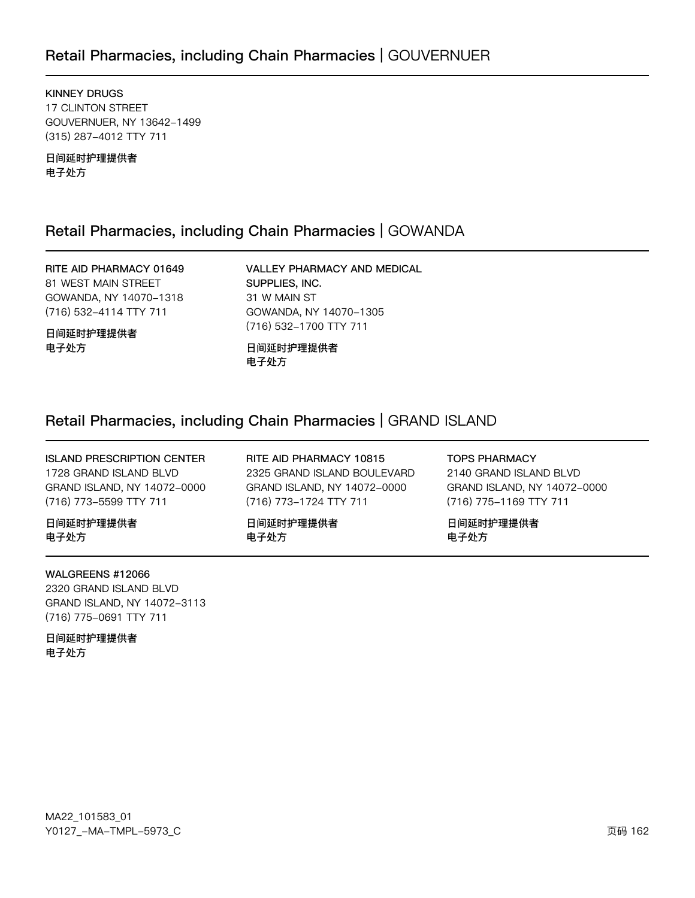# Retail Pharmacies, including Chain Pharmacies | GOUVERNUER

KINNEY DRUGS 17 CLINTON STREET GOUVERNUER, NY 13642-1499 (315) 287-4012 TTY 711

日间延时护理提供者 电子处方

### Retail Pharmacies, including Chain Pharmacies | GOWANDA

RITE AID PHARMACY 01649 81 WEST MAIN STREET GOWANDA, NY 14070-1318 (716) 532-4114 TTY 711

日间延时护理提供者 电子处方

VALLEY PHARMACY AND MEDICAL SUPPLIES, INC. 31 W MAIN ST GOWANDA, NY 14070-1305 (716) 532-1700 TTY 711

日间延时护理提供者 电子处方

### Retail Pharmacies, including Chain Pharmacies | GRAND ISLAND

ISLAND PRESCRIPTION CENTER 1728 GRAND ISLAND BLVD GRAND ISLAND, NY 14072-0000 (716) 773-5599 TTY 711

日间延时护理提供者 电子处方

WALGREENS #12066

2320 GRAND ISLAND BLVD GRAND ISLAND, NY 14072-3113 (716) 775-0691 TTY 711

日间延时护理提供者 电子处方

RITE AID PHARMACY 10815 2325 GRAND ISLAND BOULEVARD GRAND ISLAND, NY 14072-0000 (716) 773-1724 TTY 711

日间延时护理提供者 电子处方

TOPS PHARMACY

2140 GRAND ISLAND BLVD GRAND ISLAND, NY 14072-0000 (716) 775-1169 TTY 711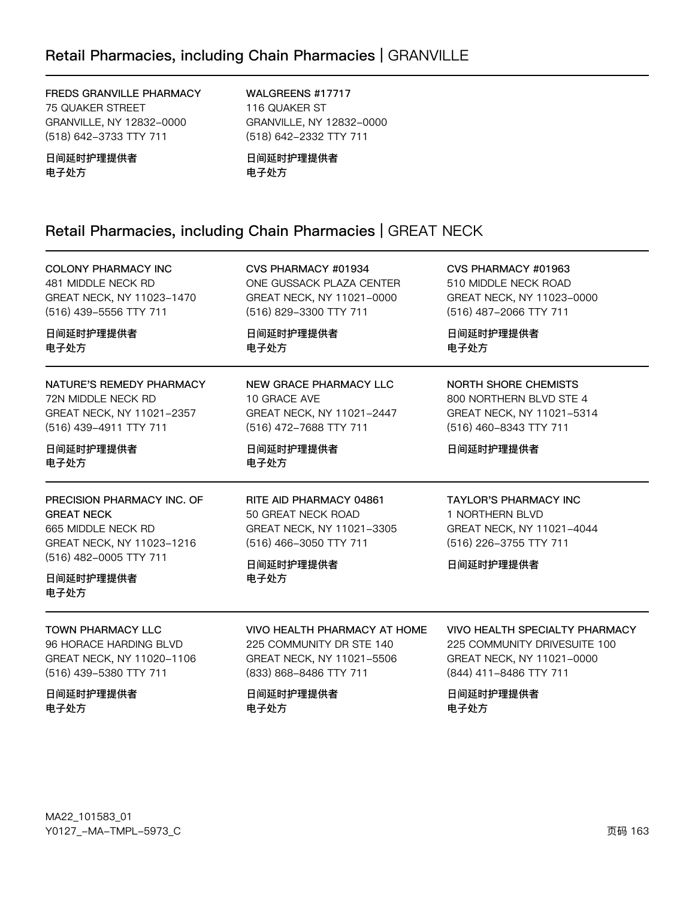#### FREDS GRANVILLE PHARMACY 75 QUAKER STREET GRANVILLE, NY 12832-0000 (518) 642-3733 TTY 711

WALGREENS #17717 116 QUAKER ST GRANVILLE, NY 12832-0000 (518) 642-2332 TTY 711

日间延时护理提供者 电子处方

日间延时护理提供者 电子处方

# Retail Pharmacies, including Chain Pharmacies | GREAT NECK

| <b>COLONY PHARMACY INC</b>                                                                                                                        | CVS PHARMACY #01934                                                                                                       | CVS PHARMACY #01963                                                                                                 |
|---------------------------------------------------------------------------------------------------------------------------------------------------|---------------------------------------------------------------------------------------------------------------------------|---------------------------------------------------------------------------------------------------------------------|
| 481 MIDDLE NECK RD                                                                                                                                | ONE GUSSACK PLAZA CENTER                                                                                                  | 510 MIDDLE NECK ROAD                                                                                                |
| GREAT NECK, NY 11023-1470                                                                                                                         | GREAT NECK, NY 11021-0000                                                                                                 | GREAT NECK, NY 11023-0000                                                                                           |
| (516) 439-5556 TTY 711                                                                                                                            | (516) 829-3300 TTY 711                                                                                                    | (516) 487-2066 TTY 711                                                                                              |
| 日间延时护理提供者                                                                                                                                         | 日间延时护理提供者                                                                                                                 | 日间延时护理提供者                                                                                                           |
| 电子处方                                                                                                                                              | 电子处方                                                                                                                      | 电子处方                                                                                                                |
| NATURE'S REMEDY PHARMACY                                                                                                                          | NEW GRACE PHARMACY LLC                                                                                                    | NORTH SHORE CHEMISTS                                                                                                |
| 72N MIDDLE NECK RD                                                                                                                                | 10 GRACE AVE                                                                                                              | 800 NORTHERN BLVD STE 4                                                                                             |
| GREAT NECK, NY 11021-2357                                                                                                                         | GREAT NECK, NY 11021-2447                                                                                                 | GREAT NECK, NY 11021-5314                                                                                           |
| (516) 439-4911 TTY 711                                                                                                                            | (516) 472-7688 TTY 711                                                                                                    | (516) 460-8343 TTY 711                                                                                              |
| 日间延时护理提供者<br>电子处方                                                                                                                                 | 日间延时护理提供者<br>电子处方                                                                                                         | 日间延时护理提供者                                                                                                           |
| PRECISION PHARMACY INC. OF<br><b>GREAT NECK</b><br>665 MIDDLE NECK RD<br>GREAT NECK, NY 11023-1216<br>(516) 482-0005 TTY 711<br>日间延时护理提供者<br>电子处方 | RITE AID PHARMACY 04861<br>50 GREAT NECK ROAD<br>GREAT NECK, NY 11021-3305<br>(516) 466-3050 TTY 711<br>日间延时护理提供者<br>电子处方 | <b>TAYLOR'S PHARMACY INC</b><br>1 NORTHERN BLVD<br>GREAT NECK, NY 11021-4044<br>(516) 226-3755 TTY 711<br>日间延时护理提供者 |
| <b>TOWN PHARMACY LLC</b>                                                                                                                          | VIVO HEALTH PHARMACY AT HOME                                                                                              | <b>VIVO HEALTH SPECIALTY PHARMACY</b>                                                                               |
| 96 HORACE HARDING BLVD                                                                                                                            | 225 COMMUNITY DR STE 140                                                                                                  | 225 COMMUNITY DRIVESUITE 100                                                                                        |
| GREAT NECK, NY 11020-1106                                                                                                                         | GREAT NECK, NY 11021-5506                                                                                                 | GREAT NECK, NY 11021-0000                                                                                           |
| (516) 439-5380 TTY 711                                                                                                                            | (833) 868-8486 TTY 711                                                                                                    | (844) 411-8486 TTY 711                                                                                              |
| 日间延时护理提供者                                                                                                                                         | 日间延时护理提供者                                                                                                                 | 日间延时护理提供者                                                                                                           |
| 电子处方                                                                                                                                              | 电子处方                                                                                                                      | 电子处方                                                                                                                |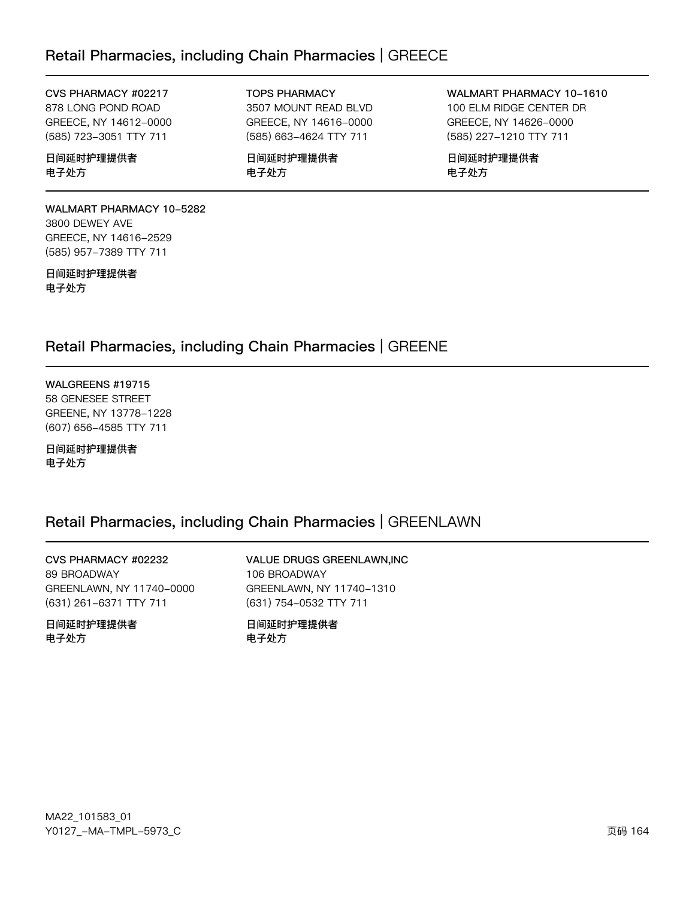## Retail Pharmacies, including Chain Pharmacies | GREECE

#### CVS PHARMACY #02217

878 LONG POND ROAD GREECE, NY 14612-0000 (585) 723-3051 TTY 711

#### 日间延时护理提供者 电子处方

**WALMART PHARMACY 10-5282** 3800 DEWEY AVE GREECE, NY 14616-2529 (585) 957-7389 TTY 711

日间延时护理提供者 电子处方

**TOPS PHARMACY** 

3507 MOUNT READ BLVD GREECE, NY 14616-0000 (585) 663-4624 TTY 711

日间延时护理提供者 电子处方

WALMART PHARMACY 10-1610 100 ELM RIDGE CENTER DR GREECE, NY 14626-0000 (585) 227-1210 TTY 711

日间延时护理提供者 电子处方

# Retail Pharmacies, including Chain Pharmacies | GREENE

WALGREENS #19715 58 GENESEE STREET GREENE, NY 13778-1228 (607) 656-4585 TTY 711

日间延时护理提供者 电子处方

### Retail Pharmacies, including Chain Pharmacies | GREENLAWN

CVS PHARMACY #02232 89 BROADWAY GREENLAWN, NY 11740-0000 (631) 261-6371 TTY 711

日间延时护理提供者 电子外方

VALUE DRUGS GREENLAWN, INC 106 BROADWAY GREENLAWN, NY 11740-1310 (631) 754-0532 TTY 711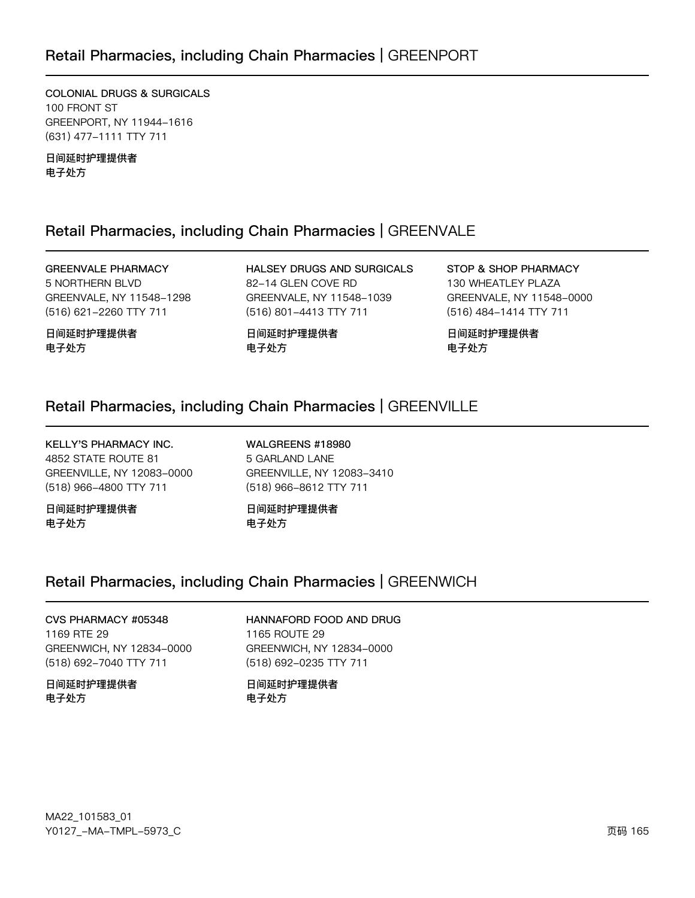### Retail Pharmacies, including Chain Pharmacies | GREENPORT

**COLONIAL DRUGS & SURGICALS** 100 FRONT ST GREENPORT, NY 11944-1616 (631) 477-1111 TTY 711

日间延时护理提供者 电子处方

### Retail Pharmacies, including Chain Pharmacies | GREENVALE

**GREENVALE PHARMACY** 5 NORTHERN BLVD GREENVALE, NY 11548-1298 (516) 621-2260 TTY 711

日间延时护理提供者 电子处方

HALSEY DRUGS AND SURGICALS 82-14 GLEN COVE RD GREENVALE, NY 11548-1039 (516) 801-4413 TTY 711

日间延时护理提供者 电子处方

STOP & SHOP PHARMACY 130 WHEATLEY PLAZA GREENVALE, NY 11548-0000 (516) 484-1414 TTY 711

日间延时护理提供者 电子处方

### Retail Pharmacies, including Chain Pharmacies | GREENVILLE

**KELLY'S PHARMACY INC.** 4852 STATE ROUTE 81 GREENVILLE, NY 12083-0000 (518) 966-4800 TTY 711

日间延时护理提供者 电子处方

WALGREENS #18980 5 GARLAND LANE GREENVILLE, NY 12083-3410 (518) 966-8612 TTY 711

日间延时护理提供者 电子处方

### Retail Pharmacies, including Chain Pharmacies | GREENWICH

### CVS PHARMACY #05348 1169 RTE 29 GREENWICH, NY 12834-0000

### (518) 692-7040 TTY 711 日间延时护理提供者

### 电子处方

### HANNAFORD FOOD AND DRUG

1165 ROUTE 29 GREENWICH, NY 12834-0000 (518) 692-0235 TTY 711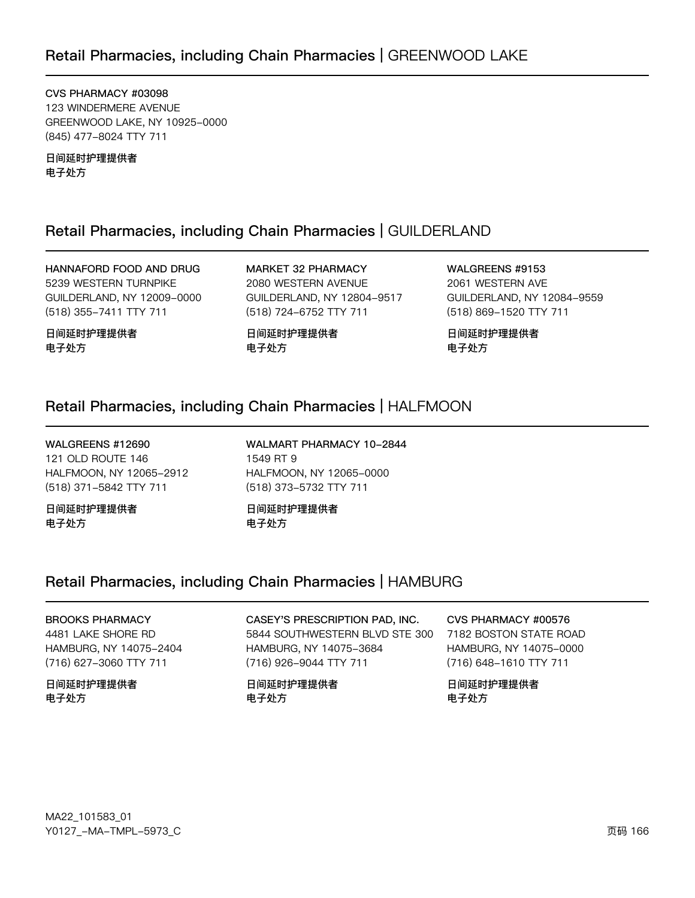CVS PHARMACY #03098 123 WINDERMERE AVENUE GREENWOOD LAKE, NY 10925-0000 (845) 477-8024 TTY 711

日间延时护理提供者 电子处方

### Retail Pharmacies, including Chain Pharmacies | GUILDERLAND

HANNAFORD FOOD AND DRUG 5239 WESTERN TURNPIKE GUILDERLAND, NY 12009-0000 (518) 355-7411 TTY 711

日间延时护理提供者 电子处方

MARKET 32 PHARMACY 2080 WESTERN AVENUE GUILDERLAND, NY 12804-9517 (518) 724-6752 TTY 711

日间延时护理提供者 电子处方

WALGREENS #9153 2061 WESTERN AVE GUILDERLAND, NY 12084-9559 (518) 869-1520 TTY 711

日间延时护理提供者 电子处方

### Retail Pharmacies, including Chain Pharmacies | HALFMOON

WALGREENS #12690 121 OLD ROUTE 146 HALFMOON, NY 12065-2912 (518) 371-5842 TTY 711

日间延时护理提供者 电子处方

WALMART PHARMACY 10-2844 1549 RT 9 HALFMOON, NY 12065-0000 (518) 373-5732 TTY 711

日间延时护理提供者 电子处方

# Retail Pharmacies, including Chain Pharmacies | HAMBURG

### **BROOKS PHARMACY** 4481 LAKE SHORE RD HAMBURG, NY 14075-2404

(716) 627-3060 TTY 711 日间延时护理提供者 电子处方

CASEY'S PRESCRIPTION PAD, INC. 5844 SOUTHWESTERN BLVD STE 300 HAMBURG, NY 14075-3684 (716) 926-9044 TTY 711

日间延时护理提供者 电子处方

CVS PHARMACY #00576

7182 BOSTON STATE ROAD HAMBURG, NY 14075-0000 (716) 648-1610 TTY 711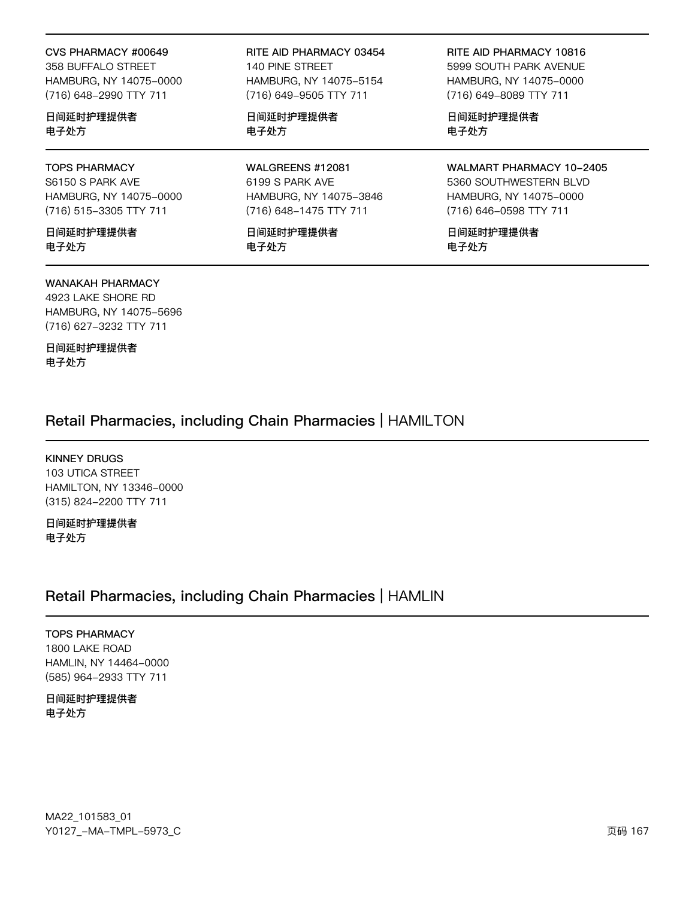#### CVS PHARMACY #00649

358 BUFFALO STREET HAMBURG, NY 14075-0000 (716) 648-2990 TTY 711

日间延时护理提供者 电子处方

#### TOPS PHARMACY S6150 S PARK AVE HAMBURG, NY 14075-0000 (716) 515-3305 TTY 711

日间延时护理提供者 电子处方

#### WANAKAH PHARMACY

4923 LAKE SHORE RD HAMBURG, NY 14075-5696 (716) 627-3232 TTY 711

日间延时护理提供者 电子处方

RITE AID PHARMACY 03454 140 PINE STREET HAMBURG, NY 14075-5154 (716) 649-9505 TTY 711

日间延时护理提供者 电子处方

WALGREENS #12081 6199 S PARK AVE HAMBURG, NY 14075-3846 (716) 648-1475 TTY 711

日间延时护理提供者 电子处方

RITE AID PHARMACY 10816 5999 SOUTH PARK AVENUE HAMBURG, NY 14075-0000 (716) 649-8089 TTY 711

日间延时护理提供者 电子处方

WALMART PHARMACY 10-2405 5360 SOUTHWESTERN BLVD HAMBURG, NY 14075-0000 (716) 646-0598 TTY 711

日间延时护理提供者 电子处方

### Retail Pharmacies, including Chain Pharmacies | HAMILTON

KINNEY DRUGS 103 UTICA STREET HAMILTON, NY 13346-0000 (315) 824-2200 TTY 711

日间延时护理提供者 电子处方

### Retail Pharmacies, including Chain Pharmacies | HAMLIN

TOPS PHARMACY 1800 LAKE ROAD HAMLIN, NY 14464-0000 (585) 964-2933 TTY 711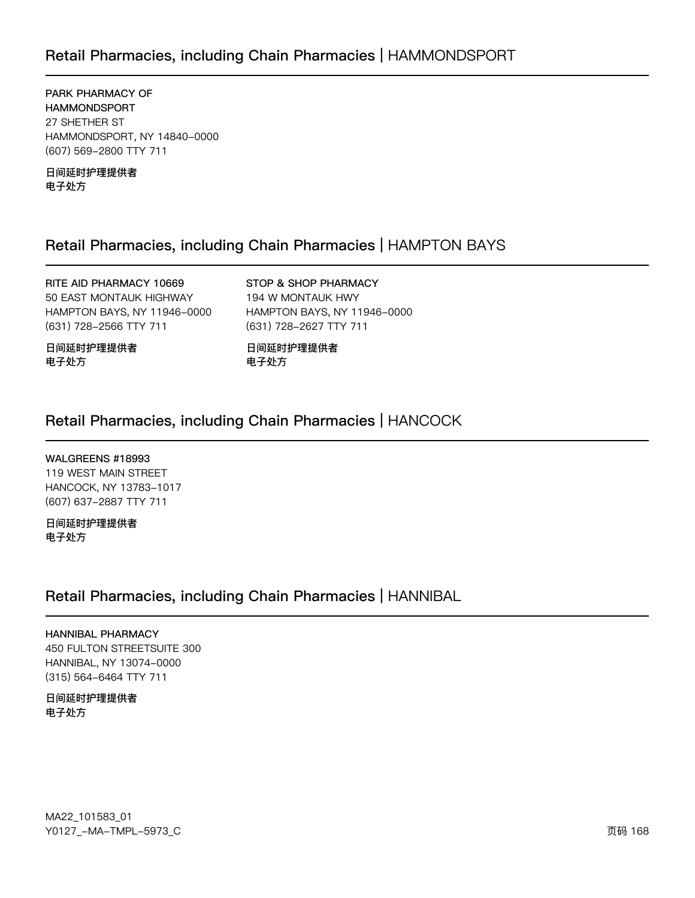# Retail Pharmacies, including Chain Pharmacies | HAMMONDSPORT

PARK PHARMACY OF **HAMMONDSPORT** 27 SHETHER ST HAMMONDSPORT, NY 14840-0000 (607) 569-2800 TTY 711

日间延时护理提供者 电子处方

### Retail Pharmacies, including Chain Pharmacies | HAMPTON BAYS

RITE AID PHARMACY 10669 50 EAST MONTAUK HIGHWAY HAMPTON BAYS, NY 11946-0000 (631) 728-2566 TTY 711

STOP & SHOP PHARMACY 194 W MONTAUK HWY HAMPTON BAYS, NY 11946-0000 (631) 728-2627 TTY 711

日间延时护理提供者 电子处方

日间延时护理提供者 电子处方

### Retail Pharmacies, including Chain Pharmacies | HANCOCK

WALGREENS #18993

119 WEST MAIN STREET HANCOCK, NY 13783-1017 (607) 637-2887 TTY 711

日间延时护理提供者 电子处方

### Retail Pharmacies, including Chain Pharmacies | HANNIBAL

**HANNIBAL PHARMACY** 450 FULTON STREETSUITE 300 HANNIBAL, NY 13074-0000 (315) 564-6464 TTY 711

日间延时护理提供者 电子处方

MA22\_101583\_01 Y0127\_-MA-TMPL-5973\_C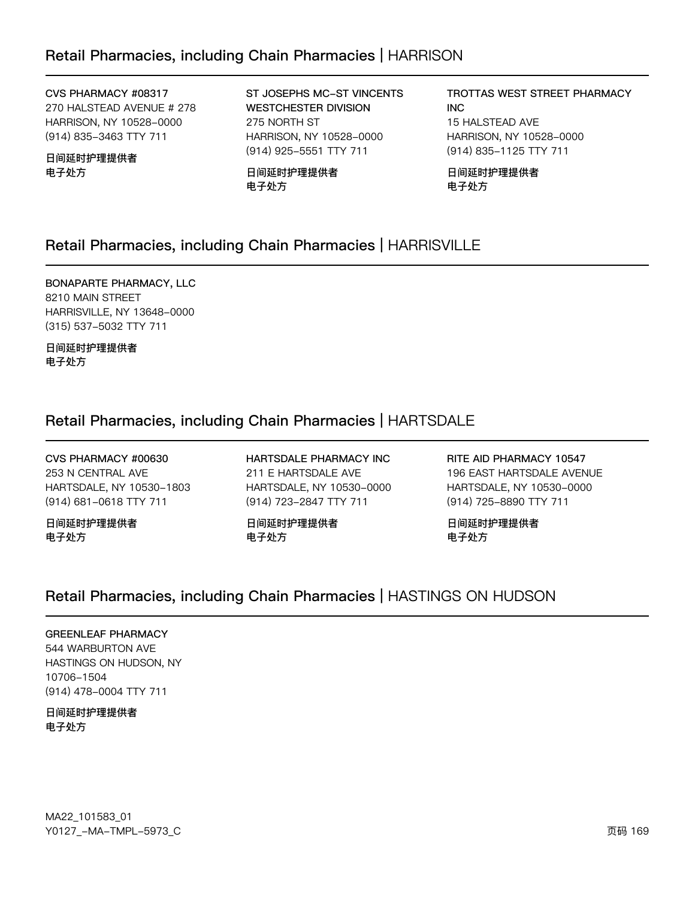CVS PHARMACY #08317

270 HALSTEAD AVENUE # 278 HARRISON, NY 10528-0000 (914) 835-3463 TTY 711

日间延时护理提供者 电子处方

ST JOSEPHS MC-ST VINCENTS **WESTCHESTER DIVISION** 275 NORTH ST HARRISON, NY 10528-0000 (914) 925-5551 TTY 711

日间延时护理提供者 电子处方

TROTTAS WEST STREET PHARMACY **INC** 15 HALSTEAD AVE HARRISON, NY 10528-0000 (914) 835-1125 TTY 711

日间延时护理提供者 电子处方

# Retail Pharmacies, including Chain Pharmacies | HARRISVILLE

BONAPARTE PHARMACY, LLC 8210 MAIN STREET HARRISVILLE, NY 13648-0000 (315) 537-5032 TTY 711

日间延时护理提供者 电子处方

# Retail Pharmacies, including Chain Pharmacies | HARTSDALE

CVS PHARMACY #00630 253 N CENTRAL AVE HARTSDALE, NY 10530-1803 (914) 681-0618 TTY 711

日间延时护理提供者 电子处方

HARTSDALE PHARMACY INC 211 E HARTSDALE AVE HARTSDALE, NY 10530-0000 (914) 723-2847 TTY 711

日间延时护理提供者 电子处方

RITE AID PHARMACY 10547 196 EAST HARTSDALE AVENUE HARTSDALE, NY 10530-0000 (914) 725-8890 TTY 711

日间延时护理提供者 电子处方

### Retail Pharmacies, including Chain Pharmacies | HASTINGS ON HUDSON

### **GREENLEAF PHARMACY** 544 WARBURTON AVE HASTINGS ON HUDSON, NY

10706-1504 (914) 478-0004 TTY 711

#### 日间延时护理提供者 电子处方

MA22\_101583\_01 Y0127\_-MA-TMPL-5973\_C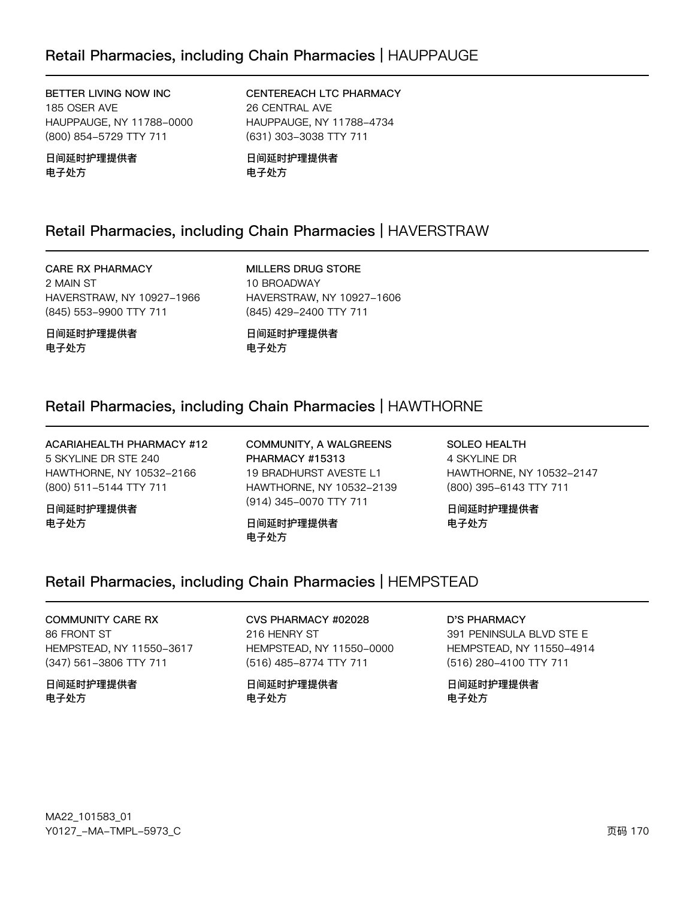BETTER LIVING NOW INC 185 OSER AVE HAUPPAUGE, NY 11788-0000 (800) 854-5729 TTY 711

日间延时护理提供者 电子处方

CENTEREACH LTC PHARMACY 26 CENTRAL AVE HAUPPAUGE, NY 11788-4734 (631) 303-3038 TTY 711

日间延时护理提供者 电子处方

# Retail Pharmacies, including Chain Pharmacies | HAVERSTRAW

### **CARE RX PHARMACY**

电子处方

2 MAIN ST HAVERSTRAW, NY 10927-1966 (845) 553-9900 TTY 711

日间延时护理提供者

MILLERS DRUG STORE 10 BROADWAY HAVERSTRAW, NY 10927-1606 (845) 429-2400 TTY 711

日间延时护理提供者 电子处方

# Retail Pharmacies, including Chain Pharmacies | HAWTHORNE

**ACARIAHEALTH PHARMACY #12** 5 SKYLINE DR STE 240 HAWTHORNE, NY 10532-2166 (800) 511-5144 TTY 711

日间延时护理提供者 电子处方

**COMMUNITY, A WALGREENS** PHARMACY #15313 19 BRADHURST AVESTE L1 HAWTHORNE, NY 10532-2139 (914) 345-0070 TTY 711

日间延时护理提供者 电子处方

SOLEO HEALTH 4 SKYLINE DR HAWTHORNE, NY 10532-2147 (800) 395-6143 TTY 711

日间延时护理提供者 电子处方

### Retail Pharmacies, including Chain Pharmacies | HEMPSTEAD

### **COMMUNITY CARE RX** 86 FRONT ST HEMPSTEAD, NY 11550-3617 (347) 561-3806 TTY 711

日间延时护理提供者 电子处方

CVS PHARMACY #02028 216 HENRY ST HEMPSTEAD, NY 11550-0000 (516) 485-8774 TTY 711

日间延时护理提供者 电子处方

**D'S PHARMACY** 

391 PENINSULA BLVD STE E HEMPSTEAD, NY 11550-4914 (516) 280-4100 TTY 711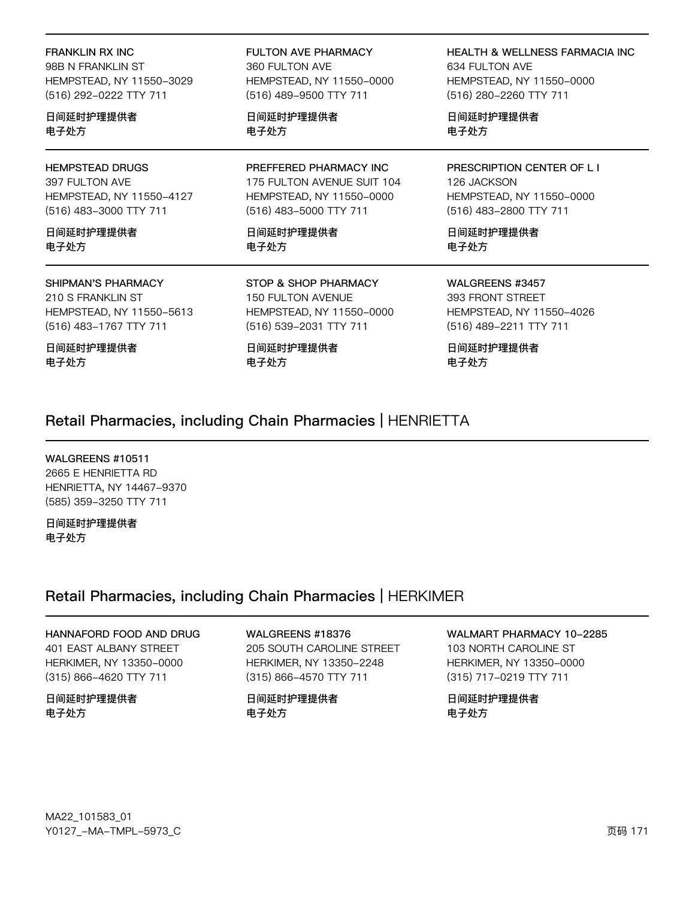**FRANKLIN RX INC** 

98B N FRANKLIN ST HEMPSTEAD, NY 11550-3029 (516) 292-0222 TTY 711

日间延时护理提供者 电子处方

#### **HEMPSTEAD DRUGS**

397 FULTON AVE HEMPSTEAD, NY 11550-4127 (516) 483-3000 TTY 711

日间延时护理提供者 电子外方

#### **SHIPMAN'S PHARMACY**

210 S FRANKLIN ST HEMPSTEAD, NY 11550-5613 (516) 483-1767 TTY 711

日间延时护理提供者 电子处方

**FULTON AVE PHARMACY** 360 FULTON AVE HEMPSTEAD, NY 11550-0000 (516) 489-9500 TTY 711

日间延时护理提供者 电子处方

PREFFERED PHARMACY INC 175 FULTON AVENUE SUIT 104 HEMPSTEAD, NY 11550-0000 (516) 483-5000 TTY 711

日间延时护理提供者 电子处方

STOP & SHOP PHARMACY 150 FULTON AVENUE HEMPSTEAD, NY 11550-0000 (516) 539-2031 TTY 711

日间延时护理提供者 电子处方

**HEALTH & WELLNESS FARMACIA INC** 634 FULTON AVE HEMPSTEAD, NY 11550-0000 (516) 280-2260 TTY 711

日间延时护理提供者 电子处方

PRESCRIPTION CENTER OF L I 126 JACKSON HEMPSTEAD, NY 11550-0000 (516) 483-2800 TTY 711

日间延时护理提供者 电子处方

WALGREENS #3457 393 FRONT STREET HEMPSTEAD, NY 11550-4026 (516) 489-2211 TTY 711

日间延时护理提供者 电子处方

### Retail Pharmacies, including Chain Pharmacies | HENRIETTA

WALGREENS #10511 2665 E HENRIETTA RD HENRIETTA, NY 14467-9370 (585) 359-3250 TTY 711

日间延时护理提供者 电子处方

### Retail Pharmacies, including Chain Pharmacies | HERKIMER

# HANNAFORD FOOD AND DRUG

401 EAST ALBANY STREET HERKIMER, NY 13350-0000 (315) 866-4620 TTY 711

日间延时护理提供者 电子处方

WALGREENS #18376 205 SOUTH CAROLINE STREET HERKIMER, NY 13350-2248 (315) 866-4570 TTY 711

日间延时护理提供者 电子处方

WALMART PHARMACY 10-2285 103 NORTH CAROLINE ST HERKIMER, NY 13350-0000

(315) 717-0219 TTY 711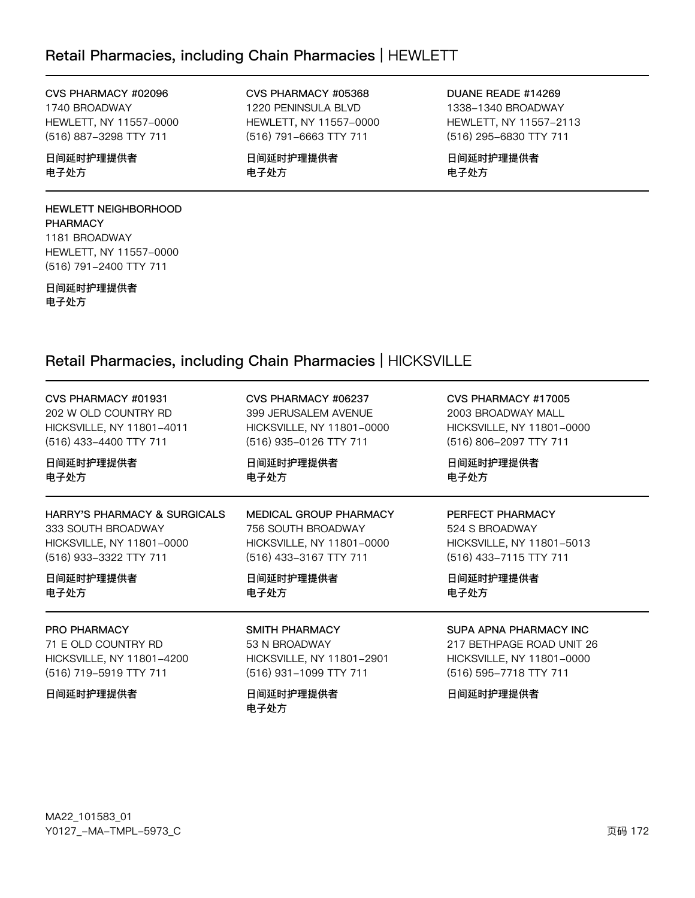### Retail Pharmacies, including Chain Pharmacies | HEWLETT

### CVS PHARMACY #02096 1740 BROADWAY

HEWLETT, NY 11557-0000 (516) 887-3298 TTY 711

### 日间延时护理提供者 电子处方

### HEWLETT NEIGHBORHOOD **PHARMACY** 1181 BROADWAY HEWLETT, NY 11557-0000

日间延时护理提供者

(516) 791-2400 TTY 711

电子处方

#### CVS PHARMACY #05368 1220 PENINSULA BLVD HEWLETT, NY 11557-0000

(516) 791-6663 TTY 711 日间延时护理提供者 电子处方

DUANE READE #14269 1338-1340 BROADWAY HEWLETT, NY 11557-2113 (516) 295-6830 TTY 711

日间延时护理提供者 电子处方

# Retail Pharmacies, including Chain Pharmacies | HICKSVILLE

| CVS PHARMACY #01931                     | CVS PHARMACY #06237       | CVS PHARMACY #17005       |
|-----------------------------------------|---------------------------|---------------------------|
| 202 W OLD COUNTRY RD                    | 399 JERUSALEM AVENUE      | 2003 BROADWAY MALL        |
| HICKSVILLE, NY 11801-4011               | HICKSVILLE, NY 11801-0000 | HICKSVILLE, NY 11801-0000 |
| (516) 433-4400 TTY 711                  | (516) 935-0126 TTY 711    | (516) 806-2097 TTY 711    |
| 日间延时护理提供者                               | 日间延时护理提供者                 | 日间延时护理提供者                 |
| 电子处方                                    | 电子处方                      | 电子处方                      |
| <b>HARRY'S PHARMACY &amp; SURGICALS</b> | MEDICAL GROUP PHARMACY    | PERFECT PHARMACY          |
| 333 SOUTH BROADWAY                      | 756 SOUTH BROADWAY        | 524 S BROADWAY            |
| HICKSVILLE, NY 11801-0000               | HICKSVILLE, NY 11801-0000 | HICKSVILLE, NY 11801-5013 |
| (516) 933-3322 TTY 711                  | (516) 433-3167 TTY 711    | (516) 433-7115 TTY 711    |
| 日间延时护理提供者                               | 日间延时护理提供者                 | 日间延时护理提供者                 |
| 电子处方                                    | 电子处方                      | 电子处方                      |
| PRO PHARMACY                            | SMITH PHARMACY            | SUPA APNA PHARMACY INC    |
| 71 E OLD COUNTRY RD                     | 53 N BROADWAY             | 217 BETHPAGE ROAD UNIT 26 |
| HICKSVILLE, NY 11801-4200               | HICKSVILLE, NY 11801-2901 | HICKSVILLE, NY 11801-0000 |
| (516) 719-5919 TTY 711                  | (516) 931-1099 TTY 711    | (516) 595-7718 TTY 711    |
| 日间延时护理提供者                               | 日间延时护理提供者<br>电子处方         | 日间延时护理提供者                 |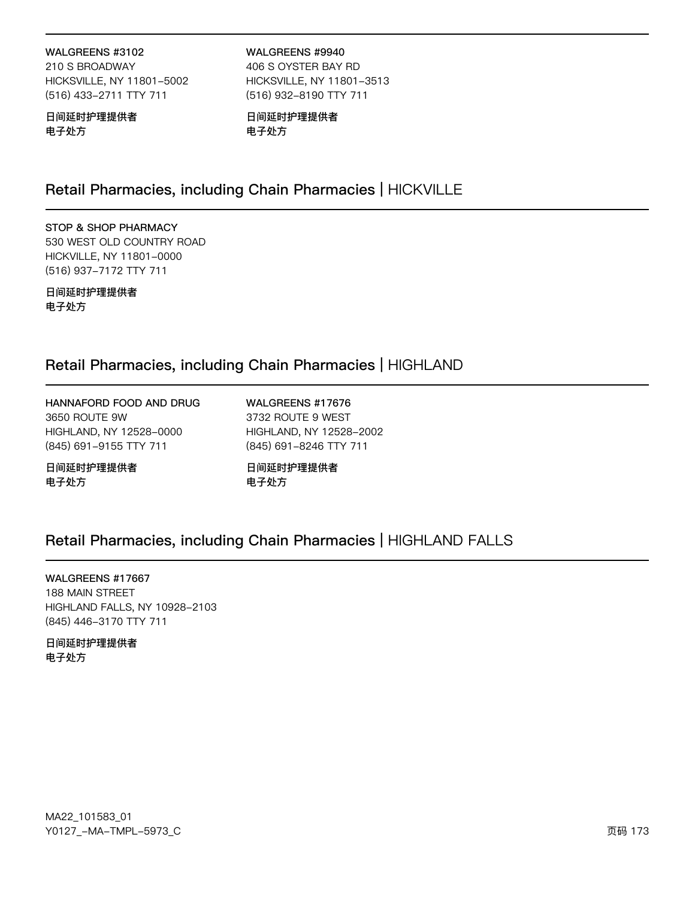### WALGREENS #3102

210 S BROADWAY HICKSVILLE, NY 11801-5002 (516) 433-2711 TTY 711

WALGREENS #9940 406 S OYSTER BAY RD HICKSVILLE, NY 11801-3513 (516) 932-8190 TTY 711

### 日间延时护理提供者 电子处方

日间延时护理提供者 电子处方

# Retail Pharmacies, including Chain Pharmacies | HICKVILLE

### STOP & SHOP PHARMACY 530 WEST OLD COUNTRY ROAD HICKVILLE, NY 11801-0000 (516) 937-7172 TTY 711

日间延时护理提供者 电子处方

### Retail Pharmacies, including Chain Pharmacies | HIGHLAND

HANNAFORD FOOD AND DRUG 3650 ROUTE 9W HIGHLAND, NY 12528-0000 (845) 691-9155 TTY 711

日间延时护理提供者 电子处方

WALGREENS #17676 3732 ROUTE 9 WEST HIGHLAND, NY 12528-2002 (845) 691-8246 TTY 711

日间延时护理提供者 电子处方

# Retail Pharmacies, including Chain Pharmacies | HIGHLAND FALLS

WALGREENS #17667 188 MAIN STREET HIGHLAND FALLS, NY 10928-2103 (845) 446-3170 TTY 711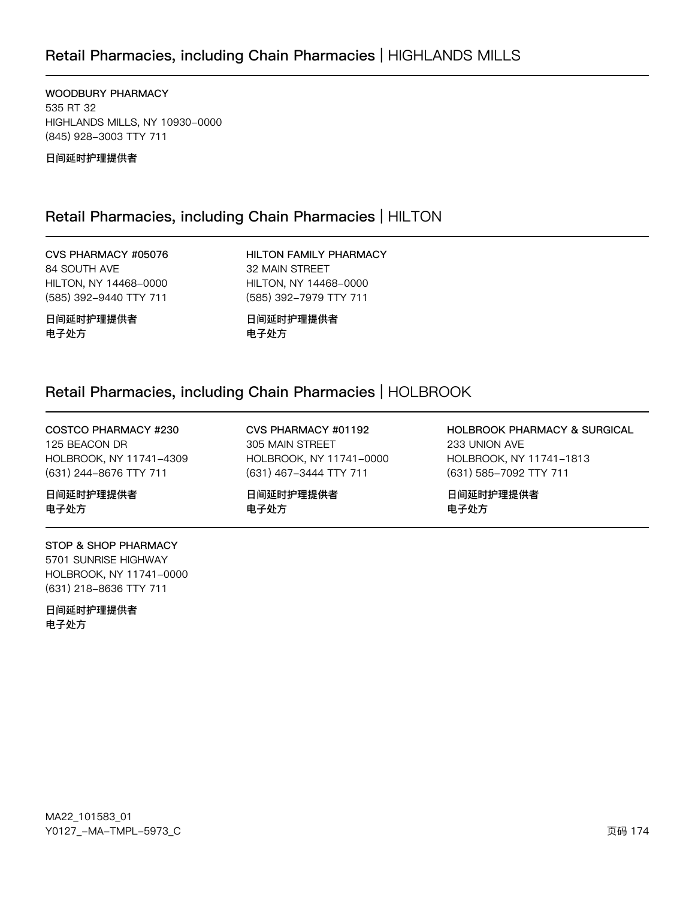# Retail Pharmacies, including Chain Pharmacies | HIGHLANDS MILLS

WOODBURY PHARMACY 535 RT 32 HIGHLANDS MILLS, NY 10930-0000 (845) 928-3003 TTY 711

日间延时护理提供者

### Retail Pharmacies, including Chain Pharmacies | HILTON

CVS PHARMACY #05076 84 SOUTH AVE HILTON, NY 14468-0000 (585) 392-9440 TTY 711

日间延时护理提供者 电子处方

HILTON FAMILY PHARMACY 32 MAIN STREET HILTON, NY 14468-0000 (585) 392-7979 TTY 711

日间延时护理提供者 电子处方

### Retail Pharmacies, including Chain Pharmacies | HOLBROOK

COSTCO PHARMACY #230 125 BEACON DR HOLBROOK, NY 11741-4309 (631) 244-8676 TTY 711

日间延时护理提供者 电子处方

STOP & SHOP PHARMACY 5701 SUNRISE HIGHWAY HOLBROOK, NY 11741-0000 (631) 218-8636 TTY 711

日间延时护理提供者 电子处方

CVS PHARMACY #01192 305 MAIN STREET HOLBROOK, NY 11741-0000 (631) 467-3444 TTY 711

日间延时护理提供者 电子处方

HOLBROOK PHARMACY & SURGICAL 233 UNION AVE HOLBROOK, NY 11741-1813 (631) 585-7092 TTY 711

日间延时护理提供者 电子处方

MA22\_101583\_01 70127v-Ju-6Jwx-5y73vC z{ 174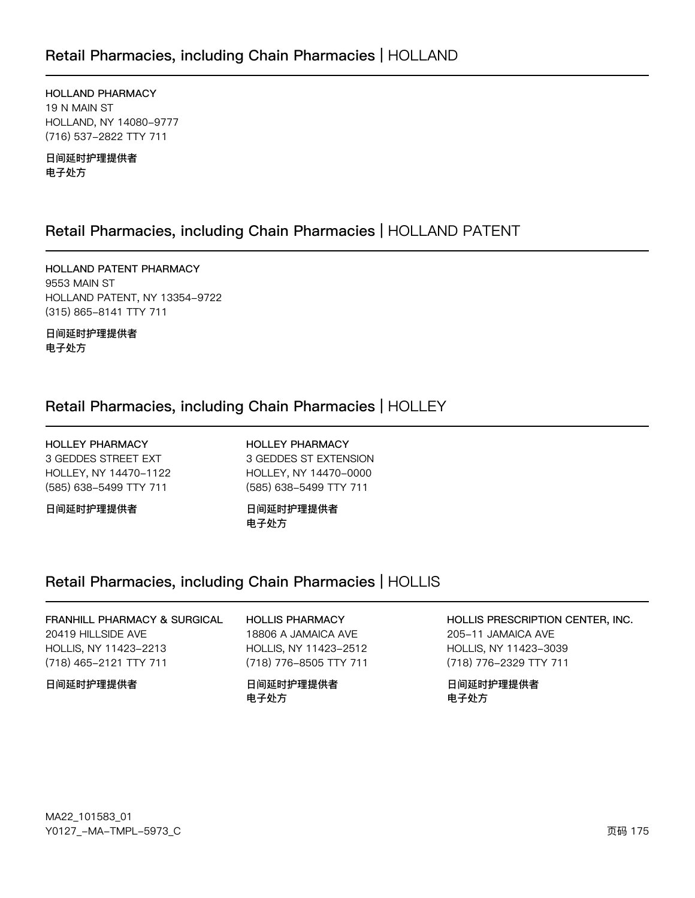### Retail Pharmacies, including Chain Pharmacies | HOLLAND

HOLLAND PHARMACY 19 N MAIN ST HOLLAND, NY 14080-9777 (716) 537-2822 TTY 711

日间延时护理提供者 电子处方

### Retail Pharmacies, including Chain Pharmacies | HOLLAND PATENT

HOLLAND PATENT PHARMACY 9553 MAIN ST HOLLAND PATENT, NY 13354-9722 (315) 865-8141 TTY 711

日间延时护理提供者 电子处方

### Retail Pharmacies, including Chain Pharmacies | HOLLEY

**HOLLEY PHARMACY** 3 GEDDES STREET EXT HOLLEY, NY 14470-1122 (585) 638-5499 TTY 711

日间延时护理提供者

**HOLLEY PHARMACY** 3 GEDDES ST EXTENSION HOLLEY, NY 14470-0000 (585) 638-5499 TTY 711

日间延时护理提供者 电子处方

# Retail Pharmacies, including Chain Pharmacies | HOLLIS

FRANHILL PHARMACY & SURGICAL 20419 HILLSIDE AVE HOLLIS, NY 11423-2213 (718) 465-2121 TTY 711

### 日间延时护理提供者

**HOLLIS PHARMACY** 18806 A JAMAICA AVE HOLLIS, NY 11423-2512 (718) 776-8505 TTY 711

日间延时护理提供者 电子处方

HOLLIS PRESCRIPTION CENTER, INC.

205-11 JAMAICA AVE HOLLIS, NY 11423-3039 (718) 776-2329 TTY 711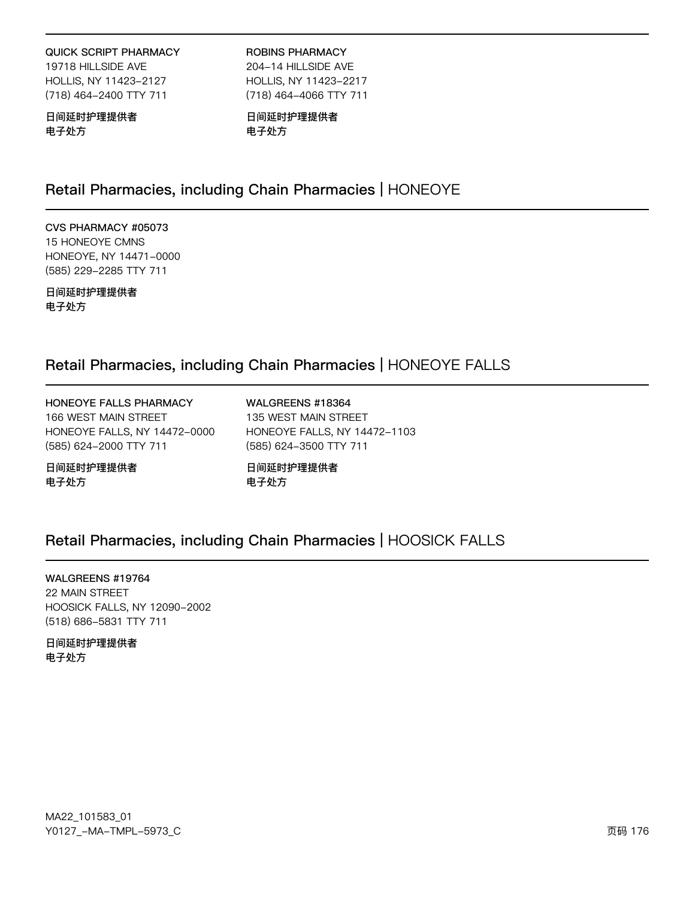#### **QUICK SCRIPT PHARMACY**

19718 HILLSIDE AVE HOLLIS, NY 11423-2127 (718) 464-2400 TTY 711

### 日间延时护理提供者 电子处方

**ROBINS PHARMACY** 204-14 HILLSIDE AVE HOLLIS, NY 11423-2217

(718) 464-4066 TTY 711

日间延时护理提供者 电子处方

### Retail Pharmacies, including Chain Pharmacies | HONEOYE

CVS PHARMACY #05073 15 HONEOYE CMNS HONEOYE, NY 14471-0000 (585) 229-2285 TTY 711

日间延时护理提供者 电子处方

### Retail Pharmacies, including Chain Pharmacies | HONEOYE FALLS

HONEOYE FALLS PHARMACY 166 WEST MAIN STREET HONEOYE FALLS, NY 14472-0000 (585) 624-2000 TTY 711

日间延时护理提供者 电子处方

WALGREENS #18364 135 WEST MAIN STREET HONEOYE FALLS, NY 14472-1103 (585) 624-3500 TTY 711

日间延时护理提供者 电子处方

# Retail Pharmacies, including Chain Pharmacies | HOOSICK FALLS

WALGREENS #19764 22 MAIN STREET HOOSICK FALLS, NY 12090-2002 (518) 686-5831 TTY 711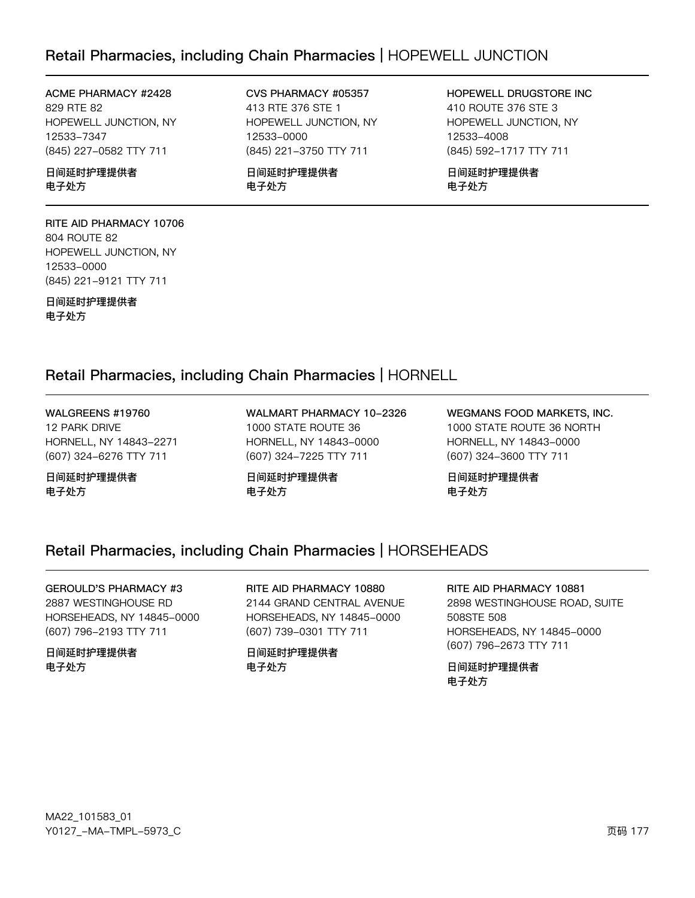### Retail Pharmacies, including Chain Pharmacies | HOPEWELL JUNCTION

#### ACME PHARMACY #2428 829 RTE 82

HOPEWELL JUNCTION, NY 12533-7347 (845) 227-0582 TTY 711

日间延时护理提供者 电子处方

RITE AID PHARMACY 10706 804 ROUTE 82 HOPEWELL JUNCTION, NY 12533-0000 (845) 221-9121 TTY 711

日间延时护理提供者 电子处方

CVS PHARMACY #05357 413 RTE 376 STE 1 HOPEWELL JUNCTION, NY 12533-0000 (845) 221-3750 TTY 711

日间延时护理提供者 电子处方

HOPEWELL DRUGSTORE INC 410 ROUTE 376 STE 3 HOPEWELL JUNCTION, NY 12533-4002 (845) 592-1717 TTY 711

日间延时护理提供者 电子处方

### Retail Pharmacies, including Chain Pharmacies | HORNELL

WALGREENS #19760 12 PARK DRIVE HORNELL, NY 14843-2271 (607) 324-6276 TTY 711

日间延时护理提供者 电子处方

WALMART PHARMACY 10-2326 1000 STATE ROUTE 36 HORNELL, NY 14843-0000 (607) 324-7225 TTY 711

日间延时护理提供者 电子处方

WEGMANS FOOD MARKETS, INC. 1000 STATE ROUTE 36 NORTH HORNELL, NY 14843-0000 (607) 324-3600 TTY 711

日间延时护理提供者 电子处方

### Retail Pharmacies, including Chain Pharmacies | HORSEHEADS

GEROULD'S PHARMACY #3 2887 WESTINGHOUSE RD HORSEHEADS, NY 14845-0000 (607) 796-2193 TTY 711

#### 日间延时护理提供者 电子处方

RITE AID PHARMACY 10880 2144 GRAND CENTRAL AVENUE HORSEHEADS, NY 14845-0000 (607) 739-0301 TTY 711

日间延时护理提供者 电子处方

RITE AID PHARMACY 10881 2898 WESTINGHOUSE ROAD, SUITE 508STE 508 HORSEHEADS, NY 14845-0000 (607) 796-2673 TTY 711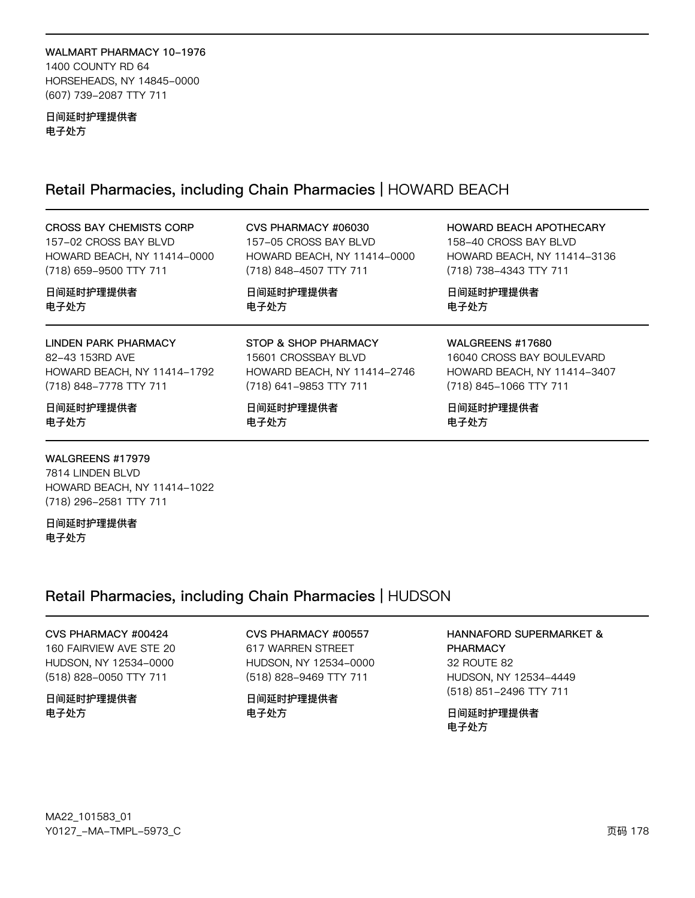#### WALMART PHARMACY 10-1976 1400 COUNTY RD 64 HORSEHEADS, NY 14845-0000 (607) 739-2087 TTY 711

#### 日间延时护理提供者 电子处方

# Retail Pharmacies, including Chain Pharmacies | HOWARD BEACH

| <b>CROSS BAY CHEMISTS CORP</b> | CVS PHARMACY #06030         | HOWARD BEACH APOTHECARY     |
|--------------------------------|-----------------------------|-----------------------------|
| 157-02 CROSS BAY BLVD          | 157-05 CROSS BAY BLVD       | 158-40 CROSS BAY BLVD       |
| HOWARD BEACH, NY 11414-0000    | HOWARD BEACH, NY 11414-0000 | HOWARD BEACH, NY 11414-3136 |
| (718) 659-9500 TTY 711         | (718) 848-4507 TTY 711      | (718) 738-4343 TTY 711      |
| 日间延时护理提供者                      | 日间延时护理提供者                   | 日间延时护理提供者                   |
| 电子处方                           | 电子处方                        | 电子处方                        |
| <b>LINDEN PARK PHARMACY</b>    | STOP & SHOP PHARMACY        | <b>WALGREENS #17680</b>     |
| 82-43 153RD AVE                | 15601 CROSSBAY BLVD         | 16040 CROSS BAY BOULEVARD   |
| HOWARD BEACH, NY 11414-1792    | HOWARD BEACH, NY 11414-2746 | HOWARD BEACH, NY 11414-3407 |
| (718) 848-7778 TTY 711         | (718) 641-9853 TTY 711      | (718) 845-1066 TTY 711      |

WALGREENS #17979 7814 LINDEN BLVD HOWARD BEACH, NY 11414-1022 (718) 296-2581 TTY 711

日间延时护理提供者 电子处方

# Retail Pharmacies, including Chain Pharmacies | HUDSON

CVS PHARMACY #00424 160 FAIRVIEW AVE STE 20 HUDSON, NY 12534-0000 (518) 828-0050 TTY 711

### 日间延时护理提供者 电子处方

CVS PHARMACY #00557 617 WARREN STREET HUDSON, NY 12534-0000 (518) 828-9469 TTY 711

日间延时护理提供者 电子处方

### HANNAFORD SUPERMARKET & **PHARMACY** 32 ROUTE 82 HUDSON, NY 12534-4449 (518) 851-2496 TTY 711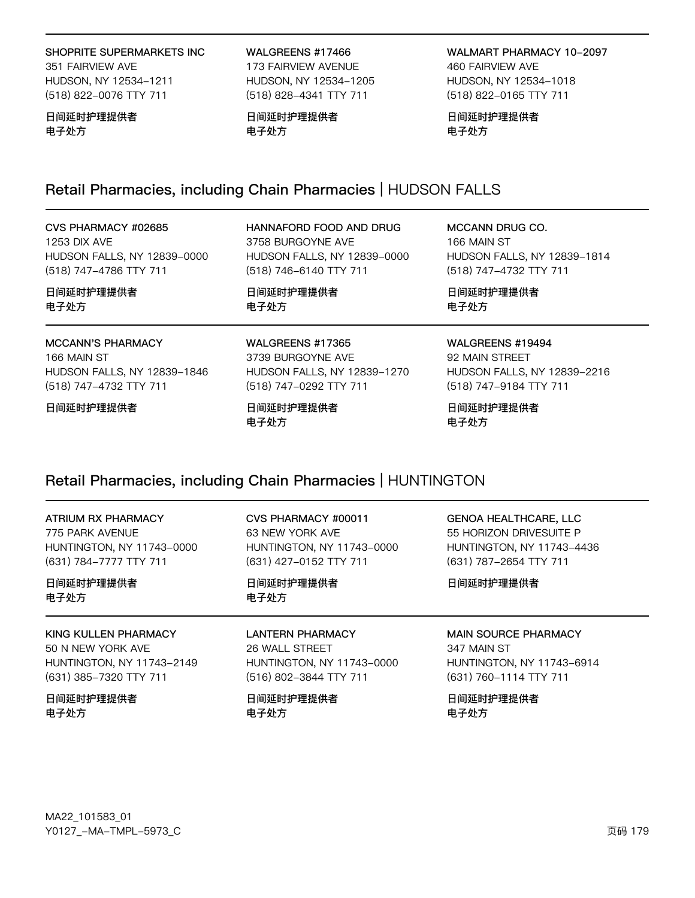#### SHOPRITE SUPERMARKETS INC

351 FAIRVIEW AVE HUDSON, NY 12534-1211 (518) 822-0076 TTY 711

#### 日间延时护理提供者 电子处方

WALGREENS #17466 173 FAIRVIEW AVENUE HUDSON, NY 12534-1205 (518) 828-4341 TTY 711

日间延时护理提供者 电子处方

WALMART PHARMACY 10-2097 460 FAIRVIEW AVE HUDSON, NY 12534-1018 (518) 822-0165 TTY 711

日间延时护理提供者 电子处方

电子处方

## Retail Pharmacies, including Chain Pharmacies | HUDSON FALLS

| CVS PHARMACY #02685         | HANNAFORD FOOD AND DRUG     | MCCANN DRUG CO.             |
|-----------------------------|-----------------------------|-----------------------------|
| <b>1253 DIX AVE</b>         | 3758 BURGOYNE AVE           | 166 MAIN ST                 |
| HUDSON FALLS, NY 12839-0000 | HUDSON FALLS, NY 12839-0000 | HUDSON FALLS, NY 12839-1814 |
| (518) 747-4786 TTY 711      | (518) 746-6140 TTY 711      | (518) 747-4732 TTY 711      |
| 日间延时护理提供者                   | 日间延时护理提供者                   | 日间延时护理提供者                   |
| 电子处方                        | 电子处方                        | 电子处方                        |
| <b>MCCANN'S PHARMACY</b>    | WALGREENS #17365            | WALGREENS #19494            |
| 166 MAIN ST                 | 3739 BURGOYNE AVE           | 92 MAIN STREET              |
| HUDSON FALLS, NY 12839-1846 | HUDSON FALLS, NY 12839-1270 | HUDSON FALLS, NY 12839-2216 |
| (518) 747-4732 TTY 711      | (518) 747-0292 TTY 711      | (518) 747-9184 TTY 711      |
| 日间延时护理提供者                   | 日间延时护理提供者                   | 日间延时护理提供者                   |

Retail Pharmacies, including Chain Pharmacies | HUNTINGTON

电子处方

| ATRIUM RX PHARMACY        | CVS PHARMACY #00011              | <b>GENOA HEALTHCARE, LLC</b> |
|---------------------------|----------------------------------|------------------------------|
| 775 PARK AVENUE           | 63 NEW YORK AVE                  | 55 HORIZON DRIVESUITE P      |
| HUNTINGTON, NY 11743-0000 | <b>HUNTINGTON, NY 11743-0000</b> | HUNTINGTON, NY 11743-4436    |
| (631) 784-7777 TTY 711    | (631) 427-0152 TTY 711           | (631) 787-2654 TTY 711       |
| 日间延时护理提供者<br>电子处方         | 日间延时护理提供者<br>电子处方                | 日间延时护理提供者                    |
| KING KULLEN PHARMACY      | <b>LANTERN PHARMACY</b>          | <b>MAIN SOURCE PHARMACY</b>  |
| 50 N NEW YORK AVE         | 26 WALL STREET                   | 347 MAIN ST                  |
| HUNTINGTON, NY 11743-2149 | HUNTINGTON, NY 11743-0000        | HUNTINGTON, NY 11743-6914    |
| (631) 385-7320 TTY 711    | (516) 802-3844 TTY 711           | (631) 760-1114 TTY 711       |
| 日间延时护理提供者                 | 日间延时护理提供者                        | 日间延时护理提供者                    |
| 电子处方                      | 电子处方                             | 电子处方                         |

MA22\_101583\_01 Y0127\_-MA-TMPL-5973\_C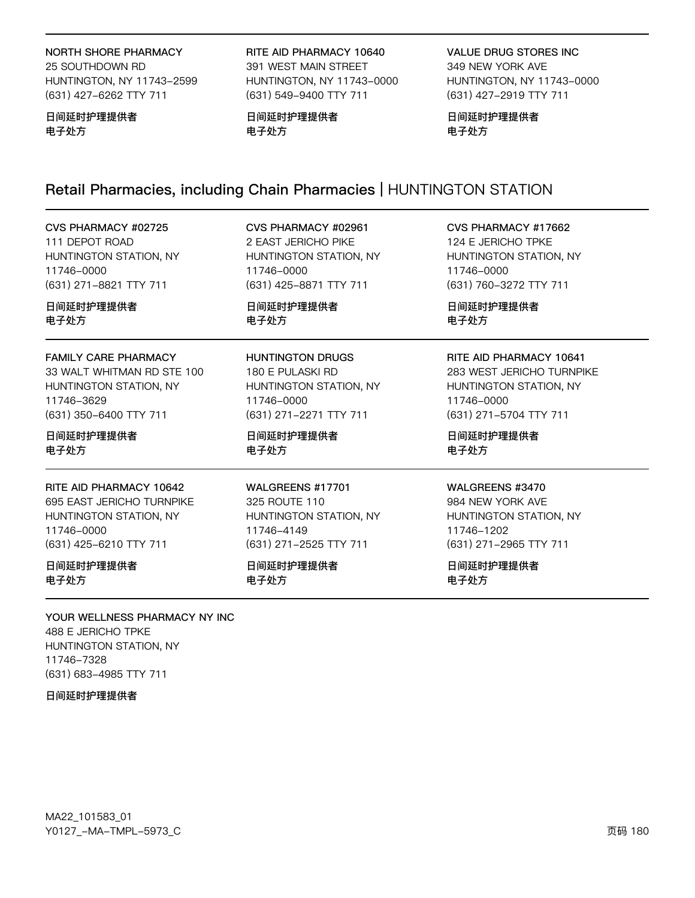#### NORTH SHORE PHARMACY

25 SOUTHDOWN RD HUNTINGTON, NY 11743-2599 (631) 427-6262 TTY 711

#### 日间延时护理提供者 电子处方

RITE AID PHARMACY 10640 391 WEST MAIN STREET HUNTINGTON, NY 11743-0000 (631) 549-9400 TTY 711

日间延时护理提供者 电子处方

VALUE DRUG STORES INC 349 NEW YORK AVE HUNTINGTON, NY 11743-0000 (631) 427-2919 TTY 711

日间延时护理提供者 电子处方

# Retail Pharmacies, including Chain Pharmacies | HUNTINGTON STATION

| CVS PHARMACY #02725         | CVS PHARMACY #02961     | CVS PHARMACY #17662            |
|-----------------------------|-------------------------|--------------------------------|
| 111 DEPOT ROAD              | 2 EAST JERICHO PIKE     | 124 E JERICHO TPKE             |
| HUNTINGTON STATION, NY      | HUNTINGTON STATION, NY  | HUNTINGTON STATION, NY         |
| 11746-0000                  | 11746-0000              | 11746-0000                     |
| (631) 271-8821 TTY 711      | (631) 425-8871 TTY 711  | (631) 760-3272 TTY 711         |
| 日间延时护理提供者                   | 日间延时护理提供者               | 日间延时护理提供者                      |
| 电子处方                        | 电子处方                    | 电子处方                           |
| <b>FAMILY CARE PHARMACY</b> | <b>HUNTINGTON DRUGS</b> | <b>RITE AID PHARMACY 10641</b> |
| 33 WALT WHITMAN RD STE 100  | 180 E PULASKI RD        | 283 WEST JERICHO TURNPIKE      |
| HUNTINGTON STATION, NY      | HUNTINGTON STATION, NY  | HUNTINGTON STATION, NY         |
| 11746-3629                  | 11746-0000              | 11746-0000                     |
| (631) 350-6400 TTY 711      | (631) 271-2271 TTY 711  | (631) 271-5704 TTY 711         |
| 日间延时护理提供者                   | 日间延时护理提供者               | 日间延时护理提供者                      |
| 电子处方                        | 电子处方                    | 电子处方                           |
| RITE AID PHARMACY 10642     | WALGREENS #17701        | WALGREENS #3470                |
| 695 EAST JERICHO TURNPIKE   | 325 ROUTE 110           | 984 NEW YORK AVE               |
| HUNTINGTON STATION, NY      | HUNTINGTON STATION, NY  | HUNTINGTON STATION, NY         |
| 11746-0000                  | 11746-4149              | 11746-1202                     |
| (631) 425-6210 TTY 711      | (631) 271-2525 TTY 711  | (631) 271-2965 TTY 711         |
| 日间延时护理提供者                   | 日间延时护理提供者               | 日间延时护理提供者                      |
| 电子处方                        | 电子处方                    | 电子处方                           |

YOUR WELLNESS PHARMACY NY INC 488 E JERICHO TPKE HUNTINGTON STATION, NY 11746-7322 (631) 683-4985 TTY 711

日间延时护理提供者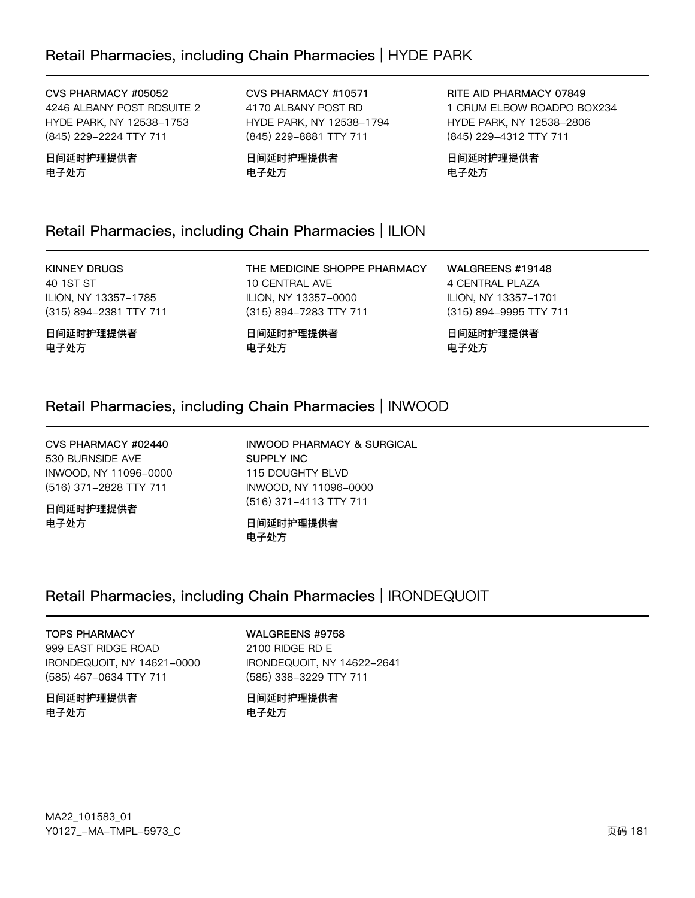#### CVS PHARMACY #05052

4246 ALBANY POST RDSUITE 2 HYDE PARK, NY 12538-1753 (845) 229-2224 TTY 711

日间延时护理提供者 电子处方

CVS PHARMACY #10571 4170 ALBANY POST RD HYDE PARK, NY 12538-1794 (845) 229-8881 TTY 711

日间延时护理提供者 电子处方

RITE AID PHARMACY 07849 1 CRUM ELBOW ROADPO BOX234 HYDE PARK, NY 12538-2806 (845) 229-4312 TTY 711

日间延时护理提供者 电子处方

### Retail Pharmacies, including Chain Pharmacies | ILION

### KINNEY DRUGS

40 1ST ST ILION, NY 13357-1785 (315) 894-2381 TTY 711

日间延时护理提供者 电子处方

THE MEDICINE SHOPPE PHARMACY 10 CENTRAL AVE ILION, NY 13357-0000 (315) 894-7283 TTY 711

日间延时护理提供者 电子处方

WALGREENS #19148 4 CENTRAL PLAZA ILION, NY 13357-1701 (315) 894-9995 TTY 711

日间延时护理提供者 电子处方

### Retail Pharmacies, including Chain Pharmacies | INWOOD

CVS PHARMACY #02440 530 BURNSIDE AVE INWOOD, NY 11096-0000 (516) 371-2828 TTY 711

日间延时护理提供者 电子处方

INWOOD PHARMACY & SURGICAL SUPPLY INC 115 DOUGHTY BLVD INWOOD, NY 11096-0000 (516) 371-4113 TTY 711

日间延时护理提供者 电子处方

## Retail Pharmacies, including Chain Pharmacies | IRONDEQUOIT

TOPS PHARMACY 999 EAST RIDGE ROAD IRONDEQUOIT, NY 14621-0000 (585) 467-0634 TTY 711

日间延时护理提供者 电子处方

WALGREENS #9758 2100 RIDGE RD E IRONDEQUOIT, NY 14622-2641 (585) 338-3229 TTY 711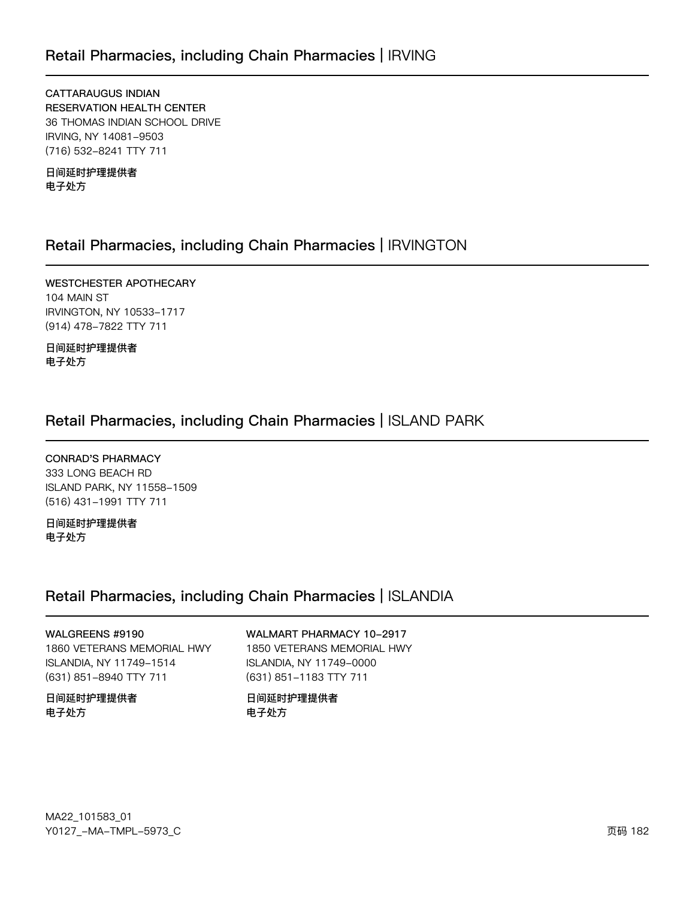**CATTARAUGUS INDIAN RESERVATION HEALTH CENTER** 36 THOMAS INDIAN SCHOOL DRIVE IRVING, NY 14081-9503 (716) 532-8241 TTY 711

日间延时护理提供者 电子处方

### Retail Pharmacies, including Chain Pharmacies | IRVINGTON

WESTCHESTER APOTHECARY 104 MAIN ST IRVINGTON, NY 10533-1717 (914) 478-7822 TTY 711

日间延时护理提供者 电子处方

### Retail Pharmacies, including Chain Pharmacies | ISLAND PARK

**CONRAD'S PHARMACY** 333 LONG BEACH RD ISLAND PARK, NY 11558-1509 (516) 431-1991 TTY 711

日间延时护理提供者 电子处方

### Retail Pharmacies, including Chain Pharmacies | ISLANDIA

WALGREENS #9190 1860 VETERANS MEMORIAL HWY ISLANDIA, NY 11749-1514 (631) 851-8940 TTY 711

日间延时护理提供者 电子处方

WALMART PHARMACY 10-2917 1850 VETERANS MEMORIAL HWY ISLANDIA, NY 11749-0000 (631) 851-1183 TTY 711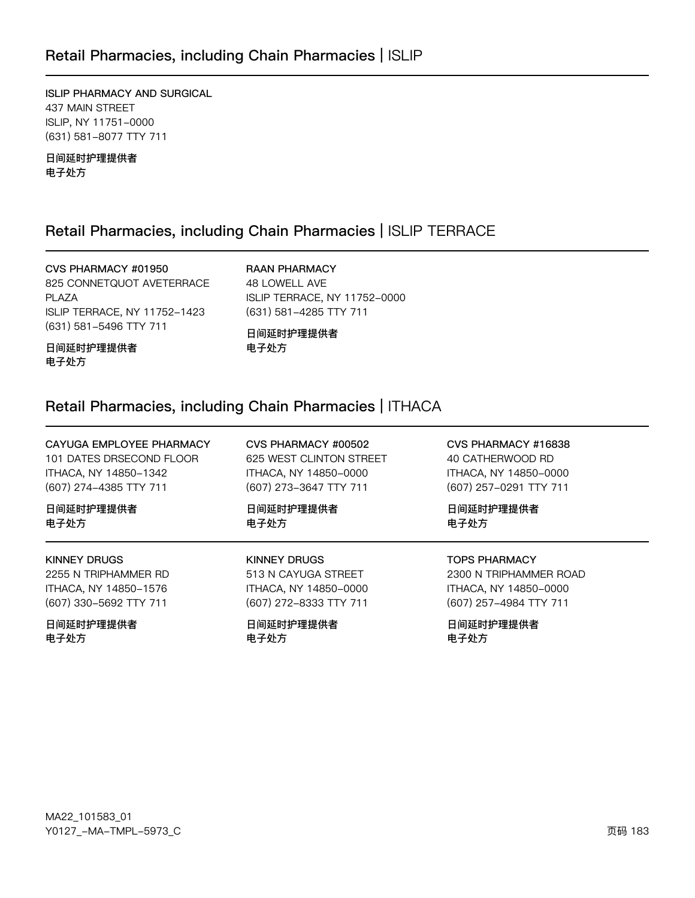### Retail Pharmacies, including Chain Pharmacies | ISLIP

ISLIP PHARMACY AND SURGICAL 437 MAIN STREET ISLIP, NY 11751-0000 (631) 581-8077 TTY 711

日间延时护理提供者 电子处方

### Retail Pharmacies, including Chain Pharmacies | ISLIP TERRACE

CVS PHARMACY #01950 825 CONNETQUOT AVETERRACE **PLAZA** ISLIP TERRACE, NY 11752-1423 (631) 581-5496 TTY 711

**RAAN PHARMACY** 48 LOWELL AVE ISLIP TERRACE, NY 11752-0000 (631) 581-4285 TTY 711

日间延时护理提供者 电子处方

日间延时护理提供者 电子处方

### Retail Pharmacies, including Chain Pharmacies | ITHACA

| CAYUGA EMPLOYEE PHARMACY | CVS PHARMACY #00502     | CVS PHARMACY #16838    |
|--------------------------|-------------------------|------------------------|
| 101 DATES DRSECOND FLOOR | 625 WEST CLINTON STREET | 40 CATHERWOOD RD       |
| ITHACA, NY 14850-1342    | ITHACA, NY 14850-0000   | ITHACA, NY 14850-0000  |
| (607) 274-4385 TTY 711   | (607) 273-3647 TTY 711  | (607) 257-0291 TTY 711 |
| 日间延时护理提供者                | 日间延时护理提供者               | 日间延时护理提供者              |
| 电子处方                     | 电子处方                    | 电子处方                   |
| <b>KINNEY DRUGS</b>      | KINNEY DRUGS            | <b>TOPS PHARMACY</b>   |
| 2255 N TRIPHAMMER RD     | 513 N CAYUGA STREET     | 2300 N TRIPHAMMER ROAD |
| ITHACA, NY 14850-1576    | ITHACA, NY 14850-0000   | ITHACA, NY 14850-0000  |
| (607) 330-5692 TTY 711   | (607) 272-8333 TTY 711  | (607) 257-4984 TTY 711 |
|                          |                         |                        |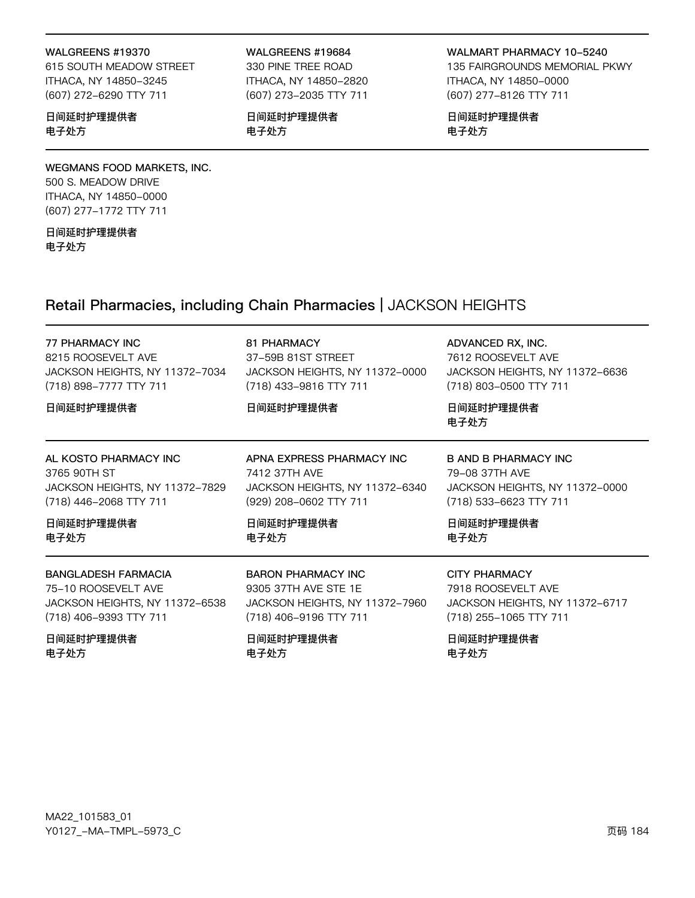#### WALGREENS #19370

615 SOUTH MEADOW STREET ITHACA, NY 14850-3245 (607) 272-6290 TTY 711

#### 日间延时护理提供者 电子处方

#### WEGMANS FOOD MARKETS, INC. 500 S. MEADOW DRIVE

ITHACA, NY 14850-0000 (607) 277-1772 TTY 711

日间延时护理提供者 电子处方

#### WALGREENS #19684

330 PINE TREE ROAD ITHACA, NY 14850-2820 (607) 273-2035 TTY 711

日间延时护理提供者 电子处方

WALMART PHARMACY 10-5240 135 FAIRGROUNDS MEMORIAL PKWY ITHACA, NY 14850-0000 (607) 277-8126 TTY 711

日间延时护理提供者 电子处方

### Retail Pharmacies, including Chain Pharmacies | JACKSON HEIGHTS

| <b>77 PHARMACY INC</b><br>8215 ROOSEVELT AVE<br>JACKSON HEIGHTS, NY 11372-7034<br>(718) 898-7777 TTY 711<br>日间延时护理提供者 | 81 PHARMACY<br>37-59B 81ST STREET<br>JACKSON HEIGHTS, NY 11372-0000<br>(718) 433-9816 TTY 711<br>日间延时护理提供者 | ADVANCED RX, INC.<br>7612 ROOSEVELT AVE<br>JACKSON HEIGHTS, NY 11372-6636<br>(718) 803-0500 TTY 711<br>日间延时护理提供者<br>电子处方 |
|-----------------------------------------------------------------------------------------------------------------------|------------------------------------------------------------------------------------------------------------|--------------------------------------------------------------------------------------------------------------------------|
| AL KOSTO PHARMACY INC                                                                                                 | APNA EXPRESS PHARMACY INC                                                                                  | B AND B PHARMACY INC                                                                                                     |
| 3765 90TH ST                                                                                                          | 7412 37TH AVE                                                                                              | 79-08 37TH AVE                                                                                                           |
| JACKSON HEIGHTS, NY 11372-7829                                                                                        | JACKSON HEIGHTS, NY 11372-6340                                                                             | JACKSON HEIGHTS, NY 11372-0000                                                                                           |
| (718) 446-2068 TTY 711                                                                                                | (929) 208-0602 TTY 711                                                                                     | (718) 533-6623 TTY 711                                                                                                   |
| 日间延时护理提供者                                                                                                             | 日间延时护理提供者                                                                                                  | 日间延时护理提供者                                                                                                                |
| 电子处方                                                                                                                  | 电子处方                                                                                                       | 电子处方                                                                                                                     |
| <b>BANGLADESH FARMACIA</b>                                                                                            | <b>BARON PHARMACY INC</b>                                                                                  | <b>CITY PHARMACY</b>                                                                                                     |
| 75-10 ROOSEVELT AVE                                                                                                   | 9305 37TH AVE STE 1E                                                                                       | 7918 ROOSEVELT AVE                                                                                                       |
| JACKSON HEIGHTS, NY 11372-6538                                                                                        | JACKSON HEIGHTS, NY 11372-7960                                                                             | JACKSON HEIGHTS, NY 11372-6717                                                                                           |
| (718) 406-9393 TTY 711                                                                                                | (718) 406-9196 TTY 711                                                                                     | (718) 255-1065 TTY 711                                                                                                   |
| 日间延时护理提供者                                                                                                             | 日间延时护理提供者                                                                                                  | 日间延时护理提供者                                                                                                                |
| 电子处方                                                                                                                  | 电子处方                                                                                                       | 电子处方                                                                                                                     |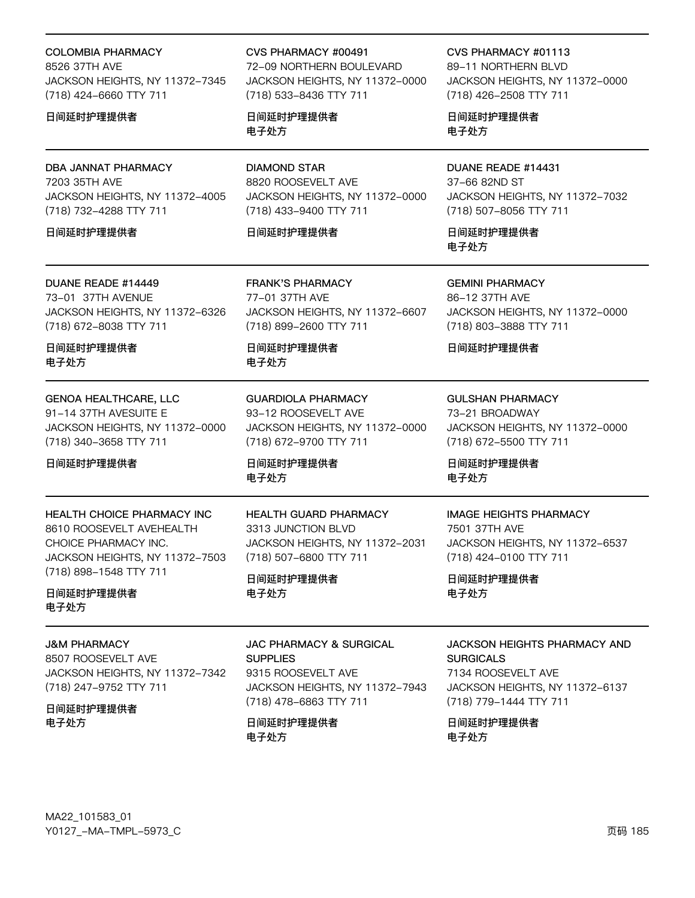| COLOMBIA PHARMACY |  |
|-------------------|--|
|                   |  |

8526 37TH AVE JACKSON HEIGHTS, NY 11372-7345 (718) 424-6660 TTY 711

#### 日间延时护理提供者

#### DBA JANNAT PHARMACY

7203 35TH AVE JACKSON HEIGHTS, NY 11372-4005 (718) 732-4288 TTY 711

#### 日间延时护理提供者

#### DUANE READE #14449

73-01 37TH AVENUE JACKSON HEIGHTS, NY 11372-6326 (718) 672-8038 TTY 711

日间延时护理提供者 电子处方

#### GENOA HEALTHCARE, LLC

91-14 37TH AVESUITE E JACKSON HEIGHTS, NY 11372-0000 (718) 340-3658 TTY 711

#### 日间延时护理提供者

### HEALTH CHOICE PHARMACY INC 8610 ROOSEVELT AVEHEALTH CHOICE PHARMACY INC. **JACKSON HEIGHTS, NY 11372-7503**

日间延时护理提供者 电子处方

(718) 898-1548 TTY 711

#### J&M PHARMACY

8507 ROOSEVELT AVE JACKSON HEIGHTS, NY 11372-7342 (718) 247-9752 TTY 711

### 日间延时护理提供者

电子处方

#### CVS PHARMACY #00491

72-09 NORTHERN BOULEVARD JACKSON HEIGHTS, NY 11372-0000 (718) 533-8436 TTY 711

日间延时护理提供者 电子处方

### DIAMOND STAR

8820 ROOSEVELT AVE JACKSON HEIGHTS, NY 11372-0000 (718) 433-9400 TTY 711

JACKSON HEIGHTS, NY 11372-6607

JACKSON HEIGHTS, NY 11372-0000

#### 日间延时护理提供者

FRANK'S PHARMACY 77-01 37TH AVE

(718) 899-2600 TTY 711

GUARDIOLA PHARMACY 93-12 ROOSEVELT AVE

(718) 672-9700 TTY 711

日间延时护理提供者

电子处方

CVS PHARMACY #01113

89-11 NORTHERN BLVD JACKSON HEIGHTS, NY 11372-0000 (718) 426-2508 TTY 711

日间延时护理提供者 电子处方

#### DUANE READE #14431 37-66 82ND ST

JACKSON HEIGHTS, NY 11372-7032 (718) 507-8056 TTY 711

日间延时护理提供者 电子处方

#### GEMINI PHARMACY

86-12 37TH AVE JACKSON HEIGHTS, NY 11372-0000 (718) 803-3888 TTY 711

#### 日间延时护理提供者

#### GULSHAN PHARMACY

73-21 BROADWAY JACKSON HEIGHTS, NY 11372-0000 (718) 672-5500 TTY 711

# 电子处方

#### IMAGE HEIGHTS PHARMACY

7501 37TH AVE JACKSON HEIGHTS, NY 11372-6537 (718) 424-0100 TTY 711

日间延时护理提供者 电子处方

#### JACKSON HEIGHTS PHARMACY AND **SURGICALS** 7134 ROOSEVELT AVE JACKSON HEIGHTS, NY 11372-6137

(718) 779-1444 TTY 711

日间延时护理提供者 电子处方

日间延时护理提供者

### HEALTH GUARD PHARMACY 3313 JUNCTION BLVD

JACKSON HEIGHTS, NY 11372-2031 (718) 507-6800 TTY 711

日间延时护理提供者 电子处方

JAC PHARMACY & SURGICAL **SUPPLIES** 

#### 9315 ROOSEVELT AVE JACKSON HEIGHTS, NY 11372-7943 (718) 478-6863 TTY 711

日间延时护理提供者 电子处方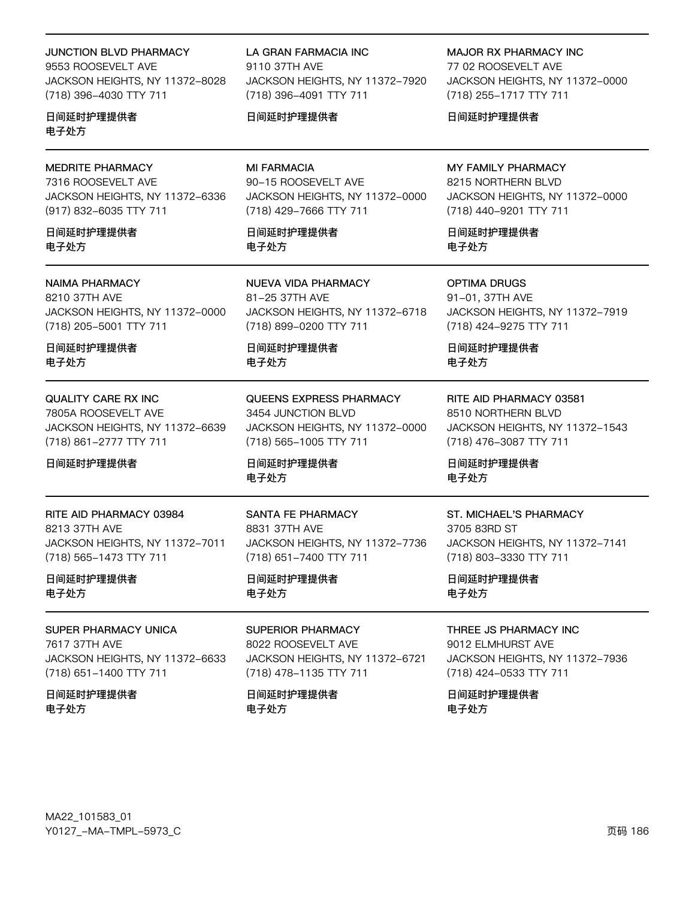#### **JUNCTION BLVD PHARMACY**

9553 ROOSEVELT AVE JACKSON HEIGHTS, NY 11372-8028 (718) 396-4030 TTY 711

日间延时护理提供者 电子处方

#### **MEDRITE PHARMACY**

7316 ROOSEVELT AVE JACKSON HEIGHTS, NY 11372-6336 (917) 832-6035 TTY 711

日间延时护理提供者 电子外方

#### **NAIMA PHARMACY**

8210 37TH AVE JACKSON HEIGHTS, NY 11372-0000 (718) 205-5001 TTY 711

日间延时护理提供者 电子处方

#### **QUALITY CARE RX INC**

7805A ROOSEVELT AVE JACKSON HEIGHTS, NY 11372-6639 (718) 861-2777 TTY 711

#### 日间延时护理提供者

RITE AID PHARMACY 03984

8213 37TH AVE JACKSON HEIGHTS, NY 11372-7011 (718) 565-1473 TTY 711

日间延时护理提供者 电子处方

SUPER PHARMACY UNICA 7617 37TH AVE JACKSON HEIGHTS, NY 11372-6633 (718) 651-1400 TTY 711

日间延时护理提供者 电子处方

LA GRAN FARMACIA INC 9110 37TH AVE JACKSON HEIGHTS, NY 11372-7920 (718) 396-4091 TTY 711

#### 日间延时护理提供者

**MI FARMACIA** 90-15 ROOSEVELT AVE JACKSON HEIGHTS, NY 11372-0000 (718) 429-7666 TTY 711

日间延时护理提供者 电子外方

**NUEVA VIDA PHARMACY** 81-25 37TH AVE JACKSON HEIGHTS, NY 11372-6718 (718) 899-0200 TTY 711

日间延时护理提供者 电子处方

**QUEENS EXPRESS PHARMACY** 3454 JUNCTION BLVD JACKSON HEIGHTS, NY 11372-0000 (718) 565-1005 TTY 711

日间延时护理提供者 电子处方

**SANTA FE PHARMACY** 8831 37TH AVE JACKSON HEIGHTS, NY 11372-7736 (718) 651-7400 TTY 711

#### 日间延时护理提供者 电子处方

**SUPERIOR PHARMACY** 8022 ROOSEVELT AVE JACKSON HEIGHTS, NY 11372-6721 (718) 478-1135 TTY 711

日间延时护理提供者 电子处方

**MAJOR RX PHARMACY INC** 77 02 ROOSEVELT AVE JACKSON HEIGHTS, NY 11372-0000 (718) 255-1717 TTY 711

日间延时护理提供者

#### MY FAMILY PHARMACY 8215 NORTHERN BLVD JACKSON HEIGHTS, NY 11372-0000 (718) 440-9201 TTY 711

日间延时护理提供者 电子外方

**OPTIMA DRUGS** 91-01, 37TH AVE JACKSON HEIGHTS, NY 11372-7919 (718) 424-9275 TTY 711

日间延时护理提供者 电子处方

RITE AID PHARMACY 03581 8510 NORTHERN BLVD JACKSON HEIGHTS, NY 11372-1543 (718) 476-3087 TTY 711

日间延时护理提供者 电子处方

#### ST. MICHAEL'S PHARMACY

3705 83RD ST JACKSON HEIGHTS, NY 11372-7141 (718) 803-3330 TTY 711

日间延时护理提供者 电子处方

THREE JS PHARMACY INC 9012 ELMHURST AVE JACKSON HEIGHTS, NY 11372-7936 (718) 424-0533 TTY 711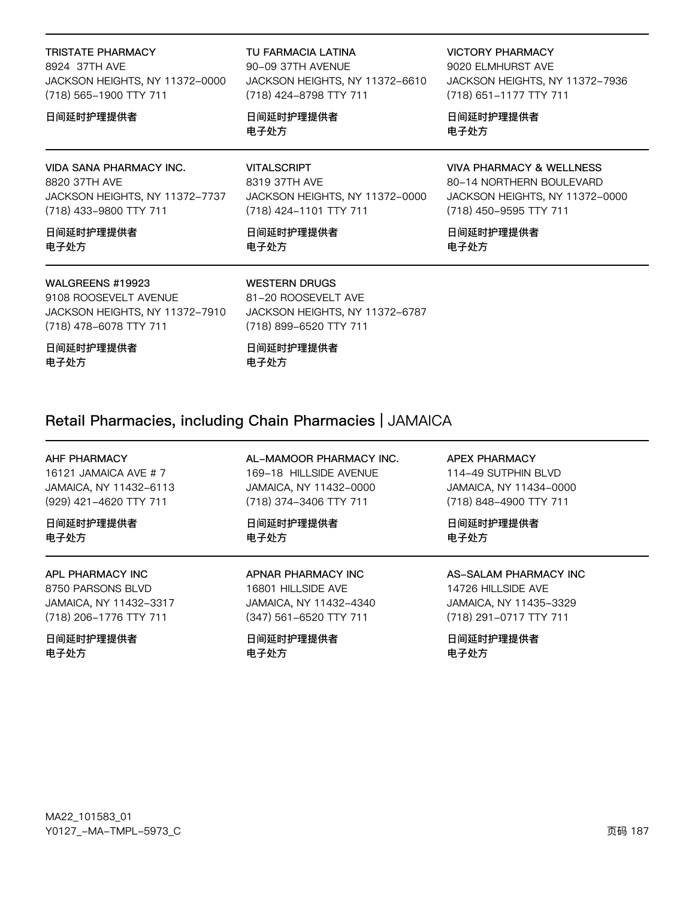#### TRISTATE PHARMACY

8924 37TH AVF JACKSON HEIGHTS, NY 11372-0000 (718) 565-1900 TTY 711

#### 日间延时护理提供者

#### VIDA SANA PHARMACY INC.

8820 37TH AVE JACKSON HEIGHTS, NY 11372-7737 (718) 433-9800 TTY 711

日间延时护理提供者 电子处方

#### WALGREENS #19923

9108 ROOSEVELT AVENUE JACKSON HEIGHTS, NY 11372-7910 (718) 478-6078 TTY 711

日间延时护理提供者 电子处方

TU FARMACIA LATINA

90-09 37TH AVENUE JACKSON HEIGHTS, NY 11372-6610 (718) 424-8798 TTY 711

日间延时护理提供者 电子处方

#### VITALSCRIPT

8319 37TH AVE JACKSON HEIGHTS, NY 11372-0000 (718) 424-1101 TTY 711

日间延时护理提供者 电子处方

#### VICTORY PHARMACY

9020 ELMHURST AVE JACKSON HEIGHTS, NY 11372-7936 (718) 651-1177 TTY 711

日间延时护理提供者 电子处方

#### VIVA PHARMACY & WELLNESS

80-14 NORTHERN BOULEVARD JACKSON HEIGHTS, NY 11372-0000 (718) 450-9595 TTY 711

日间延时护理提供者 电子处方

#### WESTERN DRUGS

日间延时护理提供者

电子处方

81-20 ROOSEVELT AVE JACKSON HEIGHTS, NY 11372-6787 (718) 899-6520 TTY 711

# Retail Pharmacies, including Chain Pharmacies | JAMAICA

#### AHF PHARMACY

16121 JAMAICA AVE # 7 JAMAICA, NY 11432-6113 (929) 421-4620 TTY 711

日间延时护理提供者 电子处方

#### APL PHARMACY INC

8750 PARSONS BLVD JAMAICA, NY 11432-3317 (718) 206-1776 TTY 711

日间延时护理提供者 电子处方

AL-MAMOOR PHARMACY INC. 169-18 HILLSIDE AVENUE JAMAICA, NY 11432-0000 (718) 374-3406 TTY 711

日间延时护理提供者 电子处方

APNAR PHARMACY INC 16801 HILLSIDE AVE

JAMAICA, NY 11432-4340 (347) 561-6520 TTY 711

日间延时护理提供者 电子处方

#### APEX PHARMACY

114-49 SUTPHIN BLVD JAMAICA, NY 11434-0000 (718) 848-4900 TTY 711

日间延时护理提供者 电子处方

#### AS-SALAM PHARMACY INC

14726 HILLSIDE AVE JAMAICA, NY 11435-3329 (718) 291-0717 TTY 711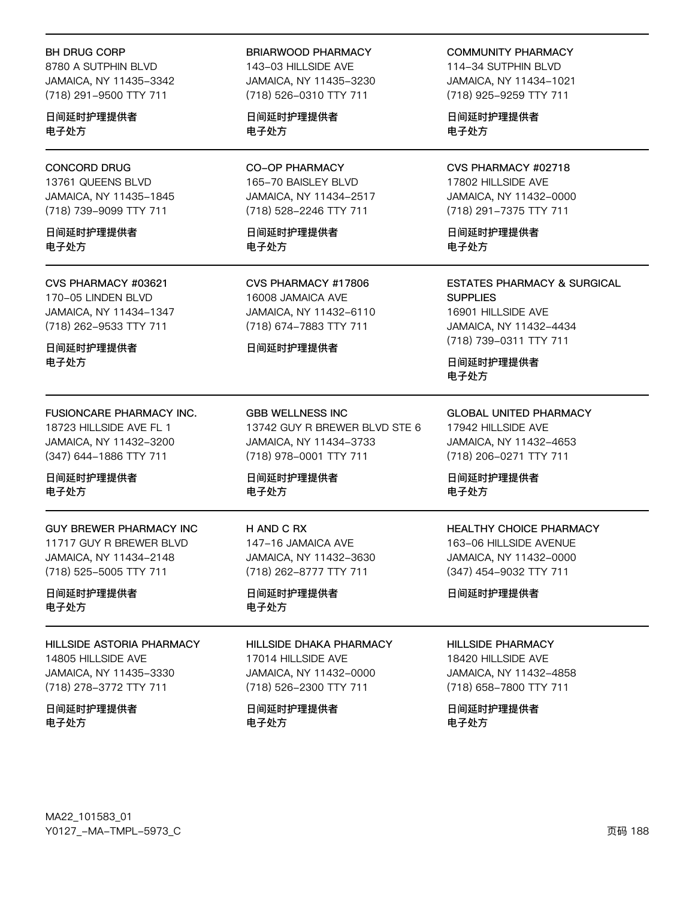#### **BH DRUG CORP**

8780 A SUTPHIN BLVD JAMAICA, NY 11435-3342 (718) 291-9500 TTY 711

日间延时护理提供者 电子处方

#### **CONCORD DRUG**

13761 QUEENS BLVD JAMAICA, NY 11435-1845 (718) 739-9099 TTY 711

日间延时护理提供者 电子外方

#### CVS PHARMACY #03621

170-05 LINDEN BLVD JAMAICA, NY 11434-1347 (718) 262-9533 TTY 711

日间延时护理提供者 电子处方

#### FUSIONCARE PHARMACY INC.

18723 HILLSIDE AVE FL 1 JAMAICA, NY 11432-3200 (347) 644-1886 TTY 711

日间延时护理提供者 电子处方

#### **GUY BREWER PHARMACY INC** 11717 GUY R BREWER BLVD JAMAICA, NY 11434-2148 (718) 525-5005 TTY 711

日间延时护理提供者 电子处方

#### **HILLSIDE ASTORIA PHARMACY** 14805 HILLSIDE AVE JAMAICA, NY 11435-3330

(718) 278-3772 TTY 711

日间延时护理提供者 电子处方

#### **BRIARWOOD PHARMACY**

143-03 HILLSIDE AVE JAMAICA, NY 11435-3230 (718) 526-0310 TTY 711

日间延时护理提供者 电子处方

#### **CO-OP PHARMACY** 165-70 BAISLEY BLVD JAMAICA, NY 11434-2517 (718) 528-2246 TTY 711

日间延时护理提供者 电子外方

#### CVS PHARMACY #17806 16008 JAMAICA AVE JAMAICA, NY 11432-6110 (718) 674-7883 TTY 711

#### 日间延时护理提供者

**GBB WELLNESS INC** 13742 GUY R BREWER BLVD STE 6 JAMAICA, NY 11434-3733 (718) 978-0001 TTY 711

日间延时护理提供者 电子处方

#### H AND C RX 147-16 JAMAICA AVE JAMAICA, NY 11432-3630 (718) 262-8777 TTY 711

日间延时护理提供者 电子处方

#### **HILLSIDE DHAKA PHARMACY**

17014 HILLSIDE AVE JAMAICA, NY 11432-0000 (718) 526-2300 TTY 711

日间延时护理提供者 电子处方

**COMMUNITY PHARMACY** 

114-34 SUTPHIN BLVD JAMAICA, NY 11434-1021 (718) 925-9259 TTY 711

日间延时护理提供者 电子处方

#### CVS PHARMACY #02718 17802 HILLSIDE AVE JAMAICA, NY 11432-0000 (718) 291-7375 TTY 711

日间延时护理提供者 电子外方

#### **ESTATES PHARMACY & SURGICAL SUPPLIES** 16901 HILLSIDE AVE

JAMAICA, NY 11432-4434 (718) 739-0311 TTY 711

日间延时护理提供者 电子处方

**GLOBAL UNITED PHARMACY** 17942 HILLSIDE AVE JAMAICA, NY 11432-4653 (718) 206-0271 TTY 711

日间延时护理提供者 电子处方

#### **HEALTHY CHOICE PHARMACY** 163-06 HILLSIDE AVENUE

JAMAICA, NY 11432-0000 (347) 454-9032 TTY 711

日间延时护理提供者

#### **HILLSIDE PHARMACY**

18420 HILLSIDE AVE JAMAICA, NY 11432-4858 (718) 658-7800 TTY 711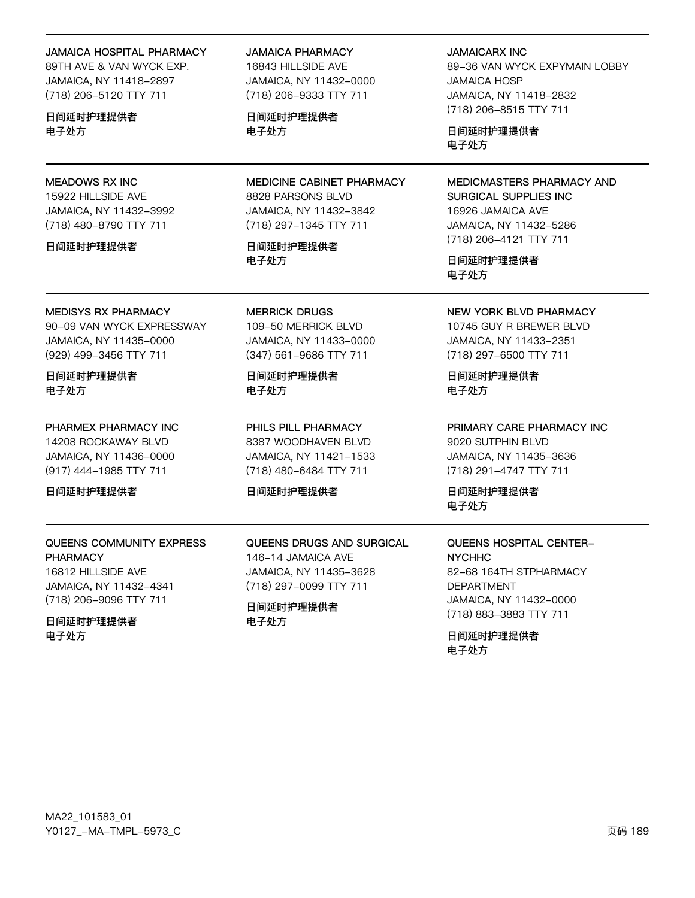#### **JAMAICA HOSPITAL PHARMACY**

89TH AVE & VAN WYCK EXP. JAMAICA, NY 11418-2897 (718) 206-5120 TTY 711

日间延时护理提供者 电子处方

#### **MEADOWS RX INC**

15922 HILLSIDE AVE JAMAICA, NY 11432-3992 (718) 480-8790 TTY 711

#### 日间延时护理提供者

#### **MEDISYS RX PHARMACY**

90-09 VAN WYCK EXPRESSWAY JAMAICA, NY 11435-0000 (929) 499-3456 TTY 711

日间延时护理提供者 电子处方

#### PHARMEX PHARMACY INC

14208 ROCKAWAY BLVD JAMAICA, NY 11436-0000 (917) 444-1985 TTY 711

日间延时护理提供者

### QUEENS COMMUNITY EXPRESS **PHARMACY**

16812 HILLSIDE AVE JAMAICA, NY 11432-4341 (718) 206-9096 TTY 711

日间延时护理提供者 电子处方

#### **JAMAICA PHARMACY**

16843 HILLSIDE AVE JAMAICA, NY 11432-0000 (718) 206-9333 TTY 711

日间延时护理提供者 电子处方

MEDICINE CABINET PHARMACY 8828 PARSONS BLVD JAMAICA, NY 11432-3842 (718) 297-1345 TTY 711

日间延时护理提供者 电子处方

**MERRICK DRUGS** 109-50 MERRICK BLVD JAMAICA, NY 11433-0000 (347) 561-9686 TTY 711

日间延时护理提供者 电子处方

PHILS PILL PHARMACY 8387 WOODHAVEN BLVD JAMAICA, NY 11421-1533 (718) 480-6484 TTY 711

#### 日间延时护理提供者

QUEENS DRUGS AND SURGICAL 146-14 JAMAICA AVE JAMAICA, NY 11435-3628 (718) 297-0099 TTY 711

日间延时护理提供者 电子处方

#### **JAMAICARX INC**

89-36 VAN WYCK EXPYMAIN LOBBY **JAMAICA HOSP** JAMAICA, NY 11418-2832 (718) 206-8515 TTY 711

日间延时护理提供者 电子处方

MEDICMASTERS PHARMACY AND SURGICAL SUPPLIES INC 16926 JAMAICA AVE JAMAICA, NY 11432-5286 (718) 206-4121 TTY 711

日间延时护理提供者 电子处方

**NEW YORK BLVD PHARMACY** 10745 GUY R BREWER BLVD

JAMAICA, NY 11433-2351 (718) 297-6500 TTY 711

日间延时护理提供者 电子处方

PRIMARY CARE PHARMACY INC 9020 SUTPHIN BLVD JAMAICA, NY 11435-3636 (718) 291-4747 TTY 711

日间延时护理提供者 电子处方

#### **QUEENS HOSPITAL CENTER-NYCHHC**

82-68 164TH STPHARMACY **DEPARTMENT** JAMAICA, NY 11432-0000 (718) 883-3883 TTY 711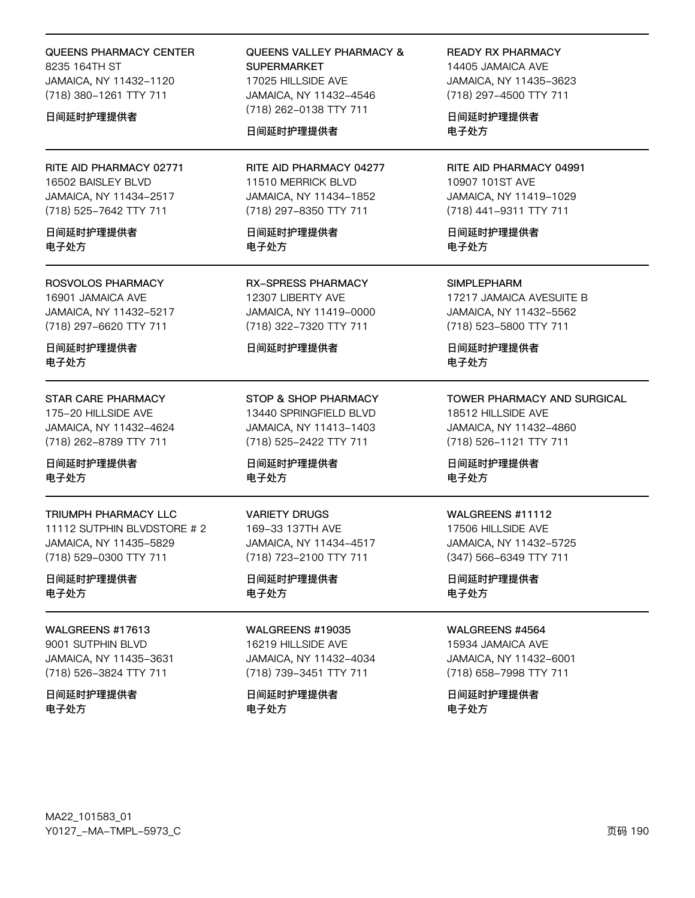#### **QUEENS PHARMACY CENTER** 8235 164TH ST JAMAICA, NY 11432-1120 (718) 380-1261 TTY 711

#### 日间延时护理提供者

RITE AID PHARMACY 02771 16502 BAISLEY BLVD JAMAICA, NY 11434-2517 (718) 525-7642 TTY 711

日间延时护理提供者 电子外方

#### **ROSVOLOS PHARMACY**

16901 JAMAICA AVE JAMAICA, NY 11432-5217 (718) 297-6620 TTY 711

日间延时护理提供者 电子处方

#### **STAR CARE PHARMACY**

175-20 HILLSIDE AVE JAMAICA, NY 11432-4624 (718) 262-8789 TTY 711

日间延时护理提供者 电子处方

#### TRIUMPH PHARMACY LLC

11112 SUTPHIN BLVDSTORE # 2 JAMAICA, NY 11435-5829 (718) 529-0300 TTY 711

#### 日间延时护理提供者 电子处方

**WAI GREENS #17613** 9001 SUTPHIN BLVD JAMAICA, NY 11435-3631

(718) 526-3824 TTY 711 日间延时护理提供者

电子处方

#### **QUEENS VALLEY PHARMACY & SUPERMARKET** 17025 HILLSIDE AVE JAMAICA, NY 11432-4546 (718) 262-0138 TTY 711

### 日间延时护理提供者

RITE AID PHARMACY 04277 11510 MERRICK BLVD JAMAICA, NY 11434-1852 (718) 297-8350 TTY 711

日间延时护理提供者 电子外方

**RX-SPRESS PHARMACY** 12307 LIBERTY AVE JAMAICA, NY 11419-0000 (718) 322-7320 TTY 711

#### 日间延时护理提供者

STOP & SHOP PHARMACY 13440 SPRINGFIELD BLVD JAMAICA, NY 11413-1403 (718) 525-2422 TTY 711

日间延时护理提供者 电子处方

#### **VARIETY DRUGS**

169-33 137TH AVE JAMAICA, NY 11434-4517 (718) 723-2100 TTY 711

日间延时护理提供者 电子处方

**WALGREENS #19035** 16219 HILLSIDE AVE JAMAICA, NY 11432-4034 (718) 739-3451 TTY 711

日间延时护理提供者 电子处方

**READY RX PHARMACY** 14405 JAMAICA AVE JAMAICA, NY 11435-3623 (718) 297-4500 TTY 711

日间延时护理提供者 电子处方

RITE AID PHARMACY 04991 10907 101ST AVE JAMAICA, NY 11419-1029 (718) 441-9311 TTY 711

日间延时护理提供者 电子外方

**SIMPLEPHARM** 

17217 JAMAICA AVESUITE B JAMAICA, NY 11432-5562 (718) 523-5800 TTY 711

日间延时护理提供者 电子处方

#### TOWER PHARMACY AND SURGICAL

18512 HILLSIDE AVE JAMAICA, NY 11432-4860 (718) 526-1121 TTY 711

日间延时护理提供者 电子处方

#### WALGREENS #11112

17506 HILLSIDE AVE JAMAICA, NY 11432-5725 (347) 566-6349 TTY 711

日间延时护理提供者 电子处方

WALGREENS #4564

15934 JAMAICA AVE JAMAICA, NY 11432-6001 (718) 658-7998 TTY 711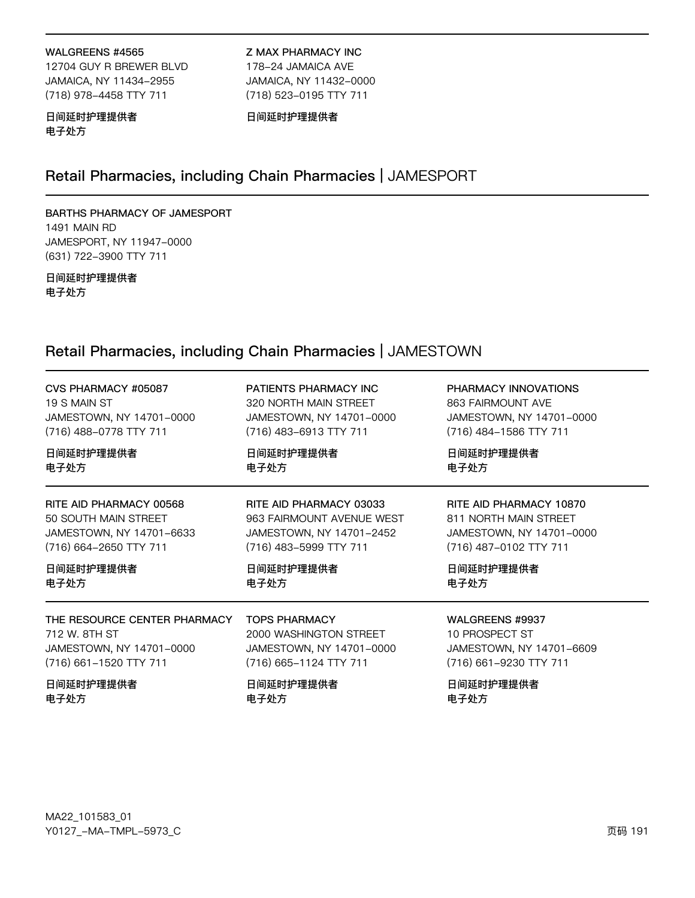#### WALGREENS #4565

12704 GUY R BREWER BLVD JAMAICA, NY 11434-2955 (718) 978-4458 TTY 711

**Z MAX PHARMACY INC** 178-24 JAMAICA AVE JAMAICA, NY 11432-0000 (718) 523-0195 TTY 711

#### 日间延时护理提供者 电子处方

日间延时护理提供者

### Retail Pharmacies, including Chain Pharmacies | JAMESPORT

### BARTHS PHARMACY OF JAMESPORT

**1491 MAIN RD** JAMESPORT, NY 11947-0000 (631) 722-3900 TTY 711

#### 日间延时护理提供者 电子处方

### Retail Pharmacies, including Chain Pharmacies | JAMESTOWN

| CVS PHARMACY #05087          | PATIENTS PHARMACY INC     | PHARMACY INNOVATIONS     |
|------------------------------|---------------------------|--------------------------|
| 19 S MAIN ST                 | 320 NORTH MAIN STREET     | 863 FAIRMOUNT AVE        |
| JAMESTOWN, NY 14701-0000     | JAMESTOWN, NY 14701-0000  | JAMESTOWN, NY 14701-0000 |
| (716) 488-0778 TTY 711       | (716) 483-6913 TTY 711    | (716) 484-1586 TTY 711   |
| 日间延时护理提供者                    | 日间延时护理提供者                 | 日间延时护理提供者                |
| 电子处方                         | 电子处方                      | 电子处方                     |
| RITE AID PHARMACY 00568      | RITE AID PHARMACY 03033   | RITE AID PHARMACY 10870  |
| 50 SOUTH MAIN STREET         | 963 FAIRMOUNT AVENUE WEST | 811 NORTH MAIN STREET    |
| JAMESTOWN, NY 14701-6633     | JAMESTOWN, NY 14701-2452  | JAMESTOWN, NY 14701-0000 |
| (716) 664-2650 TTY 711       | (716) 483-5999 TTY 711    | (716) 487-0102 TTY 711   |
| 日间延时护理提供者                    | 日间延时护理提供者                 | 日间延时护理提供者                |
| 电子处方                         | 电子处方                      | 电子处方                     |
| THE RESOURCE CENTER PHARMACY | <b>TOPS PHARMACY</b>      | WALGREENS #9937          |
| 712 W. 8TH ST                | 2000 WASHINGTON STREET    | 10 PROSPECT ST           |
| JAMESTOWN, NY 14701-0000     | JAMESTOWN, NY 14701-0000  | JAMESTOWN, NY 14701-6609 |
| (716) 661-1520 TTY 711       | (716) 665-1124 TTY 711    | (716) 661-9230 TTY 711   |
| 日间延时护理提供者                    | 日间延时护理提供者                 | 日间延时护理提供者                |
| 电子处方                         | 电子处方                      | 电子处方                     |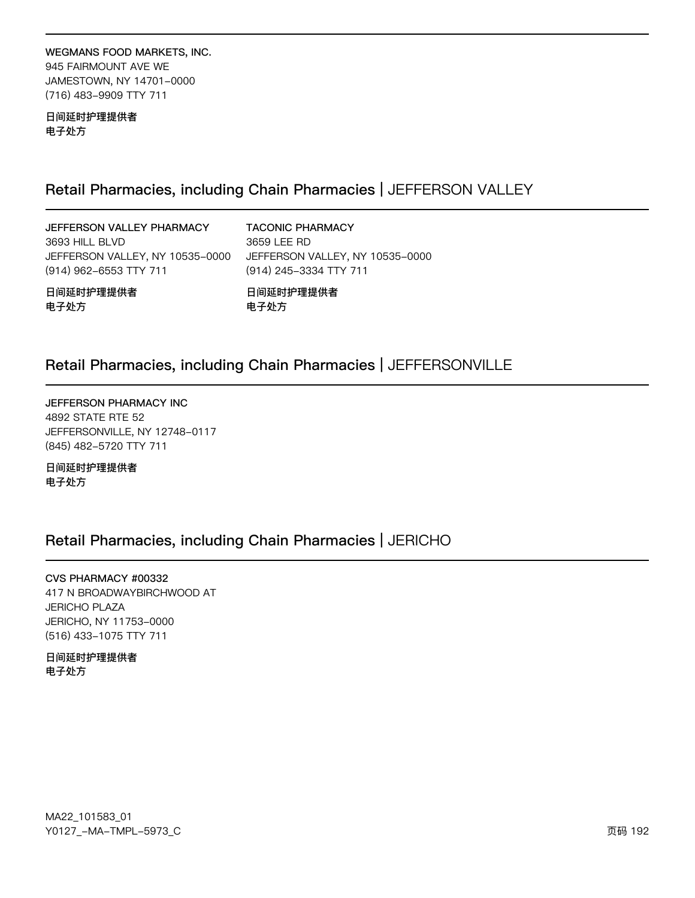WEGMANS FOOD MARKETS, INC. 945 FAIRMOUNT AVE WE JAMESTOWN, NY 14701-0000 (716) 483-9909 TTY 711

日间延时护理提供者 电子处方

### Retail Pharmacies, including Chain Pharmacies | JEFFERSON VALLEY

JEFFERSON VALLEY PHARMACY 3693 HILL BLVD JEFFERSON VALLEY, NY 10535-0000 (914) 962-6553 TTY 711

**TACONIC PHARMACY** 3659 LEE RD JEFFERSON VALLEY, NY 10535-0000 (914) 245-3334 TTY 711

日间延时护理提供者 电子处方

日间延时护理提供者 电子处方

### Retail Pharmacies, including Chain Pharmacies | JEFFERSONVILLE

JEFFERSON PHARMACY INC 4892 STATE RTE 52 JEFFERSONVILLE, NY 12748-0117 (845) 482-5720 TTY 711

日间延时护理提供者 电子处方

### Retail Pharmacies, including Chain Pharmacies | JERICHO

CVS PHARMACY #00332 417 N BROADWAYBIRCHWOOD AT **JERICHO PLAZA** JERICHO, NY 11753-0000 (516) 433-1075 TTY 711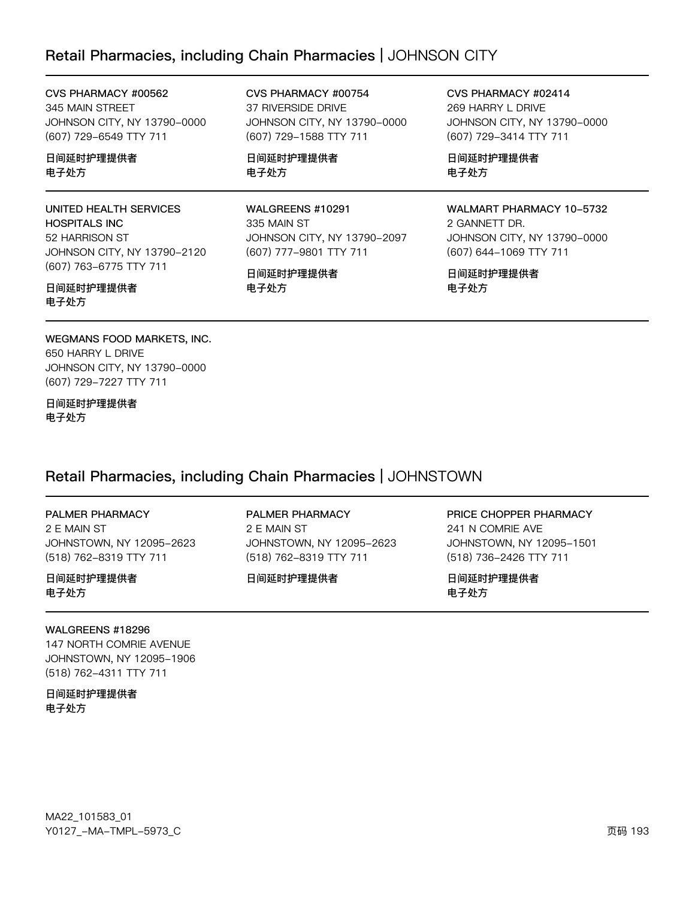### Retail Pharmacies, including Chain Pharmacies | JOHNSON CITY

CVS PHARMACY #00754 37 RIVERSIDE DRIVE

(607) 729-1588 TTY 711

日间延时护理提供者

WALGREENS #10291

日间延时护理提供者

(607) 777-9801 TTY 711

电子处方

电子处方

335 MAIN ST

JOHNSON CITY, NY 13790-0000

JOHNSON CITY, NY 13790-2097

CVS PHARMACY #00562 345 MAIN STREET JOHNSON CITY, NY 13790-0000 (607) 729-6549 TTY 711

日间延时护理提供者 电子处方

UNITED HEALTH SERVICES HOSPITALS INC 52 HARRISON ST JOHNSON CITY, NY 13790-2120 (607) 763-6775 TTY 711

日间延时护理提供者 电子处方

WEGMANS FOOD MARKETS, INC. 650 HARRY L DRIVE JOHNSON CITY, NY 13790-0000 (607) 729-7227 TTY 711

日间延时护理提供者 电子处方

### Retail Pharmacies, including Chain Pharmacies | JOHNSTOWN

#### PALMER PHARMACY

2 E MAIN ST JOHNSTOWN, NY 12095-2623 (518) 762-8319 TTY 711

日间延时护理提供者 电子处方

#### PALMER PHARMACY

2 E MAIN ST JOHNSTOWN, NY 12095-2623 (518) 762-8319 TTY 711

日间延时护理提供者

CVS PHARMACY #02414 269 HARRY L DRIVE JOHNSON CITY, NY 13790-0000 (607) 729-3414 TTY 711

日间延时护理提供者 电子处方

#### WALMART PHARMACY 10-5732

2 GANNETT DR. JOHNSON CITY, NY 13790-0000 (607) 644-1069 TTY 711

日间延时护理提供者 电子处方

PRICE CHOPPER PHARMACY 241 N COMRIE AVE JOHNSTOWN, NY 12095-1501 (518) 736-2426 TTY 711

日间延时护理提供者 电子处方

#### WALGREENS #18296

147 NORTH COMRIE AVENUE JOHNSTOWN, NY 12095-1906 (518) 762-4311 TTY 711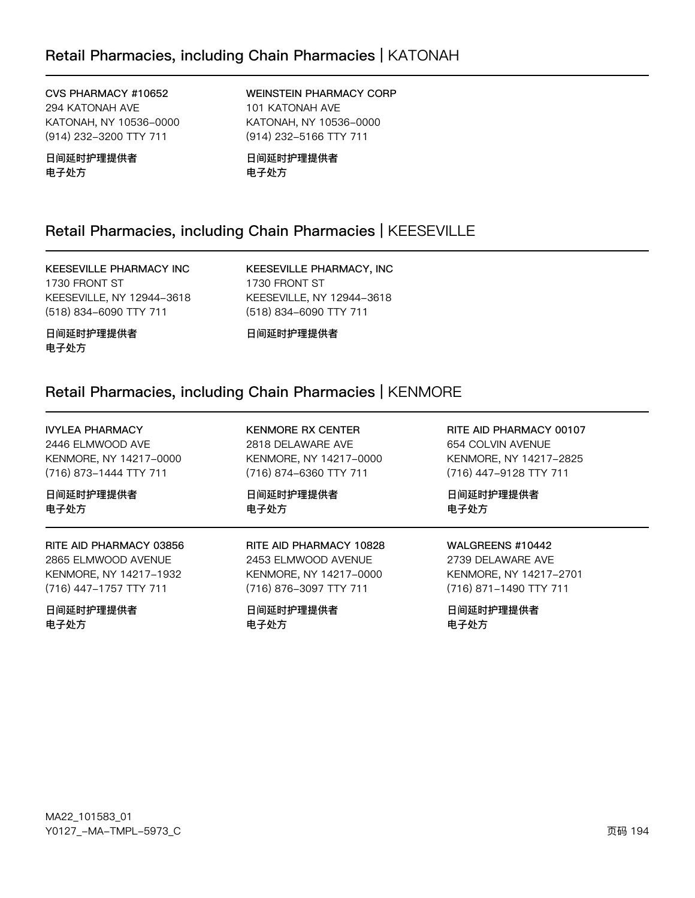CVS PHARMACY #10652 294 KATONAH AVE KATONAH, NY 10536-0000 (914) 232-3200 TTY 711

日间延时护理提供者 电子处方

WEINSTEIN PHARMACY CORP 101 KATONAH AVE KATONAH, NY 10536-0000 (914) 232-5166 TTY 711

日间延时护理提供者 电子处方

### Retail Pharmacies, including Chain Pharmacies | KEESEVILLE

#### **KEESEVILLE PHARMACY INC**

1730 FRONT ST KEESEVILLE, NY 12944-3618 (518) 834-6090 TTY 711

KEESEVILLE PHARMACY, INC 1730 FRONT ST KEESEVILLE, NY 12944-3618 (518) 834-6090 TTY 711

日间延时护理提供者 电子处方

日间延时护理提供者

### Retail Pharmacies, including Chain Pharmacies | KENMORE

| <b>IVYLEA PHARMACY</b>  | <b>KENMORE RX CENTER</b> | RITE AID PHARMACY 00107 |
|-------------------------|--------------------------|-------------------------|
| 2446 ELMWOOD AVE        | 2818 DELAWARE AVE        | 654 COLVIN AVENUE       |
| KENMORE, NY 14217-0000  | KENMORE, NY 14217-0000   | KENMORE, NY 14217-2825  |
| (716) 873-1444 TTY 711  | (716) 874-6360 TTY 711   | (716) 447-9128 TTY 711  |
| 日间延时护理提供者               | 日间延时护理提供者                | 日间延时护理提供者               |
| 电子处方                    | 电子处方                     | 电子处方                    |
| RITE AID PHARMACY 03856 | RITE AID PHARMACY 10828  | WALGREENS #10442        |
| 2865 ELMWOOD AVENUE     | 2453 ELMWOOD AVENUE      | 2739 DELAWARE AVE       |
| KENMORE, NY 14217-1932  | KENMORE, NY 14217-0000   | KENMORE, NY 14217-2701  |
| (716) 447-1757 TTY 711  | (716) 876-3097 TTY 711   | (716) 871-1490 TTY 711  |
| 日间延时护理提供者               | 日间延时护理提供者                | 日间延时护理提供者               |
| 电子处方                    | 电子处方                     | 电子处方                    |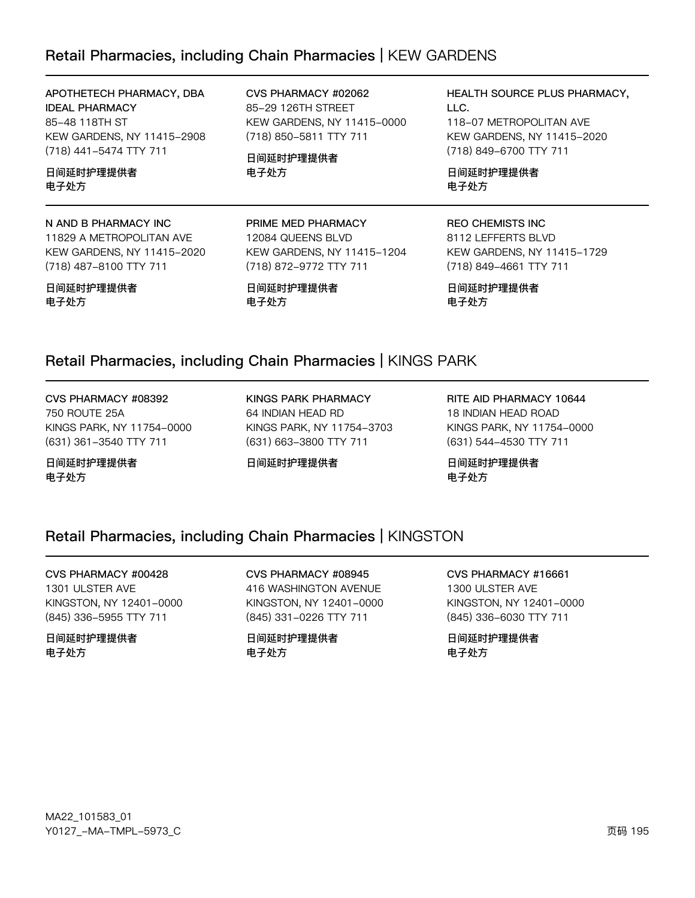### Retail Pharmacies, including Chain Pharmacies | KEW GARDENS

### APOTHETECH PHARMACY, DBA

**IDEAL PHARMACY** 85-48 118TH ST KEW GARDENS, NY 11415-2908 (718) 441-5474 TTY 711

#### 日间延时护理提供者 电子处方

#### N AND B PHARMACY INC

11829 A METROPOLITAN AVE KEW GARDENS, NY 11415-2020 (718) 487-8100 TTY 711

日间延时护理提供者 电子处方

#### CVS PHARMACY #02062 85-29 126TH STREET KEW GARDENS, NY 11415-0000 (718) 850-5811 TTY 711

日间延时护理提供者 电子处方

PRIME MED PHARMACY

(718) 872-9772 TTY 711

KEW GARDENS, NY 11415-1204

12084 QUEENS BLVD

日间延时护理提供者

#### HEALTH SOURCE PLUS PHARMACY, LLC. 118-07 METROPOLITAN AVE KEW GARDENS, NY 11415-2020 (718) 849-6700 TTY 711

日间延时护理提供者 电子处方

#### **REO CHEMISTS INC** 8112 LEFFERTS BLVD KEW GARDENS, NY 11415-1729 (718) 849-4661 TTY 711

日间延时护理提供者 电子处方

### Retail Pharmacies, including Chain Pharmacies | KINGS PARK

电子处方

#### CVS PHARMACY #08392 **750 ROUTE 25A** KINGS PARK, NY 11754-0000 (631) 361-3540 TTY 711

日间延时护理提供者 电子处方

**KINGS PARK PHARMACY** 64 INDIAN HEAD RD KINGS PARK, NY 11754-3703 (631) 663-3800 TTY 711

日间延时护理提供者

RITE AID PHARMACY 10644 18 INDIAN HEAD ROAD KINGS PARK, NY 11754-0000 (631) 544-4530 TTY 711

日间延时护理提供者 电子处方

### Retail Pharmacies, including Chain Pharmacies | KINGSTON

#### CVS PHARMACY #00428 1301 ULSTER AVE

KINGSTON, NY 12401-0000 (845) 336-5955 TTY 711

#### 日间延时护理提供者 电子处方

CVS PHARMACY #08945 416 WASHINGTON AVENUE KINGSTON, NY 12401-0000 (845) 331-0226 TTY 711

日间延时护理提供者 电子处方

## CVS PHARMACY #16661

1300 ULSTER AVE KINGSTON, NY 12401-0000 (845) 336-6030 TTY 711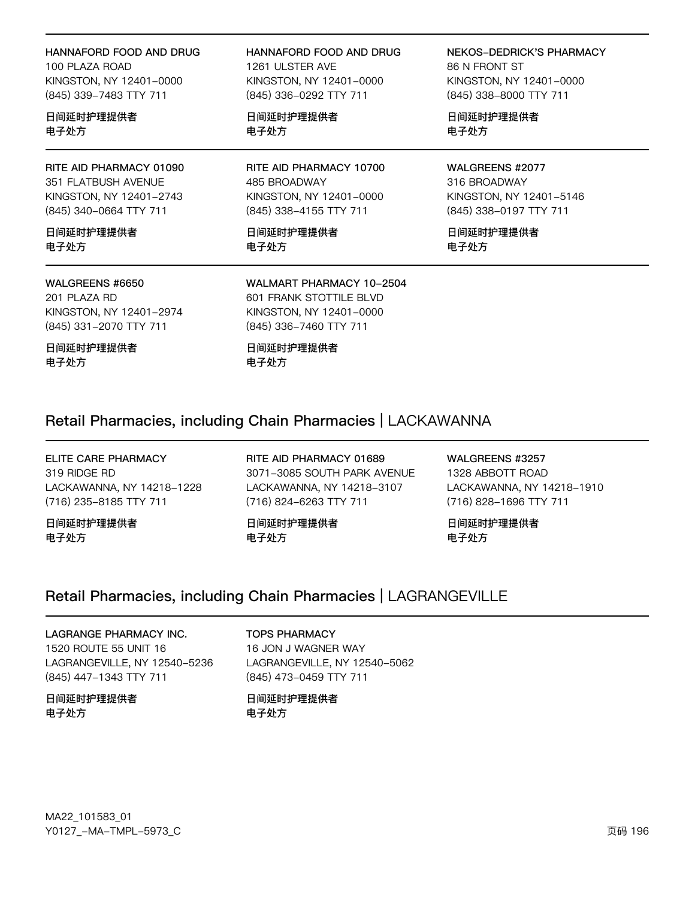#### HANNAFORD FOOD AND DRUG

100 PLAZA ROAD KINGSTON, NY 12401-0000 (845) 339-7483 TTY 711

日间延时护理提供者 电子处方

RITE AID PHARMACY 01090 351 FLATBUSH AVENUE KINGSTON, NY 12401-2743 (845) 340-0664 TTY 711

日间延时护理提供者 电子处方

#### WALGREENS #6650

201 PLAZA RD KINGSTON, NY 12401-2974 (845) 331-2070 TTY 711

日间延时护理提供者 电子处方

HANNAFORD FOOD AND DRUG 1261 ULSTER AVE KINGSTON, NY 12401-0000 (845) 336-0292 TTY 711

日间延时护理提供者 电子处方

RITE AID PHARMACY 10700 485 BROADWAY KINGSTON, NY 12401-0000 (845) 338-4155 TTY 711

日间延时护理提供者 电子处方

NEKOS-DEDRICK'S PHARMACY 86 N FRONT ST KINGSTON, NY 12401-0000 (845) 338-8000 TTY 711

日间延时护理提供者 电子处方

WALGREENS #2077 316 BROADWAY KINGSTON, NY 12401-5146 (845) 338-0197 TTY 711

日间延时护理提供者 电子处方

#### WALMART PHARMACY 10-2504 601 FRANK STOTTILE BLVD KINGSTON, NY 12401-0000 (845) 336-7460 TTY 711

日间延时护理提供者 电子处方

### Retail Pharmacies, including Chain Pharmacies | LACKAWANNA

ELITE CARE PHARMACY 319 RIDGE RD LACKAWANNA, NY 14218-1228 (716) 235-8185 TTY 711

日间延时护理提供者 电子处方

RITE AID PHARMACY 01689 3071-3085 SOUTH PARK AVENUE LACKAWANNA, NY 14218-3107 (716) 824-6263 TTY 711

日间延时护理提供者 电子处方

WALGREENS #3257 1328 ABBOTT ROAD LACKAWANNA, NY 14218-1910 (716) 828-1696 TTY 711

日间延时护理提供者 电子处方

### Retail Pharmacies, including Chain Pharmacies | LAGRANGEVILLE

#### LAGRANGE PHARMACY INC. 1520 ROUTE 55 UNIT 16 LAGRANGEVILLE, NY 12540-5236 (845) 447-1343 TTY 711

日间延时护理提供者 电子处方

TOPS PHARMACY 16 JON J WAGNER WAY LAGRANGEVILLE, NY 12540-5062 (845) 473-0459 TTY 711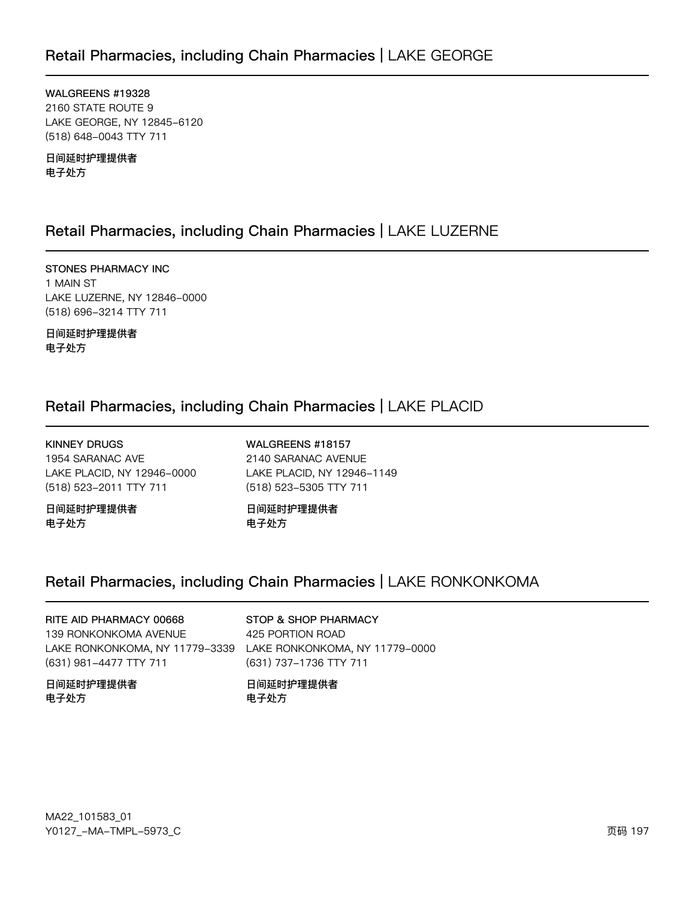WALGREENS #19328 2160 STATE ROUTE 9 LAKE GEORGE, NY 12845-6120 (518) 648-0043 TTY 711

日间延时护理提供者 电子处方

### Retail Pharmacies, including Chain Pharmacies | LAKE LUZERNE

STONES PHARMACY INC 1 MAIN ST LAKE LUZERNE, NY 12846-0000 (518) 696-3214 TTY 711

日间延时护理提供者 电子处方

### Retail Pharmacies, including Chain Pharmacies | LAKE PLACID

KINNEY DRUGS 1954 SARANAC AVE LAKE PLACID, NY 12946-0000 (518) 523-2011 TTY 711

日间延时护理提供者 电子处方

WALGREENS #18157 2140 SARANAC AVENUE LAKE PLACID, NY 12946-1149 (518) 523-5305 TTY 711

日间延时护理提供者 电子处方

## Retail Pharmacies, including Chain Pharmacies | LAKE RONKONKOMA

RITE AID PHARMACY 00668 139 RONKONKOMA AVENUE LAKE RONKONKOMA, NY 11779–3339 LAKE RONKONKOMA, NY 11779–0000 (631) 981-4477 TTY 711

日间延时护理提供者 电子处方

#### STOP & SHOP PHARMACY

425 PORTION ROAD (631) 737-1736 TTY 711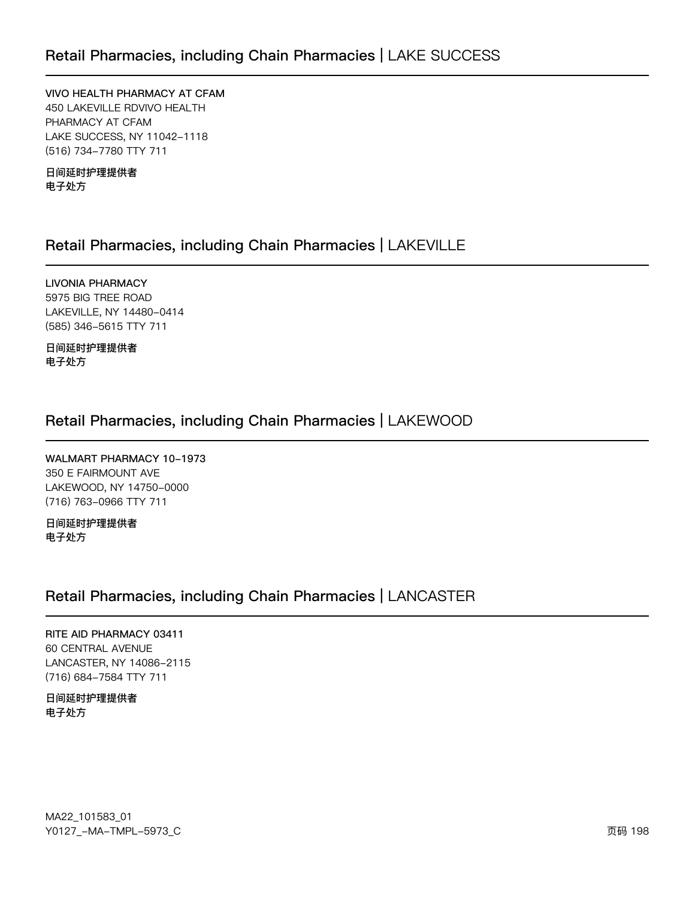VIVO HEALTH PHARMACY AT CFAM 450 LAKEVILLE RDVIVO HEALTH PHARMACY AT CFAM LAKE SUCCESS, NY 11042-1118 (516) 734-7780 TTY 711

日间延时护理提供者 电子处方

### Retail Pharmacies, including Chain Pharmacies | LAKEVILLE

**LIVONIA PHARMACY** 5975 BIG TREE ROAD LAKEVILLE, NY 14480-0414 (585) 346-5615 TTY 711

日间延时护理提供者 电子处方

### Retail Pharmacies, including Chain Pharmacies | LAKEWOOD

WALMART PHARMACY 10-1973 350 E FAIRMOUNT AVE LAKEWOOD, NY 14750-0000 (716) 763-0966 TTY 711

日间延时护理提供者 电子处方

### Retail Pharmacies, including Chain Pharmacies | LANCASTER

RITE AID PHARMACY 03411 60 CENTRAL AVENUE LANCASTER, NY 14086-2115 (716) 684-7584 TTY 711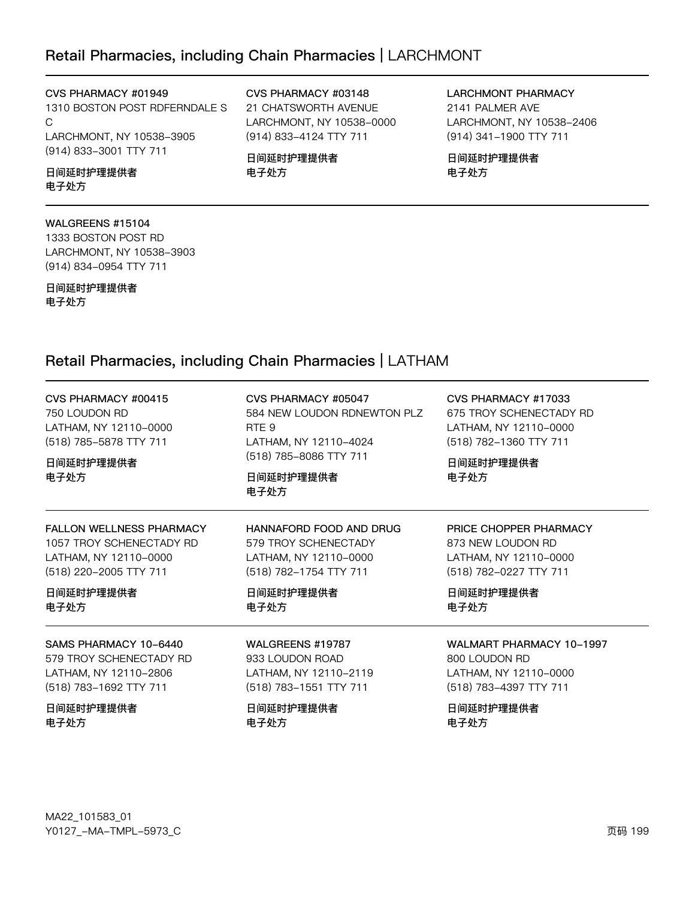### Retail Pharmacies, including Chain Pharmacies | LARCHMONT

CVS PHARMACY #01949

1310 BOSTON POST RDFERNDALE S C LARCHMONT, NY 10538-3905 (914) 833-3001 TTY 711

日间延时护理提供者 电子处方

#### WALGREENS #15104

1333 BOSTON POST RD LARCHMONT, NY 10538-3903 (914) 834-0954 TTY 711

日间延时护理提供者 电子处方

#### CVS PHARMACY #03148 21 CHATSWORTH AVENUE LARCHMONT, NY 10538-0000 (914) 833-4124 TTY 711

日间延时护理提供者 电子处方

LARCHMONT PHARMACY 2141 PALMER AVE LARCHMONT, NY 10538-2406 (914) 341-1900 TTY 711

日间延时护理提供者 电子处方

### Retail Pharmacies, including Chain Pharmacies | LATHAM

| CVS PHARMACY #00415<br>750 LOUDON RD<br>LATHAM, NY 12110-0000<br>(518) 785-5878 TTY 711<br>日间延时护理提供者<br>电子处方 | CVS PHARMACY #05047<br>584 NEW LOUDON RDNEWTON PLZ<br>RTE <sub>9</sub><br>LATHAM, NY 12110-4024<br>(518) 785-8086 TTY 711<br>日间延时护理提供者<br>电子处方 | CVS PHARMACY #17033<br>675 TROY SCHENECTADY RD<br>LATHAM, NY 12110-0000<br>(518) 782-1360 TTY 711<br>日间延时护理提供者<br>电子处方 |
|--------------------------------------------------------------------------------------------------------------|------------------------------------------------------------------------------------------------------------------------------------------------|------------------------------------------------------------------------------------------------------------------------|
| <b>FALLON WELLNESS PHARMACY</b>                                                                              | HANNAFORD FOOD AND DRUG                                                                                                                        | PRICE CHOPPER PHARMACY                                                                                                 |
| 1057 TROY SCHENECTADY RD                                                                                     | 579 TROY SCHENECTADY                                                                                                                           | 873 NEW LOUDON RD                                                                                                      |
| LATHAM, NY 12110-0000                                                                                        | LATHAM, NY 12110-0000                                                                                                                          | LATHAM, NY 12110-0000                                                                                                  |
| (518) 220-2005 TTY 711                                                                                       | (518) 782-1754 TTY 711                                                                                                                         | (518) 782-0227 TTY 711                                                                                                 |
| 日间延时护理提供者                                                                                                    | 日间延时护理提供者                                                                                                                                      | 日间延时护理提供者                                                                                                              |
| 电子处方                                                                                                         | 电子处方                                                                                                                                           | 电子处方                                                                                                                   |
| SAMS PHARMACY 10-6440                                                                                        | WALGREENS #19787                                                                                                                               | <b>WALMART PHARMACY 10-1997</b>                                                                                        |
| 579 TROY SCHENECTADY RD                                                                                      | 933 LOUDON ROAD                                                                                                                                | 800 LOUDON RD                                                                                                          |
| LATHAM, NY 12110-2806                                                                                        | LATHAM, NY 12110-2119                                                                                                                          | LATHAM, NY 12110-0000                                                                                                  |
| (518) 783-1692 TTY 711                                                                                       | (518) 783-1551 TTY 711                                                                                                                         | (518) 783-4397 TTY 711                                                                                                 |
| 日间延时护理提供者                                                                                                    | 日间延时护理提供者                                                                                                                                      | 日间延时护理提供者                                                                                                              |
| 电子处方                                                                                                         | 电子处方                                                                                                                                           | 电子处方                                                                                                                   |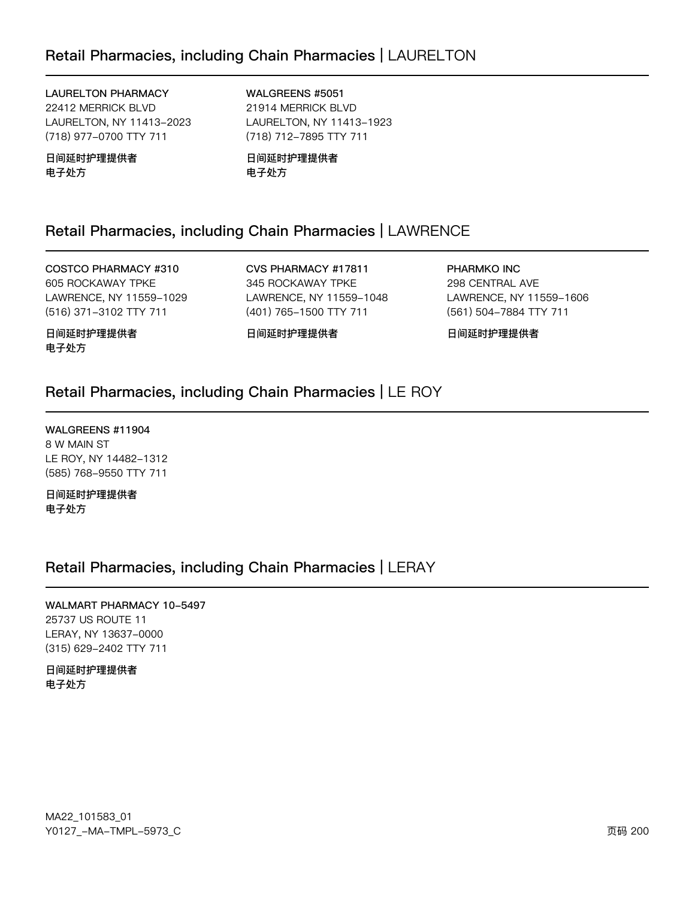#### **LAURELTON PHARMACY**

22412 MERRICK BLVD LAURELTON, NY 11413-2023 (718) 977-0700 TTY 711

日间延时护理提供者 电子处方

WALGREENS #5051 21914 MERRICK BLVD LAURELTON, NY 11413-1923

(718) 712-7895 TTY 711

日间延时护理提供者 电子处方

### Retail Pharmacies, including Chain Pharmacies | LAWRENCE

COSTCO PHARMACY #310 605 ROCKAWAY TPKE LAWRENCE, NY 11559-1029 (516) 371-3102 TTY 711

CVS PHARMACY #17811 345 ROCKAWAY TPKE LAWRENCE, NY 11559-1048 (401) 765-1500 TTY 711

PHARMKO INC 298 CENTRAL AVE LAWRENCE, NY 11559-1606 (561) 504-7884 TTY 711

日间延时护理提供者 电子处方

日间延时护理提供者

日间延时护理提供者

### Retail Pharmacies, including Chain Pharmacies | LE ROY

WALGREENS #11904 8 W MAIN ST LE ROY, NY 14482-1312 (585) 768-9550 TTY 711

日间延时护理提供者 电子处方

### Retail Pharmacies, including Chain Pharmacies | LERAY

WALMART PHARMACY 10-5497 25737 US ROUTE 11 LERAY, NY 13637-0000 (315) 629-2402 TTY 711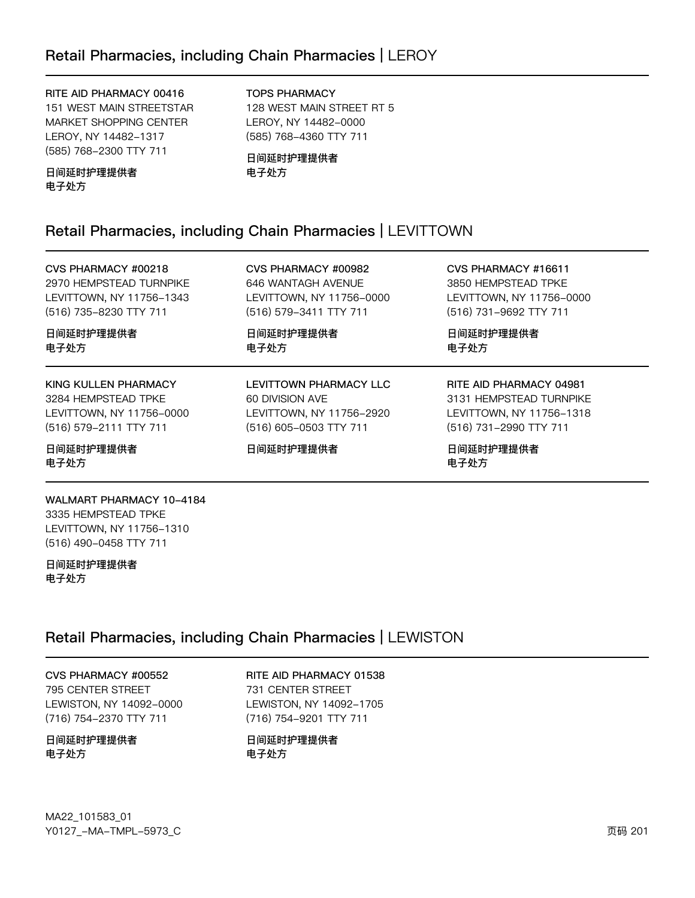#### RITE AID PHARMACY 00416

151 WEST MAIN STREETSTAR MARKET SHOPPING CENTER LEROY, NY 14482-1317 (585) 768-2300 TTY 711

#### TOPS PHARMACY

128 WEST MAIN STREET RT 5 LEROY, NY 14482-0000 (585) 768-4360 TTY 711

#### 日间延时护理提供者 电子处方

日间延时护理提供者 电子处方

### Retail Pharmacies, including Chain Pharmacies | LEVITTOWN

CVS PHARMACY #00218 2970 HEMPSTEAD TURNPIKE LEVITTOWN, NY 11756-1343 (516) 735-8230 TTY 711

日间延时护理提供者 电子处方

KING KULLEN PHARMACY 3284 HEMPSTEAD TPKE LEVITTOWN, NY 11756-0000 (516) 579-2111 TTY 711

日间延时护理提供者 电子处方

#### WALMART PHARMACY 10-4184 3335 HEMPSTEAD TPKE LEVITTOWN, NY 11756-1310 (516) 490-0458 TTY 711

日间延时护理提供者 电子处方

### Retail Pharmacies, including Chain Pharmacies | LEWISTON

CVS PHARMACY #00552 795 CENTER STREET LEWISTON, NY 14092-0000 (716) 754-2370 TTY 711

#### 日间延时护理提供者 电子处方

MA22\_101583\_01 70127v-Ju-6Jwx-5y73vC z{ 201

#### CVS PHARMACY #00982 646 WANTAGH AVENUE LEVITTOWN, NY 11756-0000 (516) 579-3411 TTY 711

日间延时护理提供者 电子处方

LEVITTOWN PHARMACY LLC 60 DIVISION AVE LEVITTOWN, NY 11756-2920 (516) 605-0503 TTY 711

日间延时护理提供者

CVS PHARMACY #16611 3850 HEMPSTEAD TPKE LEVITTOWN, NY 11756-0000 (516) 731-9692 TTY 711

日间延时护理提供者 电子处方

#### RITE AID PHARMACY 04981 3131 HEMPSTEAD TURNPIKE LEVITTOWN, NY 11756-1318 (516) 731-2990 TTY 711

日间延时护理提供者 电子处方

RITE AID PHARMACY 01538 731 CENTER STREET LEWISTON, NY 14092-1705 (716) 754-9201 TTY 711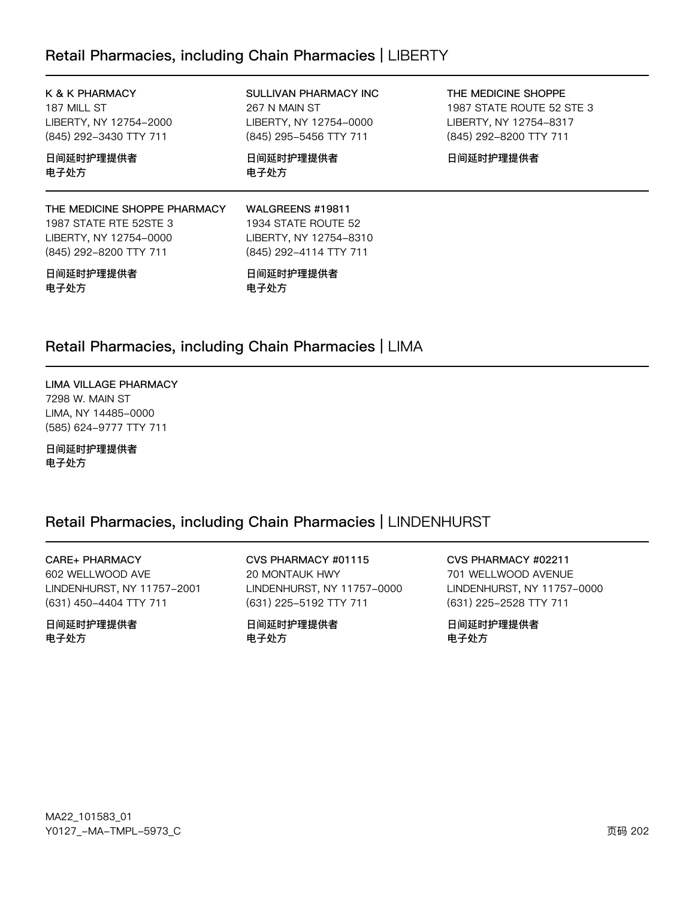### Retail Pharmacies, including Chain Pharmacies | LIBERTY

K & K PHARMACY 187 MILL ST LIBERTY, NY 12754-2000 (845) 292-3430 TTY 711

日间延时护理提供者 电子处方

#### THE MEDICINE SHOPPE PHARMACY 1987 STATE RTE 52STE 3 LIBERTY, NY 12754-0000 (845) 292-8200 TTY 711

#### 日间延时护理提供者 电子处方

SULLIVAN PHARMACY INC 267 N MAIN ST LIBERTY, NY 12754-0000 (845) 295-5456 TTY 711

日间延时护理提供者 电子处方

THE MEDICINE SHOPPE 1987 STATE ROUTE 52 STE 3 LIBERTY, NY 12754-8317 (845) 292-8200 TTY 711

日间延时护理提供者

WALGREENS #19811 1934 STATE ROUTE 52 LIBERTY, NY 12754-8310 (845) 292-4114 TTY 711

日间延时护理提供者 电子处方

### Retail Pharmacies, including Chain Pharmacies | LIMA

LIMA VILLAGE PHARMACY 7298 W. MAIN ST LIMA, NY 14485-0000 (585) 624-9777 TTY 711

日间延时护理提供者 电子处方

### Retail Pharmacies, including Chain Pharmacies | LINDENHURST

**CARE+ PHARMACY** 602 WELLWOOD AVE

LINDENHURST, NY 11757-2001 (631) 450-4404 TTY 711

日间延时护理提供者 电子外方

CVS PHARMACY #01115 20 MONTAUK HWY LINDENHURST, NY 11757-0000 (631) 225-5192 TTY 711

日间延时护理提供者 电子外方

CVS PHARMACY #02211 701 WELLWOOD AVENUE LINDENHURST, NY 11757-0000 (631) 225-2528 TTY 711

日间延时护理提供者 电子处方

MA22\_101583\_01 Y0127\_-MA-TMPL-5973\_C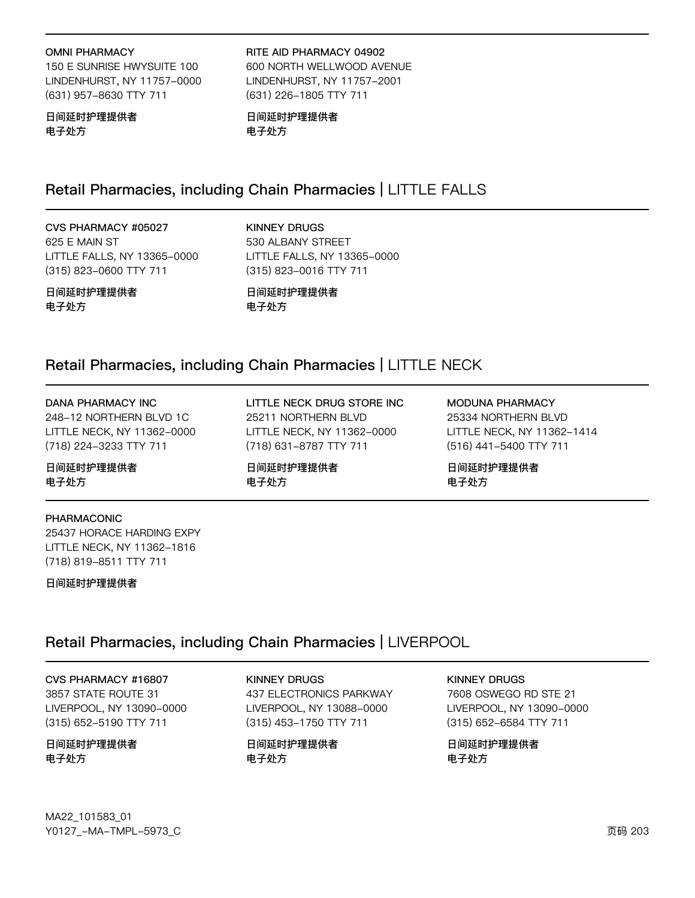#### **OMNI PHARMACY**

150 E SUNRISE HWYSUITE 100 LINDENHURST, NY 11757-0000 (631) 957-8630 TTY 711

日间延时护理提供者 电子处方

#### RITE AID PHARMACY 04902 600 NORTH WELLWOOD AVENUE LINDENHURST, NY 11757-2001 (631) 226-1805 TTY 711

日间延时护理提供者 电子处方

### Retail Pharmacies, including Chain Pharmacies | LITTLE FALLS

CVS PHARMACY #05027 625 E MAIN ST LITTLE FALLS, NY 13365-0000 (315) 823-0600 TTY 711

**KINNEY DRUGS** 530 ALBANY STREET LITTLE FALLS, NY 13365-0000 (315) 823-0016 TTY 711

日间延时护理提供者 电子处方

日间延时护理提供者 电子处方

25211 NORTHERN BLVD

(718) 631-8787 TTY 711

日间延时护理提供者

### Retail Pharmacies, including Chain Pharmacies | LITTLE NECK

电子处方

#### **DANA PHARMACY INC**

248-12 NORTHERN BLVD 1C LITTLE NECK, NY 11362-0000 (718) 224-3233 TTY 711

日间延时护理提供者 电子处方

#### PHARMACONIC

25437 HORACE HARDING EXPY LITTLE NECK, NY 11362-1816 (718) 819-8511 TTY 711

日间延时护理提供者

### Retail Pharmacies, including Chain Pharmacies | LIVERPOOL

CVS PHARMACY #16807 3857 STATE ROUTE 31 LIVERPOOL, NY 13090-0000 (315) 652-5190 TTY 711

#### 日间延时护理提供者 电子处方

**KINNEY DRUGS** 437 ELECTRONICS PARKWAY LIVERPOOL, NY 13088-0000 (315) 453-1750 TTY 711

日间延时护理提供者 电子处方

#### **KINNEY DRUGS**

7608 OSWEGO RD STE 21 LIVERPOOL, NY 13090-0000 (315) 652-6584 TTY 711

日间延时护理提供者 电子处方

日间延时护理提供者 电子处方

LITTLE NECK DRUG STORE INC LITTLE NECK, NY 11362-0000

MODUNA PHARMACY 25334 NORTHERN BLVD LITTLE NECK, NY 11362-1414 (516) 441-5400 TTY 711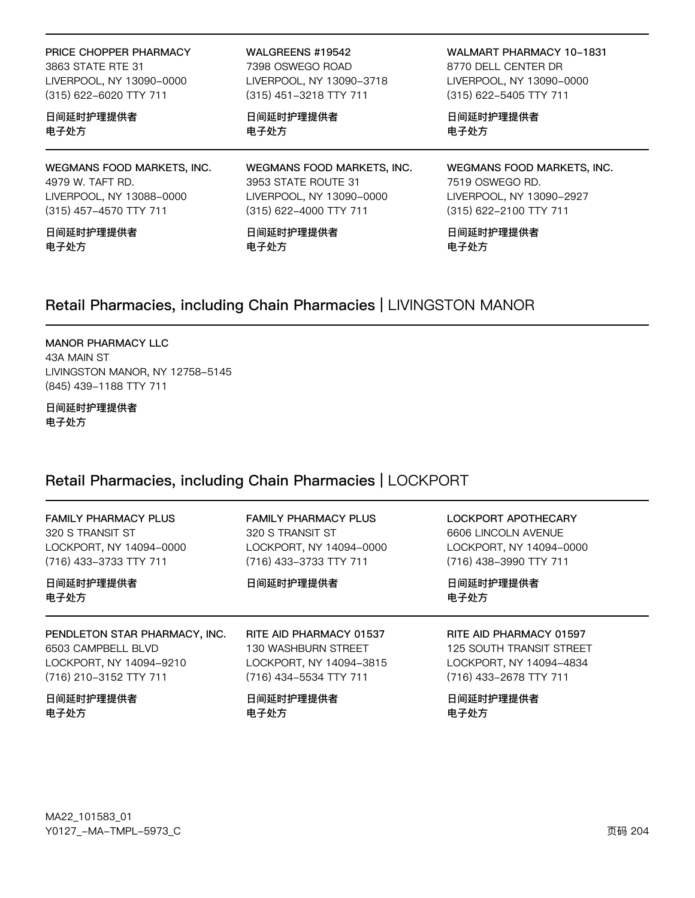PRICE CHOPPER PHARMACY

3863 STATE RTE 31 LIVERPOOL, NY 13090-0000 (315) 622-6020 TTY 711

日间延时护理提供者 电子处方

WEGMANS FOOD MARKETS, INC. 4979 W. TAFT RD. LIVERPOOL, NY 13088-0000 (315) 457-4570 TTY 711

日间延时护理提供者 电子处方

WALGREENS #19542

7398 OSWEGO ROAD LIVERPOOL, NY 13090-3718 (315) 451-3218 TTY 711

日间延时护理提供者 电子处方

WALMART PHARMACY 10-1831 8770 DELL CENTER DR LIVERPOOL, NY 13090-0000 (315) 622-5405 TTY 711

日间延时护理提供者 电子处方

WEGMANS FOOD MARKETS, INC. 3953 STATE ROUTE 31 LIVERPOOL, NY 13090-0000 (315) 622-4000 TTY 711

日间延时护理提供者 电子处方

WEGMANS FOOD MARKETS, INC. 7519 OSWEGO RD. LIVERPOOL, NY 13090-2927 (315) 622-2100 TTY 711

日间延时护理提供者 电子处方

### Retail Pharmacies, including Chain Pharmacies | LIVINGSTON MANOR

#### **MANOR PHARMACY LLC**

43A MAIN ST LIVINGSTON MANOR, NY 12758-5145 (845) 439-1188 TTY 711

#### 日间延时护理提供者 电子处方

### Retail Pharmacies, including Chain Pharmacies | LOCKPORT

| <b>FAMILY PHARMACY PLUS</b><br>320 S TRANSIT ST<br>LOCKPORT, NY 14094-0000<br>(716) 433-3733 TTY 711     | <b>FAMILY PHARMACY PLUS</b><br>320 S TRANSIT ST<br>LOCKPORT, NY 14094-0000<br>(716) 433-3733 TTY 711 | LOCKPORT APOTHECARY<br>6606 LINCOLN AVENUE<br>LOCKPORT, NY 14094-0000<br>(716) 438-3990 TTY 711 |
|----------------------------------------------------------------------------------------------------------|------------------------------------------------------------------------------------------------------|-------------------------------------------------------------------------------------------------|
| 日间延时护理提供者<br>电子处方                                                                                        | 日间延时护理提供者                                                                                            | 日间延时护理提供者<br>电子处方                                                                               |
| PENDLETON STAR PHARMACY, INC.<br>6503 CAMPBELL BLVD<br>LOCKPORT, NY 14094-9210<br>(716) 210-3152 TTY 711 | RITE AID PHARMACY 01537<br>130 WASHBURN STREET<br>LOCKPORT, NY 14094-3815<br>(716) 434–5534 TTY 711  | RITE AID PHARMACY 01597<br>125 SOUTH TRANSIT STREET<br>LOCKPORT, NY 14094-4834                  |
|                                                                                                          |                                                                                                      | (716) 433-2678 TTY 711                                                                          |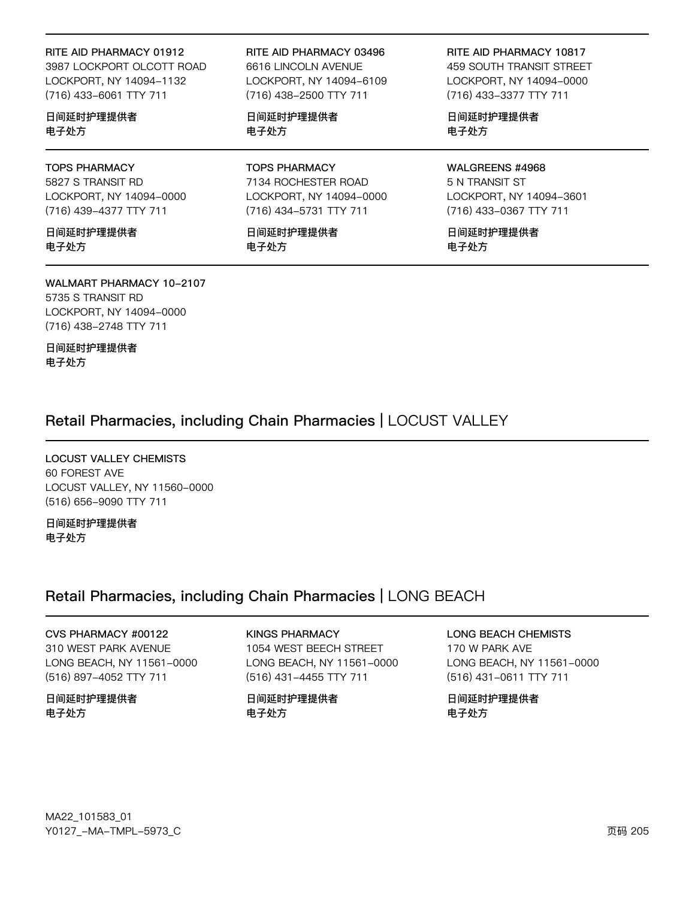#### RITE AID PHARMACY 01912

3987 LOCKPORT OLCOTT ROAD LOCKPORT, NY 14094-1132 (716) 433-6061 TTY 711

#### 日间延时护理提供者 电子处方

### **TOPS PHARMACY**

5827 S TRANSIT RD LOCKPORT, NY 14094-0000 (716) 439-4377 TTY 711

日间延时护理提供者 电子处方

### **WALMART PHARMACY 10-2107**

5735 S TRANSIT RD LOCKPORT, NY 14094-0000 (716) 438-2748 TTY 711

日间延时护理提供者 电子处方

#### RITE AID PHARMACY 03496 6616 LINCOLN AVENUE LOCKPORT, NY 14094-6109 (716) 438-2500 TTY 711

日间延时护理提供者 电子处方

#### **TOPS PHARMACY** 7134 ROCHESTER ROAD LOCKPORT, NY 14094-0000 (716) 434-5731 TTY 711

日间延时护理提供者 电子处方

#### RITE AID PHARMACY 10817

**459 SOUTH TRANSIT STREET** LOCKPORT, NY 14094-0000 (716) 433-3377 TTY 711

日间延时护理提供者 电子处方

#### WALGREENS #4968

5 N TRANSIT ST LOCKPORT, NY 14094-3601 (716) 433-0367 TTY 711

日间延时护理提供者 电子处方

### Retail Pharmacies, including Chain Pharmacies | LOCUST VALLEY

**LOCUST VALLEY CHEMISTS** 60 FOREST AVE LOCUST VALLEY, NY 11560-0000 (516) 656-9090 TTY 711

日间延时护理提供者 电子处方

### Retail Pharmacies, including Chain Pharmacies | LONG BEACH

CVS PHARMACY #00122 310 WEST PARK AVENUE LONG BEACH, NY 11561-0000 (516) 897-4052 TTY 711

日间延时护理提供者 电子处方

**KINGS PHARMACY** 1054 WEST BEECH STREET LONG BEACH, NY 11561-0000 (516) 431-4455 TTY 711

日间延时护理提供者 电子处方

**LONG BEACH CHEMISTS** 170 W PARK AVE LONG BEACH, NY 11561-0000 (516) 431-0611 TTY 711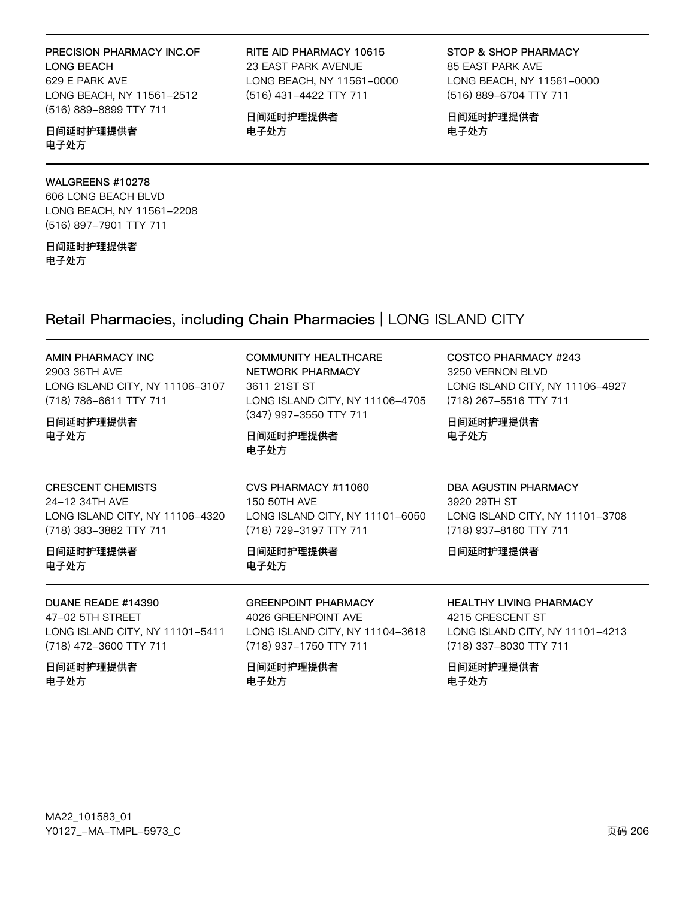#### PRECISION PHARMACY INC.OF LONG BEACH 629 E PARK AVE LONG BEACH, NY 11561-2512 (516) 889-8899 TTY 711

#### 日间延时护理提供者 电子处方

#### WALGREENS #10278

606 LONG BEACH BLVD LONG BEACH, NY 11561-2208 (516) 897-7901 TTY 711

日间延时护理提供者 电子处方

RITE AID PHARMACY 10615 23 EAST PARK AVENUE LONG BEACH, NY 11561-0000 (516) 431-4422 TTY 711

日间延时护理提供者 电子处方

STOP & SHOP PHARMACY 85 EAST PARK AVE LONG BEACH, NY 11561-0000 (516) 889-6704 TTY 711

日间延时护理提供者 电子处方

### Retail Pharmacies, including Chain Pharmacies | LONG ISLAND CITY

| AMIN PHARMACY INC<br>2903 36TH AVE<br>LONG ISLAND CITY, NY 11106-3107<br>(718) 786-6611 TTY 711<br>日间延时护理提供者<br>电子处方         | COMMUNITY HEALTHCARE<br>NETWORK PHARMACY<br>3611 21ST ST<br>LONG ISLAND CITY, NY 11106-4705<br>(347) 997-3550 TTY 711<br>日间延时护理提供者<br>电子处方 | COSTCO PHARMACY #243<br>3250 VERNON BLVD<br>LONG ISLAND CITY, NY 11106-4927<br>(718) 267-5516 TTY 711<br>日间延时护理提供者<br>电子处方           |
|------------------------------------------------------------------------------------------------------------------------------|--------------------------------------------------------------------------------------------------------------------------------------------|--------------------------------------------------------------------------------------------------------------------------------------|
| <b>CRESCENT CHEMISTS</b><br>24-12 34TH AVF<br>LONG ISLAND CITY, NY 11106-4320<br>(718) 383-3882 TTY 711<br>日间延时护理提供者<br>电子处方 | CVS PHARMACY #11060<br>150 50TH AVE<br>LONG ISLAND CITY, NY 11101-6050<br>(718) 729-3197 TTY 711<br>日间延时护理提供者<br>电子处方                      | DBA AGUSTIN PHARMACY<br>3920 29TH ST<br>LONG ISLAND CITY, NY 11101-3708<br>(718) 937-8160 TTY 711<br>日间延时护理提供者                       |
| DUANE READE #14390<br>47-02 5TH STREET<br>LONG ISLAND CITY, NY 11101-5411<br>(718) 472-3600 TTY 711<br>日间延时护理提供者<br>电子处方     | <b>GREENPOINT PHARMACY</b><br>4026 GREENPOINT AVE<br>LONG ISLAND CITY, NY 11104-3618<br>(718) 937-1750 TTY 711<br>日间延时护理提供者<br>电子处方        | <b>HEALTHY LIVING PHARMACY</b><br>4215 CRESCENT ST<br>LONG ISLAND CITY, NY 11101-4213<br>(718) 337-8030 TTY 711<br>日间延时护理提供者<br>电子处方 |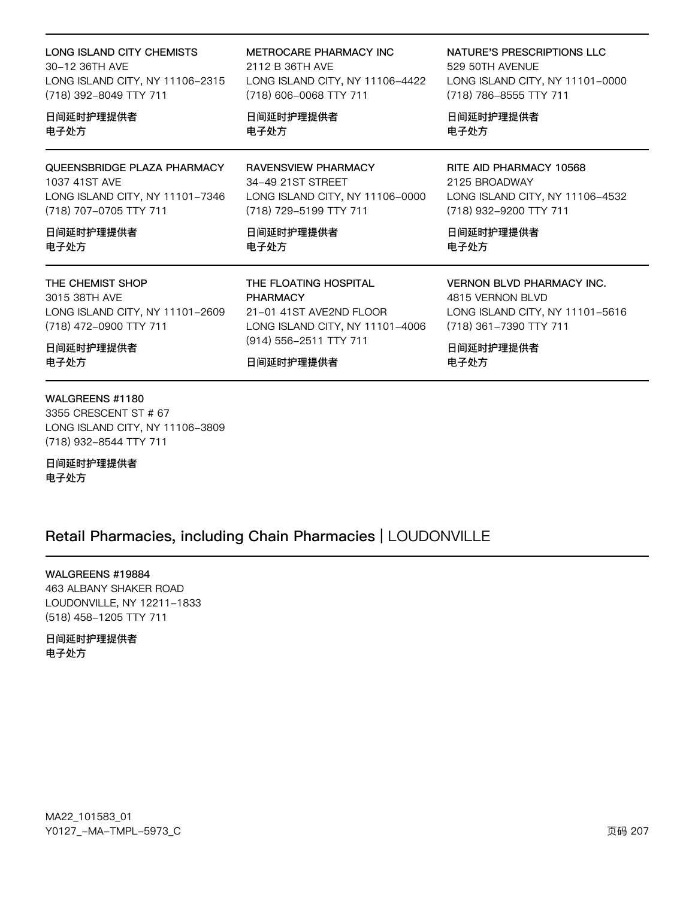| LONG ISLAND CITY CHEMISTS       | METROCARE PHARMACY INC          | NATURE'S PRESCRIPTIONS LLC       |
|---------------------------------|---------------------------------|----------------------------------|
| 30-12 36TH AVE                  | 2112 B 36TH AVE                 | 529 50TH AVENUE                  |
| LONG ISLAND CITY, NY 11106-2315 | LONG ISLAND CITY, NY 11106-4422 | LONG ISLAND CITY, NY 11101-0000  |
| (718) 392-8049 TTY 711          | (718) 606-0068 TTY 711          | (718) 786-8555 TTY 711           |
| 日间延时护理提供者                       | 日间延时护理提供者                       | 日间延时护理提供者                        |
| 电子处方                            | 电子处方                            | 电子处方                             |
| QUEENSBRIDGE PLAZA PHARMACY     | <b>RAVENSVIEW PHARMACY</b>      | RITE AID PHARMACY 10568          |
| 1037 41ST AVE                   | 34-49 21ST STREET               | 2125 BROADWAY                    |
| LONG ISLAND CITY, NY 11101-7346 | LONG ISLAND CITY, NY 11106-0000 | LONG ISLAND CITY, NY 11106-4532  |
| (718) 707-0705 TTY 711          | (718) 729-5199 TTY 711          | (718) 932-9200 TTY 711           |
| 日间延时护理提供者                       | 日间延时护理提供者                       | 日间延时护理提供者                        |
| 电子处方                            | 电子处方                            | 电子处方                             |
| THE CHEMIST SHOP                | THE FLOATING HOSPITAL           | <b>VERNON BLVD PHARMACY INC.</b> |
| 3015 38TH AVE                   | <b>PHARMACY</b>                 | 4815 VERNON BLVD                 |
| LONG ISLAND CITY, NY 11101-2609 | 21-01 41ST AVE2ND FLOOR         | LONG ISLAND CITY, NY 11101-5616  |
| (718) 472-0900 TTY 711          | LONG ISLAND CITY, NY 11101-4006 | (718) 361-7390 TTY 711           |
| 日间延时护理提供者                       | (914) 556-2511 TTY 711          | 日间延时护理提供者                        |
| 电子处方                            | 日间延时护理提供者                       | 电子处方                             |

### WALGREENS #1180

3355 CRESCENT ST # 67 LONG ISLAND CITY, NY 11106-3809 (718) 932-8544 TTY 711

日间延时护理提供者 电子处方

### Retail Pharmacies, including Chain Pharmacies | LOUDONVILLE

WALGREENS #19884 463 ALBANY SHAKER ROAD

LOUDONVILLE, NY 12211-1833 (518) 458-1205 TTY 711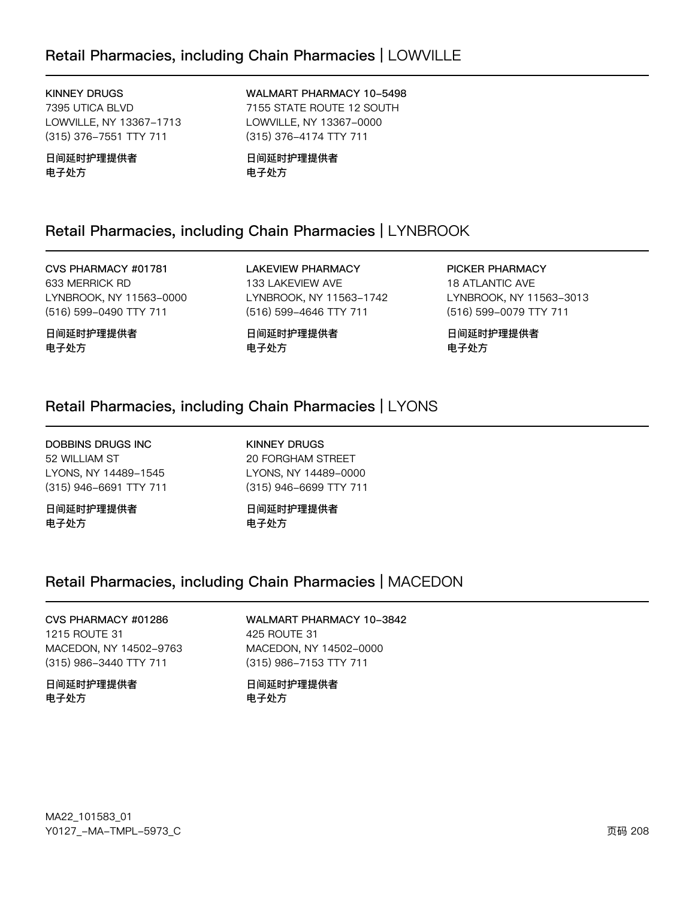### Retail Pharmacies, including Chain Pharmacies | LOWVILLE

#### **KINNEY DRUGS**

7395 UTICA BLVD LOWVILLE, NY 13367-1713 (315) 376-7551 TTY 711

日间延时护理提供者 电子处方

#### WALMART PHARMACY 10-5498 7155 STATE ROUTE 12 SOUTH LOWVILLE, NY 13367-0000 (315) 376-4174 TTY 711

日间延时护理提供者 电子处方

### Retail Pharmacies, including Chain Pharmacies | LYNBROOK

CVS PHARMACY #01781 633 MERRICK RD LYNBROOK, NY 11563-0000 (516) 599-0490 TTY 711

日间延时护理提供者 电子处方

**LAKEVIEW PHARMACY** 133 LAKEVIEW AVE LYNBROOK, NY 11563-1742 (516) 599-4646 TTY 711

日间延时护理提供者 电子处方

PICKER PHARMACY **18 ATLANTIC AVE** LYNBROOK, NY 11563-3013 (516) 599-0079 TTY 711

日间延时护理提供者 电子处方

### Retail Pharmacies, including Chain Pharmacies | LYONS

**DOBBINS DRUGS INC** 52 WILLIAM ST LYONS, NY 14489-1545 (315) 946-6691 TTY 711

日间延时护理提供者 电子处方

**KINNEY DRUGS 20 FORGHAM STREET** LYONS, NY 14489-0000 (315) 946-6699 TTY 711

日间延时护理提供者 电子处方

### Retail Pharmacies, including Chain Pharmacies | MACEDON

#### CVS PHARMACY #01286 1215 ROUTE 31 MACEDON, NY 14502-9763 (315) 986-3440 TTY 711

#### 日间延时护理提供者 电子处方

#### **WALMART PHARMACY 10-3842** 425 ROUTE 31

MACEDON, NY 14502-0000 (315) 986-7153 TTY 711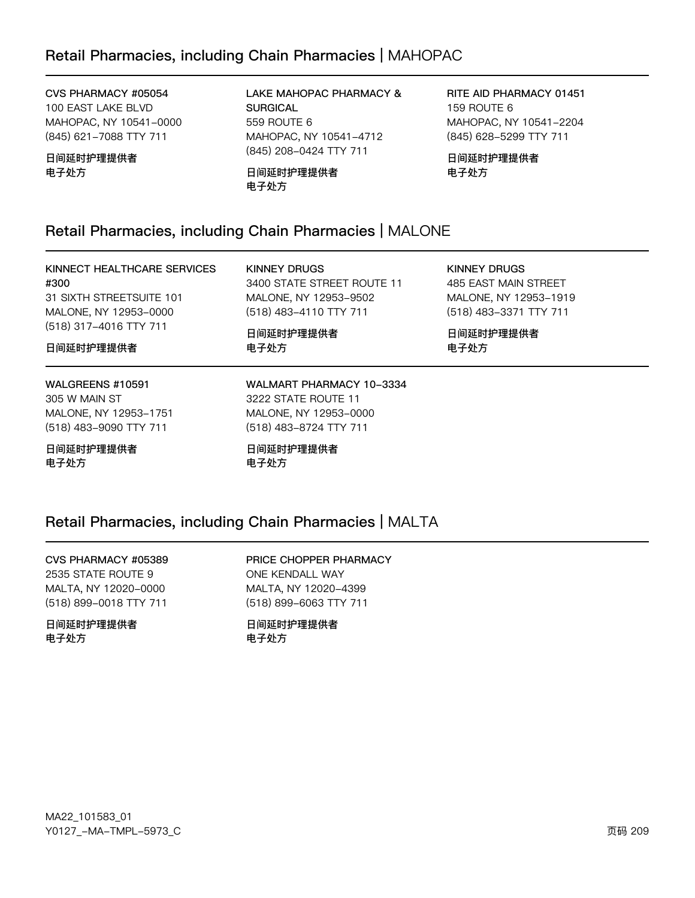CVS PHARMACY #05054 100 EAST LAKE BLVD MAHOPAC, NY 10541-0000 (845) 621-7088 TTY 711

日间延时护理提供者 电子处方

LAKE MAHOPAC PHARMACY & **SURGICAL** 559 ROUTE 6 MAHOPAC, NY 10541-4712 (845) 208-0424 TTY 711

日间延时护理提供者 电子处方

RITE AID PHARMACY 01451 159 ROUTE 6 MAHOPAC, NY 10541-2204 (845) 628-5299 TTY 711

日间延时护理提供者 电子处方

### Retail Pharmacies, including Chain Pharmacies | MALONE

KINNECT HEALTHCARE SERVICES #300 31 SIXTH STREETSUITE 101 MALONE, NY 12953-0000 (518) 317-4016 TTY 711

**KINNEY DRUGS** 3400 STATE STREET ROUTE 11 MALONE, NY 12953-9502 (518) 483-4110 TTY 711

日间延时护理提供者 电子处方

**KINNEY DRUGS** 485 EAST MAIN STREET MALONE, NY 12953-1919 (518) 483-3371 TTY 711

日间延时护理提供者 电子处方

### WALGREENS #10591

日间延时护理提供者

305 W MAIN ST MALONE, NY 12953-1751 (518) 483-9090 TTY 711

日间延时护理提供者 电子处方

WALMART PHARMACY 10-3334 3222 STATE ROUTE 11 MALONE, NY 12953-0000 (518) 483-8724 TTY 711

日间延时护理提供者 电子处方

## Retail Pharmacies, including Chain Pharmacies | MALTA

## CVS PHARMACY #05389

2535 STATE ROUTE 9 MALTA, NY 12020-0000 (518) 899-0018 TTY 711

日间延时护理提供者 电子外方

PRICE CHOPPER PHARMACY ONE KENDALL WAY MALTA, NY 12020-4399 (518) 899-6063 TTY 711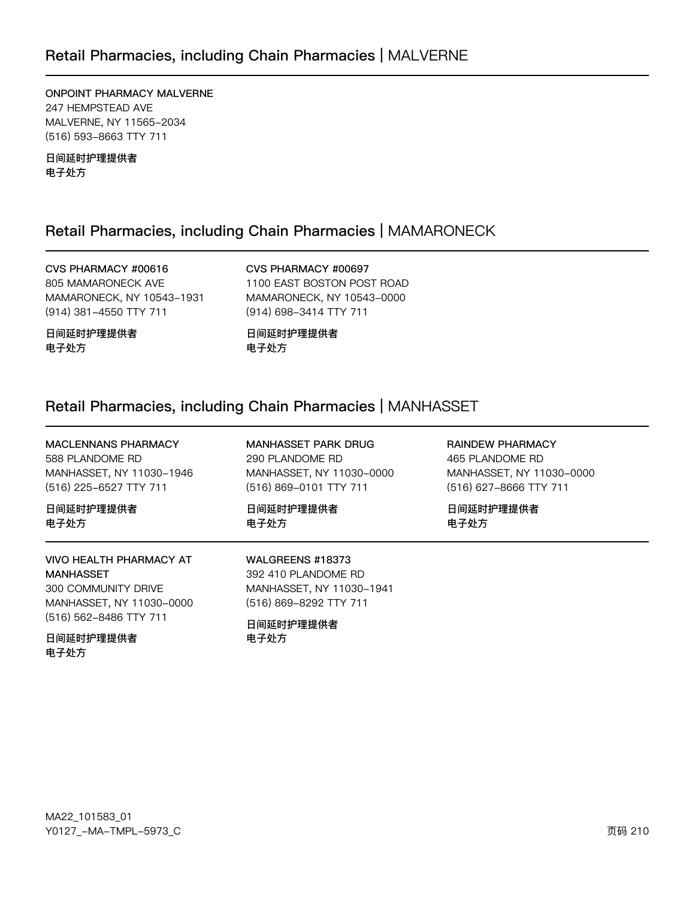### Retail Pharmacies, including Chain Pharmacies | MALVERNE

ONPOINT PHARMACY MALVERNE 247 HEMPSTEAD AVE MALVERNE, NY 11565-2034 (516) 593-8663 TTY 711

日间延时护理提供者 电子处方

### Retail Pharmacies, including Chain Pharmacies | MAMARONECK

CVS PHARMACY #00616 805 MAMARONECK AVE MAMARONECK, NY 10543-1931 (914) 381-4550 TTY 711

CVS PHARMACY #00697 1100 EAST BOSTON POST ROAD MAMARONECK, NY 10543-0000 (914) 698-3414 TTY 711

日间延时护理提供者 电子处方

日间延时护理提供者 电子处方

### Retail Pharmacies, including Chain Pharmacies | MANHASSET

**RAINDEW PHARMACY** MACLENNANS PHARMACY MANHASSET PARK DRUG 588 PLANDOME RD 290 PLANDOME RD 465 PLANDOME RD MANHASSET, NY 11030-1946 MANHASSET, NY 11030-0000 MANHASSET, NY 11030-0000 (516) 225-6527 TTY 711 (516) 869-0101 TTY 711 (516) 627-8666 TTY 711 日间延时护理提供者 日间延时护理提供者 日间延时护理提供者 电子处方 电子处方 电子处方 **VIVO HEALTH PHARMACY AT** WALGREENS #18373 **MANHASSET** 392 410 PLANDOME RD 300 COMMUNITY DRIVE MANHASSET, NY 11030-1941 MANHASSET, NY 11030-0000 (516) 869-8292 TTY 711 (516) 562-8486 TTY 711 日间延时护理提供者 日间延时护理提供者 电子外方

电子处方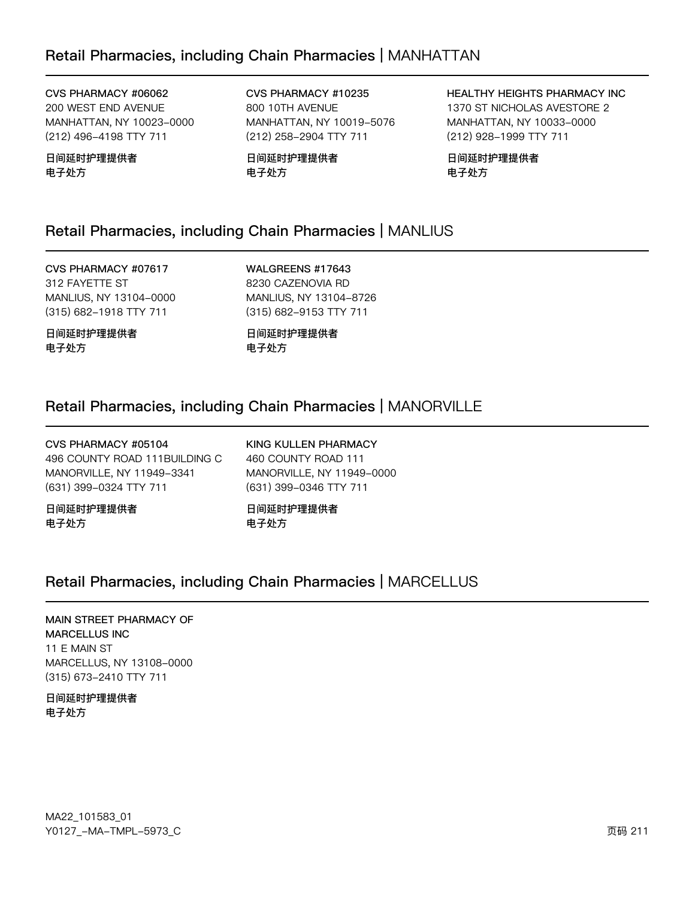CVS PHARMACY #06062 200 WEST END AVENUE MANHATTAN, NY 10023-0000 (212) 496-4198 TTY 711

日间延时护理提供者 电子处方

CVS PHARMACY #10235 800 10TH AVENUE MANHATTAN, NY 10019-5076 (212) 258-2904 TTY 711

日间延时护理提供者 电子处方

HEALTHY HEIGHTS PHARMACY INC 1370 ST NICHOLAS AVESTORE 2 MANHATTAN, NY 10033-0000 (212) 928-1999 TTY 711

日间延时护理提供者 电子处方

### Retail Pharmacies, including Chain Pharmacies | MANLIUS

CVS PHARMACY #07617 312 FAYETTE ST MANLIUS, NY 13104-0000 (315) 682-1918 TTY 711

日间延时护理提供者 电子处方

WALGREENS #17643 8230 CAZENOVIA RD MANLIUS, NY 13104-8726 (315) 682-9153 TTY 711

日间延时护理提供者 电子处方

### Retail Pharmacies, including Chain Pharmacies | MANORVILLE

| 日间延时护理提供者                     | 日间延时护理提供者                 |
|-------------------------------|---------------------------|
| 电子处方                          | 电子处方                      |
| 496 COUNTY ROAD 111BUILDING C | 460 COUNTY ROAD 111       |
| MANORVILLE, NY 11949-3341     | MANORVILLE, NY 11949-0000 |
| (631) 399-0324 TTY 711        | (631) 399-0346 TTY 711    |
| CVS PHARMACY #05104           | KING KULLEN PHARMACY      |

### Retail Pharmacies, including Chain Pharmacies | MARCELLUS

### MAIN STREET PHARMACY OF MARCELLUS INC 11 E MAIN ST

MARCELLUS, NY 13108-0000 (315) 673-2410 TTY 711

日间延时护理提供者 电子处方

MA22\_101583\_01 70127v-Ju-6Jwx-5y73vC z{ 211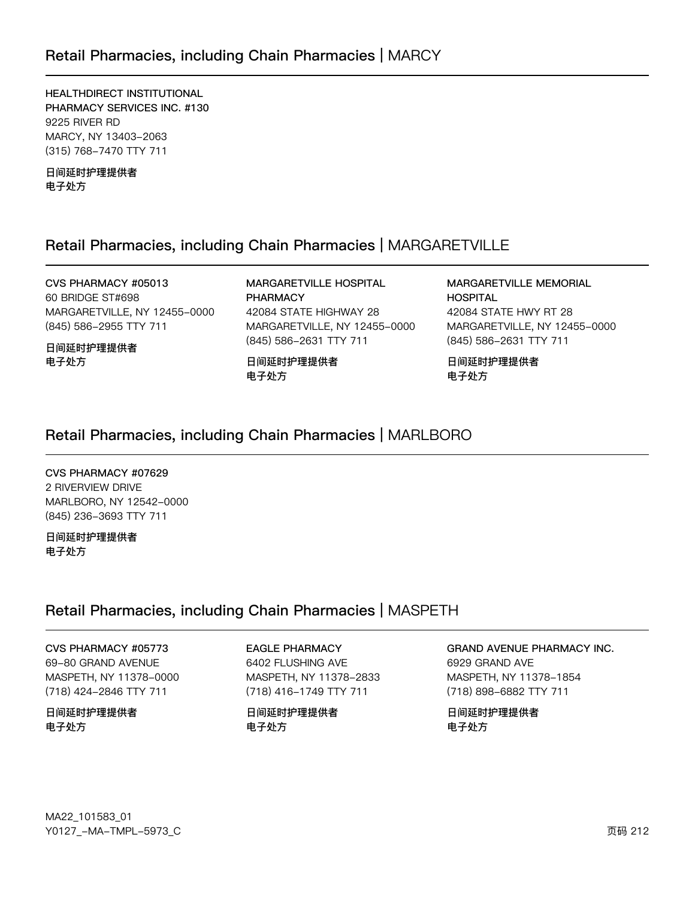HEALTHDIRECT INSTITUTIONAL PHARMACY SERVICES INC. #130 9225 RIVER RD MARCY, NY 13403-2063 (315) 768-7470 TTY 711

日间延时护理提供者 电子处方

### Retail Pharmacies, including Chain Pharmacies | MARGARETVILLE

CVS PHARMACY #05013 60 BRIDGE ST#698 MARGARETVILLE, NY 12455-0000 (845) 586-2955 TTY 711

日间延时护理提供者 电子处方

MARGARETVILLE HOSPITAL **PHARMACY** 42084 STATE HIGHWAY 28 MARGARETVILLE, NY 12455-0000 (845) 586-2631 TTY 711

日间延时护理提供者 电子处方

### **MARGARETVILLE MEMORIAL HOSPITAL** 42084 STATE HWY RT 28 MARGARETVILLE, NY 12455-0000 (845) 586-2631 TTY 711

日间延时护理提供者 电子处方

### Retail Pharmacies, including Chain Pharmacies | MARLBORO

CVS PHARMACY #07629 2 RIVERVIEW DRIVE MARLBORO, NY 12542-0000 (845) 236-3693 TTY 711

日间延时护理提供者 电子处方

### Retail Pharmacies, including Chain Pharmacies | MASPETH

CVS PHARMACY #05773 69-80 GRAND AVENUE MASPETH, NY 11378-0000

(718) 424-2846 TTY 711

日间延时护理提供者 电子处方

**EAGLE PHARMACY** 

6402 FLUSHING AVE MASPETH, NY 11378-2833 (718) 416-1749 TTY 711

日间延时护理提供者 电子处方

GRAND AVENUE PHARMACY INC.

6929 GRAND AVE MASPETH, NY 11378-1854 (718) 898-6882 TTY 711

日间延时护理提供者 电子处方

MA22\_101583\_01 Y0127\_-MA-TMPL-5973\_C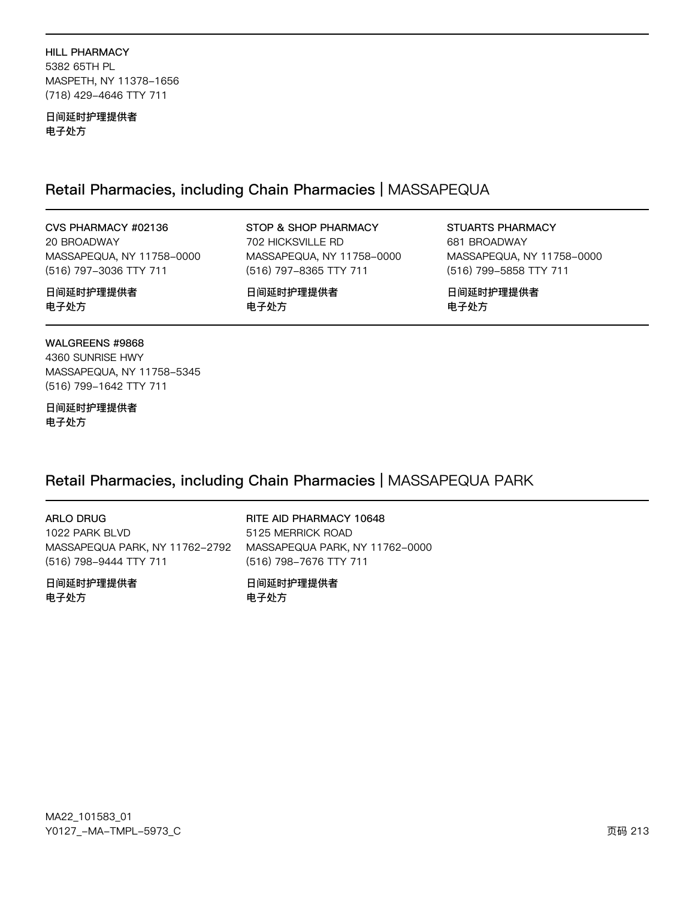HILL PHARMACY 5382 65TH PL MASPETH, NY 11378-1656 (718) 429-4646 TTY 711

日间延时护理提供者 电子处方

### Retail Pharmacies, including Chain Pharmacies | MASSAPEQUA

电子处方

STOP & SHOP PHARMACY 702 HICKSVILLE RD

日间延时护理提供者

MASSAPEQUA, NY 11758-0000 (516) 797-8365 TTY 711

CVS PHARMACY #02136 20 BROADWAY MASSAPEQUA, NY 11758-0000 (516) 797-3036 TTY 711

日间延时护理提供者 电子处方

WALGREENS #9868 4360 SUNRISE HWY MASSAPEQUA, NY 11758-5345 (516) 799-1642 TTY 711

日间延时护理提供者 电子处方

### Retail Pharmacies, including Chain Pharmacies | MASSAPEQUA PARK

ARLO DRUG 1022 PARK BLVD MASSAPEQUA PARK, NY 11762-2792 (516) 798-9444 TTY 711

日间延时护理提供者 电子处方

RITE AID PHARMACY 10648 5125 MERRICK ROAD MASSAPEQUA PARK, NY 11762-0000 (516) 798-7676 TTY 711

日间延时护理提供者 电子处方

MA22\_101583\_01 70127v-Ju-6Jwx-5y73vC z{ 213

STUARTS PHARMACY 681 BROADWAY MASSAPEQUA, NY 11758-0000 (516) 799-5858 TTY 711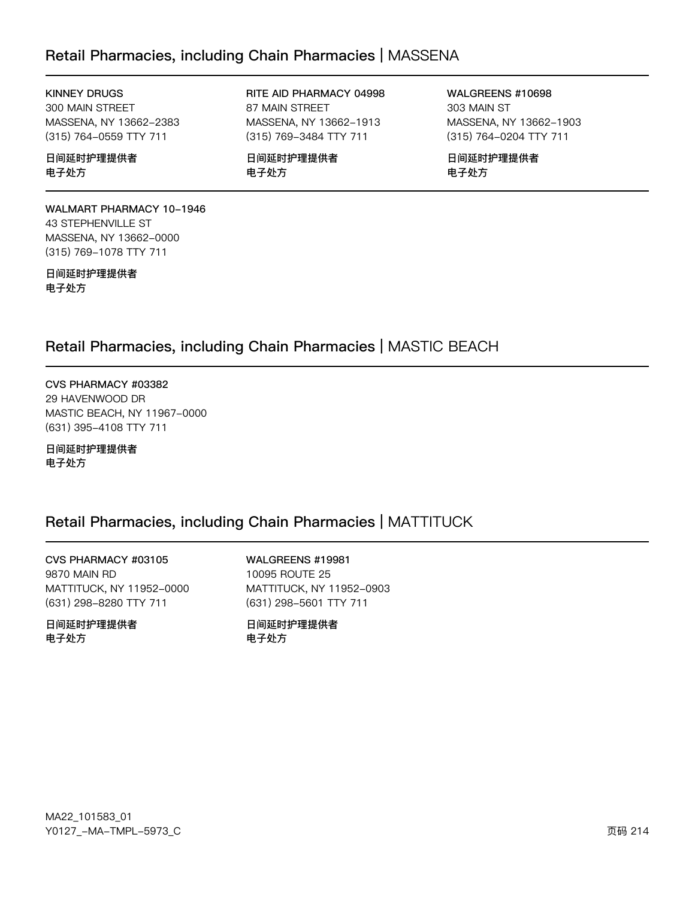### Retail Pharmacies, including Chain Pharmacies | MASSENA

#### **KINNEY DRUGS**

300 MAIN STREET MASSENA, NY 13662-2383 (315) 764-0559 TTY 711

#### 日间延时护理提供者 电子处方

WALMART PHARMACY 10-1946 43 STEPHENVILLE ST MASSENA, NY 13662-0000 (315) 769-1078 TTY 711

日间延时护理提供者 电子处方

RITE AID PHARMACY 04998 87 MAIN STREET MASSENA, NY 13662-1913 (315) 769-3484 TTY 711

日间延时护理提供者 电子处方

WALGREENS #10698 303 MAIN ST MASSENA, NY 13662-1903 (315) 764-0204 TTY 711

日间延时护理提供者 电子处方

### Retail Pharmacies, including Chain Pharmacies | MASTIC BEACH

CVS PHARMACY #03382 29 HAVENWOOD DR MASTIC BEACH, NY 11967-0000 (631) 395-4108 TTY 711

日间延时护理提供者 电子处方

### Retail Pharmacies, including Chain Pharmacies | MATTITUCK

CVS PHARMACY #03105 9870 MAIN RD MATTITUCK, NY 11952-0000 (631) 298-8280 TTY 711

日间延时护理提供者 电子处方

WALGREENS #19981 10095 ROUTE 25 MATTITUCK, NY 11952-0903 (631) 298-5601 TTY 711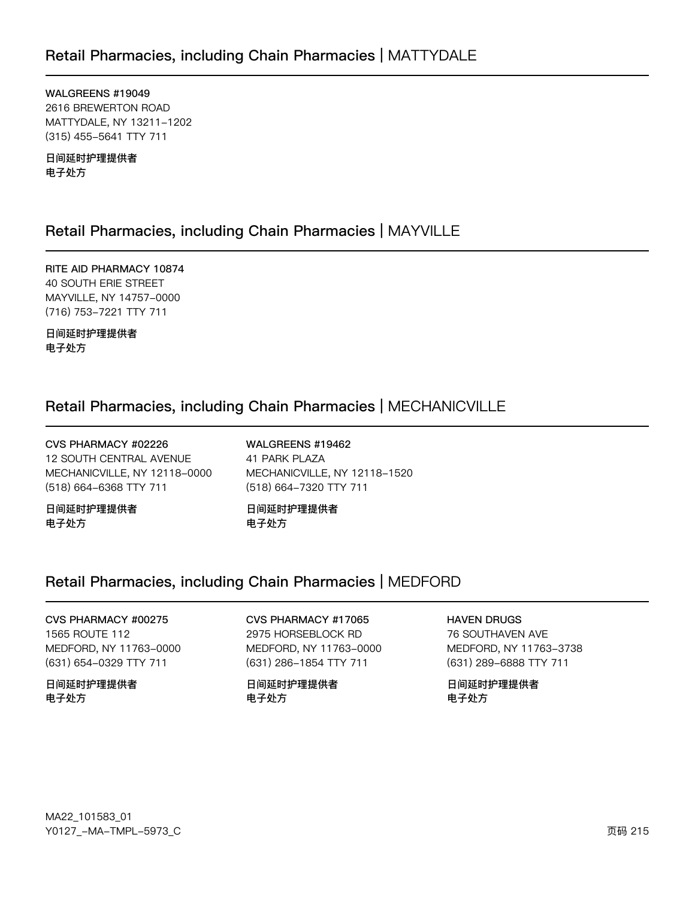WALGREENS #19049 2616 BREWERTON ROAD MATTYDALE, NY 13211-1202 (315) 455-5641 TTY 711

日间延时护理提供者 电子处方

### Retail Pharmacies, including Chain Pharmacies | MAYVILLE

RITE AID PHARMACY 10874 40 SOUTH ERIE STREET MAYVILLE, NY 14757-0000 (716) 753-7221 TTY 711

日间延时护理提供者 电子处方

### Retail Pharmacies, including Chain Pharmacies | MECHANICVILLE

CVS PHARMACY #02226 **12 SOUTH CENTRAL AVENUE** MECHANICVILLE, NY 12118-0000 (518) 664-6368 TTY 711

日间延时护理提供者 电子处方

WALGREENS #19462 41 PARK PLAZA MECHANICVILLE, NY 12118-1520 (518) 664-7320 TTY 711

日间延时护理提供者 电子处方

### Retail Pharmacies, including Chain Pharmacies | MEDFORD

CVS PHARMACY #00275 1565 ROUTE 112 MEDFORD, NY 11763-0000 (631) 654-0329 TTY 711

日间延时护理提供者 电子处方

CVS PHARMACY #17065 2975 HORSEBLOCK RD MEDFORD, NY 11763-0000 (631) 286-1854 TTY 711

日间延时护理提供者 电子处方

**HAVEN DRUGS** 

76 SOUTHAVEN AVE MEDFORD, NY 11763-3738 (631) 289-6888 TTY 711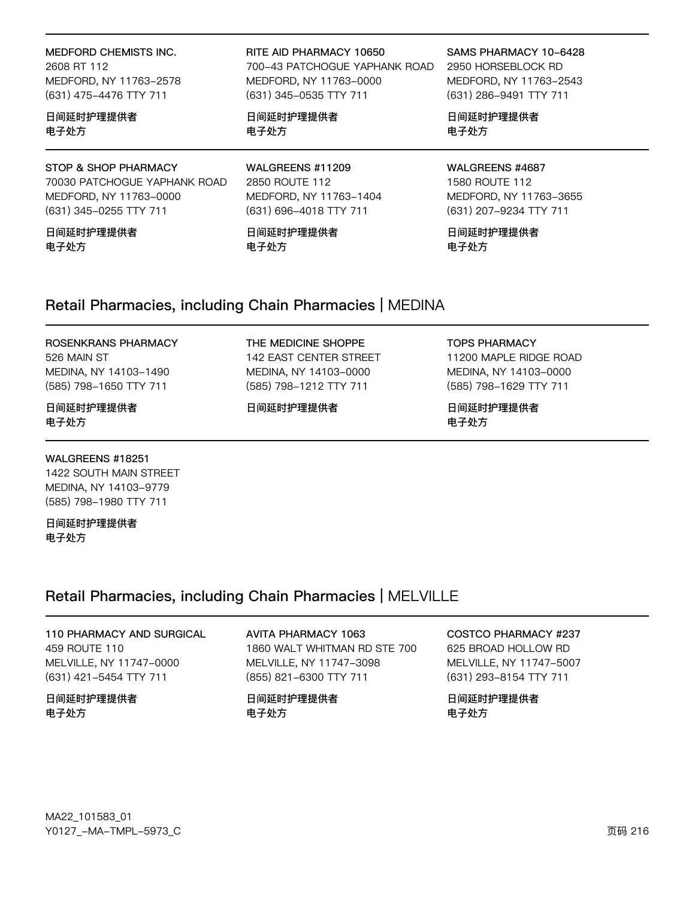MEDFORD CHEMISTS INC. 2608 RT 112

MEDFORD, NY 11763-2578 (631) 475-4476 TTY 711

日间延时护理提供者 电子处方

STOP & SHOP PHARMACY 70030 PATCHOGUE YAPHANK ROAD MEDFORD, NY 11763-0000 (631) 345-0255 TTY 711

日间延时护理提供者 电子处方

RITE AID PHARMACY 10650 700-43 PATCHOGUE YAPHANK ROAD MEDFORD, NY 11763-0000 (631) 345-0535 TTY 711

日间延时护理提供者 电子处方

WALGREENS #11209 2850 ROUTE 112 MEDFORD, NY 11763-1404 (631) 696-4018 TTY 711

日间延时护理提供者 电子处方

SAMS PHARMACY 10-6428

2950 HORSEBLOCK RD MEDFORD, NY 11763-2543 (631) 286-9491 TTY 711

日间延时护理提供者 电子处方

WALGREENS #4687 1580 ROUTE 112 MEDFORD, NY 11763-3655 (631) 207-9234 TTY 711

日间延时护理提供者 电子处方

### Retail Pharmacies, including Chain Pharmacies | MEDINA

#### ROSENKRANS PHARMACY

526 MAIN ST MEDINA, NY 14103-1490 (585) 798-1650 TTY 711

#### 日间延时护理提供者 电子处方

MEDINA, NY 14103-0000 (585) 798-1212 TTY 711

日间延时护理提供者

THE MEDICINE SHOPPE

142 EAST CENTER STREET

**TOPS PHARMACY** 

11200 MAPLE RIDGE ROAD MEDINA, NY 14103-0000 (585) 798-1629 TTY 711

日间延时护理提供者 电子处方

#### WALGREENS #18251

1422 SOUTH MAIN STREET MEDINA, NY 14103-9779 (585) 798-1980 TTY 711

日间延时护理提供者 电子处方

### Retail Pharmacies, including Chain Pharmacies | MELVILLE

110 PHARMACY AND SURGICAL 459 ROUTE 110 MELVILLE, NY 11747-0000 (631) 421-5454 TTY 711

日间延时护理提供者 电子处方

**AVITA PHARMACY 1063** 1860 WALT WHITMAN RD STE 700 MELVILLE, NY 11747-3098 (855) 821-6300 TTY 711

日间延时护理提供者 电子处方

**COSTCO PHARMACY #237** 

625 BROAD HOLLOW RD MELVILLE, NY 11747-5007 (631) 293-8154 TTY 711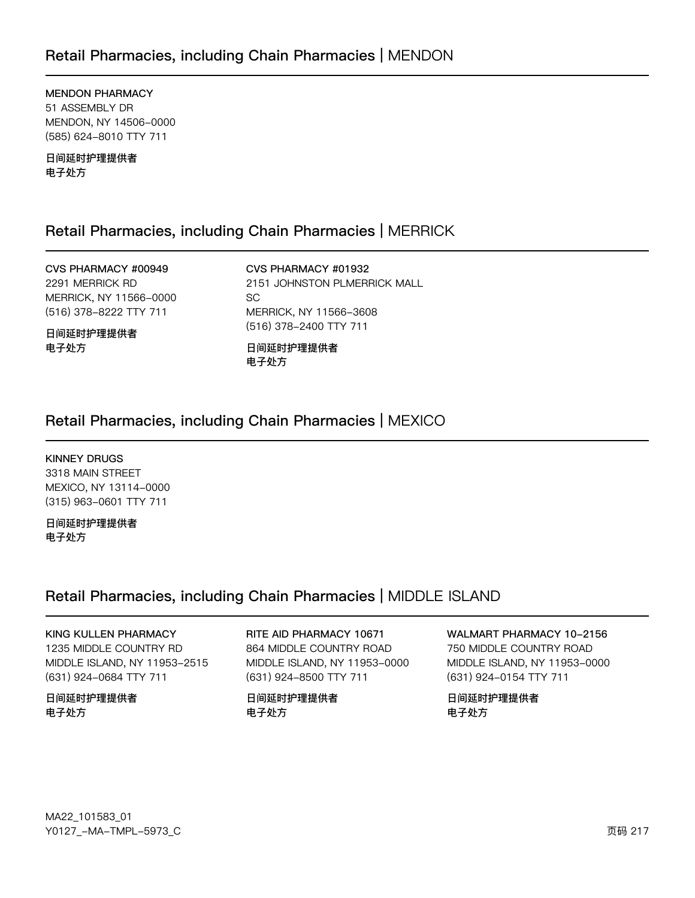### Retail Pharmacies, including Chain Pharmacies | MENDON

MENDON PHARMACY 51 ASSEMBLY DR MENDON, NY 14506-0000 (585) 624-8010 TTY 711

日间延时护理提供者 电子处方

### Retail Pharmacies, including Chain Pharmacies | MERRICK

CVS PHARMACY #00949 2291 MERRICK RD MERRICK, NY 11566-0000 (516) 378-8222 TTY 711

日间延时护理提供者 电子处方

CVS PHARMACY #01932 2151 JOHNSTON PLMERRICK MALL  $SC<sub>i</sub>$ MERRICK, NY 11566-3608 (516) 378-2400 TTY 711

日间延时护理提供者 电子处方

### Retail Pharmacies, including Chain Pharmacies | MEXICO

KINNEY DRUGS

3318 MAIN STREET MEXICO, NY 13114-0000 (315) 963-0601 TTY 711

日间延时护理提供者 电子处方

### Retail Pharmacies, including Chain Pharmacies | MIDDLE ISLAND

KING KULLEN PHARMACY 1235 MIDDLE COUNTRY RD MIDDLE ISLAND, NY 11953-2515 (631) 924-0684 TTY 711

日间延时护理提供者 电子处方

RITE AID PHARMACY 10671 864 MIDDLE COUNTRY ROAD MIDDLE ISLAND, NY 11953-0000 (631) 924-8500 TTY 711

日间延时护理提供者 电子处方

WALMART PHARMACY 10-2156 750 MIDDLE COUNTRY ROAD MIDDLE ISLAND, NY 11953-0000 (631) 924-0154 TTY 711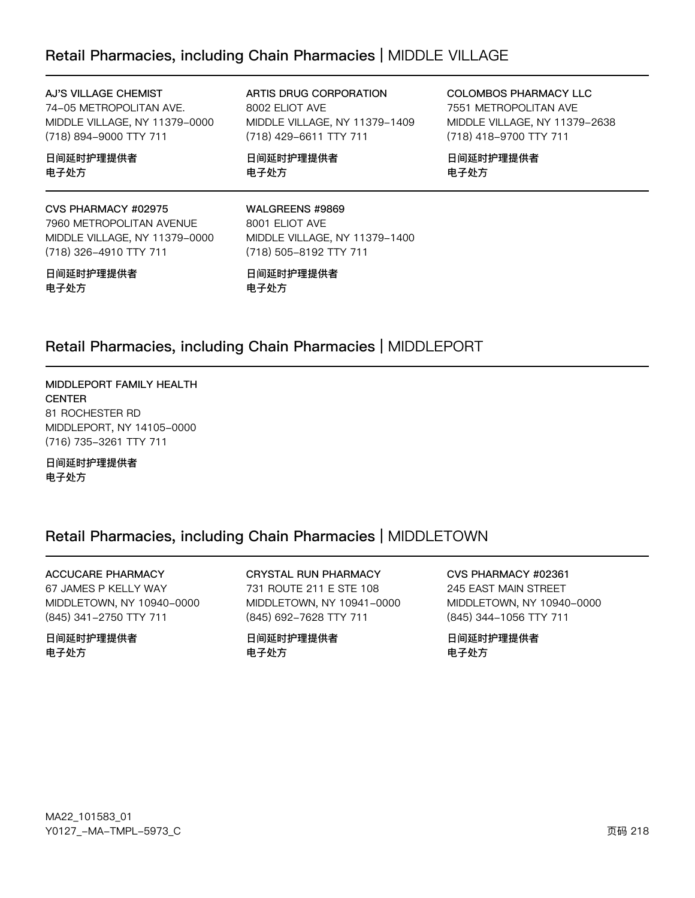## Retail Pharmacies, including Chain Pharmacies | MIDDLE VILLAGE

### AJ'S VILLAGE CHEMIST

74-05 METROPOLITAN AVE. MIDDLE VILLAGE, NY 11379-0000 (718) 894-9000 TTY 711

### 日间延时护理提供者 电子处方

### CVS PHARMACY #02975

7960 METROPOLITAN AVENUE MIDDLE VILLAGE, NY 11379-0000 (718) 326-4910 TTY 711

### 日间延时护理提供者 电子处方

ARTIS DRUG CORPORATION 8002 ELIOT AVE MIDDLE VILLAGE, NY 11379-1409 (718) 429-6611 TTY 711

日间延时护理提供者 电子处方

COLOMBOS PHARMACY LLC 7551 METROPOLITAN AVE MIDDLE VILLAGE, NY 11379-2638 (718) 418-9700 TTY 711

日间延时护理提供者 电子处方

### WALGREENS #9869

8001 ELIOT AVE MIDDLE VILLAGE, NY 11379-1400 (718) 505-8192 TTY 711

日间延时护理提供者 电子处方

## Retail Pharmacies, including Chain Pharmacies | MIDDLEPORT

### MIDDLEPORT FAMILY HEALTH **CENTER** 81 ROCHESTER RD MIDDLEPORT, NY 14105-0000 (716) 735-3261 TTY 711

### 日间延时护理提供者 电子处方

## Retail Pharmacies, including Chain Pharmacies | MIDDLETOWN

### **ACCUCARE PHARMACY**

67 JAMES P KELLY WAY MIDDLETOWN, NY 10940-0000 (845) 341-2750 TTY 711

### 日间延时护理提供者 电子处方

### **CRYSTAL RUN PHARMACY**

731 ROUTE 211 E STE 108 MIDDLETOWN, NY 10941-0000 (845) 692-7628 TTY 711

日间延时护理提供者 电子处方

### CVS PHARMACY #02361 245 EAST MAIN STREET MIDDLETOWN, NY 10940-0000 (845) 344-1056 TTY 711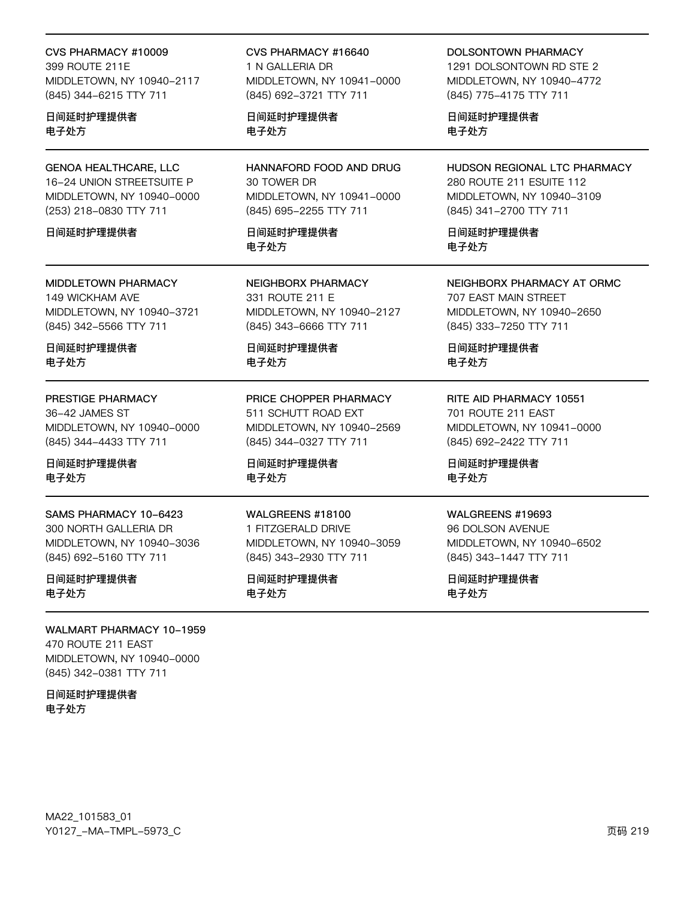#### CVS PHARMACY #10009

399 ROUTE 211E MIDDLETOWN, NY 10940-2117 (845) 344-6215 TTY 711

### 日间延时护理提供者 电子处方

## **GENOA HEALTHCARE, LLC**

16-24 UNION STREETSUITE P MIDDLETOWN, NY 10940-0000 (253) 218-0830 TTY 711

### 日间延时护理提供者

# **MIDDLETOWN PHARMACY**

149 WICKHAM AVE MIDDLETOWN, NY 10940-3721 (845) 342-5566 TTY 711

日间延时护理提供者 电子处方

### PRESTIGE PHARMACY

36-42 JAMES ST MIDDLETOWN, NY 10940-0000 (845) 344-4433 TTY 711

### 日间延时护理提供者 电子处方

SAMS PHARMACY 10-6423 300 NORTH GALLERIA DR MIDDLETOWN, NY 10940-3036 (845) 692-5160 TTY 711

### 日间延时护理提供者 电子处方

### **WALMART PHARMACY 10-1959**

470 ROUTE 211 EAST MIDDLETOWN, NY 10940-0000 (845) 342-0381 TTY 711

日间延时护理提供者 电子处方

### CVS PHARMACY #16640 1 N GALLERIA DR MIDDLETOWN, NY 10941-0000 (845) 692-3721 TTY 711

日间延时护理提供者 电子处方

HANNAFORD FOOD AND DRUG 30 TOWER DR MIDDLETOWN, NY 10941-0000 (845) 695-2255 TTY 711

日间延时护理提供者 电子外方

NEIGHBORX PHARMACY 331 ROUTE 211 E MIDDLETOWN, NY 10940-2127 (845) 343-6666 TTY 711

日间延时护理提供者 电子处方

#### PRICE CHOPPER PHARMACY 511 SCHUTT ROAD EXT

MIDDLETOWN, NY 10940-2569 (845) 344-0327 TTY 711

日间延时护理提供者 电子处方

### WALGREENS #18100

1 FITZGERALD DRIVE MIDDLETOWN, NY 10940-3059 (845) 343-2930 TTY 711

### 日间延时护理提供者 电子处方

### **DOLSONTOWN PHARMACY**

1291 DOI SONTOWN RD STE 2 MIDDLETOWN, NY 10940-4772 (845) 775-4175 TTY 711

日间延时护理提供者 电子处方

### HUDSON REGIONAL LTC PHARMACY 280 ROUTE 211 ESUITE 112 MIDDLETOWN, NY 10940-3109 (845) 341-2700 TTY 711

日间延时护理提供者 电子外方

### NEIGHBORX PHARMACY AT ORMC 707 EAST MAIN STREET

MIDDLETOWN, NY 10940-2650 (845) 333-7250 TTY 711

日间延时护理提供者 电子处方

### RITE AID PHARMACY 10551 701 ROUTE 211 EAST

MIDDLETOWN, NY 10941-0000 (845) 692-2422 TTY 711

日间延时护理提供者 电子处方

### WALGREENS #19693

96 DOLSON AVENUE MIDDLETOWN, NY 10940-6502 (845) 343-1447 TTY 711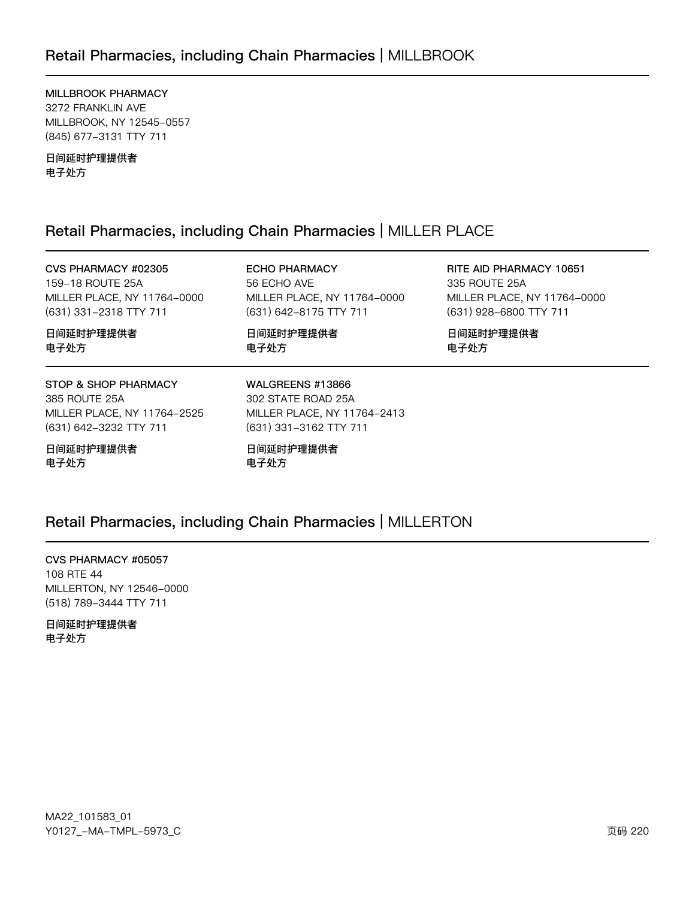MILLBROOK PHARMACY 3272 FRANKLIN AVE MILLBROOK, NY 12545-0557 (845) 677-3131 TTY 711

日间延时护理提供者 电子处方

## Retail Pharmacies, including Chain Pharmacies | MILLER PLACE

CVS PHARMACY #02305 159-18 ROUTE 25A MILLER PLACE, NY 11764-0000 (631) 331-2318 TTY 711

**ECHO PHARMACY** 56 ECHO AVE MILLER PLACE, NY 11764-0000 (631) 642-8175 TTY 711

日间延时护理提供者 电子处方

RITE AID PHARMACY 10651 335 ROUTE 25A MILLER PLACE, NY 11764-0000 (631) 928-6800 TTY 711

日间延时护理提供者 电子处方

日间延时护理提供者 电子处方

### STOP & SHOP PHARMACY

385 ROUTE 25A MILLER PLACE, NY 11764-2525 (631) 642-3232 TTY 711

日间延时护理提供者 电子处方

WALGREENS #13866 302 STATE ROAD 25A MILLER PLACE, NY 11764-2413 (631) 331-3162 TTY 711

日间延时护理提供者 电子处方

## Retail Pharmacies, including Chain Pharmacies | MILLERTON

CVS PHARMACY #05057 108 RTE 44 MILLERTON, NY 12546-0000 (518) 789-3444 TTY 711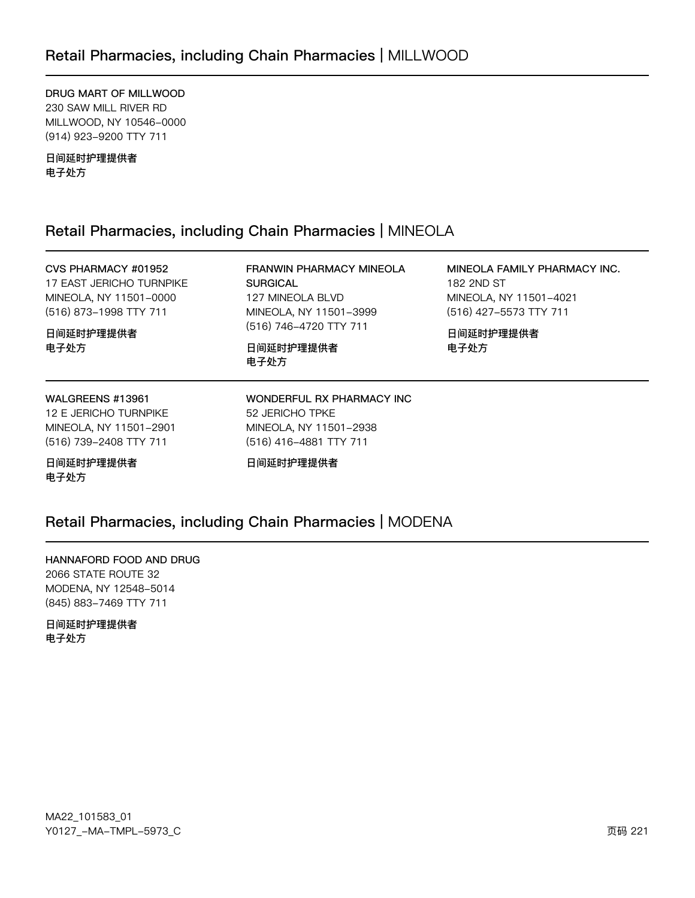DRUG MART OF MILLWOOD 230 SAW MILL RIVER RD MILLWOOD, NY 10546-0000 (914) 923-9200 TTY 711

日间延时护理提供者 电子处方

### Retail Pharmacies, including Chain Pharmacies | MINEOLA

### CVS PHARMACY #01952

17 EAST JERICHO TURNPIKE MINEOLA, NY 11501-0000 (516) 873-1998 TTY 711

日间延时护理提供者 电子处方

127 MINEOLA BLVD MINEOLA, NY 11501-3999 (516) 746-4720 TTY 711

**SURGICAL** 

日间延时护理提供者 电子处方

MINEOLA FAMILY PHARMACY INC. 182 2ND ST MINEOLA, NY 11501-4021 (516) 427-5573 TTY 711

日间延时护理提供者 电子处方

### WALGREENS #13961

12 E JERICHO TURNPIKE MINEOLA, NY 11501-2901 (516) 739-2408 TTY 711

日间延时护理提供者 电子处方

52 JERICHO TPKE MINEOLA, NY 11501-2938 (516) 416-4881 TTY 711

WONDERFUL RX PHARMACY INC

FRANWIN PHARMACY MINEOLA

日间延时护理提供者

## Retail Pharmacies, including Chain Pharmacies | MODENA

HANNAFORD FOOD AND DRUG 2066 STATE ROUTE 32 MODENA, NY 12548-5014 (845) 883-7469 TTY 711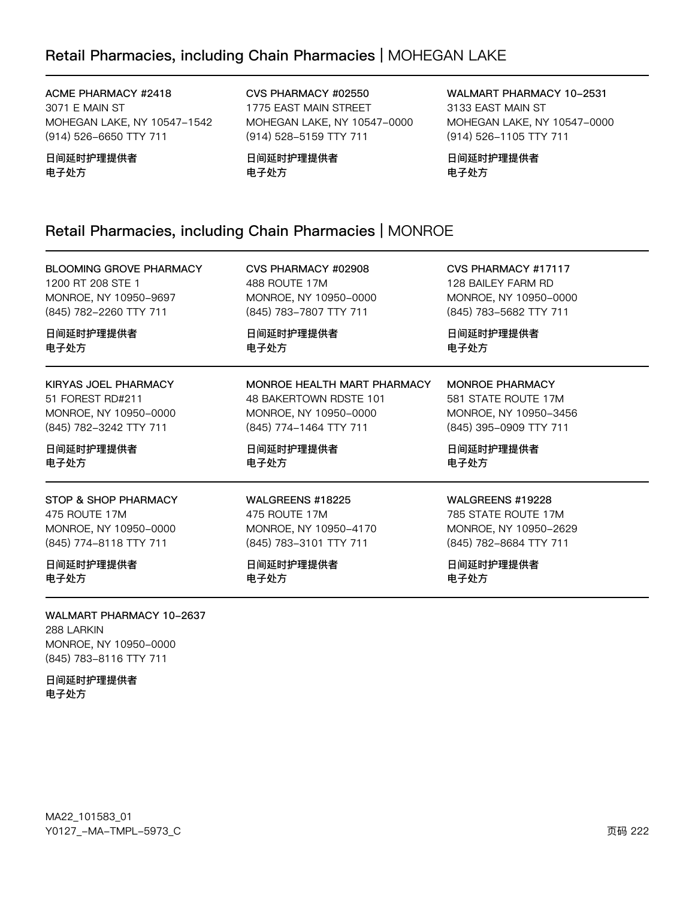## Retail Pharmacies, including Chain Pharmacies | MOHEGAN LAKE

ACME PHARMACY #2418 3071 E MAIN ST MOHEGAN LAKE, NY 10547-1542 (914) 526-6650 TTY 711

日间延时护理提供者 电子处方

CVS PHARMACY #02550 1775 EAST MAIN STREET MOHEGAN LAKE, NY 10547-0000 (914) 528-5159 TTY 711

日间延时护理提供者 电子处方

CVS PHARMACY #02908

MONROE, NY 10950-0000 (845) 783-7807 TTY 711

48 BAKERTOWN RDSTE 101 MONROE, NY 10950-0000 (845) 774-1464 TTY 711

MONROE HEALTH MART PHARMACY

488 ROUTE 17M

日间延时护理提供者

日间延时护理提供者

电子处方

电子处方

WALMART PHARMACY 10-2531 3133 EAST MAIN ST MOHEGAN LAKE, NY 10547-0000 (914) 526-1105 TTY 711

日间延时护理提供者 电子处方

CVS PHARMACY #17117 128 BAILEY FARM RD MONROE, NY 10950-0000 (845) 783-5682 TTY 711

### Retail Pharmacies, including Chain Pharmacies | MONROE

BLOOMING GROVE PHARMACY 1200 RT 208 STE 1 MONROE, NY 10950-9697 (845) 782-2260 TTY 711

日间延时护理提供者 电子处方

KIRYAS JOEL PHARMACY 51 FOREST RD#211 MONROE, NY 10950-0000 (845) 782-3242 TTY 711

日间延时护理提供者 电子处方

STOP & SHOP PHARMACY 475 ROUTE 17M MONROE, NY 10950-0000 (845) 774-8118 TTY 711

日间延时护理提供者 电子处方

WALMART PHARMACY 10-2637 288 LARKIN MONROE, NY 10950-0000 (845) 783-8116 TTY 711

日间延时护理提供者 电子处方

MA22\_101583\_01 70127v-Ju-6Jwx-5y73vC z{ 222

MONROE, NY 10950-3456 (845) 395-0909 TTY 711 日间延时护理提供者 电子处方

MONROE PHARMACY 581 STATE ROUTE 17M

日间延时护理提供者

电子处方

### WALGREENS #19228

785 STATE ROUTE 17M MONROE, NY 10950-2629 (845) 782-8684 TTY 711

日间延时护理提供者 电子处方

WALGREENS #18225 475 ROUTE 17M MONROE, NY 10950-4170 (845) 783-3101 TTY 711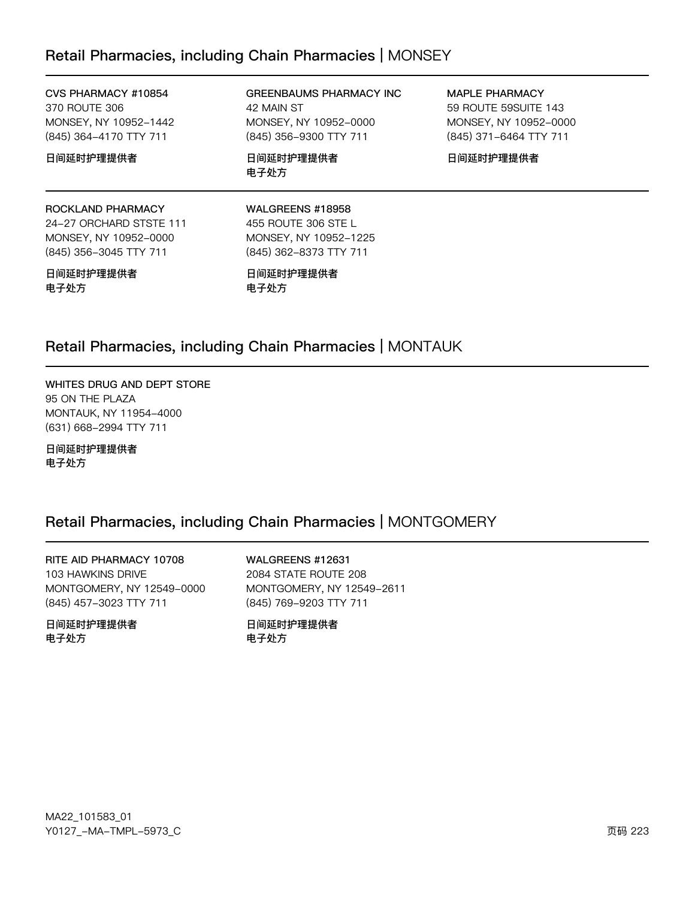### Retail Pharmacies, including Chain Pharmacies | MONSEY

CVS PHARMACY #10854 370 ROUTE 306 MONSEY, NY 10952-1442 (845) 364-4170 TTY 711

#### 日间延时护理提供者

### GREENBAUMS PHARMACY INC 42 MAIN ST MONSEY, NY 10952-0000 (845) 356-9300 TTY 711

日间延时护理提供者 电子处方

MAPLE PHARMACY 59 ROUTE 59SUITE 143 MONSEY, NY 10952-0000 (845) 371-6464 TTY 711

日间延时护理提供者

### ROCKLAND PHARMACY

24-27 ORCHARD STSTE 111 MONSEY, NY 10952-0000 (845) 356-3045 TTY 711

### 日间延时护理提供者 电子处方

WALGREENS #18958 455 ROUTE 306 STE L MONSEY, NY 10952-1225 (845) 362-8373 TTY 711

日间延时护理提供者 电子处方

### Retail Pharmacies, including Chain Pharmacies | MONTAUK

WHITES DRUG AND DEPT STORE 95 ON THE PLAZA MONTAUK, NY 11954-4000 (631) 668-2994 TTY 711

日间延时护理提供者 电子处方

### Retail Pharmacies, including Chain Pharmacies | MONTGOMERY

RITE AID PHARMACY 10708 103 HAWKINS DRIVE MONTGOMERY, NY 12549-0000 (845) 457-3023 TTY 711

日间延时护理提供者 电子处方

WALGREENS #12631 2084 STATE ROUTE 208 MONTGOMERY, NY 12549-2611 (845) 769-9203 TTY 711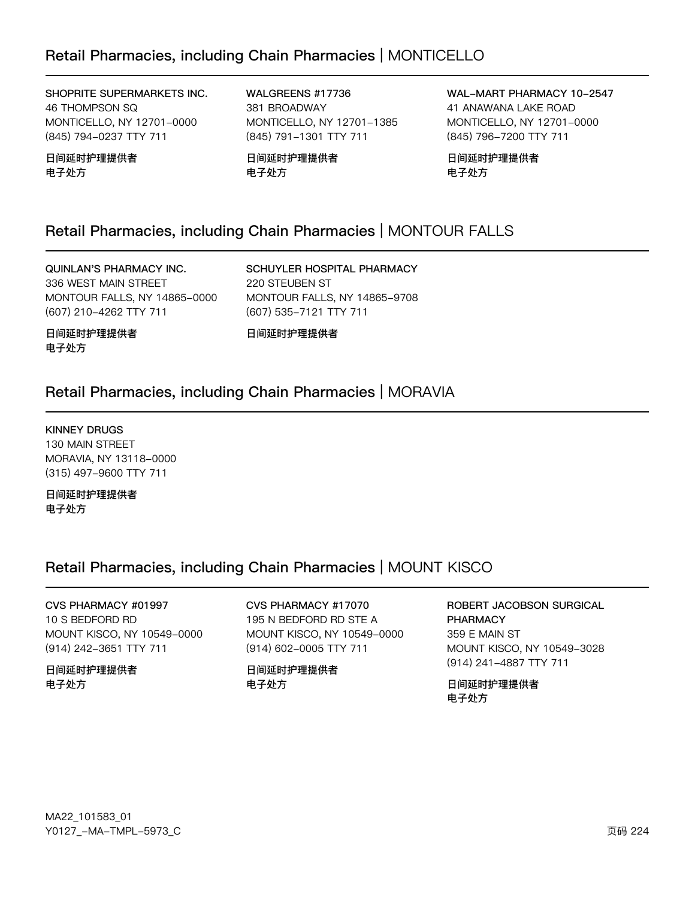SHOPRITE SUPERMARKETS INC. 46 THOMPSON SQ MONTICELLO, NY 12701-0000 (845) 794-0237 TTY 711

日间延时护理提供者 电子处方

WALGREENS #17736 381 BROADWAY MONTICELLO, NY 12701-1385 (845) 791-1301 TTY 711

日间延时护理提供者 电子处方

WAL-MART PHARMACY 10-2547 41 ANAWANA LAKE ROAD MONTICELLO, NY 12701-0000 (845) 796-7200 TTY 711

日间延时护理提供者 电子处方

## Retail Pharmacies, including Chain Pharmacies | MONTOUR FALLS

### QUINLAN'S PHARMACY INC.

336 WEST MAIN STREET MONTOUR FALLS, NY 14865-0000 (607) 210-4262 TTY 711

SCHUYLER HOSPITAL PHARMACY 220 STEUBEN ST MONTOUR FALLS, NY 14865-9708 (607) 535-7121 TTY 711

日间延时护理提供者 电子处方

日间延时护理提供者

## Retail Pharmacies, including Chain Pharmacies | MORAVIA

### KINNEY DRUGS

130 MAIN STREET MORAVIA, NY 13118-0000 (315) 497-9600 TTY 711

日间延时护理提供者 电子处方

## Retail Pharmacies, including Chain Pharmacies | MOUNT KISCO

CVS PHARMACY #01997 10 S BEDFORD RD MOUNT KISCO, NY 10549-0000 (914) 242-3651 TTY 711

日间延时护理提供者 电子处方

CVS PHARMACY #17070 195 N BEDFORD RD STE A MOUNT KISCO, NY 10549-0000 (914) 602-0005 TTY 711

日间延时护理提供者 电子处方

ROBERT JACOBSON SURGICAL PHARMACY 359 E MAIN ST MOUNT KISCO, NY 10549-3028 (914) 241-4887 TTY 711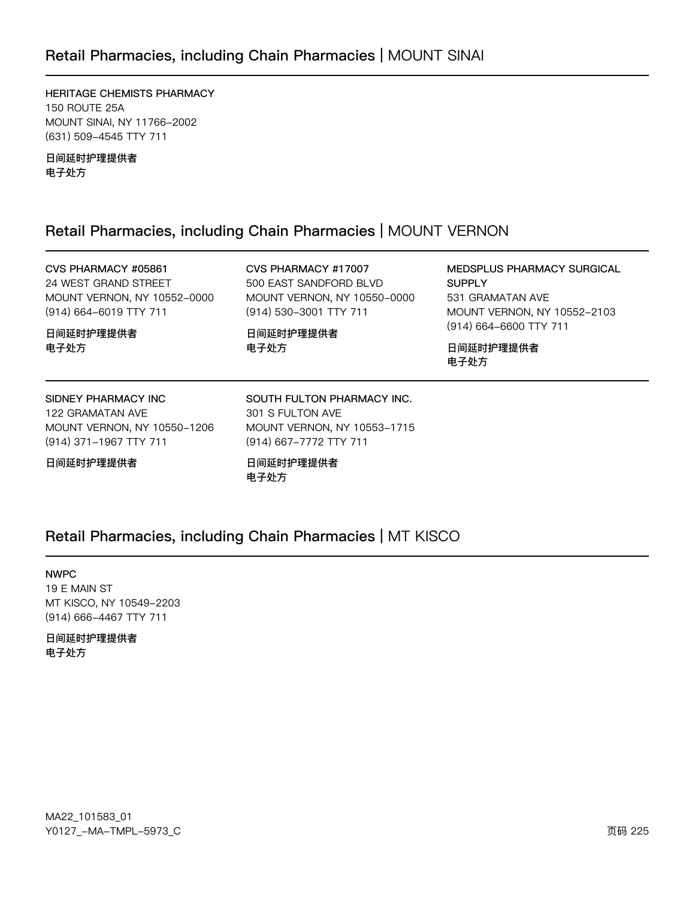## Retail Pharmacies, including Chain Pharmacies | MOUNT SINAI

HERITAGE CHEMISTS PHARMACY 150 ROUTE 25A MOUNT SINAI, NY 11766-2002 (631) 509-4545 TTY 711

日间延时护理提供者 电子处方

## Retail Pharmacies, including Chain Pharmacies | MOUNT VERNON

CVS PHARMACY #05861 24 WEST GRAND STREET MOUNT VERNON, NY 10552-0000 (914) 664-6019 TTY 711

CVS PHARMACY #17007 500 EAST SANDFORD BLVD MOUNT VERNON, NY 10550-0000 (914) 530-3001 TTY 711

日间延时护理提供者 电子处方

MEDSPLUS PHARMACY SURGICAL SUPPLY 531 GRAMATAN AVE MOUNT VERNON, NY 10552-2103 (914) 664-6600 TTY 711

日间延时护理提供者 电子处方

### SIDNEY PHARMACY INC

122 GRAMATAN AVE MOUNT VERNON, NY 10550-1206 (914) 371-1967 TTY 711

### 日间延时护理提供者

日间延时护理提供者

电子处方

301 S FULTON AVE MOUNT VERNON, NY 10553-1715 (914) 667-7772 TTY 711

SOUTH FULTON PHARMACY INC.

日间延时护理提供者 电子处方

### Retail Pharmacies, including Chain Pharmacies | MT KISCO

#### NWPC

19 E MAIN ST MT KISCO, NY 10549-2203 (914) 666-4467 TTY 711

### 日间延时护理提供者 电子处方

MA22\_101583\_01 70127v-Ju-6Jwx-5y73vC z{ 225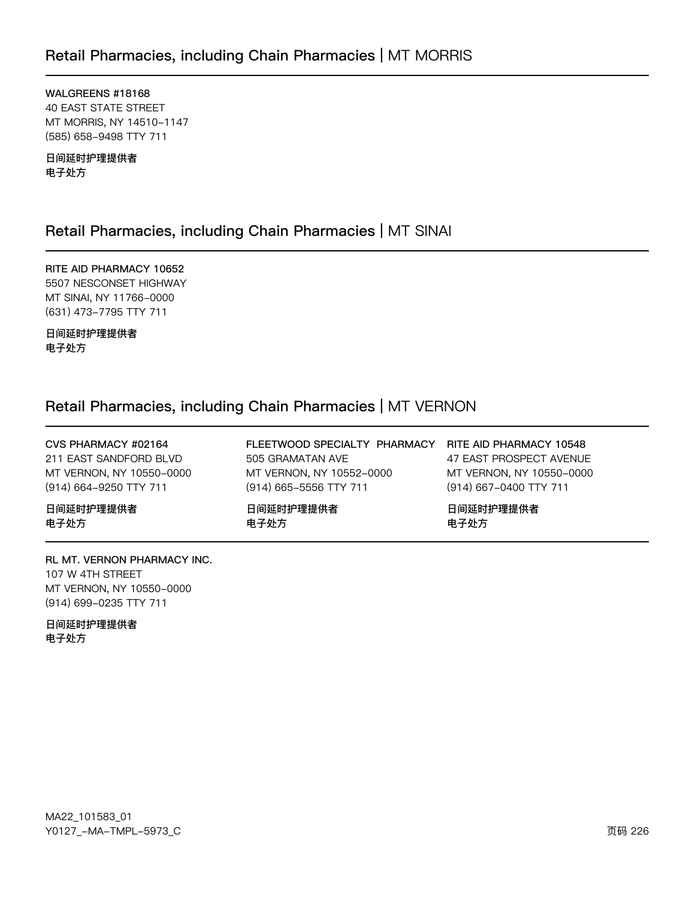WALGREENS #18168 **40 EAST STATE STREET** MT MORRIS, NY 14510-1147 (585) 658-9498 TTY 711

日间延时护理提供者 电子处方

## Retail Pharmacies, including Chain Pharmacies | MT SINAI

RITE AID PHARMACY 10652 5507 NESCONSET HIGHWAY MT SINAI, NY 11766-0000 (631) 473-7795 TTY 711

日间延时护理提供者 电子处方

## Retail Pharmacies, including Chain Pharmacies | MT VERNON

| CVS PHARMACY #02164<br>211 EAST SANDFORD BLVD<br>MT VERNON, NY 10550-0000<br>(914) 664-9250 TTY 711 | FLEETWOOD SPECIALTY PHARMACY RITE AID PHARMACY 10548<br>505 GRAMATAN AVE<br>MT VERNON, NY 10552-0000<br>(914) 665-5556 TTY 711 | 47 EAST PROSPECT AVENUE<br>MT VERNON, NY 10550-0000<br>(914) 667-0400 TTY 711 |
|-----------------------------------------------------------------------------------------------------|--------------------------------------------------------------------------------------------------------------------------------|-------------------------------------------------------------------------------|
| 日间延时护理提供者                                                                                           | 日间延时护理提供者                                                                                                                      | 日间延时护理提供者                                                                     |
| 电子处方                                                                                                | 电子处方                                                                                                                           | 电子处方                                                                          |

RL MT. VERNON PHARMACY INC. 107 W 4TH STREET MT VERNON, NY 10550-0000 (914) 699-0235 TTY 711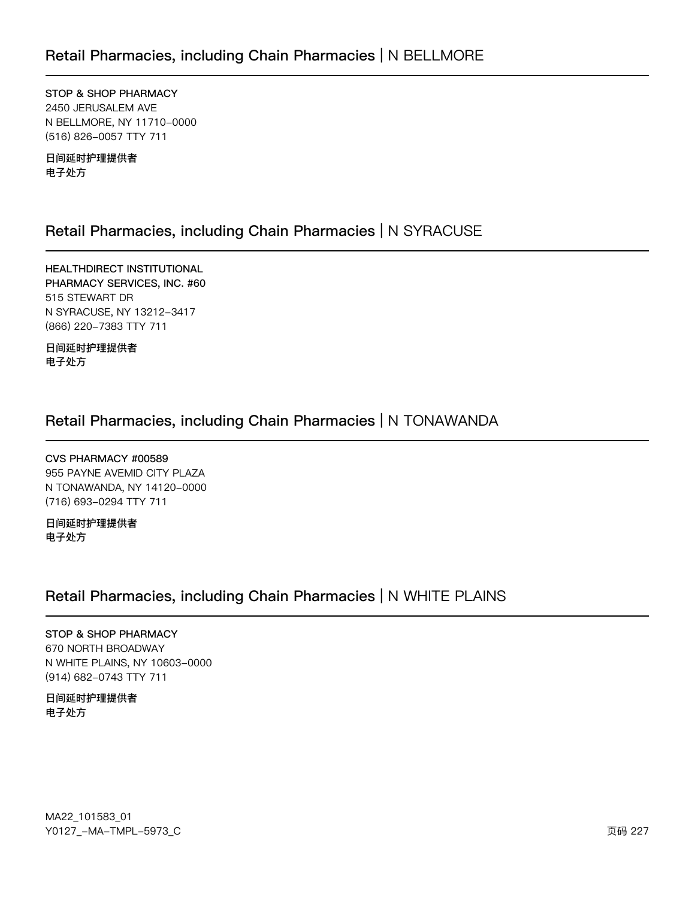STOP & SHOP PHARMACY 2450 JERUSALEM AVE N BELLMORE, NY 11710-0000 (516) 826-0057 TTY 711

日间延时护理提供者 电子处方

## Retail Pharmacies, including Chain Pharmacies | N SYRACUSE

HEALTHDIRECT INSTITUTIONAL PHARMACY SERVICES, INC. #60 515 STEWART DR N SYRACUSE, NY 13212-3417 (866) 220-7383 TTY 711

日间延时护理提供者 电子处方

## Retail Pharmacies, including Chain Pharmacies | N TONAWANDA

CVS PHARMACY #00589 955 PAYNE AVEMID CITY PLAZA N TONAWANDA, NY 14120-0000 (716) 693-0294 TTY 711

日间延时护理提供者 电子处方

## Retail Pharmacies, including Chain Pharmacies | N WHITE PLAINS

STOP & SHOP PHARMACY 670 NORTH BROADWAY N WHITE PLAINS, NY 10603-0000 (914) 682-0743 TTY 711

日间延时护理提供者 电子处方

MA22\_101583\_01 Y0127\_-MA-TMPL-5973\_C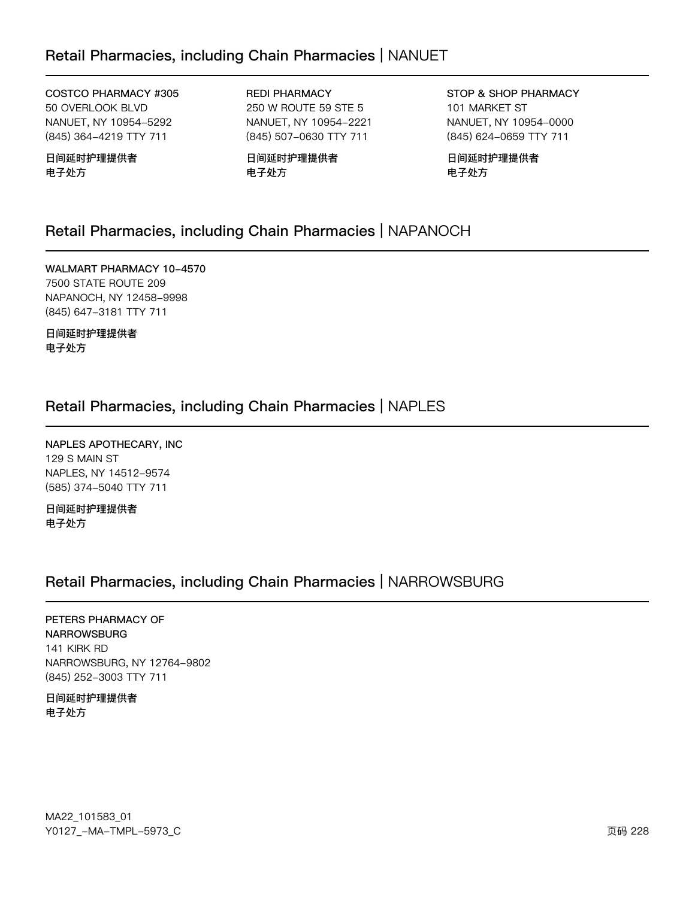## Retail Pharmacies, including Chain Pharmacies | NANUET

COSTCO PHARMACY #305 50 OVERLOOK BLVD NANUET, NY 10954-5292 (845) 364-4219 TTY 711

日间延时护理提供者 电子处方

REDI PHARMACY 250 W ROUTE 59 STE 5 NANUET, NY 10954-2221 (845) 507-0630 TTY 711

日间延时护理提供者 电子处方

STOP & SHOP PHARMACY 101 MARKET ST NANUET, NY 10954-0000 (845) 624-0659 TTY 711

日间延时护理提供者 电子处方

### Retail Pharmacies, including Chain Pharmacies | NAPANOCH

WALMART PHARMACY 10-4570 7500 STATE ROUTE 209 NAPANOCH, NY 12458-9998 (845) 647-3181 TTY 711

日间延时护理提供者 电子处方

### Retail Pharmacies, including Chain Pharmacies | NAPLES

NAPLES APOTHECARY, INC 129 S MAIN ST NAPLES, NY 14512-9574 (585) 374-5040 TTY 711

日间延时护理提供者 电子处方

### Retail Pharmacies, including Chain Pharmacies | NARROWSBURG

PETERS PHARMACY OF NARROWSBURG 141 KIRK RD NARROWSBURG, NY 12764-9802 (845) 252-3003 TTY 711

日间延时护理提供者 电子处方

MA22\_101583\_01 70127v-Ju-6Jwx-5y73vC z{ 222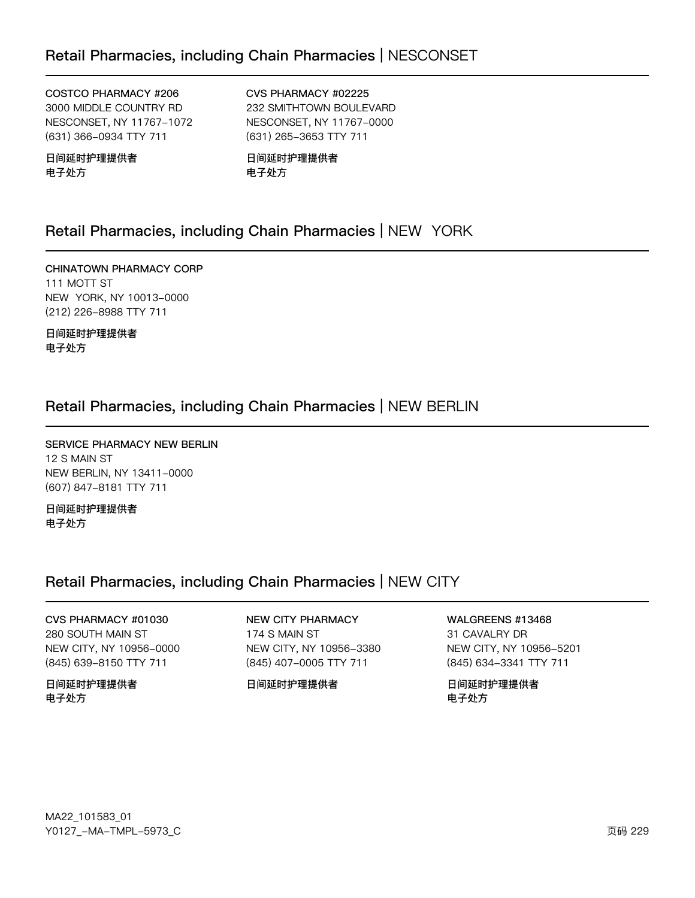### COSTCO PHARMACY #206

3000 MIDDLE COUNTRY RD NESCONSET, NY 11767-1072 (631) 366-0934 TTY 711

### 日间延时护理提供者 电子处方

CVS PHARMACY #02225 232 SMITHTOWN BOULEVARD NESCONSET, NY 11767-0000 (631) 265-3653 TTY 711

日间延时护理提供者 电子处方

## Retail Pharmacies, including Chain Pharmacies | NEW YORK

CHINATOWN PHARMACY CORP 111 MOTT ST NEW YORK, NY 10013-0000 (212) 226-8988 TTY 711

日间延时护理提供者 电子处方

## Retail Pharmacies, including Chain Pharmacies | NEW BERLIN

SERVICE PHARMACY NEW BERLIN 12 S MAIN ST NEW BERLIN, NY 13411-0000 (607) 847-8181 TTY 711

日间延时护理提供者 电子处方

## Retail Pharmacies, including Chain Pharmacies | NEW CITY

CVS PHARMACY #01030 280 SOUTH MAIN ST NEW CITY, NY 10956-0000 (845) 639-8150 TTY 711

日间延时护理提供者 电子处方

NEW CITY PHARMACY 174 S MAIN ST NEW CITY, NY 10956-3380 (845) 407-0005 TTY 711

日间延时护理提供者

WALGREENS #13468 31 CAVALRY DR NEW CITY, NY 10956-5201

(845) 634-3341 TTY 711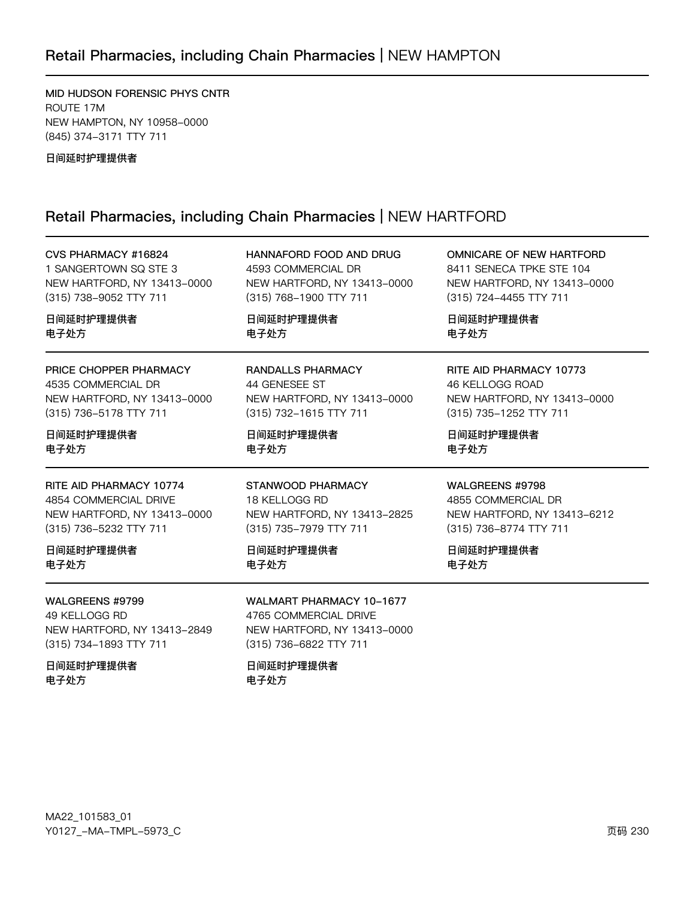# Retail Pharmacies, including Chain Pharmacies | NEW HAMPTON

MID HUDSON FORENSIC PHYS CNTR ROUTE 17M NEW HAMPTON, NY 10958-0000 (845) 374-3171 TTY 711

日间延时护理提供者

### Retail Pharmacies, including Chain Pharmacies | NEW HARTFORD

| CVS PHARMACY #16824                                                                       | HANNAFORD FOOD AND DRUG                                                                                           | <b>OMNICARE OF NEW HARTFORD</b> |
|-------------------------------------------------------------------------------------------|-------------------------------------------------------------------------------------------------------------------|---------------------------------|
| 1 SANGERTOWN SQ STE 3                                                                     | 4593 COMMERCIAL DR                                                                                                | 8411 SENECA TPKE STE 104        |
| NEW HARTFORD, NY 13413-0000                                                               | NEW HARTFORD, NY 13413-0000                                                                                       | NEW HARTFORD, NY 13413-0000     |
| (315) 738-9052 TTY 711                                                                    | (315) 768-1900 TTY 711                                                                                            | (315) 724-4455 TTY 711          |
| 日间延时护理提供者                                                                                 | 日间延时护理提供者                                                                                                         | 日间延时护理提供者                       |
| 电子处方                                                                                      | 电子处方                                                                                                              | 电子处方                            |
| PRICE CHOPPER PHARMACY                                                                    | <b>RANDALLS PHARMACY</b>                                                                                          | RITE AID PHARMACY 10773         |
| 4535 COMMERCIAL DR                                                                        | 44 GENESEE ST                                                                                                     | 46 KELLOGG ROAD                 |
| NEW HARTFORD, NY 13413-0000                                                               | NEW HARTFORD, NY 13413-0000                                                                                       | NEW HARTFORD, NY 13413-0000     |
| (315) 736-5178 TTY 711                                                                    | (315) 732-1615 TTY 711                                                                                            | (315) 735-1252 TTY 711          |
| 日间延时护理提供者                                                                                 | 日间延时护理提供者                                                                                                         | 日间延时护理提供者                       |
| 电子处方                                                                                      | 电子处方                                                                                                              | 电子处方                            |
| RITE AID PHARMACY 10774                                                                   | STANWOOD PHARMACY                                                                                                 | WALGREENS #9798                 |
| 4854 COMMERCIAL DRIVE                                                                     | 18 KELLOGG RD                                                                                                     | 4855 COMMERCIAL DR              |
| NEW HARTFORD, NY 13413-0000                                                               | NEW HARTFORD, NY 13413-2825                                                                                       | NEW HARTFORD, NY 13413-6212     |
| (315) 736-5232 TTY 711                                                                    | (315) 735-7979 TTY 711                                                                                            | (315) 736-8774 TTY 711          |
| 日间延时护理提供者                                                                                 | 日间延时护理提供者                                                                                                         | 日间延时护理提供者                       |
| 电子处方                                                                                      | 电子处方                                                                                                              | 电子处方                            |
| WALGREENS #9799<br>49 KELLOGG RD<br>NEW HARTFORD, NY 13413-2849<br>(315) 734-1893 TTY 711 | <b>WALMART PHARMACY 10-1677</b><br>4765 COMMERCIAL DRIVE<br>NEW HARTFORD, NY 13413-0000<br>(315) 736-6822 TTY 711 |                                 |
| 日间延时护理提供者<br>电子处方                                                                         | 日间延时护理提供者<br>电子处方                                                                                                 |                                 |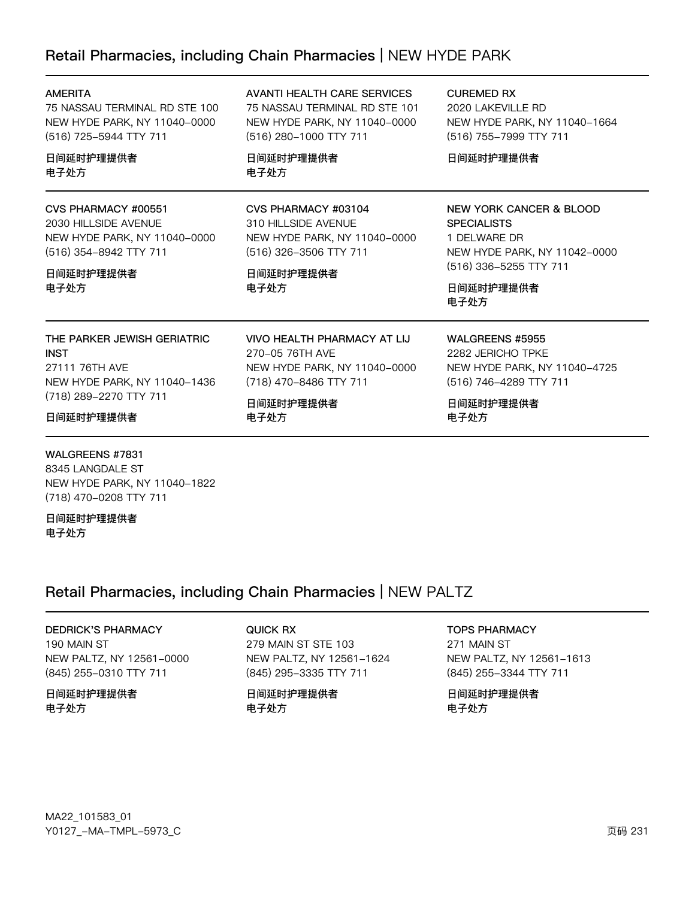## Retail Pharmacies, including Chain Pharmacies | NEW HYDE PARK

| <b>AMERITA</b><br>75 NASSAU TERMINAL RD STE 100<br>NEW HYDE PARK, NY 11040-0000<br>(516) 725-5944 TTY 711<br>日间延时护理提供者<br>电子处方      | AVANTI HEALTH CARE SERVICES<br>75 NASSAU TERMINAL RD STE 101<br>NEW HYDE PARK, NY 11040-0000<br>(516) 280-1000 TTY 711<br>日间延时护理提供者<br>电子处方 | <b>CUREMED RX</b><br>2020 LAKEVILLE RD<br>NEW HYDE PARK, NY 11040-1664<br>(516) 755-7999 TTY 711<br>日间延时护理提供者                                |
|-------------------------------------------------------------------------------------------------------------------------------------|---------------------------------------------------------------------------------------------------------------------------------------------|----------------------------------------------------------------------------------------------------------------------------------------------|
| CVS PHARMACY #00551<br>2030 HILL SIDE AVENUE<br>NEW HYDE PARK, NY 11040-0000<br>(516) 354-8942 TTY 711<br>日间延时护理提供者<br>电子处方         | CVS PHARMACY #03104<br>310 HILL SIDE AVENUE<br>NEW HYDE PARK, NY 11040-0000<br>(516) 326-3506 TTY 711<br>日间延时护理提供者<br>电子处方                  | NEW YORK CANCER & BLOOD<br><b>SPECIALISTS</b><br>1 DELWARE DR<br>NEW HYDE PARK, NY 11042-0000<br>(516) 336-5255 TTY 711<br>日间延时护理提供者<br>电子处方 |
| THE PARKER JEWISH GERIATRIC<br><b>INST</b><br>27111 76TH AVE<br>NEW HYDE PARK, NY 11040-1436<br>(718) 289-2270 TTY 711<br>日间延时护理提供者 | VIVO HEALTH PHARMACY AT LIJ<br>270-05 76TH AVE<br>NEW HYDE PARK, NY 11040-0000<br>(718) 470-8486 TTY 711<br>日间延时护理提供者<br>电子处方               | WALGREENS #5955<br>2282 JERICHO TPKE<br>NEW HYDE PARK, NY 11040-4725<br>(516) 746-4289 TTY 711<br>日间延时护理提供者<br>电子处方                          |

### WALGREENS #7831

8345 LANGDALE ST NEW HYDE PARK, NY 11040-1822 (718) 470-0208 TTY 711

日间延时护理提供者 电子处方

## Retail Pharmacies, including Chain Pharmacies | NEW PALTZ

### DEDRICK'S PHARMACY

190 MAIN ST NEW PALTZ, NY 12561-0000 (845) 255-0310 TTY 711

### 日间延时护理提供者 电子处方

QUICK RX 279 MAIN ST STE 103 NEW PALTZ, NY 12561-1624 (845) 295-3335 TTY 711

日间延时护理提供者 电子处方

### TOPS PHARMACY

271 MAIN ST NEW PALTZ, NY 12561-1613 (845) 255-3344 TTY 711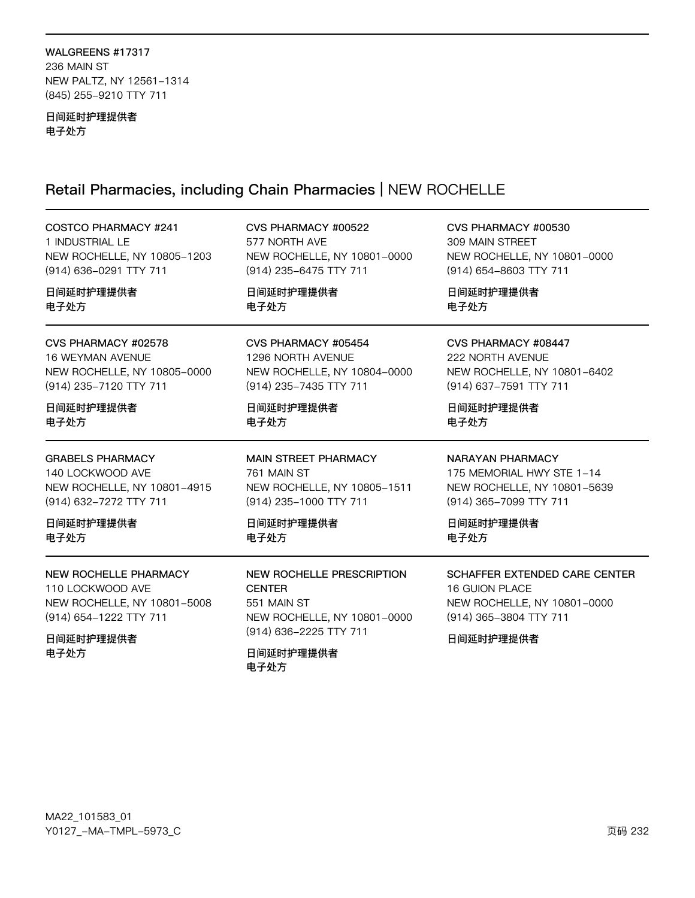### WALGREENS #17317 236 MAIN ST NEW PALTZ, NY 12561-1314 (845) 255-9210 TTY 711

### 日间延时护理提供者 电子处方

# Retail Pharmacies, including Chain Pharmacies | NEW ROCHELLE

| <b>COSTCO PHARMACY #241</b>                                                                          | CVS PHARMACY #00522                                                                                 | CVS PHARMACY #00530                                                                                    |
|------------------------------------------------------------------------------------------------------|-----------------------------------------------------------------------------------------------------|--------------------------------------------------------------------------------------------------------|
| 1 INDUSTRIAL LE                                                                                      | 577 NORTH AVE                                                                                       | 309 MAIN STREET                                                                                        |
| NEW ROCHELLE, NY 10805-1203                                                                          | NEW ROCHELLE, NY 10801-0000                                                                         | NEW ROCHELLE, NY 10801-0000                                                                            |
| (914) 636-0291 TTY 711                                                                               | (914) 235-6475 TTY 711                                                                              | (914) 654-8603 TTY 711                                                                                 |
| 日间延时护理提供者                                                                                            | 日间延时护理提供者                                                                                           | 日间延时护理提供者                                                                                              |
| 电子处方                                                                                                 | 电子处方                                                                                                | 电子处方                                                                                                   |
| CVS PHARMACY #02578                                                                                  | CVS PHARMACY #05454                                                                                 | CVS PHARMACY #08447                                                                                    |
| 16 WEYMAN AVENUE                                                                                     | 1296 NORTH AVENUE                                                                                   | 222 NORTH AVENUE                                                                                       |
| NEW ROCHELLE, NY 10805-0000                                                                          | NEW ROCHELLE, NY 10804-0000                                                                         | NEW ROCHELLE, NY 10801-6402                                                                            |
| (914) 235-7120 TTY 711                                                                               | (914) 235-7435 TTY 711                                                                              | (914) 637-7591 TTY 711                                                                                 |
| 日间延时护理提供者                                                                                            | 日间延时护理提供者                                                                                           | 日间延时护理提供者                                                                                              |
| 电子处方                                                                                                 | 电子处方                                                                                                | 电子处方                                                                                                   |
| <b>GRABELS PHARMACY</b><br>140 LOCKWOOD AVE<br>NEW ROCHELLE, NY 10801-4915<br>(914) 632-7272 TTY 711 | <b>MAIN STREET PHARMACY</b><br>761 MAIN ST<br>NEW ROCHELLE, NY 10805-1511<br>(914) 235-1000 TTY 711 | NARAYAN PHARMACY<br>175 MEMORIAL HWY STE 1-14<br>NEW ROCHELLE, NY 10801-5639<br>(914) 365-7099 TTY 711 |
| 日间延时护理提供者                                                                                            | 日间延时护理提供者                                                                                           | 日间延时护理提供者                                                                                              |
| 电子处方                                                                                                 | 电子处方                                                                                                | 电子处方                                                                                                   |
| NEW ROCHELLE PHARMACY                                                                                | NEW ROCHELLE PRESCRIPTION                                                                           | SCHAFFER EXTENDED CARE CENTER                                                                          |
| 110 LOCKWOOD AVE                                                                                     | <b>CENTER</b>                                                                                       | <b>16 GUION PLACE</b>                                                                                  |
| NEW ROCHELLE, NY 10801-5008                                                                          | 551 MAIN ST                                                                                         | NEW ROCHELLE, NY 10801-0000                                                                            |
| (914) 654-1222 TTY 711                                                                               | NEW ROCHELLE, NY 10801-0000                                                                         | (914) 365-3804 TTY 711                                                                                 |
| 日间延时护理提供者<br>电子处方                                                                                    | (914) 636-2225 TTY 711<br>日间延时护理提供者<br>电子处方                                                         |                                                                                                        |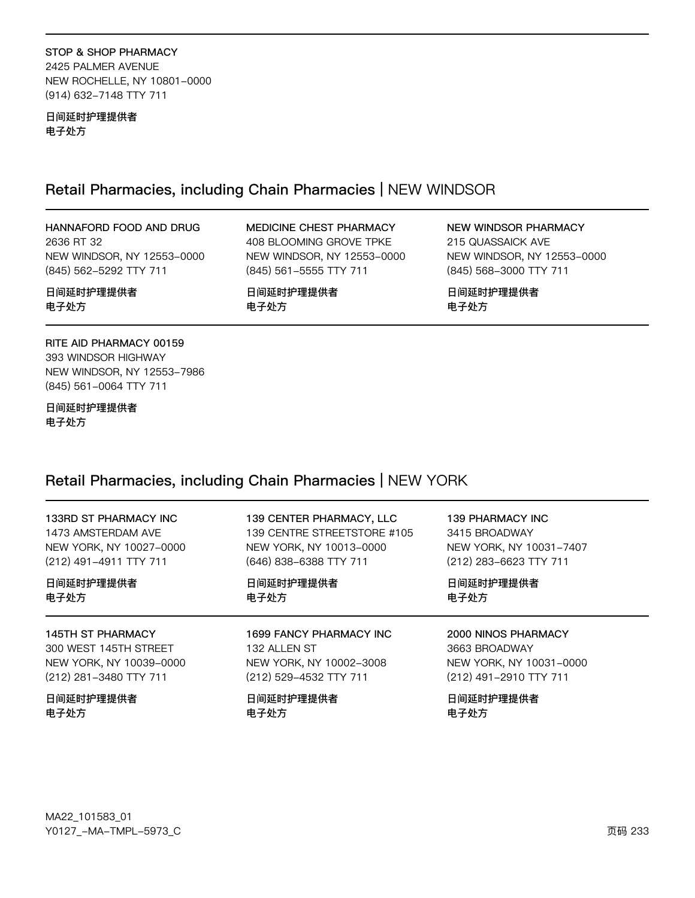STOP & SHOP PHARMACY 2425 PALMER AVENUE NEW ROCHELLE, NY 10801-0000 (914) 632-7148 TTY 711

日间延时护理提供者 电子处方

### Retail Pharmacies, including Chain Pharmacies | NEW WINDSOR

HANNAFORD FOOD AND DRUG 2636 RT 32 NEW WINDSOR, NY 12553-0000 (845) 562-5292 TTY 711

MEDICINE CHEST PHARMACY 408 BLOOMING GROVE TPKE NEW WINDSOR, NY 12553-0000 (845) 561-5555 TTY 711

日间延时护理提供者 电子处方

### 日间延时护理提供者 电子处方

**NEW WINDSOR PHARMACY** 215 QUASSAICK AVE NEW WINDSOR, NY 12553-0000 (845) 568-3000 TTY 711

日间延时护理提供者 电子处方

### RITE AID PHARMACY 00159

393 WINDSOR HIGHWAY NEW WINDSOR, NY 12553-7986 (845) 561-0064 TTY 711

日间延时护理提供者 电子处方

## Retail Pharmacies, including Chain Pharmacies | NEW YORK

| 133RD ST PHARMACY INC    | 139 CENTER PHARMACY, LLC    | 139 PHARMACY INC        |
|--------------------------|-----------------------------|-------------------------|
| 1473 AMSTERDAM AVE       | 139 CENTRE STREETSTORE #105 | 3415 BROADWAY           |
| NEW YORK, NY 10027-0000  | NEW YORK, NY 10013-0000     | NEW YORK, NY 10031-7407 |
| (212) 491-4911 TTY 711   | (646) 838-6388 TTY 711      | (212) 283-6623 TTY 711  |
| 日间延时护理提供者                | 日间延时护理提供者                   | 日间延时护理提供者               |
| 电子处方                     | 电子处方                        | 电子处方                    |
| <b>145TH ST PHARMACY</b> | 1699 FANCY PHARMACY INC     | 2000 NINOS PHARMACY     |
| 300 WEST 145TH STREET    | 132 ALLEN ST                | 3663 BROADWAY           |
| NEW YORK, NY 10039-0000  | NEW YORK, NY 10002-3008     | NEW YORK, NY 10031-0000 |
| (212) 281-3480 TTY 711   | (212) 529-4532 TTY 711      | (212) 491-2910 TTY 711  |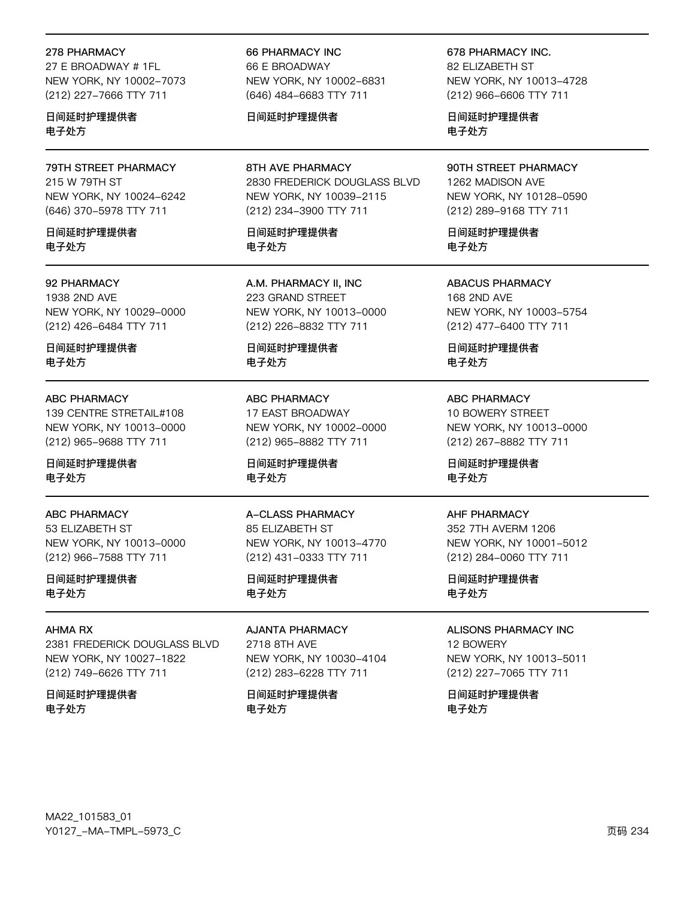#### 278 PHARMACY

27 E BROADWAY # 1FL NEW YORK, NY 10002-7073 (212) 227-7666 TTY 711

日间延时护理提供者 电子处方

79TH STREET PHARMACY 215 W 79TH ST NEW YORK, NY 10024-6242 (646) 370-5978 TTY 711

日间延时护理提供者 电子处方

### 92 PHARMACY

1938 2ND AVE NEW YORK, NY 10029-0000 (212) 426-6484 TTY 711

日间延时护理提供者 电子处方

#### ABC PHARMACY

139 CENTRE STRETAIL#108 NEW YORK, NY 10013-0000 (212) 965-9688 TTY 711

日间延时护理提供者 电子处方

#### ABC PHARMACY

53 ELIZABETH ST NEW YORK, NY 10013-0000 (212) 966-7588 TTY 711

日间延时护理提供者 电子处方

### AHMA RX

2381 FREDERICK DOUGLASS BLVD NEW YORK, NY 10027-1822 (212) 749-6626 TTY 711

日间延时护理提供者 电子处方

66 PHARMACY INC 66 E BROADWAY NEW YORK, NY 10002-6831 (646) 484-6683 TTY 711

### 日间延时护理提供者

8TH AVE PHARMACY 2830 FREDERICK DOUGLASS BLVD NEW YORK, NY 10039-2115 (212) 234-3900 TTY 711

日间延时护理提供者 电子处方

A.M. PHARMACY II, INC 223 GRAND STREET NEW YORK, NY 10013-0000 (212) 226-8832 TTY 711

日间延时护理提供者 电子处方

ABC PHARMACY 17 EAST BROADWAY NEW YORK, NY 10002-0000 (212) 965-8882 TTY 711

日间延时护理提供者 电子处方

A-CLASS PHARMACY 85 ELIZABETH ST NEW YORK, NY 10013-4770 (212) 431-0333 TTY 711

日间延时护理提供者 电子处方

AJANTA PHARMACY 2718 8TH AVE NEW YORK, NY 10030-4104 (212) 283-6228 TTY 711

日间延时护理提供者 电子处方

678 PHARMACY INC.

82 FLIZABETH ST NEW YORK, NY 10013-4728 (212) 966-6606 TTY 711

日间延时护理提供者 电子处方

90TH STREET PHARMACY 1262 MADISON AVE NEW YORK, NY 10128-0590 (212) 289-9168 TTY 711

日间延时护理提供者 电子处方

ABACUS PHARMACY 168 2ND AVE NEW YORK, NY 10003-5754 (212) 477-6400 TTY 711

日间延时护理提供者 电子处方

ABC PHARMACY 10 BOWERY STREET NEW YORK, NY 10013-0000 (212) 267-8882 TTY 711

日间延时护理提供者 电子处方

#### AHF PHARMACY

352 7TH AVERM 1206 NEW YORK, NY 10001-5012 (212) 284-0060 TTY 711

日间延时护理提供者 电子处方

ALISONS PHARMACY INC 12 BOWERY

NEW YORK, NY 10013-5011 (212) 227-7065 TTY 711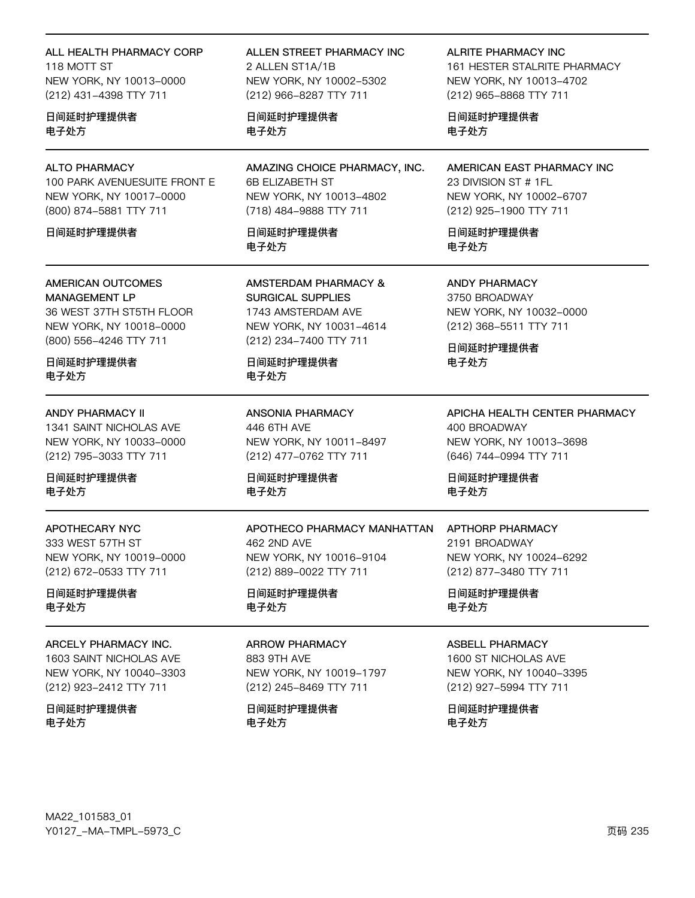ALL HEALTH PHARMACY CORP 118 MOTT ST NEW YORK, NY 10013-0000 (212) 431-4398 TTY 711

日间延时护理提供者 电子处方

### **ALTO PHARMACY**

100 PARK AVENUESUITE FRONT E NEW YORK, NY 10017-0000 (800) 874-5881 TTY 711

#### 日间延时护理提供者

## AMERICAN OUTCOMES

**MANAGEMENT LP** 36 WEST 37TH ST5TH FLOOR NEW YORK, NY 10018-0000 (800) 556-4246 TTY 711

日间延时护理提供者 电子处方

#### **ANDY PHARMACY II**

1341 SAINT NICHOLAS AVE NEW YORK, NY 10033-0000 (212) 795-3033 TTY 711

日间延时护理提供者 电子处方

## **APOTHECARY NYC**

333 WEST 57TH ST NEW YORK, NY 10019-0000 (212) 672-0533 TTY 711

日间延时护理提供者 电子处方

#### ARCELY PHARMACY INC.

1603 SAINT NICHOLAS AVE NEW YORK, NY 10040-3303 (212) 923-2412 TTY 711

日间延时护理提供者 电子处方

ALLEN STREET PHARMACY INC 2 ALLEN ST1A/1B NEW YORK, NY 10002-5302 (212) 966-8287 TTY 711

日间延时护理提供者 电子处方

AMAZING CHOICE PHARMACY, INC. 6B ELIZABETH ST NEW YORK, NY 10013-4802 (718) 484-9888 TTY 711

日间延时护理提供者 电子外方

**AMSTERDAM PHARMACY & SURGICAL SUPPLIES** 1743 AMSTERDAM AVE NEW YORK, NY 10031-4614 (212) 234-7400 TTY 711

日间延时护理提供者 电子处方

**ANSONIA PHARMACY** 446 6TH AVE NEW YORK, NY 10011-8497 (212) 477-0762 TTY 711

日间延时护理提供者 电子处方

### APOTHECO PHARMACY MANHATTAN 462 2ND AVE NEW YORK, NY 10016-9104 (212) 889-0022 TTY 711

日间延时护理提供者 电子处方

### **ARROW PHARMACY**

883 9TH AVE NEW YORK, NY 10019-1797 (212) 245-8469 TTY 711

日间延时护理提供者 电子处方

**ALRITE PHARMACY INC** 

161 HESTER STALRITE PHARMACY NEW YORK, NY 10013-4702 (212) 965-8868 TTY 711

日间延时护理提供者 电子处方

AMERICAN EAST PHARMACY INC 23 DIVISION ST # 1FL NEW YORK, NY 10002-6707 (212) 925-1900 TTY 711

日间延时护理提供者 电子外方

**ANDY PHARMACY** 3750 BROADWAY NEW YORK, NY 10032-0000 (212) 368-5511 TTY 711

日间延时护理提供者 电子处方

APICHA HEALTH CENTER PHARMACY 400 BROADWAY NEW YORK, NY 10013-3698 (646) 744-0994 TTY 711

日间延时护理提供者 电子处方

### APTHORP PHARMACY 2191 BROADWAY NEW YORK, NY 10024-6292 (212) 877-3480 TTY 711

日间延时护理提供者 电子处方

### **ASBELL PHARMACY**

1600 ST NICHOLAS AVE NEW YORK, NY 10040-3395 (212) 927-5994 TTY 711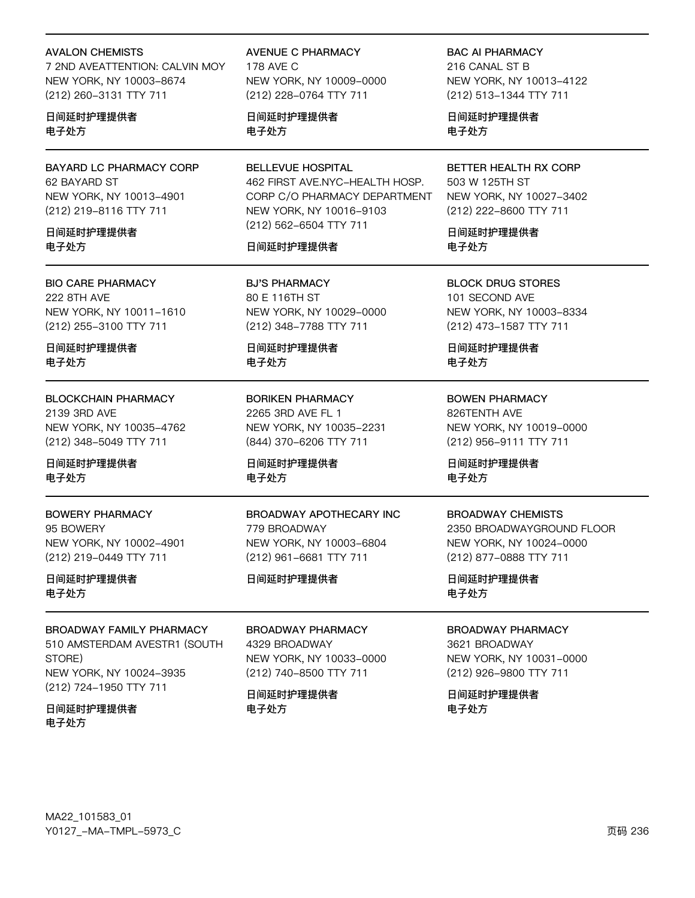#### **AVALON CHEMISTS**

7 2ND AVEATTENTION: CALVIN MOY NEW YORK, NY 10003-8674 (212) 260-3131 TTY 711

日间延时护理提供者 电子处方

**BAYARD LC PHARMACY CORP** 62 BAYARD ST NEW YORK, NY 10013-4901 (212) 219-8116 TTY 711

日间延时护理提供者 电子外方

**BIO CARE PHARMACY 222 8TH AVE** NEW YORK, NY 10011-1610 (212) 255-3100 TTY 711

日间延时护理提供者 电子处方

**BLOCKCHAIN PHARMACY** 2139 3RD AVE NEW YORK, NY 10035-4762 (212) 348-5049 TTY 711

日间延时护理提供者 电子处方

**BOWERY PHARMACY** 95 BOWERY NEW YORK, NY 10002-4901 (212) 219-0449 TTY 711

日间延时护理提供者 电子处方

**BROADWAY FAMILY PHARMACY** 510 AMSTERDAM AVESTR1 (SOUTH STORE) NEW YORK, NY 10024-3935 (212) 724-1950 TTY 711

日间延时护理提供者 电子处方

**AVENUE C PHARMACY** 178 AVF C NEW YORK, NY 10009-0000 (212) 228-0764 TTY 711

日间延时护理提供者 电子处方

**BELLEVUE HOSPITAL** 462 FIRST AVE.NYC-HEALTH HOSP. CORP C/O PHARMACY DEPARTMENT NEW YORK, NY 10016-9103 (212) 562-6504 TTY 711

### 日间延时护理提供者

**BJ'S PHARMACY** 80 E 116TH ST NEW YORK, NY 10029-0000 (212) 348-7788 TTY 711

日间延时护理提供者 电子处方

**BORIKEN PHARMACY** 2265 3RD AVE FL 1 NEW YORK, NY 10035-2231 (844) 370-6206 TTY 711

日间延时护理提供者 电子处方

BROADWAY APOTHECARY INC 779 BROADWAY NEW YORK, NY 10003-6804 (212) 961-6681 TTY 711

日间延时护理提供者

**BROADWAY PHARMACY** 4329 BROADWAY NEW YORK, NY 10033-0000 (212) 740-8500 TTY 711

日间延时护理提供者 电子处方

**BAC AI PHARMACY** 216 CANAL ST B NEW YORK, NY 10013-4122 (212) 513-1344 TTY 711

日间延时护理提供者 电子处方

BETTER HEALTH RX CORP 503 W 125TH ST NEW YORK, NY 10027-3402 (212) 222-8600 TTY 711

日间延时护理提供者 电子外方

**BLOCK DRUG STORES** 101 SECOND AVE NEW YORK, NY 10003-8334 (212) 473-1587 TTY 711

日间延时护理提供者 电子处方

**BOWEN PHARMACY** 826TENTH AVE NEW YORK, NY 10019-0000 (212) 956-9111 TTY 711

日间延时护理提供者 电子处方

#### **BROADWAY CHEMISTS**

2350 BROADWAYGROUND FLOOR NEW YORK, NY 10024-0000 (212) 877-0888 TTY 711

日间延时护理提供者 电子处方

**BROADWAY PHARMACY** 

3621 BROADWAY NEW YORK, NY 10031-0000 (212) 926-9800 TTY 711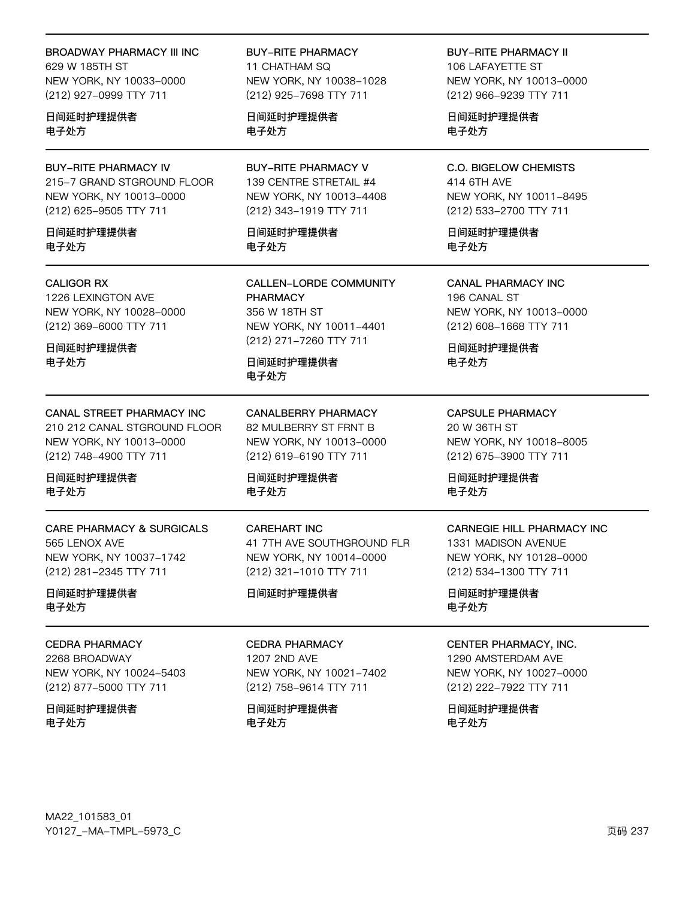#### **BROADWAY PHARMACY III INC**

629 W 185TH ST NEW YORK, NY 10033-0000 (212) 927-0999 TTY 711

### 日间延时护理提供者 电子处方

**BUY-RITE PHARMACY IV** 215-7 GRAND STGROUND FLOOR NEW YORK, NY 10013-0000 (212) 625-9505 TTY 711

日间延时护理提供者 电子外方

### **CALIGOR RX**

1226 LEXINGTON AVE NEW YORK, NY 10028-0000 (212) 369-6000 TTY 711

日间延时护理提供者 电子处方

### CANAL STREET PHARMACY INC

210 212 CANAL STGROUND FLOOR NEW YORK, NY 10013-0000 (212) 748-4900 TTY 711

日间延时护理提供者 电子处方

### **CARE PHARMACY & SURGICALS** 565 LENOX AVE NEW YORK, NY 10037-1742 (212) 281-2345 TTY 711

日间延时护理提供者 电子处方

#### **CEDRA PHARMACY**

2268 BROADWAY NEW YORK, NY 10024-5403 (212) 877-5000 TTY 711

日间延时护理提供者 电子处方

### **BUY-RITE PHARMACY** 11 CHATHAM SQ NEW YORK, NY 10038-1028 (212) 925-7698 TTY 711

日间延时护理提供者 电子处方

**BUY-RITE PHARMACY V** 139 CENTRE STRETAIL #4 NEW YORK, NY 10013-4408 (212) 343-1919 TTY 711

日间延时护理提供者 电子外方

**CALLEN-LORDE COMMUNITY PHARMACY** 356 W 18TH ST NEW YORK, NY 10011-4401 (212) 271-7260 TTY 711

日间延时护理提供者 电子处方

**CANALBERRY PHARMACY** 82 MULBERRY ST FRNT B NEW YORK, NY 10013-0000 (212) 619-6190 TTY 711

日间延时护理提供者 电子处方

**CAREHART INC** 41 7TH AVE SOUTHGROUND FLR NEW YORK, NY 10014-0000 (212) 321-1010 TTY 711

日间延时护理提供者

### **CEDRA PHARMACY**

1207 2ND AVE NEW YORK, NY 10021-7402 (212) 758-9614 TTY 711

日间延时护理提供者 电子处方

**BUY-RITE PHARMACY II** 106 LAFAYETTE ST NEW YORK, NY 10013-0000 (212) 966-9239 TTY 711

日间延时护理提供者 电子处方

**C.O. BIGELOW CHEMISTS** 414 6TH AVE NEW YORK, NY 10011-8495 (212) 533-2700 TTY 711

日间延时护理提供者 电子外方

**CANAL PHARMACY INC** 196 CANAL ST NEW YORK, NY 10013-0000 (212) 608-1668 TTY 711

日间延时护理提供者 电子处方

**CAPSULE PHARMACY** 20 W 36TH ST NEW YORK, NY 10018-8005 (212) 675-3900 TTY 711

日间延时护理提供者 电子处方

## CARNEGIE HILL PHARMACY INC

1331 MADISON AVENUE NEW YORK, NY 10128-0000 (212) 534-1300 TTY 711

日间延时护理提供者 电子处方

#### CENTER PHARMACY, INC.

1290 AMSTERDAM AVE NEW YORK, NY 10027-0000 (212) 222-7922 TTY 711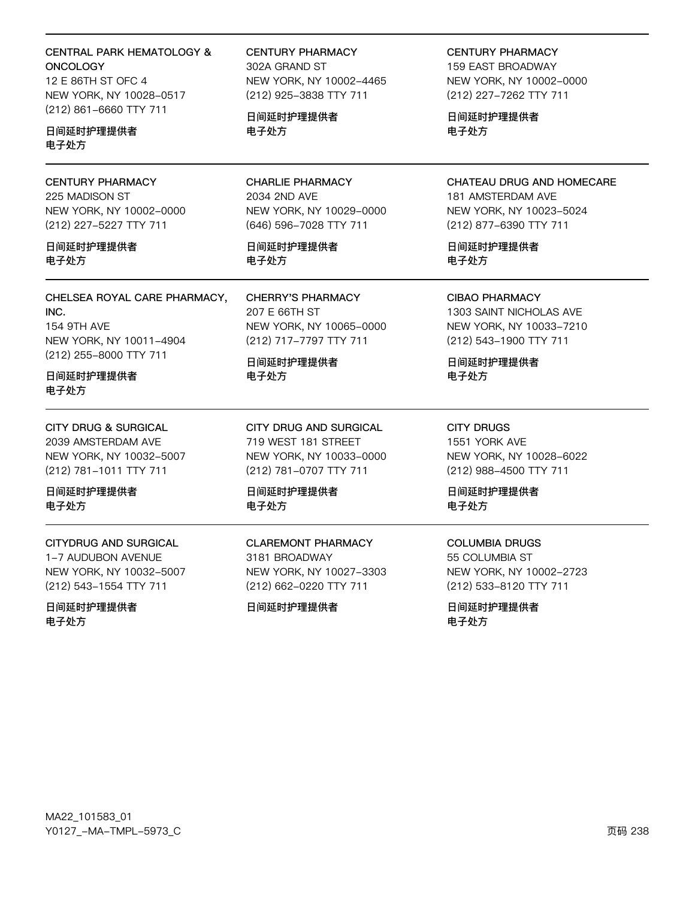### **CENTRAL PARK HEMATOLOGY & ONCOLOGY**

12 E 86TH ST OFC 4 NEW YORK, NY 10028-0517 (212) 861-6660 TTY 711

日间延时护理提供者 电子外方

**CENTURY PHARMACY** 225 MADISON ST NEW YORK, NY 10002-0000 (212) 227-5227 TTY 711

日间延时护理提供者 电子处方

CHELSEA ROYAL CARE PHARMACY, INC. **154 9TH AVE** NEW YORK, NY 10011-4904 (212) 255-8000 TTY 711

日间延时护理提供者 电子处方

**CITY DRUG & SURGICAL** 2039 AMSTERDAM AVE NEW YORK, NY 10032-5007 (212) 781-1011 TTY 711

日间延时护理提供者 电子处方

**CITYDRUG AND SURGICAL** 1-7 AUDUBON AVENUE NEW YORK, NY 10032-5007

(212) 543-1554 TTY 711

日间延时护理提供者 电子处方

**CENTURY PHARMACY** 302A GRAND ST NEW YORK, NY 10002-4465 (212) 925-3838 TTY 711

日间延时护理提供者 电子处方

**CHARLIE PHARMACY** 2034 2ND AVE NEW YORK, NY 10029-0000 (646) 596-7028 TTY 711

日间延时护理提供者 电子处方

**CHERRY'S PHARMACY** 207 E 66TH ST NEW YORK, NY 10065-0000 (212) 717-7797 TTY 711

日间延时护理提供者 电子处方

CITY DRUG AND SURGICAL 719 WEST 181 STREET NEW YORK, NY 10033-0000 (212) 781-0707 TTY 711

日间延时护理提供者 电子处方

**CLAREMONT PHARMACY** 3181 BROADWAY NEW YORK, NY 10027-3303 (212) 662-0220 TTY 711

日间延时护理提供者

**CENTURY PHARMACY 159 EAST BROADWAY** NEW YORK, NY 10002-0000 (212) 227-7262 TTY 711

日间延时护理提供者 电子处方

CHATEAU DRUG AND HOMECARE 181 AMSTERDAM AVE NEW YORK, NY 10023-5024 (212) 877-6390 TTY 711

日间延时护理提供者 电子处方

**CIBAO PHARMACY** 1303 SAINT NICHOLAS AVE NEW YORK, NY 10033-7210 (212) 543-1900 TTY 711

日间延时护理提供者 电子处方

**CITY DRUGS** 1551 YORK AVE NEW YORK, NY 10028-6022 (212) 988-4500 TTY 711

日间延时护理提供者 电子处方

**COLUMBIA DRUGS** 55 COLUMBIA ST NEW YORK, NY 10002-2723 (212) 533-8120 TTY 711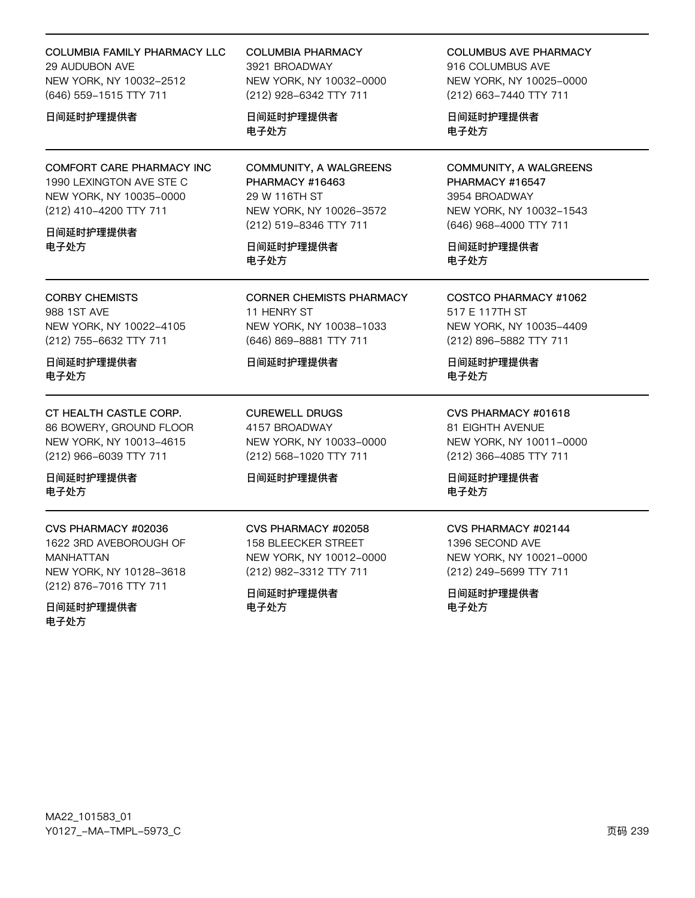### COLUMBIA FAMILY PHARMACY LLC 29 AUDUBON AVE NEW YORK, NY 10032-2512 (646) 559-1515 TTY 711

### 日间延时护理提供者

COMFORT CARE PHARMACY INC 1990 LEXINGTON AVE STE C NEW YORK, NY 10035-0000 (212) 410-4200 TTY 711

### 日间延时护理提供者 电子处方

CORBY CHEMISTS 988 1ST AVE NEW YORK, NY 10022-4105

(212) 755-6632 TTY 711

日间延时护理提供者 电子处方

CT HEALTH CASTLE CORP. 86 BOWERY, GROUND FLOOR NEW YORK, NY 10013-4615 (212) 966-6039 TTY 711

日间延时护理提供者 电子处方

CVS PHARMACY #02036 1622 3RD AVEBOROUGH OF MANHATTAN NEW YORK, NY 10128-3618 (212) 876-7016 TTY 711

日间延时护理提供者 电子处方

COLUMBIA PHARMACY 3921 BROADWAY NEW YORK, NY 10032-0000 (212) 928-6342 TTY 711

日间延时护理提供者 电子处方

COMMUNITY, A WALGREENS PHARMACY #16463 29 W 116TH ST NEW YORK, NY 10026-3572 (212) 519-8346 TTY 711

日间延时护理提供者 电子处方

CORNER CHEMISTS PHARMACY 11 HENRY ST NEW YORK, NY 10038-1033 (646) 869-8881 TTY 711

### 日间延时护理提供者

CUREWELL DRUGS 4157 BROADWAY NEW YORK, NY 10033-0000 (212) 568-1020 TTY 711

### 日间延时护理提供者

CVS PHARMACY #02058 158 BLEECKER STREET NEW YORK, NY 10012-0000 (212) 982-3312 TTY 711

日间延时护理提供者 电子处方

COLUMBUS AVE PHARMACY

916 COLUMBUS AVE NEW YORK, NY 10025-0000 (212) 663-7440 TTY 711

日间延时护理提供者 电子处方

COMMUNITY, A WALGREENS PHARMACY #16547 3954 BROADWAY NEW YORK, NY 10032-1543 (646) 968-4000 TTY 711

日间延时护理提供者 电子处方

COSTCO PHARMACY #1062 517 E 117TH ST NEW YORK, NY 10035-4409 (212) 896-5882 TTY 711

日间延时护理提供者 电子处方

CVS PHARMACY #01618 81 EIGHTH AVENUE NEW YORK, NY 10011-0000 (212) 366-4085 TTY 711

日间延时护理提供者 电子处方

### CVS PHARMACY #02144

1396 SECOND AVE NEW YORK, NY 10021-0000 (212) 249-5699 TTY 711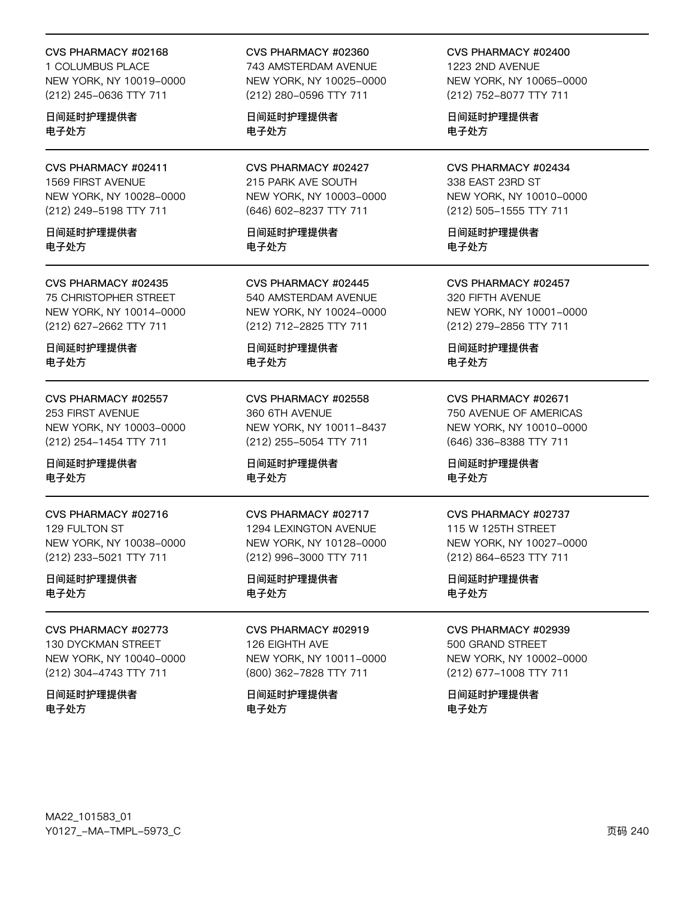#### CVS PHARMACY #02168

1 COLUMBUS PLACE NEW YORK, NY 10019-0000 (212) 245-0636 TTY 711

日间延时护理提供者 电子处方

CVS PHARMACY #02411 1569 FIRST AVENUE NEW YORK, NY 10028-0000 (212) 249-5198 TTY 711

日间延时护理提供者 电子处方

CVS PHARMACY #02435 75 CHRISTOPHER STREET NEW YORK, NY 10014-0000

(212) 627-2662 TTY 711

日间延时护理提供者 电子处方

CVS PHARMACY #02557 253 FIRST AVENUE NEW YORK, NY 10003-0000 (212) 254-1454 TTY 711

日间延时护理提供者 电子处方

CVS PHARMACY #02716 129 FULTON ST NEW YORK, NY 10038-0000 (212) 233-5021 TTY 711

日间延时护理提供者 电子处方

CVS PHARMACY #02773 130 DYCKMAN STREET NEW YORK, NY 10040-0000 (212) 304-4743 TTY 711

日间延时护理提供者 电子处方

CVS PHARMACY #02360

743 AMSTERDAM AVENUE NEW YORK, NY 10025-0000 (212) 280-0596 TTY 711

日间延时护理提供者 电子处方

CVS PHARMACY #02427 215 PARK AVE SOUTH NEW YORK, NY 10003-0000 (646) 602-8237 TTY 711

日间延时护理提供者 电子处方

CVS PHARMACY #02445 540 AMSTERDAM AVENUE NEW YORK, NY 10024-0000 (212) 712-2825 TTY 711

日间延时护理提供者 电子处方

CVS PHARMACY #02558 360 6TH AVENUE NEW YORK, NY 10011-8437 (212) 255-5054 TTY 711

日间延时护理提供者 电子处方

CVS PHARMACY #02717 1294 LEXINGTON AVENUE NEW YORK, NY 10128-0000 (212) 996-3000 TTY 711

日间延时护理提供者 电子处方

CVS PHARMACY #02919 126 EIGHTH AVE NEW YORK, NY 10011-0000 (800) 362-7828 TTY 711

日间延时护理提供者 电子处方

CVS PHARMACY #02400 1223 2ND AVENUE NEW YORK, NY 10065-0000 (212) 752-8077 TTY 711

日间延时护理提供者 电子处方

CVS PHARMACY #02434 338 EAST 23RD ST NEW YORK, NY 10010-0000 (212) 505-1555 TTY 711

日间延时护理提供者 电子处方

CVS PHARMACY #02457 320 FIFTH AVENUE NEW YORK, NY 10001-0000 (212) 279-2856 TTY 711

日间延时护理提供者 电子处方

CVS PHARMACY #02671 750 AVENUE OF AMERICAS NEW YORK, NY 10010-0000 (646) 336-8388 TTY 711

日间延时护理提供者 电子处方

### CVS PHARMACY #02737

115 W 125TH STREET NEW YORK, NY 10027-0000 (212) 864-6523 TTY 711

日间延时护理提供者 电子处方

CVS PHARMACY #02939

500 GRAND STREET NEW YORK, NY 10002-0000 (212) 677-1008 TTY 711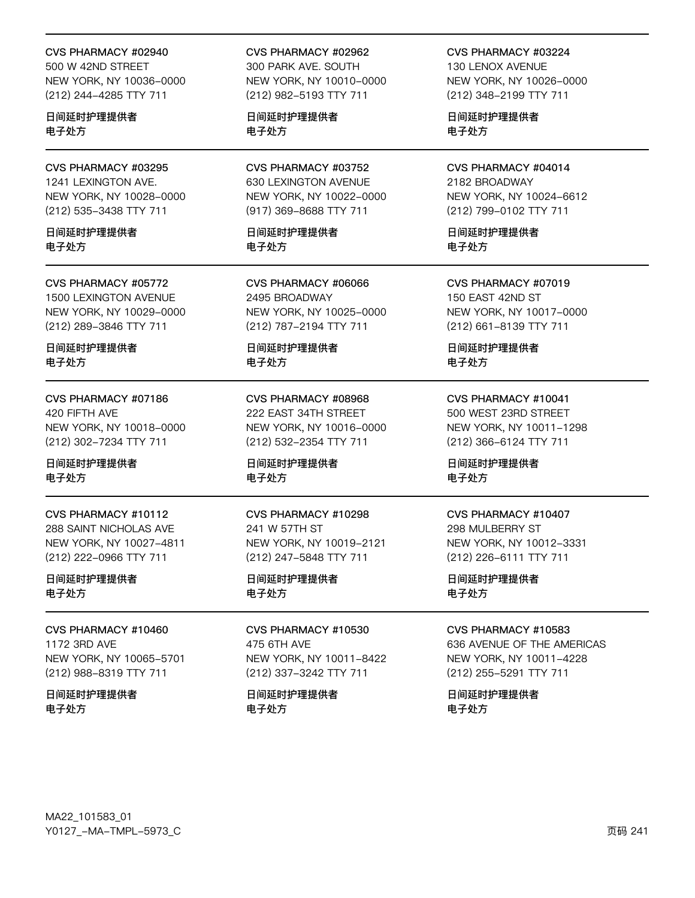#### CVS PHARMACY #02940

500 W 42ND STREET NEW YORK, NY 10036-0000 (212) 244-4285 TTY 711

日间延时护理提供者 电子处方

CVS PHARMACY #03295 1241 LEXINGTON AVE. NEW YORK, NY 10028-0000 (212) 535-3438 TTY 711

日间延时护理提供者 电子处方

CVS PHARMACY #05772 1500 LEXINGTON AVENUE NEW YORK, NY 10029-0000 (212) 289-3846 TTY 711

日间延时护理提供者 电子处方

CVS PHARMACY #07186 420 FIFTH AVE NEW YORK, NY 10018-0000 (212) 302-7234 TTY 711

日间延时护理提供者 电子处方

CVS PHARMACY #10112 288 SAINT NICHOLAS AVE NEW YORK, NY 10027-4811 (212) 222-0966 TTY 711

日间延时护理提供者 电子处方

CVS PHARMACY #10460 1172 3RD AVE NEW YORK, NY 10065-5701

(212) 988-8319 TTY 711

日间延时护理提供者 电子处方

CVS PHARMACY #02962 300 PARK AVE. SOUTH NEW YORK, NY 10010-0000 (212) 982-5193 TTY 711

日间延时护理提供者 电子处方

CVS PHARMACY #03752 630 LEXINGTON AVENUE NEW YORK, NY 10022-0000 (917) 369-8688 TTY 711

日间延时护理提供者 电子处方

CVS PHARMACY #06066 2495 BROADWAY NEW YORK, NY 10025-0000 (212) 787-2194 TTY 711

日间延时护理提供者 电子处方

CVS PHARMACY #08968 222 EAST 34TH STREET NEW YORK, NY 10016-0000 (212) 532-2354 TTY 711

日间延时护理提供者 电子处方

CVS PHARMACY #10298 241 W 57TH ST NEW YORK, NY 10019-2121 (212) 247-5848 TTY 711

日间延时护理提供者 电子处方

CVS PHARMACY #10530 475 6TH AVE NEW YORK, NY 10011-8422 (212) 337-3242 TTY 711

日间延时护理提供者 电子处方

CVS PHARMACY #03224 130 LENOX AVENUE

NEW YORK, NY 10026-0000 (212) 348-2199 TTY 711

日间延时护理提供者 电子处方

CVS PHARMACY #04014 2182 BROADWAY NEW YORK, NY 10024-6612 (212) 799-0102 TTY 711

日间延时护理提供者 电子处方

CVS PHARMACY #07019 150 EAST 42ND ST NEW YORK, NY 10017-0000 (212) 661-8139 TTY 711

日间延时护理提供者 电子处方

CVS PHARMACY #10041 500 WEST 23RD STREET NEW YORK, NY 10011-1298 (212) 366-6124 TTY 711

日间延时护理提供者 电子处方

#### CVS PHARMACY #10407

298 MULBERRY ST NEW YORK, NY 10012-3331 (212) 226-6111 TTY 711

日间延时护理提供者 电子处方

CVS PHARMACY #10583

636 AVENUE OF THE AMERICAS NEW YORK, NY 10011-4228 (212) 255-5291 TTY 711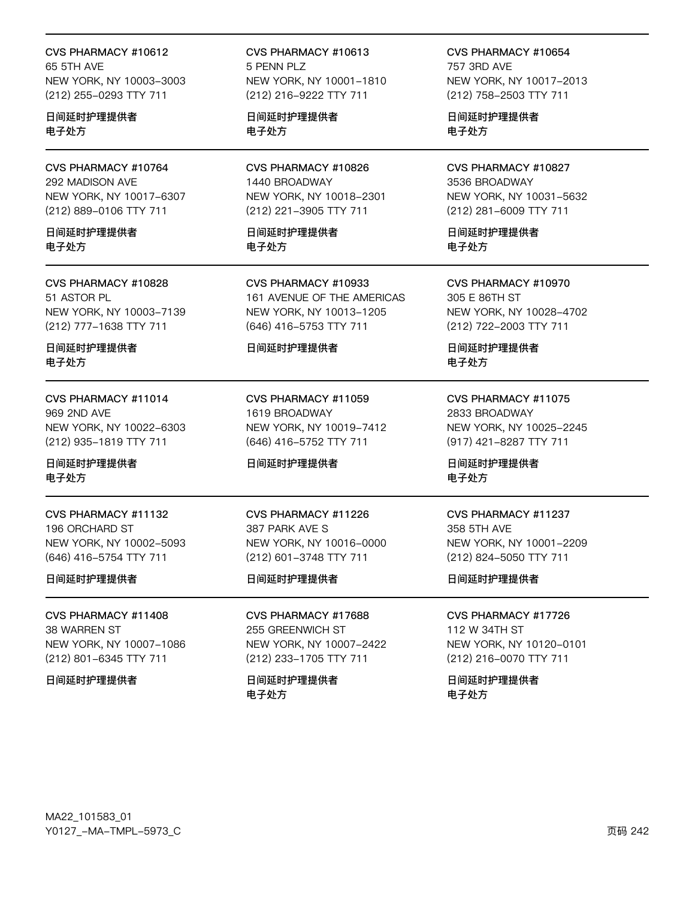CVS PHARMACY #10612 65 5TH AVF NEW YORK, NY 10003-3003 (212) 255-0293 TTY 711

日间延时护理提供者 电子处方

CVS PHARMACY #10764 292 MADISON AVE NEW YORK, NY 10017-6307 (212) 889-0106 TTY 711

日间延时护理提供者 电子处方

CVS PHARMACY #10828 51 ASTOR PL NEW YORK, NY 10003-7139 (212) 777-1638 TTY 711

日间延时护理提供者 电子处方

CVS PHARMACY #11014 969 2ND AVE NEW YORK, NY 10022-6303 (212) 935-1819 TTY 711

日间延时护理提供者 电子处方

CVS PHARMACY #11132 196 ORCHARD ST NEW YORK, NY 10002-5093 (646) 416-5754 TTY 711

日间延时护理提供者

CVS PHARMACY #11408 38 WARREN ST NEW YORK, NY 10007-1086 (212) 801-6345 TTY 711

日间延时护理提供者

CVS PHARMACY #10613 5 PFNN PLZ NEW YORK, NY 10001-1810 (212) 216-9222 TTY 711

日间延时护理提供者 电子处方

CVS PHARMACY #10826 1440 BROADWAY NEW YORK, NY 10018-2301 (212) 221-3905 TTY 711

日间延时护理提供者 电子处方

CVS PHARMACY #10933 161 AVENUE OF THE AMERICAS NEW YORK, NY 10013-1205 (646) 416-5753 TTY 711

### 日间延时护理提供者

CVS PHARMACY #11059 1619 BROADWAY NEW YORK, NY 10019-7412 (646) 416-5752 TTY 711

### 日间延时护理提供者

CVS PHARMACY #11226 387 PARK AVE S NEW YORK, NY 10016-0000 (212) 601-3748 TTY 711

日间延时护理提供者

CVS PHARMACY #17688 255 GREENWICH ST NEW YORK, NY 10007-2422 (212) 233-1705 TTY 711

日间延时护理提供者 电子处方

CVS PHARMACY #10654 757 3RD AVF NEW YORK, NY 10017-2013 (212) 758-2503 TTY 711

日间延时护理提供者 电子处方

CVS PHARMACY #10827 3536 BROADWAY NEW YORK, NY 10031-5632 (212) 281-6009 TTY 711

日间延时护理提供者 电子处方

CVS PHARMACY #10970 305 E 86TH ST NEW YORK, NY 10028-4702 (212) 722-2003 TTY 711

日间延时护理提供者 电子处方

CVS PHARMACY #11075 2833 BROADWAY NEW YORK, NY 10025-2245 (917) 421-8287 TTY 711

日间延时护理提供者 电子处方

### CVS PHARMACY #11237

358 5TH AVE NEW YORK, NY 10001-2209 (212) 824-5050 TTY 711

日间延时护理提供者

CVS PHARMACY #17726 112 W 34TH ST NEW YORK, NY 10120-0101 (212) 216-0070 TTY 711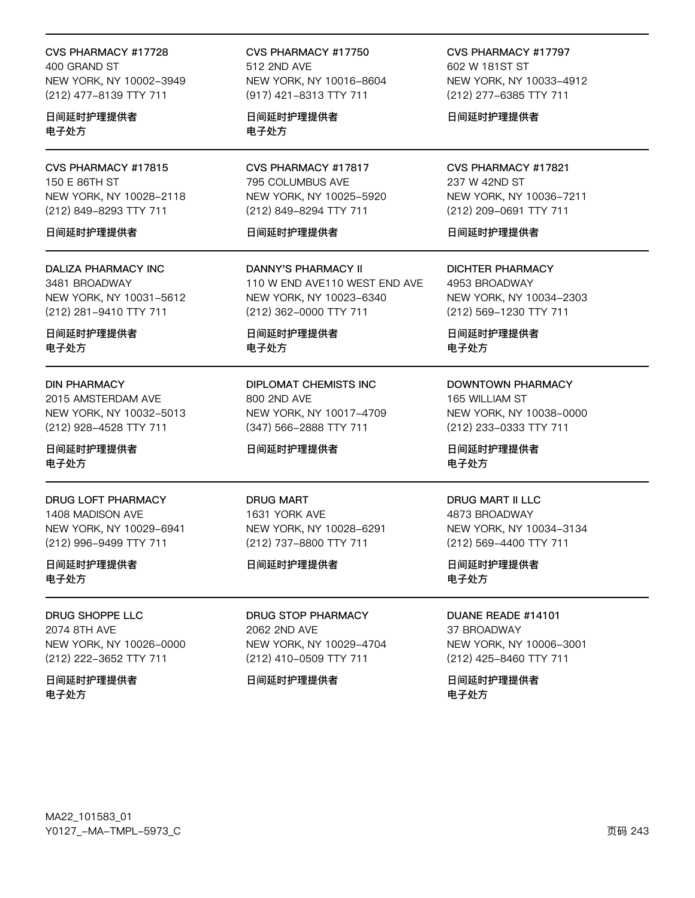CVS PHARMACY #17728 400 GRAND ST NEW YORK, NY 10002-3949 (212) 477-8139 TTY 711

日间延时护理提供者 电子处方

CVS PHARMACY #17815 150 E 86TH ST NEW YORK, NY 10028-2118 (212) 849-8293 TTY 711

### 日间延时护理提供者

**DALIZA PHARMACY INC** 3481 BROADWAY NEW YORK, NY 10031-5612 (212) 281-9410 TTY 711

日间延时护理提供者 电子外方

#### **DIN PHARMACY**

2015 AMSTERDAM AVE NEW YORK, NY 10032-5013 (212) 928-4528 TTY 711

日间延时护理提供者 电子处方

### DRUG LOFT PHARMACY

1408 MADISON AVE NEW YORK, NY 10029-6941 (212) 996-9499 TTY 711

日间延时护理提供者 电子处方

**DRUG SHOPPE LLC** 2074 8TH AVE NEW YORK, NY 10026-0000 (212) 222-3652 TTY 711

日间延时护理提供者 电子处方

CVS PHARMACY #17750 512 2ND AVE NEW YORK, NY 10016-8604 (917) 421-8313 TTY 711

日间延时护理提供者 电子处方

CVS PHARMACY #17817 795 COLUMBUS AVE NEW YORK, NY 10025-5920 (212) 849-8294 TTY 711

### 日间延时护理提供者

**DANNY'S PHARMACY II** 110 W END AVE110 WEST END AVE NEW YORK, NY 10023-6340 (212) 362-0000 TTY 711

日间延时护理提供者 电子外方

**DIPLOMAT CHEMISTS INC** 800 2ND AVE NEW YORK, NY 10017-4709 (347) 566-2888 TTY 711

日间延时护理提供者

**DRUG MART** 1631 YORK AVE NEW YORK, NY 10028-6291 (212) 737-8800 TTY 711

### 日间延时护理提供者

**DRUG STOP PHARMACY** 2062 2ND AVE NEW YORK, NY 10029-4704 (212) 410-0509 TTY 711

### 日间延时护理提供者

CVS PHARMACY #17797 602 W 181ST ST NEW YORK, NY 10033-4912 (212) 277-6385 TTY 711

日间延时护理提供者

CVS PHARMACY #17821 237 W 42ND ST NEW YORK, NY 10036-7211 (212) 209-0691 TTY 711

### 日间延时护理提供者

**DICHTER PHARMACY** 4953 BROADWAY NEW YORK, NY 10034-2303 (212) 569-1230 TTY 711

日间延时护理提供者 电子外方

### **DOWNTOWN PHARMACY** 165 WILLIAM ST

NEW YORK, NY 10038-0000 (212) 233-0333 TTY 711

日间延时护理提供者 电子处方

### **DRUG MART II LLC**

4873 BROADWAY NEW YORK, NY 10034-3134 (212) 569-4400 TTY 711

日间延时护理提供者 电子处方

DUANE READE #14101 37 BROADWAY NEW YORK, NY 10006-3001 (212) 425-8460 TTY 711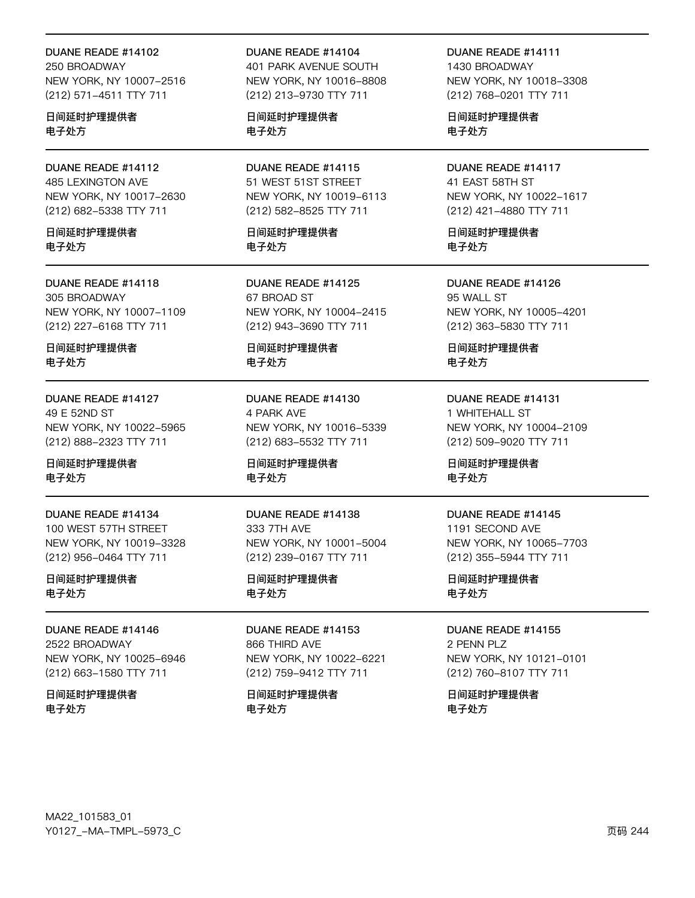250 BROADWAY NEW YORK, NY 10007-2516 (212) 571-4511 TTY 711

日间延时护理提供者 电子处方

### DUANE READE #14112 485 LEXINGTON AVE NEW YORK, NY 10017-2630 (212) 682-5338 TTY 711

日间延时护理提供者 电子处方

### DUANE READE #14118 305 BROADWAY NEW YORK, NY 10007-1109 (212) 227-6168 TTY 711

日间延时护理提供者 电子处方

### DUANE READE #14127 49 E 52ND ST NEW YORK, NY 10022-5965 (212) 888-2323 TTY 711

日间延时护理提供者 电子处方

DUANE READE #14134 100 WEST 57TH STREET NEW YORK, NY 10019-3328 (212) 956-0464 TTY 711

### 日间延时护理提供者 电子处方

DUANE READE #14146 2522 BROADWAY NEW YORK, NY 10025-6946 (212) 663-1580 TTY 711

日间延时护理提供者 电子处方

### DUANE READE #14104

401 PARK AVENUE SOUTH NEW YORK, NY 10016-8808 (212) 213-9730 TTY 711

日间延时护理提供者 电子处方

DUANE READE #14115 51 WEST 51ST STREET NEW YORK, NY 10019-6113 (212) 582-8525 TTY 711

日间延时护理提供者 电子处方

DUANE READE #14125 67 BROAD ST NEW YORK, NY 10004-2415 (212) 943-3690 TTY 711

日间延时护理提供者 电子处方

DUANE READE #14130 4 PARK AVE NEW YORK, NY 10016-5339 (212) 683-5532 TTY 711

日间延时护理提供者 电子处方

DUANE READE #14138 333 7TH AVE NEW YORK, NY 10001-5004 (212) 239-0167 TTY 711

日间延时护理提供者 电子处方

DUANE READE #14153 866 THIRD AVE NEW YORK, NY 10022-6221 (212) 759-9412 TTY 711

日间延时护理提供者 电子处方

DUANE READE #14111 1430 BROADWAY NEW YORK, NY 10018-3308 (212) 768-0201 TTY 711

日间延时护理提供者 电子处方

### DUANE READE #14117 41 EAST 58TH ST NEW YORK, NY 10022-1617 (212) 421-4880 TTY 711

日间延时护理提供者 电子处方

DUANE READE #14126 95 WALL ST NEW YORK, NY 10005-4201 (212) 363-5830 TTY 711

日间延时护理提供者 电子处方

DUANE READE #14131 1 WHITEHALL ST NEW YORK, NY 10004-2109 (212) 509-9020 TTY 711

日间延时护理提供者 电子处方

#### DUANE READE #14145

1191 SECOND AVE NEW YORK, NY 10065-7703 (212) 355-5944 TTY 711

日间延时护理提供者 电子处方

### DUANE READE #14155

2 PENN PLZ NEW YORK, NY 10121-0101 (212) 760-8107 TTY 711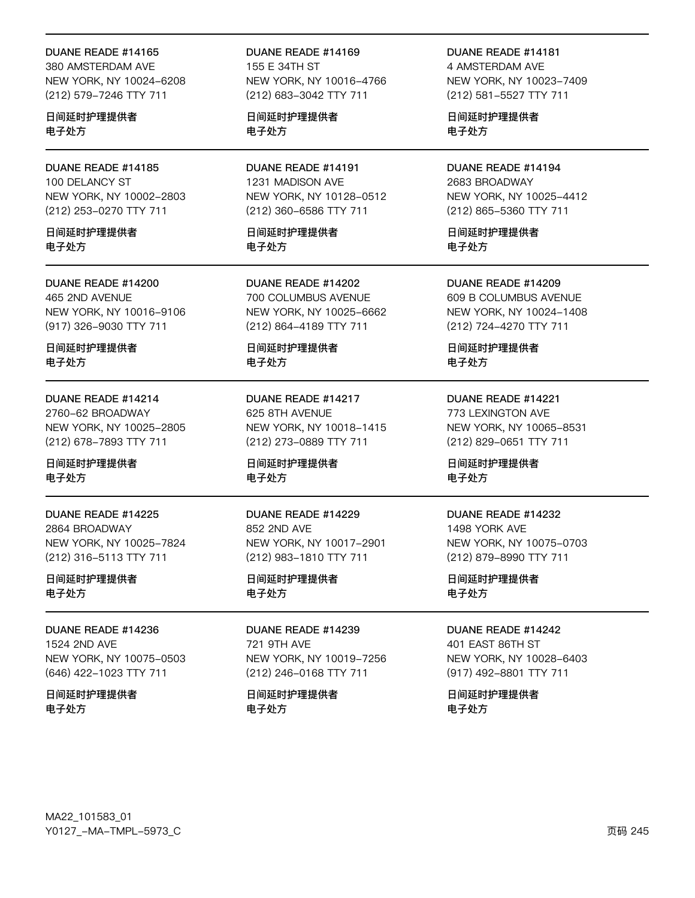380 AMSTERDAM AVE NEW YORK, NY 10024-6208 (212) 579-7246 TTY 711

日间延时护理提供者 电子处方

DUANE READE #14185 100 DELANCY ST NEW YORK, NY 10002-2803 (212) 253-0270 TTY 711

日间延时护理提供者 电子处方

DUANE READE #14200 465 2ND AVENUE NEW YORK, NY 10016-9106 (917) 326-9030 TTY 711

日间延时护理提供者 电子处方

DUANE READE #14214 2760-62 BROADWAY NEW YORK, NY 10025-2805 (212) 678-7893 TTY 711

日间延时护理提供者 电子处方

DUANE READE #14225 2864 BROADWAY NEW YORK, NY 10025-7824 (212) 316-5113 TTY 711

日间延时护理提供者 电子处方

DUANE READE #14236 1524 2ND AVE NEW YORK, NY 10075-0503 (646) 422-1023 TTY 711

日间延时护理提供者 电子处方

DUANE READE #14169 155 E 34TH ST NEW YORK, NY 10016-4766 (212) 683-3042 TTY 711

日间延时护理提供者 电子处方

DUANE READE #14191 1231 MADISON AVE NEW YORK, NY 10128-0512 (212) 360-6586 TTY 711

日间延时护理提供者 电子处方

DUANE READE #14202 700 COLUMBUS AVENUE NEW YORK, NY 10025-6662 (212) 864-4189 TTY 711

日间延时护理提供者 电子处方

DUANE READE #14217 625 8TH AVENUE NEW YORK, NY 10018-1415 (212) 273-0889 TTY 711

日间延时护理提供者 电子处方

DUANE READE #14229 852 2ND AVE NEW YORK, NY 10017-2901 (212) 983-1810 TTY 711

日间延时护理提供者 电子处方

DUANE READE #14239 721 9TH AVE NEW YORK, NY 10019-7256 (212) 246-0168 TTY 711

日间延时护理提供者 电子处方

DUANE READE #14181 4 AMSTERDAM AVE NEW YORK, NY 10023-7409 (212) 581-5527 TTY 711

日间延时护理提供者 电子处方

DUANE READE #14194 2683 BROADWAY NEW YORK, NY 10025-4412 (212) 865-5360 TTY 711

日间延时护理提供者 电子处方

DUANE READE #14209 609 B COLUMBUS AVENUE NEW YORK, NY 10024-1408 (212) 724-4270 TTY 711

日间延时护理提供者 电子处方

DUANE READE #14221 773 LEXINGTON AVE NEW YORK, NY 10065-8531 (212) 829-0651 TTY 711

日间延时护理提供者 电子处方

#### DUANE READE #14232

1498 YORK AVE NEW YORK, NY 10075-0703 (212) 879-8990 TTY 711

日间延时护理提供者 电子处方

DUANE READE #14242

401 EAST 86TH ST NEW YORK, NY 10028-6403 (917) 492-8801 TTY 711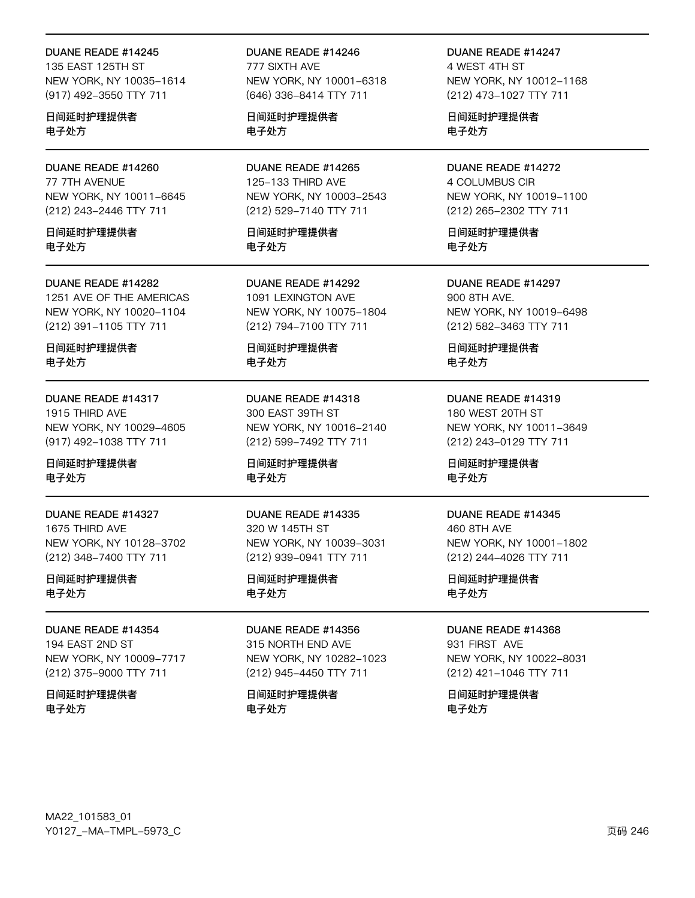135 EAST 125TH ST NEW YORK, NY 10035-1614 (917) 492-3550 TTY 711

日间延时护理提供者 电子处方

DUANE READE #14260 77 7TH AVENUE NEW YORK, NY 10011-6645 (212) 243-2446 TTY 711

日间延时护理提供者 电子处方

### DUANE READE #14282

1251 AVE OF THE AMERICAS NEW YORK, NY 10020-1104 (212) 391-1105 TTY 711

日间延时护理提供者 电子处方

DUANE READE #14317 1915 THIRD AVE NEW YORK, NY 10029-4605 (917) 492-1038 TTY 711

日间延时护理提供者 电子处方

DUANE READE #14327 1675 THIRD AVE NEW YORK, NY 10128-3702 (212) 348-7400 TTY 711

日间延时护理提供者 电子处方

DUANE READE #14354 194 EAST 2ND ST NEW YORK, NY 10009-7717 (212) 375-9000 TTY 711

日间延时护理提供者 电子处方

DUANE READE #14246 777 SIXTH AVE NEW YORK, NY 10001-6318 (646) 336-8414 TTY 711

日间延时护理提供者 电子处方

DUANE READE #14265 125-133 THIRD AVE NEW YORK, NY 10003-2543 (212) 529-7140 TTY 711

日间延时护理提供者 电子处方

DUANE READE #14292 1091 LEXINGTON AVE NEW YORK, NY 10075-1804 (212) 794-7100 TTY 711

日间延时护理提供者 电子处方

DUANE READE #14318 300 EAST 39TH ST NEW YORK, NY 10016-2140 (212) 599-7492 TTY 711

日间延时护理提供者 电子处方

DUANE READE #14335 320 W 145TH ST NEW YORK, NY 10039-3031 (212) 939-0941 TTY 711

日间延时护理提供者 电子处方

DUANE READE #14356 315 NORTH END AVE NEW YORK, NY 10282-1023 (212) 945-4450 TTY 711

日间延时护理提供者 电子处方

DUANE READE #14247 4 WEST 4TH ST NEW YORK, NY 10012-1168 (212) 473-1027 TTY 711

日间延时护理提供者 电子处方

DUANE READE #14272 4 COLUMBUS CIR NEW YORK, NY 10019-1100 (212) 265-2302 TTY 711

日间延时护理提供者 电子处方

DUANE READE #14297 900 8TH AVE. NEW YORK, NY 10019-6498 (212) 582-3463 TTY 711

日间延时护理提供者 电子处方

DUANE READE #14319 180 WEST 20TH ST NEW YORK, NY 10011-3649 (212) 243-0129 TTY 711

日间延时护理提供者 电子处方

#### DUANE READE #14345

460 8TH AVE NEW YORK, NY 10001-1802 (212) 244-4026 TTY 711

日间延时护理提供者 电子处方

DUANE READE #14368

931 FIRST AVE NEW YORK, NY 10022-8031 (212) 421-1046 TTY 711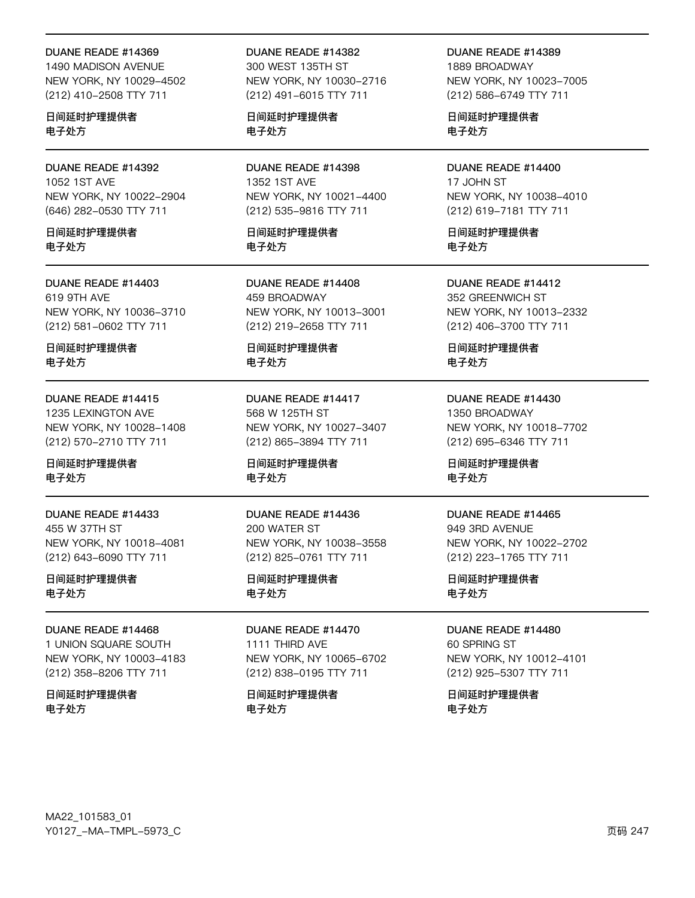1490 MADISON AVENUE NEW YORK, NY 10029-4502 (212) 410-2508 TTY 711

日间延时护理提供者 电子处方

DUANE READE #14392 1052 1ST AVE NEW YORK, NY 10022-2904 (646) 282-0530 TTY 711

日间延时护理提供者 电子处方

DUANE READE #14403 619 9TH AVE NEW YORK, NY 10036-3710 (212) 581-0602 TTY 711

日间延时护理提供者 电子处方

DUANE READE #14415 1235 LEXINGTON AVE NEW YORK, NY 10028-1408 (212) 570-2710 TTY 711

日间延时护理提供者 电子处方

DUANE READE #14433 455 W 37TH ST NEW YORK, NY 10018-4081 (212) 643-6090 TTY 711

日间延时护理提供者 电子处方

DUANE READE #14468 1 UNION SQUARE SOUTH NEW YORK, NY 10003-4183 (212) 358-8206 TTY 711

日间延时护理提供者 电子处方

DUANE READE #14382

300 WEST 135TH ST NEW YORK, NY 10030-2716 (212) 491-6015 TTY 711

日间延时护理提供者 电子处方

DUANE READE #14398 1352 1ST AVE NEW YORK, NY 10021-4400 (212) 535-9816 TTY 711

日间延时护理提供者 电子处方

DUANE READE #14408 459 BROADWAY NEW YORK, NY 10013-3001 (212) 219-2658 TTY 711

日间延时护理提供者 电子处方

DUANE READE #14417 568 W 125TH ST NEW YORK, NY 10027-3407 (212) 865-3894 TTY 711

日间延时护理提供者 电子处方

DUANE READE #14436 200 WATER ST NEW YORK, NY 10038-3558 (212) 825-0761 TTY 711

日间延时护理提供者 电子处方

DUANE READE #14470 1111 THIRD AVE NEW YORK, NY 10065-6702 (212) 838-0195 TTY 711

日间延时护理提供者 电子处方

DUANE READE #14389 1889 BROADWAY NEW YORK, NY 10023-7005 (212) 586-6749 TTY 711

日间延时护理提供者 电子处方

DUANE READE #14400 17 JOHN ST NEW YORK, NY 10038-4010 (212) 619-7181 TTY 711

日间延时护理提供者 电子处方

DUANE READE #14412 352 GREENWICH ST NEW YORK, NY 10013-2332 (212) 406-3700 TTY 711

日间延时护理提供者 电子处方

DUANE READE #14430 1350 BROADWAY NEW YORK, NY 10018-7702 (212) 695-6346 TTY 711

日间延时护理提供者 电子处方

#### DUANE READE #14465

949 3RD AVENUE NEW YORK, NY 10022-2702 (212) 223-1765 TTY 711

日间延时护理提供者 电子处方

DUANE READE #14480

60 SPRING ST NEW YORK, NY 10012-4101 (212) 925-5307 TTY 711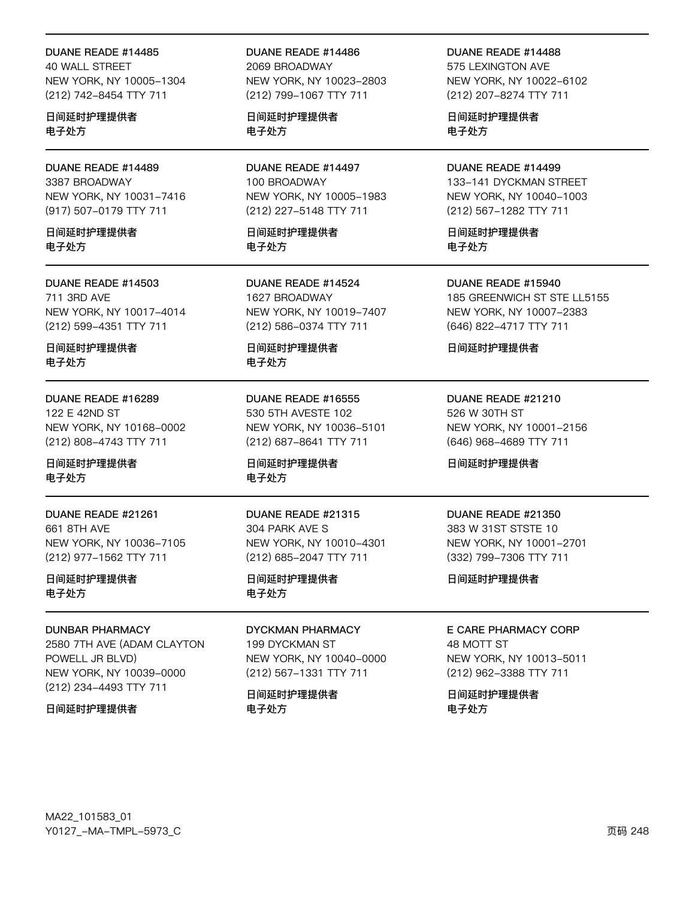40 WALL STREET NEW YORK, NY 10005-1304 (212) 742-8454 TTY 711

日间延时护理提供者 电子处方

DUANE READE #14489 3387 BROADWAY NEW YORK, NY 10031-7416 (917) 507-0179 TTY 711

日间延时护理提供者 电子处方

### DUANE READE #14503 711 3RD AVE NEW YORK, NY 10017-4014

(212) 599-4351 TTY 711 日间延时护理提供者

电子处方

### DUANE READE #16289

122 E 42ND ST NEW YORK, NY 10168-0002 (212) 808-4743 TTY 711

日间延时护理提供者 电子处方

DUANE READE #21261 661 8TH AVE NEW YORK, NY 10036-7105 (212) 977-1562 TTY 711

日间延时护理提供者 电子处方

### DUNBAR PHARMACY

2580 7TH AVE (ADAM CLAYTON POWELL JR BLVD) NEW YORK, NY 10039-0000 (212) 234-4493 TTY 711

### 日间延时护理提供者

DUANE READE #14486 2069 BROADWAY NEW YORK, NY 10023-2803 (212) 799-1067 TTY 711

日间延时护理提供者 电子处方

DUANE READE #14497 100 BROADWAY NEW YORK, NY 10005-1983 (212) 227-5148 TTY 711

日间延时护理提供者 电子处方

DUANE READE #14524 1627 BROADWAY NEW YORK, NY 10019-7407 (212) 586-0374 TTY 711

日间延时护理提供者 电子处方

DUANE READE #16555 530 5TH AVESTE 102 NEW YORK, NY 10036-5101 (212) 687-8641 TTY 711

日间延时护理提供者 电子处方

### DUANE READE #21315 304 PARK AVE S NEW YORK, NY 10010-4301 (212) 685-2047 TTY 711

日间延时护理提供者 电子处方

DYCKMAN PHARMACY 199 DYCKMAN ST NEW YORK, NY 10040-0000 (212) 567-1331 TTY 711

日间延时护理提供者 电子处方

DUANE READE #14488

575 LEXINGTON AVE NEW YORK, NY 10022-6102 (212) 207-8274 TTY 711

日间延时护理提供者 电子处方

DUANE READE #14499 133-141 DYCKMAN STREET NEW YORK, NY 10040-1003 (212) 567-1282 TTY 711

日间延时护理提供者 电子处方

DUANE READE #15940 185 GREENWICH ST STE LL5155 NEW YORK, NY 10007-2383 (646) 822-4717 TTY 711

日间延时护理提供者

DUANE READE #21210 526 W 30TH ST NEW YORK, NY 10001-2156 (646) 968-4689 TTY 711

日间延时护理提供者

### DUANE READE #21350

383 W 31ST STSTE 10 NEW YORK, NY 10001-2701 (332) 799-7306 TTY 711

日间延时护理提供者

E CARE PHARMACY CORP 48 MOTT ST NEW YORK, NY 10013-5011 (212) 962-3388 TTY 711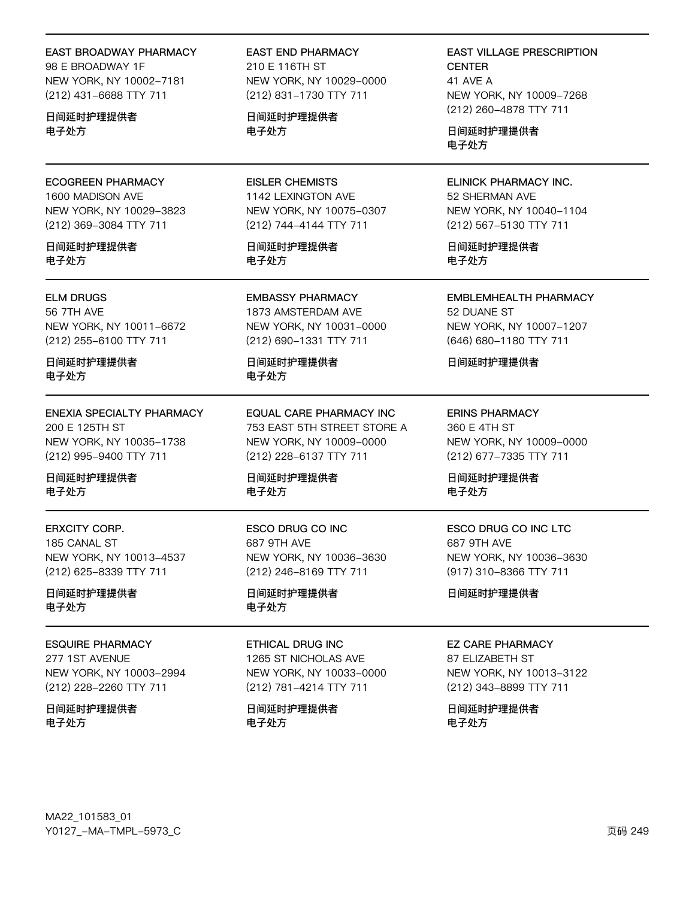#### EAST BROADWAY PHARMACY

98 E BROADWAY 1F NEW YORK, NY 10002-7181 (212) 431-6688 TTY 711

日间延时护理提供者 电子处方

ECOGREEN PHARMACY 1600 MADISON AVE NEW YORK, NY 10029-3823 (212) 369-3084 TTY 711

日间延时护理提供者 电子处方

ELM DRUGS 56 7TH AVE

NEW YORK, NY 10011-6672 (212) 255-6100 TTY 711

日间延时护理提供者 电子处方

ENEXIA SPECIALTY PHARMACY 200 E 125TH ST NEW YORK, NY 10035-1738 (212) 995-9400 TTY 711

日间延时护理提供者 电子处方

ERXCITY CORP. 185 CANAL ST NEW YORK, NY 10013-4537 (212) 625-8339 TTY 711

日间延时护理提供者 电子处方

### ESQUIRE PHARMACY

277 1ST AVENUE NEW YORK, NY 10003-2994 (212) 228-2260 TTY 711

日间延时护理提供者 电子处方

EAST END PHARMACY 210 E 116TH ST NEW YORK, NY 10029-0000 (212) 831-1730 TTY 711

日间延时护理提供者 电子处方

EISLER CHEMISTS 1142 LEXINGTON AVE NEW YORK, NY 10075-0307 (212) 744-4144 TTY 711

日间延时护理提供者 电子处方

EMBASSY PHARMACY 1873 AMSTERDAM AVE NEW YORK, NY 10031-0000 (212) 690-1331 TTY 711

日间延时护理提供者 电子处方

EQUAL CARE PHARMACY INC 753 EAST 5TH STREET STORE A NEW YORK, NY 10009-0000 (212) 228-6137 TTY 711

日间延时护理提供者 电子处方

ESCO DRUG CO INC 687 9TH AVE NEW YORK, NY 10036-3630 (212) 246-8169 TTY 711

日间延时护理提供者 电子处方

#### ETHICAL DRUG INC

1265 ST NICHOLAS AVE NEW YORK, NY 10033-0000 (212) 781-4214 TTY 711

日间延时护理提供者 电子处方

EAST VILLAGE PRESCRIPTION **CENTER** 41 AVE A NEW YORK, NY 10009-7268 (212) 260-4878 TTY 711

日间延时护理提供者 电子处方

ELINICK PHARMACY INC. 52 SHERMAN AVE NEW YORK, NY 10040-1104 (212) 567-5130 TTY 711

日间延时护理提供者 电子处方

EMBLEMHEALTH PHARMACY 52 DUANE ST NEW YORK, NY 10007-1207 (646) 680-1180 TTY 711

日间延时护理提供者

ERINS PHARMACY 360 E 4TH ST NEW YORK, NY 10009-0000 (212) 677-7335 TTY 711

日间延时护理提供者 电子处方

ESCO DRUG CO INC LTC 687 9TH AVE NEW YORK, NY 10036-3630 (917) 310-8366 TTY 711

日间延时护理提供者

### EZ CARE PHARMACY

87 ELIZABETH ST NEW YORK, NY 10013-3122 (212) 343-8899 TTY 711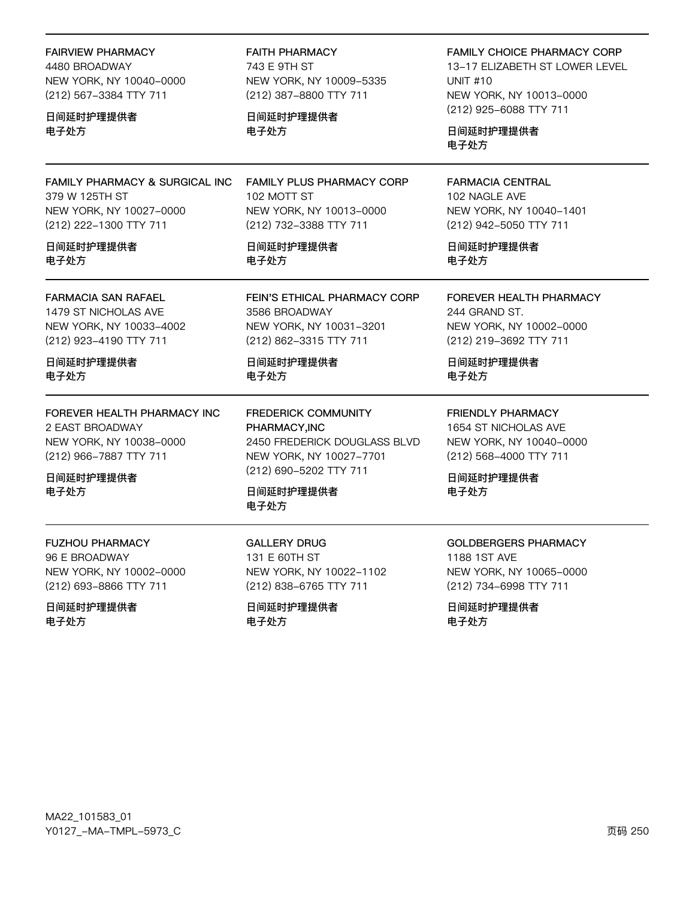**FAIRVIEW PHARMACY** 4480 BROADWAY NEW YORK, NY 10040-0000 (212) 567-3384 TTY 711

日间延时护理提供者 电子处方

FAMILY PHARMACY & SURGICAL INC 379 W 125TH ST NEW YORK, NY 10027-0000 (212) 222-1300 TTY 711

日间延时护理提供者 电子处方

**FARMACIA SAN RAFAEL** 

1479 ST NICHOLAS AVE NEW YORK, NY 10033-4002 (212) 923-4190 TTY 711

日间延时护理提供者 电子处方

FOREVER HEALTH PHARMACY INC 2 EAST BROADWAY NEW YORK, NY 10038-0000 (212) 966-7887 TTY 711

日间延时护理提供者 电子处方

**FUZHOU PHARMACY** 96 E BROADWAY NEW YORK, NY 10002-0000 (212) 693-8866 TTY 711

日间延时护理提供者 电子处方

**FAITH PHARMACY** 743 E 9TH ST NEW YORK, NY 10009-5335 (212) 387-8800 TTY 711

日间延时护理提供者 电子处方

FAMILY PLUS PHARMACY CORP 102 MOTT ST NEW YORK, NY 10013-0000 (212) 732-3388 TTY 711

日间延时护理提供者 电子处方

FEIN'S ETHICAL PHARMACY CORP 3586 BROADWAY NEW YORK, NY 10031-3201 (212) 862-3315 TTY 711

日间延时护理提供者 电子处方

**FREDERICK COMMUNITY** PHARMACY, INC 2450 FREDERICK DOUGLASS BLVD NEW YORK, NY 10027-7701 (212) 690-5202 TTY 711

日间延时护理提供者 电子处方

**GALLERY DRUG** 131 F 60TH ST NEW YORK, NY 10022-1102 (212) 838-6765 TTY 711

日间延时护理提供者 电子处方

**FAMILY CHOICE PHARMACY CORP** 

13-17 ELIZABETH ST LOWER LEVEL **UNIT #10** NEW YORK, NY 10013-0000 (212) 925-6088 TTY 711

日间延时护理提供者 电子外方

**FARMACIA CENTRAL** 102 NAGLE AVE NEW YORK, NY 10040-1401 (212) 942-5050 TTY 711

日间延时护理提供者 电子处方

FOREVER HEALTH PHARMACY 244 GRAND ST. NEW YORK, NY 10002-0000 (212) 219-3692 TTY 711

日间延时护理提供者 电子处方

**FRIENDLY PHARMACY** 1654 ST NICHOLAS AVE NEW YORK, NY 10040-0000 (212) 568-4000 TTY 711

日间延时护理提供者 电子处方

**GOLDBERGERS PHARMACY** 1188 1ST AVE NEW YORK, NY 10065-0000 (212) 734-6998 TTY 711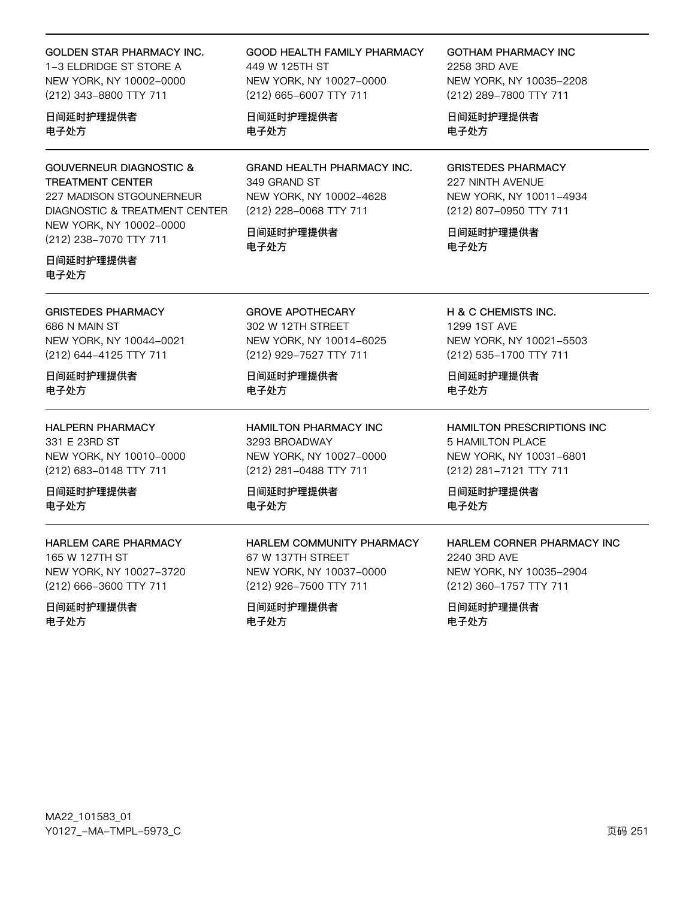### GOLDEN STAR PHARMACY INC.

1-3 ELDRIDGE ST STORE A NEW YORK, NY 10002-0000 (212) 343-8800 TTY 711

### 日间延时护理提供者 电子处方

### GOUVERNEUR DIAGNOSTIC & TREATMENT CENTER

227 MADISON STGOUNERNEUR DIAGNOSTIC & TREATMENT CENTER NEW YORK, NY 10002-0000 (212) 238-7070 TTY 711

### 日间延时护理提供者 电子处方

GRISTEDES PHARMACY 686 N MAIN ST NEW YORK, NY 10044-0021 (212) 644-4125 TTY 711

### 日间延时护理提供者 电子处方

### HALPERN PHARMACY

331 E 23RD ST NEW YORK, NY 10010-0000 (212) 683-0148 TTY 711

日间延时护理提供者 电子处方

### HARLEM CARE PHARMACY

165 W 127TH ST NEW YORK, NY 10027-3720 (212) 666-3600 TTY 711

### 日间延时护理提供者 电子处方

GOOD HEALTH FAMILY PHARMACY 449 W 125TH ST NEW YORK, NY 10027-0000 (212) 665-6007 TTY 711

日间延时护理提供者 电子处方

GRAND HEALTH PHARMACY INC. 349 GRAND ST NEW YORK, NY 10002-4628 (212) 228-0068 TTY 711

日间延时护理提供者 电子处方

GROVE APOTHECARY 302 W 12TH STREET NEW YORK, NY 10014-6025 (212) 929-7527 TTY 711

日间延时护理提供者 电子处方

HAMILTON PHARMACY INC 3293 BROADWAY NEW YORK, NY 10027-0000 (212) 281-0488 TTY 711

日间延时护理提供者 电子处方

HARLEM COMMUNITY PHARMACY 67 W 137TH STRFFT NEW YORK, NY 10037-0000 (212) 926-7500 TTY 711

日间延时护理提供者 电子处方

GOTHAM PHARMACY INC 2258 3RD AVE NEW YORK, NY 10035-2208 (212) 289-7800 TTY 711

日间延时护理提供者 电子处方

### GRISTEDES PHARMACY 227 NINTH AVENUE NEW YORK, NY 10011-4934 (212) 807-0950 TTY 711

日间延时护理提供者 电子处方

H & C CHEMISTS INC. 1299 1ST AVE NEW YORK, NY 10021-5503 (212) 535-1700 TTY 711

日间延时护理提供者 电子处方

HAMILTON PRESCRIPTIONS INC 5 HAMILTON PLACE NEW YORK, NY 10031-6801 (212) 281-7121 TTY 711

日间延时护理提供者 电子处方

### HARLEM CORNER PHARMACY INC 2240 3RD AVE NEW YORK, NY 10035-2904 (212) 360-1757 TTY 711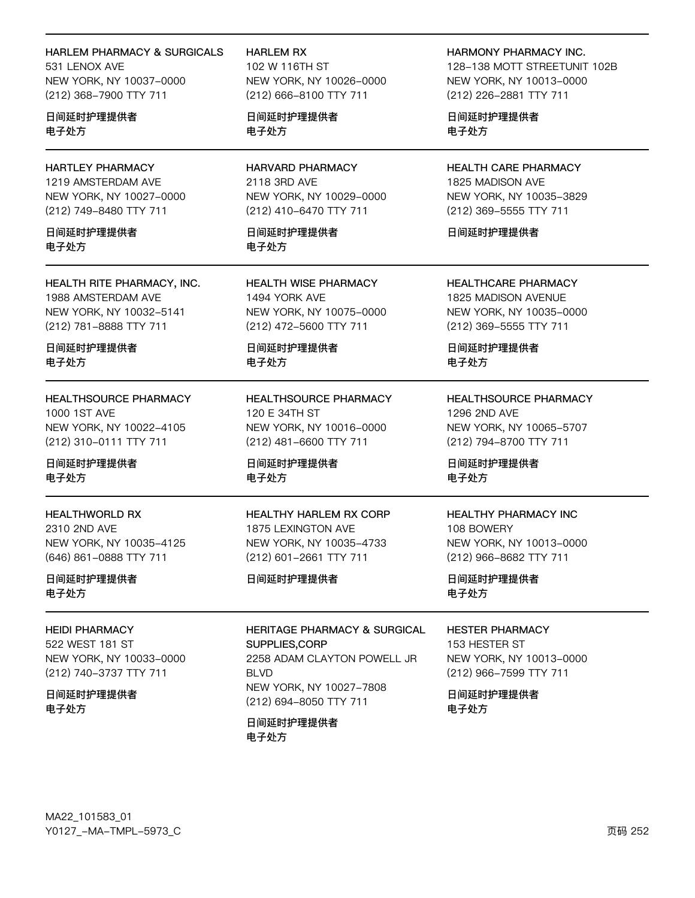### HARLEM PHARMACY & SURGICALS

531 LENOX AVE NEW YORK, NY 10037-0000 (212) 368-7900 TTY 711

日间延时护理提供者 电子处方

### HARTLEY PHARMACY

1219 AMSTERDAM AVE NEW YORK, NY 10027-0000 (212) 749-8480 TTY 711

日间延时护理提供者 电子处方

HEALTH RITE PHARMACY, INC. 1988 AMSTERDAM AVE NEW YORK, NY 10032-5141 (212) 781-8888 TTY 711

日间延时护理提供者 电子处方

HEALTHSOURCE PHARMACY 1000 1ST AVE NEW YORK, NY 10022-4105 (212) 310-0111 TTY 711

日间延时护理提供者 电子处方

HEALTHWORLD RX 2310 2ND AVE NEW YORK, NY 10035-4125 (646) 861-0888 TTY 711

日间延时护理提供者 电子处方

HEIDI PHARMACY 522 WEST 181 ST NEW YORK, NY 10033-0000 (212) 740-3737 TTY 711

日间延时护理提供者 电子处方

#### HARLEM RX

102 W 116TH ST NEW YORK, NY 10026-0000 (212) 666-8100 TTY 711

日间延时护理提供者 电子处方

HARVARD PHARMACY 2118 3RD AVE NEW YORK, NY 10029-0000 (212) 410-6470 TTY 711

日间延时护理提供者 电子处方

HEALTH WISE PHARMACY 1494 YORK AVE NEW YORK, NY 10075-0000 (212) 472-5600 TTY 711

日间延时护理提供者 电子处方

HEALTHSOURCE PHARMACY 120 E 34TH ST NEW YORK, NY 10016-0000 (212) 481-6600 TTY 711

日间延时护理提供者 电子处方

HEALTHY HARLEM RX CORP 1875 LEXINGTON AVE NEW YORK, NY 10035-4733 (212) 601-2661 TTY 711

日间延时护理提供者

HERITAGE PHARMACY & SURGICAL SUPPLIES,CORP 2258 ADAM CLAYTON POWELL JR **BLVD** NEW YORK, NY 10027-7808 (212) 694-8050 TTY 711

日间延时护理提供者 电子处方

HARMONY PHARMACY INC. 128-138 MOTT STREETUNIT 102B NEW YORK, NY 10013-0000 (212) 226-2881 TTY 711

日间延时护理提供者 电子处方

HEALTH CARE PHARMACY 1825 MADISON AVE NEW YORK, NY 10035-3829 (212) 369-5555 TTY 711

日间延时护理提供者

HEALTHCARE PHARMACY 1825 MADISON AVENUE NEW YORK, NY 10035-0000 (212) 369-5555 TTY 711

日间延时护理提供者 电子处方

HEALTHSOURCE PHARMACY 1296 2ND AVE NEW YORK, NY 10065-5707 (212) 794-8700 TTY 711

日间延时护理提供者 电子处方

### HEALTHY PHARMACY INC

108 BOWERY NEW YORK, NY 10013-0000 (212) 966-8682 TTY 711

日间延时护理提供者 电子处方

#### HESTER PHARMACY

153 HESTER ST NEW YORK, NY 10013-0000 (212) 966-7599 TTY 711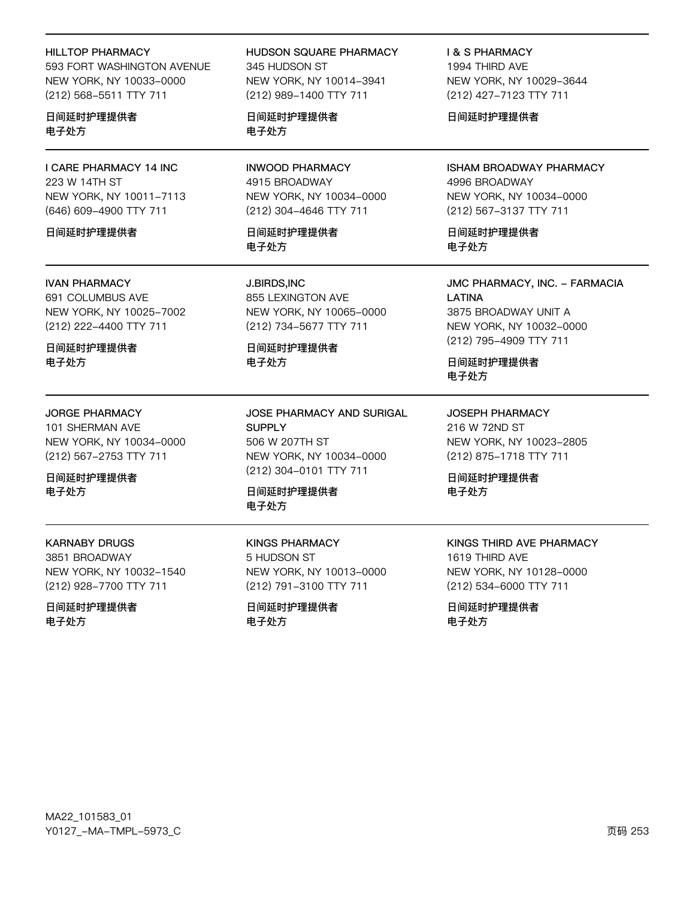#### HILLTOP PHARMACY

593 FORT WASHINGTON AVENUE NEW YORK, NY 10033-0000 (212) 568-5511 TTY 711

#### 日间延时护理提供者 电子处方

I CARE PHARMACY 14 INC 223 W 14TH ST NEW YORK, NY 10011-7113 (646) 609-4900 TTY 711

#### 日间延时护理提供者

#### IVAN PHARMACY

691 COLUMBUS AVE NEW YORK, NY 10025-7002 (212) 222-4400 TTY 711

日间延时护理提供者 电子处方

#### JORGE PHARMACY

101 SHERMAN AVE NEW YORK, NY 10034-0000 (212) 567-2753 TTY 711

日间延时护理提供者 电子处方

KARNABY DRUGS

3851 BROADWAY NEW YORK, NY 10032-1540 (212) 928-7700 TTY 711

日间延时护理提供者 电子处方

HUDSON SQUARE PHARMACY 345 HUDSON ST NEW YORK, NY 10014-3941 (212) 989-1400 TTY 711

日间延时护理提供者 电子处方

INWOOD PHARMACY 4915 BROADWAY NEW YORK, NY 10034-0000 (212) 304-4646 TTY 711

日间延时护理提供者 电子处方

J.BIRDS,INC 855 LEXINGTON AVE NEW YORK, NY 10065-0000 (212) 734-5677 TTY 711

日间延时护理提供者 电子处方

JOSE PHARMACY AND SURIGAL **SUPPLY** 506 W 207TH ST NEW YORK, NY 10034-0000 (212) 304-0101 TTY 711

日间延时护理提供者 电子处方

KINGS PHARMACY 5 HUDSON ST NEW YORK, NY 10013-0000 (212) 791-3100 TTY 711

日间延时护理提供者 电子处方

I & S PHARMACY 1994 THIRD AVE NEW YORK, NY 10029-3644 (212) 427-7123 TTY 711

日间延时护理提供者

ISHAM BROADWAY PHARMACY 4996 BROADWAY NEW YORK, NY 10034-0000 (212) 567-3137 TTY 711

日间延时护理提供者 电子处方

JMC PHARMACY, INC. - FARMACIA LATINA 3875 BROADWAY UNIT A NEW YORK, NY 10032-0000 (212) 795-4909 TTY 711

日间延时护理提供者 电子处方

JOSEPH PHARMACY 216 W 72ND ST NEW YORK, NY 10023-2805 (212) 875-1718 TTY 711

日间延时护理提供者 电子处方

### KINGS THIRD AVE PHARMACY 1619 THIRD AVE NEW YORK, NY 10128-0000 (212) 534-6000 TTY 711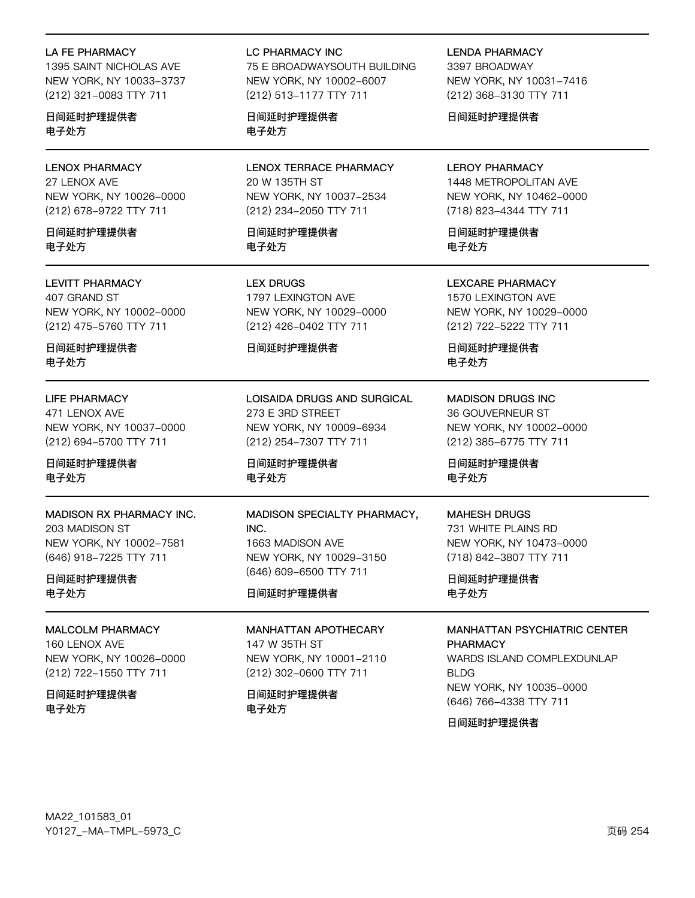#### LA FE PHARMACY

1395 SAINT NICHOLAS AVE NEW YORK, NY 10033-3737 (212) 321-0083 TTY 711

日间延时护理提供者 电子处方

# LENOX PHARMACY

27 LENOX AVE NEW YORK, NY 10026-0000 (212) 678-9722 TTY 711

日间延时护理提供者 电子处方

#### LEVITT PHARMACY

407 GRAND ST NEW YORK, NY 10002-0000 (212) 475-5760 TTY 711

日间延时护理提供者 电子处方

#### LIFE PHARMACY

471 LENOX AVE NEW YORK, NY 10037-0000 (212) 694-5700 TTY 711

日间延时护理提供者 电子处方

#### MADISON RX PHARMACY INC.

203 MADISON ST NEW YORK, NY 10002-7581 (646) 918-7225 TTY 711

日间延时护理提供者 电子处方

#### MALCOLM PHARMACY

160 LENOX AVE NEW YORK, NY 10026-0000 (212) 722-1550 TTY 711

日间延时护理提供者 电子处方

#### LC PHARMACY INC

75 E BROADWAYSOUTH BUILDING NEW YORK, NY 10002-6007 (212) 513-1177 TTY 711

日间延时护理提供者 电子处方

LENOX TERRACE PHARMACY 20 W 135TH ST NEW YORK, NY 10037-2534 (212) 234-2050 TTY 711

日间延时护理提供者 电子处方

LEX DRUGS 1797 LEXINGTON AVE NEW YORK, NY 10029-0000 (212) 426-0402 TTY 711

#### 日间延时护理提供者

LOISAIDA DRUGS AND SURGICAL 273 E 3RD STREET NEW YORK, NY 10009-6934 (212) 254-7307 TTY 711

日间延时护理提供者 电子处方

### MADISON SPECIALTY PHARMACY, INC. 1663 MADISON AVE NEW YORK, NY 10029-3150 (646) 609-6500 TTY 711

#### 日间延时护理提供者

#### MANHATTAN APOTHECARY

147 W 35TH ST NEW YORK, NY 10001-2110 (212) 302-0600 TTY 711

日间延时护理提供者 电子处方

LENDA PHARMACY 3397 BROADWAY NEW YORK, NY 10031-7416 (212) 368-3130 TTY 711

日间延时护理提供者

### LEROY PHARMACY

1448 METROPOLITAN AVE NEW YORK, NY 10462-0000 (718) 823-4344 TTY 711

日间延时护理提供者 电子处方

LEXCARE PHARMACY 1570 LEXINGTON AVE NEW YORK, NY 10029-0000

(212) 722-5222 TTY 711

日间延时护理提供者 电子处方

MADISON DRUGS INC 36 GOUVERNEUR ST NEW YORK, NY 10002-0000 (212) 385-6775 TTY 711

日间延时护理提供者 电子处方

# MAHESH DRUGS

731 WHITE PLAINS RD NEW YORK, NY 10473-0000 (718) 842-3807 TTY 711

日间延时护理提供者 电子处方

MANHATTAN PSYCHIATRIC CENTER PHARMACY

WARDS ISLAND COMPLEXDUNLAP **BLDG** NEW YORK, NY 10035-0000 (646) 766-4338 TTY 711

日间延时护理提供者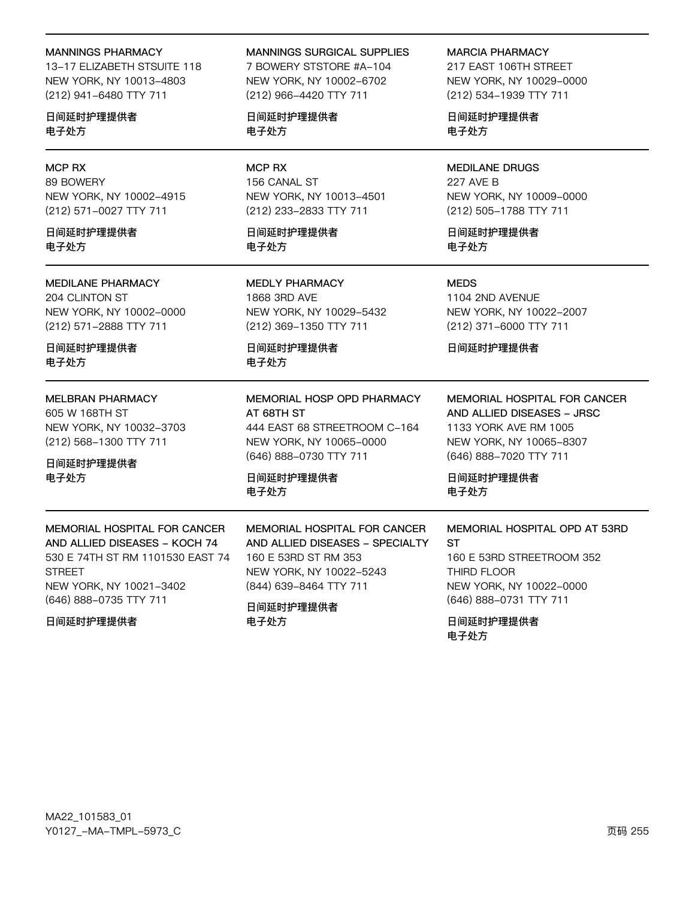#### **MANNINGS PHARMACY**

13-17 ELIZABETH STSUITE 118 NEW YORK, NY 10013-4803 (212) 941-6480 TTY 711

日间延时护理提供者 电子处方

#### **MCP RX**

89 BOWERY NEW YORK, NY 10002-4915 (212) 571-0027 TTY 711

日间延时护理提供者 电子外方

#### **MEDILANE PHARMACY**

204 CLINTON ST NEW YORK, NY 10002-0000 (212) 571-2888 TTY 711

日间延时护理提供者 电子处方

#### **MELBRAN PHARMACY**

605 W 168TH ST NEW YORK, NY 10032-3703 (212) 568-1300 TTY 711

MEMORIAL HOSPITAL FOR CANCER

530 E 74TH ST RM 1101530 EAST 74

AND ALLIED DISEASES - KOCH 74

NEW YORK, NY 10021-3402

(646) 888-0735 TTY 711

#### 日间延时护理提供者 电子处方

**MANNINGS SURGICAL SUPPLIES** 

7 BOWERY STSTORE #A-104 NEW YORK, NY 10002-6702 (212) 966-4420 TTY 711

日间延时护理提供者 电子处方

### **MCP RX** 156 CANAL ST

NEW YORK, NY 10013-4501 (212) 233-2833 TTY 711

日间延时护理提供者 电子外方

**MEDLY PHARMACY** 1868 3RD AVE NEW YORK, NY 10029-5432 (212) 369-1350 TTY 711

日间延时护理提供者 电子处方

#### MEMORIAL HOSP OPD PHARMACY AT 68TH ST 444 EAST 68 STREETROOM C-164

NEW YORK, NY 10065-0000 (646) 888-0730 TTY 711

MEMORIAL HOSPITAL FOR CANCER

AND ALLIED DISEASES - SPECIALTY

日间延时护理提供者 电子处方

160 E 53RD ST RM 353

(844) 639-8464 TTY 711

日间延时护理提供者

电子处方

NEW YORK, NY 10022-5243

**MARCIA PHARMACY** 

217 EAST 106TH STREET NEW YORK, NY 10029-0000 (212) 534-1939 TTY 711

日间延时护理提供者 电子处方

**MEDILANE DRUGS** 227 AVE B NEW YORK, NY 10009-0000 (212) 505-1788 TTY 711

日间延时护理提供者 电子外方

#### **MEDS**

1104 2ND AVENUE NEW YORK, NY 10022-2007 (212) 371-6000 TTY 711

日间延时护理提供者

MEMORIAL HOSPITAL FOR CANCER AND ALLIED DISEASES - JRSC 1133 YORK AVE RM 1005 NEW YORK, NY 10065-8307 (646) 888-7020 TTY 711

日间延时护理提供者 电子处方

#### MEMORIAL HOSPITAL OPD AT 53RD  $ST$

160 F 53RD STREETROOM 352 THIRD FLOOR NEW YORK, NY 10022-0000 (646) 888-0731 TTY 711

日间延时护理提供者 电子处方

#### 日间延时护理提供者

**STREET**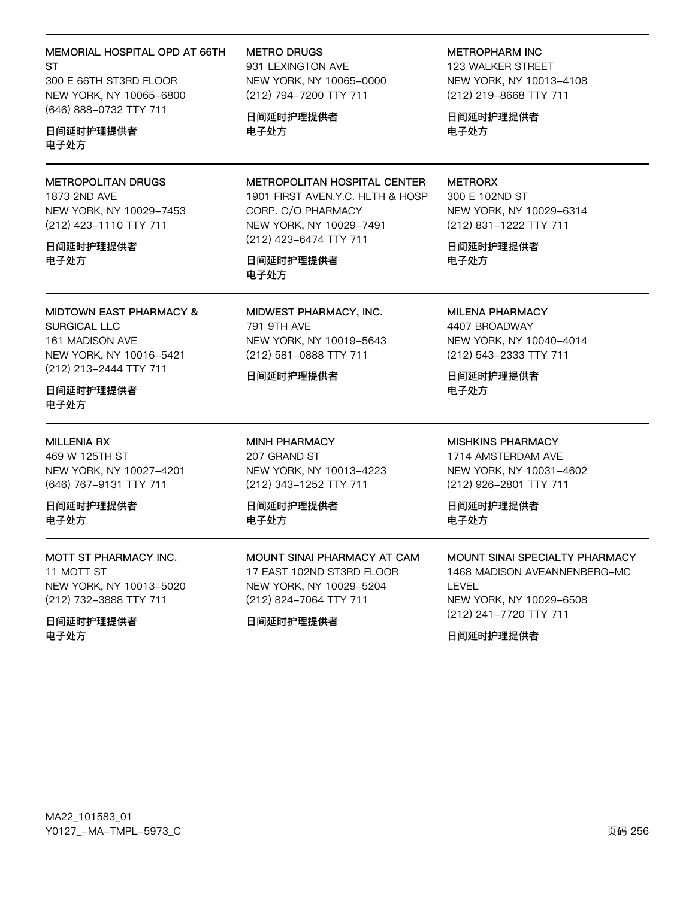### MEMORIAL HOSPITAL OPD AT 66TH **ST**

300 E 66TH ST3RD FLOOR NEW YORK, NY 10065-6800 (646) 888-0732 TTY 711

### 日间延时护理提供者 电子处方

### METROPOLITAN DRUGS

1873 2ND AVE NEW YORK, NY 10029-7453 (212) 423-1110 TTY 711

#### 日间延时护理提供者 电子处方

**MIDTOWN EAST PHARMACY & SURGICAL LLC** 

161 MADISON AVE NEW YORK, NY 10016-5421 (212) 213-2444 TTY 711

### 日间延时护理提供者 电子处方

#### **MILLENIA RX**

469 W 125TH ST NEW YORK, NY 10027-4201 (646) 767-9131 TTY 711

日间延时护理提供者 电子外方

### MOTT ST PHARMACY INC.

11 MOTT ST NEW YORK, NY 10013-5020 (212) 732-3888 TTY 711

### 日间延时护理提供者 电子处方

**METRO DRUGS** 

931 LEXINGTON AVE NEW YORK, NY 10065-0000 (212) 794-7200 TTY 711

### 日间延时护理提供者 电子处方

METROPOLITAN HOSPITAL CENTER 1901 FIRST AVEN.Y.C. HLTH & HOSP CORP. C/O PHARMACY NEW YORK, NY 10029-7491 (212) 423-6474 TTY 711

### 日间延时护理提供者 电子处方

MIDWEST PHARMACY, INC. 791 9TH AVE NEW YORK, NY 10019-5643 (212) 581-0888 TTY 711

### 日间延时护理提供者

**MINH PHARMACY** 207 GRAND ST NEW YORK, NY 10013-4223 (212) 343-1252 TTY 711

日间延时护理提供者 电子外方

MOUNT SINAI PHARMACY AT CAM 17 EAST 102ND ST3RD FLOOR NEW YORK, NY 10029-5204 (212) 824-7064 TTY 711

### 日间延时护理提供者

**METROPHARM INC** 

123 WAI KFR STRFFT NEW YORK, NY 10013-4108 (212) 219-8668 TTY 711

日间延时护理提供者 电子处方

### **METRORX**

300 E 102ND ST NEW YORK, NY 10029-6314 (212) 831-1222 TTY 711

日间延时护理提供者 电子处方

### **MILENA PHARMACY**

4407 BROADWAY NEW YORK, NY 10040-4014 (212) 543-2333 TTY 711

日间延时护理提供者 电子处方

### **MISHKINS PHARMACY**

1714 AMSTERDAM AVE NEW YORK, NY 10031-4602 (212) 926-2801 TTY 711

日间延时护理提供者 电子外方

MOUNT SINAI SPECIALTY PHARMACY 1468 MADISON AVEANNENBERG-MC **LEVEL** NEW YORK, NY 10029-6508 (212) 241-7720 TTY 711

日间延时护理提供者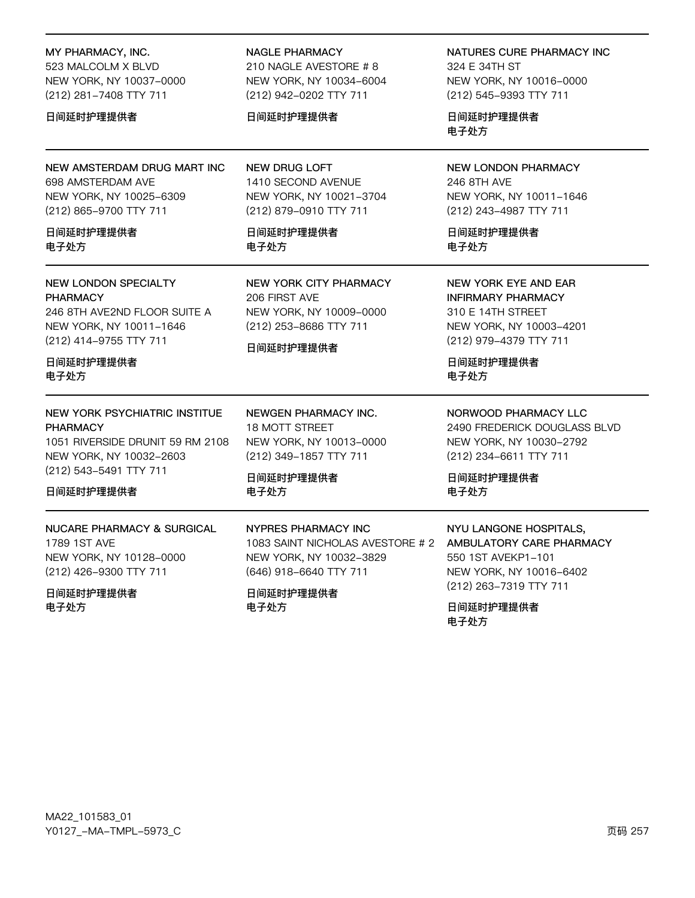#### MY PHARMACY, INC.

523 MALCOLM X BLVD NEW YORK, NY 10037-0000 (212) 281-7408 TTY 711

#### 日间延时护理提供者

NEW AMSTERDAM DRUG MART INC 698 AMSTERDAM AVE NEW YORK, NY 10025-6309 (212) 865-9700 TTY 711

#### 日间延时护理提供者 电子外方

### **NEW LONDON SPECIALTY PHARMACY**

246 8TH AVE2ND FLOOR SUITE A NEW YORK, NY 10011-1646 (212) 414-9755 TTY 711

日间延时护理提供者 电子处方

### NEW YORK PSYCHIATRIC INSTITUE **PHARMACY**

1051 RIVERSIDE DRUNIT 59 RM 2108 NEW YORK, NY 10032-2603 (212) 543-5491 TTY 711

### 日间延时护理提供者

## **NUCARE PHARMACY & SURGICAL** 1789 1ST AVE NEW YORK, NY 10128-0000 (212) 426-9300 TTY 711

日间延时护理提供者 电子处方

#### **NAGLE PHARMACY**

210 NAGLE AVESTORE #8 NEW YORK, NY 10034-6004 (212) 942-0202 TTY 711

#### 日间延时护理提供者

**NEW DRUG LOFT** 1410 SECOND AVENUE NEW YORK, NY 10021-3704 (212) 879-0910 TTY 711

日间延时护理提供者 电子外方

**NEW YORK CITY PHARMACY** 206 FIRST AVE NEW YORK, NY 10009-0000 (212) 253-8686 TTY 711

#### 日间延时护理提供者

**NEWGEN PHARMACY INC. 18 MOTT STREET** NEW YORK, NY 10013-0000 (212) 349-1857 TTY 711

日间延时护理提供者 电子处方

**NYPRES PHARMACY INC** 

(646) 918-6640 TTY 711

日间延时护理提供者

电子处方

NEW YORK, NY 10032-3829

1083 SAINT NICHOLAS AVESTORE # 2

#### NATURES CURE PHARMACY INC

324 E 34TH ST NEW YORK, NY 10016-0000 (212) 545-9393 TTY 711

日间延时护理提供者 电子处方

### **NEW LONDON PHARMACY** 246 8TH AVE NEW YORK, NY 10011-1646 (212) 243-4987 TTY 711

日间延时护理提供者 电子外方

### **NEW YORK EYE AND EAR INFIRMARY PHARMACY** 310 E 14TH STREET NEW YORK, NY 10003-4201 (212) 979-4379 TTY 711

日间延时护理提供者 电子处方

NORWOOD PHARMACY LLC 2490 FREDERICK DOUGLASS BLVD NEW YORK, NY 10030-2792 (212) 234-6611 TTY 711

日间延时护理提供者 电子处方

### NYU LANGONE HOSPITALS, AMBULATORY CARE PHARMACY 550 1ST AVEKP1-101 NEW YORK, NY 10016-6402 (212) 263-7319 TTY 711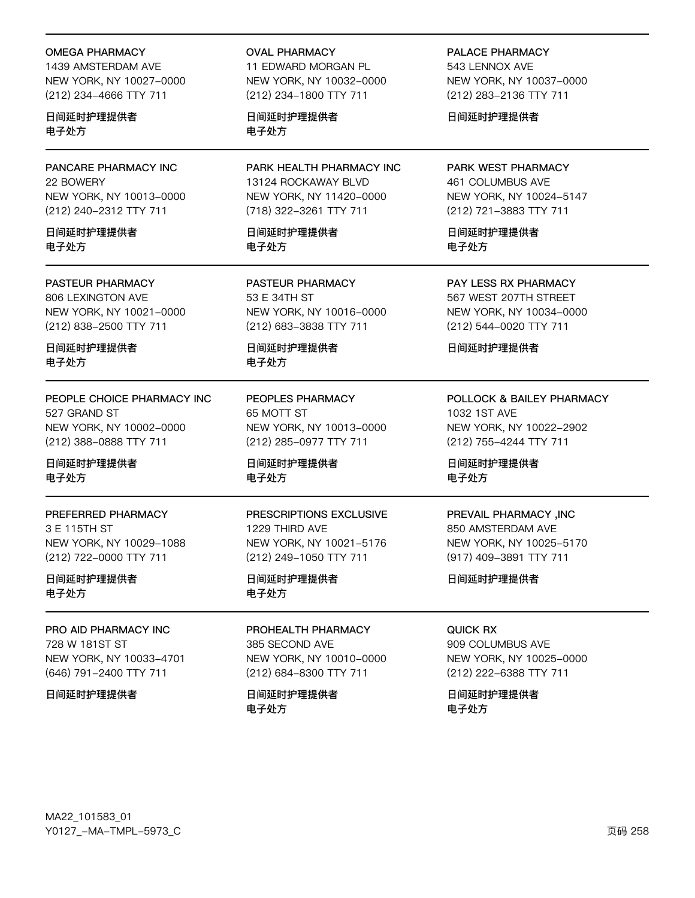#### OMEGA PHARMACY

1439 AMSTERDAM AVE NEW YORK, NY 10027-0000 (212) 234-4666 TTY 711

日间延时护理提供者 电子处方

PANCARE PHARMACY INC 22 BOWERY NEW YORK, NY 10013-0000 (212) 240-2312 TTY 711

日间延时护理提供者 电子处方

#### PASTEUR PHARMACY

806 LEXINGTON AVE NEW YORK, NY 10021-0000 (212) 838-2500 TTY 711

日间延时护理提供者 电子处方

PEOPLE CHOICE PHARMACY INC 527 GRAND ST NEW YORK, NY 10002-0000 (212) 388-0888 TTY 711

日间延时护理提供者 电子处方

PREFERRED PHARMACY 3 E 115TH ST NEW YORK, NY 10029-1088 (212) 722-0000 TTY 711

日间延时护理提供者 电子处方

PRO AID PHARMACY INC 728 W 181ST ST NEW YORK, NY 10033-4701 (646) 791-2400 TTY 711

日间延时护理提供者

OVAL PHARMACY

11 EDWARD MORGAN PL NEW YORK, NY 10032-0000 (212) 234-1800 TTY 711

日间延时护理提供者 电子处方

PARK HEALTH PHARMACY INC 13124 ROCKAWAY BLVD NEW YORK, NY 11420-0000 (718) 322-3261 TTY 711

日间延时护理提供者 电子处方

PASTEUR PHARMACY 53 E 34TH ST NEW YORK, NY 10016-0000 (212) 683-3838 TTY 711

日间延时护理提供者 电子处方

PEOPLES PHARMACY 65 MOTT ST NEW YORK, NY 10013-0000 (212) 285-0977 TTY 711

日间延时护理提供者 电子处方

### PRESCRIPTIONS EXCLUSIVE

1229 THIRD AVE NEW YORK, NY 10021-5176 (212) 249-1050 TTY 711

日间延时护理提供者 电子处方

PROHEALTH PHARMACY 385 SECOND AVE NEW YORK, NY 10010-0000 (212) 684-8300 TTY 711

日间延时护理提供者 电子处方

PALACE PHARMACY 543 I FNNOX AVE NEW YORK, NY 10037-0000 (212) 283-2136 TTY 711

日间延时护理提供者

PARK WEST PHARMACY 461 COLUMBUS AVE NEW YORK, NY 10024-5147 (212) 721-3883 TTY 711

日间延时护理提供者 电子处方

PAY LESS RX PHARMACY 567 WEST 207TH STREET NEW YORK, NY 10034-0000 (212) 544-0020 TTY 711

日间延时护理提供者

POLLOCK & BAILEY PHARMACY 1032 1ST AVE NEW YORK, NY 10022-2902 (212) 755-4244 TTY 711

日间延时护理提供者 电子处方

#### PREVAIL PHARMACY ,INC

850 AMSTERDAM AVE NEW YORK, NY 10025-5170 (917) 409-3891 TTY 711

日间延时护理提供者

QUICK RX 909 COLUMBUS AVE NEW YORK, NY 10025-0000 (212) 222-6388 TTY 711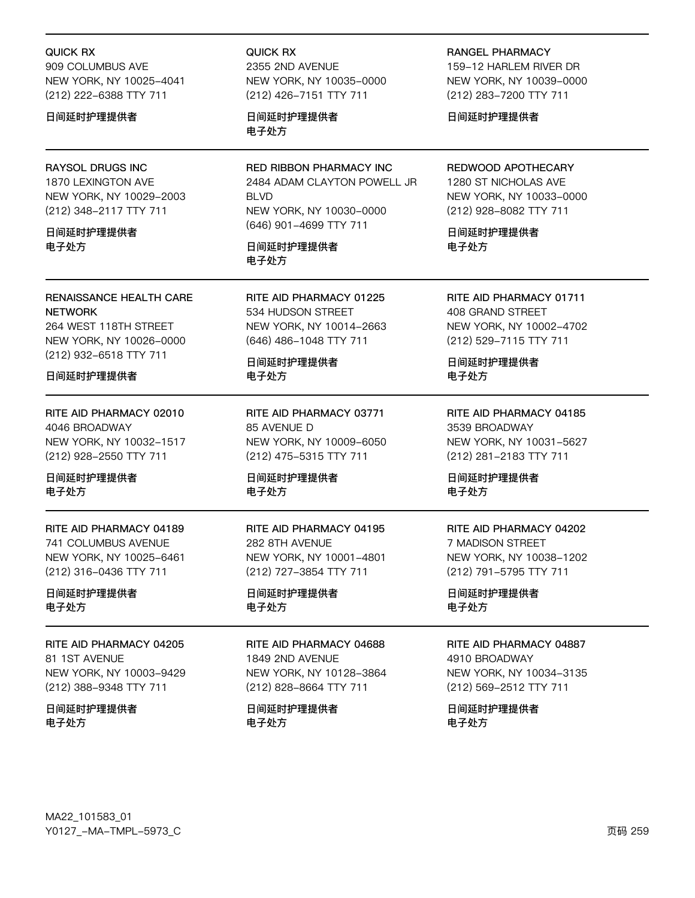#### QUICK RX

909 COLUMBUS AVE NEW YORK, NY 10025-4041 (212) 222-6388 TTY 711

#### 日间延时护理提供者

### RAYSOL DRUGS INC

1870 LEXINGTON AVE NEW YORK, NY 10029-2003 (212) 348-2117 TTY 711

日间延时护理提供者 电子处方

RENAISSANCE HEALTH CARE **NETWORK** 264 WEST 118TH STREET

NEW YORK, NY 10026-0000 (212) 932-6518 TTY 711

#### 日间延时护理提供者

RITE AID PHARMACY 02010 4046 BROADWAY NEW YORK, NY 10032-1517 (212) 928-2550 TTY 711

日间延时护理提供者 电子处方

RITE AID PHARMACY 04189 741 COLUMBUS AVENUE NEW YORK, NY 10025-6461 (212) 316-0436 TTY 711

日间延时护理提供者 电子处方

RITE AID PHARMACY 04205 81 1ST AVENUE NEW YORK, NY 10003-9429 (212) 388-9348 TTY 711

日间延时护理提供者 电子处方

QUICK RX 2355 2ND AVENUE NEW YORK, NY 10035-0000 (212) 426-7151 TTY 711

日间延时护理提供者 电子处方

RED RIBBON PHARMACY INC 2484 ADAM CLAYTON POWELL JR **BLVD** NEW YORK, NY 10030-0000 (646) 901-4699 TTY 711

日间延时护理提供者 电子处方

RITE AID PHARMACY 01225 534 HUDSON STREET NEW YORK, NY 10014-2663 (646) 486-1048 TTY 711

日间延时护理提供者 电子处方

RITE AID PHARMACY 03771 85 AVENUE D NEW YORK, NY 10009-6050 (212) 475-5315 TTY 711

日间延时护理提供者 电子处方

RITE AID PHARMACY 04195 282 8TH AVENUE NEW YORK, NY 10001-4801 (212) 727-3854 TTY 711

日间延时护理提供者 电子处方

#### RITE AID PHARMACY 04688 1849 2ND AVENUE

NEW YORK, NY 10128-3864 (212) 828-8664 TTY 711

日间延时护理提供者 电子处方

RANGEL PHARMACY 159-12 HARLEM RIVER DR NEW YORK, NY 10039-0000 (212) 283-7200 TTY 711

日间延时护理提供者

REDWOOD APOTHECARY 1280 ST NICHOLAS AVE NEW YORK, NY 10033-0000 (212) 928-8082 TTY 711

日间延时护理提供者 电子处方

RITE AID PHARMACY 01711 408 GRAND STREET NEW YORK, NY 10002-4702 (212) 529-7115 TTY 711

日间延时护理提供者 电子处方

RITE AID PHARMACY 04185 3539 BROADWAY NEW YORK, NY 10031-5627 (212) 281-2183 TTY 711

日间延时护理提供者 电子处方

### RITE AID PHARMACY 04202 7 MADISON STREET NEW YORK, NY 10038-1202 (212) 791-5795 TTY 711

日间延时护理提供者 电子处方

### RITE AID PHARMACY 04887

4910 BROADWAY NEW YORK, NY 10034-3135 (212) 569-2512 TTY 711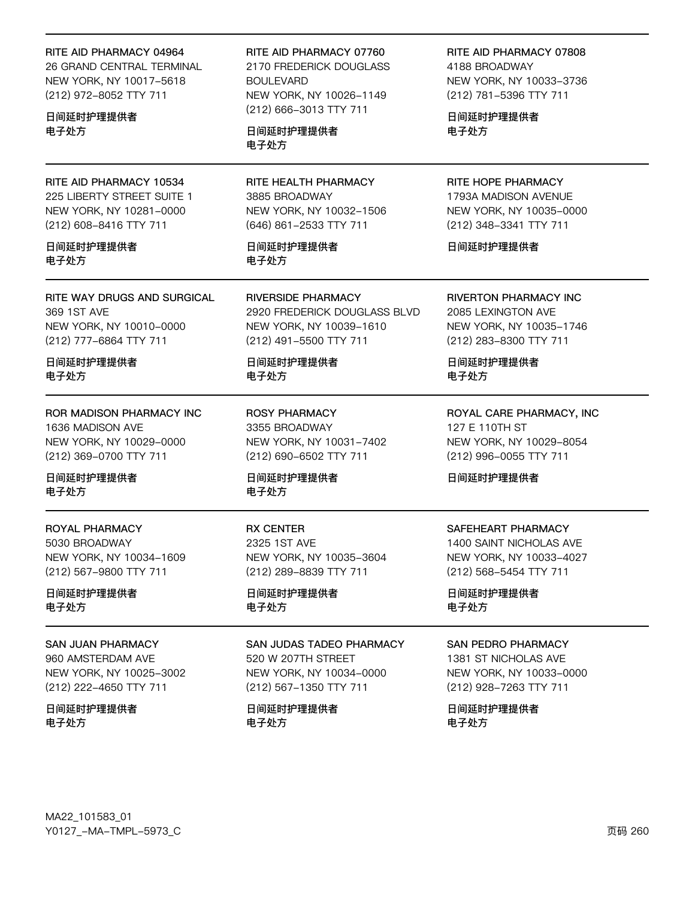#### RITE AID PHARMACY 04964

26 GRAND CENTRAL TERMINAL NEW YORK, NY 10017-5618 (212) 972-8052 TTY 711

日间延时护理提供者 电子处方

RITE AID PHARMACY 10534 225 LIBERTY STREET SUITE 1 NEW YORK, NY 10281-0000 (212) 608-8416 TTY 711

日间延时护理提供者 电子处方

RITE WAY DRUGS AND SURGICAL 369 1ST AVE NEW YORK, NY 10010-0000 (212) 777-6864 TTY 711

日间延时护理提供者 电子处方

**ROR MADISON PHARMACY INC** 1636 MADISON AVE NEW YORK, NY 10029-0000 (212) 369-0700 TTY 711

日间延时护理提供者 电子处方

ROYAL PHARMACY 5030 BROADWAY NEW YORK, NY 10034-1609 (212) 567-9800 TTY 711

日间延时护理提供者 电子处方

#### **SAN JUAN PHARMACY**

960 AMSTERDAM AVE NEW YORK, NY 10025-3002 (212) 222-4650 TTY 711

日间延时护理提供者 电子处方

#### RITE AID PHARMACY 07760

2170 FREDERICK DOUGLASS **BOULEVARD** NEW YORK, NY 10026-1149 (212) 666-3013 TTY 711

日间延时护理提供者 电子处方

RITE HEALTH PHARMACY 3885 BROADWAY NEW YORK, NY 10032-1506 (646) 861-2533 TTY 711

日间延时护理提供者 电子处方

**RIVERSIDE PHARMACY** 2920 FREDERICK DOUGLASS BLVD NEW YORK, NY 10039-1610 (212) 491-5500 TTY 711

日间延时护理提供者 电子处方

**ROSY PHARMACY** 3355 BROADWAY NEW YORK, NY 10031-7402 (212) 690-6502 TTY 711

日间延时护理提供者 电子处方

**RX CENTER** 2325 1ST AVE NEW YORK, NY 10035-3604 (212) 289-8839 TTY 711

日间延时护理提供者 电子处方

# SAN JUDAS TADEO PHARMACY

520 W 207TH STREET NEW YORK, NY 10034-0000 (212) 567-1350 TTY 711

日间延时护理提供者 电子处方

RITE AID PHARMACY 07808 4188 BROADWAY

NEW YORK, NY 10033-3736 (212) 781-5396 TTY 711

日间延时护理提供者 电子处方

RITE HOPE PHARMACY 1793A MADISON AVENUE NEW YORK, NY 10035-0000 (212) 348-3341 TTY 711

日间延时护理提供者

RIVERTON PHARMACY INC 2085 LEXINGTON AVE NEW YORK, NY 10035-1746 (212) 283-8300 TTY 711

日间延时护理提供者 电子处方

ROYAL CARE PHARMACY, INC 127 E 110TH ST NEW YORK, NY 10029-8054 (212) 996-0055 TTY 711

日间延时护理提供者

### SAFEHEART PHARMACY

1400 SAINT NICHOLAS AVE NEW YORK, NY 10033-4027 (212) 568-5454 TTY 711

日间延时护理提供者 电子处方

#### **SAN PEDRO PHARMACY**

1381 ST NICHOLAS AVE NEW YORK, NY 10033-0000 (212) 928-7263 TTY 711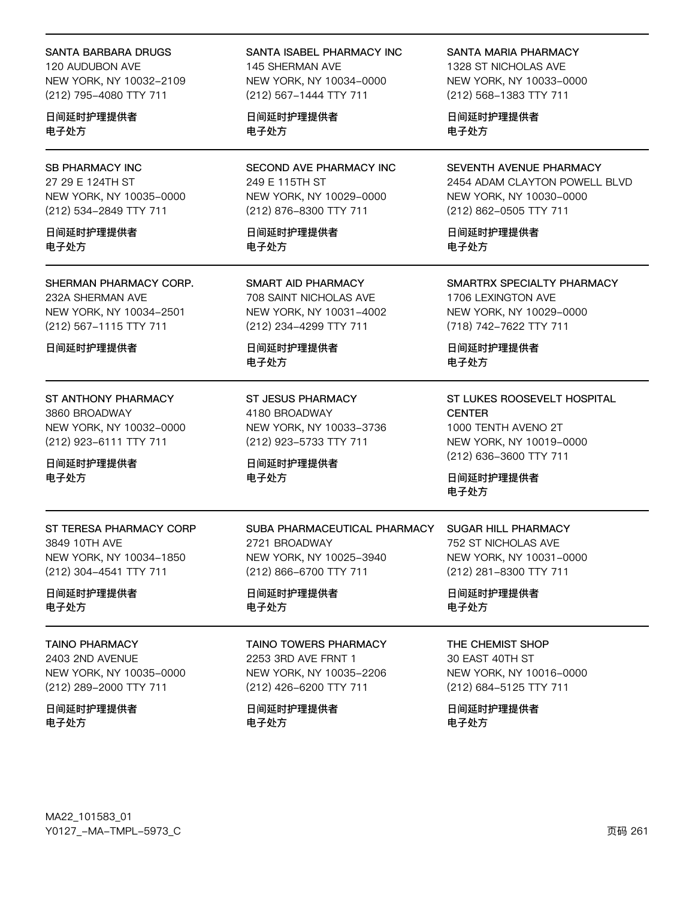#### SANTA BARBARA DRUGS

120 AUDUBON AVE NEW YORK, NY 10032-2109 (212) 795-4080 TTY 711

日间延时护理提供者 电子处方

### SB PHARMACY INC 27 29 E 124TH ST NEW YORK, NY 10035-0000 (212) 534-2849 TTY 711

日间延时护理提供者 电子处方

### SHERMAN PHARMACY CORP. 232A SHERMAN AVE NEW YORK, NY 10034-2501 (212) 567-1115 TTY 711

日间延时护理提供者

### ST ANTHONY PHARMACY 3860 BROADWAY NEW YORK, NY 10032-0000 (212) 923-6111 TTY 711

日间延时护理提供者 电子处方

### ST TERESA PHARMACY CORP 3849 10TH AVE NEW YORK, NY 10034-1850 (212) 304-4541 TTY 711

日间延时护理提供者 电子处方

#### TAINO PHARMACY

2403 2ND AVENUE NEW YORK, NY 10035-0000 (212) 289-2000 TTY 711

日间延时护理提供者 电子处方

### SANTA ISABEL PHARMACY INC 145 SHERMAN AVE NEW YORK, NY 10034-0000 (212) 567-1444 TTY 711

日间延时护理提供者 电子处方

SECOND AVE PHARMACY INC 249 E 115TH ST NEW YORK, NY 10029-0000 (212) 876-8300 TTY 711

日间延时护理提供者 电子处方

SMART AID PHARMACY 708 SAINT NICHOLAS AVE NEW YORK, NY 10031-4002 (212) 234-4299 TTY 711

日间延时护理提供者 电子处方

ST JESUS PHARMACY 4180 BROADWAY NEW YORK, NY 10033-3736 (212) 923-5733 TTY 711

NEW YORK, NY 10025-3940 (212) 866-6700 TTY 711

TAINO TOWERS PHARMACY 2253 3RD AVE FRNT 1 NEW YORK, NY 10035-2206 (212) 426-6200 TTY 711

SUBA PHARMACEUTICAL PHARMACY

日间延时护理提供者 电子处方

2721 BROADWAY

日间延时护理提供者

日间延时护理提供者

电子处方

电子处方

#### SANTA MARIA PHARMACY

1328 ST NICHOLAS AVE NEW YORK, NY 10033-0000 (212) 568-1383 TTY 711

日间延时护理提供者 电子处方

### SEVENTH AVENUE PHARMACY 2454 ADAM CLAYTON POWELL BLVD NEW YORK, NY 10030-0000 (212) 862-0505 TTY 711

日间延时护理提供者 电子处方

#### SMARTRX SPECIALTY PHARMACY 1706 LEXINGTON AVE

NEW YORK, NY 10029-0000 (718) 742-7622 TTY 711

日间延时护理提供者 电子处方

### ST LUKES ROOSEVELT HOSPITAL **CENTER** 1000 TENTH AVENO 2T

NEW YORK, NY 10019-0000 (212) 636-3600 TTY 711

日间延时护理提供者 电子处方

### SUGAR HILL PHARMACY 752 ST NICHOLAS AVE NEW YORK, NY 10031-0000 (212) 281-8300 TTY 711

日间延时护理提供者 电子处方

#### THE CHEMIST SHOP

30 EAST 40TH ST NEW YORK, NY 10016-0000 (212) 684-5125 TTY 711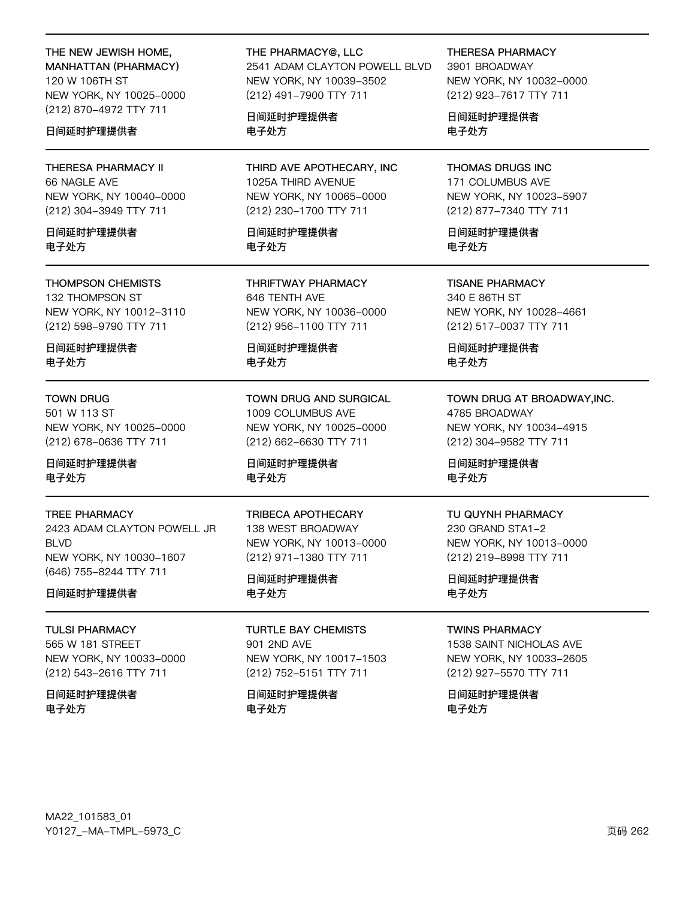# THE NEW JEWISH HOME,

**MANHATTAN (PHARMACY)** 120 W 106TH ST NEW YORK, NY 10025-0000 (212) 870-4972 TTY 711

### 日间延时护理提供者

**THERESA PHARMACY II** 66 NAGLE AVE NEW YORK, NY 10040-0000 (212) 304-3949 TTY 711

日间延时护理提供者 电子外方

#### **THOMPSON CHEMISTS**

132 THOMPSON ST NEW YORK, NY 10012-3110 (212) 598-9790 TTY 711

日间延时护理提供者 电子处方

#### **TOWN DRUG**

501 W 113 ST NEW YORK, NY 10025-0000 (212) 678-0636 TTY 711

日间延时护理提供者 电子处方

#### **TREE PHARMACY**

2423 ADAM CLAYTON POWELL JR **BIVD** NEW YORK, NY 10030-1607 (646) 755-8244 TTY 711

#### 日间延时护理提供者

**TULSI PHARMACY** 565 W 181 STREET NEW YORK, NY 10033-0000 (212) 543-2616 TTY 711

日间延时护理提供者 电子处方

#### THE PHARMACY@, LLC 2541 ADAM CLAYTON POWELL BLVD NEW YORK, NY 10039-3502 (212) 491-7900 TTY 711

日间延时护理提供者 电子处方

THIRD AVE APOTHECARY, INC 1025A THIRD AVENUE NEW YORK, NY 10065-0000 (212) 230-1700 TTY 711

日间延时护理提供者 电子外方

**THRIFTWAY PHARMACY** 646 TENTH AVE NEW YORK, NY 10036-0000 (212) 956-1100 TTY 711

日间延时护理提供者 电子处方

TOWN DRUG AND SURGICAL 1009 COLUMBUS AVE NEW YORK, NY 10025-0000 (212) 662-6630 TTY 711

日间延时护理提供者 电子处方

#### **TRIBECA APOTHECARY** 138 WEST BROADWAY NEW YORK, NY 10013-0000

(212) 971-1380 TTY 711

日间延时护理提供者 电子处方

**TURTLE BAY CHEMISTS** 901 2ND AVE NEW YORK, NY 10017-1503 (212) 752-5151 TTY 711

日间延时护理提供者 电子处方

**THERESA PHARMACY** 

3901 BROADWAY NEW YORK, NY 10032-0000 (212) 923-7617 TTY 711

日间延时护理提供者 电子处方

**THOMAS DRUGS INC** 171 COLUMBUS AVE NEW YORK, NY 10023-5907 (212) 877-7340 TTY 711

日间延时护理提供者 电子外方

**TISANE PHARMACY** 340 E 86TH ST NEW YORK, NY 10028-4661 (212) 517-0037 TTY 711

日间延时护理提供者 电子处方

### TOWN DRUG AT BROADWAY, INC. 4785 BROADWAY NEW YORK, NY 10034-4915 (212) 304-9582 TTY 711

日间延时护理提供者 电子处方

#### TU QUYNH PHARMACY

230 GRAND STA1-2 NEW YORK, NY 10013-0000 (212) 219-8998 TTY 711

日间延时护理提供者 电子处方

### **TWINS PHARMACY**

1538 SAINT NICHOLAS AVE NEW YORK, NY 10033-2605 (212) 927-5570 TTY 711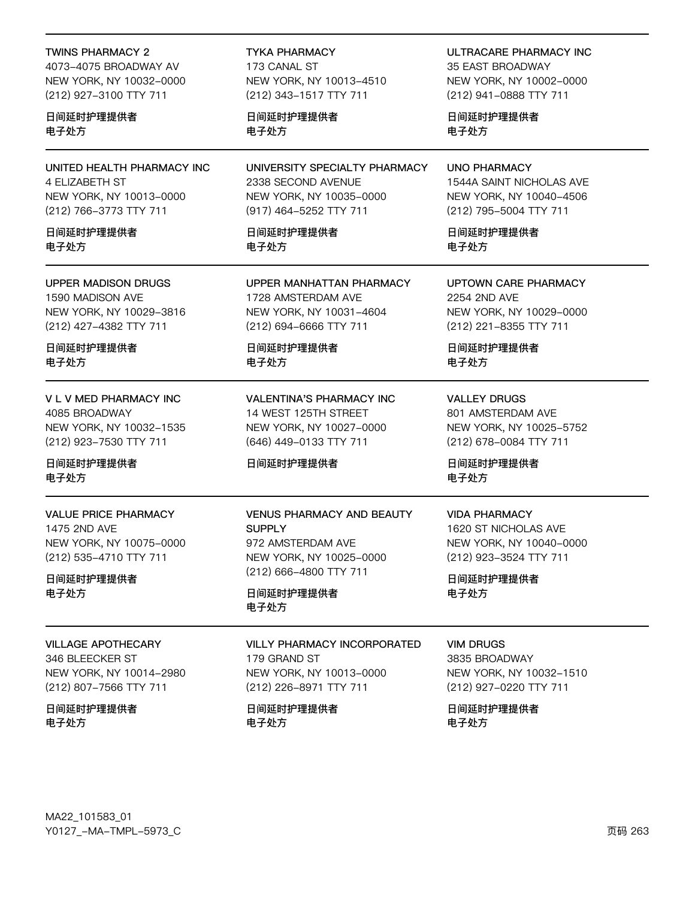#### TWINS PHARMACY 2

4073-4075 BROADWAY AV NEW YORK, NY 10032-0000 (212) 927-3100 TTY 711

### 日间延时护理提供者 电子处方

UNITED HEALTH PHARMACY INC 4 ELIZABETH ST NEW YORK, NY 10013-0000 (212) 766-3773 TTY 711

#### 日间延时护理提供者 电子处方

#### UPPER MADISON DRUGS 1590 MADISON AVE NEW YORK, NY 10029-3816 (212) 427-4382 TTY 711

日间延时护理提供者 电子处方

V L V MED PHARMACY INC 4085 BROADWAY NEW YORK, NY 10032-1535 (212) 923-7530 TTY 711

日间延时护理提供者 电子处方

### VALUE PRICE PHARMACY 1475 2ND AVE NEW YORK, NY 10075-0000 (212) 535-4710 TTY 711

日间延时护理提供者 电子处方

#### VILLAGE APOTHECARY

346 BLEECKER ST NEW YORK, NY 10014-2980 (212) 807-7566 TTY 711

### 日间延时护理提供者 电子处方

TYKA PHARMACY 173 CANAL ST NEW YORK, NY 10013-4510 (212) 343-1517 TTY 711

日间延时护理提供者 电子处方

UNIVERSITY SPECIALTY PHARMACY 2338 SECOND AVENUE NEW YORK, NY 10035-0000 (917) 464-5252 TTY 711

日间延时护理提供者 电子处方

UPPER MANHATTAN PHARMACY 1728 AMSTERDAM AVE NEW YORK, NY 10031-4604 (212) 694-6666 TTY 711

日间延时护理提供者 电子处方

VALENTINA'S PHARMACY INC 14 WEST 125TH STREET NEW YORK, NY 10027-0000 (646) 449-0133 TTY 711

### 日间延时护理提供者

VENUS PHARMACY AND BEAUTY **SUPPLY** 972 AMSTERDAM AVE NEW YORK, NY 10025-0000 (212) 666-4800 TTY 711

日间延时护理提供者 电子处方

#### VILLY PHARMACY INCORPORATED

179 GRAND ST NEW YORK, NY 10013-0000 (212) 226-8971 TTY 711

日间延时护理提供者 电子处方

ULTRACARE PHARMACY INC 35 FAST BROADWAY NEW YORK, NY 10002-0000 (212) 941-0888 TTY 711

日间延时护理提供者 电子处方

UNO PHARMACY 1544A SAINT NICHOLAS AVE NEW YORK, NY 10040-4506 (212) 795-5004 TTY 711

日间延时护理提供者 电子处方

UPTOWN CARE PHARMACY 2254 2ND AVE NEW YORK, NY 10029-0000 (212) 221-8355 TTY 711

日间延时护理提供者 电子处方

VALLEY DRUGS 801 AMSTERDAM AVE NEW YORK, NY 10025-5752 (212) 678-0084 TTY 711

日间延时护理提供者 电子处方

## VIDA PHARMACY

1620 ST NICHOLAS AVE NEW YORK, NY 10040-0000 (212) 923-3524 TTY 711

日间延时护理提供者 电子处方

#### VIM DRUGS

3835 BROADWAY NEW YORK, NY 10032-1510 (212) 927-0220 TTY 711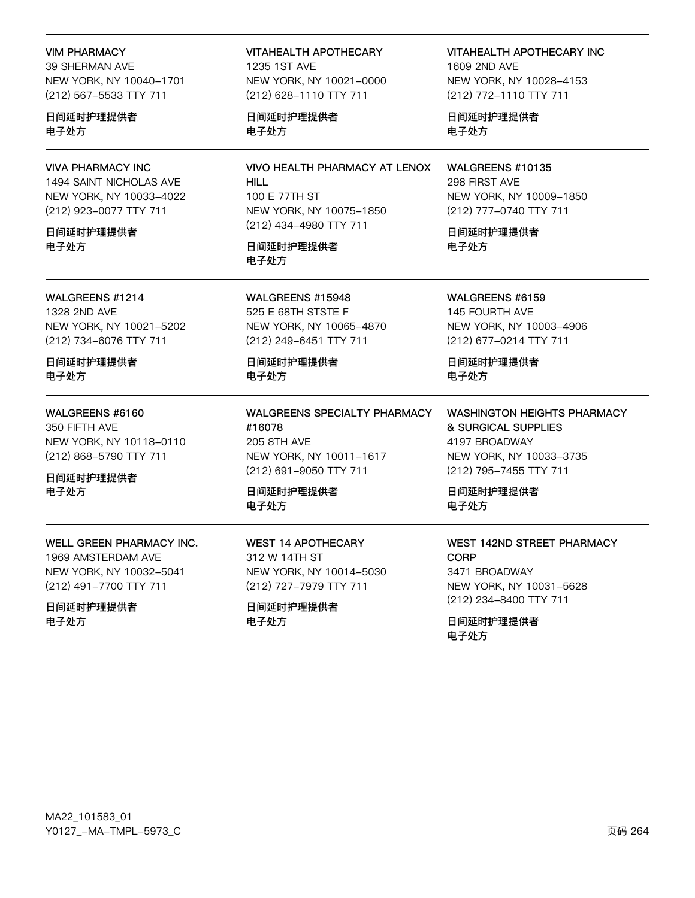#### VIM PHARMACY

39 SHERMAN AVE NEW YORK, NY 10040-1701 (212) 567-5533 TTY 711

日间延时护理提供者 电子处方

### VIVA PHARMACY INC

1494 SAINT NICHOLAS AVE NEW YORK, NY 10033-4022 (212) 923-0077 TTY 711

日间延时护理提供者 电子处方

WALGREENS #1214

1328 2ND AVE NEW YORK, NY 10021-5202 (212) 734-6076 TTY 711

日间延时护理提供者 电子处方

### WALGREENS #6160

350 FIFTH AVE NEW YORK, NY 10118-0110 (212) 868-5790 TTY 711

日间延时护理提供者 电子处方

WELL GREEN PHARMACY INC. 1969 AMSTERDAM AVE NEW YORK, NY 10032-5041 (212) 491-7700 TTY 711

日间延时护理提供者 电子处方

VITAHEALTH APOTHECARY 1235 1ST AVF NEW YORK, NY 10021-0000 (212) 628-1110 TTY 711

日间延时护理提供者 电子处方

VIVO HEALTH PHARMACY AT LENOX HILL 100 E 77TH ST NEW YORK, NY 10075-1850 (212) 434-4980 TTY 711

日间延时护理提供者 电子处方

WALGREENS #15948 525 E 68TH STSTE F NEW YORK, NY 10065-4870 (212) 249-6451 TTY 711

日间延时护理提供者 电子处方

WALGREENS SPECIALTY PHARMACY #16078 205 8TH AVE NEW YORK, NY 10011-1617 (212) 691-9050 TTY 711

日间延时护理提供者 电子处方

WEST 14 APOTHECARY 312 W 14TH ST NEW YORK, NY 10014-5030 (212) 727-7979 TTY 711

日间延时护理提供者 电子处方

VITAHEALTH APOTHECARY INC 1609 2ND AVE NEW YORK, NY 10028-4153 (212) 772-1110 TTY 711

日间延时护理提供者 电子处方

WALGREENS #10135 298 FIRST AVE NEW YORK, NY 10009-1850 (212) 777-0740 TTY 711

日间延时护理提供者 电子处方

WALGREENS #6159 145 FOURTH AVE NEW YORK, NY 10003-4906 (212) 677-0214 TTY 711

日间延时护理提供者 电子处方

WASHINGTON HEIGHTS PHARMACY & SURGICAL SUPPLIES 4197 BROADWAY NEW YORK, NY 10033-3735 (212) 795-7455 TTY 711

日间延时护理提供者 电子处方

### WEST 142ND STREET PHARMACY **CORP** 3471 BROADWAY NEW YORK, NY 10031-5628 (212) 234-8400 TTY 711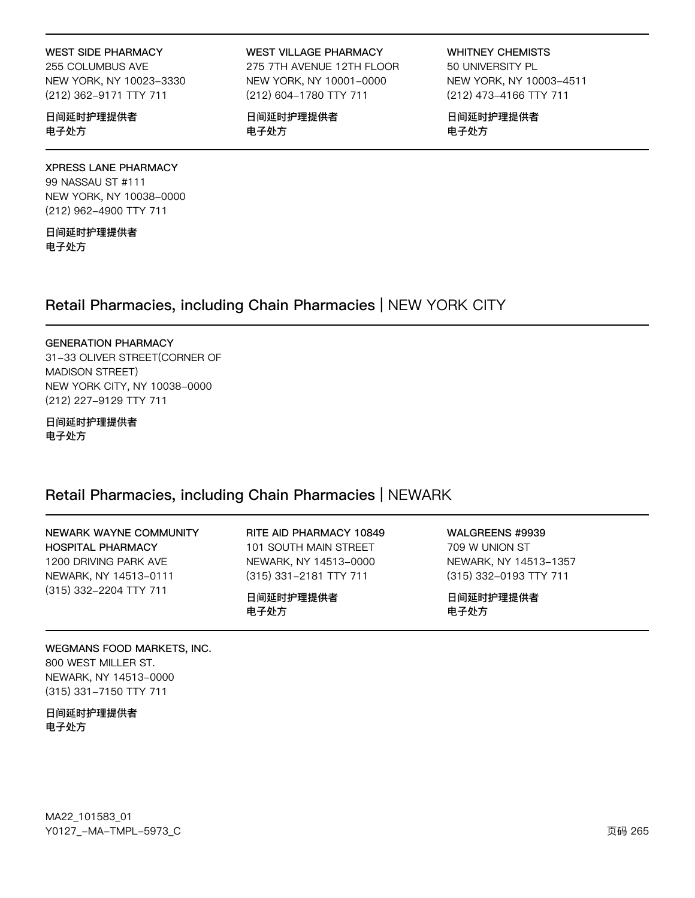#### **WEST SIDE PHARMACY**

255 COLUMBUS AVE NEW YORK, NY 10023-3330 (212) 362-9171 TTY 711

日间延时护理提供者 电子处方

### **WEST VILLAGE PHARMACY**

275 7TH AVENUE 12TH FLOOR NEW YORK, NY 10001-0000 (212) 604-1780 TTY 711

日间延时护理提供者 电子处方

**WHITNEY CHEMISTS** 50 UNIVERSITY PL NEW YORK, NY 10003-4511 (212) 473-4166 TTY 711

日间延时护理提供者 电子处方

### **XPRESS LANE PHARMACY** 99 NASSAU ST #111 NEW YORK, NY 10038-0000 (212) 962-4900 TTY 711

日间延时护理提供者 电子处方

# Retail Pharmacies, including Chain Pharmacies | NEW YORK CITY

#### **GENERATION PHARMACY**

31-33 OLIVER STREET(CORNER OF MADISON STREET) NEW YORK CITY, NY 10038-0000 (212) 227-9129 TTY 711

日间延时护理提供者 电子处方

# Retail Pharmacies, including Chain Pharmacies | NEWARK

| NEWARK WAYNE COMMUNITY   | RITE AID PHARMACY 10849 | WALGREENS #9939        |
|--------------------------|-------------------------|------------------------|
| <b>HOSPITAL PHARMACY</b> | 101 SOUTH MAIN STREET   | 709 W UNION ST         |
| 1200 DRIVING PARK AVE    | NEWARK, NY 14513-0000   | NEWARK, NY 14513-1357  |
| NEWARK, NY 14513-0111    | (315) 331-2181 TTY 711  | (315) 332-0193 TTY 711 |
| (315) 332-2204 TTY 711   | 日间延时护理提供者<br>电子处方       | 日间延时护理提供者<br>电子处方      |

WEGMANS FOOD MARKETS, INC. 800 WEST MILLER ST. NEWARK, NY 14513-0000 (315) 331-7150 TTY 711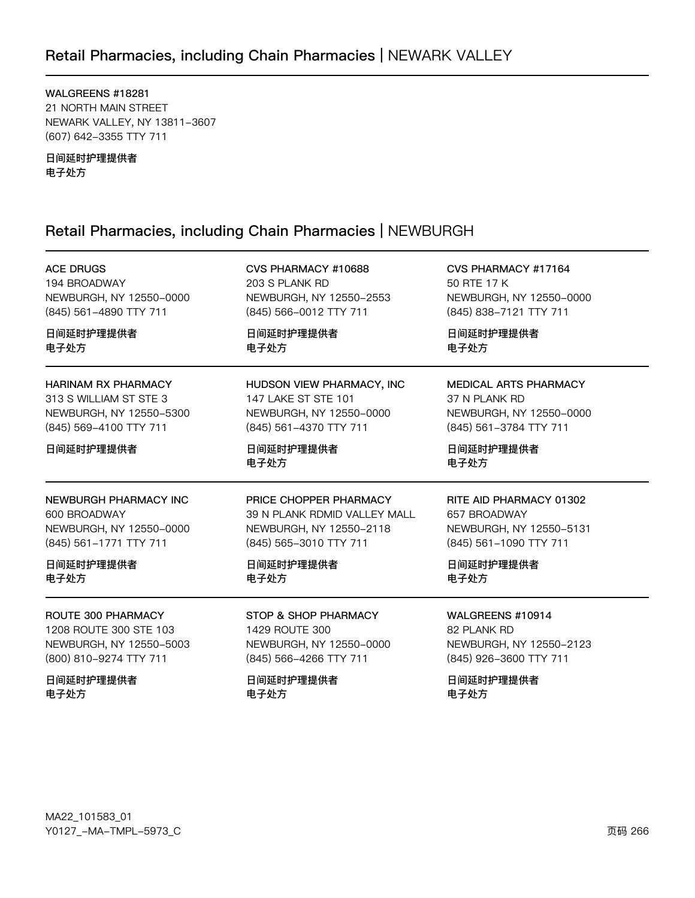# Retail Pharmacies, including Chain Pharmacies | NEWARK VALLEY

WALGREENS #18281 21 NORTH MAIN STREET NEWARK VALLEY, NY 13811-3607 (607) 642-3355 TTY 711

日间延时护理提供者 电子处方

# Retail Pharmacies, including Chain Pharmacies | NEWBURGH

| <b>ACE DRUGS</b>           | CVS PHARMACY #10688          | CVS PHARMACY #17164          |
|----------------------------|------------------------------|------------------------------|
| 194 BROADWAY               | 203 S PLANK RD               | 50 RTE 17 K                  |
| NEWBURGH, NY 12550-0000    | NEWBURGH, NY 12550-2553      | NEWBURGH, NY 12550-0000      |
| (845) 561-4890 TTY 711     | (845) 566-0012 TTY 711       | (845) 838-7121 TTY 711       |
| 日间延时护理提供者                  | 日间延时护理提供者                    | 日间延时护理提供者                    |
| 电子处方                       | 电子处方                         | 电子处方                         |
| <b>HARINAM RX PHARMACY</b> | HUDSON VIEW PHARMACY, INC    | <b>MEDICAL ARTS PHARMACY</b> |
| 313 S WILLIAM ST STE 3     | 147 LAKE ST STE 101          | 37 N PLANK RD                |
| NEWBURGH, NY 12550-5300    | NEWBURGH, NY 12550-0000      | NEWBURGH, NY 12550-0000      |
| (845) 569-4100 TTY 711     | (845) 561-4370 TTY 711       | (845) 561-3784 TTY 711       |
| 日间延时护理提供者                  | 日间延时护理提供者<br>电子处方            | 日间延时护理提供者<br>电子处方            |
| NEWBURGH PHARMACY INC      | PRICE CHOPPER PHARMACY       | RITE AID PHARMACY 01302      |
| 600 BROADWAY               | 39 N PLANK RDMID VALLEY MALL | 657 BROADWAY                 |
| NEWBURGH, NY 12550-0000    | NEWBURGH, NY 12550-2118      | NEWBURGH, NY 12550-5131      |
| (845) 561-1771 TTY 711     | (845) 565-3010 TTY 711       | (845) 561-1090 TTY 711       |
| 日间延时护理提供者                  | 日间延时护理提供者                    | 日间延时护理提供者                    |
| 电子处方                       | 电子处方                         | 电子处方                         |
| ROUTE 300 PHARMACY         | STOP & SHOP PHARMACY         | WALGREENS #10914             |
| 1208 ROUTE 300 STE 103     | 1429 ROUTE 300               | 82 PLANK RD                  |
| NEWBURGH, NY 12550-5003    | NEWBURGH, NY 12550-0000      | NEWBURGH, NY 12550-2123      |
| (800) 810-9274 TTY 711     | (845) 566-4266 TTY 711       | (845) 926-3600 TTY 711       |
| 日间延时护理提供者                  | 日间延时护理提供者                    | 日间延时护理提供者                    |
| 电子处方                       | 电子处方                         | 电子处方                         |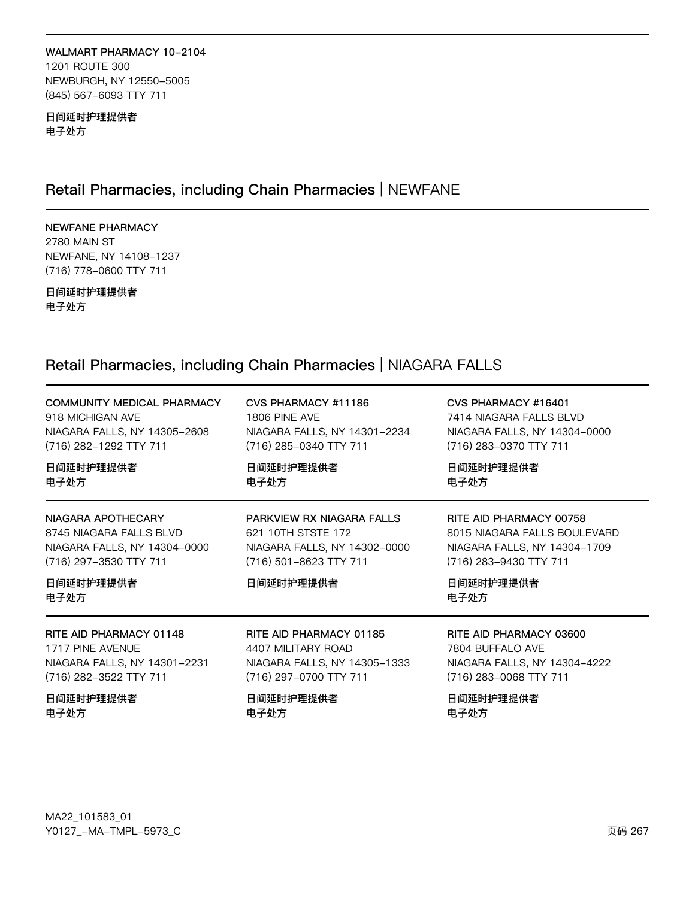#### WALMART PHARMACY 10-2104 1201 ROUTE 300

NEWBURGH, NY 12550-5005 (845) 567-6093 TTY 711

日间延时护理提供者 电子处方

# Retail Pharmacies, including Chain Pharmacies | NEWFANE

# NEWFANE PHARMACY

2780 MAIN ST NEWFANE, NY 14108-1237 (716) 778-0600 TTY 711

日间延时护理提供者 电子处方

# Retail Pharmacies, including Chain Pharmacies | NIAGARA FALLS

| <b>COMMUNITY MEDICAL PHARMACY</b>                                                                                            | CVS PHARMACY #11186                                                                                                    | CVS PHARMACY #16401                                                                                                                    |
|------------------------------------------------------------------------------------------------------------------------------|------------------------------------------------------------------------------------------------------------------------|----------------------------------------------------------------------------------------------------------------------------------------|
| 918 MICHIGAN AVE                                                                                                             | 1806 PINE AVE                                                                                                          | 7414 NIAGARA FALLS BLVD                                                                                                                |
| NIAGARA FALLS, NY 14305-2608                                                                                                 | NIAGARA FALLS, NY 14301-2234                                                                                           | NIAGARA FALLS, NY 14304-0000                                                                                                           |
| (716) 282-1292 TTY 711                                                                                                       | (716) 285-0340 TTY 711                                                                                                 | (716) 283-0370 TTY 711                                                                                                                 |
| 日间延时护理提供者                                                                                                                    | 日间延时护理提供者                                                                                                              | 日间延时护理提供者                                                                                                                              |
| 电子处方                                                                                                                         | 电子处方                                                                                                                   | 电子处方                                                                                                                                   |
| NIAGARA APOTHECARY<br>8745 NIAGARA FALLS BLVD<br>NIAGARA FALLS, NY 14304-0000<br>(716) 297-3530 TTY 711<br>日间延时护理提供者<br>电子处方 | PARKVIEW RX NIAGARA FALLS<br>621 10TH STSTE 172<br>NIAGARA FALLS, NY 14302-0000<br>(716) 501-8623 TTY 711<br>日间延时护理提供者 | RITE AID PHARMACY 00758<br>8015 NIAGARA FALLS BOULEVARD<br>NIAGARA FALLS, NY 14304-1709<br>(716) 283-9430 TTY 711<br>日间延时护理提供者<br>电子处方 |
| RITE AID PHARMACY 01148                                                                                                      | RITE AID PHARMACY 01185                                                                                                | RITE AID PHARMACY 03600                                                                                                                |
| 1717 PINE AVENUE                                                                                                             | 4407 MILITARY ROAD                                                                                                     | 7804 BUFFALO AVE                                                                                                                       |
| NIAGARA FALLS, NY 14301-2231                                                                                                 | NIAGARA FALLS, NY 14305-1333                                                                                           | NIAGARA FALLS, NY 14304-4222                                                                                                           |
| (716) 282-3522 TTY 711                                                                                                       | (716) 297-0700 TTY 711                                                                                                 | (716) 283-0068 TTY 711                                                                                                                 |
| 日间延时护理提供者                                                                                                                    | 日间延时护理提供者                                                                                                              | 日间延时护理提供者                                                                                                                              |
| 电子处方                                                                                                                         | 电子处方                                                                                                                   | 电子处方                                                                                                                                   |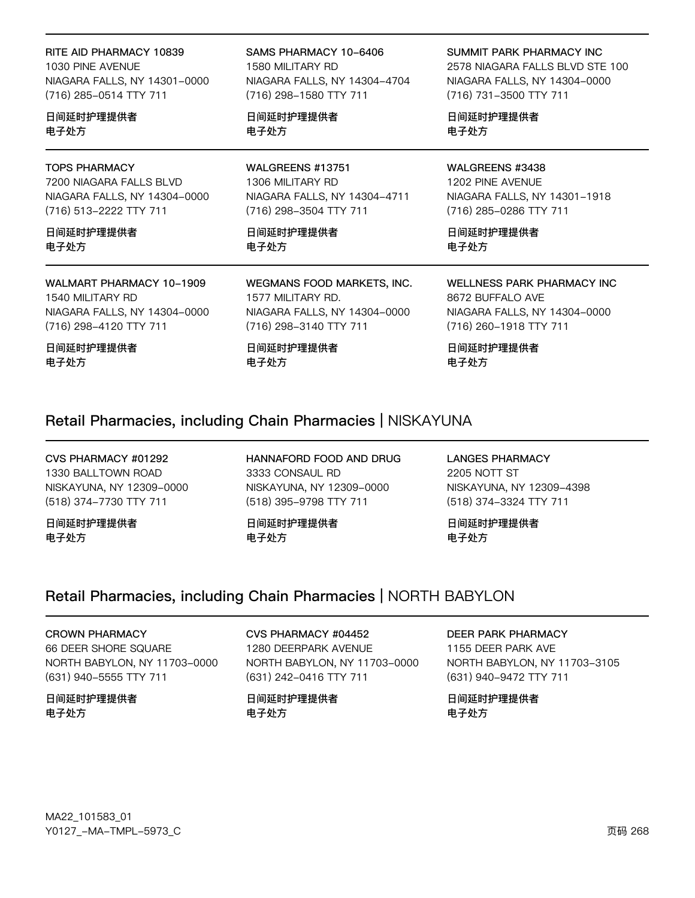RITE AID PHARMACY 10839 1030 PINE AVENUE NIAGARA FALLS, NY 14301-0000 (716) 285-0514 TTY 711 日间延时护理提供者 电子处方 电子处方

### TOPS PHARMACY

7200 NIAGARA FALLS BLVD NIAGARA FALLS, NY 14304-0000 (716) 513-2222 TTY 711

日间延时护理提供者 电子处方

WALMART PHARMACY 10-1909 1540 MILITARY RD NIAGARA FALLS, NY 14304-0000 (716) 298-4120 TTY 711

日间延时护理提供者 电子处方

SAMS PHARMACY 10-6406 1580 MILITARY RD NIAGARA FALLS, NY 14304-4704 (716) 298-1580 TTY 711

日间延时护理提供者

WALGREENS #13751 1306 MILITARY RD NIAGARA FALLS, NY 14304-4711 (716) 298-3504 TTY 711

日间延时护理提供者 电子处方

WEGMANS FOOD MARKETS, INC. 1577 MILITARY RD. NIAGARA FALLS, NY 14304-0000 (716) 298-3140 TTY 711

日间延时护理提供者 电子处方

#### SUMMIT PARK PHARMACY INC

2578 NIAGARA FALLS BLVD STE 100 NIAGARA FALLS, NY 14304-0000 (716) 731-3500 TTY 711

日间延时护理提供者 电子处方

### WALGREENS #3438

1202 PINE AVENUE NIAGARA FALLS, NY 14301-1918 (716) 285-0286 TTY 711

日间延时护理提供者 电子处方

WELLNESS PARK PHARMACY INC 8672 BUFFALO AVE

NIAGARA FALLS, NY 14304-0000 (716) 260-1918 TTY 711

日间延时护理提供者 电子处方

## Retail Pharmacies, including Chain Pharmacies | NISKAYUNA

CVS PHARMACY #01292 1330 BALLTOWN ROAD NISKAYUNA, NY 12309-0000 (518) 374-7730 TTY 711

日间延时护理提供者 电子处方

HANNAFORD FOOD AND DRUG 3333 CONSAUL RD NISKAYUNA, NY 12309-0000 (518) 395-9798 TTY 711

日间延时护理提供者 电子处方

LANGES PHARMACY 2205 NOTT ST NISKAYUNA, NY 12309-4398 (518) 374-3324 TTY 711

日间延时护理提供者 电子处方

# Retail Pharmacies, including Chain Pharmacies | NORTH BABYLON

CROWN PHARMACY 66 DEER SHORE SQUARE NORTH BABYLON, NY 11703-0000 (631) 940-5555 TTY 711

日间延时护理提供者 电子处方

CVS PHARMACY #04452 1280 DEERPARK AVENUE NORTH BABYLON, NY 11703-0000 (631) 242-0416 TTY 711

日间延时护理提供者 电子处方

DEER PARK PHARMACY

1155 DEER PARK AVE NORTH BABYLON, NY 11703-3105 (631) 940-9472 TTY 711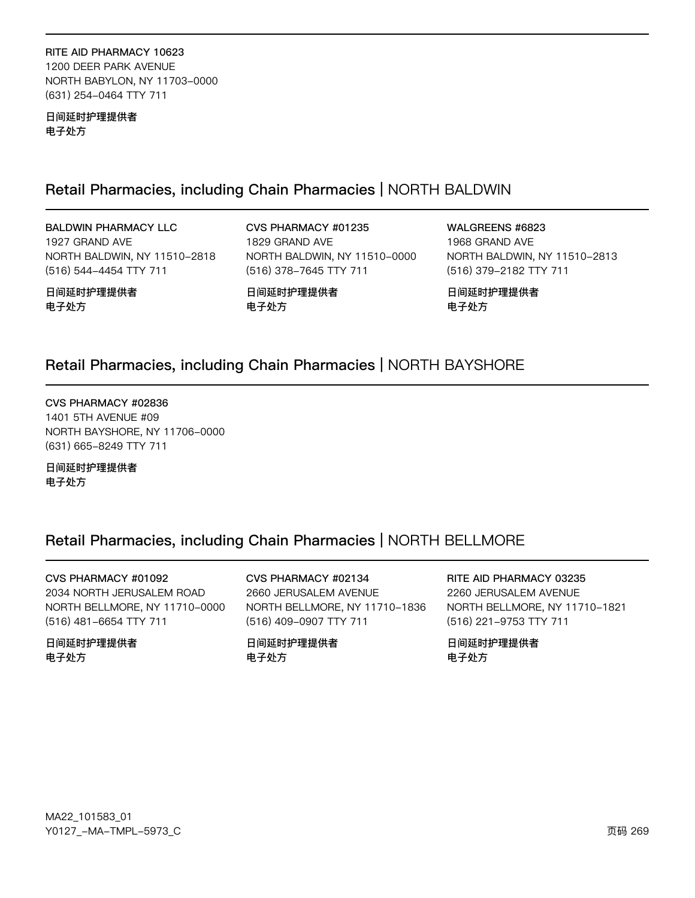RITE AID PHARMACY 10623 1200 DEER PARK AVENUE NORTH BABYLON, NY 11703-0000 (631) 254-0464 TTY 711

日间延时护理提供者 电子处方

# Retail Pharmacies, including Chain Pharmacies | NORTH BALDWIN

# **BALDWIN PHARMACY LLC**

1927 GRAND AVE NORTH BALDWIN, NY 11510-2818 (516) 544-4454 TTY 711

日间延时护理提供者 电子处方

CVS PHARMACY #01235 1829 GRAND AVE NORTH BALDWIN, NY 11510-0000 (516) 378-7645 TTY 711

WALGREENS #6823 1968 GRAND AVE NORTH BALDWIN, NY 11510-2813 (516) 379-2182 TTY 711

日间延时护理提供者 电子处方

# Retail Pharmacies, including Chain Pharmacies | NORTH BAYSHORE

日间延时护理提供者

电子处方

CVS PHARMACY #02836 1401 5TH AVENUE #09 NORTH BAYSHORE, NY 11706-0000 (631) 665-8249 TTY 711

日间延时护理提供者 电子处方

# Retail Pharmacies, including Chain Pharmacies | NORTH BELLMORE

CVS PHARMACY #01092

2034 NORTH JERUSALEM ROAD NORTH BELLMORE, NY 11710-0000 (516) 481-6654 TTY 711

日间延时护理提供者 电子处方

# CVS PHARMACY #02134

2660 JERUSALEM AVENUE NORTH BELLMORE, NY 11710-1836 (516) 409-0907 TTY 711

日间延时护理提供者 电子处方

RITE AID PHARMACY 03235 2260 JERUSALEM AVENUE NORTH BELLMORE, NY 11710-1821 (516) 221-9753 TTY 711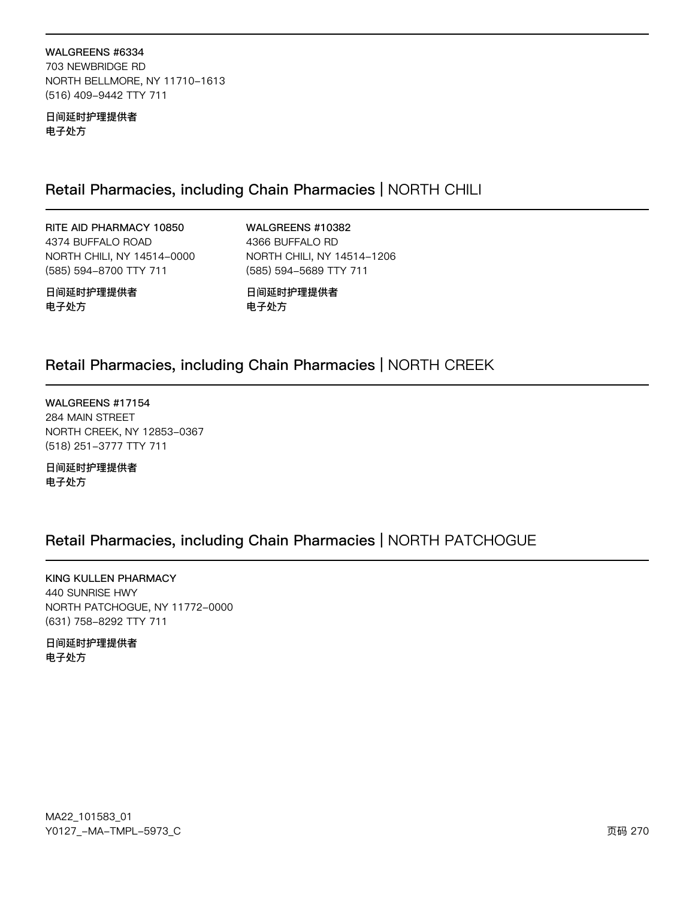WALGREENS #6334 703 NEWBRIDGE RD NORTH BELLMORE, NY 11710-1613 (516) 409-9442 TTY 711

日间延时护理提供者 电子处方

# Retail Pharmacies, including Chain Pharmacies | NORTH CHILI

RITE AID PHARMACY 10850 4374 BUFFALO ROAD NORTH CHILI, NY 14514-0000 (585) 594-8700 TTY 711

**WALGREENS #10382** 4366 BUFFALO RD NORTH CHILI, NY 14514-1206 (585) 594-5689 TTY 711

日间延时护理提供者 电子处方

日间延时护理提供者 电子处方

# Retail Pharmacies, including Chain Pharmacies | NORTH CREEK

WALGREENS #17154 284 MAIN STREET NORTH CREEK, NY 12853-0367 (518) 251-3777 TTY 711

日间延时护理提供者 电子处方

# Retail Pharmacies, including Chain Pharmacies | NORTH PATCHOGUE

KING KULLEN PHARMACY 440 SUNRISE HWY NORTH PATCHOGUE, NY 11772-0000 (631) 758-8292 TTY 711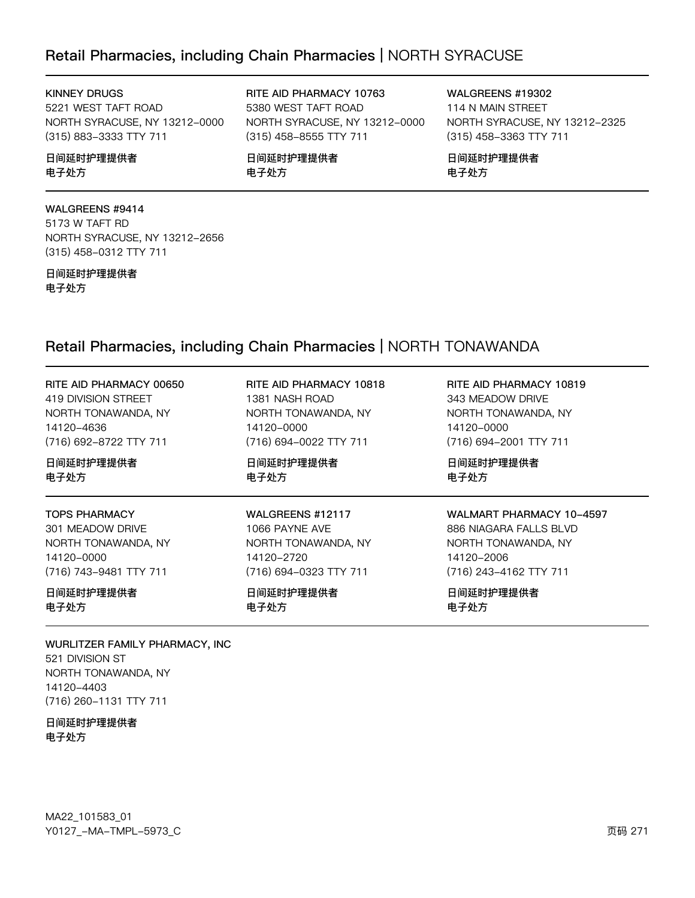# Retail Pharmacies, including Chain Pharmacies | NORTH SYRACUSE

### KINNEY DRUGS

5221 WEST TAFT ROAD NORTH SYRACUSE, NY 13212-0000 (315) 883-3333 TTY 711

### 日间延时护理提供者 电子处方

## WALGREENS #9414

5173 W TAFT RD NORTH SYRACUSE, NY 13212-2656 (315) 458-0312 TTY 711

#### 日间延时护理提供者 电子处方

RITE AID PHARMACY 10763 5380 WEST TAFT ROAD NORTH SYRACUSE, NY 13212-0000 (315) 458-8555 TTY 711

日间延时护理提供者 电子处方

WALGREENS #19302 114 N MAIN STREET NORTH SYRACUSE, NY 13212-2325 (315) 458-3363 TTY 711

日间延时护理提供者 电子处方

# Retail Pharmacies, including Chain Pharmacies | NORTH TONAWANDA

| RITE AID PHARMACY 00650 | RITE AID PHARMACY 10818 | RITE AID PHARMACY 10819         |
|-------------------------|-------------------------|---------------------------------|
| 419 DIVISION STREET     | 1381 NASH ROAD          | 343 MEADOW DRIVE                |
| NORTH TONAWANDA, NY     | NORTH TONAWANDA, NY     | NORTH TONAWANDA, NY             |
| 14120-4636              | 14120-0000              | 14120-0000                      |
| (716) 692-8722 TTY 711  | (716) 694-0022 TTY 711  | (716) 694-2001 TTY 711          |
| 日间延时护理提供者               | 日间延时护理提供者               | 日间延时护理提供者                       |
| 电子处方                    | 电子处方                    | 电子处方                            |
| <b>TOPS PHARMACY</b>    | WALGREENS #12117        | <b>WALMART PHARMACY 10-4597</b> |
| 301 MEADOW DRIVE        | 1066 PAYNE AVE          | 886 NIAGARA FALLS BLVD          |
| NORTH TONAWANDA, NY     | NORTH TONAWANDA, NY     | NORTH TONAWANDA, NY             |
| 14120-0000              | 14120-2720              | 14120-2006                      |
| (716) 743-9481 TTY 711  | (716) 694-0323 TTY 711  | (716) 243-4162 TTY 711          |
| 日间延时护理提供者               | 日间延时护理提供者               | 日间延时护理提供者                       |
| 电子处方                    | 电子处方                    | 电子处方                            |

WURLITZER FAMILY PHARMACY, INC 521 DIVISION ST NORTH TONAWANDA, NY 14120-4403 (716) 260-1131 TTY 711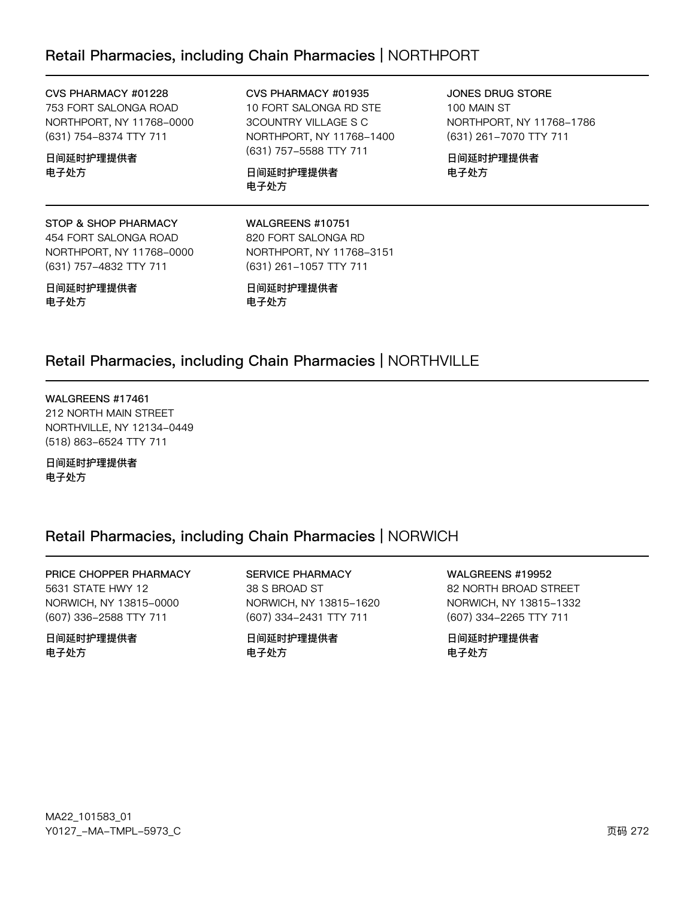# Retail Pharmacies, including Chain Pharmacies | NORTHPORT

#### CVS PHARMACY #01228

753 FORT SALONGA ROAD NORTHPORT, NY 11768-0000 (631) 754-8374 TTY 711

### 日间延时护理提供者 电子处方

CVS PHARMACY #01935

10 FORT SALONGA RD STE 3COUNTRY VILLAGE S C NORTHPORT, NY 11768-1400 (631) 757-5588 TTY 711

日间延时护理提供者 电子处方

WALGREENS #10751 820 FORT SALONGA RD NORTHPORT, NY 11768-3151 JONES DRUG STORE 100 MAIN ST NORTHPORT, NY 11768-1786 (631) 261-7070 TTY 711

日间延时护理提供者 电子处方

### STOP & SHOP PHARMACY 454 FORT SALONGA ROAD NORTHPORT, NY 11768-0000 (631) 757-4832 TTY 711

日间延时护理提供者 电子处方

(631) 261-1057 TTY 711 日间延时护理提供者 电子处方

# Retail Pharmacies, including Chain Pharmacies | NORTHVILLE

### WALGREENS #17461 212 NORTH MAIN STREET NORTHVILLE, NY 12134-0449 (518) 863-6524 TTY 711

日间延时护理提供者 电子处方

# Retail Pharmacies, including Chain Pharmacies | NORWICH

#### PRICE CHOPPER PHARMACY 5631 STATE HWY 12 NORWICH, NY 13815-0000 (607) 336-2588 TTY 711

日间延时护理提供者 电子处方

#### SERVICE PHARMACY 38 S BROAD ST NORWICH, NY 13815-1620 (607) 334-2431 TTY 711

日间延时护理提供者 电子处方

#### WALGREENS #19952 82 NORTH BROAD STREET

NORWICH, NY 13815-1332 (607) 334-2265 TTY 711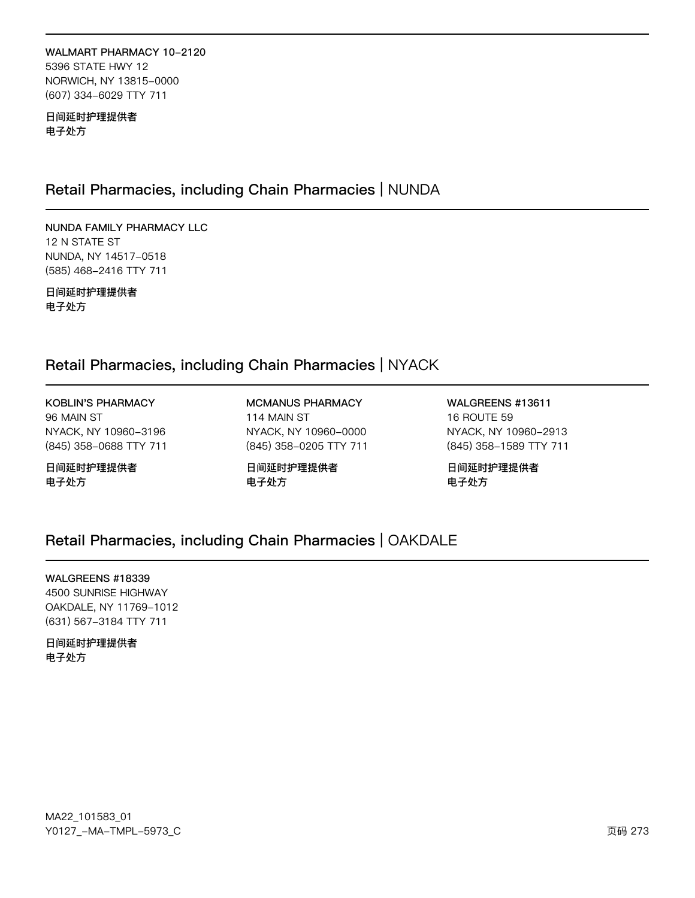### WALMART PHARMACY 10-2120 5396 STATE HWY 12 NORWICH, NY 13815-0000 (607) 334-6029 TTY 711

日间延时护理提供者 电子处方

# Retail Pharmacies, including Chain Pharmacies | NUNDA

NUNDA FAMILY PHARMACY LLC 12 N STATE ST NUNDA, NY 14517-0518 (585) 468-2416 TTY 711

日间延时护理提供者 电子处方

# Retail Pharmacies, including Chain Pharmacies | NYACK

KOBLIN'S PHARMACY 96 MAIN ST NYACK, NY 10960-3196 (845) 358-0688 TTY 711

日间延时护理提供者 电子处方

MCMANUS PHARMACY 114 MAIN ST NYACK, NY 10960-0000 (845) 358-0205 TTY 711

日间延时护理提供者 电子处方

WALGREENS #13611 16 ROUTE 59 NYACK, NY 10960-2913 (845) 358-1589 TTY 711

日间延时护理提供者 电子处方

# Retail Pharmacies, including Chain Pharmacies | OAKDALE

WALGREENS #18339

4500 SUNRISE HIGHWAY OAKDALE, NY 11769-1012 (631) 567-3184 TTY 711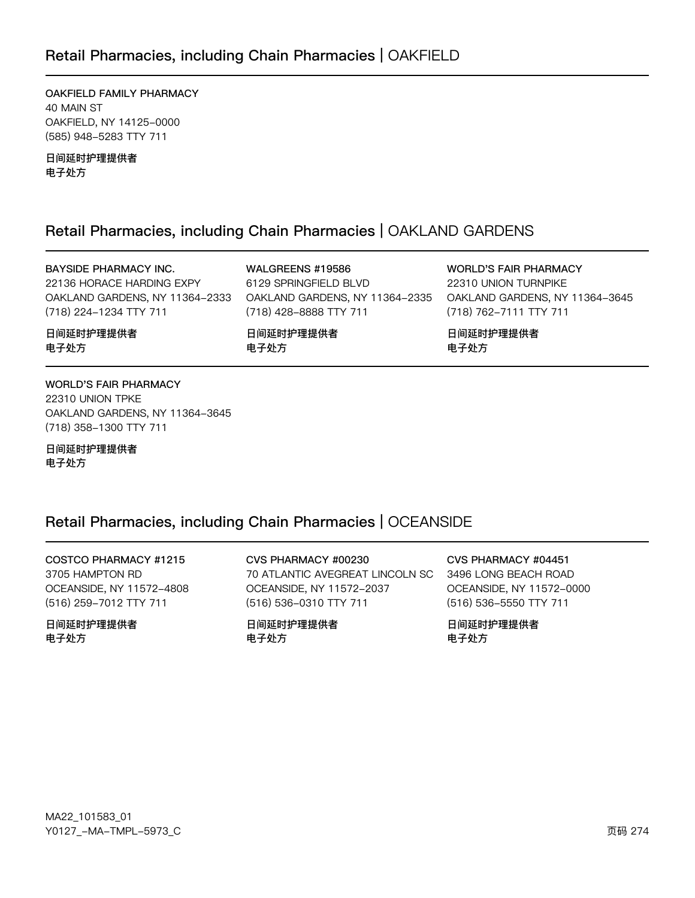OAKFIELD FAMILY PHARMACY 40 MAIN ST OAKFIELD, NY 14125-0000 (585) 948-5283 TTY 711

日间延时护理提供者 电子处方

# Retail Pharmacies, including Chain Pharmacies | OAKLAND GARDENS

### BAYSIDE PHARMACY INC.

22136 HORACE HARDING EXPY OAKLAND GARDENS, NY 11364-2333 (718) 224-1234 TTY 711

WALGREENS #19586 6129 SPRINGFIELD BLVD OAKLAND GARDENS, NY 11364-2335 (718) 428-8888 TTY 711

日间延时护理提供者 电子处方

WORLD'S FAIR PHARMACY 22310 UNION TURNPIKE OAKLAND GARDENS, NY 11364-3645 (718) 762-7111 TTY 711

日间延时护理提供者 电子处方

WORLD'S FAIR PHARMACY 22310 UNION TPKE OAKLAND GARDENS, NY 11364-3645

日间延时护理提供者 电子处方

(718) 358-1300 TTY 711

日间延时护理提供者

电子处方

# Retail Pharmacies, including Chain Pharmacies | OCEANSIDE

COSTCO PHARMACY #1215 3705 HAMPTON RD OCEANSIDE, NY 11572-4808 (516) 259-7012 TTY 711

日间延时护理提供者 电子处方

CVS PHARMACY #00230 70 ATLANTIC AVEGREAT LINCOLN SC OCEANSIDE, NY 11572-2037 (516) 536-0310 TTY 711

日间延时护理提供者 电子处方

CVS PHARMACY #04451 3496 LONG BEACH ROAD OCEANSIDE, NY 11572-0000

(516) 536-5550 TTY 711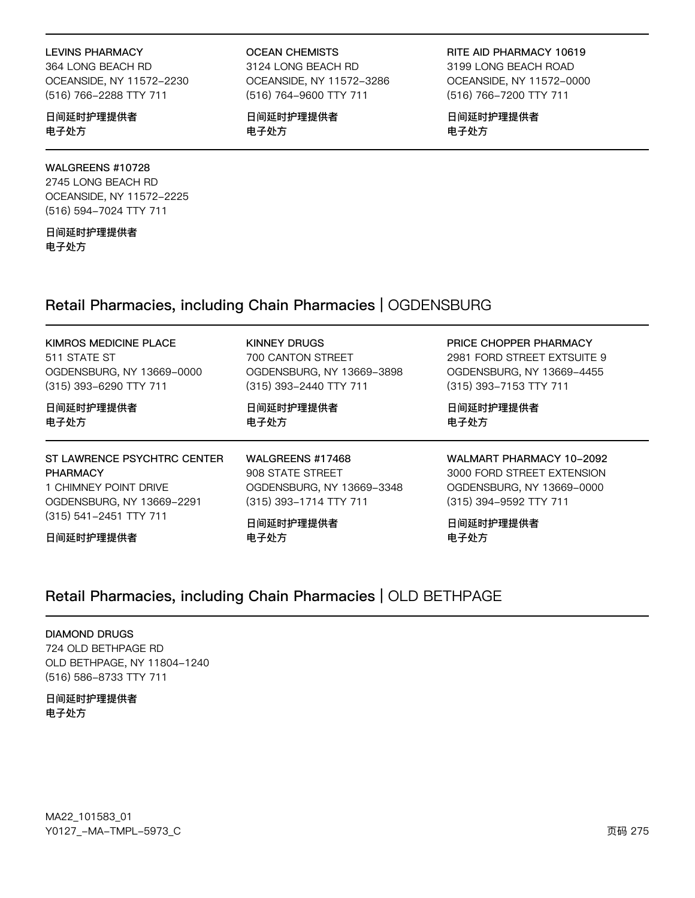#### LEVINS PHARMACY

364 LONG BEACH RD OCEANSIDE, NY 11572-2230 (516) 766-2288 TTY 711

### 日间延时护理提供者 电子处方

### WALGREENS #10728

2745 LONG BEACH RD OCEANSIDE, NY 11572-2225 (516) 594-7024 TTY 711

日间延时护理提供者 电子处方

OCEAN CHEMISTS

3124 LONG BEACH RD OCEANSIDE, NY 11572-3286 (516) 764-9600 TTY 711

日间延时护理提供者 电子处方

RITE AID PHARMACY 10619

3199 LONG BEACH ROAD OCEANSIDE, NY 11572-0000 (516) 766-7200 TTY 711

日间延时护理提供者 电子处方

# Retail Pharmacies, including Chain Pharmacies | OGDENSBURG

### KIMROS MEDICINE PLACE

511 STATE ST OGDENSBURG, NY 13669-0000 (315) 393-6290 TTY 711

日间延时护理提供者 电子处方

ST LAWRENCE PSYCHTRC CENTER PHARMACY 1 CHIMNEY POINT DRIVE OGDENSBURG, NY 13669-2291 (315) 541-2451 TTY 711

日间延时护理提供者

KINNEY DRUGS 700 CANTON STREET OGDENSBURG, NY 13669-3898 (315) 393-2440 TTY 711

日间延时护理提供者 电子处方

WALGREENS #17468 908 STATE STREET OGDENSBURG, NY 13669-3348 (315) 393-1714 TTY 711

日间延时护理提供者 电子处方

PRICE CHOPPER PHARMACY

2981 FORD STREET EXTSUITE 9 OGDENSBURG, NY 13669-4455 (315) 393-7153 TTY 711

日间延时护理提供者 电子处方

WALMART PHARMACY 10-2092 3000 FORD STREET EXTENSION OGDENSBURG, NY 13669-0000 (315) 394-9592 TTY 711

日间延时护理提供者 电子处方

# Retail Pharmacies, including Chain Pharmacies | OLD BETHPAGE

#### DIAMOND DRUGS

724 OLD BETHPAGE RD OLD BETHPAGE, NY 11804-1240 (516) 586-8733 TTY 711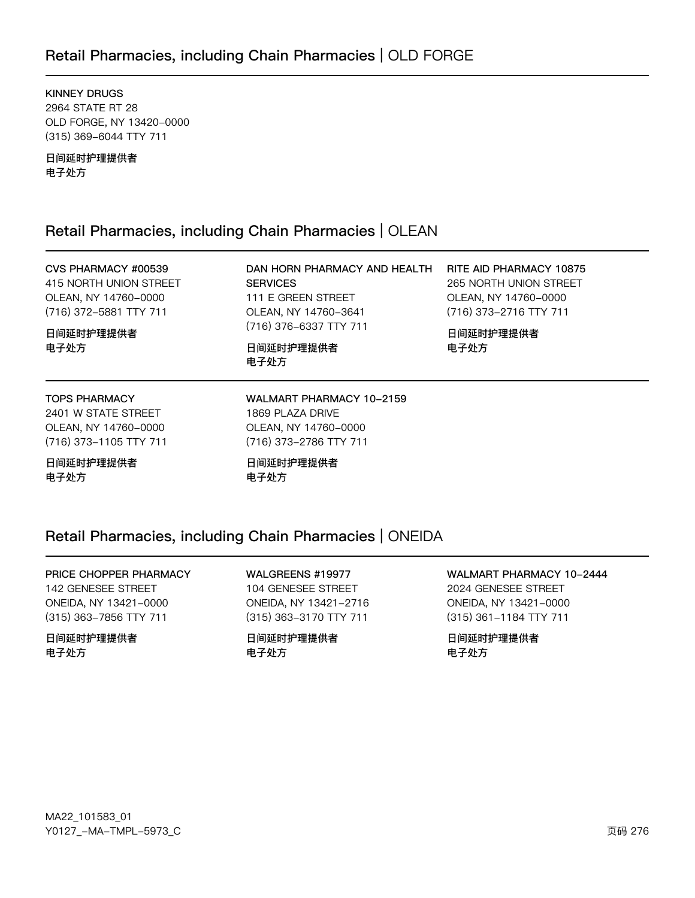# Retail Pharmacies, including Chain Pharmacies | OLD FORGE

**KINNEY DRUGS** 2964 STATE RT 28 OLD FORGE, NY 13420-0000 (315) 369-6044 TTY 711

日间延时护理提供者 电子处方

# Retail Pharmacies, including Chain Pharmacies | OLEAN

# CVS PHARMACY #00539

415 NORTH UNION STREET OLEAN, NY 14760-0000 (716) 372-5881 TTY 711

日间延时护理提供者 电子处方

DAN HORN PHARMACY AND HEALTH **SERVICES** 111 E GREEN STREET OLEAN, NY 14760-3641 (716) 376-6337 TTY 711

日间延时护理提供者 电子处方

RITE AID PHARMACY 10875 265 NORTH UNION STREET OLEAN, NY 14760-0000 (716) 373-2716 TTY 711

日间延时护理提供者 电子处方

#### **TOPS PHARMACY**

2401 W STATE STREET OLEAN, NY 14760-0000 (716) 373-1105 TTY 711

日间延时护理提供者 电子处方

WALMART PHARMACY 10-2159 1869 PLAZA DRIVE OLEAN, NY 14760-0000 (716) 373-2786 TTY 711

日间延时护理提供者 电子处方

# Retail Pharmacies, including Chain Pharmacies | ONEIDA

PRICE CHOPPER PHARMACY 142 GENESEE STREET ONEIDA, NY 13421-0000 (315) 363-7856 TTY 711

日间延时护理提供者 电子处方

WALGREENS #19977 104 GENESEE STREET ONEIDA, NY 13421-2716 (315) 363-3170 TTY 711

日间延时护理提供者 电子处方

WALMART PHARMACY 10-2444 2024 GENESEE STREET ONEIDA, NY 13421-0000 (315) 361-1184 TTY 711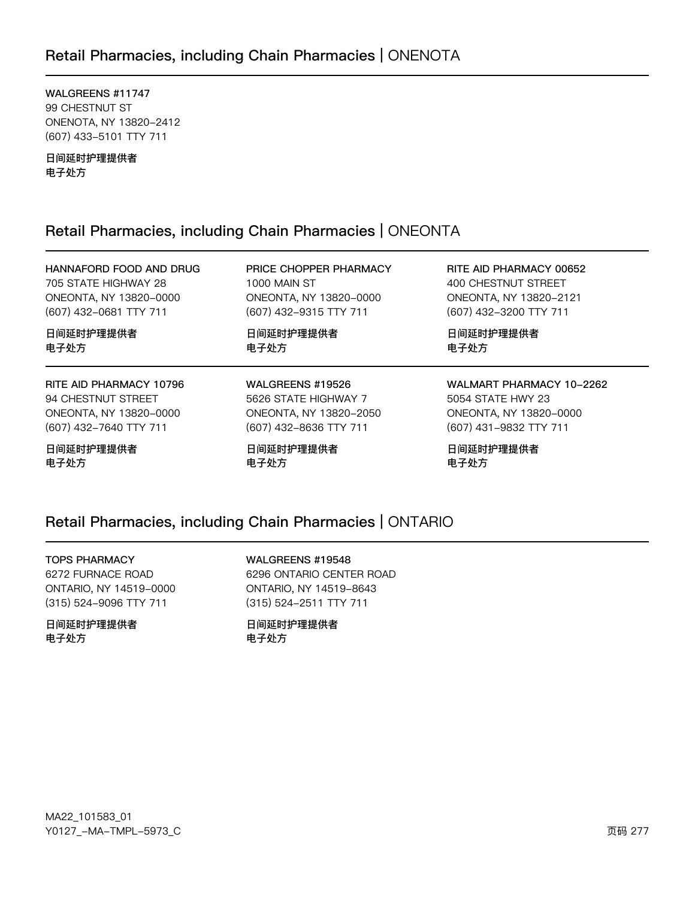# Retail Pharmacies, including Chain Pharmacies | ONENOTA

WALGREENS #11747 99 CHESTNUT ST ONENOTA, NY 13820-2412 (607) 433-5101 TTY 711

日间延时护理提供者 电子处方

# Retail Pharmacies, including Chain Pharmacies | ONEONTA

HANNAFORD FOOD AND DRUG 705 STATE HIGHWAY 28 ONEONTA, NY 13820-0000 (607) 432-0681 TTY 711

日间延时护理提供者 电子处方

RITE AID PHARMACY 10796 94 CHESTNUT STREET ONEONTA, NY 13820-0000 (607) 432-7640 TTY 711

日间延时护理提供者 电子处方

PRICE CHOPPER PHARMACY 1000 MAIN ST ONEONTA, NY 13820-0000 (607) 432-9315 TTY 711

日间延时护理提供者 电子处方

WALGREENS #19526 5626 STATE HIGHWAY 7 ONEONTA, NY 13820-2050 (607) 432-8636 TTY 711

日间延时护理提供者 电子处方

RITE AID PHARMACY 00652 400 CHESTNUT STREET ONEONTA, NY 13820-2121 (607) 432-3200 TTY 711

日间延时护理提供者 电子处方

WALMART PHARMACY 10-2262 5054 STATE HWY 23 ONEONTA, NY 13820-0000 (607) 431-9832 TTY 711

日间延时护理提供者 电子处方

# Retail Pharmacies, including Chain Pharmacies | ONTARIO

#### TOPS PHARMACY

6272 FURNACE ROAD ONTARIO, NY 14519-0000 (315) 524-9096 TTY 711

日间延时护理提供者 电子处方

WALGREENS #19548 6296 ONTARIO CENTER ROAD ONTARIO, NY 14519-8643 (315) 524-2511 TTY 711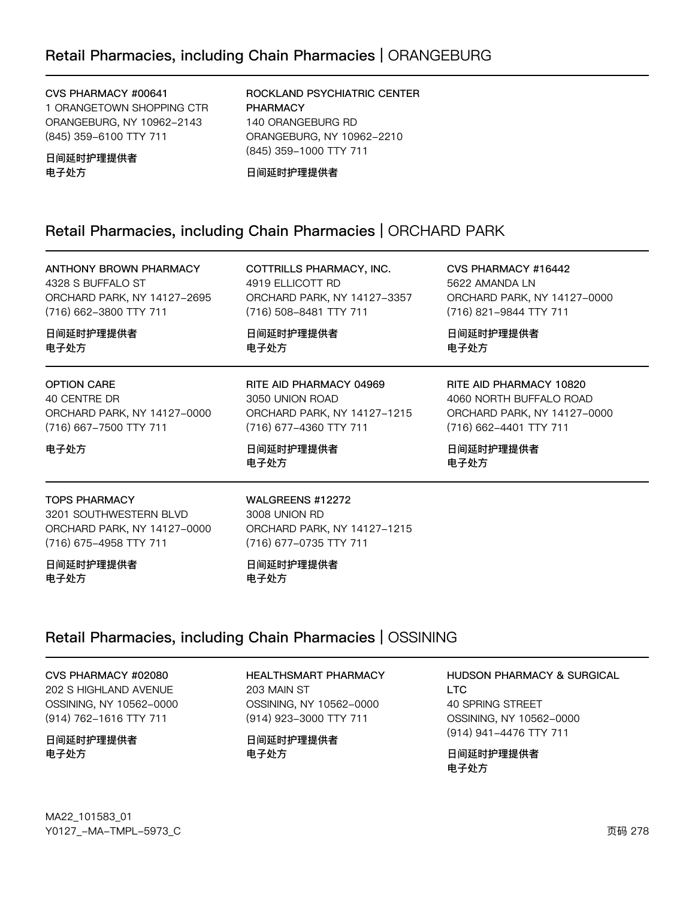#### CVS PHARMACY #00641

1 ORANGETOWN SHOPPING CTR ORANGEBURG, NY 10962-2143 (845) 359-6100 TTY 711

日间延时护理提供者 电子处方

日间延时护理提供者

ROCKLAND PSYCHIATRIC CENTER PHARMACY 140 ORANGEBURG RD ORANGEBURG, NY 10962-2210 (845) 359-1000 TTY 711

日间延时护理提供者

# Retail Pharmacies, including Chain Pharmacies | ORCHARD PARK

ANTHONY BROWN PHARMACY 4328 S BUFFALO ST ORCHARD PARK, NY 14127-2695 (716) 662-3800 TTY 711

COTTRILLS PHARMACY, INC. 4919 ELLICOTT RD ORCHARD PARK, NY 14127-3357 (716) 508-8481 TTY 711

日间延时护理提供者 电子处方

3050 UNION ROAD

日间延时护理提供者

电子处方

RITE AID PHARMACY 04969

(716) 677-4360 TTY 711

ORCHARD PARK, NY 14127-1215

CVS PHARMACY #16442 5622 AMANDA LN ORCHARD PARK, NY 14127-0000 (716) 821-9844 TTY 711

RITE AID PHARMACY 10820 4060 NORTH BUFFALO ROAD ORCHARD PARK, NY 14127-0000

(716) 662-4401 TTY 711

日间延时护理提供者

电子处方

日间延时护理提供者 电子处方

OPTION CARE 40 CENTRE DR ORCHARD PARK, NY 14127-0000 (716) 667-7500 TTY 711

# 电子处方

电子处方

### TOPS PHARMACY

3201 SOUTHWESTERN BLVD ORCHARD PARK, NY 14127-0000 (716) 675-4958 TTY 711

日间延时护理提供者 电子处方

WALGREENS #12272 3008 UNION RD ORCHARD PARK, NY 14127-1215 (716) 677-0735 TTY 711

日间延时护理提供者 电子处方

# Retail Pharmacies, including Chain Pharmacies | OSSINING

CVS PHARMACY #02080 202 S HIGHLAND AVENUE OSSINING, NY 10562-0000 (914) 762-1616 TTY 711

日间延时护理提供者 电子处方

HEALTHSMART PHARMACY 203 MAIN ST OSSINING, NY 10562-0000 (914) 923-3000 TTY 711

日间延时护理提供者 电子处方

HUDSON PHARMACY & SURGICAL LTC 40 SPRING STREET OSSINING, NY 10562-0000 (914) 941-4476 TTY 711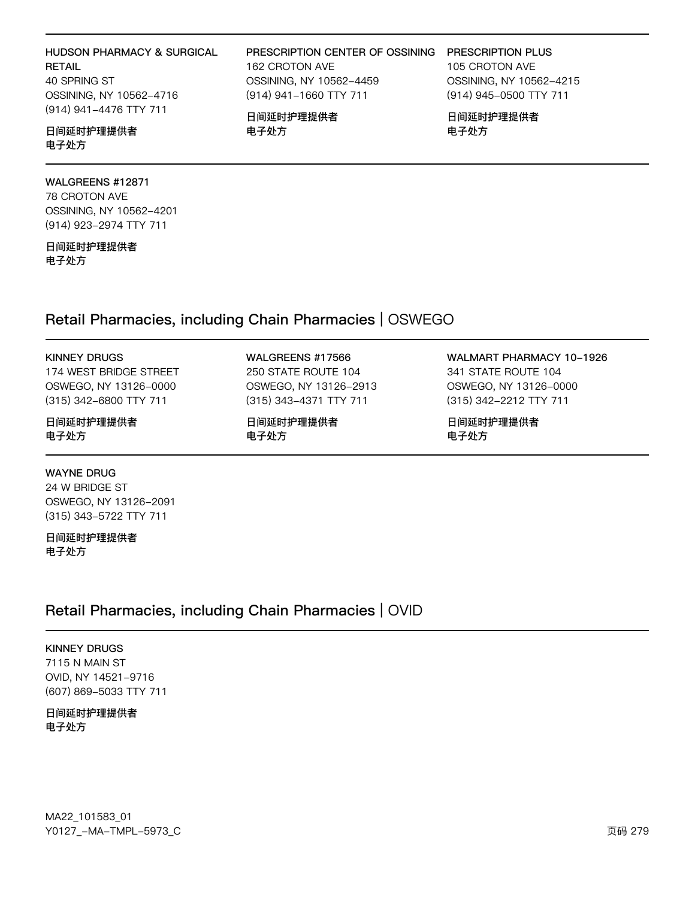# HUDSON PHARMACY & SURGICAL RETAIL

40 SPRING ST OSSINING, NY 10562-4716 (914) 941-4476 TTY 711

### 日间延时护理提供者 电子处方

### WALGREENS #12871

78 CROTON AVE OSSINING, NY 10562-4201 (914) 923-2974 TTY 711

日间延时护理提供者 电子处方

KINNEY DRUGS

日间延时护理提供者

日间延时护理提供者

WAYNE DRUG 24 W BRIDGE ST

电子处方

电子处方

174 WEST BRIDGE STREET OSWEGO, NY 13126-0000 (315) 342-6800 TTY 711

OSWEGO, NY 13126-2091 (315) 343-5722 TTY 711

### WALGREENS #17566

(914) 941-1660 TTY 711

日间延时护理提供者

电子处方

Retail Pharmacies, including Chain Pharmacies | OSWEGO

250 STATE ROUTE 104 OSWEGO, NY 13126-2913 (315) 343-4371 TTY 711

日间延时护理提供者 电子处方

WALMART PHARMACY 10-1926 341 STATE ROUTE 104 OSWEGO, NY 13126-0000 (315) 342-2212 TTY 711

日间延时护理提供者 电子处方

#### PRESCRIPTION CENTER OF OSSINING 162 CROTON AVE PRESCRIPTION PLUS

OSSINING, NY 10562-4459 105 CROTON AVE OSSINING, NY 10562-4215 (914) 945-0500 TTY 711

> 日间延时护理提供者 电子处方

MA22\_101583\_01 70127v-Ju-6Jwx-5y73vC z{ 27y

# Retail Pharmacies, including Chain Pharmacies | OVID

KINNEY DRUGS

7115 N MAIN ST OVID, NY 14521-9716 (607) 869-5033 TTY 711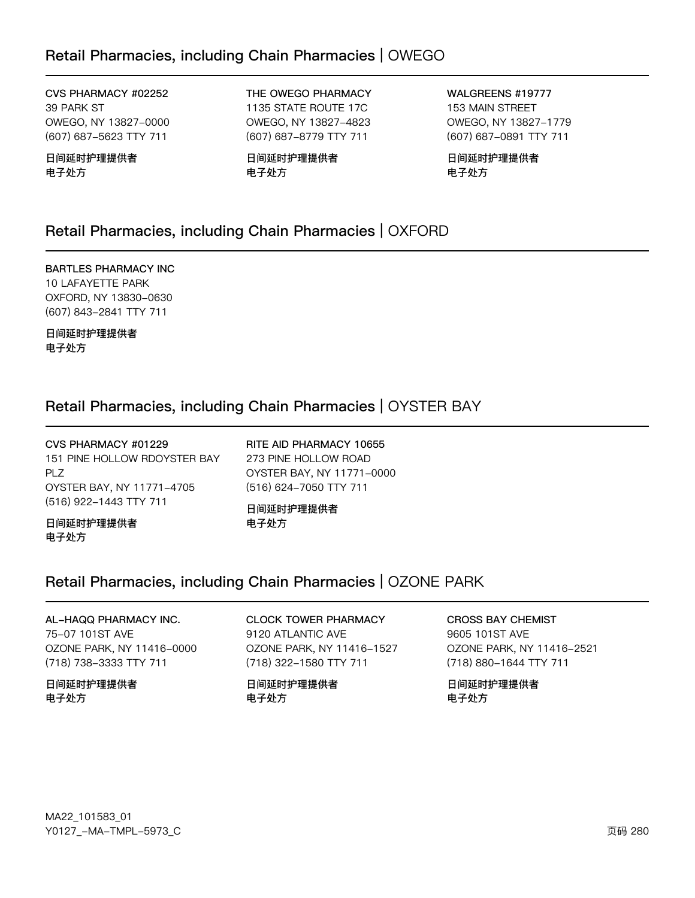# Retail Pharmacies, including Chain Pharmacies | OWEGO

CVS PHARMACY #02252 39 PARK ST OWEGO, NY 13827-0000 (607) 687-5623 TTY 711

日间延时护理提供者 电子处方

THE OWEGO PHARMACY 1135 STATE ROUTE 17C OWEGO, NY 13827-4823 (607) 687-8779 TTY 711

日间延时护理提供者 电子处方

WALGREENS #19777 153 MAIN STREET OWEGO, NY 13827-1779 (607) 687-0891 TTY 711

日间延时护理提供者 电子处方

# Retail Pharmacies, including Chain Pharmacies | OXFORD

BARTLES PHARMACY INC 10 LAFAYETTE PARK OXFORD, NY 13830-0630 (607) 843-2841 TTY 711

日间延时护理提供者 电子处方

# Retail Pharmacies, including Chain Pharmacies | OYSTER BAY

CVS PHARMACY #01229 151 PINE HOLLOW RDOYSTER BAY PLZ OYSTER BAY, NY 11771-4705 (516) 922-1443 TTY 711

RITE AID PHARMACY 10655 273 PINE HOLLOW ROAD OYSTER BAY, NY 11771-0000 (516) 624-7050 TTY 711

日间延时护理提供者 电子处方

日间延时护理提供者 电子处方

# Retail Pharmacies, including Chain Pharmacies | OZONE PARK

### AL-HAQQ PHARMACY INC. 75-07 101ST AVE

OZONE PARK, NY 11416-0000 (718) 738-3333 TTY 711

日间延时护理提供者 电子处方

### CLOCK TOWER PHARMACY 9120 ATLANTIC AVE OZONE PARK, NY 11416-1527 (718) 322-1580 TTY 711

日间延时护理提供者 电子处方

CROSS BAY CHEMIST 9605 101ST AVE OZONE PARK, NY 11416-2521 (718) 880-1644 TTY 711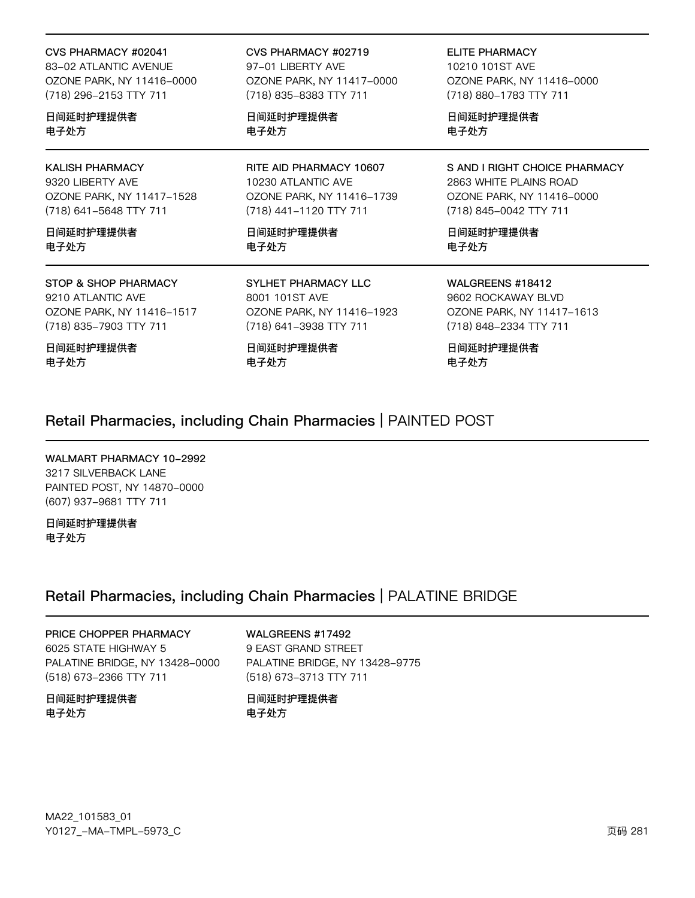#### CVS PHARMACY #02041

83-02 ATLANTIC AVENUE OZONE PARK, NY 11416-0000 (718) 296-2153 TTY 711

日间延时护理提供者 电子处方

### KALISH PHARMACY

9320 LIBERTY AVE OZONE PARK, NY 11417-1528 (718) 641-5648 TTY 711

日间延时护理提供者 电子处方

#### STOP & SHOP PHARMACY 9210 ATLANTIC AVE OZONE PARK, NY 11416-1517 (718) 835-7903 TTY 711

日间延时护理提供者 电子处方

CVS PHARMACY #02719 97-01 LIBERTY AVE OZONE PARK, NY 11417-0000 (718) 835-8383 TTY 711

日间延时护理提供者 电子处方

RITE AID PHARMACY 10607 10230 ATLANTIC AVE OZONE PARK, NY 11416-1739 (718) 441-1120 TTY 711

日间延时护理提供者 电子处方

SYLHET PHARMACY LLC 8001 101ST AVE OZONE PARK, NY 11416-1923 (718) 641-3938 TTY 711

日间延时护理提供者 电子处方

ELITE PHARMACY 10210 101ST AVE OZONE PARK, NY 11416-0000 (718) 880-1783 TTY 711

日间延时护理提供者 电子处方

S AND I RIGHT CHOICE PHARMACY 2863 WHITE PLAINS ROAD OZONE PARK, NY 11416-0000 (718) 845-0042 TTY 711

日间延时护理提供者 电子处方

WALGREENS #18412 9602 ROCKAWAY BLVD OZONE PARK, NY 11417-1613 (718) 848-2334 TTY 711

日间延时护理提供者 电子处方

# Retail Pharmacies, including Chain Pharmacies | PAINTED POST

WALMART PHARMACY 10-2992 3217 SILVERBACK LANE PAINTED POST, NY 14870-0000 (607) 937-9681 TTY 711

日间延时护理提供者 电子处方

# Retail Pharmacies, including Chain Pharmacies | PALATINE BRIDGE

### PRICE CHOPPER PHARMACY 6025 STATE HIGHWAY 5

PALATINE BRIDGE, NY 13428-0000 (518) 673-2366 TTY 711

日间延时护理提供者 电子处方

WALGREENS #17492 9 EAST GRAND STREET PALATINE BRIDGE, NY 13428-9775 (518) 673-3713 TTY 711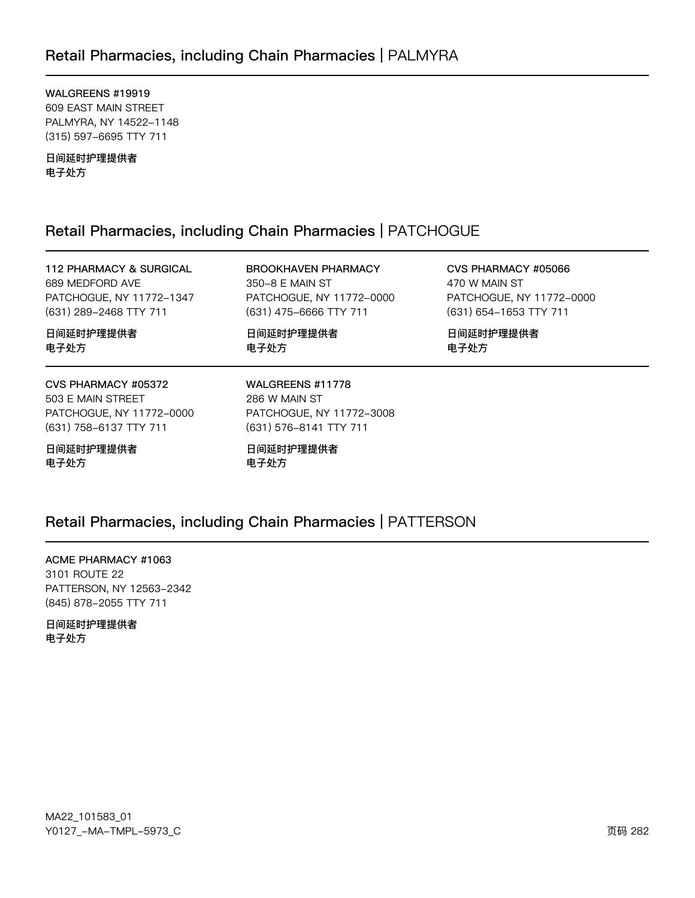# Retail Pharmacies, including Chain Pharmacies | PALMYRA

WALGREENS #19919 609 EAST MAIN STREET PALMYRA, NY 14522-1148 (315) 597-6695 TTY 711

日间延时护理提供者 电子处方

# Retail Pharmacies, including Chain Pharmacies | PATCHOGUE

112 PHARMACY & SURGICAL 689 MEDFORD AVE PATCHOGUE, NY 11772-1347 (631) 289-2468 TTY 711

**BROOKHAVEN PHARMACY** 350-8 E MAIN ST PATCHOGUE, NY 11772-0000 (631) 475-6666 TTY 711

日间延时护理提供者 电子处方

CVS PHARMACY #05066 470 W MAIN ST PATCHOGUE, NY 11772-0000 (631) 654-1653 TTY 711

日间延时护理提供者

电子处方

日间延时护理提供者 电子处方

CVS PHARMACY #05372 503 E MAIN STREET PATCHOGUE, NY 11772-0000 (631) 758-6137 TTY 711

日间延时护理提供者 电子处方

WALGREENS #11778 286 W MAIN ST PATCHOGUE, NY 11772-3008 (631) 576-8141 TTY 711

日间延时护理提供者 电子处方

# Retail Pharmacies, including Chain Pharmacies | PATTERSON

ACME PHARMACY #1063 3101 ROUTE 22 PATTERSON, NY 12563-2342 (845) 878-2055 TTY 711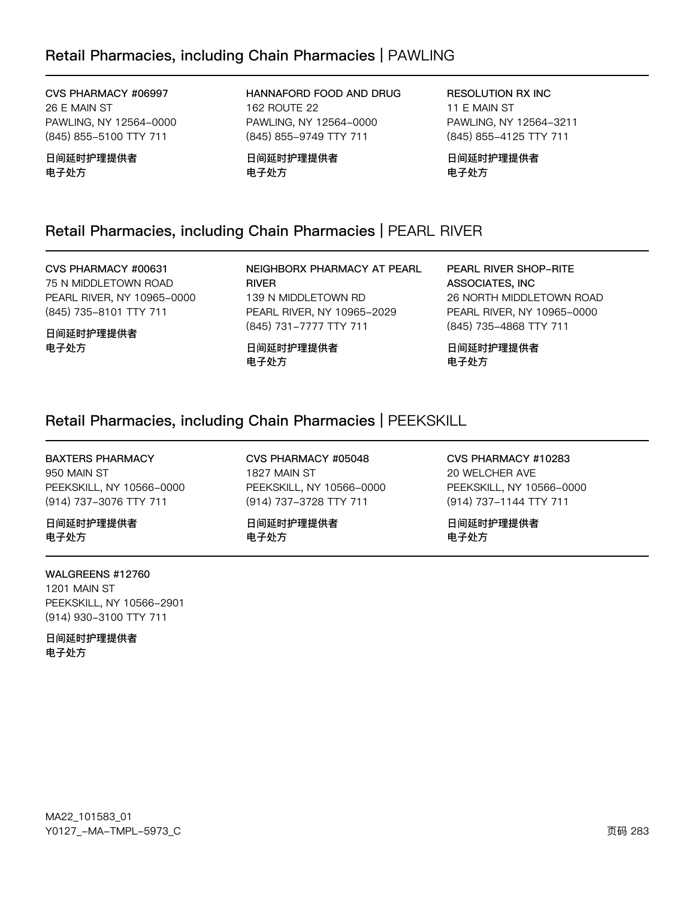# Retail Pharmacies, including Chain Pharmacies | PAWLING

CVS PHARMACY #06997 26 E MAIN ST PAWLING, NY 12564-0000 (845) 855-5100 TTY 711

日间延时护理提供者 电子处方

HANNAFORD FOOD AND DRUG 162 ROUTE 22 PAWLING, NY 12564-0000 (845) 855-9749 TTY 711

日间延时护理提供者 电子处方

**RESOLUTION RX INC** 11 E MAIN ST PAWLING, NY 12564-3211 (845) 855-4125 TTY 711

日间延时护理提供者 电子处方

# Retail Pharmacies, including Chain Pharmacies | PEARL RIVER

CVS PHARMACY #00631 75 N MIDDLETOWN ROAD PEARL RIVER, NY 10965-0000 (845) 735-8101 TTY 711

日间延时护理提供者 电子处方

NEIGHBORX PHARMACY AT PEARL **RIVER** 139 N MIDDLETOWN RD PEARL RIVER, NY 10965-2029 (845) 731-7777 TTY 711

日间延时护理提供者 电子处方

PEARL RIVER SHOP-RITE ASSOCIATES, INC 26 NORTH MIDDLETOWN ROAD PEARL RIVER, NY 10965-0000 (845) 735-4868 TTY 711

日间延时护理提供者 电子处方

## Retail Pharmacies, including Chain Pharmacies | PEEKSKILL

#### **BAXTERS PHARMACY**

950 MAIN ST PEEKSKILL, NY 10566-0000 (914) 737-3076 TTY 711

日间延时护理提供者 电子处方

#### WALGREENS #12760

1201 MAIN ST PEEKSKILL, NY 10566-2901 (914) 930-3100 TTY 711

日间延时护理提供者 电子处方

CVS PHARMACY #05048 1827 MAIN ST PEEKSKILL, NY 10566-0000 (914) 737-3728 TTY 711

日间延时护理提供者 电子处方

CVS PHARMACY #10283 20 WELCHER AVE PEEKSKILL, NY 10566-0000 (914) 737-1144 TTY 711

日间延时护理提供者 电子处方

MA22\_101583\_01 Y0127\_-MA-TMPL-5973\_C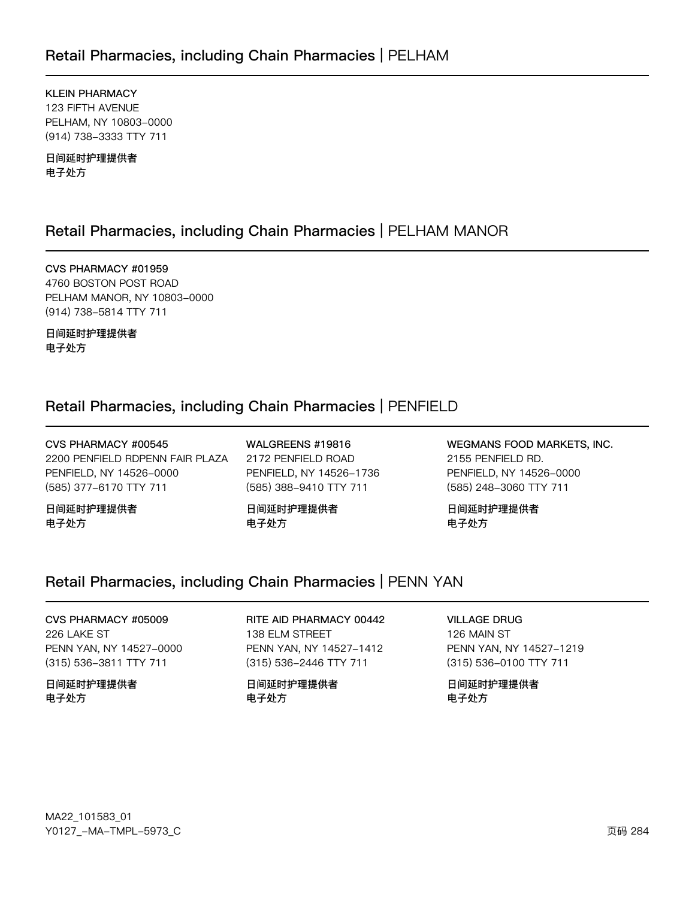KLEIN PHARMACY 123 FIFTH AVENUE PELHAM, NY 10803-0000 (914) 738-3333 TTY 711

日间延时护理提供者 电子处方

# Retail Pharmacies, including Chain Pharmacies | PELHAM MANOR

CVS PHARMACY #01959 4760 BOSTON POST ROAD PELHAM MANOR, NY 10803-0000 (914) 738-5814 TTY 711

日间延时护理提供者 电子处方

# Retail Pharmacies, including Chain Pharmacies | PENFIELD

CVS PHARMACY #00545 2200 PENFIELD RDPENN FAIR PLAZA PENFIELD, NY 14526-0000 (585) 377-6170 TTY 711

日间延时护理提供者 电子处方

WALGREENS #19816 2172 PENFIELD ROAD PENFIELD, NY 14526-1736 (585) 388-9410 TTY 711

日间延时护理提供者 电子处方

WEGMANS FOOD MARKETS, INC. 2155 PENFIELD RD. PENFIELD, NY 14526-0000 (585) 248-3060 TTY 711

日间延时护理提供者 电子处方

# Retail Pharmacies, including Chain Pharmacies | PENN YAN

CVS PHARMACY #05009 226 LAKE ST PENN YAN, NY 14527-0000 (315) 536-3811 TTY 711

日间延时护理提供者 电子处方

RITE AID PHARMACY 00442 138 ELM STREET PENN YAN, NY 14527-1412 (315) 536-2446 TTY 711

日间延时护理提供者 电子处方

VILLAGE DRUG

126 MAIN ST PENN YAN, NY 14527-1219 (315) 536-0100 TTY 711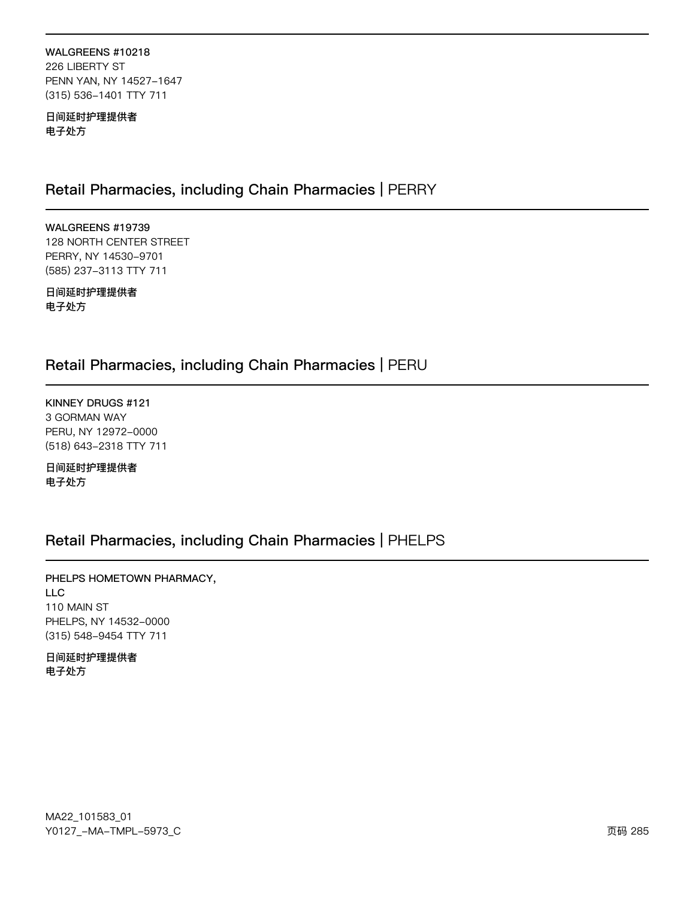### WALGREENS #10218 226 LIBERTY ST PENN YAN, NY 14527-1647 (315) 536-1401 TTY 711

日间延时护理提供者 电子处方

# Retail Pharmacies, including Chain Pharmacies | PERRY

WALGREENS #19739 128 NORTH CENTER STREET PERRY, NY 14530-9701 (585) 237-3113 TTY 711

日间延时护理提供者 电子处方

# Retail Pharmacies, including Chain Pharmacies | PERU

KINNEY DRUGS #121 3 GORMAN WAY PERU, NY 12972-0000 (518) 643-2318 TTY 711

日间延时护理提供者 电子处方

# Retail Pharmacies, including Chain Pharmacies | PHELPS

PHELPS HOMETOWN PHARMACY, **LLC** 110 MAIN ST PHELPS, NY 14532-0000 (315) 548-9454 TTY 711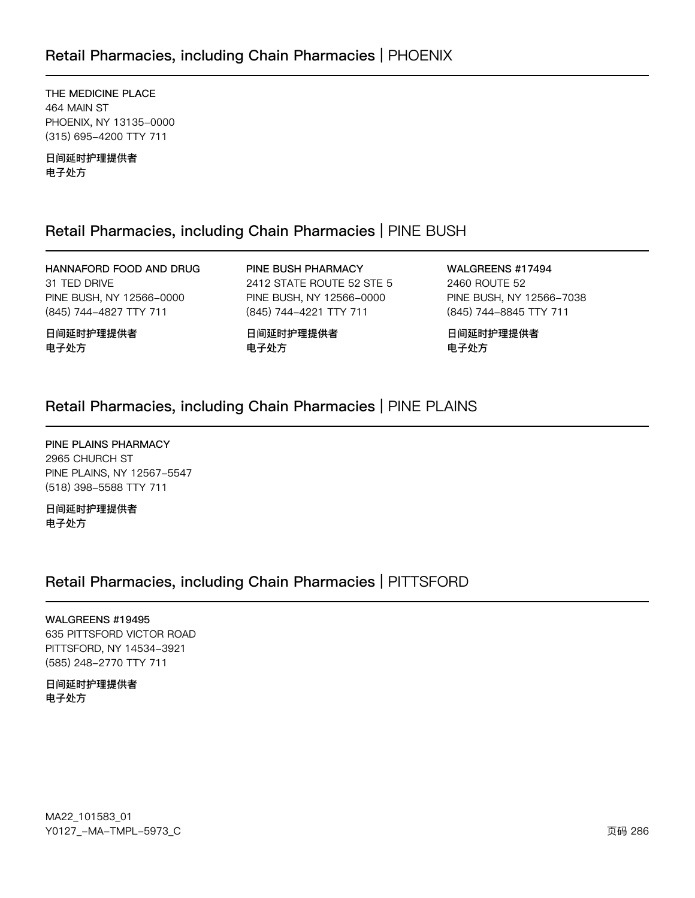# Retail Pharmacies, including Chain Pharmacies | PHOENIX

THE MEDICINE PLACE 464 MAIN ST PHOENIX, NY 13135-0000 (315) 695-4200 TTY 711

日间延时护理提供者 电子处方

日间延时护理提供者

电子处方

# Retail Pharmacies, including Chain Pharmacies | PINE BUSH

HANNAFORD FOOD AND DRUG 31 TED DRIVE PINE BUSH, NY 12566-0000 (845) 744-4827 TTY 711

PINE BUSH PHARMACY 2412 STATE ROUTE 52 STE 5 PINE BUSH, NY 12566-0000 (845) 744-4221 TTY 711

日间延时护理提供者 电子处方

WALGREENS #17494 2460 ROUTE 52 PINE BUSH, NY 12566-7038 (845) 744-8845 TTY 711

日间延时护理提供者 电子处方

# Retail Pharmacies, including Chain Pharmacies | PINE PLAINS

PINE PLAINS PHARMACY 2965 CHURCH ST PINE PLAINS, NY 12567-5547 (518) 398-5588 TTY 711

日间延时护理提供者 电子处方

# Retail Pharmacies, including Chain Pharmacies | PITTSFORD

#### WALGREENS #19495

635 PITTSFORD VICTOR ROAD PITTSFORD, NY 14534-3921 (585) 248-2770 TTY 711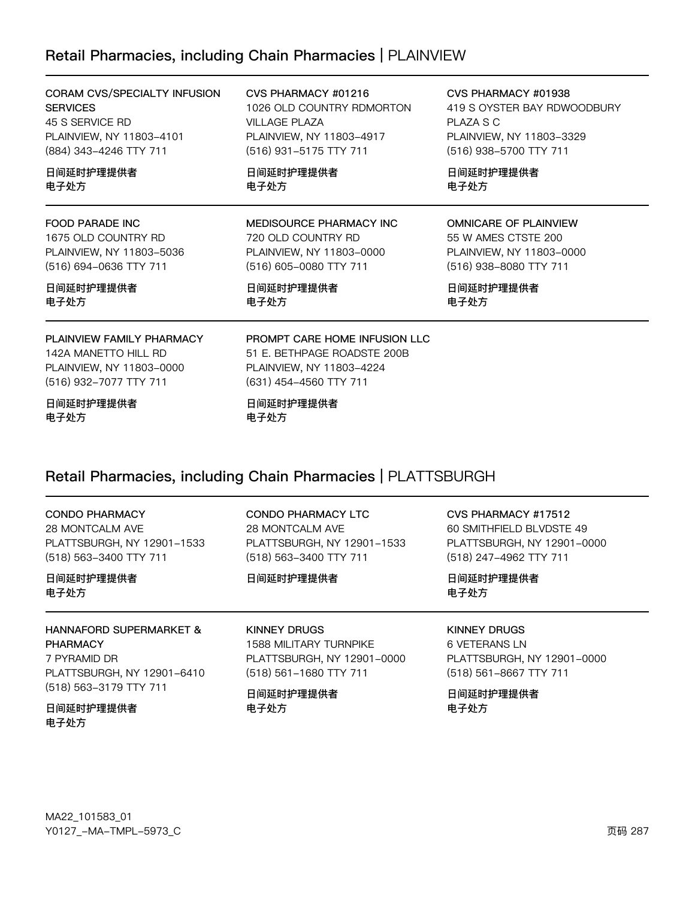# Retail Pharmacies, including Chain Pharmacies | PLAINVIEW

| CORAM CVS/SPECIALTY INFUSION<br><b>SERVICES</b><br>45 S SERVICE RD<br>PLAINVIEW, NY 11803-4101<br>(884) 343-4246 TTY 711<br>日间延时护理提供者<br>电子处方 | CVS PHARMACY #01216<br>1026 OLD COUNTRY RDMORTON<br><b>VILLAGE PLAZA</b><br>PLAINVIEW, NY 11803-4917<br>(516) 931-5175 TTY 711<br>日间延时护理提供者<br>电子处方 | CVS PHARMACY #01938<br>419 S OYSTER BAY RDWOODBURY<br>PLAZA S C<br>PLAINVIEW, NY 11803-3329<br>(516) 938-5700 TTY 711<br>日间延时护理提供者<br>电子处方 |
|-----------------------------------------------------------------------------------------------------------------------------------------------|-----------------------------------------------------------------------------------------------------------------------------------------------------|--------------------------------------------------------------------------------------------------------------------------------------------|
|                                                                                                                                               |                                                                                                                                                     |                                                                                                                                            |
| 日间延时护理提供者<br>电子处方                                                                                                                             | 日间延时护理提供者<br>电子处方                                                                                                                                   | 日间延时护理提供者<br>电子处方                                                                                                                          |
| PLAINVIEW FAMILY PHARMACY<br>142A MANETTO HILL RD<br>PLAINVIEW, NY 11803-0000<br>(516) 932-7077 TTY 711                                       | PROMPT CARE HOME INFUSION LLC<br>51 E. BETHPAGE ROADSTE 200B<br>PLAINVIEW, NY 11803-4224<br>(631) 454-4560 TTY 711                                  |                                                                                                                                            |
|                                                                                                                                               | 一 시그가 다녀나는 재미치를 가서 들어                                                                                                                               |                                                                                                                                            |

日间延时护理提供者 电子处方

日间延时护理提供者 电子处方

# Retail Pharmacies, including Chain Pharmacies | PLATTSBURGH

| <b>CONDO PHARMACY</b><br>28 MONTCALM AVE<br>PLATTSBURGH, NY 12901-1533<br>(518) 563-3400 TTY 711<br>日间延时护理提供者<br>电子处方         | CONDO PHARMACY LTC<br>28 MONTCALM AVE<br>PLATTSBURGH, NY 12901-1533<br>(518) 563-3400 TTY 711<br>日间延时护理提供者         | CVS PHARMACY #17512<br>60 SMITHFIELD BLVDSTE 49<br>PLATTSBURGH, NY 12901-0000<br>(518) 247-4962 TTY 711<br>日间延时护理提供者<br>电子处方 |
|-------------------------------------------------------------------------------------------------------------------------------|--------------------------------------------------------------------------------------------------------------------|------------------------------------------------------------------------------------------------------------------------------|
| <b>HANNAFORD SUPERMARKET &amp;</b><br><b>PHARMACY</b><br>7 PYRAMID DR<br>PLATTSBURGH, NY 12901-6410<br>(518) 563-3179 TTY 711 | <b>KINNEY DRUGS</b><br>1588 MILITARY TURNPIKE<br>PLATTSBURGH, NY 12901-0000<br>(518) 561-1680 TTY 711<br>日间延时护理提供者 | KINNEY DRUGS<br>6 VETERANS LN<br>PLATTSBURGH, NY 12901-0000<br>(518) 561-8667 TTY 711<br>日间延时护理提供者                           |
| 日间延时护理提供者<br>电子处方                                                                                                             | 电子处方                                                                                                               | 电子处方                                                                                                                         |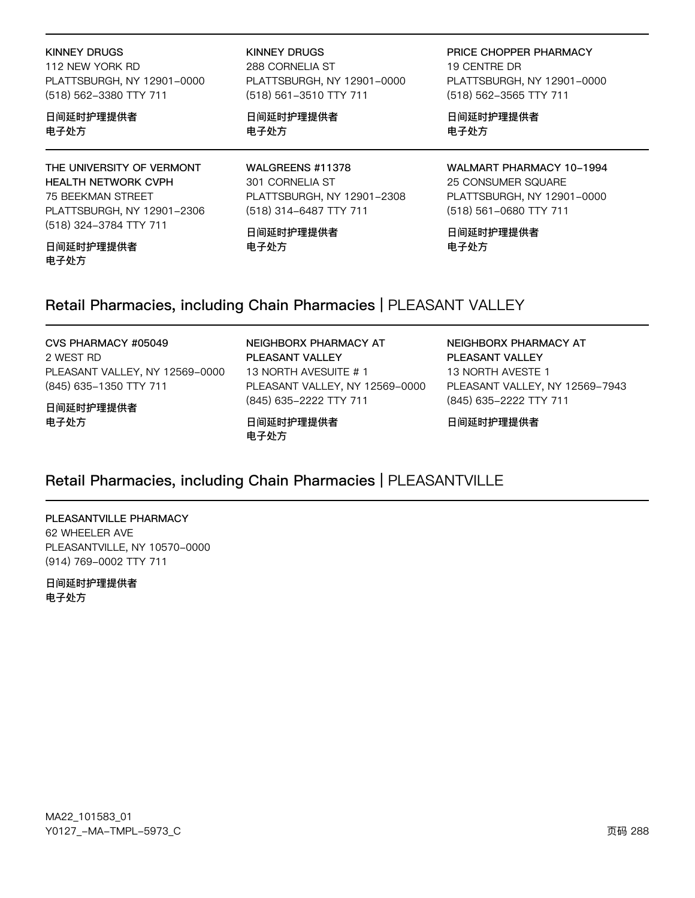#### **KINNEY DRUGS**

112 NEW YORK RD PLATTSBURGH, NY 12901-0000 (518) 562-3380 TTY 711

### 日间延时护理提供者 电子处方

THE UNIVERSITY OF VERMONT HEALTH NETWORK CVPH 75 BEEKMAN STREET PLATTSBURGH, NY 12901-2306 (518) 324-3784 TTY 711

#### 日间延时护理提供者 电子处方

**KINNEY DRUGS** 

288 CORNELIA ST PLATTSBURGH, NY 12901-0000 (518) 561-3510 TTY 711

日间延时护理提供者 电子处方

WALGREENS #11378 301 CORNELIA ST PLATTSBURGH, NY 12901-2308 (518) 314-6487 TTY 711

日间延时护理提供者 电子处方

PRICE CHOPPER PHARMACY 19 CENTRE DR PLATTSBURGH, NY 12901-0000 (518) 562-3565 TTY 711

日间延时护理提供者 电子处方

WALMART PHARMACY 10-1994 25 CONSUMER SQUARE PLATTSBURGH, NY 12901-0000 (518) 561-0680 TTY 711

日间延时护理提供者 电子处方

# Retail Pharmacies, including Chain Pharmacies | PLEASANT VALLEY

#### CVS PHARMACY #05049

2 WEST RD PLEASANT VALLEY, NY 12569-0000 (845) 635-1350 TTY 711

#### 日间延时护理提供者 电子处方

(845) 635-2222 TTY 711 日间延时护理提供者 电子处方

PLEASANT VALLEY

NEIGHBORX PHARMACY AT

PLEASANT VALLEY, NY 12569-0000

13 NORTH AVESUITE #1

NEIGHBORX PHARMACY AT PLEASANT VALLEY 13 NORTH AVESTE 1 PLEASANT VALLEY, NY 12569-7943 (845) 635-2222 TTY 711

日间延时护理提供者

# Retail Pharmacies, including Chain Pharmacies | PLEASANTVILLE

PLEASANTVILLE PHARMACY 62 WHEELER AVE PLEASANTVILLE, NY 10570-0000 (914) 769-0002 TTY 711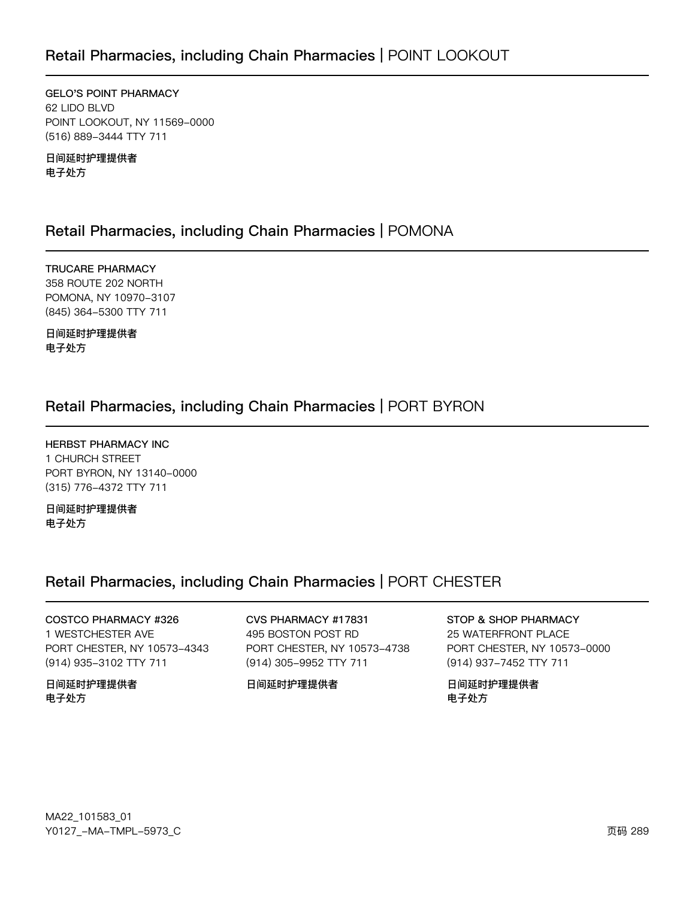**GELO'S POINT PHARMACY** 62 LIDO BLVD POINT LOOKOUT, NY 11569-0000 (516) 889-3444 TTY 711

日间延时护理提供者 电子处方

### Retail Pharmacies, including Chain Pharmacies | POMONA

**TRUCARE PHARMACY** 358 ROUTE 202 NORTH POMONA, NY 10970-3107 (845) 364-5300 TTY 711

日间延时护理提供者 电子处方

### Retail Pharmacies, including Chain Pharmacies | PORT BYRON

**HERBST PHARMACY INC** 1 CHURCH STREET PORT BYRON, NY 13140-0000 (315) 776-4372 TTY 711

日间延时护理提供者 电子处方

### Retail Pharmacies, including Chain Pharmacies | PORT CHESTER

COSTCO PHARMACY #326 1 WESTCHESTER AVE PORT CHESTER, NY 10573-4343 (914) 935-3102 TTY 711

日间延时护理提供者 电子处方

CVS PHARMACY #17831 495 BOSTON POST RD PORT CHESTER, NY 10573-4738 (914) 305-9952 TTY 711

日间延时护理提供者

### STOP & SHOP PHARMACY

25 WATERFRONT PLACE PORT CHESTER, NY 10573-0000 (914) 937-7452 TTY 711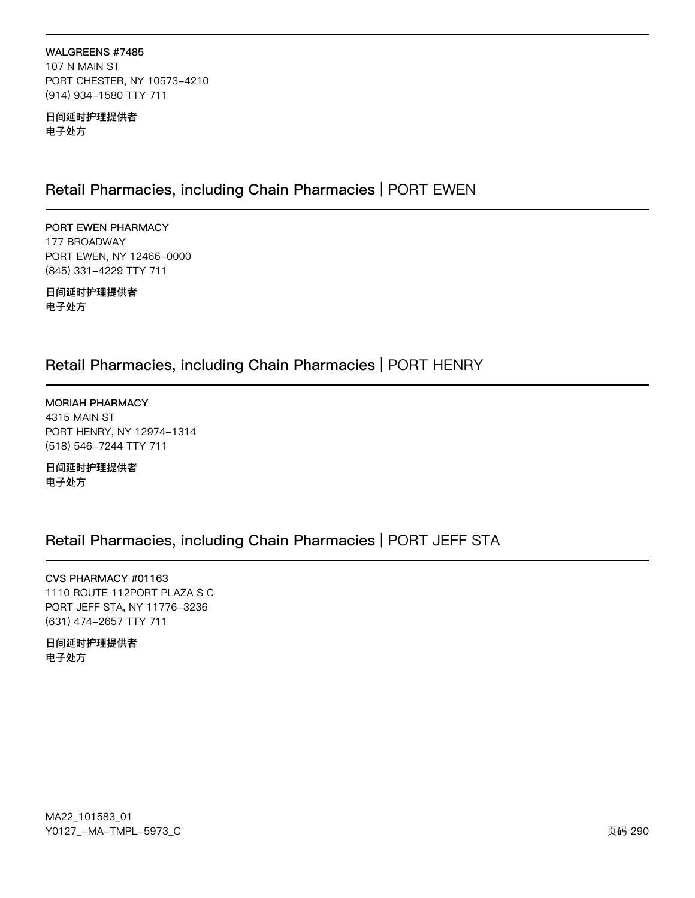WALGREENS #7485 107 N MAIN ST PORT CHESTER, NY 10573-4210 (914) 934-1580 TTY 711

日间延时护理提供者 电子处方

### Retail Pharmacies, including Chain Pharmacies | PORT EWEN

PORT EWEN PHARMACY 177 BROADWAY PORT EWEN, NY 12466-0000 (845) 331-4229 TTY 711

日间延时护理提供者 电子处方

### Retail Pharmacies, including Chain Pharmacies | PORT HENRY

MORIAH PHARMACY 4315 MAIN ST PORT HENRY, NY 12974-1314 (518) 546-7244 TTY 711

日间延时护理提供者 电子处方

### Retail Pharmacies, including Chain Pharmacies | PORT JEFF STA

CVS PHARMACY #01163 1110 ROUTE 112PORT PLAZA S C PORT JEFF STA, NY 11776-3236 (631) 474-2657 TTY 711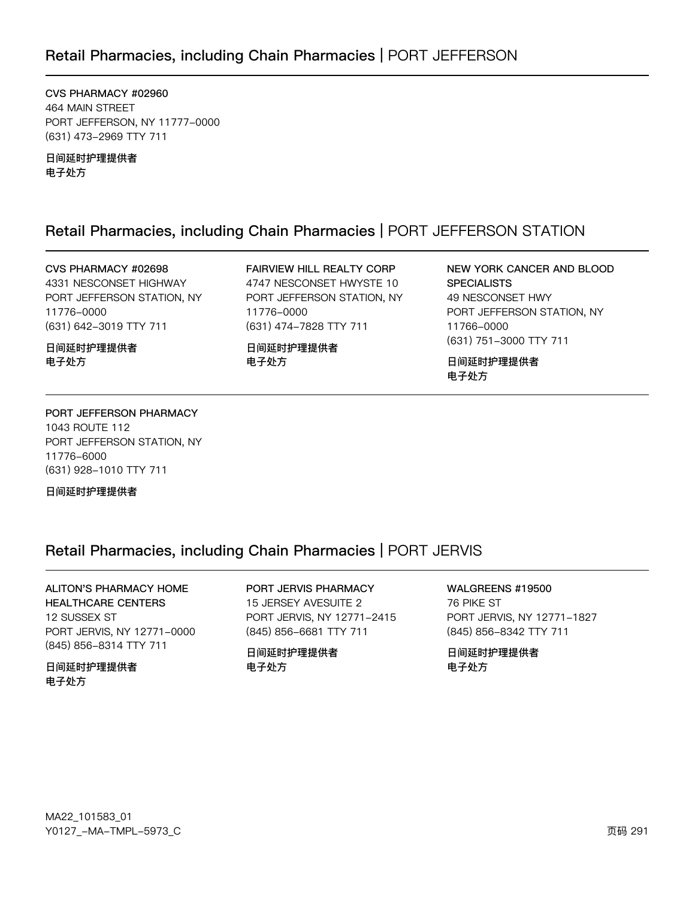### Retail Pharmacies, including Chain Pharmacies | PORT JEFFERSON

CVS PHARMACY #02960 464 MAIN STREET PORT JEFFERSON, NY 11777-0000 (631) 473-2969 TTY 711

日间延时护理提供者 电子处方

### Retail Pharmacies, including Chain Pharmacies | PORT JEFFERSON STATION

CVS PHARMACY #02698 4331 NESCONSET HIGHWAY PORT JEFFERSON STATION, NY 11776-0000 (631) 642-3019 TTY 711

日间延时护理提供者 电子处方

FAIRVIEW HILL REALTY CORP 4747 NESCONSET HWYSTE 10 PORT JEFFERSON STATION, NY 11776-0000 (631) 474-7828 TTY 711

日间延时护理提供者 电子处方

NEW YORK CANCER AND BLOOD **SPECIALISTS** 49 NESCONSET HWY PORT JEFFERSON STATION, NY 11766-0000 (631) 751-3000 TTY 711

日间延时护理提供者 电子处方

#### PORT JEFFERSON PHARMACY 1043 ROUTE 112 PORT JEFFERSON STATION, NY 11776-6000 (631) 928-1010 TTY 711

日间延时护理提供者

### Retail Pharmacies, including Chain Pharmacies | PORT JERVIS

**ALITON'S PHARMACY HOME HEALTHCARE CENTERS** 12 SUSSEX ST PORT JERVIS, NY 12771-0000 (845) 856-8314 TTY 711

日间延时护理提供者 电子处方

#### PORT JERVIS PHARMACY 15 JERSEY AVESUITE 2

PORT JERVIS, NY 12771-2415 (845) 856-6681 TTY 711

日间延时护理提供者 电子处方

#### WALGREENS #19500 76 PIKE ST

PORT JERVIS, NY 12771-1827 (845) 856-8342 TTY 711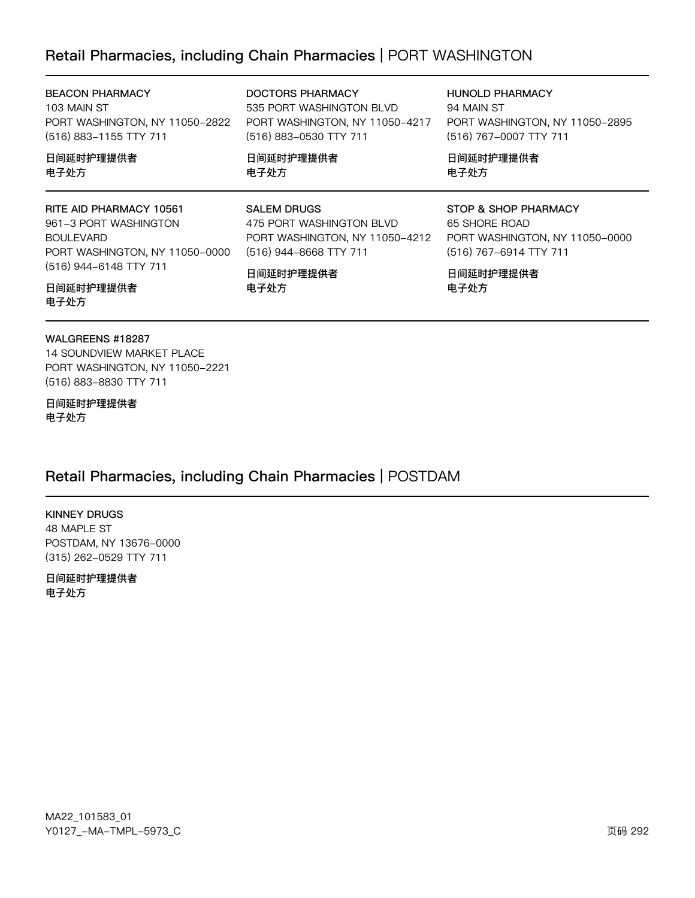### Retail Pharmacies, including Chain Pharmacies | PORT WASHINGTON

| <b>BEACON PHARMACY</b><br>103 MAIN ST<br>PORT WASHINGTON, NY 11050-2822<br>(516) 883-1155 TTY 711                                | DOCTORS PHARMACY<br>535 PORT WASHINGTON BLVD<br>PORT WASHINGTON, NY 11050-4217<br>(516) 883-0530 TTY 711   | <b>HUNOLD PHARMACY</b><br>94 MAIN ST<br>PORT WASHINGTON, NY 11050-2895<br>(516) 767-0007 TTY 711  |
|----------------------------------------------------------------------------------------------------------------------------------|------------------------------------------------------------------------------------------------------------|---------------------------------------------------------------------------------------------------|
| 日间延时护理提供者<br>电子处方                                                                                                                | 日间延时护理提供者<br>电子处方                                                                                          | 日间延时护理提供者<br>电子处方                                                                                 |
| RITE AID PHARMACY 10561<br>961-3 PORT WASHINGTON<br><b>BOULEVARD</b><br>PORT WASHINGTON, NY 11050-0000<br>(516) 944-6148 TTY 711 | <b>SALEM DRUGS</b><br>475 PORT WASHINGTON BLVD<br>PORT WASHINGTON, NY 11050-4212<br>(516) 944-8668 TTY 711 | STOP & SHOP PHARMACY<br>65 SHORE ROAD<br>PORT WASHINGTON, NY 11050-0000<br>(516) 767-6914 TTY 711 |
|                                                                                                                                  | 日间延时护理提供者                                                                                                  | 日间延时护理提供者                                                                                         |

电子处方

日间延时护理提供者 电子处方

#### WALGREENS #18287

14 SOUNDVIEW MARKET PLACE PORT WASHINGTON, NY 11050-2221 (516) 883-8830 TTY 711

日间延时护理提供者 电子处方

### Retail Pharmacies, including Chain Pharmacies | POSTDAM

电子处方

#### KINNEY DRUGS

48 MAPLE ST POSTDAM, NY 13676-0000 (315) 262-0529 TTY 711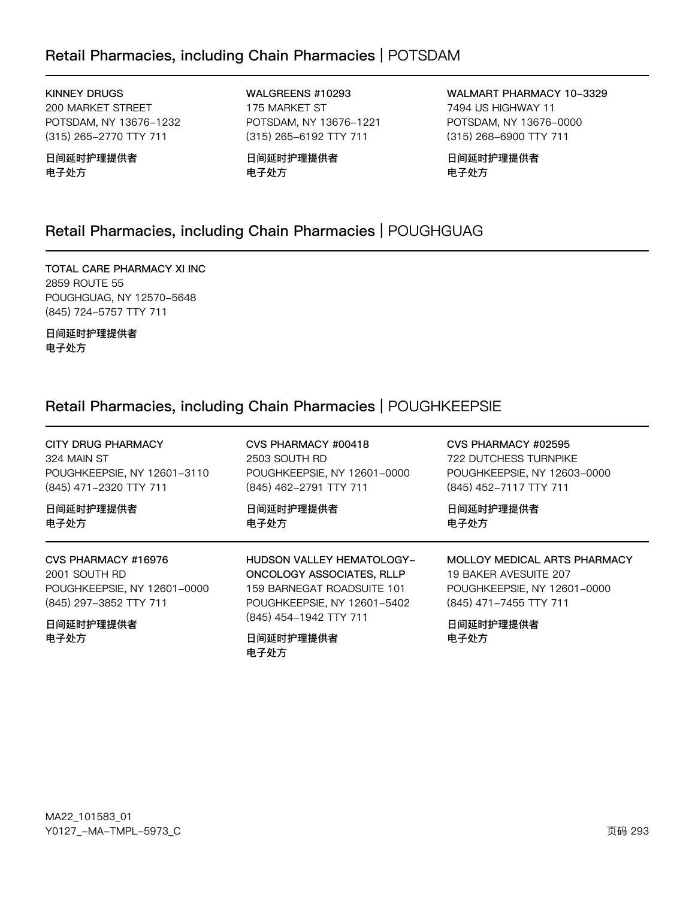### Retail Pharmacies, including Chain Pharmacies | POTSDAM

KINNEY DRUGS 200 MARKET STREET POTSDAM, NY 13676-1232 (315) 265-2770 TTY 711

日间延时护理提供者 电子处方

WALGREENS #10293 175 MARKET ST POTSDAM, NY 13676-1221 (315) 265-6192 TTY 711

日间延时护理提供者 电子处方

WALMART PHARMACY 10-3329 7494 US HIGHWAY 11 POTSDAM, NY 13676-0000 (315) 268-6900 TTY 711

日间延时护理提供者 电子处方

### Retail Pharmacies, including Chain Pharmacies | POUGHGUAG

TOTAL CARE PHARMACY XI INC 2859 ROUTE 55 POUGHGUAG, NY 12570-5648 (845) 724-5757 TTY 711

日间延时护理提供者 电子处方

### Retail Pharmacies, including Chain Pharmacies | POUGHKEEPSIE

| CITY DRUG PHARMACY          | CVS PHARMACY #00418                         | CVS PHARMACY #02595          |
|-----------------------------|---------------------------------------------|------------------------------|
| 324 MAIN ST                 | 2503 SOUTH RD                               | 722 DUTCHESS TURNPIKE        |
| POUGHKEEPSIE, NY 12601-3110 | POUGHKEEPSIE, NY 12601-0000                 | POUGHKEEPSIE, NY 12603-0000  |
| (845) 471-2320 TTY 711      | (845) 462-2791 TTY 711                      | (845) 452-7117 TTY 711       |
| 日间延时护理提供者                   | 日间延时护理提供者                                   | 日间延时护理提供者                    |
| 电子处方                        | 电子处方                                        | 电子处方                         |
| CVS PHARMACY #16976         | <b>HUDSON VALLEY HEMATOLOGY-</b>            | MOLLOY MEDICAL ARTS PHARMACY |
| 2001 SOUTH RD               | ONCOLOGY ASSOCIATES, RLLP                   | 19 BAKER AVESUITE 207        |
| POUGHKEEPSIE, NY 12601-0000 | 159 BARNEGAT ROADSUITE 101                  | POUGHKEEPSIE, NY 12601-0000  |
| (845) 297-3852 TTY 711      | POUGHKEEPSIE, NY 12601-5402                 | (845) 471-7455 TTY 711       |
| 日间延时护理提供者<br>电子处方           | (845) 454-1942 TTY 711<br>日间延时护理提供者<br>电子处方 | 日间延时护理提供者<br>电子处方            |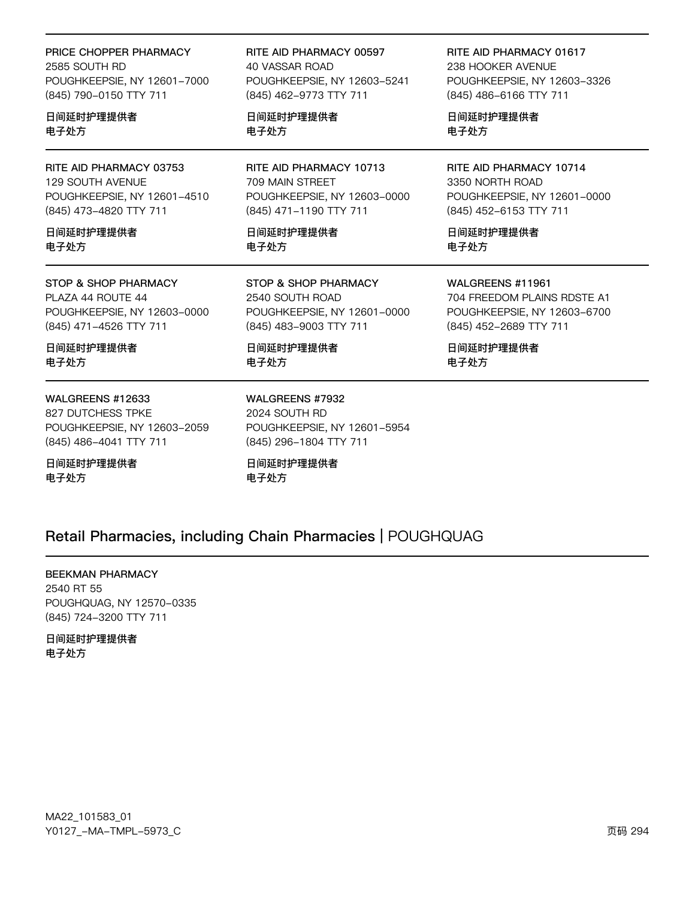#### PRICE CHOPPER PHARMACY

2585 SOUTH RD POUGHKEEPSIE, NY 12601-7000 (845) 790-0150 TTY 711

#### 日间延时护理提供者 电子处方

RITE AID PHARMACY 03753 129 SOUTH AVENUE POUGHKEEPSIE, NY 12601-4510 (845) 473-4820 TTY 711

#### 日间延时护理提供者 电子处方

#### STOP & SHOP PHARMACY

PLAZA 44 ROUTE 44 POUGHKEEPSIE, NY 12603-0000 (845) 471-4526 TTY 711

日间延时护理提供者 电子处方

#### WALGREENS #12633

827 DUTCHESS TPKE POUGHKEEPSIE, NY 12603-2059 (845) 486-4041 TTY 711

### 日间延时护理提供者

电子处方

RITE AID PHARMACY 00597 40 VASSAR ROAD POUGHKEEPSIE, NY 12603-5241 (845) 462-9773 TTY 711

日间延时护理提供者 电子处方

RITE AID PHARMACY 10713 709 MAIN STREET POUGHKEEPSIE, NY 12603-0000 (845) 471-1190 TTY 711

日间延时护理提供者 电子处方

STOP & SHOP PHARMACY 2540 SOUTH ROAD POUGHKEEPSIE, NY 12601-0000 (845) 483-9003 TTY 711

日间延时护理提供者 电子处方

WALGREENS #7932 2024 SOUTH RD POUGHKEEPSIE, NY 12601-5954 (845) 296-1804 TTY 711

日间延时护理提供者 电子处方

RITE AID PHARMACY 01617 238 HOOKER AVENUE POUGHKEEPSIE, NY 12603-3326 (845) 486-6166 TTY 711

日间延时护理提供者 电子处方

RITE AID PHARMACY 10714 3350 NORTH ROAD POUGHKEEPSIE, NY 12601-0000 (845) 452-6153 TTY 711

日间延时护理提供者 电子处方

WALGREENS #11961

704 FREEDOM PLAINS RDSTE A1 POUGHKEEPSIE, NY 12603-6700 (845) 452-2689 TTY 711

日间延时护理提供者 电子处方

### Retail Pharmacies, including Chain Pharmacies | POUGHQUAG

#### BEEKMAN PHARMACY

2540 RT 55 POUGHQUAG, NY 12570-0335 (845) 724-3200 TTY 711

日间延时护理提供者 电子处方

MA22\_101583\_01 70127v-Ju-6Jwx-5y73vC z{ 2y4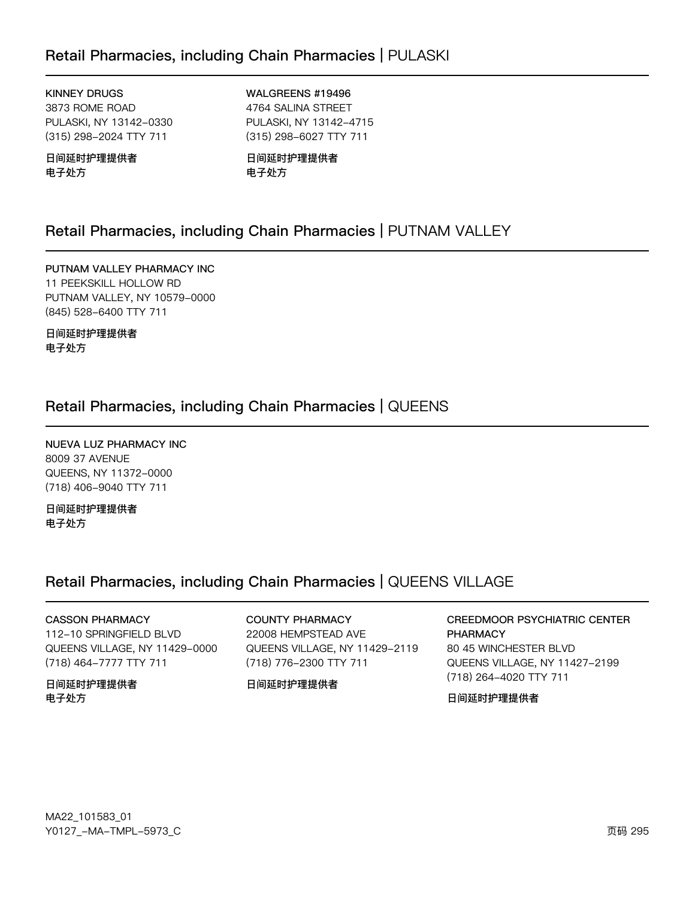### Retail Pharmacies, including Chain Pharmacies | PULASKI

**KINNEY DRUGS** 3873 ROME ROAD PULASKI, NY 13142-0330 (315) 298-2024 TTY 711

日间延时护理提供者 电子处方

WALGREENS #19496 4764 SALINA STREET PULASKI, NY 13142-4715 (315) 298-6027 TTY 711

日间延时护理提供者 电子处方

### Retail Pharmacies, including Chain Pharmacies | PUTNAM VALLEY

PUTNAM VALLEY PHARMACY INC 11 PEEKSKILL HOLLOW RD PUTNAM VALLEY, NY 10579-0000 (845) 528-6400 TTY 711

日间延时护理提供者 电子处方

### Retail Pharmacies, including Chain Pharmacies | QUEENS

NUEVA LUZ PHARMACY INC 8009 37 AVENUE QUEENS, NY 11372-0000 (718) 406-9040 TTY 711

日间延时护理提供者 电子处方

### Retail Pharmacies, including Chain Pharmacies | QUEENS VILLAGE

#### **CASSON PHARMACY**

112-10 SPRINGFIELD BLVD QUEENS VILLAGE, NY 11429-0000 (718) 464-7777 TTY 711

日间延时护理提供者 电子处方

**COUNTY PHARMACY** 22008 HEMPSTEAD AVE QUEENS VILLAGE, NY 11429-2119 (718) 776-2300 TTY 711

#### 日间延时护理提供者

**CREEDMOOR PSYCHIATRIC CENTER PHARMACY** 80 45 WINCHESTER BLVD QUEENS VILLAGE, NY 11427-2199 (718) 264-4020 TTY 711

#### 日间延时护理提供者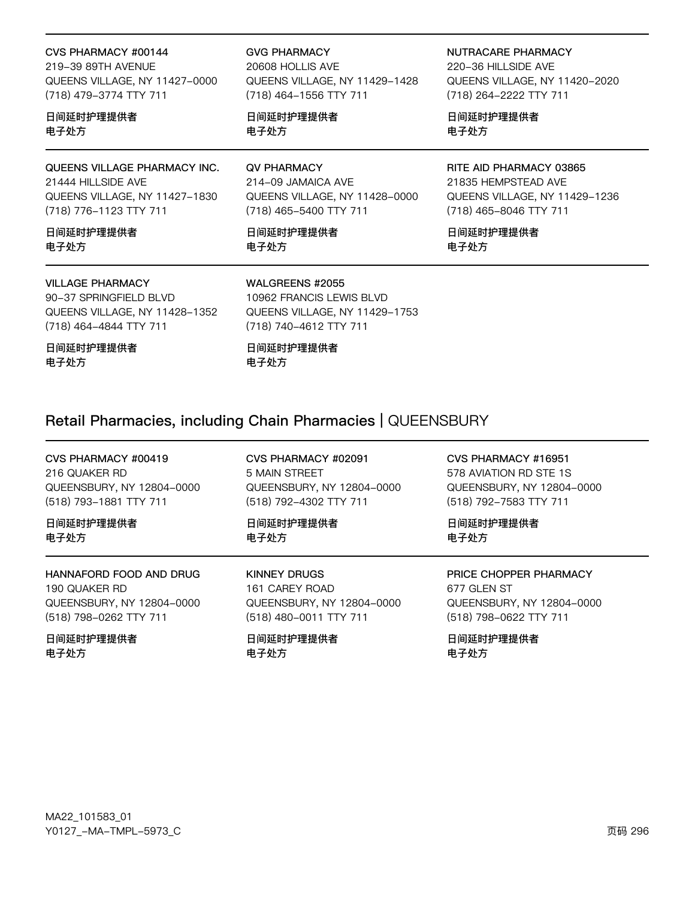#### CVS PHARMACY #00144

219-39 89TH AVENUE QUEENS VILLAGE, NY 11427-0000 (718) 479-3774 TTY 711

#### 日间延时护理提供者 电子处方

#### QUEENS VILLAGE PHARMACY INC. 21444 HILLSIDE AVE

QUEENS VILLAGE, NY 11427-1830 (718) 776-1123 TTY 711

日间延时护理提供者 电子外方

#### **VILLAGE PHARMACY**

90-37 SPRINGFIELD BLVD QUEENS VILLAGE, NY 11428-1352 (718) 464-4844 TTY 711

日间延时护理提供者 电子处方

**GVG PHARMACY** 

20608 HOLLIS AVE QUEENS VILLAGE, NY 11429-1428 (718) 464-1556 TTY 711

日间延时护理提供者 电子处方

#### **QV PHARMACY**

214-09 JAMAICA AVE QUEENS VILLAGE, NY 11428-0000 (718) 465-5400 TTY 711

日间延时护理提供者 电子外方

#### NUTRACARE PHARMACY

220-36 HILLSIDE AVE QUEENS VILLAGE, NY 11420-2020 (718) 264-2222 TTY 711

日间延时护理提供者 电子处方

### RITE AID PHARMACY 03865

21835 HEMPSTEAD AVE QUEENS VILLAGE, NY 11429-1236 (718) 465-8046 TTY 711

日间延时护理提供者 电子处方

#### WALGREENS #2055

日间延时护理提供者

10962 FRANCIS LEWIS BLVD QUEENS VILLAGE, NY 11429-1753 (718) 740-4612 TTY 711

### Retail Pharmacies, including Chain Pharmacies | QUEENSBURY

电子处方

CVS PHARMACY #00419 216 QUAKER RD QUEENSBURY, NY 12804-0000 (518) 793-1881 TTY 711

日间延时护理提供者 电子处方

HANNAFORD FOOD AND DRUG 190 QUAKER RD QUEENSBURY, NY 12804-0000 (518) 798-0262 TTY 711

日间延时护理提供者 电子外方

CVS PHARMACY #02091 5 MAIN STREET QUEENSBURY, NY 12804-0000 (518) 792-4302 TTY 711

日间延时护理提供者 电子处方

**KINNEY DRUGS** 161 CAREY ROAD QUEENSBURY, NY 12804-0000 (518) 480-0011 TTY 711

日间延时护理提供者 电子外方

### CVS PHARMACY #16951

578 AVIATION RD STE 1S QUEENSBURY, NY 12804-0000 (518) 792-7583 TTY 711

日间延时护理提供者 电子处方

### PRICE CHOPPER PHARMACY

677 GLEN ST QUEENSBURY, NY 12804-0000 (518) 798-0622 TTY 711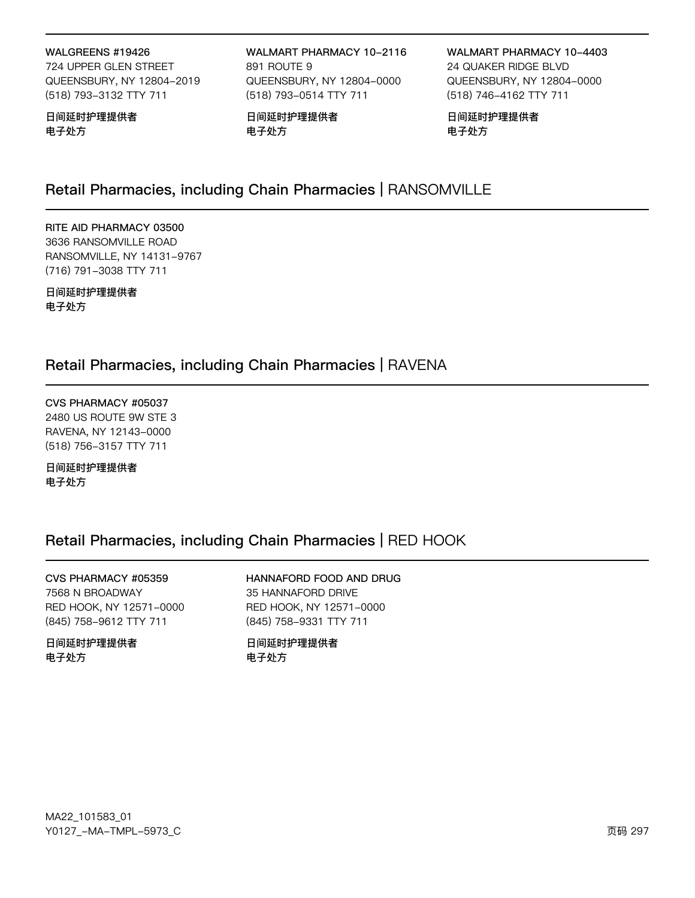#### WALGREENS #19426

724 UPPER GLEN STREET QUEENSBURY, NY 12804-2019 (518) 793-3132 TTY 711

日间延时护理提供者 电子处方

WALMART PHARMACY 10-2116 891 ROUTE 9 QUEENSBURY, NY 12804-0000 (518) 793-0514 TTY 711

日间延时护理提供者 电子处方

WALMART PHARMACY 10-4403 24 QUAKER RIDGE BLVD QUEENSBURY, NY 12804-0000 (518) 746-4162 TTY 711

日间延时护理提供者 电子处方

### Retail Pharmacies, including Chain Pharmacies | RANSOMVILLE

RITE AID PHARMACY 03500 3636 RANSOMVILLE ROAD RANSOMVILLE, NY 14131-9767 (716) 791-3038 TTY 711

日间延时护理提供者 电子处方

### Retail Pharmacies, including Chain Pharmacies | RAVENA

CVS PHARMACY #05037 2480 US ROUTE 9W STE 3 RAVENA, NY 12143-0000 (518) 756-3157 TTY 711

日间延时护理提供者 电子处方

### Retail Pharmacies, including Chain Pharmacies | RED HOOK

CVS PHARMACY #05359 7568 N BROADWAY RED HOOK, NY 12571-0000 (845) 758-9612 TTY 711

日间延时护理提供者 电子处方

HANNAFORD FOOD AND DRUG 35 HANNAFORD DRIVE RED HOOK, NY 12571-0000 (845) 758-9331 TTY 711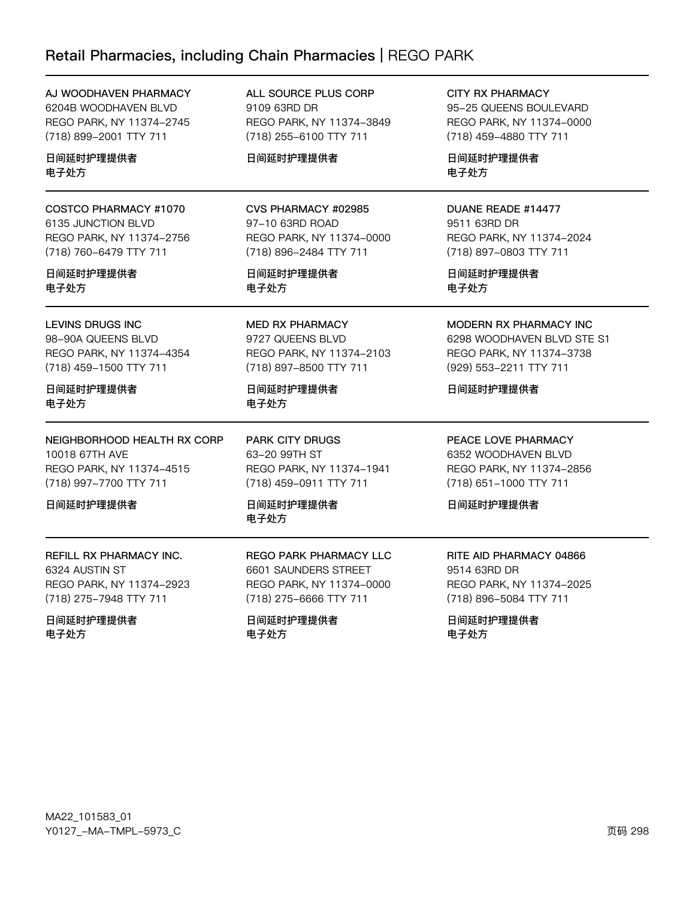### Retail Pharmacies, including Chain Pharmacies | REGO PARK

| AJ WOODHAVEN PHARMACY    |
|--------------------------|
| 6204B WOODHAVEN BLVD     |
| REGO PARK, NY 11374-2745 |
| (718) 899-2001 TTY 711   |
|                          |

日间延时护理提供者 电子处方

COSTCO PHARMACY #1070 6135 JUNCTION BLVD REGO PARK, NY 11374-2756 (718) 760-6479 TTY 711

#### 日间延时护理提供者 电子处方

LEVINS DRUGS INC 98-90A QUEENS BLVD REGO PARK, NY 11374-4354 (718) 459-1500 TTY 711

#### 日间延时护理提供者 电子处方

NEIGHBORHOOD HEALTH RX CORP 10018 67TH AVE REGO PARK, NY 11374-4515 (718) 997-7700 TTY 711

日间延时护理提供者

REFILL RX PHARMACY INC. 6324 AUSTIN ST REGO PARK, NY 11374-2923 (718) 275-7948 TTY 711

#### 日间延时护理提供者 电子处方

ALL SOURCE PLUS CORP 9109 63RD DR REGO PARK, NY 11374-3849 (718) 255-6100 TTY 711

#### 日间延时护理提供者

#### CVS PHARMACY #02985 97-10 63RD ROAD

REGO PARK, NY 11374-0000 (718) 896-2484 TTY 711

日间延时护理提供者 电子处方

MED RX PHARMACY 9727 QUEENS BLVD REGO PARK, NY 11374-2103 (718) 897-8500 TTY 711

日间延时护理提供者 电子处方

PARK CITY DRUGS 63-20 99TH ST REGO PARK, NY 11374-1941 (718) 459-0911 TTY 711

日间延时护理提供者 电子处方

REGO PARK PHARMACY LLC 6601 SAUNDERS STREET REGO PARK, NY 11374-0000 (718) 275-6666 TTY 711

日间延时护理提供者 电子处方

CITY RX PHARMACY 95-25 QUEENS BOULEVARD REGO PARK, NY 11374-0000 (718) 459-4880 TTY 711

日间延时护理提供者 电子处方

### DUANE READE #14477

9511 63RD DR REGO PARK, NY 11374-2024 (718) 897-0803 TTY 711

日间延时护理提供者 电子处方

MODERN RX PHARMACY INC 6298 WOODHAVEN BLVD STE S1 REGO PARK, NY 11374-3738 (929) 553-2211 TTY 711

日间延时护理提供者

PEACE LOVE PHARMACY 6352 WOODHAVEN BLVD REGO PARK, NY 11374-2856 (718) 651-1000 TTY 711

日间延时护理提供者

### RITE AID PHARMACY 04866 9514 63RD DR REGO PARK, NY 11374-2025

(718) 896-5084 TTY 711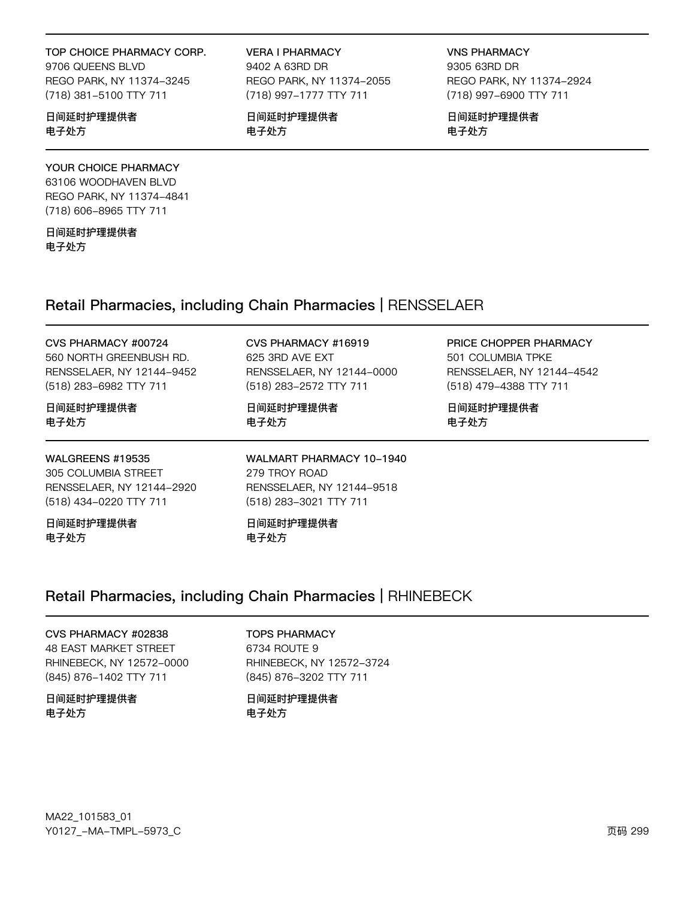#### TOP CHOICE PHARMACY CORP.

9706 QUEENS BLVD REGO PARK, NY 11374-3245 (718) 381-5100 TTY 711

#### 日间延时护理提供者 电子处方

#### YOUR CHOICE PHARMACY

63106 WOODHAVEN BLVD REGO PARK, NY 11374-4841 (718) 606-8965 TTY 711

日间延时护理提供者 电子处方

VERA I PHARMACY 9402 A 63RD DR REGO PARK, NY 11374-2055

(718) 997-1777 TTY 711

日间延时护理提供者 电子处方

VNS PHARMACY 9305 63RD DR REGO PARK, NY 11374-2924 (718) 997-6900 TTY 711

日间延时护理提供者 电子处方

### Retail Pharmacies, including Chain Pharmacies | RENSSELAER

#### CVS PHARMACY #00724

560 NORTH GREENBUSH RD. RENSSELAER, NY 12144-9452 (518) 283-6982 TTY 711

#### 日间延时护理提供者 电子处方

WALGREENS #19535 305 COLUMBIA STREET RENSSELAER, NY 12144-2920 (518) 434-0220 TTY 711

日间延时护理提供者 电子处方

### CVS PHARMACY #16919 625 3RD AVE EXT

RENSSELAER, NY 12144-0000 (518) 283-2572 TTY 711

日间延时护理提供者 电子处方

WALMART PHARMACY 10-1940 279 TROY ROAD RENSSELAER, NY 12144-9518 (518) 283-3021 TTY 711

日间延时护理提供者 电子处方

### Retail Pharmacies, including Chain Pharmacies | RHINEBECK

CVS PHARMACY #02838 48 EAST MARKET STREET RHINEBECK, NY 12572-0000 (845) 876-1402 TTY 711

日间延时护理提供者 电子处方

TOPS PHARMACY 6734 ROUTE 9 RHINEBECK, NY 12572-3724 (845) 876-3202 TTY 711

日间延时护理提供者 电子处方

PRICE CHOPPER PHARMACY 501 COLUMBIA TPKE RENSSELAER, NY 12144-4542 (518) 479-4388 TTY 711

日间延时护理提供者 电子处方

MA22\_101583\_01 70127v-Ju-6Jwx-5y73vC z{ 2yy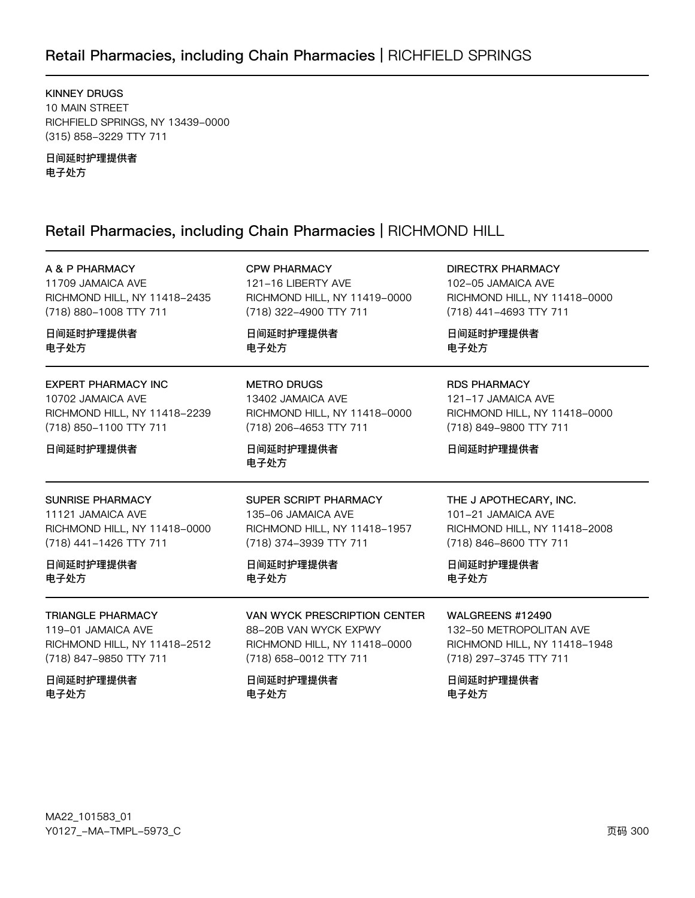### Retail Pharmacies, including Chain Pharmacies | RICHFIELD SPRINGS

**KINNEY DRUGS** 10 MAIN STREET RICHFIELD SPRINGS, NY 13439-0000 (315) 858-3229 TTY 711

日间延时护理提供者 电子处方

### Retail Pharmacies, including Chain Pharmacies | RICHMOND HILL

| A & P PHARMACY               | <b>CPW PHARMACY</b>          | <b>DIRECTRX PHARMACY</b>     |
|------------------------------|------------------------------|------------------------------|
| 11709 JAMAICA AVE            | 121-16 LIBERTY AVE           | 102-05 JAMAICA AVE           |
| RICHMOND HILL, NY 11418-2435 | RICHMOND HILL, NY 11419-0000 | RICHMOND HILL, NY 11418-0000 |
| (718) 880-1008 TTY 711       | (718) 322-4900 TTY 711       | (718) 441-4693 TTY 711       |
| 日间延时护理提供者                    | 日间延时护理提供者                    | 日间延时护理提供者                    |
| 电子处方                         | 电子处方                         | 电子处方                         |
| <b>EXPERT PHARMACY INC</b>   | <b>METRO DRUGS</b>           | <b>RDS PHARMACY</b>          |
| 10702 JAMAICA AVE            | 13402 JAMAICA AVE            | 121-17 JAMAICA AVE           |
| RICHMOND HILL, NY 11418-2239 | RICHMOND HILL, NY 11418-0000 | RICHMOND HILL, NY 11418-0000 |
| (718) 850-1100 TTY 711       | (718) 206-4653 TTY 711       | (718) 849-9800 TTY 711       |
| 日间延时护理提供者                    | 日间延时护理提供者<br>电子处方            | 日间延时护理提供者                    |
| <b>SUNRISE PHARMACY</b>      | SUPER SCRIPT PHARMACY        | THE J APOTHECARY, INC.       |
| 11121 JAMAICA AVE            | 135-06 JAMAICA AVE           | 101-21 JAMAICA AVE           |
| RICHMOND HILL, NY 11418-0000 | RICHMOND HILL, NY 11418-1957 | RICHMOND HILL, NY 11418-2008 |
| (718) 441-1426 TTY 711       | (718) 374-3939 TTY 711       | (718) 846-8600 TTY 711       |
| 日间延时护理提供者                    | 日间延时护理提供者                    | 日间延时护理提供者                    |
| 电子处方                         | 电子处方                         | 电子处方                         |
| <b>TRIANGLE PHARMACY</b>     | VAN WYCK PRESCRIPTION CENTER | WALGREENS #12490             |
| 119-01 JAMAICA AVE           | 88-20B VAN WYCK EXPWY        | 132-50 METROPOLITAN AVE      |
| RICHMOND HILL, NY 11418-2512 | RICHMOND HILL, NY 11418-0000 | RICHMOND HILL, NY 11418-1948 |
| (718) 847-9850 TTY 711       | (718) 658-0012 TTY 711       | (718) 297-3745 TTY 711       |
| 日间延时护理提供者                    | 日间延时护理提供者                    | 日间延时护理提供者                    |
| 电子处方                         | 电子处方                         | 电子处方                         |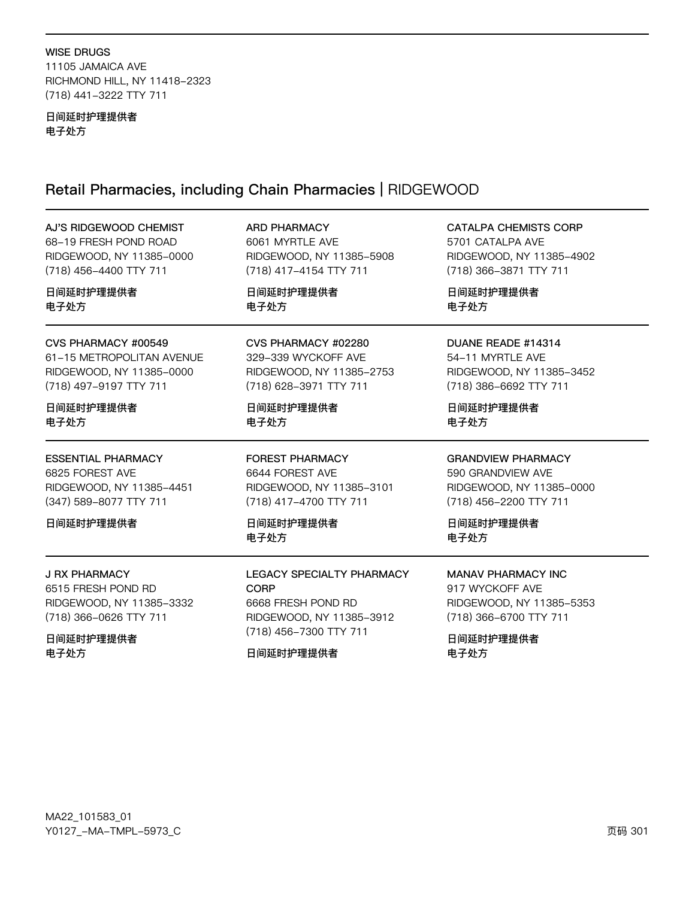#### **WISE DRUGS**

11105 JAMAICA AVE RICHMOND HILL, NY 11418-2323 (718) 441-3222 TTY 711

#### 日间延时护理提供者 电子处方

## Retail Pharmacies, including Chain Pharmacies | RIDGEWOOD

| AJ'S RIDGEWOOD CHEMIST    | <b>ARD PHARMACY</b>       | <b>CATALPA CHEMISTS CORP</b> |
|---------------------------|---------------------------|------------------------------|
| 68-19 FRESH POND ROAD     | 6061 MYRTLE AVE           | 5701 CATALPA AVE             |
| RIDGEWOOD, NY 11385-0000  | RIDGEWOOD, NY 11385-5908  | RIDGEWOOD, NY 11385-4902     |
| (718) 456-4400 TTY 711    | (718) 417-4154 TTY 711    | (718) 366-3871 TTY 711       |
| 日间延时护理提供者                 | 日间延时护理提供者                 | 日间延时护理提供者                    |
| 电子处方                      | 电子处方                      | 电子处方                         |
| CVS PHARMACY #00549       | CVS PHARMACY #02280       | DUANE READE #14314           |
| 61-15 METROPOLITAN AVENUE | 329-339 WYCKOFF AVE       | 54-11 MYRTLE AVE             |
| RIDGEWOOD, NY 11385-0000  | RIDGEWOOD, NY 11385-2753  | RIDGEWOOD, NY 11385-3452     |
| (718) 497-9197 TTY 711    | (718) 628-3971 TTY 711    | (718) 386-6692 TTY 711       |
| 日间延时护理提供者                 | 日间延时护理提供者                 | 日间延时护理提供者                    |
| 电子处方                      | 电子处方                      | 电子处方                         |
| <b>ESSENTIAL PHARMACY</b> | <b>FOREST PHARMACY</b>    | <b>GRANDVIEW PHARMACY</b>    |
| 6825 FOREST AVE           | 6644 FOREST AVE           | 590 GRANDVIEW AVE            |
| RIDGEWOOD, NY 11385-4451  | RIDGEWOOD, NY 11385-3101  | RIDGEWOOD, NY 11385-0000     |
| (347) 589-8077 TTY 711    | (718) 417-4700 TTY 711    | (718) 456-2200 TTY 711       |
| 日间延时护理提供者                 | 日间延时护理提供者<br>电子处方         | 日间延时护理提供者<br>电子处方            |
| <b>J RX PHARMACY</b>      | LEGACY SPECIALTY PHARMACY | <b>MANAV PHARMACY INC</b>    |
| 6515 FRESH POND RD        | <b>CORP</b>               | 917 WYCKOFF AVE              |
| RIDGEWOOD, NY 11385-3332  | 6668 FRESH POND RD        | RIDGEWOOD, NY 11385-5353     |
| (718) 366-0626 TTY 711    | RIDGEWOOD, NY 11385-3912  | (718) 366-6700 TTY 711       |
| 日间延时护理提供者                 | (718) 456-7300 TTY 711    | 日间延时护理提供者                    |
| 电子处方                      | 日间延时护理提供者                 | 电子处方                         |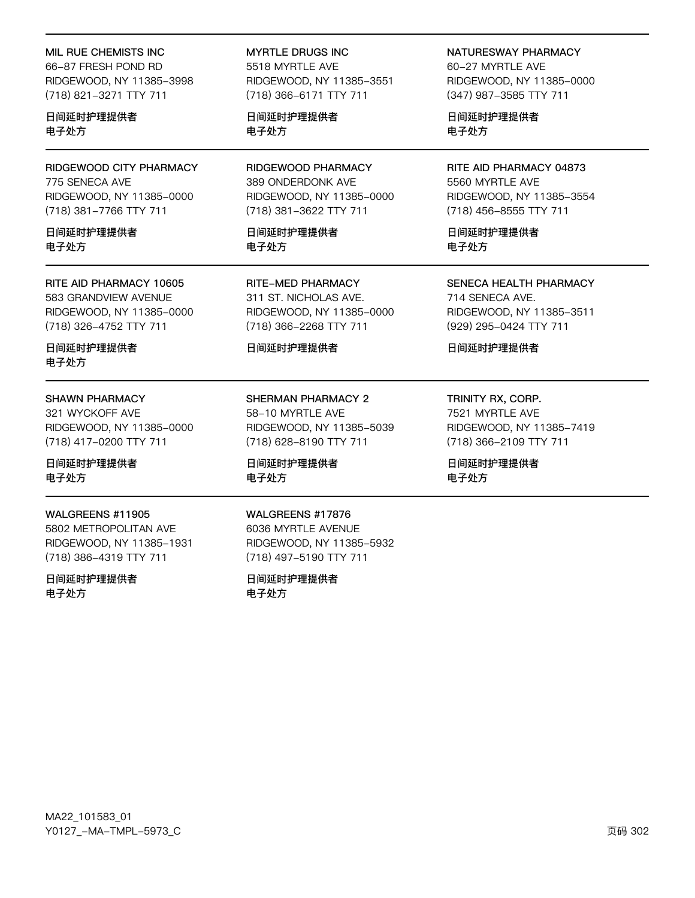#### MIL RUE CHEMISTS INC

66-87 FRESH POND RD RIDGEWOOD, NY 11385-3998 (718) 821-3271 TTY 711

日间延时护理提供者 电子处方

RIDGEWOOD CITY PHARMACY 775 SENECA AVE RIDGEWOOD, NY 11385-0000 (718) 381-7766 TTY 711

日间延时护理提供者 电子外方

#### RITE AID PHARMACY 10605 583 GRANDVIEW AVENUE RIDGEWOOD, NY 11385-0000 (718) 326-4752 TTY 711

日间延时护理提供者 电子处方

#### **SHAWN PHARMACY**

321 WYCKOFF AVE RIDGEWOOD, NY 11385-0000 (718) 417-0200 TTY 711

#### 日间延时护理提供者 电子处方

#### WALGREENS #11905

5802 METROPOLITAN AVE RIDGEWOOD, NY 11385-1931 (718) 386-4319 TTY 711

日间延时护理提供者 电子处方

**MYRTLE DRUGS INC** 5518 MYRTLE AVE RIDGEWOOD, NY 11385-3551 (718) 366-6171 TTY 711

日间延时护理提供者 电子处方

RIDGEWOOD PHARMACY 389 ONDERDONK AVE RIDGEWOOD, NY 11385-0000 (718) 381-3622 TTY 711

日间延时护理提供者 电子外方

**RITE-MED PHARMACY** 311 ST. NICHOLAS AVE. RIDGEWOOD, NY 11385-0000 (718) 366-2268 TTY 711

#### 日间延时护理提供者

SHERMAN PHARMACY 2 58-10 MYRTLE AVE RIDGEWOOD, NY 11385-5039 (718) 628-8190 TTY 711

日间延时护理提供者 电子处方

#### WALGREENS #17876

6036 MYRTLE AVENUE RIDGEWOOD, NY 11385-5932 (718) 497-5190 TTY 711

日间延时护理提供者 电子处方

NATURESWAY PHARMACY 60-27 MYRTLE AVE RIDGEWOOD, NY 11385-0000 (347) 987-3585 TTY 711

日间延时护理提供者 电子处方

RITE AID PHARMACY 04873 5560 MYRTLE AVE RIDGEWOOD, NY 11385-3554 (718) 456-8555 TTY 711

日间延时护理提供者 电子外方

SENECA HEALTH PHARMACY

714 SENECA AVE. RIDGEWOOD, NY 11385-3511 (929) 295-0424 TTY 711

日间延时护理提供者

TRINITY RX, CORP. 7521 MYRTLE AVE RIDGEWOOD, NY 11385-7419 (718) 366-2109 TTY 711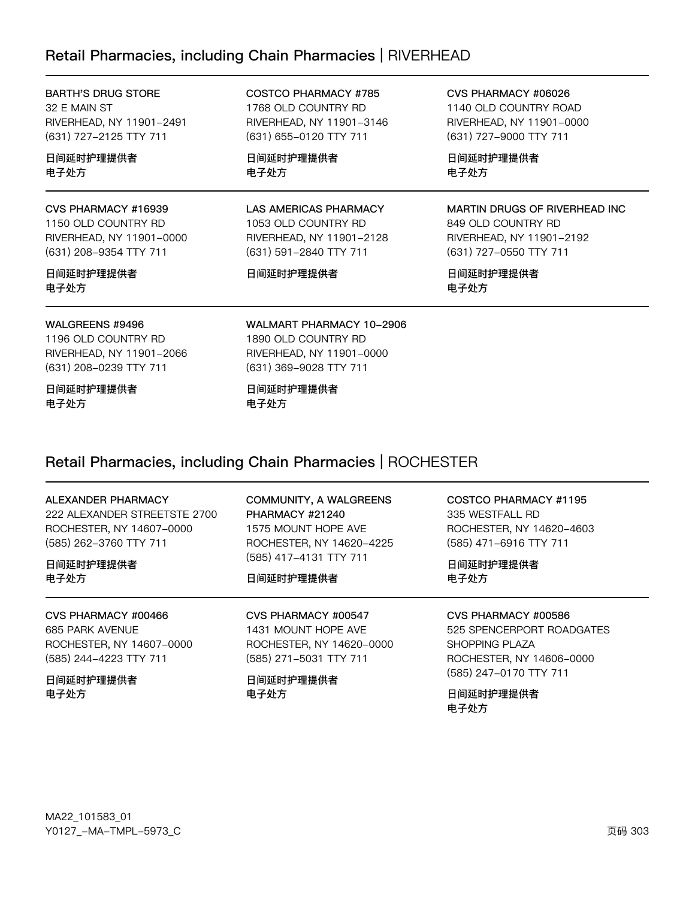### Retail Pharmacies, including Chain Pharmacies | RIVERHEAD

| <b>BARTH'S DRUG STORE</b><br>32 E MAIN ST<br>RIVERHEAD, NY 11901-2491<br>(631) 727-2125 TTY 711  | COSTCO PHARMACY #785<br>1768 OLD COUNTRY RD<br>RIVERHEAD, NY 11901-3146<br>(631) 655-0120 TTY 711         | CVS PHARMACY #06026<br>1140 OLD COUNTRY ROAD<br>RIVERHEAD, NY 11901-0000<br>(631) 727-9000 TTY 711         |
|--------------------------------------------------------------------------------------------------|-----------------------------------------------------------------------------------------------------------|------------------------------------------------------------------------------------------------------------|
| 日间延时护理提供者<br>电子处方                                                                                | 日间延时护理提供者<br>电子处方                                                                                         | 日间延时护理提供者<br>电子处方                                                                                          |
| CVS PHARMACY #16939<br>1150 OLD COUNTRY RD<br>RIVERHEAD, NY 11901-0000<br>(631) 208-9354 TTY 711 | <b>LAS AMERICAS PHARMACY</b><br>1053 OLD COUNTRY RD<br>RIVERHEAD, NY 11901-2128<br>(631) 591-2840 TTY 711 | MARTIN DRUGS OF RIVERHEAD INC.<br>849 OLD COUNTRY RD<br>RIVERHEAD, NY 11901-2192<br>(631) 727-0550 TTY 711 |
| 日间延时护理提供者<br>电子处方                                                                                | 日间延时护理提供者                                                                                                 | 日间延时护理提供者<br>电子处方                                                                                          |
| WALGREENS #9496<br>1196 OLD COUNTRY RD<br>RIVERHEAD, NY 11901-2066<br>(631) 208-0239 TTY 711     | WALMART PHARMACY 10-2906<br>1890 OLD COUNTRY RD<br>RIVERHEAD, NY 11901-0000<br>(631) 369-9028 TTY 711     |                                                                                                            |
| 日间延时护理提供者<br>电子处方                                                                                | 日间延时护理提供者<br>电子处方                                                                                         |                                                                                                            |

### Retail Pharmacies, including Chain Pharmacies | ROCHESTER

| ALEXANDER PHARMACY |  |
|--------------------|--|
|--------------------|--|

222 ALEXANDER STREETSTE 2700 ROCHESTER, NY 14607-0000 (585) 262-3760 TTY 711

日间延时护理提供者 电子处方

CVS PHARMACY #00466 685 PARK AVENUE ROCHESTER, NY 14607-0000 (585) 244-4223 TTY 711

日间延时护理提供者 电子处方

COMMUNITY, A WALGREENS PHARMACY #21240 1575 MOUNT HOPE AVE ROCHESTER, NY 14620-4225 (585) 417-4131 TTY 711

### 日间延时护理提供者

CVS PHARMACY #00547 1431 MOUNT HOPE AVE ROCHESTER, NY 14620-0000 (585) 271-5031 TTY 711

日间延时护理提供者 电子处方

COSTCO PHARMACY #1195 335 WESTFALL RD ROCHESTER, NY 14620-4603 (585) 471-6916 TTY 711

日间延时护理提供者 电子处方

CVS PHARMACY #00586 525 SPENCERPORT ROADGATES

**SHOPPING PLAZA** ROCHESTER, NY 14606-0000 (585) 247-0170 TTY 711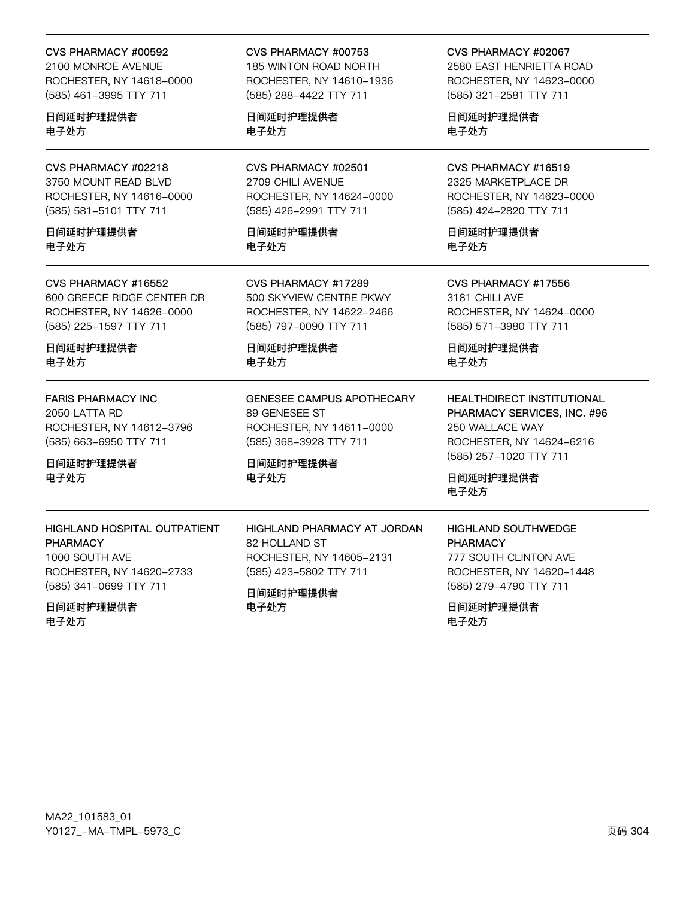#### CVS PHARMACY #00592

2100 MONROE AVENUE ROCHESTER, NY 14618-0000 (585) 461-3995 TTY 711

日间延时护理提供者 电子处方

CVS PHARMACY #02218 3750 MOUNT READ BLVD ROCHESTER, NY 14616-0000 (585) 581-5101 TTY 711

日间延时护理提供者 电子外方

#### CVS PHARMACY #16552

600 GREECE RIDGE CENTER DR ROCHESTER, NY 14626-0000 (585) 225-1597 TTY 711

日间延时护理提供者 电子处方

### **FARIS PHARMACY INC**

2050 LATTA RD ROCHESTER, NY 14612-3796 (585) 663-6950 TTY 711

日间延时护理提供者 电子处方

### HIGHLAND HOSPITAL OUTPATIENT **PHARMACY** 1000 SOUTH AVE ROCHESTER, NY 14620-2733 (585) 341-0699 TTY 711

日间延时护理提供者 电子处方

### CVS PHARMACY #00753

185 WINTON ROAD NORTH ROCHESTER, NY 14610-1936 (585) 288-4422 TTY 711

日间延时护理提供者 电子处方

CVS PHARMACY #02501 2709 CHILI AVENUE ROCHESTER, NY 14624-0000 (585) 426-2991 TTY 711

日间延时护理提供者 电子外方

CVS PHARMACY #17289 500 SKYVIEW CENTRE PKWY ROCHESTER, NY 14622-2466 (585) 797-0090 TTY 711

日间延时护理提供者 电子处方

**GENESEE CAMPUS APOTHECARY** 89 GENESEE ST ROCHESTER, NY 14611-0000 (585) 368-3928 TTY 711

HIGHLAND PHARMACY AT JORDAN

ROCHESTER, NY 14605-2131

(585) 423-5802 TTY 711

日间延时护理提供者 电子处方

82 HOLLAND ST

日间延时护理提供者

电子处方

CVS PHARMACY #02067 2580 EAST HENRIETTA ROAD ROCHESTER, NY 14623-0000 (585) 321-2581 TTY 711

日间延时护理提供者 电子处方

CVS PHARMACY #16519 2325 MARKETPLACE DR ROCHESTER, NY 14623-0000 (585) 424-2820 TTY 711

日间延时护理提供者 电子外方

CVS PHARMACY #17556 3181 CHILI AVE ROCHESTER, NY 14624-0000 (585) 571-3980 TTY 711

日间延时护理提供者 电子处方

**HEALTHDIRECT INSTITUTIONAL** PHARMACY SERVICES, INC. #96 250 WALLACE WAY ROCHESTER, NY 14624-6216 (585) 257-1020 TTY 711

日间延时护理提供者 电子处方

**HIGHLAND SOUTHWEDGE PHARMACY** 777 SOUTH CLINTON AVE ROCHESTER, NY 14620-1448 (585) 279-4790 TTY 711

日间延时护理提供者 电子处方

MA22\_101583\_01 Y0127\_-MA-TMPL-5973\_C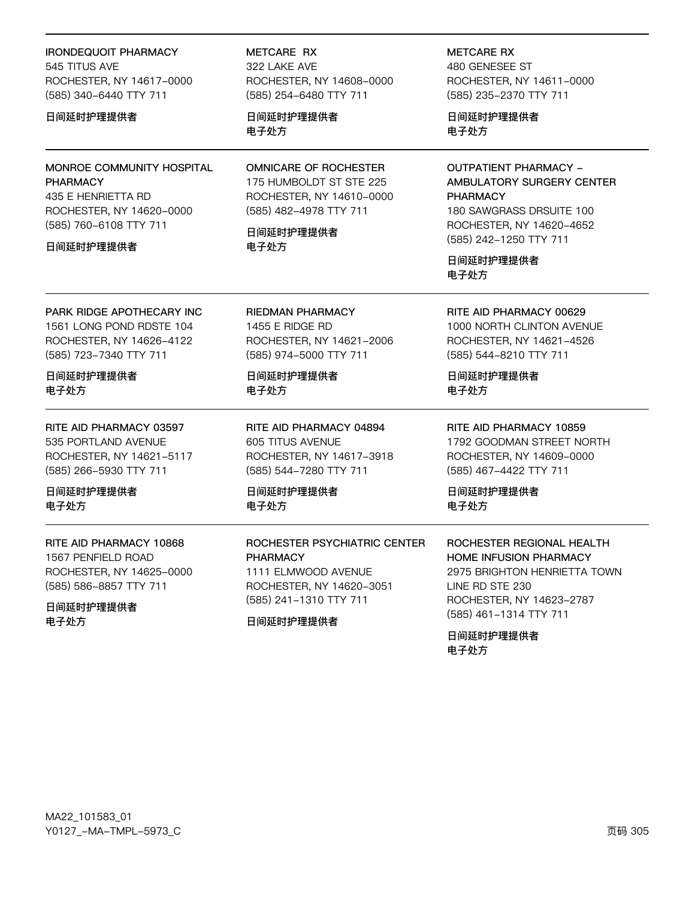### **IRONDEQUOIT PHARMACY** 545 TITUS AVE ROCHESTER, NY 14617-0000 (585) 340-6440 TTY 711

#### 日间延时护理提供者

MONROE COMMUNITY HOSPITAL **PHARMACY** 

435 E HENRIETTA RD ROCHESTER, NY 14620-0000 (585) 760-6108 TTY 711

#### 日间延时护理提供者

METCARE RX 322 LAKE AVE ROCHESTER, NY 14608-0000 (585) 254-6480 TTY 711

日间延时护理提供者 电子处方

**OMNICARE OF ROCHESTER** 175 HUMBOLDT ST STE 225 ROCHESTER, NY 14610-0000 (585) 482-4978 TTY 711

日间延时护理提供者 电子外方

**METCARE RX** 480 GENESEE ST ROCHESTER, NY 14611-0000 (585) 235-2370 TTY 711

日间延时护理提供者 电子处方

**OUTPATIENT PHARMACY -**AMBULATORY SURGERY CENTER **PHARMACY** 180 SAWGRASS DRSUITE 100 ROCHESTER, NY 14620-4652 (585) 242-1250 TTY 711

日间延时护理提供者 电子处方

PARK RIDGE APOTHECARY INC 1561 LONG POND RDSTE 104 ROCHESTER, NY 14626-4122

日间延时护理提供者 电子处方

(585) 723-7340 TTY 711

RITE AID PHARMACY 03597 535 PORTLAND AVENUE ROCHESTER, NY 14621-5117 (585) 266-5930 TTY 711

日间延时护理提供者 电子处方

RITE AID PHARMACY 10868 1567 PENFIFI D ROAD ROCHESTER, NY 14625-0000 (585) 586-8857 TTY 711

日间延时护理提供者 电子处方

**RIEDMAN PHARMACY** 1455 E RIDGE RD ROCHESTER, NY 14621-2006 (585) 974-5000 TTY 711

日间延时护理提供者 电子处方

RITE AID PHARMACY 04894 605 TITUS AVENUE ROCHESTER, NY 14617-3918 (585) 544-7280 TTY 711

日间延时护理提供者 电子处方

ROCHESTER PSYCHIATRIC CENTER **PHARMACY** 

1111 ELMWOOD AVENUE ROCHESTER, NY 14620-3051 (585) 241-1310 TTY 711

日间延时护理提供者

RITE AID PHARMACY 00629 1000 NORTH CLINTON AVENUE ROCHESTER, NY 14621-4526 (585) 544-8210 TTY 711

日间延时护理提供者 电子处方

RITE AID PHARMACY 10859 1792 GOODMAN STREET NORTH ROCHESTER, NY 14609-0000 (585) 467-4422 TTY 711

日间延时护理提供者 电子处方

ROCHESTER REGIONAL HEALTH HOME INFUSION PHARMACY 2975 BRIGHTON HENRIETTA TOWN LINE RD STE 230 ROCHESTER, NY 14623-2787 (585) 461-1314 TTY 711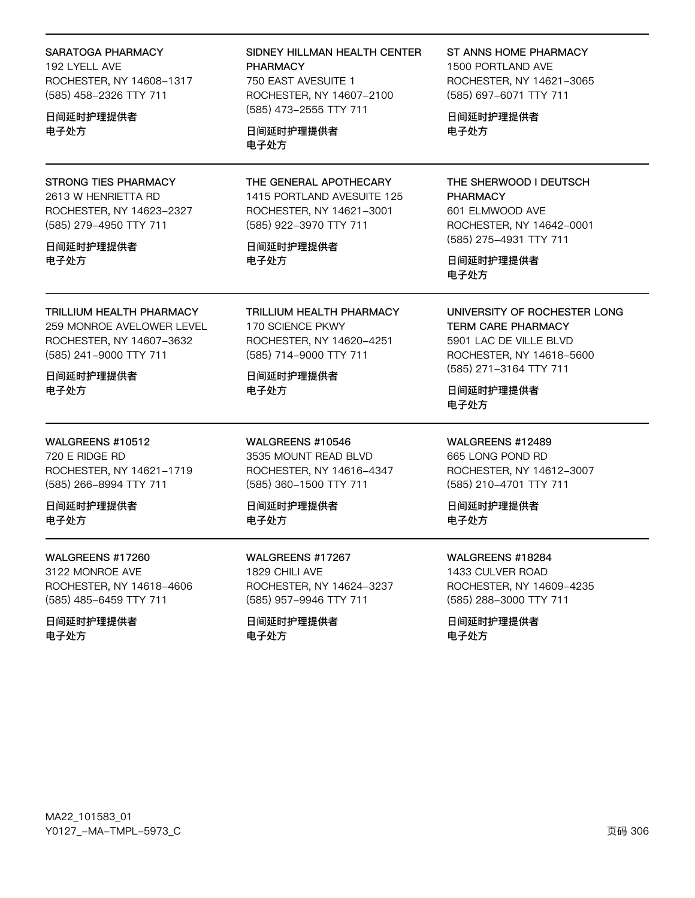| SARATOGA PHARMACY<br>192 LYELL AVE<br>ROCHESTER, NY 14608-1317<br>(585) 458-2326 TTY 711<br>日间延时护理提供者<br>电子处方                           | SIDNEY HILLMAN HEALTH CENTER<br><b>PHARMACY</b><br>750 EAST AVESUITE 1<br>ROCHESTER, NY 14607-2100<br>(585) 473-2555 TTY 711<br>日间延时护理提供者<br>电子处方 | ST ANNS HOME PHARMACY<br>1500 PORTLAND AVE<br>ROCHESTER, NY 14621-3065<br>(585) 697-6071 TTY 711<br>日间延时护理提供者<br>电子处方                                          |
|-----------------------------------------------------------------------------------------------------------------------------------------|---------------------------------------------------------------------------------------------------------------------------------------------------|----------------------------------------------------------------------------------------------------------------------------------------------------------------|
| STRONG TIES PHARMACY<br>2613 W HENRIETTA RD<br>ROCHESTER, NY 14623-2327<br>(585) 279-4950 TTY 711<br>日间延时护理提供者<br>电子处方                  | THE GENERAL APOTHECARY<br>1415 PORTLAND AVESUITE 125<br>ROCHESTER, NY 14621-3001<br>(585) 922-3970 TTY 711<br>日间延时护理提供者<br>电子处方                   | THE SHERWOOD I DEUTSCH<br><b>PHARMACY</b><br>601 ELMWOOD AVE<br>ROCHESTER, NY 14642-0001<br>(585) 275-4931 TTY 711<br>日间延时护理提供者<br>电子处方                        |
| <b>TRILLIUM HEALTH PHARMACY</b><br>259 MONROE AVELOWER LEVEL<br>ROCHESTER, NY 14607-3632<br>(585) 241-9000 TTY 711<br>日间延时护理提供者<br>电子处方 | TRILLIUM HEALTH PHARMACY<br>170 SCIENCE PKWY<br>ROCHESTER, NY 14620-4251<br>(585) 714-9000 TTY 711<br>日间延时护理提供者<br>电子处方                           | UNIVERSITY OF ROCHESTER LONG<br><b>TERM CARE PHARMACY</b><br>5901 LAC DE VILLE BLVD<br>ROCHESTER, NY 14618-5600<br>(585) 271-3164 TTY 711<br>日间延时护理提供者<br>电子处方 |
| WALGREENS #10512<br>720 E RIDGE RD<br>ROCHESTER, NY 14621-1719<br>(585) 266-8994 TTY 711<br>日间延时护理提供者<br>电子处方                           | WALGREENS #10546<br>3535 MOUNT READ BLVD<br>ROCHESTER, NY 14616-4347<br>(585) 360-1500 TTY 711<br>日间延时护理提供者<br>电子处方                               | WALGREENS #12489<br>665 LONG POND RD<br>ROCHESTER, NY 14612-3007<br>(585) 210-4701 TTY 711<br>日间延时护理提供者<br>电子处方                                                |
| WALGREENS #17260<br>3122 MONROE AVE<br>ROCHESTER, NY 14618-4606<br>(585) 485-6459 TTY 711                                               | WALGREENS #17267<br>1829 CHILI AVE<br>ROCHESTER, NY 14624-3237<br>(585) 957-9946 TTY 711                                                          | WALGREENS #18284<br>1433 CULVER ROAD<br>ROCHESTER, NY 14609-4235<br>(585) 288-3000 TTY 711                                                                     |

日间延时护理提供者 电子处方

(585) 957–9946 TTY 711 日间延时护理提供者

电子处方

(585) 288-3000 TTY 711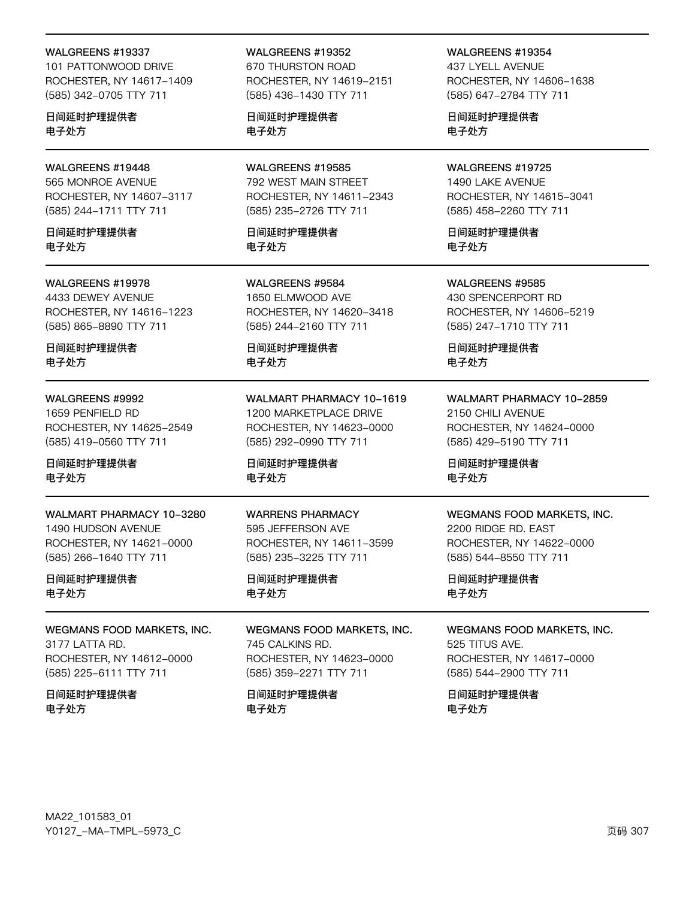#### WALGREENS #19337

101 PATTONWOOD DRIVE ROCHESTER, NY 14617-1409 (585) 342-0705 TTY 711

日间延时护理提供者 电子处方

### WALGREENS #19448

565 MONROE AVENUE ROCHESTER, NY 14607-3117 (585) 244-1711 TTY 711

日间延时护理提供者 电子处方

#### WALGREENS #19978

4433 DEWEY AVENUE ROCHESTER, NY 14616-1223 (585) 865-8890 TTY 711

日间延时护理提供者 电子处方

#### WALGREENS #9992

1659 PENFIELD RD ROCHESTER, NY 14625-2549 (585) 419-0560 TTY 711

#### 日间延时护理提供者 电子处方

WALMART PHARMACY 10-3280 1490 HUDSON AVENUE ROCHESTER, NY 14621-0000 (585) 266-1640 TTY 711

#### 日间延时护理提供者 电子处方

WEGMANS FOOD MARKETS, INC. 3177 LATTA RD. ROCHESTER, NY 14612-0000 (585) 225-6111 TTY 711

#### 日间延时护理提供者 电子处方

WALGREENS #19352 670 THURSTON ROAD ROCHESTER, NY 14619-2151 (585) 436-1430 TTY 711

日间延时护理提供者 电子处方

WALGREENS #19585 792 WEST MAIN STREET ROCHESTER, NY 14611-2343 (585) 235-2726 TTY 711

日间延时护理提供者 电子处方

WALGREENS #9584 1650 ELMWOOD AVE ROCHESTER, NY 14620-3418 (585) 244-2160 TTY 711

日间延时护理提供者 电子处方

WALMART PHARMACY 10-1619 1200 MARKETPLACE DRIVE ROCHESTER, NY 14623-0000 (585) 292-0990 TTY 711

日间延时护理提供者 电子处方

WARRENS PHARMACY 595 JEFFERSON AVE ROCHESTER, NY 14611-3599 (585) 235-3225 TTY 711

日间延时护理提供者 电子处方

WEGMANS FOOD MARKETS, INC. 745 CALKINS RD. ROCHESTER, NY 14623-0000 (585) 359-2271 TTY 711

日间延时护理提供者 电子处方

WALGREENS #19354 437 LYELL AVENUE ROCHESTER, NY 14606-1638 (585) 647-2784 TTY 711

日间延时护理提供者 电子处方

#### WALGREENS #19725

1490 LAKE AVENUE ROCHESTER, NY 14615-3041 (585) 458-2260 TTY 711

日间延时护理提供者 电子处方

WALGREENS #9585 430 SPENCERPORT RD ROCHESTER, NY 14606-5219 (585) 247-1710 TTY 711

日间延时护理提供者 电子处方

WALMART PHARMACY 10-2859 2150 CHILI AVENUE ROCHESTER, NY 14624-0000 (585) 429-5190 TTY 711

日间延时护理提供者 电子处方

#### WEGMANS FOOD MARKETS, INC.

2200 RIDGE RD. EAST ROCHESTER, NY 14622-0000 (585) 544-8550 TTY 711

日间延时护理提供者 电子处方

WEGMANS FOOD MARKETS, INC. 525 TITUS AVE. ROCHESTER, NY 14617-0000 (585) 544-2900 TTY 711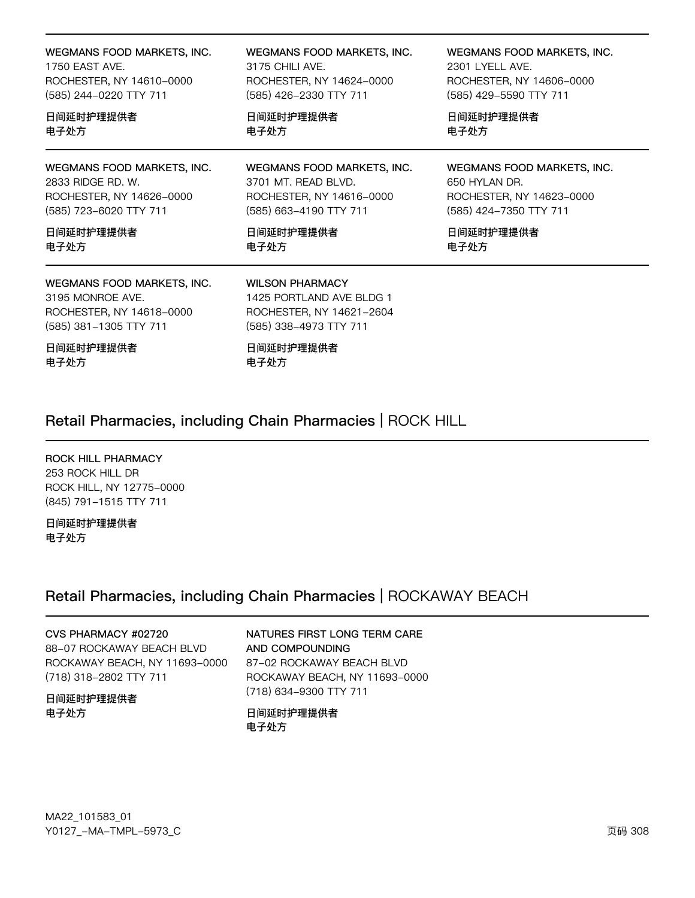| WEGMANS FOOD MARKETS, INC.                                                                           | WEGMANS FOOD MARKETS, INC.                                                                               | WEGMANS FOOD MARKETS, INC. |
|------------------------------------------------------------------------------------------------------|----------------------------------------------------------------------------------------------------------|----------------------------|
| 1750 EAST AVE.                                                                                       | 3175 CHILI AVE.                                                                                          | 2301 LYELL AVE.            |
| ROCHESTER, NY 14610-0000                                                                             | ROCHESTER, NY 14624-0000                                                                                 | ROCHESTER, NY 14606-0000   |
| (585) 244-0220 TTY 711                                                                               | (585) 426-2330 TTY 711                                                                                   | (585) 429-5590 TTY 711     |
| 日间延时护理提供者                                                                                            | 日间延时护理提供者                                                                                                | 日间延时护理提供者                  |
| 电子处方                                                                                                 | 电子处方                                                                                                     | 电子处方                       |
| WEGMANS FOOD MARKETS, INC.                                                                           | WEGMANS FOOD MARKETS, INC.                                                                               | WEGMANS FOOD MARKETS, INC. |
| 2833 RIDGE RD, W.                                                                                    | 3701 MT, READ BLVD.                                                                                      | 650 HYLAN DR.              |
| ROCHESTER, NY 14626-0000                                                                             | ROCHESTER, NY 14616-0000                                                                                 | ROCHESTER, NY 14623-0000   |
| (585) 723-6020 TTY 711                                                                               | (585) 663-4190 TTY 711                                                                                   | (585) 424-7350 TTY 711     |
| 日间延时护理提供者                                                                                            | 日间延时护理提供者                                                                                                | 日间延时护理提供者                  |
| 电子处方                                                                                                 | 电子处方                                                                                                     | 电子处方                       |
| WEGMANS FOOD MARKETS, INC.<br>3195 MONROF AVE.<br>ROCHESTER, NY 14618-0000<br>(585) 381-1305 TTY 711 | <b>WILSON PHARMACY</b><br>1425 PORTLAND AVE BLDG 1<br>ROCHESTER, NY 14621-2604<br>(585) 338-4973 TTY 711 |                            |
| 日间延时护理提供者<br>电子处方                                                                                    | 日间延时护理提供者<br>电子处方                                                                                        |                            |

### Retail Pharmacies, including Chain Pharmacies | ROCK HILL

ROCK HILL PHARMACY 253 ROCK HILL DR ROCK HILL, NY 12775-0000 (845) 791-1515 TTY 711

日间延时护理提供者 电子处方

### Retail Pharmacies, including Chain Pharmacies | ROCKAWAY BEACH

CVS PHARMACY #02720 88-07 ROCKAWAY BEACH BLVD ROCKAWAY BEACH, NY 11693-0000 (718) 318-2802 TTY 711

日间延时护理提供者 电子处方

NATURES FIRST LONG TERM CARE AND COMPOUNDING 87-02 ROCKAWAY BEACH BLVD ROCKAWAY BEACH, NY 11693-0000 (718) 634-9300 TTY 711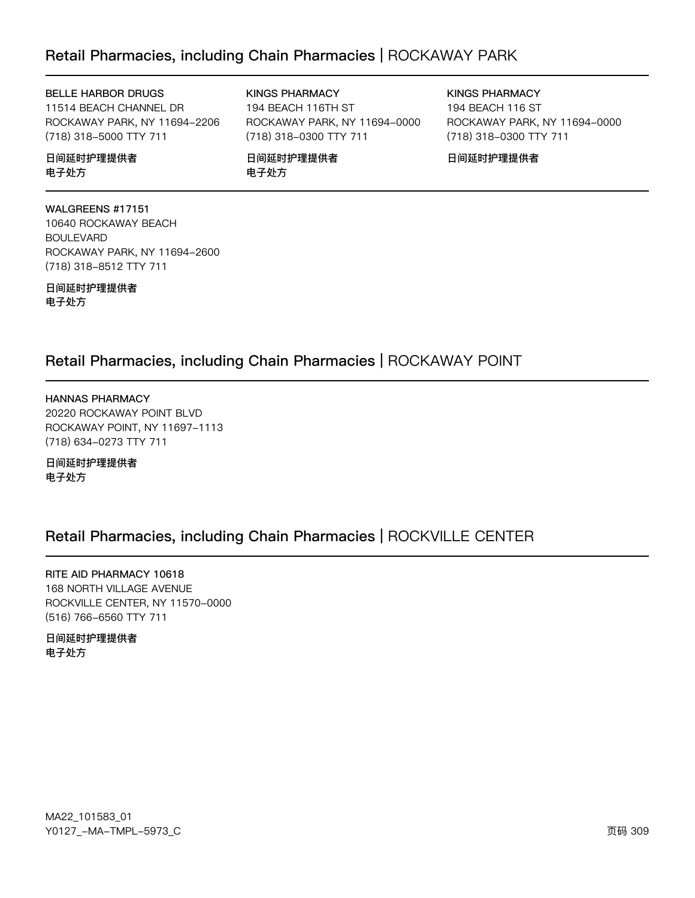### Retail Pharmacies, including Chain Pharmacies | ROCKAWAY PARK

#### BELLE HARBOR DRUGS

11514 BEACH CHANNEL DR ROCKAWAY PARK, NY 11694-2206 (718) 318-5000 TTY 711

日间延时护理提供者 电子处方

#### 194 BEACH 116TH ST ROCKAWAY PARK, NY 11694-0000

(718) 318-0300 TTY 711

日间延时护理提供者 电子处方

**KINGS PHARMACY** 

**KINGS PHARMACY** 194 BEACH 116 ST ROCKAWAY PARK, NY 11694-0000 (718) 318-0300 TTY 711

日间延时护理提供者

WALGREENS #17151 10640 ROCKAWAY BEACH **BOULEVARD** ROCKAWAY PARK, NY 11694-2600 (718) 318-8512 TTY 711

日间延时护理提供者 电子处方

### Retail Pharmacies, including Chain Pharmacies | ROCKAWAY POINT

**HANNAS PHARMACY** 20220 ROCKAWAY POINT BLVD ROCKAWAY POINT, NY 11697-1113 (718) 634-0273 TTY 711

### 日间延时护理提供者 电子处方

### Retail Pharmacies, including Chain Pharmacies | ROCKVILLE CENTER

RITE AID PHARMACY 10618 168 NORTH VILLAGE AVENUE ROCKVILLE CENTER, NY 11570-0000 (516) 766-6560 TTY 711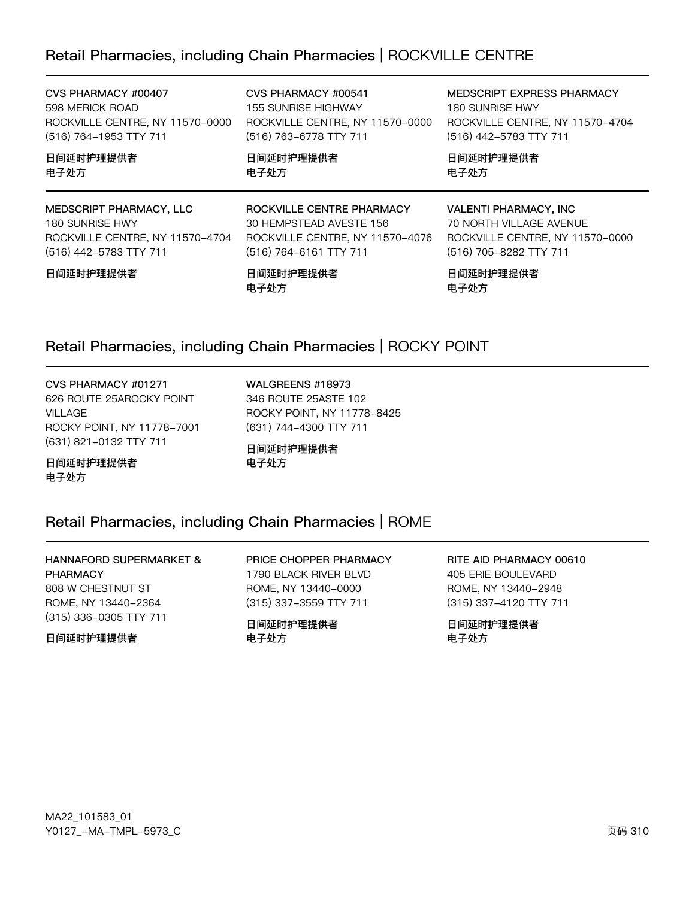### Retail Pharmacies, including Chain Pharmacies | ROCKVILLE CENTRE

| CVS PHARMACY #00407             | CVS PHARMACY #00541             | MEDSCRIPT EXPRESS PHARMACY      |
|---------------------------------|---------------------------------|---------------------------------|
| 598 MERICK ROAD                 | <b>155 SUNRISE HIGHWAY</b>      | 180 SUNRISE HWY                 |
| ROCKVILLE CENTRE, NY 11570-0000 | ROCKVILLE CENTRE, NY 11570-0000 | ROCKVILLE CENTRE, NY 11570-4704 |
| (516) 764-1953 TTY 711          | (516) 763-6778 TTY 711          | (516) 442-5783 TTY 711          |
| 日间延时护理提供者                       | 日间延时护理提供者                       | 日间延时护理提供者                       |
| 电子处方                            | 电子处方                            | 电子处方                            |
|                                 |                                 |                                 |
| MEDSCRIPT PHARMACY, LLC         | ROCKVILLE CENTRE PHARMACY       | <b>VALENTI PHARMACY, INC</b>    |
| 180 SUNRISE HWY                 | 30 HEMPSTEAD AVESTE 156         | 70 NORTH VILLAGE AVENUE         |
| ROCKVILLE CENTRE, NY 11570-4704 | ROCKVILLE CENTRE, NY 11570-4076 | ROCKVILLE CENTRE, NY 11570-0000 |
| (516) 442-5783 TTY 711          | (516) 764-6161 TTY 711          | (516) 705-8282 TTY 711          |

### Retail Pharmacies, including Chain Pharmacies | ROCKY POINT

CVS PHARMACY #01271 626 ROUTE 25AROCKY POINT VILLAGE ROCKY POINT, NY 11778-7001 (631) 821-0132 TTY 711

WALGREENS #18973 346 ROUTE 25ASTE 102 ROCKY POINT, NY 11778-8425 (631) 744-4300 TTY 711

日间延时护理提供者 电子处方

### Retail Pharmacies, including Chain Pharmacies | ROME

HANNAFORD SUPERMARKET & PHARMACY 808 W CHESTNUT ST ROME, NY 13440-2364 (315) 336-0305 TTY 711

日间延时护理提供者

日间延时护理提供者

电子处方

PRICE CHOPPER PHARMACY 1790 BLACK RIVER BLVD ROME, NY 13440-0000 (315) 337-3559 TTY 711

日间延时护理提供者 电子处方

RITE AID PHARMACY 00610 405 ERIE BOULEVARD ROME, NY 13440-2948 (315) 337-4120 TTY 711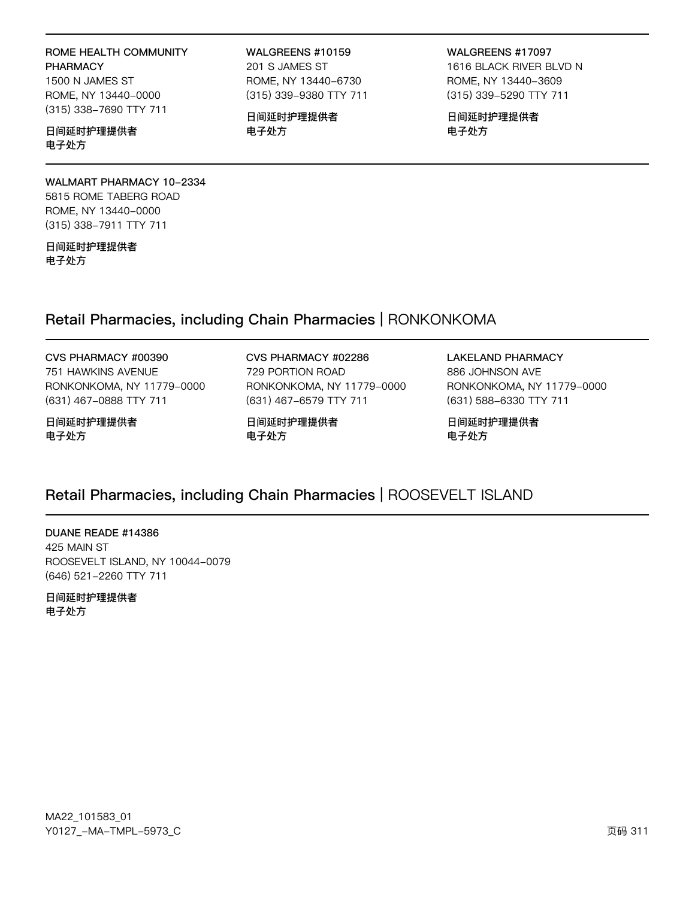### ROME HEALTH COMMUNITY PHARMACY

1500 N JAMES ST ROME, NY 13440-0000 (315) 338-7690 TTY 711

#### 日间延时护理提供者 电子处方

WALMART PHARMACY 10-2334 5815 ROME TABERG ROAD ROME, NY 13440-0000 (315) 338-7911 TTY 711

日间延时护理提供者 电子处方

#### WALGREENS #10159 201 S JAMES ST ROME, NY 13440-6730 (315) 339-9380 TTY 711

日间延时护理提供者 电子处方

WALGREENS #17097 1616 BLACK RIVER BLVD N ROME, NY 13440-3609 (315) 339-5290 TTY 711

日间延时护理提供者 电子处方

### Retail Pharmacies, including Chain Pharmacies | RONKONKOMA

#### CVS PHARMACY #00390 751 HAWKINS AVENUE RONKONKOMA, NY 11779-0000 (631) 467-0888 TTY 711

#### 日间延时护理提供者 电子处方

#### CVS PHARMACY #02286 729 PORTION ROAD

RONKONKOMA, NY 11779-0000 (631) 467-6579 TTY 711

日间延时护理提供者 电子处方

LAKELAND PHARMACY 886 JOHNSON AVE

RONKONKOMA, NY 11779-0000 (631) 588-6330 TTY 711

日间延时护理提供者 电子处方

### Retail Pharmacies, including Chain Pharmacies | ROOSEVELT ISLAND

DUANE READE #14386 425 MAIN ST ROOSEVELT ISLAND, NY 10044-0079 (646) 521-2260 TTY 711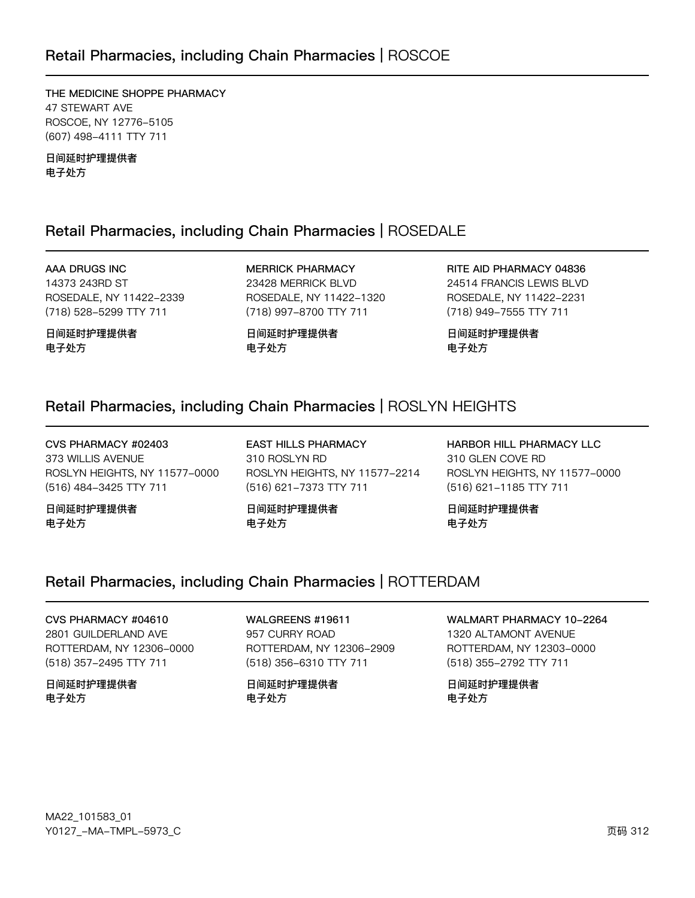### Retail Pharmacies, including Chain Pharmacies | ROSCOE

THE MEDICINE SHOPPE PHARMACY 47 STEWART AVE ROSCOE, NY 12776-5105 (607) 498-4111 TTY 711

日间延时护理提供者 电子处方

### Retail Pharmacies, including Chain Pharmacies | ROSEDALE

AAA DRUGS INC 14373 243RD ST ROSEDALE, NY 11422-2339 (718) 528-5299 TTY 711

日间延时护理提供者 电子处方

**MERRICK PHARMACY** 23428 MERRICK BLVD ROSEDALE, NY 11422-1320 (718) 997-8700 TTY 711

日间延时护理提供者 电子处方

RITE AID PHARMACY 04836 24514 FRANCIS LEWIS BLVD ROSEDALE, NY 11422-2231 (718) 949-7555 TTY 711

日间延时护理提供者 电子处方

### Retail Pharmacies, including Chain Pharmacies | ROSLYN HEIGHTS

CVS PHARMACY #02403 373 WILLIS AVENUE ROSLYN HEIGHTS, NY 11577-0000 (516) 484-3425 TTY 711

日间延时护理提供者 电子处方

**EAST HILLS PHARMACY** 310 ROSLYN RD ROSLYN HEIGHTS, NY 11577-2214 (516) 621-7373 TTY 711

日间延时护理提供者 电子处方

HARBOR HILL PHARMACY LLC 310 GLEN COVE RD ROSLYN HEIGHTS, NY 11577-0000 (516) 621-1185 TTY 711

日间延时护理提供者 电子处方

### Retail Pharmacies, including Chain Pharmacies | ROTTERDAM

CVS PHARMACY #04610 2801 GUILDERLAND AVE ROTTERDAM, NY 12306-0000 (518) 357-2495 TTY 711

日间延时护理提供者 电子处方

WALGREENS #19611 957 CURRY ROAD ROTTERDAM, NY 12306-2909 (518) 356-6310 TTY 711

日间延时护理提供者 电子处方

WALMART PHARMACY 10-2264

1320 ALTAMONT AVENUE ROTTERDAM, NY 12303-0000 (518) 355-2792 TTY 711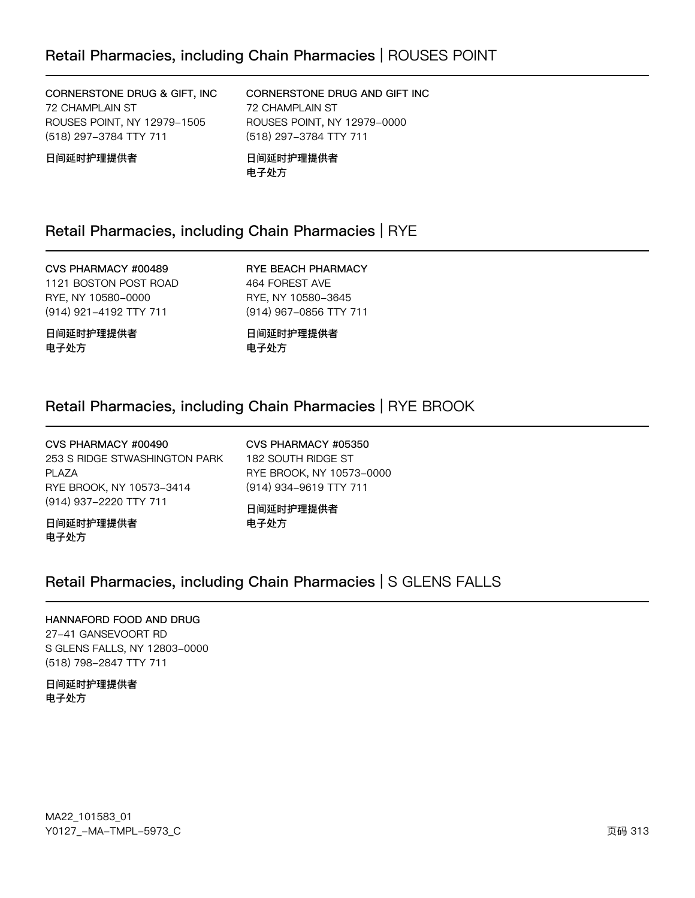CORNERSTONE DRUG & GIFT, INC 72 CHAMPLAIN ST ROUSES POINT, NY 12979-1505 (518) 297-3784 TTY 711

### CORNERSTONE DRUG AND GIFT INC 72 CHAMPLAIN ST ROUSES POINT, NY 12979-0000 (518) 297-3784 TTY 711

日间延时护理提供者

日间延时护理提供者 电子处方

### Retail Pharmacies, including Chain Pharmacies | RYE

### CVS PHARMACY #00489

1121 BOSTON POST ROAD RYE, NY 10580-0000 (914) 921-4192 TTY 711

日间延时护理提供者 电子处方

RYE BEACH PHARMACY 464 FOREST AVE RYE, NY 10580-3645 (914) 967-0856 TTY 711

日间延时护理提供者 电子处方

### Retail Pharmacies, including Chain Pharmacies | RYE BROOK

CVS PHARMACY #00490 253 S RIDGE STWASHINGTON PARK PLAZA RYE BROOK, NY 10573-3414 (914) 937-2220 TTY 711

CVS PHARMACY #05350 182 SOUTH RIDGE ST RYE BROOK, NY 10573-0000 (914) 934-9619 TTY 711

日间延时护理提供者 电子处方

日间延时护理提供者 电子处方

### Retail Pharmacies, including Chain Pharmacies | S GLENS FALLS

#### HANNAFORD FOOD AND DRUG

27-41 GANSEVOORT RD S GLENS FALLS, NY 12803-0000 (518) 798-2847 TTY 711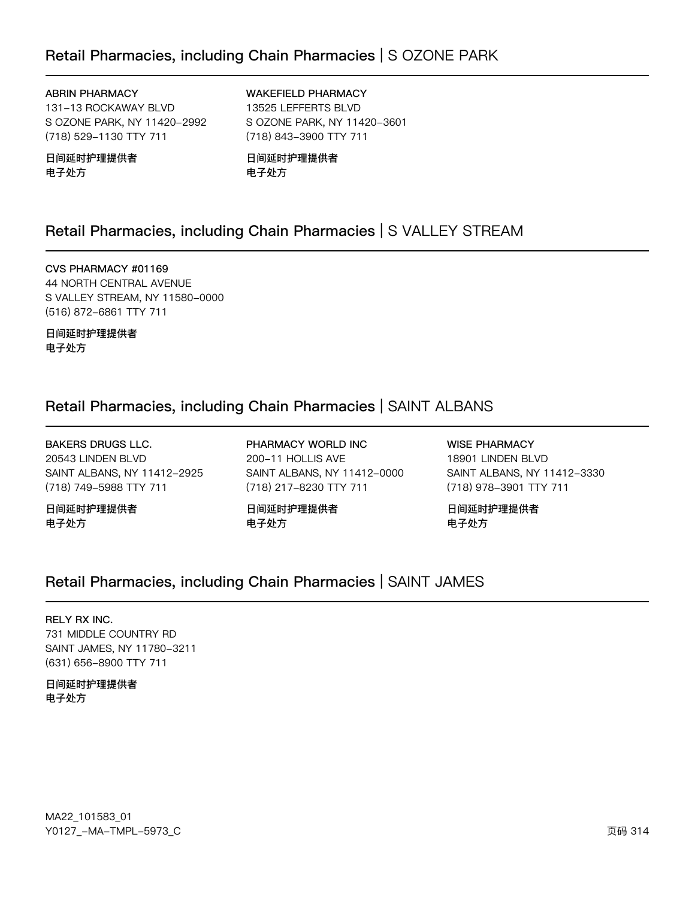### Retail Pharmacies, including Chain Pharmacies | S OZONE PARK

#### **ABRIN PHARMACY**

131-13 ROCKAWAY BLVD S OZONE PARK, NY 11420-2992 (718) 529-1130 TTY 711

#### 日间延时护理提供者 电子处方

**WAKEFIELD PHARMACY** 13525 LEFFERTS BLVD S OZONE PARK, NY 11420-3601 (718) 843-3900 TTY 711

日间延时护理提供者 电子处方

### Retail Pharmacies, including Chain Pharmacies | S VALLEY STREAM

CVS PHARMACY #01169 44 NORTH CENTRAL AVENUE S VALLEY STREAM, NY 11580-0000 (516) 872-6861 TTY 711

日间延时护理提供者 电子处方

### Retail Pharmacies, including Chain Pharmacies | SAINT ALBANS

**BAKERS DRUGS LLC.** 20543 LINDEN BLVD SAINT ALBANS, NY 11412-2925 (718) 749-5988 TTY 711

日间延时护理提供者 电子处方

PHARMACY WORLD INC 200-11 HOLLIS AVE SAINT ALBANS, NY 11412-0000 (718) 217-8230 TTY 711

日间延时护理提供者 电子处方

**WISE PHARMACY** 18901 LINDEN BLVD SAINT ALBANS, NY 11412-3330 (718) 978-3901 TTY 711

日间延时护理提供者 电子处方

### Retail Pharmacies, including Chain Pharmacies | SAINT JAMES

#### **RELY RX INC.**

731 MIDDLE COUNTRY RD SAINT JAMES, NY 11780-3211 (631) 656-8900 TTY 711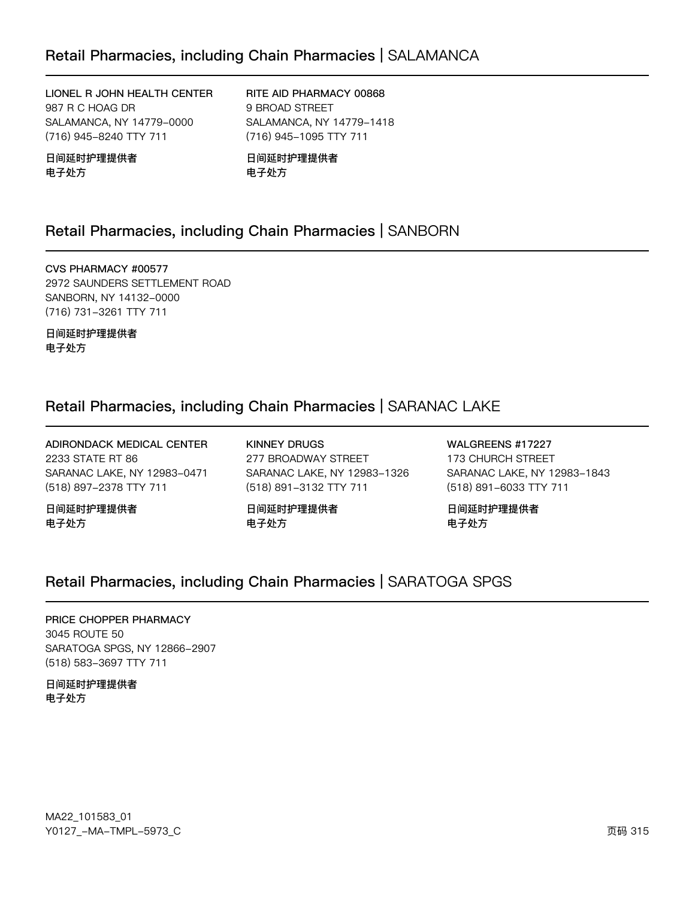### Retail Pharmacies, including Chain Pharmacies | SALAMANCA

LIONEL R JOHN HEALTH CENTER 987 R C HOAG DR SALAMANCA, NY 14779-0000 (716) 945-8240 TTY 711

日间延时护理提供者 电子处方

RITE AID PHARMACY 00868 9 BROAD STREET SALAMANCA, NY 14779-1418 (716) 945-1095 TTY 711

日间延时护理提供者 电子处方

### Retail Pharmacies, including Chain Pharmacies | SANBORN

CVS PHARMACY #00577 2972 SAUNDERS SETTLEMENT ROAD SANBORN, NY 14132-0000 (716) 731-3261 TTY 711

日间延时护理提供者 电子处方

### Retail Pharmacies, including Chain Pharmacies | SARANAC LAKE

ADIRONDACK MEDICAL CENTER 2233 STATE RT 86 SARANAC LAKE, NY 12983-0471 (518) 897-2378 TTY 711

日间延时护理提供者 电子处方

KINNEY DRUGS 277 BROADWAY STREET SARANAC LAKE, NY 12983-1326 (518) 891-3132 TTY 711

日间延时护理提供者 电子处方

WALGREENS #17227 173 CHURCH STREET SARANAC LAKE, NY 12983-1843 (518) 891-6033 TTY 711

日间延时护理提供者 电子处方

### Retail Pharmacies, including Chain Pharmacies | SARATOGA SPGS

#### PRICE CHOPPER PHARMACY

3045 ROUTE 50 SARATOGA SPGS, NY 12866-2907 (518) 583-3697 TTY 711

日间延时护理提供者 电子处方

MA22\_101583\_01 70127v-Ju-6Jwx-5y73vC z{ 315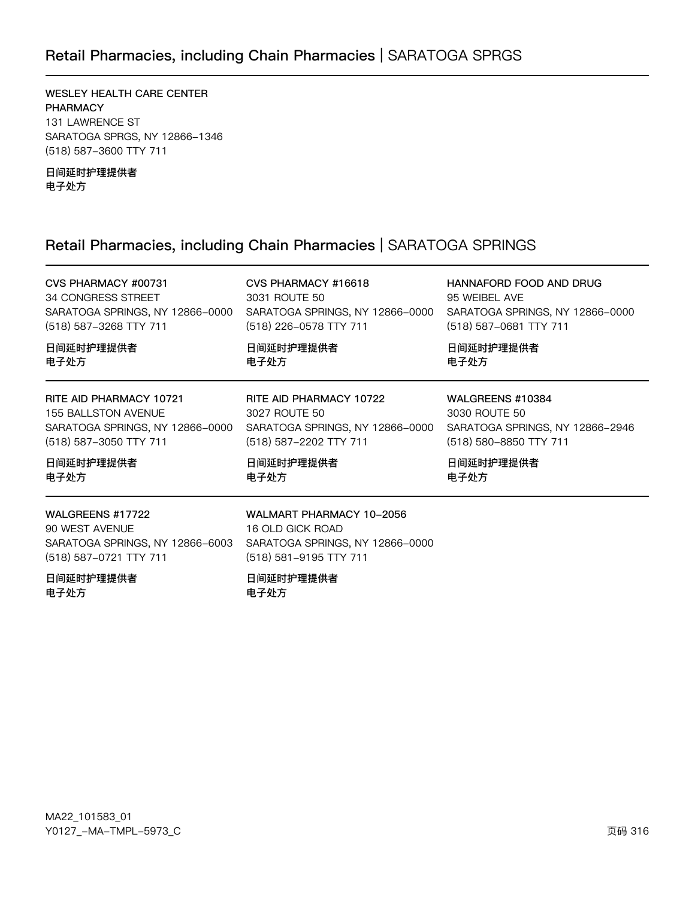### Retail Pharmacies, including Chain Pharmacies | SARATOGA SPRGS

WESLEY HEALTH CARE CENTER PHARMACY 131 LAWRENCE ST SARATOGA SPRGS, NY 12866-1346 (518) 587-3600 TTY 711

日间延时护理提供者 电子处方

### Retail Pharmacies, including Chain Pharmacies | SARATOGA SPRINGS

| CVS PHARMACY #00731                                                                                                             | CVS PHARMACY #16618                                                                                                                   | HANNAFORD FOOD AND DRUG                                                                        |
|---------------------------------------------------------------------------------------------------------------------------------|---------------------------------------------------------------------------------------------------------------------------------------|------------------------------------------------------------------------------------------------|
| 34 CONGRESS STREET                                                                                                              | 3031 ROUTE 50                                                                                                                         | 95 WEIBEL AVE                                                                                  |
| SARATOGA SPRINGS, NY 12866-0000                                                                                                 | SARATOGA SPRINGS, NY 12866-0000                                                                                                       | SARATOGA SPRINGS, NY 12866-0000                                                                |
| (518) 587-3268 TTY 711                                                                                                          | (518) 226-0578 TTY 711                                                                                                                | (518) 587-0681 TTY 711                                                                         |
| 日间延时护理提供者                                                                                                                       | 日间延时护理提供者                                                                                                                             | 日间延时护理提供者                                                                                      |
| 电子处方                                                                                                                            | 电子处方                                                                                                                                  | 电子处方                                                                                           |
| RITE AID PHARMACY 10721<br>155 BALLSTON AVENUE<br>(518) 587-3050 TTY 711                                                        | RITE AID PHARMACY 10722<br>3027 ROUTE 50<br>SARATOGA SPRINGS, NY 12866-0000 SARATOGA SPRINGS, NY 12866-0000<br>(518) 587-2202 TTY 711 | WALGREENS #10384<br>3030 ROUTE 50<br>SARATOGA SPRINGS, NY 12866-2946<br>(518) 580-8850 TTY 711 |
| 日间延时护理提供者                                                                                                                       | 日间延时护理提供者                                                                                                                             | 日间延时护理提供者                                                                                      |
| 电子处方                                                                                                                            | 电子处方                                                                                                                                  | 电子处方                                                                                           |
| WALGREENS #17722<br>90 WEST AVENUE<br>SARATOGA SPRINGS, NY 12866-6003 SARATOGA SPRINGS, NY 12866-0000<br>(518) 587-0721 TTY 711 | WALMART PHARMACY 10-2056<br>16 OLD GICK ROAD<br>(518) 581-9195 TTY 711                                                                |                                                                                                |
| 日间延时护理提供者<br>电子处方                                                                                                               | 日间延时护理提供者<br>电子处方                                                                                                                     |                                                                                                |

MA22\_101583\_01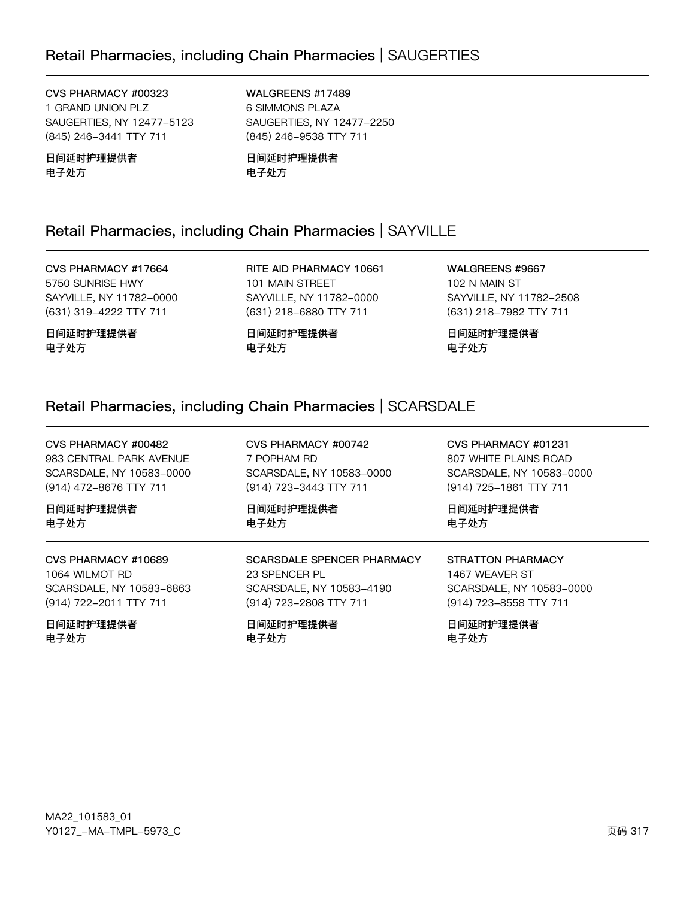CVS PHARMACY #00323 1 GRAND UNION PLZ SAUGERTIES, NY 12477-5123 (845) 246-3441 TTY 711

日间延时护理提供者 电子处方

WALGREENS #17489 6 SIMMONS PLAZA SAUGERTIES, NY 12477-2250 (845) 246-9538 TTY 711

日间延时护理提供者 电子处方

### Retail Pharmacies, including Chain Pharmacies | SAYVILLE

CVS PHARMACY #17664 5750 SUNRISE HWY SAYVILLE, NY 11782-0000 (631) 319-4222 TTY 711

日间延时护理提供者 电子处方

RITE AID PHARMACY 10661 101 MAIN STREET SAYVILLE, NY 11782-0000 (631) 218-6880 TTY 711

日间延时护理提供者 电子处方

WALGREENS #9667 102 N MAIN ST SAYVILLE, NY 11782-2508 (631) 218-7982 TTY 711

日间延时护理提供者 电子处方

### Retail Pharmacies, including Chain Pharmacies | SCARSDALE

CVS PHARMACY #00742 CVS PHARMACY #01231 CVS PHARMACY #00482 983 CENTRAL PARK AVENUE 7 POPHAM RD 807 WHITE PLAINS ROAD SCARSDALE, NY 10583-0000 SCARSDALE, NY 10583-0000 SCARSDALE, NY 10583-0000 (914) 472-8676 TTY 711 (914) 723-3443 TTY 711 (914) 725-1861 TTY 711 日间延时护理提供者 日间延时护理提供者 日间延时护理提供者 电子处方 电子处方 电子处方 CVS PHARMACY #10689 **SCARSDALE SPENCER PHARMACY STRATTON PHARMACY** 1064 WILMOT RD 23 SPENCER PL 1467 WEAVER ST SCARSDALE, NY 10583-6863 SCARSDALE, NY 10583-4190 SCARSDALE, NY 10583-0000 (914) 722-2011 TTY 711 (914) 723-2808 TTY 711 (914) 723-8558 TTY 711 日间延时护理提供者 日间延时护理提供者 日间延时护理提供者 电子外方 电子外方 电子外方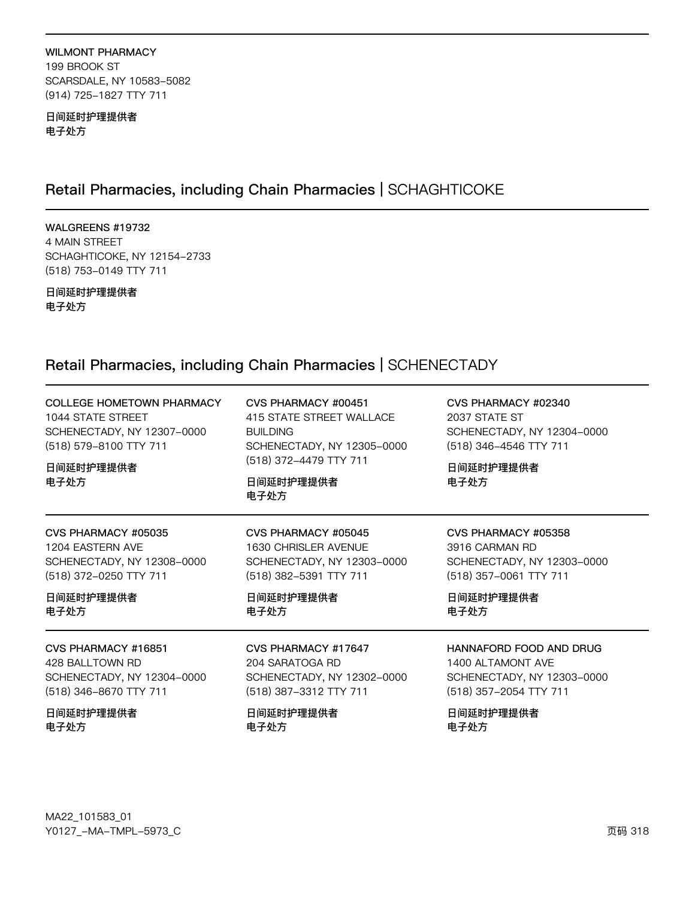#### WILMONT PHARMACY 199 BROOK ST SCARSDALE, NY 10583-5082 (914) 725-1827 TTY 711

日间延时护理提供者 电子处方

### Retail Pharmacies, including Chain Pharmacies | SCHAGHTICOKE

WALGREENS #19732 4 MAIN STREET SCHAGHTICOKE, NY 12154-2733 (518) 753-0149 TTY 711

日间延时护理提供者 电子处方

## Retail Pharmacies, including Chain Pharmacies | SCHENECTADY

| <b>COLLEGE HOMETOWN PHARMACY</b><br>1044 STATE STREET<br>SCHENECTADY, NY 12307-0000<br>(518) 579-8100 TTY 711<br>日间延时护理提供者<br>电子处方 | CVS PHARMACY #00451<br>415 STATE STREET WALLACE<br><b>BUILDING</b><br>SCHENECTADY, NY 12305-0000<br>(518) 372-4479 TTY 711<br>日间延时护理提供者<br>电子处方 | CVS PHARMACY #02340<br>2037 STATE ST<br>SCHENECTADY, NY 12304-0000<br>(518) 346-4546 TTY 711<br>日间延时护理提供者<br>电子处方 |
|------------------------------------------------------------------------------------------------------------------------------------|-------------------------------------------------------------------------------------------------------------------------------------------------|-------------------------------------------------------------------------------------------------------------------|
| CVS PHARMACY #05035                                                                                                                | CVS PHARMACY #05045                                                                                                                             | CVS PHARMACY #05358                                                                                               |
| 1204 EASTERN AVE                                                                                                                   | 1630 CHRISLER AVENUE                                                                                                                            | 3916 CARMAN RD                                                                                                    |
| SCHENECTADY, NY 12308-0000                                                                                                         | SCHENECTADY, NY 12303-0000                                                                                                                      | SCHENECTADY, NY 12303-0000                                                                                        |
| (518) 372-0250 TTY 711                                                                                                             | (518) 382-5391 TTY 711                                                                                                                          | (518) 357-0061 TTY 711                                                                                            |
| 日间延时护理提供者                                                                                                                          | 日间延时护理提供者                                                                                                                                       | 日间延时护理提供者                                                                                                         |
| 电子处方                                                                                                                               | 电子处方                                                                                                                                            | 电子处方                                                                                                              |
| CVS PHARMACY #16851                                                                                                                | CVS PHARMACY #17647                                                                                                                             | HANNAFORD FOOD AND DRUG                                                                                           |
| 428 BALLTOWN RD                                                                                                                    | 204 SARATOGA RD                                                                                                                                 | 1400 AI TAMONT AVE                                                                                                |
| SCHENECTADY, NY 12304-0000                                                                                                         | SCHENECTADY, NY 12302-0000                                                                                                                      | SCHENECTADY, NY 12303-0000                                                                                        |
| (518) 346-8670 TTY 711                                                                                                             | (518) 387-3312 TTY 711                                                                                                                          | (518) 357-2054 TTY 711                                                                                            |
| 日间延时护理提供者                                                                                                                          | 日间延时护理提供者                                                                                                                                       | 日间延时护理提供者                                                                                                         |
| 电子处方                                                                                                                               | 电子处方                                                                                                                                            | 电子处方                                                                                                              |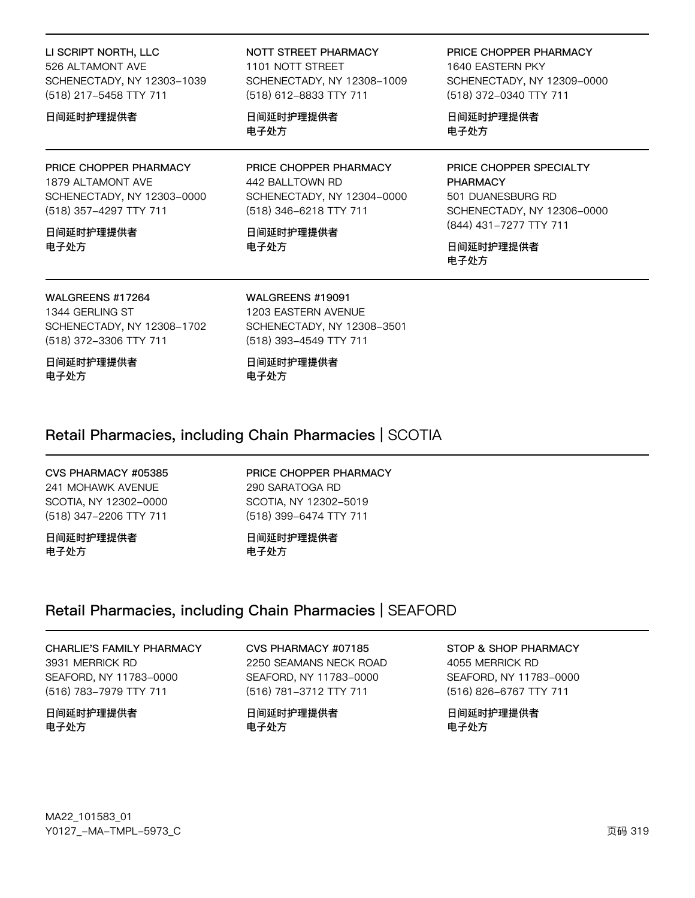LI SCRIPT NORTH, LLC 526 ALTAMONT AVE SCHENECTADY, NY 12303-1039 (518) 217-5458 TTY 711

#### 日间延时护理提供者

PRICE CHOPPER PHARMACY

1879 ALTAMONT AVE SCHENECTADY, NY 12303-0000 (518) 357-4297 TTY 711

日间延时护理提供者 电子外方

NOTT STREET PHARMACY 1101 NOTT STREET SCHENECTADY, NY 12308-1009 (518) 612-8833 TTY 711

日间延时护理提供者 电子处方

PRICE CHOPPER PHARMACY 442 BALLTOWN RD SCHENECTADY, NY 12304-0000 (518) 346-6218 TTY 711

日间延时护理提供者 电子处方

PRICE CHOPPER PHARMACY 1640 EASTERN PKY SCHENECTADY, NY 12309-0000 (518) 372-0340 TTY 711

日间延时护理提供者 电子处方

PRICE CHOPPER SPECIALTY **PHARMACY** 501 DUANESBURG RD SCHENECTADY, NY 12306-0000 (844) 431-7277 TTY 711

日间延时护理提供者 电子处方

# WALGREENS #17264

1344 GERLING ST SCHENECTADY, NY 12308-1702 (518) 372-3306 TTY 711

日间延时护理提供者 电子处方

WALGREENS #19091 1203 EASTERN AVENUE SCHENECTADY, NY 12308-3501 (518) 393-4549 TTY 711

日间延时护理提供者 电子处方

### Retail Pharmacies, including Chain Pharmacies | SCOTIA

#### CVS PHARMACY #05385 241 MOHAWK AVENUE SCOTIA, NY 12302-0000 (518) 347-2206 TTY 711

#### 日间延时护理提供者 电子处方

PRICE CHOPPER PHARMACY 290 SARATOGA RD SCOTIA, NY 12302-5019 (518) 399-6474 TTY 711

日间延时护理提供者 电子外方

### Retail Pharmacies, including Chain Pharmacies | SEAFORD

#### CHARLIE'S FAMILY PHARMACY

3931 MERRICK RD SEAFORD, NY 11783-0000 (516) 783-7979 TTY 711

日间延时护理提供者 电子处方

CVS PHARMACY #07185 2250 SEAMANS NECK ROAD SEAFORD, NY 11783-0000 (516) 781-3712 TTY 711

日间延时护理提供者 电子处方

### STOP & SHOP PHARMACY

4055 MERRICK RD SEAFORD, NY 11783-0000 (516) 826-6767 TTY 711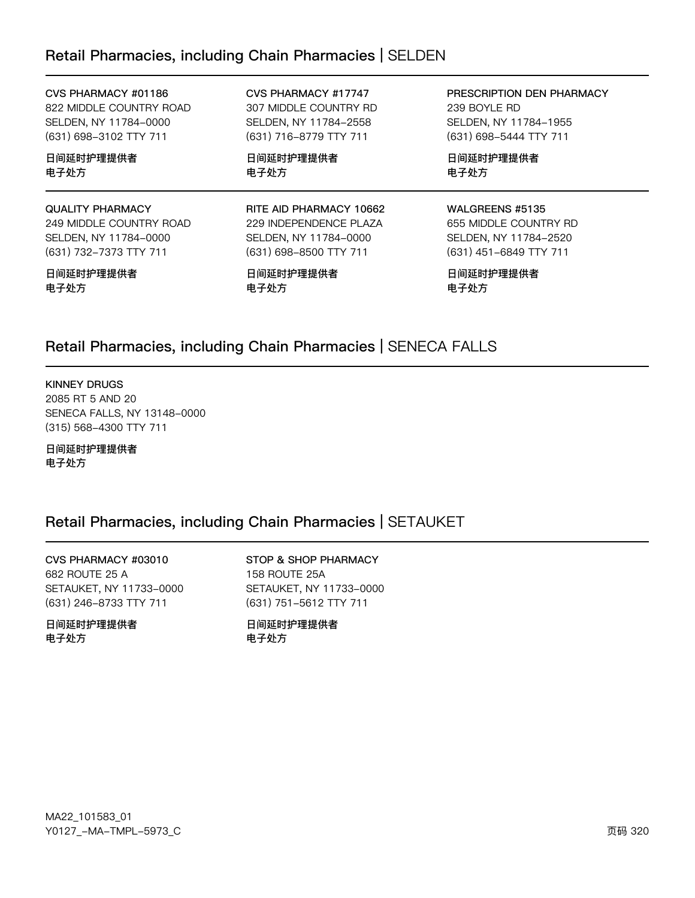### Retail Pharmacies, including Chain Pharmacies | SELDEN

| CVS PHARMACY #01186     |  |  |
|-------------------------|--|--|
| 822 MIDDLE COUNTRY ROAD |  |  |
| SELDEN. NY 11784–0000   |  |  |
| (631) 698–3102 TTY 711  |  |  |

日间延时护理提供者 电子处方

#### QUALITY PHARMACY 249 MIDDLE COUNTRY ROAD

SELDEN, NY 11784-0000 (631) 732-7373 TTY 711

#### 日间延时护理提供者 电子处方

CVS PHARMACY #17747 307 MIDDLE COUNTRY RD SELDEN, NY 11784-2558 (631) 716-8779 TTY 711

日间延时护理提供者 电子处方

#### RITE AID PHARMACY 10662 229 INDEPENDENCE PLAZA SELDEN, NY 11784-0000 (631) 698-8500 TTY 711

日间延时护理提供者 电子处方

PRESCRIPTION DEN PHARMACY 239 BOYLE RD SELDEN, NY 11784-1955 (631) 698-5444 TTY 711

日间延时护理提供者 电子处方

#### WALGREENS #5135

655 MIDDLE COUNTRY RD SELDEN, NY 11784-2520 (631) 451-6849 TTY 711

日间延时护理提供者 电子处方

### Retail Pharmacies, including Chain Pharmacies | SENECA FALLS

#### KINNEY DRUGS

2085 RT 5 AND 20 SENECA FALLS, NY 13148-0000 (315) 568-4300 TTY 711

日间延时护理提供者 电子处方

### Retail Pharmacies, including Chain Pharmacies | SETAUKET

CVS PHARMACY #03010 682 ROUTE 25 A SETAUKET, NY 11733-0000 (631) 246-8733 TTY 711

日间延时护理提供者 电子处方

STOP & SHOP PHARMACY 158 ROUTE 25A SETAUKET, NY 11733-0000 (631) 751-5612 TTY 711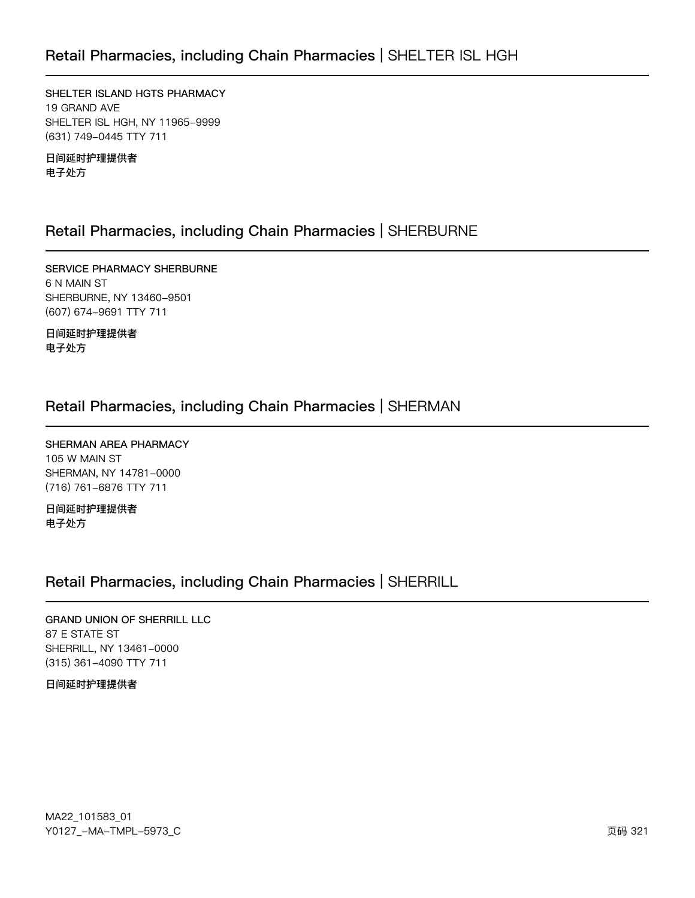SHELTER ISLAND HGTS PHARMACY 19 GRAND AVE SHELTER ISL HGH, NY 11965-9999 (631) 749-0445 TTY 711

日间延时护理提供者 电子处方

### Retail Pharmacies, including Chain Pharmacies | SHERBURNE

SERVICE PHARMACY SHERBURNE 6 N MAIN ST SHERBURNE, NY 13460-9501 (607) 674-9691 TTY 711

日间延时护理提供者 电子处方

### Retail Pharmacies, including Chain Pharmacies | SHERMAN

SHERMAN AREA PHARMACY 105 W MAIN ST SHERMAN, NY 14781-0000 (716) 761-6876 TTY 711

日间延时护理提供者 电子处方

### Retail Pharmacies, including Chain Pharmacies | SHERRILL

**GRAND UNION OF SHERRILL LLC** 87 E STATE ST SHERRILL, NY 13461-0000 (315) 361-4090 TTY 711

#### 日间延时护理提供者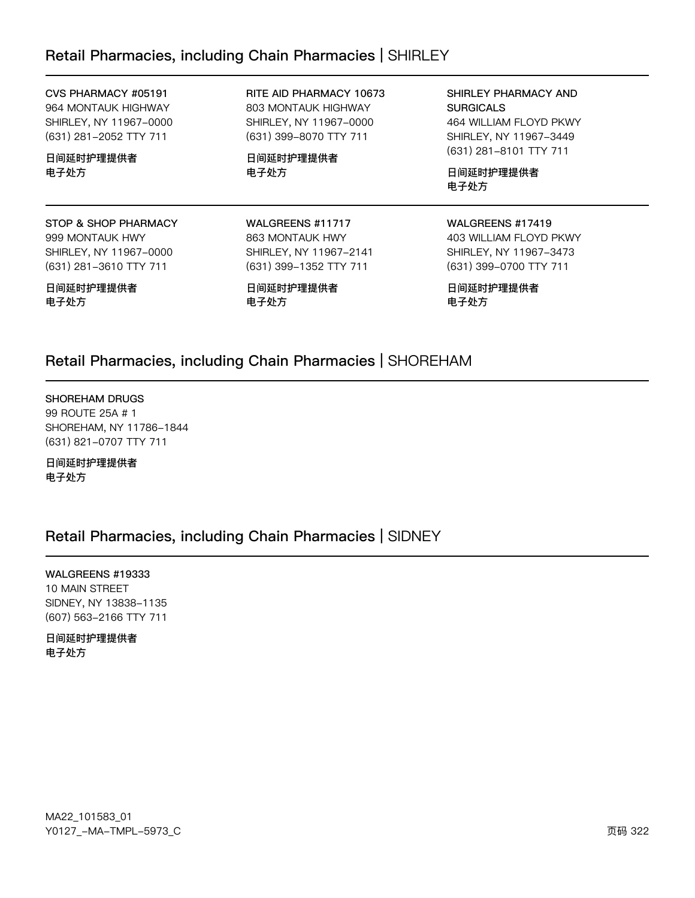### Retail Pharmacies, including Chain Pharmacies | SHIRLEY

CVS PHARMACY #05191 964 MONTAUK HIGHWAY SHIRLEY, NY 11967-0000 (631) 281-2052 TTY 711

日间延时护理提供者 电子处方

STOP & SHOP PHARMACY 999 MONTAUK HWY SHIRLEY, NY 11967-0000 (631) 281-3610 TTY 711

日间延时护理提供者 电子处方

RITE AID PHARMACY 10673 803 MONTAUK HIGHWAY SHIRLEY, NY 11967-0000 (631) 399-8070 TTY 711

日间延时护理提供者 电子处方

WALGREENS #11717 863 MONTAUK HWY SHIRLEY, NY 11967-2141 (631) 399-1352 TTY 711

日间延时护理提供者

SHIRLEY PHARMACY AND **SURGICALS** 464 WILLIAM FLOYD PKWY SHIRLEY, NY 11967-3449 (631) 281-8101 TTY 711

日间延时护理提供者 电子处方

#### WALGREENS #17419 403 WILLIAM FLOYD PKWY

SHIRLEY, NY 11967-3473 (631) 399-0700 TTY 711

日间延时护理提供者 电子处方

### Retail Pharmacies, including Chain Pharmacies | SHOREHAM

电子处方

#### SHOREHAM DRUGS

99 ROUTE 25A # 1 SHOREHAM, NY 11786-1844 (631) 821-0707 TTY 711

日间延时护理提供者 电子处方

### Retail Pharmacies, including Chain Pharmacies | SIDNEY

WALGREENS #19333

10 MAIN STREET SIDNEY, NY 13838-1135 (607) 563-2166 TTY 711

日间延时护理提供者 电子处方

MA22\_101583\_01 70127v-Ju-6Jwx-5y73vC z{ 322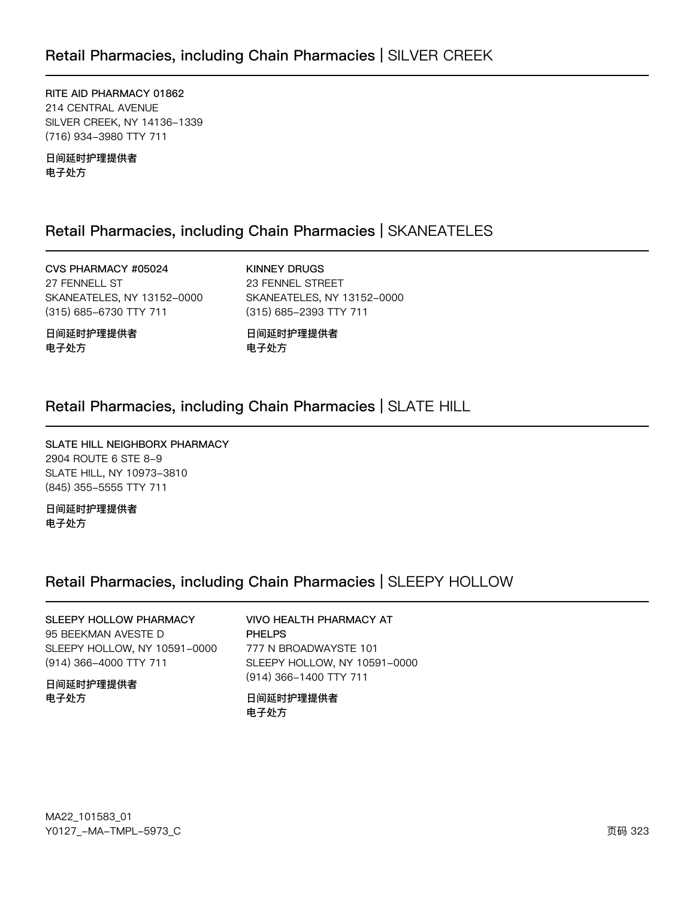RITE AID PHARMACY 01862 214 CENTRAL AVENUE SILVER CREEK, NY 14136-1339 (716) 934-3980 TTY 711

日间延时护理提供者 电子处方

### Retail Pharmacies, including Chain Pharmacies | SKANEATELES

CVS PHARMACY #05024 27 FENNELL ST SKANEATELES, NY 13152-0000 (315) 685-6730 TTY 711

**KINNEY DRUGS** 23 FENNEL STREET SKANEATELES, NY 13152-0000 (315) 685-2393 TTY 711

日间延时护理提供者 电子处方

日间延时护理提供者 电子处方

### Retail Pharmacies, including Chain Pharmacies | SLATE HILL

SLATE HILL NEIGHBORX PHARMACY 2904 ROUTE 6 STE 8-9 SLATE HILL, NY 10973-3810 (845) 355-5555 TTY 711

日间延时护理提供者 电子处方

### Retail Pharmacies, including Chain Pharmacies | SLEEPY HOLLOW

### SLEEPY HOLLOW PHARMACY 95 BEEKMAN AVESTE D SLEEPY HOLLOW, NY 10591-0000 (914) 366-4000 TTY 711

日间延时护理提供者 电子处方

#### **VIVO HEALTH PHARMACY AT PHELPS**

777 N BROADWAYSTE 101 SLEEPY HOLLOW, NY 10591-0000 (914) 366-1400 TTY 711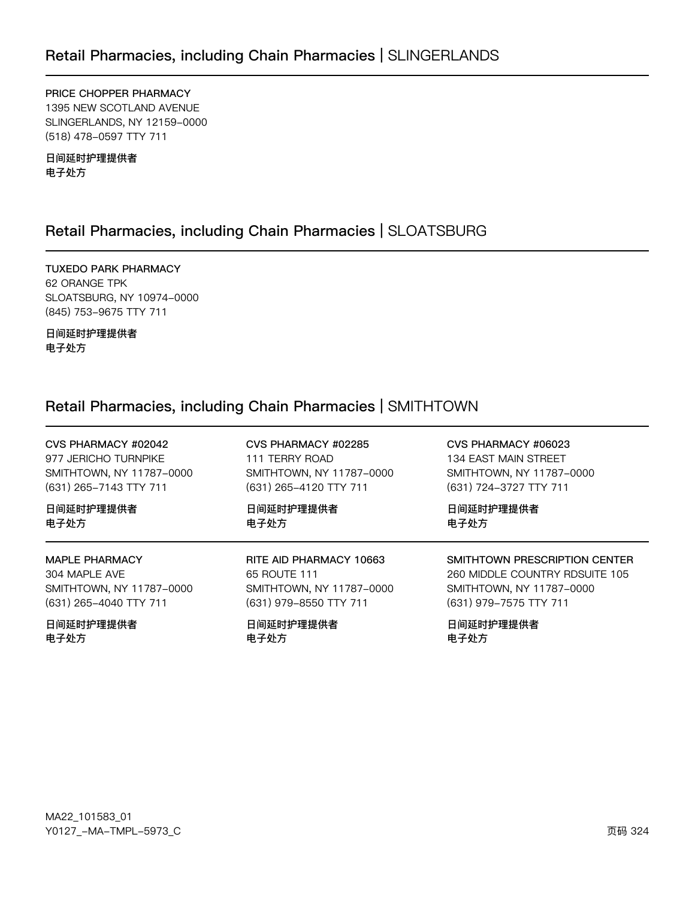PRICE CHOPPER PHARMACY 1395 NEW SCOTLAND AVENUE SLINGERLANDS, NY 12159-0000 (518) 478-0597 TTY 711

日间延时护理提供者 电子处方

### Retail Pharmacies, including Chain Pharmacies | SLOATSBURG

**TUXEDO PARK PHARMACY** 62 ORANGE TPK SLOATSBURG, NY 10974-0000 (845) 753-9675 TTY 711

日间延时护理提供者 电子处方

### Retail Pharmacies, including Chain Pharmacies | SMITHTOWN

| CVS PHARMACY #02042      | CVS PHARMACY #02285      | CVS PHARMACY #06023            |
|--------------------------|--------------------------|--------------------------------|
| 977 JERICHO TURNPIKE     | 111 TERRY ROAD           | 134 EAST MAIN STREET           |
| SMITHTOWN, NY 11787-0000 | SMITHTOWN, NY 11787-0000 | SMITHTOWN, NY 11787-0000       |
| (631) 265-7143 TTY 711   | (631) 265-4120 TTY 711   | (631) 724-3727 TTY 711         |
| 日间延时护理提供者                | 日间延时护理提供者                | 日间延时护理提供者                      |
| 电子处方                     | 电子处方                     | 电子处方                           |
| <b>MAPLE PHARMACY</b>    | RITE AID PHARMACY 10663  | SMITHTOWN PRESCRIPTION CENTER  |
| 304 MAPLE AVE            | 65 ROUTE 111             | 260 MIDDLE COUNTRY RDSUITE 105 |
| SMITHTOWN, NY 11787-0000 | SMITHTOWN, NY 11787-0000 | SMITHTOWN, NY 11787-0000       |
| (631) 265-4040 TTY 711   | (631) 979-8550 TTY 711   | (631) 979-7575 TTY 711         |
| 日间延时护理提供者                | 日间延时护理提供者                | 日间延时护理提供者                      |
| 电子处方                     | 电子处方                     | 电子处方                           |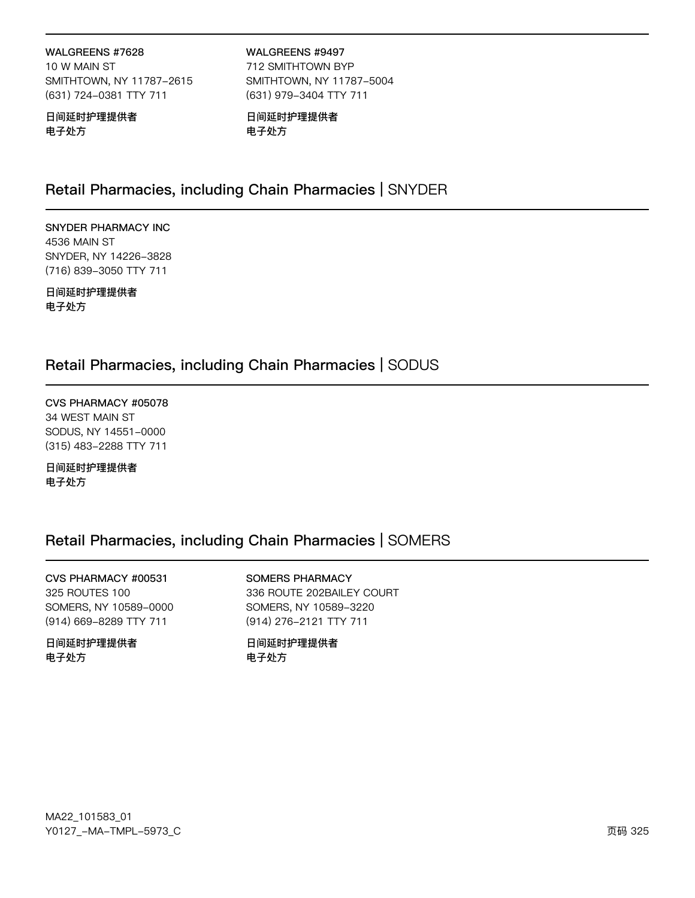### WALGREENS #7628

10 W MAIN ST SMITHTOWN, NY 11787-2615 (631) 724-0381 TTY 711

日间延时护理提供者 电子处方

WALGREENS #9497 712 SMITHTOWN BYP SMITHTOWN, NY 11787-5004 (631) 979-3404 TTY 711

日间延时护理提供者 电子处方

### Retail Pharmacies, including Chain Pharmacies | SNYDER

**SNYDER PHARMACY INC** 4536 MAIN ST SNYDER, NY 14226-3828 (716) 839-3050 TTY 711

日间延时护理提供者 电子处方

### Retail Pharmacies, including Chain Pharmacies | SODUS

CVS PHARMACY #05078 34 WEST MAIN ST SODUS, NY 14551-0000 (315) 483-2288 TTY 711

日间延时护理提供者 电子处方

### Retail Pharmacies, including Chain Pharmacies | SOMERS

CVS PHARMACY #00531 325 ROUTES 100 SOMERS, NY 10589-0000 (914) 669-8289 TTY 711

日间延时护理提供者 电子处方

**SOMERS PHARMACY** 336 ROUTE 202BAILEY COURT SOMERS, NY 10589-3220 (914) 276-2121 TTY 711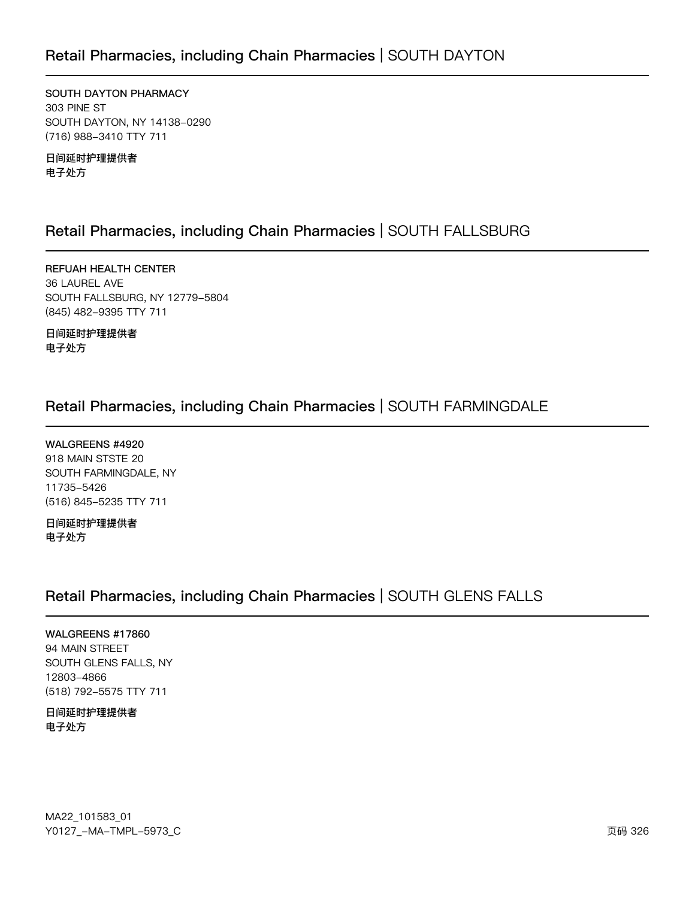SOUTH DAYTON PHARMACY 303 PINE ST SOUTH DAYTON, NY 14138-0290 (716) 988-3410 TTY 711

日间延时护理提供者 电子处方

### Retail Pharmacies, including Chain Pharmacies | SOUTH FALLSBURG

REFUAH HEALTH CENTER 36 LAUREL AVE SOUTH FALLSBURG, NY 12779-5804 (845) 482-9395 TTY 711

日间延时护理提供者 电子处方

### Retail Pharmacies, including Chain Pharmacies | SOUTH FARMINGDALE

WALGREENS #4920 918 MAIN STSTE 20 SOUTH FARMINGDALE, NY 11735-5426 (516) 845-5235 TTY 711

日间延时护理提供者 电子处方

### Retail Pharmacies, including Chain Pharmacies | SOUTH GLENS FALLS

WALGREENS #17860 94 MAIN STREET SOUTH GLENS FALLS, NY 12803-4866 (518) 792-5575 TTY 711

日间延时护理提供者 电子处方

MA22\_101583\_01 Y0127\_-MA-TMPL-5973\_C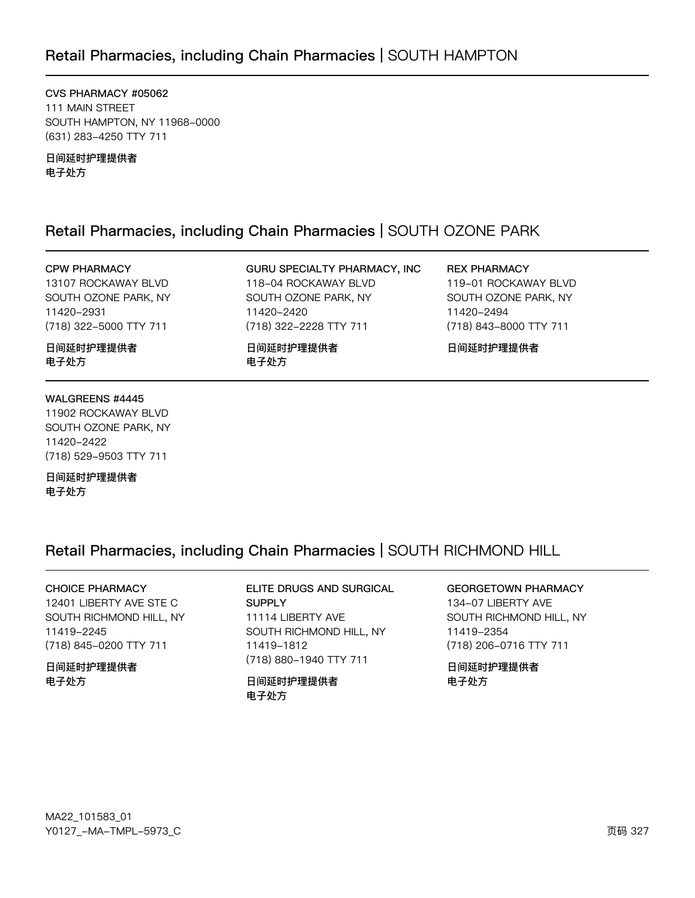### Retail Pharmacies, including Chain Pharmacies | SOUTH HAMPTON

CVS PHARMACY #05062 111 MAIN STREET SOUTH HAMPTON, NY 11968-0000 (631) 283-4250 TTY 711

日间延时护理提供者 电子处方

### Retail Pharmacies, including Chain Pharmacies | SOUTH OZONE PARK

11420-2420

电子处方

GURU SPECIALTY PHARMACY, INC

118-04 ROCKAWAY BLVD

SOUTH OZONE PARK, NY

(718) 322-2228 TTY 711

日间延时护理提供者

#### **CPW PHARMACY**

13107 ROCKAWAY BLVD SOUTH OZONE PARK, NY 11420-2931 (718) 322-5000 TTY 711

日间延时护理提供者 电子处方

#### WALGREENS #4445

11902 ROCKAWAY BLVD SOUTH OZONE PARK, NY 11420-2422 (718) 529-9503 TTY 711

日间延时护理提供者 电子处方

### Retail Pharmacies, including Chain Pharmacies | SOUTH RICHMOND HILL

#### **CHOICE PHARMACY**

12401 LIBERTY AVE STE C SOUTH RICHMOND HILL, NY 11419-2245 (718) 845-0200 TTY 711

日间延时护理提供者 电子处方

#### ELITE DRUGS AND SURGICAL **SUPPLY** 11114 LIBERTY AVE SOUTH RICHMOND HILL, NY 11419-1812 (718) 880-1940 TTY 711

#### 日间延时护理提供者 电子处方

#### **GEORGETOWN PHARMACY**

134-07 LIBERTY AVE SOUTH RICHMOND HILL, NY 11419-2354 (718) 206-0716 TTY 711

日间延时护理提供者 电子处方

**REX PHARMACY** 119-01 ROCKAWAY BLVD SOUTH OZONE PARK, NY 11420-2494 (718) 843-8000 TTY 711

日间延时护理提供者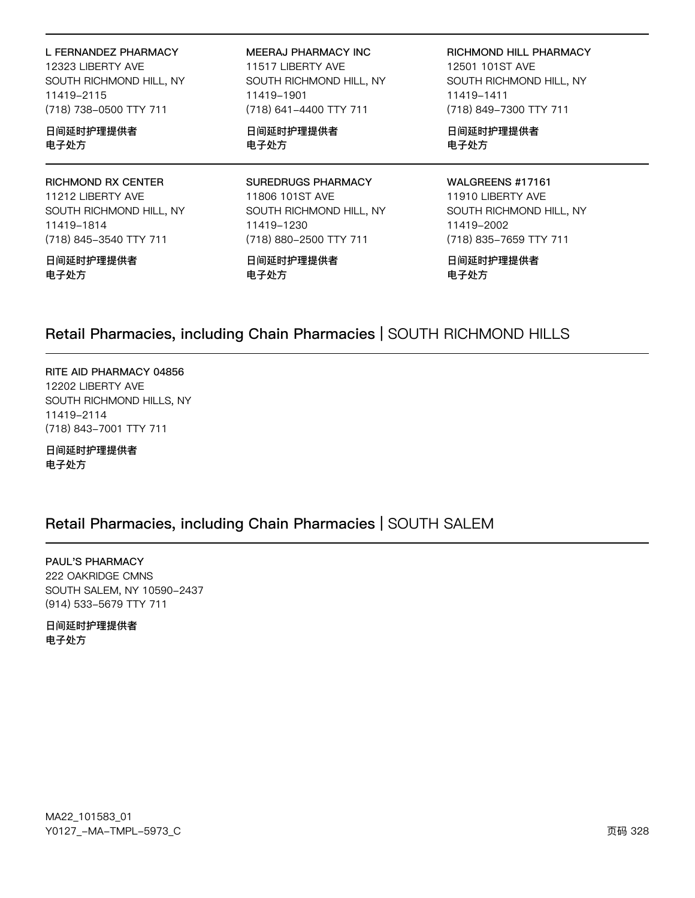| L FERNANDEZ PHARMACY      | MEERAJ PHARMACY INC       | RICHMOND HILL PHARMACY  |
|---------------------------|---------------------------|-------------------------|
| 12323 LIBERTY AVE         | 11517 LIBERTY AVE         | 12501 101ST AVE         |
| SOUTH RICHMOND HILL, NY   | SOUTH RICHMOND HILL, NY   | SOUTH RICHMOND HILL, NY |
| 11419-2115                | 11419-1901                | 11419-1411              |
| (718) 738-0500 TTY 711    | (718) 641-4400 TTY 711    | (718) 849-7300 TTY 711  |
| 日间延时护理提供者                 | 日间延时护理提供者                 | 日间延时护理提供者               |
| 电子处方                      | 电子处方                      | 电子处方                    |
| <b>RICHMOND RX CENTER</b> | <b>SUREDRUGS PHARMACY</b> | WALGREENS #17161        |
| 11212 LIBERTY AVE         | 11806 101ST AVE           | 11910 LIBERTY AVE       |
| SOUTH RICHMOND HILL, NY   | SOUTH RICHMOND HILL, NY   | SOUTH RICHMOND HILL, NY |
| 11419-1814                | 11419-1230                | 11419-2002              |
| (718) 845-3540 TTY 711    | (718) 880-2500 TTY 711    | (718) 835-7659 TTY 711  |

日间延时护理提供者 电子处方

日间延时护理提供者 电子处方

日间延时护理提供者 电子处方

### Retail Pharmacies, including Chain Pharmacies | SOUTH RICHMOND HILLS

RITE AID PHARMACY 04856 12202 LIBERTY AVE SOUTH RICHMOND HILLS, NY 11419-2114 (718) 843-7001 TTY 711

日间延时护理提供者 电子处方

## Retail Pharmacies, including Chain Pharmacies | SOUTH SALEM

PAUL'S PHARMACY 222 OAKRIDGE CMNS SOUTH SALEM, NY 10590-2437 (914) 533-5679 TTY 711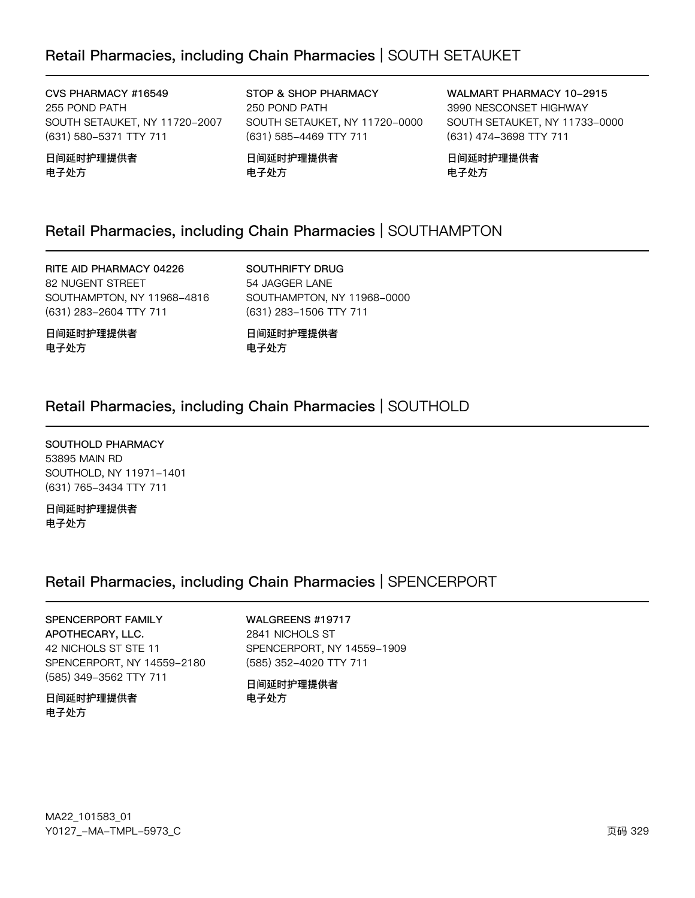### Retail Pharmacies, including Chain Pharmacies | SOUTH SETAUKET

CVS PHARMACY #16549 255 POND PATH SOUTH SETAUKET, NY 11720-2007 (631) 580-5371 TTY 711

日间延时护理提供者 电子处方

STOP & SHOP PHARMACY 250 POND PATH SOUTH SETAUKET, NY 11720-0000 (631) 585-4469 TTY 711

日间延时护理提供者 电子处方

WALMART PHARMACY 10-2915 3990 NESCONSET HIGHWAY SOUTH SETAUKET, NY 11733-0000 (631) 474-3698 TTY 711

日间延时护理提供者 电子处方

### Retail Pharmacies, including Chain Pharmacies | SOUTHAMPTON

RITE AID PHARMACY 04226 82 NUGENT STREET SOUTHAMPTON, NY 11968-4816 (631) 283-2604 TTY 711

SOUTHRIFTY DRUG 54 JAGGER LANE SOUTHAMPTON, NY 11968-0000 (631) 283-1506 TTY 711

日间延时护理提供者 电子处方

日间延时护理提供者 电子处方

### Retail Pharmacies, including Chain Pharmacies | SOUTHOLD

SOUTHOLD PHARMACY 53895 MAIN RD SOUTHOLD, NY 11971-1401 (631) 765-3434 TTY 711

日间延时护理提供者 电子处方

### Retail Pharmacies, including Chain Pharmacies | SPENCERPORT

#### SPENCERPORT FAMILY APOTHECARY, LLC. 42 NICHOLS ST STE 11 SPENCERPORT, NY 14559-2180 (585) 349-3562 TTY 711

#### 日间延时护理提供者 电子处方

#### WALGREENS #19717

2841 NICHOLS ST SPENCERPORT, NY 14559-1909 (585) 352-4020 TTY 711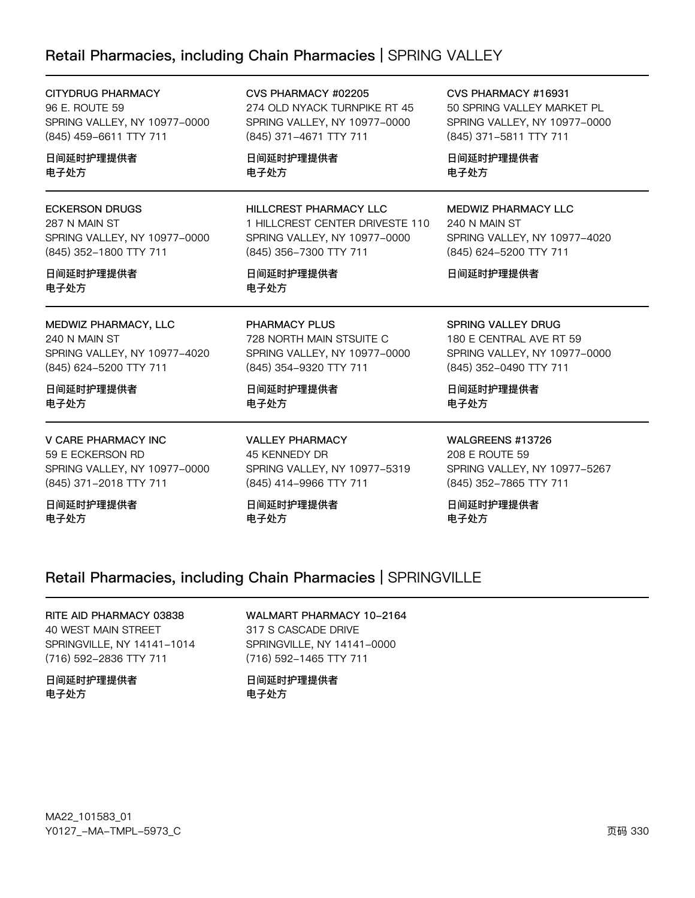### Retail Pharmacies, including Chain Pharmacies | SPRING VALLEY

| <b>CITYDRUG PHARMACY</b>                                                                                              | CVS PHARMACY #02205                                                                                                                             | CVS PHARMACY #16931                                                                                                |
|-----------------------------------------------------------------------------------------------------------------------|-------------------------------------------------------------------------------------------------------------------------------------------------|--------------------------------------------------------------------------------------------------------------------|
| 96 E. ROUTE 59                                                                                                        | 274 OLD NYACK TURNPIKE RT 45                                                                                                                    | 50 SPRING VALLEY MARKET PL                                                                                         |
| SPRING VALLEY, NY 10977-0000                                                                                          | SPRING VALLEY, NY 10977-0000                                                                                                                    | SPRING VALLEY, NY 10977-0000                                                                                       |
| (845) 459-6611 TTY 711                                                                                                | (845) 371-4671 TTY 711                                                                                                                          | (845) 371-5811 TTY 711                                                                                             |
| 日间延时护理提供者                                                                                                             | 日间延时护理提供者                                                                                                                                       | 日间延时护理提供者                                                                                                          |
| 电子处方                                                                                                                  | 电子处方                                                                                                                                            | 电子处方                                                                                                               |
| <b>ECKERSON DRUGS</b><br>287 N MAIN ST<br>SPRING VALLEY, NY 10977-0000<br>(845) 352-1800 TTY 711<br>日间延时护理提供者<br>电子处方 | <b>HILLCREST PHARMACY LLC</b><br>1 HILLCREST CENTER DRIVESTE 110<br>SPRING VALLEY, NY 10977-0000<br>(845) 356-7300 TTY 711<br>日间延时护理提供者<br>电子处方 | <b>MEDWIZ PHARMACY LLC</b><br>240 N MAIN ST<br>SPRING VALLEY, NY 10977-4020<br>(845) 624-5200 TTY 711<br>日间延时护理提供者 |
|                                                                                                                       | PHARMACY PLUS                                                                                                                                   | <b>SPRING VALLEY DRUG</b>                                                                                          |
| MEDWIZ PHARMACY, LLC<br>240 N MAIN ST<br>SPRING VALLEY, NY 10977-4020<br>(845) 624-5200 TTY 711                       | 728 NORTH MAIN STSUITE C<br>SPRING VALLEY, NY 10977-0000<br>(845) 354-9320 TTY 711                                                              | 180 E CENTRAL AVE RT 59<br>SPRING VALLEY, NY 10977-0000<br>(845) 352-0490 TTY 711                                  |
| 日间延时护理提供者                                                                                                             | 日间延时护理提供者                                                                                                                                       | 日间延时护理提供者                                                                                                          |
| 电子处方                                                                                                                  | 电子处方                                                                                                                                            | 电子处方                                                                                                               |
| <b>V CARE PHARMACY INC</b>                                                                                            | <b>VALLEY PHARMACY</b>                                                                                                                          | WALGREENS #13726                                                                                                   |
| 59 E ECKERSON RD                                                                                                      | 45 KENNEDY DR                                                                                                                                   | 208 E ROUTE 59                                                                                                     |
| SPRING VALLEY, NY 10977-0000                                                                                          | SPRING VALLEY, NY 10977-5319                                                                                                                    | SPRING VALLEY, NY 10977-5267                                                                                       |
| (845) 371-2018 TTY 711                                                                                                | (845) 414-9966 TTY 711                                                                                                                          | (845) 352-7865 TTY 711                                                                                             |
| 日间延时护理提供者                                                                                                             | 日间延时护理提供者                                                                                                                                       | 日间延时护理提供者                                                                                                          |
| 电子处方                                                                                                                  | 电子处方                                                                                                                                            | 电子处方                                                                                                               |

### Retail Pharmacies, including Chain Pharmacies | SPRINGVILLE

RITE AID PHARMACY 03838 40 WEST MAIN STREET SPRINGVILLE, NY 14141-1014 (716) 592-2836 TTY 711

日间延时护理提供者 电子处方

WALMART PHARMACY 10-2164 317 S CASCADE DRIVE SPRINGVILLE, NY 14141-0000 (716) 592-1465 TTY 711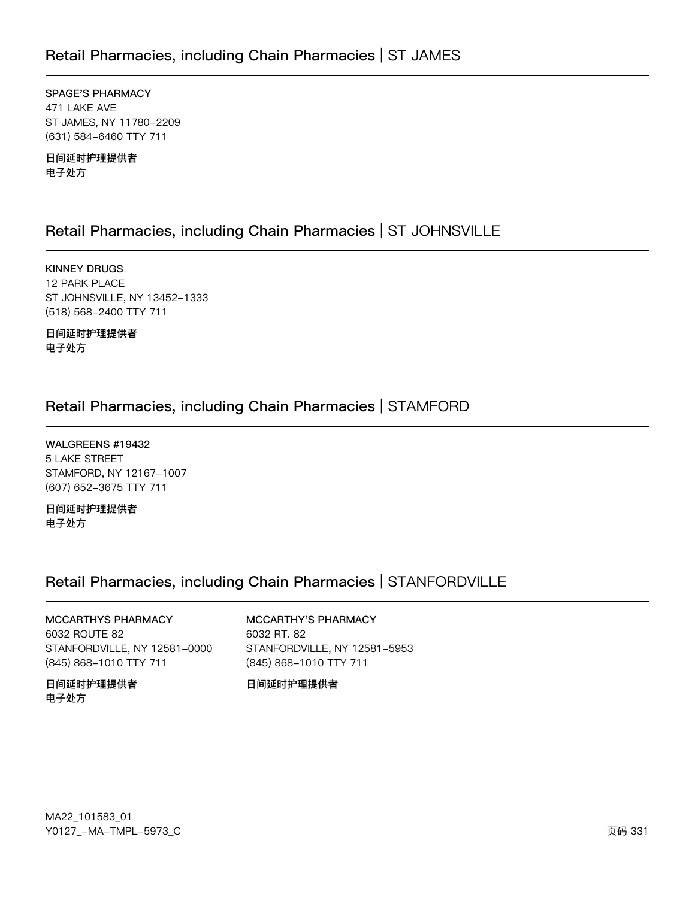### Retail Pharmacies, including Chain Pharmacies | ST JAMES

SPAGE'S PHARMACY 471 LAKE AVE ST JAMES, NY 11780-2209 (631) 584-6460 TTY 711

日间延时护理提供者 电子处方

### Retail Pharmacies, including Chain Pharmacies | ST JOHNSVILLE

**KINNEY DRUGS** 12 PARK PLACE ST JOHNSVILLE, NY 13452-1333 (518) 568-2400 TTY 711

日间延时护理提供者 电子处方

### Retail Pharmacies, including Chain Pharmacies | STAMFORD

WALGREENS #19432 5 LAKE STREET STAMFORD, NY 12167-1007 (607) 652-3675 TTY 711

日间延时护理提供者 电子处方

### Retail Pharmacies, including Chain Pharmacies | STANFORDVILLE

MCCARTHYS PHARMACY 6032 ROUTE 82 STANFORDVILLE, NY 12581-0000 (845) 868-1010 TTY 711

日间延时护理提供者 电子处方

#### MCCARTHY'S PHARMACY 6032 RT. 82 STANFORDVILLE, NY 12581-5953 (845) 868-1010 TTY 711

日间延时护理提供者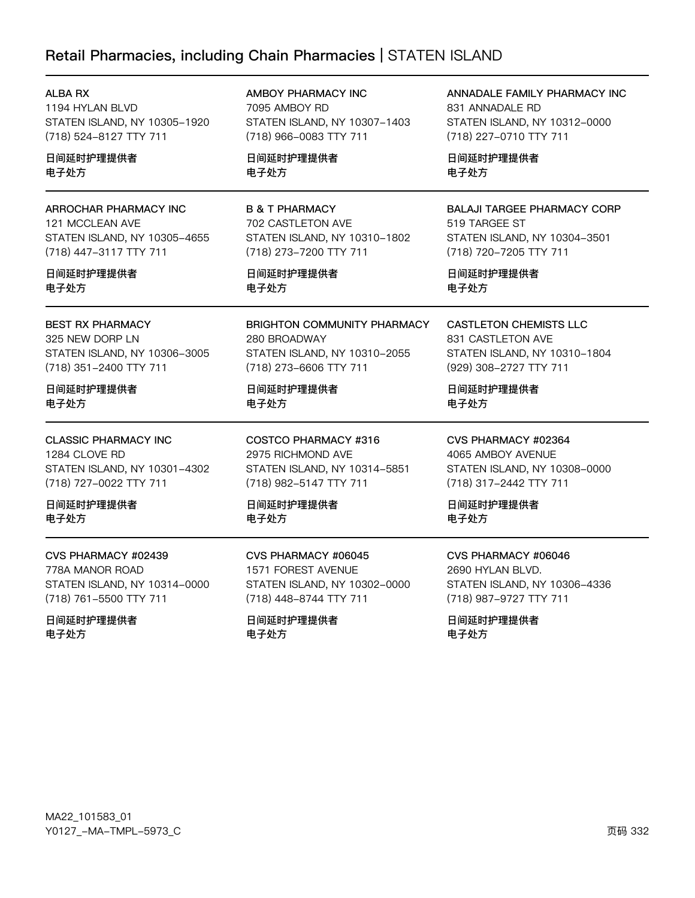## Retail Pharmacies, including Chain Pharmacies | STATEN ISLAND

电子处方

| ALBA RX                      | AMBOY PHARMACY INC                 | ANNADALE FAMILY PHARMACY INC       |
|------------------------------|------------------------------------|------------------------------------|
| 1194 HYLAN BLVD              | 7095 AMBOY RD                      | 831 ANNADALE RD                    |
| STATEN ISLAND, NY 10305-1920 | STATEN ISLAND, NY 10307-1403       | STATEN ISLAND, NY 10312-0000       |
| (718) 524-8127 TTY 711       | (718) 966-0083 TTY 711             | (718) 227-0710 TTY 711             |
| 日间延时护理提供者                    | 日间延时护理提供者                          | 日间延时护理提供者                          |
| 电子处方                         | 电子处方                               | 电子处方                               |
| ARROCHAR PHARMACY INC        | <b>B &amp; T PHARMACY</b>          | <b>BALAJI TARGEE PHARMACY CORP</b> |
| 121 MCCLEAN AVE              | 702 CASTLETON AVE                  | 519 TARGEE ST                      |
| STATEN ISLAND, NY 10305-4655 | STATEN ISLAND, NY 10310-1802       | STATEN ISLAND, NY 10304-3501       |
| (718) 447-3117 TTY 711       | (718) 273-7200 TTY 711             | (718) 720-7205 TTY 711             |
| 日间延时护理提供者                    | 日间延时护理提供者                          | 日间延时护理提供者                          |
| 电子处方                         | 电子处方                               | 电子处方                               |
| <b>BEST RX PHARMACY</b>      | <b>BRIGHTON COMMUNITY PHARMACY</b> | <b>CASTLETON CHEMISTS LLC</b>      |
| 325 NEW DORP LN              | 280 BROADWAY                       | 831 CASTLETON AVE                  |
| STATEN ISLAND, NY 10306-3005 | STATEN ISLAND, NY 10310-2055       | STATEN ISLAND, NY 10310-1804       |
| (718) 351-2400 TTY 711       | (718) 273-6606 TTY 711             | (929) 308-2727 TTY 711             |
| 日间延时护理提供者                    | 日间延时护理提供者                          | 日间延时护理提供者                          |
| 电子处方                         | 电子处方                               | 电子处方                               |
| <b>CLASSIC PHARMACY INC</b>  | COSTCO PHARMACY #316               | CVS PHARMACY #02364                |
| 1284 CLOVE RD                | 2975 RICHMOND AVE                  | 4065 AMBOY AVENUE                  |
| STATEN ISLAND, NY 10301-4302 | STATEN ISLAND, NY 10314-5851       | STATEN ISLAND, NY 10308-0000       |
| (718) 727-0022 TTY 711       | (718) 982-5147 TTY 711             | (718) 317-2442 TTY 711             |
| 日间延时护理提供者                    | 日间延时护理提供者                          | 日间延时护理提供者                          |
| 电子处方                         | 电子处方                               | 电子处方                               |
| CVS PHARMACY #02439          | CVS PHARMACY #06045                | CVS PHARMACY #06046                |
| 778A MANOR ROAD              | 1571 FOREST AVENUE                 | 2690 HYLAN BLVD.                   |
| STATEN ISLAND, NY 10314-0000 | STATEN ISLAND, NY 10302-0000       | STATEN ISLAND, NY 10306-4336       |
| (718) 761-5500 TTY 711       | (718) 448-8744 TTY 711             | (718) 987-9727 TTY 711             |
| 日间延时护理提供者                    | 日间延时护理提供者                          | 日间延时护理提供者                          |

电子处方

电子处方

MA22\_101583\_01 Y0127\_-MA-TMPL-5973\_C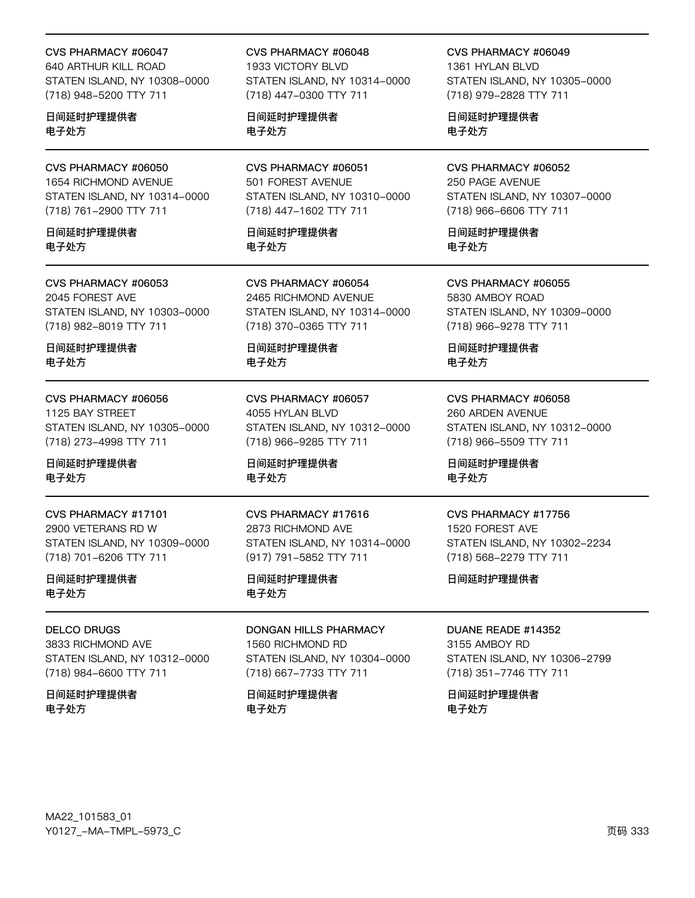#### CVS PHARMACY #06047

640 ARTHUR KILL ROAD STATEN ISLAND, NY 10308-0000 (718) 948-5200 TTY 711

日间延时护理提供者 电子处方

### CVS PHARMACY #06050

1654 RICHMOND AVENUE STATEN ISLAND, NY 10314-0000 (718) 761-2900 TTY 711

日间延时护理提供者 电子外方

#### CVS PHARMACY #06053 2045 FOREST AVE

STATEN ISLAND, NY 10303-0000 (718) 982-8019 TTY 711

日间延时护理提供者 电子处方

### CVS PHARMACY #06056

1125 BAY STREET STATEN ISLAND, NY 10305-0000 (718) 273-4998 TTY 711

#### 日间延时护理提供者 电子处方

CVS PHARMACY #17101 2900 VETERANS RD W STATEN ISLAND, NY 10309-0000 (718) 701-6206 TTY 711

#### 日间延时护理提供者 电子处方

#### **DELCO DRUGS**

3833 RICHMOND AVE STATEN ISLAND, NY 10312-0000 (718) 984-6600 TTY 711

日间延时护理提供者 电子处方

#### CVS PHARMACY #06048 1933 VICTORY BLVD STATEN ISLAND, NY 10314-0000 (718) 447-0300 TTY 711

日间延时护理提供者 电子处方

CVS PHARMACY #06051 501 FOREST AVENUE STATEN ISLAND, NY 10310-0000 (718) 447-1602 TTY 711

日间延时护理提供者 电子外方

CVS PHARMACY #06054 2465 RICHMOND AVENUE STATEN ISLAND, NY 10314-0000 (718) 370-0365 TTY 711

日间延时护理提供者 电子处方

CVS PHARMACY #06057 4055 HYLAN BLVD STATEN ISLAND, NY 10312-0000 (718) 966-9285 TTY 711

日间延时护理提供者 电子处方

#### CVS PHARMACY #17616 2873 RICHMOND AVE STATEN ISLAND, NY 10314-0000 (917) 791-5852 TTY 711

#### 日间延时护理提供者 电子处方

#### **DONGAN HILLS PHARMACY** 1560 RICHMOND RD STATEN ISLAND, NY 10304-0000 (718) 667-7733 TTY 711

日间延时护理提供者 电子处方

CVS PHARMACY #06049 1361 HYLAN BLVD STATEN ISLAND, NY 10305-0000 (718) 979-2828 TTY 711

日间延时护理提供者 电子处方

#### CVS PHARMACY #06052 250 PAGE AVENUE STATEN ISLAND, NY 10307-0000 (718) 966-6606 TTY 711

日间延时护理提供者 电子外方

CVS PHARMACY #06055 5830 AMBOY ROAD STATEN ISLAND, NY 10309-0000 (718) 966-9278 TTY 711

日间延时护理提供者 电子处方

CVS PHARMACY #06058 260 ARDEN AVENUE STATEN ISLAND, NY 10312-0000 (718) 966-5509 TTY 711

日间延时护理提供者 电子处方

#### CVS PHARMACY #17756

1520 FOREST AVE STATEN ISLAND, NY 10302-2234 (718) 568-2279 TTY 711

日间延时护理提供者

#### DUANE READE #14352

3155 AMBOY RD STATEN ISLAND, NY 10306-2799 (718) 351-7746 TTY 711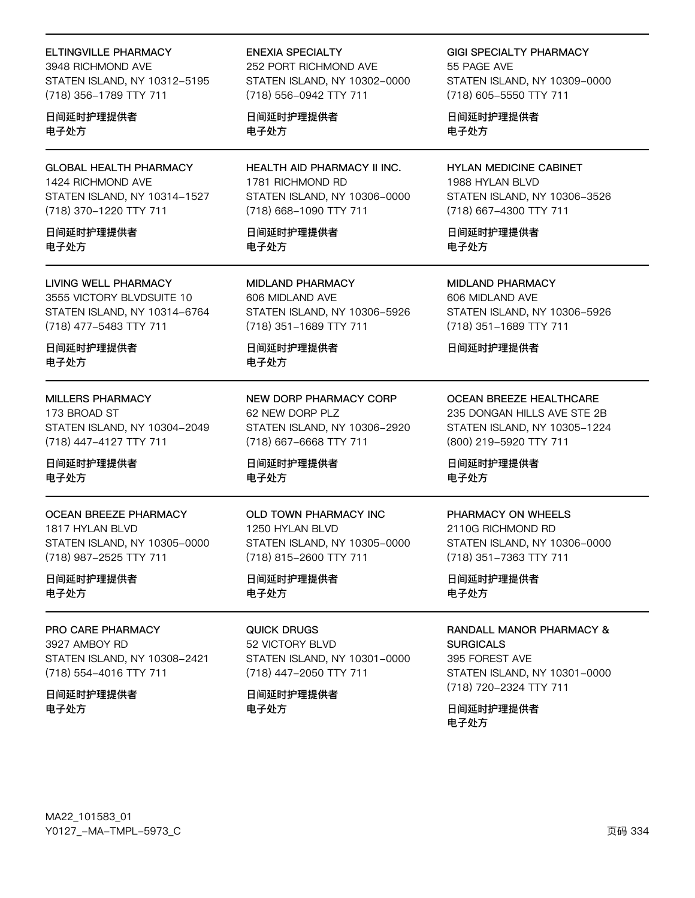#### **ELTINGVILLE PHARMACY**

3948 RICHMOND AVE STATEN ISLAND, NY 10312-5195 (718) 356-1789 TTY 711

日间延时护理提供者 电子处方

**GLOBAL HEALTH PHARMACY** 1424 RICHMOND AVE STATEN ISLAND, NY 10314-1527 (718) 370-1220 TTY 711

日间延时护理提供者 电子外方

#### **LIVING WELL PHARMACY**

3555 VICTORY BLVDSUITE 10 STATEN ISLAND, NY 10314-6764 (718) 477-5483 TTY 711

日间延时护理提供者 电子处方

#### **MILLERS PHARMACY**

173 BROAD ST STATEN ISLAND, NY 10304-2049 (718) 447-4127 TTY 711

日间延时护理提供者 电子处方

#### **OCEAN BREEZE PHARMACY**

1817 HYLAN BLVD STATEN ISLAND, NY 10305-0000 (718) 987-2525 TTY 711

日间延时护理提供者 电子处方

#### PRO CARE PHARMACY

3927 AMBOY RD STATEN ISLAND, NY 10308-2421 (718) 554-4016 TTY 711

日间延时护理提供者 电子处方

#### **ENEXIA SPECIALTY**

252 PORT RICHMOND AVE STATEN ISLAND, NY 10302-0000 (718) 556-0942 TTY 711

日间延时护理提供者 电子处方

**HEALTH AID PHARMACY II INC.** 1781 RICHMOND RD STATEN ISLAND, NY 10306-0000 (718) 668-1090 TTY 711

日间延时护理提供者 电子外方

**MIDLAND PHARMACY** 606 MIDLAND AVE STATEN ISLAND, NY 10306-5926 (718) 351-1689 TTY 711

日间延时护理提供者 电子处方

NEW DORP PHARMACY CORP 62 NEW DORP PLZ STATEN ISLAND, NY 10306-2920 (718) 667-6668 TTY 711

日间延时护理提供者 电子处方

### OLD TOWN PHARMACY INC

1250 HYLAN BLVD STATEN ISLAND, NY 10305-0000 (718) 815-2600 TTY 711

#### 日间延时护理提供者 电子处方

QUICK DRUGS 52 VICTORY BLVD STATEN ISLAND, NY 10301-0000 (718) 447-2050 TTY 711

日间延时护理提供者 电子处方

**GIGI SPECIALTY PHARMACY** 55 PAGF AVF

STATEN ISLAND, NY 10309-0000 (718) 605-5550 TTY 711

日间延时护理提供者 电子处方

**HYLAN MEDICINE CABINET** 1988 HYLAN BLVD STATEN ISLAND, NY 10306-3526 (718) 667-4300 TTY 711

日间延时护理提供者 电子外方

**MIDLAND PHARMACY** 606 MIDLAND AVE STATEN ISLAND, NY 10306-5926 (718) 351-1689 TTY 711

日间延时护理提供者

**OCEAN BREEZE HEALTHCARE** 

235 DONGAN HILLS AVE STE 2B STATEN ISLAND, NY 10305-1224 (800) 219-5920 TTY 711

日间延时护理提供者 电子处方

#### PHARMACY ON WHEELS

2110G RICHMOND RD STATEN ISLAND, NY 10306-0000 (718) 351-7363 TTY 711

日间延时护理提供者 电子处方

RANDALL MANOR PHARMACY & **SURGICALS** 

395 FOREST AVE STATEN ISLAND, NY 10301-0000 (718) 720-2324 TTY 711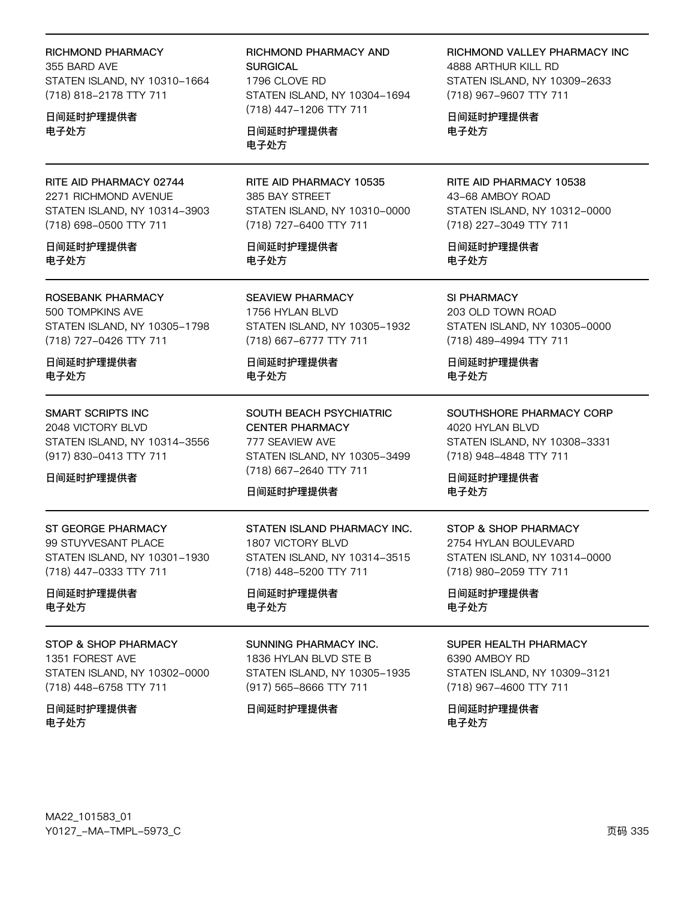|  | RICHMOND PHARMACY |
|--|-------------------|
|--|-------------------|

355 BARD AVE STATEN ISLAND, NY 10310-1664 (718) 818-2178 TTY 711

日间延时护理提供者 电子处方

RITE AID PHARMACY 02744 2271 RICHMOND AVENUE STATEN ISLAND, NY 10314-3903 (718) 698-0500 TTY 711

日间延时护理提供者 电子处方

#### ROSEBANK PHARMACY

500 TOMPKINS AVE STATEN ISLAND, NY 10305-1798 (718) 727-0426 TTY 711

日间延时护理提供者 电子处方

**SMART SCRIPTS INC** 2048 VICTORY BLVD

STATEN ISLAND, NY 10314-3556 (917) 830-0413 TTY 711

日间延时护理提供者

#### ST GEORGE PHARMACY 99 STUYVESANT PLACE STATEN ISLAND, NY 10301-1930 (718) 447-0333 TTY 711

日间延时护理提供者 电子处方

#### STOP & SHOP PHARMACY

1351 FOREST AVE STATEN ISLAND, NY 10302-0000 (718) 448-6758 TTY 711

日间延时护理提供者 电子处方

RICHMOND PHARMACY AND **SURGICAL** 1796 CLOVE RD STATEN ISLAND, NY 10304-1694 (718) 447-1206 TTY 711

日间延时护理提供者 电子处方

RITE AID PHARMACY 10535 385 BAY STREET STATEN ISLAND, NY 10310-0000 (718) 727-6400 TTY 711

日间延时护理提供者 电子处方

**SEAVIEW PHARMACY** 1756 HYLAN BLVD STATEN ISLAND, NY 10305-1932 (718) 667-6777 TTY 711

日间延时护理提供者 电子处方

**SOUTH BEACH PSYCHIATRIC CENTER PHARMACY** 777 SEAVIEW AVE STATEN ISLAND, NY 10305-3499 (718) 667-2640 TTY 711

#### 日间延时护理提供者

STATEN ISLAND PHARMACY INC. 1807 VICTORY BLVD STATEN ISLAND, NY 10314-3515 (718) 448-5200 TTY 711

日间延时护理提供者 电子处方

SUNNING PHARMACY INC.

1836 HYLAN BLVD STE B STATEN ISLAND, NY 10305-1935 (917) 565-8666 TTY 711

日间延时护理提供者

RICHMOND VALLEY PHARMACY INC 4888 ARTHUR KILL RD STATEN ISLAND, NY 10309-2633 (718) 967-9607 TTY 711

日间延时护理提供者 电子处方

RITE AID PHARMACY 10538 43-68 AMBOY ROAD STATEN ISLAND, NY 10312-0000 (718) 227-3049 TTY 711

日间延时护理提供者 电子处方

SI PHARMACY 203 OLD TOWN ROAD STATEN ISLAND, NY 10305-0000 (718) 489-4994 TTY 711

日间延时护理提供者 电子处方

SOUTHSHORE PHARMACY CORP 4020 HYLAN BLVD STATEN ISLAND, NY 10308-3331 (718) 948-4848 TTY 711

日间延时护理提供者 电子处方

## STOP & SHOP PHARMACY

2754 HYLAN BOULEVARD STATEN ISLAND, NY 10314-0000 (718) 980-2059 TTY 711

日间延时护理提供者 电子处方

### SUPER HEALTH PHARMACY

6390 AMBOY RD STATEN ISLAND, NY 10309-3121 (718) 967-4600 TTY 711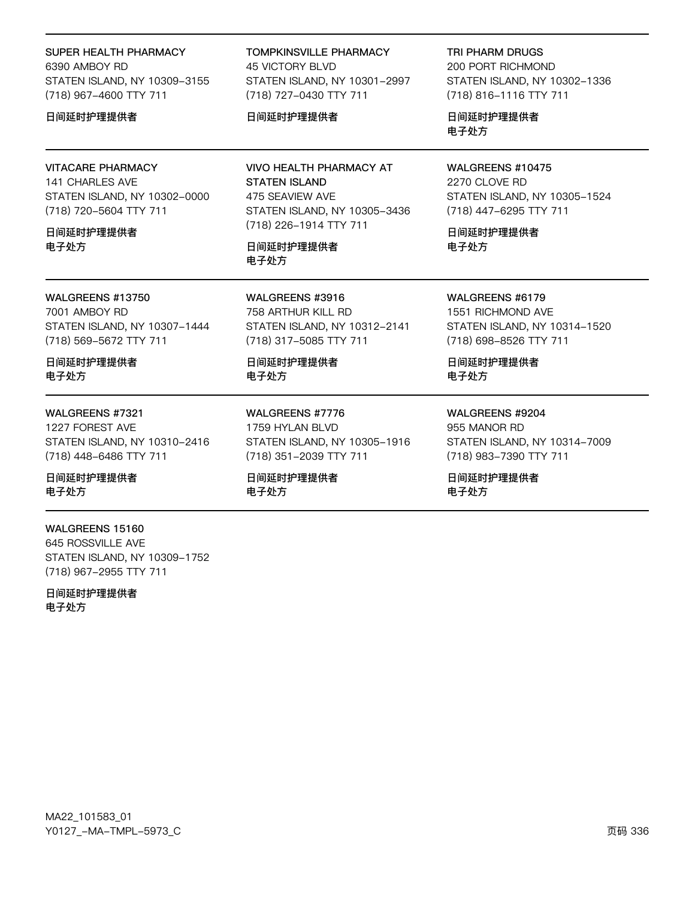#### SUPER HEALTH PHARMACY

6390 AMBOY RD STATEN ISLAND, NY 10309-3155 (718) 967-4600 TTY 711

#### 日间延时护理提供者

#### **VITACARE PHARMACY**

141 CHARLES AVE STATEN ISLAND, NY 10302-0000 (718) 720-5604 TTY 711

#### 日间延时护理提供者 电子外方

WALGREENS #13750

7001 AMBOY RD STATEN ISLAND, NY 10307-1444 (718) 569-5672 TTY 711

日间延时护理提供者 电子处方

#### WALGREENS #7321

1227 FOREST AVE STATEN ISLAND, NY 10310-2416 (718) 448-6486 TTY 711

日间延时护理提供者 电子处方

#### WALGREENS 15160 645 ROSSVILLE AVE STATEN ISLAND, NY 10309-1752 (718) 967-2955 TTY 711

日间延时护理提供者

电子处方

**TOMPKINSVILLE PHARMACY 45 VICTORY BLVD** STATEN ISLAND, NY 10301-2997 (718) 727-0430 TTY 711

#### 日间延时护理提供者

**VIVO HEALTH PHARMACY AT STATEN ISLAND** 475 SEAVIEW AVE STATEN ISLAND, NY 10305-3436 (718) 226-1914 TTY 711

日间延时护理提供者 电子处方

WALGREENS #3916 758 ARTHUR KILL RD STATEN ISLAND, NY 10312-2141 (718) 317-5085 TTY 711

日间延时护理提供者 电子处方

WALGREENS #7776 1759 HYLAN BLVD STATEN ISLAND, NY 10305-1916 (718) 351-2039 TTY 711

日间延时护理提供者 电子处方

**TRI PHARM DRUGS** 200 PORT RICHMOND STATEN ISLAND, NY 10302-1336 (718) 816-1116 TTY 711

日间延时护理提供者 电子处方

#### WALGREENS #10475 2270 CLOVE RD STATEN ISLAND, NY 10305-1524 (718) 447-6295 TTY 711

日间延时护理提供者 电子外方

WALGREENS #6179 1551 RICHMOND AVE STATEN ISLAND, NY 10314-1520 (718) 698-8526 TTY 711

日间延时护理提供者 电子处方

WALGREENS #9204 955 MANOR RD STATEN ISLAND, NY 10314-7009 (718) 983-7390 TTY 711

日间延时护理提供者 电子处方

MA22\_101583\_01 Y0127\_-MA-TMPL-5973\_C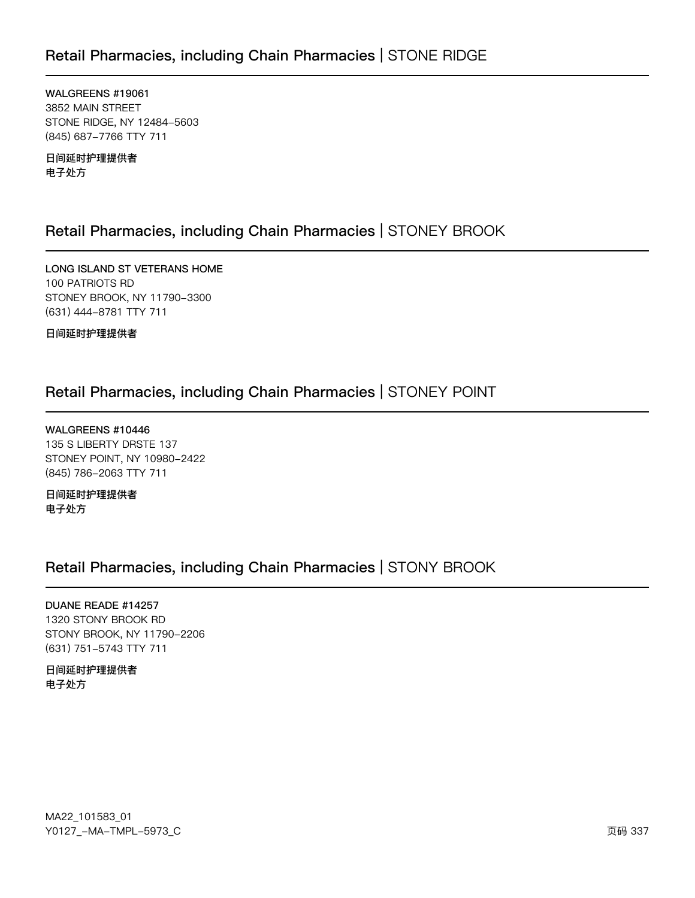### Retail Pharmacies, including Chain Pharmacies | STONE RIDGE

WALGREENS #19061 3852 MAIN STREET STONE RIDGE, NY 12484-5603 (845) 687-7766 TTY 711

日间延时护理提供者 电子处方

### Retail Pharmacies, including Chain Pharmacies | STONEY BROOK

LONG ISLAND ST VETERANS HOME 100 PATRIOTS RD STONEY BROOK, NY 11790-3300 (631) 444-8781 TTY 711

日间延时护理提供者

### Retail Pharmacies, including Chain Pharmacies | STONEY POINT

WALGREENS #10446 135 S LIBERTY DRSTE 137 STONEY POINT, NY 10980-2422 (845) 786-2063 TTY 711

日间延时护理提供者 电子处方

### Retail Pharmacies, including Chain Pharmacies | STONY BROOK

DUANE READE #14257 1320 STONY BROOK RD STONY BROOK, NY 11790-2206 (631) 751-5743 TTY 711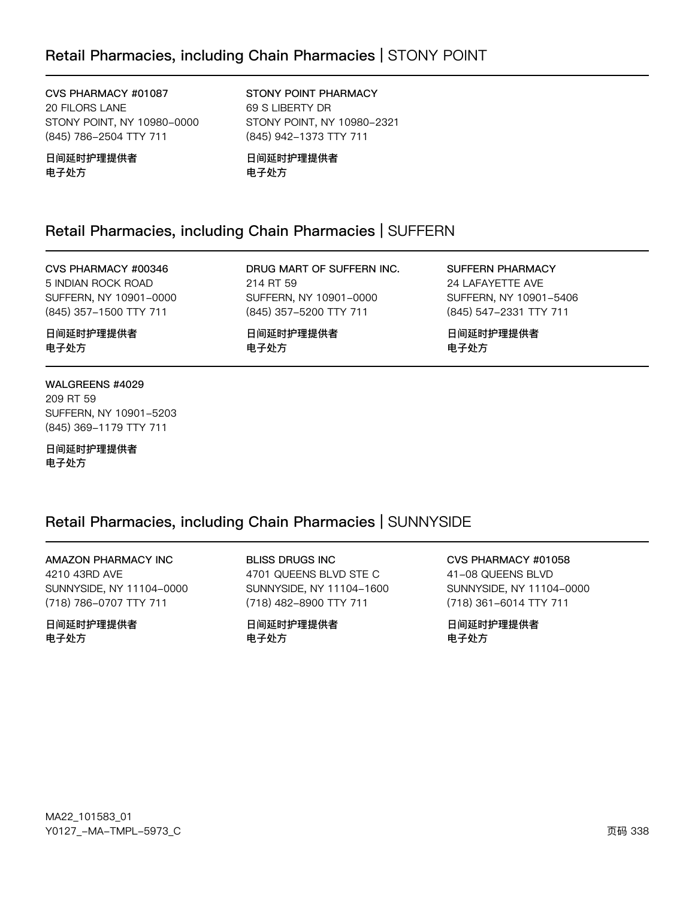CVS PHARMACY #01087 20 FILORS LANE STONY POINT, NY 10980-0000 (845) 786-2504 TTY 711

日间延时护理提供者 电子处方

STONY POINT PHARMACY 69 S LIBERTY DR STONY POINT, NY 10980-2321 (845) 942-1373 TTY 711

日间延时护理提供者 电子处方

### Retail Pharmacies, including Chain Pharmacies | SUFFERN

#### CVS PHARMACY #00346

5 INDIAN ROCK ROAD SUFFERN, NY 10901-0000 (845) 357-1500 TTY 711

DRUG MART OF SUFFERN INC. 214 RT 59 SUFFERN, NY 10901-0000 (845) 357-5200 TTY 711

日间延时护理提供者 电子处方

SUFFERN PHARMACY 24 LAFAYETTE AVE SUFFERN, NY 10901-5406 (845) 547-2331 TTY 711

日间延时护理提供者 电子处方

### 日间延时护理提供者 电子处方

WALGREENS #4029 209 RT 59 SUFFERN, NY 10901-5203 (845) 369-1179 TTY 711

日间延时护理提供者 电子处方

### Retail Pharmacies, including Chain Pharmacies | SUNNYSIDE

**AMAZON PHARMACY INC** 4210 43RD AVE SUNNYSIDE, NY 11104-0000 (718) 786-0707 TTY 711

日间延时护理提供者 电子外方

**BLISS DRUGS INC** 4701 QUEENS BLVD STE C SUNNYSIDE, NY 11104-1600 (718) 482-8900 TTY 711

日间延时护理提供者 电子外方

CVS PHARMACY #01058

41-08 QUEENS BLVD SUNNYSIDE, NY 11104-0000 (718) 361-6014 TTY 711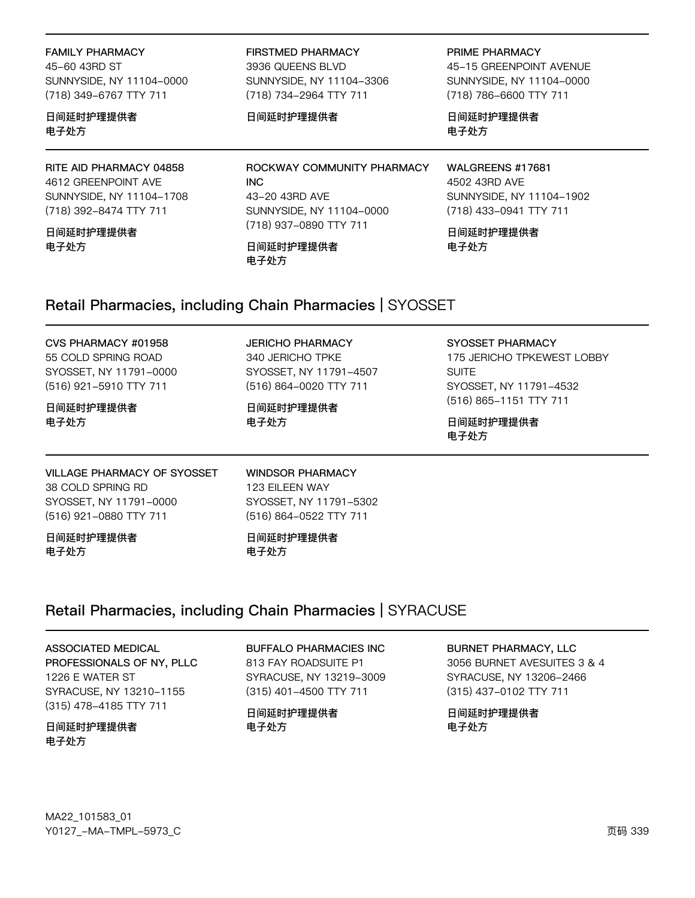**FAMILY PHARMACY** 45-60 43RD ST SUNNYSIDE, NY 11104-0000 (718) 349-6767 TTY 711

日间延时护理提供者 电子处方

RITE AID PHARMACY 04858 4612 GREENPOINT AVE SUNNYSIDE, NY 11104-1708 (718) 392-8474 TTY 711

日间延时护理提供者 电子外方

**FIRSTMED PHARMACY** 3936 QUEENS BLVD SUNNYSIDE, NY 11104-3306 (718) 734-2964 TTY 711

SUNNYSIDE, NY 11104-0000

(718) 937-0890 TTY 711

ROCKWAY COMMUNITY PHARMACY

#### 日间延时护理提供者

43-20 43RD AVE

日间延时护理提供者

PRIME PHARMACY 45-15 GREENPOINT AVENUE SUNNYSIDE, NY 11104-0000 (718) 786-6600 TTY 711

日间延时护理提供者 电子处方

WALGREENS #17681 4502 43RD AVE SUNNYSIDE, NY 11104-1902 (718) 433-0941 TTY 711

日间延时护理提供者 电子外方

### Retail Pharmacies, including Chain Pharmacies | SYOSSET

电子处方

**INC** 

### CVS PHARMACY #01958

55 COLD SPRING ROAD SYOSSET, NY 11791-0000 (516) 921-5910 TTY 711

日间延时护理提供者 电子处方

**VILLAGE PHARMACY OF SYOSSET** 38 COLD SPRING RD SYOSSET, NY 11791-0000 (516) 921-0880 TTY 711

日间延时护理提供者 电子处方

**JERICHO PHARMACY** 340 JERICHO TPKE SYOSSET, NY 11791-4507 (516) 864-0020 TTY 711

日间延时护理提供者 电子处方

SYOSSET PHARMACY

175 JERICHO TPKEWEST LOBBY SUITE. SYOSSET, NY 11791-4532 (516) 865-1151 TTY 711

日间延时护理提供者 电子处方

123 EILEEN WAY SYOSSET, NY 11791-5302 (516) 864-0522 TTY 711

**WINDSOR PHARMACY** 

日间延时护理提供者 电子外方

### Retail Pharmacies, including Chain Pharmacies | SYRACUSE

ASSOCIATED MEDICAL

PROFESSIONALS OF NY, PLLC 1226 E WATER ST SYRACUSE, NY 13210-1155 (315) 478-4185 TTY 711

日间延时护理提供者 电子处方

**BUFFALO PHARMACIES INC** 

813 FAY ROADSUITE P1 SYRACUSE, NY 13219-3009 (315) 401-4500 TTY 711

日间延时护理提供者 电子处方

#### BURNET PHARMACY, LLC

3056 BURNET AVESUITES 3 & 4 SYRACUSE, NY 13206-2466 (315) 437-0102 TTY 711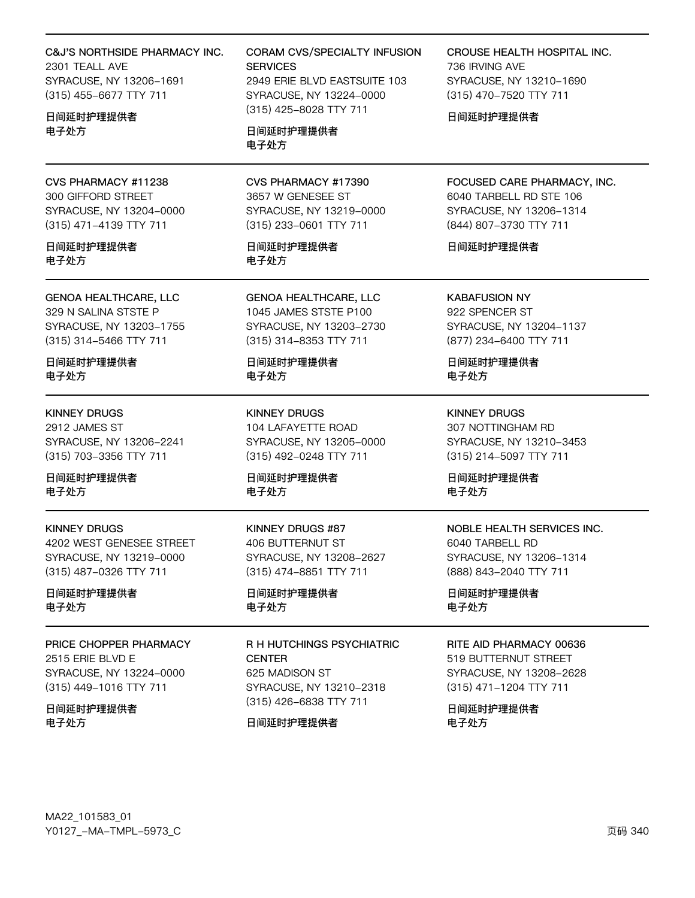#### C&J'S NORTHSIDE PHARMACY INC.

2301 TEALL AVE SYRACUSE, NY 13206-1691 (315) 455-6677 TTY 711

日间延时护理提供者 电子处方

CVS PHARMACY #11238 300 GIFFORD STREET SYRACUSE, NY 13204-0000 (315) 471-4139 TTY 711

日间延时护理提供者 电子处方

**GENOA HEALTHCARE, LLC** 329 N SALINA STSTE P SYRACUSE, NY 13203-1755 (315) 314-5466 TTY 711

日间延时护理提供者 电子处方

**KINNEY DRUGS** 2912 JAMES ST SYRACUSE, NY 13206-2241 (315) 703-3356 TTY 711

日间延时护理提供者 电子处方

**KINNEY DRUGS** 4202 WEST GENESEE STREET SYRACUSE, NY 13219-0000 (315) 487-0326 TTY 711

日间延时护理提供者 电子处方

PRICE CHOPPER PHARMACY 2515 ERIE BLVD E SYRACUSE, NY 13224-0000 (315) 449-1016 TTY 711

日间延时护理提供者 电子处方

**CORAM CVS/SPECIALTY INFUSION SERVICES** 2949 ERIE BLVD EASTSUITE 103 SYRACUSE, NY 13224-0000 (315) 425-8028 TTY 711

日间延时护理提供者 电子处方

CVS PHARMACY #17390 3657 W GENESEE ST SYRACUSE, NY 13219-0000 (315) 233-0601 TTY 711

日间延时护理提供者 电子处方

**GENOA HEALTHCARE, LLC** 1045 JAMES STSTE P100 SYRACUSE, NY 13203-2730 (315) 314-8353 TTY 711

日间延时护理提供者 电子处方

**KINNEY DRUGS** 104 LAFAYETTE ROAD SYRACUSE, NY 13205-0000 (315) 492-0248 TTY 711

日间延时护理提供者 电子处方

KINNEY DRUGS #87 406 BUTTERNUT ST SYRACUSE, NY 13208-2627 (315) 474-8851 TTY 711

日间延时护理提供者 电子处方

R H HUTCHINGS PSYCHIATRIC **CENTER** 625 MADISON ST SYRACUSE, NY 13210-2318 (315) 426-6838 TTY 711

日间延时护理提供者

CROUSE HEALTH HOSPITAL INC. 736 IRVING AVE

SYRACUSE, NY 13210-1690 (315) 470-7520 TTY 711

日间延时护理提供者

FOCUSED CARE PHARMACY, INC. 6040 TARBELL RD STE 106 SYRACUSE, NY 13206-1314 (844) 807-3730 TTY 711

日间延时护理提供者

**KABAFUSION NY** 922 SPENCER ST SYRACUSE, NY 13204-1137 (877) 234-6400 TTY 711

日间延时护理提供者 电子处方

**KINNEY DRUGS** 307 NOTTINGHAM RD SYRACUSE, NY 13210-3453 (315) 214-5097 TTY 711

日间延时护理提供者 电子处方

#### **NOBLE HEALTH SERVICES INC.** 6040 TARBELL RD SYRACUSE, NY 13206-1314

(888) 843-2040 TTY 711

日间延时护理提供者 电子处方

#### RITE AID PHARMACY 00636

519 BUTTERNUT STREET SYRACUSE, NY 13208-2628 (315) 471-1204 TTY 711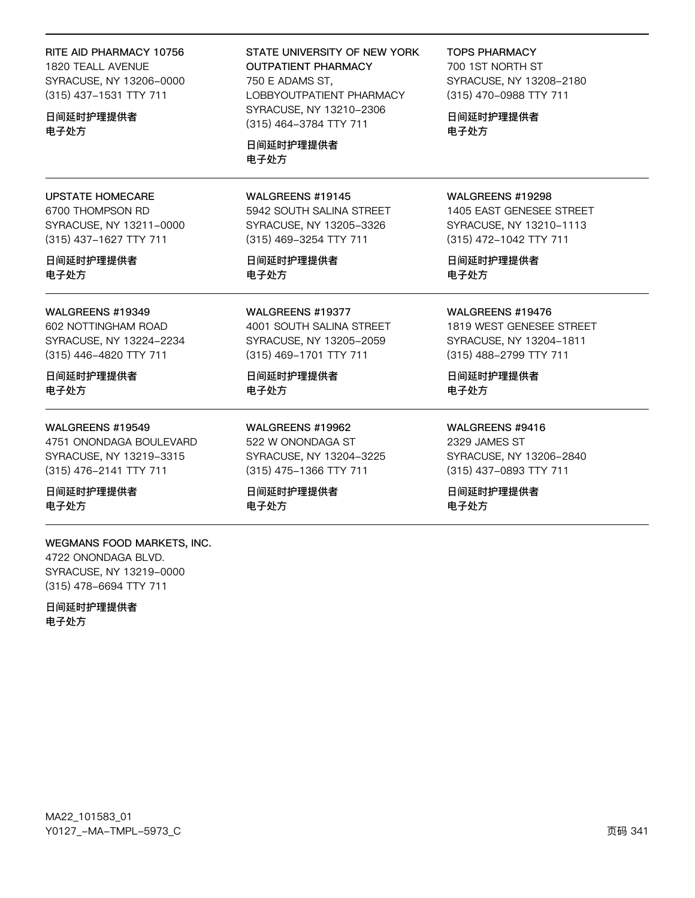#### RITE AID PHARMACY 10756

1820 TEALL AVENUE SYRACUSE, NY 13206-0000 (315) 437-1531 TTY 711

日间延时护理提供者 电子处方

**UPSTATE HOMECARE** 

6700 THOMPSON RD

日间延时护理提供者

**WALGREENS #19349** 

602 NOTTINGHAM ROAD

(315) 446-4820 TTY 711

SYRACUSE, NY 13224-2234

电子处方

SYRACUSE, NY 13211-0000

(315) 437-1627 TTY 711

#### STATE UNIVERSITY OF NEW YORK **OUTPATIENT PHARMACY** 750 E ADAMS ST,

LOBBYOUTPATIENT PHARMACY SYRACUSE, NY 13210-2306 (315) 464-3784 TTY 711

日间延时护理提供者 电子处方

#### WALGREENS #19145

5942 SOUTH SALINA STREET SYRACUSE, NY 13205-3326 (315) 469-3254 TTY 711

日间延时护理提供者 电子处方

WALGREENS #19377 4001 SOUTH SALINA STREET SYRACUSE, NY 13205-2059 (315) 469-1701 TTY 711

日间延时护理提供者 电子处方

WALGREENS #19962 522 W ONONDAGA ST SYRACUSE, NY 13204-3225 (315) 475-1366 TTY 711

日间延时护理提供者 电子处方

#### WALGREENS #19298

**TOPS PHARMACY** 

700 1ST NORTH ST

日间延时护理提供者

电子处方

SYRACUSE, NY 13208-2180

(315) 470-0988 TTY 711

1405 EAST GENESEE STREET SYRACUSE, NY 13210-1113 (315) 472-1042 TTY 711

日间延时护理提供者 电子处方

#### WALGREENS #19476

1819 WEST GENESEE STREET SYRACUSE, NY 13204-1811 (315) 488-2799 TTY 711

日间延时护理提供者 电子处方

WALGREENS #9416 2329 JAMES ST SYRACUSE, NY 13206-2840

(315) 437-0893 TTY 711

日间延时护理提供者 电子处方

## 日间延时护理提供者 电子处方

#### WALGREENS #19549

4751 ONONDAGA BOULEVARD SYRACUSE, NY 13219-3315 (315) 476-2141 TTY 711

日间延时护理提供者 电子处方

#### WEGMANS FOOD MARKETS, INC. 4722 ONONDAGA BLVD. SYRACUSE, NY 13219-0000 (315) 478-6694 TTY 711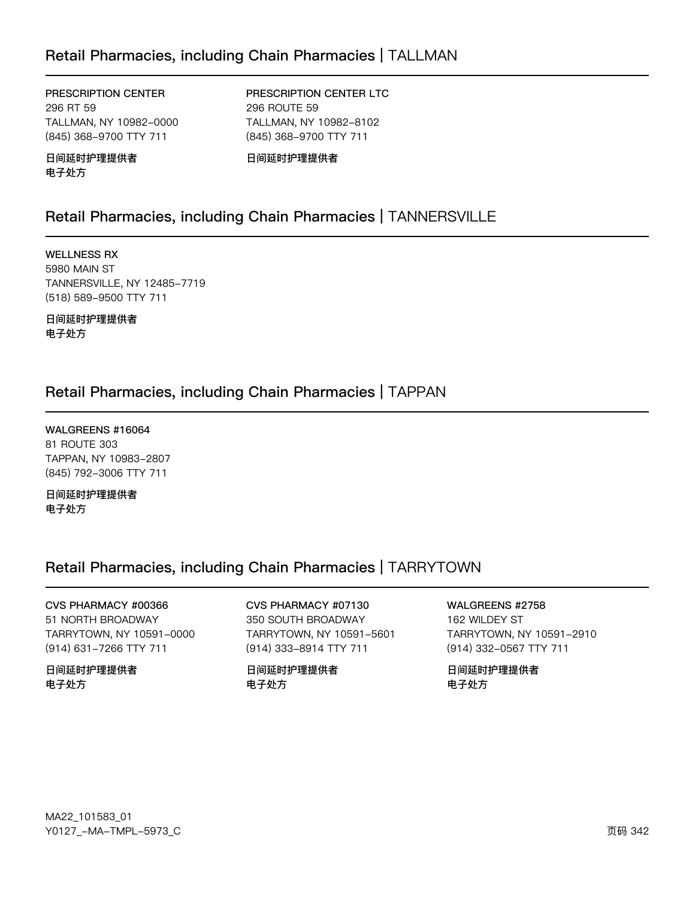### Retail Pharmacies, including Chain Pharmacies | TALLMAN

PRESCRIPTION CENTER 296 RT 59 TALLMAN, NY 10982-0000 (845) 368-9700 TTY 711

### PRESCRIPTION CENTER LTC 296 ROUTE 59 TALLMAN, NY 10982-8102

日间延时护理提供者 电子处方

日间延时护理提供者

(845) 368-9700 TTY 711

### Retail Pharmacies, including Chain Pharmacies | TANNERSVILLE

**WELLNESS RX** 5980 MAIN ST TANNERSVILLE, NY 12485-7719 (518) 589-9500 TTY 711

日间延时护理提供者 电子处方

### Retail Pharmacies, including Chain Pharmacies | TAPPAN

WALGREENS #16064 81 ROUTE 303 TAPPAN, NY 10983-2807 (845) 792-3006 TTY 711

日间延时护理提供者 电子处方

### Retail Pharmacies, including Chain Pharmacies | TARRYTOWN

CVS PHARMACY #00366 51 NORTH BROADWAY TARRYTOWN, NY 10591-0000 (914) 631-7266 TTY 711

日间延时护理提供者 电子处方

CVS PHARMACY #07130 350 SOUTH BROADWAY TARRYTOWN, NY 10591-5601 (914) 333-8914 TTY 711

日间延时护理提供者 电子处方

WALGREENS #2758

162 WILDEY ST TARRYTOWN, NY 10591-2910 (914) 332-0567 TTY 711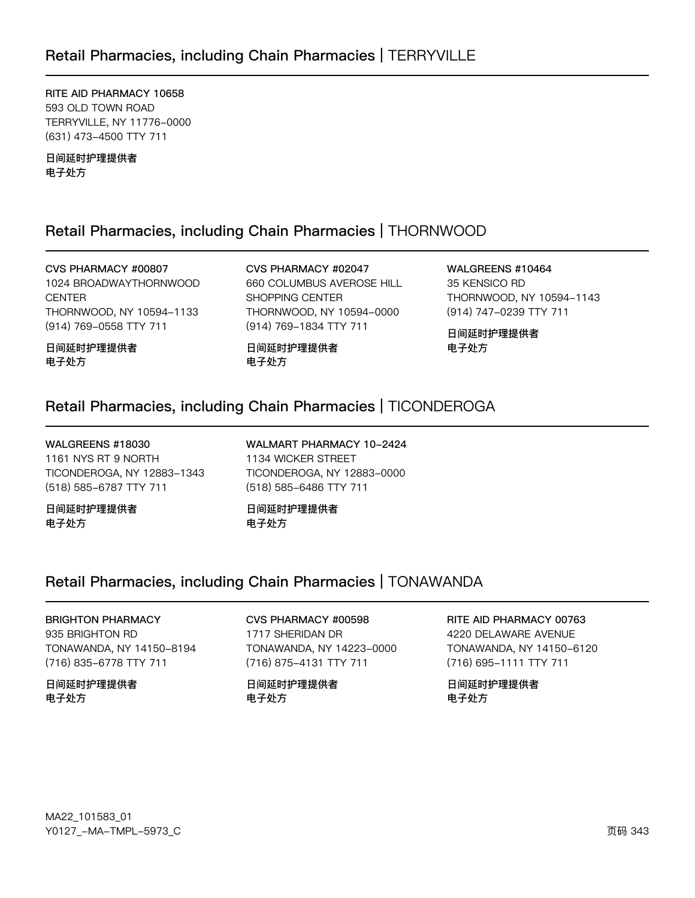RITE AID PHARMACY 10658 593 OLD TOWN ROAD TERRYVILLE, NY 11776-0000 (631) 473-4500 TTY 711

日间延时护理提供者 电子处方

### Retail Pharmacies, including Chain Pharmacies | THORNWOOD

CVS PHARMACY #00807 1024 BROADWAYTHORNWOOD **CENTER** THORNWOOD, NY 10594-1133 (914) 769-0558 TTY 711

日间延时护理提供者 电子处方

CVS PHARMACY #02047 660 COLUMBUS AVEROSE HILL SHOPPING CENTER THORNWOOD, NY 10594-0000 (914) 769-1834 TTY 711

日间延时护理提供者 电子处方

WALGREENS #10464 35 KENSICO RD THORNWOOD, NY 10594-1143 (914) 747-0239 TTY 711

日间延时护理提供者 电子处方

### Retail Pharmacies, including Chain Pharmacies | TICONDEROGA

WALGREENS #18030 1161 NYS RT 9 NORTH TICONDEROGA, NY 12883-1343 (518) 585-6787 TTY 711

日间延时护理提供者 电子处方

WALMART PHARMACY 10-2424 1134 WICKER STREET TICONDEROGA, NY 12883-0000 (518) 585-6486 TTY 711

日间延时护理提供者 电子处方

### Retail Pharmacies, including Chain Pharmacies | TONAWANDA

BRIGHTON PHARMACY 935 BRIGHTON RD TONAWANDA, NY 14150-8194

(716) 835-6778 TTY 711

日间延时护理提供者 电子处方

CVS PHARMACY #00598 1717 SHERIDAN DR TONAWANDA, NY 14223-0000 (716) 875-4131 TTY 711

日间延时护理提供者 电子处方

RITE AID PHARMACY 00763

4220 DELAWARE AVENUE TONAWANDA, NY 14150-6120 (716) 695-1111 TTY 711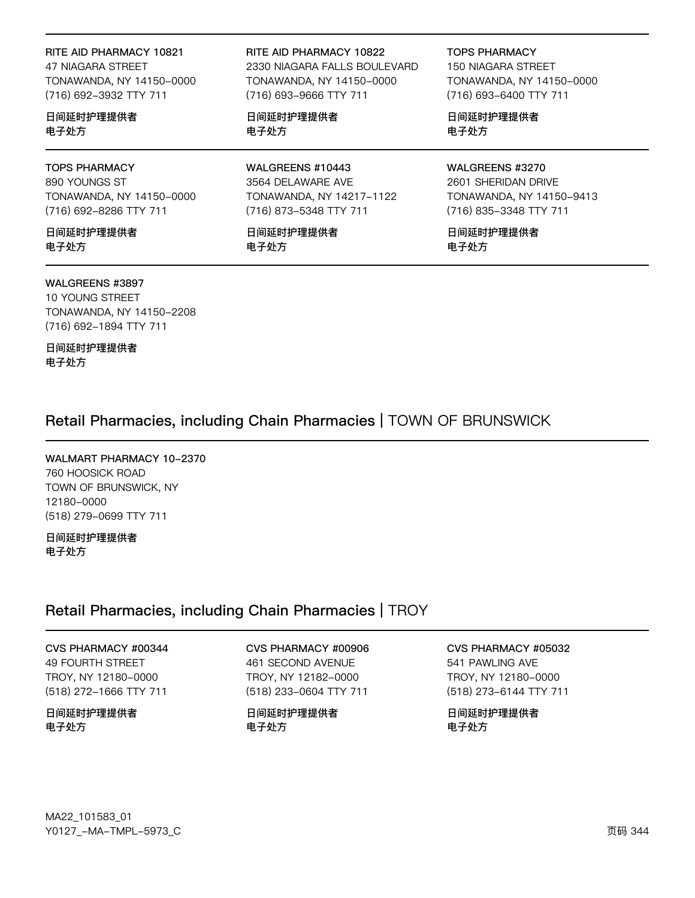#### RITE AID PHARMACY 10821

47 NIAGARA STREET TONAWANDA, NY 14150-0000 (716) 692-3932 TTY 711

日间延时护理提供者 电子处方

#### TOPS PHARMACY 890 YOUNGS ST

TONAWANDA, NY 14150-0000 (716) 692-8286 TTY 711

日间延时护理提供者 电子处方

#### WALGREENS #3897

10 YOUNG STREET TONAWANDA, NY 14150-2208 (716) 692-1894 TTY 711

日间延时护理提供者 电子处方

#### RITE AID PHARMACY 10822

2330 NIAGARA FALLS BOULEVARD TONAWANDA, NY 14150-0000 (716) 693-9666 TTY 711

日间延时护理提供者 电子处方

WALGREENS #10443 3564 DELAWARE AVE TONAWANDA, NY 14217-1122 (716) 873-5348 TTY 711

日间延时护理提供者 电子处方

TOPS PHARMACY

150 NIAGARA STREET TONAWANDA, NY 14150-0000 (716) 693-6400 TTY 711

日间延时护理提供者 电子处方

#### WALGREENS #3270

2601 SHERIDAN DRIVE TONAWANDA, NY 14150-9413 (716) 835-3348 TTY 711

日间延时护理提供者 电子处方

Retail Pharmacies, including Chain Pharmacies | TOWN OF BRUNSWICK

WALMART PHARMACY 10-2370 760 HOOSICK ROAD TOWN OF BRUNSWICK, NY 12120-0000 (518) 279-0699 TTY 711

日间延时护理提供者 电子处方

### Retail Pharmacies, including Chain Pharmacies | TROY

### CVS PHARMACY #00344

49 FOURTH STREET TROY, NY 12180-0000 (518) 272-1666 TTY 711

日间延时护理提供者 电子处方

### CVS PHARMACY #00906

461 SECOND AVENUE TROY, NY 12182-0000 (518) 233-0604 TTY 711

日间延时护理提供者 电子处方

### CVS PHARMACY #05032

541 PAWLING AVE TROY, NY 12180-0000 (518) 273-6144 TTY 711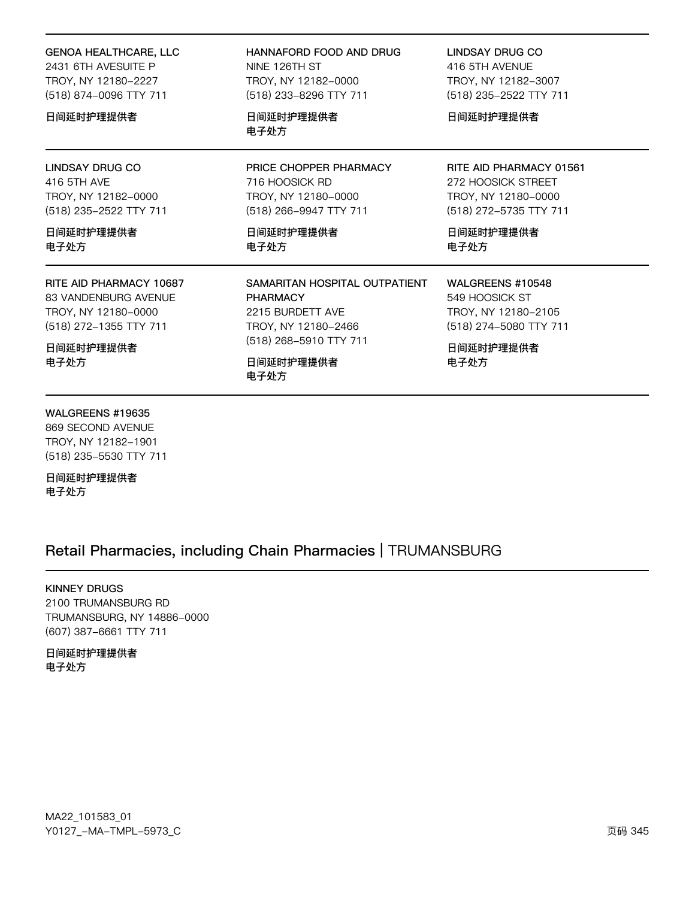#### **GENOA HEALTHCARE, LLC** 2431 6TH AVESUITE P TROY, NY 12180-2227

(518) 874-0096 TTY 711

#### 日间延时护理提供者

**LINDSAY DRUG CO** 416 5TH AVE TROY, NY 12182-0000 (518) 235-2522 TTY 711

日间延时护理提供者 电子处方

RITE AID PHARMACY 10687 83 VANDENBURG AVENUE

TROY, NY 12180-0000 (518) 272-1355 TTY 711

日间延时护理提供者 电子处方

#### HANNAFORD FOOD AND DRUG NINE 126TH ST TROY, NY 12182-0000 (518) 233-8296 TTY 711

日间延时护理提供者 电子处方

PRICE CHOPPER PHARMACY 716 HOOSICK RD TROY, NY 12180-0000 (518) 266-9947 TTY 711

日间延时护理提供者 电子处方

SAMARITAN HOSPITAL OUTPATIENT **PHARMACY** 2215 BURDETT AVE TROY, NY 12180-2466 (518) 268-5910 TTY 711

日间延时护理提供者 电子处方

**LINDSAY DRUG CO** 416 5TH AVENUE TROY, NY 12182-3007 (518) 235-2522 TTY 711

日间延时护理提供者

RITE AID PHARMACY 01561 272 HOOSICK STREET TROY, NY 12180-0000 (518) 272-5735 TTY 711

日间延时护理提供者 电子处方

WALGREENS #10548 549 HOOSICK ST TROY, NY 12180-2105 (518) 274-5080 TTY 711

日间延时护理提供者 电子处方

#### WALGREENS #19635

869 SECOND AVENUE TROY, NY 12182-1901 (518) 235-5530 TTY 711

日间延时护理提供者 电子处方

### Retail Pharmacies, including Chain Pharmacies | TRUMANSBURG

#### **KINNEY DRUGS**

2100 TRUMANSBURG RD TRUMANSBURG, NY 14886-0000 (607) 387-6661 TTY 711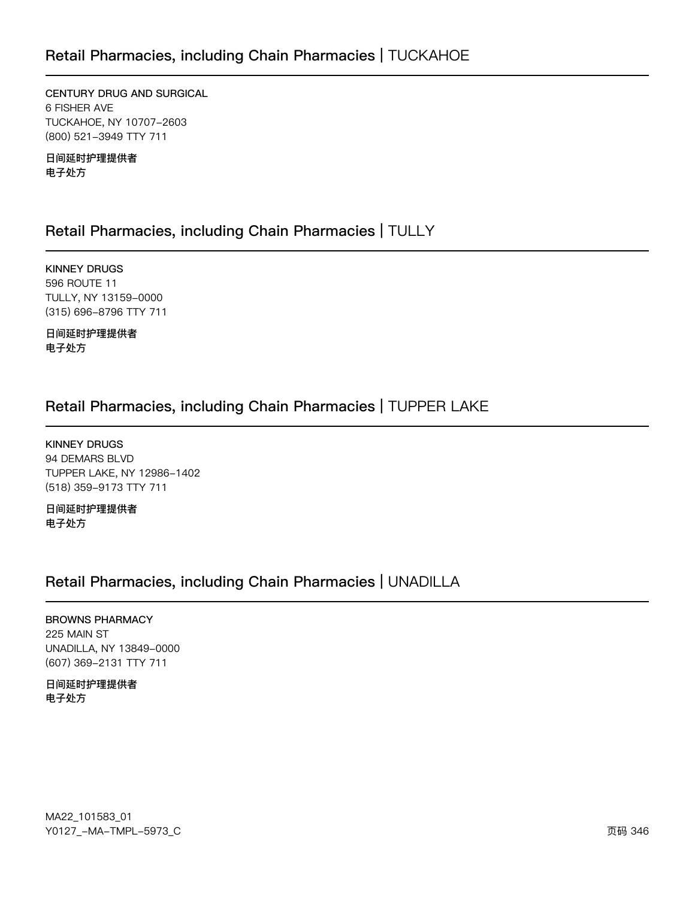### Retail Pharmacies, including Chain Pharmacies | TUCKAHOE

CENTURY DRUG AND SURGICAL 6 FISHER AVE TUCKAHOE, NY 10707-2603 (800) 521-3949 TTY 711

日间延时护理提供者 电子处方

### Retail Pharmacies, including Chain Pharmacies | TULLY

**KINNEY DRUGS** 596 ROUTE 11 TULLY, NY 13159-0000 (315) 696-8796 TTY 711

日间延时护理提供者 电子处方

### Retail Pharmacies, including Chain Pharmacies | TUPPER LAKE

**KINNEY DRUGS** 94 DEMARS BLVD TUPPER LAKE, NY 12986-1402 (518) 359-9173 TTY 711

日间延时护理提供者 电子处方

### Retail Pharmacies, including Chain Pharmacies | UNADILLA

#### **BROWNS PHARMACY** 225 MAIN ST UNADILLA, NY 13849-0000 (607) 369-2131 TTY 711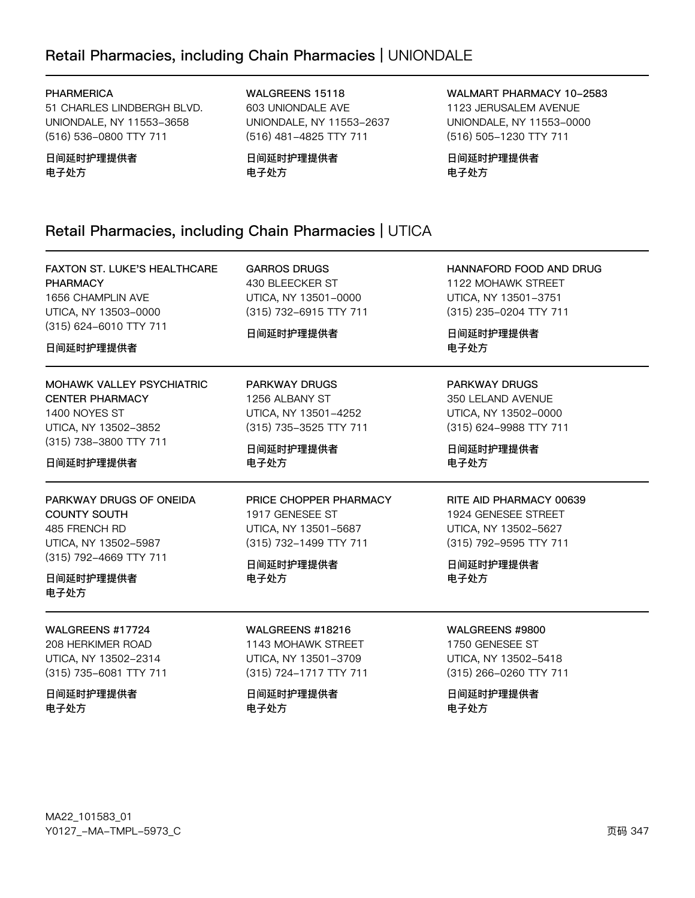## Retail Pharmacies, including Chain Pharmacies | UNIONDALE

#### **PHARMERICA**

51 CHARLES LINDBERGH BLVD. UNIONDALE, NY 11553-3658 (516) 536-0800 TTY 711

日间延时护理提供者 电子处方

WALGREENS 15118 603 UNIONDALE AVE UNIONDALE, NY 11553-2637 (516) 481-4825 TTY 711

日间延时护理提供者 电子处方

WALMART PHARMACY 10-2583 1123 JERUSALEM AVENUE UNIONDALE, NY 11553-0000 (516) 505-1230 TTY 711

日间延时护理提供者 电子处方

### Retail Pharmacies, including Chain Pharmacies | UTICA

| <b>FAXTON ST. LUKE'S HEALTHCARE</b><br><b>PHARMACY</b><br>1656 CHAMPLIN AVE<br>UTICA, NY 13503-0000<br>(315) 624-6010 TTY 711<br>日间延时护理提供者 | <b>GARROS DRUGS</b><br>430 BLEECKER ST<br>UTICA, NY 13501-0000<br>(315) 732-6915 TTY 711<br>日间延时护理提供者            | HANNAFORD FOOD AND DRUG<br>1122 MOHAWK STREET<br>UTICA, NY 13501-3751<br>(315) 235-0204 TTY 711<br>日间延时护理提供者<br>电子处方  |
|--------------------------------------------------------------------------------------------------------------------------------------------|------------------------------------------------------------------------------------------------------------------|-----------------------------------------------------------------------------------------------------------------------|
| <b>MOHAWK VALLEY PSYCHIATRIC</b>                                                                                                           | <b>PARKWAY DRUGS</b>                                                                                             | <b>PARKWAY DRUGS</b>                                                                                                  |
| <b>CENTER PHARMACY</b>                                                                                                                     | 1256 ALBANY ST                                                                                                   | 350 LELAND AVENUE                                                                                                     |
| 1400 NOYES ST                                                                                                                              | UTICA, NY 13501-4252                                                                                             | UTICA, NY 13502-0000                                                                                                  |
| UTICA, NY 13502-3852                                                                                                                       | (315) 735-3525 TTY 711                                                                                           | (315) 624-9988 TTY 711                                                                                                |
| (315) 738-3800 TTY 711                                                                                                                     | 日间延时护理提供者                                                                                                        | 日间延时护理提供者                                                                                                             |
| 日间延时护理提供者                                                                                                                                  | 电子处方                                                                                                             | 电子处方                                                                                                                  |
| PARKWAY DRUGS OF ONEIDA<br><b>COUNTY SOUTH</b><br>485 FRENCH RD<br>UTICA, NY 13502-5987<br>(315) 792-4669 TTY 711<br>日间延时护理提供者<br>电子处方     | PRICE CHOPPER PHARMACY<br>1917 GENESEE ST<br>UTICA, NY 13501-5687<br>(315) 732-1499 TTY 711<br>日间延时护理提供者<br>电子处方 | RITE AID PHARMACY 00639<br>1924 GENESEE STREET<br>UTICA, NY 13502-5627<br>(315) 792-9595 TTY 711<br>日间延时护理提供者<br>电子处方 |
| WALGREENS #17724                                                                                                                           | WALGREENS #18216                                                                                                 | WALGREENS #9800                                                                                                       |
| 208 HERKIMER ROAD                                                                                                                          | 1143 MOHAWK STREET                                                                                               | 1750 GENESEE ST                                                                                                       |
| UTICA, NY 13502-2314                                                                                                                       | UTICA, NY 13501-3709                                                                                             | UTICA, NY 13502-5418                                                                                                  |
| (315) 735-6081 TTY 711                                                                                                                     | (315) 724-1717 TTY 711                                                                                           | (315) 266-0260 TTY 711                                                                                                |
| 日间延时护理提供者                                                                                                                                  | 日间延时护理提供者                                                                                                        | 日间延时护理提供者                                                                                                             |
| 电子处方                                                                                                                                       | 电子处方                                                                                                             | 电子处方                                                                                                                  |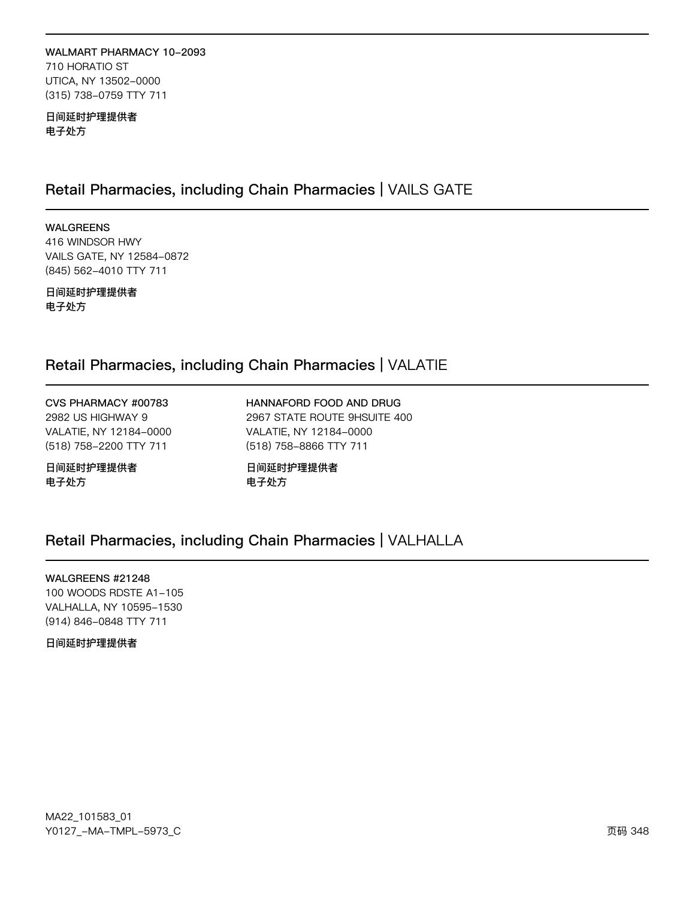#### WALMART PHARMACY 10-2093 710 HORATIO ST UTICA, NY 13502-0000 (315) 738-0759 TTY 711

日间延时护理提供者 电子处方

### Retail Pharmacies, including Chain Pharmacies | VAILS GATE

**WALGREENS** 416 WINDSOR HWY VAILS GATE, NY 12584-0872 (845) 562-4010 TTY 711

日间延时护理提供者 电子处方

### Retail Pharmacies, including Chain Pharmacies | VALATIE

CVS PHARMACY #00783 2982 US HIGHWAY 9 VALATIE, NY 12184-0000 (518) 758-2200 TTY 711

日间延时护理提供者 电子处方

HANNAFORD FOOD AND DRUG 2967 STATE ROUTE 9HSUITE 400 VALATIE, NY 12184-0000 (518) 758-8866 TTY 711

日间延时护理提供者 电子处方

### Retail Pharmacies, including Chain Pharmacies | VALHALLA

WALGREENS #21248 100 WOODS RDSTE A1-105 VALHALLA, NY 10595-1530 (914) 846-0848 TTY 711

日间延时护理提供者

MA22\_101583\_01 Y0127\_-MA-TMPL-5973\_C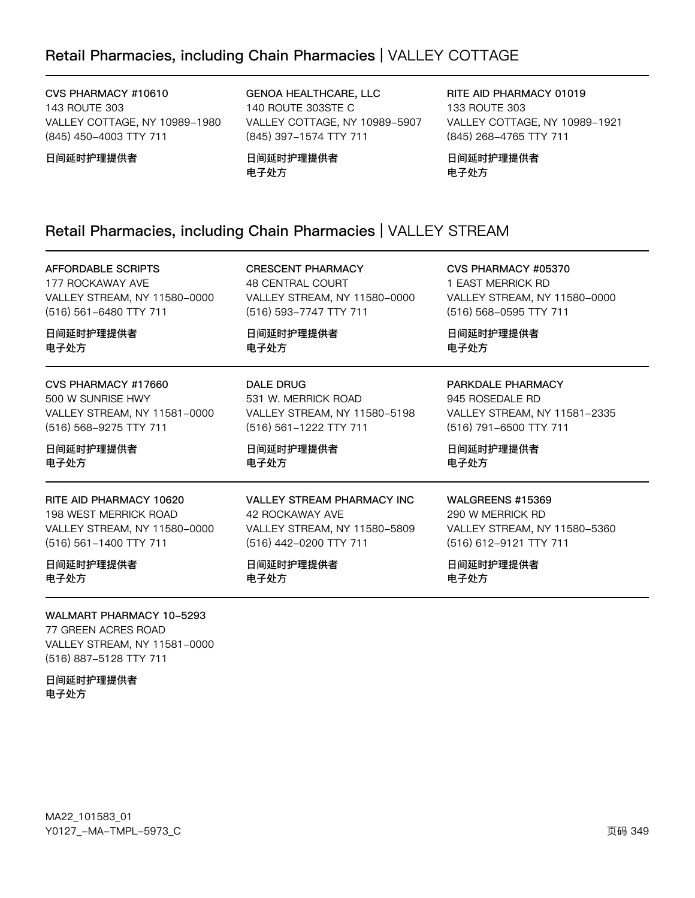### Retail Pharmacies, including Chain Pharmacies | VALLEY COTTAGE

CVS PHARMACY #10610 143 ROUTE 303 VALLEY COTTAGE, NY 10989-1980 (845) 450-4003 TTY 711

日间延时护理提供者

GENOA HEALTHCARE, LLC 140 ROUTE 303STE C VALLEY COTTAGE, NY 10989-5907 (845) 397-1574 TTY 711

日间延时护理提供者 电子处方

RITE AID PHARMACY 01019 133 ROUTE 303 VALLEY COTTAGE, NY 10989-1921 (845) 268-4765 TTY 711

日间延时护理提供者 电子处方

### Retail Pharmacies, including Chain Pharmacies | VALLEY STREAM

**AFFORDABLE SCRIPTS** 177 ROCKAWAY AVE

VALLEY STREAM, NY 11580-0000 (516) 561-6480 TTY 711

**CRESCENT PHARMACY** 48 CENTRAL COURT VALLEY STREAM, NY 11580-0000 (516) 593-7747 TTY 711

VALLEY STREAM, NY 11580-5198

**VALLEY STREAM PHARMACY INC** 

VALLEY STREAM, NY 11580-5809

日间延时护理提供者 电子外方

531 W. MERRICK ROAD

(516) 561-1222 TTY 711

日间延时护理提供者

42 ROCKAWAY AVE

日间延时护理提供者

(516) 442-0200 TTY 711

**DALE DRUG** 

电子处方

电子处方

CVS PHARMACY #05370 1 EAST MERRICK RD VALLEY STREAM, NY 11580-0000 (516) 568-0595 TTY 711

VALLEY STREAM, NY 11581-2335

日间延时护理提供者 电子外方

945 ROSEDALE RD

CVS PHARMACY #17660 500 W SUNRISE HWY VALLEY STREAM, NY 11581-0000 (516) 568-9275 TTY 711

日间延时护理提供者 电子处方

日间延时护理提供者

电子外方

RITE AID PHARMACY 10620 198 WEST MERRICK ROAD VALLEY STREAM, NY 11580-0000 (516) 561-1400 TTY 711

日间延时护理提供者 电子处方

WALMART PHARMACY 10-5293

77 GREEN ACRES ROAD VALLEY STREAM, NY 11581-0000 (516) 887-5128 TTY 711

日间延时护理提供者 电子处方

MA22\_101583\_01 Y0127\_-MA-TMPL-5973\_C (516) 791-6500 TTY 711 日间延时护理提供者 电子处方

PARKDALE PHARMACY

WALGREENS #15369

290 W MERRICK RD VALLEY STREAM, NY 11580-5360 (516) 612-9121 TTY 711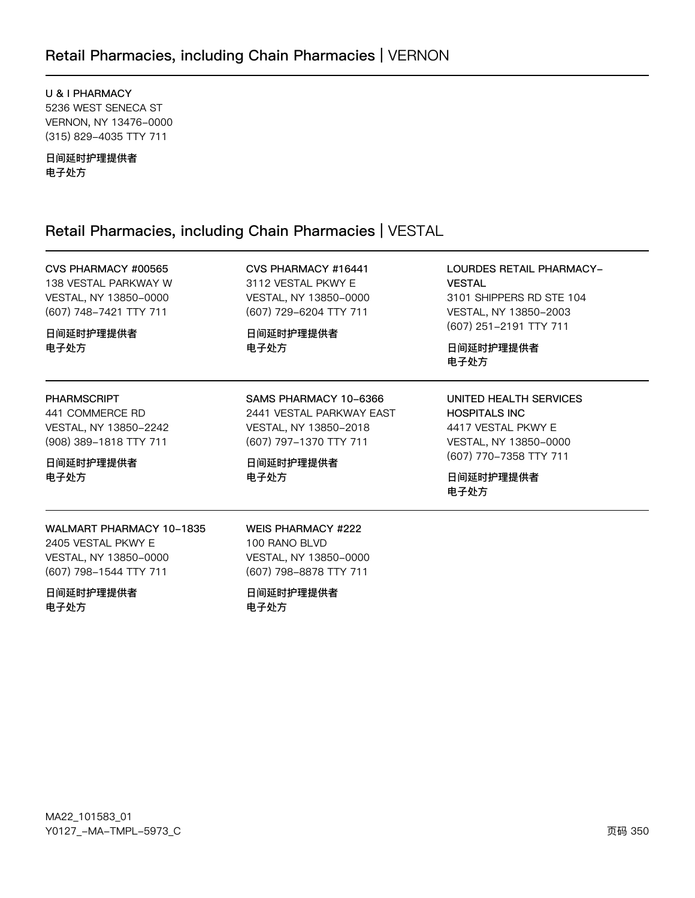### Retail Pharmacies, including Chain Pharmacies | VERNON

U & I PHARMACY 5236 WEST SENECA ST VERNON, NY 13476-0000 (315) 829-4035 TTY 711

日间延时护理提供者 电子处方

### Retail Pharmacies, including Chain Pharmacies | VESTAL

CVS PHARMACY #00565 138 VESTAL PARKWAY W VESTAL, NY 13850-0000 (607) 748-7421 TTY 711

日间延时护理提供者 电子处方

#### **PHARMSCRIPT**

441 COMMERCE RD VESTAL, NY 13850-2242 (908) 389-1818 TTY 711

日间延时护理提供者 电子处方

CVS PHARMACY #16441 3112 VESTAL PKWY E VESTAL, NY 13850-0000 (607) 729-6204 TTY 711

SAMS PHARMACY 10-6366

VESTAL, NY 13850-2018

(607) 797-1370 TTY 711

日间延时护理提供者

电子处方

2441 VESTAL PARKWAY EAST

日间延时护理提供者 电子处方

LOURDES RETAIL PHARMACY-**VESTAL** 3101 SHIPPERS RD STE 104 VESTAL, NY 13850-2003 (607) 251-2191 TTY 711

日间延时护理提供者 电子处方

UNITED HEALTH SERVICES **HOSPITALS INC** 4417 VESTAL PKWY E VESTAL, NY 13850-0000 (607) 770-7358 TTY 711

日间延时护理提供者 电子处方

WALMART PHARMACY 10-1835 2405 VESTAL PKWY E VESTAL, NY 13850-0000 (607) 798-1544 TTY 711

日间延时护理提供者 电子处方

**WEIS PHARMACY #222** 100 RANO BLVD VESTAL, NY 13850-0000 (607) 798-8878 TTY 711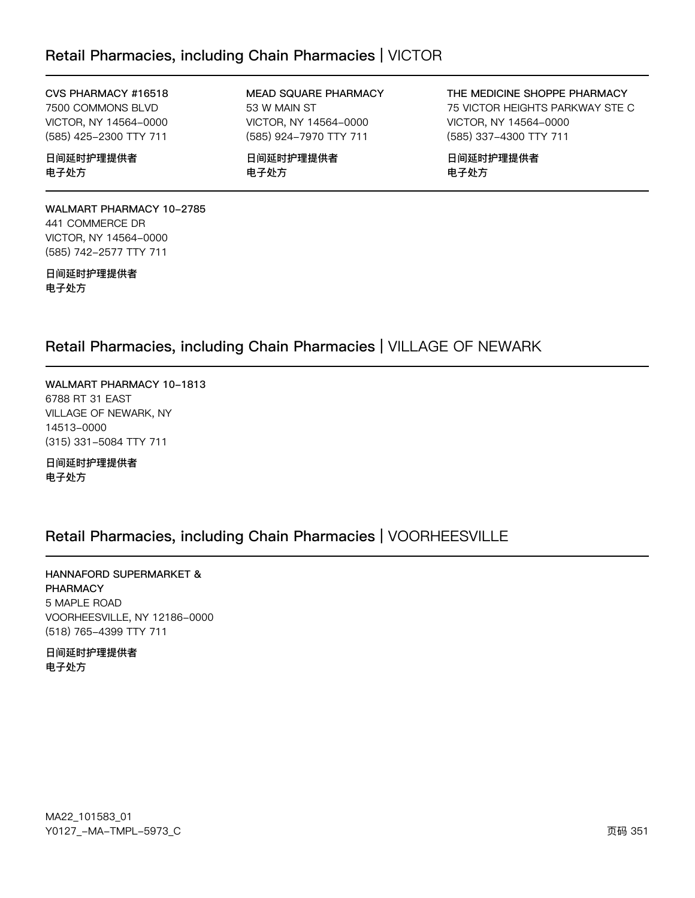### Retail Pharmacies, including Chain Pharmacies | VICTOR

#### CVS PHARMACY #16518

7500 COMMONS BLVD VICTOR, NY 14564-0000 (585) 425-2300 TTY 711

日间延时护理提供者 电子处方

MEAD SQUARE PHARMACY 53 W MAIN ST VICTOR, NY 14564-0000 (585) 924-7970 TTY 711

日间延时护理提供者 电子处方

THE MEDICINE SHOPPE PHARMACY 75 VICTOR HEIGHTS PARKWAY STE C VICTOR, NY 14564-0000 (585) 337-4300 TTY 711

日间延时护理提供者 电子处方

WALMART PHARMACY 10-2785 441 COMMERCE DR VICTOR, NY 14564-0000 (585) 742-2577 TTY 711

日间延时护理提供者 电子处方

### Retail Pharmacies, including Chain Pharmacies | VILLAGE OF NEWARK

WALMART PHARMACY 10-1813 6788 RT 31 EAST VILLAGE OF NEWARK, NY 14513-0000 (315) 331-5084 TTY 711

日间延时护理提供者 电子处方

### Retail Pharmacies, including Chain Pharmacies | VOORHEESVILLE

HANNAFORD SUPERMARKET & **PHARMACY** 5 MAPLE ROAD VOORHEESVILLE, NY 12186-0000 (518) 765-4399 TTY 711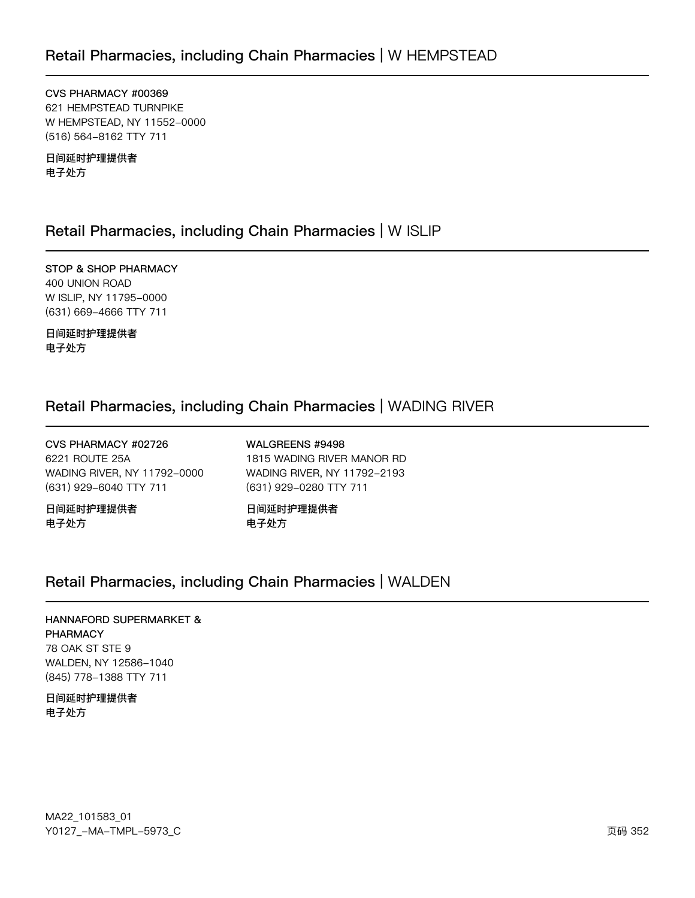CVS PHARMACY #00369 621 HEMPSTEAD TURNPIKE W HEMPSTEAD, NY 11552-0000 (516) 564-8162 TTY 711

日间延时护理提供者 电子处方

### Retail Pharmacies, including Chain Pharmacies | W ISLIP

STOP & SHOP PHARMACY 400 UNION ROAD W ISLIP, NY 11795-0000 (631) 669-4666 TTY 711

日间延时护理提供者 电子处方

### Retail Pharmacies, including Chain Pharmacies | WADING RIVER

CVS PHARMACY #02726 6221 ROUTE 25A WADING RIVER, NY 11792-0000 (631) 929-6040 TTY 711

日间延时护理提供者 电子处方

WALGREENS #9498 1815 WADING RIVER MANOR RD WADING RIVER, NY 11792-2193 (631) 929-0280 TTY 711

日间延时护理提供者 电子处方

### Retail Pharmacies, including Chain Pharmacies | WALDEN

### HANNAFORD SUPERMARKET & **PHARMACY** 78 OAK ST STE 9 WALDEN, NY 12586-1040 (845) 778-1388 TTY 711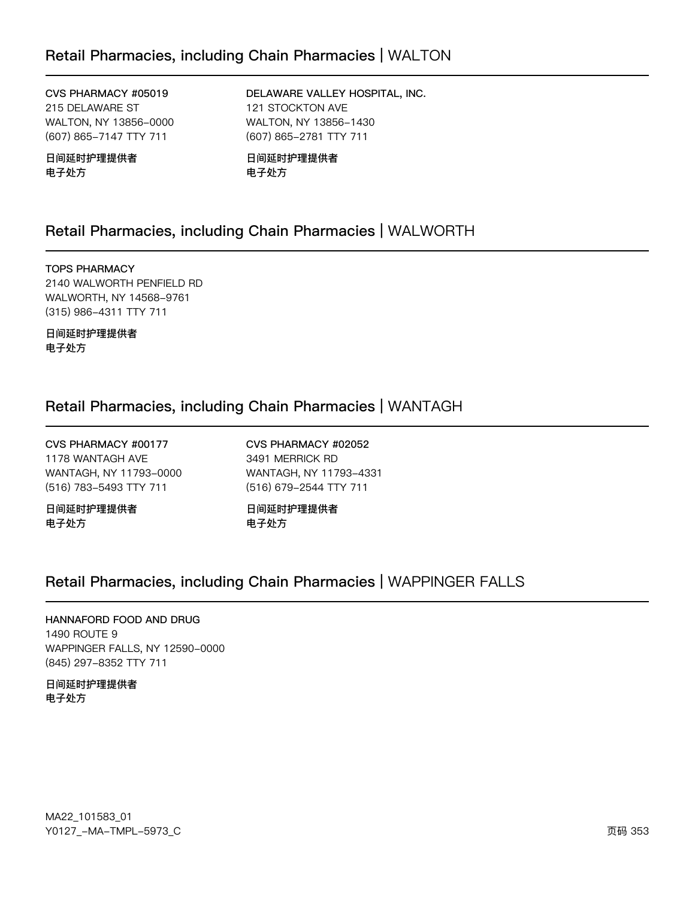### Retail Pharmacies, including Chain Pharmacies | WALTON

CVS PHARMACY #05019 215 DELAWARE ST WALTON, NY 13856-0000 (607) 865-7147 TTY 711

日间延时护理提供者 电子处方

DELAWARE VALLEY HOSPITAL, INC. 121 STOCKTON AVE WALTON, NY 13856-1430 (607) 865-2781 TTY 711

日间延时护理提供者 电子处方

### Retail Pharmacies, including Chain Pharmacies | WALWORTH

**TOPS PHARMACY** 2140 WALWORTH PENFIELD RD WALWORTH, NY 14568-9761 (315) 986-4311 TTY 711

日间延时护理提供者 电子处方

### Retail Pharmacies, including Chain Pharmacies | WANTAGH

CVS PHARMACY #00177 1178 WANTAGH AVE WANTAGH, NY 11793-0000 (516) 783-5493 TTY 711

日间延时护理提供者 电子处方

CVS PHARMACY #02052 3491 MERRICK RD WANTAGH, NY 11793-4331 (516) 679-2544 TTY 711

日间延时护理提供者 电子处方

### Retail Pharmacies, including Chain Pharmacies | WAPPINGER FALLS

### HANNAFORD FOOD AND DRUG

1490 ROUTE 9 WAPPINGER FALLS, NY 12590-0000 (845) 297-8352 TTY 711

日间延时护理提供者 电子处方

MA22\_101583\_01 Y0127\_-MA-TMPL-5973\_C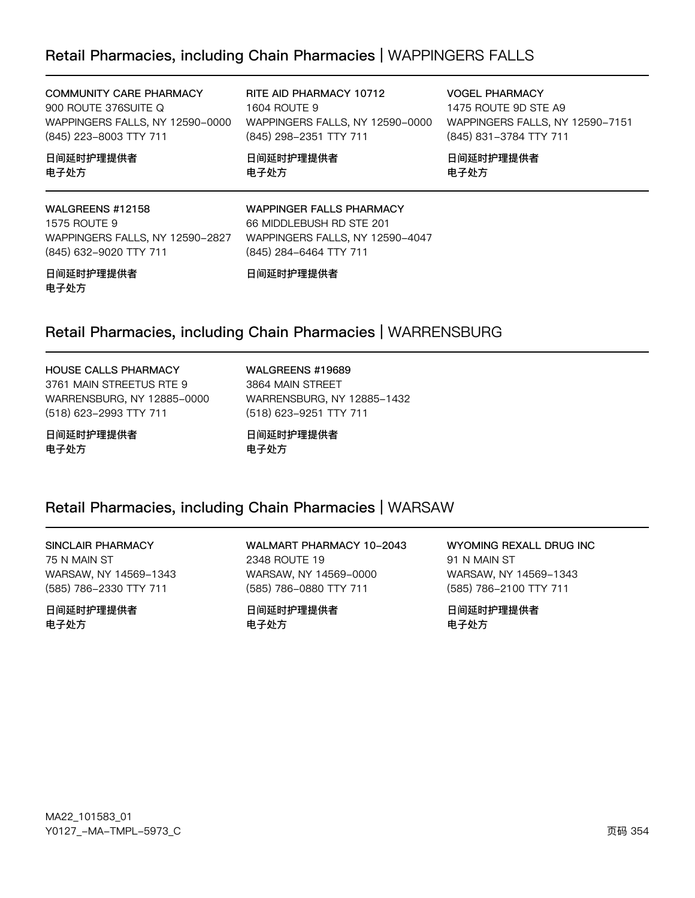### Retail Pharmacies, including Chain Pharmacies | WAPPINGERS FALLS

| <b>COMMUNITY CARE PHARMACY</b><br>900 ROUTE 376SUITE Q<br>WAPPINGERS FALLS, NY 12590-0000<br>(845) 223-8003 TTY 711 | RITE AID PHARMACY 10712<br>1604 ROUTE 9<br>WAPPINGERS FALLS, NY 12590-0000<br>(845) 298-2351 TTY 711                     | <b>VOGEL PHARMACY</b><br>1475 ROUTE 9D STE A9<br>WAPPINGERS FALLS, NY 12590-7151<br>(845) 831-3784 TTY 711 |
|---------------------------------------------------------------------------------------------------------------------|--------------------------------------------------------------------------------------------------------------------------|------------------------------------------------------------------------------------------------------------|
| 日间延时护理提供者<br>电子处方                                                                                                   | 日间延时护理提供者<br>电子处方                                                                                                        | 日间延时护理提供者<br>电子处方                                                                                          |
| WALGREENS #12158<br>1575 ROUTE 9<br>WAPPINGERS FALLS, NY 12590-2827<br>(845) 632-9020 TTY 711                       | <b>WAPPINGER FALLS PHARMACY</b><br>66 MIDDLEBUSH RD STE 201<br>WAPPINGERS FALLS, NY 12590-4047<br>(845) 284-6464 TTY 711 |                                                                                                            |
| 日间延时护理提供者                                                                                                           | 日间延时护理提供者                                                                                                                |                                                                                                            |

## 电子处方

### Retail Pharmacies, including Chain Pharmacies | WARRENSBURG

### HOUSE CALLS PHARMACY

3761 MAIN STREETUS RTE 9 WARRENSBURG, NY 12885-0000 (518) 623-2993 TTY 711

日间延时护理提供者 电子处方

WALGREENS #19689 3864 MAIN STREET WARRENSBURG, NY 12885-1432

日间延时护理提供者 电子处方

(518) 623-9251 TTY 711

### Retail Pharmacies, including Chain Pharmacies | WARSAW

#### SINCLAIR PHARMACY 75 N MAIN ST

WARSAW, NY 14569-1343 (585) 786-2330 TTY 711

日间延时护理提供者 电子处方

WALMART PHARMACY 10-2043 2348 ROUTE 19 WARSAW, NY 14569-0000 (585) 786-0880 TTY 711

日间延时护理提供者 电子处方

WYOMING REXALL DRUG INC 91 N MAIN ST WARSAW, NY 14569-1343 (585) 786-2100 TTY 711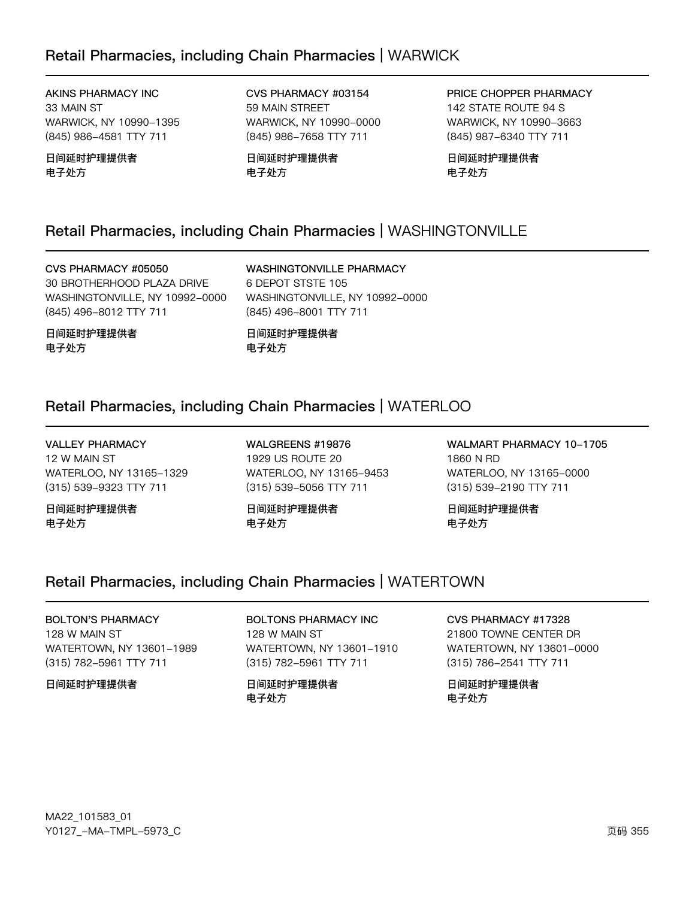### Retail Pharmacies, including Chain Pharmacies | WARWICK

AKINS PHARMACY INC 33 MAIN ST WARWICK, NY 10990-1395 (845) 986-4581 TTY 711

日间延时护理提供者 电子处方

CVS PHARMACY #03154 59 MAIN STREET WARWICK, NY 10990-0000 (845) 986-7658 TTY 711

日间延时护理提供者 电子处方

PRICE CHOPPER PHARMACY 142 STATE ROUTE 94 S WARWICK, NY 10990-3663 (845) 987-6340 TTY 711

日间延时护理提供者 电子处方

### Retail Pharmacies, including Chain Pharmacies | WASHINGTONVILLE

日间延时护理提供者

CVS PHARMACY #05050 30 BROTHERHOOD PLAZA DRIVE

WASHINGTONVILLE, NY 10992-0000 (845) 496-8012 TTY 711

6 DEPOT STSTE 105 WASHINGTONVILLE, NY 10992-0000 (845) 496-8001 TTY 711

WASHINGTONVILLE PHARMACY

日间延时护理提供者 电子处方

# Retail Pharmacies, including Chain Pharmacies | WATERLOO

电子处方

**VALLEY PHARMACY** 12 W MAIN ST WATERLOO, NY 13165-1329 (315) 539-9323 TTY 711

日间延时护理提供者 电子处方

WALGREENS #19876 1929 US ROUTE 20 WATERLOO, NY 13165-9453 (315) 539-5056 TTY 711

日间延时护理提供者 电子处方

**WALMART PHARMACY 10-1705** 1860 N RD WATERLOO, NY 13165-0000 (315) 539-2190 TTY 711

日间延时护理提供者 电子处方

### Retail Pharmacies, including Chain Pharmacies | WATERTOWN

**BOLTON'S PHARMACY** 128 W MAIN ST WATERTOWN, NY 13601-1989 (315) 782-5961 TTY 711

日间延时护理提供者

**BOLTONS PHARMACY INC** 128 W MAIN ST WATERTOWN, NY 13601-1910 (315) 782-5961 TTY 711

日间延时护理提供者 电子处方

CVS PHARMACY #17328

21800 TOWNE CENTER DR WATERTOWN, NY 13601-0000 (315) 786-2541 TTY 711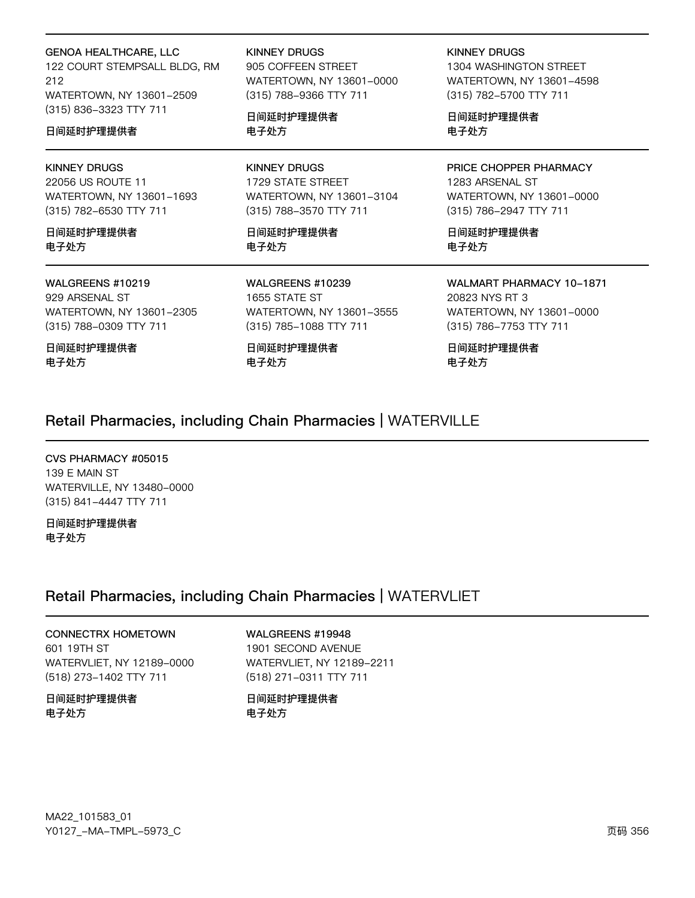**GENOA HEALTHCARE, LLC** 122 COURT STEMPSALL BLDG, RM 212 WATERTOWN, NY 13601-2509 (315) 836-3323 TTY 711

#### 日间延时护理提供者

#### **KINNEY DRUGS**

22056 US ROUTE 11 WATERTOWN, NY 13601-1693 (315) 782-6530 TTY 711

日间延时护理提供者 电子处方

#### WALGREENS #10219

929 ARSENAL ST WATERTOWN, NY 13601-2305 (315) 788-0309 TTY 711

日间延时护理提供者 电子处方

**KINNEY DRUGS** 

905 COFFEEN STREET WATERTOWN, NY 13601-0000 (315) 788-9366 TTY 711

日间延时护理提供者 电子处方

**KINNEY DRUGS** 1729 STATE STREET WATERTOWN, NY 13601-3104 (315) 788-3570 TTY 711

日间延时护理提供者 电子处方

WALGREENS #10239 1655 STATE ST WATERTOWN, NY 13601-3555 (315) 785-1088 TTY 711

日间延时护理提供者 电子处方

#### **KINNEY DRUGS**

1304 WASHINGTON STREET WATERTOWN, NY 13601-4598 (315) 782-5700 TTY 711

日间延时护理提供者 电子处方

PRICE CHOPPER PHARMACY 1283 ARSENAL ST WATERTOWN, NY 13601-0000 (315) 786-2947 TTY 711

日间延时护理提供者 电子处方

**WALMART PHARMACY 10-1871** 20823 NYS RT 3 WATERTOWN, NY 13601-0000 (315) 786-7753 TTY 711

日间延时护理提供者 电子处方

### Retail Pharmacies, including Chain Pharmacies | WATERVILLE

CVS PHARMACY #05015 139 E MAIN ST WATERVILLE, NY 13480-0000 (315) 841-4447 TTY 711

日间延时护理提供者 电子处方

### Retail Pharmacies, including Chain Pharmacies | WATERVLIET

**CONNECTRX HOMETOWN** 601 19TH ST WATERVLIET, NY 12189-0000 (518) 273-1402 TTY 711

日间延时护理提供者 电子处方

WALGREENS #19948 1901 SECOND AVENUE WATERVLIET, NY 12189-2211 (518) 271-0311 TTY 711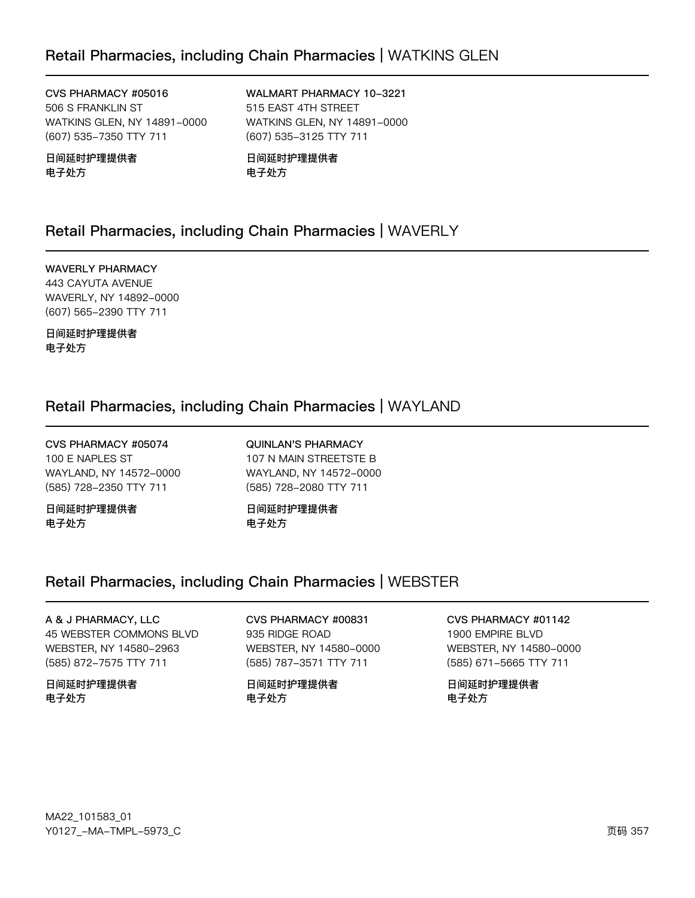CVS PHARMACY #05016 506 S FRANKLIN ST WATKINS GLEN, NY 14891-0000 (607) 535-7350 TTY 711

日间延时护理提供者 电子处方

WALMART PHARMACY 10-3221 515 EAST 4TH STREET WATKINS GLEN, NY 14891-0000 (607) 535-3125 TTY 711

日间延时护理提供者 电子处方

### Retail Pharmacies, including Chain Pharmacies | WAVERLY

**WAVERLY PHARMACY** 443 CAYUTA AVENUE WAVERLY, NY 14892-0000 (607) 565-2390 TTY 711

日间延时护理提供者 电子处方

### Retail Pharmacies, including Chain Pharmacies | WAYLAND

CVS PHARMACY #05074 100 E NAPLES ST WAYLAND, NY 14572-0000 (585) 728-2350 TTY 711

日间延时护理提供者 电子处方

**QUINLAN'S PHARMACY** 107 N MAIN STREETSTE B WAYLAND, NY 14572-0000 (585) 728-2080 TTY 711

日间延时护理提供者 电子处方

### Retail Pharmacies, including Chain Pharmacies | WEBSTER

A & J PHARMACY, LLC 45 WEBSTER COMMONS BLVD WEBSTER, NY 14580-2963 (585) 872-7575 TTY 711

日间延时护理提供者 电子处方

CVS PHARMACY #00831 935 RIDGE ROAD WEBSTER, NY 14580-0000 (585) 787-3571 TTY 711

日间延时护理提供者 电子处方

CVS PHARMACY #01142 1900 EMPIRE BLVD WEBSTER, NY 14580-0000 (585) 671-5665 TTY 711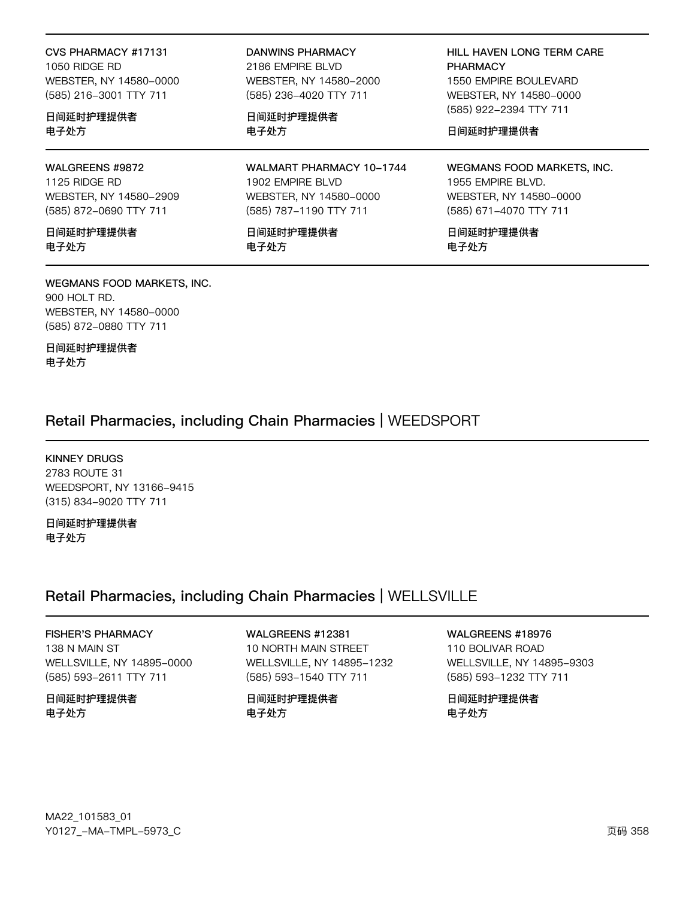#### CVS PHARMACY #17131 1050 RIDGE RD

WEBSTER, NY 14580-0000 (585) 216-3001 TTY 711

#### 日间延时护理提供者 电子处方

WALGREENS #9872 1125 RIDGE RD WEBSTER, NY 14580-2909 (585) 872-0690 TTY 711

日间延时护理提供者 电子处方

#### WEGMANS FOOD MARKETS, INC. 900 HOLT RD.

WEBSTER, NY 14580-0000 (585) 872-0880 TTY 711

日间延时护理提供者 电子处方

#### **DANWINS PHARMACY**

2186 EMPIRE BLVD WEBSTER, NY 14580-2000 (585) 236-4020 TTY 711

日间延时护理提供者 电子处方

WALMART PHARMACY 10-1744 1902 EMPIRE BLVD WEBSTER, NY 14580-0000 (585) 787-1190 TTY 711

日间延时护理提供者 电子处方

HILL HAVEN LONG TERM CARE **PHARMACY** 1550 EMPIRE BOULEVARD WEBSTER, NY 14580-0000 (585) 922-2394 TTY 711

日间延时护理提供者

WEGMANS FOOD MARKETS, INC. 1955 EMPIRE BLVD. WEBSTER, NY 14580-0000 (585) 671-4070 TTY 711

日间延时护理提供者 电子处方

### Retail Pharmacies, including Chain Pharmacies | WEEDSPORT

**KINNEY DRUGS** 2783 ROUTE 31 WEEDSPORT, NY 13166-9415 (315) 834-9020 TTY 711

日间延时护理提供者 电子处方

### Retail Pharmacies, including Chain Pharmacies | WELLSVILLE

**FISHER'S PHARMACY** 138 N MAIN ST WELLSVILLE, NY 14895-0000 (585) 593-2611 TTY 711

日间延时护理提供者 电子处方

WALGREENS #12381 10 NORTH MAIN STREET WELLSVILLE, NY 14895-1232 (585) 593-1540 TTY 711

日间延时护理提供者 电子处方

WALGREENS #18976

110 BOLIVAR ROAD WELLSVILLE, NY 14895-9303 (585) 593-1232 TTY 711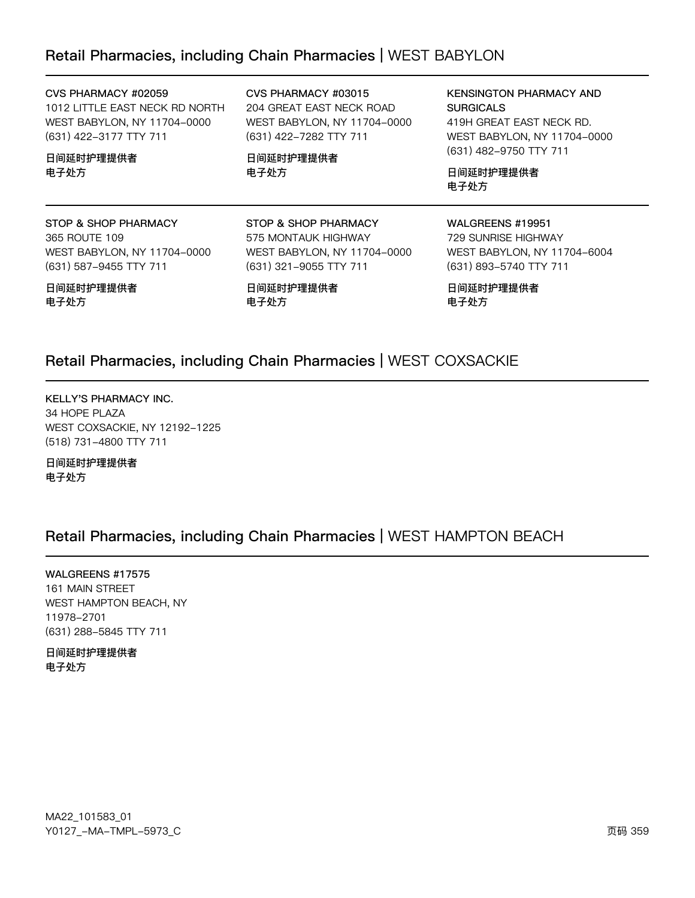### Retail Pharmacies, including Chain Pharmacies | WEST BABYLON

CVS PHARMACY #02059 1012 LITTLE EAST NECK RD NORTH WEST BABYLON, NY 11704-0000 (631) 422-3177 TTY 711

日间延时护理提供者 电子处方

CVS PHARMACY #03015 204 GREAT EAST NECK ROAD WEST BABYLON, NY 11704-0000 (631) 422-7282 TTY 711

日间延时护理提供者 电子处方

KENSINGTON PHARMACY AND **SURGICALS** 419H GREAT EAST NECK RD. WEST BABYLON, NY 11704-0000 (631) 482-9750 TTY 711

日间延时护理提供者 电子处方

STOP & SHOP PHARMACY 365 ROUTE 109 WEST BABYLON, NY 11704-0000 (631) 587-9455 TTY 711

日间延时护理提供者 电子处方

(631) 321-9055 TTY 711 日间延时护理提供者 电子处方

STOP & SHOP PHARMACY 575 MONTAUK HIGHWAY

WEST BABYLON, NY 11704-0000

WALGREENS #19951 729 SUNRISE HIGHWAY WEST BABYLON, NY 11704-6004 (631) 893-5740 TTY 711

日间延时护理提供者 电子处方

### Retail Pharmacies, including Chain Pharmacies | WEST COXSACKIE

KELLY'S PHARMACY INC. 34 HOPE PLAZA WEST COXSACKIE, NY 12192-1225 (518) 731-4800 TTY 711

日间延时护理提供者 电子处方

### Retail Pharmacies, including Chain Pharmacies | WEST HAMPTON BEACH

WALGREENS #17575 161 MAIN STREET WEST HAMPTON BEACH, NY 11y72-2701 (631) 288-5845 TTY 711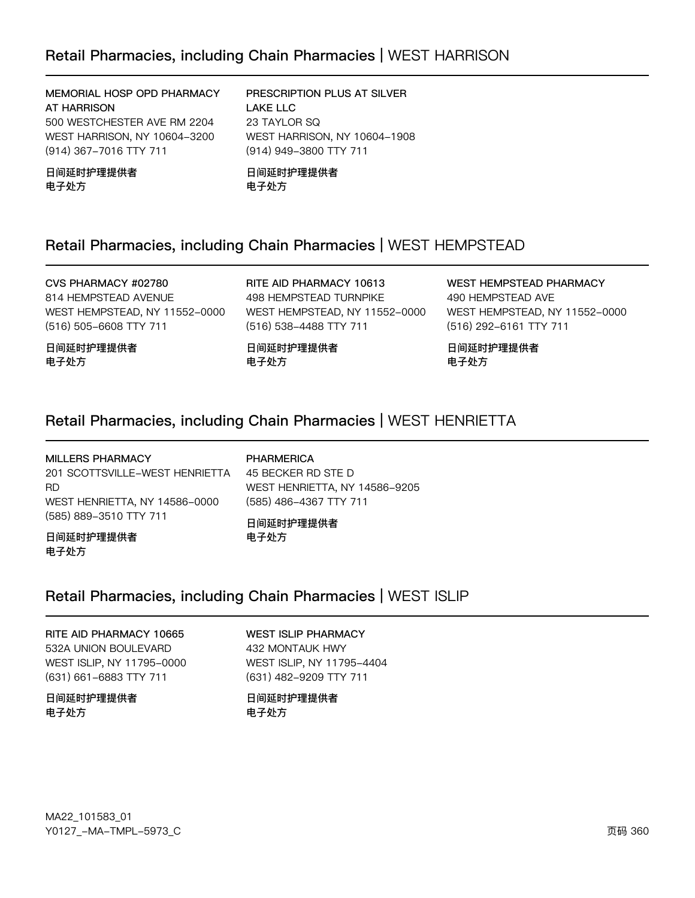**LAKE LLC** 

23 TAYLOR SQ

#### MEMORIAL HOSP OPD PHARMACY **AT HARRISON**

500 WESTCHESTER AVE RM 2204 WEST HARRISON, NY 10604-3200 (914) 367-7016 TTY 711

#### 日间延时护理提供者 电子处方

(914) 949-3800 TTY 711 日间延时护理提供者 电子处方

PRESCRIPTION PLUS AT SILVER

WEST HARRISON, NY 10604-1908

### Retail Pharmacies, including Chain Pharmacies | WEST HEMPSTEAD

CVS PHARMACY #02780 814 HEMPSTEAD AVENUE WEST HEMPSTEAD, NY 11552-0000 (516) 505-6608 TTY 711

日间延时护理提供者 电子处方

RITE AID PHARMACY 10613 498 HEMPSTEAD TURNPIKE WEST HEMPSTEAD, NY 11552-0000 (516) 538-4488 TTY 711

**WEST HEMPSTEAD PHARMACY** 490 HEMPSTEAD AVE WEST HEMPSTEAD, NY 11552-0000 (516) 292-6161 TTY 711

日间延时护理提供者 电子处方

### Retail Pharmacies, including Chain Pharmacies | WEST HENRIETTA

电子处方

日间延时护理提供者

**MILLERS PHARMACY PHARMERICA** 201 SCOTTSVILLE-WEST HENRIETTA 45 BECKER RD STE D **RD** WEST HENRIETTA, NY 14586-9205 WEST HENRIETTA, NY 14586-0000 (585) 486-4367 TTY 711 (585) 889-3510 TTY 711 日间延时护理提供者 日间延时护理提供者 电子处方

## 电子处方

### Retail Pharmacies, including Chain Pharmacies | WEST ISLIP

RITE AID PHARMACY 10665 532A UNION BOULEVARD WEST ISLIP, NY 11795-0000 (631) 661-6883 TTY 711

日间延时护理提供者 电子处方

**WEST ISLIP PHARMACY** 432 MONTAUK HWY WEST ISLIP, NY 11795-4404 (631) 482-9209 TTY 711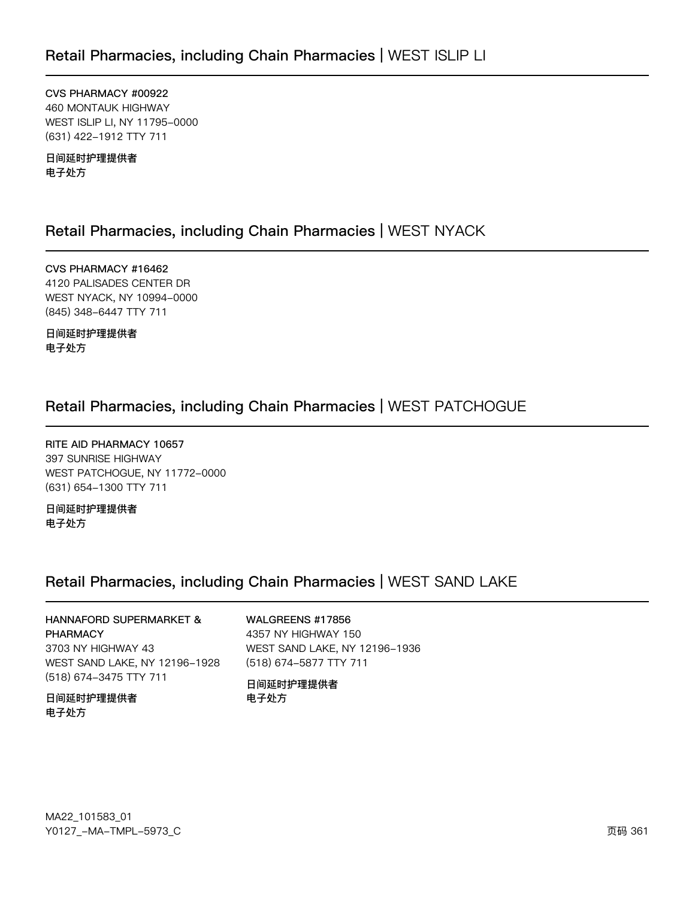CVS PHARMACY #00922 460 MONTAUK HIGHWAY WEST ISLIP LI, NY 11795-0000 (631) 422-1912 TTY 711

日间延时护理提供者 电子处方

## Retail Pharmacies, including Chain Pharmacies | WEST NYACK

CVS PHARMACY #16462 4120 PALISADES CENTER DR WEST NYACK, NY 10994-0000 (845) 348-6447 TTY 711

日间延时护理提供者 电子处方

## Retail Pharmacies, including Chain Pharmacies | WEST PATCHOGUE

RITE AID PHARMACY 10657 397 SUNRISE HIGHWAY WEST PATCHOGUE, NY 11772-0000 (631) 654-1300 TTY 711

日间延时护理提供者 电子处方

## Retail Pharmacies, including Chain Pharmacies | WEST SAND LAKE

# HANNAFORD SUPERMARKET &

PHARMACY 3703 NY HIGHWAY 43 WEST SAND LAKE, NY 12196-1928 (518) 674-3475 TTY 711

### 日间延时护理提供者 电子处方

#### WALGREENS #17856

4357 NY HIGHWAY 150 WEST SAND LAKE, NY 12196-1936 (518) 674-5877 TTY 711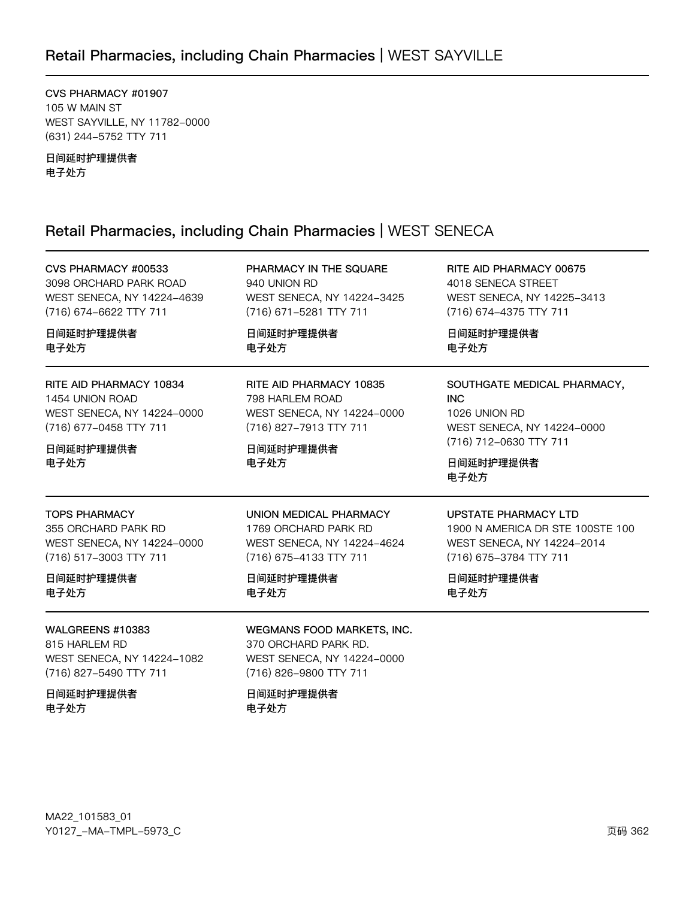## Retail Pharmacies, including Chain Pharmacies | WEST SAYVILLE

CVS PHARMACY #01907 105 W MAIN ST WEST SAYVILLE, NY 11782-0000 (631) 244-5752 TTY 711

日间延时护理提供者 电子处方

## Retail Pharmacies, including Chain Pharmacies | WEST SENECA

| CVS PHARMACY #00533                                                                                                     | PHARMACY IN THE SQUARE                                                                                                  | RITE AID PHARMACY 00675                                                                                                                 |
|-------------------------------------------------------------------------------------------------------------------------|-------------------------------------------------------------------------------------------------------------------------|-----------------------------------------------------------------------------------------------------------------------------------------|
| 3098 ORCHARD PARK ROAD                                                                                                  | 940 UNION RD                                                                                                            | 4018 SENECA STREET                                                                                                                      |
| WEST SENECA, NY 14224-4639                                                                                              | WEST SENECA, NY 14224-3425                                                                                              | WEST SENECA, NY 14225-3413                                                                                                              |
| (716) 674-6622 TTY 711                                                                                                  | (716) 671-5281 TTY 711                                                                                                  | (716) 674-4375 TTY 711                                                                                                                  |
| 日间延时护理提供者                                                                                                               | 日间延时护理提供者                                                                                                               | 日间延时护理提供者                                                                                                                               |
| 电子处方                                                                                                                    | 电子处方                                                                                                                    | 电子处方                                                                                                                                    |
| RITE AID PHARMACY 10834<br>1454 UNION ROAD<br>WEST SENECA, NY 14224-0000<br>(716) 677-0458 TTY 711<br>日间延时护理提供者<br>电子处方 | RITE AID PHARMACY 10835<br>798 HARLEM ROAD<br>WEST SENECA, NY 14224-0000<br>(716) 827-7913 TTY 711<br>日间延时护理提供者<br>电子处方 | SOUTHGATE MEDICAL PHARMACY,<br><b>INC</b><br>1026 UNION RD<br>WEST SENECA, NY 14224-0000<br>(716) 712-0630 TTY 711<br>日间延时护理提供者<br>电子处方 |
| <b>TOPS PHARMACY</b>                                                                                                    | UNION MEDICAL PHARMACY                                                                                                  | <b>UPSTATE PHARMACY LTD</b>                                                                                                             |
| 355 ORCHARD PARK RD                                                                                                     | 1769 ORCHARD PARK RD                                                                                                    | 1900 N AMERICA DR STE 100STE 100                                                                                                        |
| WEST SENECA, NY 14224-0000                                                                                              | WEST SENECA, NY 14224-4624                                                                                              | WEST SENECA, NY 14224-2014                                                                                                              |
| (716) 517-3003 TTY 711                                                                                                  | (716) 675-4133 TTY 711                                                                                                  | (716) 675-3784 TTY 711                                                                                                                  |
| 日间延时护理提供者                                                                                                               | 日间延时护理提供者                                                                                                               | 日间延时护理提供者                                                                                                                               |
| 电子处方                                                                                                                    | 电子处方                                                                                                                    | 电子处方                                                                                                                                    |
| WALGREENS #10383<br>815 HARLEM RD<br>WEST SENECA, NY 14224-1082<br>(716) 827-5490 TTY 711<br>日间延时护理提供者                  | WEGMANS FOOD MARKETS, INC.<br>370 ORCHARD PARK RD.<br>WEST SENECA, NY 14224-0000<br>(716) 826-9800 TTY 711<br>日间延时护理提供者 |                                                                                                                                         |

电子处方

电子处方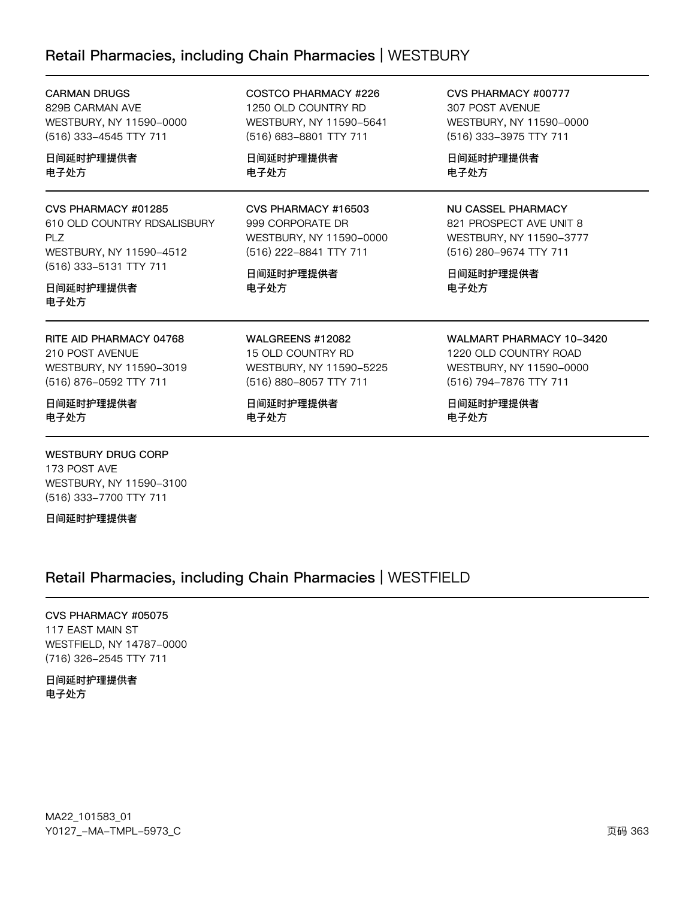## Retail Pharmacies, including Chain Pharmacies | WESTBURY

| <b>CARMAN DRUGS</b>                                                                                                   | COSTCO PHARMACY #226                                                                         | CVS PHARMACY #00777                                                                                |
|-----------------------------------------------------------------------------------------------------------------------|----------------------------------------------------------------------------------------------|----------------------------------------------------------------------------------------------------|
| 829B CARMAN AVE                                                                                                       | 1250 OLD COUNTRY RD                                                                          | 307 POST AVENUE                                                                                    |
| WESTBURY, NY 11590-0000                                                                                               | WESTBURY, NY 11590-5641                                                                      | WESTBURY, NY 11590-0000                                                                            |
| (516) 333-4545 TTY 711                                                                                                | (516) 683-8801 TTY 711                                                                       | (516) 333-3975 TTY 711                                                                             |
| 日间延时护理提供者                                                                                                             | 日间延时护理提供者                                                                                    | 日间延时护理提供者                                                                                          |
| 电子处方                                                                                                                  | 电子处方                                                                                         | 电子处方                                                                                               |
| CVS PHARMACY #01285<br>610 OLD COUNTRY RDSALISBURY<br><b>PLZ</b><br>WESTBURY, NY 11590-4512<br>(516) 333-5131 TTY 711 | CVS PHARMACY #16503<br>999 CORPORATE DR<br>WESTBURY, NY 11590-0000<br>(516) 222-8841 TTY 711 | NU CASSEL PHARMACY<br>821 PROSPECT AVE UNIT 8<br>WESTBURY, NY 11590-3777<br>(516) 280-9674 TTY 711 |
| 日间延时护理提供者                                                                                                             | 日间延时护理提供者                                                                                    | 日间延时护理提供者                                                                                          |
| 电子处方                                                                                                                  | 电子处方                                                                                         | 电子处方                                                                                               |
| RITE AID PHARMACY 04768                                                                                               | WALGREENS #12082                                                                             | WALMART PHARMACY 10-3420                                                                           |
| 210 POST AVENUE                                                                                                       | 15 OLD COUNTRY RD                                                                            | 1220 OLD COUNTRY ROAD                                                                              |
| WESTBURY, NY 11590-3019                                                                                               | WESTBURY, NY 11590-5225                                                                      | WESTBURY, NY 11590-0000                                                                            |
| (516) 876-0592 TTY 711                                                                                                | (516) 880-8057 TTY 711                                                                       | (516) 794-7876 TTY 711                                                                             |
| 日间延时护理提供者                                                                                                             | 日间延时护理提供者                                                                                    | 日间延时护理提供者                                                                                          |
| 电子处方                                                                                                                  | 电子处方                                                                                         | 电子处方                                                                                               |

### **WESTBURY DRUG CORP**

173 POST AVE WESTBURY, NY 11590-3100 (516) 333-7700 TTY 711

日间延时护理提供者

## Retail Pharmacies, including Chain Pharmacies | WESTFIELD

CVS PHARMACY #05075 117 EAST MAIN ST WESTFIELD, NY 14787-0000 (716) 326-2545 TTY 711

日间延时护理提供者 电子处方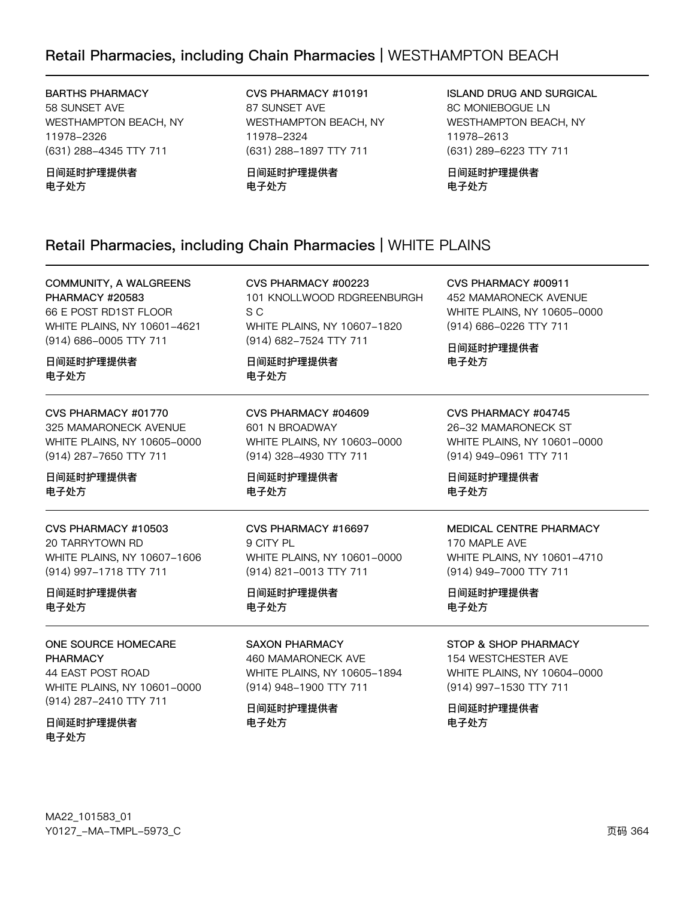## Retail Pharmacies, including Chain Pharmacies | WESTHAMPTON BEACH

**BARTHS PHARMACY** 58 SUNSET AVE WESTHAMPTON BEACH, NY 11978-2326 (631) 288-4345 TTY 711

日间延时护理提供者 电子处方

CVS PHARMACY #10191 87 SUNSET AVE WESTHAMPTON BEACH, NY 11978-2324 (631) 288-1897 TTY 711

日间延时护理提供者 电子处方

**ISLAND DRUG AND SURGICAL 8C MONIEBOGUE LN** WESTHAMPTON BEACH, NY 11978-2613 (631) 289-6223 TTY 711

日间延时护理提供者 电子处方

CVS PHARMACY #00911

(914) 686-0226 TTY 711

日间延时护理提供者

电子处方

452 MAMARONECK AVENUE

WHITE PLAINS, NY 10605-0000

### Retail Pharmacies, including Chain Pharmacies | WHITE PLAINS

**COMMUNITY, A WALGREENS PHARMACY #20583** 66 E POST RD1ST FLOOR WHITE PLAINS, NY 10601-4621 (914) 686-0005 TTY 711

日间延时护理提供者 电子处方

CVS PHARMACY #01770 325 MAMARONECK AVENUE WHITE PLAINS, NY 10605-0000 (914) 287-7650 TTY 711

日间延时护理提供者 电子处方

CVS PHARMACY #10503 20 TARRYTOWN RD WHITE PLAINS, NY 10607-1606 (914) 997-1718 TTY 711

日间延时护理提供者 电子处方

ONE SOURCE HOMECARE **PHARMACY** 44 EAST POST ROAD WHITE PLAINS, NY 10601-0000 (914) 287-2410 TTY 711

日间延时护理提供者 电子处方

CVS PHARMACY #00223 101 KNOLLWOOD RDGREENBURGH S C WHITE PLAINS, NY 10607-1820 (914) 682-7524 TTY 711

日间延时护理提供者 电子处方

CVS PHARMACY #04609 601 N BROADWAY WHITE PLAINS, NY 10603-0000 (914) 328-4930 TTY 711

日间延时护理提供者 电子处方

CVS PHARMACY #16697 9 CITY PL WHITE PLAINS, NY 10601-0000 (914) 821-0013 TTY 711

日间延时护理提供者 电子处方

**SAXON PHARMACY** 460 MAMARONECK AVE WHITE PLAINS, NY 10605-1894

(914) 948-1900 TTY 711

日间延时护理提供者 电子处方

CVS PHARMACY #04745 26-32 MAMARONECK ST WHITE PLAINS, NY 10601-0000 (914) 949-0961 TTY 711

日间延时护理提供者 电子处方

### MEDICAL CENTRE PHARMACY 170 MAPLE AVE WHITE PLAINS, NY 10601-4710 (914) 949-7000 TTY 711

日间延时护理提供者 电子处方

#### **STOP & SHOP PHARMACY**

154 WESTCHESTER AVE WHITE PLAINS, NY 10604-0000 (914) 997-1530 TTY 711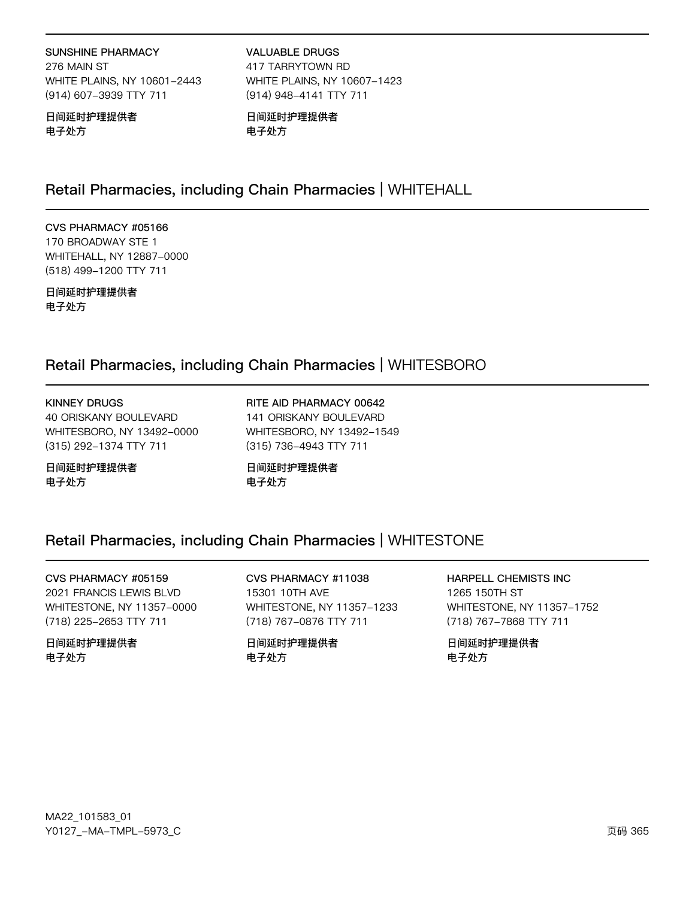#### **SUNSHINE PHARMACY**

276 MAIN ST WHITE PLAINS, NY 10601-2443 (914) 607-3939 TTY 711

日间延时护理提供者 电子处方

**VALUABLE DRUGS** 417 TARRYTOWN RD WHITE PLAINS, NY 10607-1423 (914) 948-4141 TTY 711

日间延时护理提供者 电子处方

## Retail Pharmacies, including Chain Pharmacies | WHITEHALL

### CVS PHARMACY #05166 170 BROADWAY STE 1

WHITEHALL, NY 12887-0000 (518) 499-1200 TTY 711

日间延时护理提供者 电子处方

## Retail Pharmacies, including Chain Pharmacies | WHITESBORO

### **KINNEY DRUGS** 40 ORISKANY BOULEVARD WHITESBORO, NY 13492-0000 (315) 292-1374 TTY 711

日间延时护理提供者 电子处方

RITE AID PHARMACY 00642 141 ORISKANY BOULEVARD WHITESBORO, NY 13492-1549 (315) 736-4943 TTY 711

日间延时护理提供者 电子处方

# Retail Pharmacies, including Chain Pharmacies | WHITESTONE

CVS PHARMACY #05159 2021 FRANCIS LEWIS BLVD WHITESTONE, NY 11357-0000 (718) 225-2653 TTY 711

日间延时护理提供者 电子处方

CVS PHARMACY #11038 15301 10TH AVE WHITESTONE, NY 11357-1233 (718) 767-0876 TTY 711

日间延时护理提供者 电子处方

**HARPELL CHEMISTS INC** 1265 150TH ST WHITESTONE, NY 11357-1752 (718) 767-7868 TTY 711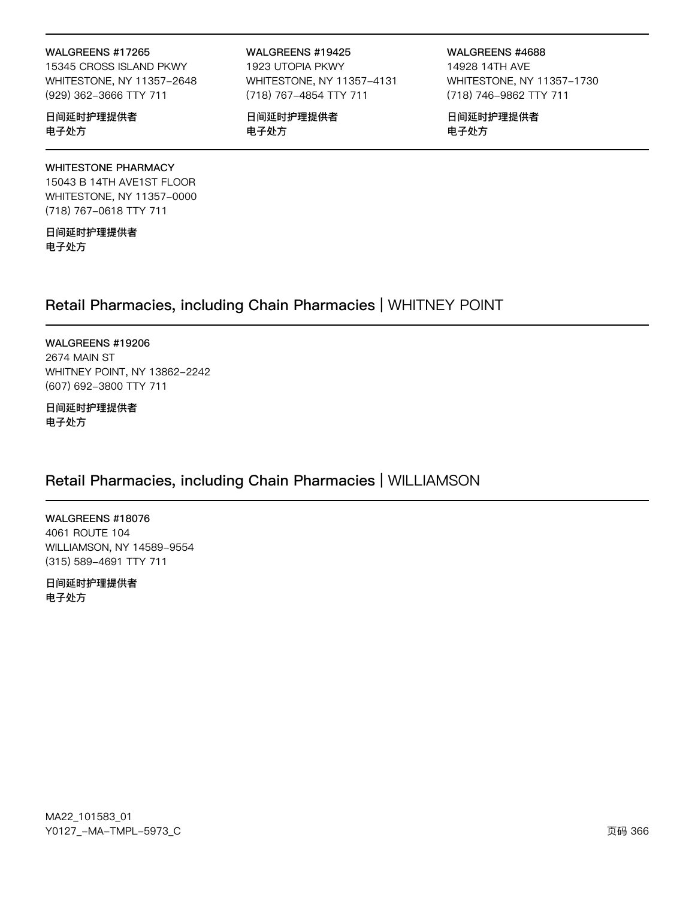#### WALGREENS #17265

15345 CROSS ISLAND PKWY WHITESTONE, NY 11357-2648 (929) 362-3666 TTY 711

#### 日间延时护理提供者 电子处方

#### **WHITESTONE PHARMACY**

15043 B 14TH AVE1ST FLOOR WHITESTONE, NY 11357-0000 (718) 767-0618 TTY 711

日间延时护理提供者 电子处方

#### WALGREENS #19425

1923 UTOPIA PKWY WHITESTONE, NY 11357-4131 (718) 767-4854 TTY 711

日间延时护理提供者 电子处方

WALGREENS #4688 14928 14TH AVE WHITESTONE, NY 11357-1730 (718) 746-9862 TTY 711

日间延时护理提供者 电子处方

## Retail Pharmacies, including Chain Pharmacies | WHITNEY POINT

WALGREENS #19206 2674 MAIN ST WHITNEY POINT, NY 13862-2242 (607) 692-3800 TTY 711

日间延时护理提供者 电子处方

## Retail Pharmacies, including Chain Pharmacies | WILLIAMSON

WALGREENS #18076 4061 ROUTE 104 WILLIAMSON, NY 14589-9554 (315) 589-4691 TTY 711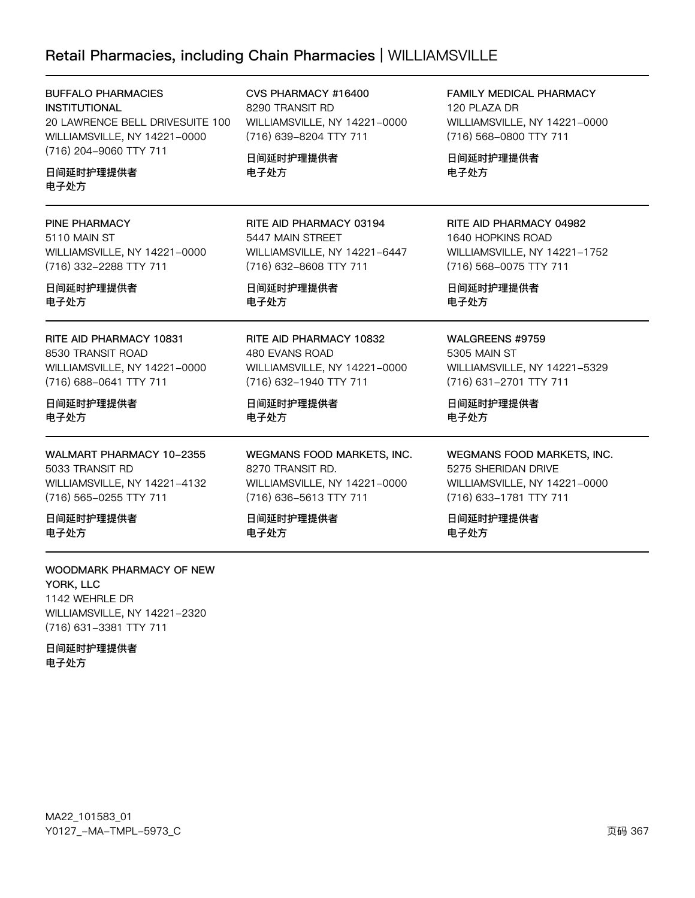# Retail Pharmacies, including Chain Pharmacies | WILLIAMSVILLE

| <b>BUFFALO PHARMACIES</b><br><b>INSTITUTIONAL</b><br>20 LAWRENCE BELL DRIVESUITE 100<br>WILLIAMSVILLE, NY 14221-0000<br>(716) 204-9060 TTY 711<br>日间延时护理提供者<br>电子处方 | CVS PHARMACY #16400<br>8290 TRANSIT RD<br>WILLIAMSVILLE, NY 14221-0000<br>(716) 639-8204 TTY 711<br>日间延时护理提供者<br>电子处方 | <b>FAMILY MEDICAL PHARMACY</b><br>120 PLAZA DR<br>WILLIAMSVILLE, NY 14221-0000<br>(716) 568-0800 TTY 711<br>日间延时护理提供者<br>电子处方 |
|---------------------------------------------------------------------------------------------------------------------------------------------------------------------|-----------------------------------------------------------------------------------------------------------------------|-------------------------------------------------------------------------------------------------------------------------------|
| PINE PHARMACY                                                                                                                                                       | RITE AID PHARMACY 03194                                                                                               | RITE AID PHARMACY 04982                                                                                                       |
| 5110 MAIN ST                                                                                                                                                        | 5447 MAIN STREET                                                                                                      | 1640 HOPKINS ROAD                                                                                                             |
| WILLIAMSVILLE, NY 14221-0000                                                                                                                                        | WILLIAMSVILLE, NY 14221-6447                                                                                          | WILLIAMSVILLE, NY 14221-1752                                                                                                  |
| (716) 332-2288 TTY 711                                                                                                                                              | (716) 632-8608 TTY 711                                                                                                | (716) 568-0075 TTY 711                                                                                                        |
| 日间延时护理提供者                                                                                                                                                           | 日间延时护理提供者                                                                                                             | 日间延时护理提供者                                                                                                                     |
| 电子处方                                                                                                                                                                | 电子处方                                                                                                                  | 电子处方                                                                                                                          |
| RITE AID PHARMACY 10831                                                                                                                                             | RITE AID PHARMACY 10832                                                                                               | WALGREENS #9759                                                                                                               |
| 8530 TRANSIT ROAD                                                                                                                                                   | 480 EVANS ROAD                                                                                                        | 5305 MAIN ST                                                                                                                  |
| WILLIAMSVILLE, NY 14221-0000                                                                                                                                        | WILLIAMSVILLE, NY 14221-0000                                                                                          | WILLIAMSVILLE, NY 14221-5329                                                                                                  |
| (716) 688-0641 TTY 711                                                                                                                                              | (716) 632-1940 TTY 711                                                                                                | (716) 631-2701 TTY 711                                                                                                        |
| 日间延时护理提供者                                                                                                                                                           | 日间延时护理提供者                                                                                                             | 日间延时护理提供者                                                                                                                     |
| 电子处方                                                                                                                                                                | 电子处方                                                                                                                  | 电子处方                                                                                                                          |
| WALMART PHARMACY 10-2355                                                                                                                                            | WEGMANS FOOD MARKETS, INC.                                                                                            | WEGMANS FOOD MARKETS, INC.                                                                                                    |
| 5033 TRANSIT RD                                                                                                                                                     | 8270 TRANSIT RD.                                                                                                      | 5275 SHERIDAN DRIVE                                                                                                           |
| WILLIAMSVILLE, NY 14221-4132                                                                                                                                        | WILLIAMSVILLE, NY 14221-0000                                                                                          | WILLIAMSVILLE, NY 14221-0000                                                                                                  |
| (716) 565-0255 TTY 711                                                                                                                                              | (716) 636-5613 TTY 711                                                                                                | (716) 633-1781 TTY 711                                                                                                        |
| 日间延时护理提供者                                                                                                                                                           | 日间延时护理提供者                                                                                                             | 日间延时护理提供者                                                                                                                     |
| 电子处方                                                                                                                                                                | 电子处方                                                                                                                  | 电子处方                                                                                                                          |
| 10001111517511151110170775515111                                                                                                                                    |                                                                                                                       |                                                                                                                               |

WOODMARK PHARMACY OF NEW YORK, LLC 1142 WEHRLE DR WILLIAMSVILLE, NY 14221-2320 (716) 631-3381 TTY 711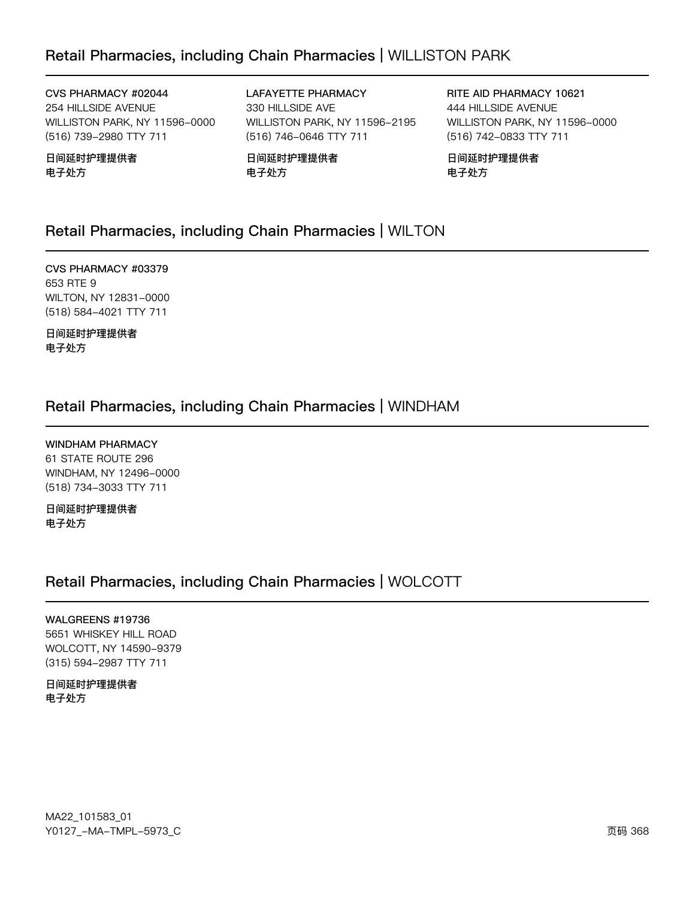## Retail Pharmacies, including Chain Pharmacies | WILLISTON PARK

CVS PHARMACY #02044 254 HILLSIDE AVENUE WILLISTON PARK, NY 11596-0000 (516) 739-2980 TTY 711

日间延时护理提供者 电子处方

LAFAYETTE PHARMACY 330 HILLSIDE AVE WILLISTON PARK, NY 11596-2195 (516) 746-0646 TTY 711

日间延时护理提供者 电子处方

RITE AID PHARMACY 10621 444 HILLSIDE AVENUE WILLISTON PARK, NY 11596-0000 (516) 742-0833 TTY 711

日间延时护理提供者 电子处方

## Retail Pharmacies, including Chain Pharmacies | WILTON

CVS PHARMACY #03379 653 RTE 9 WILTON, NY 12831-0000 (518) 584-4021 TTY 711

日间延时护理提供者 电子处方

### Retail Pharmacies, including Chain Pharmacies | WINDHAM

**WINDHAM PHARMACY** 61 STATE ROUTE 296 WINDHAM, NY 12496-0000 (518) 734-3033 TTY 711

日间延时护理提供者 电子处方

### Retail Pharmacies, including Chain Pharmacies | WOLCOTT

#### WALGREENS #19736

5651 WHISKEY HILL ROAD WOLCOTT, NY 14590-9379 (315) 594-2987 TTY 711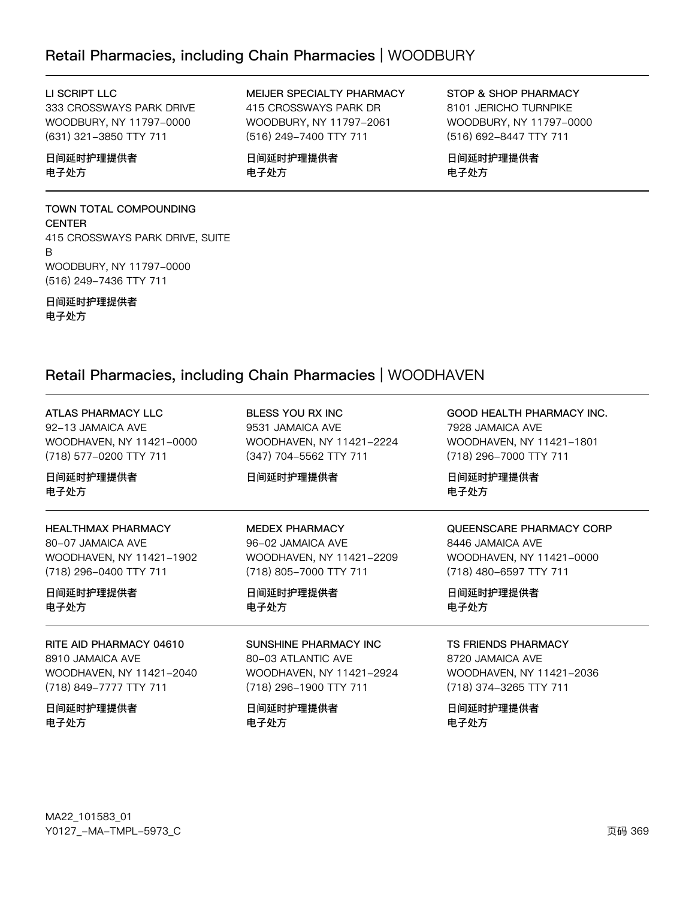### Retail Pharmacies, including Chain Pharmacies | WOODBURY

### LI SCRIPT LLC

333 CROSSWAYS PARK DRIVE WOODBURY, NY 11797-0000 (631) 321-3850 TTY 711

### 日间延时护理提供者 电子处方

# TOWN TOTAL COMPOUNDING

**CENTER** 415 CROSSWAYS PARK DRIVE, SUITE B WOODBURY, NY 11797-0000 (516) 249-7436 TTY 711

日间延时护理提供者 电子处方

MEIJER SPECIALTY PHARMACY 415 CROSSWAYS PARK DR WOODBURY, NY 11797-2061 (516) 249-7400 TTY 711

日间延时护理提供者 电子处方

STOP & SHOP PHARMACY 8101 JERICHO TURNPIKE WOODBURY, NY 11797-0000 (516) 692-8447 TTY 711

日间延时护理提供者 电子处方

## Retail Pharmacies, including Chain Pharmacies | WOODHAVEN

| <b>ATLAS PHARMACY LLC</b> | BLESS YOU RX INC         | <b>GOOD HEALTH PHARMACY INC.</b> |
|---------------------------|--------------------------|----------------------------------|
| 92-13 JAMAICA AVE         | 9531 JAMAICA AVE         | 7928 JAMAICA AVE                 |
| WOODHAVEN, NY 11421-0000  | WOODHAVEN, NY 11421-2224 | WOODHAVEN, NY 11421-1801         |
| (718) 577-0200 TTY 711    | (347) 704-5562 TTY 711   | (718) 296-7000 TTY 711           |
| 日间延时护理提供者<br>电子处方         | 日间延时护理提供者                | 日间延时护理提供者<br>电子处方                |
| <b>HEALTHMAX PHARMACY</b> | <b>MEDEX PHARMACY</b>    | QUEENSCARE PHARMACY CORP         |
| 80-07 JAMAICA AVE         | 96-02 JAMAICA AVE        | 8446 JAMAICA AVE                 |
| WOODHAVEN, NY 11421-1902  | WOODHAVEN, NY 11421-2209 | WOODHAVEN, NY 11421-0000         |
| (718) 296-0400 TTY 711    | (718) 805-7000 TTY 711   | (718) 480-6597 TTY 711           |
| 日间延时护理提供者                 | 日间延时护理提供者                | 日间延时护理提供者                        |
| 电子处方                      | 电子处方                     | 电子处方                             |
| RITE AID PHARMACY 04610   | SUNSHINE PHARMACY INC.   | <b>TS FRIENDS PHARMACY</b>       |
| 8910 JAMAICA AVE          | 80-03 ATI ANTIC AVE      | 8720 JAMAICA AVE                 |
| WOODHAVEN, NY 11421-2040  | WOODHAVEN, NY 11421-2924 | WOODHAVEN, NY 11421-2036         |
| (718) 849-7777 TTY 711    | (718) 296-1900 TTY 711   | (718) 374-3265 TTY 711           |
| 日间延时护理提供者                 | 日间延时护理提供者                | 日间延时护理提供者                        |
| 电子处方                      | 电子处方                     | 电子处方                             |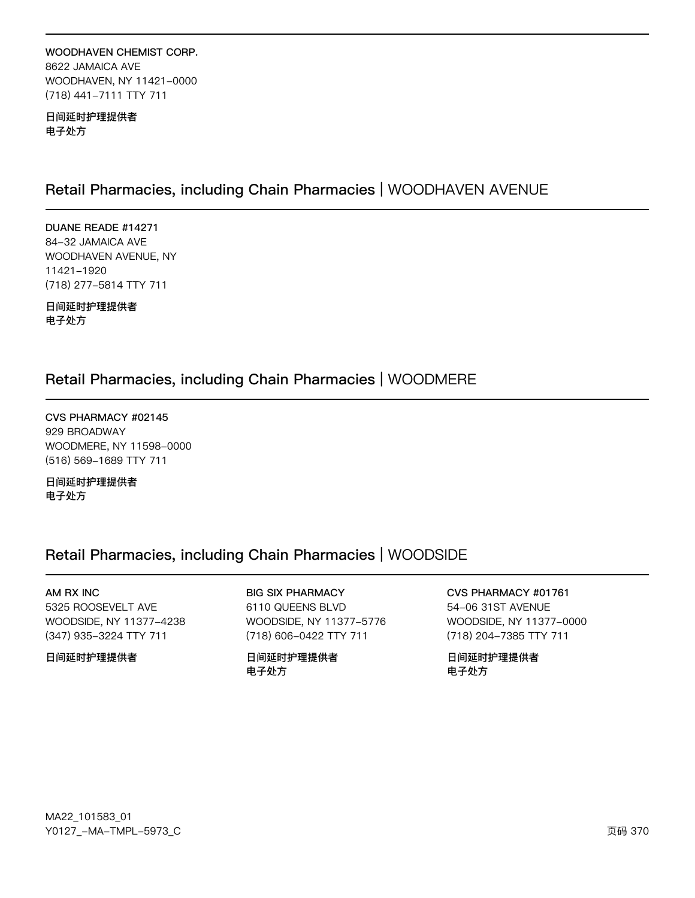### WOODHAVEN CHEMIST CORP. 8622 JAMAICA AVE WOODHAVEN, NY 11421-0000 (718) 441-7111 TTY 711

日间延时护理提供者 电子处方

### Retail Pharmacies, including Chain Pharmacies | WOODHAVEN AVENUE

DUANE READE #14271 84-32 JAMAICA AVE WOODHAVEN AVENUE, NY 11421-1920 (718) 277-5814 TTY 711

日间延时护理提供者 电子处方

### Retail Pharmacies, including Chain Pharmacies | WOODMERE

CVS PHARMACY #02145 929 BROADWAY WOODMERE, NY 11598-0000 (516) 569-1689 TTY 711

日间延时护理提供者 电子处方

## Retail Pharmacies, including Chain Pharmacies | WOODSIDE

AM RX INC 5325 ROOSEVELT AVE WOODSIDE, NY 11377-4238 (347) 935-3224 TTY 711

日间延时护理提供者

**BIG SIX PHARMACY** 

6110 QUEENS BLVD WOODSIDE, NY 11377-5776 (718) 606-0422 TTY 711

日间延时护理提供者 电子处方

CVS PHARMACY #01761 54-06 31ST AVENUE WOODSIDE, NY 11377-0000 (718) 204-7385 TTY 711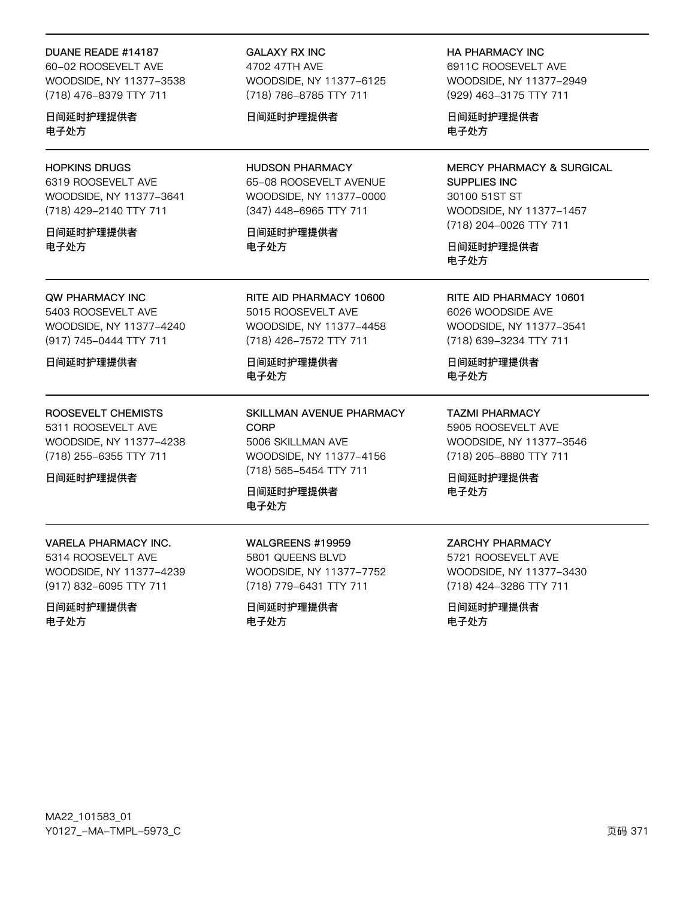#### DUANE READE #14187

60-02 ROOSEVELT AVE WOODSIDE, NY 11377-3538 (718) 476-8379 TTY 711

日间延时护理提供者 电子处方

### **HOPKINS DRUGS**

6319 ROOSEVELT AVE WOODSIDE, NY 11377-3641 (718) 429-2140 TTY 711

日间延时护理提供者 电子外方

### **QW PHARMACY INC**

5403 ROOSEVELT AVE WOODSIDE, NY 11377-4240 (917) 745-0444 TTY 711

日间延时护理提供者

### ROOSEVELT CHEMISTS

5311 ROOSEVELT AVE WOODSIDE, NY 11377-4238 (718) 255-6355 TTY 711

日间延时护理提供者

**GALAXY RX INC** 4702 47TH AVE WOODSIDE, NY 11377-6125 (718) 786-8785 TTY 711

### 日间延时护理提供者

**HUDSON PHARMACY** 65-08 ROOSEVELT AVENUE WOODSIDE, NY 11377-0000 (347) 448-6965 TTY 711

日间延时护理提供者 电子外方

RITE AID PHARMACY 10600 5015 ROOSEVELT AVE WOODSIDE, NY 11377-4458 (718) 426-7572 TTY 711

日间延时护理提供者 电子处方

SKILLMAN AVENUE PHARMACY CORP 5006 SKILLMAN AVE WOODSIDE, NY 11377-4156 (718) 565-5454 TTY 711

日间延时护理提供者 电子处方

**VARELA PHARMACY INC.** 5314 ROOSEVELT AVE WOODSIDE, NY 11377-4239

(917) 832-6095 TTY 711

日间延时护理提供者 电子处方

**WALGREENS #19959** 5801 QUEENS BLVD WOODSIDE, NY 11377-7752 (718) 779-6431 TTY 711

日间延时护理提供者 电子处方

**HA PHARMACY INC** 6911C ROOSEVELT AVE WOODSIDE, NY 11377-2949 (929) 463-3175 TTY 711

日间延时护理提供者 电子处方

**MERCY PHARMACY & SURGICAL** SUPPLIES INC 30100 51ST ST WOODSIDE, NY 11377-1457 (718) 204-0026 TTY 711

日间延时护理提供者 电子处方

RITE AID PHARMACY 10601 6026 WOODSIDE AVE WOODSIDE, NY 11377-3541 (718) 639-3234 TTY 711

日间延时护理提供者 电子处方

**TAZMI PHARMACY** 5905 ROOSEVELT AVE WOODSIDE, NY 11377-3546 (718) 205-8880 TTY 711

日间延时护理提供者 电子处方

### **ZARCHY PHARMACY**

5721 ROOSEVELT AVE WOODSIDE, NY 11377-3430 (718) 424-3286 TTY 711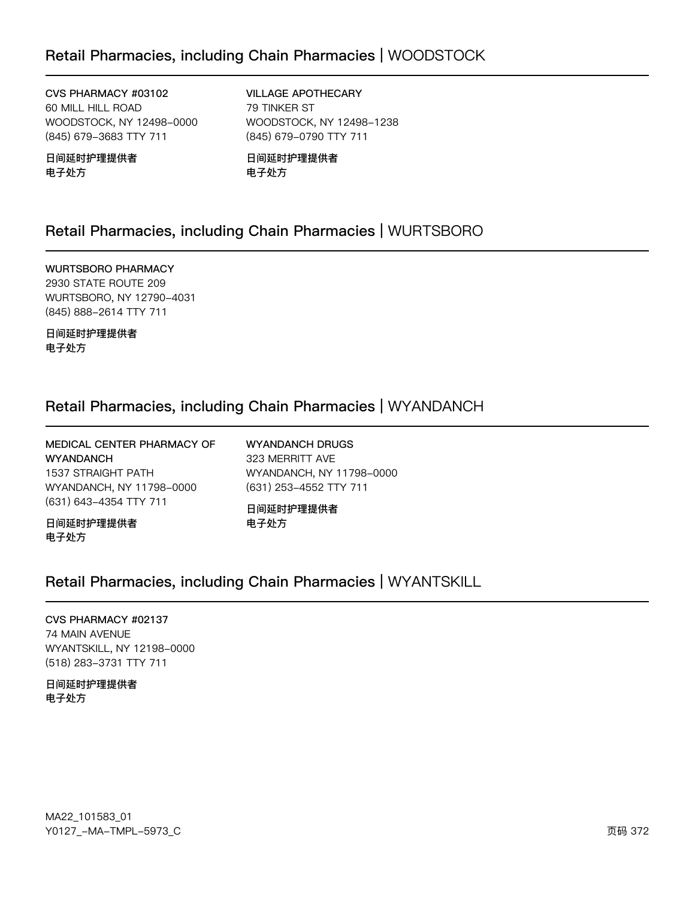## Retail Pharmacies, including Chain Pharmacies | WOODSTOCK

CVS PHARMACY #03102 60 MILL HILL ROAD WOODSTOCK, NY 12498-0000 (845) 679-3683 TTY 711

日间延时护理提供者 电子处方

**VILLAGE APOTHECARY** 79 TINKER ST WOODSTOCK, NY 12498-1238 (845) 679-0790 TTY 711

日间延时护理提供者 电子处方

## Retail Pharmacies, including Chain Pharmacies | WURTSBORO

**WURTSBORO PHARMACY** 2930 STATE ROUTE 209 WURTSBORO, NY 12790-4031 (845) 888-2614 TTY 711

日间延时护理提供者 电子处方

### Retail Pharmacies, including Chain Pharmacies | WYANDANCH

| MEDICAL CENTER PHARMACY OF | <b>WYANDANCH DRUGS</b>   |
|----------------------------|--------------------------|
| <b>WYANDANCH</b>           | 323 MERRITT AVE          |
| 1537 STRAIGHT PATH         | WYANDANCH, NY 11798-0000 |
| WYANDANCH, NY 11798-0000   | (631) 253-4552 TTY 711   |
| (631) 643-4354 TTY 711     | 日间延时护理提供者                |
| 日间延时护理提供者<br>电子处方          | 电子处方                     |

### Retail Pharmacies, including Chain Pharmacies | WYANTSKILL

## CVS PHARMACY #02137

74 MAIN AVENUE WYANTSKILL, NY 12198-0000 (518) 283-3731 TTY 711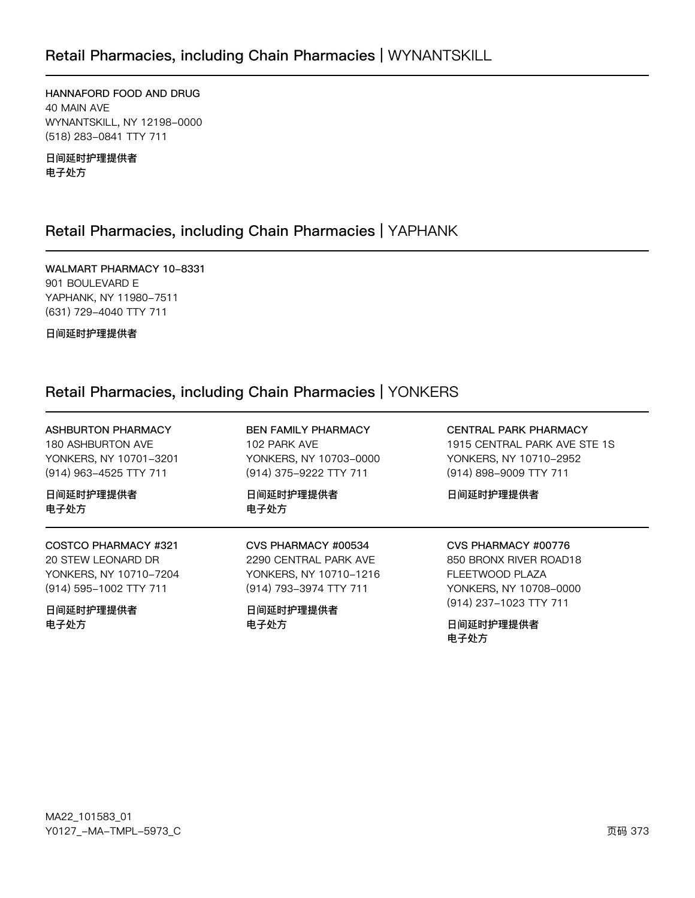HANNAFORD FOOD AND DRUG 40 MAIN AVE WYNANTSKILL, NY 12198-0000 (518) 283-0841 TTY 711

日间延时护理提供者 电子处方

## Retail Pharmacies, including Chain Pharmacies | YAPHANK

WALMART PHARMACY 10-8331 901 BOULEVARD E YAPHANK, NY 11980-7511 (631) 729-4040 TTY 711

日间延时护理提供者

# Retail Pharmacies, including Chain Pharmacies | YONKERS

| <b>ASHBURTON PHARMACY</b> | <b>BEN FAMILY PHARMACY</b> | <b>CENTRAL PARK PHARMACY</b>                |
|---------------------------|----------------------------|---------------------------------------------|
| 180 ASHBURTON AVE         | 102 PARK AVE               | 1915 CENTRAL PARK AVE STE 1S                |
| YONKERS, NY 10701-3201    | YONKERS, NY 10703-0000     | YONKERS, NY 10710-2952                      |
| (914) 963-4525 TTY 711    | (914) 375-9222 TTY 711     | (914) 898-9009 TTY 711                      |
| 日间延时护理提供者<br>电子处方         | 日间延时护理提供者<br>电子处方          | 日间延时护理提供者                                   |
| COSTCO PHARMACY #321      | CVS PHARMACY #00534        | CVS PHARMACY #00776                         |
| 20 STEW LEONARD DR        | 2290 CENTRAL PARK AVE      | 850 BRONX RIVER ROAD18                      |
| YONKERS, NY 10710-7204    | YONKERS, NY 10710-1216     | FLEETWOOD PLAZA                             |
| (914) 595-1002 TTY 711    | (914) 793-3974 TTY 711     | YONKERS, NY 10708-0000                      |
| 日间延时护理提供者<br>电子处方         | 日间延时护理提供者<br>电子处方          | (914) 237-1023 TTY 711<br>日间延时护理提供者<br>电子处方 |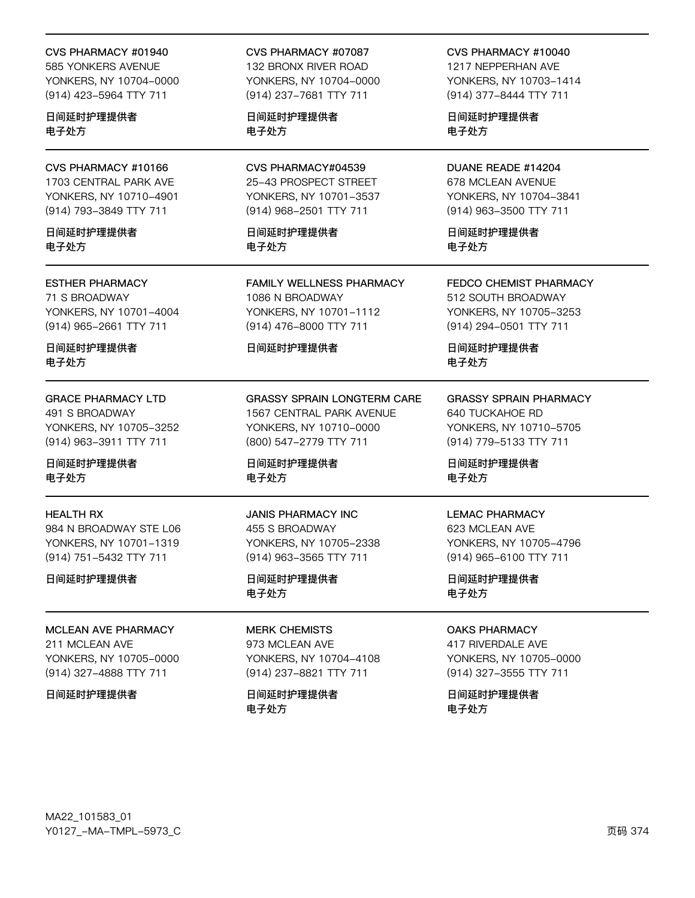#### CVS PHARMACY #01940

585 YONKERS AVENUE YONKERS, NY 10704-0000 (914) 423-5964 TTY 711

日间延时护理提供者 电子处方

CVS PHARMACY #10166 1703 CENTRAL PARK AVE YONKERS, NY 10710-4901 (914) 793-3849 TTY 711

日间延时护理提供者 电子处方

#### ESTHER PHARMACY

71 S BROADWAY YONKERS, NY 10701-4004 (914) 965-2661 TTY 711

日间延时护理提供者 电子处方

GRACE PHARMACY LTD 491 S BROADWAY YONKERS, NY 10705-3252 (914) 963-3911 TTY 711

日间延时护理提供者 电子处方

#### HEALTH RX

984 N BROADWAY STE L06 YONKERS, NY 10701-1319 (914) 751-5432 TTY 711

日间延时护理提供者

MCLEAN AVE PHARMACY 211 MCLEAN AVE YONKERS, NY 10705-0000 (914) 327-4888 TTY 711

#### 日间延时护理提供者

CVS PHARMACY #07087 132 BRONX RIVER ROAD YONKERS, NY 10704-0000

(914) 237-7681 TTY 711

日间延时护理提供者 电子处方

CVS PHARMACY#04539 25-43 PROSPECT STREET YONKERS, NY 10701-3537 (914) 968-2501 TTY 711

日间延时护理提供者 电子处方

FAMILY WELLNESS PHARMACY 1086 N BROADWAY YONKERS, NY 10701-1112 (914) 476-8000 TTY 711

#### 日间延时护理提供者

GRASSY SPRAIN LONGTERM CARE 1567 CENTRAL PARK AVENUE YONKERS, NY 10710-0000 (800) 547-2779 TTY 711

日间延时护理提供者 电子处方

JANIS PHARMACY INC 455 S BROADWAY YONKERS, NY 10705-2338 (914) 963-3565 TTY 711

日间延时护理提供者 电子处方

MERK CHEMISTS 973 MCLEAN AVE YONKERS, NY 10704-4108 (914) 237-8821 TTY 711

日间延时护理提供者 电子处方

CVS PHARMACY #10040

1217 NEPPERHAN AVE YONKERS, NY 10703-1414 (914) 377-8444 TTY 711

日间延时护理提供者 电子处方

DUANE READE #14204 678 MCLEAN AVENUE YONKERS, NY 10704-3841 (914) 963-3500 TTY 711

日间延时护理提供者 电子处方

FEDCO CHEMIST PHARMACY 512 SOUTH BROADWAY YONKERS, NY 10705-3253

日间延时护理提供者 电子处方

(914) 294-0501 TTY 711

### GRASSY SPRAIN PHARMACY

640 TUCKAHOE RD YONKERS, NY 10710-5705 (914) 779-5133 TTY 711

日间延时护理提供者 电子处方

#### LEMAC PHARMACY

623 MCLEAN AVE YONKERS, NY 10705-4796 (914) 965-6100 TTY 711

日间延时护理提供者 电子处方

OAKS PHARMACY

417 RIVERDALE AVE YONKERS, NY 10705-0000 (914) 327-3555 TTY 711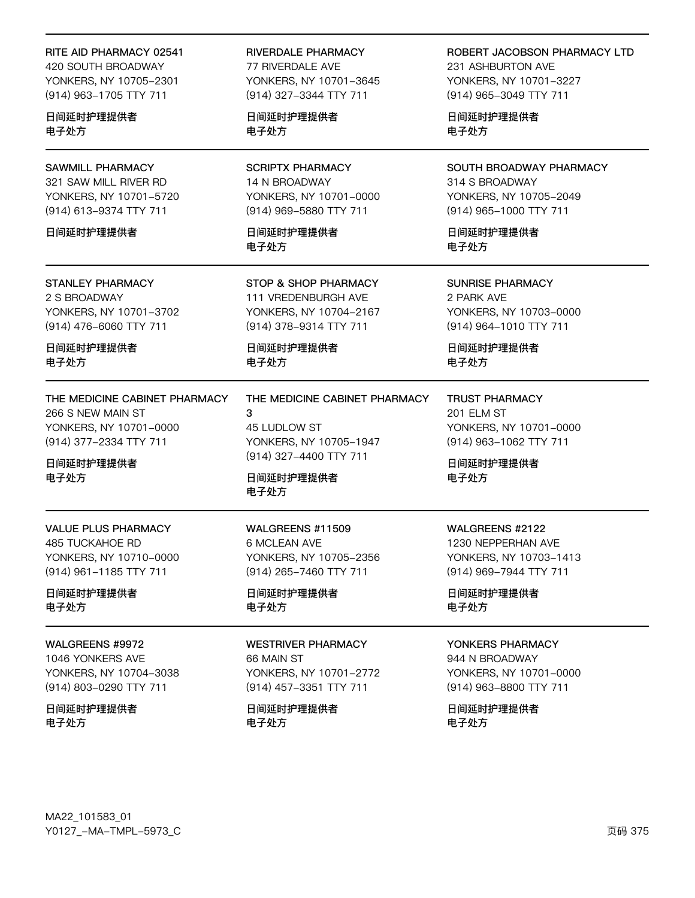#### RITE AID PHARMACY 02541

420 SOUTH BROADWAY YONKERS, NY 10705-2301 (914) 963-1705 TTY 711

日间延时护理提供者 电子处方

**SAWMILL PHARMACY** 321 SAW MILL RIVER RD YONKERS, NY 10701-5720 (914) 613-9374 TTY 711

日间延时护理提供者

**STANLEY PHARMACY** 2 S BROADWAY YONKERS, NY 10701-3702 (914) 476-6060 TTY 711

日间延时护理提供者 电子处方

THE MEDICINE CABINET PHARMACY 266 S NEW MAIN ST YONKERS, NY 10701-0000 (914) 377-2334 TTY 711

日间延时护理提供者 电子处方

**VALUE PLUS PHARMACY 485 TUCKAHOE RD** YONKERS, NY 10710-0000 (914) 961-1185 TTY 711

日间延时护理提供者 电子处方

WALGREENS #9972

1046 YONKERS AVE YONKERS, NY 10704-3038 (914) 803-0290 TTY 711

日间延时护理提供者 电子处方

**RIVERDALE PHARMACY** 77 RIVERDALE AVE YONKERS, NY 10701-3645 (914) 327-3344 TTY 711

日间延时护理提供者 电子处方

**SCRIPTX PHARMACY** 14 N BROADWAY YONKERS, NY 10701-0000 (914) 969-5880 TTY 711

日间延时护理提供者 电子外方

STOP & SHOP PHARMACY 111 VREDENBURGH AVE YONKERS, NY 10704-2167 (914) 378-9314 TTY 711

日间延时护理提供者 电子处方

THE MEDICINE CABINET PHARMACY 3 45 LUDLOW ST YONKERS, NY 10705-1947 (914) 327-4400 TTY 711

日间延时护理提供者 电子处方

WALGREENS #11509 6 MCLEAN AVE YONKERS, NY 10705-2356 (914) 265-7460 TTY 711

日间延时护理提供者 电子处方

**WESTRIVER PHARMACY** 66 MAIN ST

YONKERS, NY 10701-2772 (914) 457-3351 TTY 711

日间延时护理提供者 电子处方

ROBERT JACOBSON PHARMACY LTD 231 ASHBURTON AVE YONKERS, NY 10701-3227 (914) 965-3049 TTY 711

日间延时护理提供者 电子处方

SOUTH BROADWAY PHARMACY 314 S BROADWAY YONKERS, NY 10705-2049 (914) 965-1000 TTY 711

日间延时护理提供者 电子外方

**SUNRISE PHARMACY** 2 PARK AVE YONKERS, NY 10703-0000 (914) 964-1010 TTY 711

日间延时护理提供者 电子处方

**TRUST PHARMACY** 201 ELM ST YONKERS, NY 10701-0000 (914) 963-1062 TTY 711

日间延时护理提供者 电子处方

WALGREENS #2122 1230 NEPPERHAN AVE YONKERS, NY 10703-1413 (914) 969-7944 TTY 711

日间延时护理提供者 电子处方

#### YONKERS PHARMACY

944 N BROADWAY YONKERS, NY 10701-0000 (914) 963-8800 TTY 711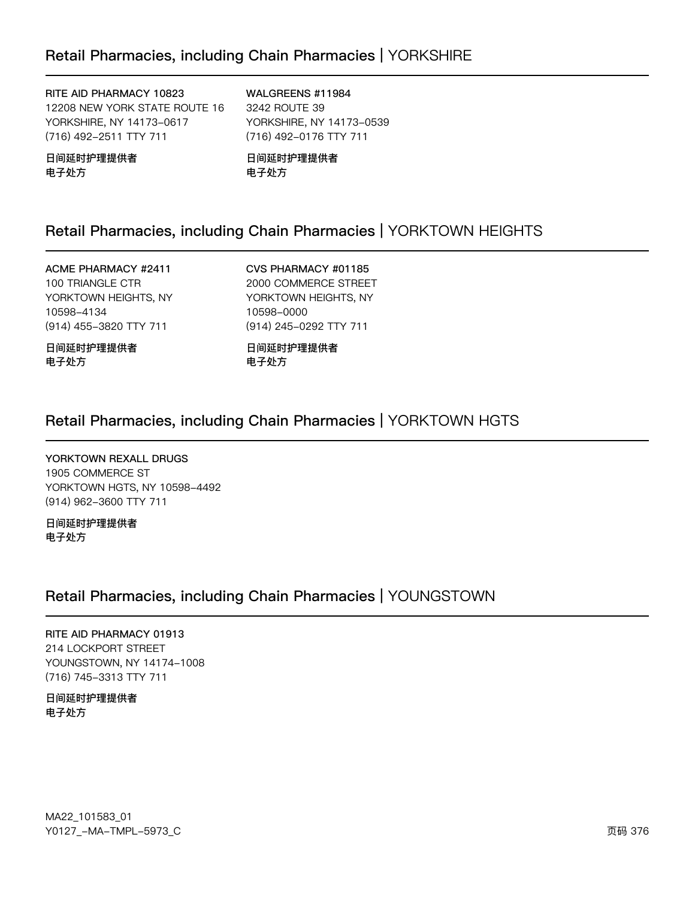# Retail Pharmacies, including Chain Pharmacies | YORKSHIRE

RITE AID PHARMACY 10823 12208 NEW YORK STATE ROUTE 16 YORKSHIRE, NY 14173-0617 (716) 492-2511 TTY 711

日间延时护理提供者 电子处方

WALGREENS #11984 3242 ROUTE 39 YORKSHIRE, NY 14173-0539 (716) 492-0176 TTY 711

日间延时护理提供者 电子处方

# Retail Pharmacies, including Chain Pharmacies | YORKTOWN HEIGHTS

ACME PHARMACY #2411 100 TRIANGLE CTR YORKTOWN HEIGHTS, NY 10598-4134 (914) 455-3820 TTY 711

日间延时护理提供者 电子处方

CVS PHARMACY #01185 2000 COMMERCE STREET YORKTOWN HEIGHTS, NY 105y2-0000 (914) 245-0292 TTY 711

日间延时护理提供者 电子处方

### Retail Pharmacies, including Chain Pharmacies | YORKTOWN HGTS

YORKTOWN REXALL DRUGS 1905 COMMERCE ST YORKTOWN HGTS, NY 10598-4492 (914) 962-3600 TTY 711

日间延时护理提供者 电子处方

### Retail Pharmacies, including Chain Pharmacies | YOUNGSTOWN

RITE AID PHARMACY 01913 214 LOCKPORT STREET YOUNGSTOWN, NY 14174-1008 (716) 745-3313 TTY 711

日间延时护理提供者 电子处方

MA22\_101583\_01 70127v-Ju-6Jwx-5y73vC z{ 376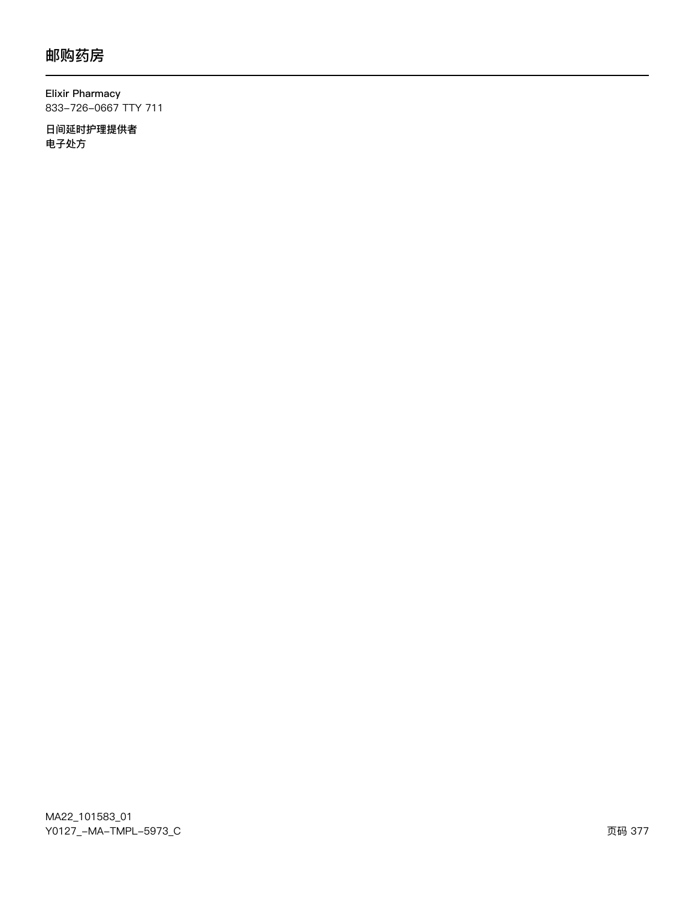**Elixir Pharmacy** 833-726-0667 TTY 711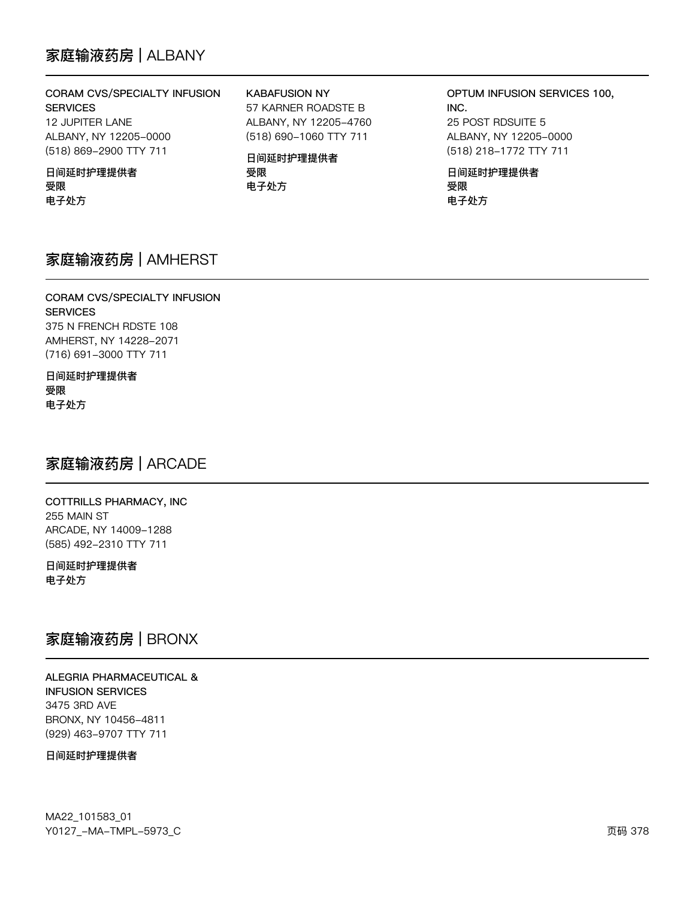# 家庭输液药房 | ALBANY

### CORAM CVS/SPECIALTY INFUSION

**SERVICES** 12 JUPITER LANE ALBANY, NY 12205-0000 (518) 869-2900 TTY 711

#### 日间延时护理提供者 受限 电子处方

**KABAFUSION NY** 

57 KARNER ROADSTE B ALBANY, NY 12205-4760 (518) 690-1060 TTY 711

日间延时护理提供者 受限 电子处方

OPTUM INFUSION SERVICES 100, INC. 25 POST RDSUITE 5 ALBANY, NY 12205-0000 (518) 218-1772 TTY 711

日间延时护理提供者 受限 电子处方

## 家庭输液药房 | AMHERST

### CORAM CVS/SPECIALTY INFUSION **SERVICES** 375 N FRENCH RDSTE 108 AMHERST, NY 14228-2071 (716) 691-3000 TTY 711

### 日间延时护理提供者 受限 电子处方

# 家庭输液药房 | ARCADE

COTTRILLS PHARMACY, INC 255 MAIN ST ARCADE, NY 14009-1288 (585) 492-2310 TTY 711

日间延时护理提供者 电子处方

# 家庭输液药房 | BRONX

**ALEGRIA PHARMACEUTICAL & INFUSION SERVICES** 3475 3RD AVE BRONX, NY 10456-4811 (929) 463-9707 TTY 711

#### 日间延时护理提供者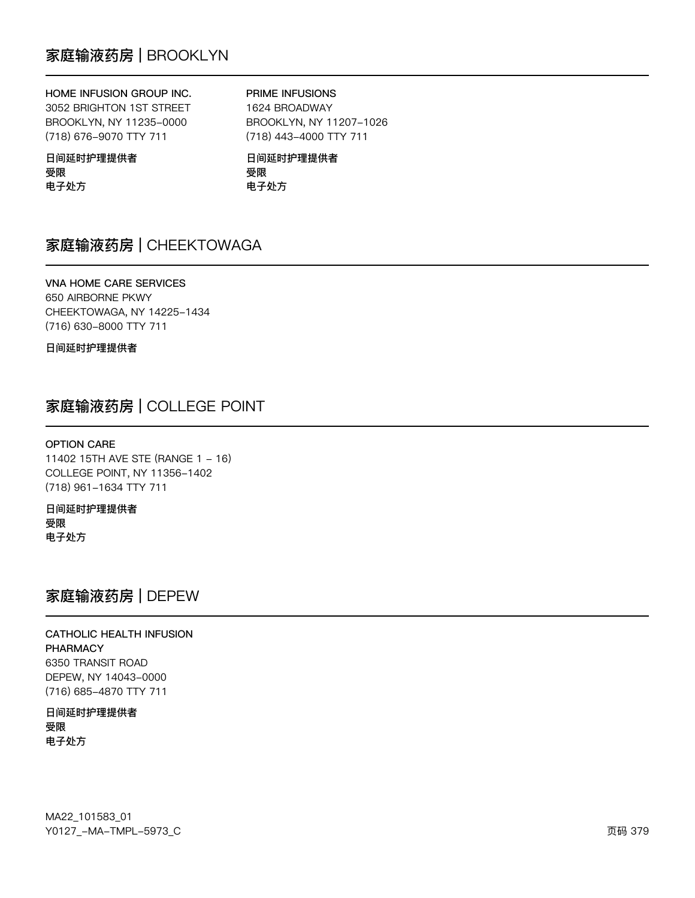### HOME INFUSION GROUP INC.

3052 BRIGHTON 1ST STREET BROOKLYN, NY 11235-0000 (718) 676-9070 TTY 711

### PRIME INFUSIONS

1624 BROADWAY BROOKLYN, NY 11207-1026 (718) 443-4000 TTY 711

### 日间延时护理提供者 受限 电子处方

日间延时护理提供者 受限 电子处方

# 家庭输液药房 | CHEEKTOWAGA

VNA HOME CARE SERVICES 650 AIRBORNE PKWY CHEEKTOWAGA, NY 14225-1434 (716) 630-8000 TTY 711

日间延时护理提供者

# 家庭输液药房 | COLLEGE POINT

#### OPTION CARE

11402 15TH AVE STE (RANGE 1 - 16) COLLEGE POINT, NY 11356-1402 (718) 961-1634 TTY 711

日间延时护理提供者 受限 电子处方

### 家庭输液药房 | DEPEW

### CATHOLIC HEALTH INFUSION **PHARMACY** 6350 TRANSIT ROAD DEPEW, NY 14043-0000 (716) 685-4870 TTY 711

日间延时护理提供者 受限 电子处方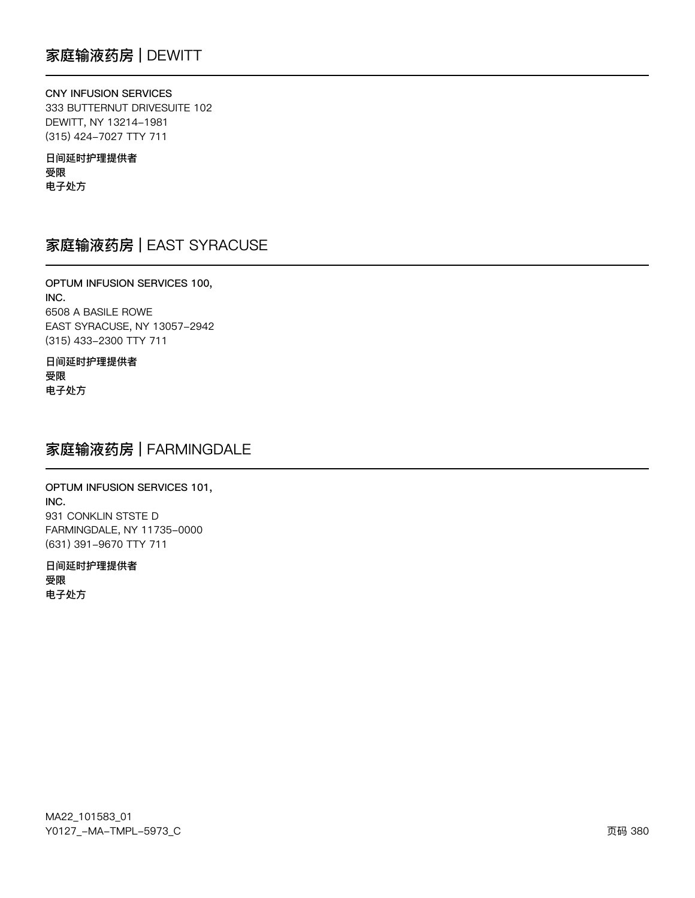CNY INFUSION SERVICES 333 BUTTERNUT DRIVESUITE 102 DEWITT, NY 13214-1981 (315) 424-7027 TTY 711

日间延时护理提供者 受限 电子处方

# 家庭输液药房 | EAST SYRACUSE

OPTUM INFUSION SERVICES 100, INC. 6508 A BASILE ROWE EAST SYRACUSE, NY 13057-2942 (315) 433-2300 TTY 711

日间延时护理提供者 受限 电子处方

## 家庭输液药房 | FARMINGDALE

OPTUM INFUSION SERVICES 101, INC. 931 CONKLIN STSTE D FARMINGDALE, NY 11735-0000 (631) 391-9670 TTY 711

日间延时护理提供者 受限 电子处方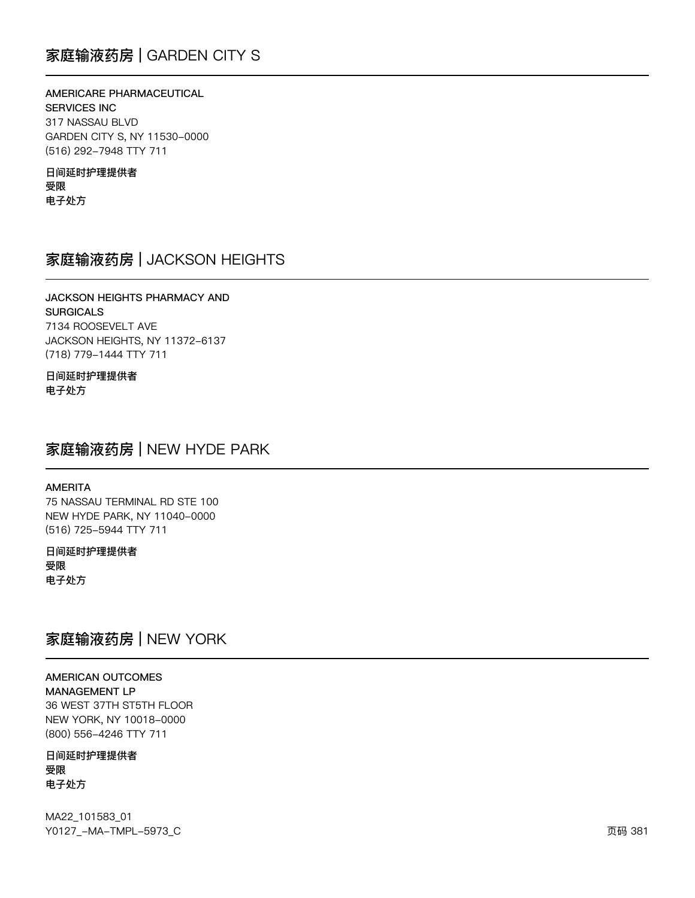# 家庭输液药房 | GARDEN CITY S

### AMERICARE PHARMACEUTICAL

**SERVICES INC** 317 NASSAU BLVD GARDEN CITY S, NY 11530-0000 (516) 292-7948 TTY 711

日间延时护理提供者 受限 电子处方

## 家庭输液药房 | JACKSON HEIGHTS

### **JACKSON HEIGHTS PHARMACY AND SURGICALS** 7134 ROOSEVELT AVE JACKSON HEIGHTS, NY 11372-6137 (718) 779-1444 TTY 711

### 日间延时护理提供者 电子处方

### 家庭输液药房 | NEW HYDE PARK

#### **AMERITA**

75 NASSAU TERMINAL RD STE 100 NEW HYDE PARK, NY 11040-0000 (516) 725-5944 TTY 711

日间延时护理提供者 受限 电子处方

# 家庭输液药房 | NEW YORK

**AMERICAN OUTCOMES MANAGEMENT LP** 36 WEST 37TH ST5TH FLOOR NEW YORK, NY 10018-0000 (800) 556-4246 TTY 711

日间延时护理提供者 受限 电子处方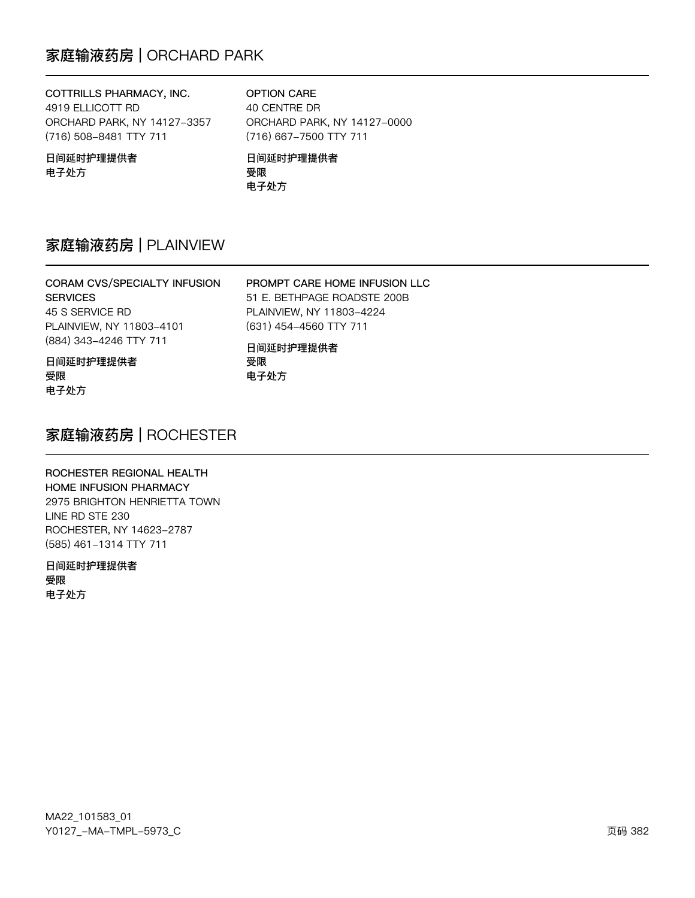# 家庭输液药房 | ORCHARD PARK

### COTTRILLS PHARMACY, INC. 4919 ELLICOTT RD ORCHARD PARK, NY 14127-3357 (716) 508-8481 TTY 711

OPTION CARE 40 CENTRE DR ORCHARD PARK, NY 14127-0000 (716) 667-7500 TTY 711 日间延时护理提供者

PROMPT CARE HOME INFUSION LLC 51 E. BETHPAGE ROADSTE 200B

日间延时护理提供者 电子处方

# 受限

电子处方

电子处方

# 家庭输液药房 | PLAINVIEW

| <b>CORAM CVS/SPECIALTY INFUSION</b> |
|-------------------------------------|
| <b>SERVICES</b>                     |
| 45 S SERVICE RD                     |
| PLAINVIEW, NY 11803-4101            |
| (884) 343-4246 TTY 711              |
|                                     |

日间延时护理提供者 受限 电子处方

PLAINVIEW, NY 11803-4224 (631) 454-4560 TTY 711 日间延时护理提供者 受限

# 家庭输液药房 | ROCHESTER

### ROCHESTER REGIONAL HEALTH HOME INFUSION PHARMACY 2975 BRIGHTON HENRIETTA TOWN LINE RD STE 230 ROCHESTER, NY 14623-2787 (585) 461-1314 TTY 711

日间延时护理提供者 受限 电子处方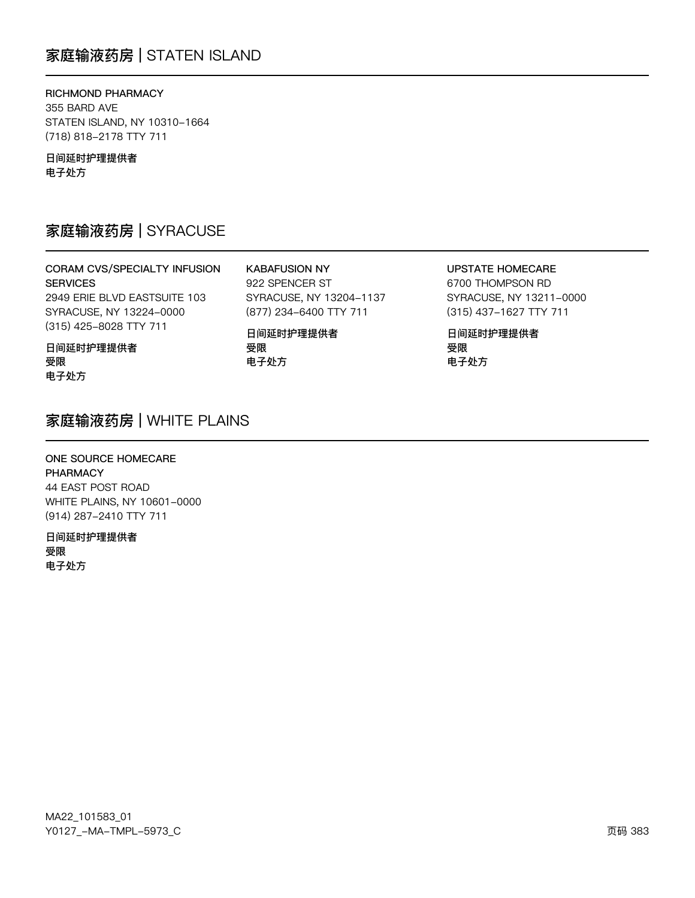# 家庭输液药房 | STATEN ISLAND

RICHMOND PHARMACY 355 BARD AVE STATEN ISLAND, NY 10310-1664 (718) 818-2178 TTY 711

日间延时护理提供者 电子处方

# 家庭输液药房 | SYRACUSE

CORAM CVS/SPECIALTY INFUSION **SERVICES** 2949 ERIE BLVD EASTSUITE 103 SYRACUSE, NY 13224-0000 (315) 425-8028 TTY 711

**KABAFUSION NY** 922 SPENCER ST SYRACUSE, NY 13204-1137 (877) 234-6400 TTY 711

日间延时护理提供者 受限 电子处方

**UPSTATE HOMECARE** 

6700 THOMPSON RD SYRACUSE, NY 13211-0000 (315) 437-1627 TTY 711

日间延时护理提供者 受限 电子处方

### 日间延时护理提供者 受限 电子处方

## 家庭输液药房 | WHITE PLAINS

ONE SOURCE HOMECARE **PHARMACY** 44 EAST POST ROAD WHITE PLAINS, NY 10601-0000 (914) 287-2410 TTY 711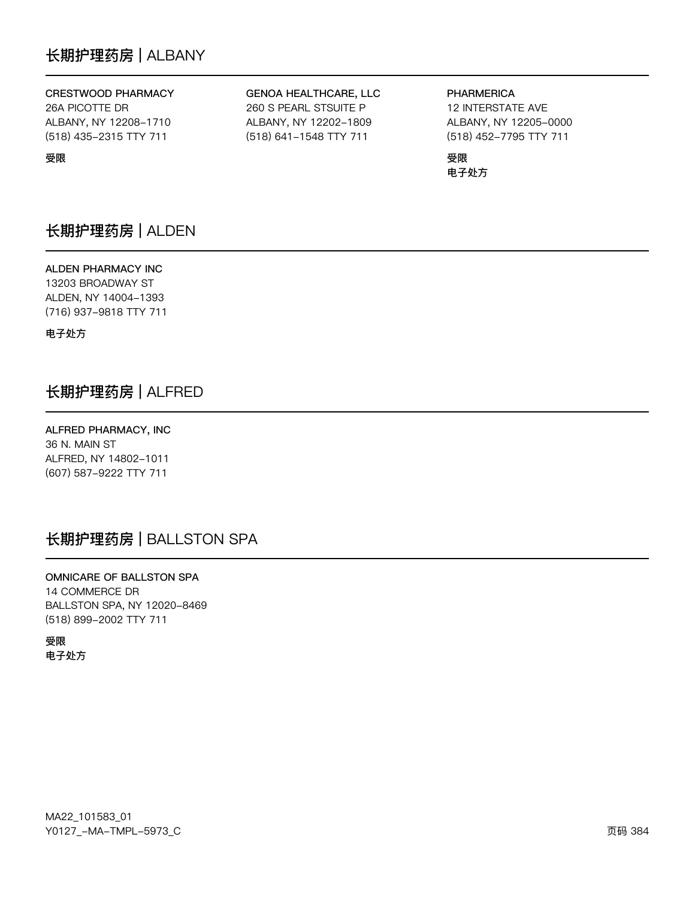# 长期护理药房 | ALBANY

### CRESTWOOD PHARMACY

26A PICOTTE DR ALBANY, NY 12208-1710 (518) 435-2315 TTY 711

受限

### GENOA HEALTHCARE, LLC 260 S PEARL STSUITE P

ALBANY, NY 12202-1809 (518) 641-1548 TTY 711

### **PHARMERICA** 12 INTERSTATE AVE ALBANY, NY 12205-0000 (518) 452-7795 TTY 711

受限 电子处方

# 长期护理药房 | ALDEN

ALDEN PHARMACY INC 13203 BROADWAY ST ALDEN, NY 14004-1393 (716) 937-9818 TTY 711

电子外方

# 长期护理药房 | ALFRED

ALFRED PHARMACY, INC 36 N. MAIN ST ALFRED, NY 14802-1011 (607) 587-9222 TTY 711

# 长期护理药房 | BALLSTON SPA

OMNICARE OF BALLSTON SPA 14 COMMERCE DR BALLSTON SPA, NY 12020-8469 (518) 899-2002 TTY 711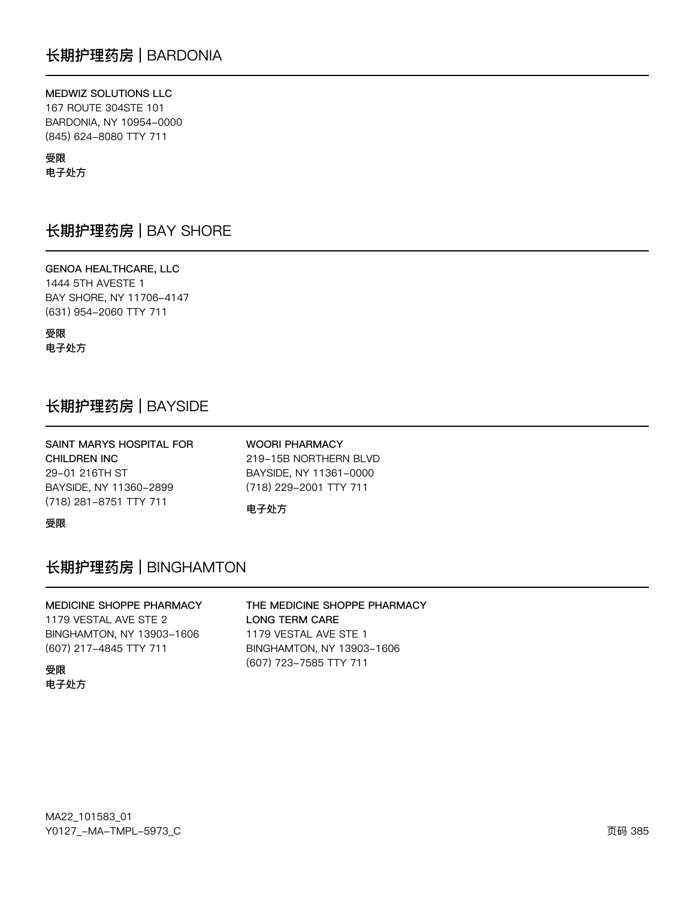MEDWIZ SOLUTIONS LLC 167 ROUTE 304STE 101 BARDONIA, NY 10954-0000 (845) 624-8080 TTY 711

受限 电子处方

## 长期护理药房 | BAY SHORE

**GENOA HEALTHCARE, LLC** 1444 5TH AVESTE 1 BAY SHORE, NY 11706-4147 (631) 954-2060 TTY 711

受限 电子处方

# 长期护理药房 | BAYSIDE

| SAINT MARYS HOSPITAL FOR | <b>WOORI PHARMACY</b>  |
|--------------------------|------------------------|
| CHILDREN INC             | 219-15B NORTHERN BLVD  |
| 29-01 216TH ST           | BAYSIDE, NY 11361-0000 |
| BAYSIDE, NY 11360-2899   | (718) 229-2001 TTY 711 |
| (718) 281-8751 TTY 711   | 电子处方                   |

受限

# 长期护理药房 | BINGHAMTON

### MEDICINE SHOPPE PHARMACY 1179 VESTAL AVE STE 2 BINGHAMTON, NY 13903-1606 (607) 217-4845 TTY 711

#### 受限 电子处方

### THE MEDICINE SHOPPE PHARMACY **LONG TERM CARE** 1179 VESTAL AVE STE 1 BINGHAMTON, NY 13903-1606 (607) 723-7585 TTY 711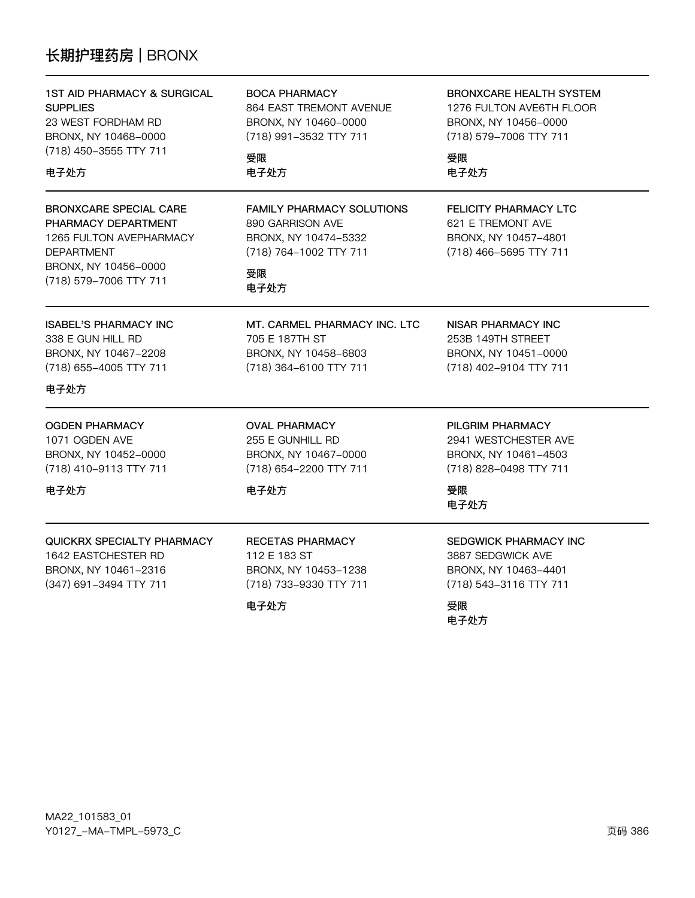# 长期护理药房 | BRONX

| <b>1ST AID PHARMACY &amp; SURGICAL</b><br><b>SUPPLIES</b><br>23 WEST FORDHAM RD<br>BRONX, NY 10468-0000<br>(718) 450-3555 TTY 711<br>电子处方              | <b>BOCA PHARMACY</b><br>864 EAST TREMONT AVENUE<br>BRONX, NY 10460-0000<br>(718) 991-3532 TTY 711<br>受限<br>电子处方      | <b>BRONXCARE HEALTH SYSTEM</b><br>1276 FULTON AVE6TH FLOOR<br>BRONX, NY 10456-0000<br>(718) 579-7006 TTY 711<br>受限<br>电子处方 |
|--------------------------------------------------------------------------------------------------------------------------------------------------------|----------------------------------------------------------------------------------------------------------------------|----------------------------------------------------------------------------------------------------------------------------|
| <b>BRONXCARE SPECIAL CARE</b><br>PHARMACY DEPARTMENT<br>1265 FULTON AVEPHARMACY<br><b>DEPARTMENT</b><br>BRONX, NY 10456-0000<br>(718) 579-7006 TTY 711 | <b>FAMILY PHARMACY SOLUTIONS</b><br>890 GARRISON AVE<br>BRONX, NY 10474-5332<br>(718) 764-1002 TTY 711<br>受限<br>电子处方 | <b>FELICITY PHARMACY LTC</b><br>621 E TREMONT AVE<br>BRONX, NY 10457-4801<br>(718) 466-5695 TTY 711                        |
| <b>ISABEL'S PHARMACY INC</b><br>338 E GUN HILL RD<br>BRONX, NY 10467-2208<br>(718) 655-4005 TTY 711<br>电子处方                                            | MT. CARMEL PHARMACY INC. LTC<br>705 E 187TH ST<br>BRONX, NY 10458-6803<br>(718) 364-6100 TTY 711                     | NISAR PHARMACY INC<br>253B 149TH STREET<br>BRONX, NY 10451-0000<br>(718) 402-9104 TTY 711                                  |
| <b>OGDEN PHARMACY</b><br>1071 OGDEN AVE<br>BRONX, NY 10452-0000<br>(718) 410-9113 TTY 711<br>电子处方                                                      | <b>OVAL PHARMACY</b><br>255 E GUNHILL RD<br>BRONX, NY 10467-0000<br>(718) 654-2200 TTY 711<br>电子处方                   | PILGRIM PHARMACY<br>2941 WESTCHESTER AVE<br>BRONX, NY 10461-4503<br>(718) 828-0498 TTY 711<br>受限<br>电子处方                   |
| QUICKRX SPECIALTY PHARMACY<br>1642 EASTCHESTER RD<br>BRONX, NY 10461-2316<br>(347) 691-3494 TTY 711                                                    | <b>RECETAS PHARMACY</b><br>112 E 183 ST<br>BRONX, NY 10453-1238<br>(718) 733-9330 TTY 711<br>电子处方                    | SEDGWICK PHARMACY INC<br>3887 SEDGWICK AVE<br>BRONX, NY 10463-4401<br>(718) 543-3116 TTY 711<br>受限<br>电子处方                 |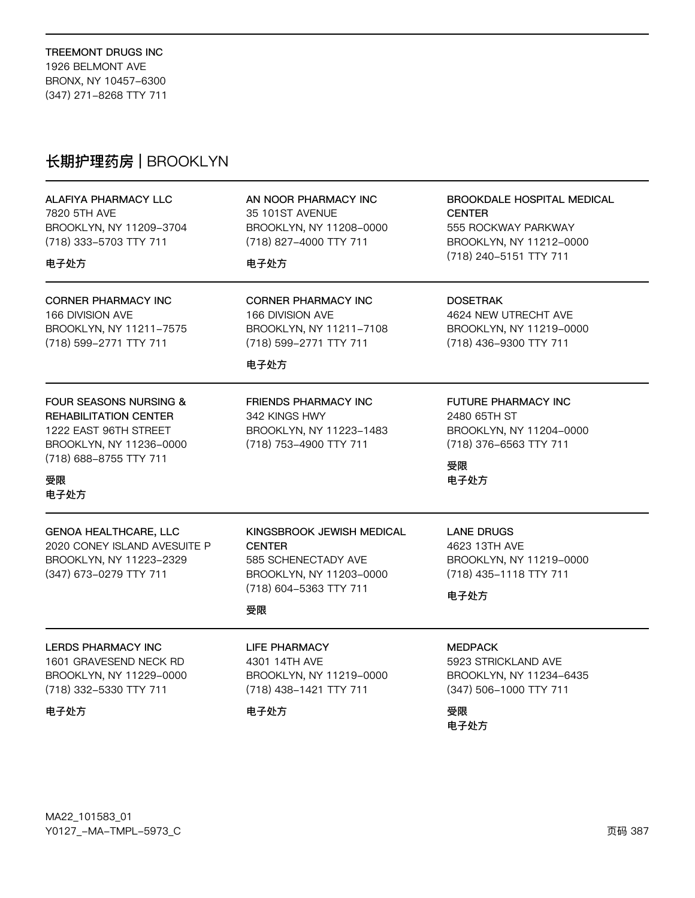# 长期护理药房 | BROOKLYN

#### ALAFIYA PHARMACY LLC 7820 5TH AVE BROOKLYN, NY 11209-3704 (718) 333-5703 TTY 711

### 电子处方

**CORNER PHARMACY INC** 166 DIVISION AVE BROOKLYN, NY 11211-7575 (718) 599-2771 TTY 711

AN NOOR PHARMACY INC 35 101ST AVENUE BROOKLYN, NY 11208-0000 (718) 827-4000 TTY 711

### 电子处方

**CORNER PHARMACY INC** 166 DIVISION AVE BROOKLYN, NY 11211-7108 (718) 599-2771 TTY 711

**FRIENDS PHARMACY INC.** 

(718) 753-4900 TTY 711

BROOKLYN, NY 11223-1483

342 KINGS HWY

### 电子处方

**FOUR SEASONS NURSING & REHABILITATION CENTER** 1222 EAST 96TH STREET BROOKLYN, NY 11236-0000 (718) 688-8755 TTY 711

### 受限 电子处方

| <b>GENOA HEALTHCARE, LLC</b> | KINGSBROOK JEWISH MEDICAL | LANE DRUGS              |
|------------------------------|---------------------------|-------------------------|
| 2020 CONEY ISLAND AVESUITE P | <b>CENTER</b>             | 4623 13TH AVE           |
| BROOKLYN, NY 11223-2329      | 585 SCHENECTADY AVE       | BROOKLYN, NY 11219-0000 |
| (347) 673-0279 TTY 711       | BROOKLYN, NY 11203-0000   | (718) 435-1118 TTY 711  |
|                              | (718) 604-5363 TTY 711    | 电子外方                    |
|                              | 受限                        |                         |

### **LERDS PHARMACY INC**

1601 GRAVESEND NECK RD BROOKLYN, NY 11229-0000 (718) 332-5330 TTY 711

电子处方

**LIFE PHARMACY** 4301 14TH AVE

BROOKLYN, NY 11219-0000 (718) 438-1421 TTY 711

### 电子处方

**CENTER** 555 ROCKWAY PARKWAY BROOKLYN, NY 11212-0000 (718) 240-5151 TTY 711

BROOKDALE HOSPITAL MEDICAL

### **DOSETRAK**

4624 NEW UTRECHT AVE BROOKLYN, NY 11219-0000 (718) 436-9300 TTY 711

### **FUTURE PHARMACY INC**

2480 65TH ST BROOKLYN, NY 11204-0000 (718) 376-6563 TTY 711

受限 电子处方

### **MEDPACK** 5923 STRICKLAND AVE

BROOKLYN, NY 11234-6435 (347) 506-1000 TTY 711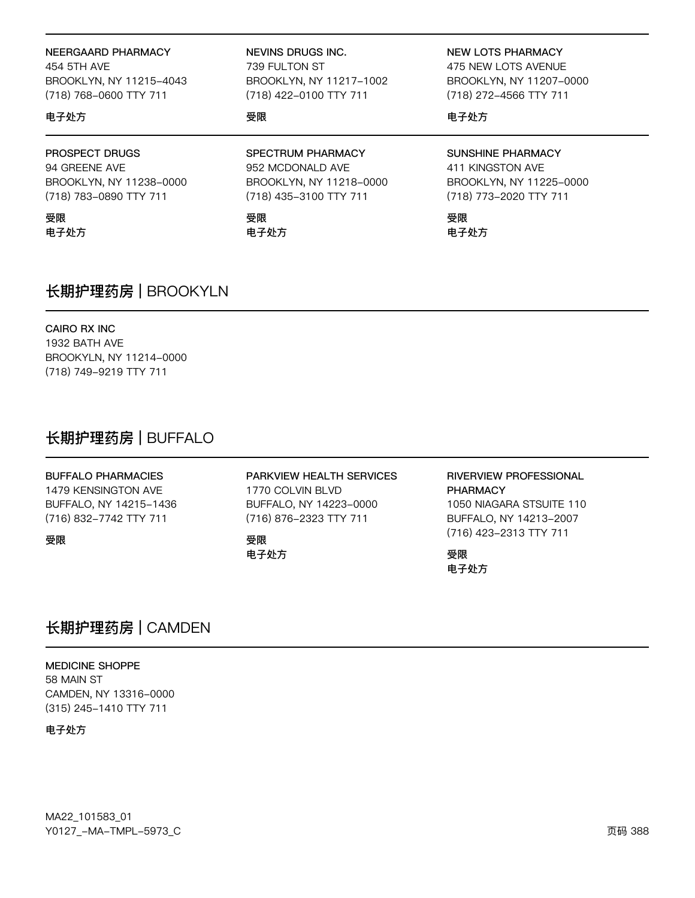#### NEERGAARD PHARMACY

454 5TH AVE BROOKLYN, NY 11215-4043 (718) 768-0600 TTY 711

#### 电子处方

PROSPECT DRUGS

94 GREENE AVE BROOKLYN, NY 11238-0000 (718) 783-0890 TTY 711

受限 电子处方 **NEVINS DRUGS INC.** 

739 FULTON ST BROOKLYN, NY 11217-1002 (718) 422-0100 TTY 711

#### 受限

SPECTRUM PHARMACY 952 MCDONALD AVE BROOKLYN, NY 11218-0000 (718) 435-3100 TTY 711

### 受限

电子处方

# **NEW LOTS PHARMACY**

475 NEW LOTS AVENUE BROOKLYN, NY 11207-0000 (718) 272-4566 TTY 711

### 电子处方

**SUNSHINE PHARMACY** 411 KINGSTON AVE BROOKLYN, NY 11225-0000 (718) 773-2020 TTY 711

受限 电子处方

# 长期护理药房 | BROOKYLN

#### CAIRO RX INC

1932 BATH AVE BROOKYLN, NY 11214-0000 (718) 749-9219 TTY 711

## 长期护理药房 | BUFFALO

#### **BUFFALO PHARMACIES**

1479 KENSINGTON AVE BUFFALO, NY 14215-1436 (716) 832-7742 TTY 711

受限

### PARKVIEW HEALTH SERVICES

1770 COLVIN BLVD BUFFALO, NY 14223-0000 (716) 876-2323 TTY 711

#### 受限 电子处方

**RIVERVIEW PROFESSIONAL PHARMACY** 1050 NIAGARA STSUITE 110 BUFFALO, NY 14213-2007 (716) 423-2313 TTY 711

### 受限 电子处方

## 长期护理药房 | CAMDEN

**MEDICINE SHOPPE** 58 MAIN ST CAMDEN, NY 13316-0000 (315) 245-1410 TTY 711

电子处方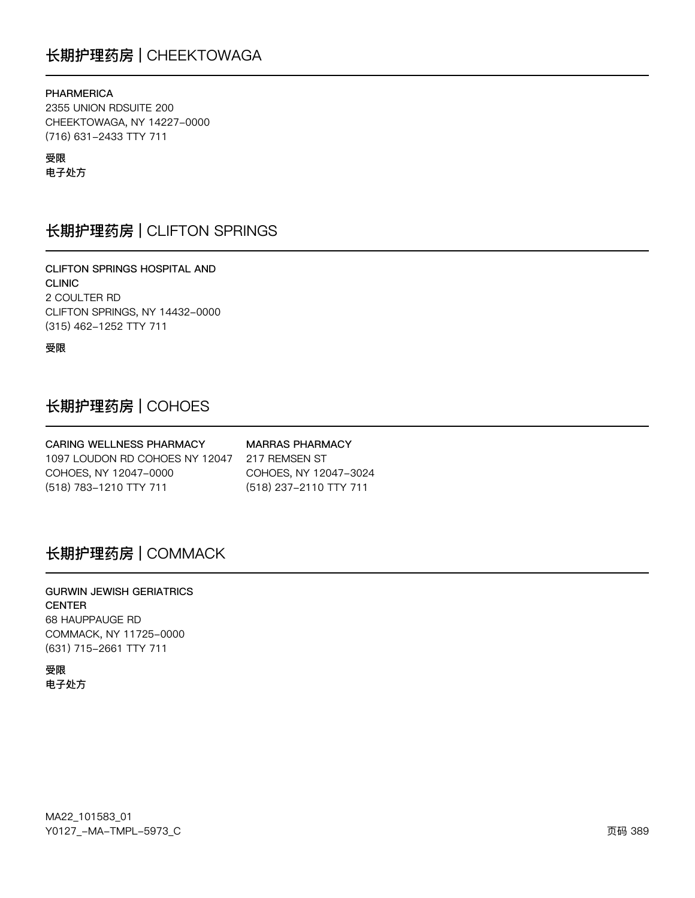# 长期护理药房 | CHEEKTOWAGA

#### **PHARMERICA**

2355 UNION RDSUITE 200 CHEEKTOWAGA, NY 14227-0000 (716) 631-2433 TTY 711

### 受限

电子处方

## 长期护理药房 | CLIFTON SPRINGS

CLIFTON SPRINGS HOSPITAL AND **CLINIC** 2 COULTER RD CLIFTON SPRINGS, NY 14432-0000 (315) 462-1252 TTY 711

受限

## 长期护理药房 | COHOES

**CARING WELLNESS PHARMACY MARRAS PHARMACY** 1097 LOUDON RD COHOES NY 12047 217 REMSEN ST COHOES, NY 12047-0000 COHOES, NY 12047-3024 (518) 783-1210 TTY 711 (518) 237-2110 TTY 711

# 长期护理药房 | COMMACK

**GURWIN JEWISH GERIATRICS CENTER** 68 HAUPPAUGE RD COMMACK, NY 11725-0000 (631) 715-2661 TTY 711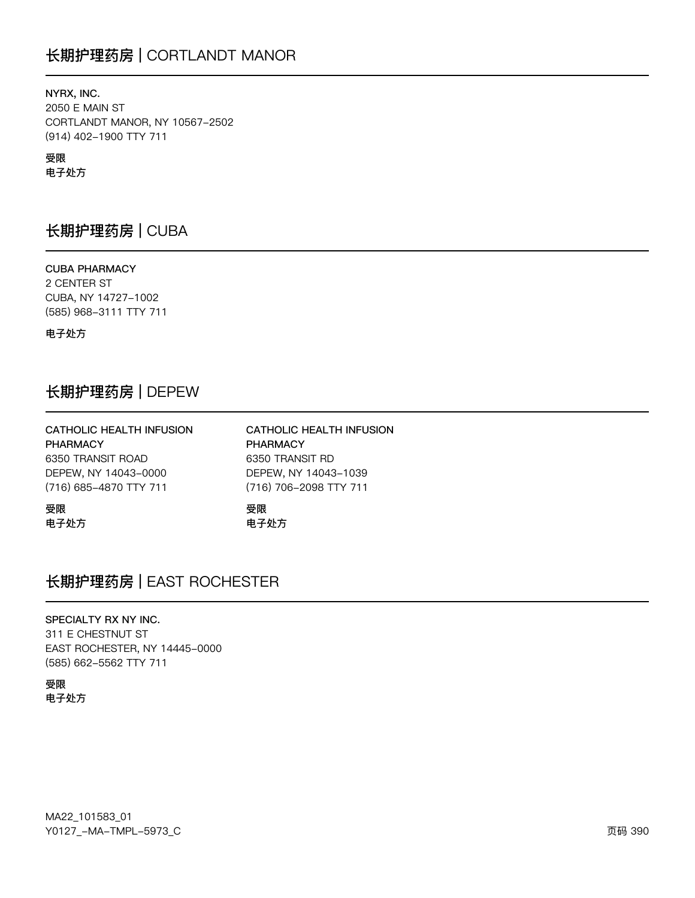# 长期护理药房 | CORTLANDT MANOR

NYRX, INC. **2050 E MAIN ST** CORTLANDT MANOR, NY 10567-2502 (914) 402-1900 TTY 711

### 受限

电子处方

# 长期护理药房 | CUBA

**CUBA PHARMACY** 2 CENTER ST CUBA, NY 14727-1002 (585) 968-3111 TTY 711

电子处方

## 长期护理药房 | DEPEW

| CATHOLIC HEALTH INFUSION | CATHOLIC HEALTH INFUSION |
|--------------------------|--------------------------|
| <b>PHARMACY</b>          | <b>PHARMACY</b>          |
| 6350 TRANSIT ROAD        | 6350 TRANSIT RD          |
| DEPEW, NY 14043-0000     | DEPEW, NY 14043-1039     |
| (716) 685-4870 TTY 711   | (716) 706-2098 TTY 711   |
| 受限                       | 受限                       |
| 电子处方                     | 电子外方                     |

# 长期护理药房 | EAST ROCHESTER

#### SPECIALTY RX NY INC.

311 E CHESTNUT ST EAST ROCHESTER, NY 14445-0000 (585) 662-5562 TTY 711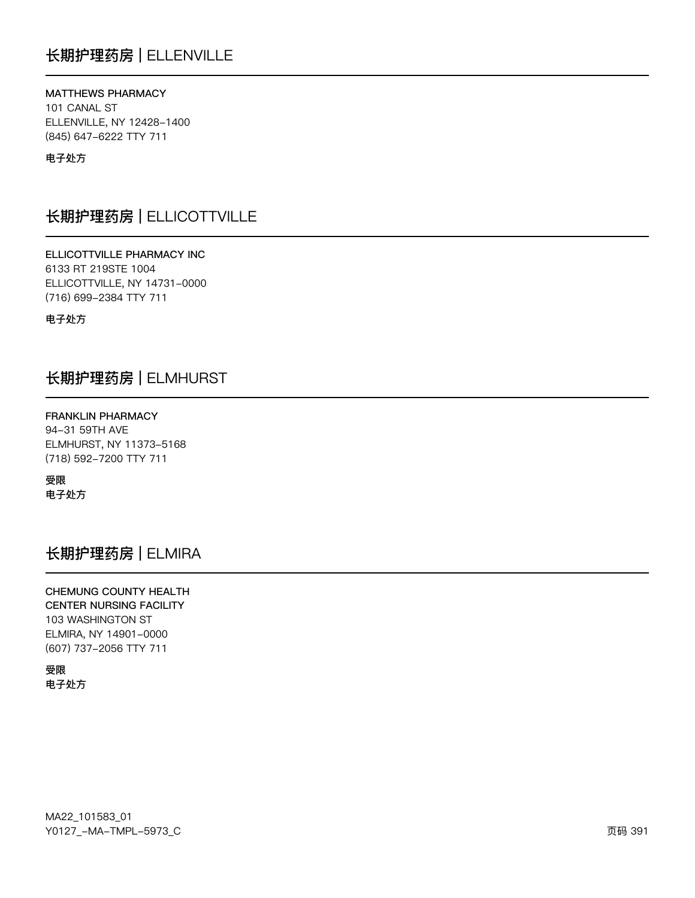# 长期护理药房 | ELLENVILLE

### MATTHEWS PHARMACY 101 CANAL ST ELLENVILLE, NY 12428-1400 (845) 647-6222 TTY 711

电子处方

# 长期护理药房 | ELLICOTTVILLE

ELLICOTTVILLE PHARMACY INC 6133 RT 219STE 1004 ELLICOTTVILLE, NY 14731-0000 (716) 699-2384 TTY 711

电子处方

# 长期护理药房 | ELMHURST

**FRANKLIN PHARMACY** 94-31 59TH AVE ELMHURST, NY 11373-5168 (718) 592-7200 TTY 711

受限 电子处方

# 长期护理药房 | ELMIRA

CHEMUNG COUNTY HEALTH **CENTER NURSING FACILITY** 103 WASHINGTON ST ELMIRA, NY 14901-0000 (607) 737-2056 TTY 711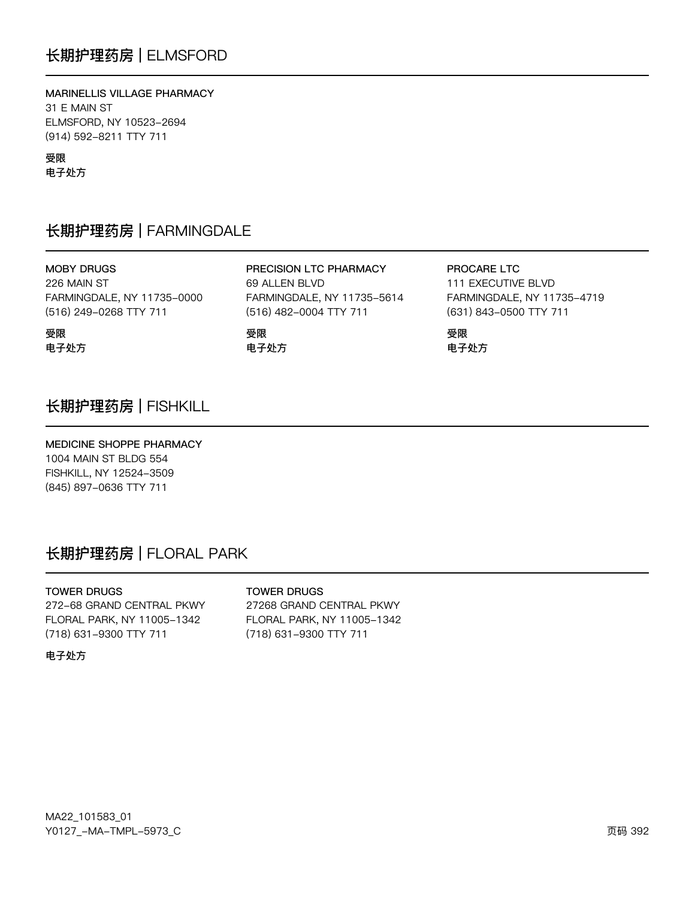MARINELLIS VILLAGE PHARMACY 31 E MAIN ST ELMSFORD, NY 10523-2694 (914) 592-8211 TTY 711

受限

受限

电子处方

电子处方

# 长期护理药房 | FARMINGDALE

**MOBY DRUGS** 226 MAIN ST FARMINGDALE, NY 11735-0000 (516) 249-0268 TTY 711

PRECISION LTC PHARMACY 69 ALLEN BLVD FARMINGDALE, NY 11735-5614 (516) 482-0004 TTY 711

受限 电子处方 PROCARE LTC 111 EXECUTIVE BLVD FARMINGDALE, NY 11735-4719 (631) 843-0500 TTY 711

受限 电子处方

# 长期护理药房 | FISHKILL

MEDICINE SHOPPE PHARMACY 1004 MAIN ST BLDG 554

FISHKILL, NY 12524-3509 (845) 897-0636 TTY 711

# 长期护理药房 | FLORAL PARK

#### **TOWER DRUGS**

**TOWER DRUGS** 

272-68 GRAND CENTRAL PKWY FLORAL PARK, NY 11005-1342 (718) 631-9300 TTY 711

27268 GRAND CENTRAL PKWY FLORAL PARK, NY 11005-1342 (718) 631-9300 TTY 711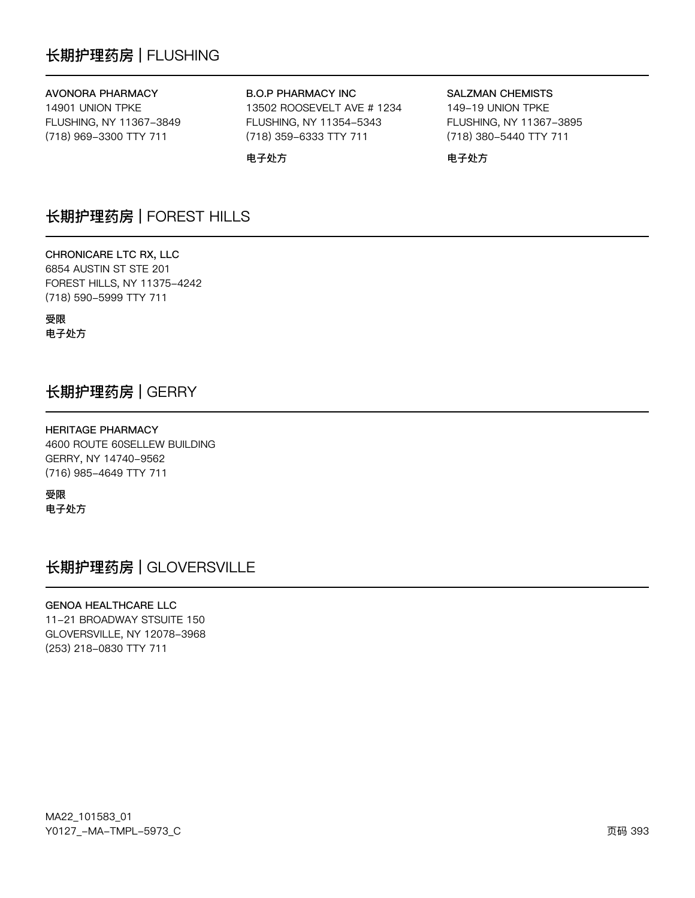# 长期护理药房 | FLUSHING

### **AVONORA PHARMACY**

14901 UNION TPKE FLUSHING, NY 11367-3849 (718) 969-3300 TTY 711

#### **B.O.P PHARMACY INC**

13502 ROOSEVELT AVE # 1234 FLUSHING, NY 11354-5343 (718) 359-6333 TTY 711

电子处方

### **SALZMAN CHEMISTS** 149-19 UNION TPKE FLUSHING, NY 11367-3895 (718) 380-5440 TTY 711

电子处方

## 长期护理药房 | FOREST HILLS

CHRONICARE LTC RX, LLC 6854 AUSTIN ST STE 201 FOREST HILLS, NY 11375-4242 (718) 590-5999 TTY 711

受限 电子处方

## 长期护理药房 | GERRY

### **HERITAGE PHARMACY**

4600 ROUTE 60SELLEW BUILDING GERRY, NY 14740-9562 (716) 985-4649 TTY 711

受限 电子处方

长期护理药房 | GLOVERSVILLE

**GENOA HEALTHCARE LLC** 11-21 BROADWAY STSUITE 150 GLOVERSVILLE, NY 12078-3968 (253) 218-0830 TTY 711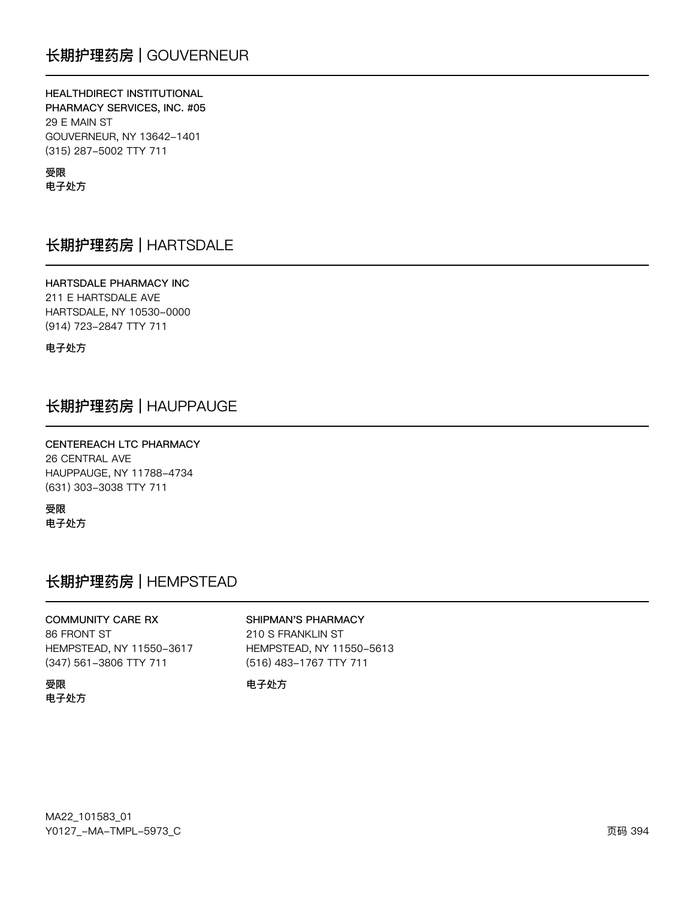### HEALTHDIRECT INSTITUTIONAL

PHARMACY SERVICES, INC. #05 29 E MAIN ST GOUVERNEUR, NY 13642-1401 (315) 287-5002 TTY 711

### 受限 电子处方

# 长期护理药房 | HARTSDALE

#### HARTSDALE PHARMACY INC 211 E HARTSDALE AVE

HARTSDALE, NY 10530-0000 (914) 723-2847 TTY 711

电子处方

# 长期护理药房 | HAUPPAUGE

### CENTEREACH LTC PHARMACY **26 CENTRAL AVE** HAUPPAUGE, NY 11788-4734 (631) 303-3038 TTY 711

受限 电子处方

# 长期护理药房 | HEMPSTEAD

# **COMMUNITY CARE RX**

#### SHIPMAN'S PHARMACY

210 S FRANKLIN ST

86 FRONT ST HEMPSTEAD, NY 11550-3617 (347) 561-3806 TTY 711

HEMPSTEAD, NY 11550-5613 (516) 483-1767 TTY 711

#### 受限 电子处方

### 电子处方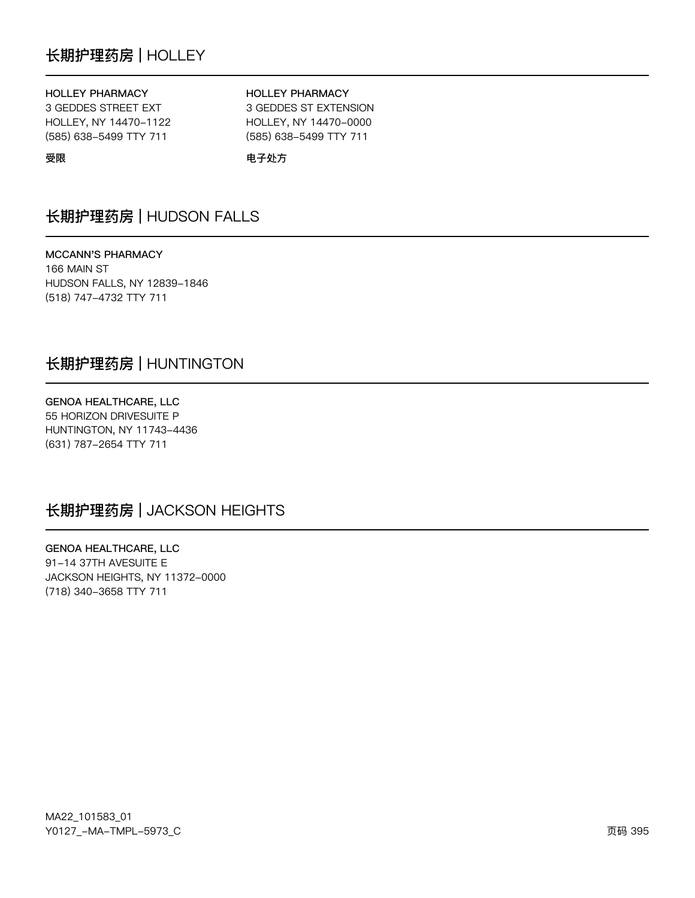# 长期护理药房 | HOLLEY

#### **HOLLEY PHARMACY**

3 GEDDES STREET EXT HOLLEY, NY 14470-1122 (585) 638-5499 TTY 711

#### **HOLLEY PHARMACY**

3 GEDDES ST EXTENSION HOLLEY, NY 14470-0000 (585) 638-5499 TTY 711

受限

电子处方

# 长期护理药房 | HUDSON FALLS

**MCCANN'S PHARMACY** 166 MAIN ST HUDSON FALLS, NY 12839-1846 (518) 747-4732 TTY 711

## 长期护理药房 | HUNTINGTON

GENOA HEALTHCARE, LLC 55 HORIZON DRIVESUITE P HUNTINGTON, NY 11743-4436 (631) 787-2654 TTY 711

# 长期护理药房 | JACKSON HEIGHTS

**GENOA HEALTHCARE, LLC** 91-14 37TH AVESUITE E JACKSON HEIGHTS, NY 11372-0000 (718) 340-3658 TTY 711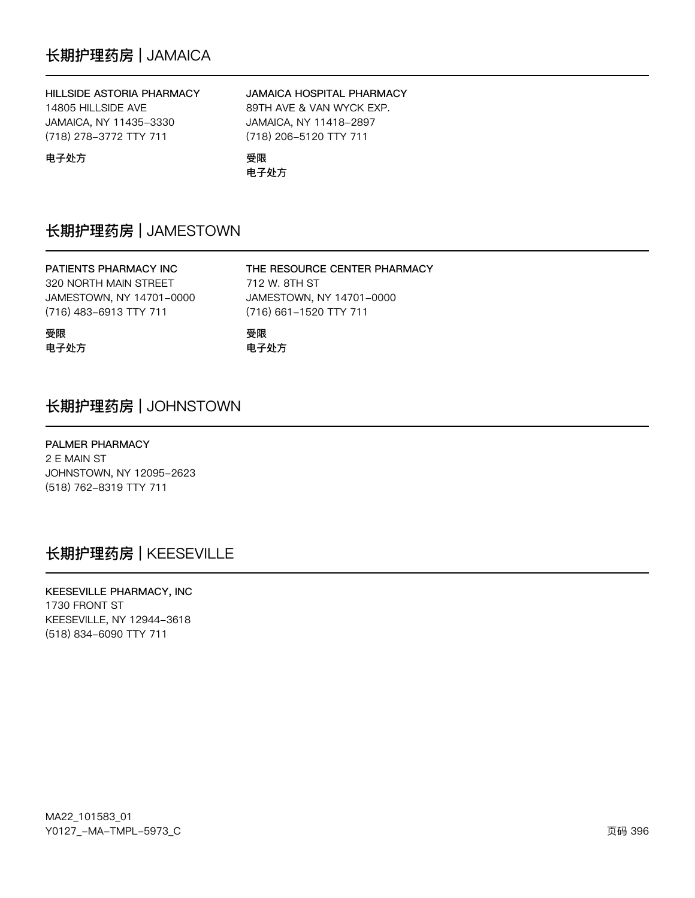### HILLSIDE ASTORIA PHARMACY

14805 HILLSIDE AVE JAMAICA, NY 11435-3330 (718) 278-3772 TTY 711

### JAMAICA HOSPITAL PHARMACY

THE RESOURCE CENTER PHARMACY

JAMESTOWN, NY 14701-0000

89TH AVE & VAN WYCK EXP. JAMAICA, NY 11418-2897 (718) 206-5120 TTY 711

电子处方

受限 电子处方

# 长期护理药房 | JAMESTOWN

# PATIENTS PHARMACY INC 320 NORTH MAIN STREET JAMESTOWN, NY 14701-0000 (716) 483-6913 TTY 711

受限 电子处方 (716) 661-1520 TTY 711 受限 电子处方

712 W. 8TH ST

# 长期护理药房 | JOHNSTOWN

### PALMER PHARMACY

2 E MAIN ST JOHNSTOWN, NY 12095-2623 (518) 762-8319 TTY 711

# 长期护理药房 | KEESEVILLE

KEESEVILLE PHARMACY, INC 1730 FRONT ST KEESEVILLE, NY 12944-3618 (518) 834-6090 TTY 711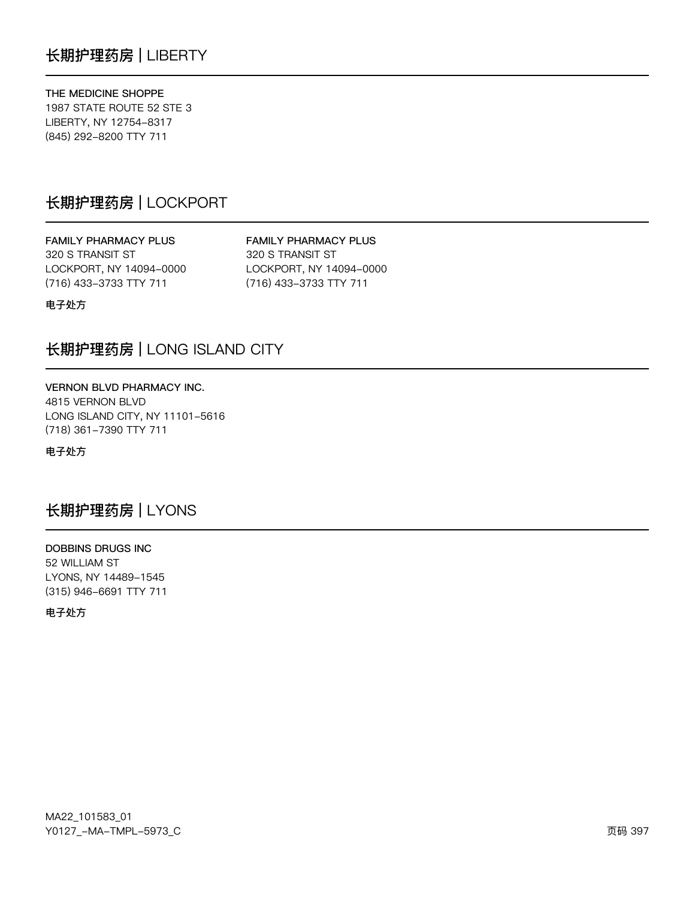THE MEDICINE SHOPPE 1987 STATE ROUTE 52 STE 3 LIBERTY, NY 12754-8317 (845) 292-8200 TTY 711

## 长期护理药房 | LOCKPORT

**FAMILY PHARMACY PLUS** 320 S TRANSIT ST LOCKPORT, NY 14094-0000 (716) 433-3733 TTY 711

**FAMILY PHARMACY PLUS** 320 S TRANSIT ST LOCKPORT, NY 14094-0000 (716) 433-3733 TTY 711

电子处方

## 长期护理药房 | LONG ISLAND CITY

VERNON BLVD PHARMACY INC. 4815 VERNON BLVD LONG ISLAND CITY, NY 11101-5616 (718) 361-7390 TTY 711

电子处方

## 长期护理药房 | LYONS

**DOBBINS DRUGS INC** 52 WILLIAM ST LYONS, NY 14489-1545 (315) 946-6691 TTY 711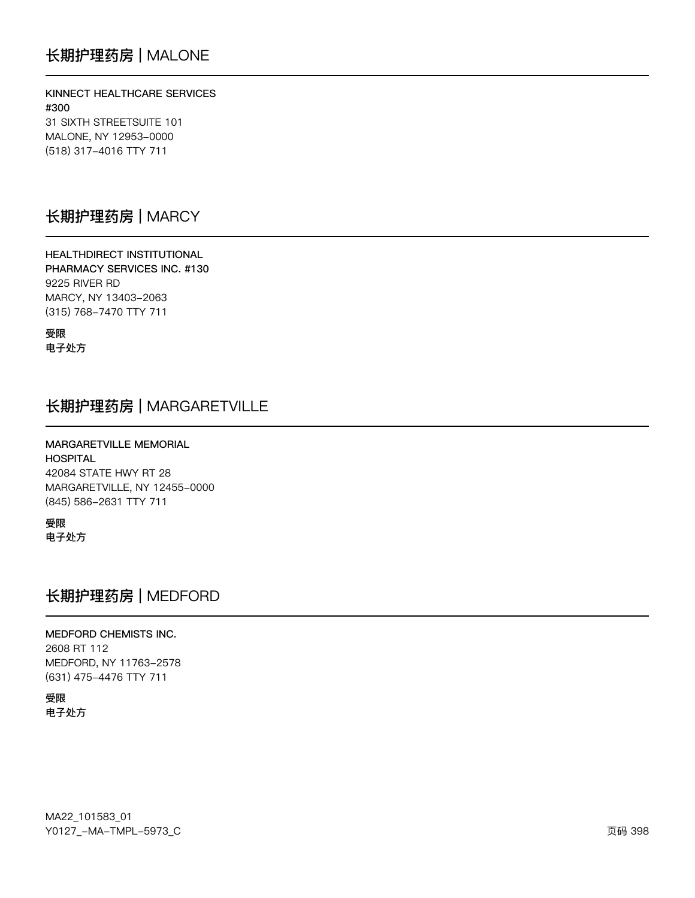KINNECT HEALTHCARE SERVICES #300 31 SIXTH STREETSUITE 101 MALONE, NY 12953-0000 (518) 317-4016 TTY 711

### 长期护理药房 | MARCY

**HEALTHDIRECT INSTITUTIONAL** PHARMACY SERVICES INC. #130 9225 RIVER RD MARCY, NY 13403-2063 (315) 768-7470 TTY 711

受限 电子处方

## 长期护理药房 | MARGARETVILLE

MARGARETVILLE MEMORIAL **HOSPITAL** 42084 STATE HWY RT 28 MARGARETVILLE, NY 12455-0000

(845) 586-2631 TTY 711 受限

电子处方

## 长期护理药房 | MEDFORD

#### MEDFORD CHEMISTS INC. 2608 RT 112 MEDFORD, NY 11763-2578 (631) 475-4476 TTY 711

受限 电子处方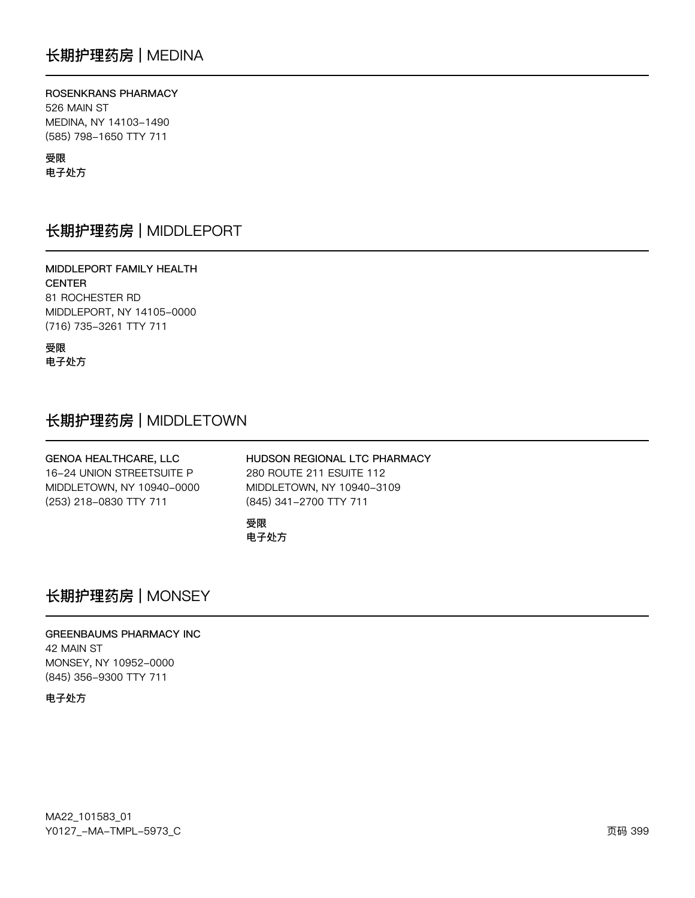#### ROSENKRANS PHARMACY 526 MAIN ST

MEDINA, NY 14103-1490 (585) 798-1650 TTY 711

受限

电子处方

## 长期护理药房 | MIDDLEPORT

MIDDLEPORT FAMILY HEALTH **CENTER** 81 ROCHESTER RD MIDDLEPORT, NY 14105-0000 (716) 735-3261 TTY 711

受限 电子处方

# 长期护理药房 | MIDDLETOWN

| GENOA HEALTHCARE, LLC     | HUDSON REGIONAL LTC PHARMACY |
|---------------------------|------------------------------|
| 16-24 UNION STREETSUITE P | 280 ROUTE 211 ESUITE 112     |
| MIDDLETOWN, NY 10940-0000 | MIDDLETOWN, NY 10940-3109    |
| (253) 218-0830 TTY 711    | (845) 341-2700 TTY 711       |
|                           | 受限<br>电子处方                   |

## 长期护理药房 | MONSEY

**GREENBAUMS PHARMACY INC** 42 MAIN ST MONSEY, NY 10952-0000 (845) 356-9300 TTY 711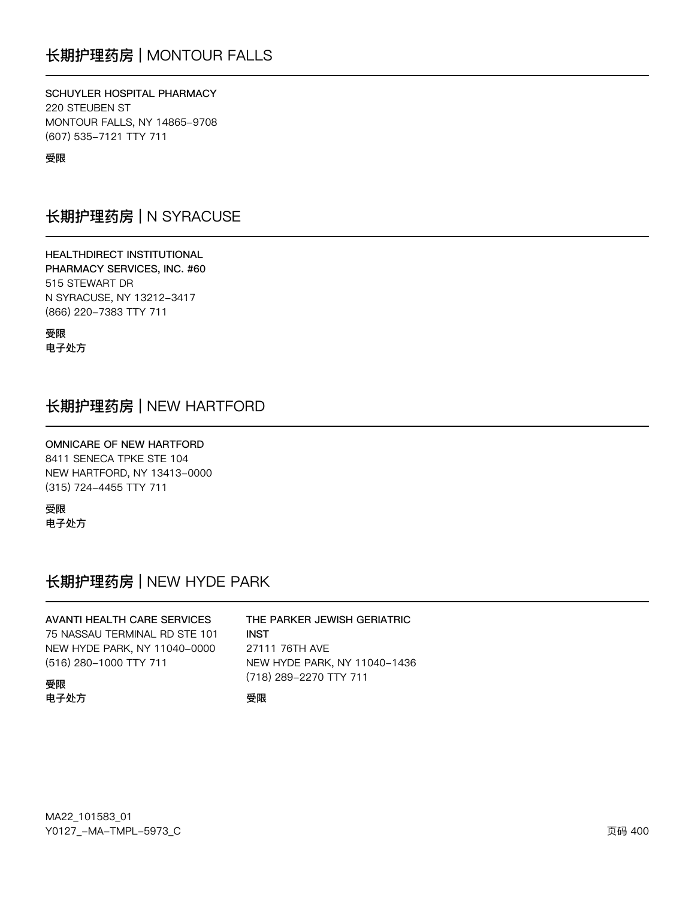SCHUYLER HOSPITAL PHARMACY 220 STEUBEN ST MONTOUR FALLS, NY 14865-9708 (607) 535-7121 TTY 711

受限

## 长期护理药房 | N SYRACUSE

HEALTHDIRECT INSTITUTIONAL PHARMACY SERVICES, INC. #60 515 STEWART DR N SYRACUSE, NY 13212-3417 (866) 220-7383 TTY 711

受限 电子处方

## 长期护理药房 | NEW HARTFORD

**OMNICARE OF NEW HARTFORD** 8411 SENECA TPKE STE 104 NEW HARTFORD, NY 13413-0000 (315) 724-4455 TTY 711

受限 电子处方

## 长期护理药房 | NEW HYDE PARK

#### **AVANTI HEALTH CARE SERVICES** THE PARKER JEWISH GERIATRIC 75 NASSAU TERMINAL RD STE 101 **INST** NEW HYDE PARK, NY 11040-0000 27111 76TH AVE (516) 280-1000 TTY 711 NEW HYDE PARK, NY 11040-1436 (718) 289-2270 TTY 711 受限 电子处方 受限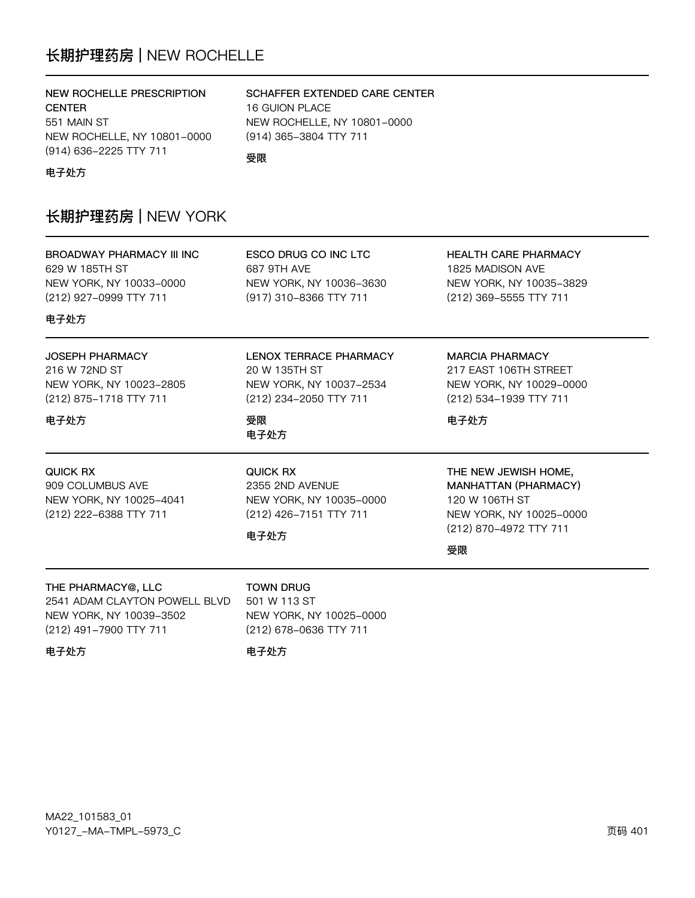## 长期护理药房 | NEW ROCHELLE

### NEW ROCHELLE PRESCRIPTION **CENTER** 551 MAIN ST NEW ROCHELLE, NY 10801-0000 (914) 636-2225 TTY 711

### SCHAFFER EXTENDED CARE CENTER

16 GUION PLACE NEW ROCHELLE, NY 10801-0000 (914) 365-3804 TTY 711

受限

电子处方

## 长期护理药房 | NEW YORK

**BROADWAY PHARMACY III INC** 629 W 185TH ST NEW YORK, NY 10033-0000 (212) 927-0999 TTY 711

**ESCO DRUG CO INC LTC** 687 9TH AVE NEW YORK, NY 10036-3630 (917) 310-8366 TTY 711

LENOX TERRACE PHARMACY

NEW YORK, NY 10037-2534

(212) 234-2050 TTY 711

20 W 135TH ST

**HEALTH CARE PHARMACY** 1825 MADISON AVE NEW YORK, NY 10035-3829 (212) 369-5555 TTY 711

电子处方

### JOSEPH PHARMACY 216 W 72ND ST NEW YORK, NY 10023-2805 (212) 875-1718 TTY 711

### 电子处方

电子处方

QUICK RX 909 COLUMBUS AVE NEW YORK, NY 10025-4041 (212) 222-6388 TTY 711

**QUICK RX** 2355 2ND AVENUE NEW YORK, NY 10035-0000 (212) 426-7151 TTY 711

NEW YORK, NY 10025-0000

(212) 678-0636 TTY 711

#### 电子处方

**TOWN DRUG** 

501 W 113 ST

受限

电子处方

**MARCIA PHARMACY** 

217 EAST 106TH STREET NEW YORK, NY 10029-0000 (212) 534-1939 TTY 711

电子处方

THE NEW JEWISH HOME, MANHATTAN (PHARMACY) 120 W 106TH ST NEW YORK, NY 10025-0000 (212) 870-4972 TTY 711

受限

THE PHARMACY@, LLC 2541 ADAM CLAYTON POWELL BLVD NEW YORK, NY 10039-3502 (212) 491-7900 TTY 711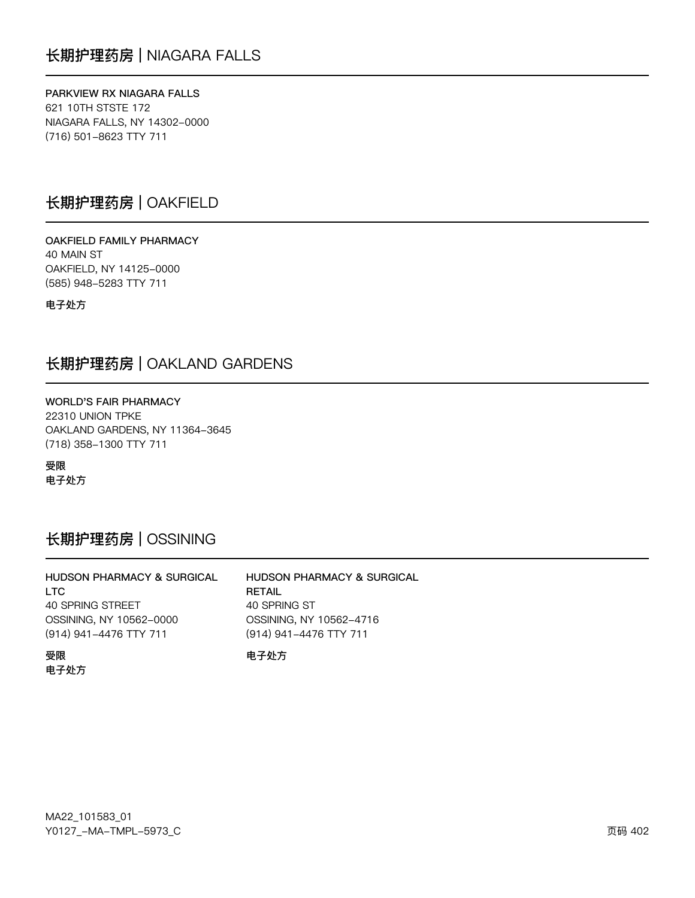### PARKVIEW RX NIAGARA FALLS

621 10TH STSTE 172 NIAGARA FALLS, NY 14302-0000 (716) 501-8623 TTY 711

## 长期护理药房 | OAKFIELD

OAKFIELD FAMILY PHARMACY 40 MAIN ST OAKFIELD, NY 14125-0000 (585) 948-5283 TTY 711

电子处方

### 长期护理药房 | OAKLAND GARDENS

WORLD'S FAIR PHARMACY 22310 UNION TPKE OAKLAND GARDENS, NY 11364-3645 (718) 358-1300 TTY 711

受限 电子处方

## 长期护理药房 | OSSINING

| HUDSON PHARMACY & SURGICAL | <b>HUDSON PHARMACY &amp; SURGICAL</b> |
|----------------------------|---------------------------------------|
| LTC.                       | <b>RETAIL</b>                         |
| 40 SPRING STREET           | 40 SPRING ST                          |
| OSSINING, NY 10562-0000    | OSSINING, NY 10562-4716               |
| (914) 941-4476 TTY 711     | (914) 941-4476 TTY 711                |
| 受限<br>电子处方                 | 电子外方                                  |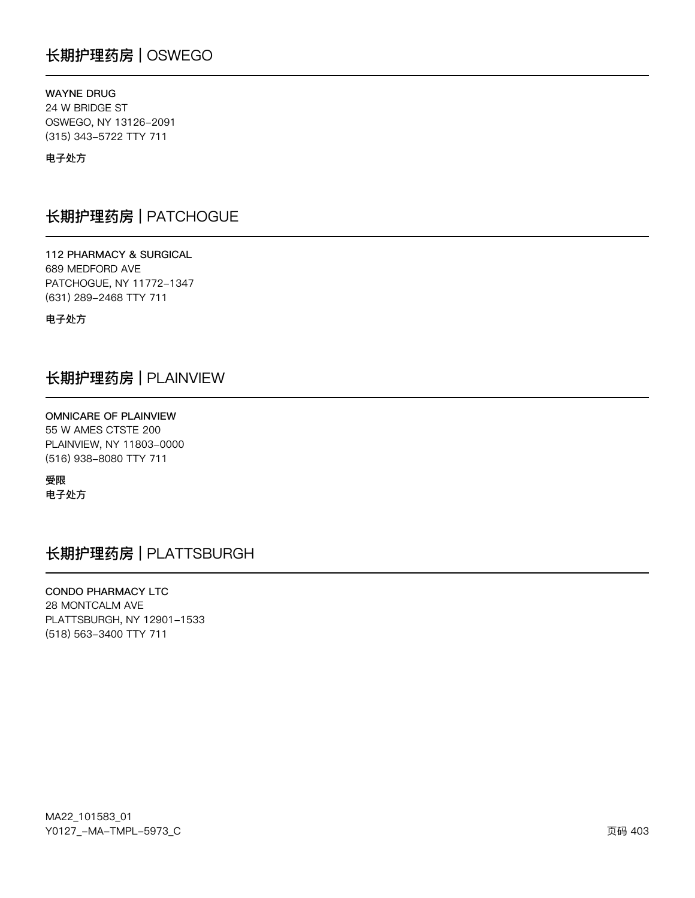## 长期护理药房 | OSWEGO

### **WAYNE DRUG**

24 W BRIDGE ST OSWEGO, NY 13126-2091 (315) 343-5722 TTY 711

### 电子处方

### 长期护理药房 | PATCHOGUE

112 PHARMACY & SURGICAL 689 MEDFORD AVE PATCHOGUE, NY 11772-1347 (631) 289-2468 TTY 711

电子处方

## 长期护理药房 | PLAINVIEW

**OMNICARE OF PLAINVIEW** 55 W AMES CTSTE 200 PLAINVIEW, NY 11803-0000 (516) 938-8080 TTY 711

受限 电子处方

## 长期护理药房 | PLATTSBURGH

### CONDO PHARMACY LTC

28 MONTCALM AVE PLATTSBURGH, NY 12901-1533 (518) 563-3400 TTY 711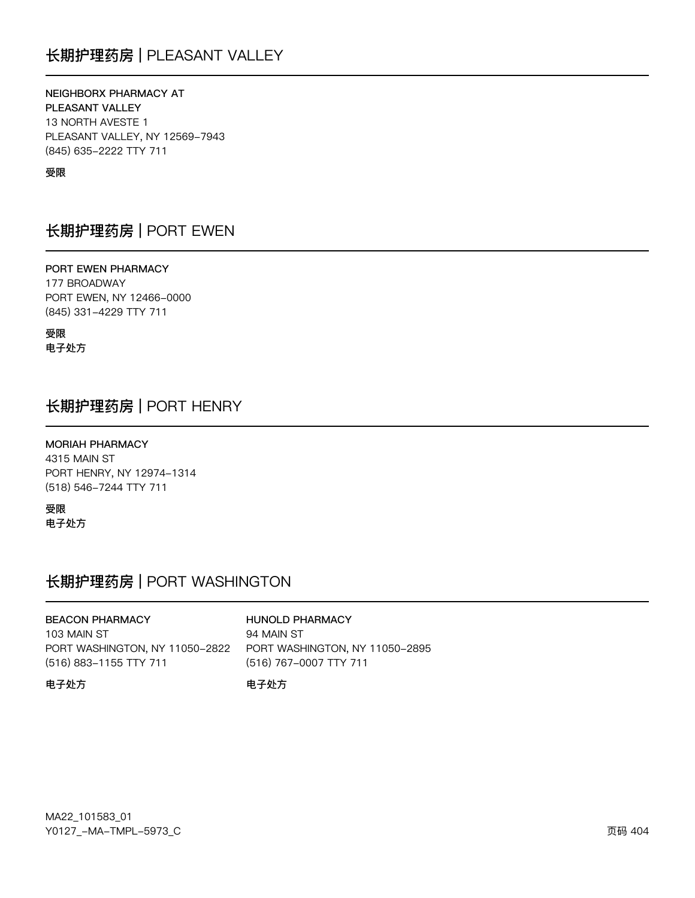## 长期护理药房 | PLEASANT VALLEY

NEIGHBORX PHARMACY AT PLEASANT VALLEY 13 NORTH AVESTE 1 PLEASANT VALLEY, NY 12569-7943 (845) 635-2222 TTY 711

#### 受限

## 长期护理药房 | PORT EWEN

PORT EWEN PHARMACY 177 BROADWAY PORT EWEN, NY 12466-0000 (845) 331-4229 TTY 711

受限 电子处方

### 长期护理药房 | PORT HENRY

**MORIAH PHARMACY** 4315 MAIN ST PORT HENRY, NY 12974-1314 (518) 546-7244 TTY 711

受限 电子处方

## 长期护理药房 | PORT WASHINGTON

**BEACON PHARMACY** 103 MAIN ST PORT WASHINGTON, NY 11050-2822 (516) 883-1155 TTY 711

#### **HUNOLD PHARMACY**

94 MAIN ST PORT WASHINGTON, NY 11050-2895 (516) 767-0007 TTY 711

#### 电子处方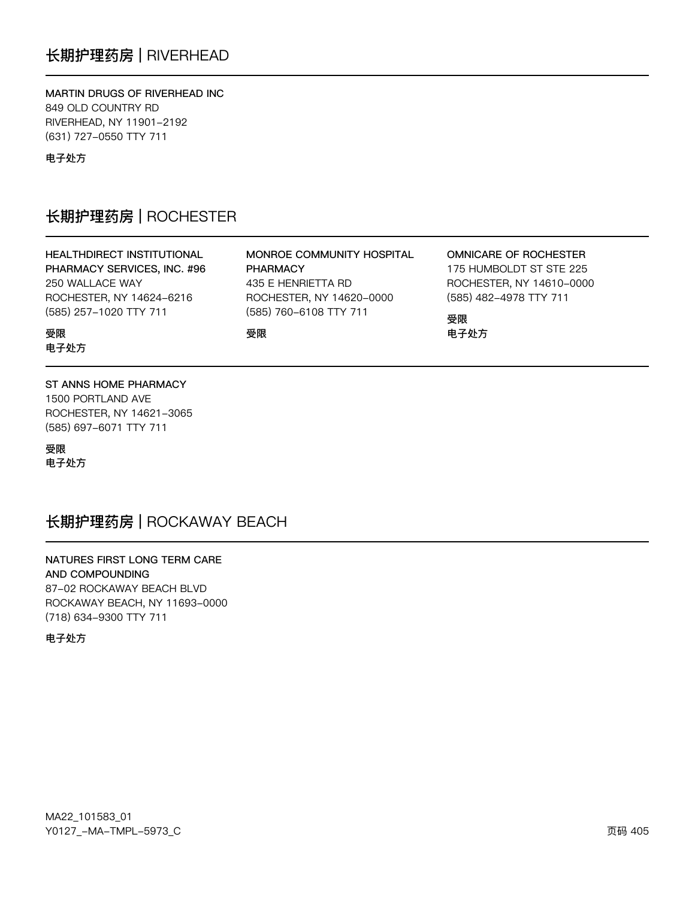## 长期护理药房 | RIVERHEAD

MARTIN DRUGS OF RIVERHEAD INC 849 OLD COUNTRY RD RIVERHEAD, NY 11901-2192 (631) 727-0550 TTY 711

电子处方

### 长期护理药房 | ROCHESTER

### HEALTHDIRECT INSTITUTIONAL PHARMACY SERVICES, INC. #96 250 WALLACE WAY ROCHESTER, NY 14624-6216 (585) 257-1020 TTY 711

MONROE COMMUNITY HOSPITAL **PHARMACY** 435 E HENRIETTA RD ROCHESTER, NY 14620-0000 (585) 760-6108 TTY 711

受限

### **OMNICARE OF ROCHESTER**

175 HUMBOLDT ST STE 225 ROCHESTER, NY 14610-0000 (585) 482-4978 TTY 711

受限 电子处方

受限 电子处方

#### ST ANNS HOME PHARMACY

1500 PORTLAND AVE ROCHESTER, NY 14621-3065 (585) 697-6071 TTY 711

受限 电子处方

## 长期护理药房 | ROCKAWAY BEACH

NATURES FIRST LONG TERM CARE AND COMPOUNDING 87-02 ROCKAWAY BEACH BLVD ROCKAWAY BEACH, NY 11693-0000 (718) 634-9300 TTY 711

电子外方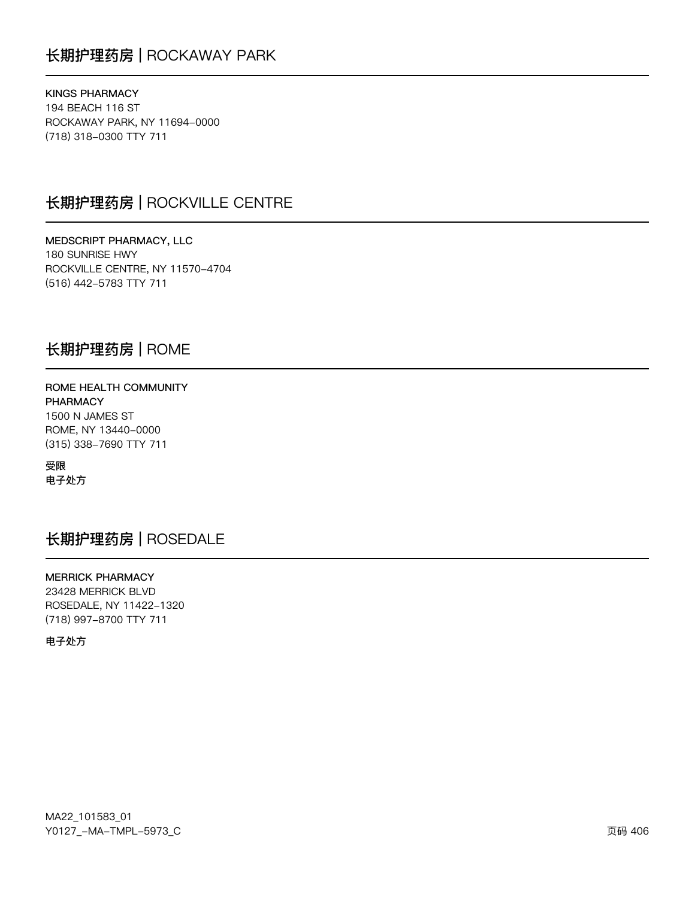## 长期护理药房 | ROCKAWAY PARK

**KINGS PHARMACY** 194 BEACH 116 ST ROCKAWAY PARK, NY 11694-0000 (718) 318-0300 TTY 711

### 长期护理药房 | ROCKVILLE CENTRE

MEDSCRIPT PHARMACY, LLC 180 SUNRISE HWY ROCKVILLE CENTRE, NY 11570-4704 (516) 442-5783 TTY 711

### 长期护理药房 | ROME

ROME HEALTH COMMUNITY **PHARMACY** 1500 N JAMES ST ROME, NY 13440-0000 (315) 338-7690 TTY 711

受限 电子处方

## 长期护理药房 | ROSEDALE

**MERRICK PHARMACY** 23428 MERRICK BLVD ROSEDALE, NY 11422-1320 (718) 997-8700 TTY 711

电子处方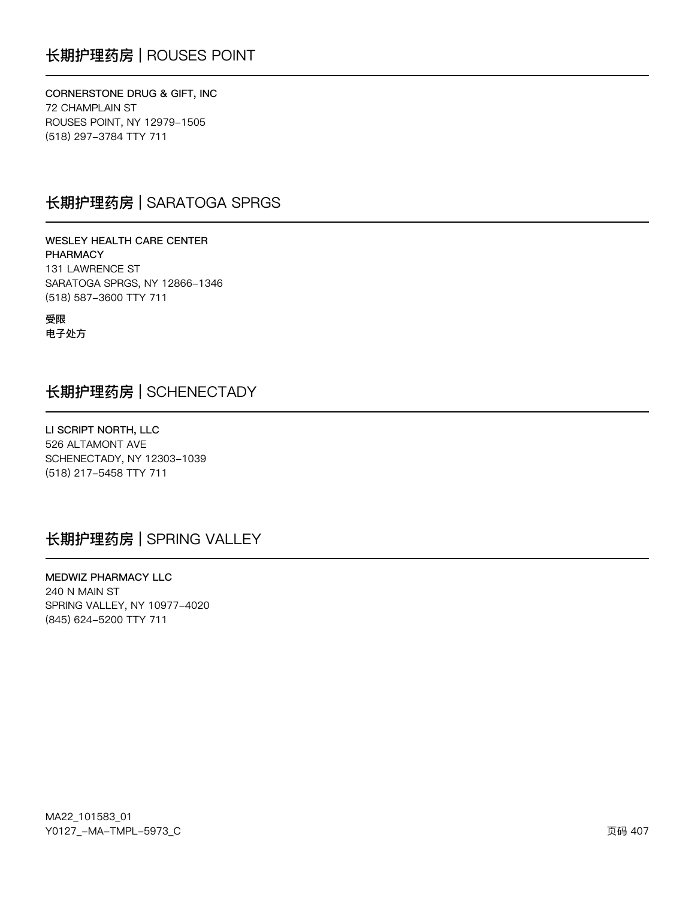## 长期护理药房 | ROUSES POINT

CORNERSTONE DRUG & GIFT, INC **72 CHAMPLAIN ST** ROUSES POINT, NY 12979-1505 (518) 297-3784 TTY 711

### 长期护理药房 | SARATOGA SPRGS

**WESLEY HEALTH CARE CENTER PHARMACY** 131 LAWRENCE ST SARATOGA SPRGS, NY 12866-1346 (518) 587-3600 TTY 711

受限 电子处方

### 长期护理药房 | SCHENECTADY

LI SCRIPT NORTH, LLC 526 ALTAMONT AVE SCHENECTADY, NY 12303-1039 (518) 217-5458 TTY 711

## 长期护理药房 | SPRING VALLEY

MEDWIZ PHARMACY LLC 240 N MAIN ST SPRING VALLEY, NY 10977-4020 (845) 624-5200 TTY 711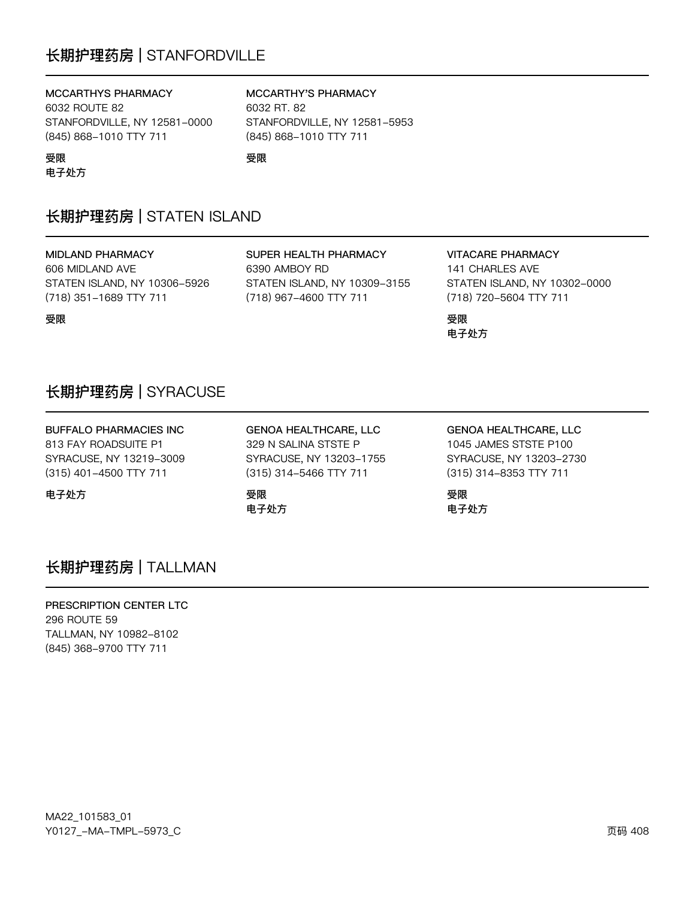## 长期护理药房 | STANFORDVILLE

### MCCARTHYS PHARMACY

6032 ROUTE 82 STANFORDVILLE, NY 12581-0000 (845) 868-1010 TTY 711

#### MCCARTHY'S PHARMACY

6032 RT, 82 STANFORDVILLE, NY 12581-5953 (845) 868-1010 TTY 711

受限

## 长期护理药房 | STATEN ISLAND

**MIDLAND PHARMACY** 606 MIDLAND AVE STATEN ISLAND, NY 10306-5926 (718) 351-1689 TTY 711

受限

受限

电子处方

SUPER HEALTH PHARMACY 6390 AMBOY RD STATEN ISLAND, NY 10309-3155 (718) 967-4600 TTY 711

#### **VITACARE PHARMACY**

141 CHARLES AVE STATEN ISLAND, NY 10302-0000 (718) 720-5604 TTY 711

受限 电子处方

## 长期护理药房 | SYRACUSE

**BUFFALO PHARMACIES INC** 813 FAY ROADSUITE P1 SYRACUSE, NY 13219-3009 (315) 401-4500 TTY 711

电子处方

**GENOA HEALTHCARE, LLC** 329 N SALINA STSTE P SYRACUSE, NY 13203-1755 (315) 314-5466 TTY 711

受限 电子处方 **GENOA HEALTHCARE, LLC** 1045 JAMES STSTE P100 SYRACUSE, NY 13203-2730 (315) 314-8353 TTY 711

受限 电子处方

### 长期护理药房 | TALLMAN

PRESCRIPTION CENTER LTC 296 ROUTE 59 TALLMAN, NY 10982-8102 (845) 368-9700 TTY 711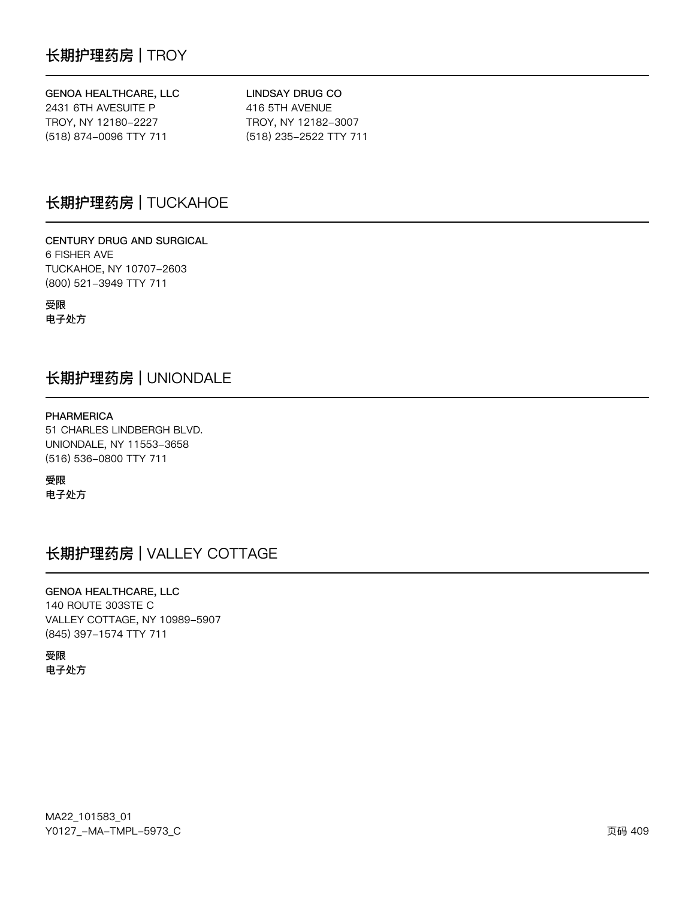### GENOA HEALTHCARE, LLC

2431 6TH AVESUITE P TROY, NY 12180-2227 (518) 874-0096 TTY 711

**LINDSAY DRUG CO** 416 5TH AVENUE TROY, NY 12182-3007 (518) 235-2522 TTY 711

## 长期护理药房 | TUCKAHOE

CENTURY DRUG AND SURGICAL 6 FISHER AVE TUCKAHOE, NY 10707-2603 (800) 521-3949 TTY 711

受限 电子处方

### 长期护理药房 | UNIONDALE

**PHARMERICA** 51 CHARLES LINDBERGH BLVD. UNIONDALE, NY 11553-3658 (516) 536-0800 TTY 711

受限 电子处方

## 长期护理药房 | VALLEY COTTAGE

**GENOA HEALTHCARE, LLC** 140 ROUTE 303STE C VALLEY COTTAGE, NY 10989-5907 (845) 397-1574 TTY 711

受限 电子处方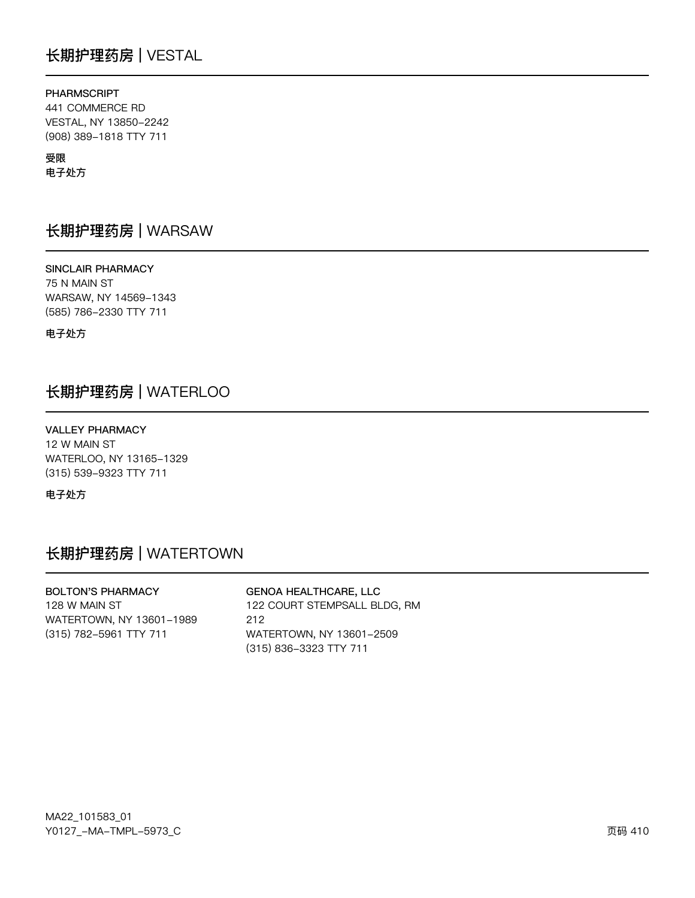## 长期护理药房 | VESTAL

### **PHARMSCRIPT**

441 COMMERCE RD VESTAL, NY 13850-2242 (908) 389-1818 TTY 711

### 受限

电子处方

### 长期护理药房 | WARSAW

SINCLAIR PHARMACY 75 N MAIN ST WARSAW, NY 14569-1343 (585) 786-2330 TTY 711

电子处方

## 长期护理药房 | WATERLOO

**VALLEY PHARMACY** 12 W MAIN ST WATERLOO, NY 13165-1329 (315) 539-9323 TTY 711

电子处方

## 长期护理药房 | WATERTOWN

**BOLTON'S PHARMACY** 128 W MAIN ST WATERTOWN, NY 13601-1989 (315) 782-5961 TTY 711

**GENOA HEALTHCARE, LLC** 122 COURT STEMPSALL BLDG, RM 212 WATERTOWN, NY 13601-2509 (315) 836-3323 TTY 711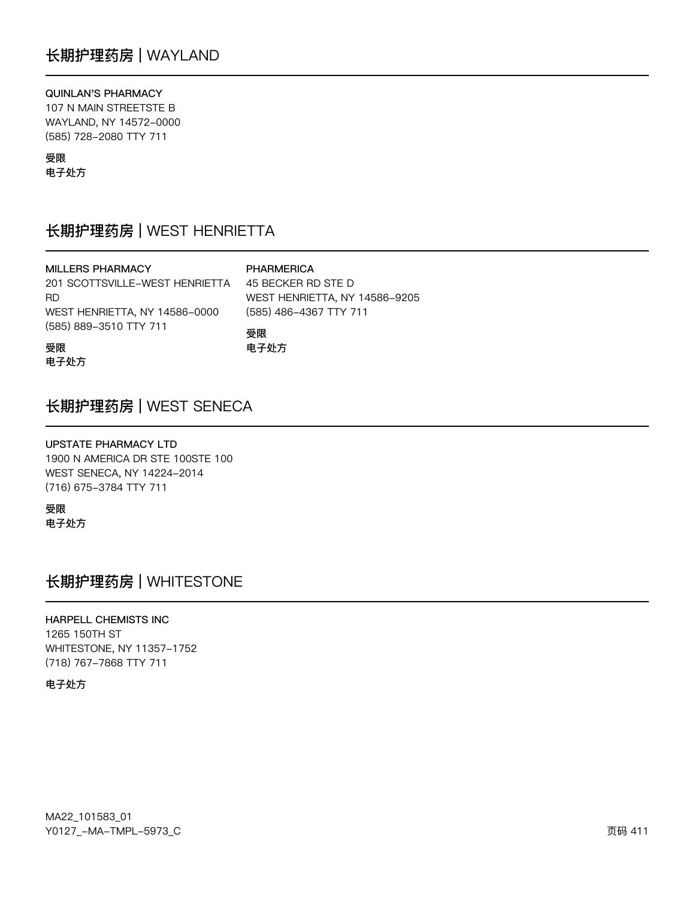### QUINLAN'S PHARMACY

107 N MAIN STREETSTE B WAYLAND, NY 14572-0000 (585) 728-2080 TTY 711

### 受限

电子处方

## 长期护理药房 | WEST HENRIETTA

| <b>MILLERS PHARMACY</b>        | <b>PHARM</b>  |
|--------------------------------|---------------|
| 201 SCOTTSVILLE-WEST HENRIETTA | 45 BECK       |
| RD.                            | <b>WEST H</b> |
| WEST HENRIETTA, NY 14586-0000  | $(585)$ 48    |
| (585) 889-3510 TTY 711         | 巠阳            |

**ERICA** KER RD STE D **IENRIETTA, NY 14586-9205** 86-4367 TTY 711 受限 电子处方

受限

电子处方

### 长期护理药房 | WEST SENECA

**UPSTATE PHARMACY LTD** 1900 N AMERICA DR STE 100STE 100 WEST SENECA, NY 14224-2014 (716) 675-3784 TTY 711

受限 电子处方

## 长期护理药房 | WHITESTONE

**HARPELL CHEMISTS INC** 1265 150TH ST WHITESTONE, NY 11357-1752 (718) 767-7868 TTY 711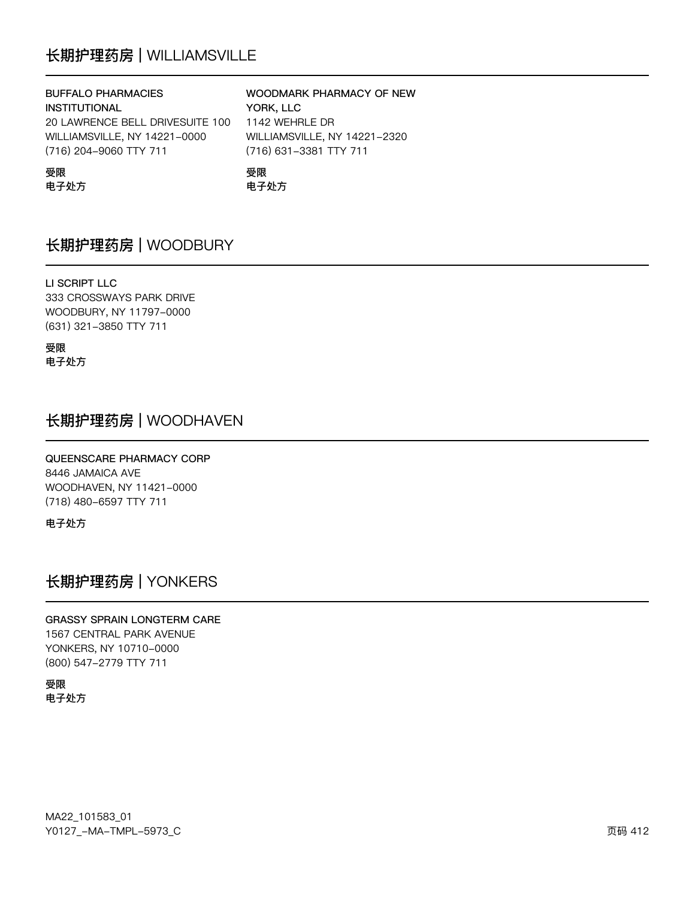## 长期护理药房 | WILLIAMSVILLE

| <b>BUFFALO PHARMACIES</b>       | WOODMARK PHARMACY OF NEW     |
|---------------------------------|------------------------------|
| <b>INSTITUTIONAL</b>            | YORK, LLC                    |
| 20 LAWRENCE BELL DRIVESUITE 100 | 1142 WEHRLE DR               |
| WILLIAMSVILLE, NY 14221-0000    | WILLIAMSVILLE, NY 14221-2320 |
| (716) 204-9060 TTY 711          | (716) 631-3381 TTY 711       |
| 受限                              | 受限                           |

电子处方

电子处方

**NEW** 

## 长期护理药房 | WOODBURY

### LI SCRIPT LLC

333 CROSSWAYS PARK DRIVE WOODBURY, NY 11797-0000 (631) 321-3850 TTY 711

受限 电子处方

## 长期护理药房 | WOODHAVEN

#### QUEENSCARE PHARMACY CORP 8446 JAMAICA AVE

WOODHAVEN, NY 11421-0000 (718) 480-6597 TTY 711

电子处方

## 长期护理药房 | YONKERS

### **GRASSY SPRAIN LONGTERM CARE**

1567 CENTRAL PARK AVENUE YONKERS, NY 10710-0000 (800) 547-2779 TTY 711

受限 电子处方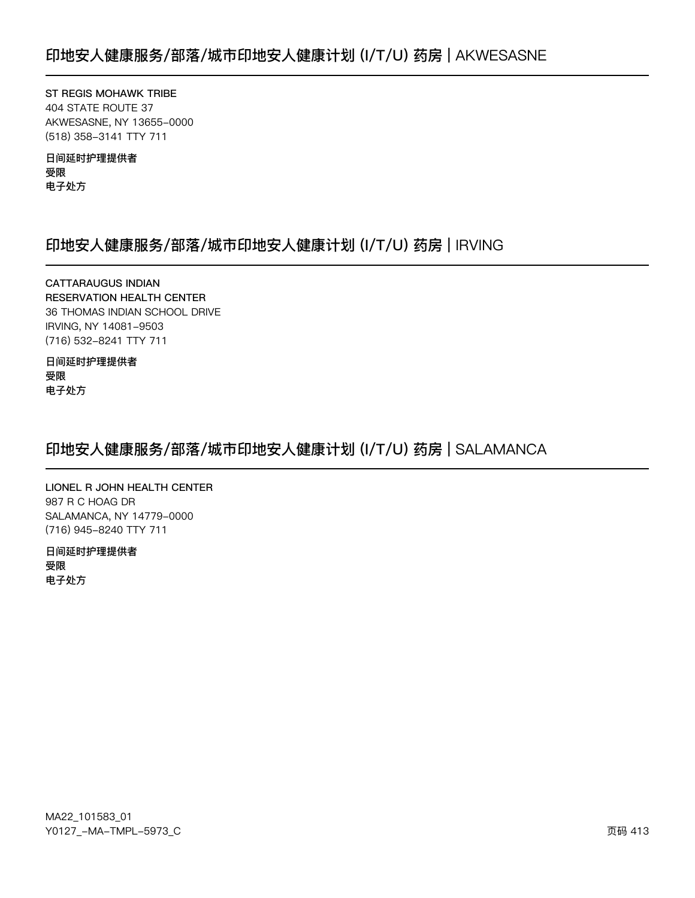ST REGIS MOHAWK TRIBE 404 STATE ROUTE 37 AKWESASNE, NY 13655-0000 (518) 358-3141 TTY 711

日间延时护理提供者 受限 电子处方

## 印地安人健康服务/部落/城市印地安人健康计划 (I/T/U) 药房 | IRVING

**CATTARAUGUS INDIAN RESERVATION HEALTH CENTER** 36 THOMAS INDIAN SCHOOL DRIVE IRVING, NY 14081-9503 (716) 532-8241 TTY 711

日间延时护理提供者 受限 电子处方

## 印地安人健康服务/部落/城市印地安人健康计划 (I/T/U) 药房 | SALAMANCA

LIONEL R JOHN HEALTH CENTER 987 R C HOAG DR SALAMANCA, NY 14779-0000 (716) 945-8240 TTY 711

日间延时护理提供者 受限 电子处方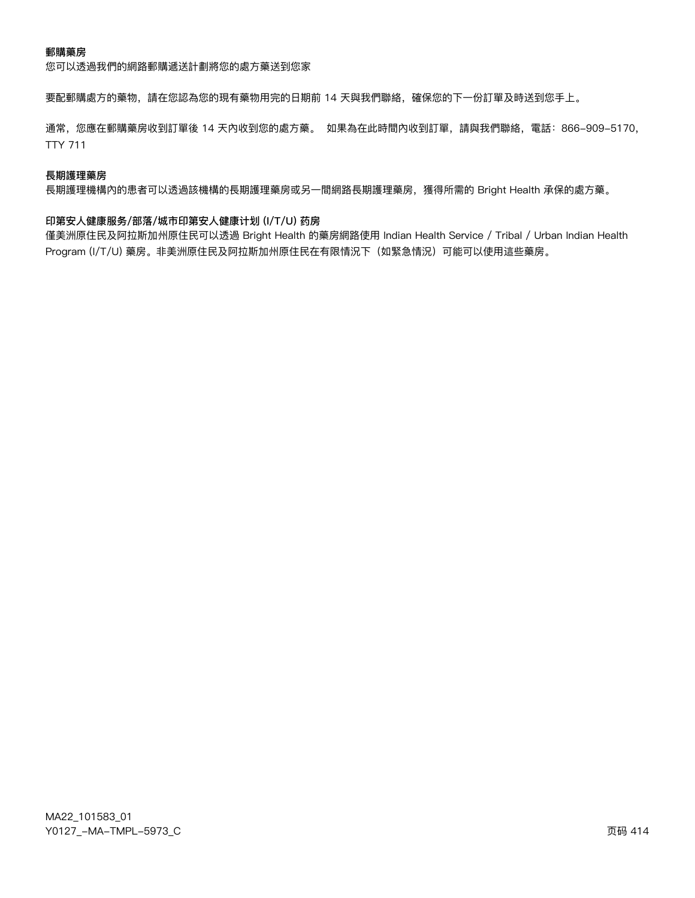您可以透過我們的網路郵購遞送計劃將您的處方藥送到您家

要配郵購處方的藥物,請在您認為您的現有藥物用完的日期前 14 天與我們聯絡,確保您的下一份訂單及時送到您手上。

通常,您應在郵購藥房收到訂單後 14 天內收到您的處方藥。 如果為在此時間內收到訂單,請與我們聯絡,電話: 866-909-5170, **TTY 711** 

#### 長期護理藥房

長期護理機構內的患者可以透過該機構的長期護理藥房或另一間網路長期護理藥房,獲得所需的 Bright Health 承保的處方藥。

#### 印第安人健康服务/部落/城市印第安人健康计划 (I/T/U) 药房

僅美洲原住民及阿拉斯加州原住民可以透過 Bright Health 的藥房網路使用 Indian Health Service / Tribal / Urban Indian Health Program (I/T/U) 藥房。非美洲原住民及阿拉斯加州原住民在有限情況下(如緊急情況)可能可以使用這些藥房。